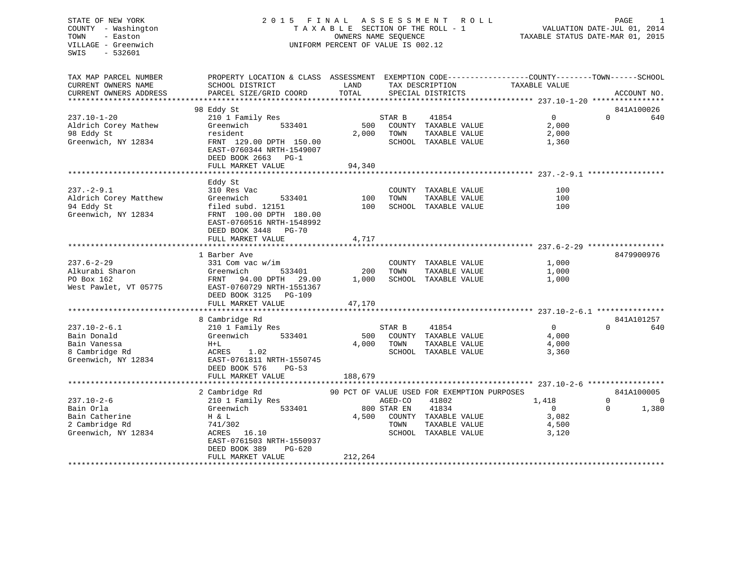## STATE OF NEW YORK 2 0 1 5 F I N A L A S S E S S M E N T R O L L PAGE 1 COUNTY - Washington T A X A B L E SECTION OF THE ROLL - 1 VALUATION DATE-JUL 01, 2014 TOWN - Easton **CONNERS NAME SEQUENCE** TAXABLE STATUS DATE-MAR 01, 2015 VILLAGE - Greenwich UNIFORM PERCENT OF VALUE IS 002.12

| TAX MAP PARCEL NUMBER<br>CURRENT OWNERS NAME                                               | PROPERTY LOCATION & CLASS ASSESSMENT EXEMPTION CODE---------------COUNTY-------TOWN-----SCHOOL<br>SCHOOL DISTRICT                                    | LAND                    |                                | TAX DESCRIPTION                                                                                                                | TAXABLE VALUE                                      |                      |                                       |
|--------------------------------------------------------------------------------------------|------------------------------------------------------------------------------------------------------------------------------------------------------|-------------------------|--------------------------------|--------------------------------------------------------------------------------------------------------------------------------|----------------------------------------------------|----------------------|---------------------------------------|
| CURRENT OWNERS ADDRESS                                                                     | PARCEL SIZE/GRID COORD                                                                                                                               | TOTAL                   |                                | SPECIAL DISTRICTS                                                                                                              |                                                    |                      | ACCOUNT NO.                           |
|                                                                                            |                                                                                                                                                      |                         |                                |                                                                                                                                |                                                    |                      |                                       |
| $237.10 - 1 - 20$<br>Aldrich Corey Mathew                                                  | 98 Eddy St<br>210 1 Family Res<br>Greenwich<br>533401                                                                                                | 500                     | STAR B                         | 41854<br>COUNTY TAXABLE VALUE                                                                                                  | 0<br>2,000                                         | $\Omega$             | 841A100026<br>640                     |
| 98 Eddy St<br>Greenwich, NY 12834                                                          | resident<br>FRNT 129.00 DPTH 150.00<br>EAST-0760344 NRTH-1549007<br>DEED BOOK 2663 PG-1<br>FULL MARKET VALUE                                         | 2,000<br>94,340         | TOWN                           | TAXABLE VALUE<br>SCHOOL TAXABLE VALUE                                                                                          | 2,000<br>1,360                                     |                      |                                       |
|                                                                                            |                                                                                                                                                      |                         |                                |                                                                                                                                |                                                    |                      |                                       |
| $237. - 2 - 9.1$                                                                           | Eddy St<br>310 Res Vac                                                                                                                               |                         |                                | COUNTY TAXABLE VALUE                                                                                                           | 100                                                |                      |                                       |
| Aldrich Corey Matthew<br>94 Eddy St<br>Greenwich, NY 12834                                 | Greenwich<br>533401<br>filed subd. 12151<br>FRNT 100.00 DPTH 180.00<br>EAST-0760516 NRTH-1548992<br>DEED BOOK 3448 PG-70                             | 100<br>100              | TOWN                           | TAXABLE VALUE<br>SCHOOL TAXABLE VALUE                                                                                          | 100<br>100                                         |                      |                                       |
|                                                                                            | FULL MARKET VALUE                                                                                                                                    | 4,717                   |                                |                                                                                                                                |                                                    |                      |                                       |
|                                                                                            | 1 Barber Ave                                                                                                                                         |                         |                                |                                                                                                                                |                                                    |                      | 8479900976                            |
| $237.6 - 2 - 29$<br>Alkurabi Sharon<br>PO Box 162<br>West Pawlet, VT 05775                 | 331 Com vac w/im<br>533401<br>Greenwich<br>FRNT 94.00 DPTH 29.00<br>EAST-0760729 NRTH-1551367<br>DEED BOOK 3125 PG-109                               | 200<br>1,000            | TOWN                           | COUNTY TAXABLE VALUE<br>TAXABLE VALUE<br>SCHOOL TAXABLE VALUE                                                                  | 1,000<br>1,000<br>1,000                            |                      |                                       |
|                                                                                            | FULL MARKET VALUE                                                                                                                                    | 47,170                  |                                |                                                                                                                                |                                                    |                      |                                       |
|                                                                                            | 8 Cambridge Rd                                                                                                                                       |                         |                                |                                                                                                                                |                                                    |                      | 841A101257                            |
| $237.10 - 2 - 6.1$<br>Bain Donald<br>Bain Vanessa<br>8 Cambridge Rd<br>Greenwich, NY 12834 | 210 1 Family Res<br>Greenwich<br>533401<br>$H+L$<br>ACRES 1.02<br>EAST-0761811 NRTH-1550745<br>DEED BOOK 576<br>$PG-53$<br>FULL MARKET VALUE         | 500<br>4,000<br>188,679 | STAR B<br>TOWN                 | 41854<br>COUNTY TAXABLE VALUE<br>TAXABLE VALUE<br>SCHOOL TAXABLE VALUE                                                         | 0<br>4,000<br>4,000<br>3,360                       | $\Omega$             | 640                                   |
|                                                                                            |                                                                                                                                                      |                         |                                |                                                                                                                                |                                                    |                      |                                       |
| $237.10 - 2 - 6$<br>Bain Orla<br>Bain Catherine<br>2 Cambridge Rd<br>Greenwich, NY 12834   | 2 Cambridge Rd<br>210 1 Family Res<br>Greenwich<br>533401<br>H & L<br>741/302<br>ACRES 16.10<br>EAST-0761503 NRTH-1550937<br>DEED BOOK 389<br>PG-620 | 4,500                   | AGED-CO<br>800 STAR EN<br>TOWN | 90 PCT OF VALUE USED FOR EXEMPTION PURPOSES<br>41802<br>41834<br>COUNTY TAXABLE VALUE<br>TAXABLE VALUE<br>SCHOOL TAXABLE VALUE | 1,418<br>$\overline{0}$<br>3,082<br>4,500<br>3,120 | $\Omega$<br>$\Omega$ | 841A100005<br>$\overline{0}$<br>1,380 |
|                                                                                            | FULL MARKET VALUE                                                                                                                                    | 212,264                 |                                |                                                                                                                                |                                                    |                      |                                       |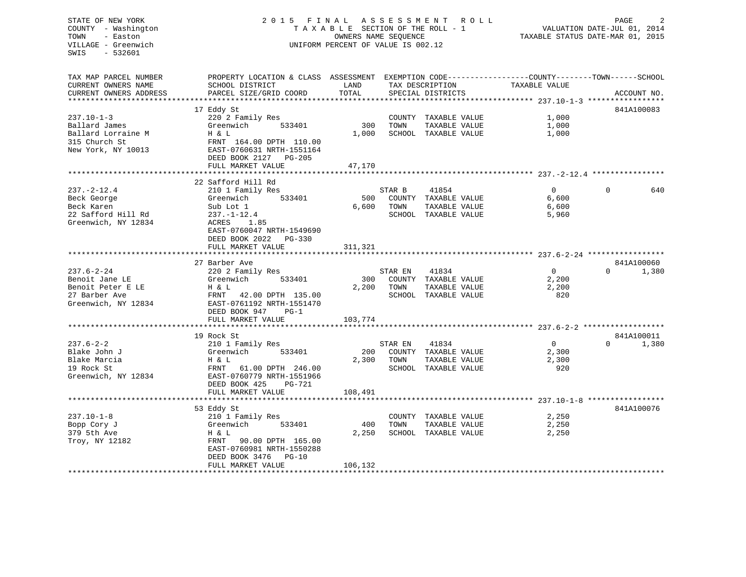## STATE OF NEW YORK 2 0 1 5 F I N A L A S S E S S M E N T R O L L PAGE 2 COUNTY - Washington T A X A B L E SECTION OF THE ROLL - 1 VALUATION DATE-JUL 01, 2014 TOWN - Easton CONSERS NAME SEQUENCE TAXABLE STATUS DATE-MAR 01, 2015 VILLAGE - Greenwich UNIFORM PERCENT OF VALUE IS 002.12

TAX MAP PARCEL NUMBER PROPERTY LOCATION & CLASS ASSESSMENT EXEMPTION CODE------------------COUNTY--------TOWN------SCHOOL

|                                            | VADUAILON DAID 00D 01, 2011 |  |  |
|--------------------------------------------|-----------------------------|--|--|
| תנמפי במי הנהג החומר הזוויות החומי היה ביו |                             |  |  |

| CURRENT OWNERS NAME       | SCHOOL DISTRICT                         | LAND    |         | TAX DESCRIPTION               | TAXABLE VALUE                                                    |          |                     |
|---------------------------|-----------------------------------------|---------|---------|-------------------------------|------------------------------------------------------------------|----------|---------------------|
| CURRENT OWNERS ADDRESS    | PARCEL SIZE/GRID COORD                  | TOTAL   |         | SPECIAL DISTRICTS             |                                                                  |          | ACCOUNT NO.         |
| ************************* |                                         |         |         |                               |                                                                  |          |                     |
|                           | 17 Eddy St                              |         |         |                               |                                                                  |          | 841A100083          |
| $237.10 - 1 - 3$          | 220 2 Family Res                        |         |         | COUNTY TAXABLE VALUE          | 1,000                                                            |          |                     |
| Ballard James             | Greenwich<br>533401                     | 300     | TOWN    | TAXABLE VALUE                 | 1,000                                                            |          |                     |
| Ballard Lorraine M        | H & L                                   | 1,000   |         | SCHOOL TAXABLE VALUE          | 1,000                                                            |          |                     |
| 315 Church St             | FRNT 164.00 DPTH 110.00                 |         |         |                               |                                                                  |          |                     |
| New York, NY 10013        | EAST-0760631 NRTH-1551164               |         |         |                               |                                                                  |          |                     |
|                           | DEED BOOK 2127 PG-205                   |         |         |                               |                                                                  |          |                     |
|                           | FULL MARKET VALUE                       | 47,170  |         |                               |                                                                  |          |                     |
|                           | ***************************             |         |         |                               |                                                                  |          |                     |
|                           | 22 Safford Hill Rd                      |         |         |                               |                                                                  |          |                     |
| $237. - 2 - 12.4$         | 210 1 Family Res                        |         | STAR B  | 41854                         | $\Omega$                                                         | $\Omega$ | 640                 |
| Beck George               | Greenwich<br>533401                     | 500     |         | COUNTY TAXABLE VALUE          | 6,600                                                            |          |                     |
| Beck Karen                | Sub Lot 1                               | 6,600   | TOWN    | TAXABLE VALUE                 | 6,600                                                            |          |                     |
| 22 Safford Hill Rd        | $237. - 1 - 12.4$                       |         |         | SCHOOL TAXABLE VALUE          | 5,960                                                            |          |                     |
| Greenwich, NY 12834       | ACRES<br>1.85                           |         |         |                               |                                                                  |          |                     |
|                           | EAST-0760047 NRTH-1549690               |         |         |                               |                                                                  |          |                     |
|                           | DEED BOOK 2022<br>PG-330                |         |         |                               |                                                                  |          |                     |
|                           | FULL MARKET VALUE                       | 311,321 |         |                               |                                                                  |          |                     |
|                           |                                         |         |         |                               |                                                                  |          |                     |
| $237.6 - 2 - 24$          | 27 Barber Ave                           |         |         |                               | $\Omega$                                                         | $\Omega$ | 841A100060<br>1,380 |
| Benoit Jane LE            | 220 2 Family Res<br>Greenwich<br>533401 | 300     | STAR EN | 41834<br>COUNTY TAXABLE VALUE | 2,200                                                            |          |                     |
| Benoit Peter E LE         | H & L                                   | 2,200   | TOWN    | TAXABLE VALUE                 | 2,200                                                            |          |                     |
| 27 Barber Ave             | FRNT<br>42.00 DPTH 135.00               |         |         | SCHOOL TAXABLE VALUE          | 820                                                              |          |                     |
| Greenwich, NY 12834       | EAST-0761192 NRTH-1551470               |         |         |                               |                                                                  |          |                     |
|                           | DEED BOOK 947<br>$PG-1$                 |         |         |                               |                                                                  |          |                     |
|                           | FULL MARKET VALUE                       | 103,774 |         |                               |                                                                  |          |                     |
|                           | **********************                  |         |         |                               | *********************************** 237.6–2–2 ****************** |          |                     |
|                           | 19 Rock St                              |         |         |                               |                                                                  |          | 841A100011          |
| $237.6 - 2 - 2$           | 210 1 Family Res                        |         | STAR EN | 41834                         | $\Omega$                                                         | $\Omega$ | 1,380               |
| Blake John J              | Greenwich<br>533401                     | 200     |         | COUNTY TAXABLE VALUE          | 2,300                                                            |          |                     |
| Blake Marcia              | H & L                                   | 2,300   | TOWN    | TAXABLE VALUE                 | 2,300                                                            |          |                     |
| 19 Rock St                | FRNT<br>61.00 DPTH 246.00               |         |         | SCHOOL TAXABLE VALUE          | 920                                                              |          |                     |
| Greenwich, NY 12834       | EAST-0760779 NRTH-1551966               |         |         |                               |                                                                  |          |                     |
|                           | DEED BOOK 425<br><b>PG-721</b>          |         |         |                               |                                                                  |          |                     |
|                           | FULL MARKET VALUE                       | 108,491 |         |                               |                                                                  |          |                     |
|                           |                                         |         |         |                               |                                                                  |          |                     |
|                           | 53 Eddy St                              |         |         |                               |                                                                  |          | 841A100076          |
| $237.10 - 1 - 8$          | 210 1 Family Res                        |         |         | COUNTY TAXABLE VALUE          | 2,250                                                            |          |                     |
| Bopp Cory J               | Greenwich<br>533401                     | 400     | TOWN    | TAXABLE VALUE                 | 2,250                                                            |          |                     |
| 379 5th Ave               | H & L                                   | 2,250   |         | SCHOOL TAXABLE VALUE          | 2,250                                                            |          |                     |
| Troy, NY 12182            | FRNT<br>90.00 DPTH 165.00               |         |         |                               |                                                                  |          |                     |
|                           | EAST-0760981 NRTH-1550288               |         |         |                               |                                                                  |          |                     |
|                           | DEED BOOK 3476<br>$PG-10$               |         |         |                               |                                                                  |          |                     |
|                           | FULL MARKET VALUE                       | 106,132 |         |                               |                                                                  |          |                     |
|                           |                                         |         |         |                               |                                                                  |          |                     |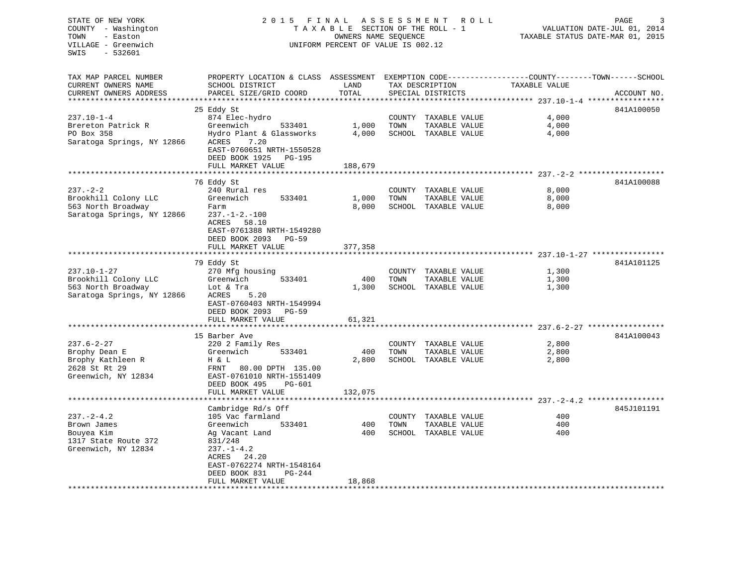| STATE OF NEW YORK<br>COUNTY - Washington<br>- Easton<br>TOWN<br>VILLAGE - Greenwich<br>SWIS<br>- 532601 | R O L L<br>PAGE<br>VALUATION DATE-JUL 01, 2014<br>TAXABLE STATUS DATE-MAR 01, 2015                                                                                                       |                                    |      |                                                               |                                                                                |             |
|---------------------------------------------------------------------------------------------------------|------------------------------------------------------------------------------------------------------------------------------------------------------------------------------------------|------------------------------------|------|---------------------------------------------------------------|--------------------------------------------------------------------------------|-------------|
| TAX MAP PARCEL NUMBER<br>CURRENT OWNERS NAME<br>CURRENT OWNERS ADDRESS<br>**********************        | PROPERTY LOCATION & CLASS ASSESSMENT EXEMPTION CODE---------------COUNTY-------TOWN------SCHOOL<br>SCHOOL DISTRICT<br>PARCEL SIZE/GRID COORD                                             | LAND<br>TOTAL                      |      | TAX DESCRIPTION<br>SPECIAL DISTRICTS                          | TAXABLE VALUE                                                                  | ACCOUNT NO. |
| $237.10 - 1 - 4$<br>Brereton Patrick R<br>PO Box 358<br>Saratoga Springs, NY 12866                      | 25 Eddy St<br>874 Elec-hydro<br>Greenwich<br>533401<br>Hydro Plant & Glassworks<br>ACRES<br>7.20<br>EAST-0760651 NRTH-1550528<br>DEED BOOK 1925<br>PG-195<br>FULL MARKET VALUE           | 1,000<br>4,000<br>188,679          | TOWN | COUNTY TAXABLE VALUE<br>TAXABLE VALUE<br>SCHOOL TAXABLE VALUE | 4,000<br>4,000<br>4,000                                                        | 841A100050  |
|                                                                                                         |                                                                                                                                                                                          |                                    |      |                                                               |                                                                                |             |
| $237. - 2 - 2$<br>Brookhill Colony LLC<br>563 North Broadway<br>Saratoga Springs, NY 12866              | 76 Eddy St<br>240 Rural res<br>Greenwich<br>533401<br>Farm<br>$237. - 1 - 2. - 100$<br>ACRES<br>58.10<br>EAST-0761388 NRTH-1549280<br>DEED BOOK 2093<br>PG-59                            | 1,000<br>8,000                     | TOWN | COUNTY TAXABLE VALUE<br>TAXABLE VALUE<br>SCHOOL TAXABLE VALUE | 8,000<br>8,000<br>8,000                                                        | 841A100088  |
|                                                                                                         | FULL MARKET VALUE                                                                                                                                                                        | 377,358                            |      |                                                               |                                                                                |             |
|                                                                                                         | ***********************                                                                                                                                                                  | ************                       |      |                                                               |                                                                                |             |
| $237.10 - 1 - 27$<br>Brookhill Colony LLC<br>563 North Broadway<br>Saratoga Springs, NY 12866           | 79 Eddy St<br>270 Mfg housing<br>Greenwich<br>533401<br>Lot & Tra<br>5.20<br>ACRES<br>EAST-0760403 NRTH-1549994<br>DEED BOOK 2093 PG-59                                                  | 400<br>1,300                       | TOWN | COUNTY TAXABLE VALUE<br>TAXABLE VALUE<br>SCHOOL TAXABLE VALUE | 1,300<br>1,300<br>1,300                                                        | 841A101125  |
|                                                                                                         | FULL MARKET VALUE                                                                                                                                                                        | 61,321                             |      |                                                               |                                                                                |             |
| $237.6 - 2 - 27$<br>Brophy Dean E<br>Brophy Kathleen R<br>2628 St Rt 29<br>Greenwich, NY 12834          | 15 Barber Ave<br>220 2 Family Res<br>533401<br>Greenwich<br>H & L<br>FRNT 80.00 DPTH 135.00<br>EAST-0761010 NRTH-1551409<br>DEED BOOK 495<br>PG-601<br>FULL MARKET VALUE                 | *******<br>400<br>2,800<br>132,075 | TOWN | COUNTY TAXABLE VALUE<br>TAXABLE VALUE<br>SCHOOL TAXABLE VALUE | ********************** 237.6-2-27 *****************<br>2,800<br>2,800<br>2,800 | 841A100043  |
|                                                                                                         |                                                                                                                                                                                          |                                    |      |                                                               |                                                                                |             |
| $237. - 2 - 4.2$<br>Brown James<br>Bouyea Kim<br>1317 State Route 372<br>Greenwich, NY 12834            | Cambridge Rd/s Off<br>105 Vac farmland<br>Greenwich<br>533401<br>Ag Vacant Land<br>831/248<br>$237. - 1 - 4.2$<br>ACRES<br>24.20<br>EAST-0762274 NRTH-1548164<br>DEED BOOK 831<br>PG-244 | 400<br>400                         | TOWN | COUNTY TAXABLE VALUE<br>TAXABLE VALUE<br>SCHOOL TAXABLE VALUE | 400<br>400<br>400                                                              | 845J101191  |
| ******************************                                                                          | FULL MARKET VALUE                                                                                                                                                                        | 18,868                             |      |                                                               |                                                                                |             |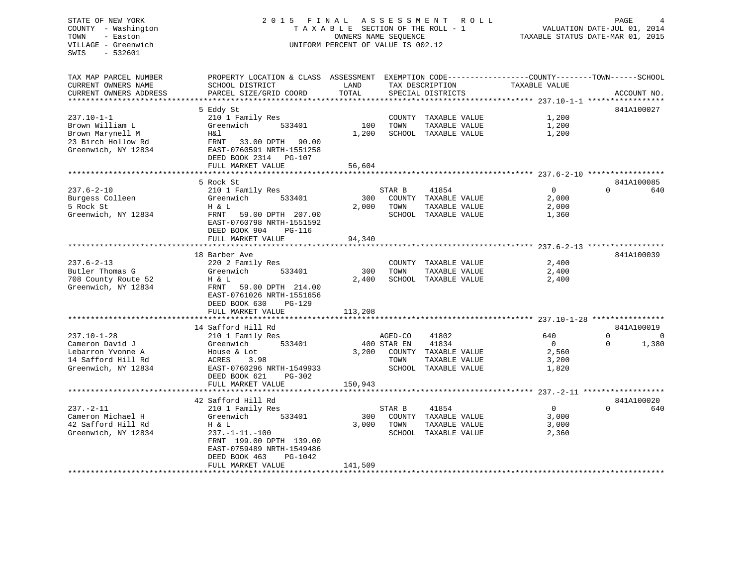## STATE OF NEW YORK 2 0 1 5 F I N A L A S S E S S M E N T R O L L PAGE 4 COUNTY - Washington T A X A B L E SECTION OF THE ROLL - 1 VALUATION DATE-JUL 01, 2014 TOWN - Easton **CONNERS NAME SEQUENCE** TAXABLE STATUS DATE-MAR 01, 2015 VILLAGE - Greenwich UNIFORM PERCENT OF VALUE IS 002.12

| TAX MAP PARCEL NUMBER  | PROPERTY LOCATION & CLASS ASSESSMENT EXEMPTION CODE----------------COUNTY-------TOWN------SCHOOL |              |             |                      |                |                                    |
|------------------------|--------------------------------------------------------------------------------------------------|--------------|-------------|----------------------|----------------|------------------------------------|
| CURRENT OWNERS NAME    | SCHOOL DISTRICT                                                                                  | LAND         |             | TAX DESCRIPTION      | TAXABLE VALUE  |                                    |
| CURRENT OWNERS ADDRESS | PARCEL SIZE/GRID COORD                                                                           | <b>TOTAL</b> |             | SPECIAL DISTRICTS    |                | ACCOUNT NO.                        |
|                        |                                                                                                  |              |             |                      |                |                                    |
|                        | 5 Eddy St                                                                                        |              |             |                      |                | 841A100027                         |
| $237.10 - 1 - 1$       | 210 1 Family Res                                                                                 |              |             | COUNTY TAXABLE VALUE | 1,200          |                                    |
| Brown William L        | Greenwich<br>533401                                                                              | 100          | TOWN        | TAXABLE VALUE        | 1,200          |                                    |
| Brown Marynell M       | Η&l                                                                                              | 1,200        |             | SCHOOL TAXABLE VALUE | 1,200          |                                    |
| 23 Birch Hollow Rd     | FRNT<br>33.00 DPTH<br>90.00                                                                      |              |             |                      |                |                                    |
| Greenwich, NY 12834    | EAST-0760591 NRTH-1551258                                                                        |              |             |                      |                |                                    |
|                        | DEED BOOK 2314<br>$PG-107$                                                                       |              |             |                      |                |                                    |
|                        | FULL MARKET VALUE                                                                                | 56,604       |             |                      |                |                                    |
|                        | **************                                                                                   |              |             |                      |                |                                    |
|                        | 5 Rock St                                                                                        |              |             |                      |                | 841A100085                         |
| $237.6 - 2 - 10$       | 210 1 Family Res                                                                                 |              | STAR B      | 41854                | $\overline{0}$ | $\Omega$<br>640                    |
| Burgess Colleen        | Greenwich<br>533401                                                                              | 300          |             | COUNTY TAXABLE VALUE | 2,000          |                                    |
| 5 Rock St              | H & L                                                                                            | 2,000        | TOWN        | TAXABLE VALUE        | 2,000          |                                    |
| Greenwich, NY 12834    | 59.00 DPTH 207.00<br>FRNT                                                                        |              |             | SCHOOL TAXABLE VALUE | 1,360          |                                    |
|                        | EAST-0760798 NRTH-1551592                                                                        |              |             |                      |                |                                    |
|                        | DEED BOOK 904<br>PG-116                                                                          |              |             |                      |                |                                    |
|                        | FULL MARKET VALUE                                                                                | 94,340       |             |                      |                |                                    |
|                        |                                                                                                  |              |             |                      |                |                                    |
|                        | 18 Barber Ave                                                                                    |              |             |                      |                | 841A100039                         |
| $237.6 - 2 - 13$       | 220 2 Family Res                                                                                 |              |             | COUNTY TAXABLE VALUE | 2,400          |                                    |
| Butler Thomas G        | Greenwich<br>533401                                                                              | 300          | TOWN        | TAXABLE VALUE        | 2,400          |                                    |
| 708 County Route 52    | H & L                                                                                            | 2,400        | SCHOOL      | TAXABLE VALUE        | 2,400          |                                    |
| Greenwich, NY 12834    | FRNT<br>59.00 DPTH 214.00                                                                        |              |             |                      |                |                                    |
|                        | EAST-0761026 NRTH-1551656                                                                        |              |             |                      |                |                                    |
|                        | DEED BOOK 630<br>PG-129                                                                          |              |             |                      |                |                                    |
|                        | FULL MARKET VALUE<br>*********************                                                       | 113,208      |             |                      |                |                                    |
|                        |                                                                                                  |              |             |                      |                |                                    |
| $237.10 - 1 - 28$      | 14 Safford Hill Rd<br>210 1 Family Res                                                           |              | AGED-CO     | 41802                | 640            | 841A100019<br>$\Omega$<br>$\Omega$ |
| Cameron David J        | Greenwich<br>533401                                                                              |              | 400 STAR EN | 41834                | $\Omega$       | 1,380<br>$\Omega$                  |
| Lebarron Yvonne A      | House & Lot                                                                                      | 3,200        |             | COUNTY TAXABLE VALUE | 2,560          |                                    |
| 14 Safford Hill Rd     | ACRES<br>3.98                                                                                    |              | TOWN        | TAXABLE VALUE        | 3,200          |                                    |
| Greenwich, NY 12834    | EAST-0760296 NRTH-1549933                                                                        |              |             | SCHOOL TAXABLE VALUE | 1,820          |                                    |
|                        | DEED BOOK 621<br>$PG-302$                                                                        |              |             |                      |                |                                    |
|                        | FULL MARKET VALUE                                                                                | 150,943      |             |                      |                |                                    |
|                        |                                                                                                  |              |             |                      |                |                                    |
|                        | 42 Safford Hill Rd                                                                               |              |             |                      |                | 841A100020                         |
| $237. - 2 - 11$        | 210 1 Family Res                                                                                 |              | STAR B      | 41854                | $\overline{0}$ | $\Omega$<br>640                    |
| Cameron Michael H      | Greenwich<br>533401                                                                              | 300          |             | COUNTY TAXABLE VALUE | 3,000          |                                    |
| 42 Safford Hill Rd     | H & L                                                                                            | 3,000        | TOWN        | TAXABLE VALUE        | 3,000          |                                    |
| Greenwich, NY 12834    | $237. -1 - 11. -100$                                                                             |              |             | SCHOOL TAXABLE VALUE | 2,360          |                                    |
|                        | FRNT 199.00 DPTH 139.00                                                                          |              |             |                      |                |                                    |
|                        | EAST-0759489 NRTH-1549486                                                                        |              |             |                      |                |                                    |
|                        | DEED BOOK 463<br>PG-1042                                                                         |              |             |                      |                |                                    |
|                        | FULL MARKET VALUE                                                                                | 141,509      |             |                      |                |                                    |
|                        | ********************                                                                             |              |             |                      |                |                                    |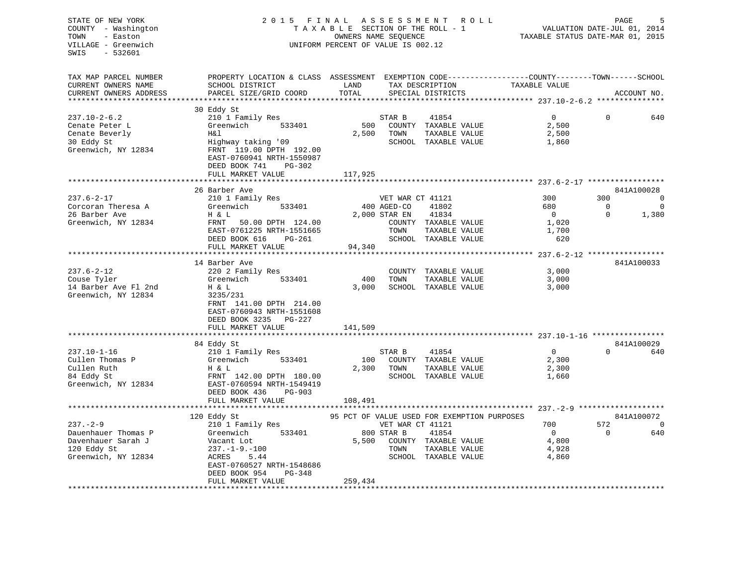| STATE OF NEW YORK<br>COUNTY - Washington<br>TOWN<br>- Easton<br>VILLAGE - Greenwich<br>$-532601$<br>SWIS | 2 0 1 5                                                                                                                                       | FINAL<br>ASSESSMENT<br>R O L L<br>TAXABLE SECTION OF THE ROLL - 1<br>OWNERS NAME SEQUENCE<br>UNIFORM PERCENT OF VALUE IS 002.12 |                  |                                                | PAGE<br>VALUATION DATE-JUL 01, 2014<br>TAXABLE STATUS DATE-MAR 01, 2015 |                     |                |
|----------------------------------------------------------------------------------------------------------|-----------------------------------------------------------------------------------------------------------------------------------------------|---------------------------------------------------------------------------------------------------------------------------------|------------------|------------------------------------------------|-------------------------------------------------------------------------|---------------------|----------------|
| TAX MAP PARCEL NUMBER<br>CURRENT OWNERS NAME<br>CURRENT OWNERS ADDRESS                                   | PROPERTY LOCATION & CLASS ASSESSMENT EXEMPTION CODE----------------COUNTY-------TOWN------SCHOOL<br>SCHOOL DISTRICT<br>PARCEL SIZE/GRID COORD | LAND<br>TOTAL                                                                                                                   |                  | TAX DESCRIPTION<br>SPECIAL DISTRICTS           | TAXABLE VALUE                                                           |                     | ACCOUNT NO.    |
| *********************                                                                                    | **************************                                                                                                                    |                                                                                                                                 |                  |                                                |                                                                         |                     |                |
|                                                                                                          | 30 Eddy St                                                                                                                                    |                                                                                                                                 |                  |                                                |                                                                         |                     |                |
| $237.10 - 2 - 6.2$<br>Cenate Peter L<br>Cenate Beverly                                                   | 210 1 Family Res<br>Greenwich<br>533401<br>H&l                                                                                                | 500<br>2,500                                                                                                                    | STAR B<br>TOWN   | 41854<br>COUNTY TAXABLE VALUE<br>TAXABLE VALUE | $\mathsf{O}$<br>2,500<br>2,500                                          | $\Omega$            | 640            |
| 30 Eddy St<br>Greenwich, NY 12834                                                                        | Highway taking '09<br>FRNT 119.00 DPTH 192.00<br>EAST-0760941 NRTH-1550987<br>DEED BOOK 741<br>PG-302                                         |                                                                                                                                 |                  | SCHOOL TAXABLE VALUE                           | 1,860                                                                   |                     |                |
|                                                                                                          | FULL MARKET VALUE                                                                                                                             | 117,925                                                                                                                         |                  |                                                |                                                                         |                     |                |
|                                                                                                          | 26 Barber Ave                                                                                                                                 |                                                                                                                                 |                  |                                                |                                                                         |                     | 841A100028     |
| $237.6 - 2 - 17$                                                                                         | 210 1 Family Res                                                                                                                              |                                                                                                                                 | VET WAR CT 41121 |                                                | 300                                                                     | 300                 | $\Omega$       |
| Corcoran Theresa A                                                                                       | 533401<br>Greenwich                                                                                                                           |                                                                                                                                 | 400 AGED-CO      | 41802                                          | 680                                                                     | $\overline{0}$      | $\overline{0}$ |
| 26 Barber Ave                                                                                            | H & L                                                                                                                                         |                                                                                                                                 | 2,000 STAR EN    | 41834                                          | $\overline{0}$                                                          | $\Omega$            | 1,380          |
| Greenwich, NY 12834                                                                                      | FRNT<br>50.00 DPTH 124.00                                                                                                                     |                                                                                                                                 |                  | COUNTY TAXABLE VALUE                           | 1,020                                                                   |                     |                |
|                                                                                                          | EAST-0761225 NRTH-1551665<br>DEED BOOK 616<br>PG-261                                                                                          |                                                                                                                                 | TOWN             | TAXABLE VALUE<br>SCHOOL TAXABLE VALUE          | 1,700<br>620                                                            |                     |                |
|                                                                                                          | FULL MARKET VALUE                                                                                                                             | 94,340                                                                                                                          |                  |                                                |                                                                         |                     |                |
|                                                                                                          | ************************                                                                                                                      | ************                                                                                                                    |                  |                                                | ************************ 237.6-2-12 *****************                   |                     |                |
|                                                                                                          | 14 Barber Ave                                                                                                                                 |                                                                                                                                 |                  |                                                |                                                                         |                     | 841A100033     |
| $237.6 - 2 - 12$                                                                                         | 220 2 Family Res                                                                                                                              |                                                                                                                                 | COUNTY           | TAXABLE VALUE                                  | 3,000                                                                   |                     |                |
| Couse Tyler<br>14 Barber Ave Fl 2nd                                                                      | 533401<br>Greenwich<br>H & L                                                                                                                  | 400<br>3,000                                                                                                                    | TOWN             | TAXABLE VALUE<br>SCHOOL TAXABLE VALUE          | 3,000<br>3,000                                                          |                     |                |
| Greenwich, NY 12834                                                                                      | 3235/231<br>FRNT 141.00 DPTH 214.00<br>EAST-0760943 NRTH-1551608<br>DEED BOOK 3235 PG-227                                                     |                                                                                                                                 |                  |                                                |                                                                         |                     |                |
|                                                                                                          | FULL MARKET VALUE                                                                                                                             | 141,509                                                                                                                         |                  |                                                |                                                                         |                     |                |
|                                                                                                          |                                                                                                                                               |                                                                                                                                 |                  |                                                |                                                                         |                     | 841A100029     |
| $237.10 - 1 - 16$                                                                                        | 84 Eddy St<br>210 1 Family Res                                                                                                                |                                                                                                                                 | STAR B           | 41854                                          | $\overline{0}$                                                          | $\Omega$            | 640            |
| Cullen Thomas P                                                                                          | 533401<br>Greenwich                                                                                                                           | 100                                                                                                                             |                  | COUNTY TAXABLE VALUE                           | 2,300                                                                   |                     |                |
| Cullen Ruth                                                                                              | H & L                                                                                                                                         | 2,300                                                                                                                           | TOWN             | TAXABLE VALUE                                  | 2,300                                                                   |                     |                |
| 84 Eddy St<br>Greenwich, NY 12834                                                                        | FRNT 142.00 DPTH 180.00<br>EAST-0760594 NRTH-1549419<br>DEED BOOK 436<br>PG-903                                                               |                                                                                                                                 |                  | SCHOOL TAXABLE VALUE                           | 1,660                                                                   |                     |                |
|                                                                                                          | FULL MARKET VALUE                                                                                                                             | 108,491                                                                                                                         |                  |                                                |                                                                         |                     |                |
|                                                                                                          | 120 Eddy St                                                                                                                                   |                                                                                                                                 |                  | 95 PCT OF VALUE USED FOR EXEMPTION PURPOSES    |                                                                         | ******************* | 841A100072     |
| $237 - 2 - 9$                                                                                            | 210 1 Family Res                                                                                                                              |                                                                                                                                 | VET WAR CT 41121 |                                                | 700                                                                     | 572                 | $\overline{0}$ |
| Dauenhauer Thomas P                                                                                      | 533401<br>Greenwich                                                                                                                           |                                                                                                                                 | 800 STAR B       | 41854                                          | $\overline{0}$                                                          | $\Omega$            | 640            |
| Davenhauer Sarah J                                                                                       | Vacant Lot                                                                                                                                    | 5,500                                                                                                                           |                  | COUNTY TAXABLE VALUE                           | 4,800                                                                   |                     |                |
| 120 Eddy St                                                                                              | $237. - 1 - 9. - 100$                                                                                                                         |                                                                                                                                 | TOWN             | TAXABLE VALUE                                  | 4,928                                                                   |                     |                |
| Greenwich, NY 12834                                                                                      | ACRES<br>5.44                                                                                                                                 |                                                                                                                                 |                  | SCHOOL TAXABLE VALUE                           | 4,860                                                                   |                     |                |
|                                                                                                          | EAST-0760527 NRTH-1548686<br>DEED BOOK 954<br>$PG-348$<br>FULL MARKET VALUE                                                                   | 259,434                                                                                                                         |                  |                                                |                                                                         |                     |                |
|                                                                                                          |                                                                                                                                               |                                                                                                                                 |                  |                                                |                                                                         |                     |                |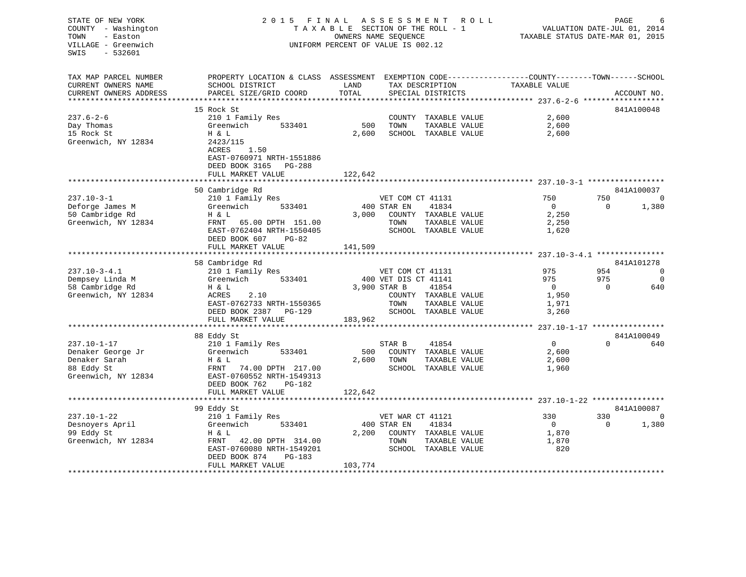| STATE OF NEW YORK<br>COUNTY - Washington<br>- Easton<br>TOWN<br>VILLAGE - Greenwich<br>$-532601$<br>SWIS | 2015 FINAL ASSESSMENT ROLL                                                             | TAXABLE SECTION OF THE ROLL - 1<br>OWNERS NAME SEOUENCE<br>UNIFORM PERCENT OF VALUE IS 002.12 |                      | PAGE<br>6<br>VALUATION DATE-JUL 01, 2014<br>TAXABLE STATUS DATE-MAR 01, 2015 |                                                                               |          |                |
|----------------------------------------------------------------------------------------------------------|----------------------------------------------------------------------------------------|-----------------------------------------------------------------------------------------------|----------------------|------------------------------------------------------------------------------|-------------------------------------------------------------------------------|----------|----------------|
| TAX MAP PARCEL NUMBER<br>CURRENT OWNERS NAME<br>CURRENT OWNERS ADDRESS                                   | PROPERTY LOCATION & CLASS ASSESSMENT<br>SCHOOL DISTRICT<br>PARCEL SIZE/GRID COORD      | LAND<br>TOTAL                                                                                 |                      | TAX DESCRIPTION<br>SPECIAL DISTRICTS                                         | EXEMPTION CODE-----------------COUNTY-------TOWN------SCHOOL<br>TAXABLE VALUE |          | ACCOUNT NO.    |
| ************************                                                                                 |                                                                                        |                                                                                               |                      |                                                                              |                                                                               |          |                |
|                                                                                                          | 15 Rock St                                                                             |                                                                                               |                      |                                                                              |                                                                               |          | 841A100048     |
| $237.6 - 2 - 6$                                                                                          | 210 1 Family Res                                                                       |                                                                                               |                      | COUNTY TAXABLE VALUE                                                         | 2,600                                                                         |          |                |
| Day Thomas<br>15 Rock St<br>Greenwich, NY 12834                                                          | Greenwich<br>533401<br>H & L<br>2423/115<br>ACRES<br>1.50<br>EAST-0760971 NRTH-1551886 | 500<br>2,600                                                                                  | TOWN                 | TAXABLE VALUE<br>SCHOOL TAXABLE VALUE                                        | 2,600<br>2,600                                                                |          |                |
|                                                                                                          | DEED BOOK 3165<br>PG-288                                                               |                                                                                               |                      |                                                                              |                                                                               |          |                |
|                                                                                                          | FULL MARKET VALUE<br>*******************                                               | 122,642                                                                                       |                      |                                                                              |                                                                               |          |                |
|                                                                                                          | 50 Cambridge Rd                                                                        |                                                                                               |                      |                                                                              |                                                                               |          | 841A100037     |
| $237.10 - 3 - 1$                                                                                         | 210 1 Family Res                                                                       |                                                                                               | VET COM CT 41131     |                                                                              | 750                                                                           | 750      | $\mathbf 0$    |
| Deforge James M                                                                                          | Greenwich<br>533401                                                                    |                                                                                               | 400 STAR EN          | 41834                                                                        | $\overline{0}$                                                                | $\Omega$ | 1,380          |
| 50 Cambridge Rd                                                                                          | H & L                                                                                  | 3,000                                                                                         |                      | COUNTY TAXABLE VALUE                                                         | 2,250                                                                         |          |                |
| Greenwich, NY 12834                                                                                      | FRNT 65.00 DPTH 151.00<br>EAST-0762404 NRTH-1550405<br>DEED BOOK 607<br>PG-82          |                                                                                               | TOWN                 | TAXABLE VALUE<br>SCHOOL TAXABLE VALUE                                        | 2,250<br>1,620                                                                |          |                |
|                                                                                                          | FULL MARKET VALUE                                                                      | 141,509                                                                                       |                      |                                                                              |                                                                               |          |                |
|                                                                                                          |                                                                                        |                                                                                               |                      |                                                                              |                                                                               |          |                |
|                                                                                                          | 58 Cambridge Rd                                                                        |                                                                                               |                      |                                                                              |                                                                               |          | 841A101278     |
| $237.10 - 3 - 4.1$                                                                                       | 210 1 Family Res                                                                       |                                                                                               | VET COM CT 41131     |                                                                              | 975                                                                           | 954      | $\overline{0}$ |
| Dempsey Linda M                                                                                          | Greenwich<br>533401                                                                    |                                                                                               | 400 VET DIS CT 41141 |                                                                              | 975                                                                           | 975      | $\mathbf 0$    |
| 58 Cambridge Rd                                                                                          | H & L                                                                                  | 3,900 STAR B                                                                                  |                      | 41854                                                                        | $\overline{0}$                                                                | $\Omega$ | 640            |
| Greenwich, NY 12834                                                                                      | ACRES<br>2.10                                                                          |                                                                                               |                      | COUNTY TAXABLE VALUE                                                         | 1,950                                                                         |          |                |
|                                                                                                          | EAST-0762733 NRTH-1550365                                                              |                                                                                               | TOWN                 | TAXABLE VALUE                                                                | 1,971                                                                         |          |                |
|                                                                                                          | DEED BOOK 2387 PG-129                                                                  |                                                                                               |                      | SCHOOL TAXABLE VALUE                                                         | 3,260                                                                         |          |                |
|                                                                                                          | FULL MARKET VALUE                                                                      | 183,962                                                                                       |                      |                                                                              |                                                                               |          |                |
|                                                                                                          | 88 Eddy St                                                                             |                                                                                               |                      |                                                                              |                                                                               |          | 841A100049     |
| $237.10 - 1 - 17$                                                                                        | 210 1 Family Res                                                                       |                                                                                               | STAR B               | 41854                                                                        | $\Omega$                                                                      | $\Omega$ | 640            |
| Denaker George Jr                                                                                        | Greenwich<br>533401                                                                    | 500                                                                                           |                      | COUNTY TAXABLE VALUE                                                         | 2,600                                                                         |          |                |
| Denaker Sarah                                                                                            | H & L                                                                                  | 2,600                                                                                         | TOWN                 | TAXABLE VALUE                                                                | 2,600                                                                         |          |                |
| 88 Eddy St                                                                                               | FRNT 74.00 DPTH 217.00                                                                 |                                                                                               |                      | SCHOOL TAXABLE VALUE                                                         | 1,960                                                                         |          |                |
| Greenwich, NY 12834                                                                                      | EAST-0760552 NRTH-1549313                                                              |                                                                                               |                      |                                                                              |                                                                               |          |                |
|                                                                                                          | DEED BOOK 762<br>PG-182                                                                |                                                                                               |                      |                                                                              |                                                                               |          |                |
|                                                                                                          | FULL MARKET VALUE                                                                      | 122,642                                                                                       |                      |                                                                              |                                                                               |          |                |
|                                                                                                          |                                                                                        |                                                                                               |                      |                                                                              |                                                                               |          |                |
|                                                                                                          | 99 Eddy St                                                                             |                                                                                               |                      |                                                                              |                                                                               |          | 841A100087     |
| $237.10 - 1 - 22$                                                                                        | 210 1 Family Res                                                                       |                                                                                               | VET WAR CT 41121     |                                                                              | 330                                                                           | 330      | $\mathbf 0$    |
| Desnoyers April                                                                                          | Greenwich<br>533401                                                                    |                                                                                               | 400 STAR EN          | 41834                                                                        | $\bigcirc$                                                                    | $\Omega$ | 1,380          |
| 99 Eddy St                                                                                               | H & L                                                                                  | 2,200                                                                                         |                      | COUNTY TAXABLE VALUE                                                         | 1,870                                                                         |          |                |
| Greenwich, NY 12834                                                                                      | FRNT 42.00 DPTH 314.00                                                                 |                                                                                               | TOWN                 | TAXABLE VALUE                                                                | 1,870                                                                         |          |                |
|                                                                                                          | EAST-0760080 NRTH-1549201                                                              |                                                                                               |                      | SCHOOL TAXABLE VALUE                                                         | 820                                                                           |          |                |
|                                                                                                          | DEED BOOK 874<br>PG-183                                                                |                                                                                               |                      |                                                                              |                                                                               |          |                |
|                                                                                                          | FULL MARKET VALUE                                                                      | 103,774                                                                                       |                      |                                                                              |                                                                               |          |                |
|                                                                                                          |                                                                                        |                                                                                               |                      |                                                                              |                                                                               |          |                |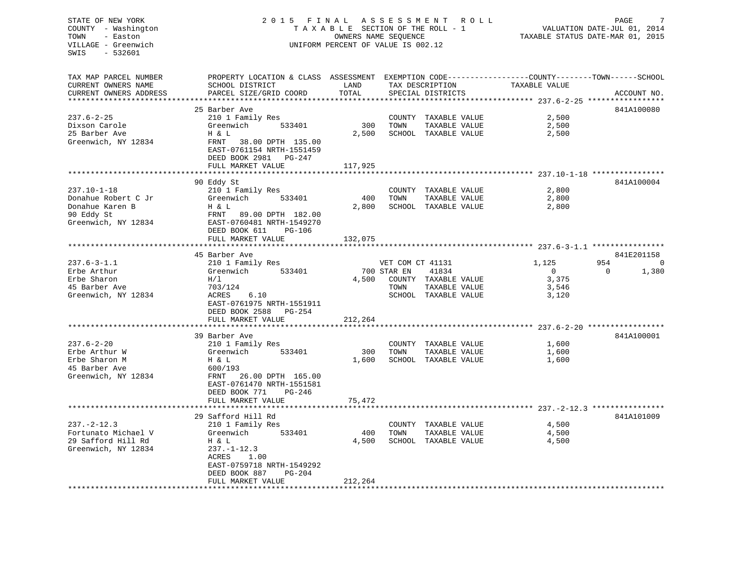## STATE OF NEW YORK 2 0 1 5 F I N A L A S S E S S M E N T R O L L PAGE 7 COUNTY - Washington T A X A B L E SECTION OF THE ROLL - 1 VALUATION DATE-JUL 01, 2014 TOWN - Easton OWNERS NAME SEQUENCE TAXABLE STATUS DATE-MAR 01, 2015 VILLAGE - Greenwich UNIFORM PERCENT OF VALUE IS 002.12UNIFORM PERCENT OF VALUE IS 002.12

TAX MAP PARCEL NUMBER PROPERTY LOCATION & CLASS ASSESSMENT EXEMPTION CODE------------------COUNTY--------TOWN------SCHOOL CURRENT OWNERS NAME SCHOOL DISTRICT LAND TAX DESCRIPTION TAXABLE VALUE

| CURRENT OWNERS ADDRESS<br>************************* | PARCEL SIZE/GRID COORD<br>***********************      | TOTAL<br>*********    |                  | SPECIAL DISTRICTS    |                                                       |          | ACCOUNT NO. |
|-----------------------------------------------------|--------------------------------------------------------|-----------------------|------------------|----------------------|-------------------------------------------------------|----------|-------------|
|                                                     | 25 Barber Ave                                          |                       |                  |                      |                                                       |          | 841A100080  |
| $237.6 - 2 - 25$                                    |                                                        |                       |                  |                      |                                                       |          |             |
|                                                     | 210 1 Family Res                                       |                       |                  | COUNTY TAXABLE VALUE | 2,500                                                 |          |             |
| Dixson Carole                                       | Greenwich<br>533401                                    | 300                   | TOWN             | TAXABLE VALUE        | 2,500                                                 |          |             |
| 25 Barber Ave                                       | H & L                                                  | 2,500                 |                  | SCHOOL TAXABLE VALUE | 2,500                                                 |          |             |
| Greenwich, NY 12834                                 | FRNT<br>38.00 DPTH 135.00                              |                       |                  |                      |                                                       |          |             |
|                                                     | EAST-0761154 NRTH-1551459                              |                       |                  |                      |                                                       |          |             |
|                                                     | DEED BOOK 2981<br>PG-247                               |                       |                  |                      |                                                       |          |             |
|                                                     | FULL MARKET VALUE                                      | 117,925               |                  |                      |                                                       |          |             |
|                                                     |                                                        | * * * * * * * *       |                  |                      | *********************** 237.10-1-18 ***************** |          |             |
|                                                     | 90 Eddy St                                             |                       |                  |                      |                                                       |          | 841A100004  |
| $237.10 - 1 - 18$                                   | 210 1 Family Res                                       |                       | COUNTY           | TAXABLE VALUE        | 2,800                                                 |          |             |
| Donahue Robert C Jr                                 | Greenwich<br>533401                                    | 400                   | TOWN             | TAXABLE VALUE        | 2,800                                                 |          |             |
| Donahue Karen B                                     | H & L                                                  | 2,800                 |                  | SCHOOL TAXABLE VALUE | 2,800                                                 |          |             |
| 90 Eddy St                                          | FRNT<br>89.00 DPTH 182.00                              |                       |                  |                      |                                                       |          |             |
| Greenwich, NY 12834                                 | EAST-0760481 NRTH-1549270                              |                       |                  |                      |                                                       |          |             |
|                                                     | DEED BOOK 611<br>PG-106                                |                       |                  |                      |                                                       |          |             |
|                                                     | FULL MARKET VALUE                                      | 132,075               |                  |                      |                                                       |          |             |
|                                                     |                                                        |                       |                  |                      |                                                       |          |             |
|                                                     | 45 Barber Ave                                          |                       |                  |                      |                                                       |          | 841E201158  |
| $237.6 - 3 - 1.1$                                   | 210 1 Family Res                                       |                       | VET COM CT 41131 |                      | 1,125                                                 | 954      | $\Omega$    |
| Erbe Arthur                                         | 533401<br>Greenwich                                    |                       | 700 STAR EN      | 41834                | $\Omega$                                              | $\Omega$ | 1,380       |
| Erbe Sharon                                         | H/1                                                    | 4,500                 |                  | COUNTY TAXABLE VALUE | 3,375                                                 |          |             |
| 45 Barber Ave                                       | 703/124                                                |                       | TOWN             | TAXABLE VALUE        | 3,546                                                 |          |             |
| Greenwich, NY 12834                                 | 6.10<br>ACRES                                          |                       |                  | SCHOOL TAXABLE VALUE | 3,120                                                 |          |             |
|                                                     | EAST-0761975 NRTH-1551911                              |                       |                  |                      |                                                       |          |             |
|                                                     | DEED BOOK 2588<br>PG-254                               |                       |                  |                      |                                                       |          |             |
|                                                     | FULL MARKET VALUE                                      | 212,264               |                  |                      |                                                       |          |             |
|                                                     | **************************                             | **************        |                  |                      |                                                       |          |             |
|                                                     | 39 Barber Ave                                          |                       |                  |                      |                                                       |          | 841A100001  |
| $237.6 - 2 - 20$                                    | 210 1 Family Res                                       |                       |                  | COUNTY TAXABLE VALUE | 1,600                                                 |          |             |
| Erbe Arthur W                                       | Greenwich<br>533401                                    | 300                   | TOWN             | TAXABLE VALUE        | 1,600                                                 |          |             |
| Erbe Sharon M                                       | H & L                                                  | 1,600                 |                  | SCHOOL TAXABLE VALUE | 1,600                                                 |          |             |
| 45 Barber Ave                                       | 600/193                                                |                       |                  |                      |                                                       |          |             |
| Greenwich, NY 12834                                 | FRNT<br>26.00 DPTH 165.00                              |                       |                  |                      |                                                       |          |             |
|                                                     | EAST-0761470 NRTH-1551581                              |                       |                  |                      |                                                       |          |             |
|                                                     | DEED BOOK 771<br>$PG-246$                              |                       |                  |                      |                                                       |          |             |
|                                                     | FULL MARKET VALUE                                      | 75,472                |                  |                      |                                                       |          |             |
|                                                     |                                                        | * * * * * * * * * * * |                  |                      | ************************ 237.-2-12.3 **************** |          |             |
|                                                     | 29 Safford Hill Rd                                     |                       |                  |                      |                                                       |          | 841A101009  |
| $237. - 2 - 12.3$                                   | 210 1 Family Res                                       |                       |                  | COUNTY TAXABLE VALUE | 4,500                                                 |          |             |
| Fortunato Michael V                                 | Greenwich<br>533401                                    | 400                   | TOWN             | TAXABLE VALUE        | 4,500                                                 |          |             |
| 29 Safford Hill Rd                                  | H & L                                                  | 4,500                 |                  | SCHOOL TAXABLE VALUE | 4,500                                                 |          |             |
| Greenwich, NY 12834                                 | $237. - 1 - 12.3$                                      |                       |                  |                      |                                                       |          |             |
|                                                     | ACRES<br>1.00                                          |                       |                  |                      |                                                       |          |             |
|                                                     |                                                        |                       |                  |                      |                                                       |          |             |
|                                                     | EAST-0759718 NRTH-1549292<br>DEED BOOK 887<br>$PG-204$ |                       |                  |                      |                                                       |          |             |
|                                                     |                                                        |                       |                  |                      |                                                       |          |             |
|                                                     | FULL MARKET VALUE                                      | 212,264               |                  |                      |                                                       |          |             |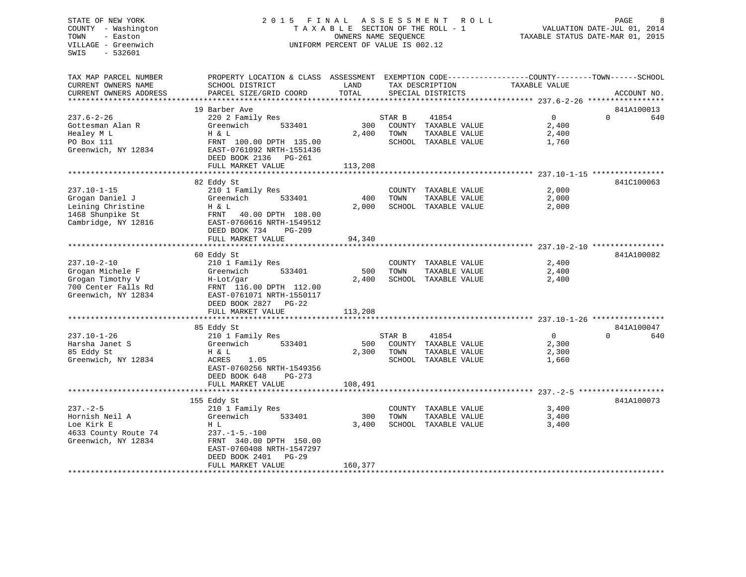## STATE OF NEW YORK 2 0 1 5 F I N A L A S S E S S M E N T R O L L PAGE 8 COUNTY - Washington T A X A B L E SECTION OF THE ROLL - 1 VALUATION DATE-JUL 01, 2014 TOWN - Easton OWNERS NAME SEQUENCE TAXABLE STATUS DATE-MAR 01, 2015 VILLAGE - Greenwich UNIFORM PERCENT OF VALUE IS 002.12

| TAX MAP PARCEL NUMBER<br>CURRENT OWNERS NAME                                                            | PROPERTY LOCATION & CLASS ASSESSMENT<br>SCHOOL DISTRICT                                                                                                                    | LAND                    |                | TAX DESCRIPTION                                                        | EXEMPTION CODE-----------------COUNTY-------TOWN------SCHOOL<br>TAXABLE VALUE |          |             |
|---------------------------------------------------------------------------------------------------------|----------------------------------------------------------------------------------------------------------------------------------------------------------------------------|-------------------------|----------------|------------------------------------------------------------------------|-------------------------------------------------------------------------------|----------|-------------|
| CURRENT OWNERS ADDRESS<br>***********************                                                       | PARCEL SIZE/GRID COORD                                                                                                                                                     | TOTAL                   |                | SPECIAL DISTRICTS                                                      |                                                                               |          | ACCOUNT NO. |
|                                                                                                         | 19 Barber Ave                                                                                                                                                              |                         |                |                                                                        |                                                                               |          | 841A100013  |
| $237.6 - 2 - 26$<br>Gottesman Alan R<br>Healey M L<br>PO Box 111<br>Greenwich, NY 12834                 | 220 2 Family Res<br>Greenwich<br>533401<br>H & L<br>FRNT 100.00 DPTH 135.00<br>EAST-0761092 NRTH-1551436<br>DEED BOOK 2136 PG-261<br>FULL MARKET VALUE                     | 300<br>2,400<br>113,208 | STAR B<br>TOWN | 41854<br>COUNTY TAXABLE VALUE<br>TAXABLE VALUE<br>SCHOOL TAXABLE VALUE | $\overline{0}$<br>2,400<br>2,400<br>1,760                                     | $\Omega$ | 640         |
|                                                                                                         |                                                                                                                                                                            |                         |                |                                                                        |                                                                               |          |             |
| $237.10 - 1 - 15$<br>Grogan Daniel J<br>Leining Christine<br>1468 Shunpike St<br>Cambridge, NY 12816    | 82 Eddy St<br>210 1 Family Res<br>Greenwich<br>533401<br>H & L<br>FRNT<br>40.00 DPTH 108.00<br>EAST-0760616 NRTH-1549512<br>DEED BOOK 734<br>$PG-209$<br>FULL MARKET VALUE | 400<br>2,000<br>94,340  | TOWN           | COUNTY TAXABLE VALUE<br>TAXABLE VALUE<br>SCHOOL TAXABLE VALUE          | 2,000<br>2,000<br>2,000                                                       |          | 841C100063  |
|                                                                                                         |                                                                                                                                                                            |                         |                |                                                                        |                                                                               |          |             |
| $237.10 - 2 - 10$<br>Grogan Michele F<br>Grogan Timothy V<br>700 Center Falls Rd<br>Greenwich, NY 12834 | 60 Eddy St<br>210 1 Family Res<br>Greenwich<br>533401<br>H-Lot/gar<br>FRNT 116.00 DPTH 112.00<br>EAST-0761071 NRTH-1550117<br>DEED BOOK 2827 PG-22<br>FULL MARKET VALUE    | 500<br>2,400<br>113,208 | TOWN           | COUNTY TAXABLE VALUE<br>TAXABLE VALUE<br>SCHOOL TAXABLE VALUE          | 2,400<br>2,400<br>2,400                                                       |          | 841A100082  |
|                                                                                                         | 85 Eddy St                                                                                                                                                                 |                         |                |                                                                        |                                                                               |          | 841A100047  |
| $237.10 - 1 - 26$<br>Harsha Janet S<br>85 Eddy St<br>Greenwich, NY 12834                                | 210 1 Family Res<br>533401<br>Greenwich<br>H & L<br>ACRES<br>1.05<br>EAST-0760256 NRTH-1549356<br>DEED BOOK 648<br>$PG-273$                                                | 500<br>2,300            | STAR B<br>TOWN | 41854<br>COUNTY TAXABLE VALUE<br>TAXABLE VALUE<br>SCHOOL TAXABLE VALUE | $\overline{0}$<br>2,300<br>2,300<br>1,660                                     | $\Omega$ | 640         |
|                                                                                                         | FULL MARKET VALUE                                                                                                                                                          | 108,491                 |                |                                                                        |                                                                               |          |             |
| $237. - 2 - 5$<br>Hornish Neil A<br>Loe Kirk E<br>4633 County Route 74<br>Greenwich, NY 12834           | 155 Eddy St<br>210 1 Family Res<br>533401<br>Greenwich<br>H L<br>$237. -1 - 5. -100$<br>FRNT 340.00 DPTH 150.00<br>EAST-0760408 NRTH-1547297                               | 300<br>3,400            | TOWN           | COUNTY TAXABLE VALUE<br>TAXABLE VALUE<br>SCHOOL TAXABLE VALUE          | 3,400<br>3,400<br>3,400                                                       |          | 841A100073  |
|                                                                                                         | DEED BOOK 2401<br>$PG-29$<br>FULL MARKET VALUE                                                                                                                             | 160,377                 |                |                                                                        |                                                                               |          |             |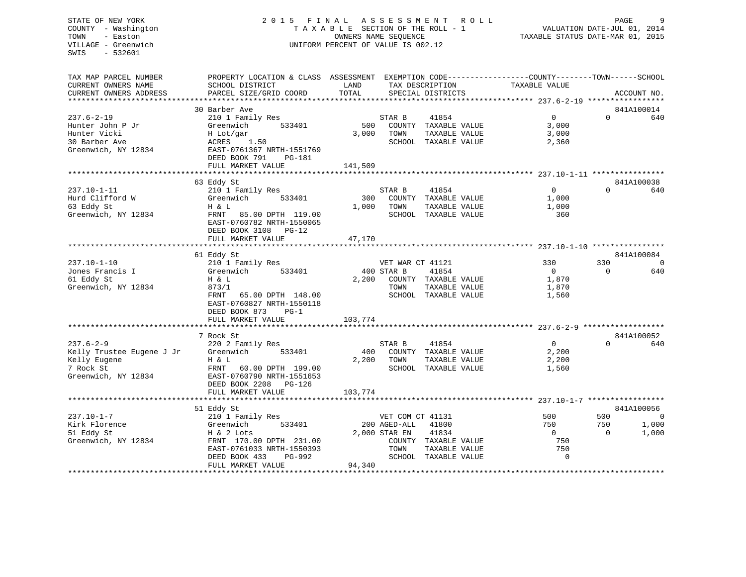# COUNTY - Washington  $\begin{array}{ccc}\n\text{T A X A B L E} & \text{SECTION OF THE ROLL - 1} \\
\text{T} & \text{N} & \text{N} & \text{N} \\
\text{N} & \text{S} & \text{N} & \text{N} \\
\end{array}$ VILLAGE - Greenwich UNIFORM PERCENT OF VALUE IS 002.12

TAXABLE STATUS DATE-MAR 01, 2015

| TAX MAP PARCEL NUMBER     | PROPERTY LOCATION & CLASS ASSESSMENT EXEMPTION CODE---------------COUNTY-------TOWN------SCHOOL |         |                  |                      |                |          |                |
|---------------------------|-------------------------------------------------------------------------------------------------|---------|------------------|----------------------|----------------|----------|----------------|
| CURRENT OWNERS NAME       | SCHOOL DISTRICT                                                                                 | LAND    | TAX DESCRIPTION  |                      | TAXABLE VALUE  |          |                |
| CURRENT OWNERS ADDRESS    | PARCEL SIZE/GRID COORD                                                                          | TOTAL   |                  | SPECIAL DISTRICTS    |                |          | ACCOUNT NO.    |
|                           |                                                                                                 |         |                  |                      |                |          |                |
|                           | 30 Barber Ave                                                                                   |         |                  |                      |                |          | 841A100014     |
| $237.6 - 2 - 19$          | 210 1 Family Res                                                                                |         | STAR B           | 41854                | $\Omega$       | $\Omega$ | 640            |
| Hunter John P Jr          | 533401<br>Greenwich                                                                             | 500     |                  | COUNTY TAXABLE VALUE | 3,000          |          |                |
| Hunter Vicki              | H Lot/gar                                                                                       | 3,000   | TOWN             | TAXABLE VALUE        | 3,000          |          |                |
| 30 Barber Ave             | 1.50<br>ACRES                                                                                   |         |                  | SCHOOL TAXABLE VALUE | 2,360          |          |                |
| Greenwich, NY 12834       | EAST-0761367 NRTH-1551769                                                                       |         |                  |                      |                |          |                |
|                           | DEED BOOK 791<br>PG-181                                                                         |         |                  |                      |                |          |                |
|                           | FULL MARKET VALUE                                                                               | 141,509 |                  |                      |                |          |                |
|                           |                                                                                                 |         |                  |                      |                |          |                |
|                           | 63 Eddy St                                                                                      |         |                  |                      |                |          | 841A100038     |
| $237.10 - 1 - 11$         | 210 1 Family Res                                                                                |         | STAR B           | 41854                | $\mathbf{0}$   | 0        | 640            |
| Hurd Clifford W           | 533401<br>Greenwich                                                                             | 300     |                  | COUNTY TAXABLE VALUE | 1,000          |          |                |
| 63 Eddy St                | H & L                                                                                           | 1,000   | TOWN             | TAXABLE VALUE        | 1,000          |          |                |
| Greenwich, NY 12834       | FRNT<br>85.00 DPTH 119.00                                                                       |         |                  | SCHOOL TAXABLE VALUE | 360            |          |                |
|                           | EAST-0760782 NRTH-1550065                                                                       |         |                  |                      |                |          |                |
|                           | DEED BOOK 3108 PG-12                                                                            |         |                  |                      |                |          |                |
|                           | FULL MARKET VALUE                                                                               | 47,170  |                  |                      |                |          |                |
|                           |                                                                                                 |         |                  |                      |                |          |                |
|                           | 61 Eddy St                                                                                      |         |                  |                      |                |          | 841A100084     |
| $237.10 - 1 - 10$         | 210 1 Family Res                                                                                |         | VET WAR CT 41121 |                      | 330            | 330      | $\overline{0}$ |
| Jones Francis I           | Greenwich<br>533401                                                                             |         | 400 STAR B       | 41854                | $\overline{0}$ | $\Omega$ | 640            |
| 61 Eddy St                | H & L                                                                                           | 2,200   |                  | COUNTY TAXABLE VALUE | 1,870          |          |                |
| Greenwich, NY 12834       | 873/1                                                                                           |         | TOWN             | TAXABLE VALUE        | 1,870          |          |                |
|                           |                                                                                                 |         |                  |                      |                |          |                |
|                           | FRNT<br>65.00 DPTH 148.00                                                                       |         |                  | SCHOOL TAXABLE VALUE | 1,560          |          |                |
|                           | EAST-0760827 NRTH-1550118                                                                       |         |                  |                      |                |          |                |
|                           | DEED BOOK 873<br>$PG-1$                                                                         |         |                  |                      |                |          |                |
|                           | FULL MARKET VALUE                                                                               | 103,774 |                  |                      |                |          |                |
|                           | *****************************                                                                   |         |                  |                      |                |          |                |
|                           | 7 Rock St                                                                                       |         |                  |                      |                |          | 841A100052     |
| $237.6 - 2 - 9$           | 220 2 Family Res                                                                                |         | STAR B           | 41854                | $\overline{0}$ | $\Omega$ | 640            |
| Kelly Trustee Eugene J Jr | Greenwich<br>533401                                                                             | 400     |                  | COUNTY TAXABLE VALUE | 2,200          |          |                |
| Kelly Eugene              | H & L                                                                                           | 2,200   | TOWN             | TAXABLE VALUE        | 2,200          |          |                |
| 7 Rock St                 | FRNT<br>60.00 DPTH 199.00                                                                       |         |                  | SCHOOL TAXABLE VALUE | 1,560          |          |                |
| Greenwich, NY 12834       | EAST-0760790 NRTH-1551653                                                                       |         |                  |                      |                |          |                |
|                           | DEED BOOK 2208 PG-126                                                                           |         |                  |                      |                |          |                |
|                           | FULL MARKET VALUE                                                                               | 103,774 |                  |                      |                |          |                |
|                           |                                                                                                 |         |                  |                      |                |          |                |
|                           | 51 Eddy St                                                                                      |         |                  |                      |                |          | 841A100056     |
| $237.10 - 1 - 7$          | 210 1 Family Res                                                                                |         | VET COM CT 41131 |                      | 500            | 500      | $\mathbf 0$    |
| Kirk Florence             | Greenwich<br>533401                                                                             |         | 200 AGED-ALL     | 41800                | 750            | 750      | 1,000          |
| 51 Eddy St                | H & 2 Lots                                                                                      |         | 2,000 STAR EN    | 41834                | $\Omega$       | $\Omega$ | 1,000          |
| Greenwich, NY 12834       | FRNT 170.00 DPTH 231.00                                                                         |         |                  | COUNTY TAXABLE VALUE | 750            |          |                |
|                           | EAST-0761033 NRTH-1550393                                                                       |         | TOWN             | TAXABLE VALUE        | 750            |          |                |
|                           | DEED BOOK 433<br>PG-992                                                                         |         |                  | SCHOOL TAXABLE VALUE | $\Omega$       |          |                |
|                           | FULL MARKET VALUE                                                                               | 94,340  |                  |                      |                |          |                |
|                           |                                                                                                 |         |                  |                      |                |          |                |
|                           |                                                                                                 |         |                  |                      |                |          |                |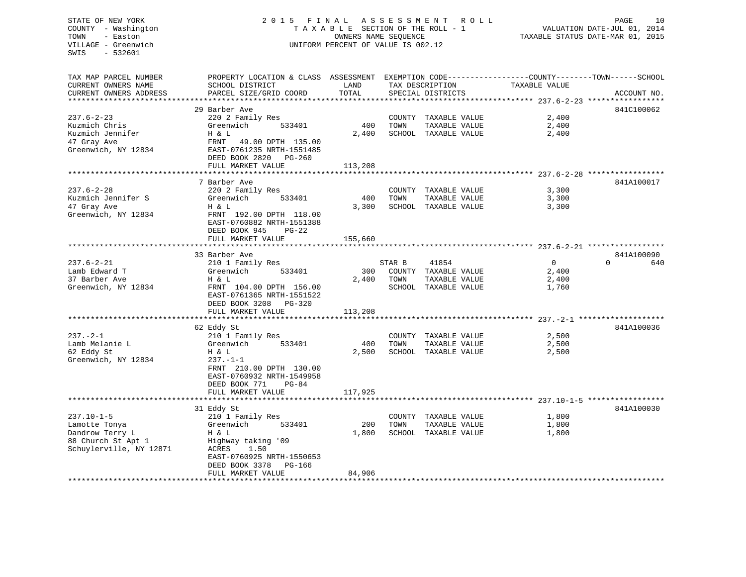## STATE OF NEW YORK 2 0 1 5 F I N A L A S S E S S M E N T R O L L PAGE 10 COUNTY - Washington T A X A B L E SECTION OF THE ROLL - 1 VALUATION DATE-JUL 01, 2014 TOWN - Easton **CONNERS NAME SEQUENCE** TAXABLE STATUS DATE-MAR 01, 2015 VILLAGE - Greenwich UNIFORM PERCENT OF VALUE IS 002.12

| TAX MAP PARCEL NUMBER     | PROPERTY LOCATION & CLASS ASSESSMENT EXEMPTION CODE----------------COUNTY-------TOWN-----SCHOOL |         |        |                      |                |                 |
|---------------------------|-------------------------------------------------------------------------------------------------|---------|--------|----------------------|----------------|-----------------|
| CURRENT OWNERS NAME       | SCHOOL DISTRICT                                                                                 | LAND    |        | TAX DESCRIPTION      | TAXABLE VALUE  |                 |
| CURRENT OWNERS ADDRESS    | PARCEL SIZE/GRID COORD                                                                          | TOTAL   |        | SPECIAL DISTRICTS    |                | ACCOUNT NO.     |
| ************************* |                                                                                                 |         |        |                      |                |                 |
|                           | 29 Barber Ave                                                                                   |         |        |                      |                | 841C100062      |
| $237.6 - 2 - 23$          | 220 2 Family Res                                                                                |         |        | COUNTY TAXABLE VALUE | 2,400          |                 |
| Kuzmich Chris             | Greenwich<br>533401                                                                             | 400     | TOWN   | TAXABLE VALUE        | 2,400          |                 |
| Kuzmich Jennifer          | H & L                                                                                           | 2,400   |        | SCHOOL TAXABLE VALUE | 2,400          |                 |
| 47 Gray Ave               | FRNT<br>49.00 DPTH 135.00                                                                       |         |        |                      |                |                 |
| Greenwich, NY 12834       | EAST-0761235 NRTH-1551485                                                                       |         |        |                      |                |                 |
|                           | DEED BOOK 2820<br>PG-260                                                                        |         |        |                      |                |                 |
|                           | FULL MARKET VALUE                                                                               | 113,208 |        |                      |                |                 |
|                           |                                                                                                 |         |        |                      |                |                 |
|                           | 7 Barber Ave                                                                                    |         |        |                      |                | 841A100017      |
| $237.6 - 2 - 28$          | 220 2 Family Res                                                                                |         |        | COUNTY TAXABLE VALUE | 3,300          |                 |
| Kuzmich Jennifer S        | 533401<br>Greenwich                                                                             | 400     | TOWN   | TAXABLE VALUE        | 3,300          |                 |
| 47 Gray Ave               | H & L                                                                                           | 3,300   |        | SCHOOL TAXABLE VALUE | 3,300          |                 |
| Greenwich, NY 12834       | FRNT 192.00 DPTH 118.00                                                                         |         |        |                      |                |                 |
|                           | EAST-0760882 NRTH-1551388                                                                       |         |        |                      |                |                 |
|                           | DEED BOOK 945<br>$PG-22$                                                                        |         |        |                      |                |                 |
|                           | FULL MARKET VALUE                                                                               | 155,660 |        |                      |                |                 |
|                           |                                                                                                 |         |        |                      |                |                 |
|                           | 33 Barber Ave                                                                                   |         |        |                      |                | 841A100090      |
| $237.6 - 2 - 21$          | 210 1 Family Res                                                                                |         | STAR B | 41854                | $\overline{0}$ | $\Omega$<br>640 |
| Lamb Edward T             | 533401<br>Greenwich                                                                             | 300     |        | COUNTY TAXABLE VALUE | 2,400          |                 |
| 37 Barber Ave             | H & L                                                                                           | 2,400   | TOWN   | TAXABLE VALUE        | 2,400          |                 |
| Greenwich, NY 12834       | FRNT 104.00 DPTH 156.00                                                                         |         |        | SCHOOL TAXABLE VALUE | 1,760          |                 |
|                           | EAST-0761365 NRTH-1551522                                                                       |         |        |                      |                |                 |
|                           | DEED BOOK 3208<br>PG-320                                                                        |         |        |                      |                |                 |
|                           | FULL MARKET VALUE                                                                               | 113,208 |        |                      |                |                 |
|                           |                                                                                                 |         |        |                      |                |                 |
|                           | 62 Eddy St                                                                                      |         |        |                      |                | 841A100036      |
| $237. - 2 - 1$            | 210 1 Family Res                                                                                |         |        | COUNTY TAXABLE VALUE | 2,500          |                 |
| Lamb Melanie L            | Greenwich<br>533401                                                                             | 400     | TOWN   | TAXABLE VALUE        | 2,500          |                 |
| 62 Eddy St                | H & L                                                                                           | 2,500   |        | SCHOOL TAXABLE VALUE | 2,500          |                 |
| Greenwich, NY 12834       | $237. - 1 - 1$                                                                                  |         |        |                      |                |                 |
|                           | FRNT 210.00 DPTH 130.00                                                                         |         |        |                      |                |                 |
|                           | EAST-0760932 NRTH-1549958                                                                       |         |        |                      |                |                 |
|                           | DEED BOOK 771<br>$PG-84$                                                                        |         |        |                      |                |                 |
|                           | FULL MARKET VALUE                                                                               | 117,925 |        |                      |                |                 |
|                           |                                                                                                 |         |        |                      |                | 841A100030      |
| $237.10 - 1 - 5$          | 31 Eddy St<br>210 1 Family Res                                                                  |         |        |                      | 1,800          |                 |
|                           | Greenwich<br>533401                                                                             | 200     | TOWN   | COUNTY TAXABLE VALUE | 1,800          |                 |
| Lamotte Tonya             |                                                                                                 |         |        | TAXABLE VALUE        |                |                 |
| Dandrow Terry L           | H & L                                                                                           | 1,800   |        | SCHOOL TAXABLE VALUE | 1,800          |                 |
| 88 Church St Apt 1        | Highway taking '09                                                                              |         |        |                      |                |                 |
| Schuylerville, NY 12871   | ACRES<br>1.50                                                                                   |         |        |                      |                |                 |
|                           | EAST-0760925 NRTH-1550653                                                                       |         |        |                      |                |                 |
|                           | DEED BOOK 3378<br>PG-166<br>FULL MARKET VALUE                                                   | 84,906  |        |                      |                |                 |
|                           |                                                                                                 |         |        |                      |                |                 |
|                           |                                                                                                 |         |        |                      |                |                 |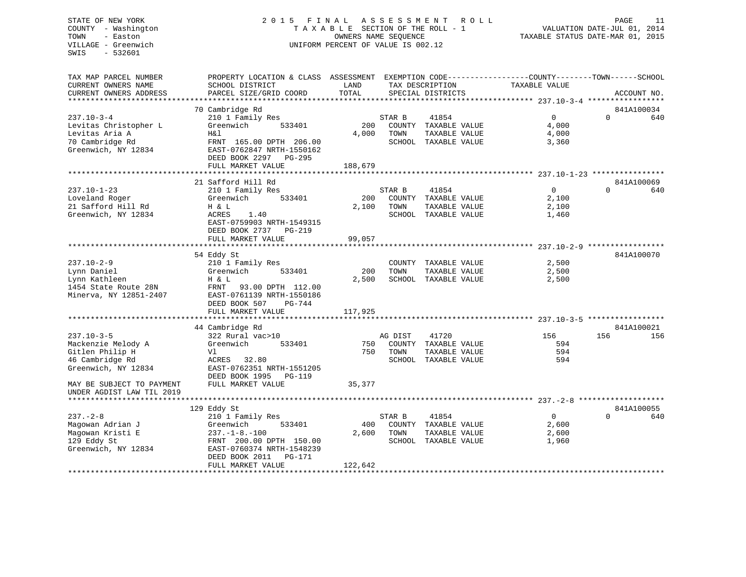## STATE OF NEW YORK 2 0 1 5 F I N A L A S S E S S M E N T R O L L PAGE 11COUNTY - Washington  $\begin{array}{ccc}\n\text{T A X A B L E} & \text{SECTION OF THE ROLL - 1} \\
\text{T} & \text{N} & \text{N} & \text{N} \\
\text{N} & \text{S} & \text{N} & \text{N} \\
\end{array}$ VILLAGE - Greenwich UNIFORM PERCENT OF VALUE IS 002.12

TAXABLE STATUS DATE-MAR 01, 2015

| TAX MAP PARCEL NUMBER     | PROPERTY LOCATION & CLASS ASSESSMENT EXEMPTION CODE----------------COUNTY-------TOWN------SCHOOL |         |         |                      |               |                        |
|---------------------------|--------------------------------------------------------------------------------------------------|---------|---------|----------------------|---------------|------------------------|
| CURRENT OWNERS NAME       | SCHOOL DISTRICT                                                                                  | LAND    |         | TAX DESCRIPTION      | TAXABLE VALUE |                        |
| CURRENT OWNERS ADDRESS    | PARCEL SIZE/GRID COORD                                                                           | TOTAL   |         | SPECIAL DISTRICTS    |               | ACCOUNT NO.            |
|                           |                                                                                                  |         |         |                      |               |                        |
|                           | 70 Cambridge Rd                                                                                  |         |         |                      |               | 841A100034             |
| $237.10 - 3 - 4$          | 210 1 Family Res                                                                                 |         | STAR B  | 41854                | $\Omega$      | $\Omega$<br>640        |
| Levitas Christopher L     | Greenwich<br>533401                                                                              | 200     |         | COUNTY TAXABLE VALUE | 4,000         |                        |
| Levitas Aria A            | H&l                                                                                              | 4,000   | TOWN    | TAXABLE VALUE        | 4,000         |                        |
| 70 Cambridge Rd           | FRNT 165.00 DPTH 206.00                                                                          |         |         | SCHOOL TAXABLE VALUE | 3,360         |                        |
| Greenwich, NY 12834       | EAST-0762847 NRTH-1550162                                                                        |         |         |                      |               |                        |
|                           | DEED BOOK 2297 PG-295                                                                            |         |         |                      |               |                        |
|                           | FULL MARKET VALUE                                                                                | 188,679 |         |                      |               |                        |
|                           |                                                                                                  |         |         |                      |               |                        |
|                           |                                                                                                  |         |         |                      |               |                        |
|                           | 21 Safford Hill Rd                                                                               |         |         |                      | $\Omega$      | 841A100069<br>$\Omega$ |
| $237.10 - 1 - 23$         | 210 1 Family Res                                                                                 |         | STAR B  | 41854                |               | 640                    |
| Loveland Roger            | 533401<br>Greenwich                                                                              | 200     |         | COUNTY TAXABLE VALUE | 2,100         |                        |
| 21 Safford Hill Rd        | H & L                                                                                            | 2,100   | TOWN    | TAXABLE VALUE        | 2,100         |                        |
| Greenwich, NY 12834       | ACRES<br>1.40                                                                                    |         |         | SCHOOL TAXABLE VALUE | 1,460         |                        |
|                           | EAST-0759903 NRTH-1549315                                                                        |         |         |                      |               |                        |
|                           | DEED BOOK 2737 PG-219                                                                            |         |         |                      |               |                        |
|                           | FULL MARKET VALUE                                                                                | 99,057  |         |                      |               |                        |
|                           |                                                                                                  |         |         |                      |               |                        |
|                           | 54 Eddy St                                                                                       |         |         |                      |               | 841A100070             |
| $237.10 - 2 - 9$          | 210 1 Family Res                                                                                 |         |         | COUNTY TAXABLE VALUE | 2,500         |                        |
| Lynn Daniel               | Greenwich<br>533401                                                                              | 200     | TOWN    | TAXABLE VALUE        | 2,500         |                        |
| Lynn Kathleen             | H & L                                                                                            | 2,500   |         | SCHOOL TAXABLE VALUE | 2,500         |                        |
| 1454 State Route 28N      | FRNT 93.00 DPTH 112.00                                                                           |         |         |                      |               |                        |
| Minerva, NY 12851-2407    | EAST-0761139 NRTH-1550186                                                                        |         |         |                      |               |                        |
|                           | DEED BOOK 507<br>$PG-744$                                                                        |         |         |                      |               |                        |
|                           | FULL MARKET VALUE                                                                                | 117,925 |         |                      |               |                        |
|                           | ******************************                                                                   |         |         |                      |               |                        |
|                           | 44 Cambridge Rd                                                                                  |         |         |                      |               | 841A100021             |
| $237.10 - 3 - 5$          | 322 Rural vac>10                                                                                 |         | AG DIST | 41720                | 156           | 156<br>156             |
| Mackenzie Melody A        | Greenwich<br>533401                                                                              | 750     |         | COUNTY TAXABLE VALUE | 594           |                        |
|                           |                                                                                                  | 750     |         |                      | 594           |                        |
| Gitlen Philip H           | Vl                                                                                               |         | TOWN    | TAXABLE VALUE        |               |                        |
| 46 Cambridge Rd           | ACRES 32.80                                                                                      |         |         | SCHOOL TAXABLE VALUE | 594           |                        |
| Greenwich, NY 12834       | EAST-0762351 NRTH-1551205                                                                        |         |         |                      |               |                        |
|                           | DEED BOOK 1995<br><b>PG-119</b>                                                                  |         |         |                      |               |                        |
| MAY BE SUBJECT TO PAYMENT | FULL MARKET VALUE                                                                                | 35,377  |         |                      |               |                        |
| UNDER AGDIST LAW TIL 2019 |                                                                                                  |         |         |                      |               |                        |
|                           |                                                                                                  |         |         |                      |               |                        |
|                           | 129 Eddy St                                                                                      |         |         |                      |               | 841A100055             |
| $237. - 2 - 8$            | 210 1 Family Res                                                                                 |         | STAR B  | 41854                | $\Omega$      | $\Omega$<br>640        |
| Magowan Adrian J          | 533401<br>Greenwich                                                                              | 400     |         | COUNTY TAXABLE VALUE | 2,600         |                        |
| Magowan Kristi E          | $237. -1 - 8. -100$                                                                              | 2,600   | TOWN    | TAXABLE VALUE        | 2,600         |                        |
| 129 Eddy St               | FRNT 200.00 DPTH 150.00                                                                          |         |         | SCHOOL TAXABLE VALUE | 1,960         |                        |
| Greenwich, NY 12834       | EAST-0760374 NRTH-1548239                                                                        |         |         |                      |               |                        |
|                           | DEED BOOK 2011<br>PG-171                                                                         |         |         |                      |               |                        |
|                           | FULL MARKET VALUE                                                                                | 122,642 |         |                      |               |                        |
|                           |                                                                                                  |         |         |                      |               |                        |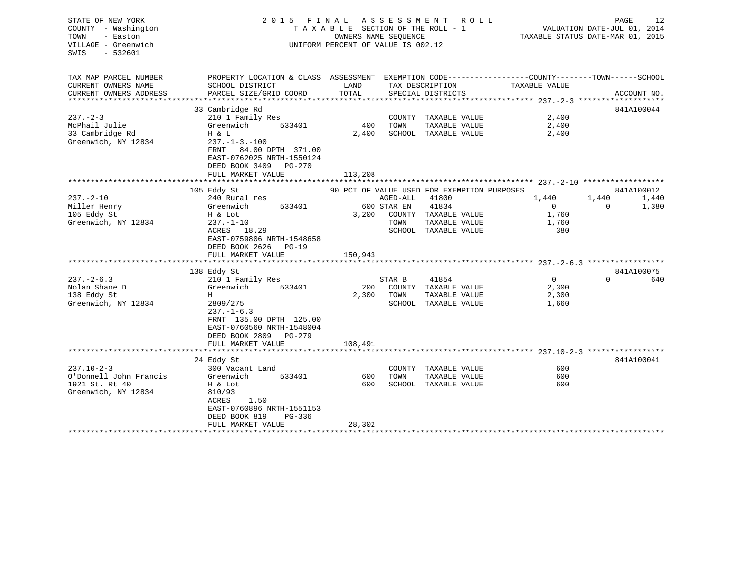| STATE OF NEW YORK<br>COUNTY - Washington<br>TOWN<br>- Easton<br>VILLAGE - Greenwich<br>SWIS<br>$-532601$ |                                                                                                                                    | 2015 FINAL ASSESSMENT<br>ROLL<br>TAXABLE SECTION OF THE ROLL - 1<br>OWNERS NAME SEOUENCE<br>UNIFORM PERCENT OF VALUE IS 002.12 |             |                                             |                | PAGE<br>VALUATION DATE-JUL 01, 2014<br>TAXABLE STATUS DATE-MAR 01, 2015 | 12          |
|----------------------------------------------------------------------------------------------------------|------------------------------------------------------------------------------------------------------------------------------------|--------------------------------------------------------------------------------------------------------------------------------|-------------|---------------------------------------------|----------------|-------------------------------------------------------------------------|-------------|
| TAX MAP PARCEL NUMBER                                                                                    | PROPERTY LOCATION & CLASS ASSESSMENT EXEMPTION CODE---------------COUNTY-------TOWN------SCHOOL                                    |                                                                                                                                |             |                                             |                |                                                                         |             |
| CURRENT OWNERS NAME                                                                                      | SCHOOL DISTRICT                                                                                                                    | LAND                                                                                                                           |             | TAX DESCRIPTION                             | TAXABLE VALUE  |                                                                         |             |
| CURRENT OWNERS ADDRESS                                                                                   | PARCEL SIZE/GRID COORD                                                                                                             | TOTAL                                                                                                                          |             | SPECIAL DISTRICTS                           |                |                                                                         | ACCOUNT NO. |
|                                                                                                          |                                                                                                                                    |                                                                                                                                |             |                                             |                |                                                                         | 841A100044  |
| $237 - 2 - 3$                                                                                            | 33 Cambridge Rd<br>210 1 Family Res                                                                                                |                                                                                                                                |             | COUNTY TAXABLE VALUE                        | 2,400          |                                                                         |             |
| McPhail Julie                                                                                            | 533401<br>Greenwich                                                                                                                | 400                                                                                                                            | TOWN        | TAXABLE VALUE                               | 2,400          |                                                                         |             |
| 33 Cambridge Rd                                                                                          | H & L                                                                                                                              | 2,400                                                                                                                          |             | SCHOOL TAXABLE VALUE                        | 2,400          |                                                                         |             |
| Greenwich, NY 12834                                                                                      | $237. - 1 - 3. - 100$<br>FRNT<br>84.00 DPTH 371.00<br>EAST-0762025 NRTH-1550124<br>DEED BOOK 3409 PG-270                           |                                                                                                                                |             |                                             |                |                                                                         |             |
|                                                                                                          | FULL MARKET VALUE<br>****************                                                                                              | 113,208                                                                                                                        |             |                                             |                |                                                                         |             |
|                                                                                                          | 105 Eddy St                                                                                                                        |                                                                                                                                |             | 90 PCT OF VALUE USED FOR EXEMPTION PURPOSES |                |                                                                         | 841A100012  |
| $237. - 2 - 10$                                                                                          | 240 Rural res                                                                                                                      |                                                                                                                                | AGED-ALL    | 41800                                       | 1,440          | 1,440                                                                   | 1,440       |
| Miller Henry                                                                                             | 533401<br>Greenwich                                                                                                                |                                                                                                                                | 600 STAR EN | 41834                                       | $\overline{0}$ | $\Omega$                                                                | 1,380       |
| 105 Eddy St                                                                                              | H & Lot                                                                                                                            | 3,200                                                                                                                          |             | COUNTY TAXABLE VALUE                        | 1,760          |                                                                         |             |
| Greenwich, NY 12834                                                                                      | $237. - 1 - 10$                                                                                                                    |                                                                                                                                | TOWN        | TAXABLE VALUE                               | 1,760          |                                                                         |             |
|                                                                                                          | ACRES 18.29<br>EAST-0759806 NRTH-1548658<br>DEED BOOK 2626 PG-19<br>FULL MARKET VALUE                                              | 150,943                                                                                                                        |             | SCHOOL TAXABLE VALUE                        | 380            |                                                                         |             |
|                                                                                                          |                                                                                                                                    |                                                                                                                                |             |                                             |                |                                                                         |             |
|                                                                                                          | 138 Eddy St                                                                                                                        |                                                                                                                                |             |                                             |                |                                                                         | 841A100075  |
| $237 - 2 - 6.3$                                                                                          | 210 1 Family Res                                                                                                                   |                                                                                                                                | STAR B      | 41854                                       | $\overline{0}$ | $\Omega$                                                                | 640         |
| Nolan Shane D                                                                                            | Greenwich<br>533401                                                                                                                | 200                                                                                                                            |             | COUNTY TAXABLE VALUE                        | 2,300          |                                                                         |             |
| 138 Eddy St                                                                                              | H                                                                                                                                  | 2,300                                                                                                                          | TOWN        | TAXABLE VALUE                               | 2,300          |                                                                         |             |
| Greenwich, NY 12834                                                                                      | 2809/275<br>$237. - 1 - 6.3$<br>FRNT 135.00 DPTH 125.00<br>EAST-0760560 NRTH-1548004<br>DEED BOOK 2809 PG-279<br>FULL MARKET VALUE |                                                                                                                                |             | SCHOOL TAXABLE VALUE                        | 1,660          |                                                                         |             |
|                                                                                                          |                                                                                                                                    | 108,491                                                                                                                        |             |                                             |                |                                                                         |             |
|                                                                                                          | 24 Eddy St                                                                                                                         |                                                                                                                                |             |                                             |                |                                                                         | 841A100041  |
| $237.10 - 2 - 3$                                                                                         | 300 Vacant Land                                                                                                                    |                                                                                                                                |             | COUNTY TAXABLE VALUE                        | 600            |                                                                         |             |
| O'Donnell John Francis                                                                                   | Greenwich<br>533401                                                                                                                | 600                                                                                                                            | TOWN        | TAXABLE VALUE                               | 600            |                                                                         |             |
| 1921 St. Rt 40                                                                                           | H & Lot                                                                                                                            | 600                                                                                                                            |             | SCHOOL TAXABLE VALUE                        | 600            |                                                                         |             |
| Greenwich, NY 12834                                                                                      | 810/93<br>ACRES<br>1.50<br>EAST-0760896 NRTH-1551153<br>DEED BOOK 819<br>PG-336                                                    |                                                                                                                                |             |                                             |                |                                                                         |             |
|                                                                                                          | FULL MARKET VALUE                                                                                                                  | 28,302                                                                                                                         |             |                                             |                |                                                                         |             |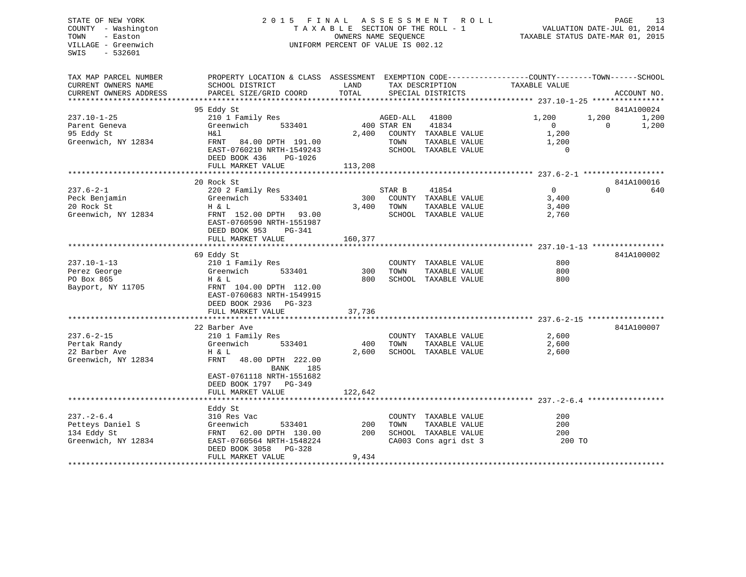## STATE OF NEW YORK 2 0 1 5 F I N A L A S S E S S M E N T R O L L PAGE 13 COUNTY - Washington T A X A B L E SECTION OF THE ROLL - 1 VALUATION DATE-JUL 01, 2014 TOWN - Easton OWNERS NAME SEQUENCE TAXABLE STATUS DATE-MAR 01, 2015 VILLAGE - Greenwich UNIFORM PERCENT OF VALUE IS 002.12

| TAX MAP PARCEL NUMBER  | PROPERTY LOCATION & CLASS ASSESSMENT EXEMPTION CODE----------------COUNTY-------TOWN------SCHOOL |                           |             |                       |                                                              |             |       |
|------------------------|--------------------------------------------------------------------------------------------------|---------------------------|-------------|-----------------------|--------------------------------------------------------------|-------------|-------|
| CURRENT OWNERS NAME    | SCHOOL DISTRICT                                                                                  | LAND                      |             | TAX DESCRIPTION       | TAXABLE VALUE                                                |             |       |
| CURRENT OWNERS ADDRESS | PARCEL SIZE/GRID COORD                                                                           | TOTAL                     |             | SPECIAL DISTRICTS     |                                                              | ACCOUNT NO. |       |
|                        |                                                                                                  |                           |             |                       |                                                              |             |       |
|                        | 95 Eddy St                                                                                       |                           |             |                       |                                                              | 841A100024  |       |
| $237.10 - 1 - 25$      | 210 1 Family Res                                                                                 |                           | AGED-ALL    | 41800                 | 1,200                                                        | 1,200       | 1,200 |
| Parent Geneva          | 533401<br>Greenwich                                                                              |                           | 400 STAR EN | 41834                 | $\Omega$                                                     | $\Omega$    | 1,200 |
| 95 Eddy St             | H&l                                                                                              | 2,400                     |             | COUNTY TAXABLE VALUE  | 1,200                                                        |             |       |
| Greenwich, NY 12834    | FRNT<br>84.00 DPTH 191.00                                                                        |                           | TOWN        | TAXABLE VALUE         | 1,200                                                        |             |       |
|                        | EAST-0760210 NRTH-1549243                                                                        |                           |             | SCHOOL TAXABLE VALUE  | $\Omega$                                                     |             |       |
|                        | DEED BOOK 436<br>PG-1026                                                                         |                           |             |                       |                                                              |             |       |
|                        | FULL MARKET VALUE                                                                                | 113,208                   |             |                       |                                                              |             |       |
|                        |                                                                                                  |                           |             |                       |                                                              |             |       |
|                        | 20 Rock St                                                                                       |                           |             |                       |                                                              | 841A100016  |       |
| $237.6 - 2 - 1$        | 220 2 Family Res                                                                                 |                           | STAR B      | 41854                 | $\Omega$                                                     | $\Omega$    | 640   |
| Peck Benjamin          | 533401<br>Greenwich                                                                              | 300                       |             | COUNTY TAXABLE VALUE  | 3,400                                                        |             |       |
| 20 Rock St             | H & L                                                                                            | 3,400                     | TOWN        | TAXABLE VALUE         | 3,400                                                        |             |       |
| Greenwich, NY 12834    | FRNT 152.00 DPTH<br>93.00                                                                        |                           |             | SCHOOL TAXABLE VALUE  | 2,760                                                        |             |       |
|                        | EAST-0760590 NRTH-1551987                                                                        |                           |             |                       |                                                              |             |       |
|                        | DEED BOOK 953<br>PG-341                                                                          |                           |             |                       |                                                              |             |       |
|                        | FULL MARKET VALUE                                                                                | 160,377                   |             |                       |                                                              |             |       |
|                        | 69 Eddy St                                                                                       |                           |             |                       |                                                              | 841A100002  |       |
| $237.10 - 1 - 13$      | 210 1 Family Res                                                                                 |                           |             | COUNTY TAXABLE VALUE  | 800                                                          |             |       |
| Perez George           | 533401<br>Greenwich                                                                              | 300                       | TOWN        | TAXABLE VALUE         | 800                                                          |             |       |
| PO Box 865             | H & L                                                                                            | 800                       |             | SCHOOL TAXABLE VALUE  | 800                                                          |             |       |
| Bayport, NY 11705      | FRNT 104.00 DPTH 112.00                                                                          |                           |             |                       |                                                              |             |       |
|                        | EAST-0760683 NRTH-1549915                                                                        |                           |             |                       |                                                              |             |       |
|                        | DEED BOOK 2936 PG-323                                                                            |                           |             |                       |                                                              |             |       |
|                        | FULL MARKET VALUE                                                                                | 37,736                    |             |                       |                                                              |             |       |
|                        |                                                                                                  | * * * * * * * * * * * * * |             |                       | ******************************* 237.6-2-15 ***************** |             |       |
|                        | 22 Barber Ave                                                                                    |                           |             |                       |                                                              | 841A100007  |       |
| $237.6 - 2 - 15$       | 210 1 Family Res                                                                                 |                           |             | COUNTY TAXABLE VALUE  | 2,600                                                        |             |       |
| Pertak Randy           | Greenwich<br>533401                                                                              | 400                       | TOWN        | TAXABLE VALUE         | 2,600                                                        |             |       |
| 22 Barber Ave          | H & L                                                                                            | 2,600                     |             | SCHOOL TAXABLE VALUE  | 2,600                                                        |             |       |
| Greenwich, NY 12834    | FRNT<br>48.00 DPTH 222.00                                                                        |                           |             |                       |                                                              |             |       |
|                        | BANK<br>185                                                                                      |                           |             |                       |                                                              |             |       |
|                        | EAST-0761118 NRTH-1551682                                                                        |                           |             |                       |                                                              |             |       |
|                        | DEED BOOK 1797 PG-349                                                                            |                           |             |                       |                                                              |             |       |
|                        | FULL MARKET VALUE                                                                                | 122,642                   |             |                       |                                                              |             |       |
|                        |                                                                                                  |                           |             |                       |                                                              |             |       |
|                        | Eddy St                                                                                          |                           |             |                       |                                                              |             |       |
| $237. - 2 - 6.4$       | 310 Res Vac                                                                                      |                           |             | COUNTY TAXABLE VALUE  | 200                                                          |             |       |
| Petteys Daniel S       | Greenwich<br>533401                                                                              | 200                       | TOWN        | TAXABLE VALUE         | 200                                                          |             |       |
| 134 Eddy St            | FRNT 62.00 DPTH 130.00                                                                           | 200                       |             | SCHOOL TAXABLE VALUE  | 200                                                          |             |       |
| Greenwich, NY 12834    | EAST-0760564 NRTH-1548224                                                                        |                           |             | CA003 Cons agri dst 3 | 200 TO                                                       |             |       |
|                        | DEED BOOK 3058<br>$PG-328$                                                                       |                           |             |                       |                                                              |             |       |
|                        | FULL MARKET VALUE                                                                                | 9,434                     |             |                       |                                                              |             |       |
|                        |                                                                                                  |                           |             |                       |                                                              |             |       |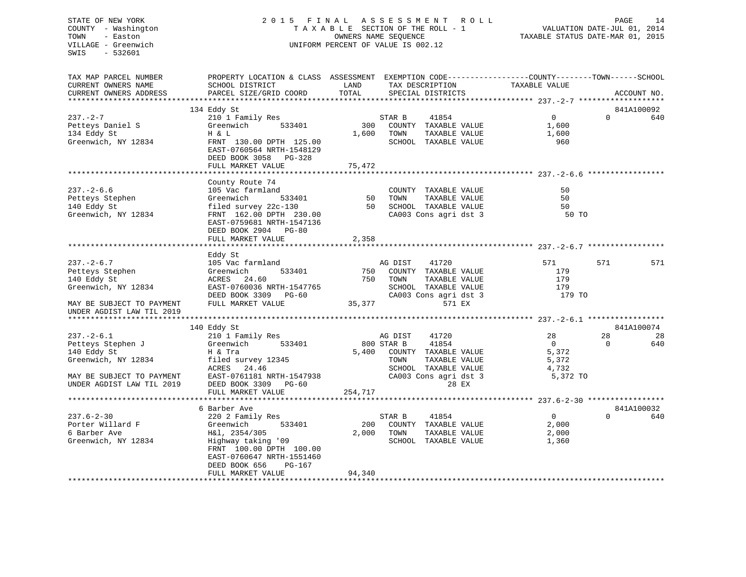## STATE OF NEW YORK 2 0 1 5 F I N A L A S S E S S M E N T R O L L PAGE 14 COUNTY - Washington T A X A B L E SECTION OF THE ROLL - 1 VALUATION DATE-JUL 01, 2014 TOWN - Easton **CONNERS NAME SEQUENCE** TAXABLE STATUS DATE-MAR 01, 2015 VILLAGE - Greenwich UNIFORM PERCENT OF VALUE IS 002.12

| TAX MAP PARCEL NUMBER                           | PROPERTY LOCATION & CLASS ASSESSMENT EXEMPTION CODE---------------COUNTY-------TOWN-----SCHOOL                    |            |                                                                                                   |               |                |          |             |
|-------------------------------------------------|-------------------------------------------------------------------------------------------------------------------|------------|---------------------------------------------------------------------------------------------------|---------------|----------------|----------|-------------|
| CURRENT OWNERS NAME                             | SCHOOL DISTRICT                                                                                                   | LAND       | TAX DESCRIPTION TAXABLE VALUE                                                                     |               |                |          |             |
| CURRENT OWNERS ADDRESS                          | PARCEL SIZE/GRID COORD                                                                                            | TOTAL      | SPECIAL DISTRICTS                                                                                 |               |                |          | ACCOUNT NO. |
|                                                 |                                                                                                                   |            |                                                                                                   |               |                |          |             |
|                                                 | 134 Eddy St                                                                                                       |            |                                                                                                   |               |                |          | 841A100092  |
| $237 - 2 - 7$                                   | 210 <sup>1</sup> Family Res<br>Greenwich 533401                                                                   |            | STAR B<br>41854                                                                                   |               | $\overline{0}$ | $\Omega$ | 640         |
| Petteys Daniel S Greenwich                      |                                                                                                                   |            | 300 COUNTY TAXABLE VALUE                                                                          |               | 1,600          |          |             |
| 134 Eddy St                                     | H & L                                                                                                             |            | 1,600 TOWN                                                                                        | TAXABLE VALUE |                |          |             |
|                                                 | Greenwich, NY 12834 FRNT 130.00 DPTH 125.00<br>EAST-0760564 NRTH-1548129<br>DEED BOOK 3058 PG-328                 |            | SCHOOL TAXABLE VALUE                                                                              |               | 1,600          |          |             |
|                                                 | FULL MARKET VALUE                                                                                                 | 75,472     |                                                                                                   |               |                |          |             |
|                                                 |                                                                                                                   |            |                                                                                                   |               |                |          |             |
|                                                 | County Route 74                                                                                                   |            |                                                                                                   |               |                |          |             |
| $237. - 2 - 6.6$                                | 105 Vac farmland<br>Greenwich 533401 50 TOWN<br>filed survey 22c-130 50 SCHOC<br>FRNT 162.00 DPTH 230.00 50 CA003 |            | COUNTY TAXABLE VALUE                                                                              |               | 50             |          |             |
| Petteys Stephen                                 |                                                                                                                   |            | TAXABLE VALUE                                                                                     |               | 50             |          |             |
| 140 Eddy St                                     |                                                                                                                   |            | 50 SCHOOL TAXABLE VALUE<br>CA003 Cons agri dst 3<br>SCHOOL TAXABLE VALUE<br>CA003 Cons agri dst 3 |               | 50             |          |             |
| Greenwich, NY 12834                             | EAST-0759681 NRTH-1547136<br>DEED BOOK 2904 PG-80                                                                 |            |                                                                                                   |               | 50 TO          |          |             |
|                                                 | FULL MARKET VALUE                                                                                                 | 2,358      |                                                                                                   |               |                |          |             |
|                                                 |                                                                                                                   |            |                                                                                                   |               |                |          |             |
|                                                 | Eddy St                                                                                                           |            |                                                                                                   |               |                |          |             |
| $237. - 2 - 6.7$                                |                                                                                                                   |            | AG DIST<br>41720                                                                                  |               | 571            | 571      | 571         |
| Petteys Stephen                                 | 105 vac 18<br>Greenwich                                                                                           |            | 750 COUNTY TAXABLE VALUE                                                                          |               | 179            |          |             |
| 140 Eddy St                                     | ACRES 24.60 750<br>EAST-0760036 NRTH-1547765 750<br>DEED BOOK 3309 PG-60<br>FUIJ MARWER 111-11                    |            | 750 TOWN<br>TOWN      TAXABLE  VALUE<br>SCHOOL   TAXABLE  VALUE                                   |               | 179            |          |             |
| Greenwich, NY 12834                             |                                                                                                                   |            |                                                                                                   |               | 179            |          |             |
|                                                 |                                                                                                                   |            | CA003 Cons agri dst 3                                                                             |               | 179 TO         |          |             |
| MAY BE SUBJECT TO PAYMENT                       | FULL MARKET VALUE                                                                                                 | 35,377     | 571 EX                                                                                            |               |                |          |             |
| UNDER AGDIST LAW TIL 2019                       |                                                                                                                   |            |                                                                                                   |               |                |          |             |
|                                                 |                                                                                                                   |            |                                                                                                   |               |                |          | 841A100074  |
| $237. - 2 - 6.1$                                | 140 Eddy St<br>$210$ 1 Family Res                                                                                 |            | 41720<br>AG DIST                                                                                  |               | 28             | 28       | -28         |
|                                                 | Greenwich<br>533401                                                                                               | 800 STAR B | 41854                                                                                             |               | $\overline{0}$ | $\Omega$ | 640         |
| Petteys Stephen J<br>140 Eddy St<br>140 Eddy St | H & Tra                                                                                                           |            |                                                                                                   |               |                |          |             |
| Greenwich, NY 12834                             | filed survey 12345                                                                                                |            | 5,400 COUNTY TAXABLE VALUE 5,372<br>TOWN TAXABLE VALUE 5,372                                      |               |                |          |             |
|                                                 | ACRES 24.46                                                                                                       |            | SCHOOL TAXABLE VALUE                                                                              |               | 4,732          |          |             |
|                                                 | MAY BE SUBJECT TO PAYMENT EAST-0761181 NRTH-1547938                                                               |            | CA003 Cons agri dst 3                                                                             |               | 5,372 TO       |          |             |
| UNDER AGDIST LAW TIL 2019                       | DEED BOOK 3309 PG-60                                                                                              |            |                                                                                                   | 28 EX         |                |          |             |
|                                                 | FULL MARKET VALUE                                                                                                 | 254,717    |                                                                                                   |               |                |          |             |
|                                                 |                                                                                                                   |            |                                                                                                   |               |                |          |             |
|                                                 | 6 Barber Ave                                                                                                      |            |                                                                                                   |               |                |          | 841A100032  |
| $237.6 - 2 - 30$                                | 220 2 Family Res                                                                                                  |            | STAR B<br>41854                                                                                   |               | $\overline{0}$ | $\Omega$ | 640         |
| Porter Willard F Greenwich                      | 533401                                                                                                            |            | 200 COUNTY TAXABLE VALUE                                                                          |               | 2,000          |          |             |
| 6 Barber Ave                                    | H&l, 2354/305                                                                                                     |            | 2,000 TOWN                                                                                        | TAXABLE VALUE | 2,000          |          |             |
| Greenwich, NY 12834                             | Highway taking '09<br>FRNT 100.00 DPTH 100.00<br>EAST-0760647 NRTH-1551460<br>DEED BOOK 656<br>PG-167             |            | SCHOOL TAXABLE VALUE                                                                              |               | 1,360          |          |             |
|                                                 | FULL MARKET VALUE                                                                                                 | 94,340     |                                                                                                   |               |                |          |             |
|                                                 |                                                                                                                   |            |                                                                                                   |               |                |          |             |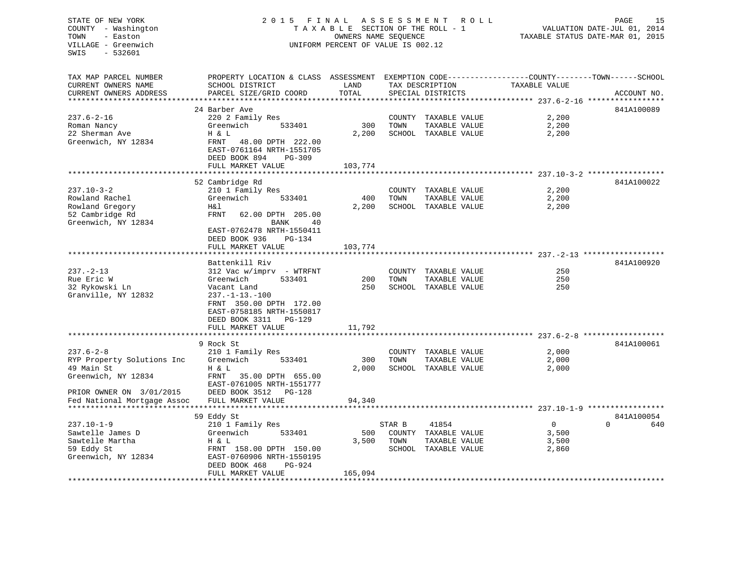## STATE OF NEW YORK 2 0 1 5 F I N A L A S S E S S M E N T R O L L PAGE 15 COUNTY - Washington T A X A B L E SECTION OF THE ROLL - 1 VALUATION DATE-JUL 01, 2014 TOWN - Easton **CONNERS NAME SEQUENCE** TAXABLE STATUS DATE-MAR 01, 2015 VILLAGE - Greenwich UNIFORM PERCENT OF VALUE IS 002.12

| TAX MAP PARCEL NUMBER       | PROPERTY LOCATION & CLASS ASSESSMENT    |         |        |                      | EXEMPTION CODE-----------------COUNTY-------TOWN------SCHOOL |                 |
|-----------------------------|-----------------------------------------|---------|--------|----------------------|--------------------------------------------------------------|-----------------|
| CURRENT OWNERS NAME         | SCHOOL DISTRICT                         | LAND    |        | TAX DESCRIPTION      | TAXABLE VALUE                                                |                 |
| CURRENT OWNERS ADDRESS      | PARCEL SIZE/GRID COORD                  | TOTAL   |        | SPECIAL DISTRICTS    |                                                              | ACCOUNT NO.     |
|                             |                                         |         |        |                      |                                                              |                 |
|                             | 24 Barber Ave                           |         |        |                      |                                                              | 841A100089      |
| $237.6 - 2 - 16$            | 220 2 Family Res                        |         |        | COUNTY TAXABLE VALUE | 2,200                                                        |                 |
| Roman Nancy                 | Greenwich<br>533401                     | 300     | TOWN   | TAXABLE VALUE        | 2,200                                                        |                 |
| 22 Sherman Ave              | H & L                                   | 2,200   |        | SCHOOL TAXABLE VALUE | 2,200                                                        |                 |
| Greenwich, NY 12834         | FRNT<br>48.00 DPTH 222.00               |         |        |                      |                                                              |                 |
|                             | EAST-0761164 NRTH-1551705               |         |        |                      |                                                              |                 |
|                             | DEED BOOK 894<br>PG-309                 |         |        |                      |                                                              |                 |
|                             | FULL MARKET VALUE                       | 103,774 |        |                      |                                                              |                 |
|                             |                                         |         |        |                      |                                                              | 841A100022      |
|                             | 52 Cambridge Rd                         |         |        |                      |                                                              |                 |
| $237.10 - 3 - 2$            | 210 1 Family Res<br>Greenwich<br>533401 |         | TOWN   | COUNTY TAXABLE VALUE | 2,200                                                        |                 |
| Rowland Rachel              |                                         | 400     |        | TAXABLE VALUE        | 2,200                                                        |                 |
| Rowland Gregory             | H&l                                     | 2,200   |        | SCHOOL TAXABLE VALUE | 2,200                                                        |                 |
| 52 Cambridge Rd             | FRNT<br>62.00 DPTH 205.00               |         |        |                      |                                                              |                 |
| Greenwich, NY 12834         | BANK<br>40                              |         |        |                      |                                                              |                 |
|                             | EAST-0762478 NRTH-1550411               |         |        |                      |                                                              |                 |
|                             | DEED BOOK 936<br>PG-134                 |         |        |                      |                                                              |                 |
|                             | FULL MARKET VALUE                       | 103,774 |        |                      | ******************************* 237.-2-13 ******             |                 |
|                             | Battenkill Riv                          |         |        |                      |                                                              | 841A100920      |
| $237. - 2 - 13$             | $312$ Vac w/imprv - WTRFNT              |         |        | COUNTY TAXABLE VALUE | 250                                                          |                 |
| Rue Eric W                  | 533401<br>Greenwich                     | 200     | TOWN   | TAXABLE VALUE        | 250                                                          |                 |
| 32 Rykowski Ln              |                                         | 250     |        | SCHOOL TAXABLE VALUE | 250                                                          |                 |
| Granville, NY 12832         | Vacant Land<br>$237. - 1 - 13. - 100$   |         |        |                      |                                                              |                 |
|                             | FRNT 350.00 DPTH 172.00                 |         |        |                      |                                                              |                 |
|                             | EAST-0758185 NRTH-1550817               |         |        |                      |                                                              |                 |
|                             | DEED BOOK 3311<br>PG-129                |         |        |                      |                                                              |                 |
|                             | FULL MARKET VALUE                       | 11,792  |        |                      |                                                              |                 |
|                             |                                         |         |        |                      |                                                              |                 |
|                             | 9 Rock St                               |         |        |                      |                                                              | 841A100061      |
| $237.6 - 2 - 8$             | 210 1 Family Res                        |         |        | COUNTY TAXABLE VALUE | 2,000                                                        |                 |
| RYP Property Solutions Inc  | Greenwich<br>533401                     | 300     | TOWN   | TAXABLE VALUE        | 2,000                                                        |                 |
| 49 Main St                  | H & L                                   | 2,000   |        | SCHOOL TAXABLE VALUE | 2,000                                                        |                 |
| Greenwich, NY 12834         | FRNT<br>35.00 DPTH 655.00               |         |        |                      |                                                              |                 |
|                             | EAST-0761005 NRTH-1551777               |         |        |                      |                                                              |                 |
| PRIOR OWNER ON 3/01/2015    | DEED BOOK 3512<br>PG-128                |         |        |                      |                                                              |                 |
| Fed National Mortgage Assoc | FULL MARKET VALUE                       | 94,340  |        |                      |                                                              |                 |
|                             | ************************                |         |        |                      |                                                              |                 |
|                             | 59 Eddy St                              |         |        |                      |                                                              | 841A100054      |
| $237.10 - 1 - 9$            | 210 1 Family Res                        |         | STAR B | 41854                | $\overline{0}$                                               | $\Omega$<br>640 |
| Sawtelle James D            | Greenwich<br>533401                     | 500     |        | COUNTY TAXABLE VALUE | 3,500                                                        |                 |
| Sawtelle Martha             | H & L                                   | 3,500   | TOWN   | TAXABLE VALUE        | 3,500                                                        |                 |
| 59 Eddy St                  | FRNT 158.00 DPTH 150.00                 |         |        | SCHOOL TAXABLE VALUE | 2,860                                                        |                 |
| Greenwich, NY 12834         | EAST-0760906 NRTH-1550195               |         |        |                      |                                                              |                 |
|                             | DEED BOOK 468<br>PG-924                 |         |        |                      |                                                              |                 |
|                             | FULL MARKET VALUE                       | 165,094 |        |                      |                                                              |                 |
|                             |                                         |         |        |                      |                                                              |                 |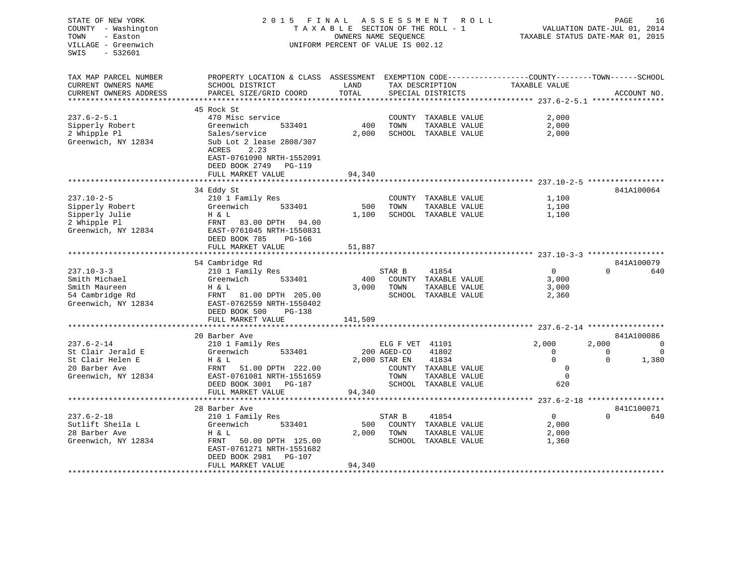| STATE OF NEW YORK<br>COUNTY - Washington<br>TOWN<br>- Easton<br>VILLAGE - Greenwich<br>SWIS<br>- 532601                                | 2015 FINAL<br>UNIFORM PERCENT OF VALUE IS 002.12                                                                                                           | A S S E S S M E N T R O L L<br>TAXABLE SECTION OF THE ROLL - 1<br>OWNERS NAME SEQUENCE | PAGE<br>16<br>VALUATION DATE-JUL 01, 2014<br>TAXABLE STATUS DATE-MAR 01, 2015 |                                                              |                |                |                   |
|----------------------------------------------------------------------------------------------------------------------------------------|------------------------------------------------------------------------------------------------------------------------------------------------------------|----------------------------------------------------------------------------------------|-------------------------------------------------------------------------------|--------------------------------------------------------------|----------------|----------------|-------------------|
| TAX MAP PARCEL NUMBER<br>CURRENT OWNERS NAME<br>CURRENT OWNERS ADDRESS                                                                 | PROPERTY LOCATION & CLASS ASSESSMENT EXEMPTION CODE---------------COUNTY-------TOWN-----SCHOOL<br>SCHOOL DISTRICT<br><b>LAND</b><br>PARCEL SIZE/GRID COORD | TOTAL                                                                                  |                                                                               | ------<br>TAX DESCRIPTION TAXABLE VALUE<br>SPECIAL DISTRICTS |                |                | ACCOUNT NO.       |
|                                                                                                                                        |                                                                                                                                                            |                                                                                        |                                                                               |                                                              |                |                |                   |
|                                                                                                                                        | 45 Rock St                                                                                                                                                 |                                                                                        |                                                                               |                                                              |                |                |                   |
| $237.6 - 2 - 5.1$                                                                                                                      | 470 Misc service                                                                                                                                           |                                                                                        |                                                                               | COUNTY TAXABLE VALUE                                         | 2,000          |                |                   |
| Sipperly Robert                                                                                                                        | Greenwich<br>533401                                                                                                                                        | 400                                                                                    | TOWN                                                                          | TAXABLE VALUE                                                | 2,000          |                |                   |
| 2 Whipple Pl<br>Greenwich, NY 12834                                                                                                    | Sales/service<br>Sub Lot 2 lease 2808/307                                                                                                                  | 2,000                                                                                  |                                                                               | SCHOOL TAXABLE VALUE                                         | 2,000          |                |                   |
|                                                                                                                                        | ACRES<br>2.23                                                                                                                                              |                                                                                        |                                                                               |                                                              |                |                |                   |
|                                                                                                                                        | EAST-0761090 NRTH-1552091                                                                                                                                  |                                                                                        |                                                                               |                                                              |                |                |                   |
|                                                                                                                                        | DEED BOOK 2749 PG-119                                                                                                                                      |                                                                                        |                                                                               |                                                              |                |                |                   |
|                                                                                                                                        | FULL MARKET VALUE                                                                                                                                          | 94,340                                                                                 |                                                                               |                                                              |                |                |                   |
|                                                                                                                                        |                                                                                                                                                            |                                                                                        |                                                                               |                                                              |                |                |                   |
| $237.10 - 2 - 5$                                                                                                                       | 34 Eddy St                                                                                                                                                 |                                                                                        |                                                                               |                                                              |                |                | 841A100064        |
| Sipperly Robert                                                                                                                        | 210 1 Family Res<br>Greenwich 533401                                                                                                                       | 500                                                                                    | TOWN                                                                          | COUNTY TAXABLE VALUE<br>TAXABLE VALUE                        | 1,100<br>1,100 |                |                   |
| Sipperly Julie                                                                                                                         | H & L                                                                                                                                                      | 1,100                                                                                  |                                                                               | SCHOOL TAXABLE VALUE                                         | 1,100          |                |                   |
| 2 Whipple Pl                                                                                                                           | FRNT 83.00 DPTH 94.00                                                                                                                                      |                                                                                        |                                                                               |                                                              |                |                |                   |
| Greenwich, NY 12834                                                                                                                    | EAST-0761045 NRTH-1550831                                                                                                                                  |                                                                                        |                                                                               |                                                              |                |                |                   |
|                                                                                                                                        | DEED BOOK 785<br>PG-166                                                                                                                                    |                                                                                        |                                                                               |                                                              |                |                |                   |
|                                                                                                                                        | FULL MARKET VALUE                                                                                                                                          | 51,887                                                                                 |                                                                               |                                                              |                |                |                   |
|                                                                                                                                        |                                                                                                                                                            |                                                                                        |                                                                               |                                                              |                |                |                   |
|                                                                                                                                        | 54 Cambridge Rd                                                                                                                                            |                                                                                        |                                                                               |                                                              |                |                | 841A100079        |
| $237.10 - 3 - 3$                                                                                                                       | 210 1 Family Res                                                                                                                                           |                                                                                        | STAR B                                                                        | 41854                                                        | $\overline{0}$ | $\Omega$       | 640               |
| Smith Michael                                                                                                                          | Greenwich 533401                                                                                                                                           |                                                                                        |                                                                               | 400 COUNTY TAXABLE VALUE                                     | 3,000          |                |                   |
| Smith Maureen                                                                                                                          | H & L                                                                                                                                                      |                                                                                        | 3,000 TOWN                                                                    | TAXABLE VALUE                                                | 3,000          |                |                   |
| 54 Cambridge Rd<br>Greenwich, NY 12834                                                                                                 | FRNT 81.00 DPTH 205.00<br>EAST-0762559 NRTH-1550402                                                                                                        |                                                                                        |                                                                               | SCHOOL TAXABLE VALUE                                         | 2,360          |                |                   |
|                                                                                                                                        | DEED BOOK 500<br>$PG-138$                                                                                                                                  |                                                                                        |                                                                               |                                                              |                |                |                   |
|                                                                                                                                        | FULL MARKET VALUE                                                                                                                                          | 141,509                                                                                |                                                                               |                                                              |                |                |                   |
|                                                                                                                                        |                                                                                                                                                            |                                                                                        |                                                                               |                                                              |                |                |                   |
|                                                                                                                                        | 20 Barber Ave                                                                                                                                              |                                                                                        |                                                                               |                                                              |                |                | 841A100086        |
| $237.6 - 2 - 14$                                                                                                                       |                                                                                                                                                            |                                                                                        |                                                                               |                                                              |                |                |                   |
|                                                                                                                                        | 210 1 Family Res                                                                                                                                           |                                                                                        | ELG F VET 41101                                                               |                                                              | 2,000          | 2,000          | $\mathbf{0}$      |
|                                                                                                                                        | Greenwich 533401                                                                                                                                           |                                                                                        | 200 AGED-CO                                                                   | 41802                                                        | $\overline{0}$ | $\overline{0}$ | $\overline{0}$    |
|                                                                                                                                        | H & L                                                                                                                                                      |                                                                                        | 2,000 STAR EN                                                                 | 41834                                                        | $\Omega$       | $\Omega$       | 1,380             |
|                                                                                                                                        | FRNT 51.00 DPTH 222.00                                                                                                                                     |                                                                                        |                                                                               | COUNTY TAXABLE VALUE                                         | $\mathbf 0$    |                |                   |
|                                                                                                                                        | EAST-0761081 NRTH-1551659                                                                                                                                  |                                                                                        | TOWN                                                                          | TAXABLE VALUE                                                | $\mathbf 0$    |                |                   |
|                                                                                                                                        | DEED BOOK 3001 PG-187                                                                                                                                      |                                                                                        |                                                                               | SCHOOL TAXABLE VALUE                                         | 620            |                |                   |
|                                                                                                                                        | FULL MARKET VALUE                                                                                                                                          | 94,340                                                                                 |                                                                               |                                                              |                |                |                   |
|                                                                                                                                        |                                                                                                                                                            |                                                                                        |                                                                               |                                                              |                |                |                   |
|                                                                                                                                        | 28 Barber Ave                                                                                                                                              |                                                                                        |                                                                               |                                                              | $\overline{0}$ | $\Omega$       | 841C100071<br>640 |
|                                                                                                                                        | 210 1 Family Res<br>533401                                                                                                                                 |                                                                                        | STAR B                                                                        | 41854                                                        | 2,000          |                |                   |
| St Clair Jerald E<br>St Clair Helen E<br>20 Barber Ave<br>Greenwich, NY 12834<br>$237.6 - 2 - 18$<br>Sutlift Sheila L<br>28 Barber Ave | Greenwich<br>H & L                                                                                                                                         |                                                                                        | 2,000 TOWN                                                                    | 500 COUNTY TAXABLE VALUE<br>TAXABLE VALUE                    | 2,000          |                |                   |
| Greenwich, NY 12834                                                                                                                    | FRNT 50.00 DPTH 125.00                                                                                                                                     |                                                                                        |                                                                               | SCHOOL TAXABLE VALUE                                         | 1,360          |                |                   |
|                                                                                                                                        | EAST-0761271 NRTH-1551682                                                                                                                                  |                                                                                        |                                                                               |                                                              |                |                |                   |
|                                                                                                                                        | DEED BOOK 2981 PG-107<br>FULL MARKET VALUE                                                                                                                 | 94,340                                                                                 |                                                                               |                                                              |                |                |                   |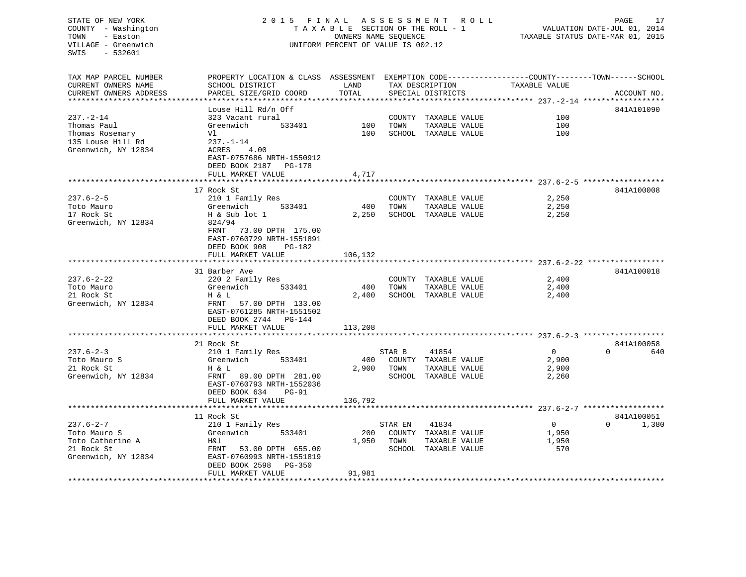## STATE OF NEW YORK 2 0 1 5 F I N A L A S S E S S M E N T R O L L PAGE 17 COUNTY - Washington T A X A B L E SECTION OF THE ROLL - 1 VALUATION DATE-JUL 01, 2014 TOWN - Easton **CONNERS NAME SEQUENCE** TAXABLE STATUS DATE-MAR 01, 2015 VILLAGE - Greenwich UNIFORM PERCENT OF VALUE IS 002.12

| TAX MAP PARCEL NUMBER<br>CURRENT OWNERS NAME<br>CURRENT OWNERS ADDRESS                        | PROPERTY LOCATION & CLASS ASSESSMENT EXEMPTION CODE----------------COUNTY-------TOWN------SCHOOL<br>SCHOOL DISTRICT<br>PARCEL SIZE/GRID COORD                             | LAND<br>TOTAL           |                 | TAX DESCRIPTION<br>SPECIAL DISTRICTS                                   | TAXABLE VALUE                           | ACCOUNT NO.                     |
|-----------------------------------------------------------------------------------------------|---------------------------------------------------------------------------------------------------------------------------------------------------------------------------|-------------------------|-----------------|------------------------------------------------------------------------|-----------------------------------------|---------------------------------|
| $237. - 2 - 14$<br>Thomas Paul<br>Thomas Rosemary<br>135 Louse Hill Rd<br>Greenwich, NY 12834 | Louse Hill Rd/n Off<br>323 Vacant rural<br>Greenwich<br>533401<br>Vl<br>$237. - 1 - 14$<br>4.00<br>ACRES<br>EAST-0757686 NRTH-1550912<br>DEED BOOK 2187<br>PG-178         | 100<br>100              | TOWN            | COUNTY TAXABLE VALUE<br>TAXABLE VALUE<br>SCHOOL TAXABLE VALUE          | 100<br>100<br>100                       | 841A101090                      |
|                                                                                               | FULL MARKET VALUE                                                                                                                                                         | 4,717                   |                 |                                                                        |                                         |                                 |
| $237.6 - 2 - 5$<br>Toto Mauro<br>17 Rock St<br>Greenwich, NY 12834                            | 17 Rock St<br>210 1 Family Res<br>533401<br>Greenwich<br>H & Sub lot 1<br>824/94<br>FRNT<br>73.00 DPTH 175.00<br>EAST-0760729 NRTH-1551891<br>DEED BOOK 908<br>PG-182     | 400<br>2,250            | TOWN            | COUNTY TAXABLE VALUE<br>TAXABLE VALUE<br>SCHOOL TAXABLE VALUE          | 2,250<br>2,250<br>2,250                 | 841A100008                      |
|                                                                                               | FULL MARKET VALUE                                                                                                                                                         | 106,132                 |                 |                                                                        |                                         |                                 |
| $237.6 - 2 - 22$<br>Toto Mauro<br>21 Rock St<br>Greenwich, NY 12834                           | 31 Barber Ave<br>220 2 Family Res<br>Greenwich<br>533401<br>H & L<br>FRNT<br>57.00 DPTH 133.00<br>EAST-0761285 NRTH-1551502<br>DEED BOOK 2744 PG-144<br>FULL MARKET VALUE | 400<br>2,400<br>113,208 | TOWN            | COUNTY TAXABLE VALUE<br>TAXABLE VALUE<br>SCHOOL TAXABLE VALUE          | 2,400<br>2,400<br>2,400                 | 841A100018                      |
| $237.6 - 2 - 3$<br>Toto Mauro S<br>21 Rock St<br>Greenwich, NY 12834                          | 21 Rock St<br>210 1 Family Res<br>533401<br>Greenwich<br>H & L<br>FRNT<br>89.00 DPTH 281.00<br>EAST-0760793 NRTH-1552036<br>DEED BOOK 634<br>$PG-91$<br>FULL MARKET VALUE | 400<br>2,900<br>136,792 | STAR B<br>TOWN  | 41854<br>COUNTY TAXABLE VALUE<br>TAXABLE VALUE<br>SCHOOL TAXABLE VALUE | $\Omega$<br>2,900<br>2,900<br>2,260     | 841A100058<br>$\Omega$<br>640   |
| $237.6 - 2 - 7$<br>Toto Mauro S<br>Toto Catherine A<br>21 Rock St<br>Greenwich, NY 12834      | 11 Rock St<br>210 1 Family Res<br>Greenwich<br>533401<br>H&l<br>FRNT<br>53.00 DPTH 655.00<br>EAST-0760993 NRTH-1551819                                                    | 200<br>1,950            | STAR EN<br>TOWN | 41834<br>COUNTY TAXABLE VALUE<br>TAXABLE VALUE<br>SCHOOL TAXABLE VALUE | $\overline{0}$<br>1,950<br>1,950<br>570 | 841A100051<br>$\Omega$<br>1,380 |
|                                                                                               | DEED BOOK 2598<br>PG-350<br>FULL MARKET VALUE                                                                                                                             | 91,981                  |                 |                                                                        |                                         |                                 |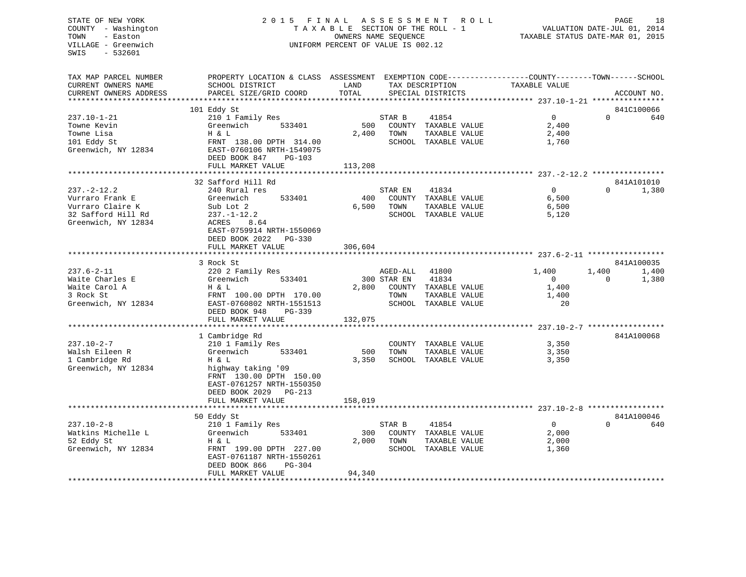## STATE OF NEW YORK 2 0 1 5 F I N A L A S S E S S M E N T R O L L PAGE 18 COUNTY - Washington T A X A B L E SECTION OF THE ROLL - 1 VALUATION DATE-JUL 01, 2014 TOWN - Easton **CONNERS NAME SEQUENCE** TAXABLE STATUS DATE-MAR 01, 2015 VILLAGE - Greenwich UNIFORM PERCENT OF VALUE IS 002.12

| TAX MAP PARCEL NUMBER<br>CURRENT OWNERS NAME                                                          | PROPERTY LOCATION & CLASS ASSESSMENT<br>SCHOOL DISTRICT                                                                                                                                             | LAND                    |                                 | TAX DESCRIPTION                                                                 | EXEMPTION CODE-----------------COUNTY-------TOWN------SCHOOL<br>TAXABLE VALUE |                   |                     |
|-------------------------------------------------------------------------------------------------------|-----------------------------------------------------------------------------------------------------------------------------------------------------------------------------------------------------|-------------------------|---------------------------------|---------------------------------------------------------------------------------|-------------------------------------------------------------------------------|-------------------|---------------------|
| CURRENT OWNERS ADDRESS                                                                                | PARCEL SIZE/GRID COORD                                                                                                                                                                              | TOTAL                   |                                 | SPECIAL DISTRICTS                                                               |                                                                               |                   | ACCOUNT NO.         |
|                                                                                                       |                                                                                                                                                                                                     |                         |                                 |                                                                                 |                                                                               |                   |                     |
| $237.10 - 1 - 21$<br>Towne Kevin<br>Towne Lisa<br>101 Eddy St<br>Greenwich, NY 12834                  | 101 Eddy St<br>210 1 Family Res<br>Greenwich<br>533401<br>H & L<br>FRNT 138.00 DPTH 314.00<br>EAST-0760106 NRTH-1549075<br>DEED BOOK 847<br>PG-103<br>FULL MARKET VALUE                             | 500<br>2,400<br>113,208 | STAR B<br>TOWN                  | 41854<br>COUNTY TAXABLE VALUE<br>TAXABLE VALUE<br>SCHOOL TAXABLE VALUE          | $\Omega$<br>2,400<br>2,400<br>1,760                                           | $\Omega$          | 841C100066<br>640   |
|                                                                                                       |                                                                                                                                                                                                     |                         |                                 |                                                                                 |                                                                               |                   |                     |
| $237. - 2 - 12.2$<br>Vurraro Frank E<br>Vurraro Claire K<br>32 Safford Hill Rd<br>Greenwich, NY 12834 | 32 Safford Hill Rd<br>240 Rural res<br>Greenwich<br>533401<br>Sub Lot 2<br>$237. - 1 - 12.2$<br>ACRES<br>8.64<br>EAST-0759914 NRTH-1550069<br>DEED BOOK 2022<br>$PG-330$<br>FULL MARKET VALUE       | 400<br>6,500<br>306,604 | STAR EN<br>TOWN                 | 41834<br>COUNTY TAXABLE VALUE<br>TAXABLE VALUE<br>SCHOOL TAXABLE VALUE          | $\Omega$<br>6,500<br>6,500<br>5,120                                           | $\Omega$          | 841A101010<br>1,380 |
|                                                                                                       | 3 Rock St                                                                                                                                                                                           |                         |                                 |                                                                                 |                                                                               |                   | 841A100035          |
| $237.6 - 2 - 11$<br>Waite Charles E<br>Waite Carol A<br>3 Rock St<br>Greenwich, NY 12834              | 220 2 Family Res<br>Greenwich<br>533401<br>H & L<br>FRNT 100.00 DPTH 170.00<br>EAST-0760802 NRTH-1551513<br>DEED BOOK 948<br>PG-339<br>FULL MARKET VALUE                                            | 2,800<br>132,075        | AGED-ALL<br>300 STAR EN<br>TOWN | 41800<br>41834<br>COUNTY TAXABLE VALUE<br>TAXABLE VALUE<br>SCHOOL TAXABLE VALUE | 1,400<br>$\overline{0}$<br>1,400<br>1,400<br>20                               | 1,400<br>$\Omega$ | 1,400<br>1,380      |
|                                                                                                       |                                                                                                                                                                                                     |                         |                                 |                                                                                 |                                                                               |                   |                     |
| $237.10 - 2 - 7$<br>Walsh Eileen R<br>1 Cambridge Rd<br>Greenwich, NY 12834                           | 1 Cambridge Rd<br>210 1 Family Res<br>Greenwich<br>533401<br>H & L<br>highway taking '09<br>FRNT 130.00 DPTH 150.00<br>EAST-0761257 NRTH-1550350<br>DEED BOOK 2029<br>$PG-213$<br>FULL MARKET VALUE | 500<br>3,350<br>158,019 | TOWN                            | COUNTY TAXABLE VALUE<br>TAXABLE VALUE<br>SCHOOL TAXABLE VALUE                   | 3,350<br>3,350<br>3,350                                                       |                   | 841A100068          |
|                                                                                                       | ****************************                                                                                                                                                                        |                         |                                 |                                                                                 |                                                                               |                   |                     |
| $237.10 - 2 - 8$<br>Watkins Michelle L<br>52 Eddy St<br>Greenwich, NY 12834                           | 50 Eddy St<br>210 1 Family Res<br>Greenwich<br>533401<br>H & L<br>FRNT 199.00 DPTH 227.00<br>EAST-0761187 NRTH-1550261<br>DEED BOOK 866<br>PG-304<br>FULL MARKET VALUE                              | 300<br>2,000<br>94,340  | STAR B<br>TOWN                  | 41854<br>COUNTY TAXABLE VALUE<br>TAXABLE VALUE<br>SCHOOL TAXABLE VALUE          | $\mathbf{0}$<br>2,000<br>2,000<br>1,360                                       | $\Omega$          | 841A100046<br>640   |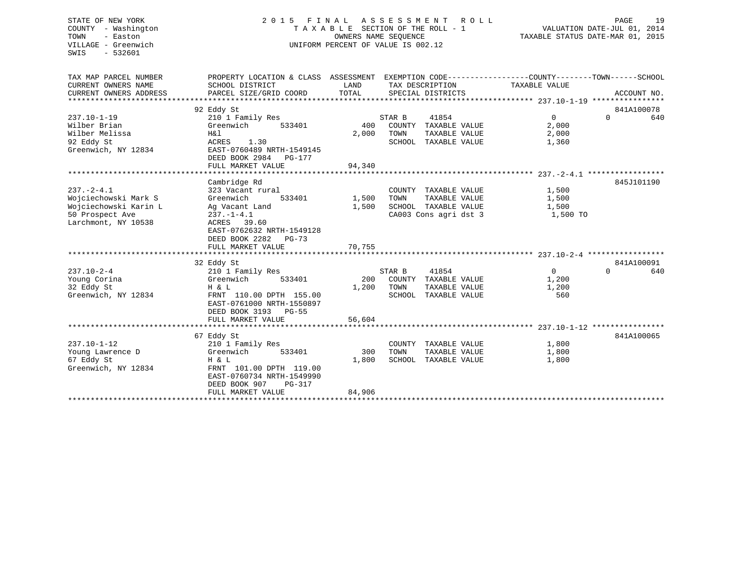## STATE OF NEW YORK 2 0 1 5 F I N A L A S S E S S M E N T R O L L PAGE 19COUNTY - Washington T A X A B L E SECTION OF THE ROLL - 1 VALUATION DATE-JUL 01, 2014 VILLAGE - Greenwich UNIFORM PERCENT OF VALUE IS 002.12

TAXABLE STATUS DATE-MAR 01, 2015

| TAX MAP PARCEL NUMBER<br>CURRENT OWNERS NAME<br>CURRENT OWNERS ADDRESS                                      | PROPERTY LOCATION & CLASS ASSESSMENT<br>SCHOOL DISTRICT<br>PARCEL SIZE/GRID COORD                                                                                         | LAND<br>TOTAL          | EXEMPTION CODE----------------COUNTY-------TOWN------SCHOOL<br>TAX DESCRIPTION<br>SPECIAL DISTRICTS | TAXABLE VALUE                         | ACCOUNT NO.                   |
|-------------------------------------------------------------------------------------------------------------|---------------------------------------------------------------------------------------------------------------------------------------------------------------------------|------------------------|-----------------------------------------------------------------------------------------------------|---------------------------------------|-------------------------------|
| $237.10 - 1 - 19$<br>Wilber Brian<br>Wilber Melissa<br>92 Eddy St<br>Greenwich, NY 12834                    | 92 Eddy St<br>210 1 Family Res<br>Greenwich<br>533401<br>H&l<br>ACRES<br>1.30<br>EAST-0760489 NRTH-1549145<br>DEED BOOK 2984<br>PG-177<br>FULL MARKET VALUE               | 400<br>2,000<br>94,340 | STAR B<br>41854<br>COUNTY<br>TAXABLE VALUE<br>TOWN<br>TAXABLE VALUE<br>SCHOOL TAXABLE VALUE         | $\Omega$<br>2,000<br>2,000<br>1,360   | 841A100078<br>$\Omega$<br>640 |
|                                                                                                             |                                                                                                                                                                           |                        |                                                                                                     |                                       |                               |
| $237. - 2 - 4.1$<br>Wojciechowski Mark S<br>Wojciechowski Karin L<br>50 Prospect Ave<br>Larchmont, NY 10538 | Cambridge Rd<br>323 Vacant rural<br>533401<br>Greenwich<br>Ag Vacant Land<br>$237. - 1 - 4.1$<br>39.60<br>ACRES<br>EAST-0762632 NRTH-1549128<br>DEED BOOK 2282<br>$PG-73$ | 1,500<br>1,500         | COUNTY TAXABLE VALUE<br>TOWN<br>TAXABLE VALUE<br>SCHOOL TAXABLE VALUE<br>CA003 Cons agri dst 3      | 1,500<br>1,500<br>1,500<br>1,500 TO   | 845J101190                    |
|                                                                                                             | FULL MARKET VALUE                                                                                                                                                         | 70,755                 |                                                                                                     |                                       |                               |
|                                                                                                             | 32 Eddy St                                                                                                                                                                |                        |                                                                                                     |                                       | 841A100091                    |
| $237.10 - 2 - 4$<br>Young Corina<br>32 Eddy St<br>Greenwich, NY 12834                                       | 210 1 Family Res<br>Greenwich<br>533401<br>H & L<br>FRNT 110.00 DPTH 155.00<br>EAST-0761000 NRTH-1550897<br>DEED BOOK 3193<br>$PG-55$                                     | 200<br>1,200           | 41854<br>STAR B<br>COUNTY TAXABLE VALUE<br>TOWN<br>TAXABLE VALUE<br>SCHOOL<br>TAXABLE VALUE         | $\mathsf{O}$<br>1,200<br>1,200<br>560 | 640<br>$\Omega$               |
|                                                                                                             | FULL MARKET VALUE                                                                                                                                                         | 56,604                 |                                                                                                     |                                       |                               |
| $237.10 - 1 - 12$<br>Young Lawrence D<br>67 Eddy St<br>Greenwich, NY 12834                                  | 67 Eddy St<br>210 1 Family Res<br>Greenwich<br>533401<br>H & L<br>FRNT 101.00 DPTH 119.00<br>EAST-0760734 NRTH-1549990<br>DEED BOOK 907<br>$PG-317$                       | 300<br>1,800           | COUNTY TAXABLE VALUE<br>TOWN<br>TAXABLE VALUE<br>SCHOOL TAXABLE VALUE                               | 1,800<br>1,800<br>1,800               | 841A100065                    |
|                                                                                                             | FULL MARKET VALUE                                                                                                                                                         | 84,906                 |                                                                                                     |                                       |                               |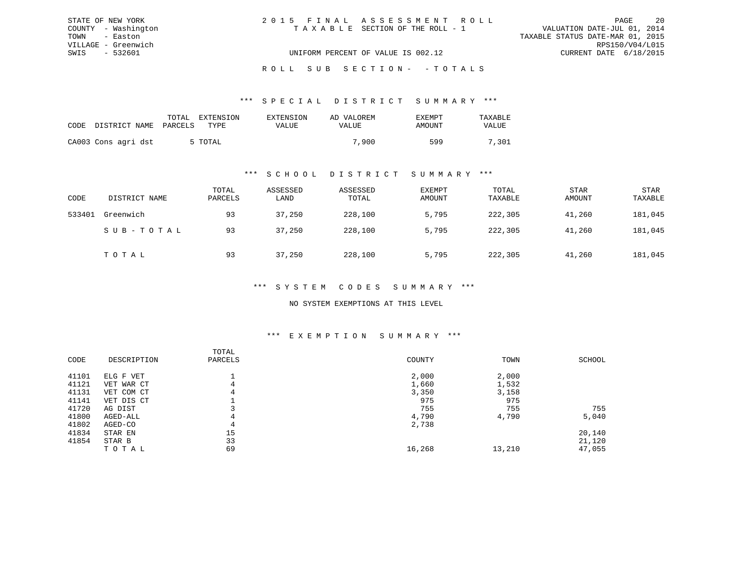|      | STATE OF NEW YORK   | 2015 FINAL ASSESSMENT ROLL         |                                  | PAGE                   | - 20 |
|------|---------------------|------------------------------------|----------------------------------|------------------------|------|
|      | COUNTY - Washington | TAXABLE SECTION OF THE ROLL - 1    | VALUATION DATE-JUL 01, 2014      |                        |      |
| TOWN | - Easton            |                                    | TAXABLE STATUS DATE-MAR 01, 2015 |                        |      |
|      | VILLAGE - Greenwich |                                    |                                  | RPS150/V04/L015        |      |
| SWIS | - 532601            | UNIFORM PERCENT OF VALUE IS 002.12 |                                  | CURRENT DATE 6/18/2015 |      |

ROLL SUB SECTION - - TOTALS

#### \*\*\* S P E C I A L D I S T R I C T S U M M A R Y \*\*\*

| CODE | DISTRICT NAME       | TOTAL<br>PARCELS | EXTENSION<br>TYPE | EXTENSION<br>VALUE | AD VALOREM<br>VALUE | <b>EXEMPT</b><br>AMOUNT | TAXABLE<br>VALUE |
|------|---------------------|------------------|-------------------|--------------------|---------------------|-------------------------|------------------|
|      | CA003 Cons agri dst |                  | 5 TOTAL           |                    | 7,900               | 599                     | 7,301            |

#### \*\*\* S C H O O L D I S T R I C T S U M M A R Y \*\*\*

| CODE   | DISTRICT NAME | TOTAL<br>PARCELS | ASSESSED<br>LAND | ASSESSED<br>TOTAL | EXEMPT<br>AMOUNT | TOTAL<br>TAXABLE | <b>STAR</b><br>AMOUNT | <b>STAR</b><br>TAXABLE |
|--------|---------------|------------------|------------------|-------------------|------------------|------------------|-----------------------|------------------------|
| 533401 | Greenwich     | 93               | 37,250           | 228,100           | 5,795            | 222,305          | 41,260                | 181,045                |
|        | SUB-TOTAL     | 93               | 37,250           | 228,100           | 5,795            | 222,305          | 41,260                | 181,045                |
|        | TOTAL         | 93               | 37,250           | 228,100           | 5,795            | 222,305          | 41,260                | 181,045                |

#### \*\*\* S Y S T E M C O D E S S U M M A R Y \*\*\*

#### NO SYSTEM EXEMPTIONS AT THIS LEVEL

#### \*\*\* E X E M P T I O N S U M M A R Y \*\*\*

| CODE  | DESCRIPTION | TOTAL<br>PARCELS | COUNTY | TOWN   | SCHOOL |
|-------|-------------|------------------|--------|--------|--------|
| 41101 | ELG F VET   |                  | 2,000  | 2,000  |        |
| 41121 | VET WAR CT  | 4                | 1,660  | 1,532  |        |
| 41131 | VET COM CT  | 4                | 3,350  | 3,158  |        |
| 41141 | VET DIS CT  |                  | 975    | 975    |        |
| 41720 | AG DIST     |                  | 755    | 755    | 755    |
| 41800 | AGED-ALL    | 4                | 4,790  | 4,790  | 5,040  |
| 41802 | AGED-CO     | 4                | 2,738  |        |        |
| 41834 | STAR EN     | 15               |        |        | 20,140 |
| 41854 | STAR B      | 33               |        |        | 21,120 |
|       | TOTAL       | 69               | 16,268 | 13,210 | 47,055 |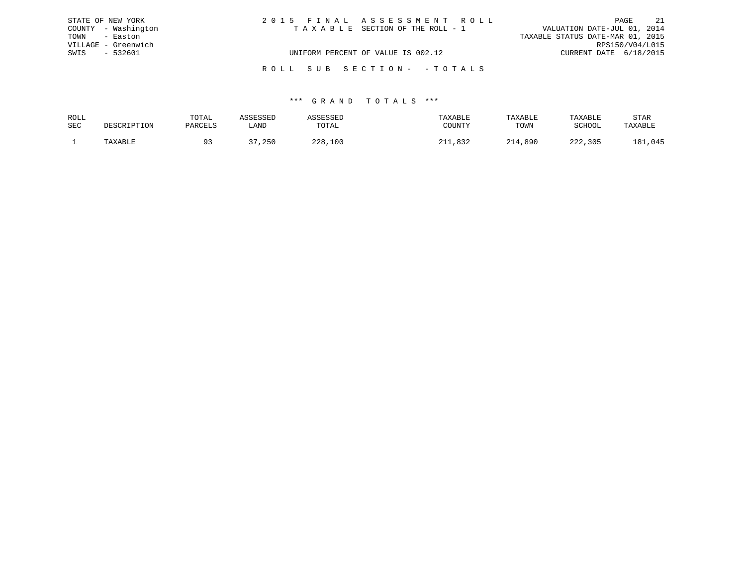| STATE OF NEW YORK   | 2015 FINAL ASSESSMENT ROLL |                                    |                                  | PAGE | 2.1 |
|---------------------|----------------------------|------------------------------------|----------------------------------|------|-----|
| COUNTY - Washington |                            | TAXABLE SECTION OF THE ROLL - 1    | VALUATION DATE-JUL 01, 2014      |      |     |
| TOWN<br>- Easton    |                            |                                    | TAXABLE STATUS DATE-MAR 01, 2015 |      |     |
| VILLAGE - Greenwich |                            |                                    | RPS150/V04/L015                  |      |     |
| SWIS<br>- 532601    |                            | UNIFORM PERCENT OF VALUE IS 002.12 | CURRENT DATE 6/18/2015           |      |     |
|                     | ROLL SUB SECTION- -TOTALS  |                                    |                                  |      |     |

| ROLL | TOTAL    |              |                 | TAXABLE | TAXABLE | <b>TAXABLE</b> | STAR            |
|------|----------|--------------|-----------------|---------|---------|----------------|-----------------|
| SEC  | DARCIT.S | ' AND        | ጥሰጥ አ ፣<br>UIAI | COUNTY  | TOWN    | 2011001        |                 |
|      |          | つらい<br>، د ب | つつQ<br>,100     |         | 890.    | $\cap$<br>305  | .045<br>$\circ$ |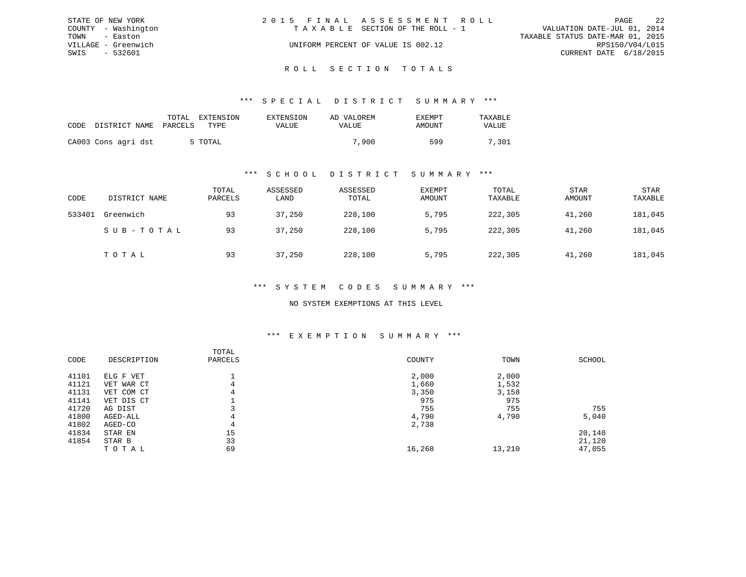|      | STATE OF NEW YORK   | 2015 FINAL ASSESSMENT ROLL         |                                  |                        | PAGE | 2.2 |
|------|---------------------|------------------------------------|----------------------------------|------------------------|------|-----|
|      | COUNTY - Washington | TAXABLE SECTION OF THE ROLL - 1    | VALUATION DATE-JUL 01, 2014      |                        |      |     |
|      | TOWN - Easton       |                                    | TAXABLE STATUS DATE-MAR 01, 2015 |                        |      |     |
|      | VILLAGE - Greenwich | UNIFORM PERCENT OF VALUE IS 002.12 |                                  | RPS150/V04/L015        |      |     |
| SWIS | - 532601            |                                    |                                  | CURRENT DATE 6/18/2015 |      |     |
|      |                     |                                    |                                  |                        |      |     |

## ROLL SECTION TOTALS

#### \*\*\* S P E C I A L D I S T R I C T S U M M A R Y \*\*\*

| CODE | DISTRICT NAME PARCELS | TOTAL | EXTENSION<br>TYPE. | EXTENSION<br>VALUE | AD VALOREM<br>VALUE | EXEMPT<br>AMOUNT | TAXABLE<br><b>VALUE</b> |
|------|-----------------------|-------|--------------------|--------------------|---------------------|------------------|-------------------------|
|      | CA003 Cons agri dst   |       | 5 TOTAL            |                    | 7,900               | 599              | 7,301                   |

#### \*\*\* S C H O O L D I S T R I C T S U M M A R Y \*\*\*

| CODE   | DISTRICT NAME | TOTAL<br>PARCELS | ASSESSED<br>LAND | ASSESSED<br>TOTAL | EXEMPT<br>AMOUNT | TOTAL<br>TAXABLE | <b>STAR</b><br>AMOUNT | <b>STAR</b><br>TAXABLE |
|--------|---------------|------------------|------------------|-------------------|------------------|------------------|-----------------------|------------------------|
| 533401 | Greenwich     | 93               | 37,250           | 228,100           | 5,795            | 222,305          | 41,260                | 181,045                |
|        | SUB-TOTAL     | 93               | 37,250           | 228,100           | 5,795            | 222,305          | 41,260                | 181,045                |
|        | TOTAL         | 93               | 37,250           | 228,100           | 5,795            | 222,305          | 41,260                | 181,045                |

#### \*\*\* S Y S T E M C O D E S S U M M A R Y \*\*\*

#### NO SYSTEM EXEMPTIONS AT THIS LEVEL

#### \*\*\* E X E M P T I O N S U M M A R Y \*\*\*

|       |             | TOTAL   |        |        |        |
|-------|-------------|---------|--------|--------|--------|
| CODE  | DESCRIPTION | PARCELS | COUNTY | TOWN   | SCHOOL |
| 41101 | ELG F VET   |         | 2,000  | 2,000  |        |
| 41121 | VET WAR CT  | 4       | 1,660  | 1,532  |        |
| 41131 | VET COM CT  | 4       | 3,350  | 3,158  |        |
| 41141 | VET DIS CT  |         | 975    | 975    |        |
| 41720 | AG DIST     |         | 755    | 755    | 755    |
| 41800 | AGED-ALL    | 4       | 4,790  | 4,790  | 5,040  |
| 41802 | AGED-CO     | 4       | 2,738  |        |        |
| 41834 | STAR EN     | 15      |        |        | 20,140 |
| 41854 | STAR B      | 33      |        |        | 21,120 |
|       | TOTAL       | 69      | 16,268 | 13,210 | 47,055 |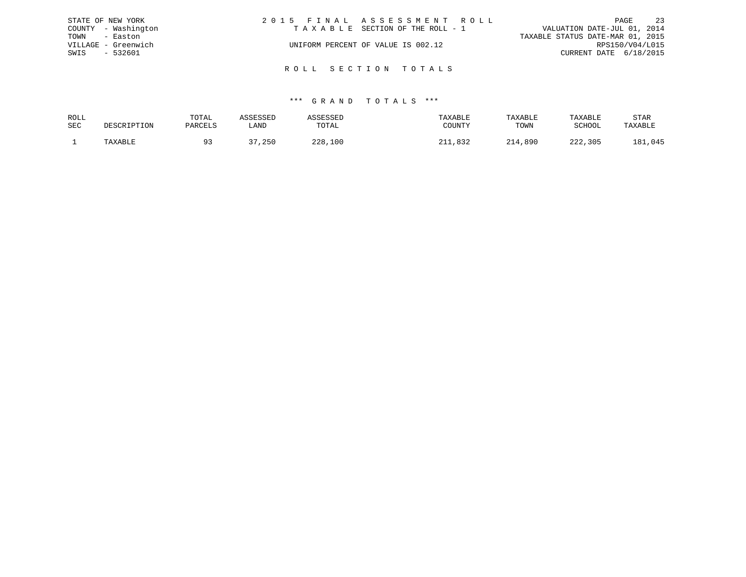| STATE OF NEW YORK |                     | 2015 FINAL ASSESSMENT ROLL         |  |                                  | PAGE            | 23 |
|-------------------|---------------------|------------------------------------|--|----------------------------------|-----------------|----|
|                   | COUNTY - Washington | TAXABLE SECTION OF THE ROLL - 1    |  | VALUATION DATE-JUL 01, 2014      |                 |    |
| TOWN              | - Easton            |                                    |  | TAXABLE STATUS DATE-MAR 01, 2015 |                 |    |
|                   | VILLAGE - Greenwich | UNIFORM PERCENT OF VALUE IS 002.12 |  |                                  | RPS150/V04/L015 |    |
| SWIS              | - 532601            |                                    |  | CURRENT DATE 6/18/2015           |                 |    |
|                   |                     |                                    |  |                                  |                 |    |
|                   |                     | ROLL SECTION TOTALS                |  |                                  |                 |    |

| ROLL |             | TOTAL   | ASSESSEL |             | TAXABLE | TAXABLE | TAXABLE     | STAR          |
|------|-------------|---------|----------|-------------|---------|---------|-------------|---------------|
| SEC  | DESCRIPTION | PARCELS | LAND     | TOTAL       | COUNTY  | TOWN    | SCHOOL      | TAXABLE       |
|      | TAXABLE     |         | , 250    | 228.<br>100 | ຼຊາຕ    | 214,890 | າາາ<br>,305 | .045<br>1 2 1 |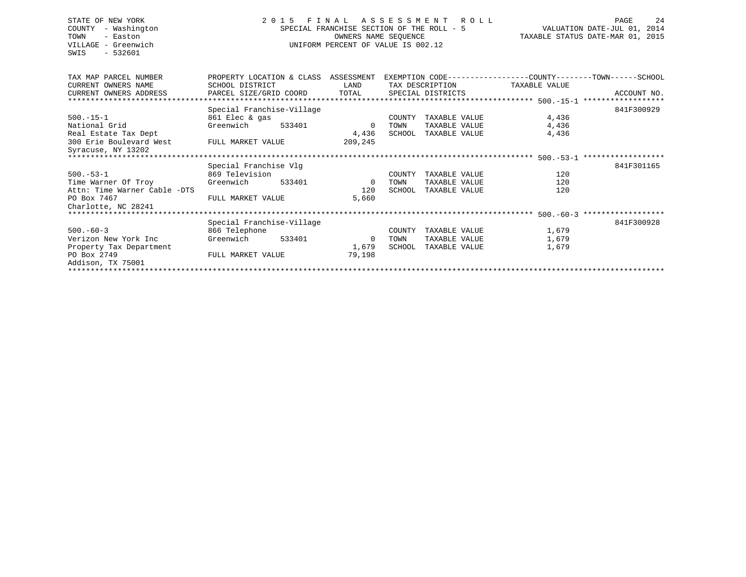## STATE OF NEW YORK 2 0 1 5 F I N A L A S S E S S M E N T R O L L PAGE 24 COUNTY - Washington SPECIAL FRANCHISE SECTION OF THE ROLL - 5 VALUATION DATE-JUL 01, 2014 TOWN - Easton OWNERS NAME SEQUENCE TAXABLE STATUS DATE-MAR 01, 2015 VILLAGE - Greenwich UNIFORM PERCENT OF VALUE IS 002.12

| TAX MAP PARCEL NUMBER        | PROPERTY LOCATION & CLASS    |        | ASSESSMENT     |                   |                      | EXEMPTION CODE-----------------COUNTY-------TOWN------SCHOOL |       |             |
|------------------------------|------------------------------|--------|----------------|-------------------|----------------------|--------------------------------------------------------------|-------|-------------|
| CURRENT OWNERS NAME          | SCHOOL DISTRICT              |        | LAND           |                   | TAX DESCRIPTION      | TAXABLE VALUE                                                |       |             |
| CURRENT OWNERS ADDRESS       | PARCEL SIZE/GRID COORD TOTAL |        |                | SPECIAL DISTRICTS |                      |                                                              |       | ACCOUNT NO. |
|                              |                              |        |                |                   |                      |                                                              |       |             |
|                              | Special Franchise-Village    |        |                |                   |                      |                                                              |       | 841F300929  |
| $500.-15-1$                  | 861 Elec & gas               |        |                | COUNTY            | TAXABLE VALUE        |                                                              | 4,436 |             |
| National Grid                | Greenwich                    | 533401 | $\overline{0}$ | TOWN              | TAXABLE VALUE        |                                                              | 4,436 |             |
| Real Estate Tax Dept         |                              |        | 4,436          |                   | SCHOOL TAXABLE VALUE |                                                              | 4,436 |             |
| 300 Erie Boulevard West      | FULL MARKET VALUE            |        | 209,245        |                   |                      |                                                              |       |             |
| Syracuse, NY 13202           |                              |        |                |                   |                      |                                                              |       |             |
|                              |                              |        |                |                   |                      |                                                              |       |             |
|                              | Special Franchise Vlg        |        |                |                   |                      |                                                              |       | 841F301165  |
| $500.-53-1$                  | 869 Television               |        |                | COUNTY            | TAXABLE VALUE        |                                                              | 120   |             |
| Time Warner Of Troy          | Greenwich                    | 533401 | $\overline{0}$ | TOWN              | TAXABLE VALUE        |                                                              | 120   |             |
| Attn: Time Warner Cable -DTS |                              |        | 120            | SCHOOL            | TAXABLE VALUE        |                                                              | 120   |             |
| PO Box 7467                  | FULL MARKET VALUE            |        | 5,660          |                   |                      |                                                              |       |             |
| Charlotte, NC 28241          |                              |        |                |                   |                      |                                                              |       |             |
|                              |                              |        |                |                   |                      |                                                              |       |             |
|                              | Special Franchise-Village    |        |                |                   |                      |                                                              |       | 841F300928  |
| $500 - 60 - 3$               | 866 Telephone                |        |                | COUNTY            | TAXABLE VALUE        |                                                              | 1,679 |             |
| Verizon New York Inc         | Greenwich                    | 533401 | 0              | TOWN              | TAXABLE VALUE        |                                                              | 1,679 |             |
| Property Tax Department      |                              |        | 1,679          | SCHOOL            | TAXABLE VALUE        |                                                              | 1,679 |             |
| PO Box 2749                  | FULL MARKET VALUE            |        | 79,198         |                   |                      |                                                              |       |             |
| Addison, TX 75001            |                              |        |                |                   |                      |                                                              |       |             |
|                              |                              |        |                |                   |                      |                                                              |       |             |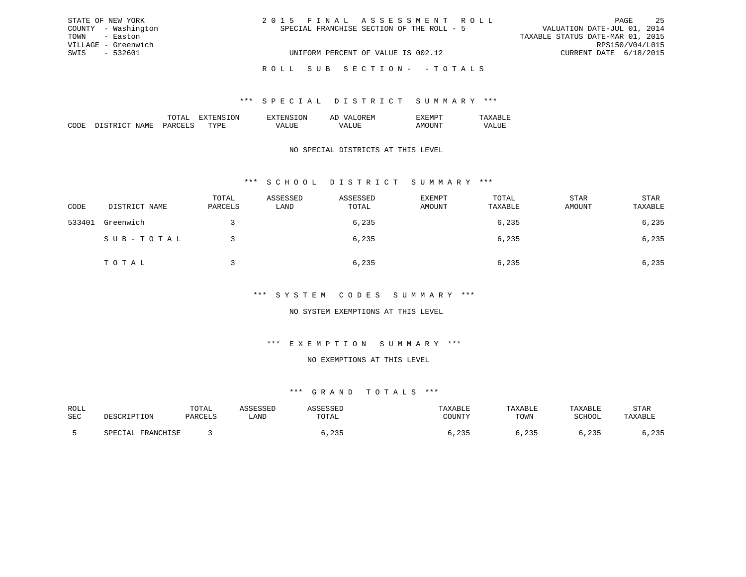| STATE OF NEW YORK   | 2015 FINAL ASSESSMENT ROLL                | -25<br>PAGE                      |
|---------------------|-------------------------------------------|----------------------------------|
| COUNTY - Washington | SPECIAL FRANCHISE SECTION OF THE ROLL - 5 | VALUATION DATE-JUL 01, 2014      |
| TOWN - Easton       |                                           | TAXABLE STATUS DATE-MAR 01, 2015 |
| VILLAGE - Greenwich |                                           | RPS150/V04/L015                  |
| SWIS - 532601       | UNIFORM PERCENT OF VALUE IS 002.12        | CURRENT DATE 6/18/2015           |
|                     | ROLL SUB SECTION- -TOTALS                 |                                  |

|                 |     | ON. | 51 |  |
|-----------------|-----|-----|----|--|
| יחי<br>л п<br>w | m v | ш   |    |  |

### NO SPECIAL DISTRICTS AT THIS LEVEL

## \*\*\* S C H O O L D I S T R I C T S U M M A R Y \*\*\*

| CODE   | DISTRICT NAME | TOTAL<br>PARCELS | ASSESSED<br>LAND | ASSESSED<br>TOTAL | EXEMPT<br>AMOUNT | TOTAL<br>TAXABLE | <b>STAR</b><br>AMOUNT | STAR<br>TAXABLE |
|--------|---------------|------------------|------------------|-------------------|------------------|------------------|-----------------------|-----------------|
| 533401 | Greenwich     |                  |                  | 6,235             |                  | 6,235            |                       | 6,235           |
|        | SUB-TOTAL     |                  |                  | 6,235             |                  | 6,235            |                       | 6,235           |
|        | TOTAL         |                  |                  | 6,235             |                  | 6,235            |                       | 6,235           |

#### \*\*\* S Y S T E M C O D E S S U M M A R Y \*\*\*

### NO SYSTEM EXEMPTIONS AT THIS LEVEL

### \*\*\* E X E M P T I O N S U M M A R Y \*\*\*

#### NO EXEMPTIONS AT THIS LEVEL

| ROLL |                             | T <sub>0</sub><br>TATAT |      |                           |                                  | <b>ABLE</b>  | <b>TAXABLE</b> | STAR                        |
|------|-----------------------------|-------------------------|------|---------------------------|----------------------------------|--------------|----------------|-----------------------------|
| SEC  | r I ON                      | ם דקדו מרכ              | LAND | .UIAL                     | $\cap$ ot tnitely<br>. U U 1 1 1 | TOWN         | $CCLLOC^*$     | TAXABLE                     |
|      | <b>FDANCUTCF</b><br>------- |                         |      | $\sim$ $\sim$ $\sim$<br>. | $\sim$ $\sim$ $\sim$<br>۔ د ے ،  | つつに<br>- 200 |                | $\cap$ $\cap$ $\Gamma$<br>. |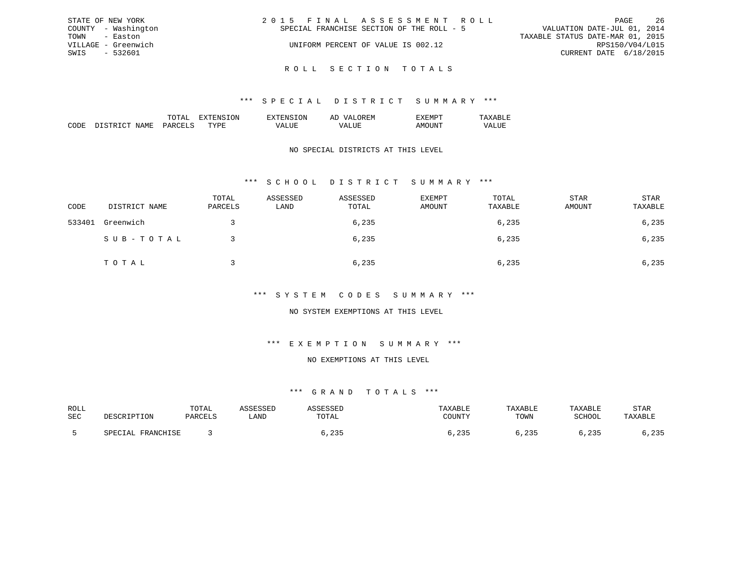| STATE OF NEW YORK   | 2015 FINAL ASSESSMENT ROLL                | -26<br>PAGE                      |
|---------------------|-------------------------------------------|----------------------------------|
| COUNTY - Washington | SPECIAL FRANCHISE SECTION OF THE ROLL - 5 | VALUATION DATE-JUL 01, 2014      |
| TOWN - Easton       |                                           | TAXABLE STATUS DATE-MAR 01, 2015 |
| VILLAGE - Greenwich | UNIFORM PERCENT OF VALUE IS 002.12        | RPS150/V04/L015                  |
| SWIS - 532601       |                                           | CURRENT DATE 6/18/2015           |
|                     |                                           |                                  |

R O L L S E C T I O N T O T A L S

|  | 'NN | : IVI |  |
|--|-----|-------|--|
|  |     |       |  |

### NO SPECIAL DISTRICTS AT THIS LEVEL

## \*\*\* S C H O O L D I S T R I C T S U M M A R Y \*\*\*

| CODE   | DISTRICT NAME | TOTAL<br>PARCELS | ASSESSED<br>LAND | ASSESSED<br>TOTAL | EXEMPT<br>AMOUNT | TOTAL<br>TAXABLE | STAR<br>AMOUNT | STAR<br>TAXABLE |
|--------|---------------|------------------|------------------|-------------------|------------------|------------------|----------------|-----------------|
| 533401 | Greenwich     |                  |                  | 6,235             |                  | 6,235            |                | 6,235           |
|        | SUB-TOTAL     |                  |                  | 6,235             |                  | 6,235            |                | 6,235           |
|        | TOTAL         |                  |                  | 6,235             |                  | 6,235            |                | 6,235           |

### \*\*\* S Y S T E M C O D E S S U M M A R Y \*\*\*

### NO SYSTEM EXEMPTIONS AT THIS LEVEL

## \*\*\* E X E M P T I O N S U M M A R Y \*\*\*

#### NO EXEMPTIONS AT THIS LEVEL

| ROLL |                                         | TOTAL           |      |             |                                | $A$ $H$ . |        | STAR     |
|------|-----------------------------------------|-----------------|------|-------------|--------------------------------|-----------|--------|----------|
| SEC  | ואר דידים דפור ז                        | <b>DARCTI</b> S | LAND | UIAL        | COTINTU                        | TOWN      | SCHOOL |          |
|      |                                         |                 |      |             |                                |           |        |          |
|      | <b>ED ANOUT CE</b><br>ו ב⊿<br>– ⊥\LT⊥v∖ |                 |      | $\sim$<br>. | $\sim$ $\sim$ $\sim$<br>۔ ت ہے | つつに       | .      | つつに<br>. |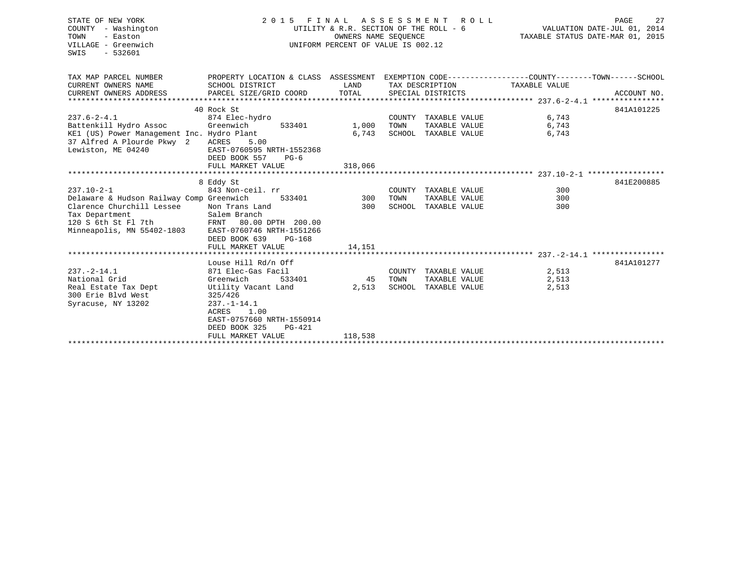| STATE OF NEW YORK<br>COUNTY - Washington<br>TOWN<br>- Easton<br>VILLAGE - Greenwich<br>SWIS<br>$-532601$                                                         | FINAL ASSESSMENT ROLL<br>2 0 1 5<br>UTILITY & R.R. SECTION OF THE ROLL - 6<br>UNIFORM PERCENT OF VALUE IS 002.12                                                                                 | TAXABLE STATUS DATE-MAR 01, 2015 | 27<br>PAGE<br>VALUATION DATE-JUL 01, 2014                             |                         |             |
|------------------------------------------------------------------------------------------------------------------------------------------------------------------|--------------------------------------------------------------------------------------------------------------------------------------------------------------------------------------------------|----------------------------------|-----------------------------------------------------------------------|-------------------------|-------------|
| TAX MAP PARCEL NUMBER<br>CURRENT OWNERS NAME                                                                                                                     | PROPERTY LOCATION & CLASS ASSESSMENT EXEMPTION CODE---------------COUNTY-------TOWN------SCHOOL<br>SCHOOL DISTRICT                                                                               | LAND                             | TAX DESCRIPTION                                                       | TAXABLE VALUE           |             |
| CURRENT OWNERS ADDRESS                                                                                                                                           | PARCEL SIZE/GRID COORD                                                                                                                                                                           | TOTAL                            | SPECIAL DISTRICTS                                                     |                         | ACCOUNT NO. |
|                                                                                                                                                                  | 40 Rock St                                                                                                                                                                                       |                                  |                                                                       |                         | 841A101225  |
| $237.6 - 2 - 4.1$<br>Battenkill Hydro Assoc<br>KE1 (US) Power Management Inc. Hydro Plant<br>37 Alfred A Plourde Pkwy 2<br>Lewiston, ME 04240                    | 874 Elec-hydro<br>Greenwich<br>533401<br>ACRES<br>5.00<br>EAST-0760595 NRTH-1552368<br>DEED BOOK 557<br>$PG-6$                                                                                   | 1,000<br>6,743                   | COUNTY TAXABLE VALUE<br>TOWN<br>TAXABLE VALUE<br>SCHOOL TAXABLE VALUE | 6,743<br>6,743<br>6,743 |             |
|                                                                                                                                                                  | FULL MARKET VALUE                                                                                                                                                                                | 318,066                          |                                                                       |                         |             |
|                                                                                                                                                                  |                                                                                                                                                                                                  |                                  |                                                                       |                         |             |
| $237.10 - 2 - 1$<br>Delaware & Hudson Railway Comp Greenwich<br>Clarence Churchill Lessee<br>Tax Department<br>120 S 6th St Fl 7th<br>Minneapolis, MN 55402-1803 | 8 Eddy St<br>843 Non-ceil. rr<br>Non Trans Land<br>Salem Branch<br>FRNT 80.00 DPTH 200.00<br>EAST-0760746 NRTH-1551266<br>DEED BOOK 639<br>$PG-168$                                              | 533401 300<br>300                | COUNTY TAXABLE VALUE<br>TOWN<br>TAXABLE VALUE<br>SCHOOL TAXABLE VALUE | 300<br>300<br>300       | 841E200885  |
|                                                                                                                                                                  | FULL MARKET VALUE                                                                                                                                                                                | 14,151                           |                                                                       |                         |             |
| $237. - 2 - 14.1$<br>National Grid<br>Real Estate Tax Dept<br>300 Erie Blvd West<br>Syracuse, NY 13202                                                           | Louse Hill Rd/n Off<br>871 Elec-Gas Facil<br>Greenwich<br>533401<br>Utility Vacant Land<br>325/426<br>$237. - 1 - 14.1$<br>ACRES<br>1.00<br>EAST-0757660 NRTH-1550914<br>DEED BOOK 325<br>PG-421 | 45 TOWN                          | COUNTY TAXABLE VALUE<br>TAXABLE VALUE<br>2,513 SCHOOL TAXABLE VALUE   | 2,513<br>2,513<br>2,513 | 841A101277  |
|                                                                                                                                                                  | FULL MARKET VALUE                                                                                                                                                                                | 118,538                          |                                                                       |                         |             |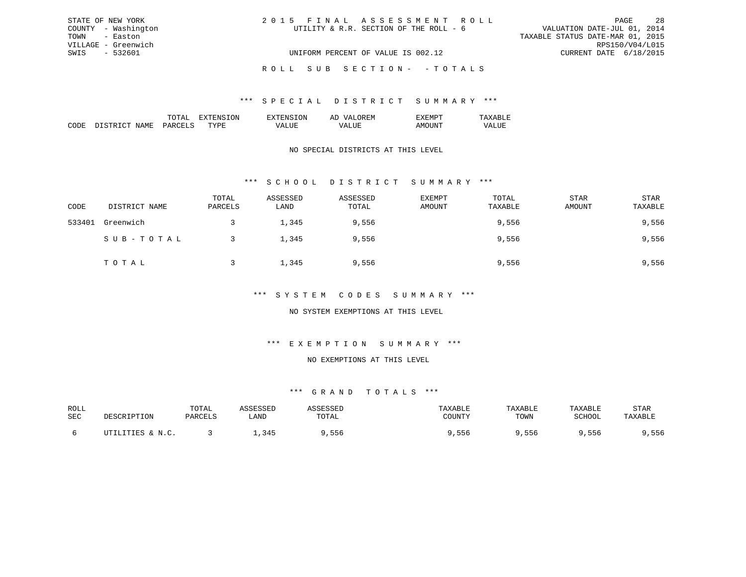| STATE OF NEW YORK   | 2015 FINAL ASSESSMENT ROLL             | 28<br>PAGE                       |
|---------------------|----------------------------------------|----------------------------------|
| COUNTY - Washington | UTILITY & R.R. SECTION OF THE ROLL - 6 | VALUATION DATE-JUL 01, 2014      |
| TOWN - Easton       |                                        | TAXABLE STATUS DATE-MAR 01, 2015 |
| VILLAGE - Greenwich |                                        | RPS150/V04/L015                  |
| SWIS - 532601       | UNIFORM PERCENT OF VALUE IS 002.12     | CURRENT DATE 6/18/2015           |
|                     | ROLL SUB SECTION- - TOTALS             |                                  |

|                       |    | . IN . | – |  |
|-----------------------|----|--------|---|--|
| . <del>. .</del><br>. | ᠇᠇ | .      |   |  |

### NO SPECIAL DISTRICTS AT THIS LEVEL

## \*\*\* S C H O O L D I S T R I C T S U M M A R Y \*\*\*

| CODE   | DISTRICT NAME | TOTAL<br>PARCELS | ASSESSED<br>LAND | ASSESSED<br>TOTAL | <b>EXEMPT</b><br>AMOUNT | TOTAL<br>TAXABLE | <b>STAR</b><br>AMOUNT | STAR<br>TAXABLE |
|--------|---------------|------------------|------------------|-------------------|-------------------------|------------------|-----------------------|-----------------|
| 533401 | Greenwich     |                  | 1,345            | 9,556             |                         | 9,556            |                       | 9,556           |
|        | SUB-TOTAL     |                  | 1,345            | 9,556             |                         | 9,556            |                       | 9,556           |
|        | TOTAL         |                  | 1,345            | 9,556             |                         | 9,556            |                       | 9,556           |

#### \*\*\* S Y S T E M C O D E S S U M M A R Y \*\*\*

### NO SYSTEM EXEMPTIONS AT THIS LEVEL

#### \*\*\* E X E M P T I O N S U M M A R Y \*\*\*

#### NO EXEMPTIONS AT THIS LEVEL

| ROLL |                                  | TOTAL    |                 |        |        | <b><i>LAXABLE</i></b> | TAXABLE | STAR |
|------|----------------------------------|----------|-----------------|--------|--------|-----------------------|---------|------|
| SEC  | <b>TDTTON</b>                    | D∆R∩FT.⊂ | LAND            | UTAL   | ∩UINTV | TOWN                  | SCHOOL  |      |
|      | TTTPC .<br>$\mathbf{M}$ $\alpha$ |          | 24I<br><u>.</u> | h<br>. | っっと    | סכל                   | っっぺ     | 6 לכ |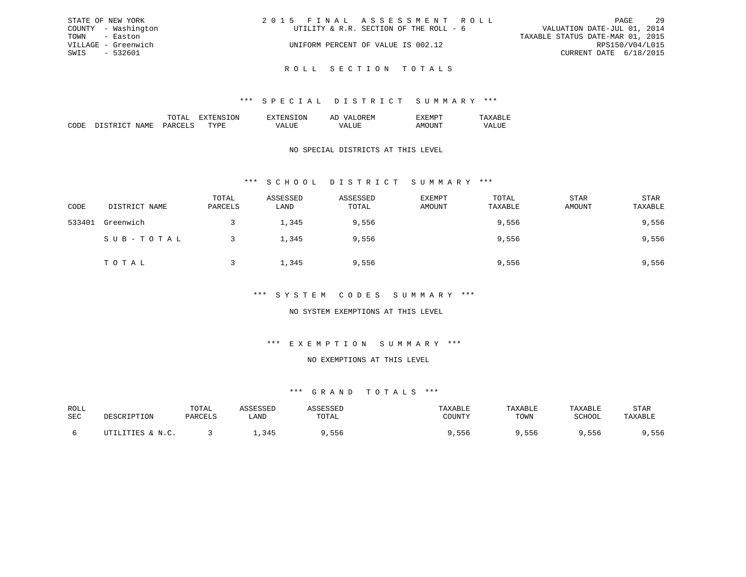| STATE OF NEW YORK   | 2015 FINAL ASSESSMENT ROLL             | - 29<br>PAGE                     |
|---------------------|----------------------------------------|----------------------------------|
| COUNTY - Washington | UTILITY & R.R. SECTION OF THE ROLL - 6 | VALUATION DATE-JUL 01, 2014      |
| TOWN - Easton       |                                        | TAXABLE STATUS DATE-MAR 01, 2015 |
| VILLAGE - Greenwich | UNIFORM PERCENT OF VALUE IS 002.12     | RPS150/V04/L015                  |
| SWIS - 532601       |                                        | CURRENT DATE 6/18/2015           |
|                     |                                        |                                  |

R O L L S E C T I O N T O T A L S

|  | 'NN | : IVI |  |
|--|-----|-------|--|
|  |     |       |  |

### NO SPECIAL DISTRICTS AT THIS LEVEL

## \*\*\* S C H O O L D I S T R I C T S U M M A R Y \*\*\*

| CODE   | DISTRICT NAME | TOTAL<br>PARCELS | ASSESSED<br>LAND | ASSESSED<br>TOTAL | <b>EXEMPT</b><br>AMOUNT | TOTAL<br>TAXABLE | <b>STAR</b><br>AMOUNT | STAR<br>TAXABLE |
|--------|---------------|------------------|------------------|-------------------|-------------------------|------------------|-----------------------|-----------------|
| 533401 | Greenwich     |                  | 1,345            | 9,556             |                         | 9,556            |                       | 9,556           |
|        | SUB-TOTAL     |                  | 1,345            | 9,556             |                         | 9,556            |                       | 9,556           |
|        | TOTAL         |                  | 1,345            | 9,556             |                         | 9,556            |                       | 9,556           |

### \*\*\* S Y S T E M C O D E S S U M M A R Y \*\*\*

### NO SYSTEM EXEMPTIONS AT THIS LEVEL

## \*\*\* E X E M P T I O N S U M M A R Y \*\*\*

#### NO EXEMPTIONS AT THIS LEVEL

| ROLL |                              | TOTAL   |                | <i>L</i> C C C C C L | TAXABLF | TAXABLE | TAXABLE | STAR    |
|------|------------------------------|---------|----------------|----------------------|---------|---------|---------|---------|
| SEC  | DESCRIPTION                  | PARCELS | LAND           | TOTAL                | COUNTY  | TOWN    | SCHOOL  | TAXABLE |
|      |                              |         |                |                      |         |         |         |         |
|      | UTILITIES & N.C.<br>$\cdots$ |         | 34F<br>, , , , | , 556                | 556,    | , 556   | ,556    | ,556    |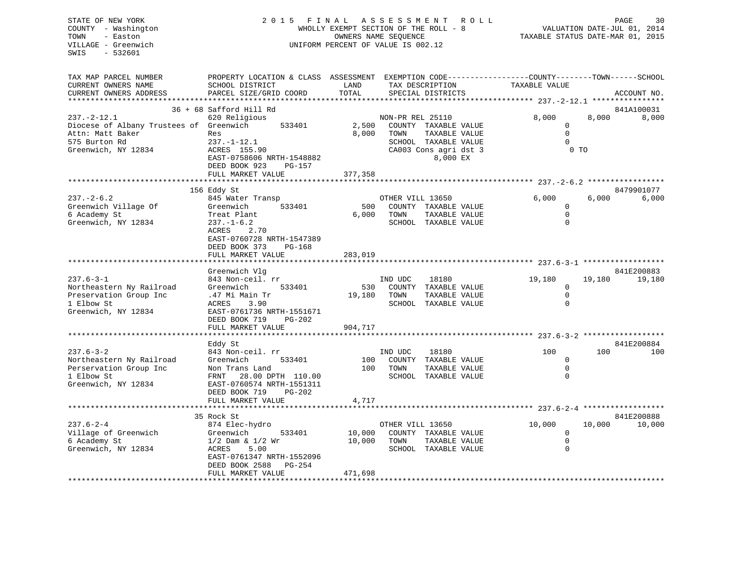| STATE OF NEW YORK<br>COUNTY - Washington<br>TOWN<br>- Easton<br>VILLAGE - Greenwich<br>$-532601$<br>SWIS   | 2015 FINAL                                                                                                                                  | OWNERS NAME SEQUENCE         | ASSESSMENT<br>WHOLLY EXEMPT SECTION OF THE ROLL - 8<br>UNIFORM PERCENT OF VALUE IS 002.12    | ROLL | TAXABLE STATUS DATE-MAR 01, 2015                        |        | 30<br>PAGE<br>VALUATION DATE-JUL 01, 2014 |
|------------------------------------------------------------------------------------------------------------|---------------------------------------------------------------------------------------------------------------------------------------------|------------------------------|----------------------------------------------------------------------------------------------|------|---------------------------------------------------------|--------|-------------------------------------------|
| TAX MAP PARCEL NUMBER<br>CURRENT OWNERS NAME<br>CURRENT OWNERS ADDRESS                                     | PROPERTY LOCATION & CLASS ASSESSMENT EXEMPTION CODE---------------COUNTY-------TOWN-----SCHOOL<br>SCHOOL DISTRICT<br>PARCEL SIZE/GRID COORD | LAND<br>TOTAL                | TAX DESCRIPTION<br>SPECIAL DISTRICTS                                                         |      | TAXABLE VALUE                                           |        | ACCOUNT NO.                               |
|                                                                                                            |                                                                                                                                             |                              |                                                                                              |      |                                                         |        |                                           |
| $237. - 2 - 12.1$<br>Diocese of Albany Trustees of Greenwich<br>Attn: Matt Baker                           | 36 + 68 Safford Hill Rd<br>620 Religious<br>533401<br>Res                                                                                   | 2,500<br>8,000               | NON-PR REL 25110<br>COUNTY TAXABLE VALUE<br>TOWN<br>TAXABLE VALUE                            |      | 8,000<br>0<br>$\mathbf 0$                               | 8,000  | 841A100031<br>8,000                       |
| 575 Burton Rd<br>Greenwich, NY 12834                                                                       | $237. - 1 - 12.1$<br>ACRES 155.90<br>EAST-0758606 NRTH-1548882<br>DEED BOOK 923<br>PG-157                                                   |                              | SCHOOL TAXABLE VALUE<br>CA003 Cons agri dst 3<br>8,000 EX                                    |      | $\Omega$<br>$0$ TO                                      |        |                                           |
|                                                                                                            | FULL MARKET VALUE                                                                                                                           | 377,358                      |                                                                                              |      |                                                         |        |                                           |
| $237. - 2 - 6.2$                                                                                           | 156 Eddy St<br>845 Water Transp                                                                                                             |                              | OTHER VILL 13650                                                                             |      | 6.000                                                   | 6,000  | 8479901077<br>6,000                       |
| Greenwich Village Of<br>6 Academy St<br>Greenwich, NY 12834                                                | Greenwich<br>533401<br>Treat Plant<br>$237. - 1 - 6.2$<br>2.70<br>ACRES<br>EAST-0760728 NRTH-1547389                                        | 500<br>6,000                 | COUNTY TAXABLE VALUE<br>TOWN<br>TAXABLE VALUE<br>SCHOOL TAXABLE VALUE                        |      | 0<br>$\mathbf 0$<br>$\Omega$                            |        |                                           |
|                                                                                                            | DEED BOOK 373<br>PG-168<br>FULL MARKET VALUE<br>**************************                                                                  | 283,019                      |                                                                                              |      |                                                         |        |                                           |
|                                                                                                            | Greenwich Vlg                                                                                                                               |                              |                                                                                              |      |                                                         |        | 841E200883                                |
| $237.6 - 3 - 1$<br>Northeastern Ny Railroad<br>Preservation Group Inc<br>1 Elbow St<br>Greenwich, NY 12834 | 843 Non-ceil. rr<br>Greenwich<br>533401<br>.47 Mi Main Tr<br>ACRES<br>3.90<br>EAST-0761736 NRTH-1551671<br>DEED BOOK 719<br>PG-202          | 530<br>19,180                | IND UDC<br>18180<br>COUNTY<br>TAXABLE VALUE<br>TOWN<br>TAXABLE VALUE<br>SCHOOL TAXABLE VALUE |      | 19,180<br>0<br>$\mathbf 0$<br>$\Omega$                  | 19,180 | 19,180                                    |
|                                                                                                            | FULL MARKET VALUE                                                                                                                           | 904,717                      |                                                                                              |      |                                                         |        |                                           |
|                                                                                                            | ************************                                                                                                                    |                              |                                                                                              |      |                                                         |        |                                           |
| $237.6 - 3 - 2$<br>Northeastern Ny Railroad<br>Perservation Group Inc<br>1 Elbow St<br>Greenwich, NY 12834 | Eddy St<br>843 Non-ceil. rr<br>Greenwich<br>533401<br>Non Trans Land<br>FRNT<br>28.00 DPTH 110.00<br>EAST-0760574 NRTH-1551311              | 100<br>100                   | IND UDC<br>18180<br>COUNTY<br>TAXABLE VALUE<br>TOWN<br>TAXABLE VALUE<br>SCHOOL TAXABLE VALUE |      | 100<br>$\mathbf 0$<br>$\overline{0}$<br>$\mathbf 0$     | 100    | 841E200884<br>100                         |
|                                                                                                            | DEED BOOK 719<br>$PG-202$<br>FULL MARKET VALUE                                                                                              | 4,717                        |                                                                                              |      |                                                         |        |                                           |
|                                                                                                            |                                                                                                                                             |                              |                                                                                              |      |                                                         |        |                                           |
|                                                                                                            | 35 Rock St                                                                                                                                  |                              |                                                                                              |      |                                                         |        | 841E200888                                |
| $237.6 - 2 - 4$<br>Village of Greenwich<br>6 Academy St<br>Greenwich, NY 12834                             | 874 Elec-hydro<br>533401<br>Greenwich<br>$1/2$ Dam & $1/2$ Wr<br>5.00<br>ACRES<br>EAST-0761347 NRTH-1552096<br>DEED BOOK 2588<br>PG-254     | 10,000<br>10,000             | OTHER VILL 13650<br>COUNTY TAXABLE VALUE<br>TOWN<br>TAXABLE VALUE<br>SCHOOL TAXABLE VALUE    |      | 10,000<br>$\mathbf{0}$<br>$\overline{0}$<br>$\mathbf 0$ | 10,000 | 10,000                                    |
|                                                                                                            | FULL MARKET VALUE                                                                                                                           | 471,698<br>***************** |                                                                                              |      |                                                         |        |                                           |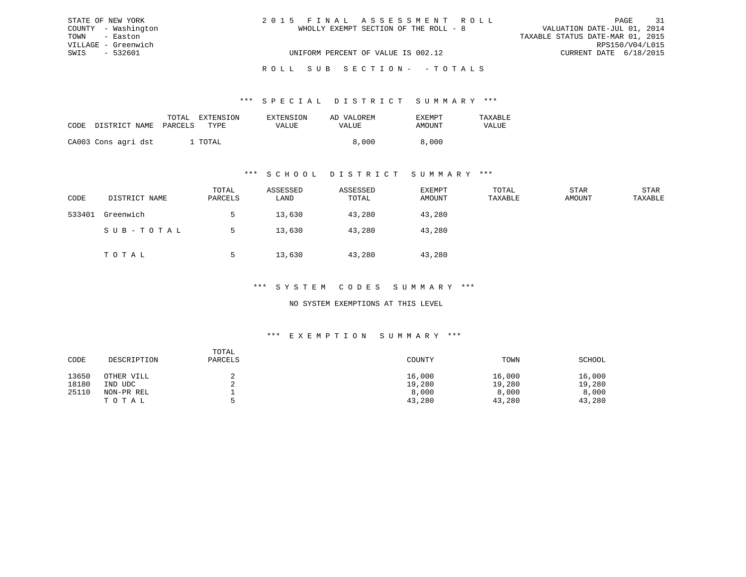| STATE OF NEW YORK   | 2015 FINAL ASSESSMENT ROLL            | 31<br>PAGE                       |
|---------------------|---------------------------------------|----------------------------------|
| COUNTY - Washington | WHOLLY EXEMPT SECTION OF THE ROLL - 8 | VALUATION DATE-JUL 01, 2014      |
| TOWN - Easton       |                                       | TAXABLE STATUS DATE-MAR 01, 2015 |
| VILLAGE - Greenwich |                                       | RPS150/V04/L015                  |
| SWIS - 532601       | UNIFORM PERCENT OF VALUE IS 002.12    | CURRENT DATE 6/18/2015           |
|                     |                                       |                                  |

## ROLL SUB SECTION - - TOTALS

#### \*\*\* S P E C I A L D I S T R I C T S U M M A R Y \*\*\*

|      |                       | TOTAL | EXTENSION | EXTENSION | AD VALOREM | <b>EXEMPT</b> | <b>TAXARLF</b> |
|------|-----------------------|-------|-----------|-----------|------------|---------------|----------------|
| CODE | DISTRICT NAME PARCELS |       | TYPE      | VALUE     | VALUE      | AMOUNT        | VALUE          |
|      | CA003 Cons agri dst   |       | TOTAL     |           | 8,000      | 8,000         |                |

#### \*\*\* S C H O O L D I S T R I C T S U M M A R Y \*\*\*

| CODE   | DISTRICT NAME | TOTAL<br>PARCELS | ASSESSED<br>LAND | ASSESSED<br>TOTAL | EXEMPT<br>AMOUNT | TOTAL<br>TAXABLE | STAR<br>AMOUNT | STAR<br>TAXABLE |
|--------|---------------|------------------|------------------|-------------------|------------------|------------------|----------------|-----------------|
| 533401 | Greenwich     |                  | 13,630           | 43,280            | 43,280           |                  |                |                 |
|        | SUB-TOTAL     |                  | 13,630           | 43,280            | 43,280           |                  |                |                 |
|        | TOTAL         |                  | 13,630           | 43,280            | 43,280           |                  |                |                 |

#### \*\*\* S Y S T E M C O D E S S U M M A R Y \*\*\*

#### NO SYSTEM EXEMPTIONS AT THIS LEVEL

#### \*\*\* E X E M P T I O N S U M M A R Y \*\*\*

| CODE  | DESCRIPTION | TOTAL<br>PARCELS | COUNTY | TOWN   | SCHOOL |
|-------|-------------|------------------|--------|--------|--------|
| 13650 | OTHER VILL  |                  | 16,000 | 16,000 | 16,000 |
| 18180 | IND UDC     |                  | 19,280 | 19,280 | 19,280 |
| 25110 | NON-PR REL  |                  | 8,000  | 8,000  | 8,000  |
|       | TOTAL       | ь.               | 43,280 | 43,280 | 43,280 |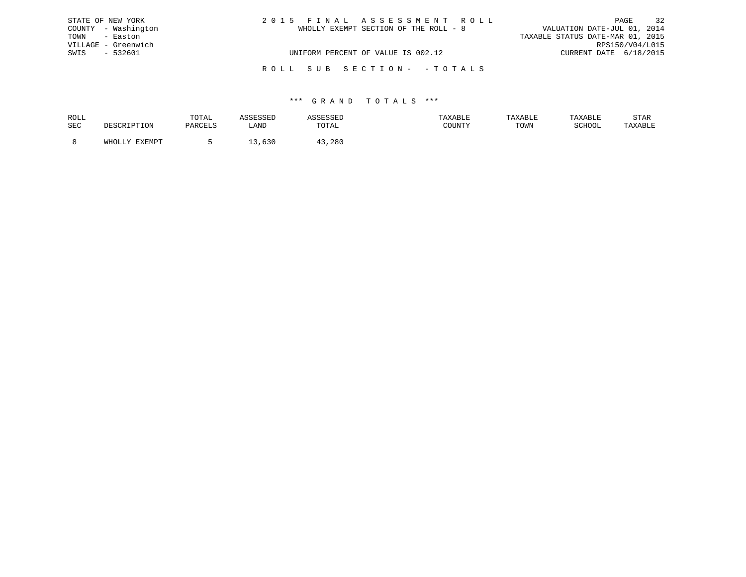|               | STATE OF NEW YORK   | 2015 FINAL ASSESSMENT ROLL            | 32<br>PAGE                       |
|---------------|---------------------|---------------------------------------|----------------------------------|
|               | COUNTY - Washington | WHOLLY EXEMPT SECTION OF THE ROLL - 8 | VALUATION DATE-JUL 01, 2014      |
| TOWN - Easton |                     |                                       | TAXABLE STATUS DATE-MAR 01, 2015 |
|               | VILLAGE - Greenwich |                                       | RPS150/V04/L015                  |
| SWIS          | - 532601            | UNIFORM PERCENT OF VALUE IS 002.12    | CURRENT DATE 6/18/2015           |
|               |                     | ROLL SUB SECTION- - TOTALS            |                                  |

| ROLL |        | TOTAL |            | .                         | <b>AXABLF</b> |      |        | STAR    |
|------|--------|-------|------------|---------------------------|---------------|------|--------|---------|
| SEC  |        |       | ∴AND       | TOTA <sup>-</sup><br>◡⊥љ⊥ | CCTNTM        | TOWN | SCHOOL | 'AXABLE |
|      |        |       |            |                           |               |      |        |         |
|      | FYFMDT |       | <b>UJV</b> | 280                       |               |      |        |         |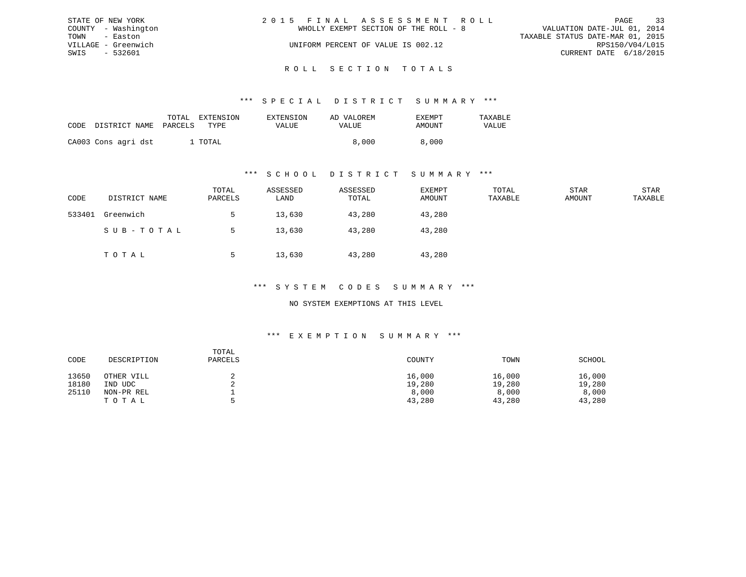|               | STATE OF NEW YORK   | 2015 FINAL ASSESSMENT ROLL            | PAGE                             | 33 |
|---------------|---------------------|---------------------------------------|----------------------------------|----|
|               | COUNTY - Washington | WHOLLY EXEMPT SECTION OF THE ROLL - 8 | VALUATION DATE-JUL 01, 2014      |    |
| TOWN - Easton |                     |                                       | TAXABLE STATUS DATE-MAR 01, 2015 |    |
|               | VILLAGE - Greenwich | UNIFORM PERCENT OF VALUE IS 002.12    | RPS150/V04/L015                  |    |
| SWIS          | - 532601            |                                       | CURRENT DATE 6/18/2015           |    |
|               |                     |                                       |                                  |    |

## ROLL SECTION TOTALS

#### \*\*\* S P E C I A L D I S T R I C T S U M M A R Y \*\*\*

| CODE | DISTRICT NAME       | TOTAL<br>PARCELS | EXTENSION<br>TYPE | <b>EXTENSION</b><br>VALUE | AD VALOREM<br>VALUE | <b>EXEMPT</b><br>AMOUNT | TAXABLE<br>VALUE |
|------|---------------------|------------------|-------------------|---------------------------|---------------------|-------------------------|------------------|
|      |                     |                  | . TOTAL           |                           | 8,000               | 8,000                   |                  |
|      | CA003 Cons agri dst |                  |                   |                           |                     |                         |                  |

#### \*\*\* S C H O O L D I S T R I C T S U M M A R Y \*\*\*

| CODE   | DISTRICT NAME | TOTAL<br>PARCELS | ASSESSED<br>LAND | ASSESSED<br>TOTAL | EXEMPT<br>AMOUNT | TOTAL<br>TAXABLE | STAR<br>AMOUNT | STAR<br>TAXABLE |
|--------|---------------|------------------|------------------|-------------------|------------------|------------------|----------------|-----------------|
| 533401 | Greenwich     |                  | 13,630           | 43,280            | 43,280           |                  |                |                 |
|        | SUB-TOTAL     |                  | 13,630           | 43,280            | 43,280           |                  |                |                 |
|        | TOTAL         |                  | 13,630           | 43,280            | 43,280           |                  |                |                 |

#### \*\*\* S Y S T E M C O D E S S U M M A R Y \*\*\*

#### NO SYSTEM EXEMPTIONS AT THIS LEVEL

#### \*\*\* E X E M P T I O N S U M M A R Y \*\*\*

| CODE  | DESCRIPTION | TOTAL<br>PARCELS | COUNTY | TOWN   | SCHOOL |
|-------|-------------|------------------|--------|--------|--------|
| 13650 | OTHER VILL  |                  | 16,000 | 16,000 | 16,000 |
| 18180 | UDC<br>IND  |                  | 19,280 | 19,280 | 19,280 |
| 25110 | NON-PR REL  |                  | 8,000  | 8,000  | 8,000  |
|       | TOTAL       |                  | 43,280 | 43,280 | 43,280 |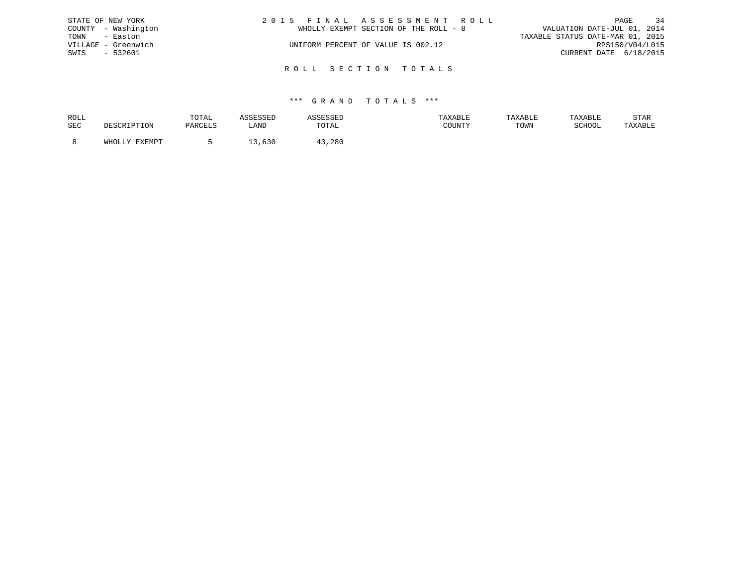| STATE OF NEW YORK   | 2015 FINAL ASSESSMENT ROLL            | 34<br>PAGE                       |
|---------------------|---------------------------------------|----------------------------------|
| COUNTY - Washington | WHOLLY EXEMPT SECTION OF THE ROLL - 8 | VALUATION DATE-JUL 01, 2014      |
| TOWN - Easton       |                                       | TAXABLE STATUS DATE-MAR 01, 2015 |
| VILLAGE - Greenwich | UNIFORM PERCENT OF VALUE IS 002.12    | RPS150/V04/L015                  |
| - 532601<br>SWIS    |                                       | CURRENT DATE 6/18/2015           |
|                     | ROLL SECTION TOTALS                   |                                  |
|                     |                                       |                                  |

| ROLL |                        | TOTAL   |      |        | TAXABLE | TAXABLE | TAYARI.R | STAR    |
|------|------------------------|---------|------|--------|---------|---------|----------|---------|
| SEC  |                        | PARCELS | LANI | TOTAL  | COUNTY  | TOWN    | SCHOOL   | TAXABLE |
|      |                        |         |      |        |         |         |          |         |
|      | <b>EXEMPT</b><br>WHOLL |         | ししぃ  | l3,28C |         |         |          |         |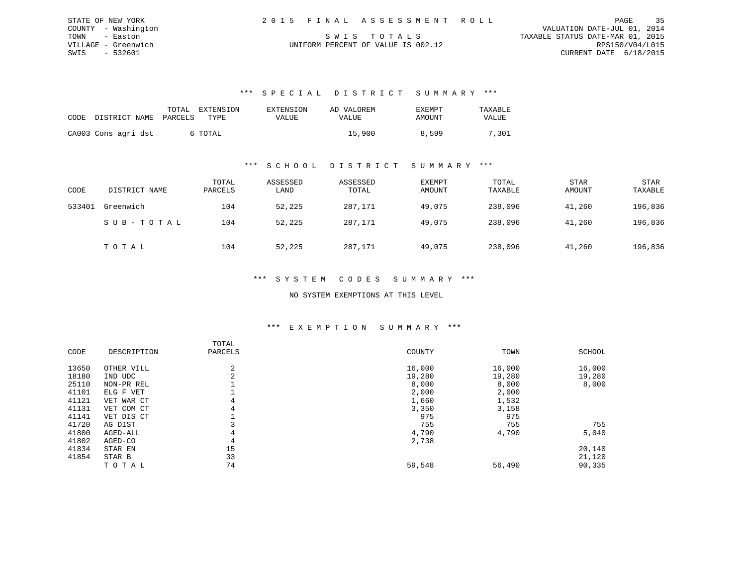| STATE OF NEW YORK   | 2015 FINAL ASSESSMENT ROLL         | 35<br>PAGE                       |
|---------------------|------------------------------------|----------------------------------|
| COUNTY - Washington |                                    | VALUATION DATE-JUL 01, 2014      |
| TOWN - Easton       | SWIS TOTALS                        | TAXABLE STATUS DATE-MAR 01, 2015 |
| VILLAGE - Greenwich | UNIFORM PERCENT OF VALUE IS 002.12 | RPS150/V04/L015                  |
| SWIS - 532601       |                                    | CURRENT DATE 6/18/2015           |

| CODE DISTRICT NAME PARCELS | TOTAL | <b>EXTENSION</b><br>TYPE | EXTENSION<br>VALUE | AD VALOREM<br><b>VALUE</b> | EXEMPT<br>AMOUNT | TAXABLE<br><b>VALUE</b> |
|----------------------------|-------|--------------------------|--------------------|----------------------------|------------------|-------------------------|
| CA003 Cons agri dst        |       | 6 TOTAL                  |                    | 15,900                     | 8,599            | 7,301                   |

### \*\*\* S C H O O L D I S T R I C T S U M M A R Y \*\*\*

| CODE   | DISTRICT NAME | TOTAL<br>PARCELS | ASSESSED<br>LAND | ASSESSED<br>TOTAL | <b>EXEMPT</b><br>AMOUNT | TOTAL<br>TAXABLE | <b>STAR</b><br>AMOUNT | <b>STAR</b><br>TAXABLE |
|--------|---------------|------------------|------------------|-------------------|-------------------------|------------------|-----------------------|------------------------|
| 533401 | Greenwich     | 104              | 52,225           | 287,171           | 49,075                  | 238,096          | 41,260                | 196,836                |
|        | SUB-TOTAL     | 104              | 52,225           | 287,171           | 49,075                  | 238,096          | 41,260                | 196,836                |
|        | TOTAL         | 104              | 52,225           | 287,171           | 49,075                  | 238,096          | 41,260                | 196,836                |

#### \*\*\* S Y S T E M C O D E S S U M M A R Y \*\*\*

#### NO SYSTEM EXEMPTIONS AT THIS LEVEL

#### \*\*\* E X E M P T I O N S U M M A R Y \*\*\*

|       |             | TOTAL   |        |        |               |
|-------|-------------|---------|--------|--------|---------------|
| CODE  | DESCRIPTION | PARCELS | COUNTY | TOWN   | <b>SCHOOL</b> |
| 13650 | OTHER VILL  | 2       | 16,000 | 16,000 | 16,000        |
| 18180 | IND UDC     | z       | 19,280 | 19,280 | 19,280        |
| 25110 | NON-PR REL  |         | 8,000  | 8,000  | 8,000         |
| 41101 | ELG F VET   |         | 2,000  | 2,000  |               |
| 41121 | VET WAR CT  | 4       | 1,660  | 1,532  |               |
| 41131 | VET COM CT  | 4       | 3,350  | 3,158  |               |
| 41141 | VET DIS CT  |         | 975    | 975    |               |
| 41720 | AG DIST     |         | 755    | 755    | 755           |
| 41800 | AGED-ALL    | 4       | 4,790  | 4,790  | 5,040         |
| 41802 | AGED-CO     | 4       | 2,738  |        |               |
| 41834 | STAR EN     | 15      |        |        | 20,140        |
| 41854 | STAR B      | 33      |        |        | 21,120        |
|       | TOTAL       | 74      | 59,548 | 56,490 | 90,335        |
|       |             |         |        |        |               |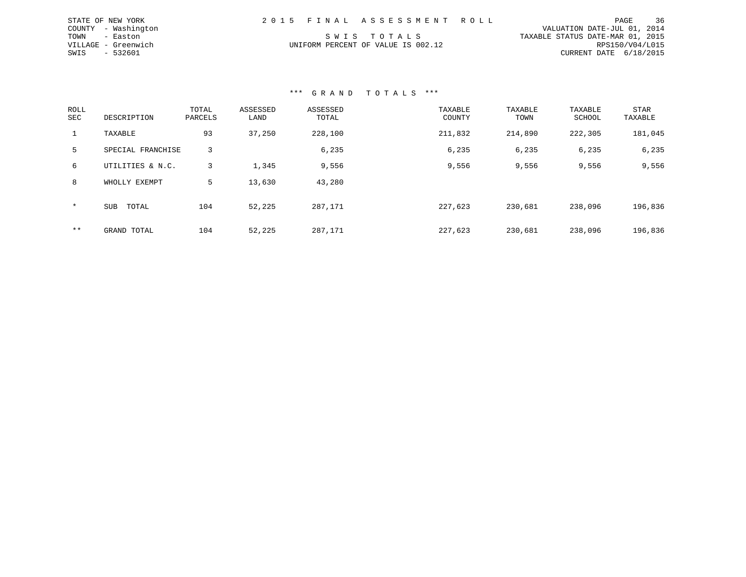| STATE OF NEW YORK   | 2015 FINAL ASSESSMENT ROLL         | 36<br>PAGE                       |
|---------------------|------------------------------------|----------------------------------|
| COUNTY - Washington |                                    | VALUATION DATE-JUL 01, 2014      |
| TOWN - Easton       | SWIS TOTALS                        | TAXABLE STATUS DATE-MAR 01, 2015 |
| VILLAGE - Greenwich | UNIFORM PERCENT OF VALUE IS 002.12 | RPS150/V04/L015                  |
| SWIS - 532601       |                                    | CURRENT DATE $6/18/2015$         |

| ROLL<br><b>SEC</b> | DESCRIPTION         | TOTAL<br>PARCELS | ASSESSED<br>LAND | ASSESSED<br>TOTAL | TAXABLE<br>COUNTY | TAXABLE<br>TOWN | TAXABLE<br>SCHOOL | STAR<br>TAXABLE |
|--------------------|---------------------|------------------|------------------|-------------------|-------------------|-----------------|-------------------|-----------------|
| 1                  | TAXABLE             | 93               | 37,250           | 228,100           | 211,832           | 214,890         | 222,305           | 181,045         |
| 5.                 | SPECIAL FRANCHISE   | 3                |                  | 6,235             | 6,235             | 6,235           | 6,235             | 6,235           |
| 6                  | UTILITIES & N.C.    | 3                | 1,345            | 9,556             | 9,556             | 9,556           | 9,556             | 9,556           |
| 8                  | WHOLLY EXEMPT       | 5                | 13,630           | 43,280            |                   |                 |                   |                 |
| $\star$            | <b>SUB</b><br>TOTAL | 104              | 52,225           | 287,171           | 227,623           | 230,681         | 238,096           | 196,836         |
| $***$              | GRAND TOTAL         | 104              | 52,225           | 287,171           | 227,623           | 230,681         | 238,096           | 196,836         |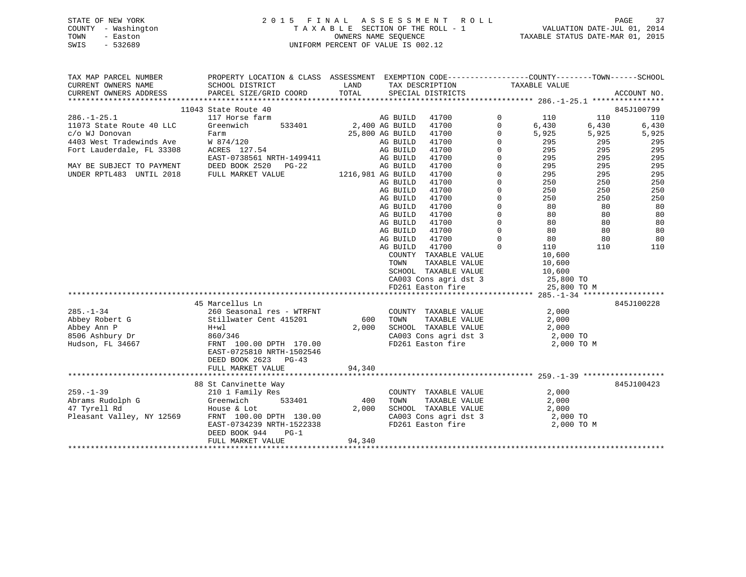## STATE OF NEW YORK 2 0 1 5 F I N A L A S S E S S M E N T R O L L PAGE 37 COUNTY - Washington T A X A B L E SECTION OF THE ROLL - 1 VALUATION DATE-JUL 01, 2014 TOWN - Easton OWNERS NAME SEQUENCE TAXABLE STATUS DATE-MAR 01, 2015 SWIS - 532689 UNIFORM PERCENT OF VALUE IS 002.12UNIFORM PERCENT OF VALUE IS 002.12

| TAX MAP PARCEL NUMBER     | PROPERTY LOCATION & CLASS ASSESSMENT |                   |                 |                       |              |               |       |             |
|---------------------------|--------------------------------------|-------------------|-----------------|-----------------------|--------------|---------------|-------|-------------|
| CURRENT OWNERS NAME       | SCHOOL DISTRICT                      | LAND              |                 | TAX DESCRIPTION       |              | TAXABLE VALUE |       |             |
| CURRENT OWNERS ADDRESS    | PARCEL SIZE/GRID COORD               | TOTAL             |                 | SPECIAL DISTRICTS     |              |               |       | ACCOUNT NO. |
|                           |                                      |                   |                 |                       |              |               |       |             |
|                           | 11043 State Route 40                 |                   |                 |                       |              |               |       | 845J100799  |
| $286. - 1 - 25.1$         | 117 Horse farm                       |                   | AG BUILD        | 41700                 | 0            | 110           | 110   | 110         |
| 11073 State Route 40 LLC  | 533401<br>Greenwich                  | 2,400 AG BUILD    |                 | 41700                 | $\mathbf 0$  | 6,430         | 6,430 | 6,430       |
| c/o WJ Donovan<br>Farm    |                                      |                   | 25,800 AG BUILD | 41700                 | $\Omega$     | 5,925         | 5,925 | 5,925       |
| 4403 West Tradewinds Ave  | W 874/120<br>ACRES 127.54            |                   | AG BUILD        | 41700                 | $\Omega$     | 295           | 295   | 295         |
| Fort Lauderdale, FL 33308 |                                      |                   | AG BUILD        | 41700                 | $\Omega$     | 295           | 295   | 295         |
|                           | EAST-0738561 NRTH-1499411            |                   | AG BUILD        | 41700                 | $\mathbf{0}$ | 295           | 295   | 295         |
| MAY BE SUBJECT TO PAYMENT | DEED BOOK 2520 PG-22                 |                   | AG BUILD        | 41700                 | $\mathbf 0$  | 295           | 295   | 295         |
| UNDER RPTL483 UNTIL 2018  | FULL MARKET VALUE                    | 1216,981 AG BUILD |                 | 41700                 | $\mathbf{0}$ | 295           | 295   | 295         |
|                           |                                      |                   | AG BUILD        | 41700                 | $\Omega$     | 250           | 250   | 250         |
|                           |                                      |                   | AG BUILD        | 41700                 | $\mathbf{0}$ | 250           | 250   | 250         |
|                           |                                      |                   | AG BUILD        | 41700                 | $\mathbf{0}$ | 250           | 250   | 250         |
|                           |                                      |                   | AG BUILD        | 41700                 | $\mathbf 0$  | 80            | 80    | 80          |
|                           |                                      |                   | AG BUILD        | 41700                 | $\mathbf 0$  | 80            | 80    | 80          |
|                           |                                      |                   | AG BUILD        | 41700                 | $\Omega$     | 80            | 80    | 80          |
|                           |                                      |                   | AG BUILD        | 41700                 | $\Omega$     | 80            | 80    | 80          |
|                           |                                      |                   | AG BUILD        | 41700                 | $\Omega$     | 80            | 80    | 80          |
|                           |                                      |                   | AG BUILD        | 41700                 | $\Omega$     | 110           | 110   | 110         |
|                           |                                      |                   |                 | COUNTY TAXABLE VALUE  |              | 10,600        |       |             |
|                           |                                      |                   | TOWN            | TAXABLE VALUE         |              | 10,600        |       |             |
|                           |                                      |                   |                 | SCHOOL TAXABLE VALUE  |              | 10,600        |       |             |
|                           |                                      |                   |                 | CA003 Cons agri dst 3 |              | $25,800$ TO   |       |             |
|                           |                                      |                   |                 | FD261 Easton fire     |              | 25,800 TO M   |       |             |
|                           |                                      |                   |                 |                       |              |               |       |             |
|                           | 45 Marcellus Ln                      |                   |                 |                       |              |               |       | 845J100228  |
| $285. - 1 - 34$           | 260 Seasonal res - WTRFNT            |                   |                 | COUNTY TAXABLE VALUE  |              | 2,000         |       |             |
| Abbey Robert G            | Stillwater Cent 415201               | 600               | TOWN            | TAXABLE VALUE         |              | 2,000         |       |             |
| Abbey Ann P<br>H+wl       |                                      | 2,000             |                 | SCHOOL TAXABLE VALUE  |              | 2,000         |       |             |
| 8506 Ashbury Dr           | 860/346                              |                   |                 | CA003 Cons agri dst 3 |              | 2,000 TO      |       |             |
| Hudson, FL 34667          | FRNT 100.00 DPTH 170.00              |                   |                 | FD261 Easton fire     |              | 2,000 TO M    |       |             |
|                           | EAST-0725810 NRTH-1502546            |                   |                 |                       |              |               |       |             |
|                           | DEED BOOK 2623 PG-43                 |                   |                 |                       |              |               |       |             |
|                           | FULL MARKET VALUE                    | 94,340            |                 |                       |              |               |       |             |
|                           |                                      |                   |                 |                       |              |               |       |             |
|                           | 88 St Canvinette Way                 |                   |                 |                       |              |               |       | 845J100423  |
| $259. - 1 - 39$           | 210 1 Family Res                     |                   |                 | COUNTY TAXABLE VALUE  |              | 2,000         |       |             |
| Abrams Rudolph G          | 533401                               | 400               | TOWN            | TAXABLE VALUE         |              | 2,000         |       |             |
| 47 Tyrell Rd              | Greenwich<br>House & Lot             | 2,000             |                 | SCHOOL TAXABLE VALUE  |              | 2,000         |       |             |
| Pleasant Valley, NY 12569 | FRNT 100.00 DPTH 130.00              |                   |                 | CA003 Cons agri dst 3 |              | 2,000 TO      |       |             |
|                           | EAST-0734239 NRTH-1522338            |                   |                 | FD261 Easton fire     |              | 2,000 TO M    |       |             |
|                           | DEED BOOK 944<br>$PG-1$              |                   |                 |                       |              |               |       |             |
|                           | FULL MARKET VALUE                    | 94,340            |                 |                       |              |               |       |             |
|                           |                                      |                   |                 |                       |              |               |       |             |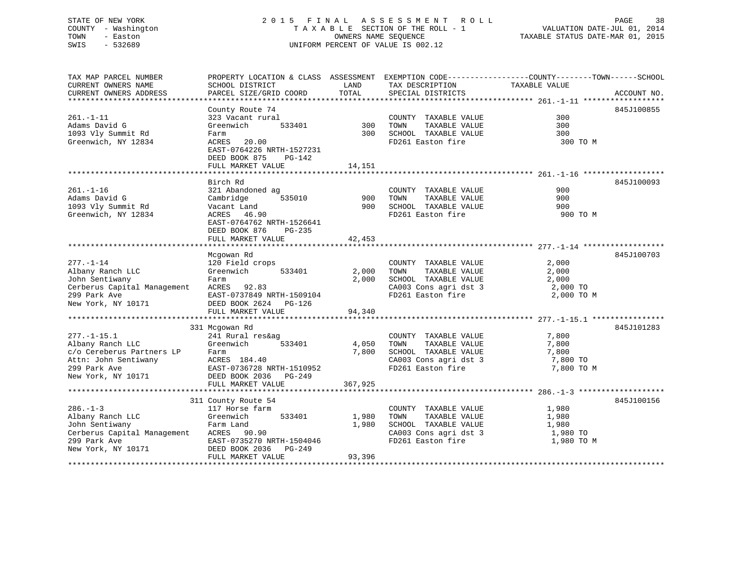## STATE OF NEW YORK 2 0 1 5 F I N A L A S S E S S M E N T R O L L PAGE 38 COUNTY - Washington T A X A B L E SECTION OF THE ROLL - 1 VALUATION DATE-JUL 01, 2014 TOWN - Easton COMPUTERS NAME SEQUENCE TAXABLE STATUS DATE-MAR 01, 2015<br>SWIS - 532689 SWIS - 532689 UNIFORM PERCENT OF VALUE IS 002.12

| TAX MAP PARCEL NUMBER                                                                                                                                                            | PROPERTY LOCATION & CLASS ASSESSMENT EXEMPTION CODE----------------COUNTY-------TOWN------SCHOOL |               |                                                              |                   |             |  |
|----------------------------------------------------------------------------------------------------------------------------------------------------------------------------------|--------------------------------------------------------------------------------------------------|---------------|--------------------------------------------------------------|-------------------|-------------|--|
| CURRENT OWNERS NAME<br>CURRENT OWNERS ADDRESS                                                                                                                                    | SCHOOL DISTRICT<br>PARCEL SIZE/GRID COORD                                                        | LAND<br>TOTAL | TAX DESCRIPTION<br>SPECIAL DISTRICTS                         | TAXABLE VALUE     | ACCOUNT NO. |  |
|                                                                                                                                                                                  |                                                                                                  |               |                                                              |                   |             |  |
|                                                                                                                                                                                  | County Route 74                                                                                  |               |                                                              |                   | 845J100855  |  |
| $261. - 1 - 11$                                                                                                                                                                  | 323 Vacant rural                                                                                 |               | COUNTY TAXABLE VALUE                                         | 300               |             |  |
| Adams David G                                                                                                                                                                    | $533401$ 300<br>Greenwich                                                                        |               | TOWN<br>TAXABLE VALUE                                        | 300<br>300<br>300 |             |  |
| 1093 Vly Summit Rd                                                                                                                                                               | Farm                                                                                             |               | 300 SCHOOL TAXABLE VALUE<br>FD261 Easton fire                |                   |             |  |
| Greenwich, NY 12834                                                                                                                                                              | ACRES 20.00<br>EAST-0764226 NRTH-1527231<br>DEED BOOK 875<br>PG-142                              |               |                                                              | 300 TO M          |             |  |
|                                                                                                                                                                                  | FULL MARKET VALUE                                                                                | 14,151        |                                                              |                   |             |  |
|                                                                                                                                                                                  |                                                                                                  |               |                                                              |                   |             |  |
|                                                                                                                                                                                  | Birch Rd                                                                                         |               |                                                              |                   | 845J100093  |  |
| $261. - 1 - 16$                                                                                                                                                                  | 321 Abandoned ag                                                                                 |               | COUNTY TAXABLE VALUE                                         | 900               |             |  |
| Adams David G<br>1093 Vly Summit Rd                                                                                                                                              | Cambridge 535010                                                                                 |               | 900 TOWN TAXABLE VALUE<br>900 SCHOOL TAXABLE VALUE           | 900               |             |  |
|                                                                                                                                                                                  | Vacant Land                                                                                      |               |                                                              | 900               |             |  |
| Greenwich, NY 12834                                                                                                                                                              | ACRES 46.90<br>EAST-0764762 NRTH-1526641<br>DEED BOOK 876 PG-235                                 |               | FD261 Easton fire                                            | 900 TO M          |             |  |
|                                                                                                                                                                                  | FULL MARKET VALUE                                                                                | 42,453        |                                                              |                   |             |  |
|                                                                                                                                                                                  |                                                                                                  |               |                                                              |                   |             |  |
| $277. - 1 - 14$                                                                                                                                                                  | Mcgowan Rd                                                                                       |               |                                                              |                   | 845J100703  |  |
| Albany Ranch LLC                                                                                                                                                                 | 120 Field crops<br>Greenwich 533401 2,000                                                        |               | COUNTY TAXABLE VALUE<br>TAXABLE VALUE<br>TOWN                | 2,000<br>2,000    |             |  |
|                                                                                                                                                                                  |                                                                                                  |               | 2,000 SCHOOL TAXABLE VALUE 2,000                             |                   |             |  |
| Cerberus Capital Management ACRES 92.83<br>299 Park Ave                                                                                                                          |                                                                                                  |               |                                                              | 2,000 TO          |             |  |
|                                                                                                                                                                                  |                                                                                                  |               | CA003 Cons agri dst 3<br>FD261 Easton fire                   | 2,000 TO M        |             |  |
| 299 Park Ave EAST-0737849 NRTH-1509104<br>New York, NY 10171 DEED BOOK 2624 PG-126                                                                                               |                                                                                                  |               |                                                              |                   |             |  |
|                                                                                                                                                                                  | FULL MARKET VALUE                                                                                | 94,340        |                                                              |                   |             |  |
|                                                                                                                                                                                  |                                                                                                  |               |                                                              |                   |             |  |
|                                                                                                                                                                                  | 331 Mcgowan Rd                                                                                   |               |                                                              |                   | 845J101283  |  |
| $277. - 1 - 15.1$                                                                                                                                                                |                                                                                                  |               |                                                              | 7,800             |             |  |
| Albany Ranch LLC                                                                                                                                                                 | 241 Rural res&ag<br>Greenwich 533401 4,050                                                       |               | COUNTY TAXABLE VALUE<br>TOWN      TAXABLE  VALUE             | 7,800             |             |  |
|                                                                                                                                                                                  |                                                                                                  | 7,800         |                                                              |                   |             |  |
|                                                                                                                                                                                  |                                                                                                  |               | SCHOOL TAXABLE VALUE 7,800<br>CA003 Cons agri dst 3 7,800 TO |                   |             |  |
|                                                                                                                                                                                  |                                                                                                  |               | FD261 Easton fire                                            | 7,800 TO M        |             |  |
| c/o Cereberus Partners LP<br>Attn: John Sentiwany (ACRES 184.40<br>299 Park Ave (EAST-0736728 NRTH-1510952<br>New York, NY 10171 (DEED BOOK 2036 PG-249<br>DEED BOOK 2036 PG-249 |                                                                                                  |               |                                                              |                   |             |  |
|                                                                                                                                                                                  | FULL MARKET VALUE                                                                                | 367,925       |                                                              |                   |             |  |
|                                                                                                                                                                                  |                                                                                                  |               |                                                              |                   |             |  |
|                                                                                                                                                                                  | 311 County Route 54                                                                              |               |                                                              |                   | 845J100156  |  |
| $286. - 1 - 3$                                                                                                                                                                   | 117 Horse farm                                                                                   |               | COUNTY TAXABLE VALUE                                         | 1,980             |             |  |
| Greenwich<br>Albany Ranch LLC                                                                                                                                                    | 533401 1,980                                                                                     |               | TAXABLE VALUE<br>TOWN                                        | 1,980             |             |  |
| John Sentiwany                                                                                                                                                                   |                                                                                                  | 1,980         |                                                              |                   |             |  |
| rarm Land<br>Cerberus Capital Management ACRES 90.90<br>299 Park Avro                                                                                                            |                                                                                                  |               | SCHOOL TAXABLE VALUE 1,980<br>CA003 Cons agri dst 3 1,980 TO |                   |             |  |
|                                                                                                                                                                                  |                                                                                                  |               | FD261 Easton fire                                            | 1,980 TO M        |             |  |
|                                                                                                                                                                                  |                                                                                                  |               |                                                              |                   |             |  |
|                                                                                                                                                                                  | FULL MARKET VALUE                                                                                | 93,396        |                                                              |                   |             |  |
|                                                                                                                                                                                  |                                                                                                  |               |                                                              |                   |             |  |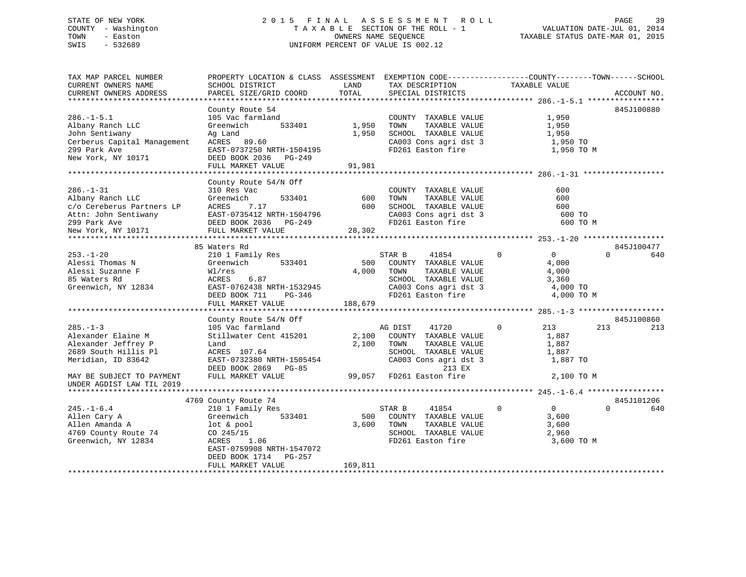## STATE OF NEW YORK 2 0 1 5 F I N A L A S S E S S M E N T R O L L PAGE 39 COUNTY - Washington T A X A B L E SECTION OF THE ROLL - 1 VALUATION DATE-JUL 01, 2014 TOWN - Easton COMPUTERS NAME SEQUENCE TAXABLE STATUS DATE-MAR 01, 2015<br>SWIS - 532689 SWIS - 532689 UNIFORM PERCENT OF VALUE IS 002.12

| TAX MAP PARCEL NUMBER<br>CURRENT OWNERS NAME | PROPERTY LOCATION & CLASS ASSESSMENT<br>SCHOOL DISTRICT | LAND    | EXEMPTION CODE-----------------COUNTY-------TOWN------SCHOOL<br>TAX DESCRIPTION | TAXABLE VALUE                  |                        |     |
|----------------------------------------------|---------------------------------------------------------|---------|---------------------------------------------------------------------------------|--------------------------------|------------------------|-----|
| CURRENT OWNERS ADDRESS                       | PARCEL SIZE/GRID COORD                                  | TOTAL   | SPECIAL DISTRICTS                                                               |                                | ACCOUNT NO.            |     |
|                                              |                                                         |         |                                                                                 |                                |                        |     |
|                                              | County Route 54                                         |         |                                                                                 |                                | 845J100880             |     |
| $286. - 1 - 5.1$                             | 105 Vac farmland                                        |         | COUNTY TAXABLE VALUE                                                            | 1,950                          |                        |     |
| Albany Ranch LLC                             | 533401<br>Greenwich                                     | 1,950   | TOWN<br>TAXABLE VALUE                                                           | 1,950                          |                        |     |
| John Sentiwany                               | Ag Land                                                 | 1,950   | SCHOOL TAXABLE VALUE                                                            | 1,950                          |                        |     |
| Cerberus Capital Management                  | ACRES 89.60                                             |         | CA003 Cons agri dst 3                                                           | 1,950 TO                       |                        |     |
| 299 Park Ave                                 | EAST-0737250 NRTH-1504195                               |         | FD261 Easton fire                                                               | 1,950 TO M                     |                        |     |
| New York, NY 10171                           | DEED BOOK 2036 PG-249                                   |         |                                                                                 |                                |                        |     |
|                                              | FULL MARKET VALUE                                       | 91,981  |                                                                                 |                                |                        |     |
|                                              |                                                         |         |                                                                                 |                                |                        |     |
|                                              | County Route 54/N Off                                   |         |                                                                                 |                                |                        |     |
| $286. - 1 - 31$                              | 310 Res Vac                                             |         | COUNTY TAXABLE VALUE                                                            | 600                            |                        |     |
| Albany Ranch LLC                             | Greenwich<br>533401                                     | 600     | TAXABLE VALUE<br>TOWN                                                           | 600                            |                        |     |
| c/o Cereberus Partners LP                    | ACRES<br>7.17                                           | 600     | SCHOOL TAXABLE VALUE<br>SCHOOL TAXABLE VALUE<br>CA003 Cons agri dst 3           | 600                            |                        |     |
|                                              |                                                         |         |                                                                                 | 600 TO                         |                        |     |
|                                              |                                                         |         | FD261 Easton fire                                                               | 600 TO M                       |                        |     |
|                                              |                                                         | 28,302  |                                                                                 |                                |                        |     |
|                                              |                                                         |         |                                                                                 |                                |                        |     |
|                                              | 85 Waters Rd                                            |         |                                                                                 | $\mathbf 0$<br>$\Omega$        | 845J100477<br>$\Omega$ | 640 |
| $253. - 1 - 20$                              | 210 1 Family Res                                        |         | STAR B<br>41854                                                                 |                                |                        |     |
| Alessi Thomas N<br>Alessi Suzanne F          | Greenwich<br>533401                                     | 500     | COUNTY TAXABLE VALUE                                                            | 4,000                          |                        |     |
|                                              | Wl/res<br>ACRES<br>6.87                                 | 4,000   | TOWN<br>TAXABLE VALUE<br>SCHOOL TAXABLE VALUE                                   | 4,000<br>3,360                 |                        |     |
| 85 Waters Rd<br>Greenwich, NY 12834          | EAST-0762438 NRTH-1532945                               |         |                                                                                 | 4,000 TO                       |                        |     |
|                                              | DEED BOOK 711<br>PG-346                                 |         | CA003 Cons agri dst 3<br>CA003 Cons agri dst 3                                  | 4,000 TO M                     |                        |     |
|                                              | FULL MARKET VALUE                                       | 188,679 |                                                                                 |                                |                        |     |
|                                              |                                                         |         |                                                                                 |                                |                        |     |
|                                              | County Route 54/N Off                                   |         |                                                                                 |                                | 845J100860             |     |
| $285. - 1 - 3$                               | 105 Vac farmland                                        |         | AG DIST<br>41720                                                                | $\Omega$<br>213                | 213                    | 213 |
| Alexander Elaine M                           | Stillwater Cent 415201                                  | 2,100   | COUNTY TAXABLE VALUE                                                            | 1,887                          |                        |     |
| Alexander Jeffrey P                          | Land                                                    | 2,100   | TOWN<br>TAXABLE VALUE                                                           | 1,887                          |                        |     |
| 2689 South Hillis Pl                         | ACRES 107.64                                            |         | SCHOOL TAXABLE VALUE                                                            | 1,887                          |                        |     |
| Meridian, ID 83642                           | EAST-0732380 NRTH-1505454                               |         | CA003 Cons agri dst 3                                                           | 1,887 TO                       |                        |     |
|                                              | DEED BOOK 2869 PG-85                                    |         | 213 EX                                                                          |                                |                        |     |
| MAY BE SUBJECT TO PAYMENT                    | FULL MARKET VALUE                                       | 99,057  | FD261 Easton fire                                                               | 2,100 TO M                     |                        |     |
| UNDER AGDIST LAW TIL 2019                    |                                                         |         |                                                                                 |                                |                        |     |
| *********************                        |                                                         |         |                                                                                 |                                |                        |     |
|                                              | 4769 County Route 74                                    |         |                                                                                 |                                | 845J101206             |     |
| $245. - 1 - 6.4$                             | 210 1 Family Res                                        |         | 41854<br>STAR B                                                                 | $\overline{0}$<br>$\mathbf{0}$ | $\Omega$               | 640 |
| Allen Cary A                                 | 533401<br>Greenwich                                     | 500     | COUNTY TAXABLE VALUE                                                            | 3,600                          |                        |     |
| Allen Amanda A                               | lot & pool                                              | 3,600   | TAXABLE VALUE<br>TOWN                                                           | 3,600                          |                        |     |
| 4769 County Route 74                         | CO 245/15                                               |         | SCHOOL TAXABLE VALUE                                                            | 2,960                          |                        |     |
| Greenwich, NY 12834                          | ACRES<br>1.06                                           |         | FD261 Easton fire                                                               | 3,600 TO M                     |                        |     |
|                                              | EAST-0759908 NRTH-1547072                               |         |                                                                                 |                                |                        |     |
|                                              | DEED BOOK 1714 PG-257                                   |         |                                                                                 |                                |                        |     |
|                                              | FULL MARKET VALUE                                       | 169,811 |                                                                                 |                                |                        |     |
|                                              |                                                         |         |                                                                                 |                                |                        |     |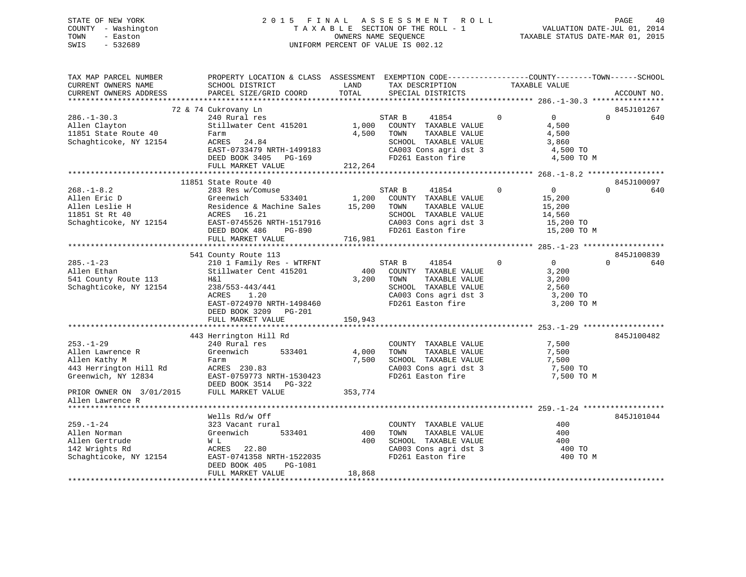## STATE OF NEW YORK 2 0 1 5 F I N A L A S S E S S M E N T R O L L PAGE 40 COUNTY - Washington T A X A B L E SECTION OF THE ROLL - 1 VALUATION DATE-JUL 01, 2014 TOWN - Easton COMPUTERS NAME SEQUENCE TAXABLE STATUS DATE-MAR 01, 2015<br>SWIS - 532689 SWIS - 532689 UNIFORM PERCENT OF VALUE IS 002.12

| TAX MAP PARCEL NUMBER    | PROPERTY LOCATION & CLASS ASSESSMENT EXEMPTION CODE---------------COUNTY-------TOWN-----SCHOOL |         |                                               |                               |                 |
|--------------------------|------------------------------------------------------------------------------------------------|---------|-----------------------------------------------|-------------------------------|-----------------|
| CURRENT OWNERS NAME      | SCHOOL DISTRICT                                                                                | LAND    | TAX DESCRIPTION                               | TAXABLE VALUE                 |                 |
| CURRENT OWNERS ADDRESS   | PARCEL SIZE/GRID COORD                                                                         | TOTAL   | SPECIAL DISTRICTS                             |                               | ACCOUNT NO.     |
|                          |                                                                                                |         |                                               |                               |                 |
|                          | 72 & 74 Cukrovany Ln                                                                           |         |                                               |                               | 845J101267      |
| $286. - 1 - 30.3$        | 240 Rural res                                                                                  |         | STAR B<br>41854                               | $\Omega$<br>$\overline{0}$    | $\Omega$<br>640 |
| Allen Clayton            | Stillwater Cent 415201                                                                         | 1,000   | COUNTY TAXABLE VALUE                          | 4,500                         |                 |
| 11851 State Route 40     | Farm<br>ACRES 24.84                                                                            | 4,500   | TOWN<br>TAXABLE VALUE                         | 4,500<br>3,860                |                 |
| Schaghticoke, NY 12154   | EAST-0733479 NRTH-1499183                                                                      |         | SCHOOL TAXABLE VALUE<br>CA003 Cons agri dst 3 | 4,500 TO                      |                 |
|                          | DEED BOOK 3405 PG-169                                                                          |         | FD261 Easton fire                             | 4,500 TO M                    |                 |
|                          | FULL MARKET VALUE                                                                              | 212,264 |                                               |                               |                 |
|                          |                                                                                                |         |                                               |                               |                 |
|                          | 11851 State Route 40                                                                           |         |                                               |                               | 845J100097      |
| $268. - 1 - 8.2$         | 283 Res w/Comuse                                                                               |         | STAR B<br>41854                               | $\mathbf 0$<br>$\overline{0}$ | $\Omega$<br>640 |
| Allen Eric D             | 533401<br>Greenwich                                                                            | 1,200   | COUNTY TAXABLE VALUE                          | 15,200                        |                 |
| Allen Leslie H           | Residence & Machine Sales                                                                      | 15,200  | TOWN<br>TAXABLE VALUE                         | 15,200                        |                 |
| 11851 St Rt 40           | ACRES 16.21                                                                                    |         | SCHOOL TAXABLE VALUE                          | 14,560                        |                 |
| Schaghticoke, NY 12154   | EAST-0745526 NRTH-1517916                                                                      |         |                                               | 15,200 TO                     |                 |
|                          | DEED BOOK 486<br>PG-890                                                                        |         | CA003 Cons agri dst 3<br>FD261 Easton fire    | 15,200 TO M                   |                 |
|                          | FULL MARKET VALUE                                                                              | 716,981 |                                               |                               |                 |
|                          |                                                                                                |         |                                               |                               |                 |
|                          | 541 County Route 113                                                                           |         |                                               |                               | 845J100839      |
| $285. - 1 - 23$          | 210 1 Family Res - WTRFNT                                                                      |         | STAR B<br>41854                               | $\mathbf 0$<br>$\overline{0}$ | $\Omega$<br>640 |
| Allen Ethan              | Stillwater Cent 415201                                                                         | 400     | COUNTY TAXABLE VALUE                          | 3,200                         |                 |
| 541 County Route 113     | H&l                                                                                            | 3,200   | TOWN<br>TAXABLE VALUE                         | 3,200                         |                 |
| Schaghticoke, NY 12154   | 238/553-443/441                                                                                |         | SCHOOL TAXABLE VALUE                          | 2,560                         |                 |
|                          | ACRES<br>1.20                                                                                  |         | CA003 Cons agri dst 3<br>FD261 Easton fire    | 3,200 TO                      |                 |
|                          | EAST-0724970 NRTH-1498460                                                                      |         |                                               | 3,200 TO M                    |                 |
|                          | DEED BOOK 3209 PG-201                                                                          |         |                                               |                               |                 |
|                          | FULL MARKET VALUE                                                                              | 150,943 |                                               |                               |                 |
|                          |                                                                                                |         |                                               |                               | 845J100482      |
| $253. - 1 - 29$          | 443 Herrington Hill Rd<br>240 Rural res                                                        |         | COUNTY TAXABLE VALUE                          | 7,500                         |                 |
| Allen Lawrence R         | Greenwich<br>533401                                                                            | 4,000   | TAXABLE VALUE<br>TOWN                         | 7,500                         |                 |
| Allen Kathy M            | Farm                                                                                           | 7,500   | SCHOOL TAXABLE VALUE                          | 7,500                         |                 |
| 443 Herrington Hill Rd   | ACRES 230.83                                                                                   |         | CA003 Cons agri dst 3                         | 7,500 TO                      |                 |
| Greenwich, NY 12834      | EAST-0759773 NRTH-1530423                                                                      |         | FD261 Easton fire                             | 7,500 TO M                    |                 |
|                          | DEED BOOK 3514 PG-322                                                                          |         |                                               |                               |                 |
| PRIOR OWNER ON 3/01/2015 | FULL MARKET VALUE                                                                              | 353,774 |                                               |                               |                 |
| Allen Lawrence R         |                                                                                                |         |                                               |                               |                 |
| ********************     |                                                                                                |         |                                               |                               |                 |
|                          | Wells Rd/w Off                                                                                 |         |                                               |                               | 845J101044      |
| $259. - 1 - 24$          | 323 Vacant rural                                                                               |         | COUNTY TAXABLE VALUE                          | 400                           |                 |
| Allen Norman             | Greenwich<br>533401                                                                            | 400     | TOWN<br>TAXABLE VALUE                         | 400                           |                 |
| Allen Gertrude           | W L                                                                                            | 400     | SCHOOL TAXABLE VALUE                          | 400                           |                 |
| 142 Wrights Rd           | ACRES 22.80                                                                                    |         | CA003 Cons agri dst 3                         | 400 TO                        |                 |
| Schaghticoke, NY 12154   | EAST-0741358 NRTH-1522035                                                                      |         | FD261 Easton fire                             | 400 TO M                      |                 |
|                          | DEED BOOK 405<br>PG-1081                                                                       |         |                                               |                               |                 |
|                          | FULL MARKET VALUE                                                                              | 18,868  |                                               |                               |                 |
|                          |                                                                                                |         |                                               |                               |                 |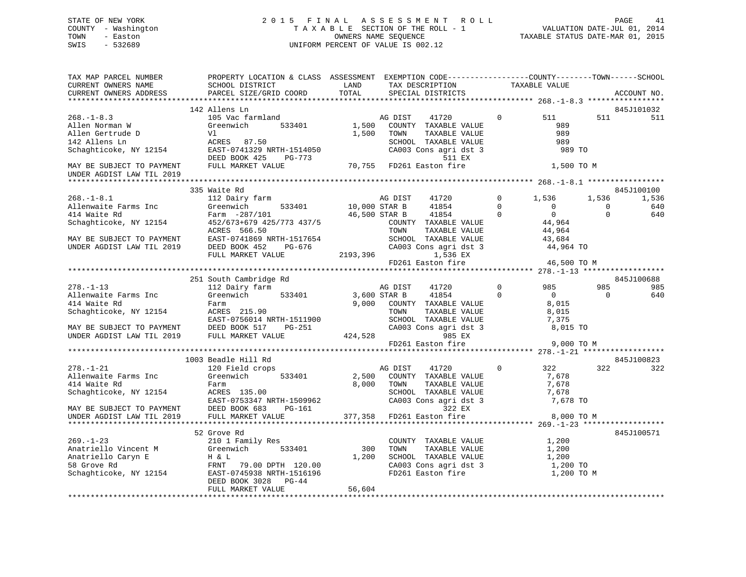## STATE OF NEW YORK 2 0 1 5 F I N A L A S S E S S M E N T R O L L PAGE 41 COUNTY - Washington T A X A B L E SECTION OF THE ROLL - 1 VALUATION DATE-JUL 01, 2014 TOWN - Easton **CONNERS NAME SEQUENCE** TAXABLE STATUS DATE-MAR 01, 2015 SWIS - 532689 UNIFORM PERCENT OF VALUE IS 002.12

| TAX MAP PARCEL NUMBER<br>CURRENT OWNERS NAME                                                   | PROPERTY LOCATION & CLASS ASSESSMENT EXEMPTION CODE----------------COUNTY-------TOWN------SCHOOL<br>SCHOOL DISTRICT                                                                                                               | LAND                     | TAX DESCRIPTION                                                                                                                                                                    |                | TAXABLE VALUE                                           |                              |                                   |
|------------------------------------------------------------------------------------------------|-----------------------------------------------------------------------------------------------------------------------------------------------------------------------------------------------------------------------------------|--------------------------|------------------------------------------------------------------------------------------------------------------------------------------------------------------------------------|----------------|---------------------------------------------------------|------------------------------|-----------------------------------|
| CURRENT OWNERS ADDRESS                                                                         | PARCEL SIZE/GRID COORD                                                                                                                                                                                                            | TOTAL                    | SPECIAL DISTRICTS                                                                                                                                                                  |                |                                                         |                              | ACCOUNT NO.                       |
|                                                                                                | 142 Allens Ln                                                                                                                                                                                                                     |                          |                                                                                                                                                                                    |                |                                                         |                              | 845J101032                        |
| $268. - 1 - 8.3$<br>Allen Norman W                                                             | 105 Vac farmland<br>Greenwich 533401<br>Allen Gertrude D<br>142 Allens Ln<br>Schaghticoke, NY 12154<br>EAST-0741329 NRTH-1514050<br>DEED BOOK 425<br>PG-773                                                                       | 1,500                    | AG DIST 41720<br>1,500 COUNTY TAXABLE VALUE<br>TOWN<br>TAXABLE VALUE<br>SCHOOL TAXABLE VALUE<br>CA003 Cons agri dst 3<br>511 EX                                                    | $\overline{0}$ | 511<br>989<br>989<br>989<br>989 TO                      | 511                          | 511                               |
| MAY BE SUBJECT TO PAYMENT<br>UNDER AGDIST LAW TIL 2019                                         | FULL MARKET VALUE                                                                                                                                                                                                                 |                          | 70,755 FD261 Easton fire                                                                                                                                                           |                | 1,500 TO M                                              |                              |                                   |
|                                                                                                |                                                                                                                                                                                                                                   |                          |                                                                                                                                                                                    |                |                                                         |                              |                                   |
| $268. - 1 - 8.1$<br>Allenwaite Farms Inc<br>414 Waite Rd                                       | 335 Waite Rd<br>112 Dairy farm<br>533401<br>Greenwich<br>Farm -287/101<br>414 Waite Rd<br>Schaghticoke, NY 12154<br>ACRES 566.50                                                                                                  | AG DIST<br>10,000 STAR B | 41720 0<br>41854<br>$\overline{0}$<br>46,500 STAR B 41854<br>COUNTY TAXABLE VALUE<br>TOWN<br>TAXABLE VALUE                                                                         | $\overline{0}$ | 1,536<br>$\overline{0}$<br>0<br>$0$<br>44,964<br>44,964 | 1,536<br>$\circ$<br>$\Omega$ | 845J100100<br>1,536<br>640<br>640 |
| MAY BE SUBJECT TO PAYMENT<br>UNDER AGDIST LAW TIL 2019                                         | EAST-0741869 NRTH-1517654<br>DEED BOOK 452 PG-676<br>FULL MARKET VALUE                                                                                                                                                            | 2193,396                 | CHOOL TAXABLE VALUE<br>CA003 Cons agri dst 3<br>1,536 EX<br>FD261 Easton fire 46,500 TO M                                                                                          |                |                                                         |                              |                                   |
|                                                                                                |                                                                                                                                                                                                                                   |                          |                                                                                                                                                                                    |                |                                                         |                              |                                   |
|                                                                                                | 251 South Cambridge Rd                                                                                                                                                                                                            |                          |                                                                                                                                                                                    |                |                                                         |                              | 845J100688                        |
| $278. - 1 - 13$                                                                                | 112 Dairy farm                                                                                                                                                                                                                    |                          | 41720<br>AG DIST                                                                                                                                                                   | $\overline{0}$ | 985                                                     | 985                          | 985                               |
| Allenwaite Farms Inc<br>414 Waite Rd                                                           | Greenwich<br>533401<br>Farm<br>Schaghticoke, NY 12154<br>MAY BE SUBJECT TO PAYMENT<br>MAY BE SUBJECT TO PAYMENT<br>UNDER AGDIST LAW TIL 2019<br>FULL MARKET VALUE<br>FULL MARKET VALUE<br>2019                                    | 3,600 STAR B             | 41854<br>9,000 COUNTY TAXABLE VALUE<br>COUNTY TAAADDE VALUE<br>TOWN TAXABLE VALUE<br>SCHOOL TAXABLE VALUE<br>CA003 Cons agri dst 3 8,01!<br>985 EX 9 00                            | $\Omega$       | $\overline{0}$<br>8,015<br>8,015 TO                     | $\overline{0}$               | 640                               |
|                                                                                                |                                                                                                                                                                                                                                   |                          | 424,528                                                                                                                                                                            |                | 9,000 TO M                                              |                              |                                   |
|                                                                                                |                                                                                                                                                                                                                                   |                          | FD261 Easton fire                                                                                                                                                                  |                |                                                         |                              |                                   |
|                                                                                                | 1003 Beadle Hill Rd                                                                                                                                                                                                               |                          |                                                                                                                                                                                    |                |                                                         |                              | 845J100823                        |
| $278. - 1 - 21$<br>Allenwaite Farms Inc<br>414 Waite Rd<br>Schaghticoke, NY 12154 ACRES 135.00 | 120 Field crops<br>533401<br>Greenwich<br>Farm<br>EAST-0753347 NRTH-1509962<br>DEED BOOK 683 PG-161<br>EAST-0753347 NRTH-1509962<br>MAY BE SUBJECT TO PAYMENT DEED BOOK 683 PG-161<br>UNDER AGDIST LAW TIL 2019 FULL MARKET VALUE | 2,500<br>8,000           | AG DIST<br>41720<br>COUNTY TAXABLE VALUE<br>TOWN<br>TAXABLE VALUE<br>SCHOOL TAXABLE VALUE 7,678<br>CA003 Cons agri dst 3 7,678 TO<br>322 EX<br>322 EX<br>377,358 FD261 Easton fire | $\overline{0}$ | 322<br>7,678<br>7,678<br>8,000 TO M                     | 322                          | 322                               |
|                                                                                                |                                                                                                                                                                                                                                   |                          |                                                                                                                                                                                    |                |                                                         |                              |                                   |
| $269. - 1 - 23$                                                                                | 52 Grove Rd<br>210 1 Family Res<br>Anatriello Vincent M<br>Anatriello Caryn E<br>B Greenwich 533401 300<br>53 Grove Rd<br>Schaghticoke, NY 12154 EAST-0745938 NRTH-1516196<br>DEED BOOK 3028 PG-44<br>FULL MARKET VALUE           | 56,604                   | COUNTY TAXABLE VALUE 1,200<br>TOWN<br>TAXABLE VALUE<br>SCHOOL TAXABLE VALUE 1,200<br>CA003 Cons agri dst 3 1,200 TO<br>CA003 Cons agri dst 3<br>FD261 Easton fire                  |                | 1,200<br>1,200 TO M                                     |                              | 845J100571                        |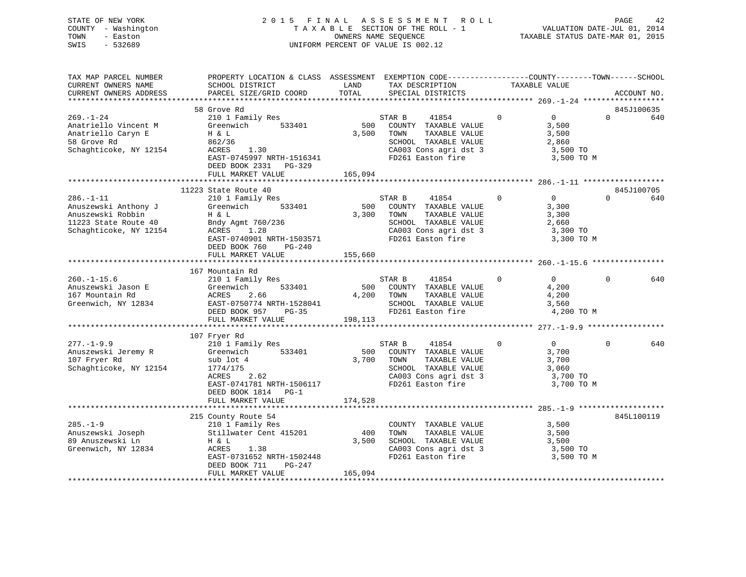| STATE OF NEW YORK   | 2015 FINAL ASSESSMENT ROLL         | 42<br>PAGE                       |
|---------------------|------------------------------------|----------------------------------|
| COUNTY - Washington | TAXABLE SECTION OF THE ROLL - 1    | VALUATION DATE-JUL 01, 2014      |
| TOWN<br>- Easton    | OWNERS NAME SEOUENCE               | TAXABLE STATUS DATE-MAR 01, 2015 |
| $-532689$<br>SWIS   | UNIFORM PERCENT OF VALUE IS 002.12 |                                  |
|                     |                                    |                                  |

| TAX MAP PARCEL NUMBER                                                       | PROPERTY LOCATION & CLASS ASSESSMENT EXEMPTION CODE---------------COUNTY-------TOWN------SCHOOL |               |                                               |                |                   |          |             |
|-----------------------------------------------------------------------------|-------------------------------------------------------------------------------------------------|---------------|-----------------------------------------------|----------------|-------------------|----------|-------------|
| CURRENT OWNERS NAME<br>CURRENT OWNERS ADDRESS                               | SCHOOL DISTRICT<br>PARCEL SIZE/GRID COORD                                                       | LAND<br>TOTAL | TAX DESCRIPTION<br>SPECIAL DISTRICTS          | TAXABLE VALUE  |                   |          | ACCOUNT NO. |
|                                                                             |                                                                                                 |               |                                               |                |                   |          |             |
|                                                                             | 58 Grove Rd                                                                                     |               |                                               |                |                   |          | 845J100635  |
| $269. - 1 - 24$                                                             | 210 1 Family Res                                                                                |               | STAR B<br>41854                               | $\Omega$       | $\Omega$          | $\Omega$ | 640         |
| Anatriello Vincent M                                                        | Greenwich 533401                                                                                | 500           | COUNTY TAXABLE VALUE                          |                | 3,500             |          |             |
| Anatriello Caryn E                                                          | H & L                                                                                           | 3,500         | TAXABLE VALUE<br>TOWN                         |                | 3,500             |          |             |
| 58 Grove Rd                                                                 | 862/36                                                                                          |               | SCHOOL TAXABLE VALUE                          |                | 2,860             |          |             |
| Schaghticoke, NY 12154                                                      | 1.30<br>ACRES                                                                                   |               |                                               |                | 3,500 TO          |          |             |
|                                                                             | EAST-0745997 NRTH-1516341                                                                       |               | CA003 Cons agri dst 3<br>FD261 Easton fire    |                | 3,500 TO M        |          |             |
|                                                                             | DEED BOOK 2331 PG-329                                                                           |               |                                               |                |                   |          |             |
|                                                                             | FULL MARKET VALUE                                                                               | 165,094       |                                               |                |                   |          |             |
|                                                                             |                                                                                                 |               |                                               |                |                   |          |             |
|                                                                             | 11223 State Route 40                                                                            |               |                                               |                |                   |          | 845J100705  |
| $286. - 1 - 11$                                                             | 210 1 Family Res                                                                                |               | STAR B<br>41854                               | $\overline{0}$ | $\overline{0}$    | $\Omega$ | 640         |
| Anuszewski Anthony J                                                        | Greenwich 533401                                                                                |               | 500 COUNTY TAXABLE VALUE                      |                | 3,300             |          |             |
| Anuszewski Robbin                                                           | H & L                                                                                           | 3,300 TOWN    | TAXABLE VALUE                                 |                | 3,300             |          |             |
|                                                                             |                                                                                                 |               |                                               |                |                   |          |             |
| 11223 State Route 40 Bndy Agmt 760/236<br>Schaghticoke, NY 12154 ACRES 1.28 |                                                                                                 |               | SCHOOL TAXABLE VALUE<br>CA003 Cons agri dst 3 |                | 2,660<br>3,300 TO |          |             |
|                                                                             | EAST-0740901 NRTH-1503571                                                                       |               | FD261 Easton fire                             |                | 3,300 TO M        |          |             |
|                                                                             | DEED BOOK 760<br>PG-240                                                                         |               |                                               |                |                   |          |             |
|                                                                             | FULL MARKET VALUE                                                                               | 155,660       |                                               |                |                   |          |             |
|                                                                             |                                                                                                 |               |                                               |                |                   |          |             |
|                                                                             | 167 Mountain Rd                                                                                 |               |                                               |                |                   |          |             |
| $260. -1 - 15.6$                                                            | 210 1 Family Res                                                                                |               | 41854<br>STAR B                               | $\mathbf{0}$   | $\overline{0}$    | $\Omega$ | 640         |
| Anuszewski Jason E                                                          | 533401<br>Greenwich                                                                             |               | 500 COUNTY TAXABLE VALUE                      |                | 4,200             |          |             |
| 167 Mountain Rd                                                             | ACRES<br>2.66                                                                                   | 4,200 TOWN    | TAXABLE VALUE                                 |                | 4,200             |          |             |
| Greenwich, NY 12834                                                         | EAST-0750774 NRTH-1528041                                                                       |               |                                               |                | 3,560             |          |             |
|                                                                             | DEED BOOK 957 PG-35                                                                             |               | TUWN FILMENT VALUE<br>FD261 Easton fire       |                | 4,200 TO M        |          |             |
|                                                                             | FULL MARKET VALUE                                                                               | 198,113       |                                               |                |                   |          |             |
|                                                                             |                                                                                                 |               |                                               |                |                   |          |             |
|                                                                             | 107 Fryer Rd                                                                                    |               |                                               |                |                   |          |             |
| $277. - 1 - 9.9$                                                            | 210 1 Family Res                                                                                |               | STAR B<br>41854                               | $\Omega$       | $\overline{0}$    | $\Omega$ | 640         |
| Anuszewski Jeremy R                                                         | 533401<br>Greenwich                                                                             | 500           | COUNTY TAXABLE VALUE                          |                | 3,700             |          |             |
| 107 Fryer Rd                                                                | sub lot 4                                                                                       |               | 3,700 TOWN<br>TAXABLE VALUE                   |                | 3,700             |          |             |
| Schaghticoke, NY 12154                                                      | 1774/175                                                                                        |               | SCHOOL TAXABLE VALUE                          |                | 3,060             |          |             |
|                                                                             | ACRES<br>2.62                                                                                   |               | SCHOOL TAXABLE VALUE<br>CA003 Cons agri dst 3 |                | 3,700 TO          |          |             |
|                                                                             | EAST-0741781 NRTH-1506117                                                                       |               | FD261 Easton fire                             |                | 3,700 TO M        |          |             |
|                                                                             | DEED BOOK 1814 PG-1                                                                             |               |                                               |                |                   |          |             |
|                                                                             | FULL MARKET VALUE                                                                               | 174,528       |                                               |                |                   |          |             |
|                                                                             |                                                                                                 |               |                                               |                |                   |          |             |
|                                                                             | 215 County Route 54                                                                             |               |                                               |                |                   |          | 845L100119  |
| $285. - 1 - 9$                                                              | 210 1 Family Res                                                                                |               | COUNTY TAXABLE VALUE                          | 3,500          |                   |          |             |
| Anuszewski Joseph                                                           | 210 1 Family Res<br>Stillwater Cent 415201                                                      | 400           | TOWN<br>TAXABLE VALUE                         |                | 3,500             |          |             |
| 89 Anuszewski Ln                                                            | H & L                                                                                           |               | 3,500 SCHOOL TAXABLE VALUE                    |                | 3,500             |          |             |
| Greenwich, NY 12834                                                         | ACRES<br>1.38                                                                                   |               | CA003 Cons agri dst 3                         |                | 3,500 TO          |          |             |
|                                                                             | EAST-0731652 NRTH-1502448                                                                       |               | FD261 Easton fire                             |                | 3,500 TO M        |          |             |
|                                                                             | DEED BOOK 711<br>PG-247                                                                         |               |                                               |                |                   |          |             |
|                                                                             | FULL MARKET VALUE                                                                               | 165,094       |                                               |                |                   |          |             |
|                                                                             |                                                                                                 |               |                                               |                |                   |          |             |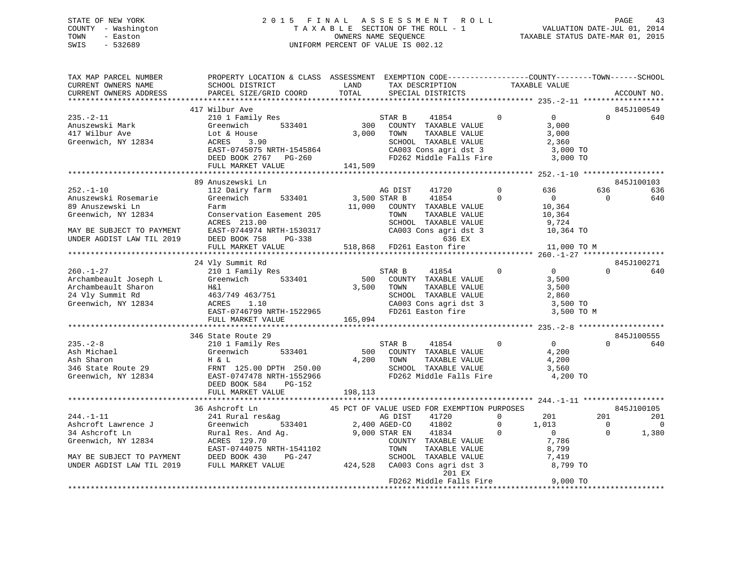# STATE OF NEW YORK 2 0 1 5 F I N A L A S S E S S M E N T R O L L PAGE 43COUNTY - Washington  $T A X A B L E$  SECTION OF THE ROLL - 1<br>TOWN - Easton DATE-JUL 000NERS NAME SEQUENCE SWIS - 532689 UNIFORM PERCENT OF VALUE IS 002.12

| TAX MAP PARCEL NUMBER<br>CURRENT OWNERS NAME<br>CURRENT OWNERS ADDRESS                                                 | PROPERTY LOCATION & CLASS ASSESSMENT EXEMPTION CODE----------------COUNTY-------TOWN------SCHOOL<br>SCHOOL DISTRICT LAND<br>PARCEL SIZE/GRID COORD                                                                                                                    | TOTAL          | TAX DESCRIPTION<br>SPECIAL DISTRICTS                                                                                                             |                            | TAXABLE VALUE                                                       |                            | ACCOUNT NO.             |
|------------------------------------------------------------------------------------------------------------------------|-----------------------------------------------------------------------------------------------------------------------------------------------------------------------------------------------------------------------------------------------------------------------|----------------|--------------------------------------------------------------------------------------------------------------------------------------------------|----------------------------|---------------------------------------------------------------------|----------------------------|-------------------------|
|                                                                                                                        |                                                                                                                                                                                                                                                                       |                |                                                                                                                                                  |                            |                                                                     |                            |                         |
| $235. - 2 - 11$                                                                                                        | 417 Wilbur Ave<br>210 1 Family Res                                                                                                                                                                                                                                    | $rac{S!}{300}$ | STAR B<br>41854                                                                                                                                  | $\Omega$                   | $\overline{0}$                                                      | $\Omega$                   | 845J100549<br>640       |
| Anuszewski Mark<br>417 Wilbur Ave<br>Greenwich, NY 12834                                                               | Greenwich 533401<br>Lot & House<br>ACRES 3.90<br>EAST-0745075 NRTH-1545864<br>DEED BOOK 2767 PG-260                                                                                                                                                                   | 3,000          | COUNTY TAXABLE VALUE<br>TOWN<br>TAXABLE VALUE<br>SCHOOL TAXABLE VALUE<br>CA003 Cons agri dst 3 3,000 TO<br>FD262 Middle Falls Fire 3,000 TO      |                            | 3,000<br>3,000<br>2,360                                             |                            |                         |
|                                                                                                                        | FULL MARKET VALUE 141,509                                                                                                                                                                                                                                             |                |                                                                                                                                                  |                            |                                                                     |                            |                         |
|                                                                                                                        | 89 Anuszewski Ln                                                                                                                                                                                                                                                      |                |                                                                                                                                                  |                            |                                                                     |                            | 845J100103              |
| $252. - 1 - 10$<br>Anuszewski Rosemarie<br>89 Anuszewski Ln<br>Greenwich, NY 12834                                     | 112 Dairy farm<br>Greenwich 533401<br>Farm<br>Conservation Easement 205<br>ACRES 213.00                                                                                                                                                                               |                | 41720<br>AG DIST<br>3,500 STAR B<br>41854<br>11,000 COUNTY TAXABLE VALUE<br>TOWN<br>TAXABLE VALUE<br>SCHOOL TAXABLE VALUE                        | $\Omega$<br>$\Omega$       | 636<br>$\overline{0}$<br>10,364<br>10,364<br>9,724                  | 636<br>$\Omega$            | 636<br>640              |
| MAY BE SUBJECT TO PAYMENT<br>UNDER AGDIST LAW TIL 2019                                                                 | EAST-0744974 NRTH-1530317<br>DEED BOOK 758 PG-338<br>FULL MARKET VALUE                                                                                                                                                                                                |                | SUNOUL TAXABLE VALUE<br>CA003 Cons agri dst 3<br>636 EX<br>518,868 FD261 Easton fire                                                             |                            | 10,364 TO<br>11,000 TO M                                            |                            |                         |
|                                                                                                                        |                                                                                                                                                                                                                                                                       |                |                                                                                                                                                  |                            |                                                                     |                            |                         |
|                                                                                                                        | 24 Vly Summit Rd                                                                                                                                                                                                                                                      |                |                                                                                                                                                  |                            |                                                                     |                            | 845J100271              |
| $260. - 1 - 27$<br>Archambeault Joseph L                                                                               | 210 1 Family Res<br>Greenwich 533401<br>Archambeault Sharon<br>24 Vly Summit Rd<br>34 Vly Summit Rd<br>463/749 463/751<br>ACRES<br>ACRES<br>1.10<br>EAST-0746799 NRTH-1522965<br>FULL MARKET VALUE 165,094                                                            |                | STAR B<br>41854<br>500 COUNTY TAXABLE VALUE<br>3,500 TOWN<br>TAXABLE VALUE<br>SCHOOL TAXABLE VALUE<br>CA003 Cons agri dst 3<br>FD261 Easton fire | $\overline{0}$             | $\overline{0}$<br>3,500<br>3,500<br>2,860<br>3,500 TO<br>3,500 TO M | $\Omega$                   | 640                     |
|                                                                                                                        |                                                                                                                                                                                                                                                                       |                |                                                                                                                                                  |                            |                                                                     |                            |                         |
| $235. -2 - 8$                                                                                                          | 346 State Route 29<br>State Route 29<br>210 1 Family Res<br>Ash Michael Greenwich 533401 500<br>Ash Sharon H & L 4,200<br>346 State Route 29 FRNT 125.00 DPTH 250.00<br>Greenwich, NY 12834 EAST-0747478 NRTH-1552966<br>PG-152<br>DEED BOOK 584<br>FULL MARKET VALUE | 198,113        | STAR B<br>41854<br>500 COUNTY TAXABLE VALUE<br>4,200 TOWN<br>TAXABLE VALUE<br>SCHOOL TAXABLE VALUE<br>FD262 Middle Falls Fire                    | $\mathbf{0}$               | $\overline{0}$<br>4,200<br>4,200<br>3,560<br>4,200 TO               | $\Omega$                   | 845J100555<br>640       |
|                                                                                                                        |                                                                                                                                                                                                                                                                       |                |                                                                                                                                                  |                            |                                                                     |                            |                         |
| $244. -1 - 11$                                                                                                         | 36 Ashcroft Ln<br>241 Rural res&ag                                                                                                                                                                                                                                    |                | 45 PCT OF VALUE USED FOR EXEMPTION PURPOSES<br>AG DIST<br>41720                                                                                  | $\overline{0}$             | 201                                                                 | 201                        | 845J100105<br>201       |
| Ashcroft Lawrence J<br>34 Ashcroft Ln<br>Greenwich, NY 12834<br>MAY BE SUBJECT TO PAYMENT<br>UNDER AGDIST LAW TIL 2019 | 533401 2,400 AGED-CO<br>Greenwich<br>Rural Res. And Ag. 3,000 STAR EN ACRES 129.70<br>ACRES 129.70<br>ACRES 129.70<br>EAST-0744075 NRTH-1541102<br>DEED BOOK 430<br>PG-247<br>FULL MARKET VALUE                                                                       |                | 41802<br>41834<br>COUNTY TAXABLE VALUE<br>TOWN<br>TAXABLE VALUE<br>SCHOOL TAXABLE VALUE<br>424,528 CA003 Cons agri dst 3                         | $\overline{0}$<br>$\Omega$ | 1,013<br>$\overline{0}$<br>7,786<br>8,799<br>7,419<br>8,799 TO      | $\overline{0}$<br>$\Omega$ | $\overline{0}$<br>1,380 |
|                                                                                                                        |                                                                                                                                                                                                                                                                       |                | 201 EX<br>FD262 Middle Falls Fire                                                                                                                |                            | 9,000 TO                                                            |                            |                         |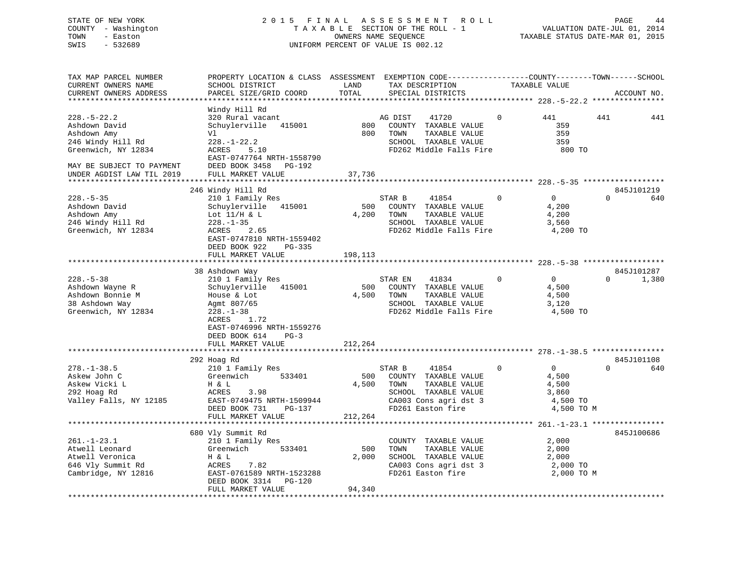## STATE OF NEW YORK 2 0 1 5 F I N A L A S S E S S M E N T R O L L PAGE 44 COUNTY - Washington T A X A B L E SECTION OF THE ROLL - 1 VALUATION DATE-JUL 01, 2014 TOWN - Easton OWNERS NAME SEQUENCE TAXABLE STATUS DATE-MAR 01, 2015 SWIS - 532689 UNIFORM PERCENT OF VALUE IS 002.12

TAX MAP PARCEL NUMBER PROPERTY LOCATION & CLASS ASSESSMENT EXEMPTION CODE------------------COUNTY--------TOWN------SCHOOL CURRENT OWNERS NAME SCHOOL DISTRICT LAND TAX DESCRIPTION TAXABLE VALUECURRENT OWNERS ADDRESS PARCEL SIZE/GRID COORD TOTAL SPECIAL DISTRICTS ACCOUNT NO. \*\*\*\*\*\*\*\*\*\*\*\*\*\*\*\*\*\*\*\*\*\*\*\*\*\*\*\*\*\*\*\*\*\*\*\*\*\*\*\*\*\*\*\*\*\*\*\*\*\*\*\*\*\*\*\*\*\*\*\*\*\*\*\*\*\*\*\*\*\*\*\*\*\*\*\*\*\*\*\*\*\*\*\*\*\*\*\*\*\*\*\*\*\*\*\*\*\*\*\*\*\*\* 228.-5-22.2 \*\*\*\*\*\*\*\*\*\*\*\*\*\*\*\* Windy Hill Rd<br>320 Rural vacant 228.-5-22.2 320 Rural vacant AG DIST 41720 0 441 441 441Ashdown David Schuylerville 415001 800 COUNTY TAXABLE VALUE 359 Ashdown Amy Vl 800 TOWN TAXABLE VALUE 359 246 Windy Hill Rd 228.-1-22.2 SCHOOL TAXABLE VALUE 359 Greenwich, NY 12834 ACRES 5.10 FD262 Middle Falls Fire 800 TO EAST-0747764 NRTH-1558790 MAY BE SUBJECT TO PAYMENT DEED BOOK 3458 PG-192 UNDER AGDIST LAW TIL 2019 FULL MARKET VALUE \*\*\*\*\*\*\*\*\*\*\*\*\*\*\*\*\*\*\*\*\*\*\*\*\*\*\*\*\*\*\*\*\*\*\*\*\*\*\*\*\*\*\*\*\*\*\*\*\*\*\*\*\*\*\*\*\*\*\*\*\*\*\*\*\*\*\*\*\*\*\*\*\*\*\*\*\*\*\*\*\*\*\*\*\*\*\*\*\*\*\*\*\*\*\*\*\*\*\*\*\*\*\* 228.-5-35 \*\*\*\*\*\*\*\*\*\*\*\*\*\*\*\*\*\* 246 Windy Hill Rd 845J101219 228.-5-35 210 1 Family Res STAR B 41854 0 0 0 640 Ashdown David Schuylerville 415001 500 COUNTY TAXABLE VALUE 4,200 Ashdown Amy Lot 11/H & L 4,200 TOWN TAXABLE VALUE 4,200 246 Windy Hill Rd 228.-1-35 SCHOOL TAXABLE VALUE 3,560 Greenwich, NY 12834 ACRES 2.65 FD262 Middle Falls Fire 4,200 TO EAST-0747810 NRTH-1559402 DEED BOOK 922 PG-335FULL MARKET VALUE 198,113 \*\*\*\*\*\*\*\*\*\*\*\*\*\*\*\*\*\*\*\*\*\*\*\*\*\*\*\*\*\*\*\*\*\*\*\*\*\*\*\*\*\*\*\*\*\*\*\*\*\*\*\*\*\*\*\*\*\*\*\*\*\*\*\*\*\*\*\*\*\*\*\*\*\*\*\*\*\*\*\*\*\*\*\*\*\*\*\*\*\*\*\*\*\*\*\*\*\*\*\*\*\*\* 228.-5-38 \*\*\*\*\*\*\*\*\*\*\*\*\*\*\*\*\*\* 38 Ashdown Way 845J101287 228.-5-38 210 1 Family Res STAR EN 41834 0 0 0 1,380 Ashdown Wayne R Schuylerville 415001 500 COUNTY TAXABLE VALUE 4,500 Ashdown Bonnie M House & Lot 4,500 TOWN TAXABLE VALUE 4,500 38 Ashdown Way Agmt 807/65 SCHOOL TAXABLE VALUE 3,120 Greenwich, NY 12834 228.-1-38 FD262 Middle Falls Fire 4,500 TO ACRES 1.72 EAST-0746996 NRTH-1559276 DEED BOOK 614 PG-3FULL MARKET VALUE 212,264 \*\*\*\*\*\*\*\*\*\*\*\*\*\*\*\*\*\*\*\*\*\*\*\*\*\*\*\*\*\*\*\*\*\*\*\*\*\*\*\*\*\*\*\*\*\*\*\*\*\*\*\*\*\*\*\*\*\*\*\*\*\*\*\*\*\*\*\*\*\*\*\*\*\*\*\*\*\*\*\*\*\*\*\*\*\*\*\*\*\*\*\*\*\*\*\*\*\*\*\*\*\*\* 278.-1-38.5 \*\*\*\*\*\*\*\*\*\*\*\*\*\*\*\* 292 Hoag Rd 845J101108 278.-1-38.5 210 1 Family Res STAR B 41854 0 0 640 Askew John C Greenwich 533401 500 COUNTY TAXABLE VALUE 4,500 Askew Vicki L H & L 4,500 TOWN TAXABLE VALUE 4,500 292 Hoag Rd ACRES 3.98 SCHOOL TAXABLE VALUE 3,860 Valley Falls, NY 12185 EAST-0749475 NRTH-1509944 CA003 Cons agri dst 3 4,500 TO DEED BOOK 731 PG-137 FD261 Easton fire 4,500 TO M DEED BOOK 731 PG-137<br>FULL MARKET VALUE 212,264 \*\*\*\*\*\*\*\*\*\*\*\*\*\*\*\*\*\*\*\*\*\*\*\*\*\*\*\*\*\*\*\*\*\*\*\*\*\*\*\*\*\*\*\*\*\*\*\*\*\*\*\*\*\*\*\*\*\*\*\*\*\*\*\*\*\*\*\*\*\*\*\*\*\*\*\*\*\*\*\*\*\*\*\*\*\*\*\*\*\*\*\*\*\*\*\*\*\*\*\*\*\*\* 261.-1-23.1 \*\*\*\*\*\*\*\*\*\*\*\*\*\*\*\*845J100686 680 Vly Summit Rd 845J100686 261.-1-23.1 210 1 Family Res COUNTY TAXABLE VALUE 2,000 Atwell Leonard Greenwich 533401 500 TOWN TAXABLE VALUE 2,000 Atwell Veronica H & L 2,000 SCHOOL TAXABLE VALUE 2,000 646 Vly Summit Rd ACRES 7.82 CA003 Cons agri dst 3 2,000 TO Cambridge, NY 12816 EAST-0761589 NRTH-1523288 FD261 Easton fire 2,000 TO M DEED BOOK 3314 PG-120 FULL MARKET VALUE 94,340 \*\*\*\*\*\*\*\*\*\*\*\*\*\*\*\*\*\*\*\*\*\*\*\*\*\*\*\*\*\*\*\*\*\*\*\*\*\*\*\*\*\*\*\*\*\*\*\*\*\*\*\*\*\*\*\*\*\*\*\*\*\*\*\*\*\*\*\*\*\*\*\*\*\*\*\*\*\*\*\*\*\*\*\*\*\*\*\*\*\*\*\*\*\*\*\*\*\*\*\*\*\*\*\*\*\*\*\*\*\*\*\*\*\*\*\*\*\*\*\*\*\*\*\*\*\*\*\*\*\*\*\*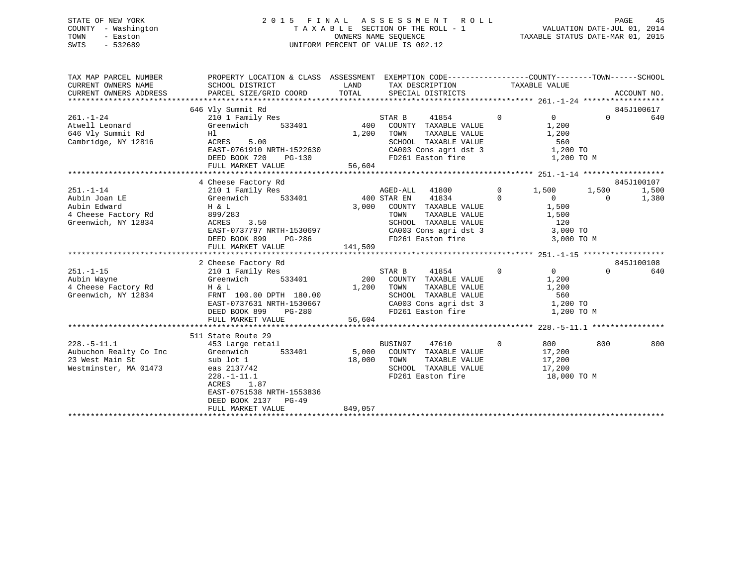## STATE OF NEW YORK 2 0 1 5 F I N A L A S S E S S M E N T R O L L PAGE 45 COUNTY - Washington T A X A B L E SECTION OF THE ROLL - 1 VALUATION DATE-JUL 01, 2014 TOWN - Easton COMPUTERS NAME SEQUENCE TAXABLE STATUS DATE-MAR 01, 2015<br>SWIS - 532689 SWIS - 532689 UNIFORM PERCENT OF VALUE IS 002.12

| TAXABLE VALUE<br>CURRENT OWNERS NAME<br>SCHOOL DISTRICT<br><b>LAND</b><br>TAX DESCRIPTION<br>TOTAL<br>PARCEL SIZE/GRID COORD<br>CURRENT OWNERS ADDRESS<br>SPECIAL DISTRICTS<br>ACCOUNT NO.<br>845J100617<br>646 Vly Summit Rd<br>$\overline{0}$<br>$\Omega$<br>$261. - 1 - 24$<br>STAR B<br>41854<br>$\Omega$<br>210 1 Family Res<br>640<br>Greenwich 533401<br>400 COUNTY TAXABLE VALUE<br>Atwell Leonard<br>1,200<br>646 Vly Summit Rd<br>TOWN<br>TAXABLE VALUE<br>1,200<br>1,200<br>Hl.<br>Cambridge, NY 12816<br>ACRES 5.00<br>SCHOOL TAXABLE VALUE 560<br>CA003 Cons agri dst 3 1,200 TO<br>EAST-0761910 NRTH-1522630<br>FD261 Easton fire<br>DEED BOOK 720<br>1,200 TO M<br>PG-130<br>56,604<br>FULL MARKET VALUE<br>845J100107<br>4 Cheese Factory Rd<br>$251. - 1 - 14$<br>AGED-ALL<br>41800<br>$\mathbf{0}$<br>210 1 Family Res<br>1,500<br>1,500<br>1,500<br>400 STAR EN<br>41834<br>Aubin Joan LE<br>Greenwich<br>533401<br>1,380<br>$\Omega$<br>$\overline{0}$<br>$\overline{0}$<br>Aubin Edward<br>H & L<br>3,000<br>COUNTY TAXABLE VALUE<br>1,500<br>4 Cheese Factory Rd<br>1,500<br>899/283<br>TOWN<br>TAXABLE VALUE<br>120<br>Greenwich, NY 12834<br>3.50<br>SCHOOL TAXABLE VALUE<br>ACRES<br>CA003 Cons agri dst 3<br>EAST-0737797 NRTH-1530697<br>3,000 TO<br>FD261 Easton fire<br>DEED BOOK 899 PG-286<br>3,000 TO M<br>141,509<br>FULL MARKET VALUE<br>845J100108<br>2 Cheese Factory Rd<br>$\overline{0}$<br>$251. - 1 - 15$<br>STAR B<br>41854<br>$\overline{0}$<br>$\Omega$<br>640<br>210 1 Family Res<br>200 COUNTY TAXABLE VALUE<br>533401<br>Aubin Wayne<br>Greenwich<br>1,200<br>4 Cheese Factory Rd<br>1,200 TOWN<br>1,200<br>H & L<br>TAXABLE VALUE<br>SCHOOL TAXABLE VALUE 560<br>CA003 Cons agri dst 3 1,200 TO<br>FD261 Easton fire 1,200 TO<br>Greenwich, NY 12834<br>FRNT 100.00 DPTH 180.00<br>EAST-0737631 NRTH-1530667<br>$PG-280$<br>DEED BOOK 899<br>1,200 TO M<br>56,604<br>FULL MARKET VALUE<br>511 State Route 29<br>$228. - 5 - 11.1$<br>47610<br>800<br>800<br>453 Large retail<br>BUSIN97<br>$\Omega$<br>800 - 100<br>Aubuchon Realty Co Inc<br>Greenwich<br>533401<br>5,000 COUNTY TAXABLE VALUE<br>17,200<br>23 West Main St<br>sub lot 1<br>eas 2137/42<br>18,000 TOWN<br>TAXABLE VALUE<br>17,200<br>17,200<br>Westminster, MA 01473<br>SCHOOL TAXABLE VALUE<br>FD261 Easton fire<br>$228. - 1 - 11.1$<br>18,000 TO M<br>ACRES 1.87<br>EAST-0751538 NRTH-1553836<br>DEED BOOK 2137 PG-49<br>849,057<br>FULL MARKET VALUE | TAX MAP PARCEL NUMBER | PROPERTY LOCATION & CLASS ASSESSMENT EXEMPTION CODE---------------COUNTY-------TOWN------SCHOOL |  |  |  |  |
|--------------------------------------------------------------------------------------------------------------------------------------------------------------------------------------------------------------------------------------------------------------------------------------------------------------------------------------------------------------------------------------------------------------------------------------------------------------------------------------------------------------------------------------------------------------------------------------------------------------------------------------------------------------------------------------------------------------------------------------------------------------------------------------------------------------------------------------------------------------------------------------------------------------------------------------------------------------------------------------------------------------------------------------------------------------------------------------------------------------------------------------------------------------------------------------------------------------------------------------------------------------------------------------------------------------------------------------------------------------------------------------------------------------------------------------------------------------------------------------------------------------------------------------------------------------------------------------------------------------------------------------------------------------------------------------------------------------------------------------------------------------------------------------------------------------------------------------------------------------------------------------------------------------------------------------------------------------------------------------------------------------------------------------------------------------------------------------------------------------------------------------------------------------------------------------------------------------------------------------------------------------------------------------------------------------------------------------------------------------------------------------------------------------------------------------------------------------------------|-----------------------|-------------------------------------------------------------------------------------------------|--|--|--|--|
|                                                                                                                                                                                                                                                                                                                                                                                                                                                                                                                                                                                                                                                                                                                                                                                                                                                                                                                                                                                                                                                                                                                                                                                                                                                                                                                                                                                                                                                                                                                                                                                                                                                                                                                                                                                                                                                                                                                                                                                                                                                                                                                                                                                                                                                                                                                                                                                                                                                                          |                       |                                                                                                 |  |  |  |  |
|                                                                                                                                                                                                                                                                                                                                                                                                                                                                                                                                                                                                                                                                                                                                                                                                                                                                                                                                                                                                                                                                                                                                                                                                                                                                                                                                                                                                                                                                                                                                                                                                                                                                                                                                                                                                                                                                                                                                                                                                                                                                                                                                                                                                                                                                                                                                                                                                                                                                          |                       |                                                                                                 |  |  |  |  |
|                                                                                                                                                                                                                                                                                                                                                                                                                                                                                                                                                                                                                                                                                                                                                                                                                                                                                                                                                                                                                                                                                                                                                                                                                                                                                                                                                                                                                                                                                                                                                                                                                                                                                                                                                                                                                                                                                                                                                                                                                                                                                                                                                                                                                                                                                                                                                                                                                                                                          |                       |                                                                                                 |  |  |  |  |
|                                                                                                                                                                                                                                                                                                                                                                                                                                                                                                                                                                                                                                                                                                                                                                                                                                                                                                                                                                                                                                                                                                                                                                                                                                                                                                                                                                                                                                                                                                                                                                                                                                                                                                                                                                                                                                                                                                                                                                                                                                                                                                                                                                                                                                                                                                                                                                                                                                                                          |                       |                                                                                                 |  |  |  |  |
|                                                                                                                                                                                                                                                                                                                                                                                                                                                                                                                                                                                                                                                                                                                                                                                                                                                                                                                                                                                                                                                                                                                                                                                                                                                                                                                                                                                                                                                                                                                                                                                                                                                                                                                                                                                                                                                                                                                                                                                                                                                                                                                                                                                                                                                                                                                                                                                                                                                                          |                       |                                                                                                 |  |  |  |  |
|                                                                                                                                                                                                                                                                                                                                                                                                                                                                                                                                                                                                                                                                                                                                                                                                                                                                                                                                                                                                                                                                                                                                                                                                                                                                                                                                                                                                                                                                                                                                                                                                                                                                                                                                                                                                                                                                                                                                                                                                                                                                                                                                                                                                                                                                                                                                                                                                                                                                          |                       |                                                                                                 |  |  |  |  |
|                                                                                                                                                                                                                                                                                                                                                                                                                                                                                                                                                                                                                                                                                                                                                                                                                                                                                                                                                                                                                                                                                                                                                                                                                                                                                                                                                                                                                                                                                                                                                                                                                                                                                                                                                                                                                                                                                                                                                                                                                                                                                                                                                                                                                                                                                                                                                                                                                                                                          |                       |                                                                                                 |  |  |  |  |
|                                                                                                                                                                                                                                                                                                                                                                                                                                                                                                                                                                                                                                                                                                                                                                                                                                                                                                                                                                                                                                                                                                                                                                                                                                                                                                                                                                                                                                                                                                                                                                                                                                                                                                                                                                                                                                                                                                                                                                                                                                                                                                                                                                                                                                                                                                                                                                                                                                                                          |                       |                                                                                                 |  |  |  |  |
|                                                                                                                                                                                                                                                                                                                                                                                                                                                                                                                                                                                                                                                                                                                                                                                                                                                                                                                                                                                                                                                                                                                                                                                                                                                                                                                                                                                                                                                                                                                                                                                                                                                                                                                                                                                                                                                                                                                                                                                                                                                                                                                                                                                                                                                                                                                                                                                                                                                                          |                       |                                                                                                 |  |  |  |  |
|                                                                                                                                                                                                                                                                                                                                                                                                                                                                                                                                                                                                                                                                                                                                                                                                                                                                                                                                                                                                                                                                                                                                                                                                                                                                                                                                                                                                                                                                                                                                                                                                                                                                                                                                                                                                                                                                                                                                                                                                                                                                                                                                                                                                                                                                                                                                                                                                                                                                          |                       |                                                                                                 |  |  |  |  |
|                                                                                                                                                                                                                                                                                                                                                                                                                                                                                                                                                                                                                                                                                                                                                                                                                                                                                                                                                                                                                                                                                                                                                                                                                                                                                                                                                                                                                                                                                                                                                                                                                                                                                                                                                                                                                                                                                                                                                                                                                                                                                                                                                                                                                                                                                                                                                                                                                                                                          |                       |                                                                                                 |  |  |  |  |
|                                                                                                                                                                                                                                                                                                                                                                                                                                                                                                                                                                                                                                                                                                                                                                                                                                                                                                                                                                                                                                                                                                                                                                                                                                                                                                                                                                                                                                                                                                                                                                                                                                                                                                                                                                                                                                                                                                                                                                                                                                                                                                                                                                                                                                                                                                                                                                                                                                                                          |                       |                                                                                                 |  |  |  |  |
|                                                                                                                                                                                                                                                                                                                                                                                                                                                                                                                                                                                                                                                                                                                                                                                                                                                                                                                                                                                                                                                                                                                                                                                                                                                                                                                                                                                                                                                                                                                                                                                                                                                                                                                                                                                                                                                                                                                                                                                                                                                                                                                                                                                                                                                                                                                                                                                                                                                                          |                       |                                                                                                 |  |  |  |  |
|                                                                                                                                                                                                                                                                                                                                                                                                                                                                                                                                                                                                                                                                                                                                                                                                                                                                                                                                                                                                                                                                                                                                                                                                                                                                                                                                                                                                                                                                                                                                                                                                                                                                                                                                                                                                                                                                                                                                                                                                                                                                                                                                                                                                                                                                                                                                                                                                                                                                          |                       |                                                                                                 |  |  |  |  |
|                                                                                                                                                                                                                                                                                                                                                                                                                                                                                                                                                                                                                                                                                                                                                                                                                                                                                                                                                                                                                                                                                                                                                                                                                                                                                                                                                                                                                                                                                                                                                                                                                                                                                                                                                                                                                                                                                                                                                                                                                                                                                                                                                                                                                                                                                                                                                                                                                                                                          |                       |                                                                                                 |  |  |  |  |
|                                                                                                                                                                                                                                                                                                                                                                                                                                                                                                                                                                                                                                                                                                                                                                                                                                                                                                                                                                                                                                                                                                                                                                                                                                                                                                                                                                                                                                                                                                                                                                                                                                                                                                                                                                                                                                                                                                                                                                                                                                                                                                                                                                                                                                                                                                                                                                                                                                                                          |                       |                                                                                                 |  |  |  |  |
|                                                                                                                                                                                                                                                                                                                                                                                                                                                                                                                                                                                                                                                                                                                                                                                                                                                                                                                                                                                                                                                                                                                                                                                                                                                                                                                                                                                                                                                                                                                                                                                                                                                                                                                                                                                                                                                                                                                                                                                                                                                                                                                                                                                                                                                                                                                                                                                                                                                                          |                       |                                                                                                 |  |  |  |  |
|                                                                                                                                                                                                                                                                                                                                                                                                                                                                                                                                                                                                                                                                                                                                                                                                                                                                                                                                                                                                                                                                                                                                                                                                                                                                                                                                                                                                                                                                                                                                                                                                                                                                                                                                                                                                                                                                                                                                                                                                                                                                                                                                                                                                                                                                                                                                                                                                                                                                          |                       |                                                                                                 |  |  |  |  |
|                                                                                                                                                                                                                                                                                                                                                                                                                                                                                                                                                                                                                                                                                                                                                                                                                                                                                                                                                                                                                                                                                                                                                                                                                                                                                                                                                                                                                                                                                                                                                                                                                                                                                                                                                                                                                                                                                                                                                                                                                                                                                                                                                                                                                                                                                                                                                                                                                                                                          |                       |                                                                                                 |  |  |  |  |
|                                                                                                                                                                                                                                                                                                                                                                                                                                                                                                                                                                                                                                                                                                                                                                                                                                                                                                                                                                                                                                                                                                                                                                                                                                                                                                                                                                                                                                                                                                                                                                                                                                                                                                                                                                                                                                                                                                                                                                                                                                                                                                                                                                                                                                                                                                                                                                                                                                                                          |                       |                                                                                                 |  |  |  |  |
|                                                                                                                                                                                                                                                                                                                                                                                                                                                                                                                                                                                                                                                                                                                                                                                                                                                                                                                                                                                                                                                                                                                                                                                                                                                                                                                                                                                                                                                                                                                                                                                                                                                                                                                                                                                                                                                                                                                                                                                                                                                                                                                                                                                                                                                                                                                                                                                                                                                                          |                       |                                                                                                 |  |  |  |  |
|                                                                                                                                                                                                                                                                                                                                                                                                                                                                                                                                                                                                                                                                                                                                                                                                                                                                                                                                                                                                                                                                                                                                                                                                                                                                                                                                                                                                                                                                                                                                                                                                                                                                                                                                                                                                                                                                                                                                                                                                                                                                                                                                                                                                                                                                                                                                                                                                                                                                          |                       |                                                                                                 |  |  |  |  |
|                                                                                                                                                                                                                                                                                                                                                                                                                                                                                                                                                                                                                                                                                                                                                                                                                                                                                                                                                                                                                                                                                                                                                                                                                                                                                                                                                                                                                                                                                                                                                                                                                                                                                                                                                                                                                                                                                                                                                                                                                                                                                                                                                                                                                                                                                                                                                                                                                                                                          |                       |                                                                                                 |  |  |  |  |
|                                                                                                                                                                                                                                                                                                                                                                                                                                                                                                                                                                                                                                                                                                                                                                                                                                                                                                                                                                                                                                                                                                                                                                                                                                                                                                                                                                                                                                                                                                                                                                                                                                                                                                                                                                                                                                                                                                                                                                                                                                                                                                                                                                                                                                                                                                                                                                                                                                                                          |                       |                                                                                                 |  |  |  |  |
|                                                                                                                                                                                                                                                                                                                                                                                                                                                                                                                                                                                                                                                                                                                                                                                                                                                                                                                                                                                                                                                                                                                                                                                                                                                                                                                                                                                                                                                                                                                                                                                                                                                                                                                                                                                                                                                                                                                                                                                                                                                                                                                                                                                                                                                                                                                                                                                                                                                                          |                       |                                                                                                 |  |  |  |  |
|                                                                                                                                                                                                                                                                                                                                                                                                                                                                                                                                                                                                                                                                                                                                                                                                                                                                                                                                                                                                                                                                                                                                                                                                                                                                                                                                                                                                                                                                                                                                                                                                                                                                                                                                                                                                                                                                                                                                                                                                                                                                                                                                                                                                                                                                                                                                                                                                                                                                          |                       |                                                                                                 |  |  |  |  |
|                                                                                                                                                                                                                                                                                                                                                                                                                                                                                                                                                                                                                                                                                                                                                                                                                                                                                                                                                                                                                                                                                                                                                                                                                                                                                                                                                                                                                                                                                                                                                                                                                                                                                                                                                                                                                                                                                                                                                                                                                                                                                                                                                                                                                                                                                                                                                                                                                                                                          |                       |                                                                                                 |  |  |  |  |
|                                                                                                                                                                                                                                                                                                                                                                                                                                                                                                                                                                                                                                                                                                                                                                                                                                                                                                                                                                                                                                                                                                                                                                                                                                                                                                                                                                                                                                                                                                                                                                                                                                                                                                                                                                                                                                                                                                                                                                                                                                                                                                                                                                                                                                                                                                                                                                                                                                                                          |                       |                                                                                                 |  |  |  |  |
|                                                                                                                                                                                                                                                                                                                                                                                                                                                                                                                                                                                                                                                                                                                                                                                                                                                                                                                                                                                                                                                                                                                                                                                                                                                                                                                                                                                                                                                                                                                                                                                                                                                                                                                                                                                                                                                                                                                                                                                                                                                                                                                                                                                                                                                                                                                                                                                                                                                                          |                       |                                                                                                 |  |  |  |  |
|                                                                                                                                                                                                                                                                                                                                                                                                                                                                                                                                                                                                                                                                                                                                                                                                                                                                                                                                                                                                                                                                                                                                                                                                                                                                                                                                                                                                                                                                                                                                                                                                                                                                                                                                                                                                                                                                                                                                                                                                                                                                                                                                                                                                                                                                                                                                                                                                                                                                          |                       |                                                                                                 |  |  |  |  |
|                                                                                                                                                                                                                                                                                                                                                                                                                                                                                                                                                                                                                                                                                                                                                                                                                                                                                                                                                                                                                                                                                                                                                                                                                                                                                                                                                                                                                                                                                                                                                                                                                                                                                                                                                                                                                                                                                                                                                                                                                                                                                                                                                                                                                                                                                                                                                                                                                                                                          |                       |                                                                                                 |  |  |  |  |
|                                                                                                                                                                                                                                                                                                                                                                                                                                                                                                                                                                                                                                                                                                                                                                                                                                                                                                                                                                                                                                                                                                                                                                                                                                                                                                                                                                                                                                                                                                                                                                                                                                                                                                                                                                                                                                                                                                                                                                                                                                                                                                                                                                                                                                                                                                                                                                                                                                                                          |                       |                                                                                                 |  |  |  |  |
|                                                                                                                                                                                                                                                                                                                                                                                                                                                                                                                                                                                                                                                                                                                                                                                                                                                                                                                                                                                                                                                                                                                                                                                                                                                                                                                                                                                                                                                                                                                                                                                                                                                                                                                                                                                                                                                                                                                                                                                                                                                                                                                                                                                                                                                                                                                                                                                                                                                                          |                       |                                                                                                 |  |  |  |  |
|                                                                                                                                                                                                                                                                                                                                                                                                                                                                                                                                                                                                                                                                                                                                                                                                                                                                                                                                                                                                                                                                                                                                                                                                                                                                                                                                                                                                                                                                                                                                                                                                                                                                                                                                                                                                                                                                                                                                                                                                                                                                                                                                                                                                                                                                                                                                                                                                                                                                          |                       |                                                                                                 |  |  |  |  |
|                                                                                                                                                                                                                                                                                                                                                                                                                                                                                                                                                                                                                                                                                                                                                                                                                                                                                                                                                                                                                                                                                                                                                                                                                                                                                                                                                                                                                                                                                                                                                                                                                                                                                                                                                                                                                                                                                                                                                                                                                                                                                                                                                                                                                                                                                                                                                                                                                                                                          |                       |                                                                                                 |  |  |  |  |
|                                                                                                                                                                                                                                                                                                                                                                                                                                                                                                                                                                                                                                                                                                                                                                                                                                                                                                                                                                                                                                                                                                                                                                                                                                                                                                                                                                                                                                                                                                                                                                                                                                                                                                                                                                                                                                                                                                                                                                                                                                                                                                                                                                                                                                                                                                                                                                                                                                                                          |                       |                                                                                                 |  |  |  |  |
|                                                                                                                                                                                                                                                                                                                                                                                                                                                                                                                                                                                                                                                                                                                                                                                                                                                                                                                                                                                                                                                                                                                                                                                                                                                                                                                                                                                                                                                                                                                                                                                                                                                                                                                                                                                                                                                                                                                                                                                                                                                                                                                                                                                                                                                                                                                                                                                                                                                                          |                       |                                                                                                 |  |  |  |  |
|                                                                                                                                                                                                                                                                                                                                                                                                                                                                                                                                                                                                                                                                                                                                                                                                                                                                                                                                                                                                                                                                                                                                                                                                                                                                                                                                                                                                                                                                                                                                                                                                                                                                                                                                                                                                                                                                                                                                                                                                                                                                                                                                                                                                                                                                                                                                                                                                                                                                          |                       |                                                                                                 |  |  |  |  |
|                                                                                                                                                                                                                                                                                                                                                                                                                                                                                                                                                                                                                                                                                                                                                                                                                                                                                                                                                                                                                                                                                                                                                                                                                                                                                                                                                                                                                                                                                                                                                                                                                                                                                                                                                                                                                                                                                                                                                                                                                                                                                                                                                                                                                                                                                                                                                                                                                                                                          |                       |                                                                                                 |  |  |  |  |
|                                                                                                                                                                                                                                                                                                                                                                                                                                                                                                                                                                                                                                                                                                                                                                                                                                                                                                                                                                                                                                                                                                                                                                                                                                                                                                                                                                                                                                                                                                                                                                                                                                                                                                                                                                                                                                                                                                                                                                                                                                                                                                                                                                                                                                                                                                                                                                                                                                                                          |                       |                                                                                                 |  |  |  |  |
|                                                                                                                                                                                                                                                                                                                                                                                                                                                                                                                                                                                                                                                                                                                                                                                                                                                                                                                                                                                                                                                                                                                                                                                                                                                                                                                                                                                                                                                                                                                                                                                                                                                                                                                                                                                                                                                                                                                                                                                                                                                                                                                                                                                                                                                                                                                                                                                                                                                                          |                       |                                                                                                 |  |  |  |  |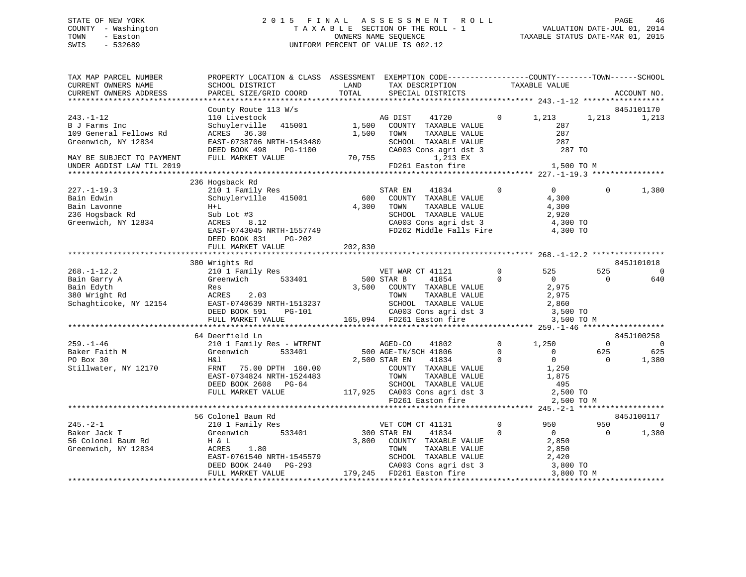## STATE OF NEW YORK 2 0 1 5 F I N A L A S S E S S M E N T R O L L PAGE 46 COUNTY - Washington T A X A B L E SECTION OF THE ROLL - 1 VALUATION DATE-JUL 01, 2014 TOWN - Easton **CONNERS NAME SEQUENCE** TAXABLE STATUS DATE-MAR 01, 2015 SWIS - 532689 UNIFORM PERCENT OF VALUE IS 002.12

| TAX MAP PARCEL NUMBER                           | PROPERTY LOCATION & CLASS ASSESSMENT EXEMPTION CODE----------------COUNTY-------TOWN------SCHOOL                                                                                                                                           |                      |                                                                                                                                                                                                                                                                                                                                                                                                                                                                                                        |                |                   |                |                              |
|-------------------------------------------------|--------------------------------------------------------------------------------------------------------------------------------------------------------------------------------------------------------------------------------------------|----------------------|--------------------------------------------------------------------------------------------------------------------------------------------------------------------------------------------------------------------------------------------------------------------------------------------------------------------------------------------------------------------------------------------------------------------------------------------------------------------------------------------------------|----------------|-------------------|----------------|------------------------------|
| CURRENT OWNERS NAME                             | SCHOOL DISTRICT                                                                                                                                                                                                                            | LAND                 | TAX DESCRIPTION                                                                                                                                                                                                                                                                                                                                                                                                                                                                                        | TAXABLE VALUE  |                   |                |                              |
| CURRENT OWNERS ADDRESS                          | PARCEL SIZE/GRID COORD                                                                                                                                                                                                                     | TOTAL                | SPECIAL DISTRICTS                                                                                                                                                                                                                                                                                                                                                                                                                                                                                      |                |                   |                | ACCOUNT NO.                  |
|                                                 |                                                                                                                                                                                                                                            |                      |                                                                                                                                                                                                                                                                                                                                                                                                                                                                                                        |                |                   |                |                              |
|                                                 | County Route 113 W/s                                                                                                                                                                                                                       |                      |                                                                                                                                                                                                                                                                                                                                                                                                                                                                                                        |                |                   |                | 845J101170                   |
| $243. - 1 - 12$                                 | 110 Livestock<br>Schuylerville 415001                                                                                                                                                                                                      |                      | AG DIST<br>41720 0 1,213<br>AG DISI 41720<br>1,500 COUNTY TAXABLE VALUE                                                                                                                                                                                                                                                                                                                                                                                                                                |                |                   | 1,213          | 1,213                        |
| B J Farms Inc<br>109 General Fellows Rd         | ACRES 36.30                                                                                                                                                                                                                                | 1,500                |                                                                                                                                                                                                                                                                                                                                                                                                                                                                                                        |                | 287<br>287        |                |                              |
|                                                 | EAST-0738706 NRTH-1543480                                                                                                                                                                                                                  |                      | TOWN      TAXABLE VALUE<br>SCHOOL   TAXABLE VALUE<br>TOWN                                                                                                                                                                                                                                                                                                                                                                                                                                              |                | 287               |                |                              |
| Greenwich, NY 12834                             |                                                                                                                                                                                                                                            |                      |                                                                                                                                                                                                                                                                                                                                                                                                                                                                                                        |                |                   |                |                              |
|                                                 | DEED BOOK 498<br>PG-1100<br>FULL MARKET VALUE                                                                                                                                                                                              | $5 - 1100$<br>70,755 | CA003 Cons agri dst 3 $287$ TO<br>1,213 EX                                                                                                                                                                                                                                                                                                                                                                                                                                                             |                |                   |                |                              |
| MAY BE SUBJECT TO PAYMENT                       |                                                                                                                                                                                                                                            |                      | FD261 Easton fire 1,500 TO M                                                                                                                                                                                                                                                                                                                                                                                                                                                                           |                |                   |                |                              |
| UNDER AGDIST LAW TIL 2019                       |                                                                                                                                                                                                                                            |                      |                                                                                                                                                                                                                                                                                                                                                                                                                                                                                                        |                |                   |                |                              |
|                                                 |                                                                                                                                                                                                                                            |                      |                                                                                                                                                                                                                                                                                                                                                                                                                                                                                                        |                |                   |                |                              |
| $227. - 1 - 19.3$                               | 236 Hogsback Rd                                                                                                                                                                                                                            |                      | 41834                                                                                                                                                                                                                                                                                                                                                                                                                                                                                                  | $\Omega$       | $\overline{0}$    | $\Omega$       |                              |
| Bain Edwin                                      | 210 1 Family Res                                                                                                                                                                                                                           |                      | STAR EN<br>600 COUNTY TAXABLE VALUE                                                                                                                                                                                                                                                                                                                                                                                                                                                                    |                |                   |                | 1,380                        |
|                                                 | Schuylerville 415001                                                                                                                                                                                                                       | 4,300                | TAXABLE VALUE<br>TOWN                                                                                                                                                                                                                                                                                                                                                                                                                                                                                  |                | 4,300<br>4,300    |                |                              |
| Bain Lavonne<br>236 Hogsback Rd                 | $H+L$                                                                                                                                                                                                                                      |                      |                                                                                                                                                                                                                                                                                                                                                                                                                                                                                                        |                |                   |                |                              |
|                                                 | Sub Lot #3                                                                                                                                                                                                                                 |                      | SCHOOL TAXABLE VALUE<br>CA003 Cons agri dst 3<br>2003 Cons agri dst 3<br>4, 200 TO                                                                                                                                                                                                                                                                                                                                                                                                                     |                | 2,920             |                |                              |
| Greenwich, NY 12834 ACRES                       | 8.12                                                                                                                                                                                                                                       |                      |                                                                                                                                                                                                                                                                                                                                                                                                                                                                                                        |                |                   |                |                              |
|                                                 | EAST-0743045 NRTH-1557749                                                                                                                                                                                                                  |                      | FD262 Middle Falls Fire                                                                                                                                                                                                                                                                                                                                                                                                                                                                                |                | 4,300 TO          |                |                              |
|                                                 | DEED BOOK 831<br>PG-202                                                                                                                                                                                                                    |                      |                                                                                                                                                                                                                                                                                                                                                                                                                                                                                                        |                |                   |                |                              |
|                                                 | FULL MARKET VALUE                                                                                                                                                                                                                          | 202,830              |                                                                                                                                                                                                                                                                                                                                                                                                                                                                                                        |                |                   |                |                              |
|                                                 |                                                                                                                                                                                                                                            |                      |                                                                                                                                                                                                                                                                                                                                                                                                                                                                                                        |                |                   |                |                              |
|                                                 | 380 Wrights Rd                                                                                                                                                                                                                             |                      |                                                                                                                                                                                                                                                                                                                                                                                                                                                                                                        | $0 \qquad 525$ |                   | 525            | 845J101018<br>$\overline{0}$ |
| $268. - 1 - 12.2$                               | 210 1 Family Res<br>Greenwich 533401                                                                                                                                                                                                       | 500 STAR B           | VET WAR CT 41121<br>41854                                                                                                                                                                                                                                                                                                                                                                                                                                                                              | $\overline{0}$ |                   | $\Omega$       |                              |
| Bain Garry A                                    |                                                                                                                                                                                                                                            |                      |                                                                                                                                                                                                                                                                                                                                                                                                                                                                                                        |                | $\overline{0}$    |                | 640                          |
|                                                 |                                                                                                                                                                                                                                            |                      |                                                                                                                                                                                                                                                                                                                                                                                                                                                                                                        |                |                   |                |                              |
|                                                 |                                                                                                                                                                                                                                            |                      |                                                                                                                                                                                                                                                                                                                                                                                                                                                                                                        |                |                   |                |                              |
|                                                 |                                                                                                                                                                                                                                            |                      |                                                                                                                                                                                                                                                                                                                                                                                                                                                                                                        |                |                   |                |                              |
|                                                 |                                                                                                                                                                                                                                            |                      |                                                                                                                                                                                                                                                                                                                                                                                                                                                                                                        |                |                   |                |                              |
|                                                 | Bain Garry A<br>Bain Edges and Minimal Research of the Minimal Party of the Minimal Party<br>Research 2.03<br>Schaghticoke, NY 12154<br>ERST-0740639 NRTH-1513237<br>DEED BOOK 591 PG-101 CA003 Consagridst 3 3,500 TO<br>FULL MARKET VALU |                      |                                                                                                                                                                                                                                                                                                                                                                                                                                                                                                        |                |                   |                |                              |
|                                                 |                                                                                                                                                                                                                                            |                      |                                                                                                                                                                                                                                                                                                                                                                                                                                                                                                        |                |                   |                |                              |
|                                                 | 64 Deerfield Ln                                                                                                                                                                                                                            |                      |                                                                                                                                                                                                                                                                                                                                                                                                                                                                                                        | $\overline{0}$ |                   | $\overline{0}$ | 845J100258<br>$\overline{0}$ |
| $259. - 1 - 46$                                 | 210 1 Family Res - WTRFNT                                                                                                                                                                                                                  | AGED-CO              | 41802                                                                                                                                                                                                                                                                                                                                                                                                                                                                                                  |                | 1,250<br>$\sim$ 0 | 625            |                              |
| Baker Faith M                                   |                                                                                                                                                                                                                                            |                      | 500 AGE-TN/SCH 41806 0<br>2,500 STAR EN 41834 0                                                                                                                                                                                                                                                                                                                                                                                                                                                        |                |                   |                | 625                          |
|                                                 | H& l                                                                                                                                                                                                                                       | 2,500 STAR EN        |                                                                                                                                                                                                                                                                                                                                                                                                                                                                                                        |                | $\frac{0}{1,250}$ | $\overline{0}$ | 1,380                        |
| Stillwater, NY 12170                            | FRNT 75.00 DPTH 160.00                                                                                                                                                                                                                     |                      |                                                                                                                                                                                                                                                                                                                                                                                                                                                                                                        |                |                   |                |                              |
|                                                 | EAST-0734824 NRTH-1524483                                                                                                                                                                                                                  |                      |                                                                                                                                                                                                                                                                                                                                                                                                                                                                                                        |                |                   |                |                              |
|                                                 | DEED BOOK 2608 PG-64                                                                                                                                                                                                                       |                      |                                                                                                                                                                                                                                                                                                                                                                                                                                                                                                        |                |                   |                |                              |
|                                                 | FULL MARKET VALUE                                                                                                                                                                                                                          |                      | COUNTY TAXABLE VALUE<br>COUNTY TAXABLE VALUE<br>TOWN TAXABLE VALUE<br>SCHOOL TAXABLE VALUE<br>1,875<br>SCHOOL TAXABLE VALUE<br>195<br>117,925 CA003 Cons agridst 3<br>FD261 Easton fire<br>2,500 TO                                                                                                                                                                                                                                                                                                    |                |                   |                |                              |
|                                                 |                                                                                                                                                                                                                                            |                      |                                                                                                                                                                                                                                                                                                                                                                                                                                                                                                        |                |                   |                |                              |
|                                                 |                                                                                                                                                                                                                                            |                      |                                                                                                                                                                                                                                                                                                                                                                                                                                                                                                        |                |                   |                |                              |
|                                                 | 56 Colonel Baum Rd                                                                                                                                                                                                                         |                      |                                                                                                                                                                                                                                                                                                                                                                                                                                                                                                        |                |                   |                | 845J100117                   |
| $245. - 2 - 1$                                  | 210 1 Family Res                                                                                                                                                                                                                           |                      | VET COM CT 41131                                                                                                                                                                                                                                                                                                                                                                                                                                                                                       | $\Omega$       | 950               | 950            | $\overline{0}$               |
| Baker Jack T                                    | Greenwich 533401                                                                                                                                                                                                                           | 300 STAR EN          | 41834                                                                                                                                                                                                                                                                                                                                                                                                                                                                                                  | $\Omega$       | $\overline{0}$    | $\Omega$       | 1,380                        |
| 56 Colonel Baum Rd<br>Greenwich, NY 12834 ACRES |                                                                                                                                                                                                                                            |                      | $\begin{tabular}{ccccc} 3,800 & \multicolumn{3}{c}{{\small \texttt{COUNTY}}} & \multicolumn{3}{c}{{\small \texttt{TAXABLE}}}& \multicolumn{3}{c}{{\small \texttt{VALUE}}} & \multicolumn{3}{c}{{\small \texttt{2,850}}} \\ & \multicolumn{3}{c}{{\small \texttt{COUNTY}}} & \multicolumn{3}{c}{{\small \texttt{TAXABLE}}}& \multicolumn{3}{c}{{\small \texttt{VALUE}}} & \multicolumn{3}{c}{{\small \texttt{2,850}}} \\ \multicolumn{3}{c}{{\small \texttt{TOWN}}} & \multicolumn{3}{c}{{\small \text$ |                |                   |                |                              |
|                                                 | 1.80                                                                                                                                                                                                                                       |                      |                                                                                                                                                                                                                                                                                                                                                                                                                                                                                                        |                |                   |                |                              |
|                                                 |                                                                                                                                                                                                                                            |                      |                                                                                                                                                                                                                                                                                                                                                                                                                                                                                                        |                |                   |                |                              |
|                                                 | EAST-0761540 NRTH-1545579<br>DEED BOOK 2440 PG-293 CA003 Cons agri dst 3 3,800 TO<br>FULL MARKET VALUE 179,245 FD261 Easton fire 3,800 TO                                                                                                  |                      |                                                                                                                                                                                                                                                                                                                                                                                                                                                                                                        |                |                   |                |                              |
|                                                 |                                                                                                                                                                                                                                            |                      |                                                                                                                                                                                                                                                                                                                                                                                                                                                                                                        |                | 3,800 TO M        |                |                              |
|                                                 |                                                                                                                                                                                                                                            |                      |                                                                                                                                                                                                                                                                                                                                                                                                                                                                                                        |                |                   |                |                              |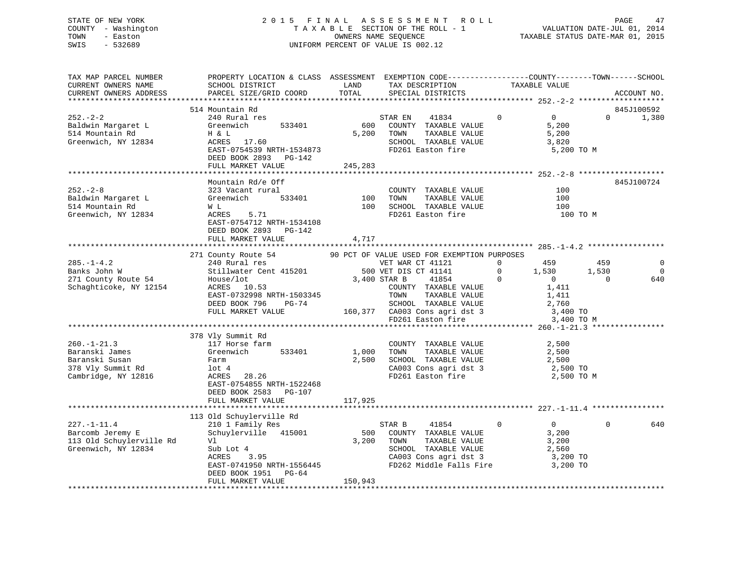## STATE OF NEW YORK 2 0 1 5 F I N A L A S S E S S M E N T R O L L PAGE 47 COUNTY - Washington T A X A B L E SECTION OF THE ROLL - 1 VALUATION DATE-JUL 01, 2014 TOWN - Easton COMPUTERS NAME SEQUENCE TAXABLE STATUS DATE-MAR 01, 2015<br>SWIS - 532689 SWIS - 532689 UNIFORM PERCENT OF VALUE IS 002.12

| TAX MAP PARCEL NUMBER<br>CURRENT OWNERS NAME<br>CURRENT OWNERS ADDRESS                            | PROPERTY LOCATION & CLASS ASSESSMENT EXEMPTION CODE----------------COUNTY-------TOWN------SCHOOL<br>SCHOOL DISTRICT<br>PARCEL SIZE/GRID COORD                                                                                                                                                 | LAND<br>TOTAL                    | TAX DESCRIPTION<br>SPECIAL DISTRICTS                                                                                                                                                                                                                  | TAXABLE VALUE                                                                                                    | ACCOUNT NO.                                |
|---------------------------------------------------------------------------------------------------|-----------------------------------------------------------------------------------------------------------------------------------------------------------------------------------------------------------------------------------------------------------------------------------------------|----------------------------------|-------------------------------------------------------------------------------------------------------------------------------------------------------------------------------------------------------------------------------------------------------|------------------------------------------------------------------------------------------------------------------|--------------------------------------------|
| $252 - 2 - 2$<br>Baldwin Margaret L<br>514 Mountain Rd<br>Greenwich, NY 12834                     | 514 Mountain Rd<br>240 Rural res<br>Greenwich 533401<br>H & L<br>ACRES 17.60<br>EAST-0754539 NRTH-1534873<br>DEED BOOK 2893 PG-142<br>FULL MARKET VALUE                                                                                                                                       | $rac{\text{S1}}{600}$<br>245,283 | 41834<br>STAR EN<br>COUNTY TAXABLE VALUE<br>5,200 TOWN<br>TAXABLE VALUE<br>SCHOOL TAXABLE VALUE<br>FD261 Easton fire                                                                                                                                  | $\overline{0}$<br>$\overline{0}$<br>5,200<br>5,200<br>3,820<br>5,200 TO M                                        | 845J100592<br>$\Omega$<br>1,380            |
| $252 - 2 - 8$<br>Baldwin Margaret L<br>514 Mountain Rd<br>Greenwich, NY 12834                     | Mountain Rd/e Off<br>323 Vacant rural<br>533401<br>Greenwich<br>W L<br>5.71<br>ACRES<br>EAST-0754712 NRTH-1534108<br>DEED BOOK 2893 PG-142<br>FULL MARKET VALUE                                                                                                                               | 4,717                            | COUNTY TAXABLE VALUE<br>100 TOWN<br>TAXABLE VALUE<br>100 SCHOOL TAXABLE VALUE<br>FD261 Easton fire                                                                                                                                                    | 100<br>100<br>100<br>100 TO M                                                                                    | 845J100724                                 |
| $285. - 1 - 4.2$<br>Banks John W<br>271 County Route 54<br>Schaghticoke, NY 12154                 | 271 County Route 54 90 PCT OF VALUE USED FOR EXEMPTION PURPOSES<br>240 Rural res vET WAR CT 41121 0 459<br>500 VET DIS CT 41141 0 1,530<br>$\frac{500 \text{ VEL} \text{ DIS}}{3,400 \text{ STAR B}}$<br>ACRES 10.53<br>EAST-0732998 NRTH-1503345<br>DEED BOOK 796 PG-74<br>FULL MARKET VALUE |                                  | 41854<br>COUNTY TAXABLE VALUE<br>TOWN      TAXABLE VALUE<br>SCHOOL   TAXABLE VALUE<br>160,377 CA003 Cons agri dst 3<br>FD261 Easton fire                                                                                                              | 1,530<br>$\overline{0}$<br>$\begin{array}{c} 0 \\ 1,411 \end{array}$<br>1,411<br>2,760<br>3,400 TO<br>3,400 TO M | 459<br>1,530<br>0<br>$\overline{0}$<br>640 |
| $260. - 1 - 21.3$<br>Baranski James<br>Baranski Susan<br>378 Vly Summit Rd<br>Cambridge, NY 12816 | 378 Vly Summit Rd<br>117 Horse farm<br>Greenwich<br>533401<br>Farm<br>$1$ ot $4$<br>ACRES 28.26<br>EAST-0754855 NRTH-1522468<br>DEED BOOK 2583 PG-107<br>FULL MARKET VALUE                                                                                                                    | 117,925                          | COUNTY TAXABLE VALUE 2,500<br>1,000 TOWN<br>$\begin{tabular}{lllllllllll} 1,000& {\tt TOWN} & {\tt TAXABLE VALUE} & & & & 2,500 \\ 2,500& {\tt SCHOOL} & {\tt TAXABLE VALUE} & & & 2,500 \end{tabular}$<br>CA003 Cons agri dst 3<br>FD261 Easton fire | 2,500 TO<br>2,500 TO M                                                                                           |                                            |
| $227. - 1 - 11.4$<br>Barcomb Jeremy E<br>113 Old Schuylerville Rd<br>Greenwich, NY 12834          | 113 Old Schuylerville Rd<br>210 1 Family Res<br>Schuylerville 415001<br>Vl<br>Sub Lot 4<br>ACRES 3.95<br>EAST-0741950 NRTH-1556445<br>DEED BOOK 1951 PG-64<br>FULL MARKET VALUE                                                                                                               | 150,943                          | STAR B<br>41854<br>500 COUNTY TAXABLE VALUE<br>3,200 TOWN<br>TAXABLE VALUE<br>SCHOOL TAXABLE VALUE<br>CA003 Cons agri dst 3<br>FD262 Middle Falls Fire 3,200 TO                                                                                       | $\overline{0}$<br>$\overline{0}$<br>3,200<br>3,200<br>2,560<br>3,200 TO                                          | $\Omega$<br>640                            |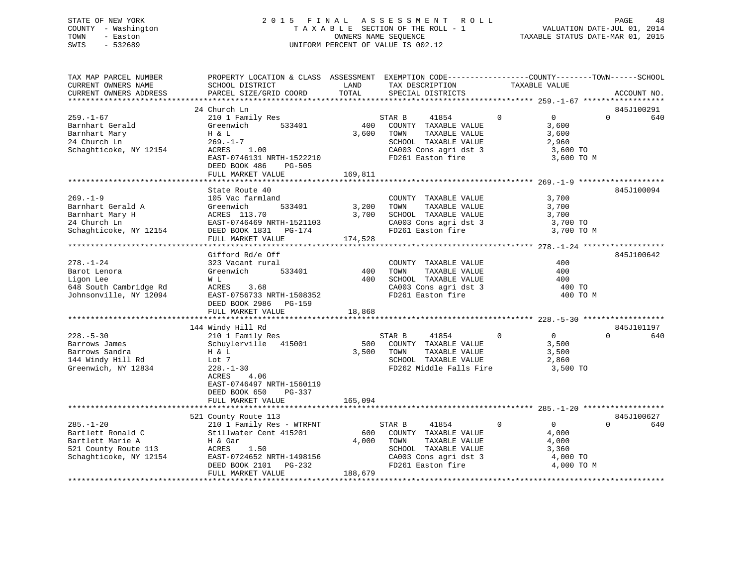## STATE OF NEW YORK 2 0 1 5 F I N A L A S S E S S M E N T R O L L PAGE 48 COUNTY - Washington T A X A B L E SECTION OF THE ROLL - 1 VALUATION DATE-JUL 01, 2014 TOWN - Easton **CONNERS NAME SEQUENCE** TAXABLE STATUS DATE-MAR 01, 2015 SWIS - 532689 UNIFORM PERCENT OF VALUE IS 002.12

| TAX MAP PARCEL NUMBER<br>CURRENT OWNERS NAME<br>CURRENT OWNERS ADDRESS                                     | PROPERTY LOCATION & CLASS ASSESSMENT EXEMPTION CODE---------------COUNTY-------TOWN------SCHOOL<br>SCHOOL DISTRICT<br>PARCEL SIZE/GRID COORD                                                     | LAND<br>TOTAL             | TAX DESCRIPTION<br>SPECIAL DISTRICTS                                                                                                   | TAXABLE VALUE |                                                                        | ACCOUNT NO.                   |
|------------------------------------------------------------------------------------------------------------|--------------------------------------------------------------------------------------------------------------------------------------------------------------------------------------------------|---------------------------|----------------------------------------------------------------------------------------------------------------------------------------|---------------|------------------------------------------------------------------------|-------------------------------|
|                                                                                                            |                                                                                                                                                                                                  |                           |                                                                                                                                        |               |                                                                        |                               |
| $259. - 1 - 67$<br>Barnhart Gerald<br>Barnhart Mary<br>24 Church Ln<br>Schaghticoke, NY 12154              | 24 Church Ln<br>210 1 Family Res<br>Greenwich<br>533401<br>H & L<br>$269. - 1 - 7$<br>ACRES<br>1.00<br>EAST-0746131 NRTH-1522210<br>DEED BOOK 486<br>PG-505<br>FULL MARKET VALUE                 | 400<br>3,600<br>169,811   | 41854<br>STAR B<br>COUNTY TAXABLE VALUE<br>TOWN<br>TAXABLE VALUE<br>SCHOOL TAXABLE VALUE<br>CA003 Cons agri dst 3<br>FD261 Easton fire | $\Omega$      | $\overline{0}$<br>3,600<br>3,600<br>2,960<br>3,600 TO<br>3,600 TO M    | 845J100291<br>$\Omega$<br>640 |
|                                                                                                            |                                                                                                                                                                                                  |                           |                                                                                                                                        |               |                                                                        |                               |
| $269. - 1 - 9$<br>Barnhart Gerald A<br>Barnhart Mary H<br>24 Church Ln<br>Schaghticoke, NY 12154           | State Route 40<br>105 Vac farmland<br>533401<br>Greenwich<br>ACRES 113.70<br>EAST-0746469 NRTH-1521103<br>DEED BOOK 1831 PG-174<br>FULL MARKET VALUE                                             | 3,200<br>3,700<br>174,528 | COUNTY TAXABLE VALUE<br>TOWN<br>TAXABLE VALUE<br>SCHOOL TAXABLE VALUE<br>CA003 Cons agri dst 3<br>FD261 Easton fire                    |               | 3,700<br>3,700<br>3,700<br>3,700 TO<br>3,700 TO M                      | 845J100094                    |
|                                                                                                            |                                                                                                                                                                                                  |                           |                                                                                                                                        |               |                                                                        |                               |
| $278. - 1 - 24$<br>Barot Lenora<br>Ligon Lee<br>648 South Cambridge Rd<br>Johnsonville, NY 12094           | Gifford Rd/e Off<br>323 Vacant rural<br>533401<br>Greenwich<br>W L<br>ACRES<br>3.68<br>EAST-0756733 NRTH-1508352<br>DEED BOOK 2986<br>PG-159                                                     | 400<br>400                | COUNTY TAXABLE VALUE<br>TAXABLE VALUE<br>TOWN<br>SCHOOL TAXABLE VALUE<br>CA003 Cons agri dst 3<br>FD261 Easton fire                    |               | 400<br>400<br>400<br>400 TO<br>400 TO M                                | 845J100642                    |
|                                                                                                            | FULL MARKET VALUE                                                                                                                                                                                | 18,868                    |                                                                                                                                        |               |                                                                        |                               |
| $228. - 5 - 30$<br>Barrows James<br>Barrows Sandra<br>144 Windy Hill Rd<br>Greenwich, NY 12834             | 144 Windy Hill Rd<br>210 1 Family Res<br>Schuylerville 415001<br>H & L<br>Lot 7<br>$228. - 1 - 30$<br>4.06<br>ACRES<br>EAST-0746497 NRTH-1560119<br>DEED BOOK 650<br>PG-337<br>FULL MARKET VALUE | 500<br>3,500<br>165,094   | STAR B<br>41854<br>COUNTY TAXABLE VALUE<br>TOWN<br>TAXABLE VALUE<br>SCHOOL TAXABLE VALUE<br>FD262 Middle Falls Fire                    | $\Omega$      | $\Omega$<br>3,500<br>3,500<br>2,860<br>3,500 TO                        | 845J101197<br>$\Omega$<br>640 |
|                                                                                                            |                                                                                                                                                                                                  |                           |                                                                                                                                        |               |                                                                        |                               |
|                                                                                                            | 521 County Route 113                                                                                                                                                                             |                           |                                                                                                                                        |               |                                                                        | 845J100627                    |
| $285. - 1 - 20$<br>Bartlett Ronald C<br>Bartlett Marie A<br>521 County Route 113<br>Schaghticoke, NY 12154 | 210 1 Family Res - WTRFNT<br>Stillwater Cent 415201<br>H & Gar<br>1.50<br>ACRES<br>EAST-0724652 NRTH-1498156<br>DEED BOOK 2101<br>PG-232<br>FULL MARKET VALUE                                    | 600<br>4,000<br>188,679   | STAR B<br>41854<br>COUNTY TAXABLE VALUE<br>TAXABLE VALUE<br>TOWN<br>SCHOOL TAXABLE VALUE<br>CA003 Cons agri dst 3<br>FD261 Easton fire | $\mathbf{0}$  | $0 \qquad \qquad$<br>4,000<br>4,000<br>3,360<br>4,000 TO<br>4,000 TO M | $\Omega$<br>640               |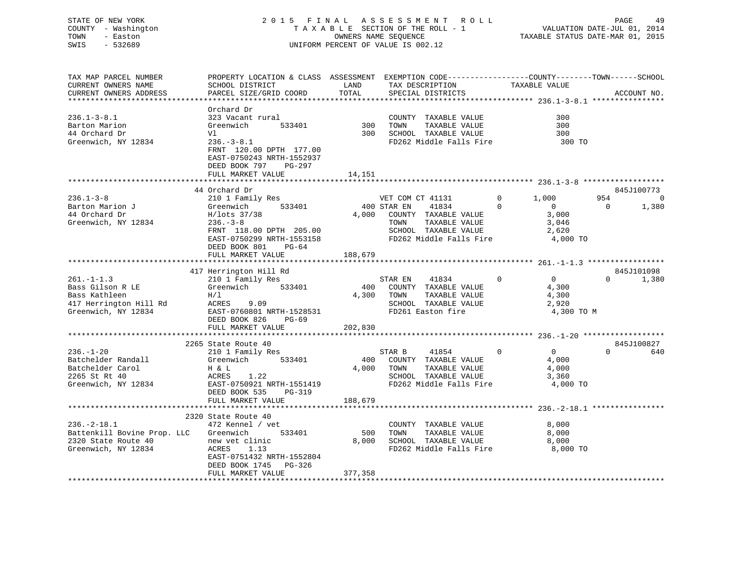## STATE OF NEW YORK 2 0 1 5 F I N A L A S S E S S M E N T R O L L PAGE 49 COUNTY - Washington T A X A B L E SECTION OF THE ROLL - 1 VALUATION DATE-JUL 01, 2014 TOWN - Easton COMPUTERS NAME SEQUENCE TAXABLE STATUS DATE-MAR 01, 2015<br>SWIS - 532689 SWIS - 532689 UNIFORM PERCENT OF VALUE IS 002.12

| TAX MAP PARCEL NUMBER       | PROPERTY LOCATION & CLASS ASSESSMENT EXEMPTION CODE---------------COUNTY-------TOWN------SCHOOL |         |                             |                                  |                       |
|-----------------------------|-------------------------------------------------------------------------------------------------|---------|-----------------------------|----------------------------------|-----------------------|
| CURRENT OWNERS NAME         | SCHOOL DISTRICT                                                                                 | LAND    | TAX DESCRIPTION             | TAXABLE VALUE                    |                       |
| CURRENT OWNERS ADDRESS      | PARCEL SIZE/GRID COORD                                                                          | TOTAL   | SPECIAL DISTRICTS           |                                  | ACCOUNT NO.           |
|                             |                                                                                                 |         |                             |                                  |                       |
|                             | Orchard Dr                                                                                      |         |                             |                                  |                       |
| $236.1 - 3 - 8.1$           | 323 Vacant rural                                                                                |         | COUNTY TAXABLE VALUE        | 300                              |                       |
| Barton Marion               | Greenwich<br>533401                                                                             | 300     | TAXABLE VALUE<br>TOWN       | 300                              |                       |
|                             |                                                                                                 |         |                             |                                  |                       |
| 44 Orchard Dr               | Vl                                                                                              | 300     | SCHOOL TAXABLE VALUE        | 300                              |                       |
| Greenwich, NY 12834         | $236. - 3 - 8.1$                                                                                |         | FD262 Middle Falls Fire     | 300 TO                           |                       |
|                             | FRNT 120.00 DPTH 177.00                                                                         |         |                             |                                  |                       |
|                             | EAST-0750243 NRTH-1552937                                                                       |         |                             |                                  |                       |
|                             | DEED BOOK 797<br>PG-297                                                                         |         |                             |                                  |                       |
|                             | FULL MARKET VALUE                                                                               | 14,151  |                             |                                  |                       |
|                             |                                                                                                 |         |                             |                                  |                       |
|                             | 44 Orchard Dr                                                                                   |         |                             |                                  | 845J100773            |
| $236.1 - 3 - 8$             | 210 1 Family Res                                                                                |         | VET COM CT 41131            | $\overline{0}$<br>1,000          | 954<br>$\overline{0}$ |
| Barton Marion J             | 533401<br>Greenwich                                                                             |         | 400 STAR EN<br>41834        | $\Omega$<br>$\overline{0}$       | 1,380<br>$\bigcirc$   |
| 44 Orchard Dr               | H/lots 37/38                                                                                    |         | 4,000 COUNTY TAXABLE VALUE  | 3,000                            |                       |
| Greenwich, NY 12834         | $236. - 3 - 8$                                                                                  |         | TAXABLE VALUE<br>TOWN       | 3,046                            |                       |
|                             |                                                                                                 |         | SCHOOL TAXABLE VALUE        | 2,620                            |                       |
|                             | FRNT 118.00 DPTH 205.00                                                                         |         |                             |                                  |                       |
|                             | EAST-0750299 NRTH-1553158                                                                       |         | FD262 Middle Falls Fire     | 4,000 TO                         |                       |
|                             | DEED BOOK 801<br>PG-64                                                                          |         |                             |                                  |                       |
|                             | FULL MARKET VALUE                                                                               | 188,679 |                             |                                  |                       |
|                             |                                                                                                 |         |                             |                                  |                       |
|                             | 417 Herrington Hill Rd                                                                          |         |                             |                                  | 845J101098            |
| $261. -1 - 1.3$             | 210 1 Family Res                                                                                |         | STAR EN<br>41834            | $\Omega$<br>$\Omega$             | $\Omega$<br>1,380     |
| Bass Gilson R LE            | Greenwich 533401                                                                                |         | 400 COUNTY TAXABLE VALUE    | 4,300                            |                       |
| Bass Kathleen               | H/1                                                                                             |         | 4,300 TOWN<br>TAXABLE VALUE | 4,300                            |                       |
| 417 Herrington Hill Rd      | ACRES<br>9.09                                                                                   |         | SCHOOL TAXABLE VALUE        | 2,920                            |                       |
| Greenwich, NY 12834         | EAST-0760801 NRTH-1528531                                                                       |         | FD261 Easton fire           | 4,300 TO M                       |                       |
|                             | DEED BOOK 826<br>PG-69                                                                          |         |                             |                                  |                       |
|                             | FULL MARKET VALUE                                                                               | 202,830 |                             |                                  |                       |
|                             |                                                                                                 |         |                             |                                  |                       |
|                             | 2265 State Route 40                                                                             |         |                             |                                  | 845J100827            |
| $236. - 1 - 20$             |                                                                                                 |         | STAR B<br>41854             | $\overline{0}$<br>$\overline{0}$ | $\Omega$<br>640       |
|                             | 210 1 Family Res                                                                                |         |                             |                                  |                       |
| Batchelder Randall          | 533401<br>Greenwich                                                                             |         | 400 COUNTY TAXABLE VALUE    | 4,000                            |                       |
| Batchelder Carol            | H & L                                                                                           |         | 4,000 TOWN<br>TAXABLE VALUE | 4,000                            |                       |
| 2265 St Rt 40               | ACRES<br>1.22                                                                                   |         | SCHOOL TAXABLE VALUE        | 3,360                            |                       |
| Greenwich, NY 12834         | EAST-0750921 NRTH-1551419                                                                       |         | FD262 Middle Falls Fire     | 4,000 TO                         |                       |
|                             | DEED BOOK 535<br>PG-319                                                                         |         |                             |                                  |                       |
|                             | FULL MARKET VALUE                                                                               | 188,679 |                             |                                  |                       |
|                             |                                                                                                 |         |                             |                                  |                       |
|                             | 2320 State Route 40                                                                             |         |                             |                                  |                       |
| $236. - 2 - 18.1$           | 472 Kennel / vet                                                                                |         | COUNTY TAXABLE VALUE        | 8,000                            |                       |
| Battenkill Bovine Prop. LLC | Greenwich<br>533401                                                                             | 500     | TOWN<br>TAXABLE VALUE       | 8,000                            |                       |
| 2320 State Route 40         | new vet clinic                                                                                  | 8,000   | SCHOOL TAXABLE VALUE        | 8,000                            |                       |
| Greenwich, NY 12834         | ACRES<br>1.13                                                                                   |         | FD262 Middle Falls Fire     | 8,000 TO                         |                       |
|                             | EAST-0751432 NRTH-1552804                                                                       |         |                             |                                  |                       |
|                             | DEED BOOK 1745 PG-326                                                                           |         |                             |                                  |                       |
|                             | FULL MARKET VALUE                                                                               | 377,358 |                             |                                  |                       |
|                             |                                                                                                 |         |                             |                                  |                       |
|                             |                                                                                                 |         |                             |                                  |                       |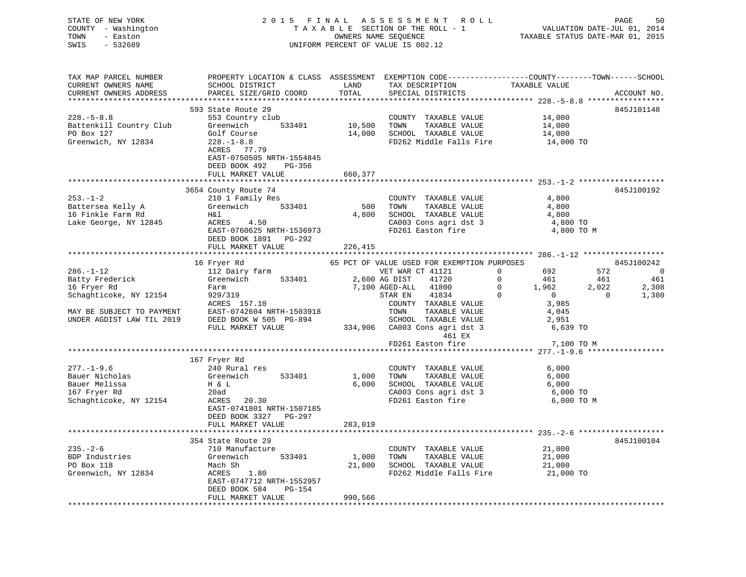| STATE OF NEW YORK<br>COUNTY - Washington                                                                                              | 2015 FINAL<br>A S S E S S M E N T R O L L<br>PAGE<br>50<br>TAXABLE SECTION OF THE ROLL - 1<br>VALUATION DATE-JUL 01, 2014                                                                                                                                                                                                                                                                                                                                                                                                                                                                                                                                                               |
|---------------------------------------------------------------------------------------------------------------------------------------|-----------------------------------------------------------------------------------------------------------------------------------------------------------------------------------------------------------------------------------------------------------------------------------------------------------------------------------------------------------------------------------------------------------------------------------------------------------------------------------------------------------------------------------------------------------------------------------------------------------------------------------------------------------------------------------------|
| - Easton<br>TOWN<br>$-532689$<br>SWIS                                                                                                 | OWNERS NAME SEQUENCE<br>TAXABLE STATUS DATE-MAR 01, 2015<br>UNIFORM PERCENT OF VALUE IS 002.12                                                                                                                                                                                                                                                                                                                                                                                                                                                                                                                                                                                          |
| TAX MAP PARCEL NUMBER<br>CURRENT OWNERS NAME<br>CURRENT OWNERS ADDRESS                                                                | PROPERTY LOCATION & CLASS ASSESSMENT EXEMPTION CODE----------------COUNTY-------TOWN------SCHOOL<br>TAXABLE VALUE<br>SCHOOL DISTRICT<br>LAND<br>TAX DESCRIPTION<br>PARCEL SIZE/GRID COORD<br>TOTAL<br>SPECIAL DISTRICTS<br>ACCOUNT NO.                                                                                                                                                                                                                                                                                                                                                                                                                                                  |
|                                                                                                                                       | 593 State Route 29<br>845J101148                                                                                                                                                                                                                                                                                                                                                                                                                                                                                                                                                                                                                                                        |
| $228. - 5 - 8.8$<br>Battenkill Country Club<br>PO Box 127<br>Greenwich, NY 12834                                                      | 553 Country club<br>COUNTY TAXABLE VALUE<br>14,000<br>10,500<br>14,000<br>Greenwich<br>533401<br>TOWN<br>TAXABLE VALUE<br>Golf Course<br>14,000<br>SCHOOL TAXABLE VALUE<br>14,000<br>$228. - 1 - 8.8$<br>FD262 Middle Falls Fire<br>14,000 TO<br>ACRES 77.79<br>EAST-0750505 NRTH-1554845<br>DEED BOOK 492<br>PG-356<br>FULL MARKET VALUE<br>660,377                                                                                                                                                                                                                                                                                                                                    |
|                                                                                                                                       |                                                                                                                                                                                                                                                                                                                                                                                                                                                                                                                                                                                                                                                                                         |
| $253. - 1 - 2$<br>Battersea Kelly A<br>16 Finkle Farm Rd<br>Lake George, NY 12845                                                     | 3654 County Route 74<br>845J100192<br>4,800<br>210 1 Family Res<br>COUNTY TAXABLE VALUE<br>Greenwich 533401<br>500<br>TOWN<br>TAXABLE VALUE<br>4,800<br>SCHOOL TAXABLE VALUE<br>H& l<br>4,800<br>4,800<br>ACRES 4.50<br>CA003 Cons agri dst 3<br>4,800 TO<br>EAST-0760625 NRTH-1536973<br>FD261 Easton fire<br>4,800 TO M<br>DEED BOOK 1891 PG-292<br>FULL MARKET VALUE<br>226,415                                                                                                                                                                                                                                                                                                      |
|                                                                                                                                       |                                                                                                                                                                                                                                                                                                                                                                                                                                                                                                                                                                                                                                                                                         |
| $286. - 1 - 12$<br>Batty Frederick<br>16 Fryer Rd<br>Schaghticoke, NY 12154<br>MAY BE SUBJECT TO PAYMENT<br>UNDER AGDIST LAW TIL 2019 | 65 PCT OF VALUE USED FOR EXEMPTION PURPOSES<br>16 Fryer Rd<br>845J100242<br>VET WAR CT 41121<br>572<br>112 Dairy farm<br>$\overline{0}$<br>692<br>$\sim$ 0<br>461<br>Greenwich 533401<br>2,600 AG DIST<br>$\overline{0}$<br>461<br>41720<br>461<br>$\overline{0}$<br>7,100 AGED-ALL<br>41800<br>1,962<br>2,022<br>2,308<br>Farm<br>$\overline{0}$<br>929/319<br>STAR EN<br>41834<br>$\overline{0}$<br>$\overline{0}$<br>1,380<br>ACRES 157.10<br>COUNTY TAXABLE VALUE<br>3,985<br>EAST-0742604 NRTH-1503918<br>TOWN<br>TAXABLE VALUE<br>4,045<br>SCHOOL TAXABLE VALUE<br>DEED BOOK W 505 PG-894<br>2,951<br>334,906<br>CA003 Cons agri dst 3<br>FULL MARKET VALUE<br>6,639 TO<br>461 EX |
|                                                                                                                                       | FD261 Easton fire<br>7,100 TO M                                                                                                                                                                                                                                                                                                                                                                                                                                                                                                                                                                                                                                                         |
| $277. - 1 - 9.6$<br>Bauer Nicholas<br>Bauer Melissa<br>167 Fryer Rd<br>Schaghticoke, NY 12154                                         | 167 Fryer Rd<br>240 Rural res<br>COUNTY TAXABLE VALUE<br>6,000<br>Greenwich<br>533401<br>1,000<br>TOWN<br>TAXABLE VALUE<br>6,000<br>H & L<br>6,000<br>SCHOOL TAXABLE VALUE<br>6,000<br>CA003 Cons agri dst 3<br>6,000 TO<br>20ad<br>ACRES 20.30<br>FD261 Easton fire<br>6,000 TO M<br>EAST-0741801 NRTH-1507185<br>DEED BOOK 3327 PG-297                                                                                                                                                                                                                                                                                                                                                |
|                                                                                                                                       | FULL MARKET VALUE<br>283,019                                                                                                                                                                                                                                                                                                                                                                                                                                                                                                                                                                                                                                                            |
|                                                                                                                                       |                                                                                                                                                                                                                                                                                                                                                                                                                                                                                                                                                                                                                                                                                         |
| $235. - 2 - 6$<br>BDP Industries<br>PO Box 118<br>Greenwich, NY 12834                                                                 | 354 State Route 29<br>845J100104<br>21,000<br>710 Manufacture<br>COUNTY TAXABLE VALUE<br>1,000<br>Greenwich<br>533401<br>TAXABLE VALUE<br>21,000<br>TOWN<br>Mach Sh<br>21,000<br>SCHOOL TAXABLE VALUE<br>21,000<br>FD262 Middle Falls Fire<br>ACRES 1.80<br>21,000 TO<br>EAST-0747712 NRTH-1552957<br>DEED BOOK 584<br>PG-154                                                                                                                                                                                                                                                                                                                                                           |
|                                                                                                                                       | FULL MARKET VALUE<br>990,566                                                                                                                                                                                                                                                                                                                                                                                                                                                                                                                                                                                                                                                            |
|                                                                                                                                       |                                                                                                                                                                                                                                                                                                                                                                                                                                                                                                                                                                                                                                                                                         |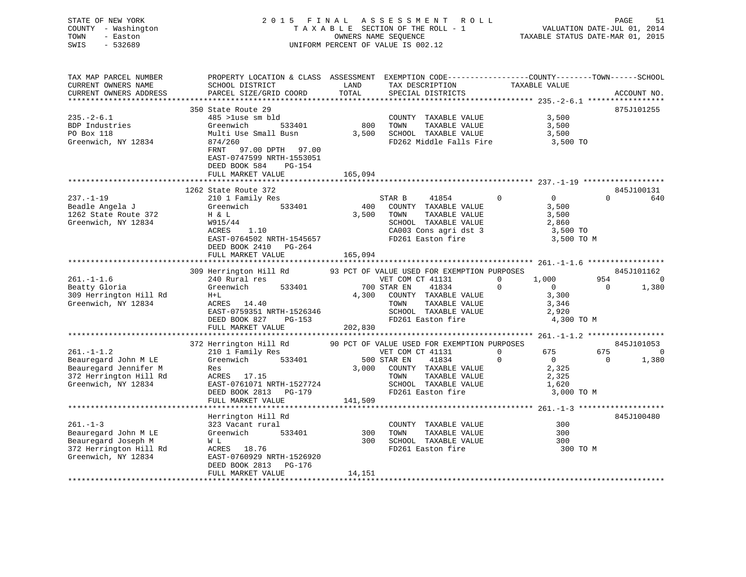| STATE OF NEW YORK<br>COUNTY - Washington<br>TOWN<br>- Easton<br>SWIS<br>$-532689$                                 |                                                                                                                                                                    |               | 2015 FINAL ASSESSMENT ROLL<br>TAXABLE SECTION OF THE ROLL - 1<br>OWNERS NAME SEQUENCE<br>UNIFORM PERCENT OF VALUE IS 002.12                                                                 |                                                                                             | PAGE<br>51<br>VALUATION DATE-JUL 01, 2014<br>TAXABLE STATUS DATE-MAR 01, 2015 |
|-------------------------------------------------------------------------------------------------------------------|--------------------------------------------------------------------------------------------------------------------------------------------------------------------|---------------|---------------------------------------------------------------------------------------------------------------------------------------------------------------------------------------------|---------------------------------------------------------------------------------------------|-------------------------------------------------------------------------------|
| TAX MAP PARCEL NUMBER<br>CURRENT OWNERS NAME<br>CURRENT OWNERS ADDRESS                                            | PROPERTY LOCATION & CLASS ASSESSMENT EXEMPTION CODE---------------COUNTY-------TOWN------SCHOOL<br>SCHOOL DISTRICT<br>PARCEL SIZE/GRID COORD                       | LAND<br>TOTAL | TAX DESCRIPTION<br>SPECIAL DISTRICTS                                                                                                                                                        | TAXABLE VALUE                                                                               | ACCOUNT NO.                                                                   |
|                                                                                                                   | 350 State Route 29                                                                                                                                                 |               |                                                                                                                                                                                             |                                                                                             | 875J101255                                                                    |
| $235. - 2 - 6.1$<br>BDP Industries<br>PO Box 118<br>Greenwich, NY 12834                                           | 485 >luse sm bld<br>Greenwich<br>533401<br>Multi Use Small Busn<br>874/260<br>FRNT<br>97.00 DPTH 97.00<br>EAST-0747599 NRTH-1553051                                | 800           | COUNTY TAXABLE VALUE<br>TOWN<br>TAXABLE VALUE<br>3,500 SCHOOL TAXABLE VALUE<br>FD262 Middle Falls Fire                                                                                      | 3,500<br>3,500<br>3,500<br>3,500 TO                                                         |                                                                               |
|                                                                                                                   | DEED BOOK 584<br>PG-154                                                                                                                                            |               |                                                                                                                                                                                             |                                                                                             |                                                                               |
|                                                                                                                   | FULL MARKET VALUE                                                                                                                                                  | 165,094       |                                                                                                                                                                                             |                                                                                             |                                                                               |
|                                                                                                                   |                                                                                                                                                                    |               |                                                                                                                                                                                             |                                                                                             |                                                                               |
| $237. - 1 - 19$<br>Beadle Angela J<br>1262 State Route 372<br>Greenwich, NY 12834                                 | 1262 State Route 372<br>210 1 Family Res<br>533401<br>Greenwich<br>H & L<br>W915/44<br>ACRES<br>1.10<br>EAST-0764502 NRTH-1545657<br>DEED BOOK 2410 PG-264         | 400<br>3,500  | STAR B<br>41854<br>COUNTY TAXABLE VALUE<br>TOWN<br>TAXABLE VALUE<br>SCHOOL TAXABLE VALUE<br>CA003 Cons agri dst 3<br>FD261 Easton fire                                                      | $\mathbf 0$<br>$\overline{0}$<br>3,500<br>3,500<br>2,860<br>3,500 TO<br>3,500 TO M          | 845J100131<br>$\Omega$<br>640                                                 |
|                                                                                                                   | FULL MARKET VALUE                                                                                                                                                  | 165,094       |                                                                                                                                                                                             |                                                                                             |                                                                               |
|                                                                                                                   |                                                                                                                                                                    |               |                                                                                                                                                                                             |                                                                                             |                                                                               |
|                                                                                                                   | 309 Herrington Hill Rd                                                                                                                                             |               | 93 PCT OF VALUE USED FOR EXEMPTION PURPOSES                                                                                                                                                 |                                                                                             | 845J101162                                                                    |
| $261. -1 -1.6$<br>Beatty Gloria<br>309 Herrington Hill Rd<br>Greenwich, NY 12834                                  | 240 Rural res<br>Greenwich<br>533401<br>$H+L$<br>ACRES 14.40<br>EAST-0759351 NRTH-1526346<br>DEED BOOK 827 PG-153<br>FULL MARKET VALUE                             | 202,830       | VET COM CT 41131<br>700 STAR EN<br>41834<br>4,300 COUNTY TAXABLE VALUE<br>TOWN<br>TAXABLE VALUE<br>SCHOOL TAXABLE VALUE<br>FD261 Easton fire                                                | $\Omega$<br>1,000<br>$\mathbf 0$<br>$\overline{0}$<br>3,300<br>3,346<br>2,920<br>4,300 TO M | 954<br>$\overline{0}$<br>$\overline{0}$<br>1,380                              |
|                                                                                                                   |                                                                                                                                                                    |               |                                                                                                                                                                                             |                                                                                             |                                                                               |
| $261. -1 - 1.2$<br>Beauregard John M LE<br>Beauregard Jennifer M<br>372 Herrington Hill Rd<br>Greenwich, NY 12834 | 372 Herrington Hill Rd<br>210 1 Family Res<br>Greenwich<br>533401<br>Res<br>ACRES 17.15<br>EAST-0761071 NRTH-1527724<br>DEED BOOK 2813 PG-179<br>FULL MARKET VALUE | 141,509       | 90 PCT OF VALUE USED FOR EXEMPTION PURPOSES<br>VET COM CT 41131<br>500 STAR EN<br>41834<br>3,000 COUNTY TAXABLE VALUE<br>TAXABLE VALUE<br>TOWN<br>SCHOOL TAXABLE VALUE<br>FD261 Easton fire | 675<br>$\Omega$<br>$\Omega$<br>$\Omega$<br>2,325<br>2,325<br>1,620<br>3,000 TO M            | 845J101053<br>675<br>$\Omega$<br>$\Omega$<br>1,380                            |
|                                                                                                                   |                                                                                                                                                                    |               |                                                                                                                                                                                             |                                                                                             |                                                                               |
| $261. - 1 - 3$<br>Beauregard John M LE<br>Beauregard Joseph M<br>372 Herrington Hill Rd<br>Greenwich, NY 12834    | Herrington Hill Rd<br>323 Vacant rural<br>533401<br>Greenwich<br>W L<br>ACRES 18.76<br>EAST-0760929 NRTH-1526920<br>DEED BOOK 2813 PG-176                          | 300<br>300    | COUNTY TAXABLE VALUE<br>TOWN<br>TAXABLE VALUE<br>SCHOOL TAXABLE VALUE<br>FD261 Easton fire                                                                                                  | 300<br>300<br>300<br>300 TO M                                                               | 845J100480                                                                    |
|                                                                                                                   | FIILL MARKET VALUE                                                                                                                                                 | 14 151        |                                                                                                                                                                                             |                                                                                             |                                                                               |

FULL MARKET VALUE 14,151 \*\*\*\*\*\*\*\*\*\*\*\*\*\*\*\*\*\*\*\*\*\*\*\*\*\*\*\*\*\*\*\*\*\*\*\*\*\*\*\*\*\*\*\*\*\*\*\*\*\*\*\*\*\*\*\*\*\*\*\*\*\*\*\*\*\*\*\*\*\*\*\*\*\*\*\*\*\*\*\*\*\*\*\*\*\*\*\*\*\*\*\*\*\*\*\*\*\*\*\*\*\*\*\*\*\*\*\*\*\*\*\*\*\*\*\*\*\*\*\*\*\*\*\*\*\*\*\*\*\*\*\*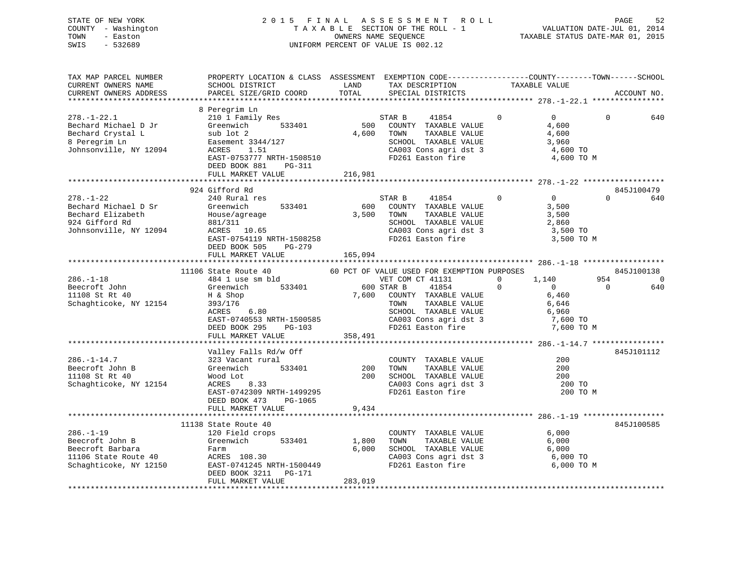## STATE OF NEW YORK 2 0 1 5 F I N A L A S S E S S M E N T R O L L PAGE 52 COUNTY - Washington T A X A B L E SECTION OF THE ROLL - 1 VALUATION DATE-JUL 01, 2014 TOWN - Easton OWNERS NAME SEQUENCE TAXABLE STATUS DATE-MAR 01, 2015 SWIS - 532689 UNIFORM PERCENT OF VALUE IS 002.12

| TAX MAP PARCEL NUMBER<br>CURRENT OWNERS NAME<br>CURRENT OWNERS ADDRESS                                    | PROPERTY LOCATION & CLASS ASSESSMENT EXEMPTION CODE----------------COUNTY-------TOWN------SCHOOL<br>SCHOOL DISTRICT<br>PARCEL SIZE/GRID COORD                                            | LAND<br>TOTAL             | TAX DESCRIPTION<br>SPECIAL DISTRICTS                                                                                                                           | TAXABLE VALUE                                                                      | ACCOUNT NO.                   |
|-----------------------------------------------------------------------------------------------------------|------------------------------------------------------------------------------------------------------------------------------------------------------------------------------------------|---------------------------|----------------------------------------------------------------------------------------------------------------------------------------------------------------|------------------------------------------------------------------------------------|-------------------------------|
| **************************                                                                                |                                                                                                                                                                                          |                           |                                                                                                                                                                |                                                                                    |                               |
| $278. - 1 - 22.1$<br>Bechard Michael D Jr<br>Bechard Crystal L<br>8 Peregrim Ln<br>Johnsonville, NY 12094 | 8 Peregrim Ln<br>210 1 Family Res<br>Greenwich<br>533401<br>sub lot 2<br>Easement 3344/127<br>ACRES<br>1.51<br>EAST-0753777 NRTH-1508510<br>DEED BOOK 881<br>PG-311<br>FULL MARKET VALUE | 500<br>4,600<br>216,981   | STAR B<br>41854<br>COUNTY TAXABLE VALUE<br>TOWN<br>TAXABLE VALUE<br>SCHOOL TAXABLE VALUE<br>CA003 Cons agri dst 3<br>FD261 Easton fire                         | $\Omega$<br>$\overline{0}$<br>4,600<br>4,600<br>3,960<br>4,600 TO<br>4,600 TO M    | $\Omega$<br>640               |
|                                                                                                           |                                                                                                                                                                                          |                           |                                                                                                                                                                |                                                                                    |                               |
| $278. - 1 - 22$<br>Bechard Michael D Sr<br>Bechard Elizabeth<br>924 Gifford Rd<br>Johnsonville, NY 12094  | 924 Gifford Rd<br>240 Rural res<br>Greenwich<br>533401<br>House/agreage<br>881/311<br>ACRES 10.65<br>EAST-0754119 NRTH-1508258<br>DEED BOOK 505<br>PG-279                                | 600<br>3,500              | STAR B<br>41854<br>COUNTY TAXABLE VALUE<br>TOWN<br>TAXABLE VALUE<br>SCHOOL TAXABLE VALUE<br>CA003 Cons agri dst 3<br>FD261 Easton fire                         | $\mathbf 0$<br>$\overline{0}$<br>3,500<br>3,500<br>2,860<br>3,500 TO<br>3,500 TO M | 845J100479<br>$\Omega$<br>640 |
|                                                                                                           | FULL MARKET VALUE                                                                                                                                                                        | 165,094                   |                                                                                                                                                                |                                                                                    |                               |
|                                                                                                           |                                                                                                                                                                                          |                           |                                                                                                                                                                |                                                                                    |                               |
| $286. - 1 - 18$                                                                                           | 11106 State Route 40<br>484 1 use sm bld                                                                                                                                                 |                           | 60 PCT OF VALUE USED FOR EXEMPTION PURPOSES                                                                                                                    | 1,140<br>0                                                                         | 845J100138<br>954<br>$\Omega$ |
| Beecroft John<br>11108 St Rt 40<br>Schaghticoke, NY 12154                                                 | 533401<br>Greenwich<br>H & Shop<br>393/176<br>6.80<br>ACRES<br>EAST-0740553 NRTH-1500585<br>DEED BOOK 295<br>PG-103<br>FULL MARKET VALUE                                                 | 7,600<br>358,491          | VET COM CT 41131<br>41854<br>600 STAR B<br>COUNTY TAXABLE VALUE<br>TOWN<br>TAXABLE VALUE<br>SCHOOL TAXABLE VALUE<br>CA003 Cons agri dst 3<br>FD261 Easton fire | $\overline{0}$<br>$\Omega$<br>6,460<br>6,646<br>6,960<br>7,600 TO<br>7,600 TO M    | $\Omega$<br>640               |
|                                                                                                           |                                                                                                                                                                                          |                           |                                                                                                                                                                |                                                                                    |                               |
| $286. - 1 - 14.7$<br>Beecroft John B<br>11108 St Rt 40<br>Schaghticoke, NY 12154                          | Valley Falls Rd/w Off<br>323 Vacant rural<br>533401<br>Greenwich<br>Wood Lot<br>ACRES<br>8.33<br>EAST-0742309 NRTH-1499295<br>DEED BOOK 473<br>PG-1065<br>FULL MARKET VALUE              | 200<br>200<br>9,434       | COUNTY TAXABLE VALUE<br>TAXABLE VALUE<br>TOWN<br>SCHOOL TAXABLE VALUE<br>CA003 Cons agri dst 3<br>FD261 Easton fire                                            | 200<br>200<br>200<br>200 TO<br>200 TO M                                            | 845J101112                    |
|                                                                                                           |                                                                                                                                                                                          |                           |                                                                                                                                                                |                                                                                    |                               |
| $286. - 1 - 19$<br>Beecroft John B<br>Beecroft Barbara<br>11106 State Route 40<br>Schaghticoke, NY 12150  | 11138 State Route 40<br>120 Field crops<br>Greenwich<br>533401<br>Farm<br>ACRES 108.30<br>EAST-0741245 NRTH-1500449<br>DEED BOOK 3211<br>PG-171<br>FULL MARKET VALUE                     | 1,800<br>6,000<br>283,019 | COUNTY TAXABLE VALUE<br>TOWN<br>TAXABLE VALUE<br>SCHOOL TAXABLE VALUE<br>CA003 Cons agri dst 3<br>FD261 Easton fire                                            | 6,000<br>6,000<br>6,000<br>6,000 TO<br>6,000 TO M                                  | 845J100585                    |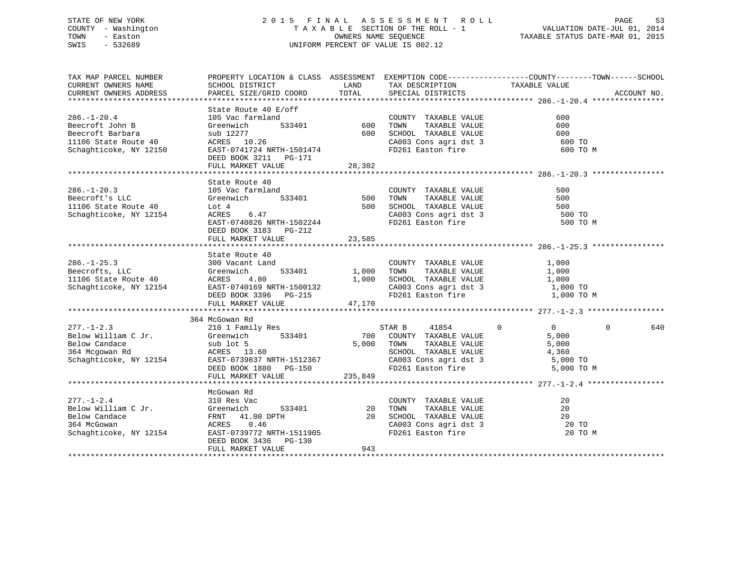## STATE OF NEW YORK 2 0 1 5 F I N A L A S S E S S M E N T R O L L PAGE 53 COUNTY - Washington T A X A B L E SECTION OF THE ROLL - 1 VALUATION DATE-JUL 01, 2014 TOWN - Easton OWNERS NAME SEQUENCE TAXABLE STATUS DATE-MAR 01, 2015 SWIS - 532689 UNIFORM PERCENT OF VALUE IS 002.12

| TAX MAP PARCEL NUMBER<br>CURRENT OWNERS NAME<br>CURRENT OWNERS ADDRESS                                                                                                       | SCHOOL DISTRICT<br>PARCEL SIZE/GRID COORD                                                                                                                                                    | LAND<br>TOTAL                                                       | TAX DESCRIPTION<br>SPECIAL DISTRICTS                                                                                                                                    | PROPERTY LOCATION & CLASS ASSESSMENT EXEMPTION CODE----------------COUNTY-------TOWN------SCHOOL<br>TAXABLE VALUE<br>ACCOUNT NO. |
|------------------------------------------------------------------------------------------------------------------------------------------------------------------------------|----------------------------------------------------------------------------------------------------------------------------------------------------------------------------------------------|---------------------------------------------------------------------|-------------------------------------------------------------------------------------------------------------------------------------------------------------------------|----------------------------------------------------------------------------------------------------------------------------------|
| $286. - 1 - 20.4$<br>Beecroft John B<br>Beecroft Barbara<br>11106 State Route 40<br>Schaghticoke, NY 12150                                                                   | State Route 40 E/off<br>105 Voq farmland<br>Greenwich<br>sub 12277<br>ACRES 10.26<br>EAST-0741724 NRTH-1501474<br>DEED BOOK 3211 PG-171<br>FULL MARKET VALUE                                 | 533401 600<br>600<br>28,302                                         | COUNTY TAXABLE VALUE<br>TAXABLE VALUE<br>TOWN<br>SCHOOL TAXABLE VALUE 600<br>CA003 Cons agri dst 3 600 TO<br>FD261 Easton fire 600 TO                                   | 600<br>600<br>600 TO M                                                                                                           |
| $286. - 1 - 20.3$<br>Beecroft's LLC<br>11106 State Route 40<br>Chachticoke NY 12154<br>Schaghticoke, NY 12154                                                                | State Route 40<br>105 Vac farmland<br>Greenwich<br>Lot 4<br>6.47<br>ACRES<br>EAST-0740826 NRTH-1502244<br>DEED BOOK 3183 PG-212<br>FULL MARKET VALUE                                         | $\int$ 533401 500<br>500<br>23,585                                  | COUNTY TAXABLE VALUE<br>TAXABLE VALUE<br>TOWN<br>SCHOOL TAXABLE VALUE 500<br>CA003 Cons agri dst 3 500 TO<br>FD261 Easton fire 500 TO                                   | 500<br>500<br>500 TO M                                                                                                           |
|                                                                                                                                                                              | State Route 40                                                                                                                                                                               |                                                                     | COUNTY TAXABLE VALUE<br>TAXABLE VALUE<br>TOWN<br>SCHOOL TAXABLE VALUE 1,000<br>CA003 Cons agri dst 3 1,000 TO<br>FD261 Easton fire 1,000 TO M                           | 1,000<br>1,000                                                                                                                   |
| 277.-1-2.3<br>Below William C Jr. 210 1 Family Res S<br>Below Candace Sub lot 5 533401 700<br>364 Mcgowan Rd ACRES 13.60<br>Schaghticoke, NY 12154 EAST-0739837 NRTH-1512367 | 364 McGowan Rd<br>DEED BOOK 1880 PG-150<br>FULL MARKET VALUE                                                                                                                                 | 235,849                                                             | STAR B 41854<br>700 COUNTY TAXABLE VALUE<br>TAXABLE VALUE<br>5,000 TOWN<br>SCHOOL TAXABLE VALUE 4,360<br>CA003 Cons agri dst 3 5,000 TO<br>FD261 Easton fire 5,000 TO M | $\Omega$<br>$\overline{0}$<br>$\Omega$<br>640<br>5,000<br>5,000                                                                  |
| $277. - 1 - 2.4$<br>Below William C Jr.<br>Below Candace<br>364 McGowan<br>Schaghticoke, NY 12154                                                                            | McGowan Rd<br>310 Res Vac<br>310 Res Vac<br>Greenwich 53<br>FRNT 41.00 DPTH<br>ACRES 0 46<br>533401<br>ACRES 0.46<br>EAST-0739772 NRTH-1511905<br>DEED BOOK 3436 PG-130<br>FULL MARKET VALUE | $\begin{array}{ccccc}\n1 & & & 20 \\ 20 & & & \n\end{array}$<br>943 | COUNTY TAXABLE VALUE<br>TAXABLE VALUE<br>TOWN<br>SCHOOL TAXABLE VALUE<br>CA003 Cons agri dst 3<br>FD261 Easton fire                                                     | 20<br>20<br>20<br>20 TO<br>20 TO M                                                                                               |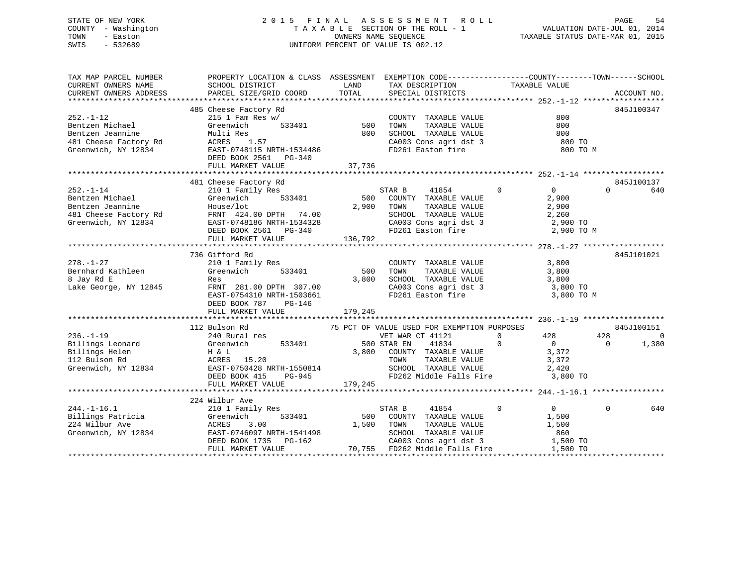## STATE OF NEW YORK 2 0 1 5 F I N A L A S S E S S M E N T R O L L PAGE 54 COUNTY - Washington T A X A B L E SECTION OF THE ROLL - 1 VALUATION DATE-JUL 01, 2014 TOWN - Easton OWNERS NAME SEQUENCE TAXABLE STATUS DATE-MAR 01, 2015 SWIS - 532689 UNIFORM PERCENT OF VALUE IS 002.12

| TAX MAP PARCEL NUMBER<br>CURRENT OWNERS NAME<br>CURRENT OWNERS ADDRESS                                 | PROPERTY LOCATION & CLASS ASSESSMENT EXEMPTION CODE----------------COUNTY-------TOWN-----SCHOOL<br>SCHOOL DISTRICT<br>PARCEL SIZE/GRID COORD                                       | LAND<br>TOTAL           | TAX DESCRIPTION<br>SPECIAL DISTRICTS                                                                                                                                                        | TAXABLE VALUE                                                                            | ACCOUNT NO.                                        |
|--------------------------------------------------------------------------------------------------------|------------------------------------------------------------------------------------------------------------------------------------------------------------------------------------|-------------------------|---------------------------------------------------------------------------------------------------------------------------------------------------------------------------------------------|------------------------------------------------------------------------------------------|----------------------------------------------------|
| $252. - 1 - 12$<br>Bentzen Michael<br>Bentzen Jeannine<br>481 Cheese Factory Rd<br>Greenwich, NY 12834 | 485 Cheese Factory Rd<br>$215$ 1 Fam Res w/<br>Greenwich<br>533401<br>Multi Res<br>1.57<br>ACRES<br>EAST-0748115 NRTH-1534486<br>DEED BOOK 2561 PG-340<br>FULL MARKET VALUE        | 500<br>800<br>37,736    | COUNTY TAXABLE VALUE<br>TAXABLE VALUE<br>TOWN<br>SCHOOL TAXABLE VALUE<br>CA003 Cons agri dst 3<br>FD261 Easton fire                                                                         | 800<br>800<br>800<br>800 TO<br>800 TO M                                                  | 845J100347                                         |
| $252. - 1 - 14$<br>Bentzen Michael<br>Bentzen Jeannine<br>481 Cheese Factory Rd<br>Greenwich, NY 12834 | 481 Cheese Factory Rd<br>210 1 Family Res<br>533401<br>Greenwich<br>House/lot<br>FRNT 424.00 DPTH 74.00<br>EAST-0748186 NRTH-1534328<br>DEED BOOK 2561 PG-340<br>FULL MARKET VALUE | 500<br>2,900<br>136,792 | STAR B<br>41854<br>COUNTY TAXABLE VALUE<br>TOWN<br>TAXABLE VALUE<br>SCHOOL TAXABLE VALUE<br>CA003 Cons agri dst 3<br>FD261 Easton fire                                                      | $\overline{0}$<br>$0 \qquad \qquad$<br>2,900<br>2,900<br>2,260<br>2,900 TO<br>2,900 TO M | 845J100137<br>$\Omega$<br>640                      |
| $278. - 1 - 27$<br>Bernhard Kathleen<br>8 Jay Rd E<br>Lake George, NY 12845                            | 736 Gifford Rd<br>210 1 Family Res<br>Greenwich<br>533401<br>Res<br>FRNT 281.00 DPTH 307.00<br>EAST-0754310 NRTH-1503661<br>DEED BOOK 787<br>$PG-146$<br>FULL MARKET VALUE         | 500<br>3,800<br>179,245 | COUNTY TAXABLE VALUE<br>TOWN<br>TAXABLE VALUE<br>SCHOOL TAXABLE VALUE<br>CA003 Cons agri dst 3<br>FD261 Easton fire                                                                         | 3,800<br>3,800<br>3,800<br>3,800 TO<br>3,800 TO M                                        | 845J101021                                         |
| $236. - 1 - 19$<br>Billings Leonard<br>Billings Helen<br>112 Bulson Rd<br>Greenwich, NY 12834          | 112 Bulson Rd<br>240 Rural res<br>533401<br>Greenwich<br>H & L<br>ACRES 15.20<br>EAST-0750428 NRTH-1550814<br>DEED BOOK 415<br>PG-945<br>FULL MARKET VALUE                         | 3,800<br>179,245        | 75 PCT OF VALUE USED FOR EXEMPTION PURPOSES<br>VET WAR CT 41121<br>500 STAR EN<br>41834<br>COUNTY TAXABLE VALUE<br>TOWN<br>TAXABLE VALUE<br>SCHOOL TAXABLE VALUE<br>FD262 Middle Falls Fire | $\mathbf 0$<br>428<br>$\Omega$<br>$\overline{0}$<br>3,372<br>3,372<br>2,420<br>3,800 TO  | 845J100151<br>428<br>$\Omega$<br>1,380<br>$\Omega$ |
| $244. -1 - 16.1$<br>Billings Patricia<br>224 Wilbur Ave<br>Greenwich, NY 12834                         | 224 Wilbur Ave<br>210 1 Family Res<br>Greenwich<br>533401<br>ACRES<br>3.00<br>EAST-0746097 NRTH-1541498<br>PG-162<br>DEED BOOK 1735<br>FULL MARKET VALUE                           | 500<br>1,500<br>70,755  | STAR B<br>41854<br>COUNTY TAXABLE VALUE<br>TOWN<br>TAXABLE VALUE<br>SCHOOL TAXABLE VALUE<br>CA003 Cons agri dst 3<br>FD262 Middle Falls Fire                                                | $\overline{0}$<br>$\mathbf 0$<br>1,500<br>1,500<br>860<br>1,500 TO<br>1,500 TO           | $\Omega$<br>640                                    |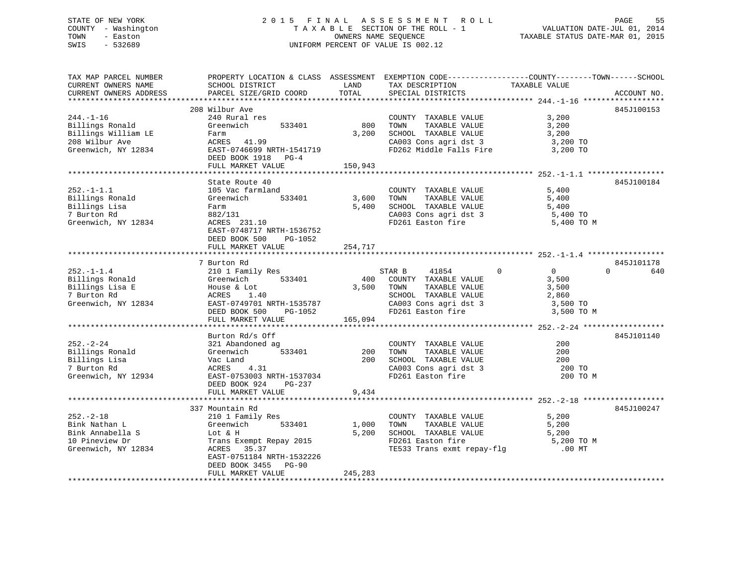#### STATE OF NEW YORK 2015 FINAL ASSESSMENT ROLL COUNTY - Washington T A X A B L E SECTION OF THE ROLL - 1 TOWN - Easton **CONNERS NAME SEQUENCE** TAXABLE STATUS DATE-MAR 01, 2015 SWIS - 532689 UNIFORM PERCENT OF VALUE IS 002.12

| TAX MAP PARCEL NUMBER                         | PROPERTY LOCATION & CLASS ASSESSMENT EXEMPTION CODE---------------COUNTY-------TOWN------SCHOOL |               |                                               |                                  |                 |
|-----------------------------------------------|-------------------------------------------------------------------------------------------------|---------------|-----------------------------------------------|----------------------------------|-----------------|
| CURRENT OWNERS NAME<br>CURRENT OWNERS ADDRESS | SCHOOL DISTRICT<br>PARCEL SIZE/GRID COORD                                                       | LAND<br>TOTAL | TAX DESCRIPTION<br>SPECIAL DISTRICTS          | TAXABLE VALUE                    | ACCOUNT NO.     |
|                                               |                                                                                                 |               |                                               |                                  |                 |
|                                               | 208 Wilbur Ave                                                                                  |               |                                               |                                  | 845J100153      |
| $244. - 1 - 16$                               | 240 Rural res                                                                                   |               | COUNTY TAXABLE VALUE                          | 3,200                            |                 |
| Billings Ronald                               | 533401<br>Greenwich                                                                             | 800           | TOWN<br>TAXABLE VALUE                         | 3,200                            |                 |
| Billings William LE                           | Farm                                                                                            | 3,200         | SCHOOL TAXABLE VALUE                          | 3,200                            |                 |
| 208 Wilbur Ave                                | ACRES 41.99                                                                                     |               | CA003 Cons agri dst 3                         | 3,200 TO                         |                 |
| Greenwich, NY 12834                           | EAST-0746699 NRTH-1541719<br>DEED BOOK 1918 PG-4                                                |               | FD262 Middle Falls Fire                       | 3,200 TO                         |                 |
|                                               | FULL MARKET VALUE                                                                               | 150,943       |                                               |                                  |                 |
|                                               |                                                                                                 |               |                                               |                                  |                 |
|                                               | State Route 40                                                                                  |               |                                               |                                  | 845J100184      |
| $252. -1 - 1.1$                               | 105 Vac farmland                                                                                |               | COUNTY TAXABLE VALUE                          | 5,400                            |                 |
| Billings Ronald                               | Greenwich<br>533401                                                                             | 3,600         | TOWN<br>TAXABLE VALUE                         | 5,400                            |                 |
| Billings Lisa                                 | Farm                                                                                            | 5,400         | SCHOOL TAXABLE VALUE                          | 5,400                            |                 |
| 7 Burton Rd                                   | 882/131                                                                                         |               | CA003 Cons agri dst 3                         | 5,400 TO                         |                 |
| Greenwich, NY 12834                           | ACRES 231.10                                                                                    |               | FD261 Easton fire                             | 5,400 TO M                       |                 |
|                                               | EAST-0748717 NRTH-1536752                                                                       |               |                                               |                                  |                 |
|                                               | DEED BOOK 500<br>PG-1052                                                                        |               |                                               |                                  |                 |
|                                               | FULL MARKET VALUE                                                                               | 254,717       |                                               |                                  |                 |
|                                               |                                                                                                 |               |                                               |                                  |                 |
|                                               | 7 Burton Rd                                                                                     |               |                                               |                                  | 845J101178      |
| $252. - 1 - 1.4$                              | 210 1 Family Res                                                                                |               | 41854<br>STAR B                               | $\overline{0}$<br>$\overline{0}$ | $\Omega$<br>640 |
| Billings Ronald<br>Billings Lisa E            | Greenwich<br>533401<br>House & Lot                                                              | 400<br>3,500  | COUNTY TAXABLE VALUE<br>TOWN<br>TAXABLE VALUE | 3,500<br>3,500                   |                 |
| 7 Burton Rd                                   | ACRES<br>1.40                                                                                   |               | SCHOOL TAXABLE VALUE                          | 2,860                            |                 |
| Greenwich, NY 12834                           | EAST-0749701 NRTH-1535787                                                                       |               | CA003 Cons agri dst 3                         | 3,500 TO                         |                 |
|                                               | PG-1052<br>DEED BOOK 500                                                                        |               | FD261 Easton fire                             | 3,500 TO M                       |                 |
|                                               | FULL MARKET VALUE                                                                               | 165,094       |                                               |                                  |                 |
|                                               |                                                                                                 |               |                                               |                                  |                 |
|                                               | Burton Rd/s Off                                                                                 |               |                                               |                                  | 845J101140      |
| $252 - 2 - 24$                                | 321 Abandoned ag                                                                                |               | COUNTY TAXABLE VALUE                          | 200                              |                 |
| Billings Ronald                               | 533401<br>Greenwich                                                                             | 200           | TAXABLE VALUE<br>TOWN                         | 200                              |                 |
| Billings Lisa                                 | Vac Land                                                                                        | 200           | SCHOOL TAXABLE VALUE                          | 200                              |                 |
| 7 Burton Rd                                   | ACRES 4.31                                                                                      |               | CA003 Cons agri dst 3                         | 200 TO                           |                 |
| Greenwich, NY 12934                           | EAST-0753003 NRTH-1537034                                                                       |               | FD261 Easton fire                             | 200 TO M                         |                 |
|                                               | DEED BOOK 924<br>PG-237                                                                         |               |                                               |                                  |                 |
|                                               | FULL MARKET VALUE                                                                               | 9,434         |                                               |                                  |                 |
|                                               |                                                                                                 |               |                                               |                                  |                 |
|                                               | 337 Mountain Rd                                                                                 |               |                                               |                                  | 845J100247      |
| $252 - 2 - 18$                                | 210 1 Family Res                                                                                |               | COUNTY TAXABLE VALUE                          | 5,200                            |                 |
| Bink Nathan L                                 | 533401<br>Greenwich                                                                             | 1,000         | TOWN<br>TAXABLE VALUE                         | 5,200                            |                 |
| Bink Annabella S                              | Lot & H                                                                                         | 5,200         | SCHOOL TAXABLE VALUE                          | 5,200                            |                 |
| 10 Pineview Dr                                | Trans Exempt Repay 2015                                                                         |               | FD261 Easton fire                             | 5,200 TO M                       |                 |
| Greenwich, NY 12834                           | ACRES 35.37                                                                                     |               | TE533 Trans exmt repay-flg                    | $.00$ MT                         |                 |
|                                               | EAST-0751184 NRTH-1532226                                                                       |               |                                               |                                  |                 |
|                                               | DEED BOOK 3455<br>$PG-90$<br>FULL MARKET VALUE                                                  | 245,283       |                                               |                                  |                 |
|                                               | ************************************                                                            |               |                                               |                                  |                 |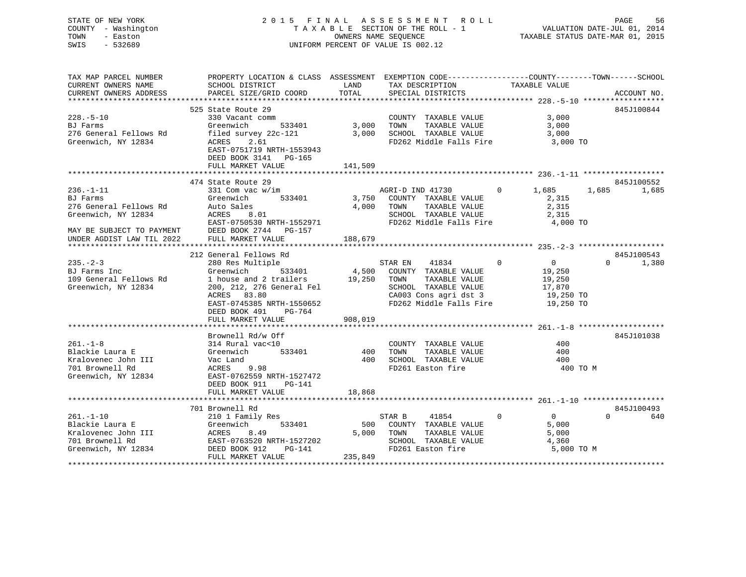## STATE OF NEW YORK 2 0 1 5 F I N A L A S S E S S M E N T R O L L PAGE 56 COUNTY - Washington T A X A B L E SECTION OF THE ROLL - 1 VALUATION DATE-JUL 01, 2014 TOWN - Easton OWNERS NAME SEQUENCE TAXABLE STATUS DATE-MAR 01, 2015 SWIS - 532689 UNIFORM PERCENT OF VALUE IS 002.12

| TAX MAP PARCEL NUMBER     | PROPERTY LOCATION & CLASS ASSESSMENT EXEMPTION CODE----------------COUNTY-------TOWN------SCHOOL |         |                                   |                            |                   |
|---------------------------|--------------------------------------------------------------------------------------------------|---------|-----------------------------------|----------------------------|-------------------|
| CURRENT OWNERS NAME       | SCHOOL DISTRICT                                                                                  | LAND    | TAX DESCRIPTION                   | TAXABLE VALUE              |                   |
| CURRENT OWNERS ADDRESS    | PARCEL SIZE/GRID COORD                                                                           | TOTAL   | SPECIAL DISTRICTS                 |                            | ACCOUNT NO.       |
|                           |                                                                                                  |         |                                   |                            |                   |
|                           | 525 State Route 29                                                                               |         |                                   |                            | 845J100844        |
|                           |                                                                                                  |         |                                   |                            |                   |
| $228. - 5 - 10$           | 330 Vacant comm                                                                                  |         | COUNTY TAXABLE VALUE              | 3,000                      |                   |
| BJ Farms                  | 533401 3,000<br>Greenwich                                                                        |         | TOWN<br>TAXABLE VALUE             | 3,000                      |                   |
| 276 General Fellows Rd    | filed survey 22c-121                                                                             | 3,000   | SCHOOL TAXABLE VALUE              | 3,000                      |                   |
| Greenwich, NY 12834       | ACRES 2.61                                                                                       |         | FD262 Middle Falls Fire           | 3,000 TO                   |                   |
|                           | EAST-0751719 NRTH-1553943                                                                        |         |                                   |                            |                   |
|                           | DEED BOOK 3141 PG-165                                                                            |         |                                   |                            |                   |
|                           | FULL MARKET VALUE                                                                                | 141,509 |                                   |                            |                   |
|                           |                                                                                                  |         |                                   |                            |                   |
|                           | 474 State Route 29                                                                               |         |                                   |                            | 845J100552        |
| $236. - 1 - 11$           |                                                                                                  |         | AGRI-D IND 41730                  | $0 \t 1,685$               |                   |
|                           | 331 Com vac w/im                                                                                 |         |                                   |                            | 1,685<br>1,685    |
| BJ Farms                  | Greenwich<br>533401                                                                              |         | 3,750 COUNTY TAXABLE VALUE        | 2,315                      |                   |
| 276 General Fellows Rd    | Auto Sales                                                                                       | 4,000   | TOWN TAXABLE VALUE                | 2,315                      |                   |
| Greenwich, NY 12834       | 8.01<br>ACRES                                                                                    |         | SCHOOL TAXABLE VALUE              | 2,315                      |                   |
|                           | EAST-0750530 NRTH-1552971                                                                        |         | FD262 Middle Falls Fire           | 4,000 TO                   |                   |
|                           | MAY BE SUBJECT TO PAYMENT DEED BOOK 2744 PG-157                                                  |         |                                   |                            |                   |
| UNDER AGDIST LAW TIL 2022 | FULL MARKET VALUE                                                                                | 188,679 |                                   |                            |                   |
|                           |                                                                                                  |         |                                   |                            |                   |
|                           | 212 General Fellows Rd                                                                           |         |                                   |                            | 845J100543        |
| $235 - 2 - 3$             | 280 Res Multiple                                                                                 |         | 41834<br>STAR EN                  | $\overline{0}$<br>$\Omega$ | $\Omega$<br>1,380 |
| BJ Farms Inc              | 533401<br>Greenwich                                                                              |         | 4,500 COUNTY TAXABLE VALUE        | 19,250                     |                   |
| 109 General Fellows Rd    | 1 house and 2 trailers 19,250 TOWN TAXABLE VALUE                                                 |         |                                   | 19,250                     |                   |
|                           |                                                                                                  |         |                                   |                            |                   |
| Greenwich, NY 12834       | 200, 212, 276 General Fel                                                                        |         | SCHOOL TAXABLE VALUE              | 17,870                     |                   |
|                           | ACRES 83.80                                                                                      |         | CA003 Cons agri dst 3             | 19,250 TO                  |                   |
|                           | EAST-0745385 NRTH-1550652                                                                        |         | FD262 Middle Falls Fire 19,250 TO |                            |                   |
|                           | DEED BOOK 491 PG-764                                                                             |         |                                   |                            |                   |
|                           | FULL MARKET VALUE                                                                                | 908,019 |                                   |                            |                   |
|                           |                                                                                                  |         |                                   |                            |                   |
|                           | Brownell Rd/w Off                                                                                |         |                                   |                            | 845J101038        |
| $261. - 1 - 8$            | 314 Rural vac<10                                                                                 |         | COUNTY TAXABLE VALUE              | 400                        |                   |
| Blackie Laura E           | Greenwich 533401                                                                                 | 400     | TOWN TAXABLE VALUE                | 400                        |                   |
| Kralovenec John III       | Vac Land                                                                                         |         | 400 SCHOOL TAXABLE VALUE          | 400                        |                   |
| 701 Brownell Rd           | ACRES<br>9.98                                                                                    |         | FD261 Easton fire                 | 400 TO M                   |                   |
|                           |                                                                                                  |         |                                   |                            |                   |
| Greenwich, NY 12834       | EAST-0762559 NRTH-1527472                                                                        |         |                                   |                            |                   |
|                           |                                                                                                  |         |                                   |                            |                   |
|                           | DEED BOOK 911<br>PG-141                                                                          |         |                                   |                            |                   |
|                           | FULL MARKET VALUE                                                                                | 18,868  |                                   |                            |                   |
|                           |                                                                                                  |         |                                   |                            |                   |
|                           | 701 Brownell Rd                                                                                  |         |                                   |                            | 845J100493        |
| $261. - 1 - 10$           |                                                                                                  |         | 41854 0<br>STAR B                 | $\overline{0}$             | $\Omega$<br>640   |
| Blackie Laura E           | 210 1 Family Res<br>533401<br>Greenwich                                                          |         | 500 COUNTY TAXABLE VALUE          | 5,000                      |                   |
|                           |                                                                                                  |         |                                   |                            |                   |
| Kralovenec John III       | ACRES<br>8.49                                                                                    |         | 5,000 TOWN<br>TAXABLE VALUE       | 5,000                      |                   |
| 701 Brownell Rd           | EAST-0763520 NRTH-1527202                                                                        |         | SCHOOL TAXABLE VALUE              | 4,360                      |                   |
| Greenwich, NY 12834       | DEED BOOK 912<br>PG-141<br>FULL MARKET VALUE                                                     | 235,849 | FD261 Easton fire                 | 5,000 TO M                 |                   |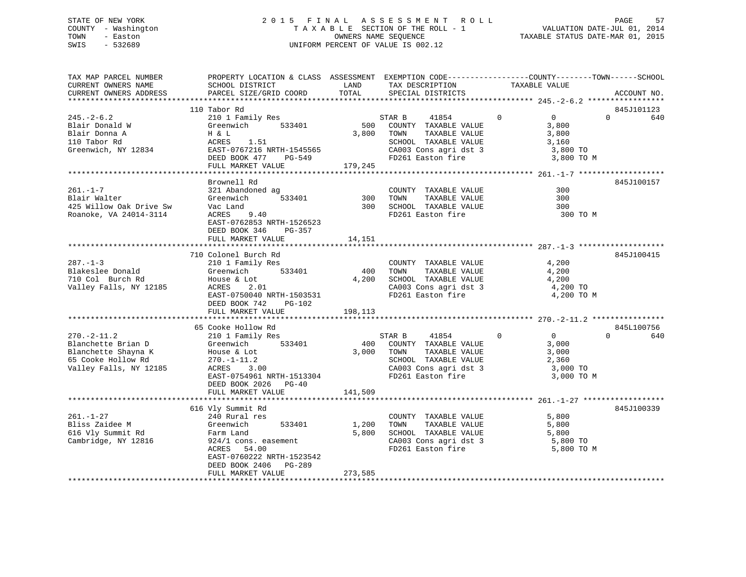## STATE OF NEW YORK 2 0 1 5 F I N A L A S S E S S M E N T R O L L PAGE 57 COUNTY - Washington T A X A B L E SECTION OF THE ROLL - 1 VALUATION DATE-JUL 01, 2014 TOWN - Easton **CONNERS NAME SEQUENCE** TAXABLE STATUS DATE-MAR 01, 2015 SWIS - 532689 UNIFORM PERCENT OF VALUE IS 002.12

| TAX MAP PARCEL NUMBER<br>CURRENT OWNERS NAME<br>CURRENT OWNERS ADDRESS                                                   | PROPERTY LOCATION & CLASS ASSESSMENT EXEMPTION CODE---------------COUNTY-------TOWN------SCHOOL<br>SCHOOL DISTRICT<br>PARCEL SIZE/GRID COORD                      | LAND<br>TOTAL               | TAX DESCRIPTION<br>SPECIAL DISTRICTS                                                                                                                        | TAXABLE VALUE                                                                         | ACCOUNT NO.                   |
|--------------------------------------------------------------------------------------------------------------------------|-------------------------------------------------------------------------------------------------------------------------------------------------------------------|-----------------------------|-------------------------------------------------------------------------------------------------------------------------------------------------------------|---------------------------------------------------------------------------------------|-------------------------------|
|                                                                                                                          |                                                                                                                                                                   |                             |                                                                                                                                                             |                                                                                       |                               |
| $245. - 2 - 6.2$<br>Blair Donald W<br>Blair Donna A<br>110 Tabor Rd<br>Greenwich, NY 12834                               | 110 Tabor Rd<br>210 1 Family Res<br>Greenwich 533401<br>H & L<br>ACRES 1.51<br>EAST-0767216 NRTH-1545565<br>DEED BOOK 477 PG-549                                  |                             | 41854 0<br>STAR B<br>500 COUNTY TAXABLE VALUE<br>TAXABLE VALUE<br>3,800 TOWN<br>SCHOOL TAXABLE VALUE<br>CA003 Cons agri dst 3 3,800 TO<br>FD261 Easton fire | $\overline{0}$<br>3,800<br>3,800<br>3,160<br>3,800 TO M                               | 845J101123<br>$\Omega$<br>640 |
|                                                                                                                          | FULL MARKET VALUE                                                                                                                                                 | 179,245                     |                                                                                                                                                             |                                                                                       |                               |
| $261. - 1 - 7$<br>Blair Walter<br>425 Willow Oak Drive Sw<br>Roanoke, VA 24014-3114                                      | Brownell Rd<br>321 Abandoned ag<br>533401<br>Greenwich<br>EAST-0762853 NRTH-1526523<br>DEED BOOK 346<br>PG-357<br>FULL MARKET VALUE                               | $\frac{300}{300}$<br>14,151 | COUNTY TAXABLE VALUE<br>TAXABLE VALUE<br>TOWN<br>SCHOOL TAXABLE VALUE<br>FD261 Easton fire                                                                  | 300<br>300<br>300<br>300 TO M                                                         | 845J100157                    |
|                                                                                                                          |                                                                                                                                                                   |                             |                                                                                                                                                             |                                                                                       |                               |
| $287 - 1 - 3$<br>Blakeslee Donald<br>710 Col Burch Rd<br>Valley Falls, NY 12185                                          | 710 Colonel Burch Rd<br>210 1 Family Res<br>Greenwich 533401<br>ACRES<br>2.01<br>EAST-0750040 NRTH-1503531<br>DEED BOOK 742<br>PG-102<br>FULL MARKET VALUE        | 198,113                     | COUNTY TAXABLE VALUE<br>400 TOWN TAXABLE VALUE<br>4,200 SCHOOL TAXABLE VALUE<br>CA003 Cons agri dst 3<br>FD261 Easton fire                                  | 4,200<br>4,200<br>4,200<br>4,200 TO<br>4,200 TO M                                     | 845J100415                    |
|                                                                                                                          | 65 Cooke Hollow Rd                                                                                                                                                |                             |                                                                                                                                                             |                                                                                       | 845L100756                    |
| $270. - 2 - 11.2$<br>Blanchette Brian D<br>Blanchette Shayna K<br>65 Cooke Hollow Rd<br>Valley Falls, NY 12185           | 210 1 Family Res<br>Greenwich<br>533401<br>House & Lot<br>270.-1-11.2<br>ACRES 3.00<br>EAST-0754961 NRTH-1513304<br>DEED BOOK 2026 PG-40                          | 141,509                     | STAR B<br>41854<br>400 COUNTY TAXABLE VALUE<br>3,000 TOWN<br>TAXABLE VALUE<br>SCHOOL TAXABLE VALUE<br>CA003 Cons agri dst 3<br>FD261 Easton fire            | $\overline{0}$<br>$\overline{0}$<br>3,000<br>3,000<br>2,360<br>3,000 TO<br>3,000 TO M | $\Omega$<br>640               |
|                                                                                                                          | FULL MARKET VALUE                                                                                                                                                 |                             |                                                                                                                                                             |                                                                                       |                               |
| $261. - 1 - 27$<br>Bliss Zaidee M<br>Greenwich<br>Farm Land<br>The Sant Land<br>616 Vly Summit Rd<br>Cambridge, NY 12816 | 616 Vly Summit Rd<br>240 Rural res<br>533401<br>924/1 cons. easement<br>ACRES 54.00<br>EAST-0760222 NRTH-1523542<br>DEED BOOK 2406<br>PG-289<br>FULL MARKET VALUE | 1,200<br>5,800<br>273,585   | COUNTY TAXABLE VALUE<br>TOWN<br>TAXABLE VALUE<br>SCHOOL TAXABLE VALUE<br>CA003 Cons agri dst 3<br>FD261 Easton fire                                         | 5,800<br>5,800<br>5,800<br>5,800 TO<br>5,800 TO M                                     | 845J100339                    |
| *************************                                                                                                |                                                                                                                                                                   |                             |                                                                                                                                                             |                                                                                       |                               |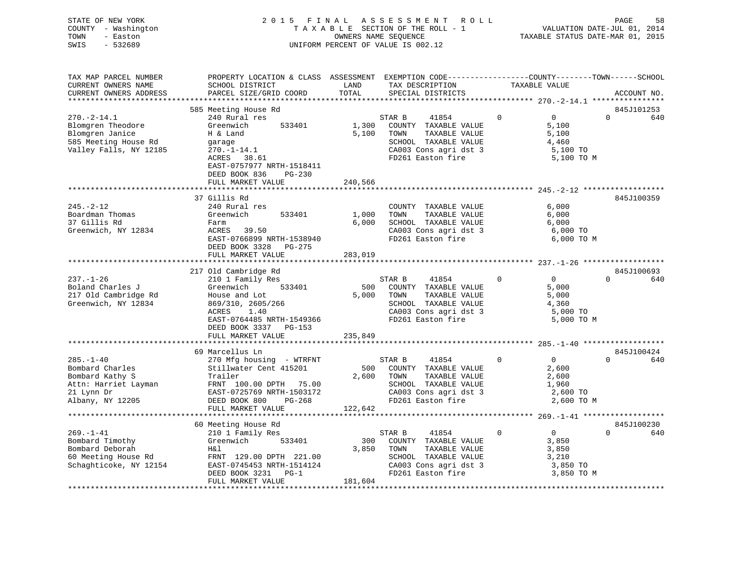|      | STATE OF NEW YORK   |  | 2015 FINAL ASSESSMENT ROLL         |                                  | PAGE | 58 |
|------|---------------------|--|------------------------------------|----------------------------------|------|----|
|      | COUNTY - Washington |  | TAXABLE SECTION OF THE ROLL - 1    | VALUATION DATE-JUL 01, 2014      |      |    |
| TOWN | - Easton            |  | OWNERS NAME SEOUENCE               | TAXABLE STATUS DATE-MAR 01, 2015 |      |    |
| SWIS | $-532689$           |  | UNIFORM PERCENT OF VALUE IS 002.12 |                                  |      |    |
|      |                     |  |                                    |                                  |      |    |

| TAX MAP PARCEL NUMBER  | PROPERTY LOCATION & CLASS ASSESSMENT EXEMPTION CODE----------------COUNTY-------TOWN------SCHOOL |         |                          |          |                |          |             |
|------------------------|--------------------------------------------------------------------------------------------------|---------|--------------------------|----------|----------------|----------|-------------|
| CURRENT OWNERS NAME    | SCHOOL DISTRICT                                                                                  | LAND    | TAX DESCRIPTION          |          | TAXABLE VALUE  |          |             |
| CURRENT OWNERS ADDRESS | PARCEL SIZE/GRID COORD                                                                           | TOTAL   | SPECIAL DISTRICTS        |          |                |          | ACCOUNT NO. |
|                        |                                                                                                  |         |                          |          |                |          |             |
|                        | 585 Meeting House Rd                                                                             |         |                          |          |                |          | 845J101253  |
| $270. - 2 - 14.1$      | 240 Rural res                                                                                    |         | 41854<br>STAR B          | $\Omega$ | $\Omega$       | $\Omega$ | 640         |
| Blomgren Theodore      | Greenwich<br>533401                                                                              | 1,300   | COUNTY TAXABLE VALUE     |          | 5,100          |          |             |
| Blomgren Janice        | H & Land                                                                                         | 5,100   | TAXABLE VALUE<br>TOWN    |          | 5,100          |          |             |
| 585 Meeting House Rd   | garage                                                                                           |         | SCHOOL TAXABLE VALUE     |          | 4,460          |          |             |
| Valley Falls, NY 12185 | $270. - 1 - 14.1$                                                                                |         | CA003 Cons agri dst 3    |          | 5,100 TO       |          |             |
|                        | ACRES 38.61                                                                                      |         | FD261 Easton fire        |          | 5,100 TO M     |          |             |
|                        | EAST-0757977 NRTH-1518411                                                                        |         |                          |          |                |          |             |
|                        | DEED BOOK 836<br>PG-230                                                                          |         |                          |          |                |          |             |
|                        | FULL MARKET VALUE                                                                                | 240,566 |                          |          |                |          |             |
|                        |                                                                                                  |         |                          |          |                |          |             |
|                        | 37 Gillis Rd                                                                                     |         |                          |          |                |          | 845J100359  |
| $245. - 2 - 12$        | 240 Rural res                                                                                    |         | COUNTY TAXABLE VALUE     |          | 6,000          |          |             |
| Boardman Thomas        | Greenwich<br>533401                                                                              | 1,000   | TAXABLE VALUE<br>TOWN    |          | 6,000          |          |             |
| 37 Gillis Rd           | Farm                                                                                             | 6,000   | SCHOOL TAXABLE VALUE     |          | 6,000          |          |             |
| Greenwich, NY 12834    | ACRES 39.50                                                                                      |         | CA003 Cons agri dst 3    |          | 6,000 TO       |          |             |
|                        | EAST-0766899 NRTH-1538940                                                                        |         | FD261 Easton fire        |          | 6,000 TO M     |          |             |
|                        | DEED BOOK 3328 PG-275                                                                            |         |                          |          |                |          |             |
|                        | FULL MARKET VALUE                                                                                | 283,019 |                          |          |                |          |             |
|                        |                                                                                                  |         |                          |          |                |          |             |
|                        | 217 Old Cambridge Rd                                                                             |         |                          |          |                |          | 845J100693  |
| $237. - 1 - 26$        | 210 1 Family Res                                                                                 |         | STAR B<br>41854          | $\Omega$ | $\overline{0}$ | $\Omega$ | 640         |
| Boland Charles J       | 533401<br>Greenwich                                                                              | 500     | COUNTY TAXABLE VALUE     |          | 5,000          |          |             |
| 217 Old Cambridge Rd   | House and Lot                                                                                    | 5,000   | TOWN<br>TAXABLE VALUE    |          | 5,000          |          |             |
| Greenwich, NY 12834    | 869/310, 2605/266                                                                                |         | SCHOOL TAXABLE VALUE     |          | 4,360          |          |             |
|                        | ACRES<br>1.40                                                                                    |         | CA003 Cons agri dst 3    |          | 5,000 TO       |          |             |
|                        | EAST-0764485 NRTH-1549366                                                                        |         | FD261 Easton fire        |          | 5,000 TO M     |          |             |
|                        | DEED BOOK 3337 PG-153                                                                            |         |                          |          |                |          |             |
|                        | FULL MARKET VALUE                                                                                | 235,849 |                          |          |                |          |             |
|                        |                                                                                                  |         |                          |          |                |          |             |
|                        | 69 Marcellus Ln                                                                                  |         |                          |          |                |          | 845J100424  |
| $285. - 1 - 40$        | 270 Mfg housing - WTRFNT                                                                         |         | STAR B<br>41854          | $\Omega$ | $\overline{0}$ | $\Omega$ | 640         |
| Bombard Charles        | Stillwater Cent 415201                                                                           |         | 500 COUNTY TAXABLE VALUE |          | 2,600          |          |             |
| Bombard Kathy S        | Trailer                                                                                          | 2,600   | TOWN<br>TAXABLE VALUE    |          | 2,600          |          |             |
| Attn: Harriet Layman   | FRNT 100.00 DPTH 75.00                                                                           |         | SCHOOL TAXABLE VALUE     |          | 1,960          |          |             |
| 21 Lynn Dr             | EAST-0725769 NRTH-1503172                                                                        |         | CA003 Cons agri dst 3    |          | 2,600 TO       |          |             |
| Albany, NY 12205       | DEED BOOK 800<br>PG-268                                                                          |         | FD261 Easton fire        |          | 2,600 TO M     |          |             |
|                        | FULL MARKET VALUE                                                                                | 122,642 |                          |          |                |          |             |
|                        |                                                                                                  |         |                          |          |                |          |             |
|                        | 60 Meeting House Rd                                                                              |         |                          |          |                |          | 845J100230  |
| $269. - 1 - 41$        | 210 1 Family Res                                                                                 |         | STAR B<br>41854          | $\Omega$ | $\overline{0}$ | $\Omega$ | 640         |
| Bombard Timothy        | Greenwich<br>533401                                                                              | 300     | COUNTY TAXABLE VALUE     |          | 3,850          |          |             |
| Bombard Deborah        | H&l                                                                                              | 3,850   | TOWN<br>TAXABLE VALUE    |          | 3,850          |          |             |
| 60 Meeting House Rd    | FRNT 129.00 DPTH 221.00                                                                          |         | SCHOOL TAXABLE VALUE     |          | 3,210          |          |             |
| Schaghticoke, NY 12154 | EAST-0745453 NRTH-1514124                                                                        |         | CA003 Cons agri dst 3    |          | 3,850 TO       |          |             |
|                        | DEED BOOK 3231<br>$PG-1$                                                                         |         | FD261 Easton fire        |          | 3,850 TO M     |          |             |
|                        | FULL MARKET VALUE                                                                                | 181,604 |                          |          |                |          |             |
|                        |                                                                                                  |         |                          |          |                |          |             |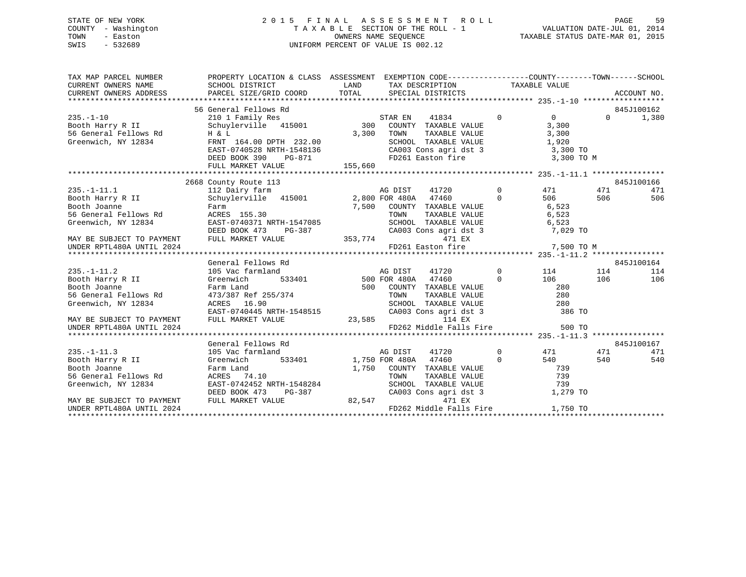## STATE OF NEW YORK 2 0 1 5 F I N A L A S S E S S M E N T R O L L PAGE 59 COUNTY - Washington T A X A B L E SECTION OF THE ROLL - 1 VALUATION DATE-JUL 01, 2014 TOWN - Easton COMPUTERS NAME SEQUENCE TAXABLE STATUS DATE-MAR 01, 2015<br>SWIS - 532689 SWIS - 532689 UNIFORM PERCENT OF VALUE IS 002.12

| TAX MAP PARCEL NUMBER<br>CURRENT OWNERS NAME<br>CURRENT OWNERS NAME<br>CURRENT OWNERS ADDRESS         | PROPERTY LOCATION & CLASS ASSESSMENT EXEMPTION CODE---------------COUNTY-------TOWN------SCHOOL<br>SCHOOL DISTRICT                                                                                                                                                                                                                                                                                             | LAND                        |         | TAX DESCRIPTION TAXABLE VALUE                                                                                                                                                                                                                                                                                                                                                                                                                                                                                                                      |                                  |                                       |            |            |
|-------------------------------------------------------------------------------------------------------|----------------------------------------------------------------------------------------------------------------------------------------------------------------------------------------------------------------------------------------------------------------------------------------------------------------------------------------------------------------------------------------------------------------|-----------------------------|---------|----------------------------------------------------------------------------------------------------------------------------------------------------------------------------------------------------------------------------------------------------------------------------------------------------------------------------------------------------------------------------------------------------------------------------------------------------------------------------------------------------------------------------------------------------|----------------------------------|---------------------------------------|------------|------------|
|                                                                                                       | 56 General Fellows Rd                                                                                                                                                                                                                                                                                                                                                                                          |                             |         |                                                                                                                                                                                                                                                                                                                                                                                                                                                                                                                                                    |                                  |                                       |            | 845J100162 |
| $235. - 1 - 10$<br>Booth Harry R II<br>56 General Fellows Rd<br>Greenwich, NY 12834                   | H & L<br>FRNT 164.00 DPTH 232.00<br>EAST-0740528 NRTH-1548136<br>DEED BOOK 390<br>PG-871                                                                                                                                                                                                                                                                                                                       | 3,300                       | TOWN    | $\begin{tabular}{lllllllllllll} \multicolumn{4}{c}{\text{COUNTY}} & \text{TAXABLE VALUE} & & & & 3,300 \\ \multicolumn{4}{c}{\text{TONN}} & \text{TAXABLE VALUE} & & & 3,300 \\ \multicolumn{4}{c}{\text{SCHOOL}} & \text{TAXABLE VALUE} & & & 1,920 \\ \multicolumn{4}{c}{\text{MIXABLE VALUE}} & & & & 1,920 \\ \multicolumn{4}{c}{\text{MIXABLE VALUE}} & & & & 1,920 \\ \multicolumn{4}{c}{\text{MIXABLE VALUE}} & & & & 1,920 \\ \multicolumn{4}{c}{\text{MIXABLE VALUE}} &$<br>CA003 Cons agri dst 3 (3,300 TO<br>FD261 Easton fire 3,300 TO | $\overline{0}$                   | $\overline{0}$<br>3,300 TO M          | $\Omega$   | 1,380      |
|                                                                                                       |                                                                                                                                                                                                                                                                                                                                                                                                                |                             |         |                                                                                                                                                                                                                                                                                                                                                                                                                                                                                                                                                    |                                  |                                       |            |            |
|                                                                                                       |                                                                                                                                                                                                                                                                                                                                                                                                                |                             |         |                                                                                                                                                                                                                                                                                                                                                                                                                                                                                                                                                    |                                  |                                       |            |            |
|                                                                                                       | 2668 County Route 113                                                                                                                                                                                                                                                                                                                                                                                          |                             |         |                                                                                                                                                                                                                                                                                                                                                                                                                                                                                                                                                    |                                  |                                       |            | 845J100166 |
| $235. -1 - 11.1$<br>Booth Harry R II<br>Booth Joanne<br>56 General Fellows Rd<br>Greenwich, NY 12834  | 112 Dairy farm<br>Schuylerville 415001 12,800 FOR 480A 47460<br>Farm<br>ACRES 155.30<br>EAST-0740371 NRTH-1547085<br>DEED BOOK 473<br>PG-387                                                                                                                                                                                                                                                                   |                             | TOWN    | 41720<br>7,500 COUNTY TAXABLE VALUE<br>TAXABLE VALUE<br>SCHOOL TAXABLE VALUE                                                                                                                                                                                                                                                                                                                                                                                                                                                                       | $\overline{0}$<br>$\Omega$       | 471<br>506<br>6,523<br>6,523<br>6,523 | 471<br>506 | 471<br>506 |
| MAY BE SUBJECT TO PAYMENT                                                                             | FULL MARKET VALUE                                                                                                                                                                                                                                                                                                                                                                                              | 353, 774                    |         | 471 EX                                                                                                                                                                                                                                                                                                                                                                                                                                                                                                                                             |                                  |                                       |            |            |
| UNDER RPTL480A UNTIL 2024                                                                             |                                                                                                                                                                                                                                                                                                                                                                                                                |                             |         | FD261 Easton fire 7,500 TO M                                                                                                                                                                                                                                                                                                                                                                                                                                                                                                                       |                                  |                                       |            |            |
|                                                                                                       |                                                                                                                                                                                                                                                                                                                                                                                                                |                             |         |                                                                                                                                                                                                                                                                                                                                                                                                                                                                                                                                                    |                                  |                                       |            |            |
|                                                                                                       | General Fellows Rd                                                                                                                                                                                                                                                                                                                                                                                             |                             |         |                                                                                                                                                                                                                                                                                                                                                                                                                                                                                                                                                    |                                  |                                       |            | 845J100164 |
| $235. - 1 - 11.2$<br>Booth Harry R II<br>Booth Joanne<br>56 General Fellows Rd<br>Greenwich, NY 12834 | 11008<br>114<br>114<br>533401 500 FOR 480A 47460 6<br>533401 500 COUNTY TAXABLE VALUE<br>500 COUNTY TAXABLE VALUE 280<br>TOWN TAXABLE VALUE 280<br>105 Vac farmland<br>Greenwich<br>Farm Land<br>473/387 Ref 255/374<br>473/387 Ref 255/374<br>ACRES 16.90 SCHOOL TAXABLE VALUE<br>EAST-0740445 NRTH-1548515<br>FULL MARKET VALUE 23,585<br>23,585<br>23,585<br>23,585<br>23,585<br>23,585<br>23,585<br>23,585 |                             |         |                                                                                                                                                                                                                                                                                                                                                                                                                                                                                                                                                    |                                  | $0$ $114$                             | 114<br>106 | 114<br>106 |
| MAY BE SUBJECT TO PAYMENT<br>UNDER RPTL480A UNTIL 2024                                                |                                                                                                                                                                                                                                                                                                                                                                                                                |                             |         | FD262 Middle Falls Fire                                                                                                                                                                                                                                                                                                                                                                                                                                                                                                                            |                                  | 500 TO                                |            |            |
|                                                                                                       |                                                                                                                                                                                                                                                                                                                                                                                                                |                             |         |                                                                                                                                                                                                                                                                                                                                                                                                                                                                                                                                                    |                                  |                                       |            |            |
|                                                                                                       | General Fellows Rd                                                                                                                                                                                                                                                                                                                                                                                             |                             |         |                                                                                                                                                                                                                                                                                                                                                                                                                                                                                                                                                    |                                  |                                       |            | 845J100167 |
| $235. - 1 - 11.3$<br>Booth Harry R II<br>Booth Joanne<br>56 General Fellows Rd<br>Greenwich, NY 12834 | 105 Vac farmland<br>Greenwich<br>EAST-0742452 NRTH-1548284<br>DEED BOOK 473                                                                                                                                                                                                                                                                                                                                    | 533401 1,750 FOR 480A 47460 | AG DIST | 41720<br>1,750 COUNTY TAXABLE VALUE<br>TOWN TAXABLE VALUE 739<br>SCHOOL TAXABLE VALUE 739<br>CA003 Cons agri dst 3 1,279 TO                                                                                                                                                                                                                                                                                                                                                                                                                        | $\overline{0}$<br>$\overline{0}$ | 471<br>540<br>739                     | 471<br>540 | 471<br>540 |
| MAY BE SUBJECT TO PAYMENT<br>UNDER RPTL480A UNTIL 2024                                                | FULL MARKET VALUE                                                                                                                                                                                                                                                                                                                                                                                              |                             |         | 471 EX<br>FD262 Middle Falls Fire                                                                                                                                                                                                                                                                                                                                                                                                                                                                                                                  |                                  | 1,750 TO                              |            |            |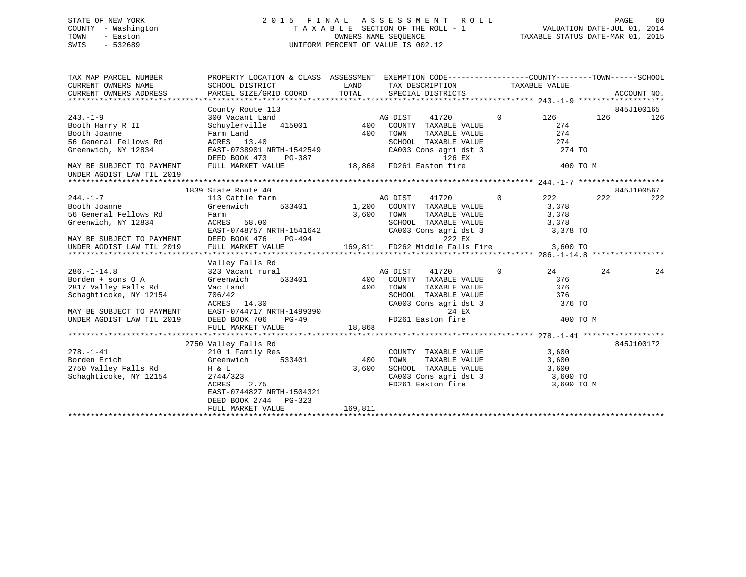# STATE OF NEW YORK GOOD CONSULTED A LIGHT AS SESS MENT ROLL CONSUMER AGE 60 COUNTY - Washington  $T A X A B L E$  SECTION OF THE ROLL - 1<br>TOWN - Easton DATE-JUL 2012 OWNERS NAME SEQUENCE SWIS - 532689 UNIFORM PERCENT OF VALUE IS 002.12

TAXABLE STATUS DATE-MAR 01, 2015

| TAX MAP PARCEL NUMBER                                                 | PROPERTY LOCATION & CLASS ASSESSMENT EXEMPTION CODE---------------COUNTY-------TOWN------SCHOOL |         |                                                                                                                        |                   |          |            |
|-----------------------------------------------------------------------|-------------------------------------------------------------------------------------------------|---------|------------------------------------------------------------------------------------------------------------------------|-------------------|----------|------------|
|                                                                       |                                                                                                 |         |                                                                                                                        |                   |          |            |
|                                                                       | County Route 113                                                                                |         |                                                                                                                        |                   |          | 845J100165 |
| $243. - 1 - 9$                                                        |                                                                                                 |         | $\overline{0}$                                                                                                         | 126               | 126      | 126        |
| Booth Harry R II                                                      |                                                                                                 |         |                                                                                                                        | 274               |          |            |
| Booth Joanne                                                          |                                                                                                 | 400     | TAXABLE VALUE<br>TOWN                                                                                                  | 274               |          |            |
|                                                                       |                                                                                                 |         |                                                                                                                        | 274<br>274 TO     |          |            |
| Greenwich, NY 12834                                                   |                                                                                                 |         | SCHOOL TAXABLE VALUE<br>CA003 Cons agri dst 3<br>126 EX                                                                |                   |          |            |
| MAY BE SUBJECT TO PAYMENT                                             | FULL MARKET VALUE                                                                               |         | 18,868 FD261 Easton fire                                                                                               |                   | 400 TO M |            |
| UNDER AGDIST LAW TIL 2019                                             |                                                                                                 |         |                                                                                                                        |                   |          |            |
|                                                                       |                                                                                                 |         |                                                                                                                        |                   |          |            |
|                                                                       | 1839 State Route 40                                                                             |         |                                                                                                                        |                   |          | 845J100567 |
| $244. -1 - 7$                                                         | 113 Cattle farm                                                                                 |         | $\frac{1}{2}$ 40<br>farm 533401 1,200 COUNTY TAXABLE VALUE<br>$\frac{1}{2}$ 533401 1,200 COUNTY TAXABLE VALUE          | $\sim$ 222        | 222      | 222        |
| Booth Joanne                                                          | Greenwich                                                                                       |         |                                                                                                                        | 3,378<br>3,378    |          |            |
| 56 General Fellows Rd                                                 | Farm                                                                                            | 3,600   | TOWN<br>TAXABLE VALUE                                                                                                  |                   |          |            |
| Greenwich, NY 12834                                                   | ACRES 58.00                                                                                     |         | SCHOOL TAXABLE VALUE 3,378                                                                                             |                   |          |            |
|                                                                       | EAST-0748757 NRTH-1541642                                                                       |         | CA003 Cons agri dst 3 3,378 TO                                                                                         |                   |          |            |
| MAY BE SUBJECT TO PAYMENT<br>UNDER AGDIST LAW TIL 2019 FULL MARKET VA |                                                                                                 |         |                                                                                                                        |                   |          |            |
|                                                                       | FULL MARKET VALUE                                                                               |         |                                                                                                                        |                   |          |            |
|                                                                       |                                                                                                 |         |                                                                                                                        |                   |          |            |
|                                                                       | Valley Falls Rd<br>vailey Falls Rd<br>323 Vacant rural                                          |         | $\overline{0}$                                                                                                         |                   | 24       |            |
| $286. - 1 - 14.8$<br>Borden + sons 0 A                                | 533401                                                                                          |         | AG DIST<br>41720<br>400 COUNTY TAXABLE VALUE                                                                           | 24<br>376         |          | 24         |
| 2817 Valley Falls Rd                                                  | Greenwich                                                                                       |         | TOWN                                                                                                                   | TAXABLE VALUE 376 |          |            |
| Schaghticoke, NY 12154                                                |                                                                                                 |         |                                                                                                                        |                   |          |            |
|                                                                       |                                                                                                 |         | SCHOOL TAXABLE VALUE 376                                                                                               | 376 TO            |          |            |
| MAY BE SUBJECT TO PAYMENT                                             | Vac Land 400<br>706/42<br>ACRES 14.30<br>EAST-0744717 NRTH-1499390<br>DEED BOOK 706 PG-49       |         | CA003 Cons agri dst 3<br>24 EX                                                                                         |                   |          |            |
| UNDER AGDIST LAW TIL 2019                                             |                                                                                                 |         | FD261 Easton fire                                                                                                      |                   | 400 TO M |            |
|                                                                       | FULL MARKET VALUE                                                                               | 18,868  |                                                                                                                        |                   |          |            |
|                                                                       |                                                                                                 |         |                                                                                                                        |                   |          |            |
|                                                                       | 2750 Valley Falls Rd                                                                            |         |                                                                                                                        |                   |          | 845J100172 |
| $278. - 1 - 41$                                                       | 210 1 Family Res                                                                                |         | COUNTY TAXABLE VALUE 3,600                                                                                             |                   |          |            |
|                                                                       |                                                                                                 | 400     |                                                                                                                        |                   |          |            |
|                                                                       |                                                                                                 | 3,600   |                                                                                                                        |                   |          |            |
| Schaghticoke, NY 12154                                                | 2744/323                                                                                        |         |                                                                                                                        |                   |          |            |
|                                                                       | 2.75<br>ACRES                                                                                   |         | TOWN TAXABLE VALUE 3,600<br>SCHOOL TAXABLE VALUE 3,600<br>CA003 Cons agri dst 3 3,600 TO<br>FD261 Easton fire 3,600 TO | 3,600 TO M        |          |            |
|                                                                       | EAST-0744827 NRTH-1504321                                                                       |         |                                                                                                                        |                   |          |            |
|                                                                       | DEED BOOK 2744 PG-323                                                                           |         |                                                                                                                        |                   |          |            |
|                                                                       | FULL MARKET VALUE                                                                               | 169,811 |                                                                                                                        |                   |          |            |
|                                                                       |                                                                                                 |         |                                                                                                                        |                   |          |            |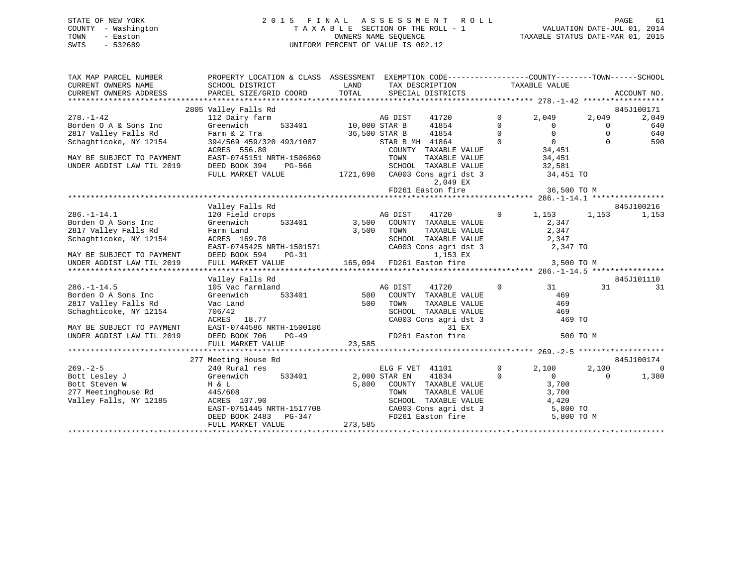| STATE OF NEW YORK   | 2015 FINAL ASSESSMENT ROLL         | 61<br>PAGE                       |
|---------------------|------------------------------------|----------------------------------|
| COUNTY - Washington | TAXABLE SECTION OF THE ROLL - 1    | VALUATION DATE-JUL 01, 2014      |
| TOWN<br>- Easton    | OWNERS NAME SEOUENCE               | TAXABLE STATUS DATE-MAR 01, 2015 |
| SWIS<br>- 532689    | UNIFORM PERCENT OF VALUE IS 002.12 |                                  |

| TAX MAP PARCEL NUMBER                                                 |                                                     | PROPERTY LOCATION & CLASS ASSESSMENT EXEMPTION CODE---------------COUNTY-------TOWN------SCHOOL |                                           |                         |                     |
|-----------------------------------------------------------------------|-----------------------------------------------------|-------------------------------------------------------------------------------------------------|-------------------------------------------|-------------------------|---------------------|
| CURRENT OWNERS NAME                                                   | SCHOOL DISTRICT                                     | LAND TAX DESCRIPTION                                                                            | TAXABLE VALUE                             |                         |                     |
| CURRENT OWNERS ADDRESS                                                |                                                     |                                                                                                 |                                           |                         |                     |
|                                                                       |                                                     |                                                                                                 |                                           |                         |                     |
| $278. - 1 - 42$                                                       | 2805 Valley Falls Rd                                | 41720                                                                                           | $\Omega$                                  |                         | 845J100171<br>2,049 |
|                                                                       | 112 Dairy farm<br>Greenwich                         | AG DIST<br>41854                                                                                | 2,049<br>$\overline{0}$<br>$\overline{0}$ | 2,049<br>$\overline{0}$ | 640                 |
| Borden O A & Sons Inc<br>2817 Valley Falls Rd<br>2817 Valley Falls Rd | Farm & 2 Tra                                        | 533401 10,000 STAR B<br>36,500 STAR B<br>41854                                                  | $\Omega$<br>$\Omega$                      | $\Omega$                | 640                 |
| Schaghticoke, NY 12154                                                | 394/569 459/320 493/1087                            | STAR B MH 41864                                                                                 | $\Omega$                                  | $\Omega$                | 590                 |
|                                                                       | ACRES 556.80                                        |                                                                                                 |                                           |                         |                     |
| MAY BE SUBJECT TO PAYMENT                                             | EAST-0745151 NRTH-1506069                           | COUNTY TAXABLE VALUE<br>TOWN     TAXABLE VALUE                                                  | 0<br>34,451<br>34,451<br>34,451           |                         |                     |
| UNDER AGDIST LAW TIL 2019                                             | DEED BOOK 394 PG-566                                | SCHOOL TAXABLE VALUE                                                                            | 32,581                                    |                         |                     |
|                                                                       | FULL MARKET VALUE                                   | 1721,698 CA003 Cons agri dst 3 34,451 TO                                                        |                                           |                         |                     |
|                                                                       |                                                     | 2,049 EX                                                                                        |                                           |                         |                     |
|                                                                       |                                                     | FD261 Easton fire                                                                               |                                           |                         |                     |
|                                                                       |                                                     |                                                                                                 |                                           |                         |                     |
|                                                                       | Valley Falls Rd                                     |                                                                                                 |                                           |                         | 845J100216          |
| $286. - 1 - 14.1$                                                     | 120 Field crops                                     | AG DIST<br>41720                                                                                | 1,153<br>$\Omega$                         | 1,153                   | 1,153               |
| Borden O A Sons Inc                                                   | Greenwich<br>533401                                 | 3,500 COUNTY TAXABLE VALUE                                                                      | 2,347                                     |                         |                     |
| 2817 Valley Falls Rd                                                  | Farm Land                                           | 3,500<br>TAXABLE VALUE<br>TOWN                                                                  | 2,347                                     |                         |                     |
| Schaghticoke, NY 12154                                                | ACRES 169.70                                        | SCHOOL TAXABLE VALUE                                                                            | 2,347                                     |                         |                     |
|                                                                       | EAST-0745425 NRTH-1501571                           | CA003 Cons agri dst 3                                                                           | 2,347 TO                                  |                         |                     |
| MAY BE SUBJECT TO PAYMENT                                             | DEED BOOK 594 PG-31                                 | 1,153 EX                                                                                        |                                           |                         |                     |
|                                                                       |                                                     |                                                                                                 |                                           |                         |                     |
|                                                                       |                                                     |                                                                                                 |                                           |                         |                     |
|                                                                       | Valley Falls Rd                                     |                                                                                                 |                                           |                         | 845J101110          |
| $286. - 1 - 14.5$                                                     | 105 Vac farmland                                    | 41720<br>AG DIST                                                                                | $\Omega$<br>31                            | 31                      | 31                  |
| Borden O A Sons Inc                                                   | Greenwich<br>533401                                 | 500 COUNTY TAXABLE VALUE                                                                        | 469                                       |                         |                     |
| 2817 Valley Falls Rd                                                  | Vac Land                                            | 500<br>TOWN<br>TAXABLE VALUE                                                                    | 469                                       |                         |                     |
| Schaghticoke, NY 12154                                                | 706/42                                              | SCHOOL TAXABLE VALUE                                                                            | 469                                       |                         |                     |
|                                                                       | ACRES 18.77                                         | CA003 Cons agri dst 3                                                                           | 469 TO                                    |                         |                     |
| MAY BE SUBJECT TO PAYMENT<br>UNDER AGDIST LAW TIL 2019                | EAST-0744586 NRTH-1500186<br>DEED BOOK 706<br>PG-49 | 31 EX<br>FD261 Easton fire                                                                      |                                           | 500 TO M                |                     |
|                                                                       | FULL MARKET VALUE                                   | 23,585                                                                                          |                                           |                         |                     |
|                                                                       |                                                     |                                                                                                 |                                           |                         |                     |
|                                                                       | 277 Meeting House Rd                                |                                                                                                 |                                           |                         | 845J100174          |
| $269. - 2 - 5$                                                        | 240 Rural res                                       | ELG F VET 41101                                                                                 | $\overline{0}$<br>2,100                   | 2,100                   | $\overline{0}$      |
| Bott Lesley J                                                         | Greenwich<br>533401                                 | 41834<br>2,000 STAR EN                                                                          | $\Omega$<br>$\Omega$                      | $\Omega$                | 1,380               |
| Bott Steven W                                                         | H & L                                               | 5,800 COUNTY TAXABLE VALUE                                                                      | 3,700                                     |                         |                     |
|                                                                       | 445/608                                             |                                                                                                 |                                           |                         |                     |
| 277 Meetinghouse Rd<br>Valley Falls, NY 12185                         | ACRES 107.90                                        | TOWN TAXABLE VALUE 3,700<br>SCHOOL TAXABLE VALUE 4,420<br>CA003 Cons agri dst 3 5,800 TO        |                                           |                         |                     |
|                                                                       | EAST-0751445 NRTH-1517708                           |                                                                                                 |                                           |                         |                     |
|                                                                       | DEED BOOK 2483 PG-347                               | FD261 Easton fire                                                                               | 5,800 TO M                                |                         |                     |
|                                                                       | FULL MARKET VALUE                                   | 273,585                                                                                         |                                           |                         |                     |
|                                                                       |                                                     |                                                                                                 |                                           |                         |                     |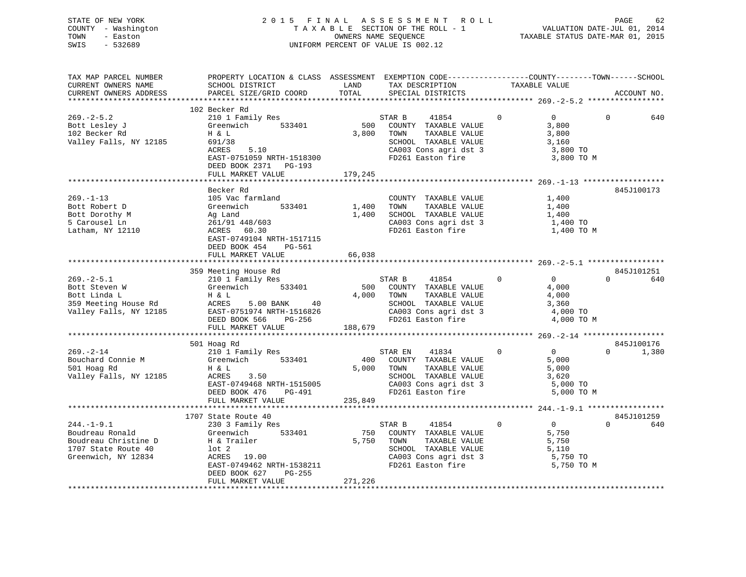STATE OF NEW YORK 2 0 1 5 F I N A L A S S E S S M E N T R O L L PAGE 62 COUNTY - Washington T A X A B L E SECTION OF THE ROLL - 1 VALUATION DATE-JUL 01, 2014 TOWN - Easton OWNERS NAME SEQUENCE TAXABLE STATUS DATE-MAR 01, 2015 SWIS - 532689 UNIFORM PERCENT OF VALUE IS 002.12

| TAX MAP PARCEL NUMBER            | PROPERTY LOCATION & CLASS ASSESSMENT EXEMPTION CODE----------------COUNTY-------TOWN-----SCHOOL |         |                                               |                                  |          |             |
|----------------------------------|-------------------------------------------------------------------------------------------------|---------|-----------------------------------------------|----------------------------------|----------|-------------|
| CURRENT OWNERS NAME              | SCHOOL DISTRICT                                                                                 | LAND    | TAX DESCRIPTION                               | TAXABLE VALUE                    |          |             |
| CURRENT OWNERS ADDRESS           | PARCEL SIZE/GRID COORD                                                                          | TOTAL   | SPECIAL DISTRICTS                             |                                  |          | ACCOUNT NO. |
|                                  |                                                                                                 |         |                                               |                                  |          |             |
|                                  | 102 Becker Rd                                                                                   |         |                                               |                                  |          |             |
| $269. - 2 - 5.2$                 | 210 1 Family Res                                                                                |         | STAR B<br>41854                               | $\overline{0}$<br>$\Omega$       | $\Omega$ | 640         |
| Bott Lesley J                    | Greenwich 533401                                                                                | 500     | COUNTY TAXABLE VALUE                          | 3,800                            |          |             |
| 102 Becker Rd                    | H & L                                                                                           | 3,800   | TOWN<br>TAXABLE VALUE                         | 3,800                            |          |             |
| Valley Falls, NY 12185           | 691/38                                                                                          |         | SCHOOL TAXABLE VALUE                          | 3,160                            |          |             |
|                                  | 5.10<br>ACRES                                                                                   |         | CA003 Cons agri dst 3<br>FD261 Easton fire    | 3,800 TO                         |          |             |
|                                  | EAST-0751059 NRTH-1518300                                                                       |         |                                               | 3,800 TO M                       |          |             |
|                                  | DEED BOOK 2371 PG-193                                                                           |         |                                               |                                  |          |             |
|                                  | FULL MARKET VALUE                                                                               | 179,245 |                                               |                                  |          |             |
|                                  |                                                                                                 |         |                                               |                                  |          |             |
|                                  | Becker Rd                                                                                       |         |                                               |                                  |          | 845J100173  |
| $269. -1 - 13$                   | 105 Vac farmland                                                                                |         | COUNTY TAXABLE VALUE                          | 1,400                            |          |             |
| Bott Robert D                    | 533401<br>Greenwich                                                                             | 1,400   | TOWN<br>TAXABLE VALUE                         | 1,400                            |          |             |
| Bott Dorothy M                   | Ag Land                                                                                         |         | 1,400 SCHOOL TAXABLE VALUE                    | 1,400                            |          |             |
| 5 Carousel Ln                    | 261/91 448/603                                                                                  |         | CA003 Cons agri dst 3                         | $1,400$ TO                       |          |             |
| Latham, NY 12110                 | ACRES 60.30                                                                                     |         | FD261 Easton fire                             | 1,400 TO M                       |          |             |
|                                  | EAST-0749104 NRTH-1517115                                                                       |         |                                               |                                  |          |             |
|                                  | DEED BOOK 454<br>PG-561                                                                         |         |                                               |                                  |          |             |
|                                  | FULL MARKET VALUE                                                                               | 66,038  |                                               |                                  |          |             |
|                                  |                                                                                                 |         |                                               |                                  |          |             |
|                                  | 359 Meeting House Rd                                                                            |         |                                               |                                  |          | 845J101251  |
| $269. - 2 - 5.1$                 | 210 1 Family Res                                                                                |         | STAR B<br>41854                               | $\overline{0}$<br>$\overline{0}$ | $\Omega$ | 640         |
| Bott Steven W                    | Greenwich 533401                                                                                |         | 500 COUNTY TAXABLE VALUE                      | 4,000                            |          |             |
| Bott Linda L                     | H & L                                                                                           |         | 4,000 TOWN<br>TAXABLE VALUE                   | 4,000                            |          |             |
|                                  |                                                                                                 |         | SCHOOL TAXABLE VALUE<br>CA003 Cons agri dst 3 | 3,360                            |          |             |
|                                  |                                                                                                 |         |                                               | 4,000 TO                         |          |             |
|                                  | DEED BOOK 566 PG-256                                                                            |         | FD261 Easton fire                             | 4,000 TO M                       |          |             |
|                                  | FULL MARKET VALUE                                                                               | 188,679 |                                               |                                  |          |             |
|                                  |                                                                                                 |         |                                               |                                  |          |             |
|                                  | 501 Hoag Rd                                                                                     |         |                                               |                                  |          | 845J100176  |
| $269. - 2 - 14$                  | 210 1 Family Res                                                                                |         | STAR EN 41834                                 | $\overline{0}$<br>$\overline{0}$ | $\Omega$ | 1,380       |
| Bouchard Connie M<br>501 Hoag Rd | Greenwich 533401                                                                                |         | 400 COUNTY TAXABLE VALUE                      | 5,000                            |          |             |
| 501 Hoag Rd                      | Η & L                                                                                           |         | 5,000 TOWN<br>TAXABLE VALUE                   | 5,000                            |          |             |
| Valley Falls, NY 12185           | 3.50<br>ACRES                                                                                   |         | SCHOOL TAXABLE VALUE<br>CA003 Cons agri dst 3 | 3,620                            |          |             |
|                                  | EAST-0749468 NRTH-1515005                                                                       |         |                                               | 5,000 TO                         |          |             |
|                                  | DEED BOOK 476<br>PG-491                                                                         |         | FD261 Easton fire                             | 5,000 TO M                       |          |             |
|                                  | FULL MARKET VALUE                                                                               | 235,849 |                                               |                                  |          |             |
|                                  |                                                                                                 |         |                                               |                                  |          |             |
|                                  | 1707 State Route 40                                                                             |         |                                               |                                  |          | 845J101259  |
| $244. - 1 - 9.1$                 | 230 3 Family Res                                                                                |         | STAR B 41854<br>$\sim$ 0                      | $\overline{0}$                   | $\Omega$ | 640         |
| Boudreau Ronald                  | 533401<br>Greenwich                                                                             |         | 750 COUNTY TAXABLE VALUE                      | 5,750                            |          |             |
| Boudreau Christine D             | H & Trailer                                                                                     |         | 5,750 TOWN<br>TAXABLE VALUE                   | 5,750                            |          |             |
| 1707 State Route 40              | lot 2<br>ACRES 19.00                                                                            |         | SCHOOL TAXABLE VALUE                          | 5,110                            |          |             |
| Greenwich, NY 12834              |                                                                                                 |         | CA003 Cons agri dst 3                         | 5,750 TO                         |          |             |
|                                  | EAST-0749462 NRTH-1538211                                                                       |         | FD261 Easton fire                             | 5,750 TO M                       |          |             |
|                                  | DEED BOOK 627<br>PG-255                                                                         |         |                                               |                                  |          |             |
|                                  | FULL MARKET VALUE                                                                               | 271,226 |                                               |                                  |          |             |
|                                  |                                                                                                 |         |                                               |                                  |          |             |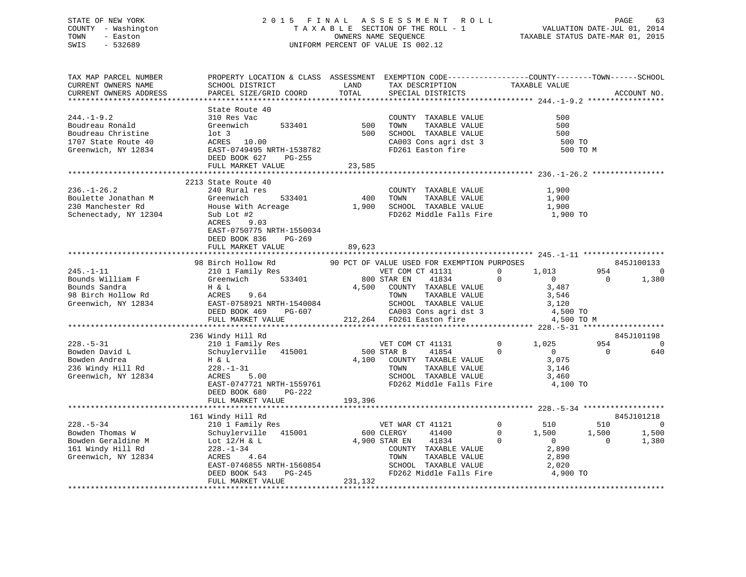## STATE OF NEW YORK 2 0 1 5 F I N A L A S S E S S M E N T R O L L PAGE 63 COUNTY - Washington T A X A B L E SECTION OF THE ROLL - 1 VALUATION DATE-JUL 01, 2014 TOWN - Easton OWNERS NAME SEQUENCE TAXABLE STATUS DATE-MAR 01, 2015 SWIS - 532689 UNIFORM PERCENT OF VALUE IS 002.12

| TAX MAP PARCEL NUMBER  | PROPERTY LOCATION & CLASS ASSESSMENT EXEMPTION CODE----------------COUNTY-------TOWN------SCHOOL |            |                                                    |                                  |                         |
|------------------------|--------------------------------------------------------------------------------------------------|------------|----------------------------------------------------|----------------------------------|-------------------------|
| CURRENT OWNERS NAME    | SCHOOL DISTRICT                                                                                  | LAND       | TAX DESCRIPTION                                    |                                  |                         |
| CURRENT OWNERS ADDRESS | PARCEL SIZE/GRID COORD                                                                           | TOTAL      | SPECIAL DISTRICTS                                  | TAXABLE VALUE                    | ACCOUNT NO.             |
|                        |                                                                                                  |            |                                                    |                                  |                         |
|                        | State Route 40                                                                                   |            |                                                    |                                  |                         |
| $244. -1 - 9.2$        | 310 Res Vac                                                                                      |            | COUNTY TAXABLE VALUE                               | 500                              |                         |
|                        |                                                                                                  |            |                                                    |                                  |                         |
| Boudreau Ronald        | Greenwich<br>533401                                                                              |            | 500 TOWN TAXABLE VALUE<br>500 SCHOOL TAXABLE VALUE | 500                              |                         |
| Boudreau Christine     | $1$ ot 3                                                                                         |            |                                                    | 500                              |                         |
| 1707 State Route 40    | ACRES 10.00                                                                                      |            | CA003 Cons agri dst 3<br>FD261 Easton fire         | 500 TO                           |                         |
| Greenwich, NY 12834    | EAST-0749495 NRTH-1538782                                                                        |            |                                                    | 500 TO M                         |                         |
|                        | DEED BOOK 627<br>PG-255                                                                          |            |                                                    |                                  |                         |
|                        | FULL MARKET VALUE                                                                                | 23,585     |                                                    |                                  |                         |
|                        |                                                                                                  |            |                                                    |                                  |                         |
|                        | 2213 State Route 40                                                                              |            |                                                    |                                  |                         |
| $236. - 1 - 26.2$      | 240 Rural res                                                                                    |            | COUNTY TAXABLE VALUE                               | 1,900                            |                         |
|                        |                                                                                                  | 400 TOWN   |                                                    |                                  |                         |
| Boulette Jonathan M    | Greenwich 533401<br>House With Acreage                                                           |            | TAXABLE VALUE<br>1,900 SCHOOL TAXABLE VALUE        | 1,900<br>1,900                   |                         |
| 230 Manchester Rd      |                                                                                                  |            |                                                    |                                  |                         |
| Schenectady, NY 12304  | Sub Lot #2                                                                                       |            | FD262 Middle Falls Fire 1,900 TO                   |                                  |                         |
|                        | ACRES 9.03                                                                                       |            |                                                    |                                  |                         |
|                        | EAST-0750775 NRTH-1550034                                                                        |            |                                                    |                                  |                         |
|                        | DEED BOOK 836 PG-269                                                                             |            |                                                    |                                  |                         |
|                        | FULL MARKET VALUE                                                                                | 89,623     |                                                    |                                  |                         |
|                        |                                                                                                  |            |                                                    |                                  |                         |
|                        | 98 Birch Hollow Rd 50 PCT OF VALUE USED FOR EXEMPTION PURPOSES                                   |            |                                                    |                                  | 845J100133              |
| $245. - 1 - 11$        | 210 1 Family Res                                                                                 |            |                                                    |                                  | 954<br>$\overline{0}$   |
|                        |                                                                                                  |            | VET COM CT 41131                                   | 1,013                            |                         |
|                        |                                                                                                  |            |                                                    |                                  | $\overline{0}$<br>1,380 |
|                        |                                                                                                  |            |                                                    |                                  |                         |
|                        |                                                                                                  |            |                                                    |                                  |                         |
|                        |                                                                                                  |            |                                                    |                                  |                         |
|                        |                                                                                                  |            |                                                    |                                  |                         |
|                        |                                                                                                  |            |                                                    | 4,500 TO M                       |                         |
|                        |                                                                                                  |            |                                                    |                                  |                         |
|                        | 236 Windy Hill Rd                                                                                |            |                                                    |                                  | 845J101198              |
| $228. - 5 - 31$        |                                                                                                  |            |                                                    | $0 \t 1,025$                     | 954<br>$\Omega$         |
|                        | x<br>210 1 Family Res<br>Schuylerville 415001 500 STAR B 41854                                   |            |                                                    |                                  |                         |
| Bowden David L         | Schuylerville 415001                                                                             |            |                                                    | $\overline{0}$<br>$\overline{0}$ | $\overline{0}$<br>640   |
| Bowden Andrea          | H & L<br>228.-1                                                                                  |            | 4,100 COUNTY TAXABLE VALUE                         | 3,075                            |                         |
| 236 Windy Hill Rd      | $228. - 1 - 31$                                                                                  |            | TAXABLE VALUE<br>TOWN                              | 3,146                            |                         |
| Greenwich, NY 12834    | 5.00<br>ACRES                                                                                    |            | SCHOOL TAXABLE VALUE                               | 3,460                            |                         |
|                        | EAST-0747721 NRTH-1559761 FD262 Middle Falls Fire                                                |            |                                                    | 4,100 TO                         |                         |
|                        | DEED BOOK 680<br>PG-222                                                                          |            |                                                    |                                  |                         |
|                        | FULL MARKET VALUE                                                                                | 193,396    |                                                    |                                  |                         |
|                        |                                                                                                  |            |                                                    |                                  |                         |
|                        |                                                                                                  |            |                                                    |                                  |                         |
|                        | www.nill Rd<br>210 1 Family Res<br>Schuvlerwill<br>161 Windy Hill Rd                             |            |                                                    |                                  | 845J101218              |
| $228. - 5 - 34$        |                                                                                                  |            | VET WAR CT 41121                                   | $\overline{0}$<br>510            | 510<br>$\bigcirc$       |
| Bowden Thomas W        | Schuylerville 415001                                                                             | 600 CLERGY | 41400                                              | $0 \t 1,500$                     | 1,500<br>1,500          |
| Bowden Geraldine M     | Lot $12/H$ & L<br>Lot 12/H & L<br>228.-1-34<br>ACRES 4.64                                        |            | 4,900 STAR EN 41834                                | $\Omega$<br>$\overline{0}$       | $\overline{0}$<br>1,380 |
| 161 Windy Hill Rd      |                                                                                                  |            | COUNTY TAXABLE VALUE                               | 2,890                            |                         |
| Greenwich, NY 12834    |                                                                                                  |            | TOWN<br>TAXABLE VALUE                              | 2,890                            |                         |
|                        |                                                                                                  |            |                                                    |                                  |                         |
|                        | EAST-0746855 NRTH-1560854<br>DEED BOOK 543 PG-245<br>DEED BOOK 543                               |            | SCHOOL TAXABLE VALUE<br>FD262 Middle Falls Fire    | 2,020<br>4,900 TO                |                         |
|                        |                                                                                                  |            |                                                    |                                  |                         |
|                        | FULL MARKET VALUE                                                                                | 231,132    |                                                    |                                  |                         |
|                        |                                                                                                  |            |                                                    |                                  |                         |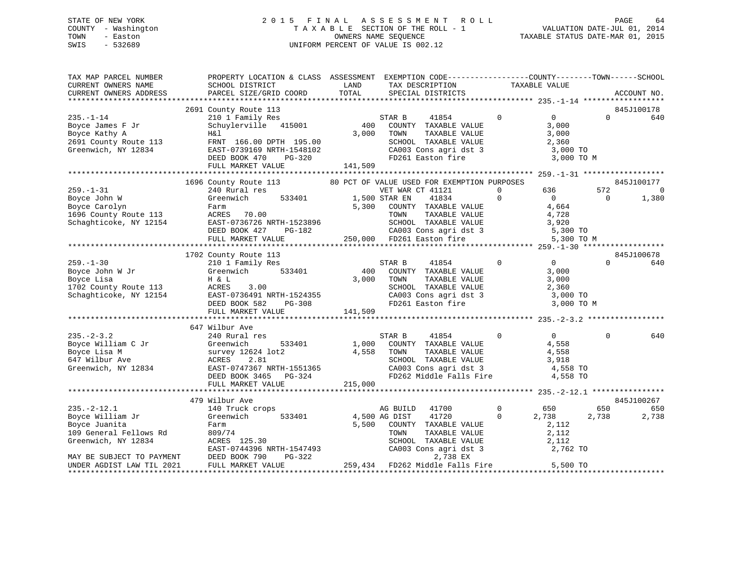## STATE OF NEW YORK 2 0 1 5 F I N A L A S S E S S M E N T R O L L PAGE 64 COUNTY - Washington T A X A B L E SECTION OF THE ROLL - 1 VALUATION DATE-JUL 01, 2014 TOWN - Easton OWNERS NAME SEQUENCE TAXABLE STATUS DATE-MAR 01, 2015 SWIS - 532689 UNIFORM PERCENT OF VALUE IS 002.12

| TAX MAP PARCEL NUMBER<br>CURRENT OWNERS NAME SCHOOL DISTRICT                                        | PROPERTY LOCATION & CLASS ASSESSMENT EXEMPTION CODE-----------------COUNTY--------TOWN------SCHOOL                        |               | LAND TAX DESCRIPTION TAXABLE VALUE                                                                                              |                |                                                                                  |                |                                       |
|-----------------------------------------------------------------------------------------------------|---------------------------------------------------------------------------------------------------------------------------|---------------|---------------------------------------------------------------------------------------------------------------------------------|----------------|----------------------------------------------------------------------------------|----------------|---------------------------------------|
| CURRENT OWNERS ADDRESS                                                                              | PARCEL SIZE/GRID COORD                                                                                                    | TOTAL         | SPECIAL DISTRICTS                                                                                                               |                |                                                                                  |                | ACCOUNT NO.                           |
|                                                                                                     |                                                                                                                           |               |                                                                                                                                 |                |                                                                                  |                |                                       |
|                                                                                                     | 2691 County Route 113<br>210 1 Family Res<br>Schuylerville 415001<br>2000 TOWNTY TAXABLE VALUE<br>2000 TOWN TAXABLE VALUE |               |                                                                                                                                 |                |                                                                                  | $\Omega$       | 845J100178<br>640                     |
|                                                                                                     |                                                                                                                           |               |                                                                                                                                 |                | 3,000 TO M                                                                       |                |                                       |
|                                                                                                     |                                                                                                                           |               |                                                                                                                                 |                |                                                                                  |                |                                       |
|                                                                                                     | 1696 County Route 113 60 PCT OF VALUE USED FOR EXEMPTION PURPOSES                                                         |               |                                                                                                                                 |                | 0 636 572                                                                        | $\overline{0}$ | 845J100177<br>$\overline{0}$<br>1,380 |
|                                                                                                     |                                                                                                                           |               |                                                                                                                                 |                |                                                                                  |                | 845J100678                            |
|                                                                                                     | FULL MARKET VALUE 141,509                                                                                                 |               | TAXABLE VALUE<br>SCHOOL TAXABLE VALUE 2,360<br>CA003 Cons agri dst 3 3,000 TO<br>FD261 Easton fire 3,000 TO                     |                | $\begin{array}{c} 3\, , \, 0\,0\,0 \ 3\, , \, 0\,0\,0 \end{array}$<br>3,000 TO M | $\Omega$       | 640                                   |
|                                                                                                     |                                                                                                                           |               |                                                                                                                                 |                |                                                                                  |                |                                       |
| $235. - 2 - 3.2$                                                                                    | 647 Wilbur Ave<br>Allou Ave<br>240 Rural res                                                                              |               | STAR B<br>41854<br>533401 1,000 COUNTY TAXABLE VALUE                                                                            | $\overline{0}$ | $\overline{0}$<br>4,558                                                          | $\mathbf{0}$   | 640                                   |
|                                                                                                     |                                                                                                                           |               |                                                                                                                                 |                |                                                                                  |                |                                       |
|                                                                                                     | 479 Wilbur Ave                                                                                                            |               |                                                                                                                                 |                |                                                                                  |                | 845J100267                            |
| $235. - 2 - 12.1$                                                                                   | 140 Truck crops                                                                                                           |               | AG BUILD<br>41700                                                                                                               |                | 0 650                                                                            | 650            | 650                                   |
| Boyce William Jr<br>Boyce Juanita<br>Boyce Juanita<br>109 General Fellows Rd<br>Greenwich, NY 12834 | Greenwich 533401<br>Farm<br>809/74<br>ACRES 125.30<br>EAST-0744396 NRTH-1547493<br>DEED BOOK 790 PG-322                   | 4,500 AG DIST | 41720<br>5,500 COUNTY TAXABLE VALUE<br>TOWN TAXABLE VALUE 2,112<br>SCHOOL TAXABLE VALUE 2,112<br>CA003 Cons agri dst 3 2,762 TO | $\overline{0}$ | 2,738<br>2,112                                                                   | 2,738          | 2,738                                 |
| MAY BE SUBJECT TO PAYMENT DEED BOOK 790<br>UNDER AGDIST LAW TIL 2021                                | FULL MARKET VALUE                                                                                                         |               | 2,738 EX<br>259,434 FD262 Middle Falls Fire 5,500 TO                                                                            |                |                                                                                  |                |                                       |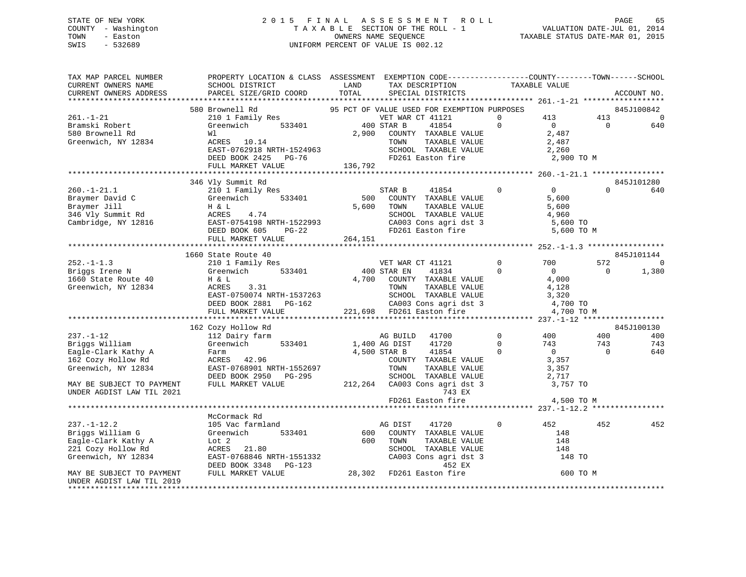## STATE OF NEW YORK 2 0 1 5 F I N A L A S S E S S M E N T R O L L PAGE 65 COUNTY - Washington T A X A B L E SECTION OF THE ROLL - 1 VALUATION DATE-JUL 01, 2014 TOWN - Easton COMPUTERS NAME SEQUENCE TAXABLE STATUS DATE-MAR 01, 2015<br>SWIS - 532689 SWIS - 532689 UNIFORM PERCENT OF VALUE IS 002.12

| TAX MAP PARCEL NUMBER<br>CURRENT OWNERS NAME<br>CURRENT OWNERS ADDRESS                                    | PROPERTY LOCATION & CLASS ASSESSMENT EXEMPTION CODE---------------COUNTY-------TOWN-----SCHOOL<br>SCHOOL DISTRICT<br>PARCEL SIZE/GRID COORD TOTAL                                                                                                                    | LAND         | TAX DESCRIPTION<br>SPECIAL DISTRICTS                                     | TAXABLE VALUE        |                                                                    |                | ACCOUNT NO.                   |
|-----------------------------------------------------------------------------------------------------------|----------------------------------------------------------------------------------------------------------------------------------------------------------------------------------------------------------------------------------------------------------------------|--------------|--------------------------------------------------------------------------|----------------------|--------------------------------------------------------------------|----------------|-------------------------------|
|                                                                                                           |                                                                                                                                                                                                                                                                      |              |                                                                          |                      |                                                                    |                |                               |
| $261. - 1 - 21$<br>Bramski Robert                                                                         | 580 Brownell Rd<br>210 1 Family Res<br>Greenwich 533401 400 STAR B                                                                                                                                                                                                   |              | 95 PCT OF VALUE USED FOR EXEMPTION PURPOSES<br>VET WAR CT 41121<br>41854 | $\Omega$<br>$\Omega$ | 413 413                                                            | $\overline{0}$ | 845J100842<br>$\Omega$<br>640 |
| 580 Brownell Rd<br>Greenwich, NY 12834                                                                    | Wl<br>ACRES 10.14<br>ACRES 10.14<br>EAST-0762918 NRTH-1524963 SCHOOL TAXABLE VALUE 2,260<br>DEED BOOK 2425 PG-76 FD261 Easton fire 2,900 TO M<br>FULL MARKET VALUE 136,792                                                                                           | 2,900        | COUNTY TAXABLE VALUE<br>TOWN<br>TAXABLE VALUE                            |                      | $\begin{smallmatrix}0\0\2\,487\end{smallmatrix}$<br>2,487<br>2,260 |                |                               |
|                                                                                                           |                                                                                                                                                                                                                                                                      |              |                                                                          |                      |                                                                    |                |                               |
|                                                                                                           | 346 Vly Summit Rd                                                                                                                                                                                                                                                    |              |                                                                          |                      |                                                                    |                | 845J101280                    |
| $260. - 1 - 21.1$                                                                                         | 210 1 Family Res<br>Example and C<br>Braymer David C<br>Braymer Jill H & L<br>346 Vly Summit Rd ACRES 4.74<br>Cambridge, NY 12816 EAST-0754198 NRTH-1522993 CA003 Cons agri dst 3 5,600 TO M<br>THE ROOK 605 PG-22<br>THE ROOK 605 PG-22<br>CALL TRISPERS CADO C     | STAR B       | $\sim$ 0<br>41854                                                        |                      | $\overline{0}$                                                     | $\Omega$       | 640                           |
|                                                                                                           |                                                                                                                                                                                                                                                                      |              |                                                                          |                      |                                                                    |                |                               |
|                                                                                                           | 1660 State Route 40                                                                                                                                                                                                                                                  |              |                                                                          |                      |                                                                    |                | 845J101144                    |
| $252. -1 - 1.3$                                                                                           |                                                                                                                                                                                                                                                                      |              | VET WAR CT 41121                                                         | $\overline{0}$       | 700                                                                | 572            | $\mathbf 0$                   |
| Briggs Irene N<br>1660 State Route 40<br>Greenwich, NY 12834                                              | H & L<br>ACRES<br>3.31<br>ACRES 3.31<br>EAST-0750074 NRTH-1537263<br>DEED BOOK 2881 PG-162<br>FULL MARKET VALUE 221,698 FD261 Easton fire 4,700 TO<br>FULL MARKET VALUE 221,698 FD261 Easton fire 4,700 TO                                                           |              | 41834<br>4,700 COUNTY TAXABLE VALUE<br>TOWN<br>TAXABLE VALUE             | $\Omega$             | $\overline{0}$<br>4,000<br>4,128<br>3,320                          | $\overline{0}$ | 1,380                         |
|                                                                                                           |                                                                                                                                                                                                                                                                      |              |                                                                          |                      | 4,700 TO M                                                         |                |                               |
|                                                                                                           |                                                                                                                                                                                                                                                                      |              |                                                                          |                      |                                                                    |                |                               |
|                                                                                                           | 162 Cozy Hollow Rd                                                                                                                                                                                                                                                   |              |                                                                          | $0\qquad \qquad 400$ |                                                                    | 400            | 845J100130<br>400             |
| $237. - 1 - 12$<br>Briggs William                                                                         | 112 Dairy farm<br>Greenwich 533401 1,400 AG DIST                                                                                                                                                                                                                     |              | AG BUILD 41700<br>41720                                                  | $\overline{0}$       | 743                                                                | 743            | 743                           |
| Eagle-Clark Kathy A                                                                                       |                                                                                                                                                                                                                                                                      | 4,500 STAR B | 41854                                                                    | $\overline{0}$       | $\overline{0}$                                                     | $\overline{0}$ | 640                           |
| 162 Cozy Hollow Rd<br>Greenwich, NY 12834                                                                 | Farm<br>ACRES      42.96<br>EAST-0768901 NRTH-1552697<br>DEED BOOK 2950 PG-295 SCHOOL TAXABLE VALUE<br>FULL MARKET VALUE 212,264 CA003 Cons agri dst 3                                                                                                               |              | COUNTY TAXABLE VALUE<br>TOWN<br>TAXABLE VALUE                            |                      | 3,357<br>3,357<br>2,717                                            |                |                               |
| MAY BE SUBJECT TO PAYMENT                                                                                 |                                                                                                                                                                                                                                                                      |              |                                                                          |                      | 3,757 TO                                                           |                |                               |
| UNDER AGDIST LAW TIL 2021                                                                                 |                                                                                                                                                                                                                                                                      |              | 743 EX<br>$FD261$ Easton fire $4,500$ TO M                               |                      |                                                                    |                |                               |
|                                                                                                           |                                                                                                                                                                                                                                                                      |              |                                                                          |                      |                                                                    |                |                               |
|                                                                                                           | McCormack Rd                                                                                                                                                                                                                                                         |              |                                                                          |                      |                                                                    |                |                               |
| $237. - 1 - 12.2$<br>Briggs William G<br>Eagle-Clark Kathy A<br>221 Cozy Hollow Rd<br>Greenwich, NY 12834 | 105 Vac farmland<br>Greenwich<br>533401<br>Lot 2<br>ACRES 21.80 SCHOOL TAXABLE VALUE 148<br>EAST-0768846 NRTH-1551332 CA003 Cons agri dst 3 148 TO<br>DEED BOOK 3348 PG-123 28,302 FD261 Easton fire 600 TO M<br>FULL MARKET VALUE 28,302 FD261 Easton fire 600 TO M | 600 TOWN     | AG DIST<br>41720<br>600 COUNTY TAXABLE VALUE<br>TAXABLE VALUE            | $\mathbf{0}$         | 452<br>148<br>148                                                  | 452            | 452                           |
| MAY BE SUBJECT TO PAYMENT<br>UNDER AGDIST LAW TIL 2019<br>*********************                           |                                                                                                                                                                                                                                                                      |              |                                                                          |                      |                                                                    |                |                               |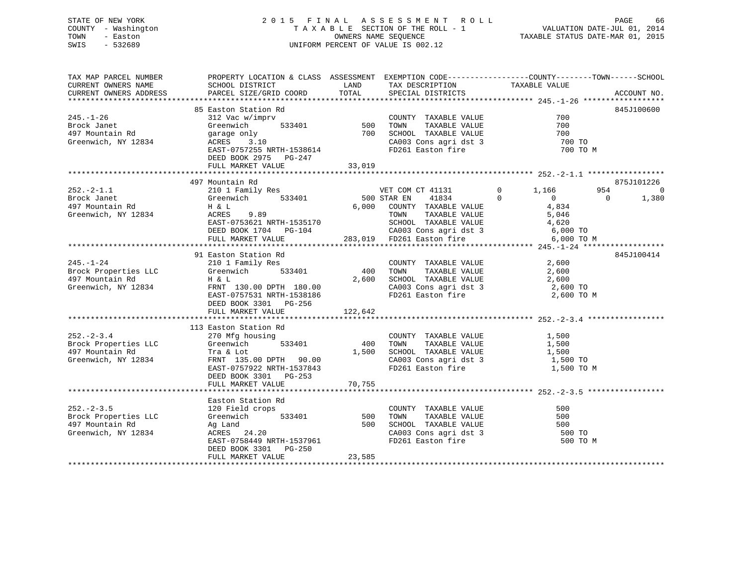# STATE OF NEW YORK 66 CONTROLL STATE OF NEW YORK 66 CONTROLL STATE OF NEW YORK 66 CONTROLL STATE OF NEW YORK 66 COUNTY - Washington  $T A X A B L E$  SECTION OF THE ROLL - 1<br>TOWN - Easton DATE-JUL 2012 OWNERS NAME SEQUENCE SWIS - 532689 UNIFORM PERCENT OF VALUE IS 002.12

| TAX MAP PARCEL NUMBER | PROPERTY LOCATION & CLASS ASSESSMENT EXEMPTION CODE---------------COUNTY-------TOWN------SCHOOL                                                                                                                                        |        |                                                                                                                                                                                                                        |                                            |                         |
|-----------------------|----------------------------------------------------------------------------------------------------------------------------------------------------------------------------------------------------------------------------------------|--------|------------------------------------------------------------------------------------------------------------------------------------------------------------------------------------------------------------------------|--------------------------------------------|-------------------------|
| CURRENT OWNERS NAME   | SCHOOL DISTRICT                                                                                                                                                                                                                        | LAND   | TAX DESCRIPTION                                                                                                                                                                                                        | TAXABLE VALUE                              |                         |
|                       |                                                                                                                                                                                                                                        |        | SPECIAL DISTRICTS                                                                                                                                                                                                      |                                            | ACCOUNT NO.             |
|                       |                                                                                                                                                                                                                                        |        |                                                                                                                                                                                                                        |                                            |                         |
|                       | 85 Easton Station Rd                                                                                                                                                                                                                   |        |                                                                                                                                                                                                                        |                                            | 845J100600              |
| $245. -1 - 26$        | 85 Easton Station Rd<br>312 Vac w/imprv<br>Greenwich 533401 500 TOWN TAXABLE VALUE 700<br>9arage only 700 SCHOOL TAXABLE VALUE 700<br>ACRES 3.10 CA003 Cons agri dst 3 700 TO<br>FARE-1757255 NRTH-1538614 FD261 Easton fire 700 TO    |        |                                                                                                                                                                                                                        |                                            |                         |
| Brock Janet           |                                                                                                                                                                                                                                        |        |                                                                                                                                                                                                                        |                                            |                         |
| 497 Mountain Rd       |                                                                                                                                                                                                                                        |        |                                                                                                                                                                                                                        |                                            |                         |
| Greenwich, NY 12834   |                                                                                                                                                                                                                                        |        |                                                                                                                                                                                                                        |                                            |                         |
|                       |                                                                                                                                                                                                                                        |        |                                                                                                                                                                                                                        | 700 TO M                                   |                         |
|                       | DEED BOOK 2975 PG-247                                                                                                                                                                                                                  |        |                                                                                                                                                                                                                        |                                            |                         |
|                       | FULL MARKET VALUE                                                                                                                                                                                                                      | 33,019 |                                                                                                                                                                                                                        |                                            |                         |
|                       |                                                                                                                                                                                                                                        |        |                                                                                                                                                                                                                        |                                            |                         |
|                       | 497 Mountain Rd                                                                                                                                                                                                                        |        |                                                                                                                                                                                                                        |                                            | 875J101226              |
|                       |                                                                                                                                                                                                                                        |        |                                                                                                                                                                                                                        | 954                                        | - 0                     |
|                       |                                                                                                                                                                                                                                        |        |                                                                                                                                                                                                                        |                                            | $\overline{0}$<br>1,380 |
|                       |                                                                                                                                                                                                                                        |        |                                                                                                                                                                                                                        |                                            |                         |
|                       |                                                                                                                                                                                                                                        |        |                                                                                                                                                                                                                        |                                            |                         |
|                       |                                                                                                                                                                                                                                        |        |                                                                                                                                                                                                                        |                                            |                         |
|                       |                                                                                                                                                                                                                                        |        |                                                                                                                                                                                                                        |                                            |                         |
|                       |                                                                                                                                                                                                                                        |        |                                                                                                                                                                                                                        |                                            |                         |
|                       | EAST-0753621 NRTH-1535170<br>DEED BOOK 1704 PG-104 283,019 FD261 Easton fire 6,000 TO M<br>FULL MARKET VALUE 283,019 FD261 Easton fire 6,000 TO M                                                                                      |        |                                                                                                                                                                                                                        |                                            |                         |
|                       |                                                                                                                                                                                                                                        |        |                                                                                                                                                                                                                        |                                            |                         |
| $245. - 1 - 24$       | 91 Easton Station Rd                                                                                                                                                                                                                   |        |                                                                                                                                                                                                                        |                                            | 845J100414              |
|                       | 210 1 Family Res                                                                                                                                                                                                                       |        | $\begin{tabular}{lllllllllll} \multicolumn{2}{c}{\text{COUNTY}} & \text{TAXABLE} & \text{VALUE} & & \text{2,600} \\ \multicolumn{2}{c}{\text{TOWN}} & \text{TAXABLE} & \text{VALUE} & & \text{2,600} \\ \end{tabular}$ |                                            |                         |
|                       |                                                                                                                                                                                                                                        |        |                                                                                                                                                                                                                        |                                            |                         |
|                       |                                                                                                                                                                                                                                        |        | $2,600 \t\t\t \text{SCHOOL} \t\t\t TAXABLE VALUE \t\t\t 2,600 \t\t\t 2,600 \t\t\t TO$                                                                                                                                  |                                            |                         |
|                       |                                                                                                                                                                                                                                        |        |                                                                                                                                                                                                                        |                                            |                         |
|                       |                                                                                                                                                                                                                                        |        | FD261 Easton fire                                                                                                                                                                                                      | 2,600 TO M                                 |                         |
|                       | 245.-1-24 210 1 Family Res<br>Brock Properties LLC Greenwich 533401 400<br>497 Mountain Rd H & L 2,600<br>Greenwich, NY 12834 FRNT 130.00 DPTH 180.00<br>EAST-0757531 NRTH-1538186<br>DEED BOOK 3301 PG-256                            |        |                                                                                                                                                                                                                        |                                            |                         |
|                       |                                                                                                                                                                                                                                        |        |                                                                                                                                                                                                                        |                                            |                         |
|                       |                                                                                                                                                                                                                                        |        |                                                                                                                                                                                                                        |                                            |                         |
|                       | 113 Easton Station Rd                                                                                                                                                                                                                  |        |                                                                                                                                                                                                                        |                                            |                         |
| $252 - 2 - 3.4$       | 270 Mfg housing                                                                                                                                                                                                                        |        | COUNTY TAXABLE VALUE                                                                                                                                                                                                   | 1,500                                      |                         |
|                       |                                                                                                                                                                                                                                        |        |                                                                                                                                                                                                                        | TAXABLE VALUE 1,500<br>TAXABLE VALUE 1,500 |                         |
|                       |                                                                                                                                                                                                                                        |        |                                                                                                                                                                                                                        |                                            |                         |
|                       | Example 1533401 And TAXABLE VALUE<br>Brock Properties LLC Greenwich 533401 400 TOWN TAXABLE VALUE<br>497 Mountain Rd Tra & Lot 1,500 SCHOOL TAXABLE VALUE<br>Greenwich, NY 12834 FRNT 135.00 DPTH 90.00 CA003 Cons agri dst 3<br>EAST- |        | CA003 Cons agri dst 3 1,500 TO                                                                                                                                                                                         |                                            |                         |
|                       |                                                                                                                                                                                                                                        |        |                                                                                                                                                                                                                        | 1,500 TO M                                 |                         |
|                       | DEED BOOK 3301 PG-253                                                                                                                                                                                                                  |        |                                                                                                                                                                                                                        |                                            |                         |
|                       |                                                                                                                                                                                                                                        |        |                                                                                                                                                                                                                        |                                            |                         |
|                       |                                                                                                                                                                                                                                        |        |                                                                                                                                                                                                                        |                                            |                         |
|                       | Easton Station Rd                                                                                                                                                                                                                      |        |                                                                                                                                                                                                                        |                                            |                         |
|                       |                                                                                                                                                                                                                                        |        | COUNTY TAXABLE VALUE                                                                                                                                                                                                   | 500                                        |                         |
|                       | 252.-2-3.5 (2000)<br>Brock Properties LLC (2000) Steenwich (2000) Steenwich (2000) Steenwich (2000) SCHOOL TAXABLE VALUE<br>297 Mountain Rd (2001) Ag Land (2000) SCHOOL TAXABLE VALUE                                                 |        |                                                                                                                                                                                                                        | 500                                        |                         |
|                       |                                                                                                                                                                                                                                        |        |                                                                                                                                                                                                                        | 500                                        |                         |
| Greenwich, NY 12834   |                                                                                                                                                                                                                                        |        |                                                                                                                                                                                                                        | 500 TO                                     |                         |
|                       | ACRES 24.20<br>EAST-0758449 NRTH-1537961                                                                                                                                                                                               |        | CA003 Cons agri dst 3<br>FD261 Easton fire                                                                                                                                                                             | 500 TO M                                   |                         |
|                       | DEED BOOK 3301 PG-250                                                                                                                                                                                                                  |        |                                                                                                                                                                                                                        |                                            |                         |
|                       |                                                                                                                                                                                                                                        |        |                                                                                                                                                                                                                        |                                            |                         |
|                       |                                                                                                                                                                                                                                        |        |                                                                                                                                                                                                                        |                                            |                         |
|                       |                                                                                                                                                                                                                                        |        |                                                                                                                                                                                                                        |                                            |                         |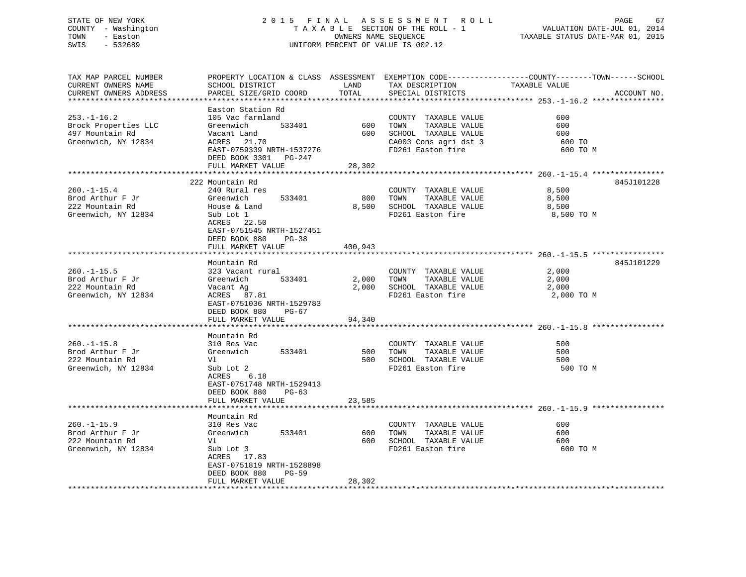## STATE OF NEW YORK 2 0 1 5 F I N A L A S S E S S M E N T R O L L PAGE 67 COUNTY - Washington T A X A B L E SECTION OF THE ROLL - 1 VALUATION DATE-JUL 01, 2014 TOWN - Easton OWNERS NAME SEQUENCE TAXABLE STATUS DATE-MAR 01, 2015 SWIS - 532689 UNIFORM PERCENT OF VALUE IS 002.12

| TAX MAP PARCEL NUMBER  |                                |         |                       | PROPERTY LOCATION & CLASS ASSESSMENT EXEMPTION CODE----------------COUNTY-------TOWN------SCHOOL |
|------------------------|--------------------------------|---------|-----------------------|--------------------------------------------------------------------------------------------------|
| CURRENT OWNERS NAME    | SCHOOL DISTRICT                | LAND    | TAX DESCRIPTION       | TAXABLE VALUE                                                                                    |
| CURRENT OWNERS ADDRESS | PARCEL SIZE/GRID COORD         | TOTAL   | SPECIAL DISTRICTS     | ACCOUNT NO.                                                                                      |
|                        |                                |         |                       |                                                                                                  |
|                        | Easton Station Rd              |         |                       |                                                                                                  |
|                        |                                |         |                       |                                                                                                  |
| $253. - 1 - 16.2$      | 105 Vac farmland               |         | COUNTY TAXABLE VALUE  | 600                                                                                              |
| Brock Properties LLC   | 533401<br>Greenwich            | 600     | TAXABLE VALUE<br>TOWN | 600                                                                                              |
| 497 Mountain Rd        | Vacant Land                    | 600     | SCHOOL TAXABLE VALUE  | 600                                                                                              |
| Greenwich, NY 12834    | ACRES 21.70                    |         | CA003 Cons agri dst 3 | 600 TO                                                                                           |
|                        | EAST-0759339 NRTH-1537276      |         | FD261 Easton fire     | 600 TO M                                                                                         |
|                        | DEED BOOK 3301 PG-247          |         |                       |                                                                                                  |
|                        | FULL MARKET VALUE              | 28,302  |                       |                                                                                                  |
|                        | ****************************** |         |                       |                                                                                                  |
|                        |                                |         |                       |                                                                                                  |
|                        | 222 Mountain Rd                |         |                       | 845J101228                                                                                       |
| $260. - 1 - 15.4$      | 240 Rural res                  |         | COUNTY TAXABLE VALUE  | 8,500                                                                                            |
| Brod Arthur F Jr       | 533401<br>Greenwich            | 800     | TAXABLE VALUE<br>TOWN | 8,500                                                                                            |
| 222 Mountain Rd        | House & Land                   | 8,500   | SCHOOL TAXABLE VALUE  | 8,500                                                                                            |
| Greenwich, NY 12834    | Sub Lot 1                      |         | FD261 Easton fire     | 8,500 TO M                                                                                       |
|                        | ACRES 22.50                    |         |                       |                                                                                                  |
|                        | EAST-0751545 NRTH-1527451      |         |                       |                                                                                                  |
|                        | DEED BOOK 880<br>$PG-38$       |         |                       |                                                                                                  |
|                        | FULL MARKET VALUE              | 400,943 |                       |                                                                                                  |
|                        |                                |         |                       |                                                                                                  |
|                        |                                |         |                       |                                                                                                  |
|                        | Mountain Rd                    |         |                       | 845J101229                                                                                       |
| $260. - 1 - 15.5$      | 323 Vacant rural               |         | COUNTY TAXABLE VALUE  | 2,000                                                                                            |
| Brod Arthur F Jr       | 533401<br>Greenwich            | 2,000   | TAXABLE VALUE<br>TOWN | 2,000                                                                                            |
| 222 Mountain Rd        | Vacant Ag                      | 2,000   | SCHOOL TAXABLE VALUE  | 2,000                                                                                            |
| Greenwich, NY 12834    | ACRES 87.81                    |         | FD261 Easton fire     | 2,000 TO M                                                                                       |
|                        | EAST-0751036 NRTH-1529783      |         |                       |                                                                                                  |
|                        | DEED BOOK 880<br>PG-67         |         |                       |                                                                                                  |
|                        | FULL MARKET VALUE              | 94,340  |                       |                                                                                                  |
|                        |                                |         |                       |                                                                                                  |
|                        | Mountain Rd                    |         |                       |                                                                                                  |
|                        |                                |         |                       |                                                                                                  |
| $260. -1 - 15.8$       | 310 Res Vac                    |         | COUNTY TAXABLE VALUE  | 500                                                                                              |
| Brod Arthur F Jr       | 533401<br>Greenwich            | 500     | TOWN<br>TAXABLE VALUE | 500                                                                                              |
| 222 Mountain Rd        | Vl                             | 500     | SCHOOL TAXABLE VALUE  | 500                                                                                              |
| Greenwich, NY 12834    | Sub Lot 2                      |         | FD261 Easton fire     | 500 TO M                                                                                         |
|                        | ACRES<br>6.18                  |         |                       |                                                                                                  |
|                        | EAST-0751748 NRTH-1529413      |         |                       |                                                                                                  |
|                        | DEED BOOK 880<br>$PG-63$       |         |                       |                                                                                                  |
|                        | FULL MARKET VALUE              | 23,585  |                       |                                                                                                  |
|                        | **********************         |         |                       |                                                                                                  |
|                        | Mountain Rd                    |         |                       |                                                                                                  |
|                        |                                |         |                       |                                                                                                  |
| $260. -1 - 15.9$       | 310 Res Vac                    |         | COUNTY TAXABLE VALUE  | 600                                                                                              |
| Brod Arthur F Jr       | Greenwich<br>533401            | 600     | TAXABLE VALUE<br>TOWN | 600                                                                                              |
| 222 Mountain Rd        | Vl                             | 600     | SCHOOL TAXABLE VALUE  | 600                                                                                              |
| Greenwich, NY 12834    | Sub Lot 3                      |         | FD261 Easton fire     | 600 TO M                                                                                         |
|                        | ACRES 17.83                    |         |                       |                                                                                                  |
|                        | EAST-0751819 NRTH-1528898      |         |                       |                                                                                                  |
|                        | DEED BOOK 880<br>$PG-59$       |         |                       |                                                                                                  |
|                        | FULL MARKET VALUE              | 28,302  |                       |                                                                                                  |
|                        |                                |         |                       |                                                                                                  |
|                        |                                |         |                       |                                                                                                  |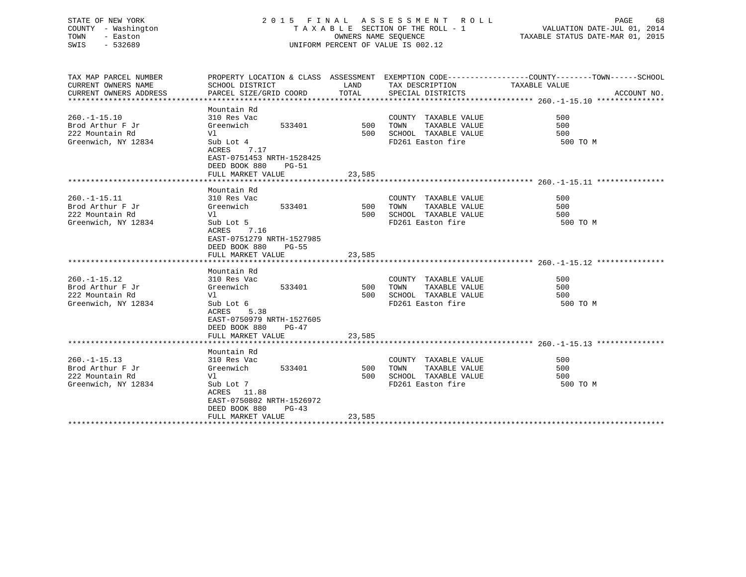## STATE OF NEW YORK 2 0 1 5 F I N A L A S S E S S M E N T R O L L PAGE 68 COUNTY - Washington T A X A B L E SECTION OF THE ROLL - 1 VALUATION DATE-JUL 01, 2014 TOWN - Easton COMPUTERS NAME SEQUENCE TAXABLE STATUS DATE-MAR 01, 2015<br>SWIS - 532689 SWIS - 532689 UNIFORM PERCENT OF VALUE IS 002.12

| TAX MAP PARCEL NUMBER<br>CURRENT OWNERS NAME<br>CURRENT OWNERS ADDRESS          | SCHOOL DISTRICT<br>PARCEL SIZE/GRID COORD                                                                                                                         | LAND<br>TOTAL        | TAX DESCRIPTION TAXABLE VALUE<br>SPECIAL DISTRICTS                                         | PROPERTY LOCATION & CLASS ASSESSMENT EXEMPTION CODE----------------COUNTY-------TOWN------SCHOOL<br>ACCOUNT NO. |
|---------------------------------------------------------------------------------|-------------------------------------------------------------------------------------------------------------------------------------------------------------------|----------------------|--------------------------------------------------------------------------------------------|-----------------------------------------------------------------------------------------------------------------|
| $260. -1 - 15.10$<br>Brod Arthur F Jr<br>222 Mountain Rd<br>Greenwich, NY 12834 | Mountain Rd<br>310 Res Vac<br>533401<br>Greenwich<br>Vl<br>Sub Lot 4<br>ACRES 7.17<br>EAST-0751453 NRTH-1528425<br>DEED BOOK 880<br>PG-51<br>FULL MARKET VALUE    | 500<br>500<br>23,585 | COUNTY TAXABLE VALUE<br>TAXABLE VALUE<br>TOWN<br>SCHOOL TAXABLE VALUE<br>FD261 Easton fire | 500<br>500<br>500<br>500 TO M                                                                                   |
|                                                                                 |                                                                                                                                                                   |                      |                                                                                            |                                                                                                                 |
| $260. -1 - 15.11$<br>Brod Arthur F Jr<br>222 Mountain Rd<br>Greenwich, NY 12834 | Mountain Rd<br>310 Res Vac<br>533401<br>Greenwich<br>Vl<br>Sub Lot 5<br>ACRES<br>7.16<br>EAST-0751279 NRTH-1527985<br>DEED BOOK 880<br><b>PG-55</b>               | 500 TOWN<br>500      | COUNTY TAXABLE VALUE<br>TAXABLE VALUE<br>SCHOOL TAXABLE VALUE<br>FD261 Easton fire         | 500<br>500<br>500<br>500 TO M                                                                                   |
|                                                                                 | FULL MARKET VALUE                                                                                                                                                 | 23,585               |                                                                                            |                                                                                                                 |
| $260. -1 - 15.12$<br>Brod Arthur F Jr<br>222 Mountain Rd<br>Greenwich, NY 12834 | Mountain Rd<br>310 Res Vac<br>533401<br>Greenwich<br>Vl<br>Sub Lot 6<br>ACRES 5.38<br>EAST-0750979 NRTH-1527605<br>DEED BOOK 880<br>PG-47<br>FULL MARKET VALUE    | 500<br>500<br>23,585 | COUNTY TAXABLE VALUE<br>TAXABLE VALUE<br>TOWN<br>SCHOOL TAXABLE VALUE<br>FD261 Easton fire | 500<br>500<br>500<br>500 TO M                                                                                   |
|                                                                                 |                                                                                                                                                                   |                      |                                                                                            |                                                                                                                 |
| $260. -1 - 15.13$<br>Brod Arthur F Jr<br>222 Mountain Rd<br>Greenwich, NY 12834 | Mountain Rd<br>310 Res Vac<br>533401<br>Greenwich<br>Vl<br>Sub Lot 7<br>ACRES 11.88<br>EAST-0750802 NRTH-1526972<br>DEED BOOK 880<br>$PG-43$<br>FULL MARKET VALUE | 500<br>500<br>23,585 | COUNTY TAXABLE VALUE<br>TOWN<br>TAXABLE VALUE<br>SCHOOL TAXABLE VALUE<br>FD261 Easton fire | 500<br>500<br>500<br>500 TO M                                                                                   |
|                                                                                 |                                                                                                                                                                   |                      |                                                                                            |                                                                                                                 |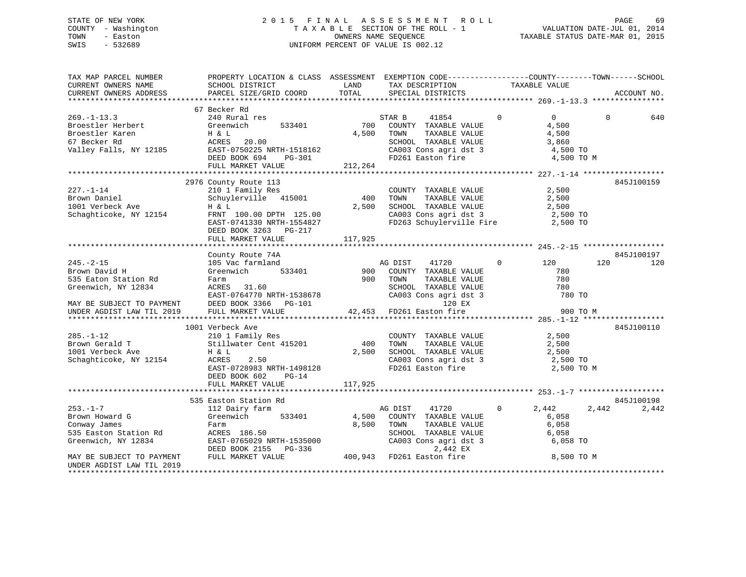## STATE OF NEW YORK 2 0 1 5 F I N A L A S S E S S M E N T R O L L PAGE 69 COUNTY - Washington T A X A B L E SECTION OF THE ROLL - 1 VALUATION DATE-JUL 01, 2014 TOWN - Easton COMPUTERS NAME SEQUENCE TAXABLE STATUS DATE-MAR 01, 2015<br>SWIS - 532689 SWIS - 532689 UNIFORM PERCENT OF VALUE IS 002.12

| TAX MAP PARCEL NUMBER<br>CURRENT OWNERS NAME<br>CURRENT OWNERS ADDRESS                                                                                                                                         | PROPERTY LOCATION & CLASS ASSESSMENT EXEMPTION CODE-----------------COUNTY-------TOWN------SCHOOL<br>SCHOOL DISTRICT<br>PARCEL SIZE/GRID COORD                                                                                                                  | LAND<br>TOTAL           | TAX DESCRIPTION TAXABLE VALUE SPECIAL DISTRICTS                                                                                                                                                           |                                                                                 |                 | ACCOUNT NO.         |
|----------------------------------------------------------------------------------------------------------------------------------------------------------------------------------------------------------------|-----------------------------------------------------------------------------------------------------------------------------------------------------------------------------------------------------------------------------------------------------------------|-------------------------|-----------------------------------------------------------------------------------------------------------------------------------------------------------------------------------------------------------|---------------------------------------------------------------------------------|-----------------|---------------------|
| $269. - 1 - 13.3$<br>Broestler Herbert<br>Broestler Herbert<br>Broestler Karen H & L<br>67 Becker Rd ACRES 20.00<br>Valley Falls, NY 12185 EAST-0750225 NRTH-1518162<br>DRED BOOK 694 PG-301                   | 67 Becker Rd<br>240 Rural res<br>533401<br>Greenwich<br>FULL MARKET VALUE                                                                                                                                                                                       | 212,264                 | STAR B<br>41854<br>700 COUNTY TAXABLE VALUE<br>4,500 TOWN<br>TAXABLE VALUE<br>SCHOOL TAXABLE VALUE 3,860<br>CA003 Cons agri dst 3<br>FD261 Easton fire                                                    | $\Omega$<br>$\overline{0}$<br>4,500<br>4,500<br>4,500 TO<br>4,500 TO M          | $\Omega$        | 640                 |
| $227. - 1 - 14$<br>Brown Daniel<br>1001 Verbeck Ave<br>Schaghticoke, NY 12154                                                                                                                                  | 2976 County Route 113<br>210 1 Family Res<br>Schuylerville 415001<br>H & L<br>FRNT 100.00 DPTH 125.00<br>EAST-0741330 NRTH-1554827<br>DEED BOOK 3263 PG-217<br>FULL MARKET VALUE                                                                                | 400<br>2,500<br>117,925 | COUNTY TAXABLE VALUE<br>TOWN<br>TAXABLE VALUE<br>SCHOOL TAXABLE VALUE 2,500<br>CA003 Cons agri dst 3 2,500 TO<br>CA003 Cons agri dst 3 2,500 TO<br>FD263 Schuylerville Fire 2,500 TO                      | 2,500<br>2,500                                                                  |                 | 845J100159          |
| $245. - 2 - 15$<br>Brown David H<br>535 Eaton Station Rd<br>Greenwich, NY 12834<br>MAY BE SUBJECT TO PAYMENT DEED BOOK 3366 PG-101<br>UNDER AGDIST LAW TIL 2019 FULL MARKET VALUE                              | County Route 74A<br>105 Vac farmland<br>$\frac{1}{2}$ mland Ave.<br>533401 900<br>Greenwich<br>Farm<br>ACRES 31.60<br>ACRES 31.60<br>EAST-0764770 NRTH-1538678 CA003 Cons agri ds<br>DEED BOOK 3366 PG-101 120 EX<br>FULL MARKET VALUE 42,453 FD261 Easton fire |                         | AG DIST<br>900 TOWN<br>DIST<br>TOWNT TAXABLE VALUE<br>TOWN TAXABLE VALUE<br>SCHOOL TAXABLE VALUE<br>CA003 Cons agri dst 3<br>120 EX<br>fire                                                               | 120<br>780<br>780<br>780<br>780 TO                                              | 120<br>900 TO M | 845J100197<br>120   |
| 285.-1-12<br>Brown Gerald T<br>1001 Verbeck Ave H & L<br>H & L<br>Schaghticoke, NY 12154                                                                                                                       | 1001 Verbeck Ave<br>2.50<br>ACRES<br>EAST-0728983 NRTH-1498128<br>DEED BOOK 602<br>$PG-14$<br>FULL MARKET VALUE                                                                                                                                                 | 2,500<br>117,925        | COUNTY TAXABLE VALUE 2,500<br>TOWN TAXABLE VALUE 2,500<br>SCHOOL TAXABLE VALUE 2,500<br>2,500<br>CLOCA Cars against 2 2,500<br>400 TOWN<br>CA003 Cons agri dst 3 2,500 TO<br>FD261 Easton fire 2,500 TO M | 2,500                                                                           |                 | 845J100110          |
| $253. - 1 - 7$<br>Brown Howard G<br>Conway James<br>535 Easton Station Rd<br>535 Easton Station Rd<br>Greenwich, NY 12834<br>MAY BE SUBJECT TO PAYMENT<br>UNDER AGDIST LAW TIL 2019<br>*********************** | 535 Easton Station Rd<br>112 Dairy farm<br>Greenwich 533401<br>Farm<br>ACRES 186.50<br>EAST-0765029 NRTH-1535000<br>DEED BOOK 2155 PG-336 2,442 EX<br>FULL MARKET VALUE 400,943 FD261 Easton fire                                                               | 8,500                   | AG DIST<br>41720<br>4,500 COUNTY TAXABLE VALUE<br>TOWN TAXABLE VALUE<br>SCHOOL TAXABLE VALUE<br>CA003 Cons agri dst 3<br>2442 EX                                                                          | $0 \qquad \qquad$<br>2,442<br>6,058<br>6,058<br>6,058<br>6,058 TO<br>8,500 TO M | 2,442           | 845J100198<br>2,442 |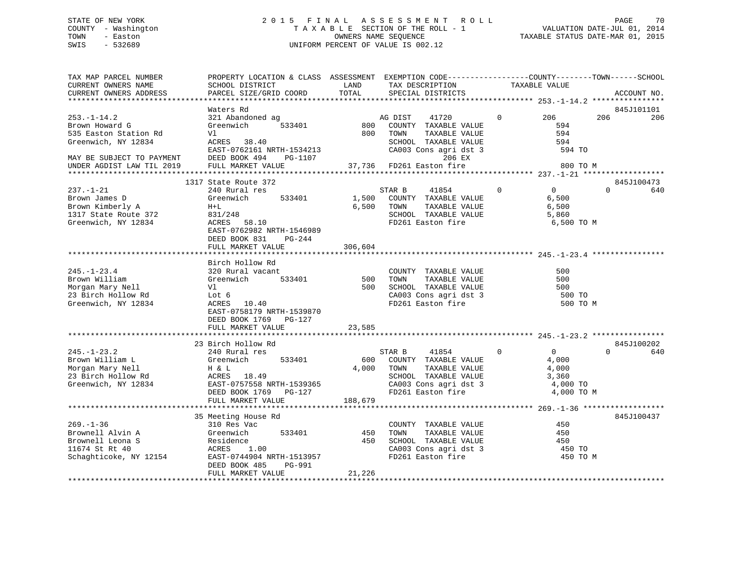## STATE OF NEW YORK 2 0 1 5 F I N A L A S S E S S M E N T R O L L PAGE 70 COUNTY - Washington T A X A B L E SECTION OF THE ROLL - 1 VALUATION DATE-JUL 01, 2014 TOWN - Easton CONNERS NAME SEQUENCE TAXABLE STATUS DATE-MAR 01, 2015<br>SWIS - 532689 SWIS - 532689 UNIFORM PERCENT OF VALUE IS 002.12

| TAX MAP PARCEL NUMBER           |                           |         | PROPERTY LOCATION & CLASS ASSESSMENT EXEMPTION CODE----------------COUNTY-------TOWN------SCHOOL |              |                |             |     |
|---------------------------------|---------------------------|---------|--------------------------------------------------------------------------------------------------|--------------|----------------|-------------|-----|
| CURRENT OWNERS NAME             | SCHOOL DISTRICT           | LAND    | TAX DESCRIPTION                                                                                  |              | TAXABLE VALUE  |             |     |
| CURRENT OWNERS ADDRESS          | PARCEL SIZE/GRID COORD    | TOTAL   | SPECIAL DISTRICTS                                                                                |              |                | ACCOUNT NO. |     |
|                                 |                           |         |                                                                                                  |              |                |             |     |
| Waters Rd                       |                           |         |                                                                                                  |              |                | 845J101101  |     |
| $253. - 1 - 14.2$               | 321 Abandoned ag          |         | AG DIST<br>41720                                                                                 | $\mathbf{0}$ | 206            | 206         | 206 |
| Brown Howard G                  | Greenwich<br>533401       | 800     | COUNTY TAXABLE VALUE                                                                             |              | 594            |             |     |
| 535 Easton Station Rd<br>Vl     |                           | 800     | TOWN<br>TAXABLE VALUE                                                                            |              | 594            |             |     |
| Greenwich, NY 12834             | ACRES 38.40               |         | SCHOOL TAXABLE VALUE                                                                             |              | 594            |             |     |
|                                 | EAST-0762161 NRTH-1534213 |         | CA003 Cons agri dst 3                                                                            |              | 594 TO         |             |     |
| MAY BE SUBJECT TO PAYMENT       | DEED BOOK 494<br>PG-1107  |         | 206 EX                                                                                           |              |                |             |     |
| UNDER AGDIST LAW TIL 2019       | FULL MARKET VALUE         |         | 37,736 FD261 Easton fire                                                                         |              | 800 TO M       |             |     |
|                                 |                           |         |                                                                                                  |              |                |             |     |
|                                 | 1317 State Route 372      |         |                                                                                                  |              |                | 845J100473  |     |
| $237. - 1 - 21$                 | 240 Rural res             |         | STAR B<br>41854                                                                                  | $\mathbf 0$  | $\overline{0}$ | $\Omega$    | 640 |
| Brown James D<br>Greenwich      | 533401                    | 1,500   | COUNTY TAXABLE VALUE                                                                             |              | 6,500          |             |     |
| Brown Kimberly A<br>$H+L$       |                           | 6,500   | TAXABLE VALUE<br>TOWN                                                                            |              | 6,500          |             |     |
| 1317 State Route 372<br>831/248 |                           |         | SCHOOL TAXABLE VALUE                                                                             |              | 5,860          |             |     |
| Greenwich, NY 12834             | ACRES 58.10               |         | FD261 Easton fire                                                                                |              | 6,500 TO M     |             |     |
|                                 | EAST-0762982 NRTH-1546989 |         |                                                                                                  |              |                |             |     |
|                                 | DEED BOOK 831<br>PG-244   |         |                                                                                                  |              |                |             |     |
|                                 | FULL MARKET VALUE         | 306,604 |                                                                                                  |              |                |             |     |
|                                 |                           |         |                                                                                                  |              |                |             |     |
|                                 | Birch Hollow Rd           |         |                                                                                                  |              |                |             |     |
| $245. - 1 - 23.4$               | 320 Rural vacant          |         | COUNTY TAXABLE VALUE                                                                             |              | 500            |             |     |
| Greenwich                       | 533401                    |         | TAXABLE VALUE<br>TOWN                                                                            |              | 500            |             |     |
| Brown William                   |                           | 500     |                                                                                                  |              |                |             |     |
| Morgan Mary Nell<br>Vl          |                           | 500     | SCHOOL TAXABLE VALUE                                                                             |              | 500            |             |     |
| 23 Birch Hollow Rd<br>Lot 6     |                           |         | CA003 Cons agri dst 3                                                                            |              | 500 TO         |             |     |
| Greenwich, NY 12834             | ACRES 10.40               |         | FD261 Easton fire                                                                                |              | 500 TO M       |             |     |
|                                 | EAST-0758179 NRTH-1539870 |         |                                                                                                  |              |                |             |     |
|                                 | DEED BOOK 1769 PG-127     |         |                                                                                                  |              |                |             |     |
|                                 | FULL MARKET VALUE         | 23,585  |                                                                                                  |              |                |             |     |
|                                 |                           |         |                                                                                                  |              |                |             |     |
|                                 | 23 Birch Hollow Rd        |         |                                                                                                  |              |                | 845J100202  |     |
| $245. - 1 - 23.2$               | 240 Rural res             |         | STAR B<br>41854                                                                                  | $\Omega$     | $\overline{0}$ | $\Omega$    | 640 |
| Brown William L<br>Greenwich    | 533401                    |         | 600 COUNTY TAXABLE VALUE                                                                         |              | 4,000          |             |     |
| Morgan Mary Nell<br>H & L       |                           |         | 4,000 TOWN<br>TAXABLE VALUE                                                                      |              | 4,000          |             |     |
| 23 Birch Hollow Rd              | ACRES 18.49               |         | SCHOOL TAXABLE VALUE                                                                             |              | 3,360          |             |     |
| Greenwich, NY 12834             | EAST-0757558 NRTH-1539365 |         | CA003 Cons agri dst 3                                                                            |              | 4,000 TO       |             |     |
|                                 | DEED BOOK 1769 PG-127     |         | FD261 Easton fire                                                                                |              | 4,000 TO M     |             |     |
|                                 | FULL MARKET VALUE         | 188,679 |                                                                                                  |              |                |             |     |
|                                 |                           |         |                                                                                                  |              |                |             |     |
|                                 | 35 Meeting House Rd       |         |                                                                                                  |              |                | 845J100437  |     |
| $269. - 1 - 36$                 | 310 Res Vac               |         | COUNTY TAXABLE VALUE                                                                             |              | 450            |             |     |
| Brownell Alvin A<br>Greenwich   | 533401                    | 450     | TAXABLE VALUE<br>TOWN                                                                            |              | 450            |             |     |
| Brownell Leona S<br>Residence   |                           | 450     | SCHOOL TAXABLE VALUE                                                                             |              | 450            |             |     |
| 11674 St Rt 40<br>ACRES         | 1.00                      |         | CA003 Cons agri dst 3                                                                            |              | 450 TO         |             |     |
| Schaghticoke, NY 12154          | EAST-0744904 NRTH-1513957 |         | FD261 Easton fire                                                                                |              | 450 TO M       |             |     |
|                                 | DEED BOOK 485<br>PG-991   |         |                                                                                                  |              |                |             |     |
|                                 | FULL MARKET VALUE         | 21,226  |                                                                                                  |              |                |             |     |
|                                 |                           |         |                                                                                                  |              |                |             |     |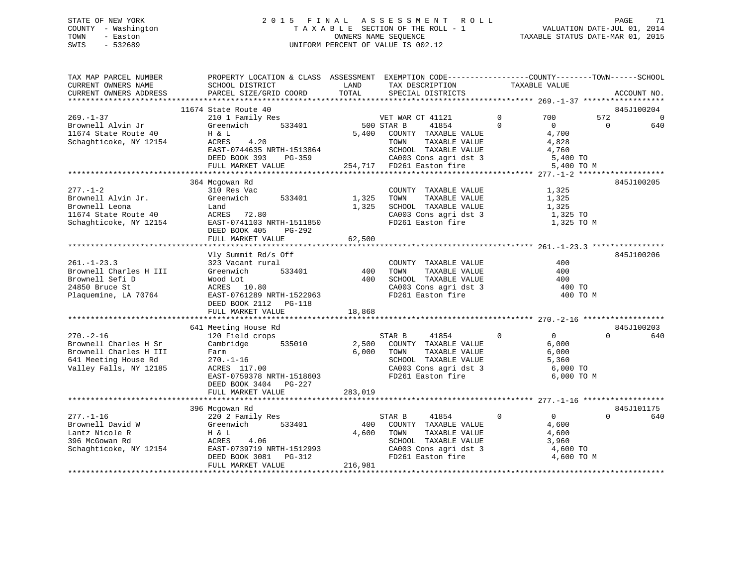## STATE OF NEW YORK 2 0 1 5 F I N A L A S S E S S M E N T R O L L PAGE 71 COUNTY - Washington T A X A B L E SECTION OF THE ROLL - 1 VALUATION DATE-JUL 01, 2014 TOWN - Easton CONNERS NAME SEQUENCE TAXABLE STATUS DATE-MAR 01, 2015<br>SWIS - 532689 SWIS - 532689 UNIFORM PERCENT OF VALUE IS 002.12

| TAX MAP PARCEL NUMBER<br>CURRENT OWNERS NAME<br>CURRENT OWNERS ADDRESS | PROPERTY LOCATION & CLASS ASSESSMENT<br>SCHOOL DISTRICT<br>PARCEL SIZE/GRID COORD | LAND<br>TOTAL | EXEMPTION CODE----------------COUNTY-------TOWN------SCHOOL<br>TAX DESCRIPTION<br>SPECIAL DISTRICTS | TAXABLE VALUE                     | ACCOUNT NO.                       |
|------------------------------------------------------------------------|-----------------------------------------------------------------------------------|---------------|-----------------------------------------------------------------------------------------------------|-----------------------------------|-----------------------------------|
|                                                                        |                                                                                   |               |                                                                                                     |                                   |                                   |
| $269. - 1 - 37$                                                        | 11674 State Route 40                                                              |               |                                                                                                     | $\mathbf 0$<br>700                | 845J100204<br>572                 |
| Brownell Alvin Jr                                                      | 210 1 Family Res<br>Greenwich<br>533401                                           |               | VET WAR CT 41121<br>500 STAR B<br>41854                                                             | $\Omega$<br>$\overline{0}$        | $\overline{0}$<br>$\Omega$<br>640 |
| 11674 State Route 40                                                   | H & L                                                                             | 5,400         | COUNTY TAXABLE VALUE                                                                                | 4,700                             |                                   |
| Schaghticoke, NY 12154                                                 | 4.20<br>ACRES                                                                     |               | TOWN<br>TAXABLE VALUE                                                                               | 4,828                             |                                   |
|                                                                        | EAST-0744635 NRTH-1513864                                                         |               | SCHOOL TAXABLE VALUE                                                                                | 4,760                             |                                   |
|                                                                        | DEED BOOK 393<br>PG-359                                                           |               | CA003 Cons agri dst 3                                                                               | 5,400 TO                          |                                   |
|                                                                        | FULL MARKET VALUE                                                                 |               | 254,717 FD261 Easton fire                                                                           | 5,400 TO M                        |                                   |
|                                                                        |                                                                                   |               |                                                                                                     |                                   |                                   |
|                                                                        | 364 Mcgowan Rd                                                                    |               |                                                                                                     |                                   | 845J100205                        |
| $277. - 1 - 2$                                                         | 310 Res Vac                                                                       |               | COUNTY TAXABLE VALUE                                                                                | 1,325                             |                                   |
| Brownell Alvin Jr.                                                     | Greenwich<br>533401                                                               | 1,325         | TAXABLE VALUE<br>TOWN                                                                               | 1,325                             |                                   |
| Brownell Leona                                                         | Land                                                                              | 1,325         | SCHOOL TAXABLE VALUE                                                                                | 1,325                             |                                   |
| 11674 State Route 40                                                   | ACRES 72.80                                                                       |               | CA003 Cons agri dst 3                                                                               | 1,325 TO                          |                                   |
| Schaghticoke, NY 12154                                                 | EAST-0741103 NRTH-1511850                                                         |               | FD261 Easton fire                                                                                   | 1,325 TO M                        |                                   |
|                                                                        | DEED BOOK 405<br>PG-292                                                           |               |                                                                                                     |                                   |                                   |
|                                                                        | FULL MARKET VALUE                                                                 | 62,500        |                                                                                                     |                                   |                                   |
|                                                                        |                                                                                   |               |                                                                                                     |                                   |                                   |
|                                                                        | Vly Summit Rd/s Off                                                               |               |                                                                                                     |                                   | 845J100206                        |
| $261. - 1 - 23.3$                                                      | 323 Vacant rural                                                                  |               | COUNTY TAXABLE VALUE                                                                                | 400                               |                                   |
| Brownell Charles H III                                                 | Greenwich<br>533401                                                               | 400           | TOWN<br>TAXABLE VALUE                                                                               | 400                               |                                   |
| Brownell Sefi D                                                        | Wood Lot                                                                          | 400           | SCHOOL TAXABLE VALUE                                                                                | 400                               |                                   |
| 24850 Bruce St                                                         | ACRES 10.80                                                                       |               | CA003 Cons agri dst 3                                                                               | 400 TO                            |                                   |
| Plaquemine, LA 70764                                                   | EAST-0761289 NRTH-1522963                                                         |               | FD261 Easton fire                                                                                   | 400 TO M                          |                                   |
|                                                                        | DEED BOOK 2112 PG-118                                                             |               |                                                                                                     |                                   |                                   |
|                                                                        | FULL MARKET VALUE                                                                 | 18,868        |                                                                                                     |                                   |                                   |
|                                                                        |                                                                                   |               |                                                                                                     |                                   |                                   |
|                                                                        | 641 Meeting House Rd                                                              |               |                                                                                                     |                                   | 845J100203                        |
| $270. - 2 - 16$                                                        | 120 Field crops                                                                   |               | STAR B<br>41854                                                                                     | $\mathbf 0$<br>0                  | $\Omega$<br>640                   |
| Brownell Charles H Sr                                                  | Cambridge<br>535010                                                               | 2,500         | COUNTY TAXABLE VALUE                                                                                | 6,000                             |                                   |
| Brownell Charles H III                                                 | Farm                                                                              | 6,000         | TOWN<br>TAXABLE VALUE                                                                               | 6,000                             |                                   |
| 641 Meeting House Rd                                                   | $270. - 1 - 16$                                                                   |               | SCHOOL TAXABLE VALUE                                                                                | 5,360                             |                                   |
| Valley Falls, NY 12185                                                 | ACRES 117.00                                                                      |               | CA003 Cons agri dst 3                                                                               | 6,000 TO                          |                                   |
|                                                                        | EAST-0759378 NRTH-1518603                                                         |               | FD261 Easton fire                                                                                   | 6,000 TO M                        |                                   |
|                                                                        | DEED BOOK 3404 PG-227                                                             |               |                                                                                                     |                                   |                                   |
|                                                                        | FULL MARKET VALUE                                                                 | 283,019       |                                                                                                     |                                   |                                   |
|                                                                        |                                                                                   |               |                                                                                                     |                                   |                                   |
|                                                                        | 396 Mcgowan Rd                                                                    |               |                                                                                                     |                                   | 845J101175                        |
| $277. - 1 - 16$                                                        | 220 2 Family Res                                                                  |               | 41854<br>STAR B                                                                                     | $0 \qquad \qquad$<br>$\mathbf{0}$ | $\Omega$<br>640                   |
| Brownell David W                                                       | Greenwich<br>533401                                                               | 400           | COUNTY TAXABLE VALUE                                                                                | 4,600                             |                                   |
| Lantz Nicole R                                                         | H & L                                                                             | 4,600         | TAXABLE VALUE<br>TOWN                                                                               | 4,600                             |                                   |
| 396 McGowan Rd                                                         | ACRES<br>4.06                                                                     |               | SCHOOL TAXABLE VALUE                                                                                | 3,960                             |                                   |
| Schaghticoke, NY 12154                                                 | EAST-0739719 NRTH-1512993                                                         |               | CA003 Cons agri dst 3                                                                               | 4,600 TO                          |                                   |
|                                                                        | DEED BOOK 3081<br>PG-312                                                          |               | FD261 Easton fire                                                                                   | 4,600 TO M                        |                                   |
|                                                                        | FULL MARKET VALUE                                                                 | 216,981       |                                                                                                     |                                   |                                   |
|                                                                        |                                                                                   |               |                                                                                                     |                                   |                                   |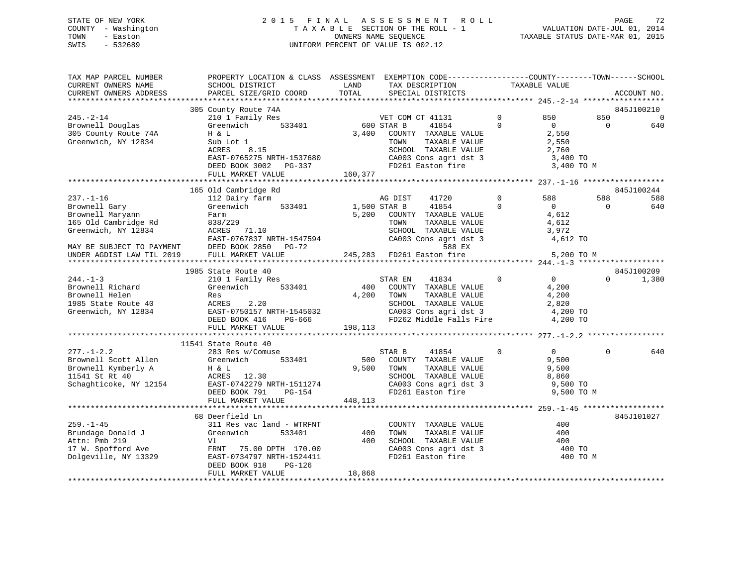## STATE OF NEW YORK 2 0 1 5 F I N A L A S S E S S M E N T R O L L PAGE 72 COUNTY - Washington T A X A B L E SECTION OF THE ROLL - 1 VALUATION DATE-JUL 01, 2014 TOWN - Easton CONNERS NAME SEQUENCE TAXABLE STATUS DATE-MAR 01, 2015<br>SWIS - 532689 SWIS - 532689 UNIFORM PERCENT OF VALUE IS 002.12

| TAX MAP PARCEL NUMBER<br>CURRENT OWNERS NAME<br>CURRENT OWNERS ADDRESS                                                                                                                                                                                                                                | PROPERTY LOCATION & CLASS ASSESSMENT EXEMPTION CODE----------------COUNTY-------TOWN------SCHOOL<br>SCHOOL DISTRICT<br>PARCEL SIZE/GRID COORD                                                                                                                               | LAND<br>TOTAL                         | TAX DESCRIPTION<br>SPECIAL DISTRICTS                                                                                                                                                                                                                                                                                                     | TAXABLE VALUE                             |                                                                                                                                            | ACCOUNT NO.                                                             |
|-------------------------------------------------------------------------------------------------------------------------------------------------------------------------------------------------------------------------------------------------------------------------------------------------------|-----------------------------------------------------------------------------------------------------------------------------------------------------------------------------------------------------------------------------------------------------------------------------|---------------------------------------|------------------------------------------------------------------------------------------------------------------------------------------------------------------------------------------------------------------------------------------------------------------------------------------------------------------------------------------|-------------------------------------------|--------------------------------------------------------------------------------------------------------------------------------------------|-------------------------------------------------------------------------|
|                                                                                                                                                                                                                                                                                                       |                                                                                                                                                                                                                                                                             |                                       |                                                                                                                                                                                                                                                                                                                                          |                                           |                                                                                                                                            |                                                                         |
|                                                                                                                                                                                                                                                                                                       | 305 County Route 74A                                                                                                                                                                                                                                                        |                                       |                                                                                                                                                                                                                                                                                                                                          |                                           |                                                                                                                                            | 845J100210                                                              |
| $245. - 2 - 14$<br>Brownell Douglas<br>305 County Route 74A<br>Greenwich, NY 12834                                                                                                                                                                                                                    | 210 1 Family Res<br>Greenwich<br>533401<br>H & L<br>Sub Lot 1<br>ACRES<br>8.15<br>EAST-0765275 NRTH-1537680                                                                                                                                                                 | VET CON<br>600 STAR B                 | VET COM CT 41131<br>41854<br>3,400 COUNTY TAXABLE VALUE<br>TAXABLE VALUE<br>TOWN<br>SCHOOL TAXABLE VALUE<br>CA003 Cons agri dst 3<br>FD261 Easton fire                                                                                                                                                                                   | $\mathbf{0}$<br>$\Omega$                  | 850<br>850<br>$\overline{0}$<br>2,550<br>2,550<br>2,760<br>3,400 TO                                                                        | 0<br>$\Omega$<br>640                                                    |
|                                                                                                                                                                                                                                                                                                       |                                                                                                                                                                                                                                                                             |                                       |                                                                                                                                                                                                                                                                                                                                          |                                           |                                                                                                                                            |                                                                         |
|                                                                                                                                                                                                                                                                                                       |                                                                                                                                                                                                                                                                             |                                       |                                                                                                                                                                                                                                                                                                                                          |                                           |                                                                                                                                            |                                                                         |
| $237. - 1 - 16$<br>Brownell Gary<br>Brownell Maryann<br>165 Old Cambridge Rd<br>Greenwich, NY 12834<br>EAST-0767837 NRTH-<br>MAY BE SUBJECT TO PAYMENT DEED BOOK 2850 I<br>UNDER AGDIST LAW TIL 2019 FULL MARKET VALUE<br>$244. - 1 - 3$<br>Brownell Richard<br>Brownell Helen<br>1985 State Route 40 | 165 Old Cambridge Rd<br>112 Dairy farm<br>Greenwich<br>533401<br>Farm<br>838/229<br>ACRES 71.10<br>EAST-0767837 NRTH-1547594<br>DEED BOOK 2850 PG-72<br>1985 State Route 40<br>210 1 Family Res<br>533401<br>Greenwich<br>Res<br>ACRES<br>2.20<br>EAST-0750157 NRTH-1545032 | 1,500 STAR B<br>5,200<br>400<br>4,200 | AG DIST<br>41720<br>41854<br>COUNTY TAXABLE VALUE<br>TOWN<br>TAXABLE VALUE<br>SCHOOL TAXABLE VALUE<br>SCHOOL TAXABLE VALUE<br>CA003 Cons agri dst 3<br>588 EX<br>245,283 FD261 Easton fire<br>STAR EN<br>41834<br>COUNTY TAXABLE VALUE<br>TOWN<br>TAXABLE VALUE<br>SCHOOL TAXABLE VALUE<br>SCHOOL TAXABLE VALUE<br>CA003 Cons agri dst 3 | $\mathbf 0$<br>$\Omega$<br>$\overline{0}$ | 588<br>588<br>$\overline{0}$<br>4,612<br>4,612<br>3,972<br>4,612 TO<br>5,200 TO M<br>$\overline{0}$<br>4,200<br>4,200<br>2,820<br>4,200 TO | 845J100244<br>588<br>640<br>$\Omega$<br>845J100209<br>1,380<br>$\Omega$ |
| Greenwich, NY 12834                                                                                                                                                                                                                                                                                   | DEED BOOK 416<br>PG-666<br>FULL MARKET VALUE 198,113                                                                                                                                                                                                                        |                                       | FD262 Middle Falls Fire                                                                                                                                                                                                                                                                                                                  |                                           | 4,200 TO                                                                                                                                   |                                                                         |
|                                                                                                                                                                                                                                                                                                       | 11541 State Route 40                                                                                                                                                                                                                                                        |                                       |                                                                                                                                                                                                                                                                                                                                          |                                           |                                                                                                                                            |                                                                         |
| $277. - 1 - 2.2$<br>Brownell Scott Allen<br>Brownell Kymberly A<br>11541 St Rt 40<br>Schaghticoke, NY 12154                                                                                                                                                                                           | 283 Res w/Comuse<br>533401<br>Greenwich<br>H & L<br>ACRES 12.30<br>EAST-0742279 NRTH-1511274<br>PG-154<br>DEED BOOK 791<br>FULL MARKET VALUE                                                                                                                                | 448,113                               | STAR B<br>41854<br>500 COUNTY TAXABLE VALUE<br>9,500 TOWN<br>TAXABLE VALUE<br>SCHOOL TAXABLE VALUE<br>CA003 Cons agri dst 3<br>The Faston fire                                                                                                                                                                                           | $\mathbf 0$                               | $\overline{0}$<br>9,500<br>9,500<br>8,860<br>9,500 TO<br>9,500 TO M                                                                        | 640<br>$\Omega$                                                         |
|                                                                                                                                                                                                                                                                                                       |                                                                                                                                                                                                                                                                             |                                       |                                                                                                                                                                                                                                                                                                                                          |                                           |                                                                                                                                            |                                                                         |
| $259. - 1 - 45$<br>Brundage Donald J<br>Attn: Pmb 219<br>Dolgeville, NY 13329                                                                                                                                                                                                                         | 68 Deerfield Ln<br>311 Res vac land - WTRFNT<br>Greenwich<br>533401<br>Vl<br>17 W. Spofford Ave FRNT 75.00 DPTH 170.00<br>EAST-0734797 NRTH-1524411<br>DEED BOOK 918<br>PG-126<br>FULL MARKET VALUE                                                                         | 400<br>400<br>18,868                  | COUNTY TAXABLE VALUE<br>TOWN<br>TAXABLE VALUE<br>SCHOOL TAXABLE VALUE<br>SCHOOL TAXABLE VALUE<br>CA003 Cons agri dst 3<br>FD261 Easton fire                                                                                                                                                                                              |                                           | 400<br>400<br>400<br>400 TO<br>400 TO M                                                                                                    | 845J101027                                                              |
|                                                                                                                                                                                                                                                                                                       |                                                                                                                                                                                                                                                                             |                                       |                                                                                                                                                                                                                                                                                                                                          |                                           |                                                                                                                                            |                                                                         |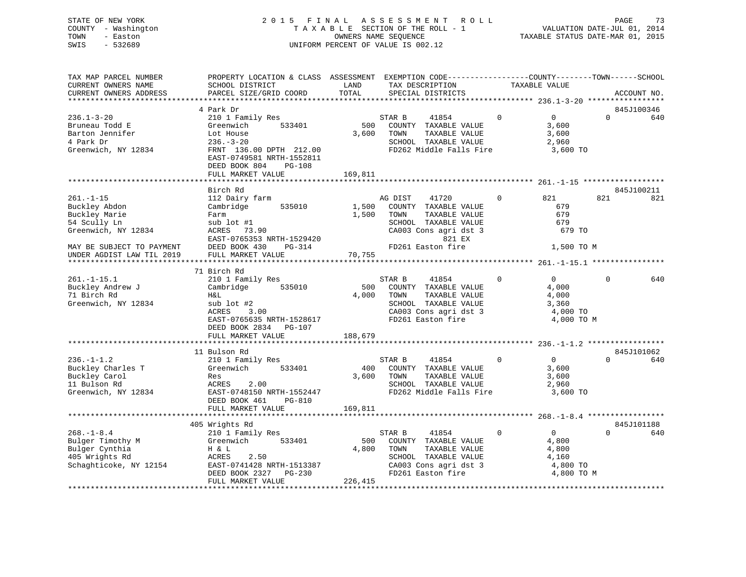### STATE OF NEW YORK 2 0 1 5 F I N A L A S S E S S M E N T R O L L PAGE 73 COUNTY - Washington T A X A B L E SECTION OF THE ROLL - 1 VALUATION DATE-JUL 01, 2014 TOWN - Easton CONNERS NAME SEQUENCE TAXABLE STATUS DATE-MAR 01, 2015<br>SWIS - 532689 SWIS - 532689 UNIFORM PERCENT OF VALUE IS 002.12

| TAX MAP PARCEL NUMBER<br>CURRENT OWNERS NAME           | PROPERTY LOCATION & CLASS ASSESSMENT EXEMPTION CODE-----------------COUNTY--------TOWN------SCHOOL<br>SCHOOL DISTRICT | LAND    | TAX DESCRIPTION                  |              | TAXABLE VALUE  |          |             |
|--------------------------------------------------------|-----------------------------------------------------------------------------------------------------------------------|---------|----------------------------------|--------------|----------------|----------|-------------|
| CURRENT OWNERS ADDRESS                                 | PARCEL SIZE/GRID COORD                                                                                                | TOTAL   | SPECIAL DISTRICTS                |              |                |          | ACCOUNT NO. |
|                                                        | 4 Park Dr                                                                                                             |         |                                  |              |                |          | 845J100346  |
| $236.1 - 3 - 20$                                       | 210 1 Family Res                                                                                                      |         | STAR B                           | $\Omega$     | $\Omega$       | $\Omega$ | 640         |
| Bruneau Todd E                                         | 533401<br>Greenwich                                                                                                   | 500     | 41854<br>COUNTY TAXABLE VALUE    |              | 3,600          |          |             |
| Barton Jennifer                                        |                                                                                                                       | 3,600   | TOWN<br>TAXABLE VALUE            |              | 3,600          |          |             |
| 4 Park Dr                                              | Lot House<br>$236. - 3 - 20$                                                                                          |         | SCHOOL TAXABLE VALUE             |              | 2,960          |          |             |
| Greenwich, NY 12834                                    |                                                                                                                       |         | FD262 Middle Falls Fire          |              | 3,600 TO       |          |             |
|                                                        | FRNT 136.00 DPTH 212.00                                                                                               |         |                                  |              |                |          |             |
|                                                        | EAST-0749581 NRTH-1552811<br>DEED BOOK 804<br><b>PG-108</b>                                                           |         |                                  |              |                |          |             |
|                                                        | FULL MARKET VALUE                                                                                                     | 169,811 |                                  |              |                |          |             |
|                                                        |                                                                                                                       |         |                                  |              |                |          |             |
|                                                        | Birch Rd                                                                                                              |         |                                  |              |                |          | 845J100211  |
| $261. - 1 - 15$                                        | 112 Dairy farm                                                                                                        |         | AG DIST<br>41720                 | $\mathbf{0}$ | 821            | 821      | 821         |
| Buckley Abdon                                          | Cambridge 535010                                                                                                      | 1,500   | COUNTY TAXABLE VALUE             |              | 679            |          |             |
| Buckley Marie                                          | Farm                                                                                                                  | 1,500   | TAXABLE VALUE<br>TOWN            |              | 679            |          |             |
| 54 Scully Ln                                           | sub lot #1                                                                                                            |         | SCHOOL TAXABLE VALUE             |              | 679            |          |             |
| Greenwich, NY 12834                                    | ACRES 73.90                                                                                                           |         | CA003 Cons agri dst 3            |              | 679 TO         |          |             |
|                                                        | EAST-0765353 NRTH-1529420                                                                                             |         | 821 EX                           |              |                |          |             |
| MAY BE SUBJECT TO PAYMENT                              | DEED BOOK 430<br>$PG-314$                                                                                             |         | مط c21<br>FD261 Easton fire      |              | 1,500 TO M     |          |             |
| MAI BE SUBJECT TO PAYMENT<br>UNDER AGDIST LAW TIL 2019 | FULL MARKET VALUE                                                                                                     | 70,755  |                                  |              |                |          |             |
|                                                        |                                                                                                                       |         |                                  |              |                |          |             |
|                                                        | 71 Birch Rd                                                                                                           |         |                                  |              |                |          |             |
| $261. - 1 - 15.1$                                      | 210 1 Family Res                                                                                                      |         | STAR B<br>41854                  | $\mathbf 0$  | $\overline{0}$ | $\Omega$ | 640         |
| Buckley Andrew J                                       | Cambridge<br>535010                                                                                                   | 500     | COUNTY TAXABLE VALUE             |              | 4,000          |          |             |
| 71 Birch Rd                                            | H&L                                                                                                                   |         | 4,000 TOWN<br>TAXABLE VALUE      |              | 4,000          |          |             |
| Greenwich, NY 12834                                    | sub lot #2                                                                                                            |         | SCHOOL TAXABLE VALUE             |              | 3,360          |          |             |
|                                                        | 3.00<br>ACRES                                                                                                         |         | CA003 Cons agri dst 3            |              | 4,000 TO       |          |             |
|                                                        | EAST-0765635 NRTH-1528617                                                                                             |         | FD261 Easton fire                |              | 4,000 TO M     |          |             |
|                                                        | DEED BOOK 2834 PG-107                                                                                                 |         |                                  |              |                |          |             |
|                                                        | FULL MARKET VALUE                                                                                                     | 188,679 |                                  |              |                |          |             |
|                                                        |                                                                                                                       |         |                                  |              |                |          |             |
|                                                        | 11 Bulson Rd                                                                                                          |         |                                  |              |                |          | 845J101062  |
| $236. - 1 - 1.2$                                       | 210 1 Family Res                                                                                                      |         | STAR B<br>41854                  | $\mathbf{0}$ | $\overline{0}$ | $\Omega$ | 640         |
| Buckley Charles T                                      | Greenwich<br>533401                                                                                                   | 400     | COUNTY TAXABLE VALUE             |              | 3,600          |          |             |
| Buckley Carol                                          | Res                                                                                                                   | 3,600   | TOWN<br>TAXABLE VALUE            |              | 3,600          |          |             |
| 11 Bulson Rd                                           | 2.00<br>ACRES                                                                                                         |         | SCHOOL TAXABLE VALUE             |              | 2,960          |          |             |
| Greenwich, NY 12834                                    | EAST-0748150 NRTH-1552447                                                                                             |         | FD262 Middle Falls Fire 3,600 TO |              |                |          |             |
|                                                        | DEED BOOK 461<br>$PG-810$                                                                                             |         |                                  |              |                |          |             |
|                                                        | FULL MARKET VALUE                                                                                                     | 169,811 |                                  |              |                |          |             |
|                                                        |                                                                                                                       |         |                                  |              |                |          |             |
|                                                        | 405 Wrights Rd                                                                                                        |         |                                  |              |                |          | 845J101188  |
| $268. - 1 - 8.4$                                       | 210 1 Family Res                                                                                                      |         | STAR B<br>41854                  | $\Omega$     | $\overline{0}$ | $\Omega$ | 640         |
| Bulger Timothy M<br>Bulger Cynthia<br>405 Wrights Rd   | Greenwich 533401                                                                                                      | 500     | COUNTY TAXABLE VALUE             |              | 4,800          |          |             |
|                                                        | H & L                                                                                                                 | 4,800   | TOWN<br>TAXABLE VALUE            |              | 4,800          |          |             |
|                                                        | 2.50<br>ACRES                                                                                                         |         | SCHOOL TAXABLE VALUE             |              | 4,160          |          |             |
| Schaghticoke, NY 12154                                 | EAST-0741428 NRTH-1513387<br>DEED BOOK 2327 PG-230                                                                    |         | CA003 Cons agri dst 3            |              | 4,800 TO       |          |             |
|                                                        |                                                                                                                       |         | FD261 Easton fire                |              | 4,800 TO M     |          |             |
|                                                        | FULL MARKET VALUE                                                                                                     | 226,415 |                                  |              |                |          |             |
|                                                        |                                                                                                                       |         |                                  |              |                |          |             |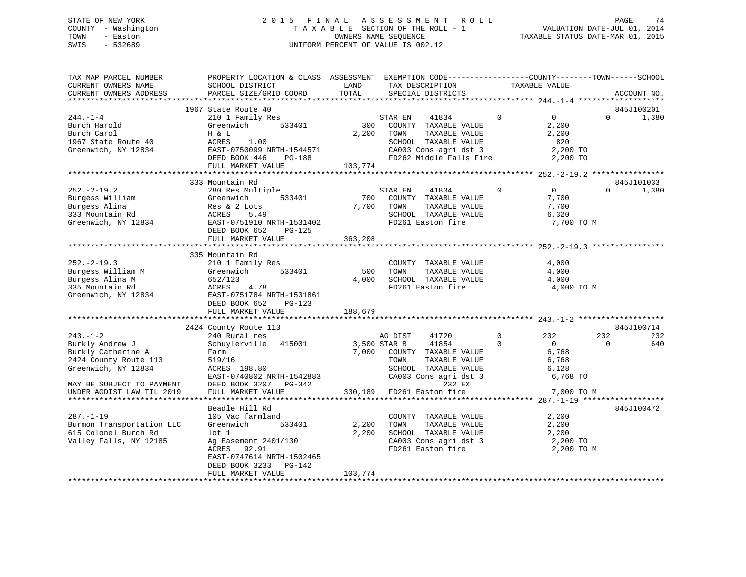## STATE OF NEW YORK 2 0 1 5 F I N A L A S S E S S M E N T R O L L PAGE 74COUNTY - Washington  $T A X A B L E$  SECTION OF THE ROLL - 1<br>TOWN - Easton DATE-JUL 000NERS NAME SEQUENCE SWIS - 532689 UNIFORM PERCENT OF VALUE IS 002.12

TAXABLE STATUS DATE-MAR 01, 2015

| TAX MAP PARCEL NUMBER     | PROPERTY LOCATION & CLASS ASSESSMENT EXEMPTION CODE---------------COUNTY-------TOWN------SCHOOL |         |                         |                                |                      |
|---------------------------|-------------------------------------------------------------------------------------------------|---------|-------------------------|--------------------------------|----------------------|
| CURRENT OWNERS NAME       | SCHOOL DISTRICT                                                                                 | LAND    | TAX DESCRIPTION         | TAXABLE VALUE                  |                      |
| CURRENT OWNERS ADDRESS    | PARCEL SIZE/GRID COORD                                                                          | TOTAL   | SPECIAL DISTRICTS       |                                | ACCOUNT NO.          |
|                           | 1967 State Route 40                                                                             |         |                         |                                | 845J100201           |
| $244. - 1 - 4$            | 210 1 Family Res                                                                                |         | 41834<br>STAR EN        | $\mathbf{0}$<br>$\overline{0}$ | $\mathbf 0$<br>1,380 |
| Burch Harold              | 533401<br>Greenwich                                                                             | 300     | COUNTY TAXABLE VALUE    | 2,200                          |                      |
| Burch Carol               | H & L                                                                                           | 2,200   | TAXABLE VALUE<br>TOWN   | 2,200                          |                      |
| 1967 State Route 40       | ACRES<br>1.00                                                                                   |         | SCHOOL TAXABLE VALUE    | 820                            |                      |
| Greenwich, NY 12834       | EAST-0750099 NRTH-1544571                                                                       |         | CA003 Cons agri dst 3   | 2,200 TO                       |                      |
|                           | PG-188<br>DEED BOOK 446                                                                         |         | FD262 Middle Falls Fire | 2,200 TO                       |                      |
|                           | FULL MARKET VALUE                                                                               | 103,774 |                         |                                |                      |
|                           |                                                                                                 |         |                         |                                |                      |
|                           | 333 Mountain Rd                                                                                 |         |                         |                                | 845J101033           |
| $252 - 2 - 19.2$          | 280 Res Multiple                                                                                |         | 41834<br>STAR EN        | $\mathbf 0$<br>$\overline{0}$  | 1,380<br>$\Omega$    |
| Burgess William           | Greenwich<br>533401                                                                             | 700     | COUNTY TAXABLE VALUE    | 7,700                          |                      |
| Burgess Alina             | Res & 2 Lots                                                                                    | 7,700   | TOWN<br>TAXABLE VALUE   | 7,700                          |                      |
| 333 Mountain Rd           | ACRES<br>5.49                                                                                   |         | SCHOOL TAXABLE VALUE    | 6,320                          |                      |
| Greenwich, NY 12834       | EAST-0751910 NRTH-1531402                                                                       |         | FD261 Easton fire       | 7,700 TO M                     |                      |
|                           | DEED BOOK 652<br>PG-125                                                                         |         |                         |                                |                      |
|                           | FULL MARKET VALUE                                                                               | 363,208 |                         |                                |                      |
|                           |                                                                                                 |         |                         |                                |                      |
|                           | 335 Mountain Rd                                                                                 |         |                         |                                |                      |
| $252 - 2 - 19.3$          | 210 1 Family Res                                                                                |         | COUNTY TAXABLE VALUE    | 4,000                          |                      |
| Burgess William M         | 533401<br>Greenwich                                                                             | 500     | TOWN<br>TAXABLE VALUE   | 4,000                          |                      |
| Burgess Alina M           | 652/123                                                                                         | 4,000   | SCHOOL TAXABLE VALUE    | 4,000                          |                      |
| 335 Mountain Rd           | 4.78<br>ACRES                                                                                   |         | FD261 Easton fire       | 4,000 TO M                     |                      |
| Greenwich, NY 12834       | EAST-0751784 NRTH-1531861                                                                       |         |                         |                                |                      |
|                           | DEED BOOK 652<br>PG-123                                                                         |         |                         |                                |                      |
|                           | FULL MARKET VALUE                                                                               | 188,679 |                         |                                |                      |
|                           |                                                                                                 |         |                         |                                |                      |
|                           | 2424 County Route 113                                                                           |         |                         |                                | 845J100714           |
| $243. - 1 - 2$            | 240 Rural res                                                                                   |         | AG DIST<br>41720        | $\Omega$<br>232                | 232<br>232           |
| Burkly Andrew J           | Schuylerville 415001                                                                            |         | 3,500 STAR B<br>41854   | $\Omega$<br>$\overline{0}$     | 0<br>640             |
| Burkly Catherine A        | Farm                                                                                            | 7,000   | COUNTY TAXABLE VALUE    | 6,768                          |                      |
| 2424 County Route 113     | 519/16                                                                                          |         | TOWN<br>TAXABLE VALUE   | 6,768                          |                      |
| Greenwich, NY 12834       | ACRES 198.80                                                                                    |         | SCHOOL TAXABLE VALUE    | 6,128                          |                      |
|                           | EAST-0740802 NRTH-1542883                                                                       |         | CA003 Cons agri dst 3   | 6,768 TO                       |                      |
| MAY BE SUBJECT TO PAYMENT | DEED BOOK 3207 PG-342                                                                           |         | 232 EX                  |                                |                      |
| UNDER AGDIST LAW TIL 2019 | FULL MARKET VALUE                                                                               | 330,189 | FD261 Easton fire       | 7,000 TO M                     |                      |
|                           |                                                                                                 |         |                         |                                |                      |
|                           | Beadle Hill Rd                                                                                  |         |                         |                                | 845J100472           |
| $287. - 1 - 19$           | 105 Vac farmland                                                                                |         | COUNTY TAXABLE VALUE    | 2,200                          |                      |
| Burmon Transportation LLC | 533401<br>Greenwich                                                                             | 2,200   | TOWN<br>TAXABLE VALUE   | 2,200                          |                      |
| 615 Colonel Burch Rd      | $1$ ot $1$                                                                                      | 2,200   | SCHOOL TAXABLE VALUE    | 2,200                          |                      |
| Valley Falls, NY 12185    | Ag Easement 2401/130                                                                            |         | CA003 Cons agri dst 3   | 2,200 TO                       |                      |
|                           | ACRES<br>92.91                                                                                  |         | FD261 Easton fire       | 2,200 TO M                     |                      |
|                           | EAST-0747614 NRTH-1502465                                                                       |         |                         |                                |                      |
|                           | DEED BOOK 3233<br>PG-142                                                                        |         |                         |                                |                      |
|                           | FULL MARKET VALUE                                                                               | 103,774 |                         |                                |                      |
|                           |                                                                                                 |         |                         |                                |                      |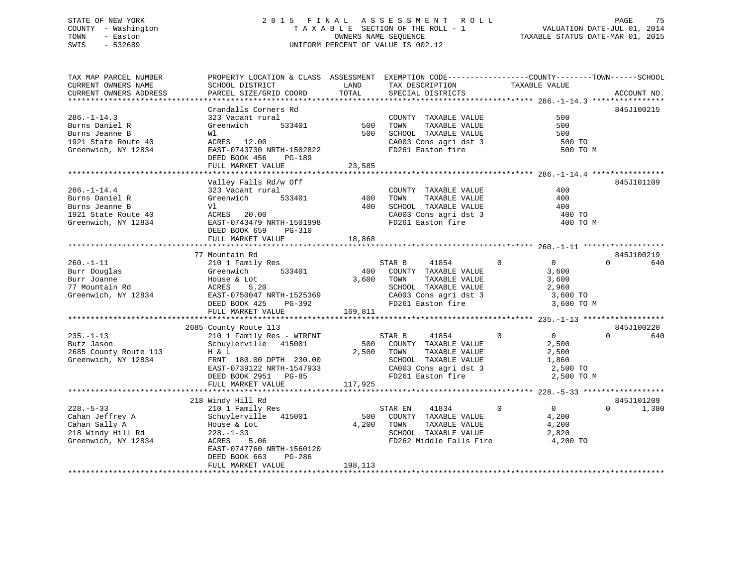### STATE OF NEW YORK 2 0 1 5 F I N A L A S S E S S M E N T R O L L PAGE 75 COUNTY - Washington T A X A B L E SECTION OF THE ROLL - 1 VALUATION DATE-JUL 01, 2014 TOWN - Easton CONNERS NAME SEQUENCE TAXABLE STATUS DATE-MAR 01, 2015<br>SWIS - 532689 SWIS - 532689 UNIFORM PERCENT OF VALUE IS 002.12

| TAX MAP PARCEL NUMBER  | PROPERTY LOCATION & CLASS ASSESSMENT EXEMPTION CODE-----------------COUNTY-------TOWN-----SCHOOL |         |                                            |                                  |                   |
|------------------------|--------------------------------------------------------------------------------------------------|---------|--------------------------------------------|----------------------------------|-------------------|
| CURRENT OWNERS NAME    | SCHOOL DISTRICT                                                                                  | LAND    | TAX DESCRIPTION                            | TAXABLE VALUE                    |                   |
| CURRENT OWNERS ADDRESS | PARCEL SIZE/GRID COORD                                                                           | TOTAL   | SPECIAL DISTRICTS                          |                                  | ACCOUNT NO.       |
|                        |                                                                                                  |         |                                            |                                  |                   |
|                        | Crandalls Corners Rd                                                                             |         |                                            |                                  | 845J100215        |
| $286. - 1 - 14.3$      | 323 Vacant rural                                                                                 |         | COUNTY TAXABLE VALUE                       | 500                              |                   |
| Burns Daniel R         | Greenwich<br>533401                                                                              | 500     | TOWN<br>TAXABLE VALUE                      | 500                              |                   |
| Burns Jeanne B         | Wl                                                                                               | 500     | SCHOOL TAXABLE VALUE                       | 500                              |                   |
| 1921 State Route 40    | ACRES 12.00                                                                                      |         | CA003 Cons agri dst 3                      | 500 TO                           |                   |
| Greenwich, NY 12834    | EAST-0743730 NRTH-1502822                                                                        |         | FD261 Easton fire                          | 500 TO M                         |                   |
|                        | PG-189<br>DEED BOOK 456                                                                          |         |                                            |                                  |                   |
|                        | FULL MARKET VALUE                                                                                | 23,585  |                                            |                                  |                   |
|                        |                                                                                                  |         |                                            |                                  |                   |
|                        | Valley Falls Rd/w Off                                                                            |         |                                            |                                  | 845J101109        |
| $286. - 1 - 14.4$      | 323 Vacant rural                                                                                 |         | COUNTY TAXABLE VALUE                       | 400                              |                   |
| Burns Daniel R         | 533401<br>Greenwich                                                                              | 400     | TAXABLE VALUE<br>TOWN                      | 400                              |                   |
| Burns Jeanne B         | Vl                                                                                               | 400     | SCHOOL TAXABLE VALUE                       | 400                              |                   |
| 1921 State Route 40    | ACRES 20.00                                                                                      |         |                                            | 400 TO                           |                   |
|                        |                                                                                                  |         | CA003 Cons agri dst 3<br>FD261 Easton fire |                                  |                   |
| Greenwich, NY 12834    | EAST-0743479 NRTH-1501998                                                                        |         |                                            | 400 TO M                         |                   |
|                        | DEED BOOK 659<br>PG-310                                                                          |         |                                            |                                  |                   |
|                        | FULL MARKET VALUE                                                                                | 18,868  |                                            |                                  |                   |
|                        |                                                                                                  |         |                                            |                                  |                   |
|                        | 77 Mountain Rd                                                                                   |         |                                            |                                  | 845J100219        |
| $260. -1 - 11$         | 210 1 Family Res                                                                                 |         | STAR B<br>41854                            | $\Omega$<br>$\overline{0}$       | $\Omega$<br>640   |
| Burr Douglas           | 533401<br>Greenwich                                                                              | 400     | COUNTY TAXABLE VALUE                       | 3,600                            |                   |
| Burr Joanne            | House & Lot                                                                                      | 3,600   | TOWN<br>TAXABLE VALUE                      | 3,600                            |                   |
| 77 Mountain Rd         | ACRES<br>5.20                                                                                    |         | SCHOOL TAXABLE VALUE                       | 2,960                            |                   |
| Greenwich, NY 12834    | EAST-0750047 NRTH-1525369                                                                        |         | CA003 Cons agri dst 3                      | 3,600 TO                         |                   |
|                        | DEED BOOK 425<br>PG-392                                                                          |         | FD261 Easton fire                          | 3,600 TO M                       |                   |
|                        | FULL MARKET VALUE                                                                                | 169,811 |                                            |                                  |                   |
|                        |                                                                                                  |         |                                            |                                  |                   |
|                        | 2685 County Route 113                                                                            |         |                                            |                                  | 845J100220        |
| $235. - 1 - 13$        | 210 1 Family Res - WTRFNT                                                                        |         | STAR B<br>41854                            | $\mathbf 0$<br>$\overline{0}$    | $\Omega$<br>640   |
| Butz Jason             | Schuylerville 415001                                                                             |         | 500 COUNTY TAXABLE VALUE                   | 2,500                            |                   |
| 2685 County Route 113  | H & L                                                                                            |         | 2,500 TOWN<br>TAXABLE VALUE                | 2,500                            |                   |
| Greenwich, NY 12834    | FRNT 180.00 DPTH 230.00                                                                          |         | SCHOOL TAXABLE VALUE                       | 1,860                            |                   |
|                        | EAST-0739122 NRTH-1547933                                                                        |         | CA003 Cons agri dst 3                      | 2,500 TO                         |                   |
|                        | DEED BOOK 2951 PG-85                                                                             |         | FD261 Easton fire                          | 2,500 TO M                       |                   |
|                        | FULL MARKET VALUE                                                                                | 117,925 |                                            |                                  |                   |
|                        |                                                                                                  |         |                                            |                                  |                   |
|                        | 218 Windy Hill Rd                                                                                |         |                                            |                                  | 845J101209        |
| $228. - 5 - 33$        | 210 1 Family Res                                                                                 |         | 41834<br>STAR EN                           | $\overline{0}$<br>$\overline{0}$ | 1,380<br>$\Omega$ |
| Cahan Jeffrey A        | Schuylerville 415001                                                                             | 500     | COUNTY TAXABLE VALUE                       | 4,200                            |                   |
| Cahan Sally A          | House & Lot                                                                                      | 4,200   | TAXABLE VALUE<br>TOWN                      | 4,200                            |                   |
| 218 Windy Hill Rd      | $228. - 1 - 33$                                                                                  |         | SCHOOL TAXABLE VALUE                       | 2,820                            |                   |
| Greenwich, NY 12834    | ACRES<br>5.06                                                                                    |         | FD262 Middle Falls Fire 4,200 TO           |                                  |                   |
|                        | EAST-0747760 NRTH-1560120                                                                        |         |                                            |                                  |                   |
|                        | DEED BOOK 663<br>PG-286                                                                          |         |                                            |                                  |                   |
|                        | FULL MARKET VALUE                                                                                | 198,113 |                                            |                                  |                   |
|                        |                                                                                                  |         |                                            |                                  |                   |
|                        |                                                                                                  |         |                                            |                                  |                   |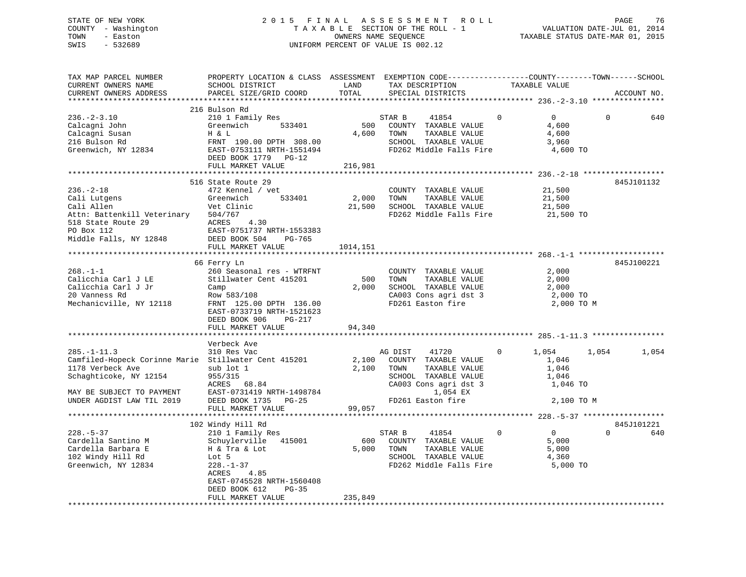### STATE OF NEW YORK 2 0 1 5 F I N A L A S S E S S M E N T R O L L PAGE 76 COUNTY - Washington T A X A B L E SECTION OF THE ROLL - 1 VALUATION DATE-JUL 01, 2014 TOWN - Easton COMPUTERS NAME SEQUENCE TAXABLE STATUS DATE-MAR 01, 2015<br>SWIS - 532689 SWIS - 532689 UNIFORM PERCENT OF VALUE IS 002.12

| TAX MAP PARCEL NUMBER<br>CURRENT OWNERS NAME<br>CURRENT OWNERS ADDRESS                                                                                                            | PROPERTY LOCATION & CLASS ASSESSMENT<br>SCHOOL DISTRICT<br>PARCEL SIZE/GRID COORD                                                                                                       | LAND<br>TOTAL               | EXEMPTION CODE-----------------COUNTY-------TOWN------SCHOOL<br>TAX DESCRIPTION<br>SPECIAL DISTRICTS                                                | TAXABLE VALUE                                                        | ACCOUNT NO.     |
|-----------------------------------------------------------------------------------------------------------------------------------------------------------------------------------|-----------------------------------------------------------------------------------------------------------------------------------------------------------------------------------------|-----------------------------|-----------------------------------------------------------------------------------------------------------------------------------------------------|----------------------------------------------------------------------|-----------------|
| *************************                                                                                                                                                         |                                                                                                                                                                                         |                             |                                                                                                                                                     |                                                                      |                 |
| $236. - 2 - 3.10$<br>Calcagni John<br>Calcagni Susan<br>216 Bulson Rd<br>Greenwich, NY 12834                                                                                      | 216 Bulson Rd<br>210 1 Family Res<br>Greenwich<br>533401<br>H & L<br>FRNT 190.00 DPTH 308.00<br>EAST-0753111 NRTH-1551494<br>DEED BOOK 1779<br>$PG-12$<br>FULL MARKET VALUE             | 500<br>4,600<br>216,981     | STAR B<br>41854<br>COUNTY TAXABLE VALUE<br>TAXABLE VALUE<br>TOWN<br>SCHOOL TAXABLE VALUE<br>FD262 Middle Falls Fire                                 | $\mathbf 0$<br>$\overline{0}$<br>4,600<br>4,600<br>3,960<br>4,600 TO | $\Omega$<br>640 |
|                                                                                                                                                                                   | *****************************                                                                                                                                                           |                             |                                                                                                                                                     |                                                                      |                 |
| $236. - 2 - 18$<br>Cali Lutgens<br>Cali Allen<br>Attn: Battenkill Veterinary<br>518 State Route 29<br>PO Box 112<br>Middle Falls, NY 12848                                        | 516 State Route 29<br>472 Kennel / vet<br>Greenwich<br>533401<br>Vet Clinic<br>504/767<br>ACRES<br>4.30<br>EAST-0751737 NRTH-1553383<br>DEED BOOK 504<br>PG-765<br>FULL MARKET VALUE    | 2,000<br>21,500<br>1014,151 | COUNTY TAXABLE VALUE<br>TOWN<br>TAXABLE VALUE<br>SCHOOL TAXABLE VALUE<br>FD262 Middle Falls Fire                                                    | 21,500<br>21,500<br>21,500<br>21,500 TO                              | 845J101132      |
|                                                                                                                                                                                   | 66 Ferry Ln                                                                                                                                                                             |                             |                                                                                                                                                     |                                                                      | 845J100221      |
| $268. - 1 - 1$<br>Calicchia Carl J LE<br>Calicchia Carl J Jr<br>20 Vanness Rd<br>Mechanicville, NY 12118                                                                          | 260 Seasonal res - WTRFNT<br>Stillwater Cent 415201<br>Camp<br>Row 583/108<br>FRNT 125.00 DPTH 136.00<br>EAST-0733719 NRTH-1521623<br>DEED BOOK 906<br><b>PG-217</b>                    | 500<br>2,000                | COUNTY TAXABLE VALUE<br>TOWN<br>TAXABLE VALUE<br>SCHOOL TAXABLE VALUE<br>CA003 Cons agri dst 3<br>FD261 Easton fire                                 | 2,000<br>2,000<br>2,000<br>2,000 TO<br>2,000 TO M                    |                 |
|                                                                                                                                                                                   | FULL MARKET VALUE                                                                                                                                                                       | 94,340                      |                                                                                                                                                     |                                                                      |                 |
|                                                                                                                                                                                   |                                                                                                                                                                                         |                             |                                                                                                                                                     |                                                                      |                 |
| $285. - 1 - 11.3$<br>Camfiled-Hopeck Corinne Marie Stillwater Cent 415201<br>1178 Verbeck Ave<br>Schaghticoke, NY 12154<br>MAY BE SUBJECT TO PAYMENT<br>UNDER AGDIST LAW TIL 2019 | Verbeck Ave<br>310 Res Vac<br>sub lot 1<br>955/315<br>ACRES 68.84<br>EAST-0731419 NRTH-1498784<br>DEED BOOK 1735<br>PG-25                                                               | 2,100<br>2,100              | AG DIST<br>41720<br>COUNTY TAXABLE VALUE<br>TOWN<br>TAXABLE VALUE<br>SCHOOL TAXABLE VALUE<br>CA003 Cons agri dst 3<br>1,054 EX<br>FD261 Easton fire | 1,054<br>0<br>1,046<br>1,046<br>1,046<br>1,046 TO<br>2,100 TO M      | 1,054<br>1,054  |
|                                                                                                                                                                                   | FULL MARKET VALUE                                                                                                                                                                       | 99,057                      |                                                                                                                                                     |                                                                      |                 |
|                                                                                                                                                                                   | 102 Windy Hill Rd                                                                                                                                                                       |                             |                                                                                                                                                     |                                                                      | 845J101221      |
| $228. - 5 - 37$<br>Cardella Santino M<br>Cardella Barbara E<br>102 Windy Hill Rd<br>Greenwich, NY 12834                                                                           | 210 1 Family Res<br>Schuylerville<br>415001<br>H & Tra & Lot<br>Lot 5<br>$228. - 1 - 37$<br>ACRES<br>4.85<br>EAST-0745528 NRTH-1560408<br>DEED BOOK 612<br>$PG-35$<br>FULL MARKET VALUE | 600<br>5,000<br>235,849     | STAR B<br>41854<br>COUNTY TAXABLE VALUE<br>TOWN<br>TAXABLE VALUE<br>SCHOOL TAXABLE VALUE<br>FD262 Middle Falls Fire                                 | $\mathbf 0$<br>$\Omega$<br>5,000<br>5,000<br>4,360<br>5,000 TO       | $\Omega$<br>640 |
|                                                                                                                                                                                   |                                                                                                                                                                                         |                             |                                                                                                                                                     |                                                                      |                 |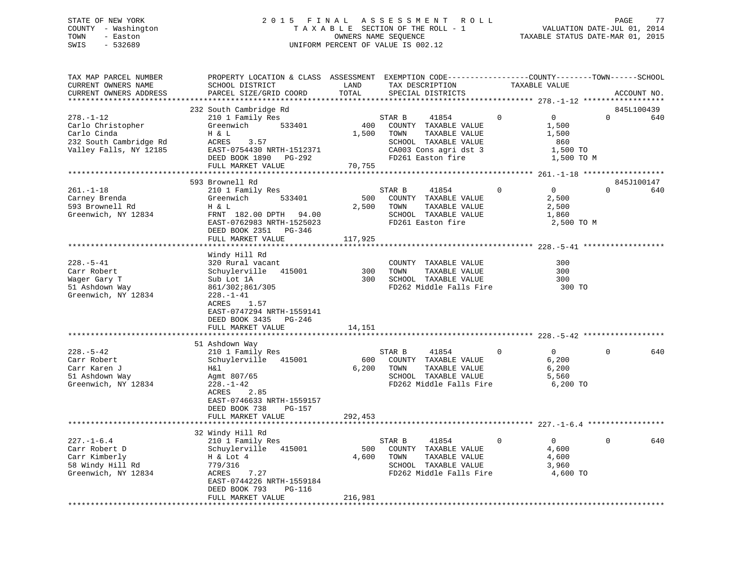### STATE OF NEW YORK 2 0 1 5 F I N A L A S S E S S M E N T R O L L PAGE 77 COUNTY - Washington T A X A B L E SECTION OF THE ROLL - 1 VALUATION DATE-JUL 01, 2014 TOWN - Easton **CONNERS NAME SEQUENCE** TAXABLE STATUS DATE-MAR 01, 2015 SWIS - 532689 UNIFORM PERCENT OF VALUE IS 002.12

| TAX MAP PARCEL NUMBER<br>CURRENT OWNERS NAME                                                  | PROPERTY LOCATION & CLASS ASSESSMENT EXEMPTION CODE----------------COUNTY-------TOWN------SCHOOL<br>SCHOOL DISTRICT                                                                  | LAND                    | TAX DESCRIPTION                                                                                                     |                | TAXABLE VALUE                                           |          |             |
|-----------------------------------------------------------------------------------------------|--------------------------------------------------------------------------------------------------------------------------------------------------------------------------------------|-------------------------|---------------------------------------------------------------------------------------------------------------------|----------------|---------------------------------------------------------|----------|-------------|
| CURRENT OWNERS ADDRESS                                                                        | PARCEL SIZE/GRID COORD                                                                                                                                                               | TOTAL                   | SPECIAL DISTRICTS                                                                                                   |                |                                                         |          | ACCOUNT NO. |
|                                                                                               | 232 South Cambridge Rd                                                                                                                                                               |                         |                                                                                                                     |                |                                                         |          | 845L100439  |
| $278. - 1 - 12$<br>Carlo Christopher<br>Carlo Cinda                                           | 210 1 Family Res<br>Greenwich<br>533401<br>H & L                                                                                                                                     | 400<br>1,500            | STAR B<br>41854<br>COUNTY TAXABLE VALUE<br>TOWN<br>TAXABLE VALUE                                                    | $\Omega$       | $\mathbf{0}$<br>1,500<br>1,500                          | $\Omega$ | 640         |
| 232 South Cambridge Rd<br>Valley Falls, NY 12185                                              | ACRES<br>3.57<br>EAST-0754430 NRTH-1512371<br>DEED BOOK 1890 PG-292<br>FULL MARKET VALUE                                                                                             | 70,755                  | SCHOOL TAXABLE VALUE<br>CA003 Cons agri dst 3<br>FD261 Easton fire                                                  |                | 860<br>1,500 TO<br>1,500 TO M                           |          |             |
|                                                                                               |                                                                                                                                                                                      |                         |                                                                                                                     |                |                                                         |          |             |
|                                                                                               | 593 Brownell Rd                                                                                                                                                                      |                         |                                                                                                                     |                |                                                         |          | 845J100147  |
| $261. - 1 - 18$<br>Carney Brenda<br>593 Brownell Rd<br>Greenwich, NY 12834                    | 210 1 Family Res<br>533401<br>Greenwich<br>H & L<br>FRNT 182.00 DPTH 94.00<br>EAST-0762983 NRTH-1525023<br>DEED BOOK 2351 PG-346<br>FULL MARKET VALUE                                | 500<br>2,500<br>117,925 | STAR B<br>41854<br>COUNTY TAXABLE VALUE<br>TOWN<br>TAXABLE VALUE<br>SCHOOL TAXABLE VALUE<br>FD261 Easton fire       | $\Omega$       | $\overline{0}$<br>2,500<br>2,500<br>1,860<br>2,500 TO M | $\Omega$ | 640         |
|                                                                                               |                                                                                                                                                                                      |                         |                                                                                                                     |                |                                                         |          |             |
| $228. - 5 - 41$<br>Carr Robert<br>Wager Gary T<br>51 Ashdown Way<br>Greenwich, NY 12834       | Windy Hill Rd<br>320 Rural vacant<br>Schuylerville 415001<br>Sub Lot 1A<br>861/302;861/305<br>$228. - 1 - 41$<br>ACRES<br>1.57<br>EAST-0747294 NRTH-1559141<br>DEED BOOK 3435 PG-246 | 300<br>300              | COUNTY TAXABLE VALUE<br>TOWN<br>TAXABLE VALUE<br>SCHOOL TAXABLE VALUE<br>FD262 Middle Falls Fire                    |                | 300<br>300<br>300<br>300 TO                             |          |             |
|                                                                                               | FULL MARKET VALUE                                                                                                                                                                    | 14,151                  |                                                                                                                     |                |                                                         |          |             |
|                                                                                               |                                                                                                                                                                                      |                         |                                                                                                                     |                |                                                         |          |             |
| $228. - 5 - 42$<br>Carr Robert<br>Carr Karen J<br>51 Ashdown Way<br>Greenwich, NY 12834       | 51 Ashdown Way<br>210 1 Family Res<br>Schuylerville 415001<br>H&l<br>Agmt 807/65<br>$228. - 1 - 42$<br>2.85<br>ACRES<br>EAST-0746633 NRTH-1559157<br>DEED BOOK 738<br>PG-157         | 600<br>6,200            | 41854<br>STAR B<br>COUNTY TAXABLE VALUE<br>TAXABLE VALUE<br>TOWN<br>SCHOOL TAXABLE VALUE<br>FD262 Middle Falls Fire | $\overline{0}$ | 0<br>6,200<br>6,200<br>5,560<br>6,200 TO                | $\Omega$ | 640         |
|                                                                                               | FULL MARKET VALUE                                                                                                                                                                    | 292,453                 |                                                                                                                     |                |                                                         |          |             |
|                                                                                               | 32 Windy Hill Rd                                                                                                                                                                     |                         |                                                                                                                     |                |                                                         |          |             |
| $227. - 1 - 6.4$<br>Carr Robert D<br>Carr Kimberly<br>58 Windy Hill Rd<br>Greenwich, NY 12834 | 210 1 Family Res<br>Schuylerville 415001<br>H & Lot 4<br>779/316<br>7.27<br>ACRES<br>EAST-0744226 NRTH-1559184<br>DEED BOOK 793<br>PG-116<br>FULL MARKET VALUE                       | 500<br>4,600<br>216,981 | STAR B<br>41854<br>COUNTY TAXABLE VALUE<br>TOWN<br>TAXABLE VALUE<br>SCHOOL TAXABLE VALUE<br>FD262 Middle Falls Fire | $\Omega$       | $\overline{0}$<br>4,600<br>4,600<br>3,960<br>4,600 TO   | $\Omega$ | 640         |
| ***********************                                                                       |                                                                                                                                                                                      |                         |                                                                                                                     |                |                                                         |          |             |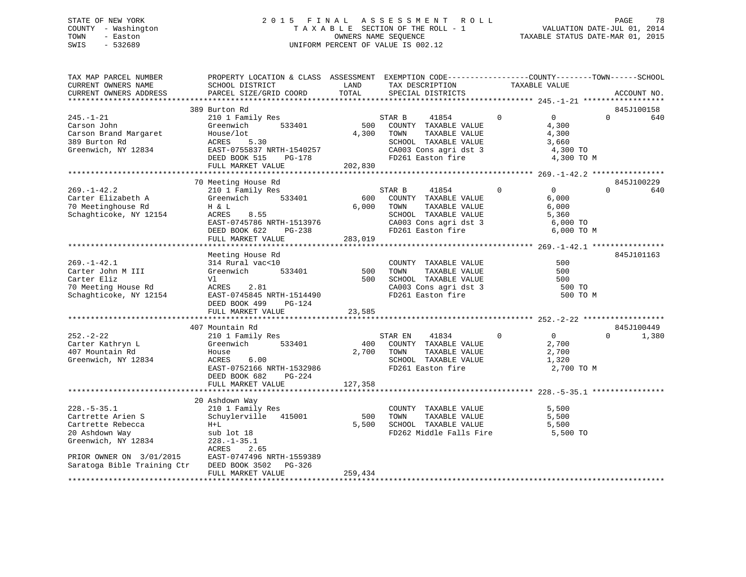### STATE OF NEW YORK 2 0 1 5 F I N A L A S S E S S M E N T R O L L PAGE 78 COUNTY - Washington T A X A B L E SECTION OF THE ROLL - 1 VALUATION DATE-JUL 01, 2014 TOWN - Easton CONNERS NAME SEQUENCE TAXABLE STATUS DATE-MAR 01, 2015<br>SWIS - 532689 SWIS - 532689 UNIFORM PERCENT OF VALUE IS 002.12

| TAX MAP PARCEL NUMBER<br>CURRENT OWNERS NAME<br>CURRENT OWNERS ADDRESS                                 | PROPERTY LOCATION & CLASS ASSESSMENT EXEMPTION CODE---------------COUNTY-------TOWN-----SCHOOL<br>SCHOOL DISTRICT<br>PARCEL SIZE/GRID COORD                           | LAND<br>TOTAL           | TAX DESCRIPTION<br>SPECIAL DISTRICTS                                                                                                   | TAXABLE VALUE                                                                   | ACCOUNT NO.                   |
|--------------------------------------------------------------------------------------------------------|-----------------------------------------------------------------------------------------------------------------------------------------------------------------------|-------------------------|----------------------------------------------------------------------------------------------------------------------------------------|---------------------------------------------------------------------------------|-------------------------------|
|                                                                                                        |                                                                                                                                                                       |                         |                                                                                                                                        |                                                                                 |                               |
| $245. - 1 - 21$<br>Carson John<br>Carson Brand Margaret<br>389 Burton Rd<br>Greenwich, NY 12834        | 389 Burton Rd<br>210 1 Family Res<br>533401<br>Greenwich<br>House/lot<br>ACRES<br>5.30<br>EAST-0755837 NRTH-1540257<br>DEED BOOK 515<br>PG-178<br>FULL MARKET VALUE   | 500<br>4,300<br>202,830 | STAR B<br>41854<br>COUNTY TAXABLE VALUE<br>TAXABLE VALUE<br>TOWN<br>SCHOOL TAXABLE VALUE<br>CA003 Cons agri dst 3<br>FD261 Easton fire | $\Omega$<br>$\overline{0}$<br>4,300<br>4,300<br>3,660<br>4,300 TO<br>4,300 TO M | 845J100158<br>$\Omega$<br>640 |
|                                                                                                        |                                                                                                                                                                       |                         |                                                                                                                                        |                                                                                 |                               |
| $269. - 1 - 42.2$<br>Carter Elizabeth A<br>70 Meetinghouse Rd<br>Schaghticoke, NY 12154                | 70 Meeting House Rd<br>210 1 Family Res<br>533401<br>Greenwich<br>H & L<br>ACRES<br>8.55<br>EAST-0745786 NRTH-1513976<br>PG-238<br>DEED BOOK 622<br>FULL MARKET VALUE | 600<br>6,000<br>283,019 | STAR B<br>41854<br>COUNTY TAXABLE VALUE<br>TAXABLE VALUE<br>TOWN<br>SCHOOL TAXABLE VALUE<br>CA003 Cons agri dst 3<br>FD261 Easton fire | $\Omega$<br>$\Omega$<br>6,000<br>6,000<br>5,360<br>6,000 TO<br>6,000 TO M       | 845J100229<br>$\cap$<br>640   |
|                                                                                                        | Meeting House Rd                                                                                                                                                      |                         |                                                                                                                                        |                                                                                 | 845J101163                    |
| $269. - 1 - 42.1$<br>Carter John M III<br>Carter Eliz<br>70 Meeting House Rd<br>Schaghticoke, NY 12154 | 314 Rural vac<10<br>Greenwich<br>533401<br>Vl<br>ACRES<br>2.81<br>EAST-0745845 NRTH-1514490<br>DEED BOOK 499<br>$PG-124$<br>FULL MARKET VALUE                         | 500<br>500<br>23,585    | COUNTY TAXABLE VALUE<br>TAXABLE VALUE<br>TOWN<br>SCHOOL TAXABLE VALUE<br>CA003 Cons agri dst 3<br>FD261 Easton fire                    | 500<br>500<br>500<br>500 TO<br>500 TO M                                         |                               |
|                                                                                                        | 407 Mountain Rd                                                                                                                                                       |                         |                                                                                                                                        |                                                                                 | 845J100449                    |
| $252 - 2 - 22$<br>Carter Kathryn L<br>407 Mountain Rd<br>Greenwich, NY 12834                           | 210 1 Family Res<br>Greenwich<br>533401<br>House<br>ACRES<br>6.00<br>EAST-0752166 NRTH-1532986<br>PG-224<br>DEED BOOK 682<br>FULL MARKET VALUE                        | 400<br>2,700            | STAR EN<br>41834<br>COUNTY TAXABLE VALUE<br>TAXABLE VALUE<br>TOWN<br>SCHOOL TAXABLE VALUE<br>FD261 Easton fire                         | $\mathbf{0}$<br>$\overline{0}$<br>2,700<br>2,700<br>1,320<br>2,700 TO M         | $\Omega$<br>1,380             |
|                                                                                                        |                                                                                                                                                                       | 127,358                 |                                                                                                                                        |                                                                                 |                               |
|                                                                                                        | 20 Ashdown Way                                                                                                                                                        |                         |                                                                                                                                        |                                                                                 |                               |
| $228. - 5 - 35.1$<br>Cartrette Arien S<br>Cartrette Rebecca<br>20 Ashdown Way<br>Greenwich, NY 12834   | 210 1 Family Res<br>Schuylerville 415001<br>$H+L$<br>sub lot 18<br>$228. - 1 - 35.1$<br>ACRES<br>2.65                                                                 | 500<br>5,500            | COUNTY TAXABLE VALUE<br>TAXABLE VALUE<br>TOWN<br>SCHOOL TAXABLE VALUE<br>FD262 Middle Falls Fire                                       | 5,500<br>5,500<br>5,500<br>5,500 TO                                             |                               |
| PRIOR OWNER ON 3/01/2015<br>Saratoga Bible Training Ctr<br>***********************                     | EAST-0747496 NRTH-1559389<br>DEED BOOK 3502<br>PG-326<br>FULL MARKET VALUE                                                                                            | 259,434                 |                                                                                                                                        |                                                                                 |                               |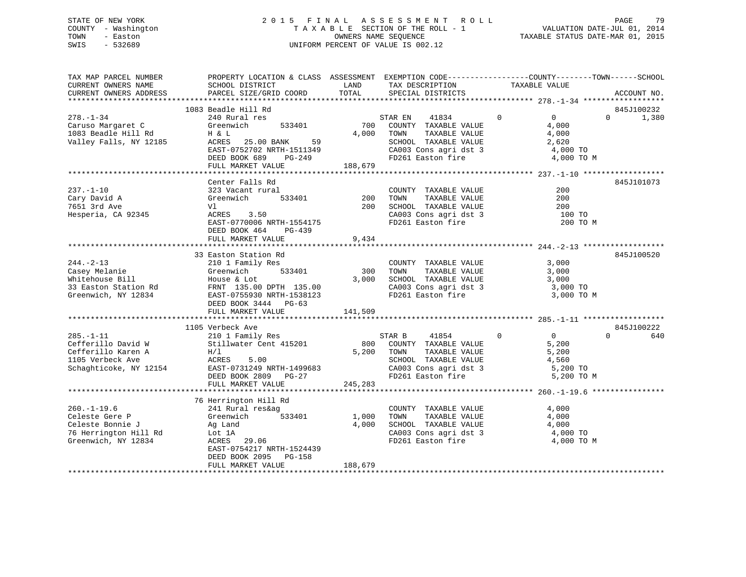### STATE OF NEW YORK 2 0 1 5 F I N A L A S S E S S M E N T R O L L PAGE 79 COUNTY - Washington T A X A B L E SECTION OF THE ROLL - 1 VALUATION DATE-JUL 01, 2014 TOWN - Easton CONNERS NAME SEQUENCE TAXABLE STATUS DATE-MAR 01, 2015<br>SWIS - 532689 SWIS - 532689 UNIFORM PERCENT OF VALUE IS 002.12

| TAX MAP PARCEL NUMBER<br>CURRENT OWNERS NAME<br>CURRENT OWNERS ADDRESS                                    | PROPERTY LOCATION & CLASS ASSESSMENT EXEMPTION CODE----------------COUNTY-------TOWN------SCHOOL<br>SCHOOL DISTRICT<br>PARCEL SIZE/GRID COORD                                         | LAND<br>TOTAL             | TAX DESCRIPTION<br>SPECIAL DISTRICTS                                                                                                                              | TAXABLE VALUE                                                                      | ACCOUNT NO.                     |
|-----------------------------------------------------------------------------------------------------------|---------------------------------------------------------------------------------------------------------------------------------------------------------------------------------------|---------------------------|-------------------------------------------------------------------------------------------------------------------------------------------------------------------|------------------------------------------------------------------------------------|---------------------------------|
|                                                                                                           |                                                                                                                                                                                       |                           |                                                                                                                                                                   |                                                                                    |                                 |
| $278. - 1 - 34$<br>Caruso Margaret C<br>1083 Beadle Hill Rd<br>Valley Falls, NY 12185                     | 1083 Beadle Hill Rd<br>240 Rural res<br>Greenwich<br>533401<br>H & L<br>ACRES<br>25.00 BANK<br>59<br>EAST-0752702 NRTH-1511349<br>DEED BOOK 689<br>PG-249<br>FULL MARKET VALUE        | 700<br>4,000<br>188,679   | STAR EN<br>41834<br>COUNTY TAXABLE VALUE<br>TAXABLE VALUE<br>TOWN<br>SCHOOL TAXABLE VALUE<br>CA003 Cons agri dst 3<br>FD261 Easton fire                           | $\mathbf 0$<br>$\overline{0}$<br>4,000<br>4,000<br>2,620<br>4,000 TO<br>4,000 TO M | 845J100232<br>$\Omega$<br>1,380 |
|                                                                                                           |                                                                                                                                                                                       |                           |                                                                                                                                                                   |                                                                                    |                                 |
| $237. - 1 - 10$<br>Cary David A<br>7651 3rd Ave<br>Hesperia, CA 92345                                     | Center Falls Rd<br>323 Vacant rural<br>533401<br>Greenwich<br>Vl<br>3.50<br>ACRES<br>EAST-0770006 NRTH-1554175<br>DEED BOOK 464<br>PG-439<br>FULL MARKET VALUE                        | 200<br>200<br>9,434       | COUNTY TAXABLE VALUE<br>TAXABLE VALUE<br>TOWN<br>CA003 Cons agri dst 3<br>FD261 Easton fire                                                                       | 200<br>200<br>200<br>100 TO<br>200 TO M                                            | 845J101073                      |
|                                                                                                           |                                                                                                                                                                                       |                           |                                                                                                                                                                   |                                                                                    |                                 |
| $244. - 2 - 13$<br>Casey Melanie<br>Whitehouse Bill<br>33 Easton Station Rd<br>Greenwich, NY 12834        | 33 Easton Station Rd<br>210 1 Family Res<br>Greenwich<br>533401<br>House & Lot<br>FRNT 135.00 DPTH 135.00<br>EAST-0755930 NRTH-1538123<br>DEED BOOK 3444 PG-63<br>FULL MARKET VALUE   | 300<br>3,000<br>141,509   | COUNTY TAXABLE VALUE<br>TAXABLE VALUE<br>TOWN<br>SCHOOL TAXABLE VALUE<br>CA003 Cons agri dst 3<br>FD261 Easton fire                                               | 3,000<br>3,000<br>3,000<br>3,000 TO<br>3,000 TO M                                  | 845J100520                      |
|                                                                                                           | 1105 Verbeck Ave                                                                                                                                                                      |                           |                                                                                                                                                                   |                                                                                    | 845J100222                      |
| $285. - 1 - 11$<br>Cefferillo David W<br>Cefferillo Karen A<br>1105 Verbeck Ave<br>Schaghticoke, NY 12154 | 210 1 Family Res<br>Stillwater Cent 415201<br>H/1<br>5.00<br>ACRES<br>EAST-0731249 NRTH-1499683<br>DEED BOOK 2809<br>PG-27                                                            | 800                       | STAR B<br>41854<br>COUNTY TAXABLE VALUE<br>5,200 TOWN<br>TAXABLE VALUE<br>SCHOOL TAXABLE VALUE<br>CA003 Cons agri dst 3<br>FD261 Easton fire<br>FD261 Easton fire | $\Omega$<br>$\mathbf 0$<br>5,200<br>5,200<br>4,560<br>5,200 TO<br>5,200 TO M       | $\Omega$<br>640                 |
|                                                                                                           | FULL MARKET VALUE                                                                                                                                                                     | 245,283                   |                                                                                                                                                                   |                                                                                    |                                 |
| $260. -1 - 19.6$<br>Celeste Gere P<br>Celeste Bonnie J<br>76 Herrington Hill Rd<br>Greenwich, NY 12834    | 76 Herrington Hill Rd<br>241 Rural res&ag<br>533401<br>Greenwich<br>Ag Land<br>Lot 1A<br>ACRES<br>29.06<br>EAST-0754217 NRTH-1524439<br>DEED BOOK 2095<br>PG-158<br>FULL MARKET VALUE | 1,000<br>4,000<br>188,679 | COUNTY TAXABLE VALUE<br>TAXABLE VALUE<br>TOWN<br>SCHOOL TAXABLE VALUE<br>CA003 Cons agri dst 3<br>FD261 Easton fire                                               | 4,000<br>4,000<br>4,000<br>4,000 TO<br>4,000 TO M                                  |                                 |
|                                                                                                           |                                                                                                                                                                                       |                           |                                                                                                                                                                   |                                                                                    |                                 |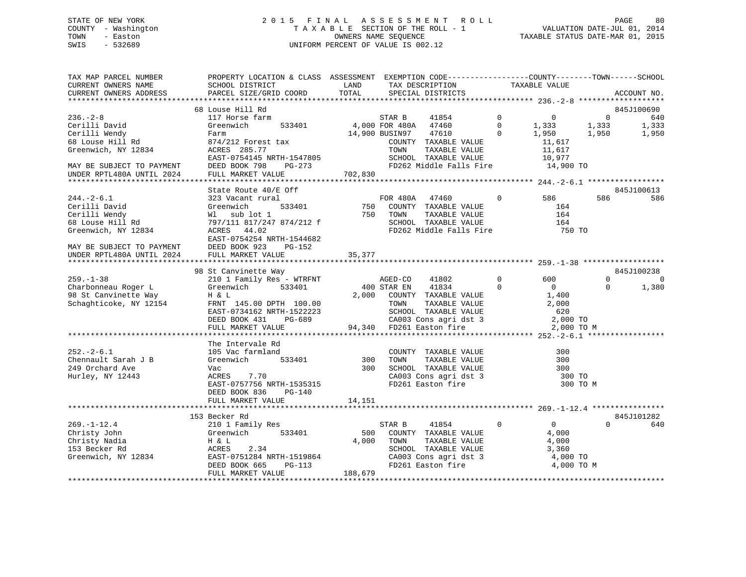### STATE OF NEW YORK 2 0 1 5 F I N A L A S S E S S M E N T R O L L PAGE 80 COUNTY - Washington T A X A B L E SECTION OF THE ROLL - 1 VALUATION DATE-JUL 01, 2014 TOWN - Easton COMPUTERS NAME SEQUENCE TAXABLE STATUS DATE-MAR 01, 2015<br>SWIS - 532689 SWIS - 532689 UNIFORM PERCENT OF VALUE IS 002.12

| TAX MAP PARCEL NUMBER<br>CURRENT OWNERS NAME<br>CURRENT OWNERS ADDRESS | PROPERTY LOCATION & CLASS ASSESSMENT EXEMPTION CODE----------------COUNTY-------TOWN-----SCHOOL<br>SCHOOL DISTRICT<br>PARCEL SIZE/GRID COORD | LAND<br>TOTAL | TAX DESCRIPTION<br>SPECIAL DISTRICTS |                                                                       |                | TAXABLE VALUE  |                | ACCOUNT NO. |
|------------------------------------------------------------------------|----------------------------------------------------------------------------------------------------------------------------------------------|---------------|--------------------------------------|-----------------------------------------------------------------------|----------------|----------------|----------------|-------------|
|                                                                        |                                                                                                                                              |               |                                      |                                                                       |                |                |                |             |
|                                                                        | 68 Louse Hill Rd                                                                                                                             |               |                                      |                                                                       |                |                |                | 845J100690  |
| $236. -2 - 8$                                                          | 117 Horse farm                                                                                                                               |               | STAR B                               | 41854                                                                 | $\overline{0}$ | $\overline{0}$ | $\overline{0}$ | 640         |
| Cerilli David                                                          | Greenwich<br>533401                                                                                                                          |               | 4,000 FOR 480A 47460                 |                                                                       | $\Omega$       | 1,333          | 1,333          | 1,333       |
| Cerilli Wendy                                                          | Farm                                                                                                                                         |               | 14,900 BUSIN97                       | 47610                                                                 | $\Omega$       | 1,950          | 1,950          | 1,950       |
| 68 Louse Hill Rd                                                       | 874/212 Forest tax                                                                                                                           |               |                                      | COUNTY TAXABLE VALUE                                                  |                | 11,617         |                |             |
| Greenwich, NY 12834                                                    | ACRES 285.77                                                                                                                                 |               | TOWN                                 | TAXABLE VALUE                                                         |                | 11,617         |                |             |
|                                                                        | EAST-0754145 NRTH-1547805                                                                                                                    |               |                                      | SCHOOL TAXABLE VALUE<br>FD262 Middle Falls Fire 14,900 TO             |                | 10,977         |                |             |
| MAY BE SUBJECT TO PAYMENT                                              | DEED BOOK 798<br>PG-273                                                                                                                      |               |                                      |                                                                       |                |                |                |             |
| UNDER RPTL480A UNTIL 2024                                              | FULL MARKET VALUE                                                                                                                            | 702,830       |                                      |                                                                       |                |                |                |             |
|                                                                        | State Route 40/E Off                                                                                                                         |               |                                      |                                                                       |                |                |                | 845J100613  |
| $244. - 2 - 6.1$                                                       | 323 Vacant rural                                                                                                                             |               | FOR 480A 47460                       |                                                                       | $\mathbf 0$    | 586            | 586            | 586         |
| Cerilli David                                                          | Greenwich<br>533401                                                                                                                          |               | 750 COUNTY TAXABLE VALUE             |                                                                       |                | 164            |                |             |
| Cerilli Wendy                                                          | Wl sub lot 1                                                                                                                                 |               | 750 TOWN                             |                                                                       |                | 164            |                |             |
| 68 Louse Hill Rd                                                       | 797/111 817/247 874/212 f                                                                                                                    |               |                                      | LOWN LAXABLE VALUE<br>SCHOOL TAXABLE VALUE                            |                | 164            |                |             |
| Greenwich, NY 12834                                                    | ACRES 44.02                                                                                                                                  |               |                                      | FD262 Middle Falls Fire                                               |                | 750 TO         |                |             |
|                                                                        | EAST-0754254 NRTH-1544682                                                                                                                    |               |                                      |                                                                       |                |                |                |             |
| MAY BE SUBJECT TO PAYMENT                                              | DEED BOOK 923<br>PG-152                                                                                                                      |               |                                      |                                                                       |                |                |                |             |
| UNDER RPTL480A UNTIL 2024                                              | FULL MARKET VALUE                                                                                                                            | 35,377        |                                      |                                                                       |                |                |                |             |
|                                                                        |                                                                                                                                              |               |                                      |                                                                       |                |                |                |             |
|                                                                        | 98 St Canvinette Way                                                                                                                         |               |                                      |                                                                       |                |                |                | 845J100238  |
| $259. - 1 - 38$                                                        | 210 1 Family Res - WTRFNT                                                                                                                    |               | AGED-CO 41802                        |                                                                       | $\Omega$       | 600            | $\Omega$       | $\Omega$    |
| Charbonneau Roger L                                                    | 533401<br>Greenwich                                                                                                                          |               | 400 STAR EN 41834                    |                                                                       | $\Omega$       | $\overline{0}$ | $\Omega$       | 1,380       |
| 98 St Canvinette Way                                                   | H & L                                                                                                                                        |               |                                      | 2,000 COUNTY TAXABLE VALUE                                            |                | 1,400          |                |             |
| Schaghticoke, NY 12154                                                 | FRNT 145.00 DPTH 100.00                                                                                                                      |               | TOWN                                 | TAXABLE VALUE                                                         |                | 2,000          |                |             |
|                                                                        | EAST-0734162 NRTH-1522223                                                                                                                    |               |                                      |                                                                       |                | 620            |                |             |
|                                                                        | DEED BOOK 431<br>PG-689                                                                                                                      |               |                                      |                                                                       |                | 2,000 TO       |                |             |
|                                                                        | FULL MARKET VALUE                                                                                                                            |               |                                      |                                                                       |                | 2,000 TO M     |                |             |
|                                                                        | The Intervale Rd                                                                                                                             |               |                                      |                                                                       |                |                |                |             |
| $252 - 2 - 6.1$                                                        | 105 Vac farmland                                                                                                                             |               |                                      | COUNTY TAXABLE VALUE                                                  |                | 300            |                |             |
| Chennault Sarah J B                                                    | Greenwich<br>533401                                                                                                                          | 300           | TOWN                                 | TAXABLE VALUE                                                         |                | 300            |                |             |
| 249 Orchard Ave                                                        | Vac                                                                                                                                          | 300           |                                      |                                                                       |                | 300            |                |             |
| Hurley, NY 12443                                                       | 7.70<br>ACRES                                                                                                                                |               |                                      |                                                                       |                | 300 TO         |                |             |
|                                                                        | EAST-0757756 NRTH-1535315                                                                                                                    |               |                                      | SCHOOL TAXABLE VALUE<br>CA003 Cons agri dst 3<br>FD261 Easton fire    |                | 300 TO M       |                |             |
|                                                                        | DEED BOOK 836<br>$PG-140$                                                                                                                    |               |                                      |                                                                       |                |                |                |             |
|                                                                        | FULL MARKET VALUE                                                                                                                            | 14,151        |                                      |                                                                       |                |                |                |             |
|                                                                        | ****************************                                                                                                                 |               |                                      |                                                                       |                |                |                |             |
|                                                                        | 153 Becker Rd                                                                                                                                |               |                                      |                                                                       |                |                |                | 845J101282  |
| $269. - 1 - 12.4$                                                      | 210 1 Family Res                                                                                                                             |               | STAR B                               | 41854                                                                 | $\overline{0}$ | $\overline{0}$ | $\Omega$       | 640         |
| Christy John                                                           | Greenwich<br>533401                                                                                                                          | 500           |                                      | COUNTY TAXABLE VALUE                                                  |                | 4,000          |                |             |
| Christy Nadia                                                          | H & L                                                                                                                                        | 4,000         | TOWN                                 | TAXABLE VALUE                                                         |                | 4,000          |                |             |
| 153 Becker Rd                                                          | ACRES<br>2.34                                                                                                                                |               |                                      | SCHOOL TAXABLE VALUE<br>SCHOOL TAXABLE VALUE<br>CA003 Cons agri dst 3 |                | 3,360          |                |             |
| Greenwich, NY 12834                                                    |                                                                                                                                              |               |                                      |                                                                       |                |                |                |             |
|                                                                        | EAST-0751284 NRTH-1519864                                                                                                                    |               |                                      |                                                                       |                | 4,000 TO       |                |             |
|                                                                        | DEED BOOK 665<br>PG-113<br>FULL MARKET VALUE                                                                                                 | 188,679       |                                      | FD261 Easton fire                                                     |                | 4,000 TO M     |                |             |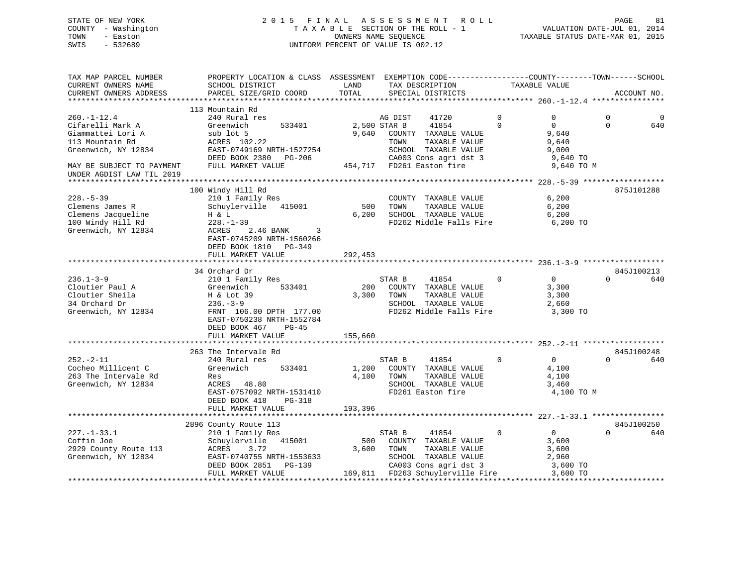### STATE OF NEW YORK 2 0 1 5 F I N A L A S S E S S M E N T R O L L PAGE 81 COUNTY - Washington T A X A B L E SECTION OF THE ROLL - 1 VALUATION DATE-JUL 01, 2014 TOWN - Easton COMPUTERS NAME SEQUENCE TAXABLE STATUS DATE-MAR 01, 2015<br>SWIS - 532689 SWIS - 532689 UNIFORM PERCENT OF VALUE IS 002.12

| TAX MAP PARCEL NUMBER<br>CURRENT OWNERS NAME<br>CURRENT OWNERS ADDRESS                                                                                                                                                                                                                   | PROPERTY LOCATION & CLASS ASSESSMENT EXEMPTION CODE---------------COUNTY-------TOWN------SCHOOL<br>SCHOOL DISTRICT<br>PARCEL SIZE/GRID COORD                                     | LAND<br>TOTAL           | TAX DESCRIPTION<br>SPECIAL DISTRICTS                                                                                                                                     | TAXABLE VALUE                                                                                              |                         | ACCOUNT NO.       |
|------------------------------------------------------------------------------------------------------------------------------------------------------------------------------------------------------------------------------------------------------------------------------------------|----------------------------------------------------------------------------------------------------------------------------------------------------------------------------------|-------------------------|--------------------------------------------------------------------------------------------------------------------------------------------------------------------------|------------------------------------------------------------------------------------------------------------|-------------------------|-------------------|
|                                                                                                                                                                                                                                                                                          |                                                                                                                                                                                  |                         |                                                                                                                                                                          |                                                                                                            |                         |                   |
| $260. - 1 - 12.4$<br>Cifarelli Mark A<br>Giammattei Lori A<br>113 Mountain Rd<br>Greenwich, NY 12834<br>MAY BE SUBJECT TO PAYMENT<br>UNDER AGDIST LAW TIL 2019                                                                                                                           | 113 Mountain Rd<br>240 Rural res<br>Greenwich<br>533401<br>sub lot 5<br>ACRES 102.22<br>EAST-0749169 NRTH-1527254<br>DEED BOOK 2380 PG-206<br>FULL MARKET VALUE                  | 2,500 STAR B            | 41720<br>AG DIST<br>41854<br>9,640 COUNTY TAXABLE VALUE<br>TAXABLE VALUE<br>TOWN<br>SCHOOL TAXABLE VALUE<br>-206 CA003 Cons agri dst 3<br>454,717 FD261 Easton fire      | $\mathbf 0$<br>$\overline{0}$<br>$\Omega$<br>$\Omega$<br>9,640<br>9,640<br>9,000<br>9,640 TO<br>9,640 TO M | $\mathbf 0$<br>$\Omega$ | 0<br>640          |
|                                                                                                                                                                                                                                                                                          |                                                                                                                                                                                  |                         |                                                                                                                                                                          |                                                                                                            |                         |                   |
| $228. - 5 - 39$<br>Clemens James R<br>Clemens Jacqueline<br>100 Windy Hill Rd<br>100 Windy Hill Rd<br>Greenwich, NY 12834                                                                                                                                                                | 100 Windy Hill Rd<br>210 1 Family Res<br>Schuylerville 415001<br>H & L<br>$228. - 1 - 39$<br>ACRES<br>2.46 BANK 3<br>EAST-0745209 NRTH-1560266                                   | 500<br>6,200            | COUNTY TAXABLE VALUE<br>TAXABLE VALUE<br>TOWN<br>SCHOOL TAXABLE VALUE<br>FD262 Middle Falls Fire                                                                         | 6,200<br>6,200<br>6,200<br>6,200 TO                                                                        |                         | 875J101288        |
|                                                                                                                                                                                                                                                                                          | DEED BOOK 1810 PG-349<br>FULL MARKET VALUE                                                                                                                                       | 292,453                 |                                                                                                                                                                          |                                                                                                            |                         |                   |
|                                                                                                                                                                                                                                                                                          |                                                                                                                                                                                  |                         |                                                                                                                                                                          |                                                                                                            |                         |                   |
|                                                                                                                                                                                                                                                                                          | 34 Orchard Dr                                                                                                                                                                    |                         |                                                                                                                                                                          |                                                                                                            |                         | 845J100213        |
| $236.1 - 3 - 9$<br>Cloutier Paul A<br>Cloutier Sheila<br>$\frac{1}{2} \int_{-\infty}^{\infty} \frac{1}{2} \left( \frac{1}{2} \int_{-\infty}^{\infty} \frac{1}{2} \left( \frac{1}{2} \int_{-\infty}^{\infty} \frac{1}{2} \right) \right) \, d\mu$<br>34 Orchard Dr<br>Greenwich, NY 12834 | 210 1 Family Res<br>Greenwich<br>533401<br>H & Lot 39<br>$236. - 3 - 9$<br>FRNT 106.00 DPTH 177.00<br>EAST-0750238 NRTH-1552784<br>DEED BOOK 467<br>$PG-45$<br>FULL MARKET VALUE | 200<br>3,300<br>155,660 | STAR B<br>41854<br>COUNTY TAXABLE VALUE<br>TOWN<br>TAXABLE VALUE<br>SCHOOL TAXABLE VALUE<br>FD262 Middle Falls Fire                                                      | $\overline{0}$<br>$\mathbf 0$<br>3,300<br>3,300<br>2,660<br>3,300 TO                                       | $\Omega$                | 640               |
|                                                                                                                                                                                                                                                                                          |                                                                                                                                                                                  |                         |                                                                                                                                                                          |                                                                                                            |                         |                   |
| $252 - 2 - 11$<br>Cocheo Millicent C<br>263 The Intervale Rd<br>Greenwich, NY 12834                                                                                                                                                                                                      | 263 The Intervale Rd<br>240 Rural res<br>533401<br>Greenwich<br>Res<br>ACRES 48.80<br>EAST-0757092 NRTH-1531410<br>DEED BOOK 418<br>PG-318<br>FULL MARKET VALUE                  | 193,396                 | STAR B<br>41854<br>1,200 COUNTY TAXABLE VALUE<br>4,100 TOWN<br>TAXABLE VALUE<br>SCHOOL TAXABLE VALUE<br>FD261 Easton fire                                                | $\Omega$<br>$\overline{0}$<br>4,100<br>4,100<br>3,460<br>4,100 TO M                                        | $\Omega$                | 845J100248<br>640 |
|                                                                                                                                                                                                                                                                                          |                                                                                                                                                                                  |                         |                                                                                                                                                                          |                                                                                                            |                         |                   |
| $227. - 1 - 33.1$<br>Coffin Joe<br>2929 County Route 113<br>Greenwich, NY 12834                                                                                                                                                                                                          | 2896 County Route 113<br>210 1 Family Res<br>Schuylerville 415001<br>ACRES 3.72<br>EAST-0740755 NRTH-1553633<br>DEED BOOK 2851 PG-139<br>FULL MARKET VALUE                       |                         | STAR B<br>41854<br>500 COUNTY TAXABLE VALUE<br>3,600 TOWN<br>TAXABLE VALUE<br>SCHOOL TAXABLE VALUE<br>CA003 Cons agri dst 3<br>169,811 FD263 Schuylerville Fire 3,600 TO | $\Omega$<br>$\overline{0}$<br>3,600<br>3,600<br>2,960<br>3,600 TO                                          | $\Omega$                | 845J100250<br>640 |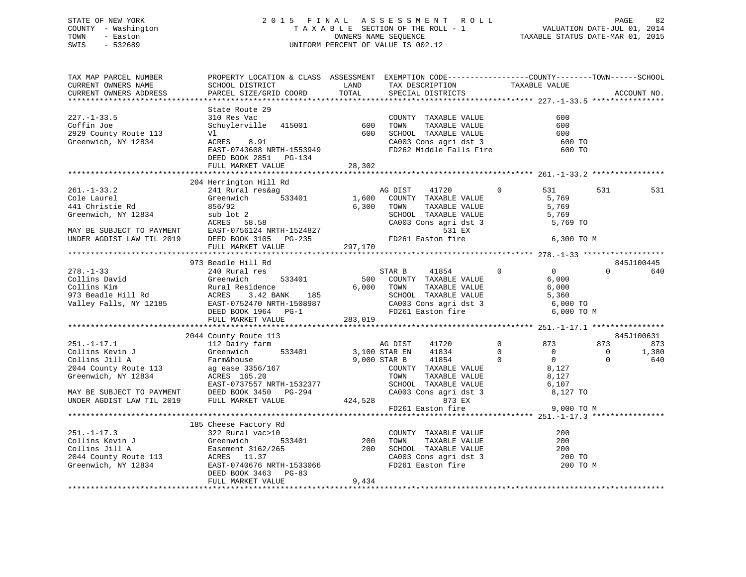### STATE OF NEW YORK 2 0 1 5 F I N A L A S S E S S M E N T R O L L PAGE 82 COUNTY - Washington T A X A B L E SECTION OF THE ROLL - 1 VALUATION DATE-JUL 01, 2014 TOWN - Easton OWNERS NAME SEQUENCE TAXABLE STATUS DATE-MAR 01, 2015 SWIS - 532689 UNIFORM PERCENT OF VALUE IS 002.12

| TAX MAP PARCEL NUMBER<br>CURRENT OWNERS NAME  | PROPERTY LOCATION & CLASS ASSESSMENT EXEMPTION CODE----------------COUNTY-------TOWN------SCHOOL<br>SCHOOL DISTRICT                                                                                                                                    |         | LAND TAX DESCRIPTION TAXABLE VALUE                                                                                                                       |                       |                                       |
|-----------------------------------------------|--------------------------------------------------------------------------------------------------------------------------------------------------------------------------------------------------------------------------------------------------------|---------|----------------------------------------------------------------------------------------------------------------------------------------------------------|-----------------------|---------------------------------------|
| CURRENT OWNERS ADDRESS                        | PARCEL SIZE/GRID COORD                                                                                                                                                                                                                                 | TOTAL   | SPECIAL DISTRICTS                                                                                                                                        |                       | ACCOUNT NO.                           |
|                                               |                                                                                                                                                                                                                                                        |         |                                                                                                                                                          |                       |                                       |
|                                               | State Route 29                                                                                                                                                                                                                                         |         |                                                                                                                                                          |                       |                                       |
| $227. - 1 - 33.5$                             |                                                                                                                                                                                                                                                        |         | COUNTY TAXABLE VALUE 600<br>600 TOWN TAXABLE VALUE 600<br>600 SCHOOL TAXABLE VALUE 600<br>CA003 Cons agri dst 3 600 TO<br>FD262 Middle Falls Fire 600 TO |                       |                                       |
| Coffin Joe                                    |                                                                                                                                                                                                                                                        |         |                                                                                                                                                          |                       |                                       |
| 2929 County Route 113                         |                                                                                                                                                                                                                                                        |         |                                                                                                                                                          |                       |                                       |
| Greenwich, NY 12834                           |                                                                                                                                                                                                                                                        |         |                                                                                                                                                          |                       |                                       |
|                                               |                                                                                                                                                                                                                                                        |         |                                                                                                                                                          |                       |                                       |
|                                               |                                                                                                                                                                                                                                                        |         |                                                                                                                                                          |                       |                                       |
|                                               |                                                                                                                                                                                                                                                        |         |                                                                                                                                                          |                       |                                       |
|                                               |                                                                                                                                                                                                                                                        |         |                                                                                                                                                          |                       |                                       |
|                                               | 204 Herrington Hill Rd                                                                                                                                                                                                                                 |         |                                                                                                                                                          |                       |                                       |
| $261. - 1 - 33.2$                             | 241 Rural res&ag                                                                                                                                                                                                                                       |         |                                                                                                                                                          | $\overline{0}$<br>531 | 531<br>531                            |
| ∠oı.-ı-33.2<br>Cole Laurel<br>441 Christie Rd | Greenwich                                                                                                                                                                                                                                              |         | ROUGHT MANUS AND MANUS AND MANUS 1,600 COUNTY TAXABLE VALUE                                                                                              | 531<br>5,769          |                                       |
|                                               |                                                                                                                                                                                                                                                        |         |                                                                                                                                                          |                       |                                       |
|                                               |                                                                                                                                                                                                                                                        |         | TOWN TAXABLE VALUE 5,769<br>SCHOOL TAXABLE VALUE 5,769                                                                                                   |                       |                                       |
|                                               |                                                                                                                                                                                                                                                        |         |                                                                                                                                                          |                       |                                       |
|                                               |                                                                                                                                                                                                                                                        |         | CA003 Cons agri dst 3 $5,769$ TO                                                                                                                         |                       |                                       |
|                                               |                                                                                                                                                                                                                                                        |         |                                                                                                                                                          |                       |                                       |
|                                               |                                                                                                                                                                                                                                                        |         |                                                                                                                                                          | 6,300 TO M            |                                       |
|                                               |                                                                                                                                                                                                                                                        |         |                                                                                                                                                          |                       |                                       |
|                                               |                                                                                                                                                                                                                                                        |         |                                                                                                                                                          |                       |                                       |
| $278. - 1 - 33$                               | 973 Beadle Hill Rd<br>240 Rural res                                                                                                                                                                                                                    |         | STAR B 41854 0 0                                                                                                                                         |                       | 845J100445<br>$\Omega$                |
|                                               |                                                                                                                                                                                                                                                        |         |                                                                                                                                                          | 6,000                 | 640                                   |
|                                               |                                                                                                                                                                                                                                                        |         | TAXABLE VALUE                                                                                                                                            | 6,000                 |                                       |
|                                               |                                                                                                                                                                                                                                                        |         |                                                                                                                                                          |                       |                                       |
|                                               |                                                                                                                                                                                                                                                        |         |                                                                                                                                                          |                       |                                       |
|                                               |                                                                                                                                                                                                                                                        |         | SCHOOL TAXABLE VALUE 5,360<br>CA003 Cons agri dst 3 6,000 TO                                                                                             |                       |                                       |
|                                               | 278.-1-33<br>Collins David<br>Collins Kim<br>Collins Kim<br>Rural Residence<br>973 Beadle Hill Rd<br>Valley Falls, NY 12185<br>Cannel ACRES<br>2.40 Rural Residence<br>533401<br>500 COUNTY TAXABLE VALUE<br>500 COUNTY TAXABLE VALUE<br>500 COUNTY TA | 283,019 |                                                                                                                                                          | 6,000 TO M            |                                       |
|                                               | FULL MARKET VALUE                                                                                                                                                                                                                                      |         |                                                                                                                                                          |                       |                                       |
|                                               |                                                                                                                                                                                                                                                        |         |                                                                                                                                                          |                       | 845J100631                            |
|                                               |                                                                                                                                                                                                                                                        |         |                                                                                                                                                          |                       | 873                                   |
|                                               |                                                                                                                                                                                                                                                        |         |                                                                                                                                                          |                       | 873                                   |
|                                               |                                                                                                                                                                                                                                                        |         |                                                                                                                                                          |                       | $\overline{0}$<br>1,380<br>$\bigcirc$ |
|                                               |                                                                                                                                                                                                                                                        |         |                                                                                                                                                          |                       | 640                                   |
|                                               |                                                                                                                                                                                                                                                        |         |                                                                                                                                                          |                       |                                       |
|                                               |                                                                                                                                                                                                                                                        |         |                                                                                                                                                          |                       |                                       |
|                                               |                                                                                                                                                                                                                                                        |         |                                                                                                                                                          |                       |                                       |
|                                               |                                                                                                                                                                                                                                                        |         |                                                                                                                                                          |                       |                                       |
|                                               |                                                                                                                                                                                                                                                        |         |                                                                                                                                                          |                       |                                       |
|                                               |                                                                                                                                                                                                                                                        |         |                                                                                                                                                          |                       |                                       |
|                                               |                                                                                                                                                                                                                                                        |         |                                                                                                                                                          |                       |                                       |
|                                               |                                                                                                                                                                                                                                                        |         |                                                                                                                                                          |                       |                                       |
|                                               |                                                                                                                                                                                                                                                        |         |                                                                                                                                                          | 200                   |                                       |
|                                               |                                                                                                                                                                                                                                                        |         |                                                                                                                                                          | 200                   |                                       |
|                                               |                                                                                                                                                                                                                                                        |         |                                                                                                                                                          | 200                   |                                       |
|                                               |                                                                                                                                                                                                                                                        |         |                                                                                                                                                          | 200 TO                |                                       |
|                                               |                                                                                                                                                                                                                                                        |         |                                                                                                                                                          | 200 TO M              |                                       |
|                                               | DEED BOOK 3463 PG-83                                                                                                                                                                                                                                   |         |                                                                                                                                                          |                       |                                       |
|                                               | FULL MARKET VALUE                                                                                                                                                                                                                                      | 9,434   |                                                                                                                                                          |                       |                                       |
|                                               |                                                                                                                                                                                                                                                        |         |                                                                                                                                                          |                       |                                       |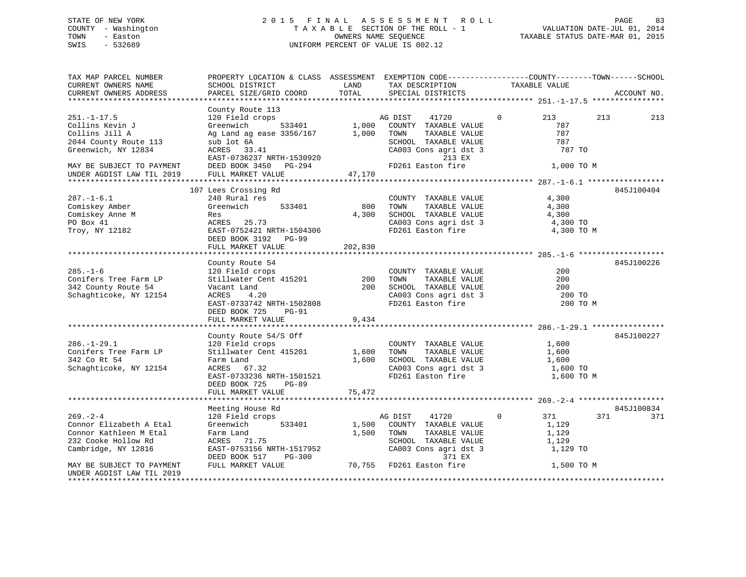### STATE OF NEW YORK 2 0 1 5 F I N A L A S S E S S M E N T R O L L PAGE 83 COUNTY - Washington T A X A B L E SECTION OF THE ROLL - 1 VALUATION DATE-JUL 01, 2014 TOWN - Easton **CONNERS NAME SEQUENCE** TAXABLE STATUS DATE-MAR 01, 2015 SWIS - 532689 UNIFORM PERCENT OF VALUE IS 002.12

| TAX MAP PARCEL NUMBER<br>CURRENT OWNERS NAME<br>CURRENT OWNERS ADDRESS                                                                                           | PROPERTY LOCATION & CLASS ASSESSMENT EXEMPTION CODE----------------COUNTY-------TOWN------SCHOOL<br>SCHOOL DISTRICT<br>PARCEL SIZE/GRID COORD                                                  | LAND<br>TOTAL            | TAX DESCRIPTION<br>SPECIAL DISTRICTS                                                                                                              | TAXABLE VALUE                                                   | ACCOUNT NO. |
|------------------------------------------------------------------------------------------------------------------------------------------------------------------|------------------------------------------------------------------------------------------------------------------------------------------------------------------------------------------------|--------------------------|---------------------------------------------------------------------------------------------------------------------------------------------------|-----------------------------------------------------------------|-------------|
|                                                                                                                                                                  |                                                                                                                                                                                                |                          |                                                                                                                                                   |                                                                 |             |
| $251. - 1 - 17.5$<br>Collins Kevin J<br>Collins Jill A<br>2044 County Route 113<br>Greenwich, NY 12834<br>MAY BE SUBJECT TO PAYMENT<br>UNDER AGDIST LAW TIL 2019 | County Route 113<br>120 Field crops<br>Greenwich<br>533401<br>Ag Land ag ease 3356/167<br>sub lot 6A<br>ACRES 33.41<br>EAST-0736237 NRTH-1530920<br>DEED BOOK 3450 PG-294<br>FULL MARKET VALUE | 1,000<br>1,000<br>47,170 | 41720<br>AG DIST<br>COUNTY TAXABLE VALUE<br>TOWN<br>TAXABLE VALUE<br>SCHOOL TAXABLE VALUE<br>CA003 Cons agri dst 3<br>213 EX<br>FD261 Easton fire | $\mathbf 0$<br>213<br>787<br>787<br>787<br>787 TO<br>1,000 TO M | 213<br>213  |
|                                                                                                                                                                  |                                                                                                                                                                                                |                          |                                                                                                                                                   |                                                                 |             |
| $287. - 1 - 6.1$<br>Comiskey Amber<br>Comiskey Anne M<br>PO Box 41<br>Troy, NY 12182                                                                             | 107 Lees Crossing Rd<br>240 Rural res<br>533401<br>Greenwich<br>Res<br>ACRES 25.73<br>EAST-0752421 NRTH-1504306<br>DEED BOOK 3192 PG-99<br>FULL MARKET VALUE                                   | 800<br>4,300<br>202,830  | COUNTY TAXABLE VALUE<br>TOWN<br>TAXABLE VALUE<br>SCHOOL TAXABLE VALUE<br>CA003 Cons agri dst 3<br>FD261 Easton fire                               | 4,300<br>4,300<br>4,300<br>4,300 TO<br>4,300 TO M               | 845J100404  |
|                                                                                                                                                                  | County Route 54                                                                                                                                                                                |                          |                                                                                                                                                   |                                                                 | 845J100226  |
| $285. - 1 - 6$<br>Conifers Tree Farm LP<br>342 County Route 54<br>Schaghticoke, NY 12154                                                                         | 120 Field crops<br>Stillwater Cent 415201<br>Vacant Land<br>ACRES<br>4.20<br>EAST-0733742 NRTH-1502808<br>DEED BOOK 725<br>PG-91<br>FULL MARKET VALUE                                          | 200<br>200<br>9,434      | COUNTY TAXABLE VALUE<br>TOWN<br>TAXABLE VALUE<br>SCHOOL TAXABLE VALUE<br>CA003 Cons agri dst 3<br>FD261 Easton fire                               | 200<br>200<br>200<br>200 TO<br>200 TO M                         |             |
|                                                                                                                                                                  |                                                                                                                                                                                                |                          |                                                                                                                                                   |                                                                 |             |
| $286. - 1 - 29.1$<br>Conifers Tree Farm LP<br>342 Co Rt 54<br>Schaghticoke, NY 12154                                                                             | County Route 54/S Off<br>120 Field crops<br>Stillwater Cent 415201<br>Farm Land<br>ACRES 67.32<br>EAST-0733236 NRTH-1501521<br>DEED BOOK 725<br><b>PG-89</b><br>FULL MARKET VALUE              | 1,600<br>1,600<br>75,472 | COUNTY TAXABLE VALUE<br>TAXABLE VALUE<br>TOWN<br>SCHOOL TAXABLE VALUE<br>CA003 Cons agri dst 3<br>FD261 Easton fire                               | 1,600<br>1,600<br>1,600<br>1,600 TO<br>1,600 TO M               | 845J100227  |
|                                                                                                                                                                  |                                                                                                                                                                                                |                          |                                                                                                                                                   |                                                                 |             |
|                                                                                                                                                                  | Meeting House Rd                                                                                                                                                                               |                          |                                                                                                                                                   |                                                                 | 845J100834  |
| $269. - 2 - 4$<br>Connor Elizabeth A Etal<br>Connor Kathleen M Etal<br>232 Cooke Hollow Rd<br>Cambridge, NY 12816                                                | 120 Field crops<br>Greenwich<br>533401<br>Farm Land<br>ACRES<br>71.75<br>EAST-0753156 NRTH-1517952<br>DEED BOOK 517<br>PG-300                                                                  | 1,500<br>1,500           | 41720<br>AG DIST<br>COUNTY TAXABLE VALUE<br>TOWN<br>TAXABLE VALUE<br>SCHOOL TAXABLE VALUE<br>CA003 Cons agri dst 3<br>371 EX                      | $\mathbf 0$<br>371<br>1,129<br>1,129<br>1,129<br>1,129 TO       | 371<br>371  |
| MAY BE SUBJECT TO PAYMENT<br>UNDER AGDIST LAW TIL 2019                                                                                                           | FULL MARKET VALUE                                                                                                                                                                              |                          | 70,755 FD261 Easton fire                                                                                                                          | 1,500 TO M                                                      |             |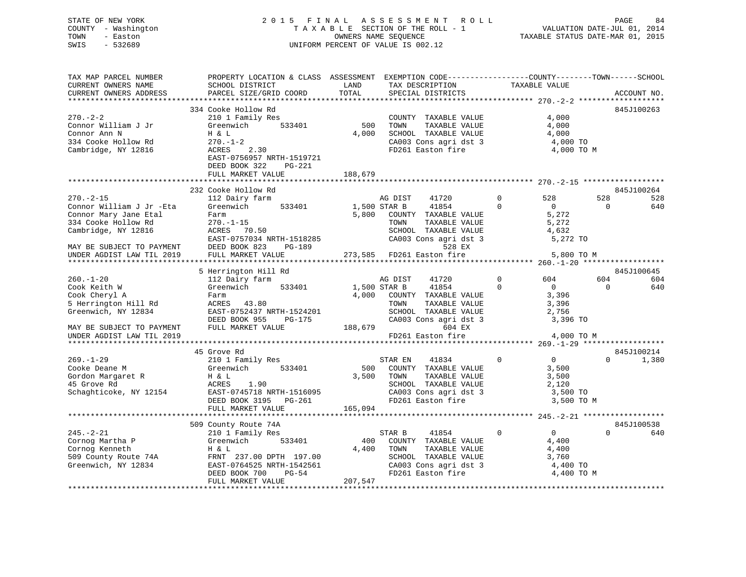### STATE OF NEW YORK 2 0 1 5 F I N A L A S S E S S M E N T R O L L PAGE 84 COUNTY - Washington T A X A B L E SECTION OF THE ROLL - 1 VALUATION DATE-JUL 01, 2014 TOWN - Easton COMPUTERS NAME SEQUENCE TAXABLE STATUS DATE-MAR 01, 2015<br>SWIS - 532689 SWIS - 532689 UNIFORM PERCENT OF VALUE IS 002.12

| TAX MAP PARCEL NUMBER<br>CURRENT OWNERS NAME                                                                       | PROPERTY LOCATION & CLASS ASSESSMENT EXEMPTION CODE-----------------COUNTY-------TOWN------SCHOOL<br>SCHOOL DISTRICT                                                               | LAND                    | TAX DESCRIPTION                                                                                                                                       | TAXABLE VALUE                                                                      |                 |                          |
|--------------------------------------------------------------------------------------------------------------------|------------------------------------------------------------------------------------------------------------------------------------------------------------------------------------|-------------------------|-------------------------------------------------------------------------------------------------------------------------------------------------------|------------------------------------------------------------------------------------|-----------------|--------------------------|
| CURRENT OWNERS ADDRESS                                                                                             | PARCEL SIZE/GRID COORD                                                                                                                                                             | TOTAL                   | SPECIAL DISTRICTS                                                                                                                                     |                                                                                    |                 | ACCOUNT NO.              |
|                                                                                                                    |                                                                                                                                                                                    |                         |                                                                                                                                                       |                                                                                    |                 |                          |
| $270. - 2 - 2$<br>Connor William J Jr<br>Connor Ann N<br>334 Cooke Hollow Rd<br>Cambridge, NY 12816                | 334 Cooke Hollow Rd<br>210 1 Family Res<br>533401<br>Greenwich<br>H & L<br>$270. - 1 - 2$<br>2.30<br>ACRES<br>EAST-0756957 NRTH-1519721<br>DEED BOOK 322<br>PG-221                 | 500<br>4,000            | COUNTY TAXABLE VALUE<br>TAXABLE VALUE<br>TOWN<br>SCHOOL TAXABLE VALUE<br>CA003 Cons agri dst 3 4,000 TO<br>FD261 Easton fire                          | 4,000<br>4,000<br>4,000<br>4,000 TO M                                              |                 | 845J100263               |
|                                                                                                                    | FULL MARKET VALUE                                                                                                                                                                  | 188,679                 |                                                                                                                                                       |                                                                                    |                 |                          |
|                                                                                                                    |                                                                                                                                                                                    |                         |                                                                                                                                                       |                                                                                    |                 |                          |
| $270. - 2 - 15$<br>Connor William J Jr -Eta<br>Connor Mary Jane Etal<br>334 Cooke Hollow Rd<br>Cambridge, NY 12816 | 232 Cooke Hollow Rd<br>112 Dairy farm<br>Greenwich 533401<br>Farm<br>$270. - 1 - 15$<br>ACRES 70.50                                                                                | 1,500 STAR B            | AG DIST<br>41720<br>41854<br>5,800 COUNTY TAXABLE VALUE<br>TOWN<br>TAXABLE VALUE<br>SCHOOL TAXABLE VALUE                                              | $\overline{0}$<br>528<br>$\Omega$<br>$\overline{0}$<br>5,272<br>5,272<br>4,632     | 528<br>$\Omega$ | 845J100264<br>528<br>640 |
| MAY BE SUBJECT TO PAYMENT<br>UNDER AGDIST LAW TIL 2019                                                             | EAST-0757034 NRTH-1518285<br>DEED BOOK 823<br>PG-189<br>FULL MARKET VALUE                                                                                                          |                         | CA003 Cons agri dst 3<br>528 EX<br>273,585 FD261 Easton fire                                                                                          | 5,272 TO<br>5,800 TO M                                                             |                 |                          |
|                                                                                                                    |                                                                                                                                                                                    |                         |                                                                                                                                                       |                                                                                    |                 |                          |
|                                                                                                                    | 5 Herrington Hill Rd                                                                                                                                                               |                         |                                                                                                                                                       |                                                                                    |                 | 845J100645               |
| $260. - 1 - 20$                                                                                                    | 112 Dairy farm                                                                                                                                                                     |                         | AG DIST<br>41720                                                                                                                                      | $\circ$<br>604                                                                     | 604             | 604                      |
| Cook Keith W<br>Cook Cheryl A<br>5 Herrington Hill Rd<br>Greenwich, NY 12834                                       | 533401<br>Greenwich<br>Farm<br>ACRES 43.80<br>EAST-0752437 NRTH-1524201<br>DEED BOOK 955<br>PG-175                                                                                 | .<br>)<br>188,679       | 1,500 STAR B<br>41854<br>4,000 COUNTY TAXABLE VALUE<br>TOWN<br>TAXABLE VALUE<br>SCHOOL TAXABLE VALUE<br>CA003 Cons agri dst $3$ 3,396 TO              | $\Omega$<br>$\overline{0}$<br>3,396<br>3,396<br>2,756                              | $\Omega$        | 640                      |
| MAY BE SUBJECT TO PAYMENT                                                                                          | FULL MARKET VALUE                                                                                                                                                                  |                         | 604 EX                                                                                                                                                |                                                                                    |                 |                          |
| UNDER AGDIST LAW TIL 2019                                                                                          |                                                                                                                                                                                    |                         | FD261 Easton fire                                                                                                                                     | 4,000 TO M                                                                         |                 |                          |
|                                                                                                                    |                                                                                                                                                                                    |                         |                                                                                                                                                       |                                                                                    |                 |                          |
| $269. - 1 - 29$<br>Cooke Deane M<br>Gordon Margaret R<br>45 Grove Rd                                               | 45 Grove Rd<br>210 1 Family Res<br>Greenwich 533401<br>$H \& L$<br>ACRES<br>1.90<br>Schaghticoke, NY 12154 EAST-0745718 NRTH-1516095<br>DEED BOOK 3195 PG-261<br>FULL MARKET VALUE | 3,500 TOWN<br>165,094   | STAR EN<br>41834<br>500 COUNTY TAXABLE VALUE<br>TAXABLE VALUE<br>SCHOOL TAXABLE VALUE<br>CA003 Cons agri dst 3<br>FD261 Easton fire                   | $\mathbf 0$<br>$\overline{0}$<br>3,500<br>3,500<br>2,120<br>3,500 TO<br>3,500 TO M | $\Omega$        | 845J100214<br>1,380      |
|                                                                                                                    |                                                                                                                                                                                    |                         |                                                                                                                                                       |                                                                                    |                 |                          |
| $245. - 2 - 21$                                                                                                    | 509 County Route 74A<br>210 1 Family Res<br>FULL MARKET VALUE                                                                                                                      | 400<br>4,400<br>207,547 | 41854<br>STAR B<br>COUNTY TAXABLE VALUE<br>TOWN      TAXABLE VALUE<br>SCHOOL   TAXABLE VALUE<br>CA003 Cons agri dst 3<br>FD261 Easton fire 4,400 TO M | 0<br>$\overline{0}$<br>4,400<br>4,400<br>3,760                                     | $\Omega$        | 845J100538<br>640        |
|                                                                                                                    |                                                                                                                                                                                    |                         |                                                                                                                                                       |                                                                                    |                 |                          |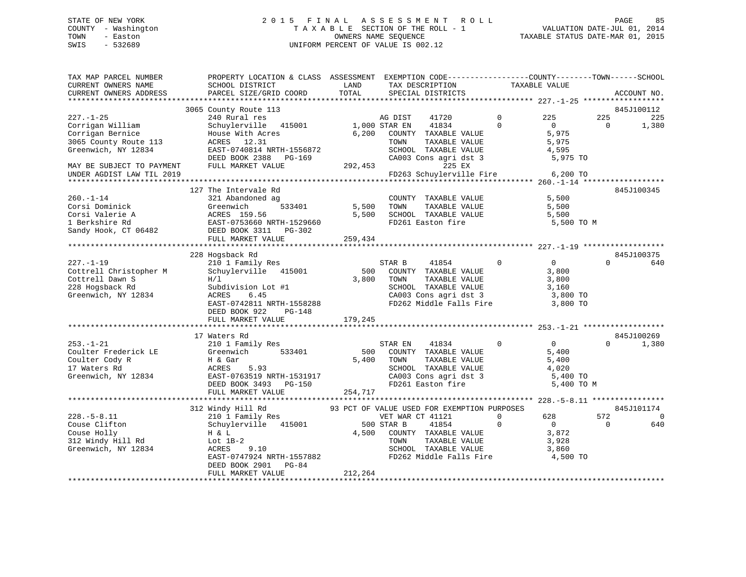## STATE OF NEW YORK 2 0 1 5 F I N A L A S S E S S M E N T R O L L PAGE 85COUNTY - Washington  $T A X A B L E$  SECTION OF THE ROLL - 1<br>TOWN - Easton DATE-JUL 2011 COUNTERS NAME SEQUENCE SWIS - 532689 UNIFORM PERCENT OF VALUE IS 002.12

TAXABLE STATUS DATE-MAR 01, 2015

| TAX MAP PARCEL NUMBER<br>CURRENT OWNERS NAME | PROPERTY LOCATION & CLASS ASSESSMENT EXEMPTION CODE----------------COUNTY-------TOWN------SCHOOL<br>SCHOOL DISTRICT | LAND          | TAX DESCRIPTION                                                        | TAXABLE VALUE  |                   |          |                |
|----------------------------------------------|---------------------------------------------------------------------------------------------------------------------|---------------|------------------------------------------------------------------------|----------------|-------------------|----------|----------------|
| CURRENT OWNERS ADDRESS                       | PARCEL SIZE/GRID COORD                                                                                              | TOTAL         | SPECIAL DISTRICTS                                                      |                |                   |          | ACCOUNT NO.    |
|                                              |                                                                                                                     |               |                                                                        |                |                   |          |                |
|                                              | 3065 County Route 113                                                                                               |               |                                                                        |                |                   |          | 845J100112     |
| $227. - 1 - 25$                              | 240 Rural res                                                                                                       |               | AG DIST<br>41720                                                       | $\mathbf 0$    | 225               | 225      | 225            |
| Corrigan William                             | Schuylerville 415001                                                                                                | 1,000 STAR EN | 41834                                                                  | $\Omega$       | $\Omega$          | $\Omega$ | 1,380          |
| Corrigan Bernice                             | House With Acres                                                                                                    | 6,200         | COUNTY TAXABLE VALUE                                                   |                | 5,975             |          |                |
| 3065 County Route 113                        | ACRES 12.31                                                                                                         |               | TAXABLE VALUE<br>TOWN                                                  |                | 5,975             |          |                |
| Greenwich, NY 12834                          | EAST-0740814 NRTH-1556872<br>DEED BOOK 2388 PG-169                                                                  |               | SCHOOL TAXABLE VALUE<br>CA003 Cons agri dst 3<br>CA003 Cons agri dst 3 |                | 4,595<br>5,975 TO |          |                |
| MAY BE SUBJECT TO PAYMENT                    | FULL MARKET VALUE                                                                                                   | 292,453       |                                                                        |                |                   |          |                |
| UNDER AGDIST LAW TIL 2019                    |                                                                                                                     |               | FD263 Schuylerville Fire                                               |                | 6,200 TO          |          |                |
|                                              |                                                                                                                     |               |                                                                        |                |                   |          |                |
|                                              | 127 The Intervale Rd                                                                                                |               |                                                                        |                |                   |          | 845J100345     |
| $260. -1 - 14$                               | 321 Abandoned ag                                                                                                    |               | COUNTY TAXABLE VALUE                                                   |                | 5,500             |          |                |
| Corsi Dominick                               | Greenwich<br>533401                                                                                                 | 5,500         | TAXABLE VALUE<br>TOWN                                                  |                | 5,500             |          |                |
| Corsi Valerie A                              |                                                                                                                     | 5,500         | SCHOOL TAXABLE VALUE                                                   |                | 5,500             |          |                |
| 1 Berkshire Rd                               | ACRES 159.56<br>EAST-0753660 NRTH-1529660<br>6482 DEED BOOK 3311 PG-302                                             |               | FD261 Easton fire                                                      |                | 5,500 TO M        |          |                |
| Sandy Hook, CT 06482                         |                                                                                                                     |               |                                                                        |                |                   |          |                |
|                                              | FULL MARKET VALUE                                                                                                   | 259,434       |                                                                        |                |                   |          |                |
|                                              |                                                                                                                     |               |                                                                        |                |                   |          |                |
|                                              | 228 Hogsback Rd                                                                                                     |               |                                                                        |                |                   |          | 845J100375     |
| $227. - 1 - 19$                              | 210 1 Family Res                                                                                                    |               | STAR B<br>41854                                                        | $\overline{0}$ | $\Omega$          | $\Omega$ | 640            |
| Cottrell Christopher M<br>Cottrell Dawn S    | Schuylerville 415001<br>H/1                                                                                         | 500<br>3,800  | COUNTY TAXABLE VALUE<br>TOWN<br>TAXABLE VALUE                          |                | 3,800<br>3,800    |          |                |
| 228 Hogsback Rd                              | Subdivision Lot #1                                                                                                  |               |                                                                        |                |                   |          |                |
| Greenwich, NY 12834                          | 6.45<br>ACRES                                                                                                       |               | SCHOOL TAXABLE VALUE 3,160<br>CA003 Cons agri dst 3 3,800 TO           |                |                   |          |                |
|                                              | EAST-0742811 NRTH-1558288                                                                                           |               | FD262 Middle Falls Fire 3,800 TO                                       |                |                   |          |                |
|                                              | DEED BOOK 922<br>PG-148                                                                                             |               |                                                                        |                |                   |          |                |
|                                              | FULL MARKET VALUE                                                                                                   | 179,245       |                                                                        |                |                   |          |                |
|                                              |                                                                                                                     |               |                                                                        |                |                   |          |                |
|                                              | 17 Waters Rd                                                                                                        |               |                                                                        |                |                   |          | 845J100269     |
| $253. - 1 - 21$                              | 210 1 Family Res                                                                                                    |               | 41834<br>STAR EN                                                       | $\Omega$       | $\overline{0}$    | $\Omega$ | 1,380          |
| Coulter Frederick LE                         | 533401<br>Greenwich                                                                                                 | 500           | COUNTY TAXABLE VALUE                                                   |                | 5,400             |          |                |
| Coulter Cody R                               | H & Gar                                                                                                             | 5,400         | TOWN<br>TAXABLE VALUE                                                  |                | 5,400             |          |                |
| 17 Waters Rd                                 | ACRES<br>5.93                                                                                                       |               | SCHOOL TAXABLE VALUE                                                   |                | 4,020             |          |                |
| Greenwich, NY 12834                          | EAST-0763519 NRTH-1531917                                                                                           |               | CA003 Cons agri dst 3                                                  |                | 5,400 TO          |          |                |
|                                              | DEED BOOK 3493 PG-150<br>FULL MARKET VALUE                                                                          |               | FD261 Easton fire                                                      |                | 5,400 TO M        |          |                |
|                                              |                                                                                                                     | 254,717       |                                                                        |                |                   |          |                |
|                                              | 312 Windy Hill Rd                                                                                                   |               | 93 PCT OF VALUE USED FOR EXEMPTION PURPOSES                            |                |                   |          | 845J101174     |
| $228. - 5 - 8.11$                            | Windy Hill Rd<br>210 1 Family Res                                                                                   |               | VET WAR CT 41121                                                       | $\Omega$       | 628               | 572      | $\overline{0}$ |
| Couse Clifton                                | Schuylerville 415001                                                                                                |               | 500 STAR B<br>41854                                                    | $\Omega$       | $\overline{0}$    | $\Omega$ | 640            |
| Couse Holly                                  | H & L                                                                                                               | 4,500         | COUNTY TAXABLE VALUE                                                   |                | 3,872             |          |                |
| 312 Windy Hill Rd                            | Lot $1B-2$                                                                                                          |               | TAXABLE VALUE<br>TOWN                                                  |                | 3,928             |          |                |
| Greenwich, NY 12834                          | ACRES<br>9.10                                                                                                       |               | SCHOOL TAXABLE VALUE                                                   |                | 3,860             |          |                |
|                                              | EAST-0747924 NRTH-1557882                                                                                           |               | FD262 Middle Falls Fire                                                |                | 4,500 TO          |          |                |
|                                              | DEED BOOK 2901<br>PG-84                                                                                             |               |                                                                        |                |                   |          |                |
|                                              | FULL MARKET VALUE                                                                                                   | 212,264       |                                                                        |                |                   |          |                |
|                                              |                                                                                                                     |               |                                                                        |                |                   |          |                |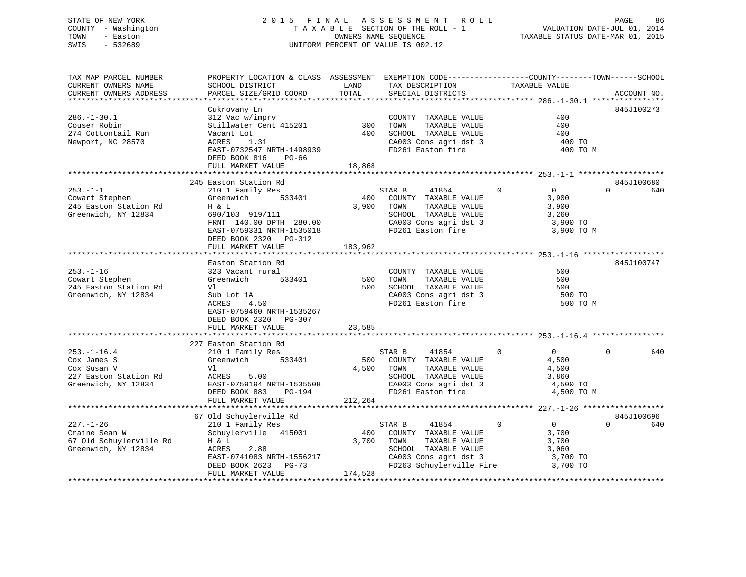# COUNTY - Washington  $T A X A B L E$  SECTION OF THE ROLL - 1<br>TOWN - Easton DATE-JUL 2011 COUNTERS NAME SEQUENCE SWIS - 532689 UNIFORM PERCENT OF VALUE IS 002.12

STATE OF NEW YORK 2 0 1 5 F I N A L A S S E S S M E N T R O L L PAGE 86VALUATION DATE-JUL 01, 2014 TAXABLE STATUS DATE-MAR 01, 2015

| TAX MAP PARCEL NUMBER   | PROPERTY LOCATION & CLASS ASSESSMENT EXEMPTION CODE---------------COUNTY-------TOWN-----SCHOOL |         |                                               |                               |                 |
|-------------------------|------------------------------------------------------------------------------------------------|---------|-----------------------------------------------|-------------------------------|-----------------|
| CURRENT OWNERS NAME     | SCHOOL DISTRICT                                                                                | LAND    | TAX DESCRIPTION                               | TAXABLE VALUE                 |                 |
| CURRENT OWNERS ADDRESS  | PARCEL SIZE/GRID COORD                                                                         | TOTAL   | SPECIAL DISTRICTS                             |                               | ACCOUNT NO.     |
|                         |                                                                                                |         |                                               |                               |                 |
|                         | Cukrovany Ln                                                                                   |         |                                               |                               | 845J100273      |
| $286. - 1 - 30.1$       | 312 Vac w/imprv                                                                                |         | COUNTY TAXABLE VALUE                          | 400                           |                 |
| Couser Robin            | Stillwater Cent 415201                                                                         | 300     | TAXABLE VALUE<br>TOWN                         | 400                           |                 |
| 274 Cottontail Run      | Vacant Lot                                                                                     | 400     | SCHOOL TAXABLE VALUE                          | 400                           |                 |
| Newport, NC 28570       | 1.31<br>ACRES                                                                                  |         | CA003 Cons agri dst 3                         | 400 TO                        |                 |
|                         | EAST-0732547 NRTH-1498939                                                                      |         | FD261 Easton fire                             | 400 TO M                      |                 |
|                         | DEED BOOK 816<br>PG-66                                                                         |         |                                               |                               |                 |
|                         | FULL MARKET VALUE                                                                              | 18,868  |                                               |                               |                 |
|                         |                                                                                                |         |                                               |                               |                 |
|                         | 245 Easton Station Rd                                                                          |         |                                               |                               | 845J100680      |
| $253. - 1 - 1$          | 210 1 Family Res                                                                               |         | STAR B<br>41854                               | $\Omega$<br>$\overline{0}$    | $\Omega$<br>640 |
| Cowart Stephen          | Greenwich<br>533401                                                                            |         | 400 COUNTY TAXABLE VALUE                      | 3,900                         |                 |
| 245 Easton Station Rd   | H & L                                                                                          | 3,900   | TOWN<br>TAXABLE VALUE                         | 3,900                         |                 |
| Greenwich, NY 12834     | 690/103 919/111                                                                                |         | SCHOOL TAXABLE VALUE                          | 3,260                         |                 |
|                         | FRNT 140.00 DPTH 280.00                                                                        |         | CA003 Cons agri dst 3                         | 3,900 TO                      |                 |
|                         | EAST-0759331 NRTH-1535018                                                                      |         | FD261 Easton fire                             | 3,900 TO M                    |                 |
|                         | DEED BOOK 2320 PG-312                                                                          |         |                                               |                               |                 |
|                         | FULL MARKET VALUE                                                                              | 183,962 |                                               |                               |                 |
|                         |                                                                                                |         |                                               |                               |                 |
|                         | Easton Station Rd                                                                              |         |                                               |                               | 845J100747      |
| $253. - 1 - 16$         | 323 Vacant rural                                                                               |         | COUNTY TAXABLE VALUE                          | 500                           |                 |
| Cowart Stephen          | Greenwich<br>533401                                                                            | 500     | TAXABLE VALUE<br>TOWN                         | 500                           |                 |
| 245 Easton Station Rd   | Vl                                                                                             | 500     | SCHOOL TAXABLE VALUE<br>CAOO3 Cons agri dst 3 | 500                           |                 |
| Greenwich, NY 12834     | Sub Lot 1A                                                                                     |         |                                               | 500 TO                        |                 |
|                         | ACRES<br>4.50                                                                                  |         | FD261 Easton fire                             | 500 TO M                      |                 |
|                         | EAST-0759460 NRTH-1535267                                                                      |         |                                               |                               |                 |
|                         | DEED BOOK 2320 PG-307                                                                          |         |                                               |                               |                 |
|                         | FULL MARKET VALUE                                                                              | 23,585  |                                               |                               |                 |
|                         |                                                                                                |         |                                               |                               |                 |
|                         | 227 Easton Station Rd                                                                          |         |                                               |                               |                 |
| $253. - 1 - 16.4$       | 210 1 Family Res                                                                               |         | STAR B<br>41854                               | $\overline{0}$<br>$\mathbf 0$ | $\Omega$<br>640 |
| Cox James S             | 533401<br>Greenwich                                                                            |         | 500 COUNTY TAXABLE VALUE                      | 4,500                         |                 |
| Cox Susan V             | Vl                                                                                             |         | 4,500 TOWN<br>TAXABLE VALUE                   | 4,500                         |                 |
| 227 Easton Station Rd   | ACRES<br>5.00                                                                                  |         | SCHOOL TAXABLE VALUE                          | 3,860                         |                 |
| Greenwich, NY 12834     | EAST-0759194 NRTH-1535508                                                                      |         | CA003 Cons agri dst 3                         | 4,500 TO                      |                 |
|                         | DEED BOOK 883<br>PG-194                                                                        |         | FD261 Easton fire                             | 4,500 TO M                    |                 |
|                         | FULL MARKET VALUE                                                                              | 212,264 |                                               |                               |                 |
|                         |                                                                                                |         |                                               |                               |                 |
|                         | 67 Old Schuylerville Rd                                                                        |         |                                               |                               | 845J100696      |
| $227. - 1 - 26$         | 210 1 Family Res                                                                               |         | STAR B<br>41854                               | $\mathbf 0$<br>$\overline{0}$ | $\Omega$<br>640 |
| Craine Sean W           | Schuylerville 415001                                                                           | 400     | COUNTY TAXABLE VALUE                          | 3,700                         |                 |
| 67 Old Schuylerville Rd | H & L                                                                                          | 3,700   | TOWN<br>TAXABLE VALUE                         | 3,700                         |                 |
| Greenwich, NY 12834     | 2.88<br>ACRES                                                                                  |         | SCHOOL TAXABLE VALUE                          | 3,060                         |                 |
|                         | EAST-0741083 NRTH-1556217                                                                      |         | CA003 Cons agri dst 3                         | 3,700 TO                      |                 |
|                         | DEED BOOK 2623 PG-73                                                                           |         | FD263 Schuylerville Fire                      | 3,700 TO                      |                 |
|                         | FULL MARKET VALUE                                                                              | 174,528 |                                               |                               |                 |
|                         |                                                                                                |         |                                               |                               |                 |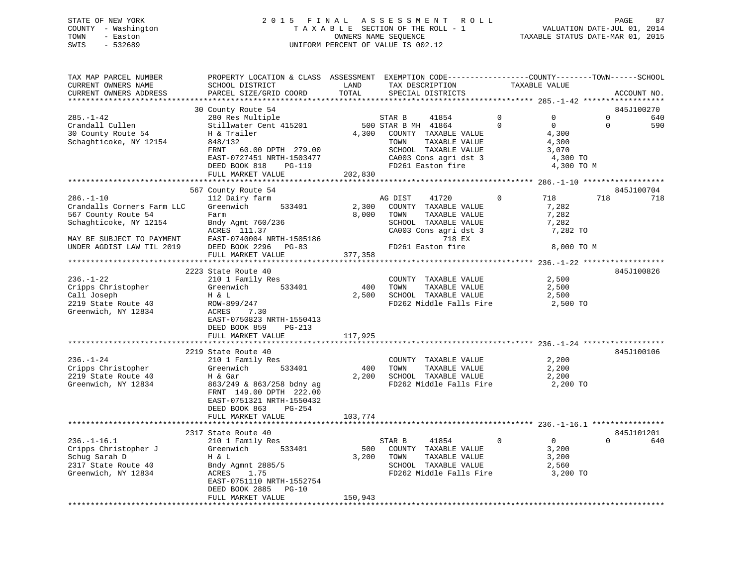### STATE OF NEW YORK 2 0 1 5 F I N A L A S S E S S M E N T R O L L PAGE 87 COUNTY - Washington T A X A B L E SECTION OF THE ROLL - 1 VALUATION DATE-JUL 01, 2014 TOWN - Easton CONNERS NAME SEQUENCE TAXABLE STATUS DATE-MAR 01, 2015<br>SWIS - 532689 SWIS - 532689 UNIFORM PERCENT OF VALUE IS 002.12

| TAX MAP PARCEL NUMBER<br>CURRENT OWNERS NAME<br>CURRENT OWNERS ADDRESS | PROPERTY LOCATION & CLASS ASSESSMENT EXEMPTION CODE----------------COUNTY-------TOWN------SCHOOL<br>SCHOOL DISTRICT<br>PARCEL SIZE/GRID COORD | LAND<br>TOTAL | TAX DESCRIPTION<br>SPECIAL DISTRICTS | TAXABLE VALUE              | ACCOUNT NO.              |
|------------------------------------------------------------------------|-----------------------------------------------------------------------------------------------------------------------------------------------|---------------|--------------------------------------|----------------------------|--------------------------|
|                                                                        |                                                                                                                                               |               |                                      |                            |                          |
|                                                                        | 30 County Route 54                                                                                                                            |               |                                      |                            | 845J100270               |
| $285. - 1 - 42$                                                        | 280 Res Multiple                                                                                                                              |               | STAR B<br>41854                      | $\Omega$<br>$\Omega$       | $\Omega$<br>640          |
| Crandall Cullen                                                        | Stillwater Cent 415201                                                                                                                        |               | 500 STAR B MH 41864                  | $\Omega$<br>$\overline{0}$ | 590<br>$\Omega$          |
| 30 County Route 54                                                     | H & Trailer                                                                                                                                   |               | 4,300 COUNTY TAXABLE VALUE           | 4,300                      |                          |
| Schaghticoke, NY 12154                                                 | 848/132                                                                                                                                       |               | TOWN<br>TAXABLE VALUE                | 4,300                      |                          |
|                                                                        | 60.00 DPTH 279.00<br>FRNT                                                                                                                     |               | SCHOOL TAXABLE VALUE                 | 3,070                      |                          |
|                                                                        | EAST-0727451 NRTH-1503477                                                                                                                     |               | CA003 Cons agri dst 3                |                            | 4,300 TO                 |
|                                                                        | DEED BOOK 818<br>PG-119                                                                                                                       |               | FD261 Easton fire                    |                            | 4,300 TO M               |
|                                                                        | FULL MARKET VALUE                                                                                                                             | 202,830       |                                      |                            |                          |
|                                                                        |                                                                                                                                               |               |                                      |                            |                          |
| $286. - 1 - 10$                                                        | 567 County Route 54<br>112 Dairy farm                                                                                                         |               | AG DIST<br>41720                     | $\mathbf 0$<br>718         | 845J100704<br>718<br>718 |
| Crandalls Corners Farm LLC                                             | Greenwich<br>533401                                                                                                                           | 2,300         | COUNTY TAXABLE VALUE                 | 7,282                      |                          |
| 567 County Route 54                                                    | Farm                                                                                                                                          | 8,000         | TOWN<br>TAXABLE VALUE                | 7,282                      |                          |
| Schaghticoke, NY 12154                                                 | Bndy Agmt 760/236                                                                                                                             |               | SCHOOL TAXABLE VALUE                 | 7,282                      |                          |
|                                                                        | ACRES 111.37                                                                                                                                  |               | CA003 Cons agri dst 3                |                            | 7,282 TO                 |
| MAY BE SUBJECT TO PAYMENT                                              | EAST-0740004 NRTH-1505186                                                                                                                     |               | 718 EX                               |                            |                          |
| UNDER AGDIST LAW TIL 2019                                              | DEED BOOK 2296 PG-83                                                                                                                          |               | FD261 Easton fire                    |                            | 8,000 TO M               |
|                                                                        | FULL MARKET VALUE                                                                                                                             | 377,358       |                                      |                            |                          |
|                                                                        |                                                                                                                                               |               |                                      |                            |                          |
|                                                                        | 2223 State Route 40                                                                                                                           |               |                                      |                            | 845J100826               |
| $236. - 1 - 22$                                                        | 210 1 Family Res                                                                                                                              |               | COUNTY TAXABLE VALUE                 | 2,500                      |                          |
| Cripps Christopher                                                     | 533401<br>Greenwich                                                                                                                           | 400           | TOWN<br>TAXABLE VALUE                | 2,500                      |                          |
| Cali Joseph                                                            | H & L                                                                                                                                         |               | 2,500 SCHOOL TAXABLE VALUE           | 2,500                      |                          |
| 2219 State Route 40                                                    | ROW-899/247                                                                                                                                   |               | FD262 Middle Falls Fire              |                            | 2,500 TO                 |
| Greenwich, NY 12834                                                    | 7.30<br>ACRES                                                                                                                                 |               |                                      |                            |                          |
|                                                                        | EAST-0750823 NRTH-1550413                                                                                                                     |               |                                      |                            |                          |
|                                                                        | DEED BOOK 859<br>PG-213                                                                                                                       |               |                                      |                            |                          |
|                                                                        | FULL MARKET VALUE                                                                                                                             | 117,925       |                                      |                            |                          |
|                                                                        |                                                                                                                                               |               |                                      |                            |                          |
|                                                                        | 2219 State Route 40                                                                                                                           |               |                                      |                            | 845J100106               |
| $236. - 1 - 24$                                                        | 210 1 Family Res                                                                                                                              |               | COUNTY TAXABLE VALUE                 | 2,200                      |                          |
| Cripps Christopher                                                     | 533401<br>Greenwich                                                                                                                           | 400           | TOWN<br>TAXABLE VALUE                | 2,200                      |                          |
| 2219 State Route 40                                                    | H & Gar                                                                                                                                       |               | 2,200 SCHOOL TAXABLE VALUE           | 2,200                      |                          |
| Greenwich, NY 12834                                                    | 863/249 & 863/258 bdny ag                                                                                                                     |               | FD262 Middle Falls Fire              |                            | 2,200 TO                 |
|                                                                        | FRNT 149.00 DPTH 222.00                                                                                                                       |               |                                      |                            |                          |
|                                                                        | EAST-0751321 NRTH-1550432                                                                                                                     |               |                                      |                            |                          |
|                                                                        | DEED BOOK 863<br>$PG-254$                                                                                                                     |               |                                      |                            |                          |
|                                                                        | FULL MARKET VALUE                                                                                                                             | 103,774       |                                      |                            |                          |
|                                                                        | 2317 State Route 40                                                                                                                           |               |                                      |                            | 845J101201               |
| $236. - 1 - 16.1$                                                      | 210 1 Family Res                                                                                                                              |               | STAR B<br>41854                      | $\overline{0}$<br>$\Omega$ | $\Omega$<br>640          |
| Cripps Christopher J                                                   | Greenwich<br>533401                                                                                                                           |               | 500 COUNTY TAXABLE VALUE             | 3,200                      |                          |
| Schug Sarah D                                                          | H & L                                                                                                                                         | 3,200         | TOWN<br>TAXABLE VALUE                | 3,200                      |                          |
| 2317 State Route 40                                                    | Bndy Agmnt 2885/5                                                                                                                             |               | SCHOOL TAXABLE VALUE                 | 2,560                      |                          |
| Greenwich, NY 12834                                                    | ACRES<br>1.75                                                                                                                                 |               | FD262 Middle Falls Fire              |                            | 3,200 TO                 |
|                                                                        | EAST-0751110 NRTH-1552754                                                                                                                     |               |                                      |                            |                          |
|                                                                        | DEED BOOK 2885<br>$PG-10$                                                                                                                     |               |                                      |                            |                          |
|                                                                        | FULL MARKET VALUE                                                                                                                             | 150,943       |                                      |                            |                          |
|                                                                        |                                                                                                                                               |               |                                      |                            |                          |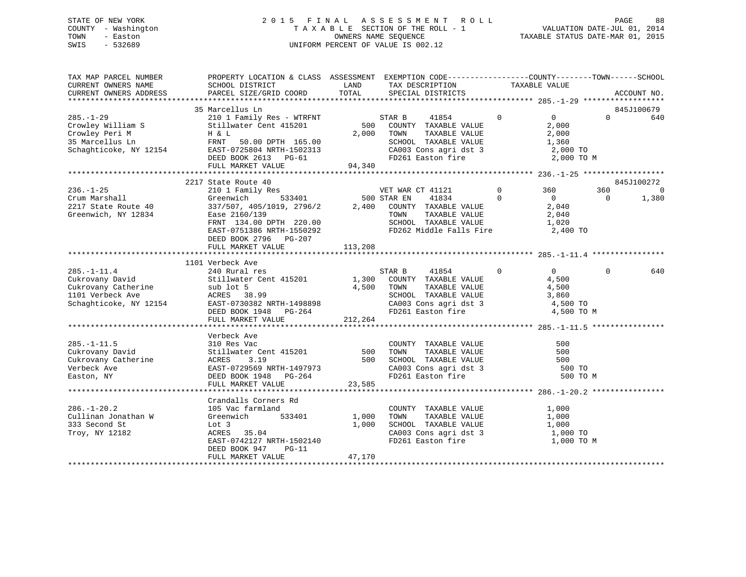### STATE OF NEW YORK 2 0 1 5 F I N A L A S S E S S M E N T R O L L PAGE 88 COUNTY - Washington T A X A B L E SECTION OF THE ROLL - 1 VALUATION DATE-JUL 01, 2014 TOWN - Easton COMPUTERS NAME SEQUENCE TAXABLE STATUS DATE-MAR 01, 2015<br>SWIS - 532689 SWIS - 532689 UNIFORM PERCENT OF VALUE IS 002.12

| TAX MAP PARCEL NUMBER<br>CURRENT OWNERS NAME<br>CURRENT OWNERS ADDRESS                              | PROPERTY LOCATION & CLASS ASSESSMENT EXEMPTION CODE---------------COUNTY-------TOWN------SCHOOL<br>SCHOOL DISTRICT<br>PARCEL SIZE/GRID COORD                                                                                          | LAND<br>TOTAL            | TAX DESCRIPTION<br>SPECIAL DISTRICTS                                                                                                                         | TAXABLE VALUE                                                                         |                 | ACCOUNT NO.             |
|-----------------------------------------------------------------------------------------------------|---------------------------------------------------------------------------------------------------------------------------------------------------------------------------------------------------------------------------------------|--------------------------|--------------------------------------------------------------------------------------------------------------------------------------------------------------|---------------------------------------------------------------------------------------|-----------------|-------------------------|
|                                                                                                     |                                                                                                                                                                                                                                       |                          |                                                                                                                                                              |                                                                                       |                 |                         |
| $285. - 1 - 29$<br>Crowley William S<br>Crowley Peri M<br>35 Marcellus Ln<br>Schaghticoke, NY 12154 | 35 Marcellus Ln<br>210 1 Family Res - WTRFNT<br>Stillwater Cent 415201<br>H & L<br>FRNT 50.00 DPTH 165.00<br>EAST-0725804 NRTH-1502313<br>DEED BOOK 2613 PG-61<br>FULL MARKET VALUE                                                   | 94,340                   | $\sim$ 0<br>STAR B<br>41854<br>500 COUNTY TAXABLE VALUE<br>2,000 TOWN<br>TAXABLE VALUE<br>SCHOOL TAXABLE VALUE<br>CA003 Cons agri dst 3<br>FD261 Easton fire | $\overline{0}$<br>2,000<br>2,000<br>1,360<br>2,000 TO<br>2,000 TO M                   | $\overline{0}$  | 845J100679<br>640       |
|                                                                                                     | 2217 State Route 40                                                                                                                                                                                                                   |                          |                                                                                                                                                              |                                                                                       |                 | 845J100272              |
| $236. - 1 - 25$<br>Crum Marshall<br>2217 State Route 40<br>Greenwich, NY 12834                      | 210 1 Family Res<br>Greenwich 533401 500 STAR EN 41834<br>337/507, 405/1019, 2796/2 2,400 COUNTY TAXABLE VALUE<br>Ease 2160/139<br>FRNT 134.00 DPTH 220.00<br>EAST-0751386 NRTH-1550292<br>DEED BOOK 2796 PG-207<br>FULL MARKET VALUE | 113,208                  | TAXABLE VALUE<br>TOWN<br>SCHOOL TAXABLE VALUE<br>FD262 Middle Falls Fire 2,400 TO                                                                            | $\overline{0}$<br>360<br>$\Omega$<br>$\overline{0}$<br>2,040<br>2,040<br>1,020        | 360<br>$\Omega$ | $\overline{0}$<br>1,380 |
|                                                                                                     |                                                                                                                                                                                                                                       |                          |                                                                                                                                                              |                                                                                       |                 |                         |
| $285. - 1 - 11.4$<br>Cukrovany David<br>Schaghticoke, NY 12154                                      | 1101 Verbeck Ave<br>240 Rural res<br>Stillwater Cent 415201 1,300 COUNTY TAXABLE VALUE<br>EAST-0730382 NRTH-1498898<br>DEED BOOK 1948 PG-264<br>FULL MARKET VALUE 212,264                                                             |                          | STAR B<br>41854<br>4,500 TOWN<br>TAXABLE VALUE<br>TOWN      TAXABLE VALUE<br>SCHOOL   TAXABLE VALUE<br>CA003 Cons agri dst 3<br>FD261 Easton fire            | $\overline{0}$<br>$\overline{0}$<br>4,500<br>4,500<br>3,860<br>4,500 TO<br>4,500 TO M | $\mathbf{0}$    | 640                     |
|                                                                                                     |                                                                                                                                                                                                                                       |                          |                                                                                                                                                              |                                                                                       |                 |                         |
| $285. -1 - 11.5$<br>Cukrovany David<br>Cukrovany Catherine<br>Verbeck Ave<br>Easton, NY             | Verbeck Ave<br>310 Res Vac<br>Stillwater Cent 415201<br>3.19<br>ACRES<br>EAST-0729569 NRTH-1497973<br>DEED BOOK 1948 PG-264                                                                                                           | 500                      | COUNTY TAXABLE VALUE<br>TAXABLE VALUE<br>TOWN<br>500 SCHOOL TAXABLE VALUE<br>CA003 Cons agri dst 3<br>FD261 Easton fire                                      | 500<br>500<br>500<br>500 TO                                                           | 500 TO M        |                         |
|                                                                                                     | FULL MARKET VALUE                                                                                                                                                                                                                     | 23,585                   |                                                                                                                                                              |                                                                                       |                 |                         |
| $286. - 1 - 20.2$<br>Cullinan Jonathan W<br>333 Second St<br>Troy, NY 12182                         | Crandalls Corners Rd<br>105 Vac farmland<br>533401<br>Greenwich<br>Lot 3<br>ACRES 35.04<br>EAST-0742127 NRTH-1502140<br>DEED BOOK 947<br>PG-11<br>FULL MARKET VALUE                                                                   | 1,000<br>1,000<br>47,170 | COUNTY TAXABLE VALUE<br>TOWN<br>TAXABLE VALUE<br>SCHOOL TAXABLE VALUE<br>CA003 Cons agri dst 3<br>FD261 Easton fire                                          | 1,000<br>1,000<br>1,000<br>1,000 TO<br>1,000 TO M                                     |                 |                         |
|                                                                                                     |                                                                                                                                                                                                                                       |                          |                                                                                                                                                              |                                                                                       |                 |                         |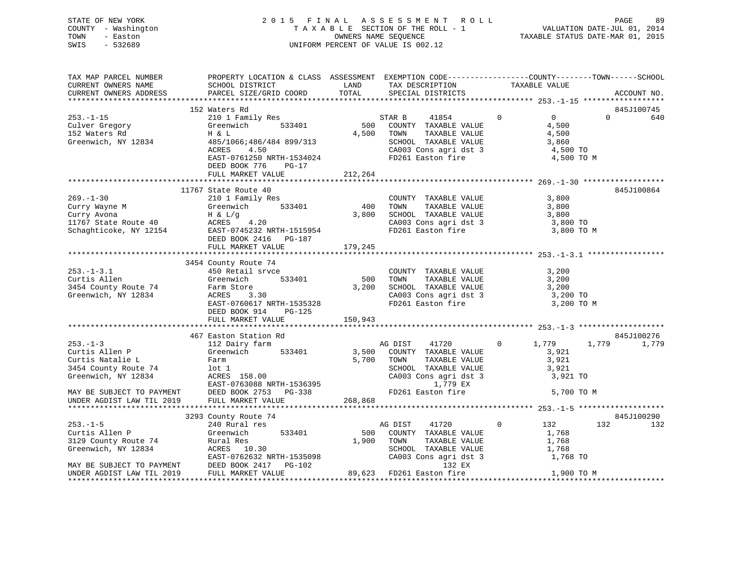STATE OF NEW YORK 2 0 1 5 F I N A L A S S E S S M E N T R O L L PAGE 89 COUNTY - Washington T A X A B L E SECTION OF THE ROLL - 1 VALUATION DATE-JUL 01, 2014 TOWN - Easton COMPUTERS NAME SEQUENCE TAXABLE STATUS DATE-MAR 01, 2015<br>SWIS - 532689 SWIS - 532689 UNIFORM PERCENT OF VALUE IS 002.12

| TAX MAP PARCEL NUMBER      | PROPERTY LOCATION & CLASS ASSESSMENT EXEMPTION CODE----------------COUNTY-------TOWN------SCHOOL                                                                                                                                                         |                             |                                                                                                                                                        |                |                |          |             |
|----------------------------|----------------------------------------------------------------------------------------------------------------------------------------------------------------------------------------------------------------------------------------------------------|-----------------------------|--------------------------------------------------------------------------------------------------------------------------------------------------------|----------------|----------------|----------|-------------|
| CURRENT OWNERS NAME        | SCHOOL DISTRICT<br><b>LAND</b>                                                                                                                                                                                                                           |                             | TAX DESCRIPTION                                                                                                                                        | TAXABLE VALUE  |                |          |             |
|                            | CURRENT OWNERS ADDRESS PARCEL SIZE/GRID COORD TOTAL SPECIAL DISTRICTS                                                                                                                                                                                    |                             |                                                                                                                                                        |                |                |          | ACCOUNT NO. |
|                            |                                                                                                                                                                                                                                                          |                             |                                                                                                                                                        |                |                |          |             |
|                            | 152 Waters Rd                                                                                                                                                                                                                                            |                             |                                                                                                                                                        |                |                |          | 845J100745  |
|                            | 253.-1-15<br>Culver Gregory<br>152 Waters Rd<br>Greenwich, NY 12834<br>310 1 Family Res<br>Greenwich, NY 12834<br>485/1066;486/484 899/313<br>30006;486/484 899/313                                                                                      |                             | STAR B 41854 0                                                                                                                                         |                | $\overline{0}$ | $\Omega$ | 640         |
|                            |                                                                                                                                                                                                                                                          |                             | 500 COUNTY TAXABLE VALUE                                                                                                                               | 4,500          |                |          |             |
|                            |                                                                                                                                                                                                                                                          |                             | 4,500 TOWN<br>TAXABLE VALUE                                                                                                                            |                | 4,500          |          |             |
|                            |                                                                                                                                                                                                                                                          |                             | SCHOOL TAXABLE VALUE 3,860                                                                                                                             |                |                |          |             |
|                            | 4.50<br>ACRES                                                                                                                                                                                                                                            |                             | CA003 Cons agri dst 3 4,500 TO<br>FD261 Easton fire 4,500 TO M                                                                                         |                |                |          |             |
|                            | EAST-0761250 NRTH-1534024                                                                                                                                                                                                                                |                             |                                                                                                                                                        |                |                |          |             |
|                            | DEED BOOK 776 PG-17                                                                                                                                                                                                                                      |                             |                                                                                                                                                        |                |                |          |             |
|                            | FULL MARKET VALUE                                                                                                                                                                                                                                        | 212,264                     |                                                                                                                                                        |                |                |          |             |
|                            |                                                                                                                                                                                                                                                          |                             |                                                                                                                                                        |                |                |          |             |
|                            | 11767 State Route 40                                                                                                                                                                                                                                     |                             |                                                                                                                                                        |                |                |          | 845J100864  |
|                            |                                                                                                                                                                                                                                                          |                             | COUNTY TAXABLE VALUE 3,800                                                                                                                             |                |                |          |             |
|                            |                                                                                                                                                                                                                                                          |                             | TAXABLE VALUE 3,800<br>TAXABLE VALUE 3,800                                                                                                             |                |                |          |             |
|                            |                                                                                                                                                                                                                                                          |                             |                                                                                                                                                        |                |                |          |             |
|                            |                                                                                                                                                                                                                                                          |                             |                                                                                                                                                        |                |                |          |             |
|                            |                                                                                                                                                                                                                                                          |                             | CA003 Cons agri dst 3 3,800 TO<br>FD261 Easton fire 3,800 TO                                                                                           |                | 3,800 TO M     |          |             |
|                            |                                                                                                                                                                                                                                                          |                             |                                                                                                                                                        |                |                |          |             |
|                            | FULL MARKET VALUE                                                                                                                                                                                                                                        | 179,245                     |                                                                                                                                                        |                |                |          |             |
|                            |                                                                                                                                                                                                                                                          |                             |                                                                                                                                                        |                |                |          |             |
|                            | 3454 County Route 74                                                                                                                                                                                                                                     |                             |                                                                                                                                                        |                |                |          |             |
| $253 - 1 - 3.1$            | 450 Retail srvce                                                                                                                                                                                                                                         |                             |                                                                                                                                                        |                |                |          |             |
| Curtis Allen               | Greenwich                                                                                                                                                                                                                                                | $\frac{1}{2}$<br>533401 500 | COUNTY TAXABLE VALUE 3,200<br>TOWN TAXABLE VALUE 3,200                                                                                                 |                |                |          |             |
| 3454 County Route 74       | re 3.30 3.30<br>Farm Store                                                                                                                                                                                                                               |                             |                                                                                                                                                        |                |                |          |             |
|                            |                                                                                                                                                                                                                                                          |                             | SCHOOL TAXABLE VALUE 3,200<br>CA003 Cons agri dst 3 3,200 TO                                                                                           |                |                |          |             |
|                            |                                                                                                                                                                                                                                                          |                             |                                                                                                                                                        |                |                |          |             |
|                            |                                                                                                                                                                                                                                                          |                             |                                                                                                                                                        |                |                |          |             |
|                            |                                                                                                                                                                                                                                                          |                             |                                                                                                                                                        |                |                |          |             |
|                            |                                                                                                                                                                                                                                                          |                             |                                                                                                                                                        |                |                |          |             |
|                            | 467 Easton Station Rd                                                                                                                                                                                                                                    |                             |                                                                                                                                                        |                |                |          | 845J100276  |
| $253. - 1 - 3$             | 112 Dairy farm                                                                                                                                                                                                                                           |                             | AG DIST<br>41720                                                                                                                                       |                | $0 \t 1,779$   |          | 1,779 1,779 |
| zos.-1-s<br>Curtis Allen P | Greenwich 533401                                                                                                                                                                                                                                         |                             | 3,500 COUNTY TAXABLE VALUE                                                                                                                             |                | 3,921          |          |             |
|                            |                                                                                                                                                                                                                                                          |                             | TAXABLE VALUE                                                                                                                                          |                |                |          |             |
|                            |                                                                                                                                                                                                                                                          |                             |                                                                                                                                                        |                | 3,921<br>3,921 |          |             |
|                            | Curtis Ailen P<br>Curtis Ailen P<br>Curtis Ailen P<br>Curtis Ailen P<br>Curtis Ailen P<br>Curtis Ailen P<br>Curtis Ailen P<br>Curtis Ailen P<br>Curtis Ailen P<br>Curtis Ailen P<br>Curtis Ailen P<br>Curtis Ailen P<br>Curtis Ailen P<br>Curtis Ailen P |                             | SCHOOL TAXABLE VALUE 3,921<br>CA003 Cons agri dst 3 3 3,921 TO                                                                                         |                |                |          |             |
|                            |                                                                                                                                                                                                                                                          |                             | 1,779 EX                                                                                                                                               |                |                |          |             |
|                            |                                                                                                                                                                                                                                                          |                             | FD261 Easton fire                                                                                                                                      |                | 5,700 TO M     |          |             |
|                            |                                                                                                                                                                                                                                                          |                             |                                                                                                                                                        |                |                |          |             |
|                            |                                                                                                                                                                                                                                                          |                             |                                                                                                                                                        |                |                |          |             |
|                            | 3293 County Route 74                                                                                                                                                                                                                                     |                             |                                                                                                                                                        |                |                |          | 845J100290  |
| $253. - 1 - 5$             | 240 Rural res<br>Greenwich 533401                                                                                                                                                                                                                        |                             | AG DIST 41720                                                                                                                                          | $\overline{0}$ | 132            | 132      | 132         |
| Curtis Allen P             | Greenwich                                                                                                                                                                                                                                                |                             | 500 COUNTY TAXABLE VALUE                                                                                                                               |                | 1,768          |          |             |
| 3129 County Route 74       |                                                                                                                                                                                                                                                          | 1,900 TOWN                  |                                                                                                                                                        |                |                |          |             |
| Greenwich, NY 12834        | Rural Res<br>ACRES 10.30                                                                                                                                                                                                                                 |                             | $\begin{tabular}{lllllllll} \textbf{TONN} & \textbf{TAXABLE VALUE} & & & 1,768 \\ \textbf{SCH OOL} & \textbf{TAXABLE VALUE} & & & 1,768 \end{tabular}$ |                |                |          |             |
|                            |                                                                                                                                                                                                                                                          |                             | CA003 Cons agri dst 3                                                                                                                                  |                | 1,768 TO       |          |             |
|                            | EXERCIAL EXAMPLE PRODUCE TO PAYMENT FARSE 10.30 NRTH-1535098<br>EXEST-0762632 NRTH-1535098 CA003 CONS agrids<br>EXEST-0762632 NRTH-1535098 CA003 CONS agrids<br>DIEED BOOK 2417 PG-102 89,623 FD261 Easton fire                                          |                             | 132 EX                                                                                                                                                 |                |                |          |             |
|                            |                                                                                                                                                                                                                                                          |                             |                                                                                                                                                        |                | 1,900 TO M     |          |             |
|                            |                                                                                                                                                                                                                                                          |                             |                                                                                                                                                        |                |                |          |             |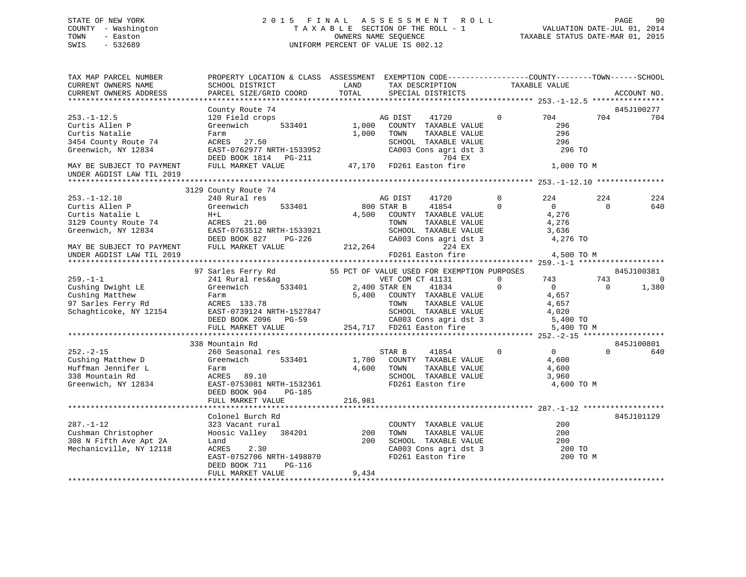### STATE OF NEW YORK 2 0 1 5 F I N A L A S S E S S M E N T R O L L PAGE 90 COUNTY - Washington T A X A B L E SECTION OF THE ROLL - 1 VALUATION DATE-JUL 01, 2014 TOWN - Easton COMPUTERS NAME SEQUENCE TAXABLE STATUS DATE-MAR 01, 2015<br>SWIS - 532689 SWIS - 532689 UNIFORM PERCENT OF VALUE IS 002.12

| TAX MAP PARCEL NUMBER<br>CURRENT OWNERS NAME<br>CURRENT OWNERS ADDRESS                                  | PROPERTY LOCATION & CLASS ASSESSMENT EXEMPTION CODE----------------COUNTY-------TOWN------SCHOOL<br>SCHOOL DISTRICT<br>PARCEL SIZE/GRID COORD                      | LAND<br>TOTAL       | TAX DESCRIPTION<br>SPECIAL DISTRICTS                                                                                                            | TAXABLE VALUE                                                                        |                 | ACCOUNT NO.             |
|---------------------------------------------------------------------------------------------------------|--------------------------------------------------------------------------------------------------------------------------------------------------------------------|---------------------|-------------------------------------------------------------------------------------------------------------------------------------------------|--------------------------------------------------------------------------------------|-----------------|-------------------------|
|                                                                                                         |                                                                                                                                                                    |                     |                                                                                                                                                 |                                                                                      |                 |                         |
|                                                                                                         | County Route 74                                                                                                                                                    |                     |                                                                                                                                                 |                                                                                      |                 | 845J100277              |
| $253. - 1 - 12.5$<br>Curtis Allen P<br>Curtis Natalie<br>3454 County Route 74<br>Greenwich, NY 12834    | 120 Field crops<br>533401<br>Greenwich<br>Farm<br>ACRES 27.50<br>EAST-0762977 NRTH-1533952<br>DEED BOOK 1814    PG-211                                             | 1,000<br>1,000      | AG DIST<br>41720<br>COUNTY TAXABLE VALUE<br>TAXABLE VALUE<br>TOWN<br>SCHOOL TAXABLE VALUE<br>CA003 Cons agri dst 3<br>704 EX                    | $\Omega$<br>704<br>296<br>296<br>296<br>296 TO                                       | 704             | 704                     |
| MAY BE SUBJECT TO PAYMENT<br>UNDER AGDIST LAW TIL 2019                                                  | FULL MARKET VALUE                                                                                                                                                  |                     | 47,170 FD261 Easton fire                                                                                                                        | 1,000 TO M                                                                           |                 |                         |
|                                                                                                         |                                                                                                                                                                    |                     |                                                                                                                                                 |                                                                                      |                 |                         |
| $253. - 1 - 12.10$<br>Curtis Allen P<br>Curtis Natalie L<br>3129 County Route 74<br>Greenwich, NY 12834 | 3129 County Route 74<br>240 Rural res<br>Greenwich<br>533401<br>$H+L$<br>ACRES 21.00<br>EAST-0763512 NRTH-1533921<br>DEED BOOK 827<br>PG-226                       |                     | AG DIST<br>41720<br>800 STAR B<br>41854<br>4,500 COUNTY TAXABLE VALUE<br>TOWN<br>TAXABLE VALUE<br>SCHOOL TAXABLE VALUE<br>CA003 Cons agri dst 3 | $\Omega$<br>224<br>$\Omega$<br>$\overline{0}$<br>4,276<br>4,276<br>3,636<br>4,276 TO | 224<br>$\Omega$ | 224<br>640              |
| MAY BE SUBJECT TO PAYMENT<br>UNDER AGDIST LAW TIL 2019                                                  | FULL MARKET VALUE                                                                                                                                                  | 212,264             | 224 EX<br>FD261 Easton fire                                                                                                                     | 4,500 TO M                                                                           |                 |                         |
|                                                                                                         | 97 Sarles Ferry Rd                                                                                                                                                 |                     | 55 PCT OF VALUE USED FOR EXEMPTION PURPOSES                                                                                                     |                                                                                      |                 | 845J100381              |
| $259. - 1 - 1$<br>Cushing Dwight LE<br>Cushing Matthew<br>97 Sarles Ferry Rd<br>Schaghticoke, NY 12154  | 241 Rural res&ag<br>533401<br>Greenwich<br>Farm<br>ACRES 133.78<br>EAST-0739124 NRTH-1527847                                                                       | 5,400               | VET COM CT 41131<br>2,400 STAR EN<br>41834<br>COUNTY TAXABLE VALUE<br>TOWN      TAXABLE VALUE<br>SCHOOL   TAXABLE VALUE                         | $\Omega$<br>743<br>$\mathbf 0$<br>$\overline{0}$<br>4,657<br>4,657<br>4,020          | 743<br>$\Omega$ | $\overline{0}$<br>1,380 |
|                                                                                                         | DEED BOOK 2096 PG-59<br>FULL MARKET VALUE                                                                                                                          |                     | CA003 Cons agri dst 3<br>254,717 FD261 Easton fire                                                                                              | 5,400 TO<br>5,400 TO M                                                               |                 |                         |
|                                                                                                         |                                                                                                                                                                    |                     |                                                                                                                                                 |                                                                                      |                 |                         |
| $252 - 2 - 15$<br>Cushing Matthew D<br>Huffman Jennifer L<br>338 Mountain Rd<br>Greenwich, NY 12834     | 338 Mountain Rd<br>260 Seasonal res<br>533401<br>Greenwich<br>Farm<br>ACRES 89.10<br>EAST-0753081 NRTH-1532361<br>DEED BOOK 904<br>PG-185<br>FULL MARKET VALUE     | 4,600<br>216,981    | STAR B<br>41854<br>1,700 COUNTY TAXABLE VALUE<br>TAXABLE VALUE<br>TOWN<br>SCHOOL TAXABLE VALUE<br>FD261 Easton fire                             | $\mathbf 0$<br>$\overline{0}$<br>4,600<br>4,600<br>3,960<br>4,600 TO M               | $\Omega$        | 845J100801<br>640       |
|                                                                                                         |                                                                                                                                                                    |                     |                                                                                                                                                 |                                                                                      |                 |                         |
| $287. - 1 - 12$<br>Cushman Christopher<br>308 N Fifth Ave Apt 2A<br>Mechanicville, NY 12118             | Colonel Burch Rd<br>323 Vacant rural<br>Hoosic Valley 384201<br>Land<br>ACRES<br>2.30<br>EAST-0752706 NRTH-1498870<br>DEED BOOK 711<br>PG-116<br>FULL MARKET VALUE | 200<br>200<br>9,434 | COUNTY TAXABLE VALUE<br>TOWN<br>TAXABLE VALUE<br>SCHOOL TAXABLE VALUE<br>CA003 Cons agri dst 3<br>FD261 Easton fire                             | 200<br>200<br>200<br>200 TO<br>200 TO M                                              |                 | 845J101129              |
|                                                                                                         |                                                                                                                                                                    |                     |                                                                                                                                                 |                                                                                      |                 |                         |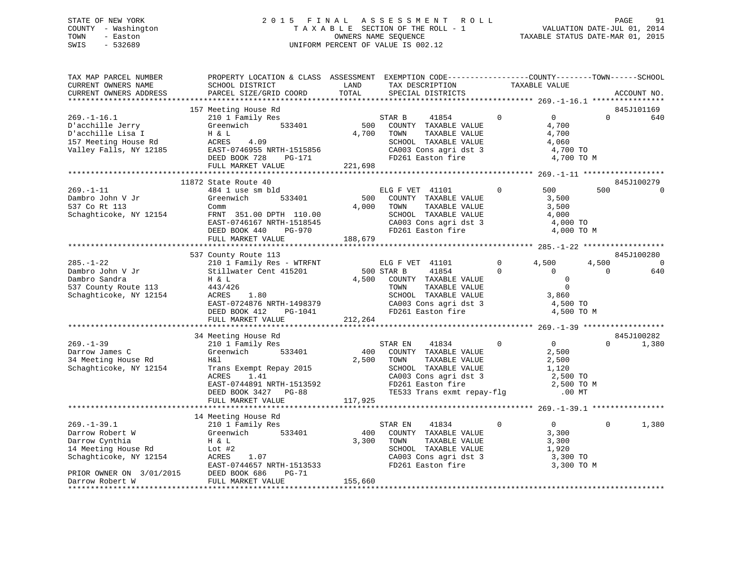### STATE OF NEW YORK 2 0 1 5 F I N A L A S S E S S M E N T R O L L PAGE 91 COUNTY - Washington T A X A B L E SECTION OF THE ROLL - 1 VALUATION DATE-JUL 01, 2014 TOWN - Easton **CONNERS NAME SEQUENCE** TAXABLE STATUS DATE-MAR 01, 2015 SWIS - 532689 UNIFORM PERCENT OF VALUE IS 002.12

| PROPERTY LOCATION & CLASS ASSESSMENT EXEMPTION CODE---------------COUNTY-------TOWN------SCHOOL<br>TAX MAP PARCEL NUMBER<br>TAXABLE VALUE<br>CURRENT OWNERS NAME<br>SCHOOL DISTRICT<br>LAND<br>TAX DESCRIPTION<br>TOTAL<br>CURRENT OWNERS ADDRESS<br>PARCEL SIZE/GRID COORD<br>SPECIAL DISTRICTS                                                                                                                                                                                                                                                                                                                    | ACCOUNT NO.            |
|---------------------------------------------------------------------------------------------------------------------------------------------------------------------------------------------------------------------------------------------------------------------------------------------------------------------------------------------------------------------------------------------------------------------------------------------------------------------------------------------------------------------------------------------------------------------------------------------------------------------|------------------------|
|                                                                                                                                                                                                                                                                                                                                                                                                                                                                                                                                                                                                                     |                        |
| 157 Meeting House Rd                                                                                                                                                                                                                                                                                                                                                                                                                                                                                                                                                                                                | 845J101169             |
| $269. - 1 - 16.1$<br>$\Omega$<br>$0 \qquad \qquad$<br>$\Omega$<br>210 1 Family Res<br>STAR B<br>41854<br>500<br>D'acchille Jerry<br>Greenwich<br>533401<br>COUNTY TAXABLE VALUE<br>4,700<br>D'acchille Lisa I<br>4,700<br>4,700<br>H & L<br>TOWN<br>TAXABLE VALUE<br>157 Meeting House Rd<br>ACRES<br>4.09<br>SCHOOL TAXABLE VALUE<br>4,060<br>Valley Falls, NY 12185<br>EAST-0746955 NRTH-1515856<br>CA003 Cons agri dst 3<br>4,700 TO<br>DEED BOOK 728<br>PG-171<br>4,700 TO M<br>221,698<br>FULL MARKET VALUE                                                                                                    | 640                    |
|                                                                                                                                                                                                                                                                                                                                                                                                                                                                                                                                                                                                                     |                        |
| 11872 State Route 40                                                                                                                                                                                                                                                                                                                                                                                                                                                                                                                                                                                                | 845J100279             |
| $269. - 1 - 11$<br>484 1 use sm bld<br>$\mathbf{0}$<br>500<br>500<br>ELG F VET 41101<br>533401<br>500<br>Dambro John V Jr<br>Greenwich<br>COUNTY TAXABLE VALUE<br>3,500<br>4,000<br>537 Co Rt 113<br>TOWN<br>TAXABLE VALUE<br>3,500<br>Comm<br>Schaghticoke, NY 12154<br>FRNT 351.00 DPTH 110.00<br>SCHOOL TAXABLE VALUE<br>4,000<br>EAST-0746167 NRTH-1518545<br>CA003 Cons agri dst 3<br>4,000 TO<br>FD261 Easton fire<br>DEED BOOK 440<br>PG-970<br>4,000 TO M                                                                                                                                                   | $\Omega$               |
| 188,679<br>FULL MARKET VALUE                                                                                                                                                                                                                                                                                                                                                                                                                                                                                                                                                                                        |                        |
|                                                                                                                                                                                                                                                                                                                                                                                                                                                                                                                                                                                                                     |                        |
| 537 County Route 113<br>4,500<br>$285. - 1 - 22$<br>ELG F VET 41101<br>$\overline{0}$<br>4,500                                                                                                                                                                                                                                                                                                                                                                                                                                                                                                                      | 845J100280<br>$\Omega$ |
| 210 1 Family Res - WTRFNT<br>500 STAR B<br>41854<br>$\mathbf{0}$<br>$\bigcirc$<br>Dambro John V Jr<br>Stillwater Cent 415201<br>$\Omega$                                                                                                                                                                                                                                                                                                                                                                                                                                                                            | 640                    |
| Dambro Sandra<br>4,500<br>$\overline{0}$<br>H & L<br>COUNTY TAXABLE VALUE<br>TAXABLE VALUE<br>$\Omega$<br>537 County Route 113<br>443/426<br>TOWN<br>SCHOOL TAXABLE VALUE<br>Schaghticoke, NY 12154<br>ACRES<br>1.80<br>3,860<br>CA003 Cons agri dst 3<br>EAST-0724876 NRTH-1498379<br>4,500 TO<br>FD261 Easton fire<br>4,500 TO M<br>DEED BOOK 412<br>PG-1041<br>212,264<br>FULL MARKET VALUE                                                                                                                                                                                                                      |                        |
|                                                                                                                                                                                                                                                                                                                                                                                                                                                                                                                                                                                                                     | 845J100282             |
| 34 Meeting House Rd<br>$269. - 1 - 39$<br>41834<br>$\overline{0}$<br>$\overline{0}$<br>210 1 Family Res<br>STAR EN<br>$\Omega$<br>533401<br>400<br>Darrow James C<br>Greenwich<br>COUNTY TAXABLE VALUE<br>2,500<br>34 Meeting House Rd<br>H&l<br>2,500<br>TOWN<br>TAXABLE VALUE<br>2,500<br>Schaghticoke, NY 12154<br>SCHOOL TAXABLE VALUE<br>Trans Exempt Repay 2015<br>ACRES 1.41<br>1,120<br>SCHOOL TAXABLE VALUE 1,120<br>CA003 Cons agri dst 3 2,500 TO<br>FD261 Easton fire 2,500 TO<br>ACRES<br>1.41<br>EAST-0744891 NRTH-1513592<br>2,500 TO M<br>TE533 Trans exmt repay-flg .00 MT<br>DEED BOOK 3427 PG-88 | 1,380                  |
| 117,925<br>FULL MARKET VALUE                                                                                                                                                                                                                                                                                                                                                                                                                                                                                                                                                                                        |                        |
|                                                                                                                                                                                                                                                                                                                                                                                                                                                                                                                                                                                                                     |                        |
| 14 Meeting House Rd<br>$269. - 1 - 39.1$<br>$\mathbf 0$<br>$0 \qquad \qquad$<br>210 1 Family Res<br>41834<br>$\Omega$<br>STAR EN                                                                                                                                                                                                                                                                                                                                                                                                                                                                                    | 1,380                  |
| Darrow Robert W<br>Greenwich<br>533401<br>400<br>COUNTY TAXABLE VALUE<br>3,300                                                                                                                                                                                                                                                                                                                                                                                                                                                                                                                                      |                        |
| Darrow Cynthia<br>3,300<br>TOWN<br>TAXABLE VALUE<br>3,300<br>H & L<br>SCHOOL TAXABLE VALUE<br>14 Meeting House Rd<br>Lot #2<br>1,920<br>Schaghticoke, NY 12154<br>SCHOOL Innum-<br>CA003 Cons agri dst 3<br>- The fire<br>3,300 TO<br>ACRES<br>1.07<br>EAST-0744657 NRTH-1513533<br>3,300 TO M                                                                                                                                                                                                                                                                                                                      |                        |
| PRIOR OWNER ON 3/01/2015 DEED BOOK 686<br>Darrow Robert W FULL MARKET V<br>PG-71                                                                                                                                                                                                                                                                                                                                                                                                                                                                                                                                    |                        |
| 155,660<br>FULL MARKET VALUE                                                                                                                                                                                                                                                                                                                                                                                                                                                                                                                                                                                        |                        |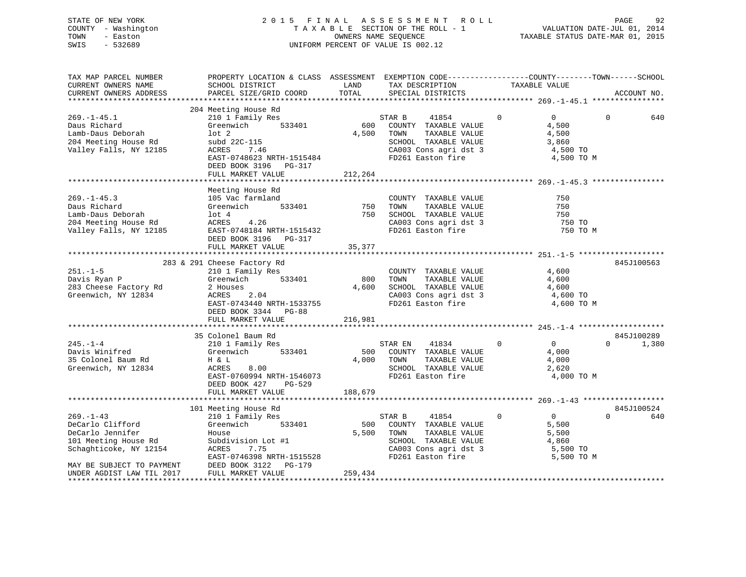STATE OF NEW YORK 2 0 1 5 F I N A L A S S E S S M E N T R O L L PAGE 92 COUNTY - Washington T A X A B L E SECTION OF THE ROLL - 1 VALUATION DATE-JUL 01, 2014 TOWN - Easton OWNERS NAME SEQUENCE TAXABLE STATUS DATE-MAR 01, 2015 SWIS - 532689 UNIFORM PERCENT OF VALUE IS 002.12

| TAX MAP PARCEL NUMBER<br>CURRENT OWNERS NAME<br>CURRENT OWNERS ADDRESS                                                                | PROPERTY LOCATION & CLASS ASSESSMENT EXEMPTION CODE---------------COUNTY-------TOWN------SCHOOL<br>SCHOOL DISTRICT<br>PARCEL SIZE/GRID COORD                               | LAND<br>TOTAL           | TAX DESCRIPTION<br>SPECIAL DISTRICTS                                                                                                        | TAXABLE VALUE                                                                       |          | ACCOUNT NO.         |
|---------------------------------------------------------------------------------------------------------------------------------------|----------------------------------------------------------------------------------------------------------------------------------------------------------------------------|-------------------------|---------------------------------------------------------------------------------------------------------------------------------------------|-------------------------------------------------------------------------------------|----------|---------------------|
|                                                                                                                                       |                                                                                                                                                                            |                         |                                                                                                                                             |                                                                                     |          |                     |
| $269. - 1 - 45.1$<br>Daus Richard<br>Lamb-Daus Deborah<br>204 Meeting House Rd                                                        | 204 Meeting House Rd<br>210 1 Family Res<br>Greenwich 533401<br>$1$ ot $2$<br>subd 22C-115                                                                                 | $rac{S!}{600}$<br>4,500 | STAR B<br>41854<br>COUNTY TAXABLE VALUE<br>TAXABLE VALUE<br>TOWN<br>SCHOOL TAXABLE VALUE                                                    | $\Omega$<br>$\overline{0}$<br>4,500<br>4,500<br>3,860                               | $\Omega$ | 640                 |
| Valley Falls, NY 12185                                                                                                                | ACRES<br>7.46<br>EAST-0748623 NRTH-1515484<br>DEED BOOK 3196 PG-317<br>FULL MARKET VALUE                                                                                   | 212,264                 | CA003 Cons agri dst 3<br>FD261 Easton fire                                                                                                  | 4,500 TO<br>4,500 TO M                                                              |          |                     |
|                                                                                                                                       |                                                                                                                                                                            |                         |                                                                                                                                             |                                                                                     |          |                     |
| $269. - 1 - 45.3$<br>Daus Richard<br>Lamb-Daus Deborah<br>204 Meeting House Rd<br>Valley Falls, NY 12185                              | Meeting House Rd<br>105 Vac farmland<br>Greenwich<br>533401<br>lot 4<br>ACRES<br>4.26<br>EAST-0748184 NRTH-1515432<br>DEED BOOK 3196 PG-317<br>FULL MARKET VALUE           | 750<br>750<br>35,377    | COUNTY TAXABLE VALUE<br>TAXABLE VALUE<br>TOWN<br>SCHOOL TAXABLE VALUE<br>SCHOOL TAXABLE VALUE<br>CA003 Cons agri dst 3<br>FD261 Easton fire | 750<br>750<br>750<br>750 TO<br>750 TO M                                             |          |                     |
|                                                                                                                                       |                                                                                                                                                                            |                         |                                                                                                                                             |                                                                                     |          |                     |
| $251. - 1 - 5$<br>Davis Ryan P<br>283 Cheese Factory Rd<br>Greenwich, NY 12834                                                        | 283 & 291 Cheese Factory Rd<br>210 1 Family Res<br>Greenwich 533401<br>2 Houses<br>ACRES<br>2.04<br>EAST-0743440 NRTH-1533755<br>DEED BOOK 3344 PG-88<br>FULL MARKET VALUE | 800<br>4,600<br>216,981 | COUNTY TAXABLE VALUE<br>TAXABLE VALUE<br>TOWN<br>SCHOOL TAXABLE VALUE<br>CA003 Cons agri dst 3<br>FD261 Easton fire                         | 4,600<br>4,600<br>4,600<br>4,600 TO<br>4,600 TO M                                   |          | 845J100563          |
|                                                                                                                                       |                                                                                                                                                                            |                         |                                                                                                                                             |                                                                                     |          |                     |
| $245. -1 - 4$<br>Davis Winifred<br>35 Colonel Baum Rd<br>Greenwich, NY 12834                                                          | 35 Colonel Baum Rd<br>210 1 Family Res<br>533401<br>Greenwich<br>H & L<br>ACRES<br>8.00<br>EAST-0760994 NRTH-1546073<br>DEED BOOK 427<br>PG-529<br>FULL MARKET VALUE       | 500<br>4,000<br>188,679 | 41834<br>STAR EN<br>COUNTY TAXABLE VALUE<br>TAXABLE VALUE<br>TOWN<br>SCHOOL TAXABLE VALUE<br>FD261 Easton fire                              | $\overline{0}$<br>$\mathbf{0}$<br>4,000<br>4,000<br>2,620<br>4,000 TO M             | $\Omega$ | 845J100289<br>1,380 |
|                                                                                                                                       |                                                                                                                                                                            |                         |                                                                                                                                             |                                                                                     |          |                     |
| $269. -1 - 43$<br>DeCarlo Clifford<br>DeCarlo Jennifer<br>101 Meeting House Rd<br>Schaghticoke, NY 12154<br>MAY BE SUBJECT TO PAYMENT | 101 Meeting House Rd<br>210 1 Family Res<br>Greenwich<br>533401<br>House<br>Subdivision Lot #1<br>ACRES<br>7.75<br>EAST-0746398 NRTH-1515528<br>DEED BOOK 3122 PG-179      | 500<br>5,500            | STAR B<br>41854<br>COUNTY TAXABLE VALUE<br>TOWN<br>TAXABLE VALUE<br>SCHOOL TAXABLE VALUE<br>CA003 Cons agri dst 3<br>FD261 Easton fire      | $\mathbf{0}$<br>$\overline{0}$<br>5,500<br>5,500<br>4,860<br>5,500 TO<br>5,500 TO M | $\Omega$ | 845J100524<br>640   |
| UNDER AGDIST LAW TIL 2017                                                                                                             | FULL MARKET VALUE                                                                                                                                                          | 259,434                 |                                                                                                                                             |                                                                                     |          |                     |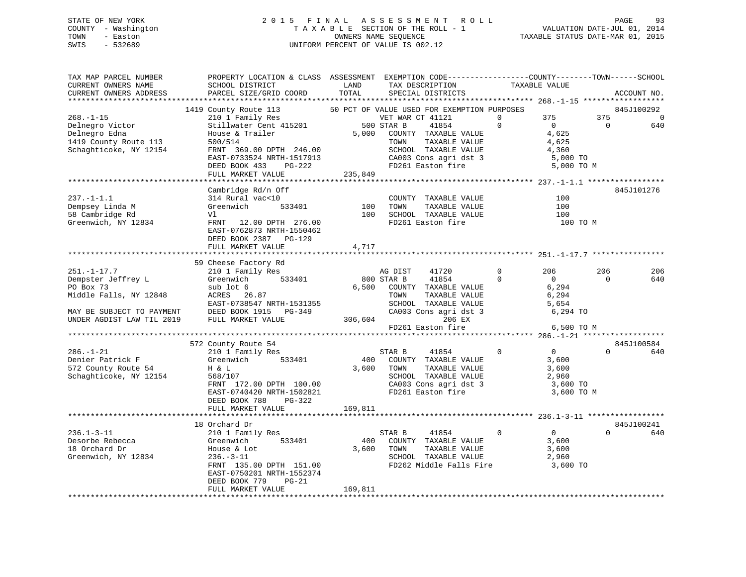### STATE OF NEW YORK 2 0 1 5 F I N A L A S S E S S M E N T R O L L PAGE 93 COUNTY - Washington T A X A B L E SECTION OF THE ROLL - 1 VALUATION DATE-JUL 01, 2014 TOWN - Easton COMPUTERS NAME SEQUENCE TAXABLE STATUS DATE-MAR 01, 2015<br>SWIS - 532689 SWIS - 532689 UNIFORM PERCENT OF VALUE IS 002.12

| TAX MAP PARCEL NUMBER<br>CURRENT OWNERS NAME<br>CURRENT OWNERS ADDRESS                                              | PROPERTY LOCATION & CLASS ASSESSMENT EXEMPTION CODE----------------COUNTY-------TOWN------SCHOOL<br>SCHOOL DISTRICT<br>PARCEL SIZE/GRID COORD                                                                                                                                             | LAND<br>TOTAL    | TAX DESCRIPTION<br>SPECIAL DISTRICTS                                                                                                                                 |                | TAXABLE VALUE                                                       |                | ACCOUNT NO.                  |
|---------------------------------------------------------------------------------------------------------------------|-------------------------------------------------------------------------------------------------------------------------------------------------------------------------------------------------------------------------------------------------------------------------------------------|------------------|----------------------------------------------------------------------------------------------------------------------------------------------------------------------|----------------|---------------------------------------------------------------------|----------------|------------------------------|
|                                                                                                                     |                                                                                                                                                                                                                                                                                           |                  |                                                                                                                                                                      |                |                                                                     |                |                              |
| $268. - 1 - 15$                                                                                                     | 1419 County Route 113 50 PCT OF VALUE USED FOR EXEMPTION PURPOSES<br>210 1 Family Res<br>Stillwater Cent 415201 500 STAR B                                                                                                                                                                |                  | VET WAR CT 41121                                                                                                                                                     | $\Omega$       | 375                                                                 | 375            | 845J100292<br>$\overline{0}$ |
| Delnegro Victor<br>Delnegro Edna<br>1419 County Route 113<br>Schaghticoke, NY 12154                                 | er andre andre andre andre andre andre andre andre andre andre andre andre andre andre andre andre andre andre<br>House & Trailer<br>500/514<br>FRNT 369.00 DPTH 246.00<br>EAST-0733524 NRTH-1517913 CA003 Cons agri dst 3<br>DEED BOOK 433 PG-222 FD261 Easton fire<br>FULL MARKET VALUE | 5,000<br>235,849 | 41854<br>COUNTY TAXABLE VALUE<br>TAXABLE VALUE<br>TOWN<br>SCHOOL TAXABLE VALUE                                                                                       | $\Omega$       | $\overline{0}$<br>4,625<br>4,625<br>4,360<br>5,000 TO<br>5,000 TO M | $\overline{0}$ | 640                          |
|                                                                                                                     |                                                                                                                                                                                                                                                                                           |                  |                                                                                                                                                                      |                |                                                                     |                |                              |
| $237. -1 - 1.1$<br>Dempsey Linda M<br>58 Cambridge Rd<br>Greenwich, NY 12834                                        | Cambridge Rd/n Off<br>314 Rural vac<10<br>533401<br>Greenwich<br>Vl<br>FRNT 12.00 DPTH 276.00<br>EAST-0762873 NRTH-1550462<br>DEED BOOK 2387 PG-129                                                                                                                                       | 100<br>100       | COUNTY TAXABLE VALUE<br>TOWN     TAXABLE VALUE<br>SCHOOL TAXABLE VALUE<br>SCHOOL TAXABLE VALUE<br>FD261 Easton fire                                                  |                | 100<br>100<br>100<br>100 TO M                                       |                | 845J101276                   |
|                                                                                                                     | FULL MARKET VALUE                                                                                                                                                                                                                                                                         | 4,717            |                                                                                                                                                                      |                |                                                                     |                |                              |
|                                                                                                                     |                                                                                                                                                                                                                                                                                           |                  |                                                                                                                                                                      |                |                                                                     |                |                              |
| $251. -1 - 17.7$                                                                                                    | 59 Cheese Factory Rd<br>Cheese Factory Rd<br>210 1 Family Res                                                                                                                                                                                                                             |                  | AG DIST<br>41720                                                                                                                                                     | $\circ$        | 206                                                                 | 206            | 206                          |
| Dempster Jeffrey L<br>PO Box 73<br>Middle Falls, NY 12848<br>MAY BE SUBJECT TO PAYMENT<br>UNDER AGDIST LAW TIL 2019 | Greenwich 533401<br>sub lot 6<br>ACRES 26.87<br>EAST-0738547 NRTH-1531355<br>DEED BOOK 1915 PG-349<br>FULL MARKET VALUE 306,604                                                                                                                                                           | 800 STAR B       | 41854<br>6,500 COUNTY TAXABLE VALUE<br>TOWN      TAXABLE VALUE<br>SCHOOL   TAXABLE VALUE<br>CA003 Cons agri dst 3 6,294 TO<br>206 EX<br>FD261 Easton fire 6,500 TO M | $\Omega$       | $\overline{0}$<br>6,294<br>6,294<br>5,654                           | $\Omega$       | 640                          |
|                                                                                                                     |                                                                                                                                                                                                                                                                                           |                  |                                                                                                                                                                      |                |                                                                     |                |                              |
|                                                                                                                     |                                                                                                                                                                                                                                                                                           |                  |                                                                                                                                                                      |                |                                                                     |                |                              |
|                                                                                                                     | 572 County Route 54                                                                                                                                                                                                                                                                       |                  |                                                                                                                                                                      |                |                                                                     |                | 845J100584                   |
| $286. - 1 - 21$<br>Denier Patrick F<br>572 County Route 54<br>Schaghticoke, NY 12154                                | $210$ 1 Family Res<br>Greenwich 533401<br>H & L<br>568/107<br>FRNT 172.00 DPTH 100.00<br>EAST-0740420 NRTH-1502821<br>DEED BOOK 788 PG-322                                                                                                                                                |                  | 41854 0<br>STAR B<br>400 COUNTY TAXABLE VALUE<br>3,600 TOWN<br>TAXABLE VALUE<br>SCHOOL TAXABLE VALUE<br>CA003 Cons agri dst 3 (3,600 TO<br>FD261 Easton fire         |                | $\overline{0}$<br>3,600<br>3,600<br>3,600 TO M                      | $\Omega$       | 640                          |
|                                                                                                                     | FULL MARKET VALUE                                                                                                                                                                                                                                                                         | 169,811          |                                                                                                                                                                      |                |                                                                     |                |                              |
|                                                                                                                     | 18 Orchard Dr                                                                                                                                                                                                                                                                             |                  |                                                                                                                                                                      |                |                                                                     |                | 845J100241                   |
| $236.1 - 3 - 11$<br>Desorbe Rebecca<br>18 Orchard Dr<br>Greenwich, NY 12834                                         | 210 1 Family Res<br>533401<br>Greenwich<br>House & Lot<br>$22 - 11$<br>FRNT 135.00 DPTH 151.00<br>EAST-0750201 NRTH-1552374<br>DEED BOOK 779<br>PG-21                                                                                                                                     | 400              | STAR B<br>41854<br>COUNTY TAXABLE VALUE<br>3,600 TOWN<br>TAXABLE VALUE<br>SCHOOL TAXABLE VALUE<br>FD262 Middle Falls Fire                                            | $\overline{0}$ | $\overline{0}$<br>3,600<br>3,600<br>2,960<br>3,600 TO               | $\Omega$       | 640                          |
|                                                                                                                     | FULL MARKET VALUE                                                                                                                                                                                                                                                                         | 169,811          |                                                                                                                                                                      |                |                                                                     |                |                              |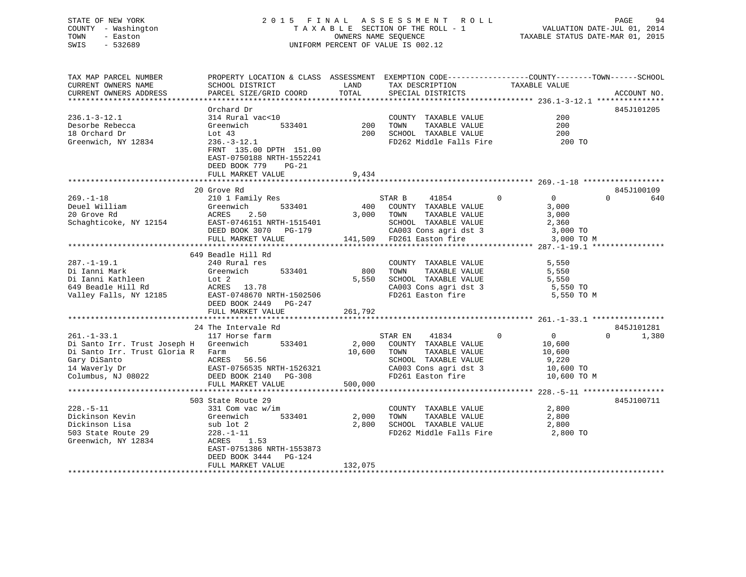### STATE OF NEW YORK 2 0 1 5 F I N A L A S S E S S M E N T R O L L PAGE 94 COUNTY - Washington T A X A B L E SECTION OF THE ROLL - 1 VALUATION DATE-JUL 01, 2014 TOWN - Easton OWNERS NAME SEQUENCE TAXABLE STATUS DATE-MAR 01, 2015 SWIS - 532689 UNIFORM PERCENT OF VALUE IS 002.12

TAX MAP PARCEL NUMBER PROPERTY LOCATION & CLASS ASSESSMENT EXEMPTION CODE------------------COUNTY--------TOWN------SCHOOL CURRENT OWNERS NAME SCHOOL DISTRICT LAND TAX DESCRIPTION TAXABLE VALUECURRENT OWNERS ADDRESS PARCEL SIZE/GRID COORD TOTAL SPECIAL DISTRICTS ACCOUNT NO. \*\*\*\*\*\*\*\*\*\*\*\*\*\*\*\*\*\*\*\*\*\*\*\*\*\*\*\*\*\*\*\*\*\*\*\*\*\*\*\*\*\*\*\*\*\*\*\*\*\*\*\*\*\*\*\*\*\*\*\*\*\*\*\*\*\*\*\*\*\*\*\*\*\*\*\*\*\*\*\*\*\*\*\*\*\*\*\*\*\*\*\*\*\*\*\*\*\*\*\*\*\*\* 236.1-3-12.1 \*\*\*\*\*\*\*\*\*\*\*\*\*\*\* Orchard Dr 845J101205236.1-3-12.1 314 Rural vac<10 COUNTY TAXABLE VALUE 200Desorbe Rebecca Greenwich 533401 200 TOWN TAXABLE VALUE 200200 18 Orchard Dr Lot 43 200 SCHOOL TAXABLE VALUE 200Greenwich, NY 12834 236.-3-12.1 FD262 Middle Falls Fire 200 TO FRNT 135.00 DPTH 151.00 EAST-0750188 NRTH-1552241 DEED BOOK 779 PG-21FULL MARKET VALUE 9,434 \*\*\*\*\*\*\*\*\*\*\*\*\*\*\*\*\*\*\*\*\*\*\*\*\*\*\*\*\*\*\*\*\*\*\*\*\*\*\*\*\*\*\*\*\*\*\*\*\*\*\*\*\*\*\*\*\*\*\*\*\*\*\*\*\*\*\*\*\*\*\*\*\*\*\*\*\*\*\*\*\*\*\*\*\*\*\*\*\*\*\*\*\*\*\*\*\*\*\*\*\*\*\* 269.-1-18 \*\*\*\*\*\*\*\*\*\*\*\*\*\*\*\*\*\* 20 Grove Rd 845J100109 $0 \t\t 640$ 269.-1-18 210 1 Family Res STAR B 41854 0 0 0 640 Deuel William Greenwich 533401 400 COUNTY TAXABLE VALUE 3,000 20 Grove Rd ACRES 2.50 3,000 TOWN TAXABLE VALUE 3,000 Schaghticoke, NY 12154 EAST-0746151 NRTH-1515401 SCHOOL TAXABLE VALUE 2,360 DEED BOOK 3070 PG-179 CA003 Cons agri dst 3 3,000 TO FULL MARKET VALUE 141,509 FD261 Easton fire 3,000 TO M \*\*\*\*\*\*\*\*\*\*\*\*\*\*\*\*\*\*\*\*\*\*\*\*\*\*\*\*\*\*\*\*\*\*\*\*\*\*\*\*\*\*\*\*\*\*\*\*\*\*\*\*\*\*\*\*\*\*\*\*\*\*\*\*\*\*\*\*\*\*\*\*\*\*\*\*\*\*\*\*\*\*\*\*\*\*\*\*\*\*\*\*\*\*\*\*\*\*\*\*\*\*\* 287.-1-19.1 \*\*\*\*\*\*\*\*\*\*\*\*\*\*\*\* 649 Beadle Hill Rd 287.-1-19.1 240 Rural res COUNTY TAXABLE VALUE 5,550 Di Ianni Mark Greenwich 533401 800 TOWN TAXABLE VALUE 5,550 Di Ianni Kathleen Lot 2 5,550 SCHOOL TAXABLE VALUE 5,550 649 Beadle Hill Rd ACRES 13.78 CA003 Cons agri dst 3 5,550 TO Valley Falls, NY 12185 EAST-0748670 NRTH-1502506 FD261 Easton fire 5,550 TO M DEED BOOK 2449 PG-247 FULL MARKET VALUE 261,792 \*\*\*\*\*\*\*\*\*\*\*\*\*\*\*\*\*\*\*\*\*\*\*\*\*\*\*\*\*\*\*\*\*\*\*\*\*\*\*\*\*\*\*\*\*\*\*\*\*\*\*\*\*\*\*\*\*\*\*\*\*\*\*\*\*\*\*\*\*\*\*\*\*\*\*\*\*\*\*\*\*\*\*\*\*\*\*\*\*\*\*\*\*\*\*\*\*\*\*\*\*\*\* 261.-1-33.1 \*\*\*\*\*\*\*\*\*\*\*\*\*\*\*\*24 The Intervale Rd 845J101281  $0 \t 1,380$ 261.-1-33.1 117 Horse farm STAR EN 41834 0 0 0 1,380 Di Santo Irr. Trust Joseph H Greenwich 533401 2,000 COUNTY TAXABLE VALUE 10,600 Di Santo Irr. Trust Gloria R Farm 10,600 TOWN TAXABLE VALUE 10,600<br>Gary DiSanto ACRES 56.56 ACRES 10,600 SCHOOL TAXABLE VALUE 9,220<br>14 Waverly Dr EAST-0756535 NRTH-1526321 CROCOL CAXABLE VALUE 9,220 ACRES 56.56 SCHOOL TAXABLE VALUE 9,220<br>
EAST-0756535 NRTH-1526321 CA003 Cons agri dst 3 10,600 TO<br>
DEED BOOK 2140 PG-308 FD261 Easton fire 10,600 TO 14 Waverly Dr EAST-0756535 NRTH-1526321 CA003 Cons agri dst 3 10,600 TO Columbus, NJ 08022 DEED BOOK 2140 PG-308 FD261 Easton fire 10,600 TO M FULL MARKET VALUE 500,000 \*\*\*\*\*\*\*\*\*\*\*\*\*\*\*\*\*\*\*\*\*\*\*\*\*\*\*\*\*\*\*\*\*\*\*\*\*\*\*\*\*\*\*\*\*\*\*\*\*\*\*\*\*\*\*\*\*\*\*\*\*\*\*\*\*\*\*\*\*\*\*\*\*\*\*\*\*\*\*\*\*\*\*\*\*\*\*\*\*\*\*\*\*\*\*\*\*\*\*\*\*\*\* 228.-5-11 \*\*\*\*\*\*\*\*\*\*\*\*\*\*\*\*\*\* 503 State Route 29 845J100711228.-5-11 331 Com vac w/im COUNTY TAXABLE VALUE 2,800 Dickinson Kevin Greenwich 533401 2,000 TOWN TAXABLE VALUE 2,800 Dickinson Lisa sub lot 2 2,800 SCHOOL TAXABLE VALUE 2,800 503 State Route 29 228.-1-11 FD262 Middle Falls Fire 2,800 TO Greenwich, NY 12834 ACRES 1.53 EAST-0751386 NRTH-1553873 DEED BOOK 3444 PG-124FULL MARKET VALUE 132,075 \*\*\*\*\*\*\*\*\*\*\*\*\*\*\*\*\*\*\*\*\*\*\*\*\*\*\*\*\*\*\*\*\*\*\*\*\*\*\*\*\*\*\*\*\*\*\*\*\*\*\*\*\*\*\*\*\*\*\*\*\*\*\*\*\*\*\*\*\*\*\*\*\*\*\*\*\*\*\*\*\*\*\*\*\*\*\*\*\*\*\*\*\*\*\*\*\*\*\*\*\*\*\*\*\*\*\*\*\*\*\*\*\*\*\*\*\*\*\*\*\*\*\*\*\*\*\*\*\*\*\*\*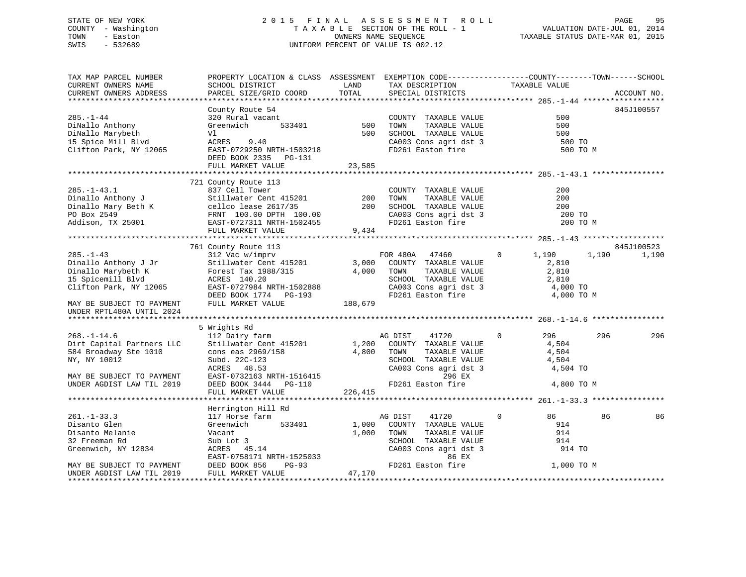### STATE OF NEW YORK 2 0 1 5 F I N A L A S S E S S M E N T R O L L PAGE 95 COUNTY - Washington T A X A B L E SECTION OF THE ROLL - 1 VALUATION DATE-JUL 01, 2014 TOWN - Easton OWNERS NAME SEQUENCE TAXABLE STATUS DATE-MAR 01, 2015 SWIS - 532689 UNIFORM PERCENT OF VALUE IS 002.12

TAX MAP PARCEL NUMBER PROPERTY LOCATION & CLASS ASSESSMENT EXEMPTION CODE------------------COUNTY--------TOWN------SCHOOL

CURRENT OWNERS NAME SCHOOL DISTRICT THE LAND TAX DESCRIPTION TAXABLE VALUE CURRENT OWNERS ADDRESS PARCEL SIZE/GRID COORD TOTAL SPECIAL DISTRICTS ACCOUNT NO. \*\*\*\*\*\*\*\*\*\*\*\*\*\*\*\*\*\*\*\*\*\*\*\*\*\*\*\*\*\*\*\*\*\*\*\*\*\*\*\*\*\*\*\*\*\*\*\*\*\*\*\*\*\*\*\*\*\*\*\*\*\*\*\*\*\*\*\*\*\*\*\*\*\*\*\*\*\*\*\*\*\*\*\*\*\*\*\*\*\*\*\*\*\*\*\*\*\*\*\*\*\*\* 285.-1-44 \*\*\*\*\*\*\*\*\*\*\*\*\*\*\*\*\*\* County Route 54 845J100557 285.-1-44 320 Rural vacant COUNTY TAXABLE VALUE 500DiNallo Anthony Greenwich 533401 500 TOWN TAXABLE VALUE 500 DiNallo Marybeth Vl 500 SCHOOL TAXABLE VALUE 500 V1 500 SCHOOL TAXABLE VALUE 500<br>ACRES 9.40 CA003 Cons agri dst 3 500 TO Clifton Park, NY 12065 EAST-0729250 NRTH-1503218 FD261 Easton fire 500 TO M DEED BOOK 2335 PG-131FULL MARKET VALUE 23,585 \*\*\*\*\*\*\*\*\*\*\*\*\*\*\*\*\*\*\*\*\*\*\*\*\*\*\*\*\*\*\*\*\*\*\*\*\*\*\*\*\*\*\*\*\*\*\*\*\*\*\*\*\*\*\*\*\*\*\*\*\*\*\*\*\*\*\*\*\*\*\*\*\*\*\*\*\*\*\*\*\*\*\*\*\*\*\*\*\*\*\*\*\*\*\*\*\*\*\*\*\*\*\* 285.-1-43.1 \*\*\*\*\*\*\*\*\*\*\*\*\*\*\*\* 721 County Route 113 285.-1-43.1 837 Cell Tower COUNTY TAXABLE VALUE 200Dinallo Anthony J Stillwater Cent 415201 200 TOWN TAXABLE VALUE 200 Dinallo Mary Beth K cellco lease 2617/35 200 SCHOOL TAXABLE VALUE 200<br>PO Box 2549 FRNT 100.00 DPTH 100.00<br>Addison TY 25001 TAST 0727311 NPTH 1500455 PO Box 2549 FRNT 100.00 DPTH 100.00 CA003 Cons agri dst 3 200 TO Addison, TX 25001 EAST-0727311 NRTH-1502455 FD261 Easton fire 200 TO M FULL MARKET VALUE 9,434 \*\*\*\*\*\*\*\*\*\*\*\*\*\*\*\*\*\*\*\*\*\*\*\*\*\*\*\*\*\*\*\*\*\*\*\*\*\*\*\*\*\*\*\*\*\*\*\*\*\*\*\*\*\*\*\*\*\*\*\*\*\*\*\*\*\*\*\*\*\*\*\*\*\*\*\*\*\*\*\*\*\*\*\*\*\*\*\*\*\*\*\*\*\*\*\*\*\*\*\*\*\*\* 285.-1-43 \*\*\*\*\*\*\*\*\*\*\*\*\*\*\*\*\*\* 761 County Route 113 845J100523 285.-1-43 312 Vac w/imprv FOR 480A 47460 0 1,190 1,190 1,190 Dinallo Anthony J Jr Stillwater Cent 415201 3,000 COUNTY TAXABLE VALUE 2,810 Dinallo Marybeth K Forest Tax 1988/315 4,000 TOWN TAXABLE VALUE 2,810 15 Spicemill Blvd ACRES 140.20 SCHOOL TAXABLE VALUE 2,810 Clifton Park, NY 12065 EAST-0727984 NRTH-1502888 CA003 Cons agri dst 3 4,000 TO DEED BOOK 1774 PG-193 FD261 Easton fire 4,000 TO M MAY BE SUBJECT TO PAYMENT FULL MARKET VALUE 188,679 UNDER RPTL480A UNTIL 2024 \*\*\*\*\*\*\*\*\*\*\*\*\*\*\*\*\*\*\*\*\*\*\*\*\*\*\*\*\*\*\*\*\*\*\*\*\*\*\*\*\*\*\*\*\*\*\*\*\*\*\*\*\*\*\*\*\*\*\*\*\*\*\*\*\*\*\*\*\*\*\*\*\*\*\*\*\*\*\*\*\*\*\*\*\*\*\*\*\*\*\*\*\*\*\*\*\*\*\*\*\*\*\* 268.-1-14.6 \*\*\*\*\*\*\*\*\*\*\*\*\*\*\*\* 5 Wrights Rd 268.-1-14.6 112 Dairy farm AG DIST 41720 0 296 296 296 Dirt Capital Partners LLC Stillwater Cent 415201 1,200 COUNTY TAXABLE VALUE 4,504 584 Broadway Ste 1010 cons eas 2969/158 <br>
584 Broadway Ste 1010 cons eas 2969/158 <br>
504 SCHOOL TAXABLE VALUE 4,504<br>
4,504 CA003 Cons agri dst 3 4,504 NY, NY 10012 Subd. 22C-123 SCHOOL TAXABLE VALUE 4,504 ACRES 48.53 CA003 Cons agri dst 3 4,504 TO MAY BE SUBJECT TO PAYMENT EAST-0732163 NRTH-1516415 296 EXUNDER AGDIST LAW TIL 2019 DEED BOOK 3444 PG-110 FD261 Easton fire 4,800 TO M FULL MARKET VALUE 226,415 \*\*\*\*\*\*\*\*\*\*\*\*\*\*\*\*\*\*\*\*\*\*\*\*\*\*\*\*\*\*\*\*\*\*\*\*\*\*\*\*\*\*\*\*\*\*\*\*\*\*\*\*\*\*\*\*\*\*\*\*\*\*\*\*\*\*\*\*\*\*\*\*\*\*\*\*\*\*\*\*\*\*\*\*\*\*\*\*\*\*\*\*\*\*\*\*\*\*\*\*\*\*\* 261.-1-33.3 \*\*\*\*\*\*\*\*\*\*\*\*\*\*\*\* Herrington Hill Rd 261.-1-33.3 117 Horse farm 11 AG DIST 41720 0 86 86 86 Disanto Glen Greenwich 533401 1,000 COUNTY TAXABLE VALUE 914 Disanto Melanie Vacant 1,000 TOWN TAXABLE VALUE 914 32 Freeman Rd Sub Lot 3 SCHOOL TAXABLE VALUE 914Greenwich, NY 12834 ACRES 45.14 CA003 Cons agri dst 3 914 TO EAST-0758171 NRTH-1525033 86 EXFD261 Easton fire MAY BE SUBJECT TO PAYMENT DEED BOOK 856 PG-93 FD261 Easton fire 1,000 TO M UNDER AGDIST LAW TIL 2019 FULL MARKET VALUE 47,170 \*\*\*\*\*\*\*\*\*\*\*\*\*\*\*\*\*\*\*\*\*\*\*\*\*\*\*\*\*\*\*\*\*\*\*\*\*\*\*\*\*\*\*\*\*\*\*\*\*\*\*\*\*\*\*\*\*\*\*\*\*\*\*\*\*\*\*\*\*\*\*\*\*\*\*\*\*\*\*\*\*\*\*\*\*\*\*\*\*\*\*\*\*\*\*\*\*\*\*\*\*\*\*\*\*\*\*\*\*\*\*\*\*\*\*\*\*\*\*\*\*\*\*\*\*\*\*\*\*\*\*\*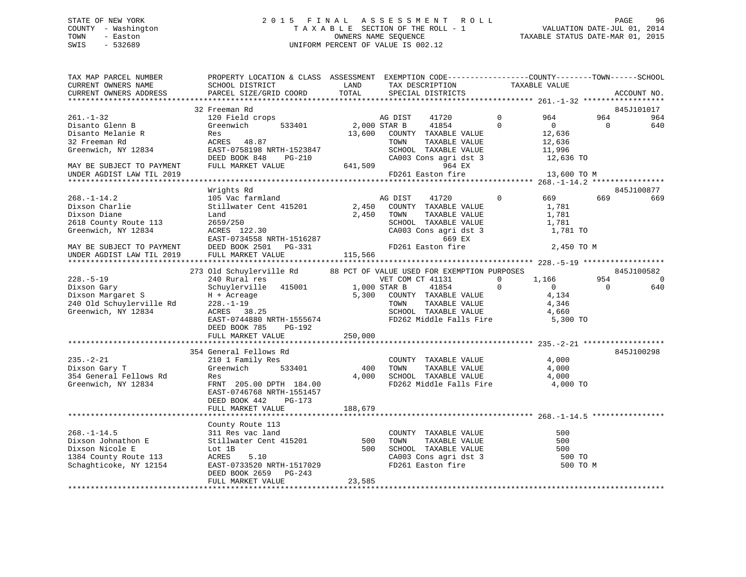## STATE OF NEW YORK GOOD CONSULTED A LIGHT OF TIN A LIGHT A S S E S S M E N T R O L LIGHT OF NEW YORK GOOD 96 COUNTY - Washington  $T A X A B L E$  SECTION OF THE ROLL - 1<br>TOWN - Easton DATE-JUL 000NERS NAME SEQUENCE SWIS - 532689 UNIFORM PERCENT OF VALUE IS 002.12

TAXABLE STATUS DATE-MAR 01, 2015

| TAX MAP PARCEL NUMBER                                  | PROPERTY LOCATION & CLASS ASSESSMENT EXEMPTION CODE-----------------COUNTY--------TOWN------SCHOOL<br>SCHOOL DISTRICT                                                                                                                            | LAND         |                  | TAX DESCRIPTION                                              | TAXABLE VALUE |                  |          |                |
|--------------------------------------------------------|--------------------------------------------------------------------------------------------------------------------------------------------------------------------------------------------------------------------------------------------------|--------------|------------------|--------------------------------------------------------------|---------------|------------------|----------|----------------|
| CURRENT OWNERS NAME<br>CURRENT OWNERS ADDRESS          | PARCEL SIZE/GRID COORD                                                                                                                                                                                                                           | TOTAL        |                  | SPECIAL DISTRICTS                                            |               |                  |          | ACCOUNT NO.    |
|                                                        |                                                                                                                                                                                                                                                  |              |                  |                                                              |               |                  |          |                |
|                                                        | 32 Freeman Rd                                                                                                                                                                                                                                    |              |                  |                                                              |               |                  |          | 845J101017     |
| $261. - 1 - 32$                                        | 120 Field crops                                                                                                                                                                                                                                  |              | AG DIST 41720    |                                                              | $\Omega$      | 964              | 964      | 964            |
| Disanto Glenn B                                        | 533401<br>Greenwich                                                                                                                                                                                                                              | 2,000 STAR B |                  | 41854                                                        | $\Omega$      | $\overline{0}$   | $\Omega$ | 640            |
| Disanto Melanie R                                      | Res                                                                                                                                                                                                                                              |              |                  | 13,600 COUNTY TAXABLE VALUE                                  |               | 12,636           |          |                |
| 32 Freeman Rd                                          | ACRES 48.87                                                                                                                                                                                                                                      |              | TOWN             | TAXABLE VALUE                                                |               |                  |          |                |
| Greenwich, NY 12834                                    | EAST-0758198 NRTH-1523847                                                                                                                                                                                                                        |              |                  | SCHOOL TAXABLE VALUE                                         |               | 12,636<br>11,996 |          |                |
|                                                        | DEED BOOK 848<br>PG-210                                                                                                                                                                                                                          |              |                  | CA003 Cons agri dst 3 12,636 TO                              |               |                  |          |                |
| MAY BE SUBJECT TO PAYMENT                              | FULL MARKET VALUE                                                                                                                                                                                                                                | 641,509      |                  | 964 EX                                                       |               |                  |          |                |
| UNDER AGDIST LAW TIL 2019                              |                                                                                                                                                                                                                                                  |              |                  | FD261 Easton fire                                            |               | 13,600 TO M      |          |                |
|                                                        |                                                                                                                                                                                                                                                  |              |                  |                                                              |               |                  |          |                |
|                                                        | Wrights Rd                                                                                                                                                                                                                                       |              |                  |                                                              |               |                  |          | 845J100877     |
| $268. - 1 - 14.2$                                      | 105 Vac farmland                                                                                                                                                                                                                                 | AG DIST      |                  | 41720                                                        | $\Omega$      | 669              | 669      | 669            |
| 200.-1 -<br>Dixson Charlie                             | Stillwater Cent 415201                                                                                                                                                                                                                           |              |                  | 2,450 COUNTY TAXABLE VALUE                                   |               | 1,781            |          |                |
|                                                        | Land                                                                                                                                                                                                                                             | 2,450        | TOWN             | TAXABLE VALUE                                                |               | 1,781            |          |                |
| 2618 County Route 113                                  | 2659/250                                                                                                                                                                                                                                         |              |                  |                                                              |               |                  |          |                |
| Greenwich, NY 12834                                    |                                                                                                                                                                                                                                                  |              |                  | SCHOOL TAXABLE VALUE 1,781<br>CA003 Cons agri dst 3 1,781 TO |               |                  |          |                |
|                                                        |                                                                                                                                                                                                                                                  |              |                  | 669 EX                                                       |               |                  |          |                |
|                                                        | 2053/250<br>RCRES 122.30<br>EAST-0734558 NRTH-1516287<br>DEED BOOK 2501 PG-331<br>-- WADWET VALUE 115,566                                                                                                                                        |              |                  | FD261 Easton fire                                            |               | 2,450 TO M       |          |                |
| MAY BE SUBJECT TO PAYMENT<br>UNDER AGDIST LAW TIL 2019 |                                                                                                                                                                                                                                                  |              |                  |                                                              |               |                  |          |                |
|                                                        |                                                                                                                                                                                                                                                  |              |                  |                                                              |               |                  |          |                |
|                                                        | 273 Old Schuylerville Rd                                                                                                                                                                                                                         |              |                  | 88 PCT OF VALUE USED FOR EXEMPTION PURPOSES                  |               |                  |          | 845J100582     |
| $228. - 5 - 19$                                        | 240 Rural res                                                                                                                                                                                                                                    |              | VET COM CT 41131 |                                                              | $\Omega$      | 1,166            | 954      | $\overline{0}$ |
| Dixson Gary<br>Dixson Margaret S                       | Schuylerville 415001 1,000 STAR B                                                                                                                                                                                                                |              |                  | 41854                                                        | $\mathbf 0$   | $\overline{0}$   | $\Omega$ | 640            |
|                                                        |                                                                                                                                                                                                                                                  |              |                  | 5,300 COUNTY TAXABLE VALUE                                   |               | 4,134            |          |                |
| 240 Old Schuylerville Rd 228.-1-19                     | H + Acreage<br>228.-1-19<br>ACRES 38.25                                                                                                                                                                                                          |              | TOWN             | TAXABLE VALUE                                                |               | 4,346            |          |                |
| Greenwich, NY 12834                                    |                                                                                                                                                                                                                                                  |              |                  | SCHOOL TAXABLE VALUE                                         |               | 4,660            |          |                |
|                                                        | EAST-0744880 NRTH-1555674                                                                                                                                                                                                                        |              |                  | FD262 Middle Falls Fire 5,300 TO                             |               |                  |          |                |
|                                                        | DEED BOOK 785 PG-192                                                                                                                                                                                                                             |              |                  |                                                              |               |                  |          |                |
|                                                        | FULL MARKET VALUE                                                                                                                                                                                                                                | 250,000      |                  |                                                              |               |                  |          |                |
|                                                        |                                                                                                                                                                                                                                                  |              |                  |                                                              |               |                  |          |                |
|                                                        | 354 General Fellows Rd                                                                                                                                                                                                                           |              |                  |                                                              |               |                  |          | 845J100298     |
| $235. - 2 - 21$                                        | 210 1 Family Res                                                                                                                                                                                                                                 |              |                  | COUNTY TAXABLE VALUE                                         |               | 4,000            |          |                |
| Dixson Gary T                                          | Greenwich 533401                                                                                                                                                                                                                                 | 400          | TOWN             | TAXABLE VALUE                                                |               | 4,000            |          |                |
| 354 General Fellows Rd                                 | Res                                                                                                                                                                                                                                              | 4,000        |                  | SCHOOL TAXABLE VALUE                                         |               | 4,000            |          |                |
| Greenwich, NY 12834                                    | FRNT 205.00 DPTH 184.00                                                                                                                                                                                                                          |              |                  | FD262 Middle Falls Fire                                      |               | 4,000 TO         |          |                |
|                                                        | EAST-0746768 NRTH-1551457                                                                                                                                                                                                                        |              |                  |                                                              |               |                  |          |                |
|                                                        | DEED BOOK 442<br>$PG-173$                                                                                                                                                                                                                        |              |                  |                                                              |               |                  |          |                |
|                                                        | FULL MARKET VALUE                                                                                                                                                                                                                                | 188,679      |                  |                                                              |               |                  |          |                |
|                                                        |                                                                                                                                                                                                                                                  |              |                  |                                                              |               |                  |          |                |
|                                                        | County Route 113                                                                                                                                                                                                                                 |              |                  |                                                              |               |                  |          |                |
|                                                        | 311 Res vac land                                                                                                                                                                                                                                 |              |                  | COUNTY TAXABLE VALUE                                         |               | 500              |          |                |
|                                                        |                                                                                                                                                                                                                                                  | 500          | TOWN             | TAXABLE VALUE                                                |               | 500              |          |                |
|                                                        | 268.-1-14.5<br>Dixson Johnathon E<br>Dixson Nicole E<br>1384 County Route 113<br>268.-1-14.5<br>268.-1-14.5<br>268.5<br>211 Res vac land<br>211 Res vac land<br>215201<br>2011 B<br>2015<br>2018<br>2015<br>2018<br>2018<br>2018<br>2028<br>2028 |              |                  | 500 SCHOOL TAXABLE VALUE                                     |               | 500              |          |                |
|                                                        |                                                                                                                                                                                                                                                  |              |                  | CA003 Cons agri dst 3<br>FD261 Easton fire                   |               | 500 TO           |          |                |
|                                                        | Schaghticoke, NY 12154 EAST-0733520 NRTH-1517029                                                                                                                                                                                                 |              |                  |                                                              |               | 500 TO M         |          |                |
|                                                        | DEED BOOK 2659 PG-243                                                                                                                                                                                                                            |              |                  |                                                              |               |                  |          |                |
|                                                        | FULL MARKET VALUE                                                                                                                                                                                                                                | 23,585       |                  |                                                              |               |                  |          |                |
|                                                        |                                                                                                                                                                                                                                                  |              |                  |                                                              |               |                  |          |                |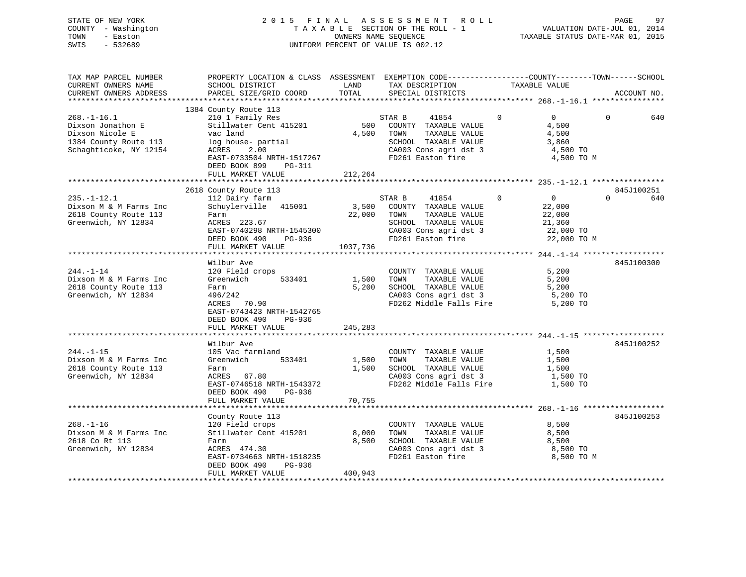| STATE OF NEW YORK   | 2015 FINAL ASSESSMENT ROLL         | 97<br>PAGE                       |
|---------------------|------------------------------------|----------------------------------|
| COUNTY - Washington | TAXABLE SECTION OF THE ROLL - 1    | VALUATION DATE-JUL 01, 2014      |
| TOWN<br>- Easton    | OWNERS NAME SEOUENCE               | TAXABLE STATUS DATE-MAR 01, 2015 |
| SWIS<br>- 532689    | UNIFORM PERCENT OF VALUE IS 002.12 |                                  |
|                     |                                    |                                  |

| TAX MAP PARCEL NUMBER  | PROPERTY LOCATION & CLASS ASSESSMENT EXEMPTION CODE---------------COUNTY-------TOWN-----SCHOOL |          |                   |                                               |                |                   |          |             |
|------------------------|------------------------------------------------------------------------------------------------|----------|-------------------|-----------------------------------------------|----------------|-------------------|----------|-------------|
| CURRENT OWNERS NAME    | SCHOOL DISTRICT                                                                                | LAND     | TAX DESCRIPTION   |                                               | TAXABLE VALUE  |                   |          |             |
| CURRENT OWNERS ADDRESS | PARCEL SIZE/GRID COORD                                                                         | TOTAL    | SPECIAL DISTRICTS |                                               |                |                   |          | ACCOUNT NO. |
|                        |                                                                                                |          |                   |                                               |                |                   |          |             |
|                        | 1384 County Route 113                                                                          |          |                   |                                               |                |                   |          |             |
| $268. - 1 - 16.1$      | 210 1 Family Res                                                                               |          | STAR B            | 41854                                         | $\mathbf{0}$   | $0 \qquad \qquad$ | $\Omega$ | 640         |
| Dixson Jonathon E      | Stillwater Cent 415201                                                                         | 500      |                   | COUNTY TAXABLE VALUE                          |                | 4,500             |          |             |
| Dixson Nicole E        | vac land                                                                                       | 4,500    | TOWN              | TAXABLE VALUE                                 |                | 4,500             |          |             |
| 1384 County Route 113  | log house- partial                                                                             |          |                   | SCHOOL TAXABLE VALUE                          |                | 3,860             |          |             |
| Schaghticoke, NY 12154 | ACRES<br>2.00                                                                                  |          |                   | CA003 Cons agri dst 3<br>FD261 Easton fire    |                | 4,500 TO          |          |             |
|                        | EAST-0733504 NRTH-1517267                                                                      |          |                   |                                               |                | 4,500 TO M        |          |             |
|                        | DEED BOOK 899 PG-311                                                                           |          |                   |                                               |                |                   |          |             |
|                        | FULL MARKET VALUE                                                                              | 212,264  |                   |                                               |                |                   |          |             |
|                        |                                                                                                |          |                   |                                               |                |                   |          |             |
|                        | 2618 County Route 113                                                                          |          |                   |                                               |                |                   |          | 845J100251  |
| $235. - 1 - 12.1$      | 112 Dairy farm                                                                                 |          | STAR B            | 41854                                         | $\overline{0}$ | $\overline{0}$    | $\Omega$ | 640         |
| Dixson M & M Farms Inc | Schuylerville 415001                                                                           |          |                   | 3,500 COUNTY TAXABLE VALUE                    |                | 22,000            |          |             |
| 2618 County Route 113  | Farm                                                                                           |          | 22,000 TOWN       | TAXABLE VALUE                                 |                | 22,000            |          |             |
| Greenwich, NY 12834    | ACRES 223.67                                                                                   |          |                   | SCHOOL TAXABLE VALUE                          |                | 21,360            |          |             |
|                        | EAST-0740298 NRTH-1545300                                                                      |          |                   | CA003 Cons agri dst 3                         |                | 22,000 TO         |          |             |
|                        | DEED BOOK 490<br>PG-936                                                                        |          |                   | FD261 Easton fire                             |                | 22,000 TO M       |          |             |
|                        | FULL MARKET VALUE                                                                              | 1037,736 |                   |                                               |                |                   |          |             |
|                        |                                                                                                |          |                   |                                               |                |                   |          |             |
|                        | Wilbur Ave                                                                                     |          |                   |                                               |                |                   |          | 845J100300  |
| $244. -1 - 14$         | 120 Field crops                                                                                |          |                   | COUNTY TAXABLE VALUE                          |                | 5,200             |          |             |
| Dixson M & M Farms Inc | Greenwich<br>533401                                                                            | 1,500    | TOWN              | TAXABLE VALUE                                 |                | 5,200             |          |             |
| 2618 County Route 113  | Farm                                                                                           | 5,200    |                   | SCHOOL TAXABLE VALUE                          |                | 5,200             |          |             |
| Greenwich, NY 12834    | 496/242                                                                                        |          |                   | SCHOOL TAXABLE VALUE<br>CA003 Cons agri dst 3 |                | $5,200$ TO        |          |             |
|                        | ACRES 70.90                                                                                    |          |                   | FD262 Middle Falls Fire 5,200 TO              |                |                   |          |             |
|                        | EAST-0743423 NRTH-1542765                                                                      |          |                   |                                               |                |                   |          |             |
|                        | DEED BOOK 490<br>PG-936                                                                        |          |                   |                                               |                |                   |          |             |
|                        | FULL MARKET VALUE                                                                              | 245,283  |                   |                                               |                |                   |          |             |
|                        |                                                                                                |          |                   |                                               |                |                   |          |             |
|                        | Wilbur Ave                                                                                     |          |                   |                                               |                |                   |          | 845J100252  |
| $244. -1 - 15$         | 105 Vac farmland                                                                               |          |                   | COUNTY TAXABLE VALUE                          |                | 1,500             |          |             |
| Dixson M & M Farms Inc | Greenwich<br>533401                                                                            | 1,500    | TOWN              | TAXABLE VALUE                                 |                | 1,500             |          |             |
| 2618 County Route 113  | Farm                                                                                           | 1,500    |                   | SCHOOL TAXABLE VALUE                          |                | 1,500             |          |             |
| Greenwich, NY 12834    | ACRES 67.80                                                                                    |          |                   | CA003 Cons agri dst 3                         |                | 1,500 TO          |          |             |
|                        | EAST-0746518 NRTH-1543372                                                                      |          |                   | FD262 Middle Falls Fire                       |                | 1,500 TO          |          |             |
|                        | DEED BOOK 490<br>PG-936                                                                        |          |                   |                                               |                |                   |          |             |
|                        | FULL MARKET VALUE                                                                              | 70,755   |                   |                                               |                |                   |          |             |
|                        |                                                                                                |          |                   |                                               |                |                   |          |             |
|                        | County Route 113                                                                               |          |                   |                                               |                |                   |          | 845J100253  |
| $268. - 1 - 16$        | 120 Field crops                                                                                |          |                   | COUNTY TAXABLE VALUE                          |                | 8,500             |          |             |
| Dixson M & M Farms Inc | Stillwater Cent 415201                                                                         | 8,000    | TOWN              | TAXABLE VALUE                                 |                | 8,500             |          |             |
| 2618 Co Rt 113         |                                                                                                | 8,500    |                   | SCHOOL TAXABLE VALUE                          |                | 8,500             |          |             |
| Greenwich, NY 12834    | Farm<br>ACRES 474.30                                                                           |          |                   | CA003 Cons agri dst 3                         |                | 8,500 TO          |          |             |
|                        | EAST-0734663 NRTH-1518235                                                                      |          |                   | FD261 Easton fire                             |                | 8,500 TO M        |          |             |
|                        |                                                                                                |          |                   |                                               |                |                   |          |             |
|                        | DEED BOOK 490<br>PG-936<br>FULL MARKET VALUE                                                   | 400,943  |                   |                                               |                |                   |          |             |
|                        |                                                                                                |          |                   |                                               |                |                   |          |             |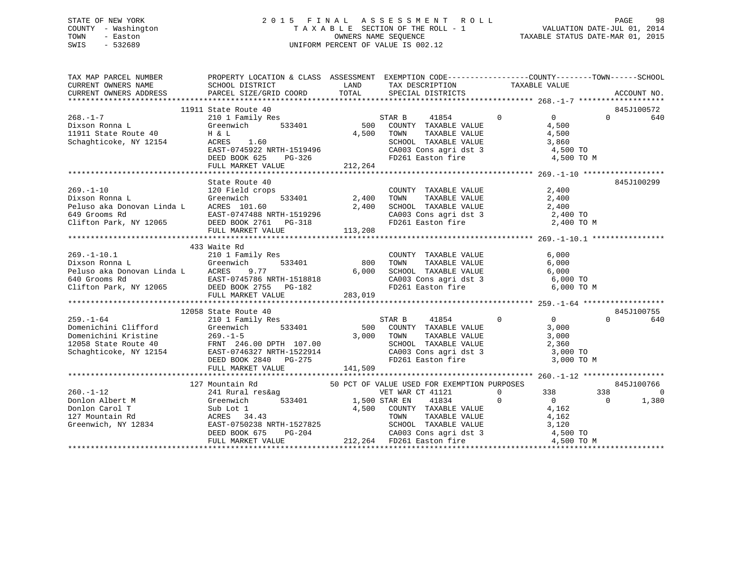### STATE OF NEW YORK 2 0 1 5 F I N A L A S S E S S M E N T R O L L PAGE 98 COUNTY - Washington T A X A B L E SECTION OF THE ROLL - 1 VALUATION DATE-JUL 01, 2014 TOWN - Easton COMPUTERS NAME SEQUENCE TAXABLE STATUS DATE-MAR 01, 2015<br>SWIS - 532689 SWIS - 532689 UNIFORM PERCENT OF VALUE IS 002.12

|                 | TAX MAP PARCEL NUMBER BOOPERTY LOCATION & CLASS ASSESSMENT EXEMPTION CODE-----------------COUNTY--------TOWN------SCHOOL CURRENT OWNERS NAME SCHOOL DISTRICT LAND TAX DESCRIPTION TAXABLE VALUE<br>CURRENT OWNERS ADDRESS PARCEL                         |                                                                                                                        |                                                  |            |                |                 |
|-----------------|----------------------------------------------------------------------------------------------------------------------------------------------------------------------------------------------------------------------------------------------------------|------------------------------------------------------------------------------------------------------------------------|--------------------------------------------------|------------|----------------|-----------------|
|                 |                                                                                                                                                                                                                                                          |                                                                                                                        |                                                  |            |                |                 |
|                 |                                                                                                                                                                                                                                                          |                                                                                                                        |                                                  |            |                | 845J100572      |
|                 |                                                                                                                                                                                                                                                          |                                                                                                                        |                                                  |            |                | $\Omega$<br>640 |
|                 |                                                                                                                                                                                                                                                          |                                                                                                                        |                                                  |            |                |                 |
|                 |                                                                                                                                                                                                                                                          |                                                                                                                        |                                                  |            |                |                 |
|                 |                                                                                                                                                                                                                                                          |                                                                                                                        |                                                  |            |                |                 |
|                 |                                                                                                                                                                                                                                                          |                                                                                                                        |                                                  |            |                |                 |
|                 |                                                                                                                                                                                                                                                          |                                                                                                                        |                                                  |            |                |                 |
|                 | 1911 State Route 40<br>268.-1-7<br>210 1 Family Res<br>210 1 Family Res<br>210 1 Family Res<br>210 1 Family Res<br>210 1 Family Res<br>210 1 Family Res<br>210 1 Family Res<br>210 1 Family Res<br>210 2000 COUNTY TAXABLE VALUE<br>4,500<br>217,264<br> |                                                                                                                        |                                                  |            |                |                 |
|                 |                                                                                                                                                                                                                                                          |                                                                                                                        |                                                  |            |                |                 |
|                 | State Route 40                                                                                                                                                                                                                                           |                                                                                                                        |                                                  |            |                | 845J100299      |
|                 |                                                                                                                                                                                                                                                          |                                                                                                                        |                                                  |            |                |                 |
|                 |                                                                                                                                                                                                                                                          |                                                                                                                        |                                                  |            |                |                 |
|                 |                                                                                                                                                                                                                                                          |                                                                                                                        |                                                  |            |                |                 |
|                 |                                                                                                                                                                                                                                                          |                                                                                                                        |                                                  |            |                |                 |
|                 |                                                                                                                                                                                                                                                          |                                                                                                                        |                                                  |            |                |                 |
|                 |                                                                                                                                                                                                                                                          |                                                                                                                        |                                                  |            |                |                 |
|                 |                                                                                                                                                                                                                                                          |                                                                                                                        |                                                  |            |                |                 |
|                 | 433 Waite Rd                                                                                                                                                                                                                                             |                                                                                                                        |                                                  |            |                |                 |
|                 |                                                                                                                                                                                                                                                          |                                                                                                                        |                                                  |            |                |                 |
|                 |                                                                                                                                                                                                                                                          |                                                                                                                        |                                                  |            |                |                 |
|                 |                                                                                                                                                                                                                                                          |                                                                                                                        |                                                  |            |                |                 |
|                 |                                                                                                                                                                                                                                                          |                                                                                                                        |                                                  |            |                |                 |
|                 |                                                                                                                                                                                                                                                          |                                                                                                                        |                                                  |            |                |                 |
|                 | 269.-1-10.1<br>210 1 Family Res<br>Dixson Ronna L Greenwich 533401<br>Peluso aka Donovan Linda L ACRES 9.77 6,000 5CHOOL TAXABLE VALUE 6,000<br>640 Grooms Rd EAST-0745786 NRTH-1518818<br>Clifton Park, NY 12065 DEED BOOK 2755 PG-182                  |                                                                                                                        |                                                  |            |                |                 |
|                 |                                                                                                                                                                                                                                                          |                                                                                                                        |                                                  |            |                |                 |
|                 | 12058 State Route 40                                                                                                                                                                                                                                     |                                                                                                                        |                                                  |            |                | 845J100755      |
| $259. - 1 - 64$ |                                                                                                                                                                                                                                                          |                                                                                                                        |                                                  |            |                | $\Omega$<br>640 |
|                 |                                                                                                                                                                                                                                                          |                                                                                                                        |                                                  |            |                |                 |
|                 |                                                                                                                                                                                                                                                          |                                                                                                                        |                                                  |            |                |                 |
|                 |                                                                                                                                                                                                                                                          |                                                                                                                        |                                                  |            |                |                 |
|                 |                                                                                                                                                                                                                                                          |                                                                                                                        |                                                  |            |                |                 |
|                 |                                                                                                                                                                                                                                                          | TOWN TAXABLE VALUE 3,000<br>SCHOOL TAXABLE VALUE 3,000<br>CA003 Cons agri dst 3 3,000 TO<br>FD261 Easton fire 3,000 TO |                                                  | 3,000 TO M |                |                 |
|                 |                                                                                                                                                                                                                                                          |                                                                                                                        |                                                  |            |                |                 |
|                 |                                                                                                                                                                                                                                                          |                                                                                                                        |                                                  |            |                |                 |
|                 | Mountain Rd 50 PCT OF VALUE USED FOR EXEMPTION PURPOSES 241 Rural res&ag 341 Rural 50 PCT OF VALUE USED FOR EXEMPTION PURPOSES 341 Rural 241 Rural 50 PCT OF VALUE USED FOR EXEMPTION PURPOSES 3<br>127 Mountain Rd                                      |                                                                                                                        |                                                  |            |                | 845J100766      |
| $260. -1 - 12$  |                                                                                                                                                                                                                                                          |                                                                                                                        |                                                  | 338        | 338            | $\Omega$        |
|                 |                                                                                                                                                                                                                                                          |                                                                                                                        | $\begin{matrix} 0 && 338 \\ 0 && 0 \end{matrix}$ |            | $\overline{0}$ | 1,380           |
|                 |                                                                                                                                                                                                                                                          |                                                                                                                        |                                                  |            |                |                 |
|                 |                                                                                                                                                                                                                                                          |                                                                                                                        |                                                  |            |                |                 |
|                 |                                                                                                                                                                                                                                                          |                                                                                                                        |                                                  |            |                |                 |
|                 |                                                                                                                                                                                                                                                          |                                                                                                                        |                                                  |            |                |                 |
|                 |                                                                                                                                                                                                                                                          |                                                                                                                        |                                                  |            |                |                 |
|                 |                                                                                                                                                                                                                                                          |                                                                                                                        |                                                  |            |                |                 |
|                 |                                                                                                                                                                                                                                                          |                                                                                                                        |                                                  |            |                |                 |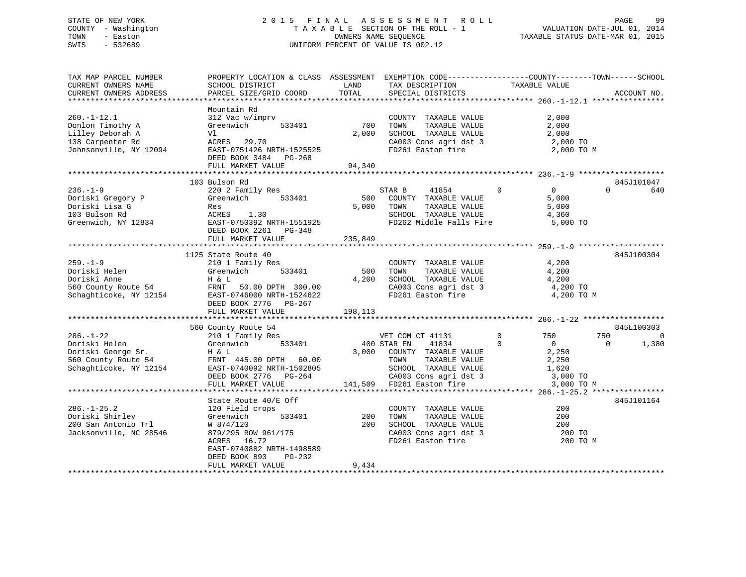### STATE OF NEW YORK 2 0 1 5 F I N A L A S S E S S M E N T R O L L PAGE 99 COUNTY - Washington T A X A B L E SECTION OF THE ROLL - 1 VALUATION DATE-JUL 01, 2014 TOWN - Easton COMPUTERS NAME SEQUENCE TAXABLE STATUS DATE-MAR 01, 2015<br>SWIS - 532689 SWIS - 532689 UNIFORM PERCENT OF VALUE IS 002.12

| TAX MAP PARCEL NUMBER  | PROPERTY LOCATION & CLASS ASSESSMENT EXEMPTION CODE----------------COUNTY-------TOWN------SCHOOL |         |                            |                               |                       |
|------------------------|--------------------------------------------------------------------------------------------------|---------|----------------------------|-------------------------------|-----------------------|
| CURRENT OWNERS NAME    | SCHOOL DISTRICT                                                                                  | LAND    | TAX DESCRIPTION            | TAXABLE VALUE                 |                       |
| CURRENT OWNERS ADDRESS | PARCEL SIZE/GRID COORD                                                                           | TOTAL   | SPECIAL DISTRICTS          |                               | ACCOUNT NO.           |
|                        |                                                                                                  |         |                            |                               |                       |
|                        | Mountain Rd                                                                                      |         |                            |                               |                       |
| $260. -1 - 12.1$       | 312 Vac w/imprv                                                                                  |         | COUNTY TAXABLE VALUE       | 2,000                         |                       |
| Donlon Timothy A       | Greenwich<br>533401                                                                              | 700     | TAXABLE VALUE<br>TOWN      | 2,000                         |                       |
| Lilley Deborah A       | Vl                                                                                               | 2,000   | SCHOOL TAXABLE VALUE       | 2,000                         |                       |
| 138 Carpenter Rd       | ACRES 29.70                                                                                      |         | CA003 Cons agri dst 3      | 2,000 TO                      |                       |
| Johnsonville, NY 12094 | EAST-0751426 NRTH-1525525                                                                        |         | FD261 Easton fire          | 2,000 TO M                    |                       |
|                        | DEED BOOK 3484 PG-268                                                                            |         |                            |                               |                       |
|                        | FULL MARKET VALUE                                                                                | 94,340  |                            |                               |                       |
|                        |                                                                                                  |         |                            |                               |                       |
|                        | 103 Bulson Rd                                                                                    |         |                            |                               | 845J101047            |
| $236. - 1 - 9$         | 220 2 Family Res                                                                                 |         | STAR B<br>41854            | $\mathbf 0$<br>$\Omega$       | $\Omega$<br>640       |
| Doriski Gregory P      | 533401<br>Greenwich                                                                              | 500     | COUNTY TAXABLE VALUE       | 5,000                         |                       |
| Doriski Lisa G         | Res                                                                                              | 5,000   | TOWN<br>TAXABLE VALUE      | 5,000                         |                       |
| 103 Bulson Rd          | ACRES<br>1.30                                                                                    |         | SCHOOL TAXABLE VALUE       | 4,360                         |                       |
| Greenwich, NY 12834    | EAST-0750392 NRTH-1551925                                                                        |         | FD262 Middle Falls Fire    | 5,000 TO                      |                       |
|                        | DEED BOOK 2261 PG-348                                                                            |         |                            |                               |                       |
|                        | FULL MARKET VALUE                                                                                | 235,849 |                            |                               |                       |
|                        |                                                                                                  |         |                            |                               |                       |
|                        | 1125 State Route 40                                                                              |         |                            |                               | 845J100304            |
| $259. - 1 - 9$         | 210 1 Family Res                                                                                 |         | COUNTY TAXABLE VALUE       | 4,200                         |                       |
| Doriski Helen          | Greenwich<br>533401                                                                              | 500     | TAXABLE VALUE<br>TOWN      | 4,200                         |                       |
| Doriski Anne           | H & L                                                                                            | 4,200   | SCHOOL TAXABLE VALUE       | 4,200                         |                       |
| 560 County Route 54    | FRNT 50.00 DPTH 300.00                                                                           |         | CA003 Cons agri dst 3      | 4,200 TO                      |                       |
| Schaghticoke, NY 12154 | EAST-0746000 NRTH-1524622                                                                        |         | FD261 Easton fire          | 4,200 TO M                    |                       |
|                        | DEED BOOK 2776 PG-267                                                                            |         |                            |                               |                       |
|                        | FULL MARKET VALUE                                                                                | 198,113 |                            |                               |                       |
|                        |                                                                                                  |         |                            |                               |                       |
|                        | 560 County Route 54                                                                              |         |                            |                               | 845L100303            |
| $286. - 1 - 22$        | 210 1 Family Res                                                                                 |         | VET COM CT 41131           | $\mathbf 0$<br>750            | 750<br>$\overline{0}$ |
| Doriski Helen          | 533401<br>Greenwich                                                                              |         | 400 STAR EN<br>41834       | $\mathbf 0$<br>$\overline{0}$ | 1,380<br>$\Omega$     |
| Doriski George Sr.     | H & L                                                                                            |         | 3,000 COUNTY TAXABLE VALUE | 2,250                         |                       |
| 560 County Route 54    | FRNT 445.00 DPTH 60.00                                                                           |         | TAXABLE VALUE<br>TOWN      | 2,250                         |                       |
| Schaghticoke, NY 12154 | EAST-0740092 NRTH-1502805                                                                        |         | SCHOOL TAXABLE VALUE       | 1,620                         |                       |
|                        | DEED BOOK 2776 PG-264                                                                            |         | CA003 Cons agri dst 3      | 3,000 TO                      |                       |
|                        | FULL MARKET VALUE                                                                                | 141,509 | FD261 Easton fire          | 3,000 TO M                    |                       |
|                        |                                                                                                  |         |                            |                               |                       |
|                        | State Route 40/E Off                                                                             |         |                            |                               | 845J101164            |
| $286. - 1 - 25.2$      | 120 Field crops                                                                                  |         | COUNTY TAXABLE VALUE       | 200                           |                       |
| Doriski Shirley        | Greenwich<br>533401                                                                              | 200     | TAXABLE VALUE<br>TOWN      | 200                           |                       |
| 200 San Antonio Trl    | W 874/120                                                                                        | 200     | SCHOOL TAXABLE VALUE       | 200                           |                       |
| Jacksonville, NC 28546 | 879/295 ROW 961/175                                                                              |         | CA003 Cons agri dst 3      | 200 TO                        |                       |
|                        | ACRES 16.72                                                                                      |         | FD261 Easton fire          | 200 TO M                      |                       |
|                        | EAST-0740882 NRTH-1498589                                                                        |         |                            |                               |                       |
|                        | DEED BOOK 893<br>PG-232                                                                          |         |                            |                               |                       |
|                        | FULL MARKET VALUE                                                                                | 9,434   |                            |                               |                       |
|                        |                                                                                                  |         |                            |                               |                       |
|                        |                                                                                                  |         |                            |                               |                       |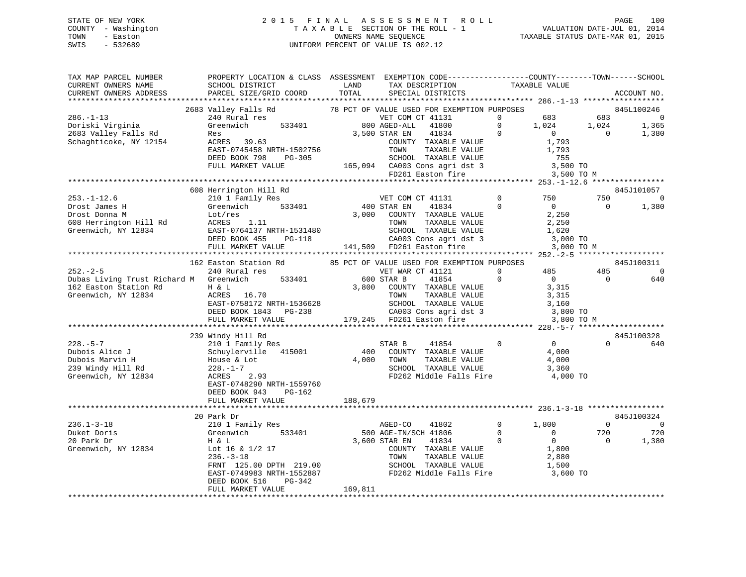### STATE OF NEW YORK 2 0 1 5 F I N A L A S S E S S M E N T R O L L PAGE 100 COUNTY - Washington T A X A B L E SECTION OF THE ROLL - 1 VALUATION DATE-JUL 01, 2014 TOWN - Easton OWNERS NAME SEQUENCE TAXABLE STATUS DATE-MAR 01, 2015 SWIS - 532689 UNIFORM PERCENT OF VALUE IS 002.12

| TAX MAP PARCEL NUMBER<br>CURRENT OWNERS NAME<br>CURRENT OWNERS ADDRESS                                                                                                                                                                      | PROPERTY LOCATION & CLASS ASSESSMENT EXEMPTION CODE-----------------COUNTY-------TOWN------SCHOOL<br>SCHOOL DISTRICT<br>PARCEL SIZE/GRID COORD                                                                                          | <b>EXAMPLE STATE STATE</b><br>TOTAL | TAX DESCRIPTION<br>SPECIAL DISTRICTS                                                                                                                                                                                                                                                                                                                                                                               |                                  | TAXABLE VALUE                                           |                          | ACCOUNT NO.              |
|---------------------------------------------------------------------------------------------------------------------------------------------------------------------------------------------------------------------------------------------|-----------------------------------------------------------------------------------------------------------------------------------------------------------------------------------------------------------------------------------------|-------------------------------------|--------------------------------------------------------------------------------------------------------------------------------------------------------------------------------------------------------------------------------------------------------------------------------------------------------------------------------------------------------------------------------------------------------------------|----------------------------------|---------------------------------------------------------|--------------------------|--------------------------|
|                                                                                                                                                                                                                                             |                                                                                                                                                                                                                                         |                                     |                                                                                                                                                                                                                                                                                                                                                                                                                    |                                  |                                                         |                          |                          |
|                                                                                                                                                                                                                                             |                                                                                                                                                                                                                                         |                                     |                                                                                                                                                                                                                                                                                                                                                                                                                    |                                  |                                                         |                          |                          |
| $286. - 1 - 13$                                                                                                                                                                                                                             |                                                                                                                                                                                                                                         |                                     |                                                                                                                                                                                                                                                                                                                                                                                                                    |                                  |                                                         |                          |                          |
|                                                                                                                                                                                                                                             |                                                                                                                                                                                                                                         |                                     |                                                                                                                                                                                                                                                                                                                                                                                                                    |                                  |                                                         |                          |                          |
|                                                                                                                                                                                                                                             |                                                                                                                                                                                                                                         |                                     |                                                                                                                                                                                                                                                                                                                                                                                                                    |                                  |                                                         |                          |                          |
|                                                                                                                                                                                                                                             |                                                                                                                                                                                                                                         |                                     |                                                                                                                                                                                                                                                                                                                                                                                                                    |                                  |                                                         |                          |                          |
|                                                                                                                                                                                                                                             |                                                                                                                                                                                                                                         |                                     |                                                                                                                                                                                                                                                                                                                                                                                                                    |                                  |                                                         |                          |                          |
|                                                                                                                                                                                                                                             |                                                                                                                                                                                                                                         |                                     |                                                                                                                                                                                                                                                                                                                                                                                                                    |                                  |                                                         |                          |                          |
|                                                                                                                                                                                                                                             |                                                                                                                                                                                                                                         |                                     |                                                                                                                                                                                                                                                                                                                                                                                                                    |                                  |                                                         |                          |                          |
|                                                                                                                                                                                                                                             | Greenwich<br>Res 39.63<br>RARES 39.63<br>EAST-0745458 NRTH-1502756<br>DEED BOOK 798 PG-305<br>FULL MARKET VALUE 165,094 CA003 Cons agri dst 3 3,500 TO M<br>FULL MARKET VALUE 165,094 CA003 Cons agri dst 3 3,500 TO M<br>FULL MARKET V |                                     |                                                                                                                                                                                                                                                                                                                                                                                                                    |                                  |                                                         |                          |                          |
|                                                                                                                                                                                                                                             |                                                                                                                                                                                                                                         |                                     |                                                                                                                                                                                                                                                                                                                                                                                                                    |                                  |                                                         |                          |                          |
|                                                                                                                                                                                                                                             | 608 Herrington Hill Rd                                                                                                                                                                                                                  |                                     |                                                                                                                                                                                                                                                                                                                                                                                                                    |                                  |                                                         | 750                      | 845J101057               |
|                                                                                                                                                                                                                                             |                                                                                                                                                                                                                                         |                                     |                                                                                                                                                                                                                                                                                                                                                                                                                    |                                  |                                                         |                          | $\sim$ 0                 |
|                                                                                                                                                                                                                                             |                                                                                                                                                                                                                                         |                                     |                                                                                                                                                                                                                                                                                                                                                                                                                    |                                  |                                                         | $\overline{0}$           | 1,380                    |
|                                                                                                                                                                                                                                             |                                                                                                                                                                                                                                         |                                     |                                                                                                                                                                                                                                                                                                                                                                                                                    |                                  |                                                         |                          |                          |
|                                                                                                                                                                                                                                             |                                                                                                                                                                                                                                         |                                     |                                                                                                                                                                                                                                                                                                                                                                                                                    |                                  |                                                         |                          |                          |
|                                                                                                                                                                                                                                             |                                                                                                                                                                                                                                         |                                     |                                                                                                                                                                                                                                                                                                                                                                                                                    |                                  |                                                         |                          |                          |
|                                                                                                                                                                                                                                             |                                                                                                                                                                                                                                         |                                     |                                                                                                                                                                                                                                                                                                                                                                                                                    |                                  |                                                         |                          |                          |
| 253.-1-12.6 bus Herrington Hill Rd<br>Drost James H<br>Drost Donna M<br>Drost Donna M<br>Lot/res 33401 1 200 STAR EN 41834 0 0<br>COUNTY TAXABLE VALUE 2,250<br>608 Herrington Hill Rd<br>Greenwich, NY 12834 EAST-0764137 NRTH-1531480 SCH |                                                                                                                                                                                                                                         |                                     |                                                                                                                                                                                                                                                                                                                                                                                                                    |                                  | 3,000 TO M                                              |                          |                          |
|                                                                                                                                                                                                                                             | 162 Easton Station Rd 85 PCT OF VALUE USED FOR EXEMPTION PURPOSES                                                                                                                                                                       |                                     |                                                                                                                                                                                                                                                                                                                                                                                                                    |                                  |                                                         |                          | 845J100311               |
| $252 - 2 - 5$                                                                                                                                                                                                                               | 240 Rural res                                                                                                                                                                                                                           |                                     | VET WAR CT 41121                                                                                                                                                                                                                                                                                                                                                                                                   |                                  |                                                         | 485                      | $\overline{\phantom{0}}$ |
| Dubas Living Trust Richard M Greenwich 533401 600 STAR B                                                                                                                                                                                    |                                                                                                                                                                                                                                         |                                     |                                                                                                                                                                                                                                                                                                                                                                                                                    | 41854                            | $\begin{array}{ccc}\n0 & & 485 \\ 0 & & 0\n\end{array}$ | $\overline{\phantom{0}}$ | 640                      |
|                                                                                                                                                                                                                                             |                                                                                                                                                                                                                                         |                                     |                                                                                                                                                                                                                                                                                                                                                                                                                    |                                  | $\begin{array}{c} 0 \\ 3,315 \end{array}$               |                          |                          |
|                                                                                                                                                                                                                                             |                                                                                                                                                                                                                                         |                                     |                                                                                                                                                                                                                                                                                                                                                                                                                    |                                  |                                                         |                          |                          |
|                                                                                                                                                                                                                                             |                                                                                                                                                                                                                                         |                                     |                                                                                                                                                                                                                                                                                                                                                                                                                    |                                  |                                                         |                          |                          |
|                                                                                                                                                                                                                                             |                                                                                                                                                                                                                                         |                                     |                                                                                                                                                                                                                                                                                                                                                                                                                    |                                  |                                                         |                          |                          |
|                                                                                                                                                                                                                                             |                                                                                                                                                                                                                                         |                                     |                                                                                                                                                                                                                                                                                                                                                                                                                    |                                  |                                                         |                          |                          |
| Dubas Living Trust Richard M Greenwich<br>162 Easton Station Rd H & L<br>Greenwich, NY 12834 ACRES 16.70 TOWN TAXABLE VALUE 3,315<br>EAST-0758172 NRTH-1536628 SCHOOL TAXABLE VALUE 3,160<br>DEED BOOK 1843 PG-238 CA003 Cons agri dst      |                                                                                                                                                                                                                                         |                                     |                                                                                                                                                                                                                                                                                                                                                                                                                    |                                  |                                                         |                          |                          |
|                                                                                                                                                                                                                                             | 239 Windy Hill Rd                                                                                                                                                                                                                       |                                     |                                                                                                                                                                                                                                                                                                                                                                                                                    |                                  |                                                         |                          | 845J100328               |
|                                                                                                                                                                                                                                             |                                                                                                                                                                                                                                         |                                     | STAR B 41854 0 0                                                                                                                                                                                                                                                                                                                                                                                                   |                                  |                                                         | $\Omega$                 | 640                      |
|                                                                                                                                                                                                                                             |                                                                                                                                                                                                                                         |                                     | 400 COUNTY TAXABLE VALUE                                                                                                                                                                                                                                                                                                                                                                                           |                                  | 4,000                                                   |                          |                          |
|                                                                                                                                                                                                                                             |                                                                                                                                                                                                                                         |                                     | 4,000 TOWN                                                                                                                                                                                                                                                                                                                                                                                                         | TAXABLE VALUE                    | 4,000                                                   |                          |                          |
|                                                                                                                                                                                                                                             |                                                                                                                                                                                                                                         |                                     |                                                                                                                                                                                                                                                                                                                                                                                                                    | SCHOOL TAXABLE VALUE             | 3,360                                                   |                          |                          |
|                                                                                                                                                                                                                                             |                                                                                                                                                                                                                                         |                                     |                                                                                                                                                                                                                                                                                                                                                                                                                    | FD262 Middle Falls Fire 4,000 TO |                                                         |                          |                          |
|                                                                                                                                                                                                                                             | EAST-0748290 NRTH-1559760                                                                                                                                                                                                               |                                     |                                                                                                                                                                                                                                                                                                                                                                                                                    |                                  |                                                         |                          |                          |
|                                                                                                                                                                                                                                             | DEED BOOK 943<br>PG-162                                                                                                                                                                                                                 |                                     |                                                                                                                                                                                                                                                                                                                                                                                                                    |                                  |                                                         |                          |                          |
|                                                                                                                                                                                                                                             | FULL MARKET VALUE                                                                                                                                                                                                                       | 188,679                             |                                                                                                                                                                                                                                                                                                                                                                                                                    |                                  |                                                         |                          |                          |
|                                                                                                                                                                                                                                             |                                                                                                                                                                                                                                         |                                     |                                                                                                                                                                                                                                                                                                                                                                                                                    |                                  |                                                         |                          |                          |
|                                                                                                                                                                                                                                             | 20 Park Dr                                                                                                                                                                                                                              |                                     |                                                                                                                                                                                                                                                                                                                                                                                                                    |                                  |                                                         |                          | 845J100324               |
| $236.1 - 3 - 18$                                                                                                                                                                                                                            |                                                                                                                                                                                                                                         |                                     | AGED-CO                                                                                                                                                                                                                                                                                                                                                                                                            | 41802                            | $0 \t 1,800$                                            | $\overline{0}$           | - 0                      |
| Duket Doris<br>20 Park Dr                                                                                                                                                                                                                   |                                                                                                                                                                                                                                         |                                     |                                                                                                                                                                                                                                                                                                                                                                                                                    |                                  |                                                         | 720                      | 720                      |
|                                                                                                                                                                                                                                             | 210 1 Family Res<br>Greenwich 533401<br>H & L                                                                                                                                                                                           |                                     | 500 AGE-TN/SCH 41806<br>3,600 STAR EN 41834 0                                                                                                                                                                                                                                                                                                                                                                      |                                  |                                                         | $\overline{0}$           | 1,380                    |
| Greenwich, NY 12834                                                                                                                                                                                                                         | Lot 16 & 1/2 17                                                                                                                                                                                                                         |                                     |                                                                                                                                                                                                                                                                                                                                                                                                                    |                                  |                                                         |                          |                          |
|                                                                                                                                                                                                                                             | $236. - 3 - 18$                                                                                                                                                                                                                         |                                     |                                                                                                                                                                                                                                                                                                                                                                                                                    |                                  |                                                         |                          |                          |
|                                                                                                                                                                                                                                             | FRNT 125.00 DPTH 219.00<br>FRNT 125.00 DPTH 219.00<br>EAST-0749983 NRTH-1552887<br>FD262 Middle Falls Fire 3,600 TO                                                                                                                     |                                     | $\begin{array}{ccccccccc} 500 & \text{AGE-TN/SCH} & 41806 & & 0 & & 0 & & 0 \\ 3,600 & \text{STAR EN} & & 41834 & & 0 & & 0 \\ & & & \text{COUNTY} & \text{TAXABLE VALUE} & & 1,800 \\ & & & \text{TOWN} & & \text{TAXABLE VALUE} & & 2,880 \\ & & & \text{SCHOOL} & & \text{TAXABLE VALUE} & & 1,500 \\ & & & \text{RTD2S} & \text{MidAl} & \text{E-11.5} & & 1,500 \\ & & & & \text{R} & & 1,500 \\ \end{array}$ |                                  |                                                         |                          |                          |
|                                                                                                                                                                                                                                             |                                                                                                                                                                                                                                         |                                     |                                                                                                                                                                                                                                                                                                                                                                                                                    |                                  |                                                         |                          |                          |
|                                                                                                                                                                                                                                             | PG-342<br>DEED BOOK 516                                                                                                                                                                                                                 |                                     |                                                                                                                                                                                                                                                                                                                                                                                                                    |                                  |                                                         |                          |                          |
|                                                                                                                                                                                                                                             | FULL MARKET VALUE                                                                                                                                                                                                                       | 169,811                             |                                                                                                                                                                                                                                                                                                                                                                                                                    |                                  |                                                         |                          |                          |
|                                                                                                                                                                                                                                             |                                                                                                                                                                                                                                         |                                     |                                                                                                                                                                                                                                                                                                                                                                                                                    |                                  |                                                         |                          |                          |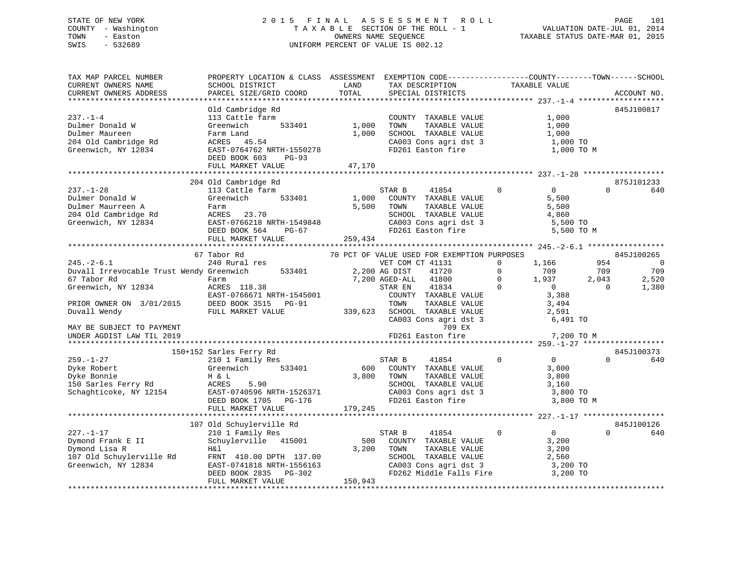### STATE OF NEW YORK 2 0 1 5 F I N A L A S S E S S M E N T R O L L PAGE 101 COUNTY - Washington T A X A B L E SECTION OF THE ROLL - 1 VALUATION DATE-JUL 01, 2014 TOWN - Easton OWNERS NAME SEQUENCE TAXABLE STATUS DATE-MAR 01, 2015 SWIS - 532689 UNIFORM PERCENT OF VALUE IS 002.12

| SCHOOL DISTRICT                                                                                                                                                          | LAND                                                                                                                               | TAX DESCRIPTION                                                                                                                                                                                                                                                                  | TAXABLE VALUE                                                                                                                                                                                                                                                                                                                                                                                                                                                                                                     | ACCOUNT NO.                                                                                                                                                                                                                                                                                                                                                                                                                                                                                                                                                                                                                                                                                                                                                                                                                                                                                                                                                                                                                                            |
|--------------------------------------------------------------------------------------------------------------------------------------------------------------------------|------------------------------------------------------------------------------------------------------------------------------------|----------------------------------------------------------------------------------------------------------------------------------------------------------------------------------------------------------------------------------------------------------------------------------|-------------------------------------------------------------------------------------------------------------------------------------------------------------------------------------------------------------------------------------------------------------------------------------------------------------------------------------------------------------------------------------------------------------------------------------------------------------------------------------------------------------------|--------------------------------------------------------------------------------------------------------------------------------------------------------------------------------------------------------------------------------------------------------------------------------------------------------------------------------------------------------------------------------------------------------------------------------------------------------------------------------------------------------------------------------------------------------------------------------------------------------------------------------------------------------------------------------------------------------------------------------------------------------------------------------------------------------------------------------------------------------------------------------------------------------------------------------------------------------------------------------------------------------------------------------------------------------|
|                                                                                                                                                                          |                                                                                                                                    |                                                                                                                                                                                                                                                                                  |                                                                                                                                                                                                                                                                                                                                                                                                                                                                                                                   |                                                                                                                                                                                                                                                                                                                                                                                                                                                                                                                                                                                                                                                                                                                                                                                                                                                                                                                                                                                                                                                        |
| Old Cambridge Rd<br>113 Cattle farm<br>Greenwich<br>Dulmer Donald<br>Dulmer Maureen<br>204 Old Cambridge Rd<br>1 ch NY 12834<br>DEED BOOK 603 PG-93<br>FULL MARKET VALUE |                                                                                                                                    | COUNTY TAXABLE VALUE<br>TOWN                                                                                                                                                                                                                                                     | 1,000<br>1,000                                                                                                                                                                                                                                                                                                                                                                                                                                                                                                    | 845J100817                                                                                                                                                                                                                                                                                                                                                                                                                                                                                                                                                                                                                                                                                                                                                                                                                                                                                                                                                                                                                                             |
|                                                                                                                                                                          |                                                                                                                                    |                                                                                                                                                                                                                                                                                  |                                                                                                                                                                                                                                                                                                                                                                                                                                                                                                                   |                                                                                                                                                                                                                                                                                                                                                                                                                                                                                                                                                                                                                                                                                                                                                                                                                                                                                                                                                                                                                                                        |
| 113 Cattle farm<br>Greenwich                                                                                                                                             |                                                                                                                                    | STAR B<br>41854<br>TAXABLE VALUE                                                                                                                                                                                                                                                 | $\overline{0}$<br>$\mathbf 0$<br>5,500<br>5,500<br>4,860                                                                                                                                                                                                                                                                                                                                                                                                                                                          | 875J101233<br>$\Omega$<br>640                                                                                                                                                                                                                                                                                                                                                                                                                                                                                                                                                                                                                                                                                                                                                                                                                                                                                                                                                                                                                          |
|                                                                                                                                                                          |                                                                                                                                    |                                                                                                                                                                                                                                                                                  |                                                                                                                                                                                                                                                                                                                                                                                                                                                                                                                   |                                                                                                                                                                                                                                                                                                                                                                                                                                                                                                                                                                                                                                                                                                                                                                                                                                                                                                                                                                                                                                                        |
|                                                                                                                                                                          |                                                                                                                                    |                                                                                                                                                                                                                                                                                  |                                                                                                                                                                                                                                                                                                                                                                                                                                                                                                                   | 845J100265                                                                                                                                                                                                                                                                                                                                                                                                                                                                                                                                                                                                                                                                                                                                                                                                                                                                                                                                                                                                                                             |
| 240 Rural res<br>67 Tabor Rd<br>Greenwich, NY 12834<br>PRIOR OWNER ON 3/01/2015 DEED BOOK 3515 PG-91                                                                     |                                                                                                                                    |                                                                                                                                                                                                                                                                                  | 1,166<br>709<br>1,937<br>3,388<br>3,494<br>2,591                                                                                                                                                                                                                                                                                                                                                                                                                                                                  | 954<br>$\overline{0}$<br>709<br>709<br>2,520<br>2,043<br>1,380<br>$\overline{0}$                                                                                                                                                                                                                                                                                                                                                                                                                                                                                                                                                                                                                                                                                                                                                                                                                                                                                                                                                                       |
|                                                                                                                                                                          |                                                                                                                                    | 709 EX<br>FD261 Easton fire                                                                                                                                                                                                                                                      |                                                                                                                                                                                                                                                                                                                                                                                                                                                                                                                   |                                                                                                                                                                                                                                                                                                                                                                                                                                                                                                                                                                                                                                                                                                                                                                                                                                                                                                                                                                                                                                                        |
|                                                                                                                                                                          |                                                                                                                                    |                                                                                                                                                                                                                                                                                  |                                                                                                                                                                                                                                                                                                                                                                                                                                                                                                                   | 845J100373                                                                                                                                                                                                                                                                                                                                                                                                                                                                                                                                                                                                                                                                                                                                                                                                                                                                                                                                                                                                                                             |
|                                                                                                                                                                          |                                                                                                                                    |                                                                                                                                                                                                                                                                                  | $\overline{0}$<br>3,800<br>3,800<br>3,160                                                                                                                                                                                                                                                                                                                                                                                                                                                                         | $\Omega$<br>640                                                                                                                                                                                                                                                                                                                                                                                                                                                                                                                                                                                                                                                                                                                                                                                                                                                                                                                                                                                                                                        |
|                                                                                                                                                                          |                                                                                                                                    |                                                                                                                                                                                                                                                                                  |                                                                                                                                                                                                                                                                                                                                                                                                                                                                                                                   |                                                                                                                                                                                                                                                                                                                                                                                                                                                                                                                                                                                                                                                                                                                                                                                                                                                                                                                                                                                                                                                        |
|                                                                                                                                                                          |                                                                                                                                    |                                                                                                                                                                                                                                                                                  |                                                                                                                                                                                                                                                                                                                                                                                                                                                                                                                   | 845J100126                                                                                                                                                                                                                                                                                                                                                                                                                                                                                                                                                                                                                                                                                                                                                                                                                                                                                                                                                                                                                                             |
| FULL MARKET VALUE                                                                                                                                                        |                                                                                                                                    | STAR B<br>41854<br>COUNTY TAXABLE VALUE<br>TOWN<br>TAXABLE VALUE                                                                                                                                                                                                                 | $\overline{0}$<br>$\overline{0}$<br>3,200<br>3,200                                                                                                                                                                                                                                                                                                                                                                                                                                                                | $\Omega$<br>640                                                                                                                                                                                                                                                                                                                                                                                                                                                                                                                                                                                                                                                                                                                                                                                                                                                                                                                                                                                                                                        |
|                                                                                                                                                                          | PARCEL SIZE/GRID COORD<br>204 Old Cambridge Rd<br>FULL MARKET VALUE<br>67 Tabor Rd<br>150+152 Sarles Ferry Rd<br>FULL MARKET VALUE | TOTAL<br>533401<br>Farm Land<br>ACRES    45.54<br>533401<br>Dulmer Maurreen A<br>204 Old Cambridge Rd<br>Greenwich, NY 12834<br>BAST-0766218 NRTH-1549848<br>DEED BOOK 564 PG-67<br>Farm<br>ACRES 118.38<br>107 Old Schuylerville Rd<br>210 1 Family Res<br>Schuylerville 415001 | SPECIAL DISTRICTS<br>1,000<br>1,000<br>EAST-0764762 NRTH-1550278<br>47,170<br>1,000 COUNTY TAXABLE VALUE<br>5,500 TOWN<br>-CONSIDER 23.70<br>EAST-0766218 NRTH-1549848<br>DEED BOOK 564 PG-67<br>259,434<br>Duvall Irrevocable Trust Wendy Greenwich 533401 2,200 AG DIST 41720<br>7,200 AGED-ALL 41800<br>179,245<br>500<br>3,200<br>Dymond Lisa R<br>107 Old Schuylerville Rd<br>Greenwich, NY 12834<br>EAST-0741818 NRTH-1556163<br>EAST-0741818 NRTH-1556163<br>EED BOOK 2835<br>PG-302<br>150.943<br>150,943 | PROPERTY LOCATION & CLASS ASSESSMENT EXEMPTION CODE----------------COUNTY-------TOWN------SCHOOL<br>TAXABLE VALUE<br>$\begin{tabular}{lllllllllll} \texttt{SCHODL} & \texttt{TAXABLE} & \texttt{VAUE} & & & 1,000 \\ \texttt{CA003} & \texttt{Cons} & \texttt{agri} & \texttt{dst} & 3 & & & 1,000 \texttt{ TO} \\ \end{tabular}$<br>FD261 Easton fire<br>1,000 TO M<br>TOWN      TAXABLE VALUE<br>SCHOOL   TAXABLE VALUE<br>CA003 Cons agri dst 3<br>FD261 Easton fire 5,500 TO M<br>70 PCT OF VALUE USED FOR EXEMPTION PURPOSES<br>VET COM CT 41131 0 1,166<br>$\overline{0}$<br>$\begin{array}{c} 1 \text{, } 937 \\ 0 \end{array}$<br>$\overline{0}$<br>STAR EN 41834 0<br>ACALS 110.30<br>EAST-0766671 NRTH-1545001 COUNTY TAXABLE VALUE<br>DEED BOOK 3515 PG-91 TOWN TAXABLE VALUE<br>FULL MARKET VALUE 339,623 SCHOOL TAXABLE VALUE<br>SCHOOL TAXABLE VALUE 2,591<br>CA003 Cons agri dst 3 6,491 TO<br>7,200 TO M<br>3,800 TO<br>3,800 TO M<br>SCHOOL TAXABLE VALUE 2,560<br>CA003 Cons agri dst 3 3,200 TO<br>FD262 Middle Falls Fire 3,200 TO |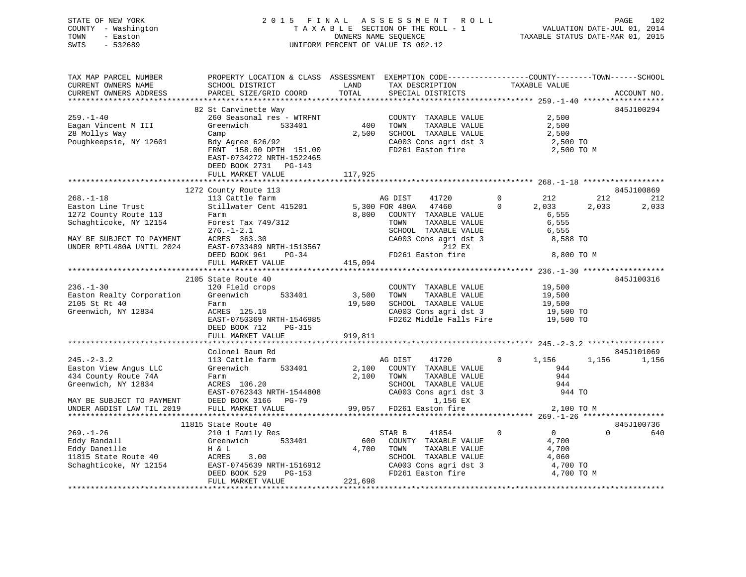STATE OF NEW YORK 2 0 1 5 F I N A L A S S E S S M E N T R O L L PAGE 102 COUNTY - Washington T A X A B L E SECTION OF THE ROLL - 1 VALUATION DATE-JUL 01, 2014 TOWN - Easton OWNERS NAME SEQUENCE TAXABLE STATUS DATE-MAR 01, 2015 SWIS - 532689 UNIFORM PERCENT OF VALUE IS 002.12

| 82 St Canvinette Way<br>845J100294<br>$259. - 1 - 40$<br>260 Seasonal res - WTRFNT<br>2,500<br>COUNTY TAXABLE VALUE<br>TAXABLE VALUE<br>400<br>Eagan Vincent M III<br>Greenwich<br>533401<br>2,500<br>TOWN<br>28 Mollys Way<br>2,500<br>SCHOOL TAXABLE VALUE<br>2,500<br>Camp<br>Camp<br>Bdy Agree 626/92<br>CA003 Cons agri dst 3 2,500 TO<br>Poughkeepsie, NY 12601<br>FRNT 158.00 DPTH 151.00<br>FD261 Easton fire<br>2,500 TO M<br>EAST-0734272 NRTH-1522465<br>DEED BOOK 2731 PG-143<br>FULL MARKET VALUE<br>117,925<br>1272 County Route 113<br>845J100869<br>County Route 113<br>113 Cattle farm<br>Stillwater Cent 415201 5,300 FOR 480A 47460<br>$\begin{matrix}0&\phantom{0}212\end{matrix}$<br>$268. - 1 - 18$<br>212<br>212<br>$0 \qquad \qquad$<br>2,033<br>2,033<br>2,033<br>Easton Line Trust<br>1272 County Route 113<br>8,800 COUNTY TAXABLE VALUE<br>6,555<br>Farm<br>Schaghticoke, NY 12154<br>Forest Tax 749/312<br>Provest Tax 749/312<br>276.-1-2.1<br>ACRES 363.30<br>EAST-0733489 NRTH-1513567<br>DEED BOOK 961 PG-34<br>PG-34<br>PG-34<br>PG-34<br>PG-34<br>PG-34<br>PG-34<br>PG-34<br>PG-34<br>PG-34<br>TAXABLE VALUE<br>6,555<br>SCHOOL TAXABLE VALUE<br>6,555<br>CA003 Cons agri dst 3<br>8,588 TO<br>MAY BE SUBJECT TO PAYMENT<br>212 EX<br>UNDER RPTL480A UNTIL 2024<br>8,800 TO M<br>415,094<br>FULL MARKET VALUE<br>2105 State Route 40<br>845J100316<br>$236. - 1 - 30$<br>COUNTY TAXABLE VALUE 19,500<br>120 Field crops<br>Greenwich 533401<br>3,500 TOWN<br>Easton Realty Corporation<br>2105 St Rt 40<br>Greenwich, NY 12834<br>TOWN TAXABLE VALUE<br>SCHOOL TAXABLE VALUE 19,500<br>19,500 TO<br>19,500<br>Farm<br>ACRES 125.10<br>EAST-0750369 NRTH-1546985<br>FD262 Middle Falls Fire 19,500 TO<br>DEED BOOK 712 PG-315<br>919,811<br>FULL MARKET VALUE<br>Colonel Baum Rd<br>845J101069<br>1,156<br>$245. - 2 - 3.2$<br>113 Cattle farm<br>AG DIST<br>41720<br>$0 \qquad \qquad$<br>1,156 1,156<br>533401<br>Easton View Angus LLC<br>Greenwich<br>2,100 COUNTY TAXABLE VALUE<br>944<br>434 County Route 74A<br>2,100 TOWN<br>944<br>Farm<br>TAXABLE VALUE<br>Greenwich, NY 12834<br>SCHOOL TAXABLE VALUE<br>CA003 Cons agri dst 3<br>ACRES 106.20<br>944<br>EAST-0762343 NRTH-1544808<br>DEED BOOK 3166 PG-79<br>944 TO<br>DEED BOOK 3166 PG-79<br>MAY BE SUBJECT TO PAYMENT<br>1,156 EX<br>99,057 FD261 Easton fire<br>UNDER AGDIST LAW TIL 2019<br>FULL MARKET VALUE<br>2,100 TO M<br>845J100736<br>11815 State Route 40<br>210 1 Family Res<br>$\overline{0}$<br>41854 0<br>$\Omega$<br>$269. - 1 - 26$<br>STAR B<br>640<br>Greenwich 533401<br>Eddy Randall<br>600 COUNTY TAXABLE VALUE<br>4,700 TOWN TAXABLE VALUE<br>4,700<br>4,700<br>H & L<br>Eddy Daneille<br>11815 State Route 40<br>11815 NY 12154<br>ACRES<br>3.00<br>SCHOOL TAXABLE VALUE 4,060<br>CA003 Cons agri dst 3 4,700 TO<br>EAST-0745639 NRTH-1516912<br>DEED BOOK 529 DC-152<br>FD261 Easton fire<br>DEED BOOK 529<br>PG-153<br>4,700 TO M<br>FULL MARKET VALUE<br>221,698 | TAX MAP PARCEL NUMBER<br>CURRENT OWNERS NAME<br>CURRENT OWNERS ADDRESS | PROPERTY LOCATION & CLASS ASSESSMENT EXEMPTION CODE----------------COUNTY-------TOWN------SCHOOL<br>SCHOOL DISTRICT<br>PARCEL SIZE/GRID COORD | LAND<br>TOTAL | TAX DESCRIPTION TAXABLE VALUE<br>SPECIAL DISTRICTS |  | ACCOUNT NO. |
|---------------------------------------------------------------------------------------------------------------------------------------------------------------------------------------------------------------------------------------------------------------------------------------------------------------------------------------------------------------------------------------------------------------------------------------------------------------------------------------------------------------------------------------------------------------------------------------------------------------------------------------------------------------------------------------------------------------------------------------------------------------------------------------------------------------------------------------------------------------------------------------------------------------------------------------------------------------------------------------------------------------------------------------------------------------------------------------------------------------------------------------------------------------------------------------------------------------------------------------------------------------------------------------------------------------------------------------------------------------------------------------------------------------------------------------------------------------------------------------------------------------------------------------------------------------------------------------------------------------------------------------------------------------------------------------------------------------------------------------------------------------------------------------------------------------------------------------------------------------------------------------------------------------------------------------------------------------------------------------------------------------------------------------------------------------------------------------------------------------------------------------------------------------------------------------------------------------------------------------------------------------------------------------------------------------------------------------------------------------------------------------------------------------------------------------------------------------------------------------------------------------------------------------------------------------------------------------------------------------------------------------------------------------------------------------------------------------------------------------------------------------------------------------------------------------------------------------------------------------------------------------------------------------------------------------------------------------------------------------------|------------------------------------------------------------------------|-----------------------------------------------------------------------------------------------------------------------------------------------|---------------|----------------------------------------------------|--|-------------|
|                                                                                                                                                                                                                                                                                                                                                                                                                                                                                                                                                                                                                                                                                                                                                                                                                                                                                                                                                                                                                                                                                                                                                                                                                                                                                                                                                                                                                                                                                                                                                                                                                                                                                                                                                                                                                                                                                                                                                                                                                                                                                                                                                                                                                                                                                                                                                                                                                                                                                                                                                                                                                                                                                                                                                                                                                                                                                                                                                                                             |                                                                        |                                                                                                                                               |               |                                                    |  |             |
|                                                                                                                                                                                                                                                                                                                                                                                                                                                                                                                                                                                                                                                                                                                                                                                                                                                                                                                                                                                                                                                                                                                                                                                                                                                                                                                                                                                                                                                                                                                                                                                                                                                                                                                                                                                                                                                                                                                                                                                                                                                                                                                                                                                                                                                                                                                                                                                                                                                                                                                                                                                                                                                                                                                                                                                                                                                                                                                                                                                             |                                                                        |                                                                                                                                               |               |                                                    |  |             |
|                                                                                                                                                                                                                                                                                                                                                                                                                                                                                                                                                                                                                                                                                                                                                                                                                                                                                                                                                                                                                                                                                                                                                                                                                                                                                                                                                                                                                                                                                                                                                                                                                                                                                                                                                                                                                                                                                                                                                                                                                                                                                                                                                                                                                                                                                                                                                                                                                                                                                                                                                                                                                                                                                                                                                                                                                                                                                                                                                                                             |                                                                        |                                                                                                                                               |               |                                                    |  |             |
|                                                                                                                                                                                                                                                                                                                                                                                                                                                                                                                                                                                                                                                                                                                                                                                                                                                                                                                                                                                                                                                                                                                                                                                                                                                                                                                                                                                                                                                                                                                                                                                                                                                                                                                                                                                                                                                                                                                                                                                                                                                                                                                                                                                                                                                                                                                                                                                                                                                                                                                                                                                                                                                                                                                                                                                                                                                                                                                                                                                             |                                                                        |                                                                                                                                               |               |                                                    |  |             |
|                                                                                                                                                                                                                                                                                                                                                                                                                                                                                                                                                                                                                                                                                                                                                                                                                                                                                                                                                                                                                                                                                                                                                                                                                                                                                                                                                                                                                                                                                                                                                                                                                                                                                                                                                                                                                                                                                                                                                                                                                                                                                                                                                                                                                                                                                                                                                                                                                                                                                                                                                                                                                                                                                                                                                                                                                                                                                                                                                                                             |                                                                        |                                                                                                                                               |               |                                                    |  |             |
|                                                                                                                                                                                                                                                                                                                                                                                                                                                                                                                                                                                                                                                                                                                                                                                                                                                                                                                                                                                                                                                                                                                                                                                                                                                                                                                                                                                                                                                                                                                                                                                                                                                                                                                                                                                                                                                                                                                                                                                                                                                                                                                                                                                                                                                                                                                                                                                                                                                                                                                                                                                                                                                                                                                                                                                                                                                                                                                                                                                             |                                                                        |                                                                                                                                               |               |                                                    |  |             |
|                                                                                                                                                                                                                                                                                                                                                                                                                                                                                                                                                                                                                                                                                                                                                                                                                                                                                                                                                                                                                                                                                                                                                                                                                                                                                                                                                                                                                                                                                                                                                                                                                                                                                                                                                                                                                                                                                                                                                                                                                                                                                                                                                                                                                                                                                                                                                                                                                                                                                                                                                                                                                                                                                                                                                                                                                                                                                                                                                                                             |                                                                        |                                                                                                                                               |               |                                                    |  |             |
|                                                                                                                                                                                                                                                                                                                                                                                                                                                                                                                                                                                                                                                                                                                                                                                                                                                                                                                                                                                                                                                                                                                                                                                                                                                                                                                                                                                                                                                                                                                                                                                                                                                                                                                                                                                                                                                                                                                                                                                                                                                                                                                                                                                                                                                                                                                                                                                                                                                                                                                                                                                                                                                                                                                                                                                                                                                                                                                                                                                             |                                                                        |                                                                                                                                               |               |                                                    |  |             |
|                                                                                                                                                                                                                                                                                                                                                                                                                                                                                                                                                                                                                                                                                                                                                                                                                                                                                                                                                                                                                                                                                                                                                                                                                                                                                                                                                                                                                                                                                                                                                                                                                                                                                                                                                                                                                                                                                                                                                                                                                                                                                                                                                                                                                                                                                                                                                                                                                                                                                                                                                                                                                                                                                                                                                                                                                                                                                                                                                                                             |                                                                        |                                                                                                                                               |               |                                                    |  |             |
|                                                                                                                                                                                                                                                                                                                                                                                                                                                                                                                                                                                                                                                                                                                                                                                                                                                                                                                                                                                                                                                                                                                                                                                                                                                                                                                                                                                                                                                                                                                                                                                                                                                                                                                                                                                                                                                                                                                                                                                                                                                                                                                                                                                                                                                                                                                                                                                                                                                                                                                                                                                                                                                                                                                                                                                                                                                                                                                                                                                             |                                                                        |                                                                                                                                               |               |                                                    |  |             |
|                                                                                                                                                                                                                                                                                                                                                                                                                                                                                                                                                                                                                                                                                                                                                                                                                                                                                                                                                                                                                                                                                                                                                                                                                                                                                                                                                                                                                                                                                                                                                                                                                                                                                                                                                                                                                                                                                                                                                                                                                                                                                                                                                                                                                                                                                                                                                                                                                                                                                                                                                                                                                                                                                                                                                                                                                                                                                                                                                                                             |                                                                        |                                                                                                                                               |               |                                                    |  |             |
|                                                                                                                                                                                                                                                                                                                                                                                                                                                                                                                                                                                                                                                                                                                                                                                                                                                                                                                                                                                                                                                                                                                                                                                                                                                                                                                                                                                                                                                                                                                                                                                                                                                                                                                                                                                                                                                                                                                                                                                                                                                                                                                                                                                                                                                                                                                                                                                                                                                                                                                                                                                                                                                                                                                                                                                                                                                                                                                                                                                             |                                                                        |                                                                                                                                               |               |                                                    |  |             |
|                                                                                                                                                                                                                                                                                                                                                                                                                                                                                                                                                                                                                                                                                                                                                                                                                                                                                                                                                                                                                                                                                                                                                                                                                                                                                                                                                                                                                                                                                                                                                                                                                                                                                                                                                                                                                                                                                                                                                                                                                                                                                                                                                                                                                                                                                                                                                                                                                                                                                                                                                                                                                                                                                                                                                                                                                                                                                                                                                                                             |                                                                        |                                                                                                                                               |               |                                                    |  |             |
|                                                                                                                                                                                                                                                                                                                                                                                                                                                                                                                                                                                                                                                                                                                                                                                                                                                                                                                                                                                                                                                                                                                                                                                                                                                                                                                                                                                                                                                                                                                                                                                                                                                                                                                                                                                                                                                                                                                                                                                                                                                                                                                                                                                                                                                                                                                                                                                                                                                                                                                                                                                                                                                                                                                                                                                                                                                                                                                                                                                             |                                                                        |                                                                                                                                               |               |                                                    |  |             |
|                                                                                                                                                                                                                                                                                                                                                                                                                                                                                                                                                                                                                                                                                                                                                                                                                                                                                                                                                                                                                                                                                                                                                                                                                                                                                                                                                                                                                                                                                                                                                                                                                                                                                                                                                                                                                                                                                                                                                                                                                                                                                                                                                                                                                                                                                                                                                                                                                                                                                                                                                                                                                                                                                                                                                                                                                                                                                                                                                                                             |                                                                        |                                                                                                                                               |               |                                                    |  |             |
|                                                                                                                                                                                                                                                                                                                                                                                                                                                                                                                                                                                                                                                                                                                                                                                                                                                                                                                                                                                                                                                                                                                                                                                                                                                                                                                                                                                                                                                                                                                                                                                                                                                                                                                                                                                                                                                                                                                                                                                                                                                                                                                                                                                                                                                                                                                                                                                                                                                                                                                                                                                                                                                                                                                                                                                                                                                                                                                                                                                             |                                                                        |                                                                                                                                               |               |                                                    |  |             |
|                                                                                                                                                                                                                                                                                                                                                                                                                                                                                                                                                                                                                                                                                                                                                                                                                                                                                                                                                                                                                                                                                                                                                                                                                                                                                                                                                                                                                                                                                                                                                                                                                                                                                                                                                                                                                                                                                                                                                                                                                                                                                                                                                                                                                                                                                                                                                                                                                                                                                                                                                                                                                                                                                                                                                                                                                                                                                                                                                                                             |                                                                        |                                                                                                                                               |               |                                                    |  |             |
|                                                                                                                                                                                                                                                                                                                                                                                                                                                                                                                                                                                                                                                                                                                                                                                                                                                                                                                                                                                                                                                                                                                                                                                                                                                                                                                                                                                                                                                                                                                                                                                                                                                                                                                                                                                                                                                                                                                                                                                                                                                                                                                                                                                                                                                                                                                                                                                                                                                                                                                                                                                                                                                                                                                                                                                                                                                                                                                                                                                             |                                                                        |                                                                                                                                               |               |                                                    |  |             |
|                                                                                                                                                                                                                                                                                                                                                                                                                                                                                                                                                                                                                                                                                                                                                                                                                                                                                                                                                                                                                                                                                                                                                                                                                                                                                                                                                                                                                                                                                                                                                                                                                                                                                                                                                                                                                                                                                                                                                                                                                                                                                                                                                                                                                                                                                                                                                                                                                                                                                                                                                                                                                                                                                                                                                                                                                                                                                                                                                                                             |                                                                        |                                                                                                                                               |               |                                                    |  |             |
|                                                                                                                                                                                                                                                                                                                                                                                                                                                                                                                                                                                                                                                                                                                                                                                                                                                                                                                                                                                                                                                                                                                                                                                                                                                                                                                                                                                                                                                                                                                                                                                                                                                                                                                                                                                                                                                                                                                                                                                                                                                                                                                                                                                                                                                                                                                                                                                                                                                                                                                                                                                                                                                                                                                                                                                                                                                                                                                                                                                             |                                                                        |                                                                                                                                               |               |                                                    |  |             |
|                                                                                                                                                                                                                                                                                                                                                                                                                                                                                                                                                                                                                                                                                                                                                                                                                                                                                                                                                                                                                                                                                                                                                                                                                                                                                                                                                                                                                                                                                                                                                                                                                                                                                                                                                                                                                                                                                                                                                                                                                                                                                                                                                                                                                                                                                                                                                                                                                                                                                                                                                                                                                                                                                                                                                                                                                                                                                                                                                                                             |                                                                        |                                                                                                                                               |               |                                                    |  |             |
|                                                                                                                                                                                                                                                                                                                                                                                                                                                                                                                                                                                                                                                                                                                                                                                                                                                                                                                                                                                                                                                                                                                                                                                                                                                                                                                                                                                                                                                                                                                                                                                                                                                                                                                                                                                                                                                                                                                                                                                                                                                                                                                                                                                                                                                                                                                                                                                                                                                                                                                                                                                                                                                                                                                                                                                                                                                                                                                                                                                             |                                                                        |                                                                                                                                               |               |                                                    |  |             |
|                                                                                                                                                                                                                                                                                                                                                                                                                                                                                                                                                                                                                                                                                                                                                                                                                                                                                                                                                                                                                                                                                                                                                                                                                                                                                                                                                                                                                                                                                                                                                                                                                                                                                                                                                                                                                                                                                                                                                                                                                                                                                                                                                                                                                                                                                                                                                                                                                                                                                                                                                                                                                                                                                                                                                                                                                                                                                                                                                                                             |                                                                        |                                                                                                                                               |               |                                                    |  |             |
|                                                                                                                                                                                                                                                                                                                                                                                                                                                                                                                                                                                                                                                                                                                                                                                                                                                                                                                                                                                                                                                                                                                                                                                                                                                                                                                                                                                                                                                                                                                                                                                                                                                                                                                                                                                                                                                                                                                                                                                                                                                                                                                                                                                                                                                                                                                                                                                                                                                                                                                                                                                                                                                                                                                                                                                                                                                                                                                                                                                             |                                                                        |                                                                                                                                               |               |                                                    |  |             |
|                                                                                                                                                                                                                                                                                                                                                                                                                                                                                                                                                                                                                                                                                                                                                                                                                                                                                                                                                                                                                                                                                                                                                                                                                                                                                                                                                                                                                                                                                                                                                                                                                                                                                                                                                                                                                                                                                                                                                                                                                                                                                                                                                                                                                                                                                                                                                                                                                                                                                                                                                                                                                                                                                                                                                                                                                                                                                                                                                                                             |                                                                        |                                                                                                                                               |               |                                                    |  |             |
|                                                                                                                                                                                                                                                                                                                                                                                                                                                                                                                                                                                                                                                                                                                                                                                                                                                                                                                                                                                                                                                                                                                                                                                                                                                                                                                                                                                                                                                                                                                                                                                                                                                                                                                                                                                                                                                                                                                                                                                                                                                                                                                                                                                                                                                                                                                                                                                                                                                                                                                                                                                                                                                                                                                                                                                                                                                                                                                                                                                             |                                                                        |                                                                                                                                               |               |                                                    |  |             |
|                                                                                                                                                                                                                                                                                                                                                                                                                                                                                                                                                                                                                                                                                                                                                                                                                                                                                                                                                                                                                                                                                                                                                                                                                                                                                                                                                                                                                                                                                                                                                                                                                                                                                                                                                                                                                                                                                                                                                                                                                                                                                                                                                                                                                                                                                                                                                                                                                                                                                                                                                                                                                                                                                                                                                                                                                                                                                                                                                                                             |                                                                        |                                                                                                                                               |               |                                                    |  |             |
|                                                                                                                                                                                                                                                                                                                                                                                                                                                                                                                                                                                                                                                                                                                                                                                                                                                                                                                                                                                                                                                                                                                                                                                                                                                                                                                                                                                                                                                                                                                                                                                                                                                                                                                                                                                                                                                                                                                                                                                                                                                                                                                                                                                                                                                                                                                                                                                                                                                                                                                                                                                                                                                                                                                                                                                                                                                                                                                                                                                             |                                                                        |                                                                                                                                               |               |                                                    |  |             |
|                                                                                                                                                                                                                                                                                                                                                                                                                                                                                                                                                                                                                                                                                                                                                                                                                                                                                                                                                                                                                                                                                                                                                                                                                                                                                                                                                                                                                                                                                                                                                                                                                                                                                                                                                                                                                                                                                                                                                                                                                                                                                                                                                                                                                                                                                                                                                                                                                                                                                                                                                                                                                                                                                                                                                                                                                                                                                                                                                                                             |                                                                        |                                                                                                                                               |               |                                                    |  |             |
|                                                                                                                                                                                                                                                                                                                                                                                                                                                                                                                                                                                                                                                                                                                                                                                                                                                                                                                                                                                                                                                                                                                                                                                                                                                                                                                                                                                                                                                                                                                                                                                                                                                                                                                                                                                                                                                                                                                                                                                                                                                                                                                                                                                                                                                                                                                                                                                                                                                                                                                                                                                                                                                                                                                                                                                                                                                                                                                                                                                             |                                                                        |                                                                                                                                               |               |                                                    |  |             |
|                                                                                                                                                                                                                                                                                                                                                                                                                                                                                                                                                                                                                                                                                                                                                                                                                                                                                                                                                                                                                                                                                                                                                                                                                                                                                                                                                                                                                                                                                                                                                                                                                                                                                                                                                                                                                                                                                                                                                                                                                                                                                                                                                                                                                                                                                                                                                                                                                                                                                                                                                                                                                                                                                                                                                                                                                                                                                                                                                                                             |                                                                        |                                                                                                                                               |               |                                                    |  |             |
|                                                                                                                                                                                                                                                                                                                                                                                                                                                                                                                                                                                                                                                                                                                                                                                                                                                                                                                                                                                                                                                                                                                                                                                                                                                                                                                                                                                                                                                                                                                                                                                                                                                                                                                                                                                                                                                                                                                                                                                                                                                                                                                                                                                                                                                                                                                                                                                                                                                                                                                                                                                                                                                                                                                                                                                                                                                                                                                                                                                             |                                                                        |                                                                                                                                               |               |                                                    |  |             |
|                                                                                                                                                                                                                                                                                                                                                                                                                                                                                                                                                                                                                                                                                                                                                                                                                                                                                                                                                                                                                                                                                                                                                                                                                                                                                                                                                                                                                                                                                                                                                                                                                                                                                                                                                                                                                                                                                                                                                                                                                                                                                                                                                                                                                                                                                                                                                                                                                                                                                                                                                                                                                                                                                                                                                                                                                                                                                                                                                                                             |                                                                        |                                                                                                                                               |               |                                                    |  |             |
|                                                                                                                                                                                                                                                                                                                                                                                                                                                                                                                                                                                                                                                                                                                                                                                                                                                                                                                                                                                                                                                                                                                                                                                                                                                                                                                                                                                                                                                                                                                                                                                                                                                                                                                                                                                                                                                                                                                                                                                                                                                                                                                                                                                                                                                                                                                                                                                                                                                                                                                                                                                                                                                                                                                                                                                                                                                                                                                                                                                             |                                                                        |                                                                                                                                               |               |                                                    |  |             |
|                                                                                                                                                                                                                                                                                                                                                                                                                                                                                                                                                                                                                                                                                                                                                                                                                                                                                                                                                                                                                                                                                                                                                                                                                                                                                                                                                                                                                                                                                                                                                                                                                                                                                                                                                                                                                                                                                                                                                                                                                                                                                                                                                                                                                                                                                                                                                                                                                                                                                                                                                                                                                                                                                                                                                                                                                                                                                                                                                                                             |                                                                        |                                                                                                                                               |               |                                                    |  |             |
|                                                                                                                                                                                                                                                                                                                                                                                                                                                                                                                                                                                                                                                                                                                                                                                                                                                                                                                                                                                                                                                                                                                                                                                                                                                                                                                                                                                                                                                                                                                                                                                                                                                                                                                                                                                                                                                                                                                                                                                                                                                                                                                                                                                                                                                                                                                                                                                                                                                                                                                                                                                                                                                                                                                                                                                                                                                                                                                                                                                             |                                                                        |                                                                                                                                               |               |                                                    |  |             |
|                                                                                                                                                                                                                                                                                                                                                                                                                                                                                                                                                                                                                                                                                                                                                                                                                                                                                                                                                                                                                                                                                                                                                                                                                                                                                                                                                                                                                                                                                                                                                                                                                                                                                                                                                                                                                                                                                                                                                                                                                                                                                                                                                                                                                                                                                                                                                                                                                                                                                                                                                                                                                                                                                                                                                                                                                                                                                                                                                                                             |                                                                        |                                                                                                                                               |               |                                                    |  |             |
|                                                                                                                                                                                                                                                                                                                                                                                                                                                                                                                                                                                                                                                                                                                                                                                                                                                                                                                                                                                                                                                                                                                                                                                                                                                                                                                                                                                                                                                                                                                                                                                                                                                                                                                                                                                                                                                                                                                                                                                                                                                                                                                                                                                                                                                                                                                                                                                                                                                                                                                                                                                                                                                                                                                                                                                                                                                                                                                                                                                             |                                                                        |                                                                                                                                               |               |                                                    |  |             |
|                                                                                                                                                                                                                                                                                                                                                                                                                                                                                                                                                                                                                                                                                                                                                                                                                                                                                                                                                                                                                                                                                                                                                                                                                                                                                                                                                                                                                                                                                                                                                                                                                                                                                                                                                                                                                                                                                                                                                                                                                                                                                                                                                                                                                                                                                                                                                                                                                                                                                                                                                                                                                                                                                                                                                                                                                                                                                                                                                                                             |                                                                        |                                                                                                                                               |               |                                                    |  |             |
|                                                                                                                                                                                                                                                                                                                                                                                                                                                                                                                                                                                                                                                                                                                                                                                                                                                                                                                                                                                                                                                                                                                                                                                                                                                                                                                                                                                                                                                                                                                                                                                                                                                                                                                                                                                                                                                                                                                                                                                                                                                                                                                                                                                                                                                                                                                                                                                                                                                                                                                                                                                                                                                                                                                                                                                                                                                                                                                                                                                             |                                                                        |                                                                                                                                               |               |                                                    |  |             |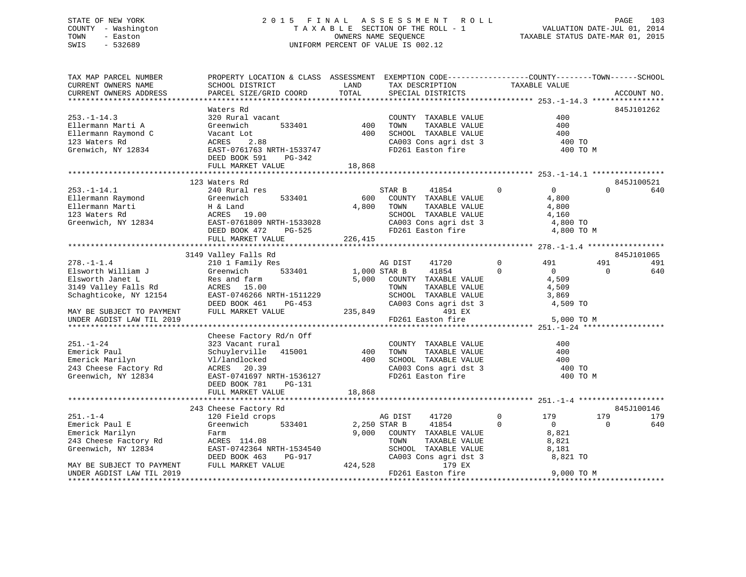## STATE OF NEW YORK 2015 FINAL ASSESSMENT ROLL PAGE 103 COUNTY - Washington  $T A X A B L E$  SECTION OF THE ROLL - 1<br>TOWN - Easton DATE-JUL 2016 OWNERS NAME SEQUENCE SWIS - 532689 UNIFORM PERCENT OF VALUE IS 002.12

VALUATION DATE-JUL 01, 2014

TAXABLE STATUS DATE-MAR 01, 2015

| TAX MAP PARCEL NUMBER                                               | PROPERTY LOCATION & CLASS ASSESSMENT EXEMPTION CODE---------------COUNTY-------TOWN-----SCHOOL |              |                                            |                            |          |             |
|---------------------------------------------------------------------|------------------------------------------------------------------------------------------------|--------------|--------------------------------------------|----------------------------|----------|-------------|
| CURRENT OWNERS NAME                                                 | SCHOOL DISTRICT                                                                                | LAND         | TAX DESCRIPTION                            |                            |          |             |
| CURRENT OWNERS ADDRESS                                              | PARCEL SIZE/GRID COORD                                                                         | TOTAL        | SPECIAL DISTRICTS                          | TAXABLE VALUE              |          | ACCOUNT NO. |
|                                                                     |                                                                                                |              |                                            |                            |          |             |
|                                                                     | Waters Rd                                                                                      |              |                                            |                            |          | 845J101262  |
| $253. - 1 - 14.3$                                                   | 320 Rural vacant                                                                               |              | COUNTY TAXABLE VALUE                       | 400                        |          |             |
| Ellermann Marti A                                                   | 533401<br>Greenwich                                                                            | 400          | TOWN<br>TAXABLE VALUE                      | 400                        |          |             |
| Ellermann Raymond C                                                 | Vacant Lot                                                                                     | 400          | SCHOOL TAXABLE VALUE                       | 400                        |          |             |
| 123 Waters Rd                                                       | ACRES<br>2.88                                                                                  |              | CA003 Cons agri dst 3                      | 400 TO                     |          |             |
| Grenwich, NY 12834                                                  | EAST-0761763 NRTH-1533747                                                                      |              | FD261 Easton fire                          | 400 TO M                   |          |             |
|                                                                     | DEED BOOK 591<br>PG-342                                                                        |              |                                            |                            |          |             |
|                                                                     | FULL MARKET VALUE                                                                              | 18,868       |                                            |                            |          |             |
|                                                                     |                                                                                                |              |                                            |                            |          |             |
|                                                                     | 123 Waters Rd                                                                                  |              |                                            |                            |          | 845J100521  |
| $253. - 1 - 14.1$                                                   | 240 Rural res                                                                                  |              | STAR B<br>41854                            | $\Omega$<br>$\overline{0}$ | $\Omega$ | 640         |
| Ellermann Raymond                                                   | 533401<br>Greenwich                                                                            | 600          | COUNTY TAXABLE VALUE                       | 4,800                      |          |             |
| Ellermann Marti                                                     |                                                                                                | 4,800        | TOWN<br>TAXABLE VALUE                      | 4,800                      |          |             |
| 123 Waters Rd                                                       | H & Land<br>ACRES 19.00                                                                        |              | SCHOOL TAXABLE VALUE                       | 4,160                      |          |             |
| Greenwich, NY 12834 EAST-0761809 NRTH-1533028                       |                                                                                                |              | CA003 Cons agri dst 3                      | 4,800 TO                   |          |             |
|                                                                     | DEED BOOK 472                                                                                  |              |                                            | 4,800 TO M                 |          |             |
|                                                                     | FULL MARKET VALUE                                                                              | 226,415      |                                            |                            |          |             |
|                                                                     |                                                                                                |              |                                            |                            |          |             |
|                                                                     | 3149 Valley Falls Rd                                                                           |              |                                            |                            |          | 845J101065  |
| $278. - 1 - 1.4$                                                    | 210 1 Family Res                                                                               | AG DIST      | 41720                                      | $\overline{0}$<br>491      | 491      | 491         |
| Elsworth William J                                                  | 533401<br>Greenwich                                                                            | 1,000 STAR B | 41854                                      | $\Omega$<br>$\overline{0}$ | $\Omega$ | 640         |
| Elsworth Janet L                                                    | Res and farm                                                                                   |              | 5,000 COUNTY TAXABLE VALUE                 | 4,509                      |          |             |
| 3149 Valley Falls Rd                                                | ACRES 15.00                                                                                    |              | TAXABLE VALUE<br>TOWN                      | 4,509                      |          |             |
| Schaghticoke, NY 12154                                              | EAST-0746266 NRTH-1511229                                                                      |              | SCHOOL TAXABLE VALUE                       | 3,869                      |          |             |
|                                                                     | DEED BOOK 461<br>PG-453                                                                        |              | CA003 Cons agri dst 3                      | 4,509 TO                   |          |             |
| MAY BE SUBJECT TO PAYMENT                                           | FULL MARKET VALUE                                                                              | 235,849      | 491 EX                                     |                            |          |             |
| UNDER AGDIST LAW TIL 2019                                           |                                                                                                |              | FD261 Easton fire                          | 5,000 TO M                 |          |             |
|                                                                     |                                                                                                |              |                                            |                            |          |             |
|                                                                     | Cheese Factory Rd/n Off                                                                        |              |                                            |                            |          |             |
| $251. - 1 - 24$                                                     | 323 Vacant rural                                                                               |              | COUNTY TAXABLE VALUE                       | 400                        |          |             |
| Emerick Paul                                                        | Schuylerville 415001                                                                           | 400          | TAXABLE VALUE<br>TOWN                      | 400                        |          |             |
| Emerick Marilyn                                                     | Vl/landlocked                                                                                  | 400          | SCHOOL TAXABLE VALUE                       | 400                        |          |             |
| 243 Cheese Factory Rd                                               | ACRES 20.39                                                                                    |              |                                            | 400 TO                     |          |             |
| Greenwich, NY 12834                                                 | EAST-0741697 NRTH-1536127                                                                      |              | CA003 Cons agri dst 3<br>FD261 Easton fire | 400 TO M                   |          |             |
|                                                                     | DEED BOOK 781<br>PG-131                                                                        |              |                                            |                            |          |             |
|                                                                     | FULL MARKET VALUE                                                                              | 18,868       |                                            |                            |          |             |
|                                                                     |                                                                                                |              |                                            |                            |          |             |
|                                                                     | 243 Cheese Factory Rd                                                                          |              |                                            |                            |          | 845J100146  |
| $251. - 1 - 4$                                                      | 120 Field crops                                                                                |              | AG DIST<br>41720                           | $\Omega$<br>179            | 179      | 179         |
| Emerick Paul E                                                      | Greenwich<br>533401                                                                            | 2,250 STAR B | 41854                                      | $\Omega$<br>$\overline{0}$ | $\Omega$ | 640         |
| Emerick Marilyn                                                     | Farm                                                                                           |              | 9,000 COUNTY TAXABLE VALUE                 | 8,821                      |          |             |
|                                                                     | ACRES 114.08                                                                                   |              | TOWN<br>TAXABLE VALUE                      | 8,821                      |          |             |
| 243 Cheese Factory Rd<br>Greenwich, NY 12834<br>Greenwich, NY 12834 | EAST-0742364 NRTH-1534540                                                                      |              | SCHOOL TAXABLE VALUE                       | 8,181                      |          |             |
|                                                                     | DEED BOOK 463<br>PG-917                                                                        |              | CA003 Cons agri dst 3                      | 8,821 TO                   |          |             |
| MAY BE SUBJECT TO PAYMENT                                           | FULL MARKET VALUE                                                                              | 424,528      | 179 EX                                     |                            |          |             |
| UNDER AGDIST LAW TIL 2019                                           |                                                                                                |              | FD261 Easton fire                          | 9,000 TO M                 |          |             |
|                                                                     |                                                                                                |              |                                            |                            |          |             |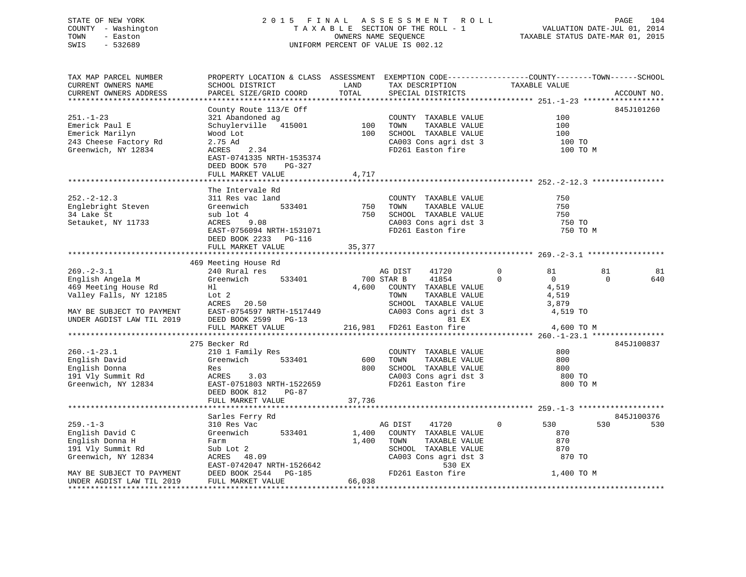### STATE OF NEW YORK 2 0 1 5 F I N A L A S S E S S M E N T R O L L PAGE 104 COUNTY - Washington T A X A B L E SECTION OF THE ROLL - 1 VALUATION DATE-JUL 01, 2014 TOWN - Easton OWNERS NAME SEQUENCE TAXABLE STATUS DATE-MAR 01, 2015 SWIS - 532689 UNIFORM PERCENT OF VALUE IS 002.12

| TAX MAP PARCEL NUMBER  | PROPERTY LOCATION & CLASS ASSESSMENT EXEMPTION CODE----------------COUNTY-------TOWN------SCHOOL      |                                                                                             |                                            |                            |                 |
|------------------------|-------------------------------------------------------------------------------------------------------|---------------------------------------------------------------------------------------------|--------------------------------------------|----------------------------|-----------------|
| CURRENT OWNERS NAME    | SCHOOL DISTRICT                                                                                       | LAND                                                                                        | TAX DESCRIPTION                            | TAXABLE VALUE              |                 |
| CURRENT OWNERS ADDRESS | PARCEL SIZE/GRID COORD                                                                                | TOTAL                                                                                       | SPECIAL DISTRICTS                          |                            | ACCOUNT NO.     |
|                        |                                                                                                       |                                                                                             |                                            |                            |                 |
|                        | County Route 113/E Off                                                                                |                                                                                             |                                            |                            | 845J101260      |
| $251. - 1 - 23$        | 321 Abandoned ag                                                                                      |                                                                                             | COUNTY TAXABLE VALUE                       | 100                        |                 |
| Emerick Paul E         |                                                                                                       |                                                                                             | TAXABLE VALUE<br>TOWN                      | 100                        |                 |
|                        | Schuylerville 415001 100                                                                              | 100                                                                                         | SCHOOL TAXABLE VALUE                       | 100                        |                 |
| Emerick Marilyn        | Wood Lot                                                                                              |                                                                                             |                                            |                            |                 |
| 243 Cheese Factory Rd  | 2.75 Ad                                                                                               |                                                                                             | CA003 Cons agri dst 3<br>FD261 Easton fire | 100 TO                     |                 |
| Greenwich, NY 12834    | ACRES<br>2.34                                                                                         |                                                                                             |                                            | 100 TO M                   |                 |
|                        | EAST-0741335 NRTH-1535374                                                                             |                                                                                             |                                            |                            |                 |
|                        | DEED BOOK 570<br>PG-327                                                                               |                                                                                             |                                            |                            |                 |
|                        | FULL MARKET VALUE                                                                                     | 4,717                                                                                       |                                            |                            |                 |
|                        |                                                                                                       |                                                                                             |                                            |                            |                 |
|                        | The Intervale Rd                                                                                      |                                                                                             |                                            |                            |                 |
| $252. - 2 - 12.3$      | 311 Res vac land                                                                                      |                                                                                             | COUNTY TAXABLE VALUE                       | 750                        |                 |
| Englebright Steven     | Greenwich<br>533401                                                                                   | 750                                                                                         | TAXABLE VALUE<br>TOWN                      | 750                        |                 |
| 34 Lake St             | sub lot 4                                                                                             | 750                                                                                         | SCHOOL TAXABLE VALUE                       | 750                        |                 |
| Setauket, NY 11733     | ACRES<br>9.08                                                                                         |                                                                                             | CA003 Cons agri dst 3                      | 750 TO                     |                 |
|                        | EAST-0756094 NRTH-1531071                                                                             |                                                                                             | FD261 Easton fire                          | 750 TO M                   |                 |
|                        | DEED BOOK 2233 PG-116                                                                                 |                                                                                             |                                            |                            |                 |
|                        | FULL MARKET VALUE                                                                                     | 35,377                                                                                      |                                            |                            |                 |
|                        |                                                                                                       |                                                                                             |                                            |                            |                 |
|                        |                                                                                                       |                                                                                             |                                            |                            |                 |
|                        | 469 Meeting House Rd                                                                                  |                                                                                             |                                            |                            |                 |
| $269. - 2 - 3.1$       | 240 Rural res                                                                                         |                                                                                             | AG DIST<br>41720                           | $\mathbf{0}$<br>81         | 81<br>81        |
| English Angela M       | Greenwich<br>533401                                                                                   | 700 STAR B                                                                                  | 41854                                      | $\Omega$<br>$\overline{0}$ | $\Omega$<br>640 |
| 469 Meeting House Rd   | H1<br>Lot 2<br>ACRES 20.50                                                                            |                                                                                             | 4,600 COUNTY TAXABLE VALUE                 | 4,519                      |                 |
| Valley Falls, NY 12185 |                                                                                                       |                                                                                             | TOWN<br>TAXABLE VALUE                      | 4,519                      |                 |
|                        |                                                                                                       |                                                                                             | SCHOOL TAXABLE VALUE                       | 3,879                      |                 |
|                        |                                                                                                       |                                                                                             | CA003 Cons agri dst 3 4,519 TO             |                            |                 |
|                        | MAY BE SUBJECT TO PAYMENT EAST-0754597 NRTH-1517449<br>UNDER AGDIST LAW TIL 2019 DEED BOOK 2599 PG-13 |                                                                                             | 81 EX                                      |                            |                 |
|                        | FULL MARKET VALUE                                                                                     |                                                                                             | 216,981 FD261 Easton fire                  | 4,600 TO M                 |                 |
|                        |                                                                                                       |                                                                                             |                                            |                            |                 |
|                        | 275 Becker Rd                                                                                         |                                                                                             |                                            |                            | 845J100837      |
| $260. - 1 - 23.1$      | 210 1 Family Res                                                                                      |                                                                                             | COUNTY TAXABLE VALUE                       | 800                        |                 |
| English David          | Greenwich<br>533401                                                                                   | 600                                                                                         | TOWN<br>TAXABLE VALUE                      | 800                        |                 |
| English Donna          | Res                                                                                                   |                                                                                             | 800 SCHOOL TAXABLE VALUE                   | 800                        |                 |
| 191 Vly Summit Rd      | ACRES 3.03                                                                                            |                                                                                             |                                            | 800 TO                     |                 |
| Greenwich, NY 12834    | EAST-0751803 NRTH-1522659                                                                             |                                                                                             | CA003 Cons agri dst 3<br>FD261 Easton fire | 800 TO M                   |                 |
|                        | DEED BOOK 812<br>$PG-87$                                                                              |                                                                                             |                                            |                            |                 |
|                        |                                                                                                       |                                                                                             |                                            |                            |                 |
|                        | FULL MARKET VALUE                                                                                     | 37,736                                                                                      |                                            |                            |                 |
|                        |                                                                                                       |                                                                                             |                                            |                            |                 |
|                        | Sarles Ferry Rd                                                                                       |                                                                                             |                                            |                            | 845J100376      |
| $259. - 1 - 3$         | 310 Res Vac                                                                                           |                                                                                             | AG DIST<br>41720                           | 530<br>$\overline{0}$      | 530<br>530      |
| English David C        | Greenwich<br>533401                                                                                   |                                                                                             | 1,400 COUNTY TAXABLE VALUE                 | 870                        |                 |
| English Donna H        | Farm                                                                                                  |                                                                                             | 1,400 TOWN<br>TAXABLE VALUE                | 870                        |                 |
| 191 Vly Summit Rd      | Sub Lot 2                                                                                             |                                                                                             | SCHOOL TAXABLE VALUE                       | 870                        |                 |
| Greenwich, NY 12834    | ACRES 48.09                                                                                           |                                                                                             | CA003 Cons agri dst 3                      | 870 TO                     |                 |
|                        | EAST-0742047 NRTH-1526642                                                                             |                                                                                             | 530 EX                                     |                            |                 |
|                        |                                                                                                       |                                                                                             | FD261 Easton fire                          | 1,400 TO M                 |                 |
|                        | MAY BE SUBJECT TO PAYMENT DEED BOOK 2544 PG-185<br>UNDER AGDIST LAW TIL 2019 FULL MARKET VALUE        | $\begin{array}{c}\n\text{CAOO.} \\ \text{CAOO.} \\ \text{FPC} \\ \text{GRO} \\ \end{array}$ |                                            |                            |                 |
|                        |                                                                                                       |                                                                                             |                                            |                            |                 |
|                        |                                                                                                       |                                                                                             |                                            |                            |                 |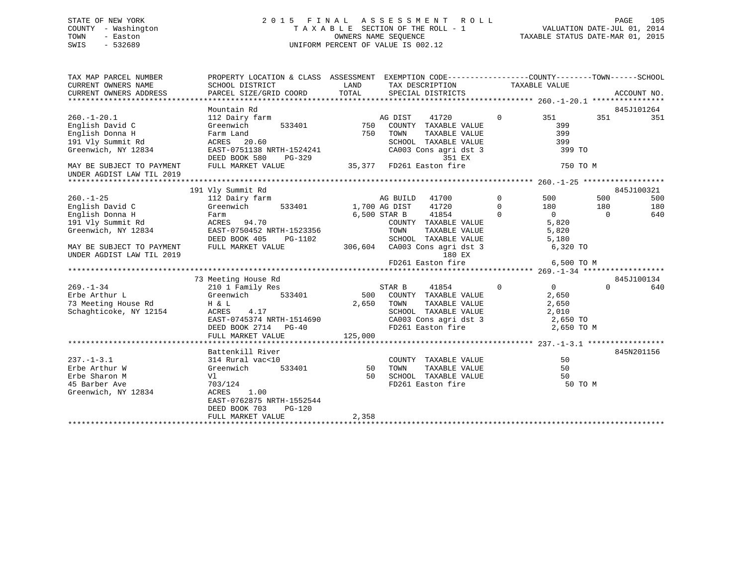### STATE OF NEW YORK 2 0 1 5 F I N A L A S S E S S M E N T R O L L PAGE 105 COUNTY - Washington T A X A B L E SECTION OF THE ROLL - 1 VALUATION DATE-JUL 01, 2014 TOWN - Easton **CONNERS NAME SEQUENCE** TAXABLE STATUS DATE-MAR 01, 2015 SWIS - 532689 UNIFORM PERCENT OF VALUE IS 002.12

| TAX MAP PARCEL NUMBER<br>CURRENT OWNERS NAME<br>CURRENT OWNERS ADDRESS | PROPERTY LOCATION & CLASS ASSESSMENT EXEMPTION CODE----------------COUNTY-------TOWN------SCHOOL<br>SCHOOL DISTRICT<br>PARCEL SIZE/GRID COORD | LAND<br>TOTAL |               | TAX DESCRIPTION TAXABLE VALUE<br>SPECIAL DISTRICTS |             |                |          | ACCOUNT NO. |
|------------------------------------------------------------------------|-----------------------------------------------------------------------------------------------------------------------------------------------|---------------|---------------|----------------------------------------------------|-------------|----------------|----------|-------------|
|                                                                        |                                                                                                                                               |               |               |                                                    |             |                |          |             |
|                                                                        | Mountain Rd                                                                                                                                   |               |               |                                                    |             |                |          | 845J101264  |
| $260. - 1 - 20.1$                                                      | 112 Dairy farm                                                                                                                                |               | AG DIST       | 41720                                              | $\Omega$    | 351            | 351      | 351         |
| English David C                                                        | Greenwich<br>533401                                                                                                                           | 750           |               | COUNTY TAXABLE VALUE                               |             | 399            |          |             |
| English Donna H                                                        | Farm Land                                                                                                                                     | 750           | TOWN          | TAXABLE VALUE                                      |             | 399            |          |             |
| 191 Vly Summit Rd                                                      | ACRES 20.60                                                                                                                                   |               |               | SCHOOL TAXABLE VALUE                               |             | 399            |          |             |
| Greenwich, NY 12834                                                    | EAST-0751138 NRTH-1524241<br>DEED BOOK 580<br>$PG-329$                                                                                        |               |               | CA003 Cons agri dst 3<br>351 EX                    |             | 399 TO         |          |             |
| MAY BE SUBJECT TO PAYMENT                                              | FULL MARKET VALUE                                                                                                                             | 35,377        |               | FD261 Easton fire                                  |             | 750 TO M       |          |             |
| UNDER AGDIST LAW TIL 2019                                              |                                                                                                                                               |               |               |                                                    |             |                |          |             |
|                                                                        |                                                                                                                                               |               |               |                                                    |             |                |          |             |
|                                                                        | 191 Vly Summit Rd                                                                                                                             |               |               |                                                    |             |                |          | 845J100321  |
| $260. -1 - 25$                                                         | 112 Dairy farm                                                                                                                                |               | AG BUILD      | 41700                                              | $\mathbf 0$ | 500            | 500      | 500         |
| English David C                                                        | Greenwich<br>533401                                                                                                                           |               | 1,700 AG DIST | 41720                                              | $\Omega$    | 180            | 180      | 180         |
| English Donna H                                                        | Farm                                                                                                                                          |               | 6,500 STAR B  | 41854                                              | $\Omega$    | $\overline{0}$ | $\Omega$ | 640         |
| 191 Vly Summit Rd                                                      | ACRES 94.70                                                                                                                                   |               |               | COUNTY TAXABLE VALUE                               |             | 5,820          |          |             |
| Greenwich, NY 12834                                                    | EAST-0750452 NRTH-1523356                                                                                                                     |               | TOWN          | TAXABLE VALUE                                      |             | 5,820          |          |             |
|                                                                        | DEED BOOK 405<br>PG-1102                                                                                                                      |               |               | SCHOOL TAXABLE VALUE                               |             | 5,180          |          |             |
| MAY BE SUBJECT TO PAYMENT                                              | FULL MARKET VALUE                                                                                                                             | 306,604       |               | CA003 Cons agri dst 3                              |             | 6,320 TO       |          |             |
| UNDER AGDIST LAW TIL 2019                                              |                                                                                                                                               |               |               | 180 EX                                             |             |                |          |             |
|                                                                        |                                                                                                                                               |               |               | FD261 Easton fire                                  |             | 6,500 TO M     |          |             |
|                                                                        |                                                                                                                                               |               |               |                                                    |             |                |          |             |
|                                                                        | 73 Meeting House Rd                                                                                                                           |               |               |                                                    |             |                |          | 845J100134  |
| $269. - 1 - 34$                                                        | 210 1 Family Res                                                                                                                              |               | STAR B        | 41854                                              | $\Omega$    | 0              | $\Omega$ | 640         |
| Erbe Arthur L                                                          | Greenwich<br>533401                                                                                                                           | 500           |               | COUNTY TAXABLE VALUE                               |             | 2,650          |          |             |
| 73 Meeting House Rd                                                    | H & L                                                                                                                                         | 2,650         | TOWN          | TAXABLE VALUE                                      |             | 2,650          |          |             |
| Schaghticoke, NY 12154                                                 | ACRES<br>4.17                                                                                                                                 |               |               | SCHOOL TAXABLE VALUE                               |             | 2,010          |          |             |
|                                                                        | EAST-0745374 NRTH-1514690                                                                                                                     |               |               | CA003 Cons agri dst 3                              |             | 2,650 TO       |          |             |
|                                                                        | DEED BOOK 2714 PG-40                                                                                                                          |               |               | FD261 Easton fire                                  |             | 2,650 TO M     |          |             |
|                                                                        | FULL MARKET VALUE                                                                                                                             | 125,000       |               |                                                    |             |                |          |             |
|                                                                        |                                                                                                                                               |               |               |                                                    |             |                |          |             |
|                                                                        | Battenkill River                                                                                                                              |               |               |                                                    |             |                |          | 845N201156  |
| $237. - 1 - 3.1$                                                       | 314 Rural vac<10                                                                                                                              |               |               | COUNTY TAXABLE VALUE                               |             | 50             |          |             |
| Erbe Arthur W                                                          | 533401<br>Greenwich                                                                                                                           | 50            | TOWN          | TAXABLE VALUE                                      |             | 50             |          |             |
| Erbe Sharon M                                                          | Vl                                                                                                                                            | 50            |               | SCHOOL TAXABLE VALUE                               |             | 50             |          |             |
| 45 Barber Ave                                                          | 703/124                                                                                                                                       |               |               | FD261 Easton fire                                  |             | 50 TO M        |          |             |
| Greenwich, NY 12834                                                    | ACRES<br>1.00                                                                                                                                 |               |               |                                                    |             |                |          |             |
|                                                                        | EAST-0762875 NRTH-1552544                                                                                                                     |               |               |                                                    |             |                |          |             |
|                                                                        | DEED BOOK 703<br>$PG-120$                                                                                                                     |               |               |                                                    |             |                |          |             |
|                                                                        | FULL MARKET VALUE                                                                                                                             | 2,358         |               |                                                    |             |                |          |             |
|                                                                        |                                                                                                                                               |               |               |                                                    |             |                |          |             |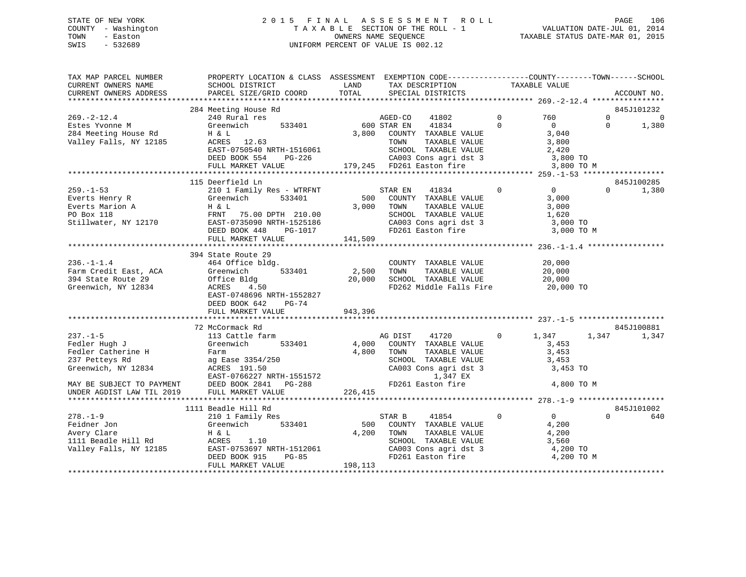### STATE OF NEW YORK 2 0 1 5 F I N A L A S S E S S M E N T R O L L PAGE 106 COUNTY - Washington T A X A B L E SECTION OF THE ROLL - 1 VALUATION DATE-JUL 01, 2014 TOWN - Easton OWNERS NAME SEQUENCE TAXABLE STATUS DATE-MAR 01, 2015 SWIS - 532689 UNIFORM PERCENT OF VALUE IS 002.12

| TAX MAP PARCEL NUMBER<br>CURRENT OWNERS NAME<br>CURRENT OWNERS ADDRESS                                                      | PROPERTY LOCATION & CLASS ASSESSMENT EXEMPTION CODE----------------COUNTY-------TOWN------SCHOOL<br>SCHOOL DISTRICT<br>PARCEL SIZE/GRID COORD                             | LAND<br>TOTAL              | TAX DESCRIPTION<br>SPECIAL DISTRICTS                                                                                                                |             | TAXABLE VALUE                                                       | ACCOUNT NO.                              |
|-----------------------------------------------------------------------------------------------------------------------------|---------------------------------------------------------------------------------------------------------------------------------------------------------------------------|----------------------------|-----------------------------------------------------------------------------------------------------------------------------------------------------|-------------|---------------------------------------------------------------------|------------------------------------------|
|                                                                                                                             |                                                                                                                                                                           |                            |                                                                                                                                                     |             |                                                                     |                                          |
| $269. - 2 - 12.4$                                                                                                           | 284 Meeting House Rd<br>240 Rural res                                                                                                                                     |                            | AGED-CO<br>41802                                                                                                                                    | $\mathbf 0$ | 760                                                                 | 845J101232<br>$\Omega$<br>$\overline{0}$ |
| Estes Yvonne M<br>284 Meeting House Rd<br>Valley Falls, NY 12185                                                            | 533401<br>Greenwich<br>H & L<br>ACRES 12.63<br>EAST-0750540 NRTH-1516061<br>DEED BOOK 554<br>PG-226<br>FULL MARKET VALUE                                                  | 3,800                      | 41834<br>600 STAR EN<br>COUNTY TAXABLE VALUE<br>TOWN<br>TAXABLE VALUE<br>SCHOOL TAXABLE VALUE<br>CA003 Cons agri dst 3<br>179,245 FD261 Easton fire | $\Omega$    | $\mathbf{0}$<br>3,040<br>3,800<br>2,420<br>3,800 TO<br>3,800 TO M   | $\Omega$<br>1,380                        |
|                                                                                                                             |                                                                                                                                                                           |                            |                                                                                                                                                     |             |                                                                     |                                          |
| $259. - 1 - 53$                                                                                                             | 115 Deerfield Ln<br>210 1 Family Res - WTRFNT                                                                                                                             |                            | STAR EN<br>41834                                                                                                                                    | $\mathbf 0$ | $\overline{0}$                                                      | 845J100285<br>$\Omega$<br>1,380          |
| Everts Henry R<br>Everts Marion A<br>PO Box 118<br>Stillwater, NY 12170                                                     | 533401<br>Greenwich<br>H & L<br>FRNT<br>75.00 DPTH 210.00<br>EAST-0735090 NRTH-1525186<br>DEED BOOK 448<br>PG-1017                                                        | 500<br>3,000               | COUNTY TAXABLE VALUE<br>TAXABLE VALUE<br>TOWN<br>SCHOOL TAXABLE VALUE<br>CA003 Cons agri dst 3<br>FD261 Easton fire                                 |             | 3,000<br>3,000<br>1,620<br>3,000 TO<br>3,000 TO M                   |                                          |
|                                                                                                                             | FULL MARKET VALUE                                                                                                                                                         | 141,509                    |                                                                                                                                                     |             |                                                                     |                                          |
|                                                                                                                             |                                                                                                                                                                           |                            |                                                                                                                                                     |             |                                                                     |                                          |
| $236. - 1 - 1.4$<br>Farm Credit East, ACA<br>394 State Route 29<br>Greenwich, NY 12834                                      | 394 State Route 29<br>464 Office bldg.<br>Greenwich<br>533401<br>Office Bldg<br>ACRES<br>4.50<br>EAST-0748696 NRTH-1552827<br>DEED BOOK 642<br>PG-74<br>FULL MARKET VALUE | 2,500<br>20,000<br>943,396 | COUNTY TAXABLE VALUE<br>TOWN<br>TAXABLE VALUE<br>SCHOOL TAXABLE VALUE<br>FD262 Middle Falls Fire                                                    |             | 20,000<br>20,000<br>20,000<br>20,000 TO                             |                                          |
|                                                                                                                             |                                                                                                                                                                           |                            |                                                                                                                                                     |             |                                                                     |                                          |
| $237. - 1 - 5$<br>Fedler Hugh J<br>Fedler Catherine H<br>237 Petteys Rd<br>Greenwich, NY 12834<br>MAY BE SUBJECT TO PAYMENT | 72 McCormack Rd<br>113 Cattle farm<br>Greenwich<br>533401<br>Farm<br>ag Ease 3354/250<br>ACRES 191.50<br>EAST-0766227 NRTH-1551572<br>PG-288<br>DEED BOOK 2841            | 4,000<br>4,800             | AG DIST<br>41720<br>COUNTY TAXABLE VALUE<br>TOWN<br>TAXABLE VALUE<br>SCHOOL TAXABLE VALUE<br>CA003 Cons agri dst 3<br>1,347 EX<br>FD261 Easton fire | $\Omega$    | 1,347<br>1,347<br>3,453<br>3,453<br>3,453<br>3,453 TO<br>4,800 TO M | 845J100881<br>1,347                      |
| UNDER AGDIST LAW TIL 2019                                                                                                   | FULL MARKET VALUE                                                                                                                                                         | 226,415                    |                                                                                                                                                     |             |                                                                     |                                          |
|                                                                                                                             | 1111 Beadle Hill Rd                                                                                                                                                       |                            |                                                                                                                                                     |             |                                                                     | 845J101002                               |
| $278. - 1 - 9$<br>Feidner Jon<br>Avery Clare<br>1111 Beadle Hill Rd<br>Valley Falls, NY 12185                               | 210 1 Family Res<br>Greenwich<br>533401<br>H & L<br>ACRES<br>1.10<br>EAST-0753697 NRTH-1512061<br><b>PG-85</b><br>DEED BOOK 915<br>FULL MARKET VALUE                      | 500<br>4,200<br>198,113    | STAR B<br>41854<br>COUNTY TAXABLE VALUE<br>TAXABLE VALUE<br>TOWN<br>SCHOOL TAXABLE VALUE<br>CA003 Cons agri dst 3<br>FD261 Easton fire              | 0           | $\overline{0}$<br>4,200<br>4,200<br>3,560<br>4,200 TO<br>4,200 TO M | $\Omega$<br>640                          |
|                                                                                                                             |                                                                                                                                                                           |                            |                                                                                                                                                     |             |                                                                     |                                          |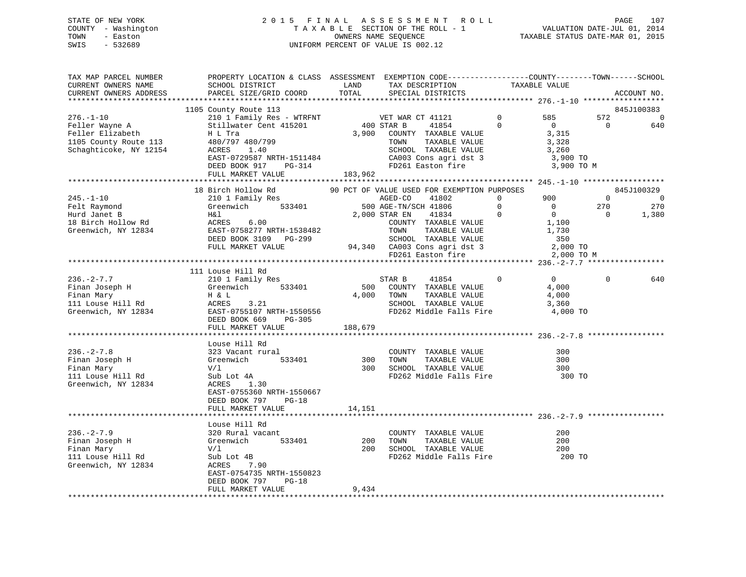### STATE OF NEW YORK 2 0 1 5 F I N A L A S S E S S M E N T R O L L PAGE 107 COUNTY - Washington T A X A B L E SECTION OF THE ROLL - 1 VALUATION DATE-JUL 01, 2014 TOWN - Easton OWNERS NAME SEQUENCE TAXABLE STATUS DATE-MAR 01, 2015 SWIS - 532689 UNIFORM PERCENT OF VALUE IS 002.12

| TAX MAP PARCEL NUMBER<br>CURRENT OWNERS NAME                                                                                             | PROPERTY LOCATION & CLASS ASSESSMENT EXEMPTION CODE---------------COUNTY-------TOWN-----SCHOOL<br>SCHOOL DISTRICT   | LAND       | TAX DESCRIPTION                                                                                                                                                                                                                                                         |                                                 | TAXABLE VALUE          |                       |                          |
|------------------------------------------------------------------------------------------------------------------------------------------|---------------------------------------------------------------------------------------------------------------------|------------|-------------------------------------------------------------------------------------------------------------------------------------------------------------------------------------------------------------------------------------------------------------------------|-------------------------------------------------|------------------------|-----------------------|--------------------------|
| CURRENT OWNERS ADDRESS                                                                                                                   | PARCEL SIZE/GRID COORD                                                                                              | TOTAL      | SPECIAL DISTRICTS                                                                                                                                                                                                                                                       |                                                 |                        |                       | ACCOUNT NO.              |
|                                                                                                                                          |                                                                                                                     |            |                                                                                                                                                                                                                                                                         |                                                 |                        |                       | 845J100383               |
|                                                                                                                                          | 1105 County Route 113                                                                                               |            |                                                                                                                                                                                                                                                                         | $\mathbf 0$                                     | 585                    |                       | $\overline{0}$           |
| $276. - 1 - 10$                                                                                                                          | 210 1 Family Res - WTRFNT                                                                                           | 400 STAR B | VET WAR CT 41121                                                                                                                                                                                                                                                        | $\Omega$                                        | $\overline{0}$         | 572<br>$\overline{0}$ |                          |
| Feller Wayne A                                                                                                                           | Stillwater Cent 415201                                                                                              |            | 41854                                                                                                                                                                                                                                                                   |                                                 |                        |                       | 640                      |
| Feller Elizabeth                                                                                                                         | H L Tra                                                                                                             | 3,900      | COUNTY TAXABLE VALUE                                                                                                                                                                                                                                                    |                                                 | 3,315                  |                       |                          |
| 1105 County Route 113<br>Schaghticoke, NY 12154<br>ACRES 1.40                                                                            |                                                                                                                     |            | TOWN TAXABLE VALUE<br>SCHOOL TAXABLE VALUE                                                                                                                                                                                                                              |                                                 | 3,328<br>3,260         |                       |                          |
|                                                                                                                                          |                                                                                                                     |            |                                                                                                                                                                                                                                                                         |                                                 |                        |                       |                          |
|                                                                                                                                          | EAST-0729587 NRTH-1511484<br>DEED BOOK 917 PG-314                                                                   |            | CA003 Cons agri dst 3<br>FD261 Easton fire<br>FD261 Easton fire                                                                                                                                                                                                         |                                                 | 3,900 TO<br>3,900 TO M |                       |                          |
|                                                                                                                                          | FULL MARKET VALUE                                                                                                   |            |                                                                                                                                                                                                                                                                         |                                                 |                        |                       |                          |
|                                                                                                                                          |                                                                                                                     | 183,962    |                                                                                                                                                                                                                                                                         | ***************** 245.-1-10 ******************* |                        |                       |                          |
|                                                                                                                                          | 18 Birch Hollow Rd                                                                                                  |            | 90 PCT OF VALUE USED FOR EXEMPTION PURPOSES                                                                                                                                                                                                                             |                                                 |                        |                       | 845J100329               |
| $245. - 1 - 10$                                                                                                                          |                                                                                                                     |            |                                                                                                                                                                                                                                                                         |                                                 |                        | $\overline{0}$        | $\overline{\phantom{0}}$ |
| Felt Raymond                                                                                                                             | 210 1 Family Res<br>Greenwich 533401 500 AGE - TN/SCH 41806                                                         |            |                                                                                                                                                                                                                                                                         |                                                 |                        | 270                   | 270                      |
|                                                                                                                                          |                                                                                                                     |            | 3ED-CO 41802<br>3E-TN/SCH 41806 0 0<br>TAR EN 41834 0 0<br>COUNTY TAXABLE VALUE 1,730<br>$\begin{array}{ccc}\n & 0 & 0 \\ \text{CUNTY} & \text{TAXABLE} & \text{VALUE} & 1,100 \\  & \text{CUSY} & \text{MAYARLE} & \text{VALUE} & 1,730\n\end{array}$<br>2,000 STAR EN |                                                 |                        | $\overline{0}$        | 1,380                    |
|                                                                                                                                          |                                                                                                                     |            |                                                                                                                                                                                                                                                                         |                                                 |                        |                       |                          |
|                                                                                                                                          |                                                                                                                     |            |                                                                                                                                                                                                                                                                         |                                                 |                        |                       |                          |
|                                                                                                                                          |                                                                                                                     |            |                                                                                                                                                                                                                                                                         |                                                 |                        |                       |                          |
|                                                                                                                                          | FULL MARKET VALUE                                                                                                   |            | TOWN TAXABLE VALUE 1,730<br>SCHOOL TAXABLE VALUE 350<br>94,340 CA003 Cons agri dst 3 2,000 TO<br>FD261 Easton fire 2,000 TO                                                                                                                                             |                                                 |                        |                       |                          |
|                                                                                                                                          |                                                                                                                     |            |                                                                                                                                                                                                                                                                         |                                                 | 2,000 TO M             |                       |                          |
|                                                                                                                                          |                                                                                                                     |            |                                                                                                                                                                                                                                                                         |                                                 |                        |                       |                          |
|                                                                                                                                          |                                                                                                                     |            |                                                                                                                                                                                                                                                                         |                                                 |                        |                       |                          |
|                                                                                                                                          |                                                                                                                     |            | $\overline{0}$<br>STAR B                                                                                                                                                                                                                                                |                                                 | $0 \qquad \qquad$      | $\mathbf{0}$          | 640                      |
|                                                                                                                                          |                                                                                                                     | 500        |                                                                                                                                                                                                                                                                         |                                                 | 4,000                  |                       |                          |
|                                                                                                                                          |                                                                                                                     |            | 4,000 TOWN<br>TAXABLE VALUE                                                                                                                                                                                                                                             |                                                 | 4,000                  |                       |                          |
|                                                                                                                                          |                                                                                                                     |            | SCHOOL TAXABLE VALUE                                                                                                                                                                                                                                                    |                                                 | 3,360                  |                       |                          |
|                                                                                                                                          |                                                                                                                     |            | FD262 Middle Falls Fire                                                                                                                                                                                                                                                 |                                                 | 4,000 TO               |                       |                          |
|                                                                                                                                          |                                                                                                                     |            |                                                                                                                                                                                                                                                                         |                                                 |                        |                       |                          |
|                                                                                                                                          |                                                                                                                     | 188,679    |                                                                                                                                                                                                                                                                         |                                                 |                        |                       |                          |
|                                                                                                                                          |                                                                                                                     |            |                                                                                                                                                                                                                                                                         |                                                 |                        |                       |                          |
|                                                                                                                                          | Louse Hill Rd                                                                                                       |            |                                                                                                                                                                                                                                                                         |                                                 |                        |                       |                          |
| $236. - 2 - 7.8$                                                                                                                         | $\begin{array}{c}\n 323 \text{ Vacant } \text{rural} \\  \text{Gaussian} \\  \end{array}$                           |            | COUNTY TAXABLE VALUE                                                                                                                                                                                                                                                    |                                                 | 300                    |                       |                          |
|                                                                                                                                          | 533401                                                                                                              |            |                                                                                                                                                                                                                                                                         |                                                 | 300                    |                       |                          |
|                                                                                                                                          |                                                                                                                     |            | 300 TOWN TAXABLE VALUE<br>300 SCHOOL TAXABLE VALUE                                                                                                                                                                                                                      |                                                 | 300                    |                       |                          |
|                                                                                                                                          |                                                                                                                     |            | FD262 Middle Falls Fire 300 TO                                                                                                                                                                                                                                          |                                                 |                        |                       |                          |
| Finan Joseph H Greenwich<br>Finan Joseph H Greenwich<br>Tinan Mary V/l<br>111 Louse Hill Rd Sub Lot 4A<br>Greenwich, NY 12834 ACRES 1.30 |                                                                                                                     |            |                                                                                                                                                                                                                                                                         |                                                 |                        |                       |                          |
|                                                                                                                                          | EAST-0755360 NRTH-1550667                                                                                           |            |                                                                                                                                                                                                                                                                         |                                                 |                        |                       |                          |
|                                                                                                                                          | DEED BOOK 797<br>$PG-18$                                                                                            |            |                                                                                                                                                                                                                                                                         |                                                 |                        |                       |                          |
|                                                                                                                                          | FULL MARKET VALUE                                                                                                   | 14,151     |                                                                                                                                                                                                                                                                         |                                                 |                        |                       |                          |
|                                                                                                                                          |                                                                                                                     |            |                                                                                                                                                                                                                                                                         |                                                 |                        |                       |                          |
|                                                                                                                                          | wouse Hill Rd<br>320 Rural vacant<br>Greenwich                                                                      |            |                                                                                                                                                                                                                                                                         |                                                 |                        |                       |                          |
| $236. -2 - 7.9$                                                                                                                          |                                                                                                                     |            | COUNTY TAXABLE VALUE                                                                                                                                                                                                                                                    |                                                 | 200                    |                       |                          |
|                                                                                                                                          |                                                                                                                     |            |                                                                                                                                                                                                                                                                         |                                                 | 200                    |                       |                          |
|                                                                                                                                          |                                                                                                                     |            | 200 TOWN TAXABLE VALUE<br>200 SCHOOL TAXABLE VALUE                                                                                                                                                                                                                      |                                                 | 200                    |                       |                          |
|                                                                                                                                          |                                                                                                                     |            | FD262 Middle Falls Fire 200 TO                                                                                                                                                                                                                                          |                                                 |                        |                       |                          |
|                                                                                                                                          | Finan Joseph H Greenwich 533401<br>Finan Mary V/1<br>111 Louse Hill Rd Sub Lot 4B<br>Greenwich, NY 12834 ACRES 7.90 |            |                                                                                                                                                                                                                                                                         |                                                 |                        |                       |                          |
|                                                                                                                                          | EAST-0754735 NRTH-1550823                                                                                           |            |                                                                                                                                                                                                                                                                         |                                                 |                        |                       |                          |
|                                                                                                                                          | DEED BOOK 797<br>$PG-18$                                                                                            |            |                                                                                                                                                                                                                                                                         |                                                 |                        |                       |                          |
|                                                                                                                                          | FULL MARKET VALUE                                                                                                   | 9,434      |                                                                                                                                                                                                                                                                         |                                                 |                        |                       |                          |
|                                                                                                                                          |                                                                                                                     |            |                                                                                                                                                                                                                                                                         |                                                 |                        |                       |                          |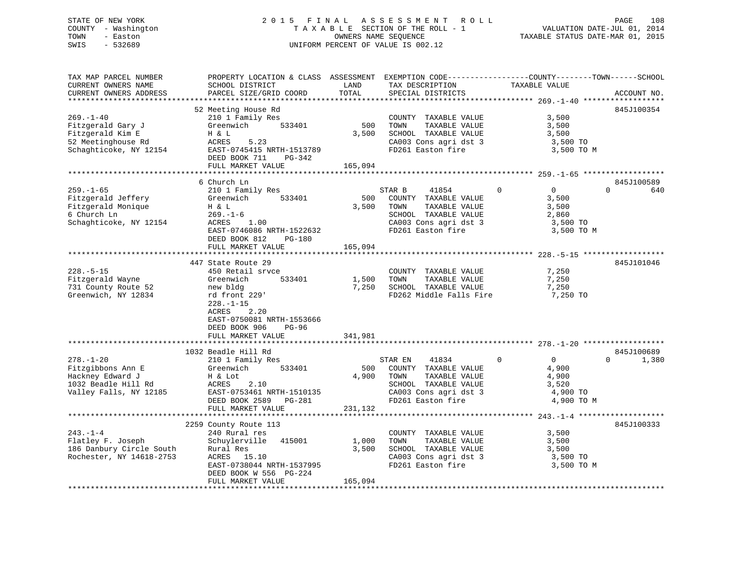### STATE OF NEW YORK 2 0 1 5 F I N A L A S S E S S M E N T R O L L PAGE 108 COUNTY - Washington T A X A B L E SECTION OF THE ROLL - 1 VALUATION DATE-JUL 01, 2014 TOWN - Easton OWNERS NAME SEQUENCE TAXABLE STATUS DATE-MAR 01, 2015 SWIS - 532689 UNIFORM PERCENT OF VALUE IS 002.12

TAX MAP PARCEL NUMBER PROPERTY LOCATION & CLASS ASSESSMENT EXEMPTION CODE------------------COUNTY--------TOWN------SCHOOL

CURRENT OWNERS NAME SCHOOL DISTRICT LAND TAX DESCRIPTION TAXABLE VALUE CURRENT OWNERS ADDRESS PARCEL SIZE/GRID COORD TOTAL SPECIAL DISTRICTS ACCOUNT NO. \*\*\*\*\*\*\*\*\*\*\*\*\*\*\*\*\*\*\*\*\*\*\*\*\*\*\*\*\*\*\*\*\*\*\*\*\*\*\*\*\*\*\*\*\*\*\*\*\*\*\*\*\*\*\*\*\*\*\*\*\*\*\*\*\*\*\*\*\*\*\*\*\*\*\*\*\*\*\*\*\*\*\*\*\*\*\*\*\*\*\*\*\*\*\*\*\*\*\*\*\*\*\* 269.-1-40 \*\*\*\*\*\*\*\*\*\*\*\*\*\*\*\*\*\* 52 Meeting House Rd 845J100354 269.-1-40 210 1 Family Res COUNTY TAXABLE VALUE 3,500 Fitzgerald Gary J Greenwich 533401 500 TOWN TAXABLE VALUE 3,500 Fitzgerald Kim E H & L 3,500 SCHOOL TAXABLE VALUE 3,500 52 Meetinghouse Rd ACRES 5.23 CA003 Cons agri dst 3 3,500 TO S2 Meetinghouse Rd
52 Meetinghouse Rd
52 Meetinghouse Rd
52 Meetinghouse Rd
53,500 TO
52 Schaghticoke, NY 12154
52 Schaghticoke, NY 12154
52 Schaghticoke, NY 12154
52 Schaghticoke, NY 12154
52 Baston fire
52 Schaghticoke, DEED BOOK 711 PG-342 FULL MARKET VALUE 165,094 \*\*\*\*\*\*\*\*\*\*\*\*\*\*\*\*\*\*\*\*\*\*\*\*\*\*\*\*\*\*\*\*\*\*\*\*\*\*\*\*\*\*\*\*\*\*\*\*\*\*\*\*\*\*\*\*\*\*\*\*\*\*\*\*\*\*\*\*\*\*\*\*\*\*\*\*\*\*\*\*\*\*\*\*\*\*\*\*\*\*\*\*\*\*\*\*\*\*\*\*\*\*\* 259.-1-65 \*\*\*\*\*\*\*\*\*\*\*\*\*\*\*\*\*\* 6 Church Ln 845J100589259.-1-65 210 1 Family Res STAR B 41854 0 0 640 Fitzgerald Jeffery Greenwich 533401 500 COUNTY TAXABLE VALUE 3,500 Fitzgerald Monique H & L 3,500 TOWN TAXABLE VALUE 3,500 6 Church Ln 269.-1-6 SCHOOL TAXABLE VALUE 2,860 Schaghticoke, NY 12154 ACRES 1.00 CA003 Cons agri dst 3 3,500 TO ACRES 1.00<br>
EAST-0746086 NRTH-1522632 FD261 Easton fire 3,500 TO M<br>
FD261 Easton fire 3,500 TO M DEED BOOK 812 PG-180 FULL MARKET VALUE 165,094 \*\*\*\*\*\*\*\*\*\*\*\*\*\*\*\*\*\*\*\*\*\*\*\*\*\*\*\*\*\*\*\*\*\*\*\*\*\*\*\*\*\*\*\*\*\*\*\*\*\*\*\*\*\*\*\*\*\*\*\*\*\*\*\*\*\*\*\*\*\*\*\*\*\*\*\*\*\*\*\*\*\*\*\*\*\*\*\*\*\*\*\*\*\*\*\*\*\*\*\*\*\*\* 228.-5-15 \*\*\*\*\*\*\*\*\*\*\*\*\*\*\*\*\*\*447 State Route 29 845J101046 228.-5-15 450 Retail srvce COUNTY TAXABLE VALUE 7,250 Fitzgerald Wayne Greenwich 533401 1,500 TOWN TAXABLE VALUE 7,250 731 County Route 52 new bldg 7,250 SCHOOL TAXABLE VALUE 7,250 Greenwich, NY 12834 rd front 229' FD262 Middle Falls Fire 7,250 TO 228.-1-15 ACRES 2.20 EAST-0750081 NRTH-1553666 DEED BOOK 906 PG-96FULL MARKET VALUE 341,981 \*\*\*\*\*\*\*\*\*\*\*\*\*\*\*\*\*\*\*\*\*\*\*\*\*\*\*\*\*\*\*\*\*\*\*\*\*\*\*\*\*\*\*\*\*\*\*\*\*\*\*\*\*\*\*\*\*\*\*\*\*\*\*\*\*\*\*\*\*\*\*\*\*\*\*\*\*\*\*\*\*\*\*\*\*\*\*\*\*\*\*\*\*\*\*\*\*\*\*\*\*\*\* 278.-1-20 \*\*\*\*\*\*\*\*\*\*\*\*\*\*\*\*\*\* 1032 Beadle Hill Rd 845J100689278.-1-20 210 1 Family Res STAR EN 41834 0 0 0 1,380 Fitzgibbons Ann E Greenwich 533401 500 COUNTY TAXABLE VALUE 4,900 Hackney Edward J H & Lot 4,900 TOWN TAXABLE VALUE 4,900 1032 Beadle Hill Rd ACRES 2.10 SCHOOL TAXABLE VALUE 3,520 Valley Falls, NY 12185 EAST-0753461 NRTH-1510135 CA003 Cons agri dst 3 4,900 TO DEED BOOK 2589 PG-281 FD261 Easton fire 4,900 TO M DEED BOOK 2589 PG-281<br>FULL MARKET VALUE 231,132 \*\*\*\*\*\*\*\*\*\*\*\*\*\*\*\*\*\*\*\*\*\*\*\*\*\*\*\*\*\*\*\*\*\*\*\*\*\*\*\*\*\*\*\*\*\*\*\*\*\*\*\*\*\*\*\*\*\*\*\*\*\*\*\*\*\*\*\*\*\*\*\*\*\*\*\*\*\*\*\*\*\*\*\*\*\*\*\*\*\*\*\*\*\*\*\*\*\*\*\*\*\*\* 243.-1-4 \*\*\*\*\*\*\*\*\*\*\*\*\*\*\*\*\*\*\* 2259 County Route 113 845J100333 243.-1-4 240 Rural res COUNTY TAXABLE VALUE 3,500 Flatley F. Joseph Schuylerville 415001 1,000 TOWN TAXABLE VALUE 3,500 186 Danbury Circle South Rural Res 3,500 SCHOOL TAXABLE VALUE 3,500 Rochester, NY 14618-2753 ACRES 15.10 CA003 Cons agri dst 3 3,500 TO EXES 15.10<br>
EAST-0738044 NRTH-1537995 FD261 Easton fire 3,500 TO M<br>
EAST-0738044 NRTH-1537995 FD261 Easton fire 3,500 TO M DEED BOOK W 556 PG-224 FULL MARKET VALUE 165,094 \*\*\*\*\*\*\*\*\*\*\*\*\*\*\*\*\*\*\*\*\*\*\*\*\*\*\*\*\*\*\*\*\*\*\*\*\*\*\*\*\*\*\*\*\*\*\*\*\*\*\*\*\*\*\*\*\*\*\*\*\*\*\*\*\*\*\*\*\*\*\*\*\*\*\*\*\*\*\*\*\*\*\*\*\*\*\*\*\*\*\*\*\*\*\*\*\*\*\*\*\*\*\*\*\*\*\*\*\*\*\*\*\*\*\*\*\*\*\*\*\*\*\*\*\*\*\*\*\*\*\*\*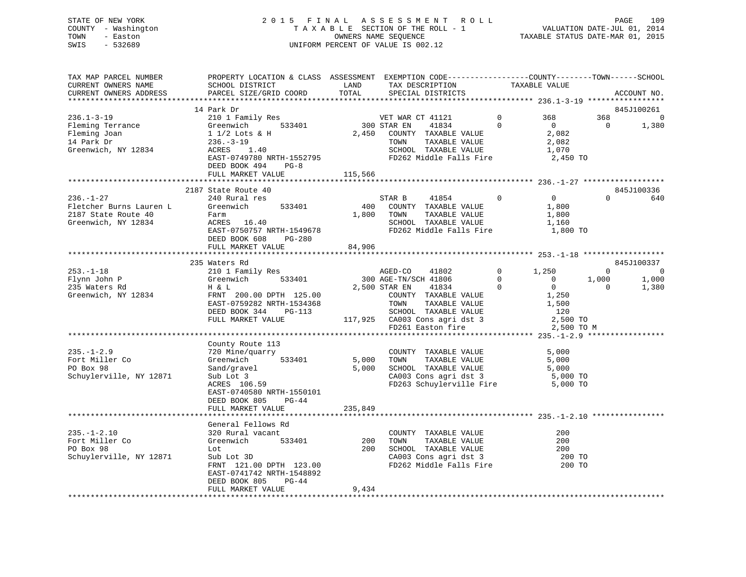## STATE OF NEW YORK 2 0 1 5 F I N A L A S S E S S M E N T R O L L PAGE 109 COUNTY - Washington T A X A B L E SECTION OF THE ROLL - 1 VALUATION DATE-JUL 01, 2014 TOWN - Easton OWNERS NAME SEQUENCE TAXABLE STATUS DATE-MAR 01, 2015 SWIS - 532689 UNIFORM PERCENT OF VALUE IS 002.12

| TAX MAP PARCEL NUMBER<br>CURRENT OWNERS NAME | PROPERTY LOCATION & CLASS ASSESSMENT EXEMPTION CODE----------------COUNTY-------TOWN-----SCHOOL<br>SCHOOL DISTRICT | LAND    | TAX DESCRIPTION                                                                                  |                | TAXABLE VALUE  |                |                |
|----------------------------------------------|--------------------------------------------------------------------------------------------------------------------|---------|--------------------------------------------------------------------------------------------------|----------------|----------------|----------------|----------------|
| CURRENT OWNERS ADDRESS                       | PARCEL SIZE/GRID COORD                                                                                             | TOTAL   | SPECIAL DISTRICTS                                                                                |                |                |                | ACCOUNT NO.    |
|                                              |                                                                                                                    |         |                                                                                                  |                |                |                |                |
|                                              | 14 Park Dr                                                                                                         |         |                                                                                                  |                |                |                | 845J100261     |
| $236.1 - 3 - 19$                             | 210 1 Family Res                                                                                                   |         | VET WAR CT 41121                                                                                 | $\circ$        | 368            | 368            | $\overline{0}$ |
| Fleming Terrance                             | 533401                                                                                                             |         | 300 STAR EN<br>41834                                                                             | $\overline{0}$ | $\overline{0}$ | $\overline{0}$ | 1,380          |
| Fleming Joan                                 |                                                                                                                    | 2,450   | COUNTY TAXABLE VALUE                                                                             |                | 2,082          |                |                |
| 14 Park Dr                                   |                                                                                                                    |         |                                                                                                  |                | 2,082          |                |                |
| Greenwich, NY 12834                          | Greenwich 533401<br>1 1/2 Lots & H<br>236.-3-19<br>ACRES 1.40                                                      |         | TOWN      TAXABLE VALUE<br>SCHOOL   TAXABLE VALUE                                                |                | 1,070          |                |                |
|                                              | EAST-0749780 NRTH-1552795                                                                                          |         | FD262 Middle Falls Fire                                                                          |                | 2,450 TO       |                |                |
|                                              |                                                                                                                    |         |                                                                                                  |                |                |                |                |
|                                              | DEED BOOK 494<br>$PG-8$                                                                                            |         |                                                                                                  |                |                |                |                |
|                                              | FULL MARKET VALUE                                                                                                  | 115,566 |                                                                                                  |                |                |                |                |
|                                              |                                                                                                                    |         |                                                                                                  |                |                |                |                |
|                                              | 2187 State Route 40                                                                                                |         |                                                                                                  |                |                |                | 845J100336     |
| $236. - 1 - 27$                              | 240 Rural res                                                                                                      |         | 41854<br>STAR B                                                                                  | $\Omega$       | $\overline{0}$ | $\Omega$       | 640            |
| Fletcher Burns Lauren L                      | 533401<br>Greenwich                                                                                                | 400     | COUNTY TAXABLE VALUE                                                                             |                | 1,800          |                |                |
| 2187 State Route 40                          | Farm                                                                                                               | 1,800   | TOWN<br>TAXABLE VALUE                                                                            |                | 1,800          |                |                |
| Greenwich, NY 12834                          | ACRES 16.40                                                                                                        |         | SCHOOL TAXABLE VALUE                                                                             |                | 1,160          |                |                |
|                                              | EAST-0750757 NRTH-1549678                                                                                          |         | FD262 Middle Falls Fire                                                                          |                | 1,800 TO       |                |                |
|                                              | DEED BOOK 608<br>PG-280                                                                                            |         |                                                                                                  |                |                |                |                |
|                                              | FULL MARKET VALUE                                                                                                  | 84,906  |                                                                                                  |                |                |                |                |
|                                              |                                                                                                                    |         |                                                                                                  |                |                |                |                |
|                                              | 235 Waters Rd                                                                                                      |         |                                                                                                  |                |                |                | 845J100337     |
| $253. - 1 - 18$                              | 210 1 Family Res AGED-CO                                                                                           |         | 41802                                                                                            | 0 $1,250$      |                | $\Omega$       | $\overline{0}$ |
| Flynn John P                                 | 533401<br>Greenwich                                                                                                |         | 300 AGE-TN/SCH 41806                                                                             | $\overline{0}$ | $\overline{0}$ | 1,000          | 1,000          |
| 235 Waters Rd                                | H & L                                                                                                              |         | $\overline{0}$<br>2,500 STAR EN<br>41834                                                         |                | $\overline{0}$ | $\Omega$       | 1,380          |
| Greenwich, NY 12834                          | FRNT 200.00 DPTH 125.00                                                                                            |         | COUNTY TAXABLE VALUE                                                                             |                | 1,250          |                |                |
|                                              | EAST-0759282 NRTH-1534368                                                                                          |         |                                                                                                  |                | 1,500          |                |                |
|                                              | DEED BOOK 344<br>PG-113                                                                                            |         |                                                                                                  |                | 120            |                |                |
|                                              | FULL MARKET VALUE                                                                                                  |         |                                                                                                  |                | 2,500 TO       |                |                |
|                                              |                                                                                                                    |         | TOWN TAXABLE VALUE<br>SCHOOL TAXABLE VALUE<br>117,925 CA003 Cons agri dst 3<br>FD261 Easton fire |                | 2,500 TO M     |                |                |
|                                              |                                                                                                                    |         |                                                                                                  |                |                |                |                |
|                                              | County Route 113                                                                                                   |         |                                                                                                  |                |                |                |                |
| $235. - 1 - 2.9$                             | 720 Mine/quarry                                                                                                    |         | COUNTY TAXABLE VALUE                                                                             |                | 5,000          |                |                |
| Fort Miller Co                               | Greenwich 533401                                                                                                   |         |                                                                                                  |                | 5,000          |                |                |
| PO Box 98                                    | Sand/gravel                                                                                                        |         | 5,000 TOWN TAXABLE VALUE<br>5,000 SCHOOL TAXABLE VALUE                                           |                | 5,000          |                |                |
| Schuylerville, NY 12871                      | Sub Lot 3                                                                                                          |         | CA003 Cons agri dst 3                                                                            |                | 5,000 TO       |                |                |
|                                              | $ACRES$ 106.59                                                                                                     |         | FD263 Schuylerville Fire 5,000 TO                                                                |                |                |                |                |
|                                              | EAST-0740580 NRTH-1550101                                                                                          |         |                                                                                                  |                |                |                |                |
|                                              | DEED BOOK 805<br>$PG-44$                                                                                           |         |                                                                                                  |                |                |                |                |
|                                              | FULL MARKET VALUE                                                                                                  | 235,849 |                                                                                                  |                |                |                |                |
|                                              |                                                                                                                    |         |                                                                                                  |                |                |                |                |
|                                              | General Fellows Rd                                                                                                 |         |                                                                                                  |                |                |                |                |
| $235. - 1 - 2.10$                            | 320 Rural vacant                                                                                                   |         | COUNTY TAXABLE VALUE                                                                             |                | 200            |                |                |
| Fort Miller Co                               | 533401<br>Greenwich                                                                                                | 200     | TOWN                                                                                             |                | 200            |                |                |
| PO Box 98                                    | Lot                                                                                                                |         | TAXABLE VALUE<br>200 SCHOOL TAXABLE VALUE                                                        |                | 200            |                |                |
| Schuylerville, NY 12871                      | Sub Lot 3D                                                                                                         |         |                                                                                                  |                | 200 TO         |                |                |
|                                              | FRNT 121.00 DPTH 123.00                                                                                            |         | CA003 Cons agri dst 3<br>FD262 Middle Falls Fire                                                 |                | 200 TO         |                |                |
|                                              | EAST-0741742 NRTH-1548892                                                                                          |         |                                                                                                  |                |                |                |                |
|                                              | DEED BOOK 805<br>PG-44                                                                                             |         |                                                                                                  |                |                |                |                |
|                                              | FULL MARKET VALUE                                                                                                  | 9,434   |                                                                                                  |                |                |                |                |
|                                              |                                                                                                                    |         |                                                                                                  |                |                |                |                |
|                                              |                                                                                                                    |         |                                                                                                  |                |                |                |                |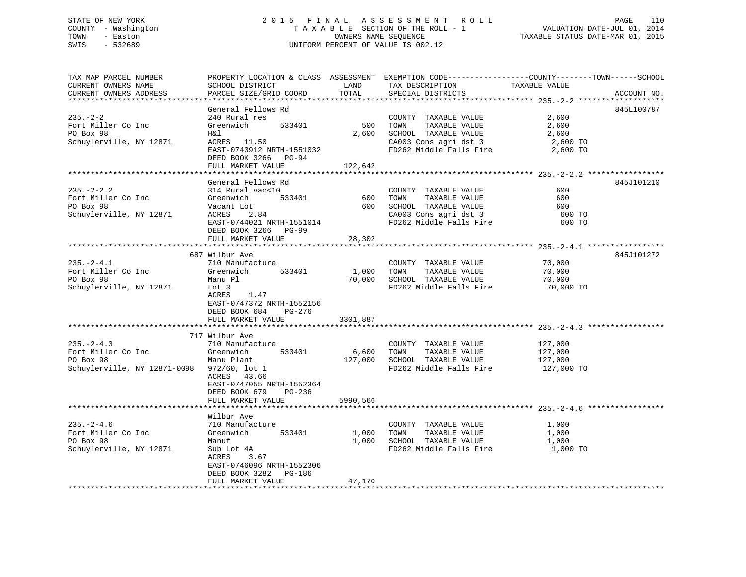# STATE OF NEW YORK 2 0 1 5 F I N A L A S S E S S M E N T R O L L PAGE 110COUNTY - Washington  $T A X A B L E$  SECTION OF THE ROLL - 1<br>TOWN - Easton DATE-JUL 2001 OWNERS NAME SEQUENCE SWIS - 532689 UNIFORM PERCENT OF VALUE IS 002.12

TAXABLE STATUS DATE-MAR 01, 2015

| TAX MAP PARCEL NUMBER        |                    |                           |            | PROPERTY LOCATION & CLASS ASSESSMENT EXEMPTION CODE----------------COUNTY-------TOWN------SCHOOL |                  |             |
|------------------------------|--------------------|---------------------------|------------|--------------------------------------------------------------------------------------------------|------------------|-------------|
| CURRENT OWNERS NAME          | SCHOOL DISTRICT    |                           | LAND       | TAX DESCRIPTION                                                                                  | TAXABLE VALUE    |             |
| CURRENT OWNERS ADDRESS       |                    | PARCEL SIZE/GRID COORD    | TOTAL      | SPECIAL DISTRICTS                                                                                |                  | ACCOUNT NO. |
|                              |                    |                           |            |                                                                                                  |                  |             |
|                              | General Fellows Rd |                           |            |                                                                                                  |                  | 845L100787  |
| $235. - 2 - 2$               | 240 Rural res      |                           |            | COUNTY TAXABLE VALUE                                                                             | 2,600            |             |
| Fort Miller Co Inc           | Greenwich          | 533401                    | 500        | TAXABLE VALUE<br>TOWN                                                                            | 2,600            |             |
| PO Box 98                    | H&l                |                           | 2,600      | SCHOOL TAXABLE VALUE                                                                             | 2,600            |             |
| Schuylerville, NY 12871      |                    | ACRES 11.50               |            | CA003 Cons agri dst 3                                                                            | 2,600 TO         |             |
|                              |                    | EAST-0743912 NRTH-1551032 |            | FD262 Middle Falls Fire                                                                          | 2,600 TO         |             |
|                              |                    | DEED BOOK 3266 PG-94      |            |                                                                                                  |                  |             |
|                              | FULL MARKET VALUE  |                           | 122,642    |                                                                                                  |                  |             |
|                              | General Fellows Rd |                           |            |                                                                                                  |                  | 845J101210  |
| $235. -2 - 2.2$              | 314 Rural vac<10   |                           |            | COUNTY TAXABLE VALUE                                                                             | 600              |             |
| Fort Miller Co Inc           | Greenwich          | 533401                    |            | 600 TOWN<br>TAXABLE VALUE                                                                        | 600              |             |
| PO Box 98                    | Vacant Lot         |                           |            | 600 SCHOOL TAXABLE VALUE                                                                         | 600              |             |
| Schuylerville, NY 12871      |                    | ACRES 2.84                |            | CA003 Cons agri dst 3                                                                            | 600 TO           |             |
|                              |                    | EAST-0744021 NRTH-1551014 |            | FD262 Middle Falls Fire                                                                          | 600 TO           |             |
|                              |                    | DEED BOOK 3266 PG-99      |            |                                                                                                  |                  |             |
|                              | FULL MARKET VALUE  |                           | 28,302     |                                                                                                  |                  |             |
|                              |                    |                           |            |                                                                                                  |                  |             |
|                              | 687 Wilbur Ave     |                           |            |                                                                                                  |                  | 845J101272  |
| $235. - 2 - 4.1$             | 710 Manufacture    |                           |            | COUNTY TAXABLE VALUE                                                                             | 70,000           |             |
| Fort Miller Co Inc           | Greenwich          | 533401                    | 1,000 TOWN | TAXABLE VALUE                                                                                    |                  |             |
| PO Box 98                    | Manu Pl            |                           |            | 70,000 SCHOOL TAXABLE VALUE                                                                      | 70,000<br>70,000 |             |
| Schuylerville, NY 12871      | Lot 3              |                           |            | FD262 Middle Falls Fire 70,000 TO                                                                |                  |             |
|                              | ACRES              | 1.47                      |            |                                                                                                  |                  |             |
|                              |                    | EAST-0747372 NRTH-1552156 |            |                                                                                                  |                  |             |
|                              | DEED BOOK 684      | PG-276                    |            |                                                                                                  |                  |             |
|                              | FULL MARKET VALUE  |                           | 3301,887   |                                                                                                  |                  |             |
|                              |                    |                           |            |                                                                                                  |                  |             |
|                              | 717 Wilbur Ave     |                           |            |                                                                                                  |                  |             |
| $235. -2 - 4.3$              |                    | 710 Manufacture           |            | COUNTY TAXABLE VALUE 127,000                                                                     |                  |             |
| Fort Miller Co Inc           | Greenwich          | 533401                    |            | 6,600 TOWN<br>TAXABLE VALUE                                                                      | 127,000          |             |
| PO Box 98                    | Manu Plant         |                           |            | 127,000 SCHOOL TAXABLE VALUE                                                                     | 127,000          |             |
| Schuylerville, NY 12871-0098 | $972/60$ , lot 1   |                           |            | FD262 Middle Falls Fire                                                                          | 127,000 TO       |             |
|                              | ACRES 43.66        |                           |            |                                                                                                  |                  |             |
|                              |                    | EAST-0747055 NRTH-1552364 |            |                                                                                                  |                  |             |
|                              | DEED BOOK 679      | PG-236                    |            |                                                                                                  |                  |             |
|                              | FULL MARKET VALUE  |                           | 5990,566   |                                                                                                  |                  |             |
|                              | Wilbur Ave         |                           |            |                                                                                                  |                  |             |
| $235. - 2 - 4.6$             | 710 Manufacture    |                           |            | COUNTY TAXABLE VALUE                                                                             | 1,000            |             |
| Fort Miller Co Inc           |                    | Greenwich 533401          |            | 1,000 TOWN<br>TAXABLE VALUE                                                                      | 1,000            |             |
| PO Box 98                    | Manuf              |                           |            | 1,000 SCHOOL TAXABLE VALUE                                                                       | 1,000            |             |
| Schuylerville, NY 12871      | Sub Lot 4A         |                           |            | FD262 Middle Falls Fire 1,000 TO                                                                 |                  |             |
|                              | ACRES              | 3.67                      |            |                                                                                                  |                  |             |
|                              |                    | EAST-0746096 NRTH-1552306 |            |                                                                                                  |                  |             |
|                              |                    | DEED BOOK 3282 PG-186     |            |                                                                                                  |                  |             |
|                              | FULL MARKET VALUE  |                           | 47,170     |                                                                                                  |                  |             |
|                              |                    |                           |            |                                                                                                  |                  |             |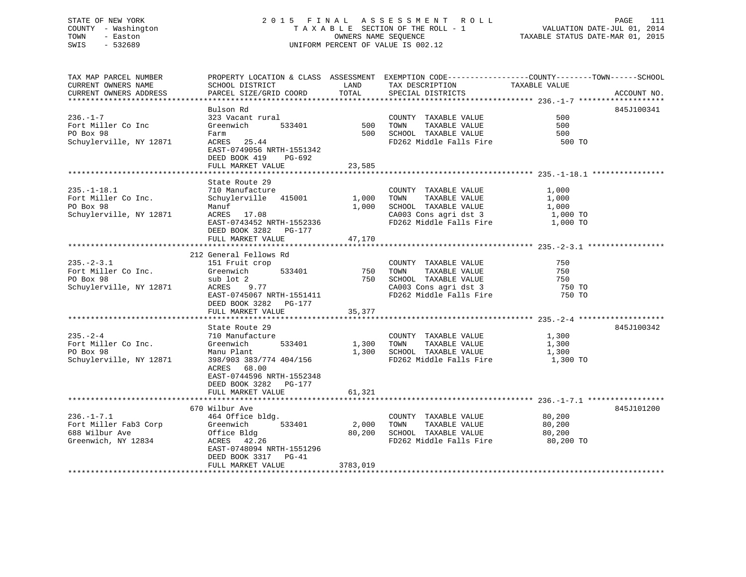## STATE OF NEW YORK 2 0 1 5 F I N A L A S S E S S M E N T R O L L PAGE 111 COUNTY - Washington T A X A B L E SECTION OF THE ROLL - 1 VALUATION DATE-JUL 01, 2014 TOWN - Easton OWNERS NAME SEQUENCE TAXABLE STATUS DATE-MAR 01, 2015 SWIS - 532689 UNIFORM PERCENT OF VALUE IS 002.12

TAX MAP PARCEL NUMBER PROPERTY LOCATION & CLASS ASSESSMENT EXEMPTION CODE----------------COUNTY-------TOWN------SCHOOL<br>CURRENT OWNERS NAME SCHOOL DISTRICT LAND TAX

| CURRENI UWNERS NAME     | PCHOOT DIPIKICI                       | <b>LAIND</b> | THY DEPOLITIOM                   |                                   |             |
|-------------------------|---------------------------------------|--------------|----------------------------------|-----------------------------------|-------------|
| CURRENT OWNERS ADDRESS  | PARCEL SIZE/GRID COORD                | TOTAL        | SPECIAL DISTRICTS                |                                   | ACCOUNT NO. |
|                         |                                       |              |                                  |                                   |             |
|                         | Bulson Rd                             |              |                                  |                                   | 845J100341  |
|                         |                                       |              |                                  |                                   |             |
| $236. - 1 - 7$          | 323 Vacant rural                      |              | COUNTY TAXABLE VALUE             | 500                               |             |
| Fort Miller Co Inc      | Greenwich<br>533401                   | $500$ TOWN   | TAXABLE VALUE                    | 500                               |             |
| PO Box 98               | Farm                                  |              | 500 SCHOOL TAXABLE VALUE         | 500                               |             |
| Schuylerville, NY 12871 | ACRES 25.44                           |              | FD262 Middle Falls Fire          | 500 TO                            |             |
|                         | EAST-0749056 NRTH-1551342             |              |                                  |                                   |             |
|                         |                                       |              |                                  |                                   |             |
|                         | DEED BOOK 419 PG-692                  |              |                                  |                                   |             |
|                         | FULL MARKET VALUE                     | 23,585       |                                  |                                   |             |
|                         |                                       |              |                                  |                                   |             |
|                         | State Route 29                        |              |                                  |                                   |             |
| $235. - 1 - 18.1$       | 710 Manufacture                       |              | COUNTY TAXABLE VALUE             | 1,000                             |             |
| Fort Miller Co Inc.     | Schuylerville 415001                  |              | 1,000 TOWN<br>TAXABLE VALUE      | 1,000                             |             |
|                         |                                       |              |                                  |                                   |             |
| PO Box 98               | Manuf                                 |              | 1,000 SCHOOL TAXABLE VALUE       | $1,000$ TO<br>$1,000$ TO          |             |
| Schuylerville, NY 12871 | ACRES 17.08                           |              | CA003 Cons agri dst 3            |                                   |             |
|                         | EAST-0743452 NRTH-1552336             |              | FD262 Middle Falls Fire 1,000 TO |                                   |             |
|                         | DEED BOOK 3282 PG-177                 |              |                                  |                                   |             |
|                         | FULL MARKET VALUE                     | 47,170       |                                  |                                   |             |
|                         |                                       |              |                                  |                                   |             |
|                         |                                       |              |                                  |                                   |             |
|                         | 212 General Fellows Rd                |              |                                  |                                   |             |
| $235. - 2 - 3.1$        |                                       |              | COUNTY TAXABLE VALUE             | 750                               |             |
| Fort Miller Co Inc.     | 151 Fruit crop<br>Greenwich<br>533401 | 750 TOWN     | TAXABLE VALUE                    | 750                               |             |
| PO Box 98               | sub lot 2                             |              | 750 SCHOOL TAXABLE VALUE         |                                   |             |
| Schuylerville, NY 12871 | ACRES 9.77                            |              | CA003 Cons agri dst 3            | יל <sup>7</sup><br>750 TO<br>מדיר |             |
|                         |                                       |              |                                  |                                   |             |
|                         | EAST-0745067 NRTH-1551411             |              | FD262 Middle Falls Fire          | 750 TO                            |             |
|                         | DEED BOOK 3282 PG-177                 |              |                                  |                                   |             |
|                         | FULL MARKET VALUE                     | 35,377       |                                  |                                   |             |
|                         |                                       |              |                                  |                                   |             |
|                         | State Route 29                        |              |                                  |                                   | 845J100342  |
|                         |                                       |              |                                  |                                   |             |
| $235. - 2 - 4$          | 710 Manufacture                       |              | COUNTY TAXABLE VALUE             | 1,300                             |             |
| Fort Miller Co Inc.     | Greenwich<br>533401                   |              | 1,300 TOWN<br>TAXABLE VALUE      | 1,300                             |             |
| PO Box 98               | Manu Plant                            |              | 1,300 SCHOOL TAXABLE VALUE       | 1,300                             |             |
| Schuylerville, NY 12871 | 398/903 383/774 404/156               |              | FD262 Middle Falls Fire          | 1,300 TO                          |             |
|                         | ACRES 68.00                           |              |                                  |                                   |             |
|                         | EAST-0744596 NRTH-1552348             |              |                                  |                                   |             |
|                         |                                       |              |                                  |                                   |             |
|                         | DEED BOOK 3282 PG-177                 |              |                                  |                                   |             |
|                         | FULL MARKET VALUE                     | 61,321       |                                  |                                   |             |
|                         |                                       |              |                                  |                                   |             |
|                         | 670 Wilbur Ave                        |              |                                  |                                   | 845J101200  |
| $236. - 1 - 7.1$        | 464 Office bldg.                      |              | COUNTY TAXABLE VALUE             | 80,200                            |             |
|                         |                                       |              |                                  |                                   |             |
| Fort Miller Fab3 Corp   | 533401<br>Greenwich                   | 2,000        | TOWN<br>TAXABLE VALUE            | 80,200                            |             |
| 688 Wilbur Ave          | Office Bldg                           | 80,200       | SCHOOL TAXABLE VALUE             | 80,200                            |             |
| Greenwich, NY 12834     | ACRES 42.26                           |              | FD262 Middle Falls Fire          | 80,200 TO                         |             |
|                         | EAST-0748094 NRTH-1551296             |              |                                  |                                   |             |
|                         | DEED BOOK 3317 PG-41                  |              |                                  |                                   |             |
|                         |                                       |              |                                  |                                   |             |
|                         | FULL MARKET VALUE                     | 3783,019     |                                  |                                   |             |
|                         |                                       |              |                                  |                                   |             |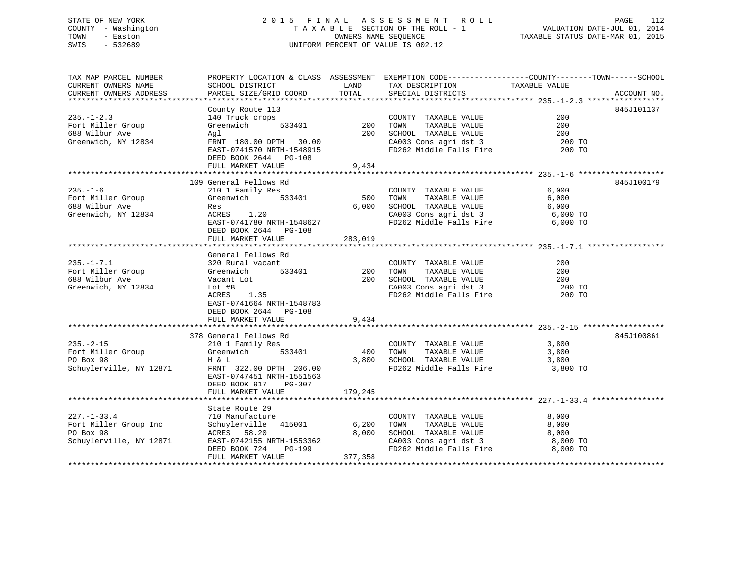## STATE OF NEW YORK 2 0 1 5 F I N A L A S S E S S M E N T R O L L PAGE 112 COUNTY - Washington T A X A B L E SECTION OF THE ROLL - 1 VALUATION DATE-JUL 01, 2014 TOWN - Easton OWNERS NAME SEQUENCE TAXABLE STATUS DATE-MAR 01, 2015 SWIS - 532689 UNIFORM PERCENT OF VALUE IS 002.12

| TAX MAP PARCEL NUMBER<br>CURRENT OWNERS NAME                                                      | SCHOOL DISTRICT                                                                                                                                                                                                                                 | <b>LAND</b>                 | TAX DESCRIPTION                                                                                                                                                                                             | PROPERTY LOCATION & CLASS ASSESSMENT EXEMPTION CODE----------------COUNTY-------TOWN------SCHOOL<br>TAXABLE VALUE |
|---------------------------------------------------------------------------------------------------|-------------------------------------------------------------------------------------------------------------------------------------------------------------------------------------------------------------------------------------------------|-----------------------------|-------------------------------------------------------------------------------------------------------------------------------------------------------------------------------------------------------------|-------------------------------------------------------------------------------------------------------------------|
| CURRENT OWNERS ADDRESS                                                                            | PARCEL SIZE/GRID COORD                                                                                                                                                                                                                          | TOTAL                       | SPECIAL DISTRICTS                                                                                                                                                                                           | ACCOUNT NO.                                                                                                       |
|                                                                                                   |                                                                                                                                                                                                                                                 |                             |                                                                                                                                                                                                             | 845J101137                                                                                                        |
| $235. -1 - 2.3$<br>Fort Miller Group<br>688 Wilbur Ave                                            | County Route 113<br>140 Truck crops<br>Greenwich 533401 200<br>200                                                                                                                                                                              |                             | COUNTY TAXABLE VALUE<br>TOWN<br>TAXABLE VALUE 200<br>200 SCHOOL TAXABLE VALUE                                                                                                                               | 200<br>200                                                                                                        |
| Greenwich, NY 12834                                                                               | Agl<br>FRNT 180.00 DPTH 30.00<br>1548915<br>DEED BOOK 2644 PG-108                                                                                                                                                                               |                             | CA003 Cons agri dst 3 and 200 TO<br>FD262 Middle Falls Fire 200 TO                                                                                                                                          |                                                                                                                   |
|                                                                                                   | FULL MARKET VALUE                                                                                                                                                                                                                               | 9,434                       |                                                                                                                                                                                                             |                                                                                                                   |
|                                                                                                   | 109 General Fellows Rd                                                                                                                                                                                                                          |                             |                                                                                                                                                                                                             | 845J100179                                                                                                        |
| $235. - 1 - 6$<br>Fort Miller Group<br>688 Wilbur Ave<br>Greenwich, NY 12834                      | 210 1 Family Res<br>Greenwich 533401<br>Res<br>ACRES 1.20<br>EAST-0741780 NRTH-1548627<br>DEED BOOK 2644 PG-108                                                                                                                                 | COUNTY<br>500 TOWN<br>6,000 | COUNTY TAXABLE VALUE 6,000<br>TOWN TAXABLE VALUE 6,000<br>SCHOOL TAXABLE VALUE 6,000 TO<br>CA003 Cons agri dst 3 6,000 TO<br>FD262 Middle Falls Fire 6,000 TO                                               |                                                                                                                   |
|                                                                                                   | FULL MARKET VALUE                                                                                                                                                                                                                               | 283,019                     |                                                                                                                                                                                                             |                                                                                                                   |
|                                                                                                   | General Fellows Rd                                                                                                                                                                                                                              |                             |                                                                                                                                                                                                             |                                                                                                                   |
| 235.-1-7.1<br>Fort Miller Group<br>Consilbur Ave<br>Greenwich, NY 12834                           | COUNTY TAXABLE VALUE<br>320 Rural vacant<br>Greenwich 533401 200 TOWN TAXABLE VALUE<br>Vacant Lot 533401 200 SCHOOL TAXABLE VALUE<br>Lot #B CA003 Cons agri dst 3 200 TO<br>1.35<br>ACRES<br>EAST-0741664 NRTH-1548783<br>DEED BOOK 2644 PG-108 |                             | FD262 Middle Falls Fire 200 TO                                                                                                                                                                              |                                                                                                                   |
|                                                                                                   | FULL MARKET VALUE                                                                                                                                                                                                                               | 9,434                       |                                                                                                                                                                                                             |                                                                                                                   |
|                                                                                                   | 378 General Fellows Rd                                                                                                                                                                                                                          |                             |                                                                                                                                                                                                             | 845J100861                                                                                                        |
| 235.-2-15<br>Fort Miller Group<br>PO Box 98<br>H & L<br>External H & L<br>Schuylerville, NY 12871 | FRNT 322.00 DPTH 206.00<br>EAST-0747451 NRTH-1551563<br>DEED BOOK 917 PG-307<br>FULL MARKET VALUE                                                                                                                                               | 400 TOWN<br>179,245         | COUNTY TAXABLE VALUE 3,800<br>TAXABLE VALUE<br>3,800 SCHOOL TAXABLE VALUE 3,800<br>FD262 Middle Falls Fire 3,800 TO                                                                                         | 3,800                                                                                                             |
|                                                                                                   |                                                                                                                                                                                                                                                 |                             |                                                                                                                                                                                                             |                                                                                                                   |
| $227. - 1 - 33.4$<br>Fort Miller Group Inc<br>PO Box 98<br>Schuylerville, NY 12871                | State Route 29<br>710 Manufacture<br>Schuylerville 415001 6,200 TOWN<br>8,000<br>EAST-0742155 NRTH-1553362<br>DEED BOOK 724 PG-199<br>FULL MARKET VALUE                                                                                         |                             | COUNTY TAXABLE VALUE<br>TOWN      TAXABLE VALUE<br>SCHOOL TAXABLE VALUE                    8,000<br>CA003 Cons agri dst 3                     8,000 TO<br>FD262 Middle Falls Fire                  8,000 TO | 8,000<br>8,000                                                                                                    |
|                                                                                                   |                                                                                                                                                                                                                                                 |                             |                                                                                                                                                                                                             |                                                                                                                   |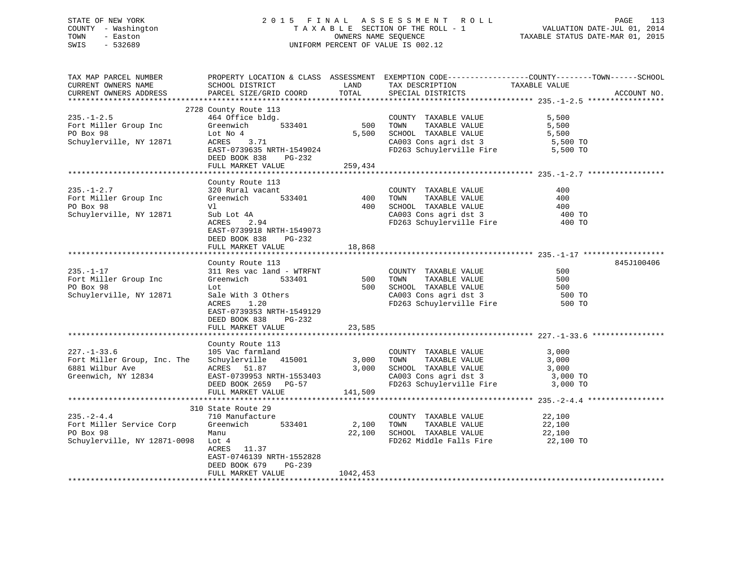## STATE OF NEW YORK 2 0 1 5 F I N A L A S S E S S M E N T R O L L PAGE 113 COUNTY - Washington T A X A B L E SECTION OF THE ROLL - 1 VALUATION DATE-JUL 01, 2014 TOWN - Easton OWNERS NAME SEQUENCE TAXABLE STATUS DATE-MAR 01, 2015 SWIS - 532689 UNIFORM PERCENT OF VALUE IS 002.12

| TAX MAP PARCEL NUMBER<br>CURRENT OWNERS NAME                                               | SCHOOL DISTRICT                                                                                                           | LAND            | TAX DESCRIPTION                                                                                                            | PROPERTY LOCATION & CLASS ASSESSMENT EXEMPTION CODE----------------COUNTY-------TOWN-----SCHOOL<br>TAXABLE VALUE |             |
|--------------------------------------------------------------------------------------------|---------------------------------------------------------------------------------------------------------------------------|-----------------|----------------------------------------------------------------------------------------------------------------------------|------------------------------------------------------------------------------------------------------------------|-------------|
| CURRENT OWNERS ADDRESS                                                                     | PARCEL SIZE/GRID COORD                                                                                                    | TOTAL           | SPECIAL DISTRICTS                                                                                                          |                                                                                                                  | ACCOUNT NO. |
|                                                                                            |                                                                                                                           |                 |                                                                                                                            |                                                                                                                  |             |
| $235. - 1 - 2.5$<br>Fort Miller Group Inc                                                  | 2728 County Route 113<br>464 Office bldg.<br>533401<br>Greenwich                                                          | 500             | COUNTY TAXABLE VALUE<br>TAXABLE VALUE<br>TOWN                                                                              | 5,500<br>5,500                                                                                                   |             |
| PO Box 98<br>Schuylerville, NY 12871                                                       | Lot No 4<br>ACRES<br>3.71<br>EAST-0739635 NRTH-1549024                                                                    | 5,500           | SCHOOL TAXABLE VALUE<br>CA003 Cons agri dst 3<br>FD263 Schuylerville Fire 5,500 TO                                         | 5,500<br>5,500 TO                                                                                                |             |
|                                                                                            | DEED BOOK 838<br>PG-232                                                                                                   |                 |                                                                                                                            |                                                                                                                  |             |
|                                                                                            | FULL MARKET VALUE                                                                                                         | 259,434         |                                                                                                                            |                                                                                                                  |             |
|                                                                                            | County Route 113                                                                                                          |                 |                                                                                                                            |                                                                                                                  |             |
| $235. - 1 - 2.7$<br>Fort Miller Group Inc<br>PO Box 98                                     | 320 Rural vacant<br>533401<br>Greenwich<br>Vl                                                                             | 400<br>400      | COUNTY TAXABLE VALUE<br>TOWN<br>TAXABLE VALUE<br>SCHOOL TAXABLE VALUE                                                      | 400<br>400<br>400                                                                                                |             |
| Schuylerville, NY 12871                                                                    | Sub Lot 4A<br>ACRES<br>2.94<br>EAST-0739918 NRTH-1549073<br>DEED BOOK 838<br>$PG-232$                                     |                 | CA003 Cons agri dst 3<br>FD263 Schuylerville Fire                                                                          | 400 TO<br>400 TO                                                                                                 |             |
|                                                                                            | FULL MARKET VALUE                                                                                                         | 18,868          |                                                                                                                            |                                                                                                                  |             |
|                                                                                            |                                                                                                                           |                 |                                                                                                                            |                                                                                                                  | 845J100406  |
| $235. - 1 - 17$<br>Fort Miller Group Inc<br>PO Box 98                                      | County Route 113<br>311 Res vac land - WTRFNT<br>Greenwich<br>533401<br>Lot                                               | 500<br>500      | COUNTY TAXABLE VALUE<br>TOWN<br>TAXABLE VALUE                                                                              | 500<br>500<br>500                                                                                                |             |
| Schuylerville, NY 12871                                                                    | Sale With 3 Others<br>ACRES<br>1.20<br>EAST-0739353 NRTH-1549129<br>DEED BOOK 838<br>PG-232                               |                 | CA003 Cons agri dst 3<br>FD263 Schull<br>FD263 Schuylerville Fire                                                          | 500 TO<br>500 TO                                                                                                 |             |
|                                                                                            | FULL MARKET VALUE                                                                                                         | 23,585          |                                                                                                                            |                                                                                                                  |             |
|                                                                                            | County Route 113                                                                                                          |                 |                                                                                                                            |                                                                                                                  |             |
| $227. - 1 - 33.6$<br>Fort Miller Group, Inc. The<br>6881 Wilbur Ave<br>Greenwich, NY 12834 | 105 Vac farmland<br>Schuylerville 415001<br>ACRES 51.87<br>EAST-0739953 NRTH-1553403<br>DEED BOOK 2659 PG-57              | 3,000<br>3,000  | COUNTY TAXABLE VALUE<br>TOWN<br>TAXABLE VALUE<br>SCHOOL TAXABLE VALUE<br>CA003 Cons agri dst 3<br>FD263 Schuylerville Fire | 3,000<br>3,000<br>3,000<br>3,000 TO<br>3,000 TO                                                                  |             |
|                                                                                            | FULL MARKET VALUE                                                                                                         | 141,509         |                                                                                                                            |                                                                                                                  |             |
|                                                                                            |                                                                                                                           |                 |                                                                                                                            |                                                                                                                  |             |
| $235. - 2 - 4.4$<br>Fort Miller Service Corp<br>PO Box 98<br>Schuylerville, NY 12871-0098  | 310 State Route 29<br>710 Manufacture<br>533401<br>Greenwich<br>Manu<br>Lot 4<br>ACRES 11.37<br>EAST-0746139 NRTH-1552828 | 2,100<br>22,100 | COUNTY TAXABLE VALUE<br>TAXABLE VALUE<br>TOWN<br>SCHOOL TAXABLE VALUE<br>FD262 Middle Falls Fire                           | 22,100<br>22,100<br>22,100<br>22,100 TO                                                                          |             |
|                                                                                            | DEED BOOK 679<br>PG-239<br>FULL MARKET VALUE                                                                              | 1042,453        |                                                                                                                            |                                                                                                                  |             |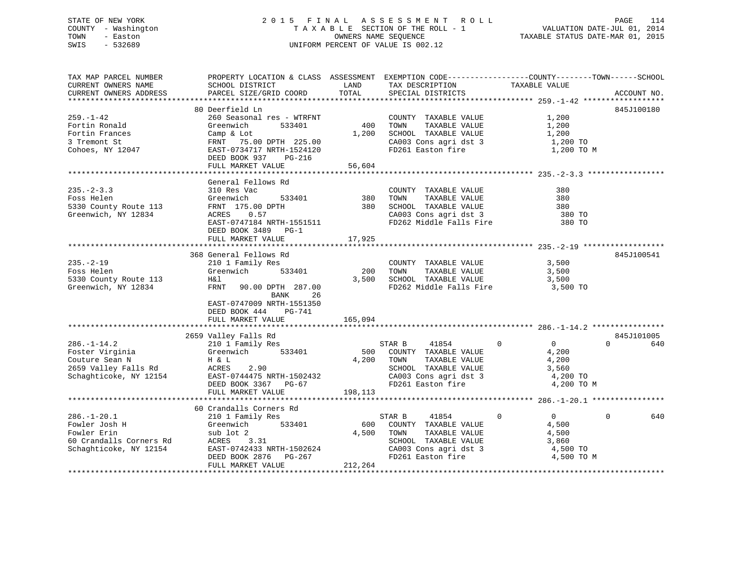## STATE OF NEW YORK 2 0 1 5 F I N A L A S S E S S M E N T R O L L PAGE 114 COUNTY - Washington T A X A B L E SECTION OF THE ROLL - 1 VALUATION DATE-JUL 01, 2014 TOWN - Easton OWNERS NAME SEQUENCE TAXABLE STATUS DATE-MAR 01, 2015 SWIS - 532689 UNIFORM PERCENT OF VALUE IS 002.12

TAX MAP PARCEL NUMBER PROPERTY LOCATION & CLASS ASSESSMENT EXEMPTION CODE------------------COUNTY--------TOWN------SCHOOL CURRENT OWNERS NAME SCHOOL DISTRICT THE LAND TAX DESCRIPTION TAXABLE VALUE CURRENT OWNERS ADDRESS PARCEL SIZE/GRID COORD TOTAL SPECIAL DISTRICTS ACCOUNT NO. \*\*\*\*\*\*\*\*\*\*\*\*\*\*\*\*\*\*\*\*\*\*\*\*\*\*\*\*\*\*\*\*\*\*\*\*\*\*\*\*\*\*\*\*\*\*\*\*\*\*\*\*\*\*\*\*\*\*\*\*\*\*\*\*\*\*\*\*\*\*\*\*\*\*\*\*\*\*\*\*\*\*\*\*\*\*\*\*\*\*\*\*\*\*\*\*\*\*\*\*\*\*\* 259.-1-42 \*\*\*\*\*\*\*\*\*\*\*\*\*\*\*\*\*\* 80 Deerfield Ln 845J100180 259.-1-42 260 Seasonal res - WTRFNT COUNTY TAXABLE VALUE 1,200 Fortin Ronald Greenwich 533401 400 TOWN TAXABLE VALUE 1,200 Fortin Frances Camp & Lot 1,200 SCHOOL TAXABLE VALUE 1,200 3 Tremont St FRNT 75.00 DPTH 225.00 CA003 Cons agri dst 3 1,200 TO Cohoes, NY 12047 EAST-0734717 NRTH-1524120 FD261 Easton fire 1,200 TO M DEED BOOK 937 PG-216 FULL MARKET VALUE 56,604 \*\*\*\*\*\*\*\*\*\*\*\*\*\*\*\*\*\*\*\*\*\*\*\*\*\*\*\*\*\*\*\*\*\*\*\*\*\*\*\*\*\*\*\*\*\*\*\*\*\*\*\*\*\*\*\*\*\*\*\*\*\*\*\*\*\*\*\*\*\*\*\*\*\*\*\*\*\*\*\*\*\*\*\*\*\*\*\*\*\*\*\*\*\*\*\*\*\*\*\*\*\*\* 235.-2-3.3 \*\*\*\*\*\*\*\*\*\*\*\*\*\*\*\*\* General Fellows Rd235.-2-3.3 310 Res Vac COUNTY TAXABLE VALUE 380Foss Helen Greenwich 533401 380 TOWN TAXABLE VALUE 3805330 County Route 113 FRNT 175.00 DPTH 380 SCHOOL TAXABLE VALUE 380 SCHOOL TAXABLE VALUE Greenwich, NY 12834 ACRES 0.57 CA003 Cons agri dst 3 380 TO EAST-0747184 NRTH-1551511 FD262 Middle Falls Fire 380 TO DEED BOOK 3489 PG-1 FULL MARKET VALUE 17,925 \*\*\*\*\*\*\*\*\*\*\*\*\*\*\*\*\*\*\*\*\*\*\*\*\*\*\*\*\*\*\*\*\*\*\*\*\*\*\*\*\*\*\*\*\*\*\*\*\*\*\*\*\*\*\*\*\*\*\*\*\*\*\*\*\*\*\*\*\*\*\*\*\*\*\*\*\*\*\*\*\*\*\*\*\*\*\*\*\*\*\*\*\*\*\*\*\*\*\*\*\*\*\* 235.-2-19 \*\*\*\*\*\*\*\*\*\*\*\*\*\*\*\*\*\* 368 General Fellows Rd 845J100541235.-2-19 210 1 Family Res COUNTY TAXABLE VALUE 3,500 Foss Helen Greenwich 533401 200 TOWN TAXABLE VALUE 3,500 5330 County Route 113 H&l 3,500 SCHOOL TAXABLE VALUE 3,500 FRNT 90.00 DPTH 287.00 FD262 Middle Falls Fire 3,500 TO BANK 26 EAST-0747009 NRTH-1551350 DEED BOOK 444 PG-741FULL MARKET VALUE 165,094 \*\*\*\*\*\*\*\*\*\*\*\*\*\*\*\*\*\*\*\*\*\*\*\*\*\*\*\*\*\*\*\*\*\*\*\*\*\*\*\*\*\*\*\*\*\*\*\*\*\*\*\*\*\*\*\*\*\*\*\*\*\*\*\*\*\*\*\*\*\*\*\*\*\*\*\*\*\*\*\*\*\*\*\*\*\*\*\*\*\*\*\*\*\*\*\*\*\*\*\*\*\*\* 286.-1-14.2 \*\*\*\*\*\*\*\*\*\*\*\*\*\*\*\*2659 Valley Falls Rd 845J101005 286.-1-14.2 210 1 Family Res STAR B 41854 0 0 0 640 Foster Virginia (Greenwich 533401 500 COUNTY TAXABLE VALUE 4,200<br>
Couture Sean N H & L 4,200 TOWN TAXABLE VALUE 4,200<br>
2659 Valley Falls Rd ACRES 2.90 SCHOOL TAXABLE VALUE 4,200<br>
Schaghticske NY 12154 From Country County C Couture Sean N H & L 4,200 TOWN TAXABLE VALUE 4,200 2659 Valley Falls Rd ACRES 2.90 SCHOOL TAXABLE VALUE 3,560 Schaghticoke, NY 12154 EAST-0744475 NRTH-1502432 CA003 Cons agri dst 3 4,200 TO DEED BOOK 3367 PG-67 FOR FD261 Easton fire the 4,200 TO M FULL MARKET VALUE 198,113 \*\*\*\*\*\*\*\*\*\*\*\*\*\*\*\*\*\*\*\*\*\*\*\*\*\*\*\*\*\*\*\*\*\*\*\*\*\*\*\*\*\*\*\*\*\*\*\*\*\*\*\*\*\*\*\*\*\*\*\*\*\*\*\*\*\*\*\*\*\*\*\*\*\*\*\*\*\*\*\*\*\*\*\*\*\*\*\*\*\*\*\*\*\*\*\*\*\*\*\*\*\*\* 286.-1-20.1 \*\*\*\*\*\*\*\*\*\*\*\*\*\*\*\*60 Crandalls Corners Rd

| $286. - 1 - 20.1$       | 210 1 Family Res          | STAR B        | 41854                   |            | 640 |
|-------------------------|---------------------------|---------------|-------------------------|------------|-----|
| Fowler Josh H           | Greenwich<br>533401       | 600           | TAXABLE VALUE<br>COUNTY | 4,500      |     |
| Fowler Erin             | sub lot 2                 | 4,500<br>TOWN | TAXABLE VALUE           | 4,500      |     |
| 60 Crandalls Corners Rd | 3.31<br>ACRES             |               | TAXABLE VALUE<br>SCHOOL | 3,860      |     |
| Schaghticoke, NY 12154  | EAST-0742433 NRTH-1502624 |               | CA003 Cons agri dst 3   | 4,500 TO   |     |
|                         | DEED BOOK 2876 PG-267     |               | FD261 Easton fire       | 4,500 TO M |     |
|                         | FULL MARKET VALUE         | 212,264       |                         |            |     |
|                         |                           |               |                         |            |     |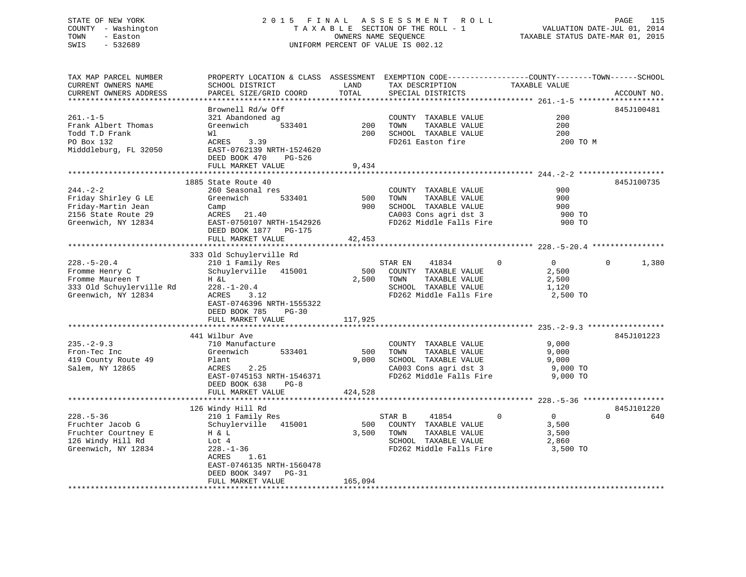## STATE OF NEW YORK 2 0 1 5 F I N A L A S S E S S M E N T R O L L PAGE 115 COUNTY - Washington T A X A B L E SECTION OF THE ROLL - 1 VALUATION DATE-JUL 01, 2014 TOWN - Easton OWNERS NAME SEQUENCE TAXABLE STATUS DATE-MAR 01, 2015 SWIS - 532689 UNIFORM PERCENT OF VALUE IS 002.12

TAX MAP PARCEL NUMBER PROPERTY LOCATION & CLASS ASSESSMENT EXEMPTION CODE------------------COUNTY--------TOWN------SCHOOL

| CURRENT OWNERS NAME      | SCHOOL DISTRICT           | LAND    | TAX DESCRIPTION         | TAXABLE VALUE                 |                   |
|--------------------------|---------------------------|---------|-------------------------|-------------------------------|-------------------|
| CURRENT OWNERS ADDRESS   | PARCEL SIZE/GRID COORD    | TOTAL   | SPECIAL DISTRICTS       |                               | ACCOUNT NO        |
|                          |                           |         |                         |                               |                   |
|                          | Brownell Rd/w Off         |         |                         |                               | 845J100481        |
| $261. - 1 - 5$           | 321 Abandoned ag          |         | COUNTY TAXABLE VALUE    | 200                           |                   |
| Frank Albert Thomas      | Greenwich<br>533401       | 200     | TOWN<br>TAXABLE VALUE   | 200                           |                   |
| Todd T.D Frank           | Wl                        | 200     | SCHOOL TAXABLE VALUE    | 200                           |                   |
| PO Box 132               | ACRES 3.39                |         | FD261 Easton fire       | 200 TO M                      |                   |
| Midddleburg, FL 32050    | EAST-0762139 NRTH-1524620 |         |                         |                               |                   |
|                          | DEED BOOK 470<br>PG-526   |         |                         |                               |                   |
|                          | FULL MARKET VALUE         | 9,434   |                         |                               |                   |
|                          |                           |         |                         |                               |                   |
|                          | 1885 State Route 40       |         |                         |                               | 845J100735        |
| $244. - 2 - 2$           | 260 Seasonal res          |         | COUNTY TAXABLE VALUE    | 900                           |                   |
| Friday Shirley G LE      | Greenwich<br>533401       | 500     | TAXABLE VALUE<br>TOWN   | 900                           |                   |
| Friday-Martin Jean       | Camp                      | 900     | SCHOOL TAXABLE VALUE    | 900                           |                   |
| 2156 State Route 29      | ACRES 21.40               |         | CA003 Cons agri dst 3   | 900 TO                        |                   |
| Greenwich, NY 12834      | EAST-0750107 NRTH-1542926 |         | FD262 Middle Falls Fire | 900 TO                        |                   |
|                          | DEED BOOK 1877 PG-175     |         |                         |                               |                   |
|                          |                           |         |                         |                               |                   |
|                          | FULL MARKET VALUE         | 42,453  |                         |                               |                   |
|                          |                           |         |                         |                               |                   |
|                          | 333 Old Schuylerville Rd  |         |                         |                               |                   |
| $228. - 5 - 20.4$        | 210 1 Family Res          |         | STAR EN<br>41834        | $\mathbf 0$<br>$\overline{0}$ | $\Omega$<br>1,380 |
| Fromme Henry C           | Schuylerville 415001      | 500     | COUNTY TAXABLE VALUE    | 2,500                         |                   |
| Fromme Maureen T         | H &L                      | 2,500   | TOWN<br>TAXABLE VALUE   | 2,500                         |                   |
| 333 Old Schuylerville Rd | $228. - 1 - 20.4$         |         | SCHOOL TAXABLE VALUE    | 1,120                         |                   |
| Greenwich, NY 12834      | ACRES<br>3.12             |         | FD262 Middle Falls Fire | 2,500 TO                      |                   |
|                          | EAST-0746396 NRTH-1555322 |         |                         |                               |                   |
|                          | DEED BOOK 785<br>$PG-30$  |         |                         |                               |                   |
|                          | FULL MARKET VALUE         | 117,925 |                         |                               |                   |
|                          |                           |         |                         |                               |                   |
|                          | 441 Wilbur Ave            |         |                         |                               | 845J101223        |
| $235. - 2 - 9.3$         | 710 Manufacture           |         | COUNTY TAXABLE VALUE    | 9,000                         |                   |
| Fron-Tec Inc             | Greenwich<br>533401       | 500     | TOWN<br>TAXABLE VALUE   | 9,000                         |                   |
| 419 County Route 49      | Plant                     | 9,000   | SCHOOL TAXABLE VALUE    | 9,000                         |                   |
| Salem, NY 12865          | ACRES<br>2.25             |         | CA003 Cons agri dst 3   | 9,000 TO                      |                   |
|                          | EAST-0745153 NRTH-1546371 |         | FD262 Middle Falls Fire | 9,000 TO                      |                   |
|                          | DEED BOOK 638<br>$PG-8$   |         |                         |                               |                   |
|                          | FULL MARKET VALUE         | 424,528 |                         |                               |                   |
|                          |                           |         |                         |                               |                   |
|                          | 126 Windy Hill Rd         |         |                         |                               | 845J101220        |
| $228. - 5 - 36$          | 210 1 Family Res          |         | 41854<br>STAR B         | $\overline{0}$<br>$\Omega$    | $\Omega$<br>640   |
| Fruchter Jacob G         | Schuylerville 415001      | 500     | COUNTY TAXABLE VALUE    | 3,500                         |                   |
| Fruchter Courtney E      | H & L                     | 3,500   | TOWN<br>TAXABLE VALUE   | 3,500                         |                   |
| 126 Windy Hill Rd        | Lot 4                     |         | SCHOOL TAXABLE VALUE    | 2,860                         |                   |
| Greenwich, NY 12834      | $228. - 1 - 36$           |         | FD262 Middle Falls Fire | 3,500 TO                      |                   |
|                          | 1.61<br>ACRES             |         |                         |                               |                   |
|                          | EAST-0746135 NRTH-1560478 |         |                         |                               |                   |
|                          | DEED BOOK 3497 PG-31      |         |                         |                               |                   |
|                          | FULL MARKET VALUE         | 165,094 |                         |                               |                   |
|                          |                           |         |                         |                               |                   |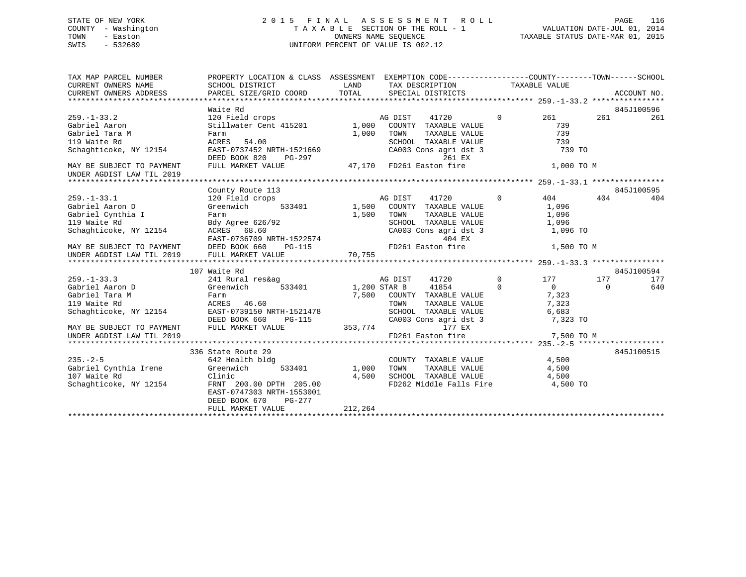## STATE OF NEW YORK 2 0 1 5 F I N A L A S S E S S M E N T R O L L PAGE 116 COUNTY - Washington T A X A B L E SECTION OF THE ROLL - 1 VALUATION DATE-JUL 01, 2014 TOWN - Easton OWNERS NAME SEQUENCE TAXABLE STATUS DATE-MAR 01, 2015 SWIS - 532689 UNIFORM PERCENT OF VALUE IS 002.12

| TAX MAP PARCEL NUMBER<br>CURRENT OWNERS NAME<br>CURRENT OWNERS ADDRESS                                                                                     | PROPERTY LOCATION & CLASS ASSESSMENT EXEMPTION CODE----------------COUNTY-------TOWN------SCHOOL<br>SCHOOL DISTRICT<br>PARCEL SIZE/GRID COORD                                    | LAND<br>TOTAL             | TAX DESCRIPTION TAXABLE VALUE<br>SPECIAL DISTRICTS                                                                                                         |                               |                                                                      |                 | ACCOUNT NO. |
|------------------------------------------------------------------------------------------------------------------------------------------------------------|----------------------------------------------------------------------------------------------------------------------------------------------------------------------------------|---------------------------|------------------------------------------------------------------------------------------------------------------------------------------------------------|-------------------------------|----------------------------------------------------------------------|-----------------|-------------|
|                                                                                                                                                            | Waite Rd                                                                                                                                                                         |                           |                                                                                                                                                            |                               |                                                                      |                 | 845J100596  |
| $259. - 1 - 33.2$<br>Gabriel Aaron<br>Gabriel Tara M<br>119 Waite Rd<br>Schaghticoke, NY 12154                                                             | 120 Field crops<br>Farm<br>ACRES<br>54.00<br>EAST-0737452 NRTH-1521669<br>DEED BOOK 820<br>PG-297                                                                                | 1,000                     | 41720<br>AG DIST<br>TAXABLE VALUE<br>TOWN<br>SCHOOL TAXABLE VALUE<br>CA003 Cons agri dst 3                                                                 | $\Omega$<br>261 EX            | 261<br>739<br>739<br>739<br>739 TO                                   | 261             | 261         |
| MAY BE SUBJECT TO PAYMENT<br>UNDER AGDIST LAW TIL 2019                                                                                                     | FULL MARKET VALUE                                                                                                                                                                |                           | 47,170 FD261 Easton fire                                                                                                                                   |                               | 1,000 TO M                                                           |                 |             |
|                                                                                                                                                            | County Route 113                                                                                                                                                                 |                           |                                                                                                                                                            |                               |                                                                      |                 | 845J100595  |
| $259. - 1 - 33.1$<br>Gabriel Aaron D<br>Gabriel Cynthia I<br>119 Waite Rd<br>Schaghticoke, NY 12154                                                        | 120 Field crops<br>Greenwich<br>Farm<br>Bdy Agree 626/92<br>ACRES 68.60<br>ACRES 68.60<br>EAST-0736709 NRTH-1522574<br>PG-115                                                    | 533401 1,500<br>1,500     | AG DIST<br>41720<br>COUNTY TAXABLE VALUE<br>TAXABLE VALUE<br>TOWN<br>SCHOOL TAXABLE VALUE<br>CA003 Cons agri dst 3                                         | $\Omega$<br>404 EX            | 404<br>1,096<br>1,096<br>1,096<br>1,096 TO                           | 404             | 404         |
| MAY BE SUBJECT TO PAYMENT<br>UNDER AGDIST LAW TIL 2019                                                                                                     | FULL MARKET VALUE                                                                                                                                                                | 70,755                    | FD261 Easton fire                                                                                                                                          |                               | 1,500 TO M                                                           |                 |             |
|                                                                                                                                                            | 107 Waite Rd                                                                                                                                                                     |                           |                                                                                                                                                            |                               |                                                                      |                 | 845J100594  |
| $259. - 1 - 33.3$<br>Gabriel Aaron D<br>Gabriel Tara M<br>119 Waite Rd<br>Schaghticoke, NY 12154<br>MAY BE SUBJECT TO PAYMENT<br>UNDER AGDIST LAW TIL 2019 | 241 Rural res&ag<br>Greenwich<br>533401<br>Farm<br>ACRES 46.60<br>EAST-0739150 NRTH-1521478<br>DEED BOOK 660<br>PG-115<br>FULL MARKET VALUE                                      | 353,774                   | AG DIST<br>41854<br>1,200 STAR B<br>7,500 COUNTY TAXABLE VALUE<br>TOWN TAXABLE VALUE<br>SCHOOL TAXABLE VALUE<br>CA003 Cons agri dst 3<br>FD261 Easton fire | 41720 0<br>$\Omega$<br>177 EX | 177<br>$\Omega$<br>7,323<br>7,323<br>6,683<br>7,323 TO<br>7,500 TO M | 177<br>$\Omega$ | 177<br>640  |
|                                                                                                                                                            |                                                                                                                                                                                  |                           |                                                                                                                                                            |                               |                                                                      |                 |             |
| $235. - 2 - 5$<br>Gabriel Cynthia Irene<br>107 Waite Rd<br>Schaghticoke, NY 12154                                                                          | 336 State Route 29<br>642 Health bldg<br>Greenwich<br>533401<br>Clinic<br>FRNT 200.00 DPTH 205.00<br>EAST-0747303 NRTH-1553001<br>DEED BOOK 670<br>$PG-277$<br>FULL MARKET VALUE | 1,000<br>4,500<br>212,264 | COUNTY TAXABLE VALUE<br>TOWN TAXABLE VALUE 4,500<br>SCHOOL TAXABLE VALUE 4,500<br>FD262 Middle Falls Fire 4,500 TO                                         |                               | 4,500                                                                |                 | 845J100515  |
|                                                                                                                                                            |                                                                                                                                                                                  |                           |                                                                                                                                                            |                               |                                                                      |                 |             |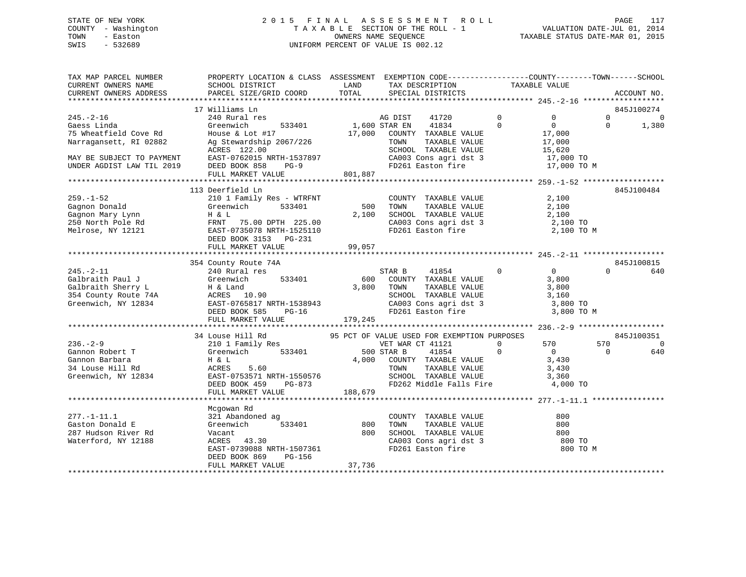## STATE OF NEW YORK 2 0 1 5 F I N A L A S S E S S M E N T R O L L PAGE 117 COUNTY - Washington T A X A B L E SECTION OF THE ROLL - 1 VALUATION DATE-JUL 01, 2014 TOWN - Easton OWNERS NAME SEQUENCE TAXABLE STATUS DATE-MAR 01, 2015 SWIS - 532689 UNIFORM PERCENT OF VALUE IS 002.12

| TAX MAP PARCEL NUMBER<br>CURRENT OWNERS NAME<br>CURRENT OWNERS ADDRESS                                                                      | PROPERTY LOCATION & CLASS ASSESSMENT EXEMPTION CODE---------------COUNTY-------TOWN------SCHOOL<br>SCHOOL DISTRICT<br>PARCEL SIZE/GRID COORD                                          | LAND<br>TOTAL           | TAX DESCRIPTION<br>SPECIAL DISTRICTS                                                                                                                                                             | TAXABLE VALUE              |                                                                                                        | ACCOUNT NO.                           |
|---------------------------------------------------------------------------------------------------------------------------------------------|---------------------------------------------------------------------------------------------------------------------------------------------------------------------------------------|-------------------------|--------------------------------------------------------------------------------------------------------------------------------------------------------------------------------------------------|----------------------------|--------------------------------------------------------------------------------------------------------|---------------------------------------|
|                                                                                                                                             |                                                                                                                                                                                       |                         |                                                                                                                                                                                                  |                            |                                                                                                        |                                       |
| $245. - 2 - 16$<br>Gaess Linda<br>75 Wheatfield Cove Rd<br>Narragansett, RI 02882<br>MAY BE SUBJECT TO PAYMENT<br>UNDER AGDIST LAW TIL 2019 | 17 Williams Ln<br>240 Rural res<br>Greenwich<br>533401<br>House & Lot $#17$<br>Ag Stewardship 2067/226<br>ACRES 122.00<br>EAST-0762015 NRTH-1537897<br>DEED BOOK 858<br>$PG-9$        | 17,000                  | AG DIST<br>41720<br>1,600 STAR EN<br>41834<br>COUNTY TAXABLE VALUE<br>TAXABLE VALUE<br>TOWN<br>SCHOOL TAXABLE VALUE<br>CA003 Cons agri dst 3<br>FD261 Easton fire                                | $\overline{0}$<br>$\Omega$ | $\Omega$<br>$\Omega$<br>$\Omega$<br>$\Omega$<br>17,000<br>17,000<br>15,620<br>17,000 TO<br>17,000 TO M | 845J100274<br>$\overline{0}$<br>1,380 |
|                                                                                                                                             | FULL MARKET VALUE                                                                                                                                                                     | 801,887                 |                                                                                                                                                                                                  |                            |                                                                                                        |                                       |
| $259. - 1 - 52$<br>Gagnon Donald<br>Gagnon Mary Lynn<br>250 North Pole Rd<br>Melrose, NY 12121                                              | 113 Deerfield Ln<br>210 1 Family Res - WTRFNT<br>Greenwich<br>533401<br>H & L<br>FRNT<br>75.00 DPTH 225.00<br>EAST-0735078 NRTH-1525110<br>DEED BOOK 3153 PG-231<br>FULL MARKET VALUE | 500<br>2,100<br>99,057  | COUNTY TAXABLE VALUE<br>TAXABLE VALUE<br>TOWN<br>SCHOOL TAXABLE VALUE<br>CA003 Cons agri dst 3<br>FD261 Easton fire                                                                              |                            | 2,100<br>2,100<br>2,100<br>2,100 TO<br>2,100 TO M                                                      | 845J100484                            |
|                                                                                                                                             | 354 County Route 74A                                                                                                                                                                  |                         |                                                                                                                                                                                                  |                            |                                                                                                        | 845J100815                            |
| $245. - 2 - 11$<br>Galbraith Paul J<br>Galbraith Sherry L<br>354 County Route 74A<br>Greenwich, NY 12834                                    | 240 Rural res<br>Greenwich<br>533401<br>H & Land<br>ACRES 10.90<br>EAST-0765817 NRTH-1538943<br>DEED BOOK 585<br>$PG-16$<br>FULL MARKET VALUE                                         | 600<br>3,800<br>179,245 | STAR B<br>41854<br>COUNTY TAXABLE VALUE<br>TOWN<br>TAXABLE VALUE<br>SCHOOL TAXABLE VALUE<br>CA003 Cons agri dst 3<br>FD261 Easton fire                                                           | $\mathbf 0$                | 0<br>$\Omega$<br>3,800<br>3,800<br>3,160<br>3,800 TO<br>3,800 TO M                                     | 640                                   |
|                                                                                                                                             |                                                                                                                                                                                       |                         |                                                                                                                                                                                                  |                            |                                                                                                        |                                       |
| $236. - 2 - 9$<br>Gannon Robert T<br>Gannon Barbara<br>34 Louse Hill Rd<br>Greenwich, NY 12834                                              | 34 Louse Hill Rd<br>210 1 Family Res<br>533401<br>Greenwich<br>H & L<br>ACRES<br>5.60<br>EAST-0753571 NRTH-1550576<br>DEED BOOK 459<br>PG-873                                         |                         | 95 PCT OF VALUE USED FOR EXEMPTION PURPOSES<br>VET WAR CT 41121<br>500 STAR B<br>41854<br>4,000 COUNTY TAXABLE VALUE<br>TAXABLE VALUE<br>TOWN<br>SCHOOL TAXABLE VALUE<br>FD262 Middle Falls Fire | $\Omega$<br>$\Omega$       | 570<br>570<br>$\Omega$<br>$\Omega$<br>3,430<br>3,430<br>3,360<br>4,000 TO                              | 845J100351<br>$\Omega$<br>640         |
|                                                                                                                                             | FULL MARKET VALUE                                                                                                                                                                     | 188,679                 |                                                                                                                                                                                                  |                            |                                                                                                        |                                       |
| $277. - 1 - 11.1$<br>Gaston Donald E<br>287 Hudson River Rd<br>Waterford, NY 12188                                                          | Mcgowan Rd<br>321 Abandoned ag<br>533401<br>Greenwich<br>Vacant<br>ACRES<br>43.30<br>EAST-0739088 NRTH-1507361<br>PG-156<br>DEED BOOK 869<br>FULL MARKET VALUE                        | 800<br>800<br>37,736    | COUNTY TAXABLE VALUE<br>TAXABLE VALUE<br>TOWN<br>SCHOOL TAXABLE VALUE<br>CA003 Cons agri dst 3<br>FD261 Easton fire                                                                              |                            | 800<br>800<br>800<br>800 TO<br>800 TO M                                                                |                                       |
|                                                                                                                                             |                                                                                                                                                                                       |                         |                                                                                                                                                                                                  |                            |                                                                                                        |                                       |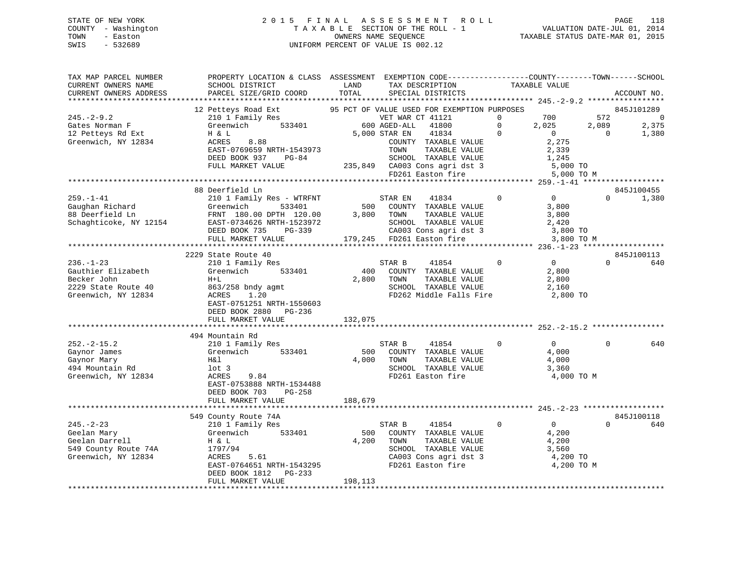## STATE OF NEW YORK 2 0 1 5 F I N A L A S S E S S M E N T R O L L PAGE 118 COUNTY - Washington T A X A B L E SECTION OF THE ROLL - 1 VALUATION DATE-JUL 01, 2014 TOWN - Easton OWNERS NAME SEQUENCE TAXABLE STATUS DATE-MAR 01, 2015 SWIS - 532689 UNIFORM PERCENT OF VALUE IS 002.12

| TAX MAP PARCEL NUMBER<br>CURRENT OWNERS NAME<br>CURRENT OWNERS ADDRESS                             | PROPERTY LOCATION & CLASS ASSESSMENT EXEMPTION CODE----------------COUNTY-------TOWN------SCHOOL<br>SCHOOL DISTRICT<br>PARCEL SIZE/GRID COORD                     | LAND<br>TOTAL           | TAX DESCRIPTION<br>SPECIAL DISTRICTS                                                                                                   | TAXABLE VALUE                                                                   |              | ACCOUNT NO.                           |
|----------------------------------------------------------------------------------------------------|-------------------------------------------------------------------------------------------------------------------------------------------------------------------|-------------------------|----------------------------------------------------------------------------------------------------------------------------------------|---------------------------------------------------------------------------------|--------------|---------------------------------------|
|                                                                                                    |                                                                                                                                                                   |                         |                                                                                                                                        |                                                                                 |              |                                       |
| $245. - 2 - 9.2$<br>Gates Norman F                                                                 | 12 Petteys Road Ext<br>210 1 Family Res<br>Greenwich<br>533401                                                                                                    |                         | 95 PCT OF VALUE USED FOR EXEMPTION PURPOSES<br>VET WAR CT 41121<br>600 AGED-ALL<br>41800                                               | $\mathbf 0$<br>700<br>$\mathbf{0}$<br>2,025                                     | 572<br>2,089 | 845J101289<br>$\overline{0}$<br>2,375 |
| 12 Petteys Rd Ext<br>Greenwich, NY 12834                                                           | H & L<br>ACRES<br>8.88<br>EAST-0769659 NRTH-1543973<br>DEED BOOK 937<br>$PG-84$<br>FULL MARKET VALUE                                                              |                         | 5,000 STAR EN<br>41834<br>COUNTY TAXABLE VALUE<br>TAXABLE VALUE<br>TOWN<br>SCHOOL TAXABLE VALUE<br>235,849 CA003 Cons agri dst 3       | $\mathbf{0}$<br>$\overline{0}$<br>2,275<br>2,339<br>1,245<br>5,000 TO           | $\Omega$     | 1,380                                 |
|                                                                                                    |                                                                                                                                                                   |                         | FD261 Easton fire                                                                                                                      |                                                                                 | 5,000 TO M   |                                       |
|                                                                                                    |                                                                                                                                                                   |                         |                                                                                                                                        |                                                                                 |              |                                       |
| $259. - 1 - 41$<br>Gaughan Richard<br>88 Deerfield Ln<br>Schaghticoke, NY 12154                    | 88 Deerfield Ln<br>210 1 Family Res - WTRFNT<br>Greenwich<br>533401<br>FRNT 180.00 DPTH 120.00<br>EAST-0734626 NRTH-1523972<br>DEED BOOK 735<br>PG-339            | 500<br>3,800            | 41834<br>STAR EN<br>COUNTY TAXABLE VALUE<br>TAXABLE VALUE<br>TOWN<br>SCHOOL TAXABLE VALUE<br>CA003 Cons agri dst 3                     | $\mathbf 0$<br>$\overline{0}$<br>3,800<br>3,800<br>2,420<br>3,800 TO            | $\Omega$     | 845J100455<br>1,380                   |
|                                                                                                    | FULL MARKET VALUE<br>**************************                                                                                                                   |                         | 179,245 FD261 Easton fire                                                                                                              | 3,800 TO M                                                                      |              |                                       |
|                                                                                                    | 2229 State Route 40                                                                                                                                               |                         |                                                                                                                                        |                                                                                 |              | 845J100113                            |
| $236. - 1 - 23$<br>Gauthier Elizabeth<br>Becker John<br>2229 State Route 40<br>Greenwich, NY 12834 | 210 1 Family Res<br>Greenwich<br>533401<br>$H+L$<br>863/258 bndy agmt<br>ACRES<br>1.20<br>EAST-0751251 NRTH-1550603<br>DEED BOOK 2880 PG-236<br>FULL MARKET VALUE | 400<br>2,800<br>132,075 | 41854<br>STAR B<br>COUNTY TAXABLE VALUE<br>TOWN<br>TAXABLE VALUE<br>SCHOOL TAXABLE VALUE<br>FD262 Middle Falls Fire                    | $\mathbf{0}$<br>$\Omega$<br>2,800<br>2,800<br>2,160<br>2,800 TO                 | $\Omega$     | 640                                   |
|                                                                                                    | 494 Mountain Rd                                                                                                                                                   |                         |                                                                                                                                        |                                                                                 |              |                                       |
| $252 - 2 - 15.2$<br>Gaynor James<br>Gaynor Mary<br>494 Mountain Rd<br>Greenwich, NY 12834          | 210 1 Family Res<br>Greenwich<br>533401<br>H&l<br>$1$ ot 3<br>ACRES<br>9.84<br>EAST-0753888 NRTH-1534488<br>DEED BOOK 703<br>$PG-258$                             | 500<br>4,000            | STAR B<br>41854<br>COUNTY TAXABLE VALUE<br>TAXABLE VALUE<br>TOWN<br>SCHOOL TAXABLE VALUE<br>FD261 Easton fire                          | $\Omega$<br>$\overline{0}$<br>4,000<br>4,000<br>3,360<br>4,000 TO M             | $\Omega$     | 640                                   |
|                                                                                                    | FULL MARKET VALUE                                                                                                                                                 | 188,679                 |                                                                                                                                        |                                                                                 |              |                                       |
|                                                                                                    | 549 County Route 74A                                                                                                                                              |                         |                                                                                                                                        |                                                                                 |              | 845J100118                            |
| $245. - 2 - 23$<br>Geelan Mary<br>Geelan Darrell<br>549 County Route 74A<br>Greenwich, NY 12834    | 210 1 Family Res<br>Greenwich<br>533401<br>H & L<br>1797/94<br>5.61<br>ACRES<br>EAST-0764651 NRTH-1543295<br>DEED BOOK 1812<br>PG-233<br>FULL MARKET VALUE        | 500<br>4,200<br>198,113 | STAR B<br>41854<br>COUNTY TAXABLE VALUE<br>TOWN<br>TAXABLE VALUE<br>SCHOOL TAXABLE VALUE<br>CA003 Cons agri dst 3<br>FD261 Easton fire | $\overline{0}$<br>$\Omega$<br>4,200<br>4,200<br>3,560<br>4,200 TO<br>4,200 TO M | $\Omega$     | 640                                   |
|                                                                                                    |                                                                                                                                                                   |                         |                                                                                                                                        |                                                                                 |              |                                       |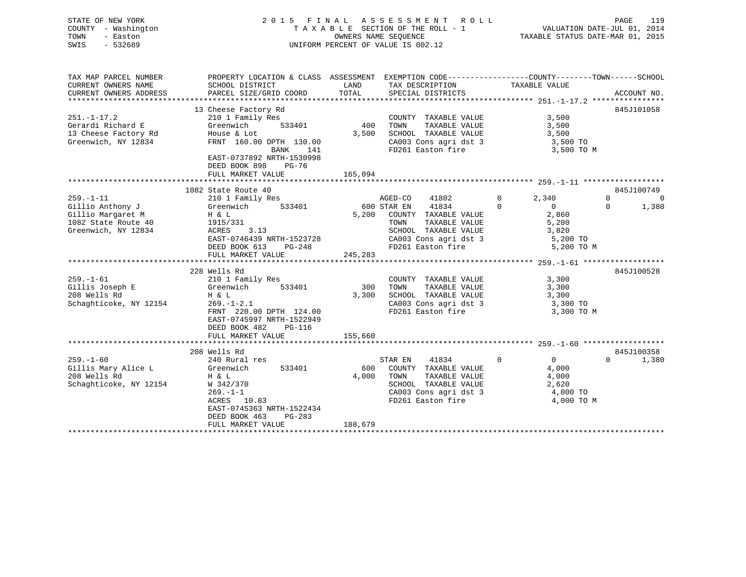|      | STATE OF NEW YORK   | 2015 FINAL ASSESSMENT ROLL         | 119<br>PAGE                      |
|------|---------------------|------------------------------------|----------------------------------|
|      | COUNTY - Washington | TAXABLE SECTION OF THE ROLL - 1    | VALUATION DATE-JUL 01, 2014      |
| TOWN | - Easton            | OWNERS NAME SEOUENCE               | TAXABLE STATUS DATE-MAR 01, 2015 |
| SWIS | $-532689$           | UNIFORM PERCENT OF VALUE IS 002.12 |                                  |
|      |                     |                                    |                                  |
|      |                     |                                    |                                  |
|      |                     |                                    |                                  |

| TAX MAP PARCEL NUMBER      | PROPERTY LOCATION & CLASS ASSESSMENT EXEMPTION CODE----------------COUNTY-------TOWN------SCHOOL |                    |                                                                                                                      |                                                                |                        |
|----------------------------|--------------------------------------------------------------------------------------------------|--------------------|----------------------------------------------------------------------------------------------------------------------|----------------------------------------------------------------|------------------------|
| CURRENT OWNERS NAME        | SCHOOL DISTRICT                                                                                  | LAND               | TAX DESCRIPTION                                                                                                      | TAXABLE VALUE                                                  |                        |
| CURRENT OWNERS ADDRESS     | PARCEL SIZE/GRID COORD                                                                           | TOTAL              | SPECIAL DISTRICTS                                                                                                    |                                                                | ACCOUNT NO.            |
|                            |                                                                                                  |                    |                                                                                                                      |                                                                |                        |
|                            | 13 Cheese Factory Rd                                                                             |                    |                                                                                                                      |                                                                | 845J101058             |
| $251. - 1 - 17.2$          | 210 1 Family Res                                                                                 |                    | COUNTY TAXABLE VALUE                                                                                                 | 3,500                                                          |                        |
| Gerardi Richard E          | 533401<br>Greenwich                                                                              | 400                | TAXABLE VALUE<br>TOWN                                                                                                | 3,500                                                          |                        |
| 13 Cheese Factory Rd       | House & Lot                                                                                      | 3,500              | SCHOOL TAXABLE VALUE 3,500                                                                                           |                                                                |                        |
| Greenwich, NY 12834        | FRNT 160.00 DPTH 130.00                                                                          |                    |                                                                                                                      |                                                                |                        |
|                            | BANK<br>141                                                                                      |                    |                                                                                                                      | CA003 Cons agri dst 3 3,500 TO<br>FD261 Easton fire 3,500 TO M |                        |
|                            | EAST-0737892 NRTH-1530998                                                                        |                    |                                                                                                                      |                                                                |                        |
|                            | DEED BOOK 898 PG-76                                                                              |                    |                                                                                                                      |                                                                |                        |
|                            | FULL MARKET VALUE                                                                                | 165,094            |                                                                                                                      |                                                                |                        |
|                            |                                                                                                  |                    |                                                                                                                      |                                                                |                        |
|                            | 1082 State Route 40                                                                              |                    |                                                                                                                      |                                                                | 845J100749             |
| $259. - 1 - 11$            | 210 1 Family Res                                                                                 |                    | AGED-CO<br>41802                                                                                                     | $\Omega$<br>2,340                                              | $\Omega$<br>$\bigcirc$ |
| Gillio Anthony J Greenwich |                                                                                                  | 533401 600 STAR EN | 41834                                                                                                                | $\Omega$<br>$\overline{0}$                                     | $\Omega$<br>1,380      |
|                            |                                                                                                  | 5,200              | COUNTY TAXABLE VALUE                                                                                                 | 2,860                                                          |                        |
|                            |                                                                                                  |                    | TAXABLE VALUE<br>TOWN                                                                                                | 5,200                                                          |                        |
| Greenwich, NY 12834        | ACRES<br>3.13                                                                                    |                    | SCHOOL TAXABLE VALUE                                                                                                 | 3,820                                                          |                        |
|                            | EAST-0746439 NRTH-1523728                                                                        |                    |                                                                                                                      |                                                                |                        |
|                            | DEED BOOK 613 PG-248                                                                             |                    | CA003 Cons agri dst 3 5,200 TO<br>FD261 Easton fire 5,200 TO                                                         | 5,200 TO M                                                     |                        |
|                            | FULL MARKET VALUE                                                                                | 245,283            |                                                                                                                      |                                                                |                        |
|                            |                                                                                                  |                    |                                                                                                                      |                                                                |                        |
|                            | 228 Wells Rd                                                                                     |                    |                                                                                                                      |                                                                | 845J100528             |
| $259. - 1 - 61$            | 210 1 Family Res                                                                                 |                    | COUNTY TAXABLE VALUE                                                                                                 | 3,300                                                          |                        |
| Gillis Joseph E            | 533401                                                                                           | 300                | TOWN<br>TAXABLE VALUE                                                                                                | 3,300                                                          |                        |
| 208 Wells Rd               | Greenwich<br>H & L                                                                               | 3,300              |                                                                                                                      |                                                                |                        |
| Schaghticoke, NY 12154     | $269. - 1 - 2.1$                                                                                 |                    | SCHOOL TAXABLE VALUE 3,300<br>CA003 Cons agri dst 3 3 3,300 TO                                                       |                                                                |                        |
|                            | FRNT 220.00 DPTH 124.00                                                                          |                    | FD261 Easton fire                                                                                                    | 3,300 TO M                                                     |                        |
|                            | EAST-0745997 NRTH-1522949                                                                        |                    |                                                                                                                      |                                                                |                        |
|                            | DEED BOOK 482<br>$PG-116$                                                                        |                    |                                                                                                                      |                                                                |                        |
|                            | FULL MARKET VALUE                                                                                | 155,660            |                                                                                                                      |                                                                |                        |
|                            |                                                                                                  |                    |                                                                                                                      |                                                                |                        |
|                            | 208 Wells Rd                                                                                     |                    |                                                                                                                      |                                                                | 845J100358             |
|                            |                                                                                                  |                    |                                                                                                                      | $\Omega$<br>$\overline{0}$                                     | $\Omega$               |
| $259. - 1 - 60$            | 240 Rural res                                                                                    |                    | STAR EN<br>41834                                                                                                     |                                                                | 1,380                  |
| Gillis Mary Alice L        | Greenwich<br>533401                                                                              | 600                | COUNTY TAXABLE VALUE                                                                                                 | 4,000                                                          |                        |
| 208 Wells Rd               | H & L                                                                                            | 4,000              | TAXABLE VALUE<br>TOWN                                                                                                | 4,000                                                          |                        |
| Schaghticoke, NY 12154     | W 342/370                                                                                        |                    | SCHOOL TAXABLE VALUE                                                                                                 | 2,620                                                          |                        |
|                            | $269. - 1 - 1$                                                                                   |                    | CA003 Cons agri dst 3 $\begin{array}{ccc} 4,000 \text{ TO} \\ \text{FDA1} & \text{Factor} & \text{free} \end{array}$ |                                                                |                        |
|                            | ACRES 10.83                                                                                      |                    | FD261 Easton fire                                                                                                    | 4,000 TO M                                                     |                        |
|                            | EAST-0745363 NRTH-1522434                                                                        |                    |                                                                                                                      |                                                                |                        |
|                            | DEED BOOK 463<br>PG-283                                                                          |                    |                                                                                                                      |                                                                |                        |
|                            | FULL MARKET VALUE                                                                                | 188,679            |                                                                                                                      |                                                                |                        |
|                            |                                                                                                  |                    |                                                                                                                      |                                                                |                        |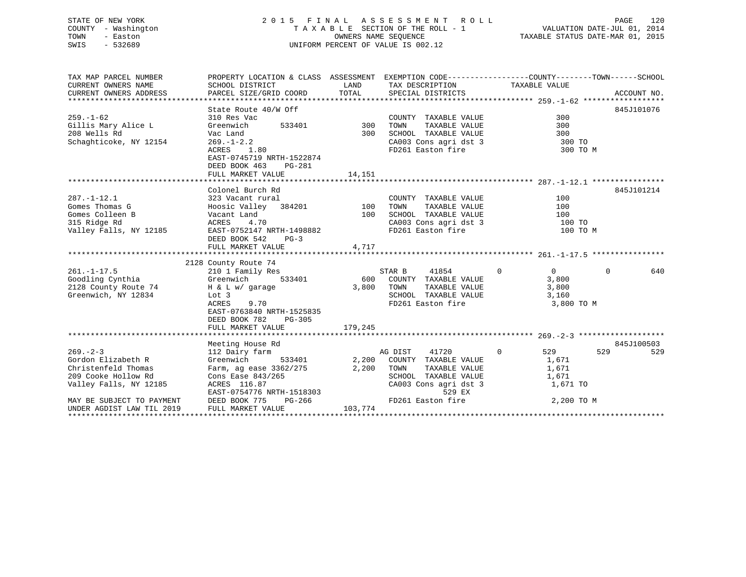## STATE OF NEW YORK 2 0 1 5 F I N A L A S S E S S M E N T R O L L PAGE 120 COUNTY - Washington T A X A B L E SECTION OF THE ROLL - 1 VALUATION DATE-JUL 01, 2014 TOWN - Easton OWNERS NAME SEQUENCE TAXABLE STATUS DATE-MAR 01, 2015 SWIS - 532689 UNIFORM PERCENT OF VALUE IS 002.12

| TAX MAP PARCEL NUMBER               | PROPERTY LOCATION & CLASS ASSESSMENT EXEMPTION CODE---------------COUNTY-------TOWN------SCHOOL                                                                    |                 |                                                                                                                                                                             |                         |                 |
|-------------------------------------|--------------------------------------------------------------------------------------------------------------------------------------------------------------------|-----------------|-----------------------------------------------------------------------------------------------------------------------------------------------------------------------------|-------------------------|-----------------|
| CURRENT OWNERS NAME                 | SCHOOL DISTRICT                          LAND         TAX DESCRIPTION                   TAXABLE VALUE                                                              |                 |                                                                                                                                                                             |                         |                 |
| CURRENT OWNERS ADDRESS              | PARCEL SIZE/GRID COORD TOTAL SPECIAL DISTRICTS                                                                                                                     |                 |                                                                                                                                                                             |                         | ACCOUNT NO.     |
|                                     |                                                                                                                                                                    |                 |                                                                                                                                                                             |                         |                 |
|                                     | State Route 40/W Off                                                                                                                                               |                 |                                                                                                                                                                             |                         | 845J101076      |
| $259. - 1 - 62$                     | 310 Res Vac                                                                                                                                                        |                 | COUNTY TAXABLE VALUE                                                                                                                                                        | 300                     |                 |
| Gillis Mary Alice L                 | Greenwich                                                                                                                                                          | 533401 300 TOWN | TAXABLE VALUE                                                                                                                                                               |                         |                 |
| 208 Wells Rd                        | Vac Land                                                                                                                                                           |                 | 300 SCHOOL TAXABLE VALUE                                                                                                                                                    |                         |                 |
| Schaghticoke, NY 12154              | $269. - 1 - 2.2$<br>$ACRES$ 1.80                                                                                                                                   |                 | CA003 Cons agri dst 3                                                                                                                                                       | 300<br>300 TO<br>300 TC |                 |
|                                     |                                                                                                                                                                    |                 | FD261 Easton fire                                                                                                                                                           | 300 TO M                |                 |
|                                     | EAST-0745719 NRTH-1522874                                                                                                                                          |                 |                                                                                                                                                                             |                         |                 |
|                                     | DEED BOOK 463<br>PG-281                                                                                                                                            |                 |                                                                                                                                                                             |                         |                 |
|                                     | FULL MARKET VALUE                                                                                                                                                  | 14,151          |                                                                                                                                                                             |                         |                 |
|                                     | Colonel Burch Rd                                                                                                                                                   |                 |                                                                                                                                                                             |                         | 845J101214      |
| $287. - 1 - 12.1$                   |                                                                                                                                                                    |                 |                                                                                                                                                                             | 100                     |                 |
|                                     | 323 Vacant rural (COUNTY TAXABLE VALUE)<br>Hoosic Valley 384201 100 TOWN TAXABLE VALUE<br>Vacant Land 100 SCHOOL TAXABLE VALUE<br>ACRES 4.70 CA003 Cons agri dst 3 |                 |                                                                                                                                                                             | 100                     |                 |
| Gomes Thomas $G$<br>Gomes Colleen B |                                                                                                                                                                    |                 |                                                                                                                                                                             | 100                     |                 |
| 315 Ridge Rd                        | $\overline{a}$                                                                                                                                                     |                 | CA003 Cons agri dst 3 100 TO                                                                                                                                                |                         |                 |
| Valley Falls, NY 12185              | EAST-0752147 NRTH-1498882                                                                                                                                          |                 | FD261 Easton fire                                                                                                                                                           | 100 TO M                |                 |
|                                     | DEED BOOK 542<br>$PG-3$                                                                                                                                            |                 |                                                                                                                                                                             |                         |                 |
|                                     | FULL MARKET VALUE                                                                                                                                                  | 4,717           |                                                                                                                                                                             |                         |                 |
|                                     |                                                                                                                                                                    |                 |                                                                                                                                                                             |                         |                 |
|                                     | 2128 County Route 74                                                                                                                                               |                 |                                                                                                                                                                             |                         |                 |
| $261. - 1 - 17.5$                   | 210 1 Family Res                                                                                                                                                   |                 | $\begin{tabular}{ccccc} \multicolumn{2}{c}{\text{STAR}} & B & 41854 & 0 \\ 600 & \multicolumn{2}{c}{\text{CUNTY}} & \text{TAXABLE VALUE} & \end{tabular}$<br>STAR B 41854 0 | $\overline{0}$          | $\Omega$<br>640 |
|                                     |                                                                                                                                                                    |                 |                                                                                                                                                                             | 3,800                   |                 |
|                                     | 2128 County Route 74 H & L w/ garage                                                                                                                               | 3,800 TOWN      | TAXABLE VALUE                                                                                                                                                               | 3,800                   |                 |
| Greenwich, NY 12834                 | Lot 3                                                                                                                                                              |                 | SCHOOL TAXABLE VALUE                                                                                                                                                        | 3,160                   |                 |
|                                     | 9.70<br>ACRES                                                                                                                                                      |                 | FD261 Easton fire                                                                                                                                                           | 3,800 TO M              |                 |
|                                     | EAST-0763840 NRTH-1525835                                                                                                                                          |                 |                                                                                                                                                                             |                         |                 |
|                                     | DEED BOOK 782 PG-305                                                                                                                                               |                 |                                                                                                                                                                             |                         |                 |
|                                     | FULL MARKET VALUE                                                                                                                                                  | 179,245         |                                                                                                                                                                             |                         |                 |
|                                     |                                                                                                                                                                    |                 |                                                                                                                                                                             |                         |                 |
|                                     | Meeting House Rd                                                                                                                                                   |                 |                                                                                                                                                                             |                         | 845J100503      |
| $269. - 2 - 3$                      | 112 Dairy farm                                                                                                                                                     |                 | AG DIST<br>41720                                                                                                                                                            | $\overline{0}$<br>529 7 | 529<br>529      |
| Gordon Elizabeth R                  | Greenwich                                                                                                                                                          |                 | 533401 2,200 COUNTY TAXABLE VALUE 1,671                                                                                                                                     |                         |                 |
| Christenfeld Thomas                 | Farm, ag ease 3362/275 2,200 TOWN                                                                                                                                  |                 | TAXABLE VALUE                                                                                                                                                               | 1,671                   |                 |
| 209 Cooke Hollow Rd                 | Cons Ease 843/265                                                                                                                                                  |                 | SCHOOL TAXABLE VALUE<br>CA003 Cons agri dst 3                                                                                                                               | 1,671                   |                 |
| Valley Falls, NY 12185              | ACRES 116.87                                                                                                                                                       |                 |                                                                                                                                                                             | 1,671 TO                |                 |
|                                     |                                                                                                                                                                    |                 |                                                                                                                                                                             |                         |                 |
| MAY BE SUBJECT TO PAYMENT           |                                                                                                                                                                    |                 |                                                                                                                                                                             |                         |                 |
| UNDER AGDIST LAW TIL 2019           | ACRES 110.0/<br>EAST-0754776 NRTH-1518303 529 EX 529 EX 2,200 TO M<br>DEED BOOK 775 PG-266 103,774 FULL MARKET VALUE 103,774                                       |                 |                                                                                                                                                                             |                         |                 |
|                                     |                                                                                                                                                                    |                 |                                                                                                                                                                             |                         |                 |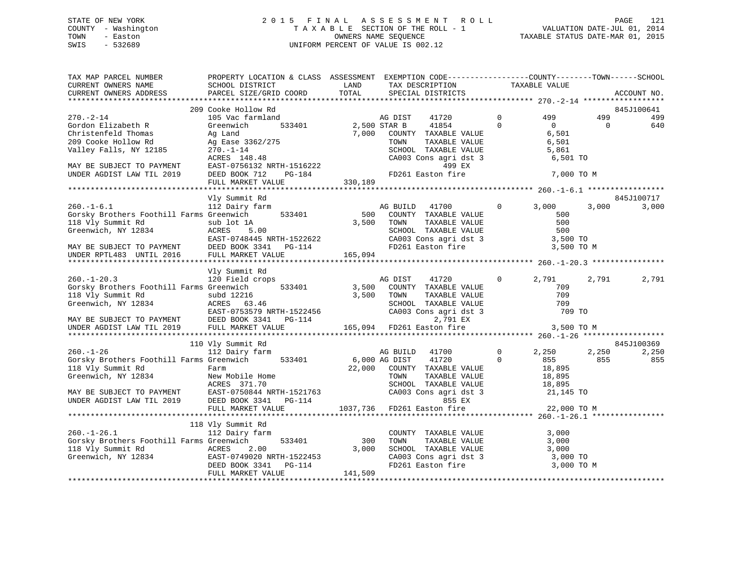## STATE OF NEW YORK 2 0 1 5 F I N A L A S S E S S M E N T R O L L PAGE 121 COUNTY - Washington T A X A B L E SECTION OF THE ROLL - 1 VALUATION DATE-JUL 01, 2014 TOWN - Easton OWNERS NAME SEQUENCE TAXABLE STATUS DATE-MAR 01, 2015 SWIS - 532689 UNIFORM PERCENT OF VALUE IS 002.12

| TAX MAP PARCEL NUMBER<br>CURRENT OWNERS NAME<br>CURRENT OWNERS ADDRESS                                                                                                                                                                                                                             | PROPERTY LOCATION & CLASS ASSESSMENT EXEMPTION CODE---------------COUNTY-------TOWN------SCHOOL<br>SCHOOL DISTRICT<br>PARCEL SIZE/GRID COORD | LAND<br>TOTAL              |                 | TAX DESCRIPTION<br>SPECIAL DISTRICTS                                                                                                                                       |                            | TAXABLE VALUE                              |                 | ACCOUNT NO.  |
|----------------------------------------------------------------------------------------------------------------------------------------------------------------------------------------------------------------------------------------------------------------------------------------------------|----------------------------------------------------------------------------------------------------------------------------------------------|----------------------------|-----------------|----------------------------------------------------------------------------------------------------------------------------------------------------------------------------|----------------------------|--------------------------------------------|-----------------|--------------|
|                                                                                                                                                                                                                                                                                                    |                                                                                                                                              |                            |                 |                                                                                                                                                                            |                            |                                            |                 |              |
|                                                                                                                                                                                                                                                                                                    | 209 Cooke Hollow Rd                                                                                                                          |                            |                 |                                                                                                                                                                            |                            |                                            |                 | 845J100641   |
| $270. - 2 - 14$<br>Gordon Elizabeth R<br>Christenfeld Thomas<br>209 Cooke Hollow Rd<br>Valley Falls, NY 12185 270.-1-14                                                                                                                                                                            | 105 Vac farmland<br>533401 2,500 STAR B<br>Greenwich<br>Ag Land<br>Ag Ease 3362/275                                                          |                            | AG DIST<br>TOWN | 41720<br>41854<br>7,000 COUNTY TAXABLE VALUE<br>TAXABLE VALUE<br>SCHOOL TAXABLE VALUE                                                                                      | $\overline{0}$<br>$\Omega$ | 499<br>$\Omega$<br>6,501<br>6,501<br>5,861 | 499<br>$\Omega$ | 499<br>640   |
| MAY BE SUBJECT TO PAYMENT<br>UNDER AGDIST LAW TIL 2019                                                                                                                                                                                                                                             | 270.-1-14<br>ACRES 148.48<br>EAST-0756132 NRTH-1516222<br>DEED BOOK 712 PG-184 PO261 Easton fire                                             |                            |                 | CA003 Cons agri dst 3<br>499 EX                                                                                                                                            |                            | 6,501 TO<br>7,000 TO M                     |                 |              |
|                                                                                                                                                                                                                                                                                                    | FULL MARKET VALUE                                                                                                                            | 330,189                    |                 |                                                                                                                                                                            |                            |                                            |                 |              |
|                                                                                                                                                                                                                                                                                                    |                                                                                                                                              |                            |                 |                                                                                                                                                                            |                            |                                            |                 |              |
|                                                                                                                                                                                                                                                                                                    | Vly Summit Rd                                                                                                                                |                            |                 |                                                                                                                                                                            |                            |                                            |                 | 845J100717   |
| $260. -1 - 6.1$<br>Gorsky Brothers Foothill Farms Greenwich 533401<br>118 Vly Summit Rd sub lot 1A<br>Greenwich. NY 12834 ACRES 5.00<br>0, 1, 100<br>MAY BE SUBJECT TO PAYMENT EAST-0748445 NRTH-1522622<br>UNDER RPTL483 UNTIL 2016 FULL MARKET VALUE                                             | 112 Dairy farm<br>sub lot 1A<br>ACRES 5.00                                                                                                   |                            |                 | AG BUILD 41700<br>500 COUNTY TAXABLE VALUE 500<br>3,500 TOWN TAXABLE VALUE 500<br>SCHOOL TAXABLE VALUE 500<br>CA003 CONS agri dst 3 3,500 TO<br>TACL Fast.on fire 3,500 TO |                            |                                            | 3,000           | 3,000        |
|                                                                                                                                                                                                                                                                                                    |                                                                                                                                              | 165,094                    |                 |                                                                                                                                                                            |                            | 3,500 TO M                                 |                 |              |
|                                                                                                                                                                                                                                                                                                    | Vly Summit Rd                                                                                                                                |                            |                 |                                                                                                                                                                            |                            |                                            |                 |              |
| $260. - 1 - 20.3$<br>Gorsky Brothers Foothill Farms Greenwich<br>118 Vly Summit Rd<br>Greenwich, NY 12834<br>MAY BE SUBJECT TO PAYMENT<br>UNDER AGDIST LAW TIL 2019                                                                                                                                | 120 Field crops<br>subd 12216 5,500<br>ACRES 63.46 5,500<br>EAST-0753579 NRTH-1522456<br>DEED BOOK 3341 PG-114                               | 533401 3,500<br>3,500 TOWN | AG DIST 41720   | COUNTY TAXABLE VALUE<br>TAXABLE VALUE<br>SCHOOL TAXABLE VALUE<br>CA003 Cons agri dst 3<br>2,791 EX                                                                         | $\overline{0}$             | 2,791<br>709<br>709<br>709<br>709 TO       | 2,791           | 2,791        |
|                                                                                                                                                                                                                                                                                                    | FULL MARKET VALUE                                                                                                                            |                            |                 | $165,094$ FD261 Easton fire                                                                                                                                                |                            | 3,500 TO M                                 |                 |              |
|                                                                                                                                                                                                                                                                                                    | 110 Vly Summit Rd                                                                                                                            |                            |                 |                                                                                                                                                                            |                            |                                            |                 | 845J100369   |
| $260. - 1 - 26$<br>Gorsky Brothers Foothill Farms Greenwich 533401 6,000 AG DIST<br>118 Vly Summit Rd<br>Greenwich, NY 12834 New Mobile Home<br>ACRES 371.70<br>MAY BE SUBJECT TO PAYMENT<br>UNDER AGDIST LAW TIL 2019 DEED BOOK 3341 PG-114<br>THE MORE AGDIST LAW TIL 2019 DEED BOOK 3341 PG-114 | 112 Dairy farm                                                                                                                               |                            | AG BUILD 41700  | $\overline{0}$<br>41720<br>22,000 COUNTY TAXABLE VALUE<br>TOWN TAXABLE VALUE 18,895<br>SCHOOL TAXABLE VALUE 18,895<br>CA003 Cons agri dst 3 21,145 TO<br>855 EX            | $\overline{0}$             | 2,250<br>855<br>18,895                     | 2,250<br>855    | 2,250<br>855 |
|                                                                                                                                                                                                                                                                                                    | FULL MARKET VALUE                                                                                                                            |                            |                 | 1037,736 FD261 Easton fire                                                                                                                                                 |                            | 22,000 TO M                                |                 |              |
|                                                                                                                                                                                                                                                                                                    |                                                                                                                                              |                            |                 |                                                                                                                                                                            |                            |                                            |                 |              |
| $260. - 1 - 26.1$<br>Gorsky Brothers Foothill Farms Greenwich<br>118 Vly Summit Rd<br>Greenwich, NY 12834<br>DEED BOOK 3341 PG-114                                                                                                                                                                 | 118 Vly Summit Rd<br>112 Dairy farm<br>533401<br>FULL MARKET VALUE                                                                           | 300<br>3,000<br>141,509    |                 | COUNTY TAXABLE VALUE<br>TOWN TAXABLE VALUE 3,000<br>SCHOOL TAXABLE VALUE 3,000<br>CA003 Cons agri dst 3 3,000 TO<br>FD261 Easton fire 3,000 TO M                           |                            | 3,000                                      |                 |              |
|                                                                                                                                                                                                                                                                                                    |                                                                                                                                              |                            |                 |                                                                                                                                                                            |                            |                                            |                 |              |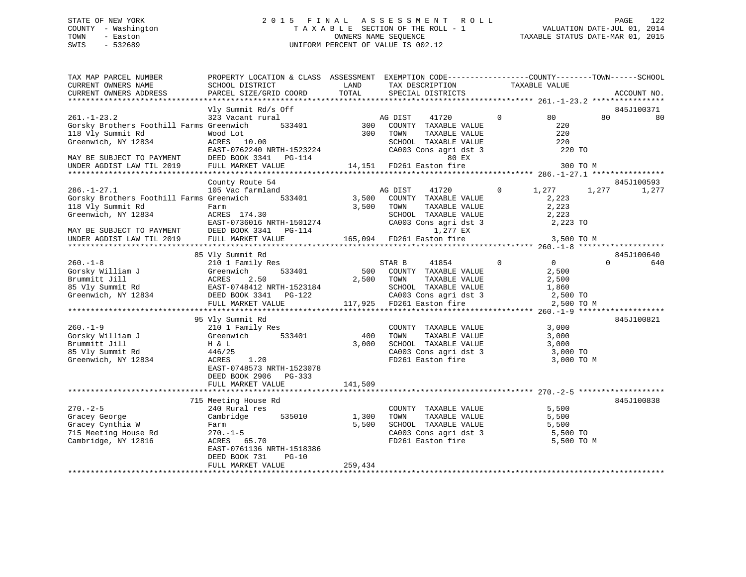## STATE OF NEW YORK 2 0 1 5 F I N A L A S S E S S M E N T R O L L PAGE 122 COUNTY - Washington T A X A B L E SECTION OF THE ROLL - 1 VALUATION DATE-JUL 01, 2014 TOWN - Easton **CONNERS NAME SEQUENCE** TAXABLE STATUS DATE-MAR 01, 2015 SWIS - 532689 UNIFORM PERCENT OF VALUE IS 002.12

| TAX MAP PARCEL NUMBER<br>CURRENT OWNERS NAME<br>CURRENT OWNERS ADDRESS                                                                                              | PROPERTY LOCATION & CLASS ASSESSMENT EXEMPTION CODE---------------COUNTY-------TOWN------SCHOOL<br>SCHOOL DISTRICT<br>PARCEL SIZE/GRID COORD                | LAND<br>TOTAL             | TAX DESCRIPTION<br>SPECIAL DISTRICTS                                                                                                                        | TAXABLE VALUE                                                             | ACCOUNT NO.                   |
|---------------------------------------------------------------------------------------------------------------------------------------------------------------------|-------------------------------------------------------------------------------------------------------------------------------------------------------------|---------------------------|-------------------------------------------------------------------------------------------------------------------------------------------------------------|---------------------------------------------------------------------------|-------------------------------|
|                                                                                                                                                                     |                                                                                                                                                             |                           |                                                                                                                                                             |                                                                           |                               |
| $261. - 1 - 23.2$<br>Gorsky Brothers Foothill Farms Greenwich<br>118 Vly Summit Rd<br>Greenwich, NY 12834<br>MAY BE SUBJECT TO PAYMENT                              | Vly Summit Rd/s Off<br>323 Vacant rural<br>533401<br>Wood Lot<br>ACRES 10.00<br>EAST-0762240 NRTH-1523224<br>DEED BOOK 3341<br>PG-114                       | 300<br>300                | 41720<br>AG DIST<br>COUNTY TAXABLE VALUE<br>TOWN<br>TAXABLE VALUE<br>SCHOOL TAXABLE VALUE<br>CA003 Cons agri dst 3<br>80 EX                                 | $\Omega$<br>80<br>220<br>220<br>220<br>220 TO                             | 845J100371<br>80<br>80        |
| UNDER AGDIST LAW TIL 2019                                                                                                                                           | FULL MARKET VALUE                                                                                                                                           |                           | 14,151 FD261 Easton fire                                                                                                                                    |                                                                           | 300 TO M                      |
| $286. - 1 - 27.1$<br>Gorsky Brothers Foothill Farms Greenwich<br>118 Vly Summit Rd<br>Greenwich, NY 12834<br>MAY BE SUBJECT TO PAYMENT<br>UNDER AGDIST LAW TIL 2019 | County Route 54<br>105 Vac farmland<br>533401<br>Farm<br>ACRES 174.30<br>EAST-0736016 NRTH-1501274<br>DEED BOOK 3341 PG-114<br>FULL MARKET VALUE            | 3,500<br>3,500            | AG DIST<br>41720<br>COUNTY TAXABLE VALUE<br>TAXABLE VALUE<br>TOWN<br>SCHOOL TAXABLE VALUE<br>CA003 Cons agri dst 3<br>1,277 EX<br>165,094 FD261 Easton fire | 1,277<br>$\Omega$<br>2,223<br>2,223<br>2,223<br>2,223 TO<br>3,500 TO M    | 845J100593<br>1,277<br>1,277  |
|                                                                                                                                                                     |                                                                                                                                                             |                           |                                                                                                                                                             |                                                                           |                               |
| $260. -1 - 8$<br>Gorsky William J<br>Brummitt Jill<br>85 Vly Summit Rd<br>Greenwich, NY 12834                                                                       | 85 Vly Summit Rd<br>210 1 Family Res<br>533401<br>Greenwich<br>2.50<br>ACRES<br>EAST-0748412 NRTH-1523184<br>DEED BOOK 3341<br>PG-122<br>FULL MARKET VALUE  | 500<br>2,500              | 41854<br>STAR B<br>COUNTY TAXABLE VALUE<br>TAXABLE VALUE<br>TOWN<br>SCHOOL TAXABLE VALUE<br>CA003 Cons agri dst 3<br>117,925 FD261 Easton fire              | $\Omega$<br>$\Omega$<br>2,500<br>2,500<br>1,860<br>2,500 TO<br>2,500 TO M | 845J100640<br>$\Omega$<br>640 |
|                                                                                                                                                                     |                                                                                                                                                             |                           |                                                                                                                                                             |                                                                           |                               |
| $260. -1 - 9$<br>Gorsky William J<br>Brummitt Jill<br>85 Vly Summit Rd<br>Greenwich, NY 12834                                                                       | 95 Vly Summit Rd<br>210 1 Family Res<br>Greenwich<br>533401<br>H & L<br>446/25<br>1.20<br>ACRES<br>EAST-0748573 NRTH-1523078<br>DEED BOOK 2906<br>$PG-333$  | 400<br>3,000              | COUNTY TAXABLE VALUE<br>TOWN<br>TAXABLE VALUE<br>SCHOOL TAXABLE VALUE<br>CA003 Cons agri dst 3<br>FD261 Easton fire                                         | 3,000<br>3,000<br>3,000<br>3,000 TO<br>3,000 TO M                         | 845J100821                    |
|                                                                                                                                                                     | FULL MARKET VALUE                                                                                                                                           | 141,509                   |                                                                                                                                                             |                                                                           |                               |
|                                                                                                                                                                     | 715 Meeting House Rd                                                                                                                                        |                           |                                                                                                                                                             |                                                                           | 845J100838                    |
| $270. - 2 - 5$<br>Gracey George<br>Gracey Cynthia W<br>715 Meeting House Rd<br>Cambridge, NY 12816<br>**********************                                        | 240 Rural res<br>Cambridge<br>535010<br>Farm<br>$270. - 1 - 5$<br>ACRES 65.70<br>EAST-0761136 NRTH-1518386<br>DEED BOOK 731<br>$PG-10$<br>FULL MARKET VALUE | 1,300<br>5,500<br>259,434 | COUNTY TAXABLE VALUE<br>TOWN<br>TAXABLE VALUE<br>SCHOOL TAXABLE VALUE<br>CA003 Cons agri dst 3<br>FD261 Easton fire                                         | 5,500<br>5,500<br>5,500<br>5,500 TO<br>5,500 TO M                         |                               |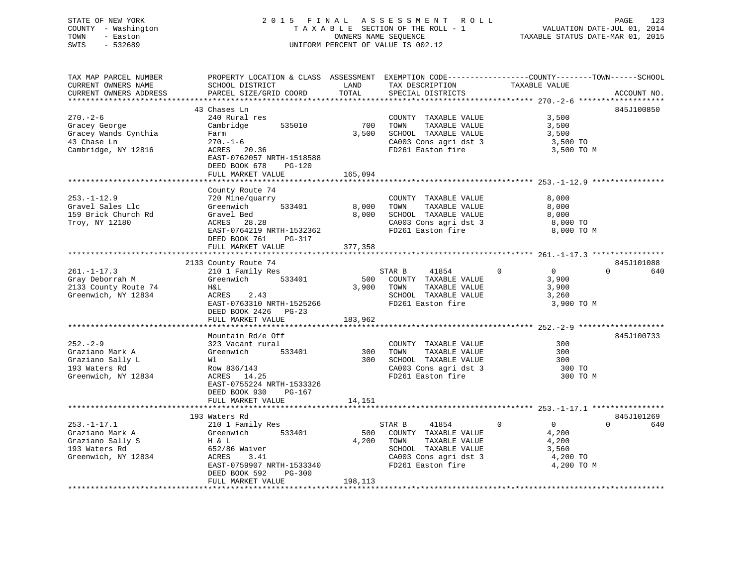## STATE OF NEW YORK 2 0 1 5 F I N A L A S S E S S M E N T R O L L PAGE 123 COUNTY - Washington T A X A B L E SECTION OF THE ROLL - 1 VALUATION DATE-JUL 01, 2014 TOWN - Easton OWNERS NAME SEQUENCE TAXABLE STATUS DATE-MAR 01, 2015 SWIS - 532689 UNIFORM PERCENT OF VALUE IS 002.12

| TAX MAP PARCEL NUMBER<br>CURRENT OWNERS NAME<br>CURRENT OWNERS ADDRESS                           | PROPERTY LOCATION & CLASS ASSESSMENT<br>SCHOOL DISTRICT<br>PARCEL SIZE/GRID COORD                                                                                                | LAND<br>TOTAL             | EXEMPTION CODE-----------------COUNTY-------TOWN------SCHOOL<br>TAX DESCRIPTION<br>SPECIAL DISTRICTS                                   | TAXABLE VALUE                                                                      | ACCOUNT NO.                   |
|--------------------------------------------------------------------------------------------------|----------------------------------------------------------------------------------------------------------------------------------------------------------------------------------|---------------------------|----------------------------------------------------------------------------------------------------------------------------------------|------------------------------------------------------------------------------------|-------------------------------|
| $270. - 2 - 6$<br>Gracey George<br>Gracey Wands Cynthia<br>43 Chase Ln<br>Cambridge, NY 12816    | 43 Chases Ln<br>240 Rural res<br>Cambridge<br>535010<br>Farm<br>$270. - 1 - 6$<br>ACRES 20.36<br>EAST-0762057 NRTH-1518588<br>DEED BOOK 678<br>PG-120<br>FULL MARKET VALUE       | 700<br>3,500<br>165,094   | COUNTY TAXABLE VALUE<br>TOWN<br>TAXABLE VALUE<br>SCHOOL TAXABLE VALUE<br>CA003 Cons agri dst 3<br>FD261 Easton fire                    | 3,500<br>3,500<br>3,500<br>3,500 TO<br>3,500 TO M                                  | 845J100850                    |
| $253. - 1 - 12.9$<br>Gravel Sales Llc<br>159 Brick Church Rd<br>Troy, NY 12180                   | County Route 74<br>720 Mine/quarry<br>533401<br>Greenwich<br>Gravel Bed<br>ACRES 28.28<br>EAST-0764219 NRTH-1532362<br>DEED BOOK 761<br>PG-317<br>FULL MARKET VALUE              | 8,000<br>8,000<br>377,358 | COUNTY TAXABLE VALUE<br>TAXABLE VALUE<br>TOWN<br>SCHOOL TAXABLE VALUE<br>CA003 Cons agri dst 3<br>FD261 Easton fire                    | 8,000<br>8,000<br>8,000<br>8,000 TO<br>8,000 TO M                                  |                               |
| $261. - 1 - 17.3$<br>Gray Deborrah M<br>2133 County Route 74<br>Greenwich, NY 12834              | 2133 County Route 74<br>210 1 Family Res<br>533401<br>Greenwich<br>H&L<br><b>ACRES</b><br>2.43<br>EAST-0763310 NRTH-1525266<br>DEED BOOK 2426<br>$PG-23$<br>FULL MARKET VALUE    | 500<br>3,900<br>183,962   | STAR B<br>41854<br>COUNTY TAXABLE VALUE<br>TAXABLE VALUE<br>TOWN<br>SCHOOL TAXABLE VALUE<br>FD261 Easton fire                          | $\Omega$<br>$\overline{0}$<br>3,900<br>3,900<br>3,260<br>3,900 TO M                | 845J101088<br>$\Omega$<br>640 |
| $252 - 2 - 9$<br>Graziano Mark A<br>Graziano Sally L<br>193 Waters Rd<br>Greenwich, NY 12834     | Mountain Rd/e Off<br>323 Vacant rural<br>Greenwich<br>533401<br>Wl<br>Row 836/143<br>ACRES 14.25<br>EAST-0755224 NRTH-1533326<br>DEED BOOK 930<br>$PG-167$<br>FULL MARKET VALUE  | 300<br>300<br>14,151      | COUNTY TAXABLE VALUE<br>TAXABLE VALUE<br>TOWN<br>SCHOOL TAXABLE VALUE<br>CA003 Cons agri dst 3<br>FD261 Easton fire                    | 300<br>300<br>300<br>300 TO<br>300 TO M                                            | 845J100733                    |
| $253. - 1 - 17.1$<br>Graziano Mark A<br>Graziano Sally S<br>193 Waters Rd<br>Greenwich, NY 12834 | 193 Waters Rd<br>210 1 Family Res<br>Greenwich<br>533401<br>H & L<br>652/86 Waiver<br>ACRES<br>3.41<br>EAST-0759907 NRTH-1533340<br>DEED BOOK 592<br>PG-300<br>FULL MARKET VALUE | 500<br>4,200<br>198,113   | STAR B<br>41854<br>COUNTY TAXABLE VALUE<br>TOWN<br>TAXABLE VALUE<br>SCHOOL TAXABLE VALUE<br>CA003 Cons agri dst 3<br>FD261 Easton fire | $\mathbf 0$<br>$\overline{0}$<br>4,200<br>4,200<br>3,560<br>4,200 TO<br>4,200 TO M | 845J101269<br>$\Omega$<br>640 |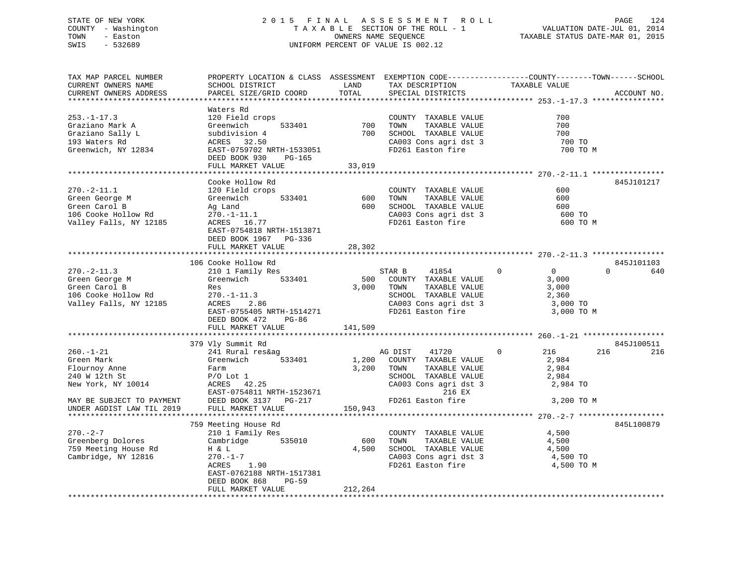## STATE OF NEW YORK 2 0 1 5 F I N A L A S S E S S M E N T R O L L PAGE 124 COUNTY - Washington T A X A B L E SECTION OF THE ROLL - 1 VALUATION DATE-JUL 01, 2014 TOWN - Easton OWNERS NAME SEQUENCE TAXABLE STATUS DATE-MAR 01, 2015 SWIS - 532689 UNIFORM PERCENT OF VALUE IS 002.12

| TAX MAP PARCEL NUMBER<br>CURRENT OWNERS NAME                                                          | PROPERTY LOCATION & CLASS ASSESSMENT EXEMPTION CODE----------------COUNTY-------TOWN-----SCHOOL<br>SCHOOL DISTRICT                                                                            | LAND                        | TAX DESCRIPTION                                                                                                                                   | TAXABLE VALUE                                                                   |                               |
|-------------------------------------------------------------------------------------------------------|-----------------------------------------------------------------------------------------------------------------------------------------------------------------------------------------------|-----------------------------|---------------------------------------------------------------------------------------------------------------------------------------------------|---------------------------------------------------------------------------------|-------------------------------|
| CURRENT OWNERS ADDRESS                                                                                | PARCEL SIZE/GRID COORD                                                                                                                                                                        | TOTAL                       | SPECIAL DISTRICTS                                                                                                                                 |                                                                                 | ACCOUNT NO.                   |
|                                                                                                       | Waters Rd                                                                                                                                                                                     |                             |                                                                                                                                                   |                                                                                 |                               |
| $253. - 1 - 17.3$<br>Graziano Mark A<br>Graziano Sally L<br>193 Waters Rd<br>Greenwich, NY 12834      | 120 Field crops<br>Greenwich<br>subdivision 4<br>ACRES 32.50<br>EAST-0759702 NRTH-1533051<br>DEED BOOK 930<br>PG-165<br>FULL MARKET VALUE                                                     | 533401 700<br>700<br>33,019 | COUNTY TAXABLE VALUE<br>TAXABLE VALUE<br>TOWN<br>SCHOOL TAXABLE VALUE<br>CA003 Cons agri dst 3<br>FD261 Easton fire                               | 700<br>700<br>700<br>700 TO<br>700 TO M                                         |                               |
|                                                                                                       |                                                                                                                                                                                               |                             |                                                                                                                                                   |                                                                                 |                               |
| $270. - 2 - 11.1$<br>Green George M<br>Green Carol B<br>106 Cooke Hollow Rd<br>Valley Falls, NY 12185 | Cooke Hollow Rd<br>120 Field crops<br>533401<br>Greenwich<br>Ag Land<br>$270. - 1 - 11.1$<br>ACRES 16.77<br>EAST-0754818 NRTH-1513871<br>DEED BOOK 1967 PG-336<br>FULL MARKET VALUE           | 600<br>28,302               | COUNTY TAXABLE VALUE<br>TOWN<br>TAXABLE VALUE<br>600 SCHOOL TAXABLE VALUE<br>CA003 Cons agri dst 3<br>FD261 Easton fire                           | 600<br>600<br>600<br>600 TO<br>600 TO M                                         | 845J101217                    |
|                                                                                                       |                                                                                                                                                                                               |                             |                                                                                                                                                   |                                                                                 |                               |
| $270. - 2 - 11.3$<br>Green George M<br>Green Carol B<br>106 Cooke Hollow Rd<br>Valley Falls, NY 12185 | 106 Cooke Hollow Rd<br>210 1 Family Res<br>533401<br>Greenwich<br>Res<br>$270. - 1 - 11.3$<br>ACRES<br>2.86<br>EAST-0755405 NRTH-1514271<br>DEED BOOK 472<br>PG-86<br>FULL MARKET VALUE       | 141,509                     | 41854<br>STAR B<br>500 COUNTY TAXABLE VALUE<br>3,000 TOWN<br>TAXABLE VALUE<br>SCHOOL TAXABLE VALUE<br>CA003 Cons agri dst 3<br>FD261 Easton fire  | $\Omega$<br>$\overline{0}$<br>3,000<br>3,000<br>2,360<br>3,000 TO<br>3,000 TO M | 845J101103<br>640<br>$\Omega$ |
|                                                                                                       | 379 Vly Summit Rd                                                                                                                                                                             |                             |                                                                                                                                                   |                                                                                 | 845J100511                    |
| $260. - 1 - 21$<br>Green Mark<br>Flournoy Anne<br>240 W 12th St<br>New York, NY 10014                 | 241 Rural res&ag<br>Greenwich<br>533401<br>Farm<br>$P/O$ Lot $1$<br>$\frac{1}{42.25}$<br>ACRES<br>EAST-0754811 NRTH-1523671<br>DEED BOOK 3137 PG-217                                          | 1,200<br>3,200<br>FD261 E   | AG DIST<br>41720<br>COUNTY TAXABLE VALUE<br>TOWN<br>TAXABLE VALUE<br>SCHOOL TAXABLE VALUE<br>CA003 Cons agri dst 3<br>216 EX<br>FD261 Easton fire | $\mathbf{0}$<br>216<br>2,984<br>2,984<br>2,984<br>2,984 TO<br>3,200 TO M        | 216<br>216                    |
| MAY BE SUBJECT TO PAYMENT<br>UNDER AGDIST LAW TIL 2019                                                | FULL MARKET VALUE                                                                                                                                                                             | 150,943                     |                                                                                                                                                   |                                                                                 |                               |
|                                                                                                       |                                                                                                                                                                                               |                             |                                                                                                                                                   |                                                                                 |                               |
| $270. - 2 - 7$<br>Greenberg Dolores<br>759 Meeting House Rd<br>Cambridge, NY 12816                    | 759 Meeting House Rd<br>210 1 Family Res<br>Cambridge<br>535010<br>H & L<br>$\frac{7}{1.90}$<br>270.-1-7<br>ACRES<br>EAST-0762188 NRTH-1517381<br>DEED BOOK 868<br>PG-59<br>FULL MARKET VALUE | 600<br>4,500<br>212,264     | COUNTY TAXABLE VALUE<br>TOWN<br>TAXABLE VALUE<br>SCHOOL TAXABLE VALUE<br>CA003 Cons agri dst 3<br>FD261 Easton fire                               | 4,500<br>4,500<br>4,500<br>4,500 TO<br>4,500 TO M                               | 845L100879                    |
|                                                                                                       |                                                                                                                                                                                               |                             |                                                                                                                                                   |                                                                                 |                               |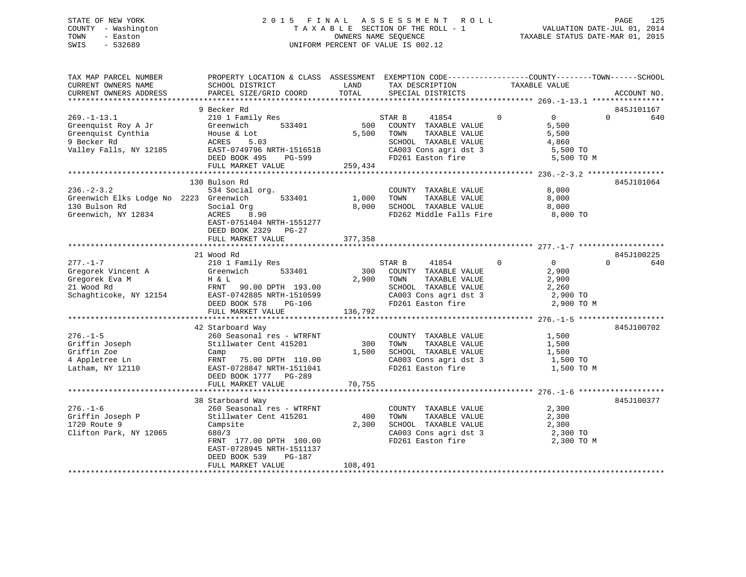## STATE OF NEW YORK 2 0 1 5 F I N A L A S S E S S M E N T R O L L PAGE 125 COUNTY - Washington T A X A B L E SECTION OF THE ROLL - 1 VALUATION DATE-JUL 01, 2014 TOWN - Easton OWNERS NAME SEQUENCE TAXABLE STATUS DATE-MAR 01, 2015 SWIS - 532689 UNIFORM PERCENT OF VALUE IS 002.12

| TAX MAP PARCEL NUMBER<br>CURRENT OWNERS NAME<br>CURRENT OWNERS ADDRESS | PROPERTY LOCATION & CLASS ASSESSMENT<br>SCHOOL DISTRICT<br>PARCEL SIZE/GRID COORD | LAND<br>TOTAL | EXEMPTION CODE-----------------COUNTY-------TOWN------SCHOOL<br>TAX DESCRIPTION<br>SPECIAL DISTRICTS | TAXABLE VALUE                    | ACCOUNT NO.     |
|------------------------------------------------------------------------|-----------------------------------------------------------------------------------|---------------|------------------------------------------------------------------------------------------------------|----------------------------------|-----------------|
|                                                                        |                                                                                   |               |                                                                                                      |                                  |                 |
|                                                                        | 9 Becker Rd                                                                       |               |                                                                                                      |                                  | 845J101167      |
| $269. - 1 - 13.1$                                                      | 210 1 Family Res                                                                  |               | STAR B<br>41854                                                                                      | $\overline{0}$<br>$\overline{0}$ | $\Omega$<br>640 |
| Greenquist Roy A Jr                                                    | Greenwich<br>533401                                                               | 500           | COUNTY TAXABLE VALUE                                                                                 | 5,500                            |                 |
| Greenquist Cynthia                                                     | House & Lot                                                                       | 5,500         | TOWN<br>TAXABLE VALUE                                                                                | 5,500                            |                 |
| 9 Becker Rd                                                            | ACRES<br>5.03                                                                     |               | SCHOOL TAXABLE VALUE                                                                                 | 4,860                            |                 |
| Valley Falls, NY 12185                                                 | EAST-0749796 NRTH-1516518                                                         |               | CA003 Cons agri dst 3                                                                                | 5,500 TO                         |                 |
|                                                                        | DEED BOOK 495<br>PG-599                                                           |               | FD261 Easton fire                                                                                    | 5,500 TO M                       |                 |
|                                                                        | FULL MARKET VALUE                                                                 | 259,434       |                                                                                                      |                                  |                 |
|                                                                        |                                                                                   |               |                                                                                                      |                                  |                 |
|                                                                        | 130 Bulson Rd                                                                     |               |                                                                                                      |                                  | 845J101064      |
| $236. - 2 - 3.2$                                                       | 534 Social org.                                                                   |               | COUNTY TAXABLE VALUE                                                                                 | 8,000                            |                 |
| Greenwich Elks Lodge No 2223 Greenwich                                 | 533401                                                                            | 1,000         | TOWN<br>TAXABLE VALUE                                                                                | 8,000                            |                 |
| 130 Bulson Rd                                                          | Social Org                                                                        | 8,000         | SCHOOL TAXABLE VALUE                                                                                 | 8,000                            |                 |
| Greenwich, NY 12834                                                    | ACRES<br>8.90                                                                     |               | FD262 Middle Falls Fire                                                                              | 8,000 TO                         |                 |
|                                                                        | EAST-0751404 NRTH-1551277                                                         |               |                                                                                                      |                                  |                 |
|                                                                        | DEED BOOK 2329 PG-27                                                              |               |                                                                                                      |                                  |                 |
|                                                                        | FULL MARKET VALUE                                                                 | 377,358       |                                                                                                      |                                  |                 |
|                                                                        |                                                                                   |               |                                                                                                      |                                  |                 |
|                                                                        | 21 Wood Rd                                                                        |               |                                                                                                      |                                  | 845J100225      |
| $277. - 1 - 7$                                                         | 210 1 Family Res                                                                  |               | 41854<br>STAR B                                                                                      | $\Omega$<br>$\Omega$             | 640<br>$\Omega$ |
| Gregorek Vincent A                                                     | 533401<br>Greenwich                                                               | 300           | COUNTY TAXABLE VALUE                                                                                 | 2,900                            |                 |
| Gregorek Eva M                                                         | H & L                                                                             | 2,900         | TOWN<br>TAXABLE VALUE                                                                                | 2,900                            |                 |
| 21 Wood Rd                                                             | FRNT<br>90.00 DPTH 193.00                                                         |               | SCHOOL TAXABLE VALUE                                                                                 | 2,260                            |                 |
| Schaghticoke, NY 12154                                                 | EAST-0742885 NRTH-1510599                                                         |               | CA003 Cons agri dst 3                                                                                | 2,900 TO                         |                 |
|                                                                        | DEED BOOK 578<br>PG-106                                                           |               | FD261 Easton fire                                                                                    | 2,900 TO M                       |                 |
|                                                                        | FULL MARKET VALUE                                                                 | 136,792       |                                                                                                      |                                  |                 |
|                                                                        |                                                                                   |               |                                                                                                      |                                  |                 |
|                                                                        | 42 Starboard Way                                                                  |               |                                                                                                      |                                  | 845J100702      |
| $276. - 1 - 5$                                                         | 260 Seasonal res - WTRFNT                                                         |               | COUNTY TAXABLE VALUE                                                                                 | 1,500                            |                 |
| Griffin Joseph                                                         | Stillwater Cent 415201                                                            | 300           | TOWN<br>TAXABLE VALUE                                                                                | 1,500                            |                 |
| Griffin Zoe                                                            | Camp                                                                              | 1,500         | SCHOOL TAXABLE VALUE                                                                                 | 1,500                            |                 |
| 4 Appletree Ln                                                         | FRNT<br>75.00 DPTH 110.00                                                         |               | CA003 Cons agri dst 3                                                                                | 1,500 TO                         |                 |
| Latham, NY 12110                                                       | EAST-0728847 NRTH-1511041                                                         |               | FD261 Easton fire                                                                                    | 1,500 TO M                       |                 |
|                                                                        | DEED BOOK 1777 PG-289                                                             |               |                                                                                                      |                                  |                 |
|                                                                        | FULL MARKET VALUE                                                                 | 70,755        |                                                                                                      |                                  |                 |
|                                                                        |                                                                                   |               |                                                                                                      |                                  |                 |
|                                                                        | 38 Starboard Way                                                                  |               |                                                                                                      |                                  | 845J100377      |
| $276. - 1 - 6$                                                         | 260 Seasonal res - WTRFNT                                                         |               | COUNTY TAXABLE VALUE                                                                                 | 2,300                            |                 |
| Griffin Joseph P                                                       | Stillwater Cent 415201                                                            | 400           | TOWN<br>TAXABLE VALUE                                                                                | 2,300                            |                 |
| 1720 Route 9                                                           | Campsite                                                                          | 2,300         | SCHOOL TAXABLE VALUE                                                                                 | 2,300                            |                 |
| Clifton Park, NY 12065                                                 | 680/3                                                                             |               | CA003 Cons agri dst 3                                                                                | 2,300 TO                         |                 |
|                                                                        | FRNT 177.00 DPTH 100.00                                                           |               | FD261 Easton fire                                                                                    | 2,300 TO M                       |                 |
|                                                                        | EAST-0728945 NRTH-1511137                                                         |               |                                                                                                      |                                  |                 |
|                                                                        | DEED BOOK 539<br>PG-187                                                           |               |                                                                                                      |                                  |                 |
|                                                                        | FULL MARKET VALUE                                                                 | 108,491       |                                                                                                      |                                  |                 |
|                                                                        |                                                                                   |               |                                                                                                      |                                  |                 |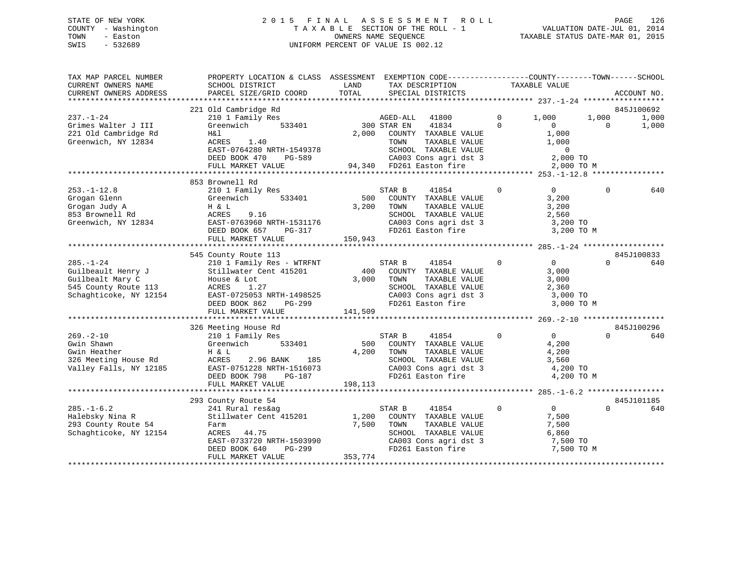## STATE OF NEW YORK 2 0 1 5 F I N A L A S S E S S M E N T R O L L PAGE 126 COUNTY - Washington T A X A B L E SECTION OF THE ROLL - 1 VALUATION DATE-JUL 01, 2014 TOWN - Easton **CONNERS NAME SEQUENCE** TAXABLE STATUS DATE-MAR 01, 2015 SWIS - 532689 UNIFORM PERCENT OF VALUE IS 002.12

| TAX MAP PARCEL NUMBER<br>CURRENT OWNERS NAME                                                                | PROPERTY LOCATION & CLASS ASSESSMENT EXEMPTION CODE---------------COUNTY-------TOWN------SCHOOL<br>SCHOOL DISTRICT                                                                 | LAND                      | TAX DESCRIPTION                                                                                                                        | TAXABLE VALUE                                                     |                                                         |
|-------------------------------------------------------------------------------------------------------------|------------------------------------------------------------------------------------------------------------------------------------------------------------------------------------|---------------------------|----------------------------------------------------------------------------------------------------------------------------------------|-------------------------------------------------------------------|---------------------------------------------------------|
| CURRENT OWNERS ADDRESS                                                                                      | PARCEL SIZE/GRID COORD                                                                                                                                                             | TOTAL                     | SPECIAL DISTRICTS                                                                                                                      |                                                                   | ACCOUNT NO.                                             |
|                                                                                                             | 221 Old Cambridge Rd                                                                                                                                                               |                           |                                                                                                                                        |                                                                   | 845J100692                                              |
| $237. - 1 - 24$<br>Grimes Walter J III<br>221 Old Cambridge Rd<br>Greenwich, NY 12834                       | 210 1 Family Res<br>533401<br>Greenwich<br>H&l<br>ACRES<br>1.40<br>EAST-0764280 NRTH-1549378                                                                                       | 2,000                     | AGED-ALL 41800<br>41834<br>300 STAR EN<br>COUNTY TAXABLE VALUE<br>TOWN<br>TAXABLE VALUE<br>SCHOOL TAXABLE VALUE                        | $\overline{0}$<br>1,000<br>$\Omega$<br>$\Omega$<br>1,000<br>1,000 | 1,000<br>1,000<br>$\Omega$<br>1,000<br>$\mathbf 0$      |
|                                                                                                             | DEED BOOK 470<br>PG-589<br>FULL MARKET VALUE                                                                                                                                       |                           | CA003 Cons agri dst 3<br>94,340 FD261 Easton fire                                                                                      | 2,000 TO                                                          | 2,000 TO M                                              |
|                                                                                                             |                                                                                                                                                                                    |                           |                                                                                                                                        |                                                                   |                                                         |
| $253. - 1 - 12.8$<br>Grogan Glenn<br>Grogan Judy A<br>853 Brownell Rd<br>Greenwich, NY 12834                | 853 Brownell Rd<br>210 1 Family Res<br>Greenwich<br>533401<br>H & L<br>ACRES<br>9.16<br>EAST-0763960 NRTH-1531176<br>DEED BOOK 657<br>PG-317<br>FULL MARKET VALUE                  | 500<br>3,200<br>150,943   | 41854<br>STAR B<br>COUNTY TAXABLE VALUE<br>TOWN<br>TAXABLE VALUE<br>SCHOOL TAXABLE VALUE<br>CA003 Cons agri dst 3<br>FD261 Easton fire | $\Omega$<br>$\overline{0}$<br>3,200<br>3,200<br>2,560             | $\Omega$<br>640<br>3,200 TO<br>3,200 TO M               |
|                                                                                                             |                                                                                                                                                                                    |                           |                                                                                                                                        |                                                                   | 845J100833                                              |
| $285. - 1 - 24$<br>Guilbeault Henry J<br>Guilbealt Mary C<br>545 County Route 113<br>Schaghticoke, NY 12154 | 545 County Route 113<br>210 1 Family Res - WTRFNT<br>Stillwater Cent 415201<br>House & Lot<br>ACRES<br>1.27<br>EAST-0725053 NRTH-1498525<br>DEED BOOK 862<br>PG-299                | 400<br>3,000              | STAR B<br>41854<br>COUNTY TAXABLE VALUE<br>TOWN<br>TAXABLE VALUE<br>SCHOOL TAXABLE VALUE<br>CA003 Cons agri dst 3<br>FD261 Easton fire | $\Omega$<br>$0 \qquad \qquad$<br>3,000<br>3,000<br>2,360          | $\Omega$<br>640<br>3,000 TO<br>3,000 TO M               |
|                                                                                                             | FULL MARKET VALUE                                                                                                                                                                  | 141,509                   |                                                                                                                                        |                                                                   |                                                         |
| $269. - 2 - 10$<br>Gwin Shawn<br>Gwin Heather<br>326 Meeting House Rd<br>Valley Falls, NY 12185             | 326 Meeting House Rd<br>210 1 Family Res<br>533401<br>Greenwich<br>H & L<br>ACRES<br>2.96 BANK<br>185<br>EAST-0751228 NRTH-1516073<br>PG-187<br>DEED BOOK 798<br>FULL MARKET VALUE | 500<br>4,200<br>198,113   | 41854<br>STAR B<br>COUNTY TAXABLE VALUE<br>TOWN<br>TAXABLE VALUE<br>SCHOOL TAXABLE VALUE<br>CA003 Cons agri dst 3<br>FD261 Easton fire | $\Omega$<br>$\Omega$<br>4,200<br>4,200<br>3,560                   | 845J100296<br>$\Omega$<br>640<br>4,200 TO<br>4,200 TO M |
|                                                                                                             | 293 County Route 54                                                                                                                                                                |                           |                                                                                                                                        |                                                                   | 845J101185                                              |
| $285. - 1 - 6.2$<br>Halebsky Nina R<br>293 County Route 54<br>Schaghticoke, NY 12154                        | 241 Rural res&ag<br>Stillwater Cent 415201<br>Farm<br>ACRES<br>44.75<br>EAST-0733720 NRTH-1503990<br>DEED BOOK 640<br>PG-299<br>FULL MARKET VALUE                                  | 1,200<br>7,500<br>353,774 | 41854<br>STAR B<br>COUNTY TAXABLE VALUE<br>TOWN<br>TAXABLE VALUE<br>SCHOOL TAXABLE VALUE<br>CA003 Cons agri dst 3<br>FD261 Easton fire | $\overline{0}$<br>$\mathbf{0}$<br>7,500<br>7,500<br>6,860         | $\Omega$<br>640<br>7,500 TO<br>7,500 TO M               |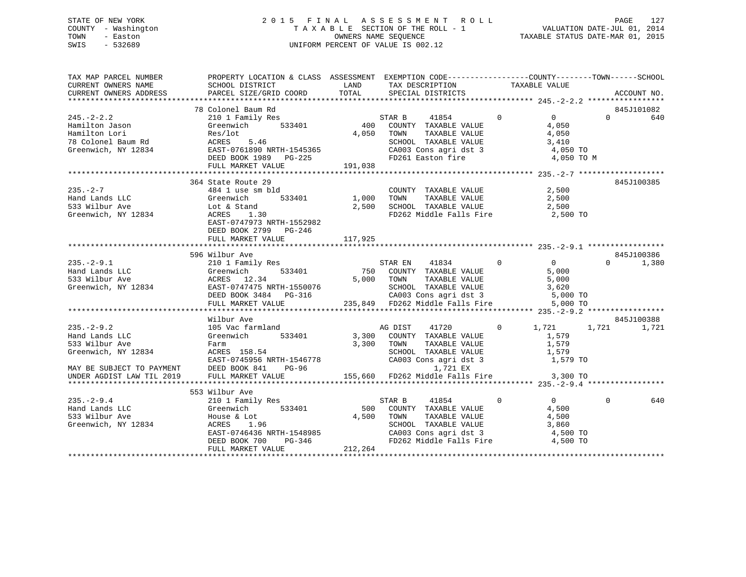## STATE OF NEW YORK 2 0 1 5 F I N A L A S S E S S M E N T R O L L PAGE 127 COUNTY - Washington T A X A B L E SECTION OF THE ROLL - 1 VALUATION DATE-JUL 01, 2014 TOWN - Easton OWNERS NAME SEQUENCE TAXABLE STATUS DATE-MAR 01, 2015 SWIS - 532689 UNIFORM PERCENT OF VALUE IS 002.12

| TAX MAP PARCEL NUMBER<br>CURRENT OWNERS NAME | PROPERTY LOCATION & CLASS ASSESSMENT EXEMPTION CODE---------------COUNTY-------TOWN-----SCHOOL                                                                                                                                       |            |                                                                                                                                                                                                  |              |                                |                   |
|----------------------------------------------|--------------------------------------------------------------------------------------------------------------------------------------------------------------------------------------------------------------------------------------|------------|--------------------------------------------------------------------------------------------------------------------------------------------------------------------------------------------------|--------------|--------------------------------|-------------------|
| CURRENT OWNERS ADDRESS                       |                                                                                                                                                                                                                                      |            |                                                                                                                                                                                                  |              |                                | ACCOUNT NO.       |
|                                              |                                                                                                                                                                                                                                      |            |                                                                                                                                                                                                  |              |                                |                   |
|                                              | 78 Colonel Baum Rd                                                                                                                                                                                                                   |            |                                                                                                                                                                                                  |              |                                | 845J101082        |
|                                              |                                                                                                                                                                                                                                      |            |                                                                                                                                                                                                  |              | $\overline{0}$                 | $\Omega$<br>640   |
|                                              |                                                                                                                                                                                                                                      |            |                                                                                                                                                                                                  |              | 4,050                          |                   |
|                                              |                                                                                                                                                                                                                                      |            |                                                                                                                                                                                                  |              | $\frac{4}{3}, \frac{050}{410}$ |                   |
|                                              |                                                                                                                                                                                                                                      |            |                                                                                                                                                                                                  |              |                                |                   |
|                                              |                                                                                                                                                                                                                                      |            | SCHOOL TAXABLE VALUE 3,410<br>CA003 Cons agri dst 3 4,050 TO                                                                                                                                     |              |                                |                   |
|                                              |                                                                                                                                                                                                                                      |            |                                                                                                                                                                                                  |              | 4,050 TO M                     |                   |
|                                              |                                                                                                                                                                                                                                      |            |                                                                                                                                                                                                  |              |                                |                   |
|                                              |                                                                                                                                                                                                                                      |            |                                                                                                                                                                                                  |              |                                |                   |
|                                              | 364 State Route 29                                                                                                                                                                                                                   |            |                                                                                                                                                                                                  |              |                                | 845J100385        |
| 235.-2-7<br>Hand Lands LLC                   | state Route 29<br>484 1 use sm bld                                                                                                                                                                                                   |            | $\begin{tabular}{lllllllll} \multicolumn{2}{c}{\text{COUNTY}} & \text{TAXABLE VALUE} & & & & 2\, ,500 \\ \multicolumn{2}{c}{\text{TONN}} & \text{TAXABLE VALUE} & & & 2\, ,500 \\ \end{tabular}$ |              |                                |                   |
|                                              | 533401 1,000 TOWN<br>Greenwich                                                                                                                                                                                                       |            |                                                                                                                                                                                                  |              |                                |                   |
|                                              | Hand Lands Luce 2012<br>533 Wilbur Ave 2012<br>Greenwich, NY 12834<br>EAST-0747973 NRTH-1552982                                                                                                                                      |            | $2,500$ SCHOOL TAXABLE VALUE $2,500$                                                                                                                                                             |              |                                |                   |
|                                              |                                                                                                                                                                                                                                      |            | FD262 Middle Falls Fire                                                                                                                                                                          |              | 2,500 TO                       |                   |
|                                              |                                                                                                                                                                                                                                      |            |                                                                                                                                                                                                  |              |                                |                   |
|                                              |                                                                                                                                                                                                                                      |            |                                                                                                                                                                                                  |              |                                |                   |
|                                              | DEED BOOK 2799 PG-246                                                                                                                                                                                                                |            |                                                                                                                                                                                                  |              |                                |                   |
|                                              | FULL MARKET VALUE                                                                                                                                                                                                                    | 117,925    |                                                                                                                                                                                                  |              |                                |                   |
|                                              |                                                                                                                                                                                                                                      |            |                                                                                                                                                                                                  |              |                                |                   |
|                                              | 596 Wilbur Ave                                                                                                                                                                                                                       |            |                                                                                                                                                                                                  |              |                                | 845J100386        |
|                                              |                                                                                                                                                                                                                                      |            |                                                                                                                                                                                                  |              |                                | $\Omega$<br>1,380 |
|                                              |                                                                                                                                                                                                                                      |            |                                                                                                                                                                                                  |              |                                |                   |
|                                              |                                                                                                                                                                                                                                      |            |                                                                                                                                                                                                  |              |                                |                   |
|                                              |                                                                                                                                                                                                                                      |            |                                                                                                                                                                                                  |              |                                |                   |
|                                              |                                                                                                                                                                                                                                      |            |                                                                                                                                                                                                  |              |                                |                   |
|                                              |                                                                                                                                                                                                                                      |            |                                                                                                                                                                                                  |              |                                |                   |
|                                              |                                                                                                                                                                                                                                      |            |                                                                                                                                                                                                  |              |                                |                   |
|                                              |                                                                                                                                                                                                                                      |            |                                                                                                                                                                                                  |              |                                | 845J100388        |
| $235. - 2 - 9.2$                             | 105 Vac farmland                                                                                                                                                                                                                     |            | AG DIST<br>41720                                                                                                                                                                                 |              | 0 1,721 1,721 1,721            |                   |
|                                              |                                                                                                                                                                                                                                      |            |                                                                                                                                                                                                  |              |                                |                   |
| Hand Lands LLC                               | Greenwich                                                                                                                                                                                                                            |            | 533401 3,300 COUNTY TAXABLE VALUE                                                                                                                                                                |              | 1,579                          |                   |
| 533 Wilbur Ave                               | Farm<br>ACRES 158.54                                                                                                                                                                                                                 | 3,300 TOWN | $\begin{tabular}{lllllllll} \textsc{TONN} & \textsc{TAXABLE} & \textsc{VALUE} & \textsc{1,579} \\ \textsc{SCHOOL} & \textsc{TAXABLE} & \textsc{VALUE} & \textsc{1,579} \end{tabular}$            |              |                                |                   |
|                                              |                                                                                                                                                                                                                                      |            |                                                                                                                                                                                                  |              |                                |                   |
|                                              |                                                                                                                                                                                                                                      |            |                                                                                                                                                                                                  |              |                                |                   |
|                                              |                                                                                                                                                                                                                                      |            |                                                                                                                                                                                                  |              |                                |                   |
|                                              |                                                                                                                                                                                                                                      |            |                                                                                                                                                                                                  |              |                                |                   |
|                                              | Greenwich, NY 12834 MCRES 158.54 SCHOOL TAXABLE VALUE 1,579<br>EAST-0745956 NRTH-1546778 CA003 Cons agri dst 3 1,579 TO<br>MAY BE SUBJECT TO PAYMENT DEED BOOK 841 PG-96 1,721 EX<br>UNDER AGDIST LAW TIL 2019 FULL MARKET VALUE 155 |            |                                                                                                                                                                                                  |              |                                |                   |
|                                              | 553 Wilbur Ave                                                                                                                                                                                                                       |            |                                                                                                                                                                                                  |              |                                |                   |
| $235. - 2 - 9.4$                             | 210 1 Family Res                                                                                                                                                                                                                     |            | STAR B<br>41854                                                                                                                                                                                  | $\mathbf{0}$ | $\overline{0}$                 | $\Omega$<br>640   |
| Hand Lands LLC                               | Greenwich                                                                                                                                                                                                                            |            | 533401 500 COUNTY TAXABLE VALUE                                                                                                                                                                  |              | 4,500                          |                   |
| 533 Wilbur Ave                               | House & Lot                                                                                                                                                                                                                          | 4,500 TOWN |                                                                                                                                                                                                  |              |                                |                   |
| Greenwich, NY 12834                          | 1.96<br>ACRES                                                                                                                                                                                                                        |            | $\begin{tabular}{lllllllll} \textsc{TOWN} & \textsc{TXABLE} & \textsc{VALUE} & \textsc{4,500} \\ \textsc{SCHOOD} & \textsc{TXABLE} & \textsc{VALUE} & \textsc{3,860} \end{tabular}$              |              |                                |                   |
|                                              |                                                                                                                                                                                                                                      |            |                                                                                                                                                                                                  |              |                                |                   |
|                                              |                                                                                                                                                                                                                                      |            |                                                                                                                                                                                                  |              |                                |                   |
|                                              |                                                                                                                                                                                                                                      |            |                                                                                                                                                                                                  |              |                                |                   |
|                                              | FULL MARKET VALUE                                                                                                                                                                                                                    | 212,264    |                                                                                                                                                                                                  |              |                                |                   |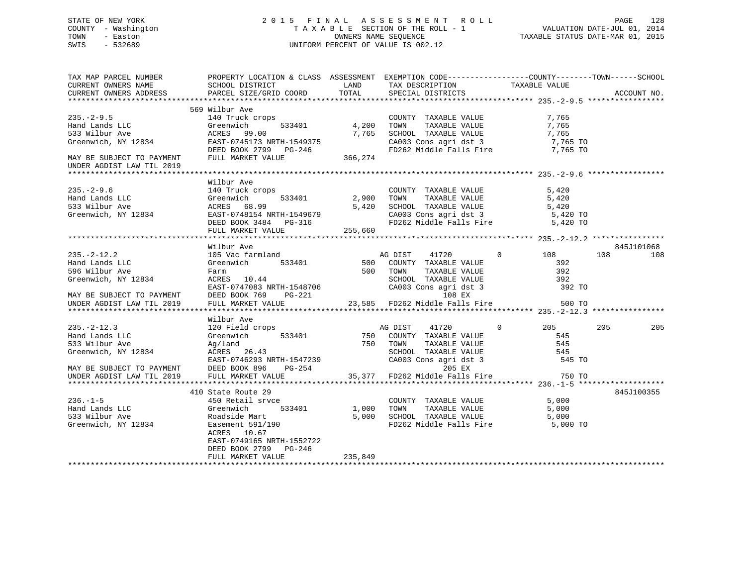#### STATE OF NEW YORK 2 0 1 5 F I N A L A S S E S S M E N T R O L L PAGE 128 COUNTY - Washington T A X A B L E SECTION OF THE ROLL - 1 VALUATION DATE-JUL 01, 2014 TOWN - Easton OWNERS NAME SEQUENCE TAXABLE STATUS DATE-MAR 01, 2015 SWIS - 532689 UNIFORM PERCENT OF VALUE IS 002.12

TAX MAP PARCEL NUMBER PROPERTY LOCATION & CLASS ASSESSMENT EXEMPTION CODE------------------COUNTY--------TOWN------SCHOOL CURRENT OWNERS NAME SCHOOL DISTRICT LAND TAX DESCRIPTION TAXABLE VALUECURRENT OWNERS ADDRESS PARCEL SIZE/GRID COORD TOTAL SPECIAL DISTRICTS ACCOUNT NO. \*\*\*\*\*\*\*\*\*\*\*\*\*\*\*\*\*\*\*\*\*\*\*\*\*\*\*\*\*\*\*\*\*\*\*\*\*\*\*\*\*\*\*\*\*\*\*\*\*\*\*\*\*\*\*\*\*\*\*\*\*\*\*\*\*\*\*\*\*\*\*\*\*\*\*\*\*\*\*\*\*\*\*\*\*\*\*\*\*\*\*\*\*\*\*\*\*\*\*\*\*\*\* 235.-2-9.5 \*\*\*\*\*\*\*\*\*\*\*\*\*\*\*\*\* 569 Wilbur Ave140 Truck crops 235.-2-9.5 140 Truck crops COUNTY TAXABLE VALUE 7,765 Hand Lands LLC Greenwich 533401 4,200 TOWN TAXABLE VALUE 7,765 533 Wilbur Ave ACRES 99.00 7,765 SCHOOL TAXABLE VALUE 7,765 Greenwich, NY 12834 EAST-0745173 NRTH-1549375 CA003 Cons agri dst 3 7,765 TO<br>DEED BOOK 2799 PG-246 FD262 Middle Falls Fire 7,765 TO DEED BOOK 2799 PG-246 FD262 Middle Falls Fire 7,765 TO MAY BE SUBJECT TO PAYMENT FULL MARKET VALUE 366,274 UNDER AGDIST LAW TIL 2019 \*\*\*\*\*\*\*\*\*\*\*\*\*\*\*\*\*\*\*\*\*\*\*\*\*\*\*\*\*\*\*\*\*\*\*\*\*\*\*\*\*\*\*\*\*\*\*\*\*\*\*\*\*\*\*\*\*\*\*\*\*\*\*\*\*\*\*\*\*\*\*\*\*\*\*\*\*\*\*\*\*\*\*\*\*\*\*\*\*\*\*\*\*\*\*\*\*\*\*\*\*\*\* 235.-2-9.6 \*\*\*\*\*\*\*\*\*\*\*\*\*\*\*\*\* Wilbur Ave235.-2-9.6 140 Truck crops COUNTY TAXABLE VALUE 5,420 Hand Lands LLC Greenwich 533401 2,900 TOWN TAXABLE VALUE 5,420 533 Wilbur Ave ACRES 68.99 5,420 SCHOOL TAXABLE VALUE 5,420 Greenwich, NY 12834 EAST-0748154 NRTH-1549679 CA003 Cons agri dst 3 5,420 TO DEED BOOK 3484 PG-316 FD262 Middle Falls Fire 5,420 TO FULL MARKET VALUE 255,660 \*\*\*\*\*\*\*\*\*\*\*\*\*\*\*\*\*\*\*\*\*\*\*\*\*\*\*\*\*\*\*\*\*\*\*\*\*\*\*\*\*\*\*\*\*\*\*\*\*\*\*\*\*\*\*\*\*\*\*\*\*\*\*\*\*\*\*\*\*\*\*\*\*\*\*\*\*\*\*\*\*\*\*\*\*\*\*\*\*\*\*\*\*\*\*\*\*\*\*\*\*\*\* 235.-2-12.2 \*\*\*\*\*\*\*\*\*\*\*\*\*\*\*\* Wilbur Ave 845J101068235.-2-12.2 105 Vac farmland 105 AG DIST 41720 0 108 108 108 108 Hand Lands LLC Greenwich 533401 500 COUNTY TAXABLE VALUE 392596 Wilbur Ave Farm 500 TOWN TAXABLE VALUE 392Greenwich, NY 12834 ACRES 10.44 SCHOOL TAXABLE VALUE 392 EAST-0747083 NRTH-1548706 CA003 Cons agri dst 3 392 TO MAY BE SUBJECT TO PAYMENT DEED BOOK 769 PG-221 108 EX UNDER AGDIST LAW TIL 2019 FULL MARKET VALUE 23,585 FD262 Middle Falls Fire 500 TO \*\*\*\*\*\*\*\*\*\*\*\*\*\*\*\*\*\*\*\*\*\*\*\*\*\*\*\*\*\*\*\*\*\*\*\*\*\*\*\*\*\*\*\*\*\*\*\*\*\*\*\*\*\*\*\*\*\*\*\*\*\*\*\*\*\*\*\*\*\*\*\*\*\*\*\*\*\*\*\*\*\*\*\*\*\*\*\*\*\*\*\*\*\*\*\*\*\*\*\*\*\*\* 235.-2-12.3 \*\*\*\*\*\*\*\*\*\*\*\*\*\*\*\* Wilbur Ave235.-2-12.3 120 Field crops AG DIST 41720 0 205 205 205 Hand Lands LLC Communication of the Communication of the S33401 750 COUNTY TAXABLE VALUE 545 533 Wilbur Ave Ag/land 750 TOWN TAXABLE VALUE 545 Greenwich, NY 12834 ACRES 26.43<br>
EAST-0746293 NRTH-1547239 CA003 Cons agri dst 3 545<br>
SCHOOL TAXABLE VALUE 545 EAST-0746293 NRTH-1547239 CA003 Cons agri dst 3 545 TO MAY BE SUBJECT TO PAYMENT DEED BOOK 896 PG-254 205 EX UNDER AGDIST LAW TIL 2019 FULL MARKET VALUE 35,377 FD262 Middle Falls Fire 750 TO \*\*\*\*\*\*\*\*\*\*\*\*\*\*\*\*\*\*\*\*\*\*\*\*\*\*\*\*\*\*\*\*\*\*\*\*\*\*\*\*\*\*\*\*\*\*\*\*\*\*\*\*\*\*\*\*\*\*\*\*\*\*\*\*\*\*\*\*\*\*\*\*\*\*\*\*\*\*\*\*\*\*\*\*\*\*\*\*\*\*\*\*\*\*\*\*\*\*\*\*\*\*\* 236.-1-5 \*\*\*\*\*\*\*\*\*\*\*\*\*\*\*\*\*\*\* 410 State Route 29 845J100355236.-1-5 450 Retail srvce COUNTY TAXABLE VALUE 5,000 Hand Lands LLC Greenwich 533401 1,000 TOWN TAXABLE VALUE 5,000 533 Wilbur Ave Roadside Mart 5,000 SCHOOL TAXABLE VALUE 5,000 Greenwich, NY 12834 Easement 591/190 FD262 Middle Falls Fire 5,000 TO ACRES 10.67 EAST-0749165 NRTH-1552722 DEED BOOK 2799 PG-246 FULL MARKET VALUE 235,849 \*\*\*\*\*\*\*\*\*\*\*\*\*\*\*\*\*\*\*\*\*\*\*\*\*\*\*\*\*\*\*\*\*\*\*\*\*\*\*\*\*\*\*\*\*\*\*\*\*\*\*\*\*\*\*\*\*\*\*\*\*\*\*\*\*\*\*\*\*\*\*\*\*\*\*\*\*\*\*\*\*\*\*\*\*\*\*\*\*\*\*\*\*\*\*\*\*\*\*\*\*\*\*\*\*\*\*\*\*\*\*\*\*\*\*\*\*\*\*\*\*\*\*\*\*\*\*\*\*\*\*\*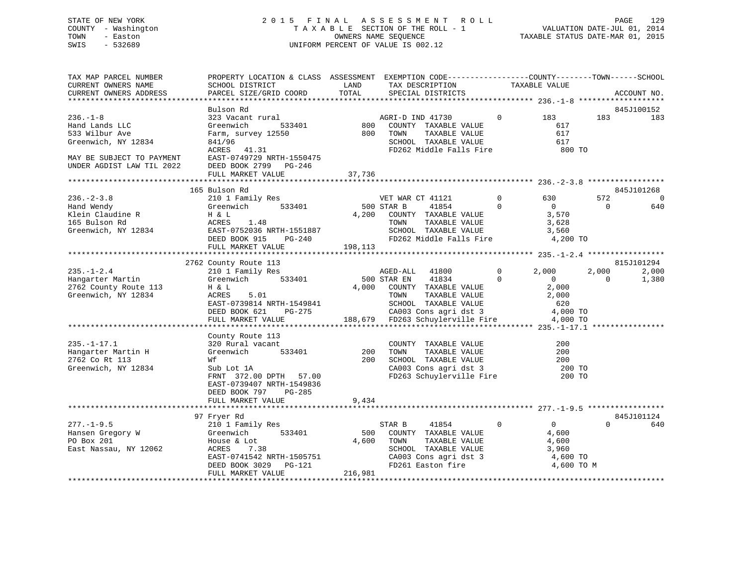## STATE OF NEW YORK 2 0 1 5 F I N A L A S S E S S M E N T R O L L PAGE 129 COUNTY - Washington T A X A B L E SECTION OF THE ROLL - 1 VALUATION DATE-JUL 01, 2014 TOWN - Easton OWNERS NAME SEQUENCE TAXABLE STATUS DATE-MAR 01, 2015 SWIS - 532689 UNIFORM PERCENT OF VALUE IS 002.12

| TAX MAP PARCEL NUMBER<br>CURRENT OWNERS NAME<br>CURRENT OWNERS ADDRESS                                                              | PROPERTY LOCATION & CLASS ASSESSMENT EXEMPTION CODE----------------COUNTY-------TOWN------SCHOOL<br>SCHOOL DISTRICT<br>PARCEL SIZE/GRID COORD                     | LAND<br>TOTAL           | TAX DESCRIPTION<br>SPECIAL DISTRICTS                                                                                                                                                             |                               | TAXABLE VALUE                                                       |                   | ACCOUNT NO.       |
|-------------------------------------------------------------------------------------------------------------------------------------|-------------------------------------------------------------------------------------------------------------------------------------------------------------------|-------------------------|--------------------------------------------------------------------------------------------------------------------------------------------------------------------------------------------------|-------------------------------|---------------------------------------------------------------------|-------------------|-------------------|
|                                                                                                                                     |                                                                                                                                                                   |                         |                                                                                                                                                                                                  |                               |                                                                     |                   |                   |
| $236. - 1 - 8$<br>Hand Lands LLC<br>533 Wilbur Ave<br>Greenwich, NY 12834<br>MAY BE SUBJECT TO PAYMENT<br>UNDER AGDIST LAW TIL 2022 | Bulson Rd<br>323 Vacant rural<br>Greenwich<br>533401<br>Farm, survey 12550<br>841/96<br>ACRES 41.31<br>EAST-0749729 NRTH-1550475<br>DEED BOOK 2799 PG-246         |                         | AGRI-D IND 41730<br>800 COUNTY TAXABLE VALUE<br>800 TOWN TAXABLE VALUE<br>TAXABLE VALUE<br>SCHOOL TAXABLE VALUE<br>FD262 Middle Falls Fire 800 TO                                                | $\overline{0}$                | 183<br>617<br>617<br>617                                            | 183               | 845J100152<br>183 |
|                                                                                                                                     | FULL MARKET VALUE                                                                                                                                                 | 37,736                  |                                                                                                                                                                                                  |                               |                                                                     |                   |                   |
|                                                                                                                                     | 165 Bulson Rd                                                                                                                                                     |                         |                                                                                                                                                                                                  |                               |                                                                     |                   | 845J101268        |
| $236. - 2 - 3.8$<br>Hand Wendy<br>Klein Claudine R<br>165 Bulson Rd<br>165 Bulson Rd<br>Greenwich, NY 12834                         | 210 1 Family Res<br>533401<br>Greenwich<br>H & L<br>ACRES<br>EAST-0<br>DEED BO<br>1.48<br>EAST-0752036 NRTH-1551887<br>DEED BOOK 915 PG-240<br>FULL MARKET VALUE  | 500 STAR B<br>198,113   | VET WAR CT 41121<br>41854<br>4,200 COUNTY TAXABLE VALUE<br>TAXABLE VALUE<br>TOWN<br>SCHOOL TAXABLE VALUE<br>FD262 Middle Falls Fire 4,200 TO                                                     | $0 \qquad \qquad$<br>$\Omega$ | 630<br>$\overline{0}$<br>3,570<br>3,628<br>3,560                    | 572<br>$\Omega$   | 0<br>640          |
|                                                                                                                                     |                                                                                                                                                                   |                         |                                                                                                                                                                                                  |                               |                                                                     |                   | 815J101294        |
| $235. - 1 - 2.4$<br>Hangarter Martin<br>2762 County Route 113<br>Greenwich, NY 12834                                                | 2762 County Route 113<br>210 1 Family Res<br>Greenwich 533401<br>H & L<br>5.01<br>ACRES<br>EAST-0739814 NRTH-1549841<br>DEED BOOK 621 PG-275<br>FULL MARKET VALUE |                         | AGED-ALL 41800<br>500 STAR EN 41834<br>41834<br>4,000 COUNTY TAXABLE VALUE<br>TAXABLE VALUE<br>TOWN<br>CHOOL TAXABLE VALUE<br>CA003 Cons agri dst 3 4,000 TO<br>188,679 FD263 Schuylerville Fire | $\overline{0}$<br>$\Omega$    | 2,000<br>$\sim$ 0<br>2,000<br>2,000<br>4,000 TO                     | 2,000<br>$\Omega$ | 2,000<br>1,380    |
|                                                                                                                                     |                                                                                                                                                                   |                         |                                                                                                                                                                                                  |                               |                                                                     |                   |                   |
| $235. - 1 - 17.1$<br>Hangarter Martin H<br>2762 Co Rt 113<br>Greenwich, NY 12834                                                    | County Route 113<br>320 Rural vacant<br>533401<br>Greenwich<br>Wf<br>Sub Lot 1A<br>FRNT 372.00 DPTH 57.00<br>EAST-0739407 NRTH-1549836<br>DEED BOOK 797<br>PG-285 | 200<br>200              | COUNTY TAXABLE VALUE<br>TOWN TAXABLE VALUE<br>SCHOOL TAXABLE VALUE<br>CA003 Cons agri dst 3 200 TO<br>FD263 Schuylerville Fire 200 TO                                                            |                               | 200<br>200<br>200                                                   |                   |                   |
|                                                                                                                                     | FULL MARKET VALUE                                                                                                                                                 | 9,434                   |                                                                                                                                                                                                  |                               |                                                                     |                   |                   |
|                                                                                                                                     | 97 Fryer Rd                                                                                                                                                       |                         |                                                                                                                                                                                                  |                               |                                                                     |                   | 845J101124        |
| $277. - 1 - 9.5$<br>Hansen Gregory W<br>PO Box 201<br>East Nassau, NY 12062                                                         | 533401<br>House & Lot<br>ACRES<br>7.38<br>EAST-0741542 NRTH-1505751<br>DEED BOOK 3029 PG-121<br>FULL MARKET VALUE                                                 | 500<br>4,600<br>216,981 | 41854<br>STAR B<br>COUNTY TAXABLE VALUE<br>IAAABLE VALUE<br>SCHOOL TAXABLE VALUE<br>CA003 Cons agri dst 3<br>FD261 Easton fire                                                                   | $\mathbf 0$                   | $\overline{0}$<br>4,600<br>4,600<br>3,960<br>4,600 TO<br>4,600 TO M | $\Omega$          | 640               |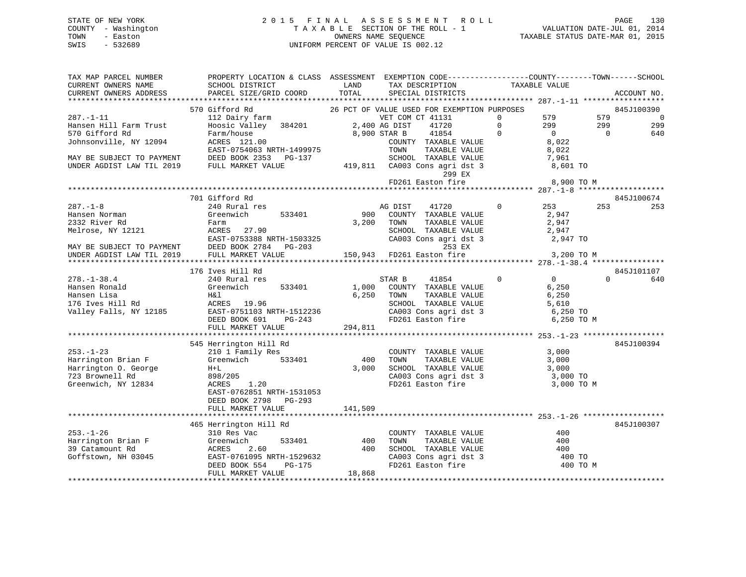## STATE OF NEW YORK 2 0 1 5 F I N A L A S S E S S M E N T R O L L PAGE 130 COUNTY - Washington T A X A B L E SECTION OF THE ROLL - 1 VALUATION DATE-JUL 01, 2014 TOWN - Easton OWNERS NAME SEQUENCE TAXABLE STATUS DATE-MAR 01, 2015 SWIS - 532689 UNIFORM PERCENT OF VALUE IS 002.12

| TAX MAP PARCEL NUMBER<br>CURRENT OWNERS NAME                           | PROPERTY LOCATION & CLASS ASSESSMENT EXEMPTION CODE-----------------COUNTY-------TOWN------SCHOOL<br>SCHOOL DISTRICT                                          | LAND    | TAX DESCRIPTION                                                                            | TAXABLE VALUE |                                  |                   |
|------------------------------------------------------------------------|---------------------------------------------------------------------------------------------------------------------------------------------------------------|---------|--------------------------------------------------------------------------------------------|---------------|----------------------------------|-------------------|
| CURRENT OWNERS ADDRESS                                                 | PARCEL SIZE/GRID COORD                                                                                                                                        | TOTAL   | SPECIAL DISTRICTS                                                                          |               |                                  | ACCOUNT NO.       |
|                                                                        |                                                                                                                                                               |         |                                                                                            |               |                                  |                   |
|                                                                        | 570 Gifford Rd                                                                                                                                                |         | 26 PCT OF VALUE USED FOR EXEMPTION PURPOSES                                                |               |                                  | 845J100390        |
| 287.-1-11                                                              | 112 Dairy farm<br>Hoosic Valley 384201 2,400 AG DIST                                                                                                          |         | VET COM CT 41131                                                                           | $\mathbf 0$   | 579<br>579                       | $\overline{0}$    |
| Hansen Hill Farm Trust                                                 |                                                                                                                                                               |         | 41720                                                                                      | $\Omega$      | 299<br>299                       | 299               |
| 570 Gifford Rd                                                         | Farm/house<br>Farm/house<br>ACRES 121.00                                                                                                                      |         | 8,900 STAR B<br>41854                                                                      | $\mathbf 0$   | $\overline{0}$<br>$\overline{0}$ | 640               |
| Johnsonville, NY 12094                                                 |                                                                                                                                                               |         | COUNTY TAXABLE VALUE                                                                       |               | 8,022                            |                   |
|                                                                        | EAST-0754063 NRTH-1499975                                                                                                                                     |         | TOWN<br>TAXABLE VALUE                                                                      |               | 8,022                            |                   |
|                                                                        | MAY BE SUBJECT TO PAYMENT DEED BOOK 2353 PG-137                                                                                                               |         | SCHOOL TAXABLE VALUE                                                                       | 7,961         |                                  |                   |
| UNDER AGDIST LAW TIL 2019                                              | FULL MARKET VALUE                                                                                                                                             |         | 419,811 CA003 Cons agri dst 3<br>299 EX                                                    | 8,601 TO      |                                  |                   |
|                                                                        |                                                                                                                                                               |         | FD261 Easton fire                                                                          |               | 8,900 TO M                       |                   |
|                                                                        |                                                                                                                                                               |         |                                                                                            |               |                                  |                   |
|                                                                        | 701 Gifford Rd                                                                                                                                                |         |                                                                                            |               |                                  | 845J100674        |
| $287. - 1 - 8$                                                         | 240 Rural res                                                                                                                                                 |         | AG DIST<br>41720                                                                           | $\circ$       | 253<br>253                       | 253               |
| Hansen Norman                                                          | Greenwich<br>533401                                                                                                                                           |         | 900 COUNTY TAXABLE VALUE                                                                   |               | 2,947                            |                   |
| 2332 River Rd                                                          | Farm                                                                                                                                                          | 3,200   | TAXABLE VALUE<br>TOWN                                                                      | 2,947         |                                  |                   |
|                                                                        |                                                                                                                                                               |         | SCHOOL TAXABLE VALUE<br>SCHOOL TAXABLE VALUE 2,947<br>CA003 Cons agri dst 3 2,947 TO       |               | 2,947                            |                   |
|                                                                        |                                                                                                                                                               |         |                                                                                            |               |                                  |                   |
|                                                                        | Melrose, NY 12121<br>Melrose, NY 12121<br>MAY BE SUBJECT TO PAYMENT DEED BOOK 2784 PG-203<br>UNDER AGDIST LAW TIL 2019 FULL MARKET VALUE<br>TULL MARKET VALUE |         | 253 EX                                                                                     |               |                                  |                   |
|                                                                        |                                                                                                                                                               |         | 150,943 FD261 Easton fire                                                                  | 3,200 TO M    |                                  |                   |
|                                                                        | 176 Ives Hill Rd                                                                                                                                              |         |                                                                                            |               |                                  |                   |
| $278. - 1 - 38.4$                                                      | 240 Rural res                                                                                                                                                 |         | STAR B<br>41854                                                                            | $\Omega$      | $\overline{0}$<br>$\cap$         | 845J101107<br>640 |
| Hansen Ronald                                                          | Greenwich<br>533401                                                                                                                                           | 1,000   | COUNTY TAXABLE VALUE                                                                       |               | 6,250                            |                   |
|                                                                        |                                                                                                                                                               | 6,250   | TAXABLE VALUE<br>TOWN                                                                      |               | 6,250                            |                   |
|                                                                        |                                                                                                                                                               |         |                                                                                            |               |                                  |                   |
|                                                                        |                                                                                                                                                               |         |                                                                                            |               |                                  |                   |
|                                                                        | DEED BOOK 691<br>PG-243                                                                                                                                       |         | SCHOOL TAXABLE VALUE 5,610<br>CA003 Cons agri dst 3 6,250 TO<br>FD261 Easton fire 6,250 TO |               | 6,250 TO M                       |                   |
|                                                                        | FULL MARKET VALUE                                                                                                                                             | 294,811 |                                                                                            |               |                                  |                   |
|                                                                        |                                                                                                                                                               |         |                                                                                            |               |                                  |                   |
|                                                                        | 545 Herrington Hill Rd                                                                                                                                        |         |                                                                                            |               |                                  | 845J100394        |
| $253. - 1 - 23$                                                        | 210 1 Family Res                                                                                                                                              |         | COUNTY TAXABLE VALUE                                                                       |               | 3,000                            |                   |
| Harrington Brian F                                                     | Greenwich<br>533401                                                                                                                                           | 400     | TOWN<br>TAXABLE VALUE                                                                      |               | 3,000                            |                   |
| Harrington O. George                                                   | $H+L$                                                                                                                                                         | 3,000   | SCHOOL TAXABLE VALUE                                                                       |               | 3,000                            |                   |
| 723 Brownell Rd                                                        | 898/205                                                                                                                                                       |         |                                                                                            |               |                                  |                   |
| Greenwich, NY 12834                                                    | 1.20<br>ACRES                                                                                                                                                 |         | CA003 Cons agri dst 3<br>FD261 Easton fire 3,000 TO<br>3,000 TO                            |               | 3,000 TO M                       |                   |
|                                                                        | EAST-0762851 NRTH-1531053                                                                                                                                     |         |                                                                                            |               |                                  |                   |
|                                                                        | DEED BOOK 2798 PG-293                                                                                                                                         |         |                                                                                            |               |                                  |                   |
|                                                                        | FULL MARKET VALUE                                                                                                                                             | 141,509 |                                                                                            |               |                                  |                   |
|                                                                        |                                                                                                                                                               |         |                                                                                            |               |                                  |                   |
|                                                                        | 465 Herrington Hill Rd                                                                                                                                        |         |                                                                                            |               |                                  | 845J100307        |
| $253. - 1 - 26$                                                        | 310 Res Vac                                                                                                                                                   |         | COUNTY TAXABLE VALUE                                                                       |               | 400                              |                   |
| Harrington Brian F<br>39 Catamount Rd<br>Goffstown, NH 03045<br>EAST-C | Greenwich<br>533401                                                                                                                                           | 400     | TAXABLE VALUE<br>TOWN                                                                      |               | 400                              |                   |
|                                                                        | 2.60                                                                                                                                                          | 400     | SCHOOL TAXABLE VALUE                                                                       |               | 400                              |                   |
|                                                                        | EAST-0761095 NRTH-1529632                                                                                                                                     |         | CA003 Cons agri dst 3<br>FD261 Easton fire                                                 |               | 400 TO                           |                   |
|                                                                        | DEED BOOK 554<br>PG-175                                                                                                                                       |         |                                                                                            |               | 400 TO M                         |                   |
|                                                                        | FULL MARKET VALUE                                                                                                                                             | 18,868  |                                                                                            |               |                                  |                   |
|                                                                        |                                                                                                                                                               |         |                                                                                            |               |                                  |                   |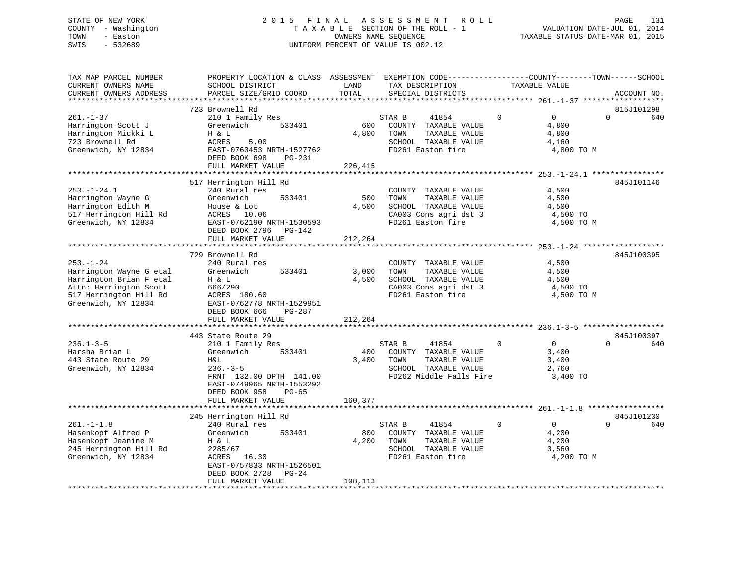## STATE OF NEW YORK 2 0 1 5 F I N A L A S S E S S M E N T R O L L PAGE 131 COUNTY - Washington T A X A B L E SECTION OF THE ROLL - 1 VALUATION DATE-JUL 01, 2014 TOWN - Easton OWNERS NAME SEQUENCE TAXABLE STATUS DATE-MAR 01, 2015 SWIS - 532689 UNIFORM PERCENT OF VALUE IS 002.12

| TAX MAP PARCEL NUMBER<br>CURRENT OWNERS NAME<br>CURRENT OWNERS ADDRESS                                                                           | PROPERTY LOCATION & CLASS ASSESSMENT<br>SCHOOL DISTRICT<br>PARCEL SIZE/GRID COORD                                                                                               | LAND<br>TOTAL             | EXEMPTION CODE-----------------COUNTY-------TOWN------SCHOOL<br>TAX DESCRIPTION<br>SPECIAL DISTRICTS                | TAXABLE VALUE                                                          | ACCOUNT NO.                   |
|--------------------------------------------------------------------------------------------------------------------------------------------------|---------------------------------------------------------------------------------------------------------------------------------------------------------------------------------|---------------------------|---------------------------------------------------------------------------------------------------------------------|------------------------------------------------------------------------|-------------------------------|
| ******************                                                                                                                               |                                                                                                                                                                                 |                           |                                                                                                                     |                                                                        |                               |
| $261. - 1 - 37$<br>Harrington Scott J<br>Harrington Mickki L<br>723 Brownell Rd<br>Greenwich, NY 12834                                           | 723 Brownell Rd<br>210 1 Family Res<br>Greenwich<br>533401<br>H & L<br>5.00<br>ACRES<br>EAST-0763453 NRTH-1527762<br>DEED BOOK 698<br>PG-231<br>FULL MARKET VALUE               | 600<br>4,800<br>226,415   | STAR B<br>41854<br>COUNTY TAXABLE VALUE<br>TOWN<br>TAXABLE VALUE<br>SCHOOL TAXABLE VALUE<br>FD261 Easton fire       | $\mathbf 0$<br>$\Omega$<br>4,800<br>4,800<br>4,160<br>4,800 TO M       | 815J101298<br>$\Omega$<br>640 |
|                                                                                                                                                  |                                                                                                                                                                                 |                           |                                                                                                                     |                                                                        |                               |
| $253. - 1 - 24.1$<br>Harrington Wayne G<br>Harrington Edith M<br>517 Herrington Hill Rd<br>Greenwich, NY 12834                                   | 517 Herrington Hill Rd<br>240 Rural res<br>Greenwich<br>533401<br>House & Lot<br>10.06<br>ACRES<br>EAST-0762190 NRTH-1530593<br>DEED BOOK 2796<br>$PG-142$<br>FULL MARKET VALUE | 500<br>4,500<br>212,264   | COUNTY TAXABLE VALUE<br>TOWN<br>TAXABLE VALUE<br>SCHOOL TAXABLE VALUE<br>CA003 Cons agri dst 3<br>FD261 Easton fire | 4,500<br>4,500<br>4,500<br>4,500 TO<br>4,500 TO M                      | 845J101146                    |
|                                                                                                                                                  | ********************                                                                                                                                                            |                           |                                                                                                                     | ************** 253.-1-24 **************                                |                               |
| $253. - 1 - 24$<br>Harrington Wayne G etal<br>Harrington Brian F etal<br>Attn: Harrington Scott<br>517 Herrington Hill Rd<br>Greenwich, NY 12834 | 729 Brownell Rd<br>240 Rural res<br>Greenwich<br>533401<br>H & L<br>666/290<br>ACRES 180.60<br>EAST-0762778 NRTH-1529951<br>DEED BOOK 666<br>PG-287<br>FULL MARKET VALUE        | 3,000<br>4,500<br>212,264 | COUNTY TAXABLE VALUE<br>TOWN<br>TAXABLE VALUE<br>SCHOOL TAXABLE VALUE<br>CA003 Cons agri dst 3<br>FD261 Easton fire | 4,500<br>4,500<br>4,500<br>4,500 TO<br>4,500 TO M                      | 845J100395                    |
|                                                                                                                                                  | 443 State Route 29                                                                                                                                                              |                           |                                                                                                                     |                                                                        | 845J100397                    |
| $236.1 - 3 - 5$<br>Harsha Brian L<br>443 State Route 29<br>Greenwich, NY 12834                                                                   | 210 1 Family Res<br>Greenwich<br>533401<br>H&L<br>$236. - 3 - 5$<br>FRNT 132.00 DPTH 141.00<br>EAST-0749965 NRTH-1553292<br>$PG-65$<br>DEED BOOK 958                            | 400<br>3,400              | STAR B<br>41854<br>COUNTY TAXABLE VALUE<br>TOWN<br>TAXABLE VALUE<br>SCHOOL TAXABLE VALUE<br>FD262 Middle Falls Fire | 0<br>$\overline{0}$<br>3,400<br>3,400<br>2,760<br>3,400 TO             | $\Omega$<br>640               |
|                                                                                                                                                  | FULL MARKET VALUE                                                                                                                                                               | 160,377                   |                                                                                                                     |                                                                        |                               |
|                                                                                                                                                  | 245 Herrington Hill Rd                                                                                                                                                          |                           |                                                                                                                     |                                                                        | 845J101230                    |
| $261. -1 -1.8$<br>Hasenkopf Alfred P<br>Hasenkopf Jeanine M<br>245 Herrington Hill Rd<br>Greenwich, NY 12834                                     | 240 Rural res<br>Greenwich<br>533401<br>H & L<br>2285/67<br>ACRES<br>16.30<br>EAST-0757833 NRTH-1526501<br>DEED BOOK 2728<br>$PG-24$<br>FULL MARKET VALUE                       | 800<br>4,200<br>198,113   | STAR B<br>41854<br>COUNTY TAXABLE VALUE<br>TOWN<br>TAXABLE VALUE<br>SCHOOL TAXABLE VALUE<br>FD261 Easton fire       | $\mathbf 0$<br>$\overline{0}$<br>4,200<br>4,200<br>3,560<br>4,200 TO M | $\Omega$<br>640               |
|                                                                                                                                                  |                                                                                                                                                                                 |                           |                                                                                                                     |                                                                        |                               |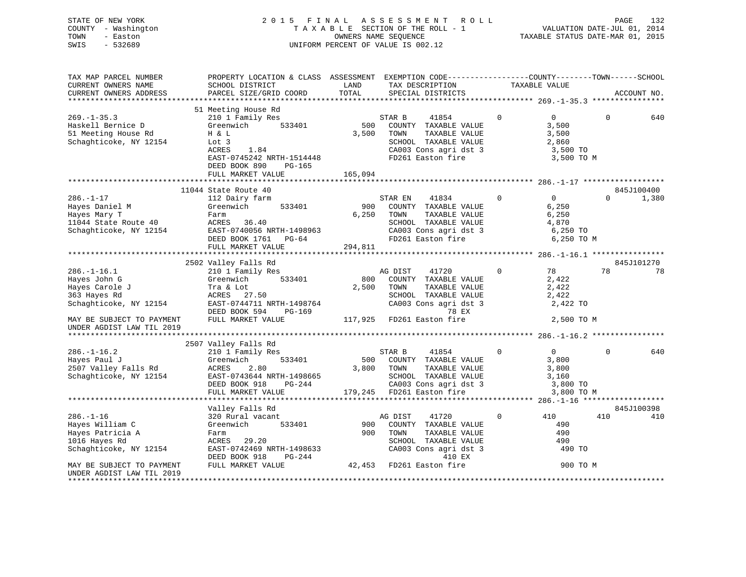STATE OF NEW YORK 2 0 1 5 F I N A L A S S E S S M E N T R O L L PAGE 132 COUNTY - Washington T A X A B L E SECTION OF THE ROLL - 1 VALUATION DATE-JUL 01, 2014 TOWN - Easton OWNERS NAME SEQUENCE TAXABLE STATUS DATE-MAR 01, 2015 SWIS - 532689 UNIFORM PERCENT OF VALUE IS 002.12

| TAXABLE VALUE<br>TOTAL<br>CURRENT OWNERS ADDRESS<br>PARCEL SIZE/GRID COORD<br>SPECIAL DISTRICTS<br>ACCOUNT NO.<br>51 Meeting House Rd<br>$269. - 1 - 35.3$<br>210 1 Family Res<br>0<br>$\overline{0}$<br>0<br>640<br>STAR B<br>41854<br>500<br>Haskell Bernice D<br>533401<br>3,500<br>Greenwich<br>COUNTY TAXABLE VALUE<br>3,500<br>TAXABLE VALUE<br>3,500<br>51 Meeting House Rd<br>H & L<br>TOWN<br>Schaghticoke, NY 12154<br>SCHOOL TAXABLE VALUE<br>2,860<br>Lot 3<br>CA003 Cons agri dst 3<br>ACRES<br>1.84<br>3,500 TO<br>EAST-0745242 NRTH-1514448<br>FD261 Easton fire<br>3,500 TO M<br>DEED BOOK 890<br>PG-165<br>165,094<br>FULL MARKET VALUE<br>845J100400<br>11044 State Route 40<br>$\mathbf 0$<br>$\overline{0}$<br>$286. - 1 - 17$<br>STAR EN<br>41834<br>1,380<br>112 Dairy farm<br>$\Omega$<br>Hayes Daniel M<br>Greenwich<br>533401<br>900<br>COUNTY TAXABLE VALUE<br>6,250<br>6,250<br>Hayes Mary T<br>TOWN<br>TAXABLE VALUE<br>6,250<br>Farm<br>11044 State Route 40<br>ACRES 36.40<br>SCHOOL TAXABLE VALUE<br>4,870<br>EAST-0740056 NRTH-1498963<br>Schaghticoke, NY 12154<br>CA003 Cons agri dst 3<br>FD261 Easton fire<br>6,250 TO<br>DEED BOOK 1761 PG-64<br>6,250 TO M<br>294,811<br>FULL MARKET VALUE<br>845J101270<br>2502 Valley Falls Rd<br>78<br>78<br>$286. - 1 - 16.1$<br>41720<br>$\mathbf 0$<br>210 1 Family Res<br>AG DIST<br>78<br>800<br>Hayes John G<br>533401<br>COUNTY TAXABLE VALUE<br>2,422<br>Greenwich<br>Hayes Carole J<br>TAXABLE VALUE<br>2,422<br>Tra & Lot<br>2,500<br>TOWN<br>363 Hayes Rd<br>SCHOOL TAXABLE VALUE<br>ACRES 27.50<br>2,422<br>Schaghticoke, NY 12154<br>EAST-0744711 NRTH-1498764<br>CA003 Cons agri dst 3<br>2,422 TO<br>DEED BOOK 594<br>PG-169<br>78 EX<br>117,925 FD261 Easton fire<br>2,500 TO M<br>FULL MARKET VALUE<br>MAY BE SUBJECT TO PAYMENT<br>UNDER AGDIST LAW TIL 2019<br>2507 Valley Falls Rd<br>$\overline{0}$<br>$286. - 1 - 16.2$<br>210 1 Family Res<br>STAR B<br>41854<br>$\mathbf 0$<br>$\Omega$<br>640<br>533401<br>500 COUNTY TAXABLE VALUE<br>3,800<br>Hayes Paul J<br>Greenwich<br>2507 Valley Falls Rd<br>3,800 TOWN<br>TAXABLE VALUE<br>ACRES<br>2.80<br>3,800<br>Schaghticoke, NY 12154<br>EAST-0743644 NRTH-1498665<br>SCHOOL TAXABLE VALUE<br>3,160<br>CA003 Cons agri dst 3<br>179,245 FD261 Easton fire<br>DEED BOOK 918<br>PG-244<br>3,800 TO<br>FULL MARKET VALUE<br>3,800 TO M<br>Valley Falls Rd<br>845J100398<br>$286. - 1 - 16$<br>41720<br>$\circ$<br>410<br>410<br>410<br>320 Rural vacant<br>AG DIST<br>Hayes William C<br>Greenwich<br>533401<br>900<br>490<br>COUNTY TAXABLE VALUE<br>Hayes Patricia A<br>900<br>TOWN<br>TAXABLE VALUE<br>490<br>Farm<br>SCHOOL TAXABLE VALUE<br>1016 Hayes Rd<br>ACRES 29.20<br>490<br>SCHOOL TAXABLE VALUE<br>CA003 Cons agri dst 3<br>Schaghticoke, NY 12154<br>EAST-0742469 NRTH-1498633<br>490 TO<br>410 EX<br>DEED BOOK 918<br>PG-244<br>42,453 FD261 Easton fire<br>MAY BE SUBJECT TO PAYMENT<br>FULL MARKET VALUE<br>900 TO M<br>UNDER AGDIST LAW TIL 2019 | TAX MAP PARCEL NUMBER | PROPERTY LOCATION & CLASS ASSESSMENT EXEMPTION CODE----------------COUNTY-------TOWN-----SCHOOL |      |                 |  |  |
|------------------------------------------------------------------------------------------------------------------------------------------------------------------------------------------------------------------------------------------------------------------------------------------------------------------------------------------------------------------------------------------------------------------------------------------------------------------------------------------------------------------------------------------------------------------------------------------------------------------------------------------------------------------------------------------------------------------------------------------------------------------------------------------------------------------------------------------------------------------------------------------------------------------------------------------------------------------------------------------------------------------------------------------------------------------------------------------------------------------------------------------------------------------------------------------------------------------------------------------------------------------------------------------------------------------------------------------------------------------------------------------------------------------------------------------------------------------------------------------------------------------------------------------------------------------------------------------------------------------------------------------------------------------------------------------------------------------------------------------------------------------------------------------------------------------------------------------------------------------------------------------------------------------------------------------------------------------------------------------------------------------------------------------------------------------------------------------------------------------------------------------------------------------------------------------------------------------------------------------------------------------------------------------------------------------------------------------------------------------------------------------------------------------------------------------------------------------------------------------------------------------------------------------------------------------------------------------------------------------------------------------------------------------------------------------------------------------------------------------------------------------------------------------------------------------------------------------------------------------------------------------------------------------------------------------------------------------------------------------------------------------|-----------------------|-------------------------------------------------------------------------------------------------|------|-----------------|--|--|
|                                                                                                                                                                                                                                                                                                                                                                                                                                                                                                                                                                                                                                                                                                                                                                                                                                                                                                                                                                                                                                                                                                                                                                                                                                                                                                                                                                                                                                                                                                                                                                                                                                                                                                                                                                                                                                                                                                                                                                                                                                                                                                                                                                                                                                                                                                                                                                                                                                                                                                                                                                                                                                                                                                                                                                                                                                                                                                                                                                                                                  | CURRENT OWNERS NAME   | SCHOOL DISTRICT                                                                                 | LAND | TAX DESCRIPTION |  |  |
|                                                                                                                                                                                                                                                                                                                                                                                                                                                                                                                                                                                                                                                                                                                                                                                                                                                                                                                                                                                                                                                                                                                                                                                                                                                                                                                                                                                                                                                                                                                                                                                                                                                                                                                                                                                                                                                                                                                                                                                                                                                                                                                                                                                                                                                                                                                                                                                                                                                                                                                                                                                                                                                                                                                                                                                                                                                                                                                                                                                                                  |                       |                                                                                                 |      |                 |  |  |
|                                                                                                                                                                                                                                                                                                                                                                                                                                                                                                                                                                                                                                                                                                                                                                                                                                                                                                                                                                                                                                                                                                                                                                                                                                                                                                                                                                                                                                                                                                                                                                                                                                                                                                                                                                                                                                                                                                                                                                                                                                                                                                                                                                                                                                                                                                                                                                                                                                                                                                                                                                                                                                                                                                                                                                                                                                                                                                                                                                                                                  |                       |                                                                                                 |      |                 |  |  |
|                                                                                                                                                                                                                                                                                                                                                                                                                                                                                                                                                                                                                                                                                                                                                                                                                                                                                                                                                                                                                                                                                                                                                                                                                                                                                                                                                                                                                                                                                                                                                                                                                                                                                                                                                                                                                                                                                                                                                                                                                                                                                                                                                                                                                                                                                                                                                                                                                                                                                                                                                                                                                                                                                                                                                                                                                                                                                                                                                                                                                  |                       |                                                                                                 |      |                 |  |  |
|                                                                                                                                                                                                                                                                                                                                                                                                                                                                                                                                                                                                                                                                                                                                                                                                                                                                                                                                                                                                                                                                                                                                                                                                                                                                                                                                                                                                                                                                                                                                                                                                                                                                                                                                                                                                                                                                                                                                                                                                                                                                                                                                                                                                                                                                                                                                                                                                                                                                                                                                                                                                                                                                                                                                                                                                                                                                                                                                                                                                                  |                       |                                                                                                 |      |                 |  |  |
|                                                                                                                                                                                                                                                                                                                                                                                                                                                                                                                                                                                                                                                                                                                                                                                                                                                                                                                                                                                                                                                                                                                                                                                                                                                                                                                                                                                                                                                                                                                                                                                                                                                                                                                                                                                                                                                                                                                                                                                                                                                                                                                                                                                                                                                                                                                                                                                                                                                                                                                                                                                                                                                                                                                                                                                                                                                                                                                                                                                                                  |                       |                                                                                                 |      |                 |  |  |
|                                                                                                                                                                                                                                                                                                                                                                                                                                                                                                                                                                                                                                                                                                                                                                                                                                                                                                                                                                                                                                                                                                                                                                                                                                                                                                                                                                                                                                                                                                                                                                                                                                                                                                                                                                                                                                                                                                                                                                                                                                                                                                                                                                                                                                                                                                                                                                                                                                                                                                                                                                                                                                                                                                                                                                                                                                                                                                                                                                                                                  |                       |                                                                                                 |      |                 |  |  |
|                                                                                                                                                                                                                                                                                                                                                                                                                                                                                                                                                                                                                                                                                                                                                                                                                                                                                                                                                                                                                                                                                                                                                                                                                                                                                                                                                                                                                                                                                                                                                                                                                                                                                                                                                                                                                                                                                                                                                                                                                                                                                                                                                                                                                                                                                                                                                                                                                                                                                                                                                                                                                                                                                                                                                                                                                                                                                                                                                                                                                  |                       |                                                                                                 |      |                 |  |  |
|                                                                                                                                                                                                                                                                                                                                                                                                                                                                                                                                                                                                                                                                                                                                                                                                                                                                                                                                                                                                                                                                                                                                                                                                                                                                                                                                                                                                                                                                                                                                                                                                                                                                                                                                                                                                                                                                                                                                                                                                                                                                                                                                                                                                                                                                                                                                                                                                                                                                                                                                                                                                                                                                                                                                                                                                                                                                                                                                                                                                                  |                       |                                                                                                 |      |                 |  |  |
|                                                                                                                                                                                                                                                                                                                                                                                                                                                                                                                                                                                                                                                                                                                                                                                                                                                                                                                                                                                                                                                                                                                                                                                                                                                                                                                                                                                                                                                                                                                                                                                                                                                                                                                                                                                                                                                                                                                                                                                                                                                                                                                                                                                                                                                                                                                                                                                                                                                                                                                                                                                                                                                                                                                                                                                                                                                                                                                                                                                                                  |                       |                                                                                                 |      |                 |  |  |
|                                                                                                                                                                                                                                                                                                                                                                                                                                                                                                                                                                                                                                                                                                                                                                                                                                                                                                                                                                                                                                                                                                                                                                                                                                                                                                                                                                                                                                                                                                                                                                                                                                                                                                                                                                                                                                                                                                                                                                                                                                                                                                                                                                                                                                                                                                                                                                                                                                                                                                                                                                                                                                                                                                                                                                                                                                                                                                                                                                                                                  |                       |                                                                                                 |      |                 |  |  |
|                                                                                                                                                                                                                                                                                                                                                                                                                                                                                                                                                                                                                                                                                                                                                                                                                                                                                                                                                                                                                                                                                                                                                                                                                                                                                                                                                                                                                                                                                                                                                                                                                                                                                                                                                                                                                                                                                                                                                                                                                                                                                                                                                                                                                                                                                                                                                                                                                                                                                                                                                                                                                                                                                                                                                                                                                                                                                                                                                                                                                  |                       |                                                                                                 |      |                 |  |  |
|                                                                                                                                                                                                                                                                                                                                                                                                                                                                                                                                                                                                                                                                                                                                                                                                                                                                                                                                                                                                                                                                                                                                                                                                                                                                                                                                                                                                                                                                                                                                                                                                                                                                                                                                                                                                                                                                                                                                                                                                                                                                                                                                                                                                                                                                                                                                                                                                                                                                                                                                                                                                                                                                                                                                                                                                                                                                                                                                                                                                                  |                       |                                                                                                 |      |                 |  |  |
|                                                                                                                                                                                                                                                                                                                                                                                                                                                                                                                                                                                                                                                                                                                                                                                                                                                                                                                                                                                                                                                                                                                                                                                                                                                                                                                                                                                                                                                                                                                                                                                                                                                                                                                                                                                                                                                                                                                                                                                                                                                                                                                                                                                                                                                                                                                                                                                                                                                                                                                                                                                                                                                                                                                                                                                                                                                                                                                                                                                                                  |                       |                                                                                                 |      |                 |  |  |
|                                                                                                                                                                                                                                                                                                                                                                                                                                                                                                                                                                                                                                                                                                                                                                                                                                                                                                                                                                                                                                                                                                                                                                                                                                                                                                                                                                                                                                                                                                                                                                                                                                                                                                                                                                                                                                                                                                                                                                                                                                                                                                                                                                                                                                                                                                                                                                                                                                                                                                                                                                                                                                                                                                                                                                                                                                                                                                                                                                                                                  |                       |                                                                                                 |      |                 |  |  |
|                                                                                                                                                                                                                                                                                                                                                                                                                                                                                                                                                                                                                                                                                                                                                                                                                                                                                                                                                                                                                                                                                                                                                                                                                                                                                                                                                                                                                                                                                                                                                                                                                                                                                                                                                                                                                                                                                                                                                                                                                                                                                                                                                                                                                                                                                                                                                                                                                                                                                                                                                                                                                                                                                                                                                                                                                                                                                                                                                                                                                  |                       |                                                                                                 |      |                 |  |  |
|                                                                                                                                                                                                                                                                                                                                                                                                                                                                                                                                                                                                                                                                                                                                                                                                                                                                                                                                                                                                                                                                                                                                                                                                                                                                                                                                                                                                                                                                                                                                                                                                                                                                                                                                                                                                                                                                                                                                                                                                                                                                                                                                                                                                                                                                                                                                                                                                                                                                                                                                                                                                                                                                                                                                                                                                                                                                                                                                                                                                                  |                       |                                                                                                 |      |                 |  |  |
|                                                                                                                                                                                                                                                                                                                                                                                                                                                                                                                                                                                                                                                                                                                                                                                                                                                                                                                                                                                                                                                                                                                                                                                                                                                                                                                                                                                                                                                                                                                                                                                                                                                                                                                                                                                                                                                                                                                                                                                                                                                                                                                                                                                                                                                                                                                                                                                                                                                                                                                                                                                                                                                                                                                                                                                                                                                                                                                                                                                                                  |                       |                                                                                                 |      |                 |  |  |
|                                                                                                                                                                                                                                                                                                                                                                                                                                                                                                                                                                                                                                                                                                                                                                                                                                                                                                                                                                                                                                                                                                                                                                                                                                                                                                                                                                                                                                                                                                                                                                                                                                                                                                                                                                                                                                                                                                                                                                                                                                                                                                                                                                                                                                                                                                                                                                                                                                                                                                                                                                                                                                                                                                                                                                                                                                                                                                                                                                                                                  |                       |                                                                                                 |      |                 |  |  |
|                                                                                                                                                                                                                                                                                                                                                                                                                                                                                                                                                                                                                                                                                                                                                                                                                                                                                                                                                                                                                                                                                                                                                                                                                                                                                                                                                                                                                                                                                                                                                                                                                                                                                                                                                                                                                                                                                                                                                                                                                                                                                                                                                                                                                                                                                                                                                                                                                                                                                                                                                                                                                                                                                                                                                                                                                                                                                                                                                                                                                  |                       |                                                                                                 |      |                 |  |  |
|                                                                                                                                                                                                                                                                                                                                                                                                                                                                                                                                                                                                                                                                                                                                                                                                                                                                                                                                                                                                                                                                                                                                                                                                                                                                                                                                                                                                                                                                                                                                                                                                                                                                                                                                                                                                                                                                                                                                                                                                                                                                                                                                                                                                                                                                                                                                                                                                                                                                                                                                                                                                                                                                                                                                                                                                                                                                                                                                                                                                                  |                       |                                                                                                 |      |                 |  |  |
|                                                                                                                                                                                                                                                                                                                                                                                                                                                                                                                                                                                                                                                                                                                                                                                                                                                                                                                                                                                                                                                                                                                                                                                                                                                                                                                                                                                                                                                                                                                                                                                                                                                                                                                                                                                                                                                                                                                                                                                                                                                                                                                                                                                                                                                                                                                                                                                                                                                                                                                                                                                                                                                                                                                                                                                                                                                                                                                                                                                                                  |                       |                                                                                                 |      |                 |  |  |
|                                                                                                                                                                                                                                                                                                                                                                                                                                                                                                                                                                                                                                                                                                                                                                                                                                                                                                                                                                                                                                                                                                                                                                                                                                                                                                                                                                                                                                                                                                                                                                                                                                                                                                                                                                                                                                                                                                                                                                                                                                                                                                                                                                                                                                                                                                                                                                                                                                                                                                                                                                                                                                                                                                                                                                                                                                                                                                                                                                                                                  |                       |                                                                                                 |      |                 |  |  |
|                                                                                                                                                                                                                                                                                                                                                                                                                                                                                                                                                                                                                                                                                                                                                                                                                                                                                                                                                                                                                                                                                                                                                                                                                                                                                                                                                                                                                                                                                                                                                                                                                                                                                                                                                                                                                                                                                                                                                                                                                                                                                                                                                                                                                                                                                                                                                                                                                                                                                                                                                                                                                                                                                                                                                                                                                                                                                                                                                                                                                  |                       |                                                                                                 |      |                 |  |  |
|                                                                                                                                                                                                                                                                                                                                                                                                                                                                                                                                                                                                                                                                                                                                                                                                                                                                                                                                                                                                                                                                                                                                                                                                                                                                                                                                                                                                                                                                                                                                                                                                                                                                                                                                                                                                                                                                                                                                                                                                                                                                                                                                                                                                                                                                                                                                                                                                                                                                                                                                                                                                                                                                                                                                                                                                                                                                                                                                                                                                                  |                       |                                                                                                 |      |                 |  |  |
|                                                                                                                                                                                                                                                                                                                                                                                                                                                                                                                                                                                                                                                                                                                                                                                                                                                                                                                                                                                                                                                                                                                                                                                                                                                                                                                                                                                                                                                                                                                                                                                                                                                                                                                                                                                                                                                                                                                                                                                                                                                                                                                                                                                                                                                                                                                                                                                                                                                                                                                                                                                                                                                                                                                                                                                                                                                                                                                                                                                                                  |                       |                                                                                                 |      |                 |  |  |
|                                                                                                                                                                                                                                                                                                                                                                                                                                                                                                                                                                                                                                                                                                                                                                                                                                                                                                                                                                                                                                                                                                                                                                                                                                                                                                                                                                                                                                                                                                                                                                                                                                                                                                                                                                                                                                                                                                                                                                                                                                                                                                                                                                                                                                                                                                                                                                                                                                                                                                                                                                                                                                                                                                                                                                                                                                                                                                                                                                                                                  |                       |                                                                                                 |      |                 |  |  |
|                                                                                                                                                                                                                                                                                                                                                                                                                                                                                                                                                                                                                                                                                                                                                                                                                                                                                                                                                                                                                                                                                                                                                                                                                                                                                                                                                                                                                                                                                                                                                                                                                                                                                                                                                                                                                                                                                                                                                                                                                                                                                                                                                                                                                                                                                                                                                                                                                                                                                                                                                                                                                                                                                                                                                                                                                                                                                                                                                                                                                  |                       |                                                                                                 |      |                 |  |  |
|                                                                                                                                                                                                                                                                                                                                                                                                                                                                                                                                                                                                                                                                                                                                                                                                                                                                                                                                                                                                                                                                                                                                                                                                                                                                                                                                                                                                                                                                                                                                                                                                                                                                                                                                                                                                                                                                                                                                                                                                                                                                                                                                                                                                                                                                                                                                                                                                                                                                                                                                                                                                                                                                                                                                                                                                                                                                                                                                                                                                                  |                       |                                                                                                 |      |                 |  |  |
|                                                                                                                                                                                                                                                                                                                                                                                                                                                                                                                                                                                                                                                                                                                                                                                                                                                                                                                                                                                                                                                                                                                                                                                                                                                                                                                                                                                                                                                                                                                                                                                                                                                                                                                                                                                                                                                                                                                                                                                                                                                                                                                                                                                                                                                                                                                                                                                                                                                                                                                                                                                                                                                                                                                                                                                                                                                                                                                                                                                                                  |                       |                                                                                                 |      |                 |  |  |
|                                                                                                                                                                                                                                                                                                                                                                                                                                                                                                                                                                                                                                                                                                                                                                                                                                                                                                                                                                                                                                                                                                                                                                                                                                                                                                                                                                                                                                                                                                                                                                                                                                                                                                                                                                                                                                                                                                                                                                                                                                                                                                                                                                                                                                                                                                                                                                                                                                                                                                                                                                                                                                                                                                                                                                                                                                                                                                                                                                                                                  |                       |                                                                                                 |      |                 |  |  |
|                                                                                                                                                                                                                                                                                                                                                                                                                                                                                                                                                                                                                                                                                                                                                                                                                                                                                                                                                                                                                                                                                                                                                                                                                                                                                                                                                                                                                                                                                                                                                                                                                                                                                                                                                                                                                                                                                                                                                                                                                                                                                                                                                                                                                                                                                                                                                                                                                                                                                                                                                                                                                                                                                                                                                                                                                                                                                                                                                                                                                  |                       |                                                                                                 |      |                 |  |  |
|                                                                                                                                                                                                                                                                                                                                                                                                                                                                                                                                                                                                                                                                                                                                                                                                                                                                                                                                                                                                                                                                                                                                                                                                                                                                                                                                                                                                                                                                                                                                                                                                                                                                                                                                                                                                                                                                                                                                                                                                                                                                                                                                                                                                                                                                                                                                                                                                                                                                                                                                                                                                                                                                                                                                                                                                                                                                                                                                                                                                                  |                       |                                                                                                 |      |                 |  |  |
|                                                                                                                                                                                                                                                                                                                                                                                                                                                                                                                                                                                                                                                                                                                                                                                                                                                                                                                                                                                                                                                                                                                                                                                                                                                                                                                                                                                                                                                                                                                                                                                                                                                                                                                                                                                                                                                                                                                                                                                                                                                                                                                                                                                                                                                                                                                                                                                                                                                                                                                                                                                                                                                                                                                                                                                                                                                                                                                                                                                                                  |                       |                                                                                                 |      |                 |  |  |
|                                                                                                                                                                                                                                                                                                                                                                                                                                                                                                                                                                                                                                                                                                                                                                                                                                                                                                                                                                                                                                                                                                                                                                                                                                                                                                                                                                                                                                                                                                                                                                                                                                                                                                                                                                                                                                                                                                                                                                                                                                                                                                                                                                                                                                                                                                                                                                                                                                                                                                                                                                                                                                                                                                                                                                                                                                                                                                                                                                                                                  |                       |                                                                                                 |      |                 |  |  |
|                                                                                                                                                                                                                                                                                                                                                                                                                                                                                                                                                                                                                                                                                                                                                                                                                                                                                                                                                                                                                                                                                                                                                                                                                                                                                                                                                                                                                                                                                                                                                                                                                                                                                                                                                                                                                                                                                                                                                                                                                                                                                                                                                                                                                                                                                                                                                                                                                                                                                                                                                                                                                                                                                                                                                                                                                                                                                                                                                                                                                  |                       |                                                                                                 |      |                 |  |  |
|                                                                                                                                                                                                                                                                                                                                                                                                                                                                                                                                                                                                                                                                                                                                                                                                                                                                                                                                                                                                                                                                                                                                                                                                                                                                                                                                                                                                                                                                                                                                                                                                                                                                                                                                                                                                                                                                                                                                                                                                                                                                                                                                                                                                                                                                                                                                                                                                                                                                                                                                                                                                                                                                                                                                                                                                                                                                                                                                                                                                                  |                       |                                                                                                 |      |                 |  |  |
|                                                                                                                                                                                                                                                                                                                                                                                                                                                                                                                                                                                                                                                                                                                                                                                                                                                                                                                                                                                                                                                                                                                                                                                                                                                                                                                                                                                                                                                                                                                                                                                                                                                                                                                                                                                                                                                                                                                                                                                                                                                                                                                                                                                                                                                                                                                                                                                                                                                                                                                                                                                                                                                                                                                                                                                                                                                                                                                                                                                                                  |                       |                                                                                                 |      |                 |  |  |
|                                                                                                                                                                                                                                                                                                                                                                                                                                                                                                                                                                                                                                                                                                                                                                                                                                                                                                                                                                                                                                                                                                                                                                                                                                                                                                                                                                                                                                                                                                                                                                                                                                                                                                                                                                                                                                                                                                                                                                                                                                                                                                                                                                                                                                                                                                                                                                                                                                                                                                                                                                                                                                                                                                                                                                                                                                                                                                                                                                                                                  |                       |                                                                                                 |      |                 |  |  |
|                                                                                                                                                                                                                                                                                                                                                                                                                                                                                                                                                                                                                                                                                                                                                                                                                                                                                                                                                                                                                                                                                                                                                                                                                                                                                                                                                                                                                                                                                                                                                                                                                                                                                                                                                                                                                                                                                                                                                                                                                                                                                                                                                                                                                                                                                                                                                                                                                                                                                                                                                                                                                                                                                                                                                                                                                                                                                                                                                                                                                  |                       |                                                                                                 |      |                 |  |  |
|                                                                                                                                                                                                                                                                                                                                                                                                                                                                                                                                                                                                                                                                                                                                                                                                                                                                                                                                                                                                                                                                                                                                                                                                                                                                                                                                                                                                                                                                                                                                                                                                                                                                                                                                                                                                                                                                                                                                                                                                                                                                                                                                                                                                                                                                                                                                                                                                                                                                                                                                                                                                                                                                                                                                                                                                                                                                                                                                                                                                                  |                       |                                                                                                 |      |                 |  |  |
|                                                                                                                                                                                                                                                                                                                                                                                                                                                                                                                                                                                                                                                                                                                                                                                                                                                                                                                                                                                                                                                                                                                                                                                                                                                                                                                                                                                                                                                                                                                                                                                                                                                                                                                                                                                                                                                                                                                                                                                                                                                                                                                                                                                                                                                                                                                                                                                                                                                                                                                                                                                                                                                                                                                                                                                                                                                                                                                                                                                                                  |                       |                                                                                                 |      |                 |  |  |
|                                                                                                                                                                                                                                                                                                                                                                                                                                                                                                                                                                                                                                                                                                                                                                                                                                                                                                                                                                                                                                                                                                                                                                                                                                                                                                                                                                                                                                                                                                                                                                                                                                                                                                                                                                                                                                                                                                                                                                                                                                                                                                                                                                                                                                                                                                                                                                                                                                                                                                                                                                                                                                                                                                                                                                                                                                                                                                                                                                                                                  |                       |                                                                                                 |      |                 |  |  |
|                                                                                                                                                                                                                                                                                                                                                                                                                                                                                                                                                                                                                                                                                                                                                                                                                                                                                                                                                                                                                                                                                                                                                                                                                                                                                                                                                                                                                                                                                                                                                                                                                                                                                                                                                                                                                                                                                                                                                                                                                                                                                                                                                                                                                                                                                                                                                                                                                                                                                                                                                                                                                                                                                                                                                                                                                                                                                                                                                                                                                  |                       |                                                                                                 |      |                 |  |  |
|                                                                                                                                                                                                                                                                                                                                                                                                                                                                                                                                                                                                                                                                                                                                                                                                                                                                                                                                                                                                                                                                                                                                                                                                                                                                                                                                                                                                                                                                                                                                                                                                                                                                                                                                                                                                                                                                                                                                                                                                                                                                                                                                                                                                                                                                                                                                                                                                                                                                                                                                                                                                                                                                                                                                                                                                                                                                                                                                                                                                                  |                       |                                                                                                 |      |                 |  |  |
|                                                                                                                                                                                                                                                                                                                                                                                                                                                                                                                                                                                                                                                                                                                                                                                                                                                                                                                                                                                                                                                                                                                                                                                                                                                                                                                                                                                                                                                                                                                                                                                                                                                                                                                                                                                                                                                                                                                                                                                                                                                                                                                                                                                                                                                                                                                                                                                                                                                                                                                                                                                                                                                                                                                                                                                                                                                                                                                                                                                                                  |                       |                                                                                                 |      |                 |  |  |
|                                                                                                                                                                                                                                                                                                                                                                                                                                                                                                                                                                                                                                                                                                                                                                                                                                                                                                                                                                                                                                                                                                                                                                                                                                                                                                                                                                                                                                                                                                                                                                                                                                                                                                                                                                                                                                                                                                                                                                                                                                                                                                                                                                                                                                                                                                                                                                                                                                                                                                                                                                                                                                                                                                                                                                                                                                                                                                                                                                                                                  |                       |                                                                                                 |      |                 |  |  |
|                                                                                                                                                                                                                                                                                                                                                                                                                                                                                                                                                                                                                                                                                                                                                                                                                                                                                                                                                                                                                                                                                                                                                                                                                                                                                                                                                                                                                                                                                                                                                                                                                                                                                                                                                                                                                                                                                                                                                                                                                                                                                                                                                                                                                                                                                                                                                                                                                                                                                                                                                                                                                                                                                                                                                                                                                                                                                                                                                                                                                  |                       |                                                                                                 |      |                 |  |  |
|                                                                                                                                                                                                                                                                                                                                                                                                                                                                                                                                                                                                                                                                                                                                                                                                                                                                                                                                                                                                                                                                                                                                                                                                                                                                                                                                                                                                                                                                                                                                                                                                                                                                                                                                                                                                                                                                                                                                                                                                                                                                                                                                                                                                                                                                                                                                                                                                                                                                                                                                                                                                                                                                                                                                                                                                                                                                                                                                                                                                                  | ********************* |                                                                                                 |      |                 |  |  |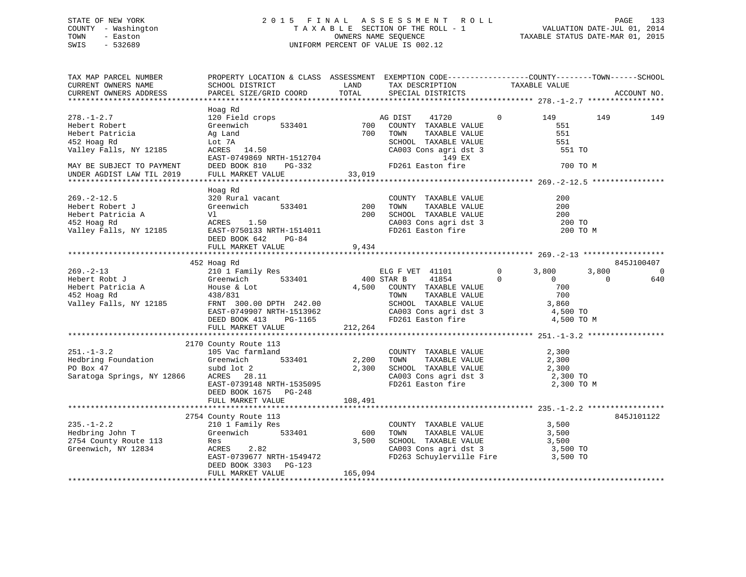## STATE OF NEW YORK 2 0 1 5 F I N A L A S S E S S M E N T R O L L PAGE 133 COUNTY - Washington T A X A B L E SECTION OF THE ROLL - 1 VALUATION DATE-JUL 01, 2014 TOWN - Easton OWNERS NAME SEQUENCE TAXABLE STATUS DATE-MAR 01, 2015 SWIS - 532689 UNIFORM PERCENT OF VALUE IS 002.12

| TAX MAP PARCEL NUMBER<br>CURRENT OWNERS NAME<br>CURRENT OWNERS ADDRESS                                                                                                                                                                                                                                                            | PROPERTY LOCATION & CLASS ASSESSMENT EXEMPTION CODE---------------COUNTY-------TOWN-----SCHOOL<br>SCHOOL DISTRICT<br>PARCEL SIZE/GRID COORD                                                                                                 | <b>EXAMPLE SERVICE SERVICE SERVICE SERVICE SERVICE SERVICE SERVICE SERVICE SERVICE SERVICE SERVICE SERVICE SERVICE</b><br>TOTAL | TAX DESCRIPTION TAXABLE VALUE SPECIAL DISTRICTS                                                                                                                                                                                                                                                                                                                                         |                                                       | ACCOUNT NO.                                                    |
|-----------------------------------------------------------------------------------------------------------------------------------------------------------------------------------------------------------------------------------------------------------------------------------------------------------------------------------|---------------------------------------------------------------------------------------------------------------------------------------------------------------------------------------------------------------------------------------------|---------------------------------------------------------------------------------------------------------------------------------|-----------------------------------------------------------------------------------------------------------------------------------------------------------------------------------------------------------------------------------------------------------------------------------------------------------------------------------------------------------------------------------------|-------------------------------------------------------|----------------------------------------------------------------|
| $278. - 1 - 2.7$<br>Hebert Robert<br>Hebert Patricia<br>452 Hoag Rd<br>Valley Falls, NY 12185<br>MAY BE SUBJECT TO PAYMENT<br>UNDER AGDIST LAW TIL 2019                                                                                                                                                                           | Hoag Rd<br>120 Field crops<br>Greenwich<br>Ag Land                                                                                                                                                                                          |                                                                                                                                 | crops<br>533401 700 COUNTY TAXABLE VALUE<br>700 TOWN TAXABLE VALUE<br>TAXABLE VALUE<br>TAXABLE VALUE<br>$\begin{tabular}{lllllllllll} \multicolumn{2}{c}{\textbf{SCHODL}} & \textbf{TAXABLE VALUE} & & & & 551 \\ \textbf{CA003 Cons agri det 3} & & & 551 \text{ TO} \\ & & 149 \text{ EX} & & & 551 \text{ TO} \\ \textbf{FD261 Easton fire} & & & 700 \text{ TO M} \\ \end{tabular}$ | $0 \qquad \qquad 149$<br>551<br>551                   | 149<br>149                                                     |
| 269.-2-12.5<br>Hebert Robert J Greenwich 533401<br>Hebert Patricia A V1 200<br>452 Hoag Rd ACRES 1.50<br>Valley Falls, NY 12185<br>REAGER 2.50<br>REAGER 1.50<br>NRTH-1514011                                                                                                                                                     | Hoag Rd<br>DEED BOOK 642 PG-84<br>FULL MARKET VALUE                                                                                                                                                                                         | 9,434                                                                                                                           | COUNTY TAXABLE VALUE<br>COUNTY TAXABLE VALUE<br>200 TOWN TAXABLE VALUE<br>200 SCHOOL TAXABLE VALUE<br>CA003 Cons agri dst 3<br>FD261 Easton fire                                                                                                                                                                                                                                        | 200<br>200<br>200<br>200 TO<br>200 TO M               |                                                                |
|                                                                                                                                                                                                                                                                                                                                   |                                                                                                                                                                                                                                             |                                                                                                                                 |                                                                                                                                                                                                                                                                                                                                                                                         |                                                       |                                                                |
| Hebert Robt J<br>Hebert Patricia A<br>Hebert Patricia A<br>Hebert Patricia A<br>House & Lot<br>$\frac{452 \text{ Hoga Red}}{420 \text{ m/s}}$<br>Walley Fell<br>Valley Falls, NY 12185<br>Valley Falls, NY 12185<br>ERNT 300.00 DPTH 242.00<br>EAST-0749907 NRTH-1513962<br>DEED BOOK 413 PG-1165<br>FULL MARKET VALUE<br>212,264 | 452 Hoag Rd<br>210 1 Family Res<br>Creenwich 533401 400 STAR B 41854<br>House & Lot 6533401 4,500 COUNTY TAXABLE VALUE<br>House & Lot 4,500 COUNTY TAXABLE VALUE<br>TOWN TAXABLE VALUE                                                      |                                                                                                                                 | CA003 Cons agri dst 3 de 4,500 TO<br>FD261 Easton fire 14,500 TO M                                                                                                                                                                                                                                                                                                                      | $0 \t 3,800$<br>$\mathbf{0}$<br>$\overline{0}$<br>700 | 845J100407<br>3,800<br>$\overline{0}$<br>$\overline{0}$<br>640 |
| $251. - 1 - 3.2$<br>Hedbring Foundation Greenwich 533401 2,200 TOWN PO Box 47 subd lot 2 2,300 SCHOOL<br>Saratoga Springs, NY 12866                                                                                                                                                                                               | 2170 County Route 113<br>105 Vac farmland<br>subd lot 2<br>ACRES 28.11<br>EAST-0739148 NRTH-1535095<br>EAST-0739148 NRTH-1535095<br>EAST-0739148 NRTH-1535095<br>FD261 Easton fire 2,300 TO M<br>DEED BOOK 1675 PG-248<br>FULL MARKET VALUE | 108,491                                                                                                                         | COUNTY TAXABLE VALUE<br>TOWN      TAXABLE  VALUE                                                                                                                                                                                                                                                                                                                                        | 2,300<br>2,300                                        |                                                                |
| 235.-1-2.2<br>Hedbring John T<br>2754 County Route 113<br>Greenwich Based and Res<br>Greenwich, NY 12834<br>2754 County Route 113<br>Greenwich, NY 12834<br>2754 County Route 113<br>2754 County Route 113<br>28<br>Greenwich, NY 12834                                                                                           | ACRES 2.82<br>EAST-0739677 NRTH-1549472<br>DEED BOOK 3303 PG-123                                                                                                                                                                            |                                                                                                                                 | COUNTY TAXABLE VALUE<br>COUNTY IAAADDE<br>TOWN TAXABLE VALUE 3,500<br>SCHOOL TAXABLE VALUE 3,500 TO<br>3,500 TO<br>3,500 TO<br>3,500 TO<br>FD263 Schuylerville Fire 3,500 TO                                                                                                                                                                                                            | 3,500                                                 | 845J101122                                                     |
|                                                                                                                                                                                                                                                                                                                                   | FULL MARKET VALUE                                                                                                                                                                                                                           | 165,094                                                                                                                         |                                                                                                                                                                                                                                                                                                                                                                                         |                                                       |                                                                |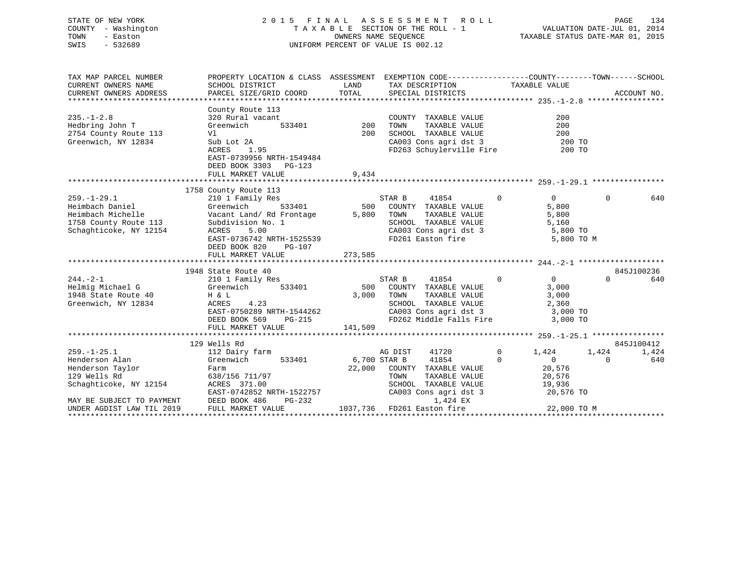## STATE OF NEW YORK 2 0 1 5 F I N A L A S S E S S M E N T R O L L PAGE 134 COUNTY - Washington T A X A B L E SECTION OF THE ROLL - 1 VALUATION DATE-JUL 01, 2014 TOWN - Easton OWNERS NAME SEQUENCE TAXABLE STATUS DATE-MAR 01, 2015 SWIS - 532689 UNIFORM PERCENT OF VALUE IS 002.12

| TAX MAP PARCEL NUMBER     | PROPERTY LOCATION & CLASS ASSESSMENT EXEMPTION CODE----------------COUNTY-------TOWN-----SCHOOL |                        |                                                                                             |                                  |                 |
|---------------------------|-------------------------------------------------------------------------------------------------|------------------------|---------------------------------------------------------------------------------------------|----------------------------------|-----------------|
| CURRENT OWNERS NAME       | SCHOOL DISTRICT                                                                                 | LAND                   | TAX DESCRIPTION                                                                             | TAXABLE VALUE                    |                 |
| CURRENT OWNERS ADDRESS    | PARCEL SIZE/GRID COORD                                                                          | TOTAL                  | SPECIAL DISTRICTS                                                                           |                                  | ACCOUNT NO.     |
|                           |                                                                                                 |                        |                                                                                             |                                  |                 |
|                           | County Route 113                                                                                |                        |                                                                                             |                                  |                 |
| $235. -1 - 2.8$           | 320 Rural vacant                                                                                |                        | COUNTY TAXABLE VALUE                                                                        | 200                              |                 |
| Hedbring John T           | Greenwich                                                                                       | $\frac{1}{533401}$ 200 | TAXABLE VALUE<br>TOWN                                                                       | 200                              |                 |
| 2754 County Route 113     | Vl                                                                                              | 200                    | SCHOOL TAXABLE VALUE                                                                        | 200                              |                 |
| Greenwich, NY 12834       | Sub Lot 2A                                                                                      |                        | CA003 Cons agri dst 3<br>FD263 Schuylerville Fire                                           | 200 TO<br>200 TO                 |                 |
|                           | ACRES 1.95                                                                                      |                        |                                                                                             |                                  |                 |
|                           | EAST-0739956 NRTH-1549484                                                                       |                        |                                                                                             |                                  |                 |
|                           | DEED BOOK 3303 PG-123                                                                           |                        |                                                                                             |                                  |                 |
|                           | FULL MARKET VALUE                                                                               | 9,434                  |                                                                                             |                                  |                 |
|                           |                                                                                                 |                        |                                                                                             |                                  |                 |
|                           | 1758 County Route 113                                                                           |                        |                                                                                             |                                  |                 |
| $259. - 1 - 29.1$         | 210 1 Family Res                                                                                |                        | STAR B<br>41854                                                                             | $\Omega$<br>$\overline{0}$       | $\Omega$<br>640 |
|                           |                                                                                                 |                        | 500 COUNTY TAXABLE VALUE                                                                    | 5,800                            |                 |
|                           |                                                                                                 |                        | 5,800 TOWN<br>TOWN      TAXABLE VALUE<br>SCHOOL   TAXABLE VALUE                             | 5,800                            |                 |
|                           | $\frac{1}{2}$                                                                                   |                        |                                                                                             | 5,160                            |                 |
| Schaghticoke, NY 12154    | ACRES<br>5.00                                                                                   |                        | CA003 Cons agri dst 3 5,800 TO                                                              |                                  |                 |
|                           | EAST-0736742 NRTH-1525539                                                                       |                        | FD261 Easton fire                                                                           | 5,800 TO M                       |                 |
|                           | DEED BOOK 820<br>PG-107                                                                         |                        |                                                                                             |                                  |                 |
|                           | FULL MARKET VALUE                                                                               | 273,585                |                                                                                             |                                  |                 |
|                           | 1948 State Route 40                                                                             |                        |                                                                                             |                                  | 845J100236      |
| $244. - 2 - 1$            | state Route 40<br>210 1 Family Res                                                              |                        | STAR B 41854                                                                                | $\overline{0}$<br>$\overline{0}$ | $\Omega$<br>640 |
| Helmig Michael G          | Greenwich<br>533401                                                                             |                        | 500 COUNTY TAXABLE VALUE                                                                    | 3,000                            |                 |
| 1948 State Route 40       | H & L                                                                                           |                        | TAXABLE VALUE<br>3,000 TOWN                                                                 | 3,000                            |                 |
| Greenwich, NY 12834       | ACRES 4.23                                                                                      |                        | SCHOOL TAXABLE VALUE                                                                        | 2,360                            |                 |
|                           | $EAST-0750289$ NRTH-1544262<br>DEED POOK 550                                                    |                        |                                                                                             |                                  |                 |
|                           | DEED BOOK 569 PG-215                                                                            |                        |                                                                                             |                                  |                 |
|                           | FULL MARKET VALUE                                                                               | 141,509                |                                                                                             |                                  |                 |
|                           |                                                                                                 |                        |                                                                                             |                                  |                 |
|                           | 129 Wells Rd                                                                                    |                        |                                                                                             |                                  | 845J100412      |
| $259. - 1 - 25.1$         | 112 Dairy farm                                                                                  |                        | AG DIST 41720 0 1,424                                                                       |                                  | 1,424<br>1,424  |
| Henderson Alan            | Greenwich                                                                                       |                        | 533401 6,700 STAR B 41854 0                                                                 | $\overline{0}$                   | 640<br>$\Omega$ |
|                           |                                                                                                 |                        | 22,000 COUNTY TAXABLE VALUE 20,576                                                          |                                  |                 |
|                           |                                                                                                 |                        |                                                                                             |                                  |                 |
|                           |                                                                                                 |                        | TOWN TAXABLE VALUE 20,576<br>SCHOOL TAXABLE VALUE 19,936<br>CA003 Cons agri dst 3 20,576 TO |                                  |                 |
|                           | EAST-0742852 NRTH-1522757                                                                       |                        |                                                                                             |                                  |                 |
| MAY BE SUBJECT TO PAYMENT | DEED BOOK 486<br>PG-232                                                                         |                        | 1,424 EX                                                                                    |                                  |                 |
| UNDER AGDIST LAW TIL 2019 | FULL MARKET VALUE                                                                               |                        | 1037,736 FD261 Easton fire                                                                  | 22,000 TO M                      |                 |
|                           |                                                                                                 |                        |                                                                                             |                                  |                 |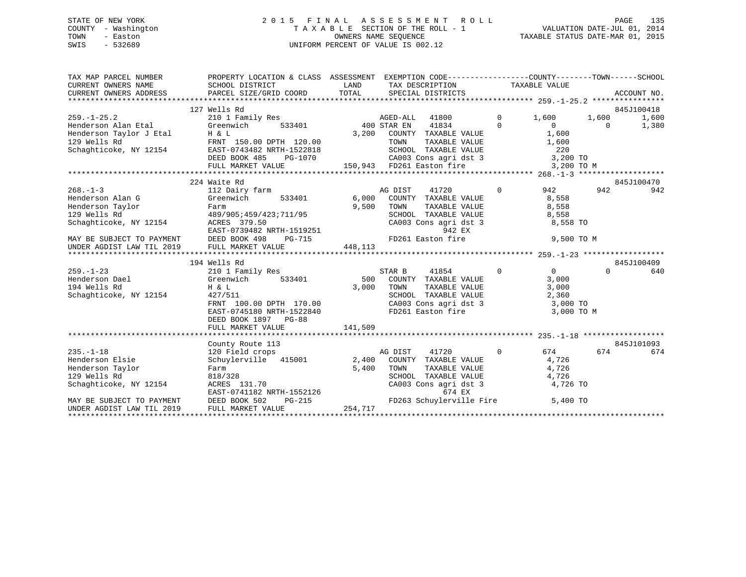#### STATE OF NEW YORK 2 0 1 5 F I N A L A S S E S S M E N T R O L L PAGE 135COUNTY - Washington T A X A B L E SECTION OF THE ROLL - 1 TOWN - Easton **CONNERS NAME SEQUENCE** TAXABLE STATUS DATE-MAR 01, 2015 SWIS - 532689 UNIFORM PERCENT OF VALUE IS 002.12

| TAX MAP PARCEL NUMBER                                                                | PROPERTY LOCATION & CLASS ASSESSMENT EXEMPTION CODE----------------COUNTY-------TOWN------SCHOOL                                                                                                                                                                                                                                           |            |                                                                                               |                |              |          |                     |
|--------------------------------------------------------------------------------------|--------------------------------------------------------------------------------------------------------------------------------------------------------------------------------------------------------------------------------------------------------------------------------------------------------------------------------------------|------------|-----------------------------------------------------------------------------------------------|----------------|--------------|----------|---------------------|
|                                                                                      | 127 Wells Rd<br>$\begin{array}{cccccccc} & & & & & & & 127 & \text{Wells Rd} & & & & & & & & 845J100418 \\ 259.-1-25.2 & & & & & & & & & & & 1600 & & & 1,600 & & 1,600 & & 1,600 & & 1,600 & & 1,600 & & 1,600 & & 1,600 & & 1,600 & & 1,600 & & 1,600 & & 1,600 & & 1,600 & & 1,600 & & 1,600 & & 1,600 & & 1,600 & & 1,600 & & 1,600 &$ |            |                                                                                               |                |              |          | 845J100418<br>1,600 |
| 268.-1-3<br>Henderson Alan G (Greenwich Streenwich                                   | 224 Waite Rd                                                                                                                                                                                                                                                                                                                               |            |                                                                                               | $\overline{0}$ | 942<br>8,558 | 942      | 845J100470<br>942   |
|                                                                                      | Henderson Adam of the Community of the Community of the 129 Wells Rd<br>129 Wells Rd<br>Schaghticoke, NY 12154 acres 379.50<br>EAST-0739482 NRTH-1519251<br>MAY BE SUBJECT TO PAYMENT DEED BOOK 498 PG-715<br>UNDER AGDIST LAW TIL 2019                                                                                                    | 9,500 TOWN | TAXABLE VALUE 8,558<br>SCHOOL TAXABLE VALUE 8,558<br>CA003 Cons agri dst 3 8,558 TO<br>942 EX |                |              |          |                     |
|                                                                                      |                                                                                                                                                                                                                                                                                                                                            |            | FD261 Easton fire 9,500 TO M                                                                  |                |              |          |                     |
|                                                                                      | 194 Wells Rd                                                                                                                                                                                                                                                                                                                               |            |                                                                                               |                |              |          | 845J100409          |
| 194<br>259.-1-23<br>Henderson Dael<br>104 Wells Rd<br>Schaghticoke, NY 12154 427/511 | Wells Rd<br>210 1 Family Res<br>Greenwich 533401 500 COUNTY TAXABLE VALUE 3,000<br>H & L<br>3,000 TOWN TAXABLE VALUE 3,000<br>SCHOOL TAXABLE VALUE 2,360<br>SCHOOL TAXABLE VALUE 2,360<br>2,360<br>3,000<br>2,360<br>FRNT 100.00 DPTH 170.00<br>EAST-0745180 NRTH-1522840<br>DEED BOOK 1897 PG-88                                          |            | CA003 Cons agri dst 3 3,000 TO<br>FD261 Easton fire                                           |                | 3,000 TO M   | $\Omega$ | 640                 |
|                                                                                      | FULL MARKET VALUE                                                                                                                                                                                                                                                                                                                          | 141,509    |                                                                                               |                |              |          |                     |
|                                                                                      | County Route 113                                                                                                                                                                                                                                                                                                                           |            |                                                                                               | $\overline{0}$ | 674 67       | 674      | 845J101093          |
| $235. - 1 - 18$<br>Henderson Elsie                                                   | Schuylerville 415001 2,400 COUNTY TAXABLE VALUE 4,726<br>Example 129 Wells Rd<br>Schaghticoke, NY 12154 acres 131.70<br>MAY BE SUBJECT TO PAYMENT DEED BOOK 502 PG-215 FD263 Schuylerville Fire 5,400 TOWN<br>WHO TAXABLE VALUE 4,726<br>MAY BE SUBJECT TO PAYMENT DEED BOOK 502 PG-215 FD263 S                                            |            | 41720                                                                                         |                |              |          | 674                 |
|                                                                                      |                                                                                                                                                                                                                                                                                                                                            |            |                                                                                               |                |              |          |                     |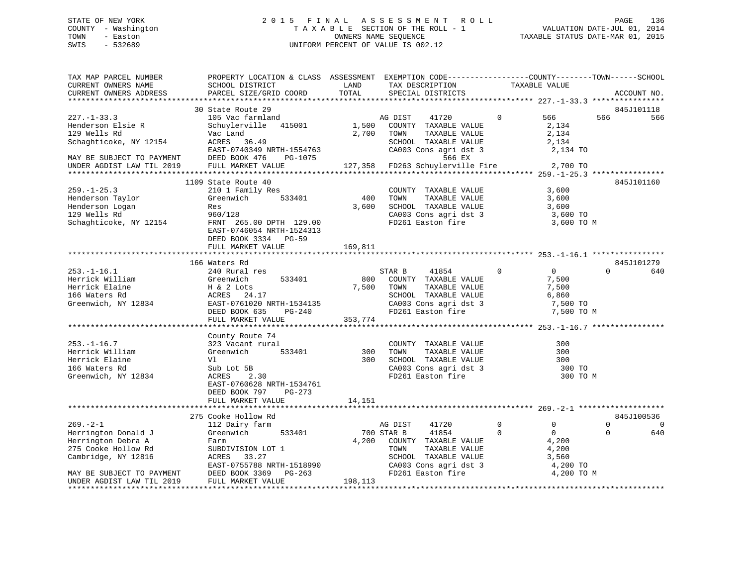## STATE OF NEW YORK 2 0 1 5 F I N A L A S S E S S M E N T R O L L PAGE 136 COUNTY - Washington T A X A B L E SECTION OF THE ROLL - 1 VALUATION DATE-JUL 01, 2014 TOWN - Easton OWNERS NAME SEQUENCE TAXABLE STATUS DATE-MAR 01, 2015 SWIS - 532689 UNIFORM PERCENT OF VALUE IS 002.12

| TAX MAP PARCEL NUMBER                                                                                                                                | PROPERTY LOCATION & CLASS ASSESSMENT EXEMPTION CODE----------------COUNTY-------TOWN------SCHOOL |         |                                                     |                |                        |          |                |
|------------------------------------------------------------------------------------------------------------------------------------------------------|--------------------------------------------------------------------------------------------------|---------|-----------------------------------------------------|----------------|------------------------|----------|----------------|
| CURRENT OWNERS NAME                                                                                                                                  | SCHOOL DISTRICT                                                                                  | LAND    | TAX DESCRIPTION                                     | TAXABLE VALUE  |                        |          |                |
| CURRENT OWNERS ADDRESS                                                                                                                               | PARCEL SIZE/GRID COORD                                                                           | TOTAL   | SPECIAL DISTRICTS                                   |                |                        |          | ACCOUNT NO.    |
|                                                                                                                                                      |                                                                                                  |         |                                                     |                |                        |          |                |
|                                                                                                                                                      | 30 State Route 29                                                                                |         |                                                     |                |                        |          | 845J101118     |
| $227. - 1 - 33.3$                                                                                                                                    | 105 Vac farmland                                                                                 |         | AG DIST<br>41720                                    | $\mathbf{0}$   | 566 —                  | 566      | 566            |
| Henderson Elsie R                                                                                                                                    | Schuylerville 415001                                                                             | 1,500   | COUNTY TAXABLE VALUE                                |                | 2,134                  |          |                |
| 129 Wells Rd                                                                                                                                         | Vac Land                                                                                         | 2,700   | TOWN<br>TAXABLE VALUE                               |                | 2,134                  |          |                |
| Schaghticoke, NY 12154 ACRES 36.49                                                                                                                   |                                                                                                  |         | SCHOOL TAXABLE VALUE                                |                | 2,134                  |          |                |
|                                                                                                                                                      | EAST-0740349 NRTH-1554763                                                                        |         | CA003 Cons agri dst 3                               |                | 2,134 TO               |          |                |
| MAY BE SUBJECT TO PAYMENT<br>UNDER AGDIST LAW TIL 2019                                                                                               | DEED BOOK 476<br>PG-1075                                                                         |         | 566 EX                                              |                |                        |          |                |
|                                                                                                                                                      | FULL MARKET VALUE 127,358 FD263 Schuylerville Fire 2,700 TO                                      |         |                                                     |                |                        |          |                |
|                                                                                                                                                      |                                                                                                  |         |                                                     |                |                        |          |                |
|                                                                                                                                                      | 1109 State Route 40                                                                              |         |                                                     |                |                        |          | 845J101160     |
| $259. - 1 - 25.3$                                                                                                                                    | 210 1 Family Res                                                                                 |         | COUNTY TAXABLE VALUE                                |                | 3,600                  |          |                |
| Henderson Taylor                                                                                                                                     | 533401<br>Greenwich                                                                              | 400     | TAXABLE VALUE<br>TOWN                               |                | 3,600                  |          |                |
| Henderson Logan                                                                                                                                      | Res                                                                                              |         | 3,600 SCHOOL TAXABLE VALUE                          |                | 3,600                  |          |                |
| 129 Wells Rd                                                                                                                                         | 960/128                                                                                          |         | CA003 Cons agri dst 3                               |                | 3,600 TO               |          |                |
| Schaghticoke, NY 12154                                                                                                                               | FRNT 265.00 DPTH 129.00                                                                          |         | FD261 Easton fire                                   |                | 3,600 TO M             |          |                |
|                                                                                                                                                      | EAST-0746054 NRTH-1524313                                                                        |         |                                                     |                |                        |          |                |
|                                                                                                                                                      | DEED BOOK 3334 PG-59                                                                             |         |                                                     |                |                        |          |                |
|                                                                                                                                                      | FULL MARKET VALUE                                                                                | 169,811 |                                                     |                |                        |          |                |
|                                                                                                                                                      |                                                                                                  |         |                                                     |                |                        |          |                |
|                                                                                                                                                      | 166 Waters Rd                                                                                    |         |                                                     |                |                        |          | 845J101279     |
| $253. - 1 - 16.1$                                                                                                                                    | 240 Rural res                                                                                    |         | STAR B<br>41854                                     | $\Omega$       | $\overline{0}$         | $\cap$   | 640            |
| Herrick William                                                                                                                                      | 533401<br>Greenwich                                                                              | 800     | COUNTY TAXABLE VALUE                                |                | 7,500                  |          |                |
| Mericic Milliam Martin Chemical System<br>Herrick Elaine H & 2 Lots<br>166 Waters Rd ACRES 24.17<br>Greenwich, NY 12834 EAST-0761020 NRTH-1534135    |                                                                                                  |         | 7,500 TOWN<br>TAXABLE VALUE                         |                | 7,500                  |          |                |
|                                                                                                                                                      |                                                                                                  |         | SCHOOL TAXABLE VALUE                                |                | 6,860                  |          |                |
|                                                                                                                                                      |                                                                                                  |         |                                                     |                | 7,500 TO               |          |                |
|                                                                                                                                                      | $PG-240$<br>DEED BOOK 635                                                                        |         | : --وما مساحة CAUUS<br>FD261 Easton fire            |                | 7,500 TO M             |          |                |
|                                                                                                                                                      | FULL MARKET VALUE                                                                                | 353,774 |                                                     |                |                        |          |                |
|                                                                                                                                                      |                                                                                                  |         |                                                     |                |                        |          |                |
|                                                                                                                                                      | County Route 74<br>323 Vacant rural                                                              |         |                                                     |                |                        |          |                |
| $253. - 1 - 16.7$                                                                                                                                    |                                                                                                  |         | COUNTY TAXABLE VALUE<br>300 TOWN                    |                | 300                    |          |                |
| Herrick William                                                                                                                                      | Greenwich 533401                                                                                 |         | TAXABLE VALUE                                       |                | 300                    |          |                |
| Herrick Elaine                                                                                                                                       | Vl                                                                                               |         | 300 SCHOOL TAXABLE VALUE                            |                | 300                    |          |                |
| 166 Waters Rd                                                                                                                                        | Sub Lot 5B                                                                                       |         | CA003 Cons agri dst 3<br>FD261 Easton fire          |                | 300 TO                 |          |                |
| Greenwich, NY 12834                                                                                                                                  | 2.30<br>ACRES                                                                                    |         |                                                     |                | 300 TO M               |          |                |
|                                                                                                                                                      | EAST-0760628 NRTH-1534761                                                                        |         |                                                     |                |                        |          |                |
|                                                                                                                                                      | DEED BOOK 797 PG-273                                                                             |         |                                                     |                |                        |          |                |
|                                                                                                                                                      | FULL MARKET VALUE                                                                                | 14,151  |                                                     |                |                        |          |                |
|                                                                                                                                                      | 275 Cooke Hollow Rd                                                                              |         |                                                     |                |                        |          | 845J100536     |
| $269. - 2 - 1$                                                                                                                                       | 112 Dairy farm                                                                                   |         | AG DIST<br>41720                                    | $\overline{0}$ | $\mathbf{0}$           | $\Omega$ | $\overline{0}$ |
| Herrington Donald J                                                                                                                                  | Greenwich<br>533401                                                                              |         | 700 STAR B<br>41854                                 | $\Omega$       | $\overline{0}$         | $\Omega$ | 640            |
|                                                                                                                                                      |                                                                                                  |         |                                                     |                |                        |          |                |
| Herrington Debra A                                                                                                                                   | Farm                                                                                             |         | 4,200 COUNTY TAXABLE VALUE<br>TOWN<br>TAXABLE VALUE |                | 4,200<br>4,200         |          |                |
|                                                                                                                                                      |                                                                                                  |         |                                                     |                |                        |          |                |
|                                                                                                                                                      |                                                                                                  |         | --<br>SCHOOL TAXABLE VALUE<br>CA003 Cons agri dst 3 |                | 3,560                  |          |                |
| 275 Cooke Hollow Rd<br>275 Cooke Hollow Rd<br>Cambridge, NY 12816<br>MAY BE SUBJECT TO PAYMENT<br>MAY BE SUBJECT TO PAYMENT<br>DEED BOOK 3369 PG-263 | EAST-0755788 NRTH-1518990<br>DEED BOOK 3369 DG-263                                               |         | FD261 Easton fire                                   |                | 4,200 TO<br>4,200 TO M |          |                |
| UNDER AGDIST LAW TIL 2019                                                                                                                            | FULL MARKET VALUE                                                                                | 198,113 |                                                     |                |                        |          |                |
|                                                                                                                                                      |                                                                                                  |         |                                                     |                |                        |          |                |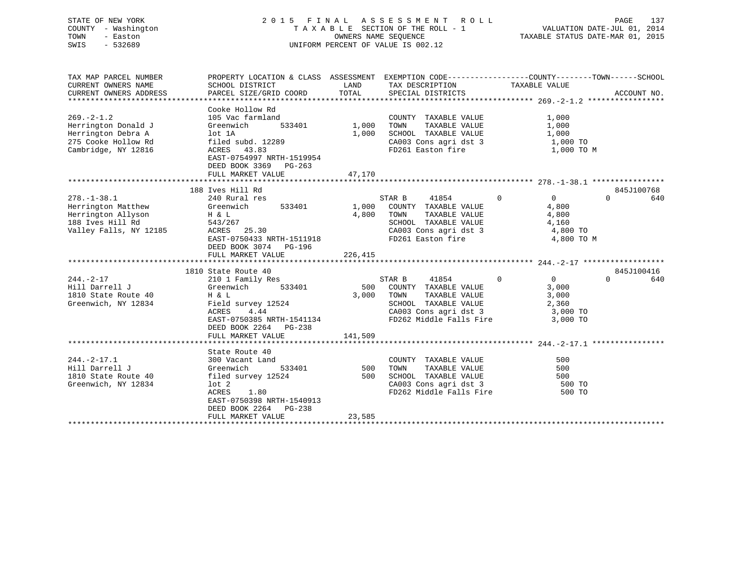| STATE OF NEW YORK<br>- Washington<br>COUNTY<br>TOWN<br>- Easton<br>SWIS<br>$-532689$ |                                                                                           |                             | 2015 FINAL ASSESSMENT ROLL<br>TAXABLE SECTION OF THE ROLL - 1<br>OWNERS NAME SEQUENCE<br>UNIFORM PERCENT OF VALUE IS 002.12 |                                     | 137<br>PAGE<br>VALUATION DATE-JUL 01, 2014<br>TAXABLE STATUS DATE-MAR 01, 2015 |
|--------------------------------------------------------------------------------------|-------------------------------------------------------------------------------------------|-----------------------------|-----------------------------------------------------------------------------------------------------------------------------|-------------------------------------|--------------------------------------------------------------------------------|
| TAX MAP PARCEL NUMBER<br>CURRENT OWNERS NAME<br>CURRENT OWNERS ADDRESS               | PROPERTY LOCATION & CLASS<br>SCHOOL DISTRICT<br>PARCEL SIZE/GRID COORD                    | ASSESSMENT<br>LAND<br>TOTAL | EXEMPTION CODE-----------------COUNTY-------TOWN------SCHOOL<br>TAX DESCRIPTION<br>SPECIAL DISTRICTS                        | TAXABLE VALUE                       | ACCOUNT NO.                                                                    |
| $269. -2 - 1.2$<br>Herrington Donald J<br>Herrington Debra A<br>275 Cooke Hollow Rd  | Cooke Hollow Rd<br>105 Vac farmland<br>533401<br>Greenwich<br>lot 1A<br>filed subd. 12289 | 1,000<br>1,000              | COUNTY<br>TAXABLE VALUE<br>TOWN<br>TAXABLE VALUE<br>SCHOOL<br>TAXABLE VALUE<br>CA003 Cons agri dst 3                        | 1,000<br>1,000<br>1,000<br>1,000 TO |                                                                                |

| Cambridge, NY 12816    | ACRES 43.83<br>EAST-0754997 NRTH-1519954<br>DEED BOOK 3369 PG-263<br>FULL MARKET VALUE | 47,170        | FD261 Easton fire                                         | 1,000 TO M           |            |
|------------------------|----------------------------------------------------------------------------------------|---------------|-----------------------------------------------------------|----------------------|------------|
|                        | 188 Ives Hill Rd                                                                       |               |                                                           |                      | 845J100768 |
| $278. - 1 - 38.1$      | 240 Rural res                                                                          | STAR B        | $\Omega$<br>41854                                         | $\Omega$<br>$\Omega$ | 640        |
| Herrington Matthew     | Greenwich<br>533401                                                                    | 1,000         | COUNTY TAXABLE VALUE                                      | 4,800                |            |
| Herrington Allyson     | $H \& L$                                                                               | 4,800<br>TOWN | TAXABLE VALUE                                             | 4,800                |            |
| 188 Ives Hill Rd       | 543/267                                                                                |               | SCHOOL TAXABLE VALUE                                      | 4,160                |            |
| Valley Falls, NY 12185 | ACRES 25.30                                                                            |               | CA003 Cons agri dst 3                                     | 4,800 TO             |            |
|                        | EAST-0750433 NRTH-1511918                                                              |               | FD261 Easton fire                                         | 4,800 TO M           |            |
|                        | DEED BOOK 3074<br>PG-196                                                               |               |                                                           |                      |            |
|                        | FULL MARKET VALUE                                                                      | 226,415       |                                                           |                      |            |
|                        |                                                                                        |               |                                                           |                      |            |
|                        | 1810 State Route 40                                                                    |               |                                                           |                      | 845J100416 |
| $244. - 2 - 17$        | 210 1 Family Res                                                                       | STAR B        | $\Omega$<br>41854                                         | $\Omega$<br>$\Omega$ | 640        |
| Hill Darrell J         | Greenwich<br>533401                                                                    |               | 500 COUNTY TAXABLE VALUE                                  | 3,000                |            |
| 1810 State Route 40    | H & L                                                                                  | 3,000<br>TOWN | TAXABLE VALUE                                             | 3,000                |            |
| Greenwich, NY 12834    | Field survey 12524<br>4.44                                                             |               | SCHOOL TAXABLE VALUE                                      | 2,360                |            |
|                        | ACRES                                                                                  |               | CA003 Cons agri dst 3 3,000 TO<br>FD262 Middle Falls Fire |                      |            |
|                        | EAST-0750385 NRTH-1541134<br>DEED BOOK 2264 PG-238                                     |               |                                                           | 3,000 TO             |            |
|                        | FULL MARKET VALUE                                                                      | 141,509       |                                                           |                      |            |
|                        |                                                                                        |               |                                                           |                      |            |
|                        | State Route 40                                                                         |               |                                                           |                      |            |
| $244. - 2 - 17.1$      | 300 Vacant Land                                                                        |               | COUNTY TAXABLE VALUE                                      | 500                  |            |
| Hill Darrell J         | Greenwich<br>533401                                                                    | 500<br>TOWN   | TAXABLE VALUE                                             | 500                  |            |
| 1810 State Route 40    | filed survey 12524                                                                     | 500           | SCHOOL TAXABLE VALUE                                      | 500                  |            |
| Greenwich, NY 12834    | lot 2                                                                                  |               | CA003 Cons agri dst 3                                     | 500 TO               |            |
|                        | ACRES<br>1.80                                                                          |               | FD262 Middle Falls Fire                                   | 500 TO               |            |
|                        | EAST-0750398 NRTH-1540913                                                              |               |                                                           |                      |            |
|                        | DEED BOOK 2264 PG-238                                                                  |               |                                                           |                      |            |
|                        | FULL MARKET VALUE                                                                      | 23,585        |                                                           |                      |            |
|                        |                                                                                        |               |                                                           |                      |            |
|                        |                                                                                        |               |                                                           |                      |            |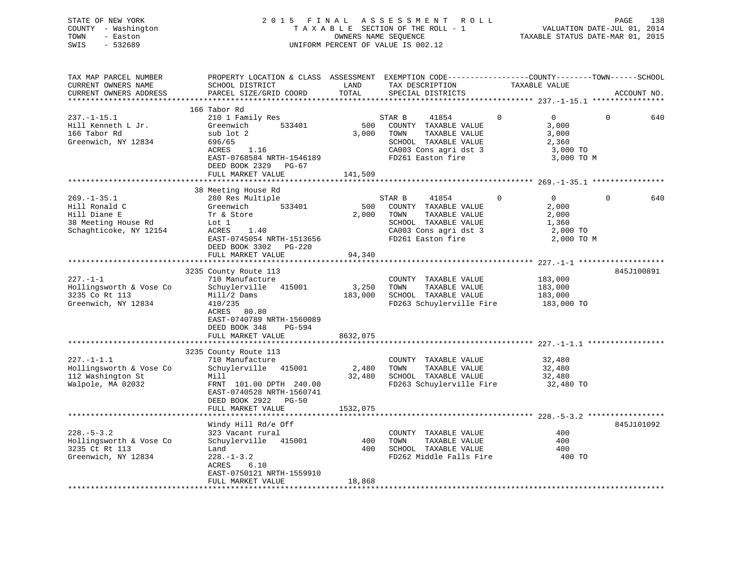| STATE OF NEW YORK<br>- Washington<br>COUNTY<br>TOWN<br>- Easton<br>SWIS<br>$-532689$ |                                                                        |                             | 2015 FINAL ASSESSMENT ROLL<br>TAXABLE SECTION OF THE ROLL - 1<br>OWNERS NAME SEOUENCE<br>UNIFORM PERCENT OF VALUE IS 002.12 |                                                                                | PAGE<br>VALUATION DATE-JUL 01, 2014<br>TAXABLE STATUS DATE-MAR 01, 2015 | 138 |
|--------------------------------------------------------------------------------------|------------------------------------------------------------------------|-----------------------------|-----------------------------------------------------------------------------------------------------------------------------|--------------------------------------------------------------------------------|-------------------------------------------------------------------------|-----|
| TAX MAP PARCEL NUMBER<br>CURRENT OWNERS NAME<br>CURRENT OWNERS ADDRESS               | PROPERTY LOCATION & CLASS<br>SCHOOL DISTRICT<br>PARCEL SIZE/GRID COORD | ASSESSMENT<br>LAND<br>TOTAL | TAX DESCRIPTION<br>SPECIAL DISTRICTS                                                                                        | EXEMPTION CODE-----------------COUNTY--------TOWN------SCHOOL<br>TAXABLE VALUE | ACCOUNT NO.                                                             |     |

|                         | 166 Tabor Rd                   |          |                                    |                |                 |
|-------------------------|--------------------------------|----------|------------------------------------|----------------|-----------------|
| $237. - 1 - 15.1$       | 210 1 Family Res               |          | $\mathbf{0}$<br>STAR B<br>41854    | $\Omega$       | $\Omega$<br>640 |
| Hill Kenneth L Jr.      | Greenwich<br>533401            | 500      | COUNTY TAXABLE VALUE               | 3,000          |                 |
| 166 Tabor Rd            | sub lot 2                      | 3,000    | TOWN<br>TAXABLE VALUE              | 3,000          |                 |
| Greenwich, NY 12834     | 696/65                         |          | SCHOOL TAXABLE VALUE               | 2,360          |                 |
|                         | ACRES<br>1.16                  |          | CA003 Cons agri dst 3              | 3,000 TO       |                 |
|                         | EAST-0768584 NRTH-1546189      |          | FD261 Easton fire                  | 3,000 TO M     |                 |
|                         | DEED BOOK 2329 PG-67           |          |                                    |                |                 |
|                         | FULL MARKET VALUE              | 141,509  |                                    |                |                 |
|                         |                                |          |                                    |                |                 |
|                         | 38 Meeting House Rd            |          |                                    |                |                 |
| $269. - 1 - 35.1$       | 280 Res Multiple               |          | $\mathbf{0}$<br>STAR B<br>41854    | $\overline{0}$ | $\Omega$<br>640 |
| Hill Ronald C           | 533401<br>Greenwich            | 500      | COUNTY TAXABLE VALUE               | 2,000          |                 |
| Hill Diane E            | Tr & Store                     | 2,000    | TOWN<br>TAXABLE VALUE              | 2,000          |                 |
| 38 Meeting House Rd     |                                |          |                                    |                |                 |
|                         | Lot 1                          |          | SCHOOL TAXABLE VALUE               | 1,360          |                 |
| Schaghticoke, NY 12154  | ACRES<br>1.40                  |          | CA003 Cons agri dst 3              | 2,000 TO       |                 |
|                         | EAST-0745054 NRTH-1513656      |          | FD261 Easton fire                  | 2,000 TO M     |                 |
|                         | DEED BOOK 3302 PG-220          |          |                                    |                |                 |
|                         | FULL MARKET VALUE              | 94,340   |                                    |                |                 |
|                         | ****************************** |          |                                    |                |                 |
|                         | 3235 County Route 113          |          |                                    |                | 845J100891      |
| $227. - 1 - 1$          | 710 Manufacture                |          | COUNTY TAXABLE VALUE               | 183,000        |                 |
| Hollingsworth & Vose Co | Schuylerville 415001           | 3,250    | TOWN<br>TAXABLE VALUE              | 183,000        |                 |
| 3235 Co Rt 113          | Mill/2 Dams                    | 183,000  | SCHOOL TAXABLE VALUE               | 183,000        |                 |
| Greenwich, NY 12834     | 410/235                        |          | FD263 Schuylerville Fire           | 183,000 TO     |                 |
|                         | ACRES<br>80.80                 |          |                                    |                |                 |
|                         | EAST-0740789 NRTH-1560089      |          |                                    |                |                 |
|                         | DEED BOOK 348<br>PG-594        |          |                                    |                |                 |
|                         | FULL MARKET VALUE              | 8632,075 |                                    |                |                 |
|                         |                                |          |                                    |                |                 |
|                         | 3235 County Route 113          |          |                                    |                |                 |
| $227. -1 - 1.1$         | 710 Manufacture                |          | COUNTY TAXABLE VALUE               | 32,480         |                 |
| Hollingsworth & Vose Co | Schuylerville 415001           | 2,480    | TOWN<br>TAXABLE VALUE              | 32,480         |                 |
| 112 Washington St       | Mill                           | 32,480   | SCHOOL TAXABLE VALUE               | 32,480         |                 |
| Walpole, MA 02032       | FRNT 101.00 DPTH 240.00        |          | FD263 Schuylerville Fire 32,480 TO |                |                 |
|                         | EAST-0740528 NRTH-1560741      |          |                                    |                |                 |
|                         | DEED BOOK 2922 PG-50           |          |                                    |                |                 |
|                         | FULL MARKET VALUE              | 1532,075 |                                    |                |                 |
|                         |                                |          |                                    |                |                 |
|                         | Windy Hill Rd/e Off            |          |                                    |                | 845J101092      |
| $228. - 5 - 3.2$        | 323 Vacant rural               |          | COUNTY TAXABLE VALUE               | 400            |                 |
| Hollingsworth & Vose Co | Schuylerville 415001           | 400      | TOWN<br>TAXABLE VALUE              | 400            |                 |
| 3235 Ct Rt 113          | Land                           | 400      | SCHOOL TAXABLE VALUE               | 400            |                 |
| Greenwich, NY 12834     | $228. - 1 - 3.2$               |          | FD262 Middle Falls Fire            | 400 TO         |                 |
|                         | ACRES<br>6.10                  |          |                                    |                |                 |
|                         | EAST-0750121 NRTH-1559910      |          |                                    |                |                 |
|                         | FULL MARKET VALUE              | 18,868   |                                    |                |                 |
|                         |                                |          |                                    |                |                 |
|                         |                                |          |                                    |                |                 |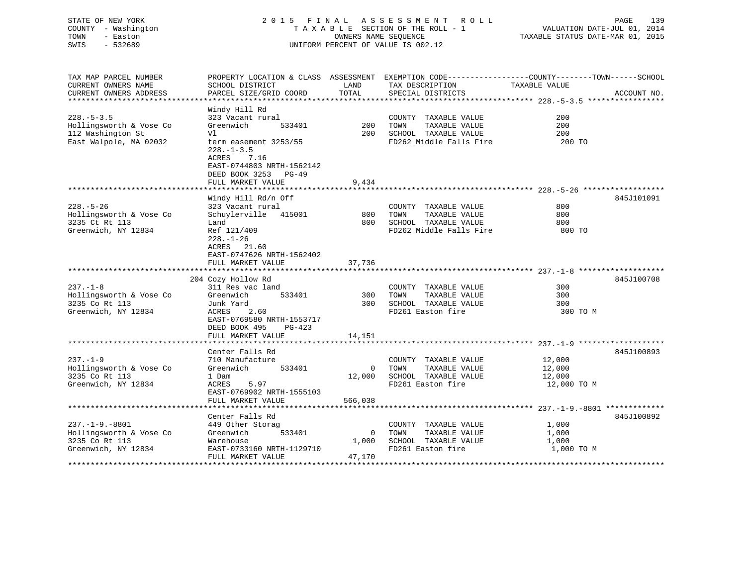## STATE OF NEW YORK 2 0 1 5 F I N A L A S S E S S M E N T R O L L PAGE 139 COUNTY - Washington T A X A B L E SECTION OF THE ROLL - 1 VALUATION DATE-JUL 01, 2014 TOWN - Easton **CONNERS NAME SEQUENCE** TAXABLE STATUS DATE-MAR 01, 2015 SWIS - 532689 UNIFORM PERCENT OF VALUE IS 002.12

| TAX MAP PARCEL NUMBER                         |                                                |               |                                      | PROPERTY LOCATION & CLASS ASSESSMENT EXEMPTION CODE---------------COUNTY-------TOWN-----SCHOOL |
|-----------------------------------------------|------------------------------------------------|---------------|--------------------------------------|------------------------------------------------------------------------------------------------|
| CURRENT OWNERS NAME<br>CURRENT OWNERS ADDRESS | SCHOOL DISTRICT<br>PARCEL SIZE/GRID COORD      | LAND<br>TOTAL | TAX DESCRIPTION<br>SPECIAL DISTRICTS | TAXABLE VALUE<br>ACCOUNT NO.                                                                   |
|                                               |                                                |               |                                      |                                                                                                |
|                                               | Windy Hill Rd                                  |               |                                      |                                                                                                |
| $228. - 5 - 3.5$                              | 323 Vacant rural                               |               | COUNTY TAXABLE VALUE                 | 200                                                                                            |
| Hollingsworth & Vose Co                       | Greenwich<br>533401                            | 200           | TOWN<br>TAXABLE VALUE                | 200                                                                                            |
| 112 Washington St                             | Vl                                             | 200           | SCHOOL TAXABLE VALUE                 | 200                                                                                            |
| East Walpole, MA 02032                        | term easement 3253/55                          |               | FD262 Middle Falls Fire              | 200 TO                                                                                         |
|                                               | $228. - 1 - 3.5$                               |               |                                      |                                                                                                |
|                                               | ACRES<br>7.16                                  |               |                                      |                                                                                                |
|                                               | EAST-0744803 NRTH-1562142                      |               |                                      |                                                                                                |
|                                               | DEED BOOK 3253 PG-49                           |               |                                      |                                                                                                |
|                                               | FULL MARKET VALUE                              | 9,434         |                                      |                                                                                                |
|                                               |                                                |               |                                      |                                                                                                |
|                                               | Windy Hill Rd/n Off                            |               |                                      | 845J101091                                                                                     |
| $228. - 5 - 26$                               | 323 Vacant rural                               |               | COUNTY TAXABLE VALUE                 | 800                                                                                            |
| Hollingsworth & Vose Co                       | Schuylerville<br>415001                        | 800           | TAXABLE VALUE<br>TOWN                | 800                                                                                            |
| 3235 Ct Rt 113                                | Land                                           | 800           | SCHOOL TAXABLE VALUE                 | 800                                                                                            |
| Greenwich, NY 12834                           | Ref 121/409                                    |               | FD262 Middle Falls Fire              | 800 TO                                                                                         |
|                                               | $228. - 1 - 26$                                |               |                                      |                                                                                                |
|                                               | ACRES 21.60                                    |               |                                      |                                                                                                |
|                                               | EAST-0747626 NRTH-1562402<br>FULL MARKET VALUE | 37,736        |                                      |                                                                                                |
|                                               |                                                |               |                                      |                                                                                                |
|                                               | 204 Cozy Hollow Rd                             |               |                                      | 845J100708                                                                                     |
| $237. - 1 - 8$                                | 311 Res vac land                               |               | COUNTY TAXABLE VALUE                 | 300                                                                                            |
| Hollingsworth & Vose Co                       | Greenwich<br>533401                            | 300           | TOWN<br>TAXABLE VALUE                | 300                                                                                            |
| 3235 Co Rt 113                                | Junk Yard                                      | 300           | SCHOOL TAXABLE VALUE                 | 300                                                                                            |
| Greenwich, NY 12834                           | ACRES<br>2.60                                  |               | FD261 Easton fire                    | 300 TO M                                                                                       |
|                                               | EAST-0769580 NRTH-1553717                      |               |                                      |                                                                                                |
|                                               | DEED BOOK 495<br>$PG-423$                      |               |                                      |                                                                                                |
|                                               | FULL MARKET VALUE                              | 14,151        |                                      |                                                                                                |
|                                               | *************************                      | ***********   |                                      |                                                                                                |
|                                               | Center Falls Rd                                |               |                                      | 845J100893                                                                                     |
| $237. - 1 - 9$                                | 710 Manufacture                                |               | COUNTY TAXABLE VALUE                 | 12,000                                                                                         |
| Hollingsworth & Vose Co                       | 533401<br>Greenwich                            | $\mathbf{0}$  | TOWN<br>TAXABLE VALUE                | 12,000                                                                                         |
| 3235 Co Rt 113                                | 1 Dam                                          | 12,000        | SCHOOL TAXABLE VALUE                 | 12,000                                                                                         |
| Greenwich, NY 12834                           | ACRES<br>5.97                                  |               | FD261 Easton fire                    | 12,000 TO M                                                                                    |
|                                               | EAST-0769902 NRTH-1555103                      |               |                                      |                                                                                                |
|                                               | FULL MARKET VALUE                              | 566,038       |                                      |                                                                                                |
|                                               |                                                |               |                                      | 845J100892                                                                                     |
| $237. - 1 - 9. - 8801$                        | Center Falls Rd<br>449 Other Storag            |               | COUNTY TAXABLE VALUE                 | 1,000                                                                                          |
| Hollingsworth & Vose Co                       | Greenwich<br>533401                            | $\mathbf{0}$  | TOWN<br>TAXABLE VALUE                |                                                                                                |
| 3235 Co Rt 113                                | Warehouse                                      | 1,000         | SCHOOL TAXABLE VALUE                 | 1,000<br>1,000                                                                                 |
| Greenwich, NY 12834                           | EAST-0733160 NRTH-1129710                      |               | FD261 Easton fire                    | 1,000 TO M                                                                                     |
|                                               | FULL MARKET VALUE                              | 47,170        |                                      |                                                                                                |
|                                               |                                                |               |                                      |                                                                                                |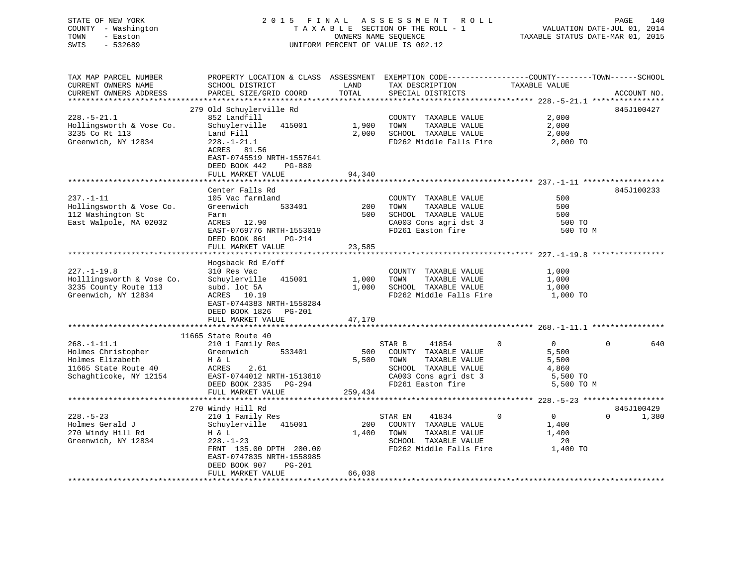STATE OF NEW YORK 2 0 1 5 F I N A L A S S E S S M E N T R O L L PAGE 140 COUNTY - Washington T A X A B L E SECTION OF THE ROLL - 1 VALUATION DATE-JUL 01, 2014 TOWN - Easton OWNERS NAME SEQUENCE TAXABLE STATUS DATE-MAR 01, 2015 SWIS - 532689 UNIFORM PERCENT OF VALUE IS 002.12

| TAX MAP PARCEL NUMBER<br>CURRENT OWNERS NAME                                                                  | PROPERTY LOCATION & CLASS ASSESSMENT EXEMPTION CODE---------------COUNTY-------TOWN------SCHOOL<br>SCHOOL DISTRICT                                                                                | LAND                     | TAX DESCRIPTION                                                                                                                        | TAXABLE VALUE                                                                   |                                 |
|---------------------------------------------------------------------------------------------------------------|---------------------------------------------------------------------------------------------------------------------------------------------------------------------------------------------------|--------------------------|----------------------------------------------------------------------------------------------------------------------------------------|---------------------------------------------------------------------------------|---------------------------------|
| CURRENT OWNERS ADDRESS                                                                                        | PARCEL SIZE/GRID COORD                                                                                                                                                                            | TOTAL                    | SPECIAL DISTRICTS                                                                                                                      |                                                                                 | ACCOUNT NO.                     |
|                                                                                                               |                                                                                                                                                                                                   |                          |                                                                                                                                        |                                                                                 |                                 |
| $228. - 5 - 21.1$<br>Hollingsworth & Vose Co.<br>3235 Co Rt 113<br>Greenwich, NY 12834                        | 279 Old Schuylerville Rd<br>852 Landfill<br>Schuylerville 415001<br>Land Fill<br>$228. - 1 - 21.1$<br>ACRES 81.56<br>EAST-0745519 NRTH-1557641<br>DEED BOOK 442<br>PG-880<br>FULL MARKET VALUE    | 1,900<br>2,000<br>94,340 | COUNTY TAXABLE VALUE<br>TOWN<br>TAXABLE VALUE<br>SCHOOL TAXABLE VALUE<br>FD262 Middle Falls Fire 2,000 TO                              | 2,000<br>2,000<br>2,000                                                         | 845J100427                      |
|                                                                                                               |                                                                                                                                                                                                   |                          |                                                                                                                                        |                                                                                 |                                 |
| $237. - 1 - 11$<br>Hollingsworth & Vose Co.<br>112 Washington St<br>East Walpole, MA 02032                    | Center Falls Rd<br>105 Vac farmland<br>533401<br>Greenwich<br>Farm<br>ACRES 12.90<br>EAST-0769776 NRTH-1553019<br>DEED BOOK 861<br>PG-214<br>FULL MARKET VALUE                                    | 200<br>23,585            | COUNTY TAXABLE VALUE<br>TOWN<br>TAXABLE VALUE<br>500 SCHOOL TAXABLE VALUE<br>CA003 Cons agri dst 3<br>FD261 Easton fire                | 500<br>500<br>500<br>500 TO<br>500 TO M                                         | 845J100233                      |
|                                                                                                               |                                                                                                                                                                                                   |                          |                                                                                                                                        |                                                                                 |                                 |
| $227. - 1 - 19.8$<br>Holllingsworth & Vose Co.<br>3235 County Route 113<br>Greenwich, NY 12834                | Hogsback Rd E/off<br>310 Res Vac<br>Schuylerville 415001<br>subd. lot 5A<br>ACRES 10.19<br>EAST-0744383 NRTH-1558284<br>DEED BOOK 1826 PG-201<br>FULL MARKET VALUE                                | 1,000<br>1,000<br>47,170 | COUNTY TAXABLE VALUE<br>TOWN<br>TAXABLE VALUE<br>SCHOOL TAXABLE VALUE<br>FD262 Middle Falls Fire                                       | 1,000<br>1,000<br>1,000<br>1,000 TO                                             |                                 |
|                                                                                                               | 11665 State Route 40                                                                                                                                                                              |                          |                                                                                                                                        |                                                                                 |                                 |
| $268. - 1 - 11.1$<br>Holmes Christopher<br>Holmes Elizabeth<br>11665 State Route 40<br>Schaghticoke, NY 12154 | 210 1 Family Res<br>Greenwich 533401<br>H & L<br>ACRES<br>2.61<br>EAST-0744012 NRTH-1513610<br>DEED BOOK 2335 PG-294<br>FULL MARKET VALUE                                                         | 500<br>5,500<br>259,434  | STAR B<br>41854<br>COUNTY TAXABLE VALUE<br>TAXABLE VALUE<br>TOWN<br>SCHOOL TAXABLE VALUE<br>CA003 Cons agri dst 3<br>FD261 Easton fire | $\Omega$<br>$\overline{0}$<br>5,500<br>5,500<br>4,860<br>5,500 TO<br>5,500 TO M | 640<br>$\Omega$                 |
|                                                                                                               |                                                                                                                                                                                                   |                          |                                                                                                                                        |                                                                                 |                                 |
| $228. - 5 - 23$<br>Holmes Gerald J<br>270 Windy Hill Rd<br>Greenwich, NY 12834                                | 270 Windy Hill Rd<br>210 1 Family Res<br>Schuylerville 415001<br>H & L<br>$228. - 1 - 23$<br>FRNT 135.00 DPTH 200.00<br>EAST-0747835 NRTH-1558985<br>PG-201<br>DEED BOOK 907<br>FULL MARKET VALUE | 1,400<br>66,038          | STAR EN<br>41834<br>200 COUNTY TAXABLE VALUE<br>TOWN<br>TAXABLE VALUE<br>SCHOOL TAXABLE VALUE<br>FD262 Middle Falls Fire               | $\mathbf{0}$<br>$\overline{0}$<br>1,400<br>1,400<br>20<br>1,400 TO              | 845J100429<br>1,380<br>$\Omega$ |
|                                                                                                               |                                                                                                                                                                                                   |                          |                                                                                                                                        |                                                                                 |                                 |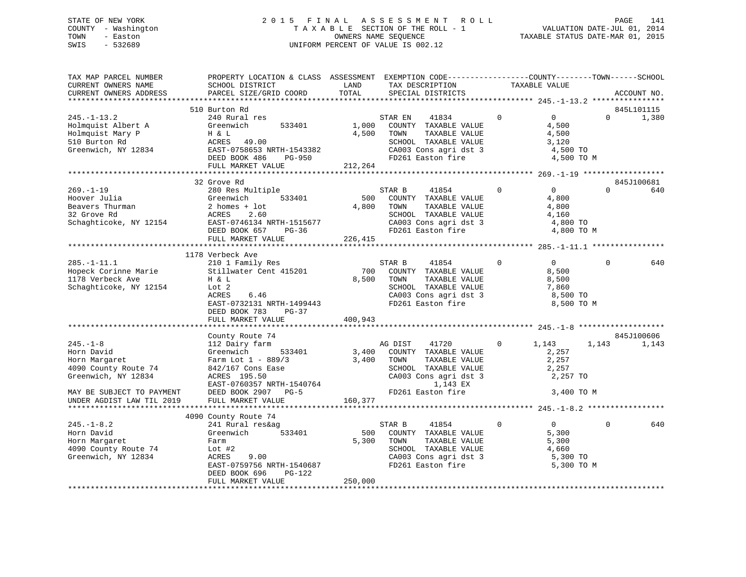## STATE OF NEW YORK 2 0 1 5 F I N A L A S S E S S M E N T R O L L PAGE 141 COUNTY - Washington T A X A B L E SECTION OF THE ROLL - 1 VALUATION DATE-JUL 01, 2014 TOWN - Easton **CONNERS NAME SEQUENCE** TAXABLE STATUS DATE-MAR 01, 2015 SWIS - 532689 UNIFORM PERCENT OF VALUE IS 002.12

| TAX MAP PARCEL NUMBER<br>CURRENT OWNERS NAME<br>CURRENT OWNERS ADDRESS                                                                                 | PROPERTY LOCATION & CLASS ASSESSMENT EXEMPTION CODE---------------COUNTY-------TOWN------SCHOOL<br>SCHOOL DISTRICT<br>PARCEL SIZE/GRID COORD                                                   | LAND<br>TOTAL             | TAX DESCRIPTION<br>SPECIAL DISTRICTS                                                                                                                | TAXABLE VALUE |                                                                                        | ACCOUNT NO.         |
|--------------------------------------------------------------------------------------------------------------------------------------------------------|------------------------------------------------------------------------------------------------------------------------------------------------------------------------------------------------|---------------------------|-----------------------------------------------------------------------------------------------------------------------------------------------------|---------------|----------------------------------------------------------------------------------------|---------------------|
|                                                                                                                                                        |                                                                                                                                                                                                |                           |                                                                                                                                                     |               |                                                                                        |                     |
| $245. - 1 - 13.2$<br>Holmquist Albert A<br>Holmquist Mary P<br>510 Burton Rd<br>Greenwich, NY 12834                                                    | 510 Burton Rd<br>240 Rural res<br>Greenwich<br>533401<br>H & L<br>ACRES 49.00<br>EAST-0758653 NRTH-1543382<br>DEED BOOK 486<br>PG-950<br>FULL MARKET VALUE                                     | 1,000<br>4,500<br>212,264 | 41834<br>STAR EN<br>COUNTY TAXABLE VALUE<br>TAXABLE VALUE<br>TOWN<br>SCHOOL TAXABLE VALUE<br>CA003 Cons agri dst 3<br>FD261 Easton fire             | $\mathbf 0$   | $0 \qquad \qquad$<br>$\mathbf{0}$<br>4,500<br>4,500<br>3,120<br>4,500 TO<br>4,500 TO M | 845L101115<br>1,380 |
|                                                                                                                                                        |                                                                                                                                                                                                |                           |                                                                                                                                                     |               |                                                                                        |                     |
| $269. - 1 - 19$<br>Hoover Julia<br>Beavers Thurman<br>32 Grove Rd<br>Schaghticoke, NY 12154                                                            | 32 Grove Rd<br>280 Res Multiple<br>Greenwich<br>533401<br>$2$ homes + $1$ ot<br>ACRES<br>2.60<br>EAST-0746134 NRTH-1515677<br>DEED BOOK 657<br>$PG-36$                                         | 500<br>4,800              | STAR B<br>41854<br>COUNTY TAXABLE VALUE<br>TOWN<br>TAXABLE VALUE<br>SCHOOL TAXABLE VALUE<br>CA003 Cons agri dst 3<br>FD261 Easton fire              | $\Omega$      | 0<br>$\Omega$<br>4,800<br>4,800<br>4,160<br>4,800 TO<br>4,800 TO M                     | 845J100681<br>640   |
|                                                                                                                                                        | FULL MARKET VALUE                                                                                                                                                                              | 226,415                   |                                                                                                                                                     |               |                                                                                        |                     |
|                                                                                                                                                        |                                                                                                                                                                                                |                           |                                                                                                                                                     |               |                                                                                        |                     |
| $285. - 1 - 11.1$<br>Hopeck Corinne Marie<br>1178 Verbeck Ave<br>Schaghticoke, NY 12154                                                                | 1178 Verbeck Ave<br>210 1 Family Res<br>Stillwater Cent 415201<br>H & L<br>Lot 2<br>ACRES<br>6.46<br>EAST-0732131 NRTH-1499443<br>DEED BOOK 783<br>$PG-37$<br>FULL MARKET VALUE                | 700<br>8.500<br>400,943   | 41854<br>STAR B<br>COUNTY TAXABLE VALUE<br>TOWN<br>TAXABLE VALUE<br>SCHOOL TAXABLE VALUE<br>CA003 Cons agri dst 3<br>FD261 Easton fire              | $\mathbf{0}$  | $0 \qquad \qquad$<br>0<br>8,500<br>8,500<br>7,860<br>8,500 TO<br>8,500 TO M            | 640                 |
|                                                                                                                                                        |                                                                                                                                                                                                |                           |                                                                                                                                                     |               |                                                                                        |                     |
| $245. - 1 - 8$<br>Horn David<br>Horn Margaret<br>4090 County Route 74<br>Greenwich, NY 12834<br>MAY BE SUBJECT TO PAYMENT<br>UNDER AGDIST LAW TIL 2019 | County Route 74<br>112 Dairy farm<br>Greenwich<br>533401<br>Farm Lot $1 - 889/3$<br>842/167 Cons Ease<br>ACRES 195.50<br>EAST-0760357 NRTH-1540764<br>DEED BOOK 2907 PG-5<br>FULL MARKET VALUE | 3,400<br>3,400<br>160,377 | AG DIST<br>41720<br>COUNTY TAXABLE VALUE<br>TAXABLE VALUE<br>TOWN<br>SCHOOL TAXABLE VALUE<br>CA003 Cons agri dst 3<br>1,143 EX<br>FD261 Easton fire | $\mathbf{0}$  | 1,143<br>1,143<br>2,257<br>2,257<br>2,257<br>2,257 TO<br>3,400 TO M                    | 845J100606<br>1,143 |
|                                                                                                                                                        |                                                                                                                                                                                                |                           |                                                                                                                                                     |               |                                                                                        |                     |
| $245. - 1 - 8.2$<br>Horn David<br>Horn Margaret<br>4090 County Route 74<br>Greenwich, NY 12834                                                         | 4090 County Route 74<br>241 Rural res&ag<br>Greenwich<br>533401<br>Farm<br>Lot $#2$<br>ACRES<br>9.00<br>EAST-0759756 NRTH-1540687<br>DEED BOOK 696<br>PG-122                                   | 500<br>5,300              | 41854<br>STAR B<br>COUNTY TAXABLE VALUE<br>TOWN<br>TAXABLE VALUE<br>SCHOOL TAXABLE VALUE<br>CA003 Cons agri dst 3<br>FD261 Easton fire              | $\Omega$      | $\Omega$<br>$\Omega$<br>5,300<br>5,300<br>4,660<br>5,300 TO<br>5,300 TO M              | 640                 |
|                                                                                                                                                        | FULL MARKET VALUE                                                                                                                                                                              | 250,000                   |                                                                                                                                                     |               |                                                                                        |                     |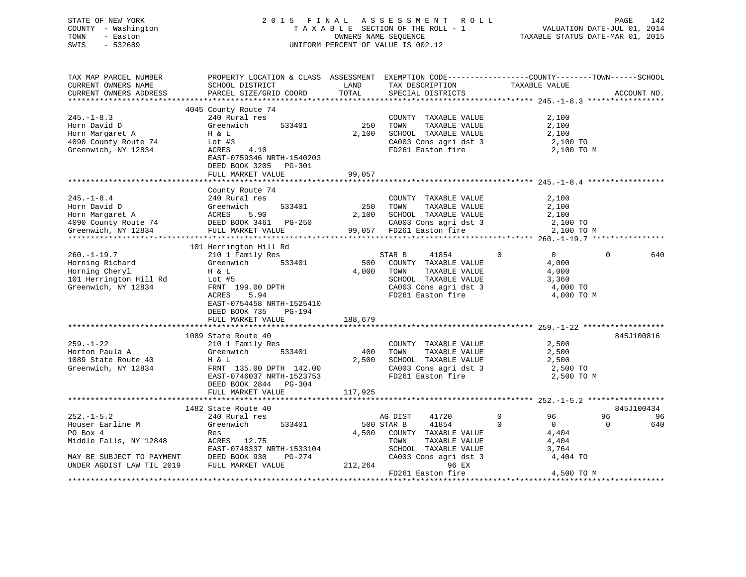| STATE OF NEW YORK   | 2015 FINAL ASSESSMENT ROLL         | 142<br>PAGE                      |
|---------------------|------------------------------------|----------------------------------|
| COUNTY - Washington | TAXABLE SECTION OF THE ROLL - 1    | VALUATION DATE-JUL 01, 2014      |
| TOWN<br>- Easton    | OWNERS NAME SEOUENCE               | TAXABLE STATUS DATE-MAR 01, 2015 |
| SWIS<br>- 532689    | UNIFORM PERCENT OF VALUE IS 002.12 |                                  |

| SCHOOL DISTRICT<br>LAND<br>TAX DESCRIPTION<br>TAXABLE VALUE<br>TOTAL<br>PARCEL SIZE/GRID COORD<br>SPECIAL DISTRICTS<br>ACCOUNT NO.<br>4045 County Route 74<br>$245. - 1 - 8.3$<br>240 Rural res<br>2,100<br>COUNTY TAXABLE VALUE<br>TOWN     TAXABLE VALUE<br>250<br>Horn David D<br>Greenwich<br>533401<br>2,100<br>H & L<br>2,100<br>SCHOOL TAXABLE VALUE<br>Horn Margaret A<br>2,100<br>CA003 Cons agri dst 3 $2,100$ TO<br>4090 County Route 74<br>Lot $#3$<br>Greenwich, NY 12834<br>ACRES<br>4.10<br>FD261 Easton fire<br>2,100 TO M<br>EAST-0759346 NRTH-1540203<br>DEED BOOK 3205 PG-301<br>99,057<br>FULL MARKET VALUE<br>County Route 74<br>$245. - 1 - 8.4$<br>240 Rural res<br>COUNTY TAXABLE VALUE<br>2,100<br>250<br>Horn David D<br>Horn Margaret A<br>4090 County Route 74<br>Greenwich, NY 12834<br>FULL MARKET VALUE<br>FULL MARKET VALUE<br>533401<br>TOWN<br>TAXABLE VALUE<br>2,100<br>2,100 SCHOOL TAXABLE VALUE<br>2,100<br>CA003 Cons agri dst 3 2,100 TO<br>99,057 FD261 Easton fire 2,100 TO<br>2,100 TO M<br>101 Herrington Hill Rd<br>----<br>s<br>533401<br>$\overline{0}$<br>$260. - 1 - 19.7$<br>210 1 Family Res<br>STAR B<br>41854<br>$\Omega$<br>$\Omega$<br>640<br>Greenwich<br>500<br>Horning Richard<br>COUNTY TAXABLE VALUE<br>4,000<br>Horning Cheryl<br>101 Herrington Hill Rd<br>101 Herrington Hill Rd<br>101 Herrington Hill Rd<br>4,000<br>TOWN<br>TAXABLE VALUE<br>4,000<br>LOWN TAXABLE VALUE<br>SCHOOL TAXABLE VALUE<br>3,360<br>Greenwich, NY 12834<br>CA003 Cons agri dst 3<br>FD261 Easton fire<br>FRNT 199.00 DPTH<br>ACRES 5.94<br>4,000 TO<br>ACRES<br>5.94<br>4,000 TO M<br>EAST-0754458 NRTH-1525410<br>DEED BOOK 735<br>PG-194<br>FULL MARKET VALUE<br>188,679<br>1089 State Route 40<br>845J100816<br>2,500<br>210 1 Family Res<br>COUNTY TAXABLE VALUE<br>Greenwich 533401<br>400<br>TAXABLE VALUE<br>2,500<br>TOWN<br>SCHOOL TAXABLE VALUE<br>2,500<br>1089 State Route 40<br>H & L<br>2,500<br>CA003 Cons agri dst 3<br>FD261 Easton fire<br>Greenwich, NY 12834<br>FRNT 135.00 DPTH 142.00<br>2,500 TO<br>EAST-0746037 NRTH-1523753<br>2,500 TO M<br>DEED BOOK 2844 PG-304<br>FULL MARKET VALUE<br>117,925<br>845J100434<br>1482 State Route 40<br>$\circ$<br>$252. -1 - 5.2$<br>41720<br>96<br>96<br>240 Rural res<br>AG DIST<br>96<br>Houser Earline M<br>Greenwich<br>533401<br>500 STAR B<br>41854<br>$\Omega$<br>$\overline{0}$<br>$\Omega$<br>640<br>PO Box 4<br>4,500 COUNTY TAXABLE VALUE<br>4,404<br>Res<br>Middle Falls, NY 12848<br>ACRES 12.75<br>TOWN<br>TAXABLE VALUE<br>4,404<br>EAST-0748337 NRTH-1533104<br>SCHOOL TAXABLE VALUE<br>3,764<br>MAY BE SUBJECT TO PAYMENT DEED BOOK 930 I<br>UNDER AGDIST LAW TIL 2019 FULL MARKET VALUE<br>CA003 Cons agri dst 3<br>PG-274<br>4,404 TO<br>212,264<br>96 EX<br>FD261 Easton fire<br>4,500 TO M | TAX MAP PARCEL NUMBER  | PROPERTY LOCATION & CLASS ASSESSMENT EXEMPTION CODE----------------COUNTY-------TOWN------SCHOOL |  |  |  |
|--------------------------------------------------------------------------------------------------------------------------------------------------------------------------------------------------------------------------------------------------------------------------------------------------------------------------------------------------------------------------------------------------------------------------------------------------------------------------------------------------------------------------------------------------------------------------------------------------------------------------------------------------------------------------------------------------------------------------------------------------------------------------------------------------------------------------------------------------------------------------------------------------------------------------------------------------------------------------------------------------------------------------------------------------------------------------------------------------------------------------------------------------------------------------------------------------------------------------------------------------------------------------------------------------------------------------------------------------------------------------------------------------------------------------------------------------------------------------------------------------------------------------------------------------------------------------------------------------------------------------------------------------------------------------------------------------------------------------------------------------------------------------------------------------------------------------------------------------------------------------------------------------------------------------------------------------------------------------------------------------------------------------------------------------------------------------------------------------------------------------------------------------------------------------------------------------------------------------------------------------------------------------------------------------------------------------------------------------------------------------------------------------------------------------------------------------------------------------------------------------------------------------------------------------------------------------------------------------------------------------------------------------------------------------------------------------------------------------------------------------------------------------------------------------------------------------|------------------------|--------------------------------------------------------------------------------------------------|--|--|--|
|                                                                                                                                                                                                                                                                                                                                                                                                                                                                                                                                                                                                                                                                                                                                                                                                                                                                                                                                                                                                                                                                                                                                                                                                                                                                                                                                                                                                                                                                                                                                                                                                                                                                                                                                                                                                                                                                                                                                                                                                                                                                                                                                                                                                                                                                                                                                                                                                                                                                                                                                                                                                                                                                                                                                                                                                                          | CURRENT OWNERS NAME    |                                                                                                  |  |  |  |
|                                                                                                                                                                                                                                                                                                                                                                                                                                                                                                                                                                                                                                                                                                                                                                                                                                                                                                                                                                                                                                                                                                                                                                                                                                                                                                                                                                                                                                                                                                                                                                                                                                                                                                                                                                                                                                                                                                                                                                                                                                                                                                                                                                                                                                                                                                                                                                                                                                                                                                                                                                                                                                                                                                                                                                                                                          | CURRENT OWNERS ADDRESS |                                                                                                  |  |  |  |
|                                                                                                                                                                                                                                                                                                                                                                                                                                                                                                                                                                                                                                                                                                                                                                                                                                                                                                                                                                                                                                                                                                                                                                                                                                                                                                                                                                                                                                                                                                                                                                                                                                                                                                                                                                                                                                                                                                                                                                                                                                                                                                                                                                                                                                                                                                                                                                                                                                                                                                                                                                                                                                                                                                                                                                                                                          |                        |                                                                                                  |  |  |  |
|                                                                                                                                                                                                                                                                                                                                                                                                                                                                                                                                                                                                                                                                                                                                                                                                                                                                                                                                                                                                                                                                                                                                                                                                                                                                                                                                                                                                                                                                                                                                                                                                                                                                                                                                                                                                                                                                                                                                                                                                                                                                                                                                                                                                                                                                                                                                                                                                                                                                                                                                                                                                                                                                                                                                                                                                                          |                        |                                                                                                  |  |  |  |
|                                                                                                                                                                                                                                                                                                                                                                                                                                                                                                                                                                                                                                                                                                                                                                                                                                                                                                                                                                                                                                                                                                                                                                                                                                                                                                                                                                                                                                                                                                                                                                                                                                                                                                                                                                                                                                                                                                                                                                                                                                                                                                                                                                                                                                                                                                                                                                                                                                                                                                                                                                                                                                                                                                                                                                                                                          |                        |                                                                                                  |  |  |  |
|                                                                                                                                                                                                                                                                                                                                                                                                                                                                                                                                                                                                                                                                                                                                                                                                                                                                                                                                                                                                                                                                                                                                                                                                                                                                                                                                                                                                                                                                                                                                                                                                                                                                                                                                                                                                                                                                                                                                                                                                                                                                                                                                                                                                                                                                                                                                                                                                                                                                                                                                                                                                                                                                                                                                                                                                                          |                        |                                                                                                  |  |  |  |
|                                                                                                                                                                                                                                                                                                                                                                                                                                                                                                                                                                                                                                                                                                                                                                                                                                                                                                                                                                                                                                                                                                                                                                                                                                                                                                                                                                                                                                                                                                                                                                                                                                                                                                                                                                                                                                                                                                                                                                                                                                                                                                                                                                                                                                                                                                                                                                                                                                                                                                                                                                                                                                                                                                                                                                                                                          |                        |                                                                                                  |  |  |  |
|                                                                                                                                                                                                                                                                                                                                                                                                                                                                                                                                                                                                                                                                                                                                                                                                                                                                                                                                                                                                                                                                                                                                                                                                                                                                                                                                                                                                                                                                                                                                                                                                                                                                                                                                                                                                                                                                                                                                                                                                                                                                                                                                                                                                                                                                                                                                                                                                                                                                                                                                                                                                                                                                                                                                                                                                                          |                        |                                                                                                  |  |  |  |
|                                                                                                                                                                                                                                                                                                                                                                                                                                                                                                                                                                                                                                                                                                                                                                                                                                                                                                                                                                                                                                                                                                                                                                                                                                                                                                                                                                                                                                                                                                                                                                                                                                                                                                                                                                                                                                                                                                                                                                                                                                                                                                                                                                                                                                                                                                                                                                                                                                                                                                                                                                                                                                                                                                                                                                                                                          |                        |                                                                                                  |  |  |  |
|                                                                                                                                                                                                                                                                                                                                                                                                                                                                                                                                                                                                                                                                                                                                                                                                                                                                                                                                                                                                                                                                                                                                                                                                                                                                                                                                                                                                                                                                                                                                                                                                                                                                                                                                                                                                                                                                                                                                                                                                                                                                                                                                                                                                                                                                                                                                                                                                                                                                                                                                                                                                                                                                                                                                                                                                                          |                        |                                                                                                  |  |  |  |
|                                                                                                                                                                                                                                                                                                                                                                                                                                                                                                                                                                                                                                                                                                                                                                                                                                                                                                                                                                                                                                                                                                                                                                                                                                                                                                                                                                                                                                                                                                                                                                                                                                                                                                                                                                                                                                                                                                                                                                                                                                                                                                                                                                                                                                                                                                                                                                                                                                                                                                                                                                                                                                                                                                                                                                                                                          |                        |                                                                                                  |  |  |  |
|                                                                                                                                                                                                                                                                                                                                                                                                                                                                                                                                                                                                                                                                                                                                                                                                                                                                                                                                                                                                                                                                                                                                                                                                                                                                                                                                                                                                                                                                                                                                                                                                                                                                                                                                                                                                                                                                                                                                                                                                                                                                                                                                                                                                                                                                                                                                                                                                                                                                                                                                                                                                                                                                                                                                                                                                                          |                        |                                                                                                  |  |  |  |
|                                                                                                                                                                                                                                                                                                                                                                                                                                                                                                                                                                                                                                                                                                                                                                                                                                                                                                                                                                                                                                                                                                                                                                                                                                                                                                                                                                                                                                                                                                                                                                                                                                                                                                                                                                                                                                                                                                                                                                                                                                                                                                                                                                                                                                                                                                                                                                                                                                                                                                                                                                                                                                                                                                                                                                                                                          |                        |                                                                                                  |  |  |  |
|                                                                                                                                                                                                                                                                                                                                                                                                                                                                                                                                                                                                                                                                                                                                                                                                                                                                                                                                                                                                                                                                                                                                                                                                                                                                                                                                                                                                                                                                                                                                                                                                                                                                                                                                                                                                                                                                                                                                                                                                                                                                                                                                                                                                                                                                                                                                                                                                                                                                                                                                                                                                                                                                                                                                                                                                                          |                        |                                                                                                  |  |  |  |
|                                                                                                                                                                                                                                                                                                                                                                                                                                                                                                                                                                                                                                                                                                                                                                                                                                                                                                                                                                                                                                                                                                                                                                                                                                                                                                                                                                                                                                                                                                                                                                                                                                                                                                                                                                                                                                                                                                                                                                                                                                                                                                                                                                                                                                                                                                                                                                                                                                                                                                                                                                                                                                                                                                                                                                                                                          |                        |                                                                                                  |  |  |  |
|                                                                                                                                                                                                                                                                                                                                                                                                                                                                                                                                                                                                                                                                                                                                                                                                                                                                                                                                                                                                                                                                                                                                                                                                                                                                                                                                                                                                                                                                                                                                                                                                                                                                                                                                                                                                                                                                                                                                                                                                                                                                                                                                                                                                                                                                                                                                                                                                                                                                                                                                                                                                                                                                                                                                                                                                                          |                        |                                                                                                  |  |  |  |
|                                                                                                                                                                                                                                                                                                                                                                                                                                                                                                                                                                                                                                                                                                                                                                                                                                                                                                                                                                                                                                                                                                                                                                                                                                                                                                                                                                                                                                                                                                                                                                                                                                                                                                                                                                                                                                                                                                                                                                                                                                                                                                                                                                                                                                                                                                                                                                                                                                                                                                                                                                                                                                                                                                                                                                                                                          |                        |                                                                                                  |  |  |  |
|                                                                                                                                                                                                                                                                                                                                                                                                                                                                                                                                                                                                                                                                                                                                                                                                                                                                                                                                                                                                                                                                                                                                                                                                                                                                                                                                                                                                                                                                                                                                                                                                                                                                                                                                                                                                                                                                                                                                                                                                                                                                                                                                                                                                                                                                                                                                                                                                                                                                                                                                                                                                                                                                                                                                                                                                                          |                        |                                                                                                  |  |  |  |
|                                                                                                                                                                                                                                                                                                                                                                                                                                                                                                                                                                                                                                                                                                                                                                                                                                                                                                                                                                                                                                                                                                                                                                                                                                                                                                                                                                                                                                                                                                                                                                                                                                                                                                                                                                                                                                                                                                                                                                                                                                                                                                                                                                                                                                                                                                                                                                                                                                                                                                                                                                                                                                                                                                                                                                                                                          |                        |                                                                                                  |  |  |  |
|                                                                                                                                                                                                                                                                                                                                                                                                                                                                                                                                                                                                                                                                                                                                                                                                                                                                                                                                                                                                                                                                                                                                                                                                                                                                                                                                                                                                                                                                                                                                                                                                                                                                                                                                                                                                                                                                                                                                                                                                                                                                                                                                                                                                                                                                                                                                                                                                                                                                                                                                                                                                                                                                                                                                                                                                                          |                        |                                                                                                  |  |  |  |
|                                                                                                                                                                                                                                                                                                                                                                                                                                                                                                                                                                                                                                                                                                                                                                                                                                                                                                                                                                                                                                                                                                                                                                                                                                                                                                                                                                                                                                                                                                                                                                                                                                                                                                                                                                                                                                                                                                                                                                                                                                                                                                                                                                                                                                                                                                                                                                                                                                                                                                                                                                                                                                                                                                                                                                                                                          |                        |                                                                                                  |  |  |  |
|                                                                                                                                                                                                                                                                                                                                                                                                                                                                                                                                                                                                                                                                                                                                                                                                                                                                                                                                                                                                                                                                                                                                                                                                                                                                                                                                                                                                                                                                                                                                                                                                                                                                                                                                                                                                                                                                                                                                                                                                                                                                                                                                                                                                                                                                                                                                                                                                                                                                                                                                                                                                                                                                                                                                                                                                                          |                        |                                                                                                  |  |  |  |
|                                                                                                                                                                                                                                                                                                                                                                                                                                                                                                                                                                                                                                                                                                                                                                                                                                                                                                                                                                                                                                                                                                                                                                                                                                                                                                                                                                                                                                                                                                                                                                                                                                                                                                                                                                                                                                                                                                                                                                                                                                                                                                                                                                                                                                                                                                                                                                                                                                                                                                                                                                                                                                                                                                                                                                                                                          |                        |                                                                                                  |  |  |  |
|                                                                                                                                                                                                                                                                                                                                                                                                                                                                                                                                                                                                                                                                                                                                                                                                                                                                                                                                                                                                                                                                                                                                                                                                                                                                                                                                                                                                                                                                                                                                                                                                                                                                                                                                                                                                                                                                                                                                                                                                                                                                                                                                                                                                                                                                                                                                                                                                                                                                                                                                                                                                                                                                                                                                                                                                                          |                        |                                                                                                  |  |  |  |
|                                                                                                                                                                                                                                                                                                                                                                                                                                                                                                                                                                                                                                                                                                                                                                                                                                                                                                                                                                                                                                                                                                                                                                                                                                                                                                                                                                                                                                                                                                                                                                                                                                                                                                                                                                                                                                                                                                                                                                                                                                                                                                                                                                                                                                                                                                                                                                                                                                                                                                                                                                                                                                                                                                                                                                                                                          |                        |                                                                                                  |  |  |  |
|                                                                                                                                                                                                                                                                                                                                                                                                                                                                                                                                                                                                                                                                                                                                                                                                                                                                                                                                                                                                                                                                                                                                                                                                                                                                                                                                                                                                                                                                                                                                                                                                                                                                                                                                                                                                                                                                                                                                                                                                                                                                                                                                                                                                                                                                                                                                                                                                                                                                                                                                                                                                                                                                                                                                                                                                                          |                        |                                                                                                  |  |  |  |
|                                                                                                                                                                                                                                                                                                                                                                                                                                                                                                                                                                                                                                                                                                                                                                                                                                                                                                                                                                                                                                                                                                                                                                                                                                                                                                                                                                                                                                                                                                                                                                                                                                                                                                                                                                                                                                                                                                                                                                                                                                                                                                                                                                                                                                                                                                                                                                                                                                                                                                                                                                                                                                                                                                                                                                                                                          |                        |                                                                                                  |  |  |  |
|                                                                                                                                                                                                                                                                                                                                                                                                                                                                                                                                                                                                                                                                                                                                                                                                                                                                                                                                                                                                                                                                                                                                                                                                                                                                                                                                                                                                                                                                                                                                                                                                                                                                                                                                                                                                                                                                                                                                                                                                                                                                                                                                                                                                                                                                                                                                                                                                                                                                                                                                                                                                                                                                                                                                                                                                                          |                        |                                                                                                  |  |  |  |
|                                                                                                                                                                                                                                                                                                                                                                                                                                                                                                                                                                                                                                                                                                                                                                                                                                                                                                                                                                                                                                                                                                                                                                                                                                                                                                                                                                                                                                                                                                                                                                                                                                                                                                                                                                                                                                                                                                                                                                                                                                                                                                                                                                                                                                                                                                                                                                                                                                                                                                                                                                                                                                                                                                                                                                                                                          |                        |                                                                                                  |  |  |  |
|                                                                                                                                                                                                                                                                                                                                                                                                                                                                                                                                                                                                                                                                                                                                                                                                                                                                                                                                                                                                                                                                                                                                                                                                                                                                                                                                                                                                                                                                                                                                                                                                                                                                                                                                                                                                                                                                                                                                                                                                                                                                                                                                                                                                                                                                                                                                                                                                                                                                                                                                                                                                                                                                                                                                                                                                                          |                        |                                                                                                  |  |  |  |
|                                                                                                                                                                                                                                                                                                                                                                                                                                                                                                                                                                                                                                                                                                                                                                                                                                                                                                                                                                                                                                                                                                                                                                                                                                                                                                                                                                                                                                                                                                                                                                                                                                                                                                                                                                                                                                                                                                                                                                                                                                                                                                                                                                                                                                                                                                                                                                                                                                                                                                                                                                                                                                                                                                                                                                                                                          |                        |                                                                                                  |  |  |  |
|                                                                                                                                                                                                                                                                                                                                                                                                                                                                                                                                                                                                                                                                                                                                                                                                                                                                                                                                                                                                                                                                                                                                                                                                                                                                                                                                                                                                                                                                                                                                                                                                                                                                                                                                                                                                                                                                                                                                                                                                                                                                                                                                                                                                                                                                                                                                                                                                                                                                                                                                                                                                                                                                                                                                                                                                                          |                        |                                                                                                  |  |  |  |
|                                                                                                                                                                                                                                                                                                                                                                                                                                                                                                                                                                                                                                                                                                                                                                                                                                                                                                                                                                                                                                                                                                                                                                                                                                                                                                                                                                                                                                                                                                                                                                                                                                                                                                                                                                                                                                                                                                                                                                                                                                                                                                                                                                                                                                                                                                                                                                                                                                                                                                                                                                                                                                                                                                                                                                                                                          |                        |                                                                                                  |  |  |  |
|                                                                                                                                                                                                                                                                                                                                                                                                                                                                                                                                                                                                                                                                                                                                                                                                                                                                                                                                                                                                                                                                                                                                                                                                                                                                                                                                                                                                                                                                                                                                                                                                                                                                                                                                                                                                                                                                                                                                                                                                                                                                                                                                                                                                                                                                                                                                                                                                                                                                                                                                                                                                                                                                                                                                                                                                                          | $259. - 1 - 22$        |                                                                                                  |  |  |  |
|                                                                                                                                                                                                                                                                                                                                                                                                                                                                                                                                                                                                                                                                                                                                                                                                                                                                                                                                                                                                                                                                                                                                                                                                                                                                                                                                                                                                                                                                                                                                                                                                                                                                                                                                                                                                                                                                                                                                                                                                                                                                                                                                                                                                                                                                                                                                                                                                                                                                                                                                                                                                                                                                                                                                                                                                                          | Horton Paula A         |                                                                                                  |  |  |  |
|                                                                                                                                                                                                                                                                                                                                                                                                                                                                                                                                                                                                                                                                                                                                                                                                                                                                                                                                                                                                                                                                                                                                                                                                                                                                                                                                                                                                                                                                                                                                                                                                                                                                                                                                                                                                                                                                                                                                                                                                                                                                                                                                                                                                                                                                                                                                                                                                                                                                                                                                                                                                                                                                                                                                                                                                                          |                        |                                                                                                  |  |  |  |
|                                                                                                                                                                                                                                                                                                                                                                                                                                                                                                                                                                                                                                                                                                                                                                                                                                                                                                                                                                                                                                                                                                                                                                                                                                                                                                                                                                                                                                                                                                                                                                                                                                                                                                                                                                                                                                                                                                                                                                                                                                                                                                                                                                                                                                                                                                                                                                                                                                                                                                                                                                                                                                                                                                                                                                                                                          |                        |                                                                                                  |  |  |  |
|                                                                                                                                                                                                                                                                                                                                                                                                                                                                                                                                                                                                                                                                                                                                                                                                                                                                                                                                                                                                                                                                                                                                                                                                                                                                                                                                                                                                                                                                                                                                                                                                                                                                                                                                                                                                                                                                                                                                                                                                                                                                                                                                                                                                                                                                                                                                                                                                                                                                                                                                                                                                                                                                                                                                                                                                                          |                        |                                                                                                  |  |  |  |
|                                                                                                                                                                                                                                                                                                                                                                                                                                                                                                                                                                                                                                                                                                                                                                                                                                                                                                                                                                                                                                                                                                                                                                                                                                                                                                                                                                                                                                                                                                                                                                                                                                                                                                                                                                                                                                                                                                                                                                                                                                                                                                                                                                                                                                                                                                                                                                                                                                                                                                                                                                                                                                                                                                                                                                                                                          |                        |                                                                                                  |  |  |  |
|                                                                                                                                                                                                                                                                                                                                                                                                                                                                                                                                                                                                                                                                                                                                                                                                                                                                                                                                                                                                                                                                                                                                                                                                                                                                                                                                                                                                                                                                                                                                                                                                                                                                                                                                                                                                                                                                                                                                                                                                                                                                                                                                                                                                                                                                                                                                                                                                                                                                                                                                                                                                                                                                                                                                                                                                                          |                        |                                                                                                  |  |  |  |
|                                                                                                                                                                                                                                                                                                                                                                                                                                                                                                                                                                                                                                                                                                                                                                                                                                                                                                                                                                                                                                                                                                                                                                                                                                                                                                                                                                                                                                                                                                                                                                                                                                                                                                                                                                                                                                                                                                                                                                                                                                                                                                                                                                                                                                                                                                                                                                                                                                                                                                                                                                                                                                                                                                                                                                                                                          |                        |                                                                                                  |  |  |  |
|                                                                                                                                                                                                                                                                                                                                                                                                                                                                                                                                                                                                                                                                                                                                                                                                                                                                                                                                                                                                                                                                                                                                                                                                                                                                                                                                                                                                                                                                                                                                                                                                                                                                                                                                                                                                                                                                                                                                                                                                                                                                                                                                                                                                                                                                                                                                                                                                                                                                                                                                                                                                                                                                                                                                                                                                                          |                        |                                                                                                  |  |  |  |
|                                                                                                                                                                                                                                                                                                                                                                                                                                                                                                                                                                                                                                                                                                                                                                                                                                                                                                                                                                                                                                                                                                                                                                                                                                                                                                                                                                                                                                                                                                                                                                                                                                                                                                                                                                                                                                                                                                                                                                                                                                                                                                                                                                                                                                                                                                                                                                                                                                                                                                                                                                                                                                                                                                                                                                                                                          |                        |                                                                                                  |  |  |  |
|                                                                                                                                                                                                                                                                                                                                                                                                                                                                                                                                                                                                                                                                                                                                                                                                                                                                                                                                                                                                                                                                                                                                                                                                                                                                                                                                                                                                                                                                                                                                                                                                                                                                                                                                                                                                                                                                                                                                                                                                                                                                                                                                                                                                                                                                                                                                                                                                                                                                                                                                                                                                                                                                                                                                                                                                                          |                        |                                                                                                  |  |  |  |
|                                                                                                                                                                                                                                                                                                                                                                                                                                                                                                                                                                                                                                                                                                                                                                                                                                                                                                                                                                                                                                                                                                                                                                                                                                                                                                                                                                                                                                                                                                                                                                                                                                                                                                                                                                                                                                                                                                                                                                                                                                                                                                                                                                                                                                                                                                                                                                                                                                                                                                                                                                                                                                                                                                                                                                                                                          |                        |                                                                                                  |  |  |  |
|                                                                                                                                                                                                                                                                                                                                                                                                                                                                                                                                                                                                                                                                                                                                                                                                                                                                                                                                                                                                                                                                                                                                                                                                                                                                                                                                                                                                                                                                                                                                                                                                                                                                                                                                                                                                                                                                                                                                                                                                                                                                                                                                                                                                                                                                                                                                                                                                                                                                                                                                                                                                                                                                                                                                                                                                                          |                        |                                                                                                  |  |  |  |
|                                                                                                                                                                                                                                                                                                                                                                                                                                                                                                                                                                                                                                                                                                                                                                                                                                                                                                                                                                                                                                                                                                                                                                                                                                                                                                                                                                                                                                                                                                                                                                                                                                                                                                                                                                                                                                                                                                                                                                                                                                                                                                                                                                                                                                                                                                                                                                                                                                                                                                                                                                                                                                                                                                                                                                                                                          |                        |                                                                                                  |  |  |  |
|                                                                                                                                                                                                                                                                                                                                                                                                                                                                                                                                                                                                                                                                                                                                                                                                                                                                                                                                                                                                                                                                                                                                                                                                                                                                                                                                                                                                                                                                                                                                                                                                                                                                                                                                                                                                                                                                                                                                                                                                                                                                                                                                                                                                                                                                                                                                                                                                                                                                                                                                                                                                                                                                                                                                                                                                                          |                        |                                                                                                  |  |  |  |
|                                                                                                                                                                                                                                                                                                                                                                                                                                                                                                                                                                                                                                                                                                                                                                                                                                                                                                                                                                                                                                                                                                                                                                                                                                                                                                                                                                                                                                                                                                                                                                                                                                                                                                                                                                                                                                                                                                                                                                                                                                                                                                                                                                                                                                                                                                                                                                                                                                                                                                                                                                                                                                                                                                                                                                                                                          |                        |                                                                                                  |  |  |  |
|                                                                                                                                                                                                                                                                                                                                                                                                                                                                                                                                                                                                                                                                                                                                                                                                                                                                                                                                                                                                                                                                                                                                                                                                                                                                                                                                                                                                                                                                                                                                                                                                                                                                                                                                                                                                                                                                                                                                                                                                                                                                                                                                                                                                                                                                                                                                                                                                                                                                                                                                                                                                                                                                                                                                                                                                                          |                        |                                                                                                  |  |  |  |
|                                                                                                                                                                                                                                                                                                                                                                                                                                                                                                                                                                                                                                                                                                                                                                                                                                                                                                                                                                                                                                                                                                                                                                                                                                                                                                                                                                                                                                                                                                                                                                                                                                                                                                                                                                                                                                                                                                                                                                                                                                                                                                                                                                                                                                                                                                                                                                                                                                                                                                                                                                                                                                                                                                                                                                                                                          |                        |                                                                                                  |  |  |  |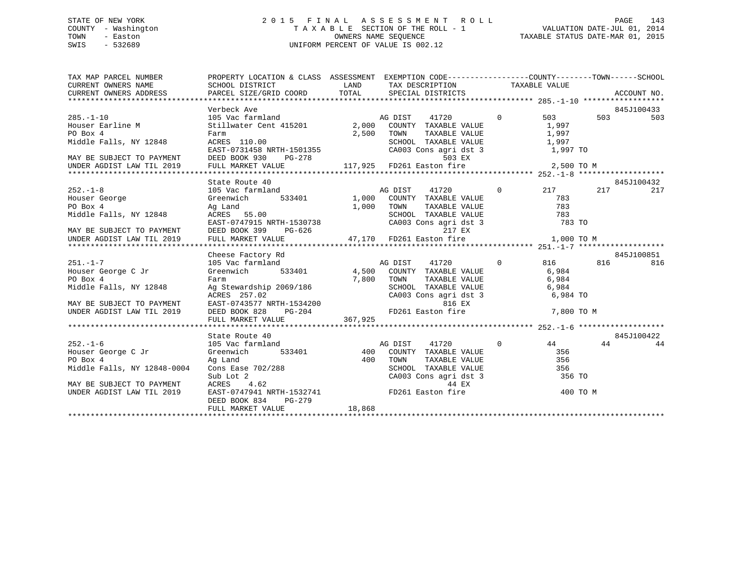## STATE OF NEW YORK 2 0 1 5 F I N A L A S S E S S M E N T R O L L PAGE 143 COUNTY - Washington T A X A B L E SECTION OF THE ROLL - 1 VALUATION DATE-JUL 01, 2014 TOWN - Easton OWNERS NAME SEQUENCE TAXABLE STATUS DATE-MAR 01, 2015 SWIS - 532689 UNIFORM PERCENT OF VALUE IS 002.12

| TAX MAP PARCEL NUMBER                                                                                                                                                                                                                                                                                                                                                                                                                   |                                                                   |  |                     | PROPERTY LOCATION & CLASS ASSESSMENT EXEMPTION CODE-----------------COUNTY-------TOWN------SCHOOL |  |            |
|-----------------------------------------------------------------------------------------------------------------------------------------------------------------------------------------------------------------------------------------------------------------------------------------------------------------------------------------------------------------------------------------------------------------------------------------|-------------------------------------------------------------------|--|---------------------|---------------------------------------------------------------------------------------------------|--|------------|
|                                                                                                                                                                                                                                                                                                                                                                                                                                         |                                                                   |  |                     |                                                                                                   |  |            |
| 1 AMP PARCEL SIZE/GRID COORD TOTAL TRABLE VALUE<br>CURRENT OWNERS ADDRESS SCHOOL DISTRICT SECTION TAXABLE VALUE<br>CURRENT OWNERS ADDRESS PARCEL SIZE/GRID COORD TOTAL SPECIAL DISTRICTS ACCOUNT NO.<br>****************************                                                                                                                                                                                                    |                                                                   |  |                     |                                                                                                   |  |            |
|                                                                                                                                                                                                                                                                                                                                                                                                                                         |                                                                   |  |                     |                                                                                                   |  |            |
|                                                                                                                                                                                                                                                                                                                                                                                                                                         | Verbeck Ave                                                       |  |                     |                                                                                                   |  | 845J100433 |
| 845J100 (1720 - 185)<br>Houser Earline M (1720 - 105 Vac farmland - 105 Mac farmland - 105 Mac farmland - 1,997 - 1,997<br>PO Box 4 - Farm - Farm - 1,997 - 1,997 - 1,997 - 1,997 - 1,997 - 1,997 - 1,997 - 1,997 - 1,997 - 1,997 -                                                                                                                                                                                                     |                                                                   |  |                     |                                                                                                   |  | 503        |
|                                                                                                                                                                                                                                                                                                                                                                                                                                         |                                                                   |  |                     |                                                                                                   |  |            |
|                                                                                                                                                                                                                                                                                                                                                                                                                                         |                                                                   |  | TAXABLE VALUE 1,997 |                                                                                                   |  |            |
|                                                                                                                                                                                                                                                                                                                                                                                                                                         |                                                                   |  |                     |                                                                                                   |  |            |
|                                                                                                                                                                                                                                                                                                                                                                                                                                         |                                                                   |  |                     |                                                                                                   |  |            |
|                                                                                                                                                                                                                                                                                                                                                                                                                                         |                                                                   |  |                     |                                                                                                   |  |            |
|                                                                                                                                                                                                                                                                                                                                                                                                                                         |                                                                   |  |                     |                                                                                                   |  |            |
| PO Box 4<br>PO Box 4<br>Middle Falls, NY 12848<br>MAY BE SUBJECT TO PAYMENT<br>MAY BE SUBJECT TO PAYMENT<br>MAY BE SUBJECT TO PAYMENT<br>DEED BOOK 930<br>PG-278<br>UNDER AGDIST LAW TIL 2019<br>FULL MARKET VALUE<br>TOWER AGDIST LAW TIL 2019<br>F                                                                                                                                                                                    |                                                                   |  |                     |                                                                                                   |  |            |
|                                                                                                                                                                                                                                                                                                                                                                                                                                         | State Route 40                                                    |  |                     |                                                                                                   |  | 845J100432 |
|                                                                                                                                                                                                                                                                                                                                                                                                                                         |                                                                   |  |                     |                                                                                                   |  |            |
|                                                                                                                                                                                                                                                                                                                                                                                                                                         |                                                                   |  |                     |                                                                                                   |  |            |
|                                                                                                                                                                                                                                                                                                                                                                                                                                         |                                                                   |  |                     |                                                                                                   |  |            |
|                                                                                                                                                                                                                                                                                                                                                                                                                                         |                                                                   |  |                     |                                                                                                   |  |            |
|                                                                                                                                                                                                                                                                                                                                                                                                                                         |                                                                   |  |                     |                                                                                                   |  |            |
|                                                                                                                                                                                                                                                                                                                                                                                                                                         |                                                                   |  |                     |                                                                                                   |  |            |
|                                                                                                                                                                                                                                                                                                                                                                                                                                         |                                                                   |  |                     |                                                                                                   |  |            |
|                                                                                                                                                                                                                                                                                                                                                                                                                                         |                                                                   |  |                     |                                                                                                   |  |            |
|                                                                                                                                                                                                                                                                                                                                                                                                                                         |                                                                   |  |                     |                                                                                                   |  |            |
|                                                                                                                                                                                                                                                                                                                                                                                                                                         |                                                                   |  |                     |                                                                                                   |  |            |
|                                                                                                                                                                                                                                                                                                                                                                                                                                         |                                                                   |  |                     |                                                                                                   |  |            |
|                                                                                                                                                                                                                                                                                                                                                                                                                                         |                                                                   |  |                     |                                                                                                   |  |            |
|                                                                                                                                                                                                                                                                                                                                                                                                                                         |                                                                   |  |                     |                                                                                                   |  |            |
|                                                                                                                                                                                                                                                                                                                                                                                                                                         |                                                                   |  |                     |                                                                                                   |  |            |
|                                                                                                                                                                                                                                                                                                                                                                                                                                         |                                                                   |  |                     |                                                                                                   |  |            |
|                                                                                                                                                                                                                                                                                                                                                                                                                                         |                                                                   |  |                     |                                                                                                   |  |            |
| $\begin{tabular}{c c c c c c} \hline \texttt{MAV BE SUBJECT TO PAWMENT} & \texttt{Gheese Factory Rd} & \texttt{AG DIST} & \texttt{AG DIST} & \texttt{333401} & \texttt{AG DIST} & \texttt{1720} & \texttt{0} & \texttt{816} & \texttt{816} \\ \hline \texttt{H0user} & \texttt{105 Vec} & \texttt{Greenwich} & \texttt{533401} & \texttt{4,500} & \texttt{COMNT} & \texttt{TXABE} & \texttt{VAUUE} & \texttt{6,984} & \texttt{816} & \$ |                                                                   |  |                     |                                                                                                   |  |            |
|                                                                                                                                                                                                                                                                                                                                                                                                                                         |                                                                   |  |                     |                                                                                                   |  | 845J100422 |
|                                                                                                                                                                                                                                                                                                                                                                                                                                         |                                                                   |  |                     |                                                                                                   |  | 44         |
|                                                                                                                                                                                                                                                                                                                                                                                                                                         |                                                                   |  |                     |                                                                                                   |  |            |
|                                                                                                                                                                                                                                                                                                                                                                                                                                         |                                                                   |  |                     |                                                                                                   |  |            |
|                                                                                                                                                                                                                                                                                                                                                                                                                                         |                                                                   |  |                     |                                                                                                   |  |            |
|                                                                                                                                                                                                                                                                                                                                                                                                                                         |                                                                   |  |                     |                                                                                                   |  |            |
|                                                                                                                                                                                                                                                                                                                                                                                                                                         |                                                                   |  |                     |                                                                                                   |  |            |
|                                                                                                                                                                                                                                                                                                                                                                                                                                         |                                                                   |  |                     |                                                                                                   |  |            |
| 312.1-6<br>252.1-6<br>252.1-6<br>252.1-6<br>252.1-6<br>252.1-6<br>252.1-6<br>262.1-6<br>262.1-6<br>262.1-6<br>262.1-6<br>262.1-6<br>262.1<br>263.1<br>263.1<br>263.1<br>263.1<br>263.1<br>263.1<br>263.1<br>263.1<br>263.1<br>263.1<br>263.1<br>263.1<br>263.1<br>263.1<br>263.1<br>26                                                                                                                                                  |                                                                   |  |                     |                                                                                                   |  |            |
|                                                                                                                                                                                                                                                                                                                                                                                                                                         | EASI-0737211 -----<br>DEED BOOK 834 PG-279<br>------ MABKET VALUE |  |                     |                                                                                                   |  |            |
|                                                                                                                                                                                                                                                                                                                                                                                                                                         |                                                                   |  |                     |                                                                                                   |  |            |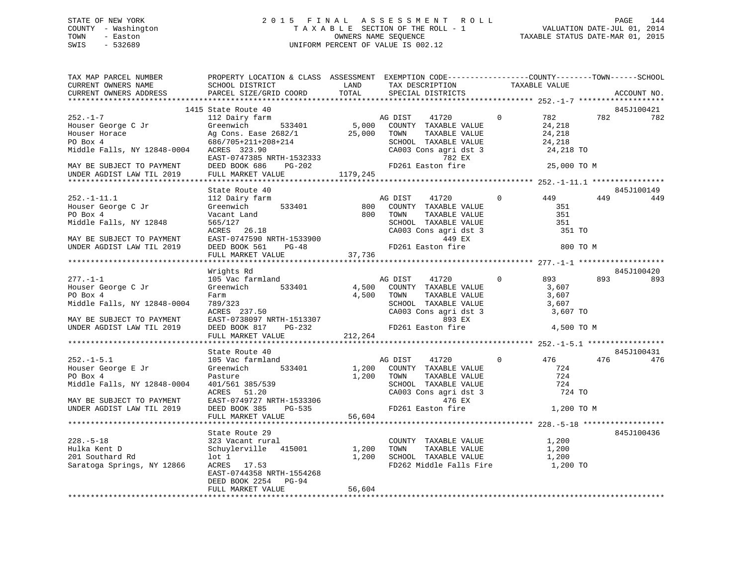## STATE OF NEW YORK 2 0 1 5 F I N A L A S S E S S M E N T R O L L PAGE 144 COUNTY - Washington T A X A B L E SECTION OF THE ROLL - 1 VALUATION DATE-JUL 01, 2014 TOWN - Easton OWNERS NAME SEQUENCE TAXABLE STATUS DATE-MAR 01, 2015 SWIS - 532689 UNIFORM PERCENT OF VALUE IS 002.12

| TAX MAP PARCEL NUMBER<br>CURRENT OWNERS NAME | PROPERTY LOCATION & CLASS ASSESSMENT EXEMPTION CODE---------------COUNTY-------TOWN-----SCHOOL<br>SCHOOL DISTRICT | LAND     | TAX DESCRIPTION                                                                  |                | TAXABLE VALUE |     |             |
|----------------------------------------------|-------------------------------------------------------------------------------------------------------------------|----------|----------------------------------------------------------------------------------|----------------|---------------|-----|-------------|
| CURRENT OWNERS ADDRESS                       | PARCEL SIZE/GRID COORD                                                                                            | TOTAL    | SPECIAL DISTRICTS                                                                |                |               |     | ACCOUNT NO. |
|                                              | 1415 State Route 40                                                                                               |          |                                                                                  |                |               |     | 845J100421  |
| $252 - 1 - 7$                                | 112 Dairy farm                                                                                                    |          | AG DIST<br>41720                                                                 | $\Omega$       | 782           | 782 | 782         |
| Houser George C Jr                           | 533401<br>Greenwich                                                                                               |          | 5,000 COUNTY TAXABLE VALUE                                                       |                | 24,218        |     |             |
| Houser Horace                                |                                                                                                                   | 25,000   | TOWN<br>TAXABLE VALUE                                                            |                | 24,218        |     |             |
| PO Box 4                                     | Ag Cons. Ease 2682/1<br>686/705+211+208+214<br>2848-0004 ACRES 323.90                                             |          | SCHOOL TAXABLE VALUE                                                             |                | 24,218        |     |             |
| Middle Falls, NY 12848-0004 ACRES 323.90     | EAST-0747385 NRTH-1532333                                                                                         |          | CA003 Cons agri dst 3<br>782 EX                                                  |                | 24,218 TO     |     |             |
| MAY BE SUBJECT TO PAYMENT                    | DEED BOOK 686                                                                                                     | $PG-202$ | FD261 Easton fire                                                                |                | 25,000 TO M   |     |             |
| UNDER AGDIST LAW TIL 2019                    | FULL MARKET VALUE                                                                                                 | 1179,245 |                                                                                  |                |               |     |             |
|                                              |                                                                                                                   |          |                                                                                  |                |               |     |             |
|                                              | State Route 40                                                                                                    |          |                                                                                  |                |               |     | 845J100149  |
| $252. - 1 - 11.1$                            | 112 Dairy farm<br>533401                                                                                          |          | AG DIST<br>41720                                                                 | $\mathbf{0}$   | 449<br>351    | 449 | 449         |
| Houser George C Jr<br>PO Box 4               | Greenwich<br>Vacant Land                                                                                          |          | 800 COUNTY TAXABLE VALUE<br>800 TOWN                                             |                | 351           |     |             |
| Middle Falls, NY 12848                       | 565/127                                                                                                           |          | TOWN TAXABLE VALUE<br>SCHOOL TAXABLE VALUE                                       |                | 351           |     |             |
|                                              | ACRES 26.18                                                                                                       |          |                                                                                  |                | 351 TO        |     |             |
| MAY BE SUBJECT TO PAYMENT                    |                                                                                                                   |          | CA003 Cons agri dst 3                                                            |                |               |     |             |
| UNDER AGDIST LAW TIL 2019                    | EAST-0747590 NRTH-1533900<br>DEED BOOK 561 PG-48                                                                  |          | FD261 Easton fire                                                                |                | 800 TO M      |     |             |
|                                              | FULL MARKET VALUE                                                                                                 | 37,736   |                                                                                  |                |               |     |             |
|                                              |                                                                                                                   |          |                                                                                  |                |               |     |             |
|                                              | Wrights Rd                                                                                                        |          |                                                                                  |                |               |     | 845J100420  |
| $277. - 1 - 1$                               | 105 Vac farmland                                                                                                  |          | AG DIST 41720                                                                    | $\overline{0}$ | 893           | 893 | 893         |
| Houser George C Jr                           | Greenwich 533401                                                                                                  |          | 4,500 COUNTY TAXABLE VALUE                                                       |                | 3,607         |     |             |
| PO Box 4                                     | Farm                                                                                                              |          | 4,500 TOWN<br>TAXABLE VALUE<br><b>TOWN TAXABLE VALUE</b><br>SCHOOL TAXABLE VALUE |                | 3,607         |     |             |
| Middle Falls, NY 12848-0004                  | 789/323                                                                                                           |          |                                                                                  |                | 3,607         |     |             |
|                                              | ACRES 237.50                                                                                                      |          | CA003 Cons agri dst 3                                                            |                | 3,607 TO      |     |             |
| MAY BE SUBJECT TO PAYMENT                    | EAST-0738097 NRTH-1513307                                                                                         |          | 893 EX                                                                           |                |               |     |             |
| UNDER AGDIST LAW TIL 2019                    | DEED BOOK 817 PG-232                                                                                              |          | FD261 Easton fire                                                                |                | 4,500 TO M    |     |             |
|                                              | FULL MARKET VALUE                                                                                                 | 212,264  |                                                                                  |                |               |     |             |
|                                              | State Route 40                                                                                                    |          |                                                                                  |                |               |     | 845J100431  |
| $252. - 1 - 5.1$                             | 105 Vac farmland                                                                                                  |          | AG DIST<br>41720                                                                 | $\circ$        | 476           | 476 | 476         |
| Houser George E Jr                           | Greenwich<br>533401                                                                                               |          | 1,200 COUNTY TAXABLE VALUE                                                       |                | 724           |     |             |
| PO Box 4                                     | Pasture                                                                                                           | 1,200    |                                                                                  |                | 724           |     |             |
| Middle Falls, NY 12848-0004                  | 401/561 385/539                                                                                                   |          | TOWN TAXABLE VALUE<br>SCHOOL TAXABLE VALUE                                       |                | 724           |     |             |
|                                              | ACRES 51.20                                                                                                       |          | CA003 Cons agri dst 3                                                            |                | 724 TO        |     |             |
| MAY BE SUBJECT TO PAYMENT                    | EAST-0749727 NRTH-1533306                                                                                         |          | 476 EX                                                                           |                |               |     |             |
| UNDER AGDIST LAW TIL 2019                    | DEED BOOK 385 PG-535                                                                                              |          | FD261 Easton fire                                                                |                | 1,200 TO M    |     |             |
|                                              | FULL MARKET VALUE                                                                                                 | 56,604   |                                                                                  |                |               |     |             |
|                                              |                                                                                                                   |          |                                                                                  |                |               |     |             |
|                                              | State Route 29                                                                                                    |          |                                                                                  |                |               |     | 845J100436  |
| $228. - 5 - 18$                              | 323 Vacant rural                                                                                                  |          | COUNTY TAXABLE VALUE                                                             |                | 1,200         |     |             |
| Hulka Kent D                                 | Schuylerville 415001                                                                                              |          | 1,200 TOWN<br>TAXABLE VALUE                                                      |                | 1,200         |     |             |
| 201 Southard Rd                              | $1$ ot $1$                                                                                                        |          | 1,200 SCHOOL TAXABLE VALUE                                                       |                | 1,200         |     |             |
| Saratoga Springs, NY 12866                   | ACRES 17.53<br>EAST-0744358 NRTH-1554268                                                                          |          | FD262 Middle Falls Fire                                                          |                | 1,200 TO      |     |             |
|                                              | DEED BOOK 2254 PG-94                                                                                              |          |                                                                                  |                |               |     |             |
|                                              | FULL MARKET VALUE                                                                                                 | 56,604   |                                                                                  |                |               |     |             |
|                                              |                                                                                                                   |          |                                                                                  |                |               |     |             |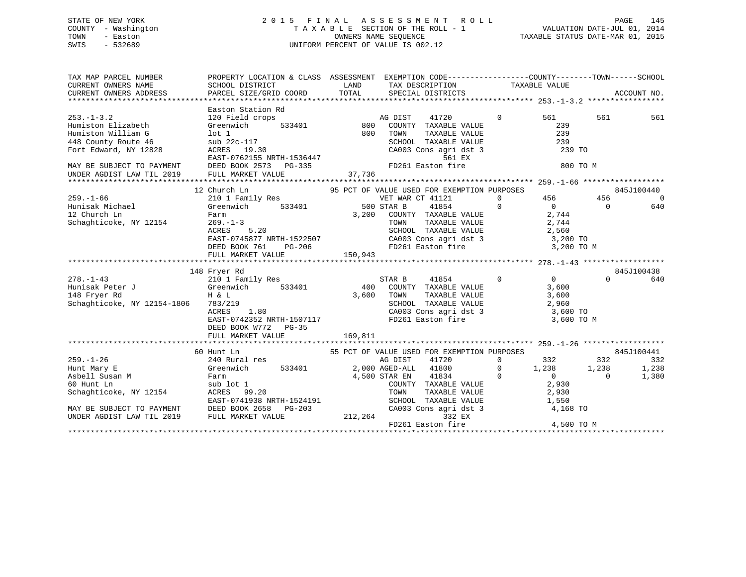## STATE OF NEW YORK 2 0 1 5 F I N A L A S S E S S M E N T R O L L PAGE 145 COUNTY - Washington T A X A B L E SECTION OF THE ROLL - 1 VALUATION DATE-JUL 01, 2014 TOWN - Easton OWNERS NAME SEQUENCE TAXABLE STATUS DATE-MAR 01, 2015 SWIS - 532689 UNIFORM PERCENT OF VALUE IS 002.12

| TAX MAP PARCEL NUMBER<br>CURRENT OWNERS NAME<br>CURRENT OWNERS ADDRESS                                       | PROPERTY LOCATION & CLASS ASSESSMENT EXEMPTION CODE---------------COUNTY-------TOWN------SCHOOL<br>SCHOOL DISTRICT<br>PARCEL SIZE/GRID COORD | LAND<br>TOTAL  | TAX DESCRIPTION TAXABLE VALUE SPECIAL DISTRICTS                                                |                |                |          | ACCOUNT NO. |
|--------------------------------------------------------------------------------------------------------------|----------------------------------------------------------------------------------------------------------------------------------------------|----------------|------------------------------------------------------------------------------------------------|----------------|----------------|----------|-------------|
|                                                                                                              |                                                                                                                                              |                |                                                                                                |                |                |          |             |
|                                                                                                              | Easton Station Rd                                                                                                                            |                |                                                                                                |                |                |          |             |
| $253. - 1 - 3.2$                                                                                             | 120 Field crops                                                                                                                              |                | AG DIST<br>41720                                                                               | $\Omega$       | 561            | 561      | 561         |
| Humiston Elizabeth                                                                                           | Greenwich                                                                                                                                    | $533401$ $800$ | COUNTY TAXABLE VALUE                                                                           |                | 239            |          |             |
| Humiston William G                                                                                           | lot <sub>1</sub>                                                                                                                             | 800            | TAXABLE VALUE<br>TOWN                                                                          |                | 239            |          |             |
| 448 County Route 46                                                                                          | sub 22c-117                                                                                                                                  |                |                                                                                                |                |                |          |             |
| Fort Edward, NY 12828                                                                                        | ACRES 19.30<br>EAST-0762155 NRTH-1536447<br>DEED BOOK 2573 PG-335                                                                            |                | 561 EX                                                                                         |                |                |          |             |
| MAY BE SUBJECT TO PAYMENT                                                                                    |                                                                                                                                              |                | FD261 Easton fire                                                                              |                | 800 TO M       |          |             |
| UNDER AGDIST LAW TIL 2019                                                                                    | FULL MARKET VALUE                                                                                                                            | 37,736         |                                                                                                |                |                |          |             |
|                                                                                                              |                                                                                                                                              |                |                                                                                                |                |                |          |             |
|                                                                                                              | 12 Church Ln                                                                                                                                 |                | 95 PCT OF VALUE USED FOR EXEMPTION PURPOSES                                                    |                |                |          | 845J100440  |
| $259. - 1 - 66$                                                                                              | 210 1 Family Res                                                                                                                             |                | VET WAR CT 41121                                                                               | $\Omega$       | 456 7          | 456      | $\Omega$    |
| Hunisak Michael                                                                                              | Greenwich 533401                                                                                                                             | 500 STAR B     | 41854                                                                                          | $\Omega$       | $\overline{0}$ | $\Omega$ | 640         |
| 12 Church Ln                                                                                                 | Farm                                                                                                                                         |                | 3,200 COUNTY TAXABLE VALUE                                                                     |                | 2,744          |          |             |
| Schaghticoke, NY 12154                                                                                       | $269. - 1 - 3$                                                                                                                               |                | TAXABLE VALUE<br>TOWN                                                                          |                | 2,744          |          |             |
|                                                                                                              | ACRES<br>5.20                                                                                                                                |                |                                                                                                |                |                |          |             |
|                                                                                                              | EAST-0745877 NRTH-1522507                                                                                                                    |                | SCHOOL TAXABLE VALUE $2,560$<br>CA003 Cons agri dst 3 $3,200$ TO<br>FD261 Easton fire 3,200 TO |                |                |          |             |
|                                                                                                              | DEED BOOK 761<br>PG-206                                                                                                                      |                |                                                                                                |                | 3,200 TO M     |          |             |
|                                                                                                              | FULL MARKET VALUE                                                                                                                            | 150,943        |                                                                                                |                |                |          |             |
|                                                                                                              |                                                                                                                                              |                |                                                                                                |                |                |          |             |
|                                                                                                              | 148 Fryer Rd                                                                                                                                 |                |                                                                                                |                |                |          | 845J100438  |
| $278. - 1 - 43$<br>Hunisak Peter J<br>148 Fryer Rd<br>148 Fryer Rd<br>148 Fryer Rd<br>159 February 169 H & L | 210 1 Family Res                                                                                                                             |                | STAR B<br>41854                                                                                | $\overline{0}$ | $\overline{0}$ | $\Omega$ | 640         |
|                                                                                                              | 533401                                                                                                                                       | 400            | COUNTY TAXABLE VALUE                                                                           |                | 3,600          |          |             |
|                                                                                                              |                                                                                                                                              | 3,600          | TOWN<br>TAXABLE VALUE                                                                          |                | 3,600          |          |             |
| Schaghticoke, NY 12154-1806 783/219                                                                          |                                                                                                                                              |                |                                                                                                |                |                |          |             |
|                                                                                                              | 1.80<br>ACRES                                                                                                                                |                | SCHOOL TAXABLE VALUE<br>CA003 Cons agri dst 3 3,600 TO<br>FD261 Easton fire 3 3,600 TO         |                |                |          |             |
|                                                                                                              | EAST-0742352 NRTH-1507117                                                                                                                    |                |                                                                                                |                | 3,600 TO M     |          |             |
|                                                                                                              | DEED BOOK W772 PG-35                                                                                                                         |                |                                                                                                |                |                |          |             |
|                                                                                                              |                                                                                                                                              |                |                                                                                                |                |                |          |             |
|                                                                                                              | 60 Hunt Ln                                                                                                                                   |                | 55 PCT OF VALUE USED FOR EXEMPTION PURPOSES                                                    |                |                |          | 845J100441  |
| $259. - 1 - 26$                                                                                              | 240 Rural res                                                                                                                                |                | 41720<br>AG DIST                                                                               | $\mathbf 0$    | 332            | 332      | 332         |
| Hunt Mary E                                                                                                  | 533401<br>Greenwich                                                                                                                          |                | 2,000 AGED-ALL 41800                                                                           | $\Omega$       | 1,238          | 1,238    | 1,238       |
| Asbell Susan M                                                                                               | Farm                                                                                                                                         |                | 41834<br>4,500 STAR EN                                                                         | $\mathbf 0$    | $\overline{0}$ | $\Omega$ | 1,380       |
| 60 Hunt Ln                                                                                                   | sub lot 1                                                                                                                                    |                | COUNTY TAXABLE VALUE                                                                           |                | 2,930          |          |             |
| Schaghticoke, NY 12154                                                                                       | ACRES 99.20                                                                                                                                  |                | TOWN<br>TAXABLE VALUE                                                                          |                | 2,930          |          |             |
|                                                                                                              | EAST-0741938 NRTH-1524191                                                                                                                    |                | SCHOOL TAXABLE VALUE                                                                           |                | 1,550          |          |             |
| MAY BE SUBJECT TO PAYMENT                                                                                    | DEED BOOK 2658<br>PG-203                                                                                                                     |                | CA003 Cons agri dst 3                                                                          |                | 4,168 TO       |          |             |
| UNDER AGDIST LAW TIL 2019                                                                                    | FULL MARKET VALUE                                                                                                                            | 212,264        | 332 EX                                                                                         |                |                |          |             |
|                                                                                                              |                                                                                                                                              |                | FD261 Easton fire                                                                              |                | 4,500 TO M     |          |             |
|                                                                                                              |                                                                                                                                              |                |                                                                                                |                |                |          |             |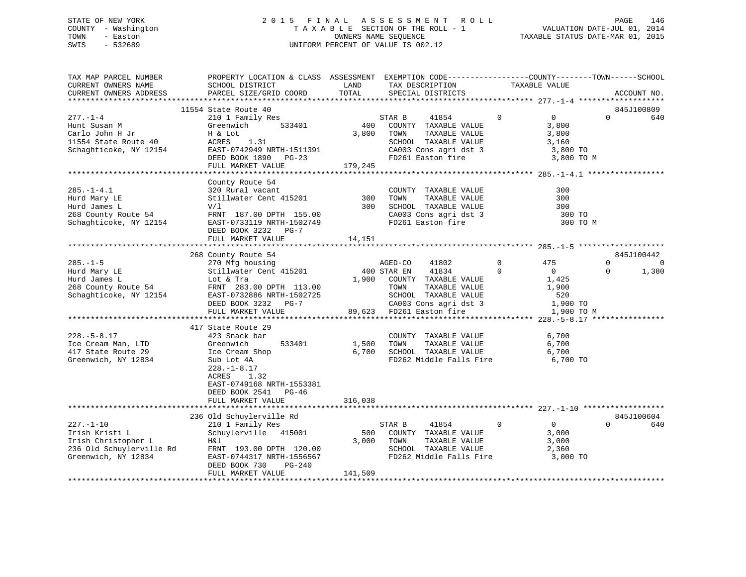## STATE OF NEW YORK 2 0 1 5 F I N A L A S S E S S M E N T R O L L PAGE 146 COUNTY - Washington T A X A B L E SECTION OF THE ROLL - 1 VALUATION DATE-JUL 01, 2014 TOWN - Easton OWNERS NAME SEQUENCE TAXABLE STATUS DATE-MAR 01, 2015 SWIS - 532689 UNIFORM PERCENT OF VALUE IS 002.12

| TAX MAP PARCEL NUMBER<br>CURRENT OWNERS NAME<br>CURRENT OWNERS ADDRESS                              | PROPERTY LOCATION & CLASS ASSESSMENT EXEMPTION CODE---------------COUNTY-------TOWN-----SCHOOL<br>SCHOOL DISTRICT<br>PARCEL SIZE/GRID COORD                                       | LAND<br>TOTAL                | TAX DESCRIPTION<br>SPECIAL DISTRICTS                                                                                                                                                     | TAXABLE VALUE                                                                                             | ACCOUNT NO.                                      |
|-----------------------------------------------------------------------------------------------------|-----------------------------------------------------------------------------------------------------------------------------------------------------------------------------------|------------------------------|------------------------------------------------------------------------------------------------------------------------------------------------------------------------------------------|-----------------------------------------------------------------------------------------------------------|--------------------------------------------------|
|                                                                                                     |                                                                                                                                                                                   |                              |                                                                                                                                                                                          |                                                                                                           |                                                  |
| $277. - 1 - 4$<br>Hunt Susan M<br>Carlo John H Jr<br>11554 State Route 40<br>Schaghticoke, NY 12154 | 11554 State Route 40<br>210 1 Family Res<br>Greenwich<br>533401<br>H & Lot<br>ACRES 1.31<br>EAST-0742949 NRTH-1511391<br>DEED BOOK 1890 PG-23<br>FULL MARKET VALUE                | $400$ S.<br>3,800<br>179,245 | STAR B<br>41854<br>COUNTY TAXABLE VALUE<br>TOWN<br>TAXABLE VALUE<br>SCHOOL TAXABLE VALUE<br>$CA003$ Cons agri dst 3<br>FD261 Easton fire                                                 | $\mathbf{0}$<br>$\overline{0}$<br>3,800<br>3,800<br>3,160<br>3,800 TO<br>3,800 TO M                       | 845J100809<br>$\Omega$<br>640                    |
|                                                                                                     |                                                                                                                                                                                   |                              |                                                                                                                                                                                          |                                                                                                           |                                                  |
| $285. - 1 - 4.1$<br>Hurd Mary LE<br>Hurd James L<br>268 County Route 54<br>Schaghticoke, NY 12154   | County Route 54<br>320 Rural vacant<br>Stillwater Cent 415201<br>V/1<br>FRNT 187.00 DPTH 155.00<br>EAST-0733119 NRTH-1502749<br>DEED BOOK 3232 PG-7<br>FULL MARKET VALUE          | 300<br>14,151                | COUNTY TAXABLE VALUE<br>TAXABLE VALUE<br>TOWN<br>300 SCHOOL TAXABLE VALUE<br>CA003 Cons agri dst 3<br>FD261 Easton fire                                                                  | 300<br>300<br>300<br>300 TO<br>300 TO M                                                                   |                                                  |
|                                                                                                     |                                                                                                                                                                                   |                              |                                                                                                                                                                                          |                                                                                                           |                                                  |
| $285. - 1 - 5$<br>Hurd Mary LE<br>Hurd James L<br>268 County Route 54<br>Schaghticoke, NY 12154     | 268 County Route 54<br>270 Mfg housing<br>Stillwater Cent 415201<br>Lot & Tra<br>FRNT 283.00 DPTH 113.00<br>EAST-0732886 NRTH-1502725<br>DEED BOOK 3232 PG-7<br>FULL MARKET VALUE | 400 STAR EN<br>$89.622$      | AGED-CO<br>41802<br>41834<br>1,900 COUNTY TAXABLE VALUE<br>TOWN      TAXABLE  VALUE<br>SCHOOL   TAXABLE  VALUE<br>CA003 Cons agri dst 3<br>FD261 Easton fire<br>89,623 FD261 Easton fire | $0 \qquad \qquad$<br>475<br>$\Omega$<br>$\overline{0}$<br>1,425<br>1,900<br>520<br>1,900 TO<br>1,900 TO M | 845J100442<br>$\Omega$<br>0<br>1,380<br>$\Omega$ |
|                                                                                                     | 417 State Route 29                                                                                                                                                                |                              |                                                                                                                                                                                          |                                                                                                           |                                                  |
| $228. - 5 - 8.17$<br>Ice Cream Man, LTD<br>417 State Route 29<br>Greenwich, NY 12834                | 423 Snack bar<br>533401<br>Greenwich<br>Ice Cream Shop<br>Sub Lot 4A<br>$228. - 1 - 8.17$<br>ACRES<br>1.32<br>EAST-0749168 NRTH-1553381<br>DEED BOOK 2541 PG-46                   | 1,500<br>6,700<br>316,038    | COUNTY TAXABLE VALUE<br>TAXABLE VALUE<br>TOWN<br>SCHOOL TAXABLE VALUE<br>FD262 Middle Falls Fire 6,700 TO                                                                                | 6,700<br>6,700<br>6,700                                                                                   |                                                  |
|                                                                                                     | FULL MARKET VALUE                                                                                                                                                                 |                              |                                                                                                                                                                                          |                                                                                                           |                                                  |
| $227. - 1 - 10$<br>Irish Kristi L<br>Irish Christopher L<br>Greenwich, NY 12834                     | 236 Old Schuylerville Rd<br>210 1 Family Res<br>Schuylerville 415001<br>H&l<br>EAST-0744317 NRTH-1556567<br>DEED BOOK 730<br>PG-240<br>FULL MARKET VALUE                          | 500<br>141,509               | 41854<br>STAR B<br>COUNTY TAXABLE VALUE<br>3,000 TOWN<br>TOWN      TAXABLE VALUE<br>SCHOOL   TAXABLE VALUE<br>FD262 Middle Falls Fire                                                    | $\mathbf 0$<br>$\overline{0}$<br>3,000<br>3,000<br>2,360<br>3,000 TO                                      | 845J100604<br>$\Omega$<br>640                    |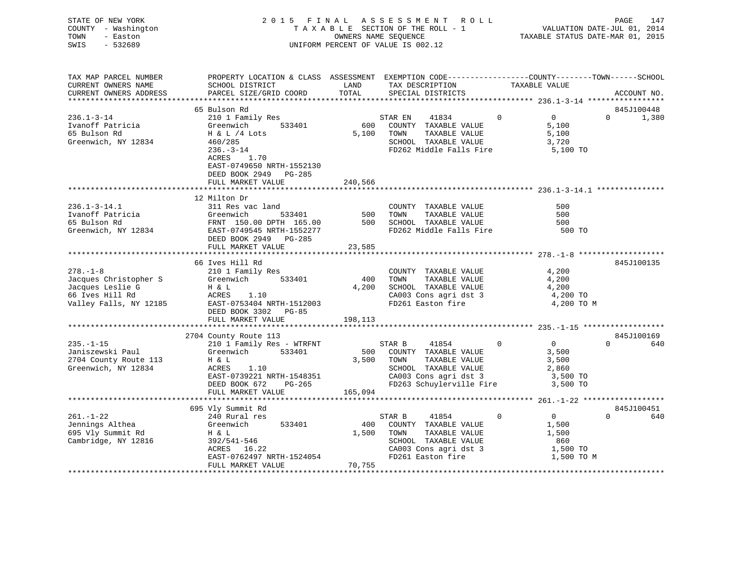| TOWN<br>SWIS | STATE OF NEW YORK<br>COUNTY - Washington<br>- Easton<br>$-532689$ |                           |            | 2015 FINAL ASSESSMENT ROLL<br>TAXABLE SECTION OF THE ROLL - 1<br>OWNERS NAME SEQUENCE<br>UNIFORM PERCENT OF VALUE IS 002.12 | TAXABLE STATUS DATE-MAR 01, 2015                              | PAGE<br>VALUATION DATE-JUL 01, 2014 | 147 |
|--------------|-------------------------------------------------------------------|---------------------------|------------|-----------------------------------------------------------------------------------------------------------------------------|---------------------------------------------------------------|-------------------------------------|-----|
|              | TAX MAP PARCEL NUMBER                                             | PROPERTY LOCATION & CLASS | ASSESSMENT |                                                                                                                             | EXEMPTION CODE-----------------COUNTY--------TOWN------SCHOOL |                                     |     |
|              | CURRENT OWNERS NAME                                               | SCHOOL DISTRICT           | LAND       | TAX DESCRIPTION                                                                                                             | TAXABLE VALUE                                                 |                                     |     |
|              | CURRENT OWNERS ADDRESS                                            | PARCEL SIZE/GRID COORD    | TOTAL      | SPECIAL DISTRICTS                                                                                                           |                                                               | ACCOUNT NO.                         |     |

|                        | 65 Bulson Rd                                                                    |         |                          |          |                   | 845J100448        |
|------------------------|---------------------------------------------------------------------------------|---------|--------------------------|----------|-------------------|-------------------|
| $236.1 - 3 - 14$       | 210 1 Family Res                                                                |         | STAR EN<br>41834         | $\Omega$ | $0 \qquad \qquad$ | $\Omega$<br>1,380 |
| Ivanoff Patricia       | 533401<br>Greenwich                                                             | 600     | COUNTY TAXABLE VALUE     |          | 5,100             |                   |
| 65 Bulson Rd           | H & L /4 Lots                                                                   | 5,100   | TAXABLE VALUE<br>TOWN    |          | 5,100             |                   |
| Greenwich, NY 12834    | 460/285                                                                         |         | SCHOOL TAXABLE VALUE     |          | 3,720             |                   |
|                        | $236. - 3 - 14$                                                                 |         | FD262 Middle Falls Fire  |          | 5,100 TO          |                   |
|                        | ACRES<br>1.70                                                                   |         |                          |          |                   |                   |
|                        | EAST-0749650 NRTH-1552130                                                       |         |                          |          |                   |                   |
|                        | DEED BOOK 2949 PG-285                                                           |         |                          |          |                   |                   |
|                        | FULL MARKET VALUE                                                               | 240,566 |                          |          |                   |                   |
|                        |                                                                                 |         |                          |          |                   |                   |
|                        | 12 Milton Dr                                                                    |         |                          |          |                   |                   |
| $236.1 - 3 - 14.1$     | 311 Res vac land                                                                |         | COUNTY TAXABLE VALUE     |          | 500               |                   |
| Ivanoff Patricia       | 533401<br>Greenwich                                                             | 500     | TAXABLE VALUE<br>TOWN    |          | 500               |                   |
| 65 Bulson Rd           | FRNT 150.00 DPTH 165.00<br>EAST-0749545 NRTH-1552277<br>FRNT 150.00 DPTH 165.00 | 500     | SCHOOL TAXABLE VALUE     |          | 500               |                   |
| Greenwich, NY 12834    |                                                                                 |         | FD262 Middle Falls Fire  |          | 500 TO            |                   |
|                        | DEED BOOK 2949 PG-285                                                           |         |                          |          |                   |                   |
|                        | FULL MARKET VALUE                                                               | 23,585  |                          |          |                   |                   |
|                        |                                                                                 |         |                          |          |                   |                   |
|                        | 66 Ives Hill Rd                                                                 |         |                          |          |                   | 845J100135        |
| $278. - 1 - 8$         | 210 1 Family Res                                                                |         | COUNTY TAXABLE VALUE     |          | 4,200             |                   |
| Jacques Christopher S  | Greenwich<br>533401                                                             | 400     | TOWN<br>TAXABLE VALUE    |          | 4,200             |                   |
| Jacques Leslie G       | H & L                                                                           | 4,200   | SCHOOL TAXABLE VALUE     |          | 4,200             |                   |
| 66 Ives Hill Rd        | ACRES<br>1.10                                                                   |         | CA003 Cons agri dst 3    |          | 4,200 TO          |                   |
| Valley Falls, NY 12185 | EAST-0753404 NRTH-1512003                                                       |         | FD261 Easton fire        |          | 4,200 TO M        |                   |
|                        | DEED BOOK 3302<br>PG-85                                                         |         |                          |          |                   |                   |
|                        | FULL MARKET VALUE                                                               | 198,113 |                          |          |                   |                   |
|                        |                                                                                 |         |                          |          |                   |                   |
|                        | 2704 County Route 113                                                           |         |                          |          |                   | 845J100169        |
| $235. -1 - 15$         | 210 1 Family Res - WTRFNT                                                       |         | STAR B<br>41854          | $\Omega$ | $0 \qquad \qquad$ | $\Omega$<br>640   |
| Janiszewski Paul       | 533401<br>Greenwich                                                             | 500     | COUNTY TAXABLE VALUE     |          | 3,500             |                   |
| 2704 County Route 113  | H & L                                                                           | 3,500   | TOWN<br>TAXABLE VALUE    |          | 3,500             |                   |
| Greenwich, NY 12834    | ACRES<br>1.10                                                                   |         | SCHOOL TAXABLE VALUE     |          | 2,860             |                   |
|                        | EAST-0739221 NRTH-1548351                                                       |         | CA003 Cons agri dst 3    |          | 3,500 TO          |                   |
|                        | DEED BOOK 672<br>PG-265                                                         |         | FD263 Schuylerville Fire |          | 3,500 TO          |                   |
|                        | FULL MARKET VALUE                                                               | 165,094 |                          |          |                   |                   |
|                        |                                                                                 |         |                          |          |                   |                   |
|                        | 695 Vly Summit Rd                                                               |         |                          |          |                   | 845J100451        |
| $261. - 1 - 22$        | 240 Rural res                                                                   |         | STAR B<br>41854          | $\Omega$ | $\overline{0}$    | $\Omega$<br>640   |
| Jennings Althea        | Greenwich<br>533401                                                             | 400     | COUNTY TAXABLE VALUE     |          | 1,500             |                   |
| 695 Vly Summit Rd      | H & L                                                                           | 1,500   | TOWN<br>TAXABLE VALUE    |          | 1,500             |                   |
| Cambridge, NY 12816    | 392/541-546                                                                     |         | SCHOOL TAXABLE VALUE     |          | 860               |                   |
|                        | ACRES<br>16.22                                                                  |         | CA003 Cons agri dst 3    |          | 1,500 TO          |                   |
|                        | EAST-0762497 NRTH-1524054                                                       |         | FD261 Easton fire        |          | 1,500 TO M        |                   |
|                        | FULL MARKET VALUE                                                               | 70,755  |                          |          |                   |                   |
|                        |                                                                                 |         |                          |          |                   |                   |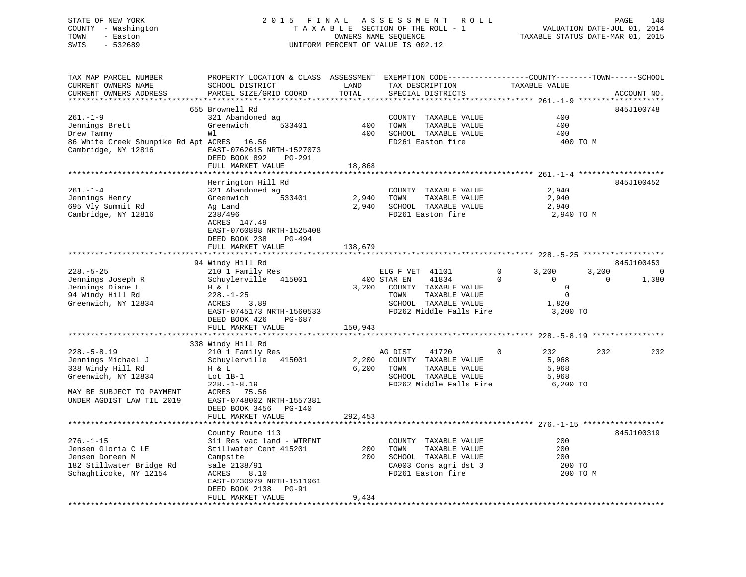## STATE OF NEW YORK 2 0 1 5 F I N A L A S S E S S M E N T R O L L PAGE 148 COUNTY - Washington T A X A B L E SECTION OF THE ROLL - 1 VALUATION DATE-JUL 01, 2014 TOWN - Easton OWNERS NAME SEQUENCE TAXABLE STATUS DATE-MAR 01, 2015 SWIS - 532689 UNIFORM PERCENT OF VALUE IS 002.12

| TAX MAP PARCEL NUMBER                      | PROPERTY LOCATION & CLASS ASSESSMENT EXEMPTION CODE----------------COUNTY-------TOWN-----SCHOOL |                |                 |                                                                   |                                               |                |          |                          |
|--------------------------------------------|-------------------------------------------------------------------------------------------------|----------------|-----------------|-------------------------------------------------------------------|-----------------------------------------------|----------------|----------|--------------------------|
| CURRENT OWNERS NAME                        | SCHOOL DISTRICT                                                                                 | LAND           |                 | TAX DESCRIPTION                                                   | TAXABLE VALUE                                 |                |          |                          |
| CURRENT OWNERS ADDRESS                     | PARCEL SIZE/GRID COORD                                                                          | TOTAL          |                 | SPECIAL DISTRICTS                                                 |                                               |                |          | ACCOUNT NO.              |
|                                            |                                                                                                 |                |                 |                                                                   | ***************** 261.-1-9 ****************** |                |          |                          |
|                                            | 655 Brownell Rd                                                                                 |                |                 |                                                                   |                                               |                |          | 845J100748               |
| $261. - 1 - 9$                             | 321 Abandoned ag                                                                                |                |                 | COUNTY TAXABLE VALUE                                              |                                               | 400            |          |                          |
| Jennings Brett                             | Greenwich<br>533401                                                                             | 400            | TOWN            | TAXABLE VALUE                                                     |                                               | 400            |          |                          |
| Drew Tammy                                 | Wl                                                                                              | 400            |                 | SCHOOL TAXABLE VALUE                                              |                                               | 400            |          |                          |
| 86 White Creek Shunpike Rd Apt ACRES 16.56 |                                                                                                 |                |                 | FD261 Easton fire                                                 |                                               | 400 TO M       |          |                          |
| Cambridge, NY 12816                        | EAST-0762615 NRTH-1527073                                                                       |                |                 |                                                                   |                                               |                |          |                          |
|                                            | DEED BOOK 892<br>PG-291                                                                         |                |                 |                                                                   |                                               |                |          |                          |
|                                            | FULL MARKET VALUE                                                                               | 18,868         |                 |                                                                   |                                               |                |          |                          |
|                                            | ************************************                                                            | ************** |                 |                                                                   |                                               |                |          |                          |
|                                            |                                                                                                 |                |                 |                                                                   |                                               |                |          |                          |
|                                            | Herrington Hill Rd                                                                              |                |                 |                                                                   |                                               |                |          | 845J100452               |
| $261. - 1 - 4$                             | 321 Abandoned ag                                                                                |                |                 | COUNTY TAXABLE VALUE                                              |                                               | 2,940          |          |                          |
| Jennings Henry                             | Greenwich<br>533401                                                                             | 2,940          | TOWN            | TAXABLE VALUE                                                     |                                               | 2,940          |          |                          |
| 695 Vly Summit Rd                          | Ag Land                                                                                         | 2,940          |                 | SCHOOL TAXABLE VALUE                                              |                                               | 2,940          |          |                          |
| Cambridge, NY 12816                        | 238/496                                                                                         |                |                 | FD261 Easton fire                                                 |                                               | 2,940 TO M     |          |                          |
|                                            | ACRES 147.49                                                                                    |                |                 |                                                                   |                                               |                |          |                          |
|                                            | EAST-0760898 NRTH-1525408                                                                       |                |                 |                                                                   |                                               |                |          |                          |
|                                            | DEED BOOK 238<br>$PG-494$                                                                       |                |                 |                                                                   |                                               |                |          |                          |
|                                            | FULL MARKET VALUE                                                                               | 138,679        |                 |                                                                   |                                               |                |          |                          |
|                                            |                                                                                                 | ************** |                 | **************************************528.-5-25****************** |                                               |                |          |                          |
|                                            | 94 Windy Hill Rd                                                                                |                |                 |                                                                   |                                               |                |          | 845J100453               |
| $228. - 5 - 25$                            | 210 1 Family Res                                                                                |                | ELG F VET 41101 |                                                                   | $\Omega$                                      | 3,200          | 3,200    | $\overline{\phantom{0}}$ |
| Jennings Joseph R                          | Schuylerville 415001                                                                            |                | 400 STAR EN     | 41834                                                             | $\Omega$                                      | $\overline{0}$ | $\Omega$ | 1,380                    |
| Jennings Diane L                           | H & L                                                                                           | 3,200          |                 | COUNTY TAXABLE VALUE                                              |                                               | $\overline{0}$ |          |                          |
| 94 Windy Hill Rd                           | $228. - 1 - 25$                                                                                 |                | TOWN            | TAXABLE VALUE                                                     |                                               | $\mathbf 0$    |          |                          |
| Greenwich, NY 12834                        | 3.89<br>ACRES                                                                                   |                |                 | SCHOOL TAXABLE VALUE                                              |                                               | 1,820          |          |                          |
|                                            |                                                                                                 |                |                 |                                                                   |                                               |                |          |                          |
|                                            | EAST-0745173 NRTH-1560533                                                                       |                |                 | FD262 Middle Falls Fire                                           |                                               | 3,200 TO       |          |                          |
|                                            | DEED BOOK 426<br>PG-687                                                                         |                |                 |                                                                   |                                               |                |          |                          |
|                                            | FULL MARKET VALUE                                                                               | 150,943        |                 |                                                                   |                                               |                |          |                          |
|                                            |                                                                                                 |                |                 |                                                                   |                                               |                |          |                          |
|                                            | 338 Windy Hill Rd                                                                               |                |                 |                                                                   |                                               |                |          |                          |
| $228. - 5 - 8.19$                          | 210 1 Family Res                                                                                |                | AG DIST         | 41720                                                             | $\Omega$                                      | 232            | 232      | 232                      |
| Jennings Michael J                         | Schuylerville 415001                                                                            | 2,200          |                 | COUNTY TAXABLE VALUE                                              |                                               | 5,968          |          |                          |
| 338 Windy Hill Rd                          | H & L                                                                                           | 6,200          | TOWN            | TAXABLE VALUE                                                     |                                               | 5,968          |          |                          |
| Greenwich, NY 12834                        | Lot $1B-1$                                                                                      |                |                 | SCHOOL TAXABLE VALUE                                              |                                               | 5,968          |          |                          |
|                                            | $228. - 1 - 8.19$                                                                               |                |                 | FD262 Middle Falls Fire                                           |                                               | 6,200 TO       |          |                          |
| MAY BE SUBJECT TO PAYMENT                  | ACRES 75.56                                                                                     |                |                 |                                                                   |                                               |                |          |                          |
| UNDER AGDIST LAW TIL 2019                  | EAST-0748002 NRTH-1557381                                                                       |                |                 |                                                                   |                                               |                |          |                          |
|                                            | DEED BOOK 3456 PG-140                                                                           |                |                 |                                                                   |                                               |                |          |                          |
|                                            | FULL MARKET VALUE                                                                               | 292,453        |                 |                                                                   |                                               |                |          |                          |
|                                            |                                                                                                 |                |                 |                                                                   |                                               |                |          |                          |
|                                            | County Route 113                                                                                |                |                 |                                                                   |                                               |                |          | 845J100319               |
| $276. - 1 - 15$                            | 311 Res vac land - WTRFNT                                                                       |                |                 | COUNTY TAXABLE VALUE                                              |                                               | 200            |          |                          |
|                                            |                                                                                                 |                |                 |                                                                   |                                               |                |          |                          |
| Jensen Gloria C LE                         | Stillwater Cent 415201                                                                          | 200            | TOWN            | TAXABLE VALUE                                                     |                                               | 200            |          |                          |
| Jensen Doreen M                            | Campsite                                                                                        | 200            |                 | SCHOOL TAXABLE VALUE                                              |                                               | 200            |          |                          |
| 182 Stillwater Bridge Rd                   | sale 2138/91                                                                                    |                |                 | CA003 Cons agri dst 3                                             |                                               | 200 TO         |          |                          |
| Schaghticoke, NY 12154                     | 8.10<br>ACRES                                                                                   |                |                 | FD261 Easton fire                                                 |                                               | 200 TO M       |          |                          |
|                                            | EAST-0730979 NRTH-1511961                                                                       |                |                 |                                                                   |                                               |                |          |                          |
|                                            | DEED BOOK 2138<br>PG-91                                                                         |                |                 |                                                                   |                                               |                |          |                          |
|                                            | FULL MARKET VALUE                                                                               | 9,434          |                 |                                                                   |                                               |                |          |                          |
|                                            |                                                                                                 |                |                 |                                                                   |                                               |                |          |                          |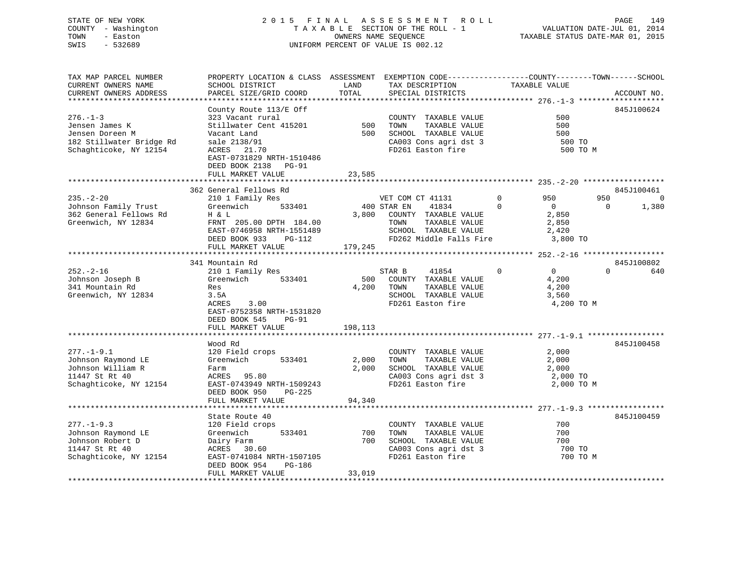## STATE OF NEW YORK 2 0 1 5 F I N A L A S S E S S M E N T R O L L PAGE 149 COUNTY - Washington T A X A B L E SECTION OF THE ROLL - 1 VALUATION DATE-JUL 01, 2014 TOWN - Easton **CONNERS NAME SEQUENCE** TAXABLE STATUS DATE-MAR 01, 2015 SWIS - 532689 UNIFORM PERCENT OF VALUE IS 002.12

| TAX MAP PARCEL NUMBER<br>CURRENT OWNERS NAME                                                              | PROPERTY LOCATION & CLASS ASSESSMENT EXEMPTION CODE---------------COUNTY-------TOWN-----SCHOOL<br>SCHOOL DISTRICT                                                                            | LAND                    | TAX DESCRIPTION                                                                                                                | TAXABLE VALUE                                                     |                         |
|-----------------------------------------------------------------------------------------------------------|----------------------------------------------------------------------------------------------------------------------------------------------------------------------------------------------|-------------------------|--------------------------------------------------------------------------------------------------------------------------------|-------------------------------------------------------------------|-------------------------|
| CURRENT OWNERS ADDRESS                                                                                    | PARCEL SIZE/GRID COORD                                                                                                                                                                       | TOTAL                   | SPECIAL DISTRICTS                                                                                                              |                                                                   | ACCOUNT NO.             |
|                                                                                                           |                                                                                                                                                                                              |                         |                                                                                                                                |                                                                   |                         |
| $276. - 1 - 3$<br>Jensen James K<br>Jensen Doreen M<br>182 Stillwater Bridge Rd<br>Schaghticoke, NY 12154 | County Route 113/E Off<br>323 Vacant rural<br>Stillwater Cent 415201<br>Vacant Land<br>sale 2138/91<br>ACRES 21.70<br>EAST-0731829 NRTH-1510486<br>DEED BOOK 2138 PG-91<br>FULL MARKET VALUE | 500<br>500<br>23,585    | COUNTY TAXABLE VALUE<br>TOWN<br>TAXABLE VALUE<br>SCHOOL TAXABLE VALUE<br>CA003 Cons agri dst 3<br>FD261 Easton fire            | 500<br>500<br>500<br>500 TO                                       | 845J100624<br>500 TO M  |
|                                                                                                           | 362 General Fellows Rd                                                                                                                                                                       |                         |                                                                                                                                |                                                                   | 845J100461              |
| $235. - 2 - 20$                                                                                           | 210 1 Family Res                                                                                                                                                                             |                         | VET COM CT 41131                                                                                                               | $\overline{0}$<br>950                                             | 950<br>$\overline{0}$   |
| Johnson Family Trust<br>362 General Fellows Rd<br>Greenwich, NY 12834                                     | 533401<br>Greenwich<br>H & L<br>FRNT 205.00 DPTH 184.00<br>EAST-0746958 NRTH-1551489<br>DEED BOOK 933<br>PG-112<br>FULL MARKET VALUE                                                         | 179,245                 | 400 STAR EN<br>41834<br>3,800 COUNTY TAXABLE VALUE<br>TOWN<br>TAXABLE VALUE<br>SCHOOL TAXABLE VALUE<br>FD262 Middle Falls Fire | $\Omega$<br>$\overline{0}$<br>2,850<br>2,850<br>2,420<br>3,800 TO | $\overline{0}$<br>1,380 |
|                                                                                                           |                                                                                                                                                                                              |                         |                                                                                                                                |                                                                   |                         |
|                                                                                                           | 341 Mountain Rd                                                                                                                                                                              |                         |                                                                                                                                |                                                                   | 845J100802              |
| $252 - 2 - 16$<br>Johnson Joseph B<br>341 Mountain Rd<br>Greenwich, NY 12834                              | 210 1 Family Res<br>533401<br>Greenwich<br>Res<br>3.5A<br>ACRES<br>3.00<br>EAST-0752358 NRTH-1531820<br>DEED BOOK 545<br><b>PG-91</b><br>FULL MARKET VALUE                                   | 500<br>4,200<br>198,113 | STAR B<br>41854<br>COUNTY TAXABLE VALUE<br>TAXABLE VALUE<br>TOWN<br>SCHOOL TAXABLE VALUE<br>FD261 Easton fire                  | $\Omega$<br>$\Omega$<br>4,200<br>4,200<br>3,560<br>4,200 TO M     | $\Omega$<br>640         |
|                                                                                                           |                                                                                                                                                                                              |                         |                                                                                                                                |                                                                   |                         |
| $277. - 1 - 9.1$<br>Johnson Raymond LE<br>Johnson William R<br>11447 St Rt 40<br>Schaghticoke, NY 12154   | Wood Rd<br>120 Field crops<br>Greenwich<br>533401<br>Farm<br>ACRES 95.80<br>EAST-0743949 NRTH-1509243<br>PG-225<br>DEED BOOK 950                                                             | 2,000<br>2,000          | COUNTY TAXABLE VALUE<br>TAXABLE VALUE<br>TOWN<br>SCHOOL TAXABLE VALUE<br>CA003 Cons agri dst 3<br>FD261 Easton fire            | 2,000<br>2,000<br>2,000<br>2,000 TO<br>2,000 TO M                 | 845J100458              |
|                                                                                                           | FULL MARKET VALUE                                                                                                                                                                            | 94,340                  |                                                                                                                                |                                                                   |                         |
|                                                                                                           |                                                                                                                                                                                              |                         |                                                                                                                                |                                                                   |                         |
| $277. - 1 - 9.3$<br>Johnson Raymond LE<br>Johnson Robert D<br>11447 St Rt 40<br>Schaghticoke, NY 12154    | State Route 40<br>120 Field crops<br>533401<br>Greenwich<br>Dairy Farm<br>ACRES 30.60<br>EAST-0741084 NRTH-1507105<br>DEED BOOK 954<br>PG-186<br>FULL MARKET VALUE                           | 700<br>700<br>33,019    | COUNTY TAXABLE VALUE<br>TOWN<br>TAXABLE VALUE<br>SCHOOL TAXABLE VALUE<br>CA003 Cons agri dst 3<br>FD261 Easton fire            | 700<br>700<br>700<br>700 TO                                       | 845J100459<br>700 TO M  |
|                                                                                                           |                                                                                                                                                                                              |                         |                                                                                                                                |                                                                   |                         |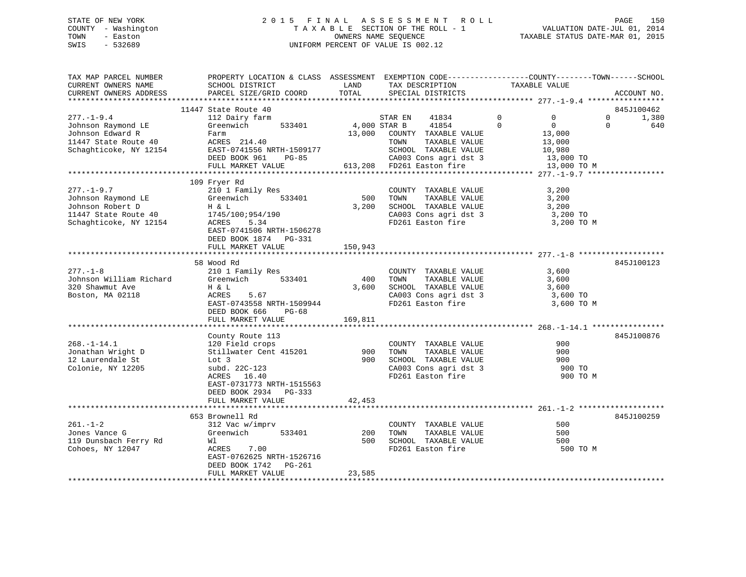## STATE OF NEW YORK 2 0 1 5 F I N A L A S S E S S M E N T R O L L PAGE 150 COUNTY - Washington T A X A B L E SECTION OF THE ROLL - 1 VALUATION DATE-JUL 01, 2014 TOWN - Easton OWNERS NAME SEQUENCE TAXABLE STATUS DATE-MAR 01, 2015 SWIS - 532689 UNIFORM PERCENT OF VALUE IS 002.12

| TAX MAP PARCEL NUMBER<br>CURRENT OWNERS NAME<br>CURRENT OWNERS ADDRESS                             | PROPERTY LOCATION & CLASS ASSESSMENT EXEMPTION CODE---------------COUNTY-------TOWN-----SCHOOL<br>SCHOOL DISTRICT<br>PARCEL SIZE/GRID COORD                  | LAND<br>TOTAL           | TAX DESCRIPTION<br>SPECIAL DISTRICTS                                                                                                                             | TAXABLE VALUE                                                                           | ACCOUNT NO.                     |
|----------------------------------------------------------------------------------------------------|--------------------------------------------------------------------------------------------------------------------------------------------------------------|-------------------------|------------------------------------------------------------------------------------------------------------------------------------------------------------------|-----------------------------------------------------------------------------------------|---------------------------------|
|                                                                                                    |                                                                                                                                                              |                         |                                                                                                                                                                  |                                                                                         |                                 |
| $277. - 1 - 9.4$                                                                                   | 11447 State Route 40<br>112 Dairy farm                                                                                                                       |                         | 41834<br>STAR EN                                                                                                                                                 | $\overline{0}$<br>$\overline{0}$                                                        | 845J100462<br>$\Omega$<br>1,380 |
| Johnson Raymond LE<br>Johnson Edward R<br>11447 State Route 40<br>Schaghticoke, NY 12154           | Greenwich<br>533401<br>Farm<br>ACRES 214.40<br>EAST-0741556 NRTH-1509177<br>DEED BOOK 961 PG-85<br>FULL MARKET VALUE                                         | 4,000 STAR B            | 41854<br>13,000 COUNTY TAXABLE VALUE<br>TAXABLE VALUE<br>TOWN<br>SCHOOL TAXABLE VALUE<br>CA003 Cons agri dst 3<br>FD261 Easton fire<br>613,208 FD261 Easton fire | $\mathbf 0$<br>$\overline{0}$<br>13,000<br>13,000<br>10,980<br>13,000 TO<br>13,000 TO M | 640<br>$\Omega$                 |
|                                                                                                    |                                                                                                                                                              |                         |                                                                                                                                                                  |                                                                                         |                                 |
| $277. - 1 - 9.7$<br>Johnson Raymond LE<br>Johnson Robert D<br>Johnson $\frac{1}{4}$ State Route 40 | 109 Fryer Rd<br>210 1 Family Res<br>533401<br>Greenwich<br>H & L<br>1745/100;954/190<br>ACRES<br>5.34<br>EAST-0741506 NRTH-1506278<br>DEED BOOK 1874 PG-331  | 500<br>3,200            | COUNTY TAXABLE VALUE<br>TAXABLE VALUE<br>TOWN<br>SCHOOL TAXABLE VALUE<br>CA003 Cons agri dst 3<br>FD261 Easton fire                                              | 3,200<br>3,200<br>3,200<br>3,200 TO<br>3,200 TO M                                       |                                 |
|                                                                                                    | FULL MARKET VALUE                                                                                                                                            | 150,943                 |                                                                                                                                                                  |                                                                                         |                                 |
|                                                                                                    | 58 Wood Rd                                                                                                                                                   |                         |                                                                                                                                                                  |                                                                                         | 845J100123                      |
| $277. - 1 - 8$<br>Johnson William Richard<br>320 Shawmut Ave<br>Boston, MA 02118                   | 210 1 Family Res<br>Greenwich 533401<br>H & L<br>5.67<br>ACRES<br>EAST-0743558 NRTH-1509944<br>DEED BOOK 666 PG-68<br>FULL MARKET VALUE                      | 400<br>3,600<br>169,811 | COUNTY TAXABLE VALUE<br>TOWN<br>TAXABLE VALUE<br>SCHOOL TAXABLE VALUE<br>CA003 Cons agri dst 3<br>FD261 Easton fire                                              | 3,600<br>3,600<br>3,600<br>3,600 TO<br>3,600 TO M                                       |                                 |
|                                                                                                    |                                                                                                                                                              |                         |                                                                                                                                                                  |                                                                                         |                                 |
| $268. - 1 - 14.1$<br>Jonathan Wright D<br>12 Laurendale St<br>Colonie, NY 12205                    | County Route 113<br>120 Field crops<br>Stillwater Cent 415201<br>Lot 3<br>subd. 22C-123<br>ACRES 16.40<br>EAST-0731773 NRTH-1515563<br>DEED BOOK 2934 PG-333 | 900<br>900              | COUNTY TAXABLE VALUE<br>TAXABLE VALUE<br>TOWN<br>SCHOOL TAXABLE VALUE<br>CA003 Cons agri dst 3                                                                   | 900<br>900<br>900<br>900 TO<br>900 TO M                                                 | 845J100876                      |
|                                                                                                    | FULL MARKET VALUE                                                                                                                                            | 42,453                  |                                                                                                                                                                  |                                                                                         |                                 |
|                                                                                                    |                                                                                                                                                              |                         |                                                                                                                                                                  |                                                                                         |                                 |
| $261. - 1 - 2$<br>Jones Vance G<br>119 Dunsbach Ferry Rd<br>Cohoes, NY 12047                       | 653 Brownell Rd<br>312 Vac w/imprv<br>Greenwich<br>533401<br>Wl<br>ACRES<br>7.00<br>EAST-0762625 NRTH-1526716<br>DEED BOOK 1742 PG-261<br>FULL MARKET VALUE  | 200<br>500<br>23,585    | COUNTY TAXABLE VALUE<br>TAXABLE VALUE<br>TOWN<br>SCHOOL TAXABLE VALUE<br>FD261 Easton fire                                                                       | 500<br>500<br>500<br>500 TO M                                                           | 845J100259                      |
|                                                                                                    |                                                                                                                                                              |                         |                                                                                                                                                                  |                                                                                         |                                 |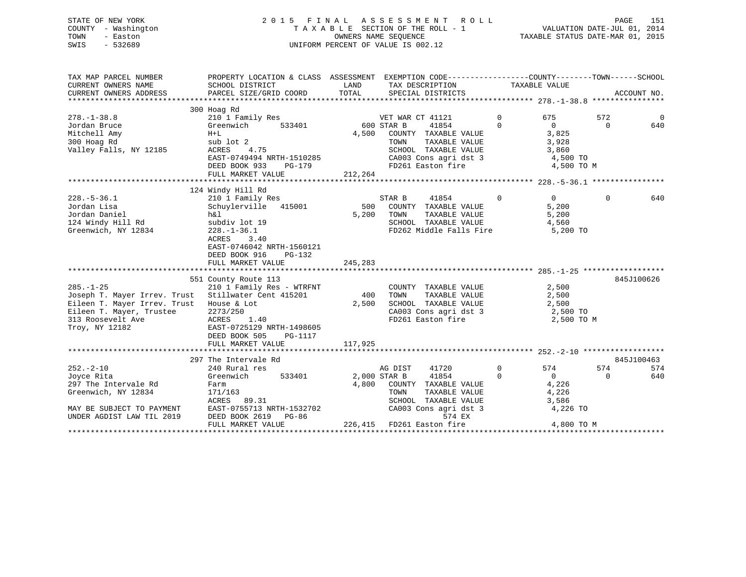|      | STATE OF NEW YORK   |  | 2015 FINAL ASSESSMENT ROLL         |                                  | PAGE                        | 151 |
|------|---------------------|--|------------------------------------|----------------------------------|-----------------------------|-----|
|      | COUNTY - Washington |  | TAXABLE SECTION OF THE ROLL - 1    |                                  | VALUATION DATE-JUL 01, 2014 |     |
| TOWN | - Easton            |  | OWNERS NAME SEOUENCE               | TAXABLE STATUS DATE-MAR 01, 2015 |                             |     |
| SWIS | - 532689            |  | UNIFORM PERCENT OF VALUE IS 002.12 |                                  |                             |     |
|      |                     |  |                                    |                                  |                             |     |

| TAX MAP PARCEL NUMBER<br>CURRENT OWNERS NAME | PROPERTY LOCATION & CLASS ASSESSMENT EXEMPTION CODE---------------COUNTY-------TOWN-----SCHOOL<br>SCHOOL DISTRICT | LAND         | TAX DESCRIPTION                               |             | TAXABLE VALUE     |          |                |
|----------------------------------------------|-------------------------------------------------------------------------------------------------------------------|--------------|-----------------------------------------------|-------------|-------------------|----------|----------------|
| CURRENT OWNERS ADDRESS                       | PARCEL SIZE/GRID COORD                                                                                            | TOTAL        | SPECIAL DISTRICTS                             |             |                   |          | ACCOUNT NO.    |
|                                              |                                                                                                                   |              |                                               |             |                   |          |                |
| $278. - 1 - 38.8$                            | 300 Hoag Rd<br>210 1 Family Res                                                                                   |              | VET WAR CT 41121                              | $\Omega$    | 675               | 572      | $\overline{0}$ |
| Jordan Bruce                                 | Greenwich<br>533401                                                                                               |              | 600 STAR B<br>41854                           | $\Omega$    | $\overline{0}$    | $\Omega$ | 640            |
| Mitchell Amy                                 | $H+L$                                                                                                             | 4,500        | COUNTY TAXABLE VALUE                          |             | 3,825             |          |                |
| 300 Hoag Rd                                  | sub lot 2                                                                                                         |              | TOWN<br>TAXABLE VALUE                         |             | 3,928             |          |                |
| Valley Falls, NY 12185                       | ACRES 4.75                                                                                                        |              |                                               |             | 3,860             |          |                |
|                                              | EAST-0749494 NRTH-1510285                                                                                         |              | SCHOOL TAXABLE VALUE<br>CA003 Cons agri dst 3 |             | 4,500 TO          |          |                |
|                                              | $PG-179$<br>DEED BOOK 933                                                                                         |              | FD261 Easton fire 4,500 TO M                  |             |                   |          |                |
|                                              | FULL MARKET VALUE 212,264                                                                                         |              |                                               |             |                   |          |                |
|                                              |                                                                                                                   |              |                                               |             |                   |          |                |
| $228. - 5 - 36.1$                            | 124 Windy Hill Rd<br>210 1 Family Res                                                                             |              | STAR B<br>41854                               | $\mathbf 0$ | $0 \qquad \qquad$ | $\Omega$ | 640            |
| Jordan Lisa                                  | Schuylerville 415001                                                                                              |              | 500 COUNTY TAXABLE VALUE                      |             | 5,200             |          |                |
| Jordan Daniel                                | h&l                                                                                                               |              | 5,200 TOWN<br>TAXABLE VALUE                   |             | 5,200             |          |                |
| 124 Windy Hill Rd                            | subdiv lot 19                                                                                                     |              | SCHOOL TAXABLE VALUE                          |             | 4,560             |          |                |
| Greenwich, NY 12834                          | $228. - 1 - 36.1$                                                                                                 |              | FD262 Middle Falls Fire                       |             | 5,200 TO          |          |                |
|                                              | ACRES<br>3.40                                                                                                     |              |                                               |             |                   |          |                |
|                                              | EAST-0746042 NRTH-1560121                                                                                         |              |                                               |             |                   |          |                |
|                                              | DEED BOOK 916<br>PG-132                                                                                           |              |                                               |             |                   |          |                |
|                                              | FULL MARKET VALUE                                                                                                 | 245,283      |                                               |             |                   |          |                |
|                                              |                                                                                                                   |              |                                               |             |                   |          |                |
|                                              | 551 County Route 113                                                                                              |              |                                               |             |                   |          | 845J100626     |
| $285. - 1 - 25$                              | 210 1 Family Res - WTRFNT                                                                                         |              | COUNTY TAXABLE VALUE                          |             | 2,500             |          |                |
| Joseph T. Mayer Irrev. Trust                 | Stillwater Cent 415201                                                                                            |              | 400 TOWN<br>TAXABLE VALUE                     |             | 2,500             |          |                |
| Eileen T. Mayer Irrev. Trust                 | House & Lot                                                                                                       | 2,500        | SCHOOL TAXABLE VALUE<br>CA003 Cons agri dst 3 |             | 2,500             |          |                |
| Eileen T. Mayer, Trustee                     | 2273/250                                                                                                          |              |                                               |             | 2,500 TO          |          |                |
| 313 Roosevelt Ave                            | ACRES<br>1.40                                                                                                     |              | FD261 Easton fire                             |             | 2,500 TO M        |          |                |
| Troy, NY 12182                               | EAST-0725129 NRTH-1498605<br>DEED BOOK 505<br>PG-1117                                                             |              |                                               |             |                   |          |                |
|                                              | FULL MARKET VALUE                                                                                                 | 117,925      |                                               |             |                   |          |                |
|                                              |                                                                                                                   |              |                                               |             |                   |          |                |
|                                              | 297 The Intervale Rd                                                                                              |              |                                               |             |                   |          | 845J100463     |
| $252 - 2 - 10$                               | 240 Rural res                                                                                                     |              | 41720<br>AG DIST                              | $\mathbf 0$ | 574               | 574      | 574            |
| Joyce Rita                                   | Greenwich<br>533401                                                                                               | 2,000 STAR B | 41854                                         | $\mathbf 0$ | $\overline{0}$    | $\Omega$ | 640            |
| 297 The Intervale Rd                         | Farm                                                                                                              | 4,800        | COUNTY TAXABLE VALUE                          |             | 4,226             |          |                |
| Greenwich, NY 12834                          | 171/163                                                                                                           |              | TOWN<br>TAXABLE VALUE                         |             | 4,226             |          |                |
|                                              | ACRES 89.31                                                                                                       |              | SCHOOL TAXABLE VALUE                          |             | 3,586             |          |                |
| MAY BE SUBJECT TO PAYMENT                    | EAST-0755713 NRTH-1532702                                                                                         |              | CA003 Cons agri dst 3                         |             | 4,226 TO          |          |                |
| UNDER AGDIST LAW TIL 2019                    | DEED BOOK 2619 PG-86                                                                                              |              | 574 EX                                        |             |                   |          |                |
|                                              | FULL MARKET VALUE                                                                                                 |              | 226,415 FD261 Easton fire                     |             | 4,800 TO M        |          |                |
|                                              |                                                                                                                   |              |                                               |             |                   |          |                |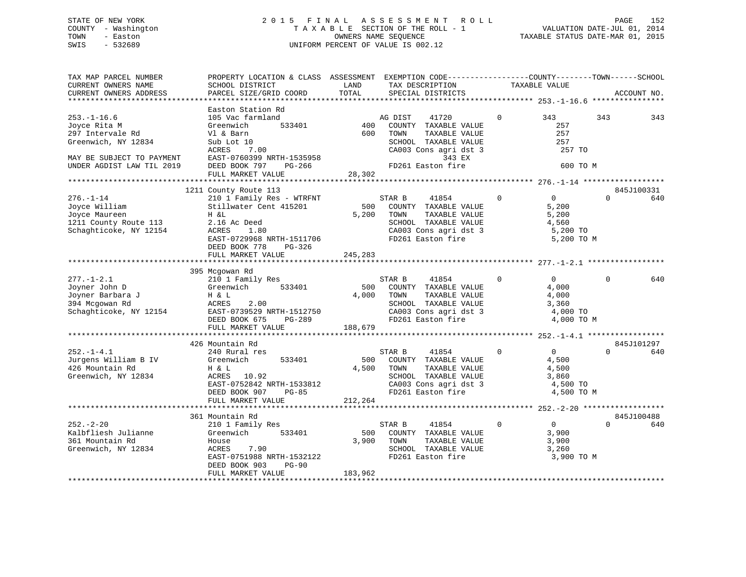## STATE OF NEW YORK 2 0 1 5 F I N A L A S S E S S M E N T R O L L PAGE 152 COUNTY - Washington T A X A B L E SECTION OF THE ROLL - 1 VALUATION DATE-JUL 01, 2014 TOWN - Easton OWNERS NAME SEQUENCE TAXABLE STATUS DATE-MAR 01, 2015 SWIS - 532689 UNIFORM PERCENT OF VALUE IS 002.12

| TAX MAP PARCEL NUMBER<br>CURRENT OWNERS NAME<br>CURRENT OWNERS ADDRESS                                                                 | PROPERTY LOCATION & CLASS ASSESSMENT<br>SCHOOL DISTRICT<br>PARCEL SIZE/GRID COORD                                                                                             | LAND<br>TOTAL           | EXEMPTION CODE-----------------COUNTY-------TOWN------SCHOOL<br>TAX DESCRIPTION<br>SPECIAL DISTRICTS                                              | TAXABLE VALUE                                                                      | ACCOUNT NO.                   |
|----------------------------------------------------------------------------------------------------------------------------------------|-------------------------------------------------------------------------------------------------------------------------------------------------------------------------------|-------------------------|---------------------------------------------------------------------------------------------------------------------------------------------------|------------------------------------------------------------------------------------|-------------------------------|
| *************************                                                                                                              |                                                                                                                                                                               |                         |                                                                                                                                                   |                                                                                    |                               |
| $253. - 1 - 16.6$<br>Joyce Rita M<br>297 Intervale Rd<br>Greenwich, NY 12834<br>MAY BE SUBJECT TO PAYMENT<br>UNDER AGDIST LAW TIL 2019 | Easton Station Rd<br>105 Vac farmland<br>Greenwich<br>533401<br>Vl & Barn<br>Sub Lot 10<br>7.00<br>ACRES<br>EAST-0760399 NRTH-1535958<br>DEED BOOK 797<br>PG-266              | 400<br>600              | AG DIST<br>41720<br>COUNTY TAXABLE VALUE<br>TAXABLE VALUE<br>TOWN<br>SCHOOL TAXABLE VALUE<br>CA003 Cons agri dst 3<br>343 EX<br>FD261 Easton fire | 343<br>$\Omega$<br>257<br>257<br>257<br>257 TO<br>600 TO M                         | 343<br>343                    |
|                                                                                                                                        | FULL MARKET VALUE                                                                                                                                                             | 28,302                  |                                                                                                                                                   |                                                                                    |                               |
|                                                                                                                                        |                                                                                                                                                                               |                         |                                                                                                                                                   |                                                                                    |                               |
| $276. - 1 - 14$<br>Joyce William<br>Joyce Maureen<br>1211 County Route 113<br>Schaghticoke, NY 12154                                   | 1211 County Route 113<br>210 1 Family Res - WTRFNT<br>Stillwater Cent 415201<br>H &L<br>2.16 Ac Deed<br>ACRES<br>1.80<br>EAST-0729968 NRTH-1511706<br>DEED BOOK 778<br>PG-326 | 500<br>5,200            | STAR B<br>41854<br>COUNTY TAXABLE VALUE<br>TAXABLE VALUE<br>TOWN<br>SCHOOL TAXABLE VALUE<br>CA003 Cons agri dst 3<br>FD261 Easton fire            | 0<br>$\mathbf 0$<br>5,200<br>5,200<br>4,560<br>5,200 TO<br>5,200 TO M              | 845J100331<br>$\Omega$<br>640 |
|                                                                                                                                        | FULL MARKET VALUE                                                                                                                                                             | 245,283                 |                                                                                                                                                   |                                                                                    |                               |
|                                                                                                                                        | 395 Mcgowan Rd                                                                                                                                                                |                         |                                                                                                                                                   |                                                                                    |                               |
| $277. - 1 - 2.1$<br>Joyner John D<br>Joyner Barbara J<br>394 Mcgowan Rd<br>Schaghticoke, NY 12154                                      | 210 1 Family Res<br>533401<br>Greenwich<br>H & L<br>ACRES<br>2.00<br>EAST-0739529 NRTH-1512750<br>DEED BOOK 675<br>$PG-289$<br>FULL MARKET VALUE                              | 500<br>4,000<br>188,679 | STAR B<br>41854<br>COUNTY TAXABLE VALUE<br>TOWN<br>TAXABLE VALUE<br>SCHOOL TAXABLE VALUE<br>CA003 Cons agri dst 3<br>FD261 Easton fire            | $\Omega$<br>$\overline{0}$<br>4,000<br>4,000<br>3,360<br>4,000 TO<br>4,000 TO M    | 640<br>$\Omega$               |
|                                                                                                                                        | **********************                                                                                                                                                        |                         |                                                                                                                                                   |                                                                                    |                               |
| $252. - 1 - 4.1$<br>Jurgens William B IV<br>426 Mountain Rd<br>Greenwich, NY 12834                                                     | 426 Mountain Rd<br>240 Rural res<br>Greenwich<br>533401<br>H & L<br>ACRES 10.92<br>EAST-0752842 NRTH-1533812<br>DEED BOOK 907<br>$PG-85$<br>FULL MARKET VALUE                 | 500<br>4,500<br>212,264 | 41854<br>STAR B<br>COUNTY TAXABLE VALUE<br>TAXABLE VALUE<br>TOWN<br>SCHOOL TAXABLE VALUE<br>CA003 Cons agri dst 3<br>FD261 Easton fire            | $\overline{0}$<br>$\mathbf 0$<br>4,500<br>4,500<br>3,860<br>4,500 TO<br>4,500 TO M | 845J101297<br>$\Omega$<br>640 |
|                                                                                                                                        |                                                                                                                                                                               |                         |                                                                                                                                                   |                                                                                    |                               |
| $252 - 2 - 20$<br>Kalbfliesh Julianne<br>361 Mountain Rd<br>Greenwich, NY 12834                                                        | 361 Mountain Rd<br>210 1 Family Res<br>Greenwich<br>533401<br>House<br>ACRES<br>7.90<br>EAST-0751988 NRTH-1532122<br>DEED BOOK 903<br><b>PG-90</b><br>FULL MARKET VALUE       | 500<br>3,900<br>183,962 | STAR B<br>41854<br>COUNTY TAXABLE VALUE<br>TOWN<br>TAXABLE VALUE<br>SCHOOL TAXABLE VALUE<br>FD261 Easton fire                                     | $\Omega$<br>$\Omega$<br>3,900<br>3,900<br>3,260<br>3,900 TO M                      | 845J100488<br>$\Omega$<br>640 |
|                                                                                                                                        |                                                                                                                                                                               |                         |                                                                                                                                                   |                                                                                    |                               |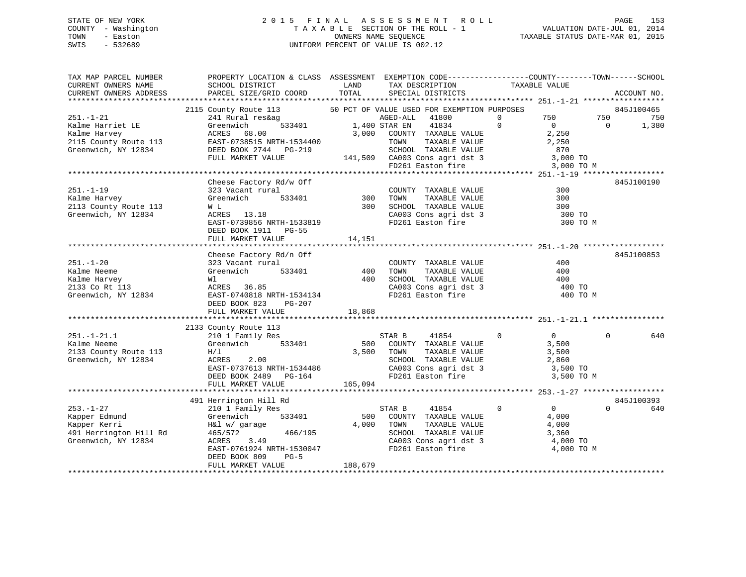## STATE OF NEW YORK 2 0 1 5 F I N A L A S S E S S M E N T R O L L PAGE 153 COUNTY - Washington T A X A B L E SECTION OF THE ROLL - 1 VALUATION DATE-JUL 01, 2014 TOWN - Easton **CONNERS NAME SEQUENCE** TAXABLE STATUS DATE-MAR 01, 2015 SWIS - 532689 UNIFORM PERCENT OF VALUE IS 002.12

| TAX MAP PARCEL NUMBER  | PROPERTY LOCATION & CLASS ASSESSMENT EXEMPTION CODE---------------COUNTY-------TOWN------SCHOOL |            |          |                                                                                                                                   |                |                |                |             |
|------------------------|-------------------------------------------------------------------------------------------------|------------|----------|-----------------------------------------------------------------------------------------------------------------------------------|----------------|----------------|----------------|-------------|
| CURRENT OWNERS NAME    | SCHOOL DISTRICT                                                                                 | LAND       |          | TAX DESCRIPTION                                                                                                                   | TAXABLE VALUE  |                |                |             |
| CURRENT OWNERS ADDRESS | PARCEL SIZE/GRID COORD                                                                          | TOTAL      |          | SPECIAL DISTRICTS                                                                                                                 |                |                |                | ACCOUNT NO. |
|                        |                                                                                                 |            |          |                                                                                                                                   |                |                |                |             |
|                        | 2115 County Route 113 50 PCT OF VALUE USED FOR EXEMPTION PURPOSES                               |            |          |                                                                                                                                   |                |                |                | 845J100465  |
| $251. - 1 - 21$        | 241 Rural res&ag                                                                                |            | AGED-ALL | 41800                                                                                                                             | $\overline{0}$ | 750 750        |                | 750         |
| Kalme Harriet LE       | $333401$ $1,400$ STAR EN<br>Greenwich                                                           |            |          | 41834                                                                                                                             | $\overline{0}$ | $\overline{0}$ | $\overline{0}$ | 1,380       |
| Kalme Harvey           | Greenw<br>ACRES<br>EAST-0<br>68.00                                                              | 3,000      |          | COUNTY TAXABLE VALUE                                                                                                              | 2,250          |                |                |             |
| 2115 County Route 113  | EAST-0738515 NRTH-1534400                                                                       |            |          |                                                                                                                                   |                |                |                |             |
|                        | Greenwich, NY 12834 DEED BOOK 2744 PG-219                                                       |            |          |                                                                                                                                   |                |                |                |             |
|                        | FULL MARKET VALUE                                                                               |            |          |                                                                                                                                   |                |                |                |             |
|                        |                                                                                                 |            |          |                                                                                                                                   |                |                |                |             |
|                        |                                                                                                 |            |          | TOWN TAXABLE VALUE 2,250<br>SCHOOL TAXABLE VALUE 2,250<br>141,509 CA003 Cons agri dst 3 3,000 TO<br>FD261 Easton fire<br>1,10 ttt |                |                |                |             |
|                        |                                                                                                 |            |          |                                                                                                                                   |                |                |                |             |
|                        | Cheese Factory Rd/w Off                                                                         |            |          |                                                                                                                                   |                |                |                | 845J100190  |
| $251. - 1 - 19$        | 323 Vacant rural                                                                                |            |          | COUNTY TAXABLE VALUE                                                                                                              |                | 300            |                |             |
| Kalme Harvey           | Greenwich                                                                                       | 533401 300 | TOWN     | TAXABLE VALUE                                                                                                                     |                | 300            |                |             |
| 2113 County Route 113  | W L                                                                                             | 300        |          | SCHOOL TAXABLE VALUE                                                                                                              |                | 300            |                |             |
| Greenwich, NY 12834    | ACRES 13.18                                                                                     |            |          | CA003 Cons agri dst 3 300 TO                                                                                                      |                |                |                |             |
|                        | AURES 13.18<br>EAST-0739856 NRTH-1533819                                                        |            |          | FD261 Easton fire                                                                                                                 |                | 300 TO M       |                |             |
|                        | DEED BOOK 1911 PG-55                                                                            |            |          |                                                                                                                                   |                |                |                |             |
|                        | FULL MARKET VALUE                                                                               | 14,151     |          |                                                                                                                                   |                |                |                |             |
|                        |                                                                                                 |            |          |                                                                                                                                   |                |                |                |             |
|                        | Cheese Factory Rd/n Off                                                                         |            |          |                                                                                                                                   |                |                |                | 845J100853  |
| $251. - 1 - 20$        | 323 Vacant rural                                                                                |            |          | COUNTY TAXABLE VALUE                                                                                                              |                | 400            |                |             |
| Kalme Neeme            | 533401<br>Greenwich                                                                             | 400        | TOWN     | TAXABLE VALUE                                                                                                                     |                | 400            |                |             |
| Kalme Harvey           |                                                                                                 | 400        |          |                                                                                                                                   |                | 400            |                |             |
| 2133 Co Rt 113         |                                                                                                 |            |          |                                                                                                                                   |                | 400 TO         |                |             |
|                        | Greenwich, NY 12834 EAST-0740818 NRTH-1534134                                                   |            |          | SCHOOL TAXABLE VALUE<br>CA003 Cons agri dst 3<br>FD261 Easton fire                                                                |                | 400 TO M       |                |             |
|                        | DEED BOOK 823<br>PG-207                                                                         |            |          |                                                                                                                                   |                |                |                |             |
|                        | FULL MARKET VALUE                                                                               | 18,868     |          |                                                                                                                                   |                |                |                |             |
|                        |                                                                                                 |            |          |                                                                                                                                   |                |                |                |             |
|                        | 2133 County Route 113                                                                           |            |          |                                                                                                                                   |                |                |                |             |
| $251. - 1 - 21.1$      | county Route 113<br>210 1 Family Res                                                            |            | STAR B   | 41854 0                                                                                                                           |                | $\overline{0}$ | $\Omega$       | 640         |
| Kalme Neeme            | Greenwich 533401                                                                                |            |          | 500 COUNTY TAXABLE VALUE<br>3,500 TOWN TAXABLE VALUE                                                                              |                | 3,500          |                |             |
|                        |                                                                                                 |            |          |                                                                                                                                   |                |                |                |             |
| 2133 County Route 113  | H/L                                                                                             |            |          |                                                                                                                                   |                | 3,500          |                |             |
| Greenwich, NY 12834    | ACRES 2.00                                                                                      |            |          | SCHOOL TAXABLE VALUE 2,860<br>CA003 Cons agri dst 3 3,500 TO<br>FD261 Easton fire 3 3,500 TO M                                    |                |                |                |             |
|                        | nc.<br>EAST-0737613 NRTH-1534486<br>DEED BOOK 2489 PG-164                                       |            |          |                                                                                                                                   |                |                |                |             |
|                        |                                                                                                 |            |          |                                                                                                                                   |                |                |                |             |
|                        | FULL MARKET VALUE                                                                               | 165,094    |          |                                                                                                                                   |                |                |                |             |
|                        |                                                                                                 |            |          |                                                                                                                                   |                |                |                |             |
|                        | 491 Herrington Hill Rd                                                                          |            |          |                                                                                                                                   |                |                |                | 845J100393  |
| $253. - 1 - 27$        | 210 1 Family Res                                                                                |            | STAR B   | 41854                                                                                                                             | $\Omega$       | $\overline{0}$ | $\Omega$       | 640         |
|                        | Greenwich<br>533401                                                                             | 500        |          | COUNTY TAXABLE VALUE                                                                                                              |                | 4,000          |                |             |
| Kapper Kerri           | H&l w/ garage<br>465/572                                                                        | 4,000      | TOWN     | TAXABLE VALUE                                                                                                                     |                | 4,000          |                |             |
| 491 Herrington Hill Rd | 466/195                                                                                         |            |          | SCHOOL TAXABLE VALUE                                                                                                              |                | 3,360          |                |             |
| Greenwich, NY 12834    | ACRES 3.49                                                                                      |            |          | $CA003$ Cons agri dst 3                                                                                                           |                | 4,000 TO       |                |             |
|                        | EAST-0761924 NRTH-1530047                                                                       |            |          | FD261 Easton fire                                                                                                                 |                | 4,000 TO M     |                |             |
|                        | DEED BOOK 809<br>$PG-5$                                                                         |            |          |                                                                                                                                   |                |                |                |             |
|                        | FULL MARKET VALUE                                                                               | 188,679    |          |                                                                                                                                   |                |                |                |             |
|                        |                                                                                                 |            |          |                                                                                                                                   |                |                |                |             |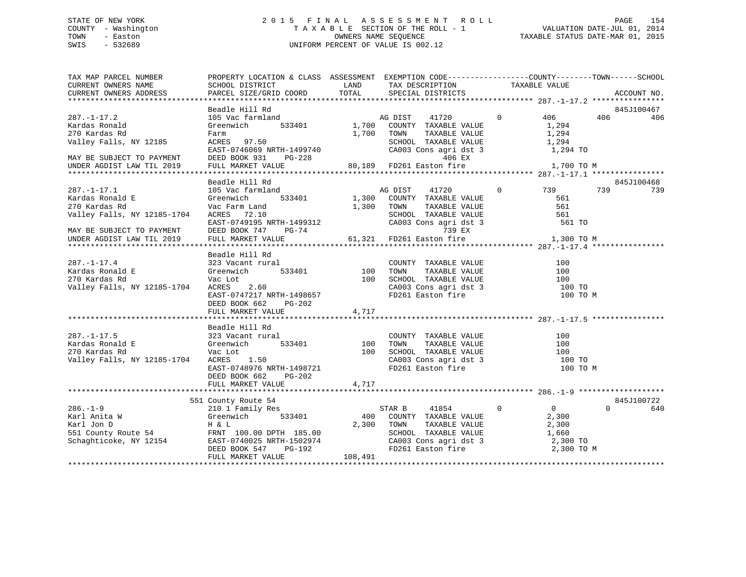## STATE OF NEW YORK 2 0 1 5 F I N A L A S S E S S M E N T R O L L PAGE 154 COUNTY - Washington T A X A B L E SECTION OF THE ROLL - 1 VALUATION DATE-JUL 01, 2014 TOWN - Easton OWNERS NAME SEQUENCE TAXABLE STATUS DATE-MAR 01, 2015 SWIS - 532689 UNIFORM PERCENT OF VALUE IS 002.12

| TAX MAP PARCEL NUMBER<br>CURRENT OWNERS NAME<br>CURRENT OWNERS ADDRESS                                                | PROPERTY LOCATION & CLASS ASSESSMENT EXEMPTION CODE----------------COUNTY-------TOWN------SCHOOL<br>SCHOOL DISTRICT<br>PARCEL SIZE/GRID COORD    | TOTAL          | LAND TAX DESCRIPTION<br>SPECIAL DISTRICTS                                                                                                                                                          | TAXABLE VALUE                                                                       | ACCOUNT NO.              |
|-----------------------------------------------------------------------------------------------------------------------|--------------------------------------------------------------------------------------------------------------------------------------------------|----------------|----------------------------------------------------------------------------------------------------------------------------------------------------------------------------------------------------|-------------------------------------------------------------------------------------|--------------------------|
|                                                                                                                       |                                                                                                                                                  |                |                                                                                                                                                                                                    |                                                                                     |                          |
| $287. - 1 - 17.2$                                                                                                     | Beadle Hill Rd<br>105 Vac farmland                                                                                                               |                | AG DIST<br>41720                                                                                                                                                                                   | $0 \qquad \qquad$<br>406                                                            | 845J100467<br>406<br>406 |
| Kardas Ronald<br>270 Kardas Rd<br>Valley Falls, NY 12185                                                              | 533401<br>Greenwich<br>Farm<br>ACRES 97.50<br>EAST-0746069 NRTH-1499740                                                                          |                | 1,700 COUNTY TAXABLE VALUE<br>1,700 TOWN<br>TAXABLE VALUE<br>SCHOOL TAXABLE VALUE<br>CA003 Cons agri dst 3<br>$406$ FY                                                                             | 1,294<br>1,294<br>1,294<br>1,294 TO                                                 |                          |
| MAY BE SUBJECT TO PAYMENT<br>UNDER AGDIST LAW TIL 2019                                                                | DEED BOOK 931<br>PG-228<br>FULL MARKET VALUE                                                                                                     |                | 406 EX<br>80,189 FD261 Easton fire                                                                                                                                                                 | 1,700 TO M                                                                          |                          |
|                                                                                                                       |                                                                                                                                                  |                |                                                                                                                                                                                                    |                                                                                     |                          |
| $287. - 1 - 17.1$<br>Kardas Ronald E<br>270 Kardas Rd<br>Valley Falls, NY 12185-1704<br>MAY BE SUBJECT TO PAYMENT     | Beadle Hill Rd<br>105 Vac farmland<br>533401<br>Greenwich<br>Vac Farm Land<br>ACRES 72.10<br>EAST-0749195 NRTH-1499312<br>DEED BOOK 747<br>PG-74 | 1,300 TOWN     | AG DIST<br>41720<br>1,300 COUNTY TAXABLE VALUE<br>TAXABLE VALUE<br>SCHOOL TAXABLE VALUE<br>SCHOOL TAXABLE VALUE<br>CA003 Cons agri dst 3<br>739 EX<br>739 EX<br>61,321 FD261 Easton fire<br>739 EX | 0 739<br>561<br>561<br>561<br>561 TO                                                | 845J100468<br>739<br>739 |
| UNDER AGDIST LAW TIL 2019                                                                                             | FULL MARKET VALUE                                                                                                                                |                |                                                                                                                                                                                                    | 1,300 TO M                                                                          |                          |
| $287. - 1 - 17.4$<br>Kardas Ronald E                                                                                  | Beadle Hill Rd                                                                                                                                   |                | COUNTY TAXABLE VALUE                                                                                                                                                                               | 100                                                                                 |                          |
| 270 Kardas Rd<br>Valley Falls, NY 12185-1704                                                                          | Vac Lot<br>ACRES 2.60<br>EAST-0747217 NRTH-1498657<br>DEED BOOK 662<br>PG-202                                                                    |                | 100 TOWN TAXABLE VALUE 100<br>100 SCHOOL TAXABLE VALUE 100<br>100 TAXABLE VALUE 100<br>CA003 Cons agri dst 3<br>FD261 Easton fire                                                                  | 100 TO<br>100 TO M                                                                  |                          |
|                                                                                                                       | FULL MARKET VALUE                                                                                                                                | 4,717          |                                                                                                                                                                                                    |                                                                                     |                          |
|                                                                                                                       | Beadle Hill Rd                                                                                                                                   |                |                                                                                                                                                                                                    |                                                                                     |                          |
| $287. - 1 - 17.5$<br>323 Vacant<br>Greenwich<br>Kardas Ronald E<br>270 Kardas Rd<br>Valley Falls, NY 12185-1704       | 323 Vacant rural<br>1<br>533401<br>Vac Lot<br>ACRES 1.50<br>EAST-0748976 NRTH-1498721<br>DEED BOOK 662<br>PG-202                                 | 100 TOWN       | COUNTY TAXABLE VALUE<br>TOWN TAXABLE VALUE<br>100 SCHOOL TAXABLE VALUE<br>SCHOOL TAXABLE VALUE<br>CA003 Cons agri dst 3<br>FD261 Easton fire                                                       | 100<br>100<br>$\frac{100}{100}$<br>100 TO<br>100 TO M                               |                          |
|                                                                                                                       | FULL MARKET VALUE                                                                                                                                | 4,717          |                                                                                                                                                                                                    |                                                                                     |                          |
|                                                                                                                       | 551 County Route 54                                                                                                                              |                |                                                                                                                                                                                                    |                                                                                     | 845J100722               |
| $286. - 1 - 9$<br>Karl Anita W<br>Karl Jon D<br>551 County Route 54 FRNT 100.00 DPTH 185.00<br>Schaghticoke, NY 12154 | 210 1 Family Res<br>533401<br>Greenwich<br>H & L<br>EAST-0740025 NRTH-1502974<br>DEED BOOK 547 PG-192<br>FULL MARKET VALUE                       | 400<br>108,491 | STAR B<br>41854<br>COUNTY TAXABLE VALUE<br>2,300 TOWN<br>TOWN      TAXABLE  VALUE<br>SCHOOL   TAXABLE  VALUE<br>CA003 Cons agri dst 3<br>FD261 Easton fire                                         | $\mathbf{0}$<br>$\overline{0}$<br>2,300<br>2,300<br>1,660<br>2,300 TO<br>2,300 TO M | $\Omega$<br>640          |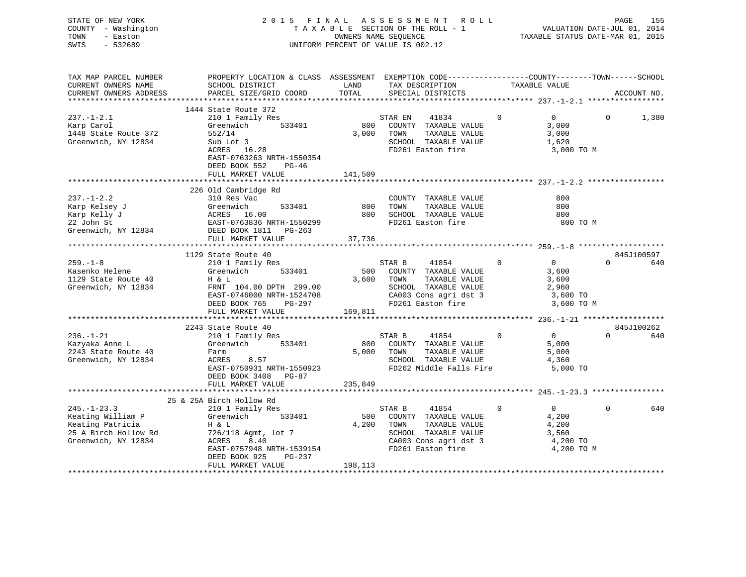| STATE OF NEW YORK   | 2015 FINAL ASSESSMENT ROLL         | 155<br>PAGE                      |
|---------------------|------------------------------------|----------------------------------|
| COUNTY - Washington | TAXABLE SECTION OF THE ROLL - 1    | VALUATION DATE-JUL 01, 2014      |
| TOWN<br>- Easton    | OWNERS NAME SEOUENCE               | TAXABLE STATUS DATE-MAR 01, 2015 |
| SWIS<br>- 532689    | UNIFORM PERCENT OF VALUE IS 002.12 |                                  |

| TAX MAP PARCEL NUMBER                                                        | PROPERTY LOCATION & CLASS ASSESSMENT EXEMPTION CODE----------------COUNTY-------TOWN------SCHOOL                                                                                                                                                                                                                                                                                                                                                                                                  |            |                                                       |                |                                           |              |             |
|------------------------------------------------------------------------------|---------------------------------------------------------------------------------------------------------------------------------------------------------------------------------------------------------------------------------------------------------------------------------------------------------------------------------------------------------------------------------------------------------------------------------------------------------------------------------------------------|------------|-------------------------------------------------------|----------------|-------------------------------------------|--------------|-------------|
| CURRENT OWNERS NAME                                                          | SCHOOL DISTRICT                                                                                                                                                                                                                                                                                                                                                                                                                                                                                   | LAND       | TAX DESCRIPTION                                       | TAXABLE VALUE  |                                           |              |             |
| CURRENT OWNERS ADDRESS                                                       | PARCEL SIZE/GRID COORD                                                                                                                                                                                                                                                                                                                                                                                                                                                                            | TOTAL      | SPECIAL DISTRICTS                                     |                |                                           |              | ACCOUNT NO. |
|                                                                              |                                                                                                                                                                                                                                                                                                                                                                                                                                                                                                   |            |                                                       |                |                                           |              |             |
|                                                                              | 1444 State Route 372                                                                                                                                                                                                                                                                                                                                                                                                                                                                              |            |                                                       |                |                                           |              |             |
| $237. - 1 - 2.1$                                                             | 210 1 Family Res<br>Greenwich 533401                                                                                                                                                                                                                                                                                                                                                                                                                                                              |            | STAR EN<br>41834                                      | $\overline{0}$ | $\overline{0}$                            | $\mathbf{0}$ | 1,380       |
| Karp Carol                                                                   |                                                                                                                                                                                                                                                                                                                                                                                                                                                                                                   |            | 800 COUNTY TAXABLE VALUE                              |                | 3,000                                     |              |             |
| 1448 State Route 372                                                         | 552/14                                                                                                                                                                                                                                                                                                                                                                                                                                                                                            | 3,000      | TOWN<br>TAXABLE VALUE                                 |                | 3,000                                     |              |             |
| Greenwich, NY 12834                                                          | Sub Lot 3                                                                                                                                                                                                                                                                                                                                                                                                                                                                                         |            | SCHOOL TAXABLE VALUE                                  |                | 1,620                                     |              |             |
|                                                                              | ACRES 16.28                                                                                                                                                                                                                                                                                                                                                                                                                                                                                       |            | FD261 Easton fire                                     |                | 3,000 TO M                                |              |             |
|                                                                              | EAST-0763263 NRTH-1550354                                                                                                                                                                                                                                                                                                                                                                                                                                                                         |            |                                                       |                |                                           |              |             |
|                                                                              | DEED BOOK 552 PG-46                                                                                                                                                                                                                                                                                                                                                                                                                                                                               |            |                                                       |                |                                           |              |             |
|                                                                              | FULL MARKET VALUE                                                                                                                                                                                                                                                                                                                                                                                                                                                                                 | 141,509    |                                                       |                |                                           |              |             |
|                                                                              |                                                                                                                                                                                                                                                                                                                                                                                                                                                                                                   |            |                                                       |                |                                           |              |             |
|                                                                              |                                                                                                                                                                                                                                                                                                                                                                                                                                                                                                   |            |                                                       |                |                                           |              |             |
| $237. - 1 - 2.2$                                                             | 226 Old Cambridge Rd<br>310 Res Vac<br>310 Res Vac                                                                                                                                                                                                                                                                                                                                                                                                                                                |            | COUNTY TAXABLE VALUE                                  |                | 800                                       |              |             |
|                                                                              |                                                                                                                                                                                                                                                                                                                                                                                                                                                                                                   | 800        | TOWN<br>TAXABLE VALUE                                 |                | 800                                       |              |             |
|                                                                              |                                                                                                                                                                                                                                                                                                                                                                                                                                                                                                   |            | 800 SCHOOL TAXABLE VALUE                              |                | 800                                       |              |             |
|                                                                              |                                                                                                                                                                                                                                                                                                                                                                                                                                                                                                   |            | FD261 Easton fire                                     |                | 800 TO M                                  |              |             |
|                                                                              |                                                                                                                                                                                                                                                                                                                                                                                                                                                                                                   |            |                                                       |                |                                           |              |             |
|                                                                              | X <sub>2</sub> , 2 and March 2011<br>Karp Kelly J<br>Xarp Kelly J<br>22 John St<br>Greenwich, NY 12834<br>22 John St<br>22 John St<br>22 John St<br>22 John St<br>22 John St<br>22 John St<br>22 John St<br>22 John St<br>22 John St<br>22 John St<br>22 John St<br>22 Jo                                                                                                                                                                                                                         |            |                                                       |                |                                           |              |             |
|                                                                              |                                                                                                                                                                                                                                                                                                                                                                                                                                                                                                   |            |                                                       |                |                                           |              |             |
|                                                                              | 1129 State Route 40                                                                                                                                                                                                                                                                                                                                                                                                                                                                               |            |                                                       |                |                                           |              | 845J100597  |
|                                                                              |                                                                                                                                                                                                                                                                                                                                                                                                                                                                                                   |            | STAR B<br>41854                                       | $\overline{0}$ |                                           | $\Omega$     | 640         |
| 259.–1–8<br>Kasenko Helene<br>Adel                                           | 210 1 Family Res<br>Greenwich 533401                                                                                                                                                                                                                                                                                                                                                                                                                                                              |            | 500 COUNTY TAXABLE VALUE                              |                | $\begin{matrix}0\\2\end{matrix}$<br>3,600 |              |             |
|                                                                              |                                                                                                                                                                                                                                                                                                                                                                                                                                                                                                   |            | 3,600 TOWN<br>TAXABLE VALUE                           |                | 3,600                                     |              |             |
| 1129 State Route 40 H & L<br>Greenwich, NY 12834 FRNT<br>Greenwich, NY 12834 | FRNT 104.00 DPTH 299.00                                                                                                                                                                                                                                                                                                                                                                                                                                                                           |            | SCHOOL TAXABLE VALUE                                  |                | 2,960                                     |              |             |
|                                                                              | EAST-0746000 NRTH-1524708                                                                                                                                                                                                                                                                                                                                                                                                                                                                         |            | CA003 Cons agri dst 3 3,600 TO                        |                |                                           |              |             |
|                                                                              | DEED BOOK 765 PG-297                                                                                                                                                                                                                                                                                                                                                                                                                                                                              |            |                                                       |                | 3,600 TO M                                |              |             |
|                                                                              | FULL MARKET VALUE                                                                                                                                                                                                                                                                                                                                                                                                                                                                                 | 169,811    | FD261 Easton fire                                     |                |                                           |              |             |
|                                                                              |                                                                                                                                                                                                                                                                                                                                                                                                                                                                                                   |            |                                                       |                |                                           |              |             |
|                                                                              | 2243 State Route 40                                                                                                                                                                                                                                                                                                                                                                                                                                                                               |            |                                                       |                |                                           |              | 845J100262  |
| $236. - 1 - 21$                                                              | state Route 40<br>210 1 Family Res                                                                                                                                                                                                                                                                                                                                                                                                                                                                |            | $\begin{matrix} 41854 & 0 & 0 \end{matrix}$<br>STAR B |                |                                           | $\Omega$     | 640         |
|                                                                              |                                                                                                                                                                                                                                                                                                                                                                                                                                                                                                   |            |                                                       |                | 5,000                                     |              |             |
| Kazyaka Anne L<br>2243 State Route 40                                        | Greenwich 533401                                                                                                                                                                                                                                                                                                                                                                                                                                                                                  |            | 800 COUNTY TAXABLE VALUE<br>5,000 TOWN                |                |                                           |              |             |
|                                                                              | Farm                                                                                                                                                                                                                                                                                                                                                                                                                                                                                              |            | TAXABLE VALUE<br>SCHOOL TAXABLE VALUE                 |                | 5,000                                     |              |             |
| Greenwich, NY 12834                                                          | ACRES 8.57<br>EAST-0750931 NRTH-1550923                                                                                                                                                                                                                                                                                                                                                                                                                                                           |            |                                                       |                | 4,360                                     |              |             |
|                                                                              |                                                                                                                                                                                                                                                                                                                                                                                                                                                                                                   |            | FD262 Middle Falls Fire                               |                | 5,000 TO                                  |              |             |
|                                                                              | DEED BOOK 3408 PG-87                                                                                                                                                                                                                                                                                                                                                                                                                                                                              |            |                                                       |                |                                           |              |             |
|                                                                              | FULL MARKET VALUE                                                                                                                                                                                                                                                                                                                                                                                                                                                                                 | 235,849    |                                                       |                |                                           |              |             |
|                                                                              |                                                                                                                                                                                                                                                                                                                                                                                                                                                                                                   |            |                                                       |                |                                           |              |             |
|                                                                              | 25 & 25A Birch Hollow Rd                                                                                                                                                                                                                                                                                                                                                                                                                                                                          |            |                                                       |                |                                           |              |             |
| $245. - 1 - 23.3$                                                            | 210 1 Family Res                                                                                                                                                                                                                                                                                                                                                                                                                                                                                  |            | STAR B 41854 (<br>500 COUNTY TAXABLE VALUE            | $\mathbf{0}$   | $\overline{0}$                            | $\Omega$     | 640         |
| Keating William P                                                            | Greenwich 533401                                                                                                                                                                                                                                                                                                                                                                                                                                                                                  |            |                                                       |                | 4,200                                     |              |             |
| Keating Patricia                                                             | $\begin{array}{ccc} & & & \text{if } & \text{if } & \text{if } & \text{if } & \text{if } & \text{if } & \text{if } & \text{if } & \text{if } & \text{if } & \text{if } & \text{if } & \text{if } & \text{if } & \text{if } & \text{if } & \text{if } & \text{if } & \text{if } & \text{if } & \text{if } & \text{if } & \text{if } & \text{if } & \text{if } & \text{if } & \text{if } & \text{if } & \text{if } & \text{if } & \text{if } & \text{if } & \text{if } & \text{if } & \text{if } &$ | 4,200 TOWN | TAXABLE VALUE                                         |                | 4,200                                     |              |             |
| 25 A Birch Hollow Rd                                                         | 726/118 Agmt, lot 7<br>$\cot 7$                                                                                                                                                                                                                                                                                                                                                                                                                                                                   |            | SCHOOL TAXABLE VALUE                                  |                | 3,560                                     |              |             |
| Greenwich, NY 12834                                                          | 8.40                                                                                                                                                                                                                                                                                                                                                                                                                                                                                              |            | CA003 Cons agri dst 3 4,200 TO                        |                |                                           |              |             |
|                                                                              | EAST-0757948 NRTH-1539154                                                                                                                                                                                                                                                                                                                                                                                                                                                                         |            | FD261 Easton fire                                     |                | 4,200 TO M                                |              |             |
|                                                                              | DEED BOOK 925<br>PG-237                                                                                                                                                                                                                                                                                                                                                                                                                                                                           |            |                                                       |                |                                           |              |             |
|                                                                              | FULL MARKET VALUE                                                                                                                                                                                                                                                                                                                                                                                                                                                                                 | 198,113    |                                                       |                |                                           |              |             |
|                                                                              |                                                                                                                                                                                                                                                                                                                                                                                                                                                                                                   |            |                                                       |                |                                           |              |             |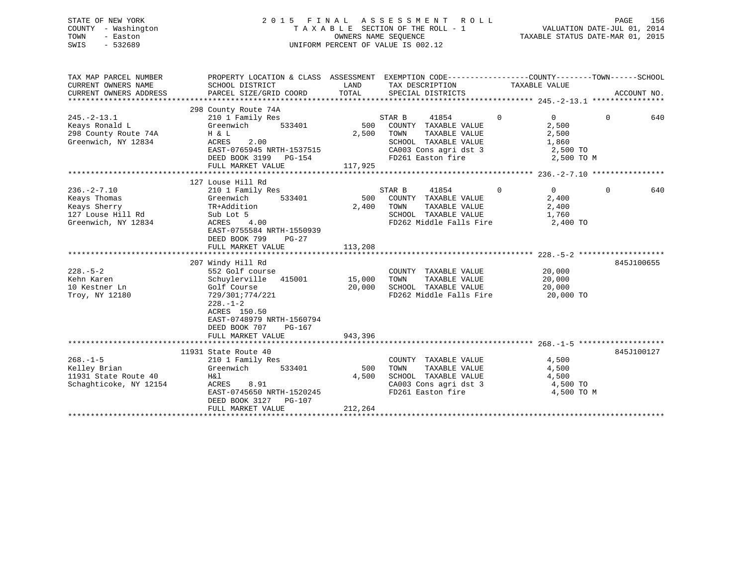## STATE OF NEW YORK 2 0 1 5 F I N A L A S S E S S M E N T R O L L PAGE 156 COUNTY - Washington T A X A B L E SECTION OF THE ROLL - 1 VALUATION DATE-JUL 01, 2014 TOWN - Easton **CONNERS NAME SEQUENCE** TAXABLE STATUS DATE-MAR 01, 2015 SWIS - 532689 UNIFORM PERCENT OF VALUE IS 002.12

| SCHOOL DISTRICT<br>PARCEL SIZE/GRID COORD                                                                                                                                                | LAND<br>TOTAL                                                                              | SPECIAL DISTRICTS                                                                                                            |                                                 | ACCOUNT NO.                                                                                                                                                                                                                                                          |
|------------------------------------------------------------------------------------------------------------------------------------------------------------------------------------------|--------------------------------------------------------------------------------------------|------------------------------------------------------------------------------------------------------------------------------|-------------------------------------------------|----------------------------------------------------------------------------------------------------------------------------------------------------------------------------------------------------------------------------------------------------------------------|
| 298 County Route 74A<br>210 1 Family Res<br>533401<br>Greenwich<br>H & L<br>ACRES<br>2.00<br>EAST-0765945 NRTH-1537515<br>DEED BOOK 3199 PG-154<br>FULL MARKET VALUE                     | 500<br>2,500<br>117,925                                                                    | 41854<br>COUNTY TAXABLE VALUE<br>TAXABLE VALUE<br>TOWN<br>SCHOOL TAXABLE VALUE<br>CA003 Cons agri dst 3<br>FD261 Easton fire | $\Omega$<br>$\Omega$<br>2,500<br>2,500<br>1,860 | $\Omega$<br>640                                                                                                                                                                                                                                                      |
|                                                                                                                                                                                          |                                                                                            |                                                                                                                              |                                                 |                                                                                                                                                                                                                                                                      |
| 210 1 Family Res<br>533401<br>Greenwich<br>TR+Addition<br>Sub Lot 5<br>4.00<br>ACRES<br>EAST-0755584 NRTH-1550939                                                                        | 500<br>2,400                                                                               | 41854<br>COUNTY TAXABLE VALUE<br>TOWN<br>TAXABLE VALUE<br>SCHOOL TAXABLE VALUE                                               | $\Omega$<br>$\Omega$<br>2,400<br>2,400<br>1,760 | 640<br>$\Omega$                                                                                                                                                                                                                                                      |
| FULL MARKET VALUE                                                                                                                                                                        | 113,208                                                                                    |                                                                                                                              |                                                 |                                                                                                                                                                                                                                                                      |
|                                                                                                                                                                                          |                                                                                            |                                                                                                                              |                                                 |                                                                                                                                                                                                                                                                      |
| 207 Windy Hill Rd<br>552 Golf course<br>Schuylerville 415001<br>Golf Course<br>729/301;774/221<br>$228. - 1 - 2$<br>ACRES 150.50<br>EAST-0748979 NRTH-1560794<br>DEED BOOK 707<br>PG-167 | 20,000                                                                                     | COUNTY TAXABLE VALUE<br>TOWN<br>TAXABLE VALUE<br>SCHOOL TAXABLE VALUE                                                        | 20,000<br>20,000<br>20,000                      | 845J100655                                                                                                                                                                                                                                                           |
|                                                                                                                                                                                          |                                                                                            |                                                                                                                              |                                                 |                                                                                                                                                                                                                                                                      |
| 210 1 Family Res<br>Greenwich<br>533401<br>H&l<br>ACRES<br>8.91<br>EAST-0745650 NRTH-1520245<br>DEED BOOK 3127<br>PG-107<br>FULL MARKET VALUE                                            | 500<br>4,500<br>212,264                                                                    | COUNTY TAXABLE VALUE<br>TOWN<br>TAXABLE VALUE<br>SCHOOL TAXABLE VALUE<br>CA003 Cons agri dst 3<br>FD261 Easton fire          | 4,500<br>4,500<br>4,500                         | 845J100127                                                                                                                                                                                                                                                           |
|                                                                                                                                                                                          | 127 Louse Hill Rd<br>DEED BOOK 799<br>$PG-27$<br>FULL MARKET VALUE<br>11931 State Route 40 | 943,396                                                                                                                      | STAR B<br>STAR B<br>15,000                      | PROPERTY LOCATION & CLASS ASSESSMENT EXEMPTION CODE----------------COUNTY-------TOWN------SCHOOL<br>TAX DESCRIPTION TAXABLE VALUE<br>2,500 TO<br>2,500 TO M<br>FD262 Middle Falls Fire<br>2,400 TO<br>FD262 Middle Falls Fire<br>20,000 TO<br>4,500 TO<br>4,500 TO M |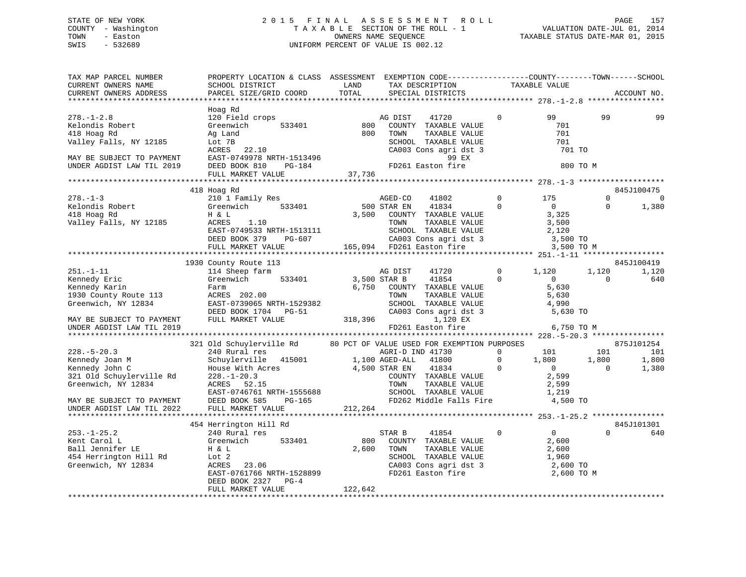## STATE OF NEW YORK 2 0 1 5 F I N A L A S S E S S M E N T R O L L PAGE 157 COUNTY - Washington T A X A B L E SECTION OF THE ROLL - 1 VALUATION DATE-JUL 01, 2014 TOWN - Easton OWNERS NAME SEQUENCE TAXABLE STATUS DATE-MAR 01, 2015 SWIS - 532689 UNIFORM PERCENT OF VALUE IS 002.12

| TAX MAP PARCEL NUMBER<br>CURRENT OWNERS NAME<br>CURRENT OWNERS ADDRESS                                                                 | PROPERTY LOCATION & CLASS ASSESSMENT EXEMPTION CODE----------------COUNTY-------TOWN------SCHOOL<br>SCHOOL DISTRICT<br>PARCEL SIZE/GRID COORD                                                                                                                                                                 | LAND<br>TOTAL | TAX DESCRIPTION<br>SPECIAL DISTRICTS                                                                                                                              |                                  | TAXABLE VALUE                                                                                                |                      | ACCOUNT NO.                           |
|----------------------------------------------------------------------------------------------------------------------------------------|---------------------------------------------------------------------------------------------------------------------------------------------------------------------------------------------------------------------------------------------------------------------------------------------------------------|---------------|-------------------------------------------------------------------------------------------------------------------------------------------------------------------|----------------------------------|--------------------------------------------------------------------------------------------------------------|----------------------|---------------------------------------|
|                                                                                                                                        |                                                                                                                                                                                                                                                                                                               |               |                                                                                                                                                                   |                                  |                                                                                                              |                      |                                       |
| $278. - 1 - 2.8$<br>278.-1-2.0<br>Kelondis Robert<br>Valley Falls, NY 12185<br>MAY BE SUBJECT TO PAYMENT                               | Hoag Rd<br>120 Field crops AG<br>Greenwich 533401 800<br>Ag Land and 800 TOWN TAXABLE VA<br>Lot 7B SCHOOL TAXABLE VA<br>ACRES 22.10 CA003 Cons agri ds<br>EAST-0749978 NRTH-1513496 99 EX<br>DEED BOOK 810 PG-184 FD261 Easton fire                                                                           | 800           | AG DIST<br>41720<br>COUNTY TAXABLE VALUE<br>TOWN TAXABLE VALUE<br>SCHOOL TAXABLE VALUE<br>CA003 Cons agri dst 3<br>99 EX                                          | $\overline{0}$                   | 99<br>701<br>701<br>701<br>701 TO                                                                            | 99                   | 99                                    |
| UNDER AGDIST LAW TIL 2019                                                                                                              |                                                                                                                                                                                                                                                                                                               |               |                                                                                                                                                                   |                                  | 800 TO M                                                                                                     |                      |                                       |
|                                                                                                                                        | FULL MARKET VALUE                                                                                                                                                                                                                                                                                             | 37,736        |                                                                                                                                                                   |                                  |                                                                                                              |                      |                                       |
|                                                                                                                                        |                                                                                                                                                                                                                                                                                                               |               |                                                                                                                                                                   |                                  |                                                                                                              |                      |                                       |
| $278. - 1 - 3$<br>X <sup>1</sup> B. 1<br>Kelondis Robert<br>The Pd<br>Valley Falls, NY 12185                                           | 418 Hoag Rd<br>210 1 Family Res<br>Greenwich 533401 500 STAR EN 41834<br>Η & L<br>ACRES 1.10<br>EAST-0749533 NRTH-1513111<br>DEED BOOK 379 PG-607 CA003 Cons agri dst 3 3,500 TO<br>FULL MARKET VALUE 165,094 FD261 Easton fire 3,500 TO                                                                      |               | 3,500 COUNTY TAXABLE VALUE<br>TAXABLE VALUE<br>TAXABLE VALUE<br>TOWN                                                                                              | $\overline{0}$<br>$\overline{0}$ | 175<br>$\overline{0}$<br>3,325<br>3,500                                                                      | $\Omega$<br>$\Omega$ | 845J100475<br>$\overline{0}$<br>1,380 |
|                                                                                                                                        |                                                                                                                                                                                                                                                                                                               |               |                                                                                                                                                                   |                                  |                                                                                                              |                      |                                       |
|                                                                                                                                        |                                                                                                                                                                                                                                                                                                               |               |                                                                                                                                                                   |                                  | 3,500 TO M                                                                                                   |                      |                                       |
|                                                                                                                                        |                                                                                                                                                                                                                                                                                                               |               |                                                                                                                                                                   |                                  |                                                                                                              |                      |                                       |
| $251. - 1 - 11$                                                                                                                        | 1930 County Route 113<br>114 Sheep farm                                                                                                                                                                                                                                                                       |               | AG DIST<br>41720                                                                                                                                                  |                                  | $0 \t 1,120$                                                                                                 | 1,120                | 845J100419<br>1,120                   |
| Kennedy Eric<br>Kennedy Karin<br>1930 County Route 113<br>Greenwich, NY 12834<br>Greenwich, NY 12834                                   | Greenwich 533401 3,500 STAR B<br>Farm<br>ACRES 202.00<br>202.00<br>EAST-0739065 NRTH-1529382<br>DEED BOOK 1704 PG-51<br>PULL MARKET VALUE<br>FULL MARKET VALUE<br>FULL MARKET VALUE<br>CA003 Cons agri dst 3<br>FD261 Easton fire<br>FD261 Easton fire<br>FD261 Easton fire<br>FD261 Easton fire<br>FD261 Eas |               | 41854 0<br>6,750 COUNTY TAXABLE VALUE                                                                                                                             |                                  | $\overline{0}$<br>5,630                                                                                      | $\Omega$             | 640                                   |
| MAY BE SUBJECT TO PAYMENT                                                                                                              |                                                                                                                                                                                                                                                                                                               |               |                                                                                                                                                                   |                                  |                                                                                                              |                      |                                       |
| UNDER AGDIST LAW TIL 2019                                                                                                              |                                                                                                                                                                                                                                                                                                               |               |                                                                                                                                                                   |                                  | 6,750 TO M                                                                                                   |                      |                                       |
|                                                                                                                                        |                                                                                                                                                                                                                                                                                                               |               |                                                                                                                                                                   |                                  |                                                                                                              |                      |                                       |
| $228. - 5 - 20.3$                                                                                                                      | 321 Old Schuylerville Rd<br>240 Rural res                                                                                                                                                                                                                                                                     |               | 80 PCT OF VALUE USED FOR EXEMPTION PURPOSES<br>AGRI-D IND 41730                                                                                                   |                                  |                                                                                                              |                      | 875J101254<br>101                     |
| 228.-5-20.5<br>Kennedy Joan M<br>Kennedy John C<br>321 Old Schuylerville Rd<br>Greenwich, NY 12834<br>MAY BE SUBJECT TO PAYMENT        | Schuylerville 415001 1,100 AGED-ALL<br>House With Acres<br>House With Acres<br>228.-1-20.3 COUNTY TAXABLE VALUE<br>ACRES 52.15 TOWN TAXABLE VALUE 2,599<br>EAST-0746761 NRTH-1555688 SCHOOL TAXABLE VALUE 1,219<br>DEED BOOK 585 PG-165 P262 Middle Falls Fire 4,500 TO<br>FULL MARKET VALUE 212,26           |               | 41800<br>4,500 STAR EN $41834$                                                                                                                                    | $\overline{0}$                   | $\begin{array}{cccc} 0 & & & 101 & & & 101 \\ 0 & & & 1\,, 800 & & & 1\,, 800 \end{array}$<br>$\overline{0}$ | $\overline{0}$       | 1,800<br>1,380                        |
| UNDER AGDIST LAW TIL 2022                                                                                                              |                                                                                                                                                                                                                                                                                                               |               |                                                                                                                                                                   |                                  |                                                                                                              |                      |                                       |
|                                                                                                                                        |                                                                                                                                                                                                                                                                                                               |               |                                                                                                                                                                   |                                  |                                                                                                              |                      |                                       |
| $253. - 1 - 25.2$<br>Kent Carol L<br>Ball Jennifer LE<br>454 Herrington Hill Rd<br>Greenwich, NY 12834<br>RACRES 23.06<br>RACRES 23.06 | 454 Herrington Hill Rd<br>240 Kurar 100<br>Greenwich<br>H & L<br>533401<br>912<br>H & L<br>Lot 2<br>ACRES 23.06<br>EAST-0761766 NRTH-1528899<br>CAST-0761766 NRTH-1528899<br>DEED BOOK 2327 PG-4                                                                                                              |               | STAR B 41854<br>800 COUNTY TAXABLE VALUE<br>2,600 TOWN<br>COUNTY IMANABLE VALUE<br>TOWN TAXABLE VALUE 2,600<br>SCHOOL TAXABLE VALUE 1,960<br>2,600 TO<br>2,600 TO | $\Omega$                         | $\overline{0}$<br>2,600                                                                                      | $\Omega$             | 845J101301<br>640                     |
|                                                                                                                                        | FULL MARKET VALUE                                                                                                                                                                                                                                                                                             | 122,642       |                                                                                                                                                                   |                                  |                                                                                                              |                      |                                       |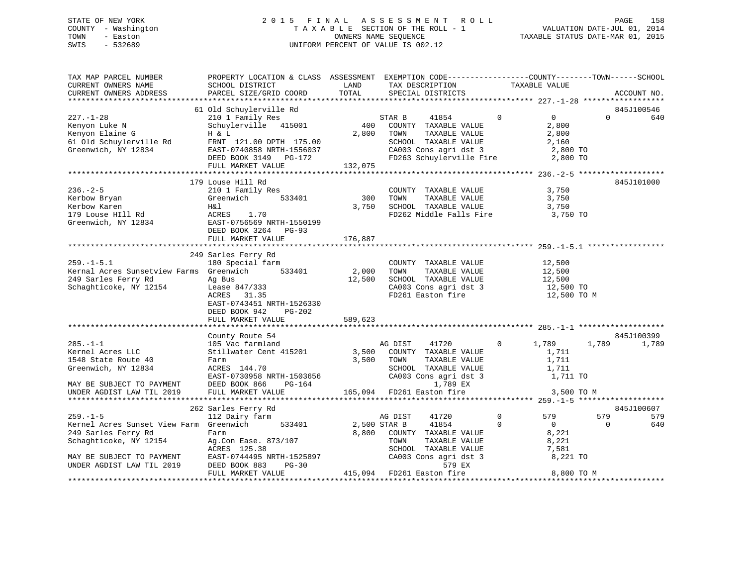## STATE OF NEW YORK 2 0 1 5 F I N A L A S S E S S M E N T R O L L PAGE 158 COUNTY - Washington T A X A B L E SECTION OF THE ROLL - 1 VALUATION DATE-JUL 01, 2014 TOWN - Easton OWNERS NAME SEQUENCE TAXABLE STATUS DATE-MAR 01, 2015 SWIS - 532689 UNIFORM PERCENT OF VALUE IS 002.12

| TAX MAP PARCEL NUMBER<br>CURRENT OWNERS NAME<br>CURRENT OWNERS ADDRESS                                                                                               | PROPERTY LOCATION & CLASS ASSESSMENT EXEMPTION CODE----------------COUNTY-------TOWN-----SCHOOL<br>SCHOOL DISTRICT<br>PARCEL SIZE/GRID COORD                  | LAND<br>TOTAL                          | TAX DESCRIPTION<br>SPECIAL DISTRICTS                                                                                                                                     | TAXABLE VALUE                                                                                                  | ACCOUNT NO.                   |
|----------------------------------------------------------------------------------------------------------------------------------------------------------------------|---------------------------------------------------------------------------------------------------------------------------------------------------------------|----------------------------------------|--------------------------------------------------------------------------------------------------------------------------------------------------------------------------|----------------------------------------------------------------------------------------------------------------|-------------------------------|
|                                                                                                                                                                      |                                                                                                                                                               |                                        |                                                                                                                                                                          |                                                                                                                |                               |
| $227. - 1 - 28$<br>Kenyon Luke N<br>Kenyon Elaine G<br>61 Old Schuylerville Rd<br>Greenwich, NY 12834<br>Greenwich, NY 12834                                         | 61 Old Schuylerville Rd<br>210 1 Family Res<br>Schuylerville 415001<br>H & L<br>FRNT 121.00 DPTH 175.00<br>EAST-0740858 NRTH-1556037<br>DEED BOOK 3149 PG-172 | 400<br>2,800                           | STAR B<br>41854<br>COUNTY TAXABLE VALUE<br>TOWN<br>TAXABLE VALUE<br>SCHOOL TAXABLE VALUE<br>CA003 Cons agri dst 3 2,800 TO<br>FD263 Schuylerville Fire 2,800 TO          | $\Omega$<br>$\overline{0}$<br>2,800<br>2,800<br>2,160                                                          | 845J100546<br>$\Omega$<br>640 |
|                                                                                                                                                                      | FULL MARKET VALUE                                                                                                                                             | 132,075                                |                                                                                                                                                                          |                                                                                                                |                               |
| $236. - 2 - 5$<br>Kerbow Bryan<br>Kerbow Karen<br>179 Louse HIll Rd<br>Greenwich, NY 12834                                                                           | 179 Louse Hill Rd<br>210 1 Family Res<br>533401<br>Greenwich<br>Η&l<br>ACRES 1.70<br>EAST-0756569 NRTH-1550199<br>DEED BOOK 3264 PG-93<br>FULL MARKET VALUE   | 300<br>3,750<br>176,887                | COUNTY TAXABLE VALUE<br>TOWN<br>TAXABLE VALUE<br>SCHOOL TAXABLE VALUE<br>FD262 Middle Falls Fire 3,750 TO                                                                | 3,750<br>3,750<br>3,750                                                                                        | 845J101000                    |
|                                                                                                                                                                      | 249 Sarles Ferry Rd                                                                                                                                           |                                        |                                                                                                                                                                          |                                                                                                                |                               |
| $259. - 1 - 5.1$<br>Kernal Acres Sunsetview Farms Greenwich<br>249 Sarles Ferry Rd<br>Schaghticoke, NY 12154                                                         | 180 Special farm<br>Ag Bus<br>Lease 847/333<br>ACRES 31.35<br>EAST-0743451 NRTH-1526330<br>DEED BOOK 942<br>PG-202<br>FULL MARKET VALUE                       | 533401 2,000 TOWN<br>12,500<br>589,623 | COUNTY TAXABLE VALUE<br>TAXABLE VALUE<br>SCHOOL TAXABLE VALUE<br>CA003 Cons agri dst 3 12,500 TO<br>FD261 Easton fire                                                    | 12,500<br>12,500<br>12,500<br>12,500 TO M                                                                      |                               |
|                                                                                                                                                                      | County Route 54                                                                                                                                               |                                        |                                                                                                                                                                          |                                                                                                                | 845J100399                    |
| $285. -1 - 1$<br>Kernel Acres LLC<br>1548 State Route 40<br>Greenwich, NY 12834<br>MAY BE SUBJECT TO PAYMENT                                                         | 105 Vac farmland<br>Stillwater Cent 415201 3,500<br>Farm<br>ACRES 144.70<br>EAST-0730958 NRTH-1503656<br>DEED BOOK 866<br>PG-164                              | 3,500                                  | 41720<br>AG DIST<br>COUNTY TAXABLE VALUE<br>TOWN<br>TAXABLE VALUE<br>CA003 Cons agri dst 3<br>1,789 EX                                                                   | 0<br>1,789<br>1,711<br>1,711<br>1,711<br>1,711 TO                                                              | 1,789<br>1,789                |
| UNDER AGDIST LAW TIL 2019                                                                                                                                            | FULL MARKET VALUE                                                                                                                                             |                                        | $165,094$ FD261 Easton fire                                                                                                                                              | 3,500 TO M                                                                                                     |                               |
|                                                                                                                                                                      |                                                                                                                                                               |                                        |                                                                                                                                                                          |                                                                                                                |                               |
|                                                                                                                                                                      | 262 Sarles Ferry Rd                                                                                                                                           |                                        |                                                                                                                                                                          |                                                                                                                | 845J100607                    |
| $259. - 1 - 5$<br>Kernel Acres Sunset View Farm Greenwich<br>249 Sarles Ferry Rd<br>Schaghticoke, NY 12154<br>MAY BE SUBJECT TO PAYMENT<br>UNDER AGDIST LAW TIL 2019 | 112 Dairy farm<br>Farm<br>Ag.Con Ease. 873/107<br>ACRES 125.38<br>EAST-0744495 NRTH-1525897<br><b>PG-30</b><br>DEED BOOK 883<br>FULL MARKET VALUE             | 533401 2,500 STAR B                    | 41720<br>AG DIST<br>41854<br>8,800 COUNTY TAXABLE VALUE<br>TOWN<br>TAXABLE VALUE<br>SCHOOL TAXABLE VALUE<br>CA003 Cons agri dst 3<br>579 EX<br>415,094 FD261 Easton fire | $\mathbf 0$<br>579<br>$\Omega$<br>$\overline{0}$<br>8,221<br>8,221<br>7,581<br>7,581<br>8,221 TO<br>8,800 TO M | 579<br>579<br>640<br>$\Omega$ |
|                                                                                                                                                                      |                                                                                                                                                               |                                        |                                                                                                                                                                          |                                                                                                                |                               |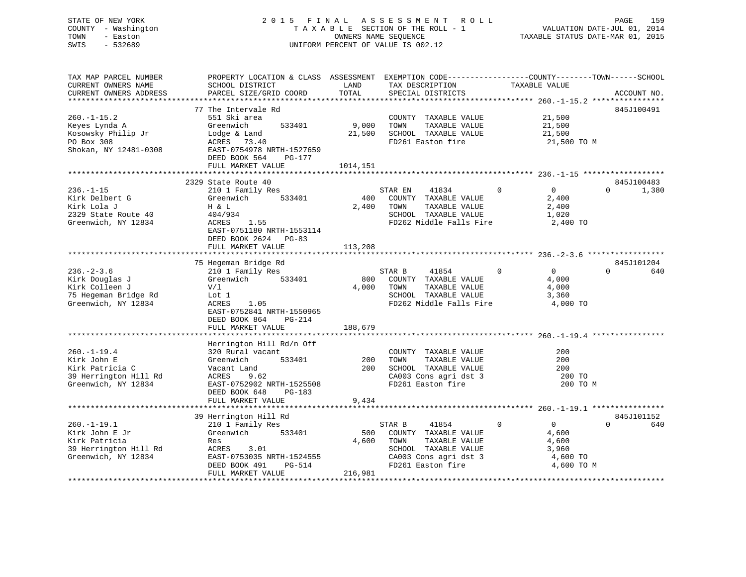# STATE OF NEW YORK 2015 FINAL ASSESSMENT ROLL PAGE 159 COUNTY - Washington  $T A X A B L E$  SECTION OF THE ROLL - 1<br>TOWN - Easton DATE-JUL 2012 OWNERS NAME SEQUENCE SWIS - 532689 UNIFORM PERCENT OF VALUE IS 002.12

VALUATION DATE-JUL 01, 2014

TAXABLE STATUS DATE-MAR 01, 2015

| TAX MAP PARCEL NUMBER<br>CURRENT OWNERS NAME<br>CURRENT OWNERS ADDRESS                              | PROPERTY LOCATION & CLASS ASSESSMENT EXEMPTION CODE---------------COUNTY-------TOWN-----SCHOOL<br>SCHOOL DISTRICT<br>PARCEL SIZE/GRID COORD                                        | LAND<br><b>TOTAL</b>    | TAX DESCRIPTION<br>SPECIAL DISTRICTS                                                                                                   | TAXABLE VALUE                                                                   | ACCOUNT NO.                     |
|-----------------------------------------------------------------------------------------------------|------------------------------------------------------------------------------------------------------------------------------------------------------------------------------------|-------------------------|----------------------------------------------------------------------------------------------------------------------------------------|---------------------------------------------------------------------------------|---------------------------------|
|                                                                                                     |                                                                                                                                                                                    |                         |                                                                                                                                        |                                                                                 |                                 |
| $260. -1 - 15.2$<br>Keyes Lynda A<br>Kosowsky Philip Jr<br>PO Box 308<br>Shokan, NY 12481-0308      | 77 The Intervale Rd<br>551 Ski area<br>Greenwich<br>533401<br>Lodge & Land<br>ACRES 73.40<br>EAST-0754978 NRTH-1527659<br>DEED BOOK 564<br>PG-177<br>FULL MARKET VALUE             | 9,000<br>1014,151       | COUNTY TAXABLE VALUE<br>TOWN<br>TAXABLE VALUE<br>21,500 SCHOOL TAXABLE VALUE<br>FD261 Easton fire                                      | 21,500<br>21,500<br>21,500<br>21,500 TO M                                       | 845J100491                      |
|                                                                                                     |                                                                                                                                                                                    |                         |                                                                                                                                        |                                                                                 |                                 |
| $236. - 1 - 15$<br>Kirk Delbert G<br>Kirk Lola J<br>2329 State Route 40<br>Greenwich, NY 12834      | 2329 State Route 40<br>210 1 Family Res<br>533401<br>Greenwich<br>H & L<br>404/934<br>1.55<br>ACRES<br>EAST-0751180 NRTH-1553114<br>DEED BOOK 2624 PG-83<br>FULL MARKET VALUE      | 400<br>2,400<br>113,208 | STAR EN<br>41834<br>COUNTY TAXABLE VALUE<br>TOWN<br>TAXABLE VALUE<br>SCHOOL TAXABLE VALUE<br>FD262 Middle Falls Fire                   | $\mathbf{0}$<br>$\overline{0}$<br>2,400<br>2,400<br>1,020<br>2,400 TO           | 845J100483<br>1,380<br>$\Omega$ |
|                                                                                                     |                                                                                                                                                                                    |                         |                                                                                                                                        |                                                                                 |                                 |
| $236. - 2 - 3.6$<br>Kirk Douglas J<br>Kirk Colleen J<br>75 Hegeman Bridge Rd<br>Greenwich, NY 12834 | 75 Hegeman Bridge Rd<br>210 1 Family Res<br>533401<br>Greenwich<br>V/1<br>Lot 1<br>ACRES<br>1.05<br>EAST-0752841 NRTH-1550965<br>DEED BOOK 864<br>PG-214<br>FULL MARKET VALUE      | 800<br>4,000<br>188,679 | STAR B<br>41854<br>COUNTY TAXABLE VALUE<br>TOWN<br>TAXABLE VALUE<br>SCHOOL TAXABLE VALUE<br>FD262 Middle Falls Fire                    | $\Omega$<br>$\overline{0}$<br>4,000<br>4,000<br>3,360<br>4,000 TO               | 845J101204<br>$\Omega$<br>640   |
|                                                                                                     |                                                                                                                                                                                    |                         |                                                                                                                                        |                                                                                 |                                 |
| $260. - 1 - 19.4$<br>Kirk John E<br>Kirk Patricia C<br>39 Herrington Hill Rd<br>Greenwich, NY 12834 | Herrington Hill Rd/n Off<br>320 Rural vacant<br>533401<br>Greenwich<br>Vacant Land<br>9.62<br>ACRES<br>EAST-0752902 NRTH-1525508<br>DEED BOOK 648<br>$PG-183$<br>FULL MARKET VALUE | 200<br>200<br>9,434     | COUNTY TAXABLE VALUE<br>TAXABLE VALUE<br>TOWN<br>SCHOOL TAXABLE VALUE<br>CA003 Cons agri dst 3<br>FD261 Easton fire                    | 200<br>200<br>200<br>200 TO<br>200 TO M                                         |                                 |
|                                                                                                     |                                                                                                                                                                                    |                         |                                                                                                                                        |                                                                                 |                                 |
|                                                                                                     | 39 Herrington Hill Rd                                                                                                                                                              |                         |                                                                                                                                        |                                                                                 | 845J101152                      |
| $260. -1 - 19.1$<br>Kirk John E Jr<br>Kirk Patricia<br>39 Herrington Hill Rd<br>Greenwich, NY 12834 | 210 1 Family Res<br>533401<br>Greenwich<br>Res<br>ACRES 3.01<br>EAST-0753035 NRTH-1524555<br>DEED BOOK 491<br>PG-514<br>FULL MARKET VALUE                                          | 500<br>4,600<br>216,981 | STAR B<br>41854<br>COUNTY TAXABLE VALUE<br>TOWN<br>TAXABLE VALUE<br>SCHOOL TAXABLE VALUE<br>CA003 Cons agri dst 3<br>FD261 Easton fire | $\Omega$<br>$\overline{0}$<br>4,600<br>4,600<br>3,960<br>4,600 TO<br>4,600 TO M | $\Omega$<br>640                 |
|                                                                                                     |                                                                                                                                                                                    |                         |                                                                                                                                        |                                                                                 |                                 |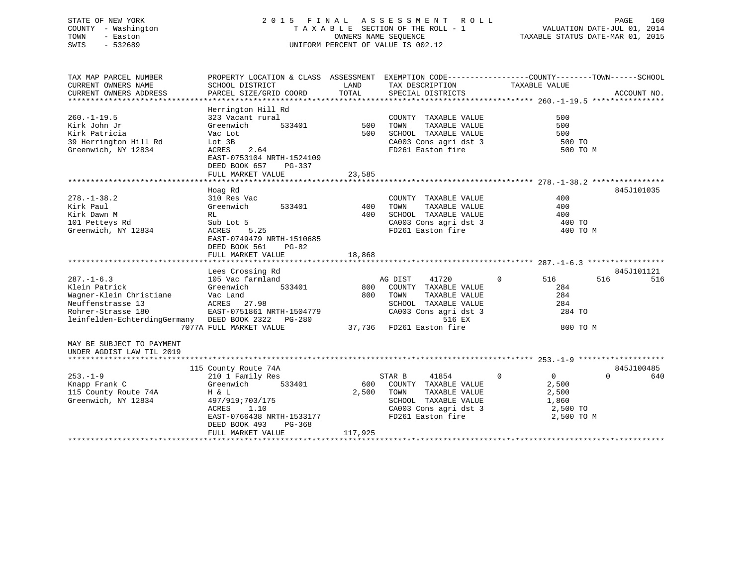## STATE OF NEW YORK 2 0 1 5 F I N A L A S S E S S M E N T R O L L PAGE 160 COUNTY - Washington T A X A B L E SECTION OF THE ROLL - 1 VALUATION DATE-JUL 01, 2014 TOWN - Easton OWNERS NAME SEQUENCE TAXABLE STATUS DATE-MAR 01, 2015 SWIS - 532689 UNIFORM PERCENT OF VALUE IS 002.12

| TAX MAP PARCEL NUMBER                              | PROPERTY LOCATION & CLASS ASSESSMENT EXEMPTION CODE----------------COUNTY-------TOWN------SCHOOL |          |                       |                            |                          |
|----------------------------------------------------|--------------------------------------------------------------------------------------------------|----------|-----------------------|----------------------------|--------------------------|
| CURRENT OWNERS NAME                                | SCHOOL DISTRICT                                                                                  | LAND     | TAX DESCRIPTION       | TAXABLE VALUE              |                          |
| CURRENT OWNERS ADDRESS                             | PARCEL SIZE/GRID COORD                                                                           | TOTAL    | SPECIAL DISTRICTS     |                            | ACCOUNT NO.              |
|                                                    |                                                                                                  |          |                       |                            |                          |
|                                                    | Herrington Hill Rd                                                                               |          |                       |                            |                          |
| $260. -1 - 19.5$                                   | 323 Vacant rural                                                                                 |          | COUNTY TAXABLE VALUE  | 500                        |                          |
| Kirk John Jr                                       | Greenwich<br>533401                                                                              | 500 TOWN | TAXABLE VALUE         | 500                        |                          |
| Kirk Patricia                                      | Vac Lot                                                                                          | 500      | SCHOOL TAXABLE VALUE  | 500                        |                          |
| 39 Herrington Hill Rd                              | Lot 3B                                                                                           |          | CA003 Cons agri dst 3 | 500 TO                     |                          |
| Greenwich, NY 12834                                | 2.64<br>ACRES                                                                                    |          | FD261 Easton fire     | 500 TO M                   |                          |
|                                                    | EAST-0753104 NRTH-1524109                                                                        |          |                       |                            |                          |
|                                                    | DEED BOOK 657<br>PG-337                                                                          |          |                       |                            |                          |
|                                                    | FULL MARKET VALUE                                                                                | 23,585   |                       |                            |                          |
|                                                    |                                                                                                  |          |                       |                            |                          |
|                                                    | Hoag Rd                                                                                          |          |                       |                            | 845J101035               |
| $278. - 1 - 38.2$                                  | 310 Res Vac                                                                                      |          | COUNTY TAXABLE VALUE  | 400                        |                          |
| Kirk Paul                                          | 533401<br>Greenwich                                                                              | 400      | TAXABLE VALUE<br>TOWN | 400                        |                          |
| Kirk Dawn M                                        | RL                                                                                               | 400      | SCHOOL TAXABLE VALUE  | 400                        |                          |
| 101 Petteys Rd                                     |                                                                                                  |          | CA003 Cons agri dst 3 |                            |                          |
| Greenwich, NY 12834                                | Sub Lot 5<br>ACRES 5.25                                                                          |          | FD261 Easton fire     | 400 TO                     |                          |
|                                                    | EAST-0749479 NRTH-1510685                                                                        |          |                       | 400 TO M                   |                          |
|                                                    |                                                                                                  |          |                       |                            |                          |
|                                                    | DEED BOOK 561<br>PG-82                                                                           |          |                       |                            |                          |
|                                                    | FULL MARKET VALUE                                                                                | 18,868   |                       |                            |                          |
|                                                    | Lees Crossing Rd                                                                                 |          |                       |                            |                          |
| $287. - 1 - 6.3$                                   |                                                                                                  |          |                       | $\mathbf{0}$               | 845J101121<br>516<br>516 |
|                                                    | 105 Vac farmland<br>533401                                                                       | 800      | AG DIST<br>41720      | 516                        |                          |
| Klein Patrick                                      | Greenwich                                                                                        |          | COUNTY TAXABLE VALUE  | 284<br>284                 |                          |
| Wagner-Klein Christiane                            | Vac Land                                                                                         | 800      | TOWN<br>TAXABLE VALUE |                            |                          |
| Neuffenstrasse 13                                  | ACRES 27.98                                                                                      |          | SCHOOL TAXABLE VALUE  | 284                        |                          |
| Rohrer-Strasse 180                                 | EAST-0751861 NRTH-1504779                                                                        |          | CA003 Cons agri dst 3 | 284 TO                     |                          |
| leinfelden-EchterdingGermany DEED BOOK 2322 PG-280 |                                                                                                  |          |                       |                            |                          |
|                                                    | 7077A FULL MARKET VALUE                                                                          |          |                       | 800 TO M                   |                          |
|                                                    |                                                                                                  |          |                       |                            |                          |
| MAY BE SUBJECT TO PAYMENT                          |                                                                                                  |          |                       |                            |                          |
| UNDER AGDIST LAW TIL 2019                          |                                                                                                  |          |                       |                            |                          |
|                                                    |                                                                                                  |          |                       |                            |                          |
|                                                    | 115 County Route 74A                                                                             |          |                       |                            | 845J100485               |
| $253. - 1 - 9$                                     | 210 1 Family Res                                                                                 |          | 41854<br>STAR B       | $\overline{0}$<br>$\Omega$ | $\Omega$<br>640          |
| Knapp Frank C                                      | 533401<br>Greenwich                                                                              | 600      | COUNTY TAXABLE VALUE  | 2,500                      |                          |
| 115 County Route 74A                               | H & L                                                                                            | 2,500    | TOWN<br>TAXABLE VALUE | 2,500                      |                          |
| Greenwich, NY 12834                                | 497/919;703/175                                                                                  |          | SCHOOL TAXABLE VALUE  | 1,860                      |                          |
|                                                    | ACRES<br>1.10                                                                                    |          | CA003 Cons agri dst 3 | 2,500 TO                   |                          |
|                                                    | EAST-0766438 NRTH-1533177                                                                        |          | FD261 Easton fire     | 2,500 TO M                 |                          |
|                                                    | DEED BOOK 493<br>PG-368                                                                          |          |                       |                            |                          |
|                                                    | FULL MARKET VALUE                                                                                | 117,925  |                       |                            |                          |
|                                                    |                                                                                                  |          |                       |                            |                          |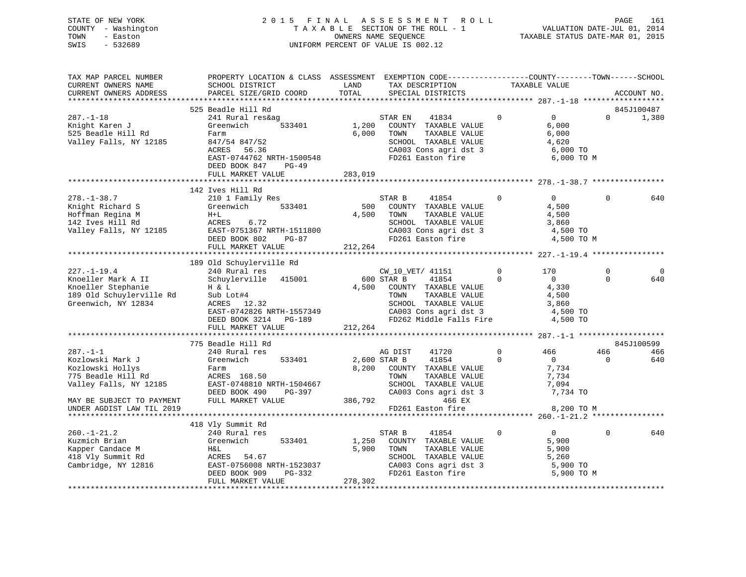STATE OF NEW YORK 2 0 1 5 F I N A L A S S E S S M E N T R O L L PAGE 161 COUNTY - Washington T A X A B L E SECTION OF THE ROLL - 1 VALUATION DATE-JUL 01, 2014 TOWN - Easton OWNERS NAME SEQUENCE TAXABLE STATUS DATE-MAR 01, 2015 SWIS - 532689 UNIFORM PERCENT OF VALUE IS 002.12

| TAX MAP PARCEL NUMBER                             | PROPERTY LOCATION & CLASS ASSESSMENT EXEMPTION CODE----------------COUNTY-------TOWN-----SCHOOL                                                                                                                                                                          |         |                                                                                                                          |                |                |                         |                |
|---------------------------------------------------|--------------------------------------------------------------------------------------------------------------------------------------------------------------------------------------------------------------------------------------------------------------------------|---------|--------------------------------------------------------------------------------------------------------------------------|----------------|----------------|-------------------------|----------------|
| CURRENT OWNERS NAME                               | SCHOOL DISTRICT                                                                                                                                                                                                                                                          | LAND    | TAX DESCRIPTION TAXABLE VALUE SPECIAL DISTRICTS                                                                          |                |                |                         |                |
| CURRENT OWNERS ADDRESS                            | PARCEL SIZE/GRID COORD                                                                                                                                                                                                                                                   | TOTAL   |                                                                                                                          |                |                |                         | ACCOUNT NO.    |
|                                                   |                                                                                                                                                                                                                                                                          |         |                                                                                                                          |                |                |                         |                |
|                                                   | 525 Beadle Hill Rd                                                                                                                                                                                                                                                       |         |                                                                                                                          |                |                |                         | 845J100487     |
| $287. - 1 - 18$                                   | 241 Rural res&ag                                                                                                                                                                                                                                                         |         | STAR EN 41834 0 0                                                                                                        |                |                | $\Omega$                | 1,380          |
| xov. 1 10<br>Knight Karen J<br>525 Beadle Hill Rd | Greenwich                                                                                                                                                                                                                                                                |         | 533401 1,200 COUNTY TAXABLE VALUE                                                                                        |                | 6,000          |                         |                |
|                                                   |                                                                                                                                                                                                                                                                          |         | 6,000 TOWN<br>TAXABLE VALUE                                                                                              |                | 6,000          |                         |                |
| Valley Falls, NY 12185                            | Farm<br>847/54 847/52<br>ACRES 56.36                                                                                                                                                                                                                                     |         | SCHOOL TAXABLE VALUE $4,620$<br>CA003 Cons agri dst 3 6,000 TO<br>FD261 Easton fire 6,000 TO                             |                |                |                         |                |
|                                                   |                                                                                                                                                                                                                                                                          |         |                                                                                                                          |                |                |                         |                |
|                                                   | EAST-0744762 NRTH-1500548                                                                                                                                                                                                                                                |         |                                                                                                                          |                | 6,000 TO M     |                         |                |
|                                                   | DEED BOOK 847<br>PG-49                                                                                                                                                                                                                                                   |         |                                                                                                                          |                |                |                         |                |
|                                                   | FULL MARKET VALUE                                                                                                                                                                                                                                                        | 283,019 |                                                                                                                          |                |                |                         |                |
|                                                   |                                                                                                                                                                                                                                                                          |         |                                                                                                                          |                |                |                         |                |
|                                                   | 142 Ives Hill Rd                                                                                                                                                                                                                                                         |         |                                                                                                                          |                |                |                         |                |
|                                                   |                                                                                                                                                                                                                                                                          |         |                                                                                                                          |                |                | $\Omega$                | 640            |
|                                                   |                                                                                                                                                                                                                                                                          |         |                                                                                                                          |                |                |                         |                |
|                                                   |                                                                                                                                                                                                                                                                          |         |                                                                                                                          |                |                |                         |                |
|                                                   |                                                                                                                                                                                                                                                                          |         |                                                                                                                          |                |                |                         |                |
|                                                   |                                                                                                                                                                                                                                                                          |         |                                                                                                                          |                |                |                         |                |
|                                                   |                                                                                                                                                                                                                                                                          |         |                                                                                                                          |                |                |                         |                |
|                                                   |                                                                                                                                                                                                                                                                          |         |                                                                                                                          |                |                |                         |                |
|                                                   |                                                                                                                                                                                                                                                                          |         |                                                                                                                          |                |                |                         |                |
|                                                   |                                                                                                                                                                                                                                                                          |         |                                                                                                                          |                |                |                         |                |
|                                                   | 189 Old Schuylerville Rd                                                                                                                                                                                                                                                 |         |                                                                                                                          |                |                |                         |                |
|                                                   |                                                                                                                                                                                                                                                                          |         |                                                                                                                          |                |                | $\mathbf 0$<br>$\Omega$ | $\overline{0}$ |
|                                                   |                                                                                                                                                                                                                                                                          |         |                                                                                                                          |                |                |                         | 640            |
|                                                   |                                                                                                                                                                                                                                                                          |         |                                                                                                                          |                |                |                         |                |
|                                                   |                                                                                                                                                                                                                                                                          |         |                                                                                                                          |                |                |                         |                |
|                                                   |                                                                                                                                                                                                                                                                          |         |                                                                                                                          |                |                |                         |                |
|                                                   |                                                                                                                                                                                                                                                                          |         |                                                                                                                          |                |                |                         |                |
|                                                   |                                                                                                                                                                                                                                                                          |         |                                                                                                                          |                |                |                         |                |
|                                                   |                                                                                                                                                                                                                                                                          |         |                                                                                                                          |                |                |                         |                |
|                                                   |                                                                                                                                                                                                                                                                          |         |                                                                                                                          |                |                |                         |                |
|                                                   | 775 Beadle Hill Rd                                                                                                                                                                                                                                                       |         |                                                                                                                          |                |                |                         | 845J100599     |
| $287. - 1 - 1$                                    | 240 Rural res                                                                                                                                                                                                                                                            |         | AG DIST 41720                                                                                                            | $\overline{0}$ | 466            | 466                     | 466            |
| Kozlowski Mark J                                  | Greenwich 533401                                                                                                                                                                                                                                                         |         | 2,600 STAR B 41854<br>$\overline{0}$                                                                                     |                | 0<br>7,734     | $\overline{0}$          | 640            |
| Kozlowski Hollys                                  | Farm<br>ACRES 168.50                                                                                                                                                                                                                                                     |         | 8,200 COUNTY TAXABLE VALUE                                                                                               |                |                |                         |                |
|                                                   |                                                                                                                                                                                                                                                                          |         |                                                                                                                          |                |                |                         |                |
|                                                   |                                                                                                                                                                                                                                                                          |         |                                                                                                                          |                |                |                         |                |
|                                                   |                                                                                                                                                                                                                                                                          |         |                                                                                                                          |                |                |                         |                |
|                                                   | EXECUTE IS NOT DEED BOOK 490 PG-397<br>MAY BE SUBJECT TO PAYMENT FULL MARKET VALUE<br>MAY BE SUBJECT TO PAYMENT FULL MARKET VALUE<br>MAY BE SUBJECT TO PAYMENT FULL MARKET VALUE<br>PHOTO 200 TO 200 TO 200 TO 200 TO 200 TO 200 TO 20                                   |         |                                                                                                                          |                |                |                         |                |
| UNDER AGDIST LAW TIL 2019                         |                                                                                                                                                                                                                                                                          |         | FD261 Easton fire                                                                                                        |                | 8,200 TO M     |                         |                |
|                                                   |                                                                                                                                                                                                                                                                          |         |                                                                                                                          |                |                |                         |                |
|                                                   | 418 Vly Summit Rd                                                                                                                                                                                                                                                        |         |                                                                                                                          |                |                |                         |                |
|                                                   |                                                                                                                                                                                                                                                                          |         | STAR B 41854                                                                                                             | $\overline{0}$ | $\overline{0}$ | 0                       | 640            |
|                                                   |                                                                                                                                                                                                                                                                          |         | $1,250$ COUNTY TAXABLE VALUE                                                                                             |                | 5,900          |                         |                |
|                                                   |                                                                                                                                                                                                                                                                          |         | 5,900 TOWN                                                                                                               |                |                |                         |                |
|                                                   |                                                                                                                                                                                                                                                                          |         |                                                                                                                          |                |                |                         |                |
|                                                   |                                                                                                                                                                                                                                                                          |         |                                                                                                                          |                |                |                         |                |
|                                                   | 260.-1-21.2<br>Examich Brian<br>Examine Brian<br>Example 210 Rural res<br>Camper Candace M<br>240 Rural res<br>S533401<br>21,250<br>250<br>27,900<br>27,900<br>27,900<br>27,900<br>27,900<br>27,900<br>27,900<br>27,900<br>27,900<br>27,900<br>27,900<br>27,900<br>27,90 |         | TOWN TAXABLE VALUE 5,900<br>SCHOOL TAXABLE VALUE 5,900<br>CA003 Cons agri dst 3 5,900 TO<br>FD261 Easton fire 5,900 TO M |                |                |                         |                |
|                                                   | FULL MARKET VALUE                                                                                                                                                                                                                                                        | 278,302 |                                                                                                                          |                |                |                         |                |
|                                                   |                                                                                                                                                                                                                                                                          |         |                                                                                                                          |                |                |                         |                |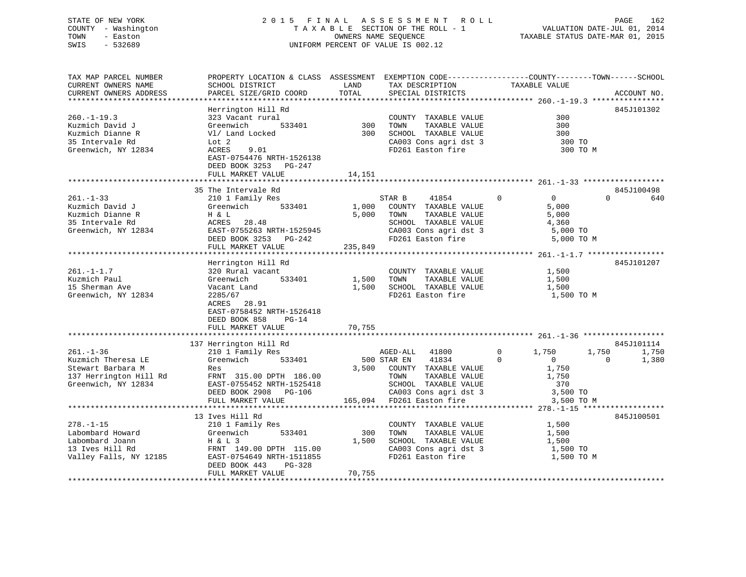## STATE OF NEW YORK 2 0 1 5 F I N A L A S S E S S M E N T R O L L PAGE 162 COUNTY - Washington T A X A B L E SECTION OF THE ROLL - 1 VALUATION DATE-JUL 01, 2014 TOWN - Easton OWNERS NAME SEQUENCE TAXABLE STATUS DATE-MAR 01, 2015 SWIS - 532689 UNIFORM PERCENT OF VALUE IS 002.12

| TAX MAP PARCEL NUMBER<br>CURRENT OWNERS NAME  | PROPERTY LOCATION & CLASS ASSESSMENT EXEMPTION CODE----------------COUNTY-------TOWN------SCHOOL<br>SCHOOL DISTRICT | LAND    | TAX DESCRIPTION                       | TAXABLE VALUE                    |                   |
|-----------------------------------------------|---------------------------------------------------------------------------------------------------------------------|---------|---------------------------------------|----------------------------------|-------------------|
| CURRENT OWNERS ADDRESS                        | PARCEL SIZE/GRID COORD                                                                                              | TOTAL   | SPECIAL DISTRICTS                     |                                  | ACCOUNT NO.       |
|                                               | Herrington Hill Rd                                                                                                  |         |                                       |                                  | 845J101302        |
| $260. -1 - 19.3$                              | 323 Vacant rural                                                                                                    |         | COUNTY TAXABLE VALUE                  | 300                              |                   |
| Kuzmich David J                               | Greenwich<br>533401                                                                                                 | 300     | TAXABLE VALUE<br>TOWN                 | 300                              |                   |
| Kuzmich Dianne R                              | V1/ Land Locked                                                                                                     | 300     | SCHOOL TAXABLE VALUE                  | 300                              |                   |
| 35 Intervale Rd                               | Lot 2                                                                                                               |         | CA003 Cons agri dst 3                 | 300 TO                           |                   |
| Greenwich, NY 12834                           | ACRES<br>9.01<br>EAST-0754476 NRTH-1526138<br>DEED BOOK 3253 PG-247<br>FULL MARKET VALUE                            | 14,151  | FD261 Easton fire                     | 300 TO M                         |                   |
|                                               |                                                                                                                     |         |                                       |                                  |                   |
|                                               | 35 The Intervale Rd                                                                                                 |         |                                       |                                  | 845J100498        |
| $261. - 1 - 33$                               | 210 1 Family Res                                                                                                    |         | STAR B<br>41854                       | $\mathbf 0$<br>$0 \qquad \qquad$ | $\Omega$<br>640   |
| Kuzmich David J                               | Greenwich<br>533401                                                                                                 | 1,000   | COUNTY TAXABLE VALUE                  | 5,000                            |                   |
| Kuzmich Dianne R                              | H & L                                                                                                               | 5,000   | TAXABLE VALUE<br>TOWN                 | 5,000                            |                   |
| 35 Intervale Rd                               | ACRES<br>28.48                                                                                                      |         | SCHOOL TAXABLE VALUE                  | 4,360                            |                   |
| Greenwich, NY 12834                           | EAST-0755263 NRTH-1525945                                                                                           |         | CA003 Cons agri dst 3                 | 5,000 TO                         |                   |
|                                               | DEED BOOK 3253<br>PG-242                                                                                            |         | FD261 Easton fire                     | 5,000 TO M                       |                   |
|                                               | FULL MARKET VALUE                                                                                                   | 235,849 |                                       |                                  |                   |
|                                               |                                                                                                                     |         |                                       |                                  |                   |
| $261. - 1 - 1.7$                              | Herrington Hill Rd<br>320 Rural vacant                                                                              |         | COUNTY TAXABLE VALUE                  | 1,500                            | 845J101207        |
| Kuzmich Paul                                  | Greenwich<br>533401                                                                                                 | 1,500   | TOWN<br>TAXABLE VALUE                 | 1,500                            |                   |
| 15 Sherman Ave                                | Vacant Land                                                                                                         | 1,500   | SCHOOL TAXABLE VALUE                  | 1,500                            |                   |
| Greenwich, NY 12834                           | 2285/67                                                                                                             |         | FD261 Easton fire                     | 1,500 TO M                       |                   |
|                                               | ACRES<br>28.91                                                                                                      |         |                                       |                                  |                   |
|                                               | EAST-0758452 NRTH-1526418                                                                                           |         |                                       |                                  |                   |
|                                               | DEED BOOK 858<br>$PG-14$                                                                                            |         |                                       |                                  |                   |
|                                               | FULL MARKET VALUE                                                                                                   | 70,755  |                                       |                                  |                   |
|                                               |                                                                                                                     |         |                                       |                                  |                   |
|                                               | 137 Herrington Hill Rd                                                                                              |         |                                       |                                  | 845J101114        |
| $261. - 1 - 36$                               | 210 1 Family Res                                                                                                    |         | 41800<br>AGED-ALL                     | 1,750<br>$\Omega$                | 1,750<br>1,750    |
| Kuzmich Theresa LE                            | 533401<br>Greenwich                                                                                                 |         | 41834<br>500 STAR EN                  | $\Omega$<br>$\overline{0}$       | $\Omega$<br>1,380 |
| Stewart Barbara M                             | Res                                                                                                                 |         | 3,500 COUNTY TAXABLE VALUE<br>TOWN    | 1,750                            |                   |
| 137 Herrington Hill Rd<br>Greenwich, NY 12834 | FRNT 315.00 DPTH 186.00<br>EAST-0755452 NRTH-1525418                                                                |         | TAXABLE VALUE<br>SCHOOL TAXABLE VALUE | 1,750<br>370                     |                   |
|                                               | DEED BOOK 2908 PG-106                                                                                               |         | CA003 Cons agri dst 3                 | 3,500 TO                         |                   |
|                                               | FULL MARKET VALUE                                                                                                   | 165,094 | FD261 Easton fire                     | 3,500 TO M                       |                   |
|                                               |                                                                                                                     |         |                                       |                                  |                   |
|                                               | 13 Ives Hill Rd                                                                                                     |         |                                       |                                  | 845J100501        |
| $278. - 1 - 15$                               | 210 1 Family Res                                                                                                    |         | COUNTY TAXABLE VALUE                  | 1,500                            |                   |
| Labombard Howard                              | Greenwich<br>533401                                                                                                 | 300     | TOWN<br>TAXABLE VALUE                 | 1,500                            |                   |
| Labombard Joann                               | $H & L$ 3                                                                                                           | 1,500   | SCHOOL TAXABLE VALUE                  | 1,500                            |                   |
| 13 Ives Hill Rd                               | FRNT 149.00 DPTH 115.00                                                                                             |         | CA003 Cons agri dst 3                 | 1,500 TO                         |                   |
| Valley Falls, NY 12185                        | EAST-0754649 NRTH-1511855                                                                                           |         | FD261 Easton fire                     | 1,500 TO M                       |                   |
|                                               | DEED BOOK 443<br>PG-328                                                                                             |         |                                       |                                  |                   |
|                                               | FULL MARKET VALUE                                                                                                   | 70,755  |                                       |                                  |                   |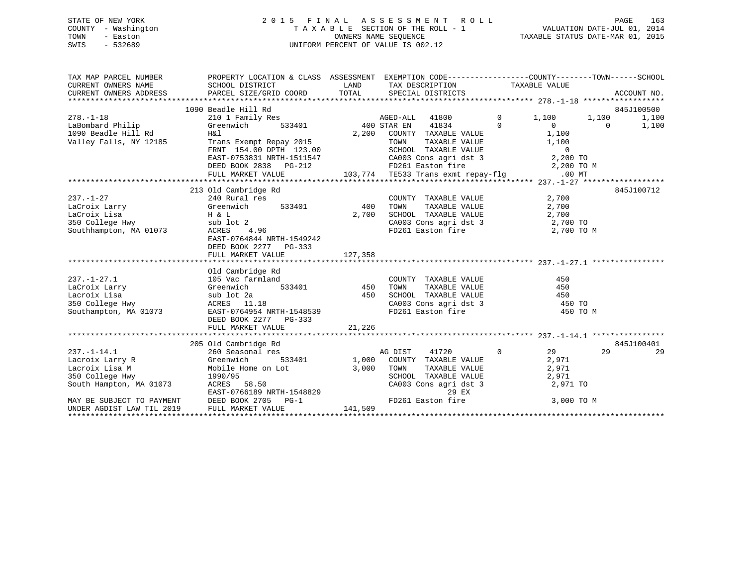### STATE OF NEW YORK 2 0 1 5 F I N A L A S S E S S M E N T R O L L PAGE 163COUNTY - Washington T A X A B L E SECTION OF THE ROLL - 1 TOWN - Easton **CONNERS NAME SEQUENCE** TAXABLE STATUS DATE-MAR 01, 2015 SWIS - 532689 UNIFORM PERCENT OF VALUE IS 002.12

| TAX MAP PARCEL NUMBER                                                                                        | PROPERTY LOCATION & CLASS ASSESSMENT EXEMPTION CODE-----------------COUNTY-------TOWN------SCHOOL                                                                                                   |                 |                                                                                                                    |                |            |          |            |
|--------------------------------------------------------------------------------------------------------------|-----------------------------------------------------------------------------------------------------------------------------------------------------------------------------------------------------|-----------------|--------------------------------------------------------------------------------------------------------------------|----------------|------------|----------|------------|
|                                                                                                              | 1090 Beadle Hill Rd                                                                                                                                                                                 |                 |                                                                                                                    |                |            |          | 845J100500 |
| $278. - 1 - 18$                                                                                              | 210 1 Family Res                                                                                                                                                                                    |                 | AGED-ALL 41800 0 1,100 1,100                                                                                       |                |            |          | 1,100      |
| LaBombard Philip                                                                                             | Greenwich                                                                                                                                                                                           |                 | 41834 0                                                                                                            |                | $\sim$ 0   | $\Omega$ | 1,100      |
| 1090 Beadle Hill Rd                                                                                          | H&l                                                                                                                                                                                                 |                 | 2,200 COUNTY TAXABLE VALUE                                                                                         |                | 1,100      |          |            |
| Valley Falls, NY 12185                                                                                       | Trans Exempt Repay 2015<br>FRNT 154.00 DPTH 123.00<br>EAST-0753831 NRTH-1511547                                                                                                                     |                 | TOWN TAXABLE VALUE<br>SCHOOL TAXABLE VALUE 1,100<br>CA003 Cons agri dst 3 2,200 TO<br>FD261 Easton fire 2,200 TO M |                |            |          |            |
|                                                                                                              |                                                                                                                                                                                                     |                 |                                                                                                                    |                |            |          |            |
|                                                                                                              |                                                                                                                                                                                                     |                 |                                                                                                                    |                |            |          |            |
|                                                                                                              | DEED BOOK 2838 PG-212                                                                                                                                                                               |                 |                                                                                                                    |                |            |          |            |
|                                                                                                              |                                                                                                                                                                                                     |                 |                                                                                                                    |                |            |          |            |
|                                                                                                              |                                                                                                                                                                                                     |                 |                                                                                                                    |                |            |          |            |
|                                                                                                              | 213 Old Cambridge Rd                                                                                                                                                                                |                 |                                                                                                                    |                |            |          | 845J100712 |
| $237. - 1 - 27$                                                                                              | 240 Rural res                                                                                                                                                                                       |                 | COUNTY TAXABLE VALUE 2,700                                                                                         |                |            |          |            |
| LaCroix Larry Greenwich<br>LaCroix Lisa H & L<br>350 College Hwy sub lot 2<br>Southhampton, MA 01073 ACRES 4 | 533401 400                                                                                                                                                                                          |                 | TOWN TAXABLE VALUE 2,700<br>SCHOOL TAXABLE VALUE 2,700<br>CA003 Cons agri dst 3 2,700 TO                           |                |            |          |            |
|                                                                                                              | H & L<br>sub lot 2<br>ACRES 4.96                                                                                                                                                                    | 2,700           |                                                                                                                    |                |            |          |            |
|                                                                                                              |                                                                                                                                                                                                     |                 |                                                                                                                    |                |            |          |            |
|                                                                                                              |                                                                                                                                                                                                     |                 | FD261 Easton fire 2,700 TO M                                                                                       |                |            |          |            |
|                                                                                                              | EAST-0764844 NRTH-1549242                                                                                                                                                                           |                 |                                                                                                                    |                |            |          |            |
|                                                                                                              | DEED BOOK 2277 PG-333                                                                                                                                                                               |                 |                                                                                                                    |                |            |          |            |
|                                                                                                              | FULL MARKET VALUE                                                                                                                                                                                   | 127,358         |                                                                                                                    |                |            |          |            |
|                                                                                                              | Old Cambridge Rd                                                                                                                                                                                    |                 |                                                                                                                    |                |            |          |            |
| $237. - 1 - 27.1$                                                                                            | 105 Vac farmland                                                                                                                                                                                    |                 | COUNTY TAXABLE VALUE                                                                                               |                | 450        |          |            |
| LaCroix Larry                                                                                                | Greenwich                                                                                                                                                                                           | 533401 450 TOWN | TAXABLE VALUE                                                                                                      |                | 450        |          |            |
|                                                                                                              |                                                                                                                                                                                                     | 450             | SCHOOL TAXABLE VALUE 450                                                                                           |                |            |          |            |
|                                                                                                              |                                                                                                                                                                                                     |                 | CA003 Cons agri dst 3 450 TO                                                                                       |                |            |          |            |
|                                                                                                              |                                                                                                                                                                                                     |                 | FD261 Easton fire                                                                                                  |                | 450 TO M   |          |            |
|                                                                                                              | DEED BOOK 2277 PG-333                                                                                                                                                                               |                 |                                                                                                                    |                |            |          |            |
|                                                                                                              | FULL MARKET VALUE                                                                                                                                                                                   | 21,226          |                                                                                                                    |                |            |          |            |
|                                                                                                              |                                                                                                                                                                                                     |                 |                                                                                                                    |                |            |          |            |
|                                                                                                              | 205 Old Cambridge Rd                                                                                                                                                                                |                 |                                                                                                                    |                |            |          | 845J100401 |
| $237. - 1 - 14.1$                                                                                            | 260 Seasonal res                                                                                                                                                                                    |                 | 41720<br>AG DIST                                                                                                   | $\overline{0}$ | 29         | 29       | 29         |
| Lacroix Larry R                                                                                              | Greenwich                                                                                                                                                                                           |                 | 533401 1,000 COUNTY TAXABLE VALUE                                                                                  |                | 2,971      |          |            |
|                                                                                                              |                                                                                                                                                                                                     |                 |                                                                                                                    |                |            |          |            |
|                                                                                                              |                                                                                                                                                                                                     |                 |                                                                                                                    |                |            |          |            |
|                                                                                                              | Lacroix Lisa M<br>350 College Hwy 1990/95 (3,000 TOWN SCHOO<br>South Hampton, MA 01073 (2002) ACRES 58.50 (2003                                                                                     |                 | TOWN TAXABLE VALUE 2,971<br>SCHOOL TAXABLE VALUE 2,971<br>CA003 Cons agri dst 3 2,971 TO                           |                |            |          |            |
|                                                                                                              |                                                                                                                                                                                                     |                 | 29 EX                                                                                                              |                |            |          |            |
|                                                                                                              | 350 College Hwy 1990/95<br>South Hampton, MA 01073 ACRES 58.50<br>EAST-0766189 NRTH-1548829<br>MAY BE SUBJECT TO PAYMENT DEED BOOK 2705 PG-1<br>UNDER AGDIST LAW TIL 2019 FULL MARKET VALUE 141,509 |                 | FD261 Easton fire                                                                                                  |                | 3,000 TO M |          |            |
|                                                                                                              |                                                                                                                                                                                                     |                 |                                                                                                                    |                |            |          |            |
|                                                                                                              |                                                                                                                                                                                                     |                 |                                                                                                                    |                |            |          |            |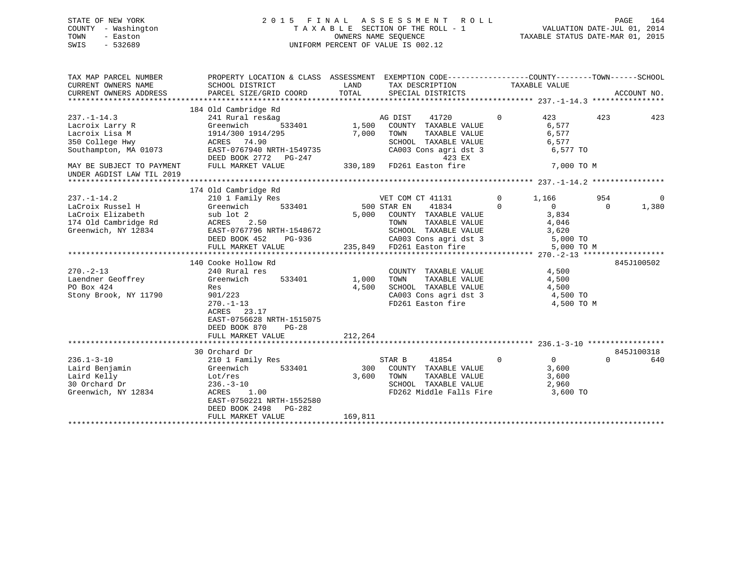## STATE OF NEW YORK 2 0 1 5 F I N A L A S S E S S M E N T R O L L PAGE 164 COUNTY - Washington T A X A B L E SECTION OF THE ROLL - 1 VALUATION DATE-JUL 01, 2014 TOWN - Easton OWNERS NAME SEQUENCE TAXABLE STATUS DATE-MAR 01, 2015 SWIS - 532689 UNIFORM PERCENT OF VALUE IS 002.12

| TAX MAP PARCEL NUMBER<br>CURRENT OWNERS NAME<br>CURRENT OWNERS ADDRESS                                    | PROPERTY LOCATION & CLASS ASSESSMENT EXEMPTION CODE---------------COUNTY-------TOWN------SCHOOL<br>SCHOOL DISTRICT<br>PARCEL SIZE/GRID COORD                                | LAND<br>TOTAL         | TAX DESCRIPTION<br>SPECIAL DISTRICTS                                                                                                                                                                              | TAXABLE VALUE                                                                            |                 | ACCOUNT NO.       |
|-----------------------------------------------------------------------------------------------------------|-----------------------------------------------------------------------------------------------------------------------------------------------------------------------------|-----------------------|-------------------------------------------------------------------------------------------------------------------------------------------------------------------------------------------------------------------|------------------------------------------------------------------------------------------|-----------------|-------------------|
|                                                                                                           | 184 Old Cambridge Rd                                                                                                                                                        |                       |                                                                                                                                                                                                                   |                                                                                          |                 |                   |
| $237. - 1 - 14.3$<br>Lacroix Larry R<br>Lacroix Lisa M<br>350 College Hwy<br>Southampton, MA 01073        | 241 Rural res&ag<br>Greenwich<br>1914/300 1914/295<br>ACRES 74.90<br>EAST-0767940 NRTH-1549735                                                                              | 533401 1,500<br>7,000 | 41720<br>AG DIST<br>COUNTY TAXABLE VALUE<br>TOWN<br>TAXABLE VALUE<br>SCHOOL TAXABLE VALUE<br>CA003 Cons agri dst 3                                                                                                | 423<br>$\Omega$<br>6,577<br>6,577<br>6,577<br>6,577 TO                                   | 423             | 423               |
| MAY BE SUBJECT TO PAYMENT<br>UNDER AGDIST LAW TIL 2019                                                    | EAST-0707230 AM---<br>DEED BOOK 2772 PG-247<br>----- MADVET VALUE                                                                                                           |                       | 423 EX                                                                                                                                                                                                            | 7,000 TO M                                                                               |                 |                   |
|                                                                                                           | 174 Old Cambridge Rd                                                                                                                                                        |                       |                                                                                                                                                                                                                   |                                                                                          |                 |                   |
| $237. - 1 - 14.2$<br>LaCroix Russel H<br>LaCroix Elizabeth<br>174 Old Cambridge Rd<br>Greenwich, NY 12834 | 210 1 Family Res<br>533401<br>Greenwich<br>sub lot 2<br>2.50<br>ACRES<br>EAST-0767796 NRTH-1548672<br>DEED BOOK 452<br>PG-936<br>FULL MARKET VALUE                          |                       | VET COM CT 41131<br>500 STAR EN<br>41834<br>5,000 COUNTY TAXABLE VALUE<br>COUNTY TAXABLE VALUE<br>TOWN     TAXABLE VALUE<br>SCHOOL   TAXABLE VALUE<br>CA003 Cons agri dst 3 5,000 TO<br>235,849 FD261 Easton fire | $\overline{0}$<br>1,166<br>$\Omega$<br>$\Omega$<br>3,834<br>4,046<br>3,620<br>5,000 TO M | 954<br>$\Omega$ | 0<br>1,380        |
|                                                                                                           |                                                                                                                                                                             |                       |                                                                                                                                                                                                                   |                                                                                          |                 |                   |
| $270. - 2 - 13$<br>Laendner Geoffrey<br>PO Box 424<br>Stony Brook, NY 11790                               | 140 Cooke Hollow Rd<br>240 Rural res<br>533401<br>Greenwich<br>Res<br>901/223<br>$270. - 1 - 13$<br>23.17<br>ACRES<br>EAST-0756628 NRTH-1515075<br>DEED BOOK 870<br>$PG-28$ | 1,000<br>4,500        | COUNTY TAXABLE VALUE<br>TOWN TAXABLE VALUE<br>SCHOOL TAXABLE VALUE<br>CA003 Cons agri dst 3<br>FD261 Easton fire                                                                                                  | 4,500<br>4,500<br>4,500<br>4,500 TO<br>4,500 TO M                                        |                 | 845J100502        |
|                                                                                                           | FULL MARKET VALUE                                                                                                                                                           | 212,264               |                                                                                                                                                                                                                   |                                                                                          |                 |                   |
| $236.1 - 3 - 10$<br>Laird Benjamin<br>Laird Kelly<br>30 Orchard Dr<br>Greenwich, NY 12834                 | 30 Orchard Dr<br>210 1 Family Res<br>533401<br>Greenwich<br>Lot/res<br>$236. - 3 - 10$<br>ACRES<br>1.00<br>EAST-0750221 NRTH-1552580<br>DEED BOOK 2498 PG-282               | 300<br>3,600          | STAR B<br>41854<br>COUNTY TAXABLE VALUE<br>TOWN<br>TAXABLE VALUE<br>SCHOOL TAXABLE VALUE<br>FD262 Middle Falls Fire                                                                                               | $\overline{0}$<br>$0 \qquad \qquad$<br>3,600<br>3,600<br>2,960<br>3,600 TO               | $\Omega$        | 845J100318<br>640 |
|                                                                                                           | FULL MARKET VALUE                                                                                                                                                           | 169,811               |                                                                                                                                                                                                                   |                                                                                          |                 |                   |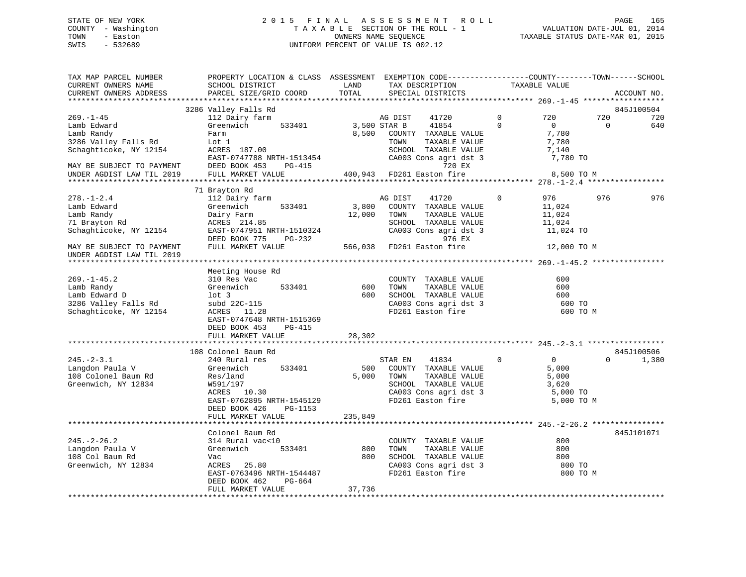## STATE OF NEW YORK 2 0 1 5 F I N A L A S S E S S M E N T R O L L PAGE 165 COUNTY - Washington T A X A B L E SECTION OF THE ROLL - 1 VALUATION DATE-JUL 01, 2014 TOWN - Easton OWNERS NAME SEQUENCE TAXABLE STATUS DATE-MAR 01, 2015 SWIS - 532689 UNIFORM PERCENT OF VALUE IS 002.12

| TAX MAP PARCEL NUMBER<br>CURRENT OWNERS NAME<br>CURRENT OWNERS ADDRESS | PROPERTY LOCATION & CLASS ASSESSMENT EXEMPTION CODE----------------COUNTY-------TOWN------SCHOOL<br>SCHOOL DISTRICT<br>PARCEL SIZE/GRID COORD | LAND<br>TOTAL | TAX DESCRIPTION<br>SPECIAL DISTRICTS          | TAXABLE VALUE |                            | ACCOUNT NO. |
|------------------------------------------------------------------------|-----------------------------------------------------------------------------------------------------------------------------------------------|---------------|-----------------------------------------------|---------------|----------------------------|-------------|
| **********************                                                 | ******************************                                                                                                                |               |                                               |               |                            |             |
|                                                                        | 3286 Valley Falls Rd                                                                                                                          |               |                                               |               |                            | 845J100504  |
| $269. - 1 - 45$                                                        | 112 Dairy farm                                                                                                                                |               | AG DIST<br>41720                              | $\mathbf 0$   | 720<br>720                 | 720         |
| Lamb Edward                                                            | 533401<br>Greenwich                                                                                                                           |               | 3,500 STAR B<br>41854                         | $\Omega$      | $\Omega$<br>$\Omega$       | 640         |
| Lamb Randy                                                             | Farm                                                                                                                                          | 8,500         | COUNTY TAXABLE VALUE                          |               | 7,780                      |             |
| 3286 Valley Falls Rd                                                   | Lot 1                                                                                                                                         |               | TOWN<br>TAXABLE VALUE                         |               | 7,780                      |             |
| Schaghticoke, NY 12154                                                 | ACRES 187.00                                                                                                                                  |               | SCHOOL TAXABLE VALUE                          |               | 7,140                      |             |
|                                                                        | EAST-0747788 NRTH-1513454                                                                                                                     |               | CA003 Cons agri dst 3                         |               | 7,780 TO                   |             |
| MAY BE SUBJECT TO PAYMENT                                              | DEED BOOK 453<br>$PG-415$                                                                                                                     |               | 720 EX                                        |               |                            |             |
| UNDER AGDIST LAW TIL 2019                                              | FULL MARKET VALUE                                                                                                                             |               | 400,943 FD261 Easton fire                     |               | 8,500 TO M                 |             |
|                                                                        | 71 Brayton Rd                                                                                                                                 |               |                                               |               |                            |             |
| $278. - 1 - 2.4$                                                       | 112 Dairy farm                                                                                                                                |               | AG DIST<br>41720                              | 0             | 976<br>976                 | 976         |
| Lamb Edward                                                            | 533401<br>Greenwich                                                                                                                           | 3,800         | COUNTY TAXABLE VALUE                          |               | 11,024                     |             |
| Lamb Randy                                                             | Dairy Farm                                                                                                                                    | 12,000        | TAXABLE VALUE<br>TOWN                         |               | 11,024                     |             |
| 71 Brayton Rd                                                          | ACRES 214.85                                                                                                                                  |               | SCHOOL TAXABLE VALUE                          |               | 11,024                     |             |
| Schaghticoke, NY 12154                                                 | EAST-0747951 NRTH-1510324                                                                                                                     |               | CA003 Cons agri dst 3                         |               | 11,024 TO                  |             |
|                                                                        | DEED BOOK 775<br>PG-232                                                                                                                       |               | 976 EX                                        |               |                            |             |
| MAY BE SUBJECT TO PAYMENT                                              | FULL MARKET VALUE                                                                                                                             |               | 566,038 FD261 Easton fire                     |               | 12,000 TO M                |             |
| UNDER AGDIST LAW TIL 2019                                              |                                                                                                                                               |               |                                               |               |                            |             |
|                                                                        |                                                                                                                                               |               |                                               |               |                            |             |
|                                                                        | Meeting House Rd                                                                                                                              |               |                                               |               |                            |             |
| $269. - 1 - 45.2$                                                      | 310 Res Vac                                                                                                                                   |               | COUNTY TAXABLE VALUE                          |               | 600                        |             |
| Lamb Randy<br>Lamb Edward D                                            | Greenwich<br>533401                                                                                                                           | 600<br>600    | TOWN<br>TAXABLE VALUE                         |               | 600                        |             |
| 3286 Valley Falls Rd                                                   | $1$ ot 3<br>subd 22C-115                                                                                                                      |               | SCHOOL TAXABLE VALUE<br>CA003 Cons agri dst 3 |               | 600<br>600 TO              |             |
| Schaghticoke, NY 12154                                                 | ACRES 11.28                                                                                                                                   |               | FD261 Easton fire                             |               | 600 TO M                   |             |
|                                                                        | EAST-0747648 NRTH-1515369                                                                                                                     |               |                                               |               |                            |             |
|                                                                        | DEED BOOK 453<br><b>PG-415</b>                                                                                                                |               |                                               |               |                            |             |
|                                                                        | FULL MARKET VALUE                                                                                                                             | 28,302        |                                               |               |                            |             |
|                                                                        |                                                                                                                                               |               |                                               |               |                            |             |
|                                                                        | 108 Colonel Baum Rd                                                                                                                           |               |                                               |               |                            | 845J100506  |
| $245. - 2 - 3.1$                                                       | 240 Rural res                                                                                                                                 |               | 41834<br>STAR EN                              | $\Omega$      | $\overline{0}$<br>$\Omega$ | 1,380       |
| Langdon Paula V                                                        | Greenwich<br>533401                                                                                                                           | 500           | COUNTY TAXABLE VALUE                          |               | 5,000                      |             |
| 108 Colonel Baum Rd                                                    | Res/land                                                                                                                                      | 5,000         | TAXABLE VALUE<br>TOWN                         |               | 5,000                      |             |
| Greenwich, NY 12834                                                    | W591/197                                                                                                                                      |               | SCHOOL TAXABLE VALUE                          |               | 3,620                      |             |
|                                                                        | ACRES 10.30                                                                                                                                   |               | CA003 Cons agri dst 3                         |               | 5,000 TO                   |             |
|                                                                        | EAST-0762895 NRTH-1545129                                                                                                                     |               | FD261 Easton fire                             |               | 5,000 TO M                 |             |
|                                                                        | DEED BOOK 426<br>PG-1153                                                                                                                      |               |                                               |               |                            |             |
|                                                                        | FULL MARKET VALUE                                                                                                                             | 235,849       |                                               |               |                            |             |
|                                                                        | Colonel Baum Rd                                                                                                                               |               |                                               |               |                            | 845J101071  |
| $245. - 2 - 26.2$                                                      | 314 Rural vac<10                                                                                                                              |               | COUNTY TAXABLE VALUE                          |               | 800                        |             |
| Langdon Paula V                                                        | 533401<br>Greenwich                                                                                                                           | 800           | TAXABLE VALUE<br>TOWN                         |               | 800                        |             |
| 108 Col Baum Rd                                                        | Vac                                                                                                                                           | 800           | SCHOOL TAXABLE VALUE                          |               | 800                        |             |
| Greenwich, NY 12834                                                    | ACRES 25.80                                                                                                                                   |               | CA003 Cons agri dst 3                         |               | 800 TO                     |             |
|                                                                        | EAST-0763496 NRTH-1544487                                                                                                                     |               | FD261 Easton fire                             |               | 800 TO M                   |             |
|                                                                        | DEED BOOK 462<br>PG-664                                                                                                                       |               |                                               |               |                            |             |
|                                                                        | FULL MARKET VALUE                                                                                                                             | 37,736        |                                               |               |                            |             |
|                                                                        |                                                                                                                                               |               |                                               |               |                            |             |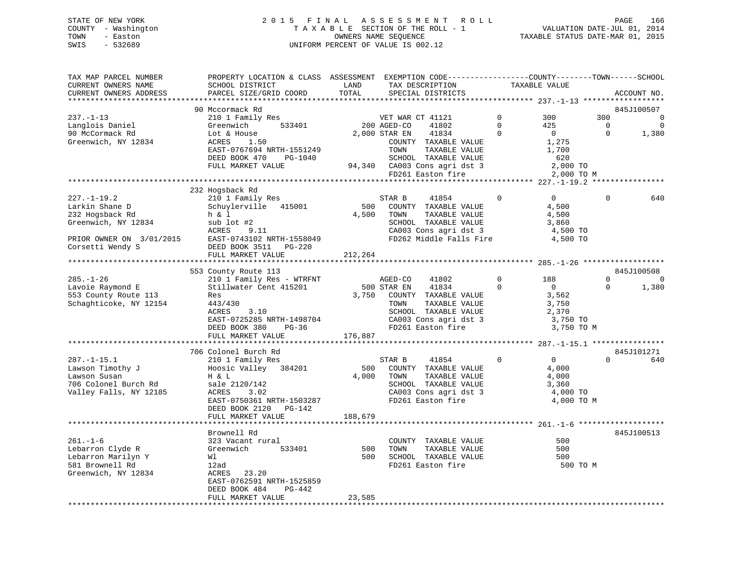## STATE OF NEW YORK 2 0 1 5 F I N A L A S S E S S M E N T R O L L PAGE 166 COUNTY - Washington T A X A B L E SECTION OF THE ROLL - 1 VALUATION DATE-JUL 01, 2014 TOWN - Easton OWNERS NAME SEQUENCE TAXABLE STATUS DATE-MAR 01, 2015 SWIS - 532689 UNIFORM PERCENT OF VALUE IS 002.12

| TAX MAP PARCEL NUMBER<br>CURRENT OWNERS NAME | PROPERTY LOCATION & CLASS ASSESSMENT EXEMPTION CODE----------------COUNTY-------TOWN------SCHOOL<br>SCHOOL DISTRICT | LAND    | TAX DESCRIPTION                                   |             | TAXABLE VALUE  |             |             |
|----------------------------------------------|---------------------------------------------------------------------------------------------------------------------|---------|---------------------------------------------------|-------------|----------------|-------------|-------------|
| CURRENT OWNERS ADDRESS                       | PARCEL SIZE/GRID COORD                                                                                              | TOTAL   | SPECIAL DISTRICTS                                 |             |                |             | ACCOUNT NO. |
|                                              | 90 Mccormack Rd                                                                                                     |         |                                                   |             |                |             | 845J100507  |
| $237. - 1 - 13$                              | 210 1 Family Res                                                                                                    |         | VET WAR CT 41121                                  | $\mathbf 0$ | 300            | 300         | 0           |
| Langlois Daniel                              | Greenwich<br>533401                                                                                                 |         | 200 AGED-CO<br>41802                              | $\Omega$    | 425            | $\Omega$    | $\mathbf 0$ |
| 90 McCormack Rd                              | Lot & House                                                                                                         |         | 2,000 STAR EN<br>41834                            | $\mathbf 0$ | $\overline{0}$ | 0           | 1,380       |
| Greenwich, NY 12834                          | ACRES<br>1.50                                                                                                       |         | COUNTY TAXABLE VALUE                              |             | 1,275          |             |             |
|                                              | EAST-0767694 NRTH-1551249                                                                                           |         |                                                   |             |                |             |             |
|                                              |                                                                                                                     |         | TOWN<br>TAXABLE VALUE                             |             | 1,700          |             |             |
|                                              | DEED BOOK 470<br>PG-1040                                                                                            |         | SCHOOL TAXABLE VALUE                              |             | 620            |             |             |
|                                              | FULL MARKET VALUE                                                                                                   |         | 94,340 CA003 Cons agri dst 3<br>FD261 Easton fire |             | 2,000 TO       |             |             |
|                                              |                                                                                                                     |         |                                                   |             | 2,000 TO M     |             |             |
|                                              |                                                                                                                     |         |                                                   |             |                |             |             |
|                                              | 232 Hogsback Rd                                                                                                     |         |                                                   | $\Omega$    | $\Omega$       | $\Omega$    |             |
| $227. - 1 - 19.2$                            | 210 1 Family Res                                                                                                    |         | STAR B<br>41854                                   |             |                |             | 640         |
| Larkin Shane D                               | Schuylerville 415001                                                                                                | 500     | COUNTY TAXABLE VALUE                              |             | 4,500          |             |             |
| 232 Hogsback Rd                              | h & l                                                                                                               | 4,500   | TOWN<br>TAXABLE VALUE                             |             | 4,500          |             |             |
| Greenwich, NY 12834                          | sub lot #2                                                                                                          |         | SCHOOL TAXABLE VALUE                              |             | 3,860          |             |             |
|                                              | ACRES<br>9.11                                                                                                       |         | CA003 Cons agri dst 3                             |             | 4,500 TO       |             |             |
| PRIOR OWNER ON 3/01/2015                     | EAST-0743102 NRTH-1558049                                                                                           |         | FD262 Middle Falls Fire                           |             | 4,500 TO       |             |             |
| Corsetti Wendy S                             | DEED BOOK 3511 PG-220                                                                                               |         |                                                   |             |                |             |             |
|                                              | FULL MARKET VALUE                                                                                                   | 212,264 |                                                   |             |                |             |             |
|                                              |                                                                                                                     |         |                                                   |             |                |             |             |
|                                              | 553 County Route 113                                                                                                |         |                                                   |             |                |             | 845J100508  |
| $285. - 1 - 26$                              | 210 1 Family Res - WTRFNT                                                                                           |         | AGED-CO<br>41802                                  | $\mathbf 0$ | 188            | $\Omega$    | 0           |
| Lavoie Raymond E                             | Stillwater Cent 415201                                                                                              |         | 500 STAR EN<br>41834                              | $\mathbf 0$ | $\overline{0}$ | $\mathbf 0$ | 1,380       |
| 553 County Route 113                         | Res                                                                                                                 |         | 3,750 COUNTY TAXABLE VALUE                        |             | 3,562          |             |             |
| Schaghticoke, NY 12154                       | 443/430                                                                                                             |         | TOWN<br>TAXABLE VALUE                             |             | 3,750          |             |             |
|                                              | ACRES<br>3.10                                                                                                       |         | SCHOOL TAXABLE VALUE                              |             | 2,370          |             |             |
|                                              | EAST-0725285 NRTH-1498704                                                                                           |         | CA003 Cons agri dst 3                             |             | 3,750 TO       |             |             |
|                                              | DEED BOOK 380<br>PG-36                                                                                              |         | FD261 Easton fire                                 |             | 3,750 TO M     |             |             |
|                                              | FULL MARKET VALUE                                                                                                   | 176,887 |                                                   |             |                |             |             |
|                                              |                                                                                                                     |         |                                                   |             |                |             |             |
|                                              | 706 Colonel Burch Rd                                                                                                |         |                                                   |             |                |             | 845J101271  |
| $287. - 1 - 15.1$                            | 210 1 Family Res                                                                                                    |         | 41854<br>STAR B                                   | $\Omega$    | $\overline{0}$ | $\Omega$    | 640         |
| Lawson Timothy J                             | Hoosic Valley 384201                                                                                                | 500     | COUNTY TAXABLE VALUE                              |             | 4,000          |             |             |
| Lawson Susan                                 | H & L                                                                                                               | 4,000   | TOWN<br>TAXABLE VALUE                             |             | 4,000          |             |             |
| 706 Colonel Burch Rd                         | sale 2120/142                                                                                                       |         | SCHOOL TAXABLE VALUE                              |             | 3,360          |             |             |
| Valley Falls, NY 12185                       | ACRES<br>3.02                                                                                                       |         | CA003 Cons agri dst 3                             |             | 4,000 TO       |             |             |
|                                              | EAST-0750361 NRTH-1503287                                                                                           |         | FD261 Easton fire                                 |             | 4,000 TO M     |             |             |
|                                              | DEED BOOK 2120 PG-142                                                                                               |         |                                                   |             |                |             |             |
|                                              | FULL MARKET VALUE                                                                                                   | 188,679 |                                                   |             |                |             |             |
|                                              |                                                                                                                     |         |                                                   |             |                |             |             |
|                                              | Brownell Rd                                                                                                         |         |                                                   |             |                |             | 845J100513  |
| $261. - 1 - 6$                               | 323 Vacant rural                                                                                                    |         | COUNTY TAXABLE VALUE                              |             | 500            |             |             |
| Lebarron Clyde R                             | 533401<br>Greenwich                                                                                                 | 500     | TOWN<br>TAXABLE VALUE                             |             | 500            |             |             |
| Lebarron Marilyn Y                           | Wl                                                                                                                  | 500     | SCHOOL TAXABLE VALUE                              |             | 500            |             |             |
| 581 Brownell Rd                              | 12ad                                                                                                                |         | FD261 Easton fire                                 |             | 500 TO M       |             |             |
| Greenwich, NY 12834                          | ACRES<br>23.20                                                                                                      |         |                                                   |             |                |             |             |
|                                              | EAST-0762591 NRTH-1525859                                                                                           |         |                                                   |             |                |             |             |
|                                              | DEED BOOK 484<br>PG-442                                                                                             |         |                                                   |             |                |             |             |
|                                              | FULL MARKET VALUE                                                                                                   | 23,585  |                                                   |             |                |             |             |
|                                              |                                                                                                                     |         |                                                   |             |                |             |             |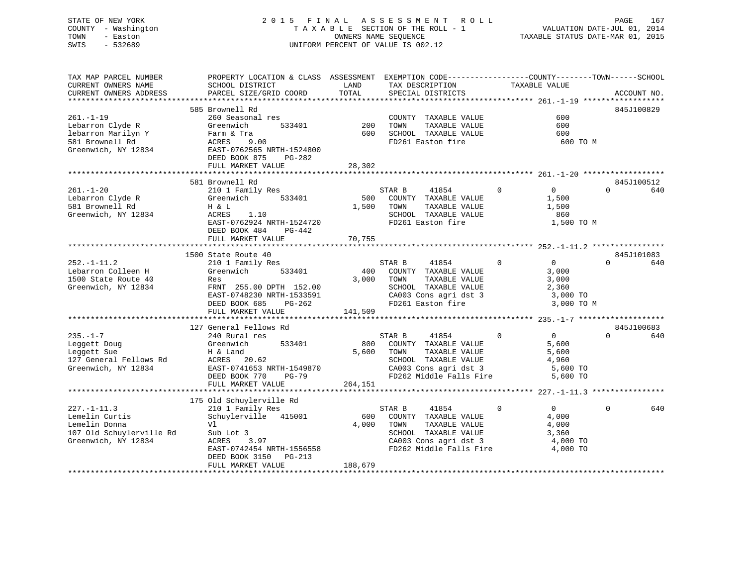## STATE OF NEW YORK 2 0 1 5 F I N A L A S S E S S M E N T R O L L PAGE 167 COUNTY - Washington T A X A B L E SECTION OF THE ROLL - 1 VALUATION DATE-JUL 01, 2014 TOWN - Easton **CONNERS NAME SEQUENCE** TAXABLE STATUS DATE-MAR 01, 2015 SWIS - 532689 UNIFORM PERCENT OF VALUE IS 002.12

| TAX MAP PARCEL NUMBER    | PROPERTY LOCATION & CLASS ASSESSMENT EXEMPTION CODE----------------COUNTY-------TOWN------SCHOOL |         |        |                                                  |                |                   |          |             |
|--------------------------|--------------------------------------------------------------------------------------------------|---------|--------|--------------------------------------------------|----------------|-------------------|----------|-------------|
| CURRENT OWNERS NAME      | SCHOOL DISTRICT                                                                                  | LAND    |        | TAX DESCRIPTION                                  |                | TAXABLE VALUE     |          |             |
| CURRENT OWNERS ADDRESS   | PARCEL SIZE/GRID COORD                                                                           | TOTAL   |        | SPECIAL DISTRICTS                                |                |                   |          | ACCOUNT NO. |
| **********************   |                                                                                                  |         |        |                                                  |                |                   |          |             |
|                          | 585 Brownell Rd                                                                                  |         |        |                                                  |                |                   |          | 845J100829  |
| $261. - 1 - 19$          | 260 Seasonal res                                                                                 |         |        | COUNTY TAXABLE VALUE                             |                | 600               |          |             |
| Lebarron Clyde R         | 533401<br>Greenwich                                                                              | 200     | TOWN   | TAXABLE VALUE                                    |                | 600               |          |             |
| lebarron Marilyn Y       | Farm & Tra                                                                                       | 600     |        | SCHOOL TAXABLE VALUE                             |                | 600               |          |             |
| 581 Brownell Rd          | ACRES<br>9.00                                                                                    |         |        | FD261 Easton fire                                |                | 600 TO M          |          |             |
| Greenwich, NY 12834      | EAST-0762565 NRTH-1524800                                                                        |         |        |                                                  |                |                   |          |             |
|                          | DEED BOOK 875<br>PG-282                                                                          |         |        |                                                  |                |                   |          |             |
|                          | FULL MARKET VALUE                                                                                | 28,302  |        |                                                  |                |                   |          |             |
|                          |                                                                                                  |         |        |                                                  |                |                   |          |             |
|                          | 581 Brownell Rd                                                                                  |         |        |                                                  |                |                   |          | 845J100512  |
| $261. - 1 - 20$          | 210 1 Family Res                                                                                 |         | STAR B | 41854                                            | $\Omega$       | $\Omega$          | $\Omega$ | 640         |
| Lebarron Clyde R         | Greenwich<br>533401                                                                              | 500     |        | COUNTY TAXABLE VALUE                             |                | 1,500             |          |             |
| 581 Brownell Rd          | H & L                                                                                            | 1,500   | TOWN   | TAXABLE VALUE                                    |                | 1,500             |          |             |
| Greenwich, NY 12834      | ACRES<br>1.10                                                                                    |         |        | SCHOOL TAXABLE VALUE                             |                | 860               |          |             |
|                          | EAST-0762924 NRTH-1524720                                                                        |         |        | FD261 Easton fire                                |                | 1,500 TO M        |          |             |
|                          | DEED BOOK 484<br>PG-442                                                                          |         |        |                                                  |                |                   |          |             |
|                          | FULL MARKET VALUE                                                                                | 70,755  |        |                                                  |                |                   |          |             |
|                          |                                                                                                  |         |        |                                                  |                |                   |          |             |
|                          | 1500 State Route 40                                                                              |         |        |                                                  |                |                   |          | 845J101083  |
| $252. - 1 - 11.2$        | 210 1 Family Res                                                                                 |         | STAR B | 41854                                            | $\Omega$       | $\overline{0}$    | $\Omega$ | 640         |
| Lebarron Colleen H       | Greenwich<br>533401                                                                              | 400     |        | COUNTY TAXABLE VALUE                             |                | 3,000             |          |             |
| 1500 State Route 40      | Res                                                                                              | 3,000   | TOWN   | TAXABLE VALUE                                    |                | 3,000             |          |             |
| Greenwich, NY 12834      | FRNT 255.00 DPTH 152.00                                                                          |         |        | SCHOOL TAXABLE VALUE                             |                | 2,360             |          |             |
|                          | EAST-0748230 NRTH-1533591                                                                        |         |        | CA003 Cons agri dst 3                            |                | 3,000 TO          |          |             |
|                          | DEED BOOK 685<br>PG-262                                                                          |         |        | FD261 Easton fire                                |                | 3,000 TO M        |          |             |
|                          | FULL MARKET VALUE                                                                                | 141,509 |        |                                                  |                |                   |          |             |
|                          |                                                                                                  |         |        |                                                  |                |                   |          |             |
|                          | 127 General Fellows Rd                                                                           |         |        |                                                  |                |                   |          | 845J100683  |
| $235. - 1 - 7$           | 240 Rural res                                                                                    |         | STAR B | 41854                                            | $\overline{0}$ | $\overline{0}$    | $\Omega$ | 640         |
| Leggett Doug             | Greenwich<br>533401                                                                              | 800     |        | COUNTY TAXABLE VALUE                             |                | 5,600             |          |             |
| Leggett Sue              | H & Land                                                                                         | 5,600   | TOWN   | TAXABLE VALUE                                    |                | 5,600             |          |             |
| 127 General Fellows Rd   | ACRES 20.62                                                                                      |         |        | SCHOOL TAXABLE VALUE                             |                | 4,960             |          |             |
| Greenwich, NY 12834      | EAST-0741653 NRTH-1549870                                                                        |         |        | CA003 Cons agri dst 3                            |                | 5,600 TO          |          |             |
|                          | DEED BOOK 770<br>$PG-79$                                                                         |         |        | FD262 Middle Falls Fire                          |                | 5,600 TO          |          |             |
|                          | FULL MARKET VALUE                                                                                | 264,151 |        |                                                  |                |                   |          |             |
|                          |                                                                                                  |         |        |                                                  |                |                   |          |             |
|                          | 175 Old Schuylerville Rd                                                                         |         |        |                                                  |                |                   |          |             |
| $227. - 1 - 11.3$        | 210 1 Family Res                                                                                 |         | STAR B | 41854                                            | $\mathbf 0$    | $0 \qquad \qquad$ | 0        | 640         |
| Lemelin Curtis           | Schuylerville 415001                                                                             | 600     |        | COUNTY TAXABLE VALUE                             |                | 4,000             |          |             |
| Lemelin Donna            | Vl                                                                                               | 4,000   | TOWN   | TAXABLE VALUE                                    |                | 4,000             |          |             |
| 107 Old Schuylerville Rd | Sub Lot 3                                                                                        |         |        | SCHOOL TAXABLE VALUE                             |                | 3,360             |          |             |
| Greenwich, NY 12834      | ACRES<br>3.97                                                                                    |         |        |                                                  |                | 4,000 TO          |          |             |
|                          | EAST-0742454 NRTH-1556558                                                                        |         |        | CA003 Cons agri dst 3<br>FD262 Middle Falls Fire |                | 4,000 TO          |          |             |
|                          |                                                                                                  |         |        |                                                  |                |                   |          |             |
|                          | DEED BOOK 3150<br>PG-213<br>FULL MARKET VALUE                                                    | 188,679 |        |                                                  |                |                   |          |             |
|                          |                                                                                                  |         |        |                                                  |                |                   |          |             |
|                          |                                                                                                  |         |        |                                                  |                |                   |          |             |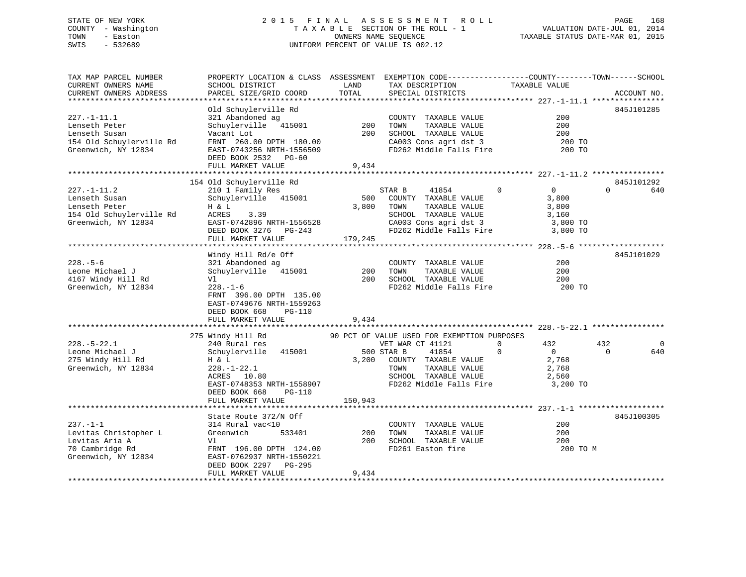## STATE OF NEW YORK 2 0 1 5 F I N A L A S S E S S M E N T R O L L PAGE 168 COUNTY - Washington T A X A B L E SECTION OF THE ROLL - 1 VALUATION DATE-JUL 01, 2014 TOWN - Easton **CONNERS NAME SEQUENCE** TAXABLE STATUS DATE-MAR 01, 2015 SWIS - 532689 UNIFORM PERCENT OF VALUE IS 002.12

| TAX MAP PARCEL NUMBER<br>CURRENT OWNERS NAME                                                                             | PROPERTY LOCATION & CLASS ASSESSMENT EXEMPTION CODE---------------COUNTY-------TOWN-----SCHOOL<br>SCHOOL DISTRICT                                                                                             | LAND                  | TAX DESCRIPTION                                                                                                                                                     | TAXABLE VALUE                                                   |                                    |
|--------------------------------------------------------------------------------------------------------------------------|---------------------------------------------------------------------------------------------------------------------------------------------------------------------------------------------------------------|-----------------------|---------------------------------------------------------------------------------------------------------------------------------------------------------------------|-----------------------------------------------------------------|------------------------------------|
| CURRENT OWNERS ADDRESS                                                                                                   | PARCEL SIZE/GRID COORD                                                                                                                                                                                        | TOTAL                 | SPECIAL DISTRICTS                                                                                                                                                   |                                                                 | ACCOUNT NO.                        |
|                                                                                                                          |                                                                                                                                                                                                               |                       |                                                                                                                                                                     |                                                                 |                                    |
| $227. - 1 - 11.1$<br>$221. - 1 - 1$<br>Lenseth Peter<br>Lenseth Susan<br>154 Old Schuylerville Rd<br>Greenwich, NY 12834 | Old Schuylerville Rd<br>321 Abandoned ag<br>Schuylerville 415001 200<br>Vacant Lot<br>FRNT 260.00 DPTH 180.00<br>EAST-0743256 NRTH-1556509<br>DEED BOOK 2532 PG-60<br>FULL MARKET VALUE                       | 200<br>9,434          | COUNTY TAXABLE VALUE<br>TAXABLE VALUE<br>TOWN<br>SCHOOL TAXABLE VALUE<br>CA003 Cons agri dst 3<br>FD262 Middle Falls Fire                                           | 200<br>200<br>200<br>200 TO<br>200 TO                           | 845J101285                         |
|                                                                                                                          |                                                                                                                                                                                                               |                       |                                                                                                                                                                     |                                                                 |                                    |
|                                                                                                                          | 154 Old Schuylerville Rd                                                                                                                                                                                      |                       |                                                                                                                                                                     |                                                                 | 845J101292                         |
| $227. - 1 - 11.2$<br>Lenseth Susan<br>Lenseth Peter<br>154 Old Schuylerville Rd<br>Greenwich, NY 12834                   | 210 1 Family Res<br>Schuylerville 415001<br>H & L<br>ACRES<br>3.39<br>EAST-0742896 NRTH-1556528<br>DEED BOOK 3276 PG-243<br>PEUL MADYER 111111-<br>FULL MARKET VALUE                                          | 3,800 TOWN<br>179,245 | STAR B 41854 0<br>500 COUNTY TAXABLE VALUE<br>TAXABLE VALUE<br>SCHOOL TAXABLE VALUE 3,160<br>CA003 Cons agri dst 3 and 3,800 TO<br>FD262 Middle Falls Fire 3,800 TO | $\overline{0}$<br>3,800<br>3,800                                | $\Omega$<br>640                    |
|                                                                                                                          |                                                                                                                                                                                                               |                       |                                                                                                                                                                     |                                                                 |                                    |
| $228. - 5 - 6$<br>Leone Michael J<br>4167 Windy Hill Rd<br>Greenwich, NY 12834                                           | Windy Hill Rd/e Off<br>321 Abandoned ag<br>Schuylerville 415001 200<br>228.-1-6 200<br>$228. - 1 - 6$<br>FRNT 396.00 DPTH 135.00<br>EAST-0749676 NRTH-1559263<br>DEED BOOK 668<br>PG-110<br>FULL MARKET VALUE | 9,434                 | COUNTY TAXABLE VALUE<br>TOWN<br>TAXABLE VALUE<br>200 SCHOOL TAXABLE VALUE<br>FD262 Middle Falls Fire                                                                | 200<br>200<br>200<br>200 TO                                     | 845J101029                         |
|                                                                                                                          | 275 Windy Hill Rd 90 PCT OF VALUE USED FOR EXEMPTION PURPOSES                                                                                                                                                 |                       |                                                                                                                                                                     |                                                                 |                                    |
| $228. - 5 - 22.1$<br>Leone Michael J<br>275 Windy Hill Rd<br>Greenwich, NY 12834                                         | 240 Rural res<br>Schuylerville 415001<br>H & L<br>228.-1-22.1<br>ACRES 10.80<br>ACRES 10.80<br>EAST-0748353 NRTH-1558907<br>DEED BOOK 668<br>PG-110                                                           | 500 STAR B            | VET WAR CT 41121<br>41854<br>3,200 COUNTY TAXABLE VALUE<br>TAXABLE VALUE<br>TOWN                                                                                    | $\Omega$<br>432<br>$\overline{0}$<br>$\Omega$<br>2,768<br>2,768 | 432<br>$\Omega$<br>$\Omega$<br>640 |
|                                                                                                                          | FULL MARKET VALUE                                                                                                                                                                                             | 150,943               |                                                                                                                                                                     |                                                                 |                                    |
| $237. - 1 - 1$<br>Levitas Christopher L<br>Levitas Aria A<br>70 Cambridge Rd<br>Greenwich, NY 12834                      | State Route 372/N Off<br>314 Rural vac<10<br>533401<br>Greenwich<br>Vl<br>FRNT 196.00 DPTH 124.00<br>EAST-0762937 NRTH-1550221<br>DEED BOOK 2297 PG-295<br>FULL MARKET VALUE                                  | 200<br>200<br>9,434   | COUNTY TAXABLE VALUE<br>TOWN<br>TAXABLE VALUE<br>SCHOOL TAXABLE VALUE<br>FD261 Easton fire                                                                          | 200<br>200<br>200<br>200 TO M                                   | 845J100305                         |
|                                                                                                                          |                                                                                                                                                                                                               |                       |                                                                                                                                                                     |                                                                 |                                    |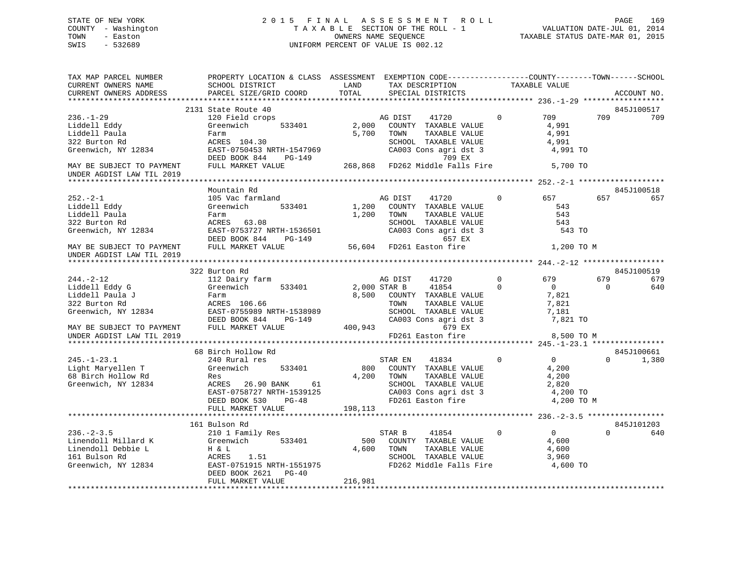## STATE OF NEW YORK 2 0 1 5 F I N A L A S S E S S M E N T R O L L PAGE 169 COUNTY - Washington T A X A B L E SECTION OF THE ROLL - 1 VALUATION DATE-JUL 01, 2014 TOWN - Easton OWNERS NAME SEQUENCE TAXABLE STATUS DATE-MAR 01, 2015 SWIS - 532689 UNIFORM PERCENT OF VALUE IS 002.12

| TAX MAP PARCEL NUMBER<br>CURRENT OWNERS NAME | PROPERTY LOCATION & CLASS ASSESSMENT EXEMPTION CODE----------------COUNTY-------TOWN------SCHOOL<br>SCHOOL DISTRICT                                                                                                                                                                                                                                       | LAND       | TAX DESCRIPTION                               |                | TAXABLE VALUE  |                |             |
|----------------------------------------------|-----------------------------------------------------------------------------------------------------------------------------------------------------------------------------------------------------------------------------------------------------------------------------------------------------------------------------------------------------------|------------|-----------------------------------------------|----------------|----------------|----------------|-------------|
| CURRENT OWNERS ADDRESS                       | PARCEL SIZE/GRID COORD                                                                                                                                                                                                                                                                                                                                    | TOTAL      | SPECIAL DISTRICTS                             |                |                |                | ACCOUNT NO. |
|                                              |                                                                                                                                                                                                                                                                                                                                                           |            |                                               |                |                |                |             |
|                                              | 2131 State Route 40                                                                                                                                                                                                                                                                                                                                       |            |                                               |                |                |                | 845J100517  |
| $236. - 1 - 29$                              | 120 Field crops                                                                                                                                                                                                                                                                                                                                           |            | AG DIST<br>41720                              | $\Omega$       | 709            | 709            | 709         |
| Liddell Eddy                                 | 533401<br>Greenwich                                                                                                                                                                                                                                                                                                                                       |            | 2,000 COUNTY TAXABLE VALUE                    |                | 4,991          |                |             |
| Liddell Paula                                | Farm                                                                                                                                                                                                                                                                                                                                                      | 5,700      | TOWN<br>TAXABLE VALUE                         |                | 4,991          |                |             |
| 322 Burton Rd                                | ACRES 104.30                                                                                                                                                                                                                                                                                                                                              |            | SCHOOL TAXABLE VALUE                          |                | 4,991          |                |             |
| Greenwich, NY 12834                          |                                                                                                                                                                                                                                                                                                                                                           |            |                                               |                |                |                |             |
|                                              |                                                                                                                                                                                                                                                                                                                                                           |            | CA003 Cons agri dst 3<br>709 EX               |                |                |                |             |
| MAY BE SUBJECT TO PAYMENT                    | ACRES 107.50<br>EAST-0750453 NRTH-1547969 (2003 Cons agri dst 3 4,991 TO<br>DEED BOOK 844 PG-149 268,868 FD262 Middle Falls Fire 5,700 TO                                                                                                                                                                                                                 |            |                                               |                |                |                |             |
| UNDER AGDIST LAW TIL 2019                    |                                                                                                                                                                                                                                                                                                                                                           |            |                                               |                |                |                |             |
|                                              |                                                                                                                                                                                                                                                                                                                                                           |            |                                               |                |                |                |             |
|                                              | Mountain Rd                                                                                                                                                                                                                                                                                                                                               |            |                                               |                |                |                | 845J100518  |
| $252 - 2 - 1$                                | 105 Vac farmland                                                                                                                                                                                                                                                                                                                                          |            | AG DIST 41720                                 | $\overline{0}$ | 657 657        |                | 657         |
| Liddell Eddy                                 | Greenwich 533401                                                                                                                                                                                                                                                                                                                                          |            | 1,200 COUNTY TAXABLE VALUE                    |                | 543            |                |             |
| Liddell Paula                                | Farm                                                                                                                                                                                                                                                                                                                                                      |            | TAXABLE VALUE<br>TAXABLE VALUE<br>1,200 TOWN  |                | 543            |                |             |
| 322 Burton Rd                                | ACRES 63.08                                                                                                                                                                                                                                                                                                                                               |            |                                               |                | 543            |                |             |
| Greenwich, NY 12834                          |                                                                                                                                                                                                                                                                                                                                                           |            | SCHOOL TAXABLE VALUE<br>CA003 Cons agri dst 3 |                | 543 TO         |                |             |
|                                              |                                                                                                                                                                                                                                                                                                                                                           |            | 657 EX                                        |                |                |                |             |
|                                              | EAST-0753727 NRTH-1536501 CA003 Cons agri ds<br>DEED BOOK 844 PG-149 657 EX<br>FULL MARKET VALUE 56,604 FD261 Easton fire                                                                                                                                                                                                                                 |            |                                               |                |                |                |             |
| MAY BE SUBJECT TO PAYMENT                    |                                                                                                                                                                                                                                                                                                                                                           |            |                                               |                | 1,200 TO M     |                |             |
| UNDER AGDIST LAW TIL 2019                    |                                                                                                                                                                                                                                                                                                                                                           |            |                                               |                |                |                |             |
|                                              |                                                                                                                                                                                                                                                                                                                                                           |            |                                               |                |                |                | 845J100519  |
|                                              | 322 Burton Rd<br>112 Dairy farm                                                                                                                                                                                                                                                                                                                           |            |                                               | $\mathbf 0$    | 679            | 679            |             |
| $244. - 2 - 12$                              |                                                                                                                                                                                                                                                                                                                                                           |            | AG DIST<br>41720                              |                |                |                | 679         |
| Liddell Eddy G                               | 533401<br>Greenwich                                                                                                                                                                                                                                                                                                                                       |            | 41854<br>2,000 STAR B                         | $\Omega$       | $\overline{0}$ | $\overline{0}$ | 640         |
| Liddell Paula J                              | Farm<br>ACRES 106.66                                                                                                                                                                                                                                                                                                                                      |            | 8,500 COUNTY TAXABLE VALUE                    |                | 7,821          |                |             |
| 322 Burton Rd                                |                                                                                                                                                                                                                                                                                                                                                           |            | TOWN<br>TAXABLE VALUE                         |                | 7,821          |                |             |
| Greenwich, NY 12834                          |                                                                                                                                                                                                                                                                                                                                                           |            |                                               |                |                |                |             |
| MAY BE SUBJECT TO PAYMENT                    | ${\small \begin{tabular}{lcccccc} \texttt{EAST-0755989} & \texttt{NRTH-1538989} & & & & & & \\ \texttt{DEED BOOK 844} & \texttt{PG-149} & & & & & \\ \texttt{DEED BOOK 844} & \texttt{PG-149} & & & & \\ \texttt{FULL MARKET VALUE} & & & & 400,943 & & & \\ \texttt{GAD03 Cons agri dst 3} & & & & 7,821 \texttt{TO} \\ \end{tabular}}$<br>DEED BOOK 844 |            |                                               |                |                |                |             |
|                                              |                                                                                                                                                                                                                                                                                                                                                           |            |                                               |                |                |                |             |
| UNDER AGDIST LAW TIL 2019                    |                                                                                                                                                                                                                                                                                                                                                           |            | FD261 Easton fire                             |                | 8,500 TO M     |                |             |
|                                              |                                                                                                                                                                                                                                                                                                                                                           |            |                                               |                |                |                |             |
|                                              | 68 Birch Hollow Rd                                                                                                                                                                                                                                                                                                                                        |            |                                               |                |                |                | 845J100661  |
| $245. - 1 - 23.1$                            | 240 Rural res                                                                                                                                                                                                                                                                                                                                             |            | 41834 0<br>STAR EN                            |                | $\overline{0}$ |                | 1,380       |
| Light Maryellen T                            | Greenwich<br>533401                                                                                                                                                                                                                                                                                                                                       |            | 800 COUNTY TAXABLE VALUE                      |                | 4,200          |                |             |
| 68 Birch Hollow Rd                           | Res                                                                                                                                                                                                                                                                                                                                                       |            | 4,200 TOWN<br>TAXABLE VALUE                   |                | 4,200          |                |             |
| Greenwich, NY 12834                          | ACRES 26.90 BANK 61                                                                                                                                                                                                                                                                                                                                       |            | SCHOOL TAXABLE VALUE                          |                | 2,820          |                |             |
|                                              | EAST-0758727 NRTH-1539125                                                                                                                                                                                                                                                                                                                                 |            | CA003 Cons agri dst 3                         |                | 4,200 TO       |                |             |
|                                              | DEED BOOK 530 PG-48                                                                                                                                                                                                                                                                                                                                       |            | FD261 Easton fire                             |                | 4,200 TO M     |                |             |
|                                              | FULL MARKET VALUE                                                                                                                                                                                                                                                                                                                                         | 198,113    |                                               |                |                |                |             |
|                                              |                                                                                                                                                                                                                                                                                                                                                           |            |                                               |                |                |                |             |
|                                              | 161 Bulson Rd                                                                                                                                                                                                                                                                                                                                             |            |                                               |                |                |                | 845J101203  |
| $236. -2 - 3.5$                              | 210 1 Family Res                                                                                                                                                                                                                                                                                                                                          |            | 41854 0<br>STAR B                             |                | $\overline{0}$ | $\Omega$       | 640         |
|                                              | Linendoll Millard K<br>Linendoll Debbie L<br>161 Bulson Rd<br>Greenwich, NY 12834<br>26.00 Experience L<br>26.00 Experience L<br>26.00 EAST-0751975<br>26.1.51<br>26.21 PC-40                                                                                                                                                                             |            | 500 COUNTY TAXABLE VALUE                      |                | 4,600          |                |             |
|                                              |                                                                                                                                                                                                                                                                                                                                                           | 4,600 TOWN | TAXABLE VALUE                                 |                | 4,600          |                |             |
|                                              |                                                                                                                                                                                                                                                                                                                                                           |            | SCHOOL TAXABLE VALUE                          |                | 3,960          |                |             |
|                                              |                                                                                                                                                                                                                                                                                                                                                           |            | FD262 Middle Falls Fire 4,600 TO              |                |                |                |             |
|                                              | DEED BOOK 2621 PG-40                                                                                                                                                                                                                                                                                                                                      |            |                                               |                |                |                |             |
|                                              | FULL MARKET VALUE                                                                                                                                                                                                                                                                                                                                         | 216,981    |                                               |                |                |                |             |
|                                              |                                                                                                                                                                                                                                                                                                                                                           |            |                                               |                |                |                |             |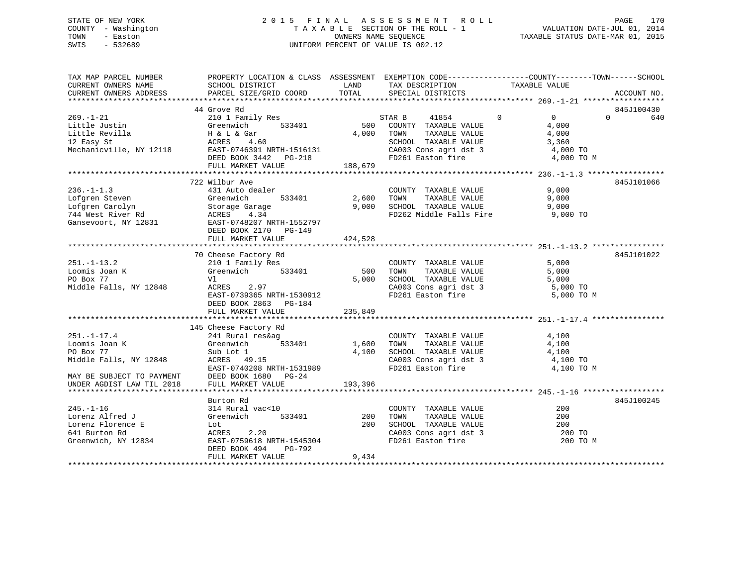## STATE OF NEW YORK 2 0 1 5 F I N A L A S S E S S M E N T R O L L PAGE 170 COUNTY - Washington T A X A B L E SECTION OF THE ROLL - 1 VALUATION DATE-JUL 01, 2014 TOWN - Easton OWNERS NAME SEQUENCE TAXABLE STATUS DATE-MAR 01, 2015 SWIS - 532689 UNIFORM PERCENT OF VALUE IS 002.12

| TAX MAP PARCEL NUMBER<br>CURRENT OWNERS NAME<br>CURRENT OWNERS ADDRESS  | PROPERTY LOCATION & CLASS ASSESSMENT EXEMPTION CODE----------------COUNTY-------TOWN------SCHOOL<br>SCHOOL DISTRICT<br>PARCEL SIZE/GRID COORD                                                                                                                  |         | $\begin{tabular}{ll} \multicolumn{2}{c}{\begin{tabular}{l} \multicolumn{2}{c}{\multicolumn{2}{c}{\textbf{0.65} \put(0,0){\hspace{0.4cm}}}\end{tabular}} \put(0,0){\hspace{0.4cm}} \multicolumn{2}{c}{\begin{tabular}{l} \multicolumn{2}{c}{\textbf{0.67} \put(0,0){\hspace{0.4cm}}}\end{tabular}} \end{tabular}} \end{tabular}} \begin{tabular}{ll} \multicolumn{2}{c}{\textbf{0.67} \put(0,0){\hspace{0.4cm}}\end{tabular}} \end{tabular}} \begin{tabular}{ll$<br>LAND TAX DESCRIPTION |                                                                | ACCOUNT NO.  |
|-------------------------------------------------------------------------|----------------------------------------------------------------------------------------------------------------------------------------------------------------------------------------------------------------------------------------------------------------|---------|-----------------------------------------------------------------------------------------------------------------------------------------------------------------------------------------------------------------------------------------------------------------------------------------------------------------------------------------------------------------------------------------------------------------------------------------------------------------------------------------|----------------------------------------------------------------|--------------|
|                                                                         |                                                                                                                                                                                                                                                                |         |                                                                                                                                                                                                                                                                                                                                                                                                                                                                                         |                                                                |              |
|                                                                         | 44 Grove Rd                                                                                                                                                                                                                                                    |         |                                                                                                                                                                                                                                                                                                                                                                                                                                                                                         |                                                                | 845J100430   |
|                                                                         | 44 Grove Rd<br>210 1 210 210 1 210 1 210 210 2269.-1-21<br>210 210 210 2269.-1-21<br>22 Easy St<br>22 Easy St<br>22 Easy St<br>22 Easy St<br>23 ACRES<br>23 ACRES<br>23 ACRES<br>23 ACRES<br>23 ACRES<br>23 ACRES<br>23 ACRES<br>23 ACRES<br>23 ACRES<br>24 AC |         |                                                                                                                                                                                                                                                                                                                                                                                                                                                                                         |                                                                | $0 \t\t 640$ |
|                                                                         |                                                                                                                                                                                                                                                                |         |                                                                                                                                                                                                                                                                                                                                                                                                                                                                                         |                                                                |              |
|                                                                         |                                                                                                                                                                                                                                                                |         |                                                                                                                                                                                                                                                                                                                                                                                                                                                                                         |                                                                |              |
|                                                                         |                                                                                                                                                                                                                                                                |         |                                                                                                                                                                                                                                                                                                                                                                                                                                                                                         |                                                                |              |
|                                                                         |                                                                                                                                                                                                                                                                |         |                                                                                                                                                                                                                                                                                                                                                                                                                                                                                         | CA003 Cons agri dst 3 4,000 TO<br>FD261 Easton fire 4,000 TO M |              |
|                                                                         | FULL MARKET VALUE                                                                                                                                                                                                                                              | 188,679 |                                                                                                                                                                                                                                                                                                                                                                                                                                                                                         |                                                                |              |
|                                                                         |                                                                                                                                                                                                                                                                |         |                                                                                                                                                                                                                                                                                                                                                                                                                                                                                         |                                                                |              |
|                                                                         | 722 Wilbur Ave                                                                                                                                                                                                                                                 |         |                                                                                                                                                                                                                                                                                                                                                                                                                                                                                         |                                                                | 845J101066   |
|                                                                         |                                                                                                                                                                                                                                                                |         |                                                                                                                                                                                                                                                                                                                                                                                                                                                                                         |                                                                |              |
|                                                                         |                                                                                                                                                                                                                                                                |         |                                                                                                                                                                                                                                                                                                                                                                                                                                                                                         |                                                                |              |
|                                                                         |                                                                                                                                                                                                                                                                |         |                                                                                                                                                                                                                                                                                                                                                                                                                                                                                         |                                                                |              |
|                                                                         |                                                                                                                                                                                                                                                                |         | FD262 Middle Falls Fire 9,000 TO                                                                                                                                                                                                                                                                                                                                                                                                                                                        |                                                                |              |
|                                                                         |                                                                                                                                                                                                                                                                |         |                                                                                                                                                                                                                                                                                                                                                                                                                                                                                         |                                                                |              |
|                                                                         |                                                                                                                                                                                                                                                                |         |                                                                                                                                                                                                                                                                                                                                                                                                                                                                                         |                                                                |              |
|                                                                         | FULL MARKET VALUE                                                                                                                                                                                                                                              | 424,528 |                                                                                                                                                                                                                                                                                                                                                                                                                                                                                         |                                                                |              |
|                                                                         |                                                                                                                                                                                                                                                                |         |                                                                                                                                                                                                                                                                                                                                                                                                                                                                                         |                                                                |              |
|                                                                         | 70 Cheese Factory Rd                                                                                                                                                                                                                                           |         |                                                                                                                                                                                                                                                                                                                                                                                                                                                                                         |                                                                | 845J101022   |
|                                                                         |                                                                                                                                                                                                                                                                |         |                                                                                                                                                                                                                                                                                                                                                                                                                                                                                         |                                                                |              |
|                                                                         |                                                                                                                                                                                                                                                                |         |                                                                                                                                                                                                                                                                                                                                                                                                                                                                                         |                                                                |              |
|                                                                         |                                                                                                                                                                                                                                                                |         |                                                                                                                                                                                                                                                                                                                                                                                                                                                                                         |                                                                |              |
|                                                                         | EAST-0739365 NRTH-1530912                                                                                                                                                                                                                                      |         |                                                                                                                                                                                                                                                                                                                                                                                                                                                                                         | CA003 Cons agri dst 3 5,000 TO<br>FD261 Easton fire 5,000 TO M |              |
|                                                                         | DEED BOOK 2863 PG-184                                                                                                                                                                                                                                          |         |                                                                                                                                                                                                                                                                                                                                                                                                                                                                                         |                                                                |              |
|                                                                         | FULL MARKET VALUE                                                                                                                                                                                                                                              | 235,849 |                                                                                                                                                                                                                                                                                                                                                                                                                                                                                         |                                                                |              |
|                                                                         |                                                                                                                                                                                                                                                                |         |                                                                                                                                                                                                                                                                                                                                                                                                                                                                                         |                                                                |              |
|                                                                         | 145 Cheese Factory Rd                                                                                                                                                                                                                                          |         |                                                                                                                                                                                                                                                                                                                                                                                                                                                                                         |                                                                |              |
| $251. -1 - 17.4$                                                        | 241 Rural res&ag COUNTY<br>Greenwich 533401 1,600 TOWN                                                                                                                                                                                                         |         | $\begin{tabular}{lllllllllll} \multicolumn{2}{c}{\textbf{COUNTY}} & \textbf{TXABLE VALUE} & & & & 4,100 \\ \multicolumn{2}{c}{\textbf{TONN}} & \textbf{TXABLE VALUE} & & & 4,100 \\ \end{tabular}$                                                                                                                                                                                                                                                                                      |                                                                |              |
| 251.-1-17.4 241 Rural<br>Loomis Joan K Greenwich<br>PO Box 77 Sub Lot 1 |                                                                                                                                                                                                                                                                |         |                                                                                                                                                                                                                                                                                                                                                                                                                                                                                         |                                                                |              |
|                                                                         |                                                                                                                                                                                                                                                                |         |                                                                                                                                                                                                                                                                                                                                                                                                                                                                                         |                                                                |              |
| Middle Falls, NY 12848                                                  |                                                                                                                                                                                                                                                                |         |                                                                                                                                                                                                                                                                                                                                                                                                                                                                                         |                                                                |              |
|                                                                         | Sub Lot 1<br>ACRES 49.15<br>EAST-0740208 NRTH-1531989<br>EAST-0740208 NRTH-1531989<br>EAST-0740208 NRTH-1531989<br>FD261 Easton fire 4,100 TO<br>EAST-0740208 NRTH-1531989<br>EAST-0740208 NRTH-1531989<br>MAY BE SUBJECT TO PAYMENT DEED BOOK 1680 PG-24      |         |                                                                                                                                                                                                                                                                                                                                                                                                                                                                                         | 4,100 TO M                                                     |              |
|                                                                         |                                                                                                                                                                                                                                                                |         |                                                                                                                                                                                                                                                                                                                                                                                                                                                                                         |                                                                |              |
| UNDER AGDIST LAW TIL 2018                                               | FULL MARKET VALUE 193,396                                                                                                                                                                                                                                      |         |                                                                                                                                                                                                                                                                                                                                                                                                                                                                                         |                                                                |              |
|                                                                         |                                                                                                                                                                                                                                                                |         |                                                                                                                                                                                                                                                                                                                                                                                                                                                                                         |                                                                |              |
| $245. - 1 - 16$                                                         | Burton Rd                                                                                                                                                                                                                                                      |         |                                                                                                                                                                                                                                                                                                                                                                                                                                                                                         | 200                                                            | 845J100245   |
|                                                                         |                                                                                                                                                                                                                                                                |         | COUNTY TAXABLE VALUE                                                                                                                                                                                                                                                                                                                                                                                                                                                                    |                                                                |              |
| Lorenz Alfred J                                                         | 314 Rural vac<10<br>Greenwich 533401 200<br>Lot                                                                                                                                                                                                                |         | TAXABLE VALUE<br>TOWN                                                                                                                                                                                                                                                                                                                                                                                                                                                                   | 200                                                            |              |
|                                                                         |                                                                                                                                                                                                                                                                |         | 200 SCHOOL TAXABLE VALUE 200 200 CA003 Cons agri dst 3 200 70                                                                                                                                                                                                                                                                                                                                                                                                                           |                                                                |              |
|                                                                         |                                                                                                                                                                                                                                                                |         | FD261 Easton fire                                                                                                                                                                                                                                                                                                                                                                                                                                                                       | 200 TO M                                                       |              |
|                                                                         | DEED BOOK 494<br>PG-792                                                                                                                                                                                                                                        |         |                                                                                                                                                                                                                                                                                                                                                                                                                                                                                         |                                                                |              |
|                                                                         | FULL MARKET VALUE                                                                                                                                                                                                                                              | 9,434   |                                                                                                                                                                                                                                                                                                                                                                                                                                                                                         |                                                                |              |
|                                                                         |                                                                                                                                                                                                                                                                |         |                                                                                                                                                                                                                                                                                                                                                                                                                                                                                         |                                                                |              |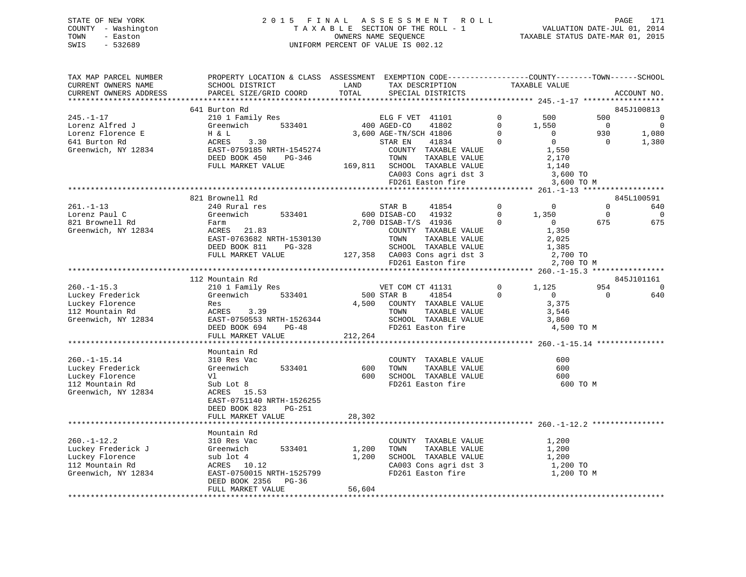| STATE OF NEW YORK   | 2015 FINAL ASSESSMENT ROLL         | 171<br>PAGE                      |
|---------------------|------------------------------------|----------------------------------|
| COUNTY - Washington | TAXABLE SECTION OF THE ROLL - 1    | VALUATION DATE-JUL 01, 2014      |
| TOWN<br>- Easton    | OWNERS NAME SEOUENCE               | TAXABLE STATUS DATE-MAR 01, 2015 |
| SWIS<br>- 532689    | UNIFORM PERCENT OF VALUE IS 002.12 |                                  |

| TAX MAP PARCEL NUMBER  | PROPERTY LOCATION & CLASS ASSESSMENT EXEMPTION CODE----------------COUNTY-------TOWN------SCHOOL |                          |                                                            |                |                                                |                |                          |
|------------------------|--------------------------------------------------------------------------------------------------|--------------------------|------------------------------------------------------------|----------------|------------------------------------------------|----------------|--------------------------|
| CURRENT OWNERS NAME    | SCHOOL DISTRICT                                                                                  | LAND                     | TAX DESCRIPTION                                            |                | TAXABLE VALUE                                  |                |                          |
| CURRENT OWNERS ADDRESS | PARCEL SIZE/GRID COORD                                                                           | TOTAL                    | SPECIAL DISTRICTS                                          |                |                                                |                | ACCOUNT NO.              |
|                        | *********************                                                                            | ************************ |                                                            |                | **************** 245.-1-17 ******************* |                |                          |
|                        | 641 Burton Rd                                                                                    |                          |                                                            |                |                                                |                | 845J100813               |
| $245. - 1 - 17$        | 210 1 Family Res                                                                                 |                          | ELG F VET 41101                                            | $\Omega$       | 500                                            | 500            | $\overline{\phantom{0}}$ |
| Lorenz Alfred J        | 533401<br>Greenwich                                                                              |                          | 400 AGED-CO<br>41802                                       | $\Omega$       | 1,550                                          | $\overline{0}$ | $\overline{0}$           |
| Lorenz Florence E      | H & L                                                                                            |                          | 3,600 AGE-TN/SCH 41806                                     | $\Omega$       | $\overline{0}$                                 | 930            | 1,080                    |
| 641 Burton Rd          | ACRES<br>3.30                                                                                    |                          | STAR EN<br>41834                                           | $\mathbf{0}$   | $\overline{0}$                                 | $\overline{0}$ | 1,380                    |
| Greenwich, NY 12834    | EAST-0759185 NRTH-1545274                                                                        |                          | COUNTY TAXABLE VALUE                                       |                | 1,550                                          |                |                          |
|                        | PG-346<br>DEED BOOK 450                                                                          |                          | TOWN<br>TAXABLE VALUE                                      |                | 2,170                                          |                |                          |
|                        | FULL MARKET VALUE                                                                                |                          | 169,811 SCHOOL TAXABLE VALUE                               |                | 1,140                                          |                |                          |
|                        |                                                                                                  |                          |                                                            |                |                                                |                |                          |
|                        |                                                                                                  |                          | CA003 Cons agri dst 3                                      |                | 3,600 TO                                       |                |                          |
|                        |                                                                                                  |                          | FD261 Easton fire                                          |                | 3,600 TO M                                     |                |                          |
|                        |                                                                                                  |                          |                                                            |                |                                                |                |                          |
|                        | 821 Brownell Rd                                                                                  |                          |                                                            |                |                                                |                | 845L100591               |
| $261. - 1 - 13$        | 240 Rural res                                                                                    |                          | STAR B<br>41854                                            | $\overline{0}$ | $\overline{0}$                                 | $\overline{0}$ | 640                      |
| Lorenz Paul C          | 533401<br>Greenwich                                                                              |                          | 600 DISAB-CO 41932                                         | $\Omega$       | 1,350                                          | $\overline{0}$ | $\Omega$                 |
| 821 Brownell Rd        | Farm                                                                                             |                          | 2,700 DISAB-T/S 41936                                      | $\Omega$       | $\Omega$                                       | 675            | 675                      |
| Greenwich, NY 12834    | ACRES 21.83                                                                                      |                          | COUNTY TAXABLE VALUE                                       |                | 1,350                                          |                |                          |
|                        | EAST-0763682 NRTH-1530130                                                                        |                          | TOWN<br>TAXABLE VALUE                                      |                | 2,025                                          |                |                          |
|                        | DEED BOOK 811<br>PG-328                                                                          |                          | SCHOOL TAXABLE VALUE                                       |                | 1,385                                          |                |                          |
|                        | FULL MARKET VALUE                                                                                |                          | 127,358 CA003 Cons agri dst 3                              |                | 2,700 TO                                       |                |                          |
|                        |                                                                                                  |                          | FD261 Easton fire                                          |                | 2,700 TO M                                     |                |                          |
|                        |                                                                                                  |                          |                                                            |                |                                                |                |                          |
|                        | 112 Mountain Rd                                                                                  |                          |                                                            |                |                                                |                | 845J101161               |
| $260. -1 - 15.3$       | 210 1 Family Res                                                                                 |                          | VET COM CT 41131                                           | $\mathsf{O}$   | 1,125                                          | 954            | $\overline{0}$           |
| Luckey Frederick       | Greenwich<br>533401                                                                              |                          | 500 STAR B<br>41854                                        | $\Omega$       | $\overline{0}$                                 | $\Omega$       | 640                      |
| Luckey Florence        | Res                                                                                              |                          | 4,500 COUNTY TAXABLE VALUE                                 |                | 3,375                                          |                |                          |
| 112 Mountain Rd        | 3.39<br>ACRES                                                                                    |                          | TOWN<br>TAXABLE VALUE                                      |                | 3,546                                          |                |                          |
| Greenwich, NY 12834    | EAST-0750553 NRTH-1526344                                                                        |                          | SCHOOL TAXABLE VALUE                                       |                | 3,860                                          |                |                          |
|                        | DEED BOOK 694<br>$PG-48$                                                                         |                          | FD261 Easton fire                                          |                | 4,500 TO M                                     |                |                          |
|                        | FULL MARKET VALUE                                                                                | 212,264                  |                                                            |                |                                                |                |                          |
|                        |                                                                                                  |                          |                                                            |                |                                                |                |                          |
|                        | Mountain Rd                                                                                      |                          |                                                            |                |                                                |                |                          |
|                        |                                                                                                  |                          |                                                            |                |                                                |                |                          |
| $260. -1 - 15.14$      | 310 Res Vac                                                                                      |                          | COUNTY TAXABLE VALUE                                       |                | 600                                            |                |                          |
| Luckey Frederick       | 533401<br>Greenwich                                                                              | 600                      | TAXABLE VALUE<br>TOWN                                      |                | 600                                            |                |                          |
| Luckey Florence        | Vl                                                                                               | 600                      | SCHOOL TAXABLE VALUE                                       |                | 600                                            |                |                          |
| 112 Mountain Rd        | Sub Lot 8                                                                                        |                          | FD261 Easton fire                                          |                | 600 TO M                                       |                |                          |
| Greenwich, NY 12834    | ACRES 15.53                                                                                      |                          |                                                            |                |                                                |                |                          |
|                        | EAST-0751140 NRTH-1526255                                                                        |                          |                                                            |                |                                                |                |                          |
|                        | DEED BOOK 823<br>PG-251                                                                          |                          |                                                            |                |                                                |                |                          |
|                        | FULL MARKET VALUE                                                                                | 28,302                   |                                                            |                |                                                |                |                          |
|                        | ************************                                                                         | ************             | *************************************260.-1-12.2 ********* |                |                                                |                |                          |
|                        | Mountain Rd                                                                                      |                          |                                                            |                |                                                |                |                          |
| $260. - 1 - 12.2$      | 310 Res Vac                                                                                      |                          | COUNTY TAXABLE VALUE                                       |                | 1,200                                          |                |                          |
| Luckey Frederick J     | 533401<br>Greenwich                                                                              | 1,200                    | TOWN<br>TAXABLE VALUE                                      |                | 1,200                                          |                |                          |
| Luckey Florence        | sub lot 4                                                                                        | 1,200                    | SCHOOL TAXABLE VALUE                                       |                | 1,200                                          |                |                          |
| 112 Mountain Rd        | ACRES 10.12                                                                                      |                          | CA003 Cons agri dst 3                                      |                | 1,200 TO                                       |                |                          |
| Greenwich, NY 12834    | EAST-0750015 NRTH-1525799                                                                        |                          | FD261 Easton fire                                          |                | 1,200 TO M                                     |                |                          |
|                        | DEED BOOK 2356 PG-36                                                                             |                          |                                                            |                |                                                |                |                          |
|                        | FULL MARKET VALUE                                                                                | 56,604                   |                                                            |                |                                                |                |                          |
|                        |                                                                                                  |                          |                                                            |                |                                                |                |                          |
|                        |                                                                                                  |                          |                                                            |                |                                                |                |                          |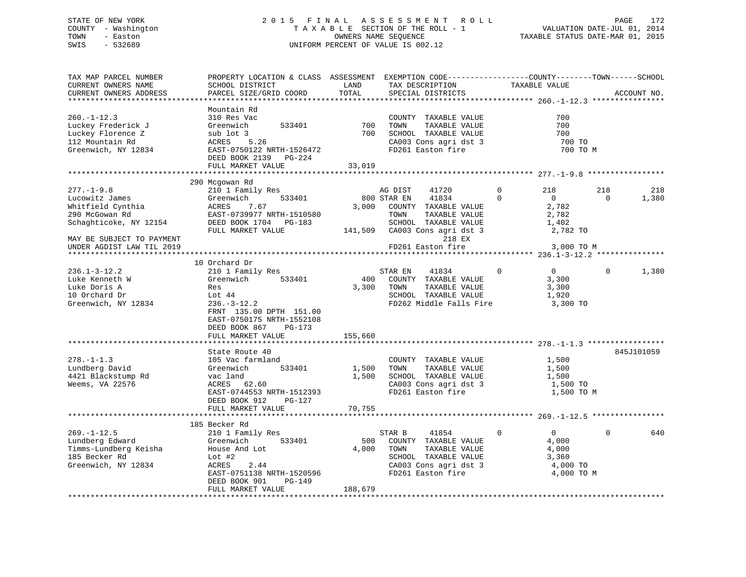## STATE OF NEW YORK 2 0 1 5 F I N A L A S S E S S M E N T R O L L PAGE 172 COUNTY - Washington T A X A B L E SECTION OF THE ROLL - 1 VALUATION DATE-JUL 01, 2014 TOWN - Easton OWNERS NAME SEQUENCE TAXABLE STATUS DATE-MAR 01, 2015 SWIS - 532689 UNIFORM PERCENT OF VALUE IS 002.12

| TAX MAP PARCEL NUMBER     | PROPERTY LOCATION & CLASS ASSESSMENT EXEMPTION CODE----------------COUNTY-------TOWN------SCHOOL |         |                               |             |                |          |             |
|---------------------------|--------------------------------------------------------------------------------------------------|---------|-------------------------------|-------------|----------------|----------|-------------|
| CURRENT OWNERS NAME       | SCHOOL DISTRICT                                                                                  | LAND    | TAX DESCRIPTION               |             | TAXABLE VALUE  |          |             |
| CURRENT OWNERS ADDRESS    | PARCEL SIZE/GRID COORD                                                                           | TOTAL   | SPECIAL DISTRICTS             |             |                |          | ACCOUNT NO. |
|                           |                                                                                                  |         |                               |             |                |          |             |
|                           | Mountain Rd                                                                                      |         |                               |             |                |          |             |
| $260. -1 - 12.3$          | 310 Res Vac                                                                                      |         | COUNTY TAXABLE VALUE          |             | 700            |          |             |
| Luckey Frederick J        | Greenwich<br>533401                                                                              | 700     | TAXABLE VALUE<br>TOWN         |             | 700            |          |             |
| Luckey Florence Z         | sub lot 3                                                                                        | 700     | SCHOOL TAXABLE VALUE          |             | 700            |          |             |
| 112 Mountain Rd           | 5.26<br>ACRES                                                                                    |         | CA003 Cons agri dst 3         |             | 700 TO         |          |             |
| Greenwich, NY 12834       | EAST-0750122 NRTH-1526472                                                                        |         | FD261 Easton fire             |             | 700 TO M       |          |             |
|                           | DEED BOOK 2139 PG-224                                                                            |         |                               |             |                |          |             |
|                           | FULL MARKET VALUE                                                                                | 33,019  |                               |             |                |          |             |
|                           |                                                                                                  |         |                               |             |                |          |             |
|                           | 290 Mcgowan Rd                                                                                   |         |                               |             |                |          |             |
| $277. - 1 - 9.8$          | 210 1 Family Res                                                                                 |         | AG DIST<br>41720              | $\mathbf 0$ | 218            | 218      | 218         |
| Lucowitz James            | 533401<br>Greenwich                                                                              |         | 800 STAR EN<br>41834          | $\Omega$    | $\overline{0}$ | $\Omega$ | 1,380       |
| Whitfield Cynthia         | ACRES<br>7.67                                                                                    |         | 3,000 COUNTY TAXABLE VALUE    |             | 2,782          |          |             |
| 290 McGowan Rd            | EAST-0739977 NRTH-1510580                                                                        |         | TOWN<br>TAXABLE VALUE         |             | 2,782          |          |             |
|                           |                                                                                                  |         |                               |             |                |          |             |
| Schaghticoke, NY 12154    | DEED BOOK 1704 PG-183                                                                            |         | SCHOOL TAXABLE VALUE          |             | 1,402          |          |             |
|                           | FULL MARKET VALUE                                                                                |         | 141,509 CA003 Cons agri dst 3 |             | 2,782 TO       |          |             |
| MAY BE SUBJECT TO PAYMENT |                                                                                                  |         | 218 EX                        |             |                |          |             |
| UNDER AGDIST LAW TIL 2019 |                                                                                                  |         | FD261 Easton fire             |             | 3,000 TO M     |          |             |
|                           |                                                                                                  |         |                               |             |                |          |             |
|                           | 10 Orchard Dr                                                                                    |         |                               |             |                |          |             |
| $236.1 - 3 - 12.2$        | 210 1 Family Res                                                                                 |         | STAR EN<br>41834              | $\Omega$    | $\overline{0}$ | $\Omega$ | 1,380       |
| Luke Kenneth W            | 533401<br>Greenwich                                                                              | 400     | COUNTY TAXABLE VALUE          |             | 3,300          |          |             |
| Luke Doris A              | Res                                                                                              | 3,300   | TAXABLE VALUE<br>TOWN         |             | 3,300          |          |             |
| 10 Orchard Dr             | Lot 44                                                                                           |         | SCHOOL TAXABLE VALUE          |             | 1,920          |          |             |
| Greenwich, NY 12834       | $236. - 3 - 12.2$                                                                                |         | FD262 Middle Falls Fire       |             | 3,300 TO       |          |             |
|                           | FRNT 135.00 DPTH 151.00                                                                          |         |                               |             |                |          |             |
|                           | EAST-0750175 NRTH-1552108                                                                        |         |                               |             |                |          |             |
|                           | DEED BOOK 867<br>PG-173                                                                          |         |                               |             |                |          |             |
|                           | FULL MARKET VALUE                                                                                | 155,660 |                               |             |                |          |             |
|                           |                                                                                                  |         |                               |             |                |          |             |
|                           | State Route 40                                                                                   |         |                               |             |                |          | 845J101059  |
| $278. - 1 - 1.3$          | 105 Vac farmland                                                                                 |         | COUNTY TAXABLE VALUE          |             | 1,500          |          |             |
| Lundberg David            | 533401<br>Greenwich                                                                              | 1,500   | TOWN<br>TAXABLE VALUE         |             | 1,500          |          |             |
| 4421 Blackstump Rd        | vac land                                                                                         | 1,500   | SCHOOL TAXABLE VALUE          |             | 1,500          |          |             |
| Weems, VA 22576           | ACRES<br>62.60                                                                                   |         | CA003 Cons agri dst 3         |             | 1,500 TO       |          |             |
|                           | EAST-0744553 NRTH-1512393                                                                        |         | FD261 Easton fire             |             | 1,500 TO M     |          |             |
|                           | DEED BOOK 912<br>PG-127                                                                          |         |                               |             |                |          |             |
|                           | FULL MARKET VALUE                                                                                | 70,755  |                               |             |                |          |             |
|                           |                                                                                                  |         |                               |             |                |          |             |
|                           | 185 Becker Rd                                                                                    |         |                               |             |                |          |             |
| $269. - 1 - 12.5$         |                                                                                                  |         | 41854                         | $\mathbf 0$ | $\overline{0}$ | $\Omega$ | 640         |
|                           | 210 1 Family Res                                                                                 |         | STAR B                        |             |                |          |             |
| Lundberg Edward           | Greenwich<br>533401                                                                              | 500     | COUNTY TAXABLE VALUE          |             | 4,000          |          |             |
| Timms-Lundberg Keisha     | House And Lot                                                                                    | 4,000   | TAXABLE VALUE<br>TOWN         |             | 4,000          |          |             |
| 185 Becker Rd             | Lot $#2$                                                                                         |         | SCHOOL TAXABLE VALUE          |             | 3,360          |          |             |
| Greenwich, NY 12834       | 2.44<br>ACRES                                                                                    |         | CA003 Cons agri dst 3         |             | 4,000 TO       |          |             |
|                           | EAST-0751138 NRTH-1520596                                                                        |         | FD261 Easton fire             |             | 4,000 TO M     |          |             |
|                           | DEED BOOK 901<br>PG-149                                                                          |         |                               |             |                |          |             |
|                           | FULL MARKET VALUE                                                                                | 188,679 |                               |             |                |          |             |
|                           |                                                                                                  |         |                               |             |                |          |             |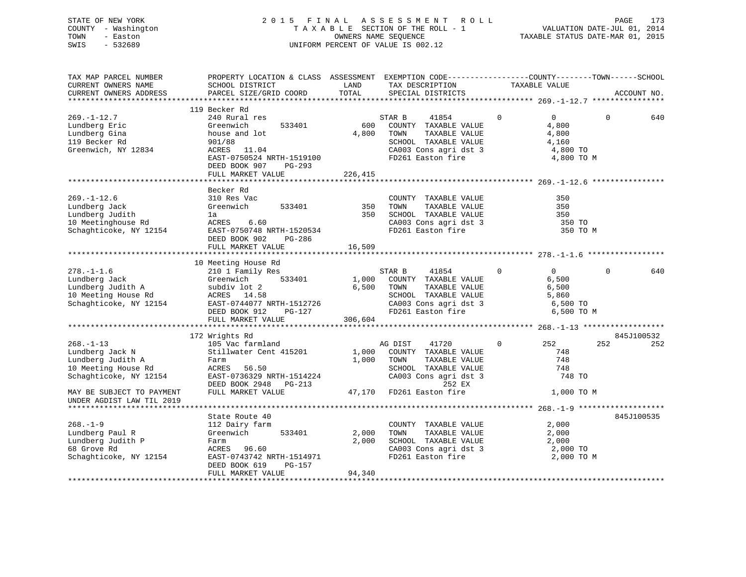## STATE OF NEW YORK 2 0 1 5 F I N A L A S S E S S M E N T R O L L PAGE 173 COUNTY - Washington T A X A B L E SECTION OF THE ROLL - 1 VALUATION DATE-JUL 01, 2014 TOWN - Easton OWNERS NAME SEQUENCE TAXABLE STATUS DATE-MAR 01, 2015 SWIS - 532689 UNIFORM PERCENT OF VALUE IS 002.12

| TAX MAP PARCEL NUMBER<br>CURRENT OWNERS NAME<br>CURRENT OWNERS ADDRESS                                                                          | PROPERTY LOCATION & CLASS ASSESSMENT EXEMPTION CODE---------------COUNTY-------TOWN-----SCHOOL<br>SCHOOL DISTRICT<br>PARCEL SIZE/GRID COORD             | LAND<br>TOTAL           | TAX DESCRIPTION<br>SPECIAL DISTRICTS                                                                                                          | TAXABLE VALUE                                                                      |          | ACCOUNT NO.       |
|-------------------------------------------------------------------------------------------------------------------------------------------------|---------------------------------------------------------------------------------------------------------------------------------------------------------|-------------------------|-----------------------------------------------------------------------------------------------------------------------------------------------|------------------------------------------------------------------------------------|----------|-------------------|
| $269. - 1 - 12.7$<br>Lundberg Eric<br>Lundberg Gina<br>119 Becker Rd<br>Greenwich, NY 12834                                                     | 119 Becker Rd<br>240 Rural res<br>Greenwich<br>533401<br>house and lot<br>901/88<br>ACRES 11.04<br>EAST-0750524 NRTH-1519100<br>DEED BOOK 907<br>PG-293 | 600<br>4,800<br>226,415 | 41854<br>STAR B<br>COUNTY TAXABLE VALUE<br>TOWN<br>TAXABLE VALUE<br>SCHOOL TAXABLE VALUE<br>CA003 Cons agri dst 3<br>FD261 Easton fire        | $\mathbf 0$<br>$\overline{0}$<br>4,800<br>4,800<br>4,160<br>4,800 TO<br>4,800 TO M | $\Omega$ | 640               |
|                                                                                                                                                 | FULL MARKET VALUE                                                                                                                                       |                         |                                                                                                                                               |                                                                                    |          |                   |
| $269. - 1 - 12.6$<br>Lundberg Jack<br>Lundberg Judith<br>10 Meetinghouse Rd<br>Schaghticoke, NY 12154                                           | Becker Rd<br>310 Res Vac<br>Greenwich<br>533401<br>la<br>ACRES<br>6.60<br>EAST-0750748 NRTH-1520534<br>PG-286<br>DEED BOOK 902<br>FULL MARKET VALUE     | 350<br>350<br>16,509    | COUNTY TAXABLE VALUE<br>TAXABLE VALUE<br>TOWN<br>SCHOOL TAXABLE VALUE<br>CA003 Cons agri dst 3<br>FD261 Easton fire                           | 350<br>350<br>350<br>350 TO<br>350 TO M                                            |          |                   |
|                                                                                                                                                 |                                                                                                                                                         |                         |                                                                                                                                               |                                                                                    |          |                   |
| $278. - 1 - 1.6$<br>Lundberg Jack<br>Lundberg Judith A<br>10 Meeting House Rd<br>Schaghticoke, NY 12154                                         | 10 Meeting House Rd<br>210 1 Family Res<br>533401<br>Greenwich<br>subdiv lot 2<br>ACRES 14.58<br>EAST-0744077 NRTH-1512726<br>DEED BOOK 912<br>PG-127   | 6,500 TOWN              | STAR B<br>41854<br>1,000 COUNTY TAXABLE VALUE<br>TAXABLE VALUE<br>SCHOOL TAXABLE VALUE<br>CA003 Cons agri dst 3 6,500 TO<br>FD261 Easton fire | $\Omega$<br>$\overline{0}$<br>6,500<br>6,500<br>5,860<br>6,500 TO M                | $\Omega$ | 640               |
|                                                                                                                                                 | FULL MARKET VALUE                                                                                                                                       | 306,604                 |                                                                                                                                               |                                                                                    |          |                   |
| $268. - 1 - 13$                                                                                                                                 | 172 Wrights Rd<br>105 Vac farmland                                                                                                                      |                         | AG DIST<br>41720                                                                                                                              | 252<br>$\mathbf{0}$                                                                | 252      | 845J100532<br>252 |
| Lundberg Jack N<br>Lundberg Judith A<br>10 Meeting House Rd<br>Schaghticoke, NY 12154<br>MAY BE SUBJECT TO PAYMENT<br>UNDER AGDIST LAW TIL 2019 | Stillwater Cent 415201<br>Farm<br>ACRES 56.50<br>EAST-0736329 NRTH-1514224<br>DEED BOOK 2948 PG-213<br>FULL MARKET VALUE                                | 1,000<br>1,000          | COUNTY TAXABLE VALUE<br>TOWN<br>TAXABLE VALUE<br>SCHOOL TAXABLE VALUE<br>CA003 Cons agri dst 3<br>252 EX<br>47,170 FD261 Easton fire          | 748<br>748<br>748<br>748 TO<br>1,000 TO M                                          |          |                   |
|                                                                                                                                                 |                                                                                                                                                         |                         |                                                                                                                                               |                                                                                    |          |                   |
| $268. - 1 - 9$<br>Lundberg Paul R<br>Lundberg Judith P<br>68 Grove Rd<br>Schaghticoke, NY 12154                                                 | State Route 40<br>112 Dairy farm<br>Greenwich<br>533401<br>Farm<br>ACRES 96.60<br>EAST-0743742 NRTH-1514971<br>DEED BOOK 619<br>PG-157                  | 2,000<br>2,000          | COUNTY TAXABLE VALUE<br>TOWN<br>TAXABLE VALUE<br>SCHOOL TAXABLE VALUE<br>CA003 Cons agri dst 3<br>FD261 Easton fire                           | 2,000<br>2,000<br>2,000<br>2,000 TO<br>2,000 TO M                                  |          | 845J100535        |
|                                                                                                                                                 | FULL MARKET VALUE                                                                                                                                       | 94,340                  |                                                                                                                                               |                                                                                    |          |                   |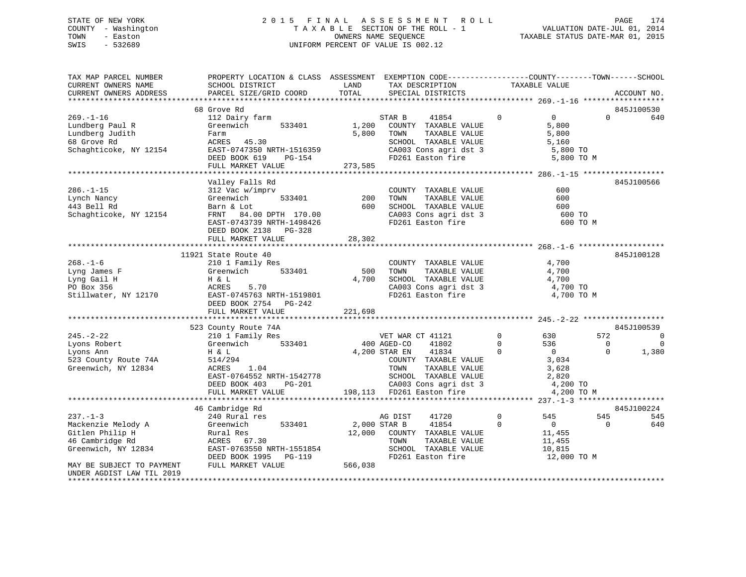## STATE OF NEW YORK 2 0 1 5 F I N A L A S S E S S M E N T R O L L PAGE 174 COUNTY - Washington T A X A B L E SECTION OF THE ROLL - 1 VALUATION DATE-JUL 01, 2014 TOWN - Easton **CONNERS NAME SEQUENCE** TAXABLE STATUS DATE-MAR 01, 2015 SWIS - 532689 UNIFORM PERCENT OF VALUE IS 002.12

| TAX MAP PARCEL NUMBER<br>CURRENT OWNERS NAME<br>CURRENT OWNERS ADDRESS                         | PROPERTY LOCATION & CLASS ASSESSMENT EXEMPTION CODE----------------COUNTY-------TOWN-----SCHOOL<br>SCHOOL DISTRICT<br>PARCEL SIZE/GRID COORD                                 | LAND<br>TOTAL        | TAX DESCRIPTION<br>SPECIAL DISTRICTS                                                                                                                                                              | TAXABLE VALUE                                |                                                                            | ACCOUNT NO.                                                       |
|------------------------------------------------------------------------------------------------|------------------------------------------------------------------------------------------------------------------------------------------------------------------------------|----------------------|---------------------------------------------------------------------------------------------------------------------------------------------------------------------------------------------------|----------------------------------------------|----------------------------------------------------------------------------|-------------------------------------------------------------------|
|                                                                                                |                                                                                                                                                                              |                      |                                                                                                                                                                                                   |                                              |                                                                            |                                                                   |
|                                                                                                | 68 Grove Rd                                                                                                                                                                  |                      |                                                                                                                                                                                                   |                                              |                                                                            | 845J100530                                                        |
| $269. - 1 - 16$<br>Lundberg Paul R<br>Lundberg Judith<br>68 Grove Rd<br>Schaghticoke, NY 12154 | 112 Dairy farm<br>Greenwich<br>533401<br>Farm<br>ACRES 45.30<br>EAST-0747350 NRTH-1516359<br>DEED BOOK 619<br>PG-154<br>FULL MARKET VALUE                                    | 5,800<br>273,585     | STAR B<br>41854<br>1,200 COUNTY TAXABLE VALUE<br>TOWN<br>TAXABLE VALUE<br>SCHOOL TAXABLE VALUE<br>CA003 Cons agri dst 3 5,800 TO<br>FD261 Easton fire                                             | $\Omega$                                     | $\overline{0}$<br>5,800<br>5,800<br>5,160<br>5,800 TO M                    | $\Omega$<br>640                                                   |
|                                                                                                |                                                                                                                                                                              |                      |                                                                                                                                                                                                   |                                              |                                                                            |                                                                   |
| $286. - 1 - 15$<br>Lynch Nancy<br>443 Bell Rd<br>Schaghticoke, NY 12154                        | Valley Falls Rd<br>312 Vac w/imprv<br>533401<br>Greenwich<br>Barn & Lot<br>FRNT 84.00 DPTH 170.00<br>EAST-0743739 NRTH-1498426<br>DEED BOOK 2138 PG-328<br>FULL MARKET VALUE | 200<br>600<br>28,302 | COUNTY TAXABLE VALUE<br>TAXABLE VALUE<br>TOWN<br>SCHOOL TAXABLE VALUE<br>CA003 Cons agri dst 3<br>FD261 Easton fire                                                                               |                                              | 600<br>600<br>600<br>600 TO<br>600 TO M                                    | 845J100566                                                        |
|                                                                                                | 11921 State Route 40                                                                                                                                                         |                      |                                                                                                                                                                                                   |                                              |                                                                            | 845J100128                                                        |
| $268. - 1 - 6$<br>Lyng James F<br>Lyng Gail H<br>PO Box 356<br>Stillwater, NY 12170            | 210 1 Family Res<br>533401<br>Greenwich<br>H & L<br>ACRES<br>5.70<br>EAST-0745763 NRTH-1519801<br>DEED BOOK 2754 PG-242                                                      | 500<br>4,700         | COUNTY TAXABLE VALUE<br>TOWN<br>TAXABLE VALUE<br>SCHOOL TAXABLE VALUE<br>CA003 Cons agri dst 3<br>FD261 Easton fire                                                                               |                                              | 4,700<br>4,700<br>4,700<br>4,700 TO<br>4,700 TO M                          |                                                                   |
|                                                                                                | FULL MARKET VALUE                                                                                                                                                            | 221,698              |                                                                                                                                                                                                   |                                              |                                                                            |                                                                   |
|                                                                                                | 523 County Route 74A                                                                                                                                                         |                      |                                                                                                                                                                                                   |                                              |                                                                            | 845J100539                                                        |
| $245. - 2 - 22$<br>Lyons Robert<br>Lyons Ann<br>523 County Route 74A<br>Greenwich, NY 12834    | 210 1 Family Res<br>Greenwich 533401<br>H & L<br>514/294<br>ACRES 1.04<br>EAST-0764552 NRTH-1542778<br>DEED BOOK 403<br>PG-201                                               |                      | VET WAR CT 41121<br>400 AGED-CO<br>41802<br>4,200 STAR EN<br>41834<br>COUNTY TAXABLE VALUE<br>TOWN<br>TAXABLE VALUE<br>SCHOOL TAXABLE VALUE<br>CA003 Cons agri dst 3<br>198,113 FD261 Easton fire | $\overline{0}$<br>$\overline{0}$<br>$\Omega$ | 572<br>630<br>536<br>$\overline{0}$<br>3,034<br>3,628<br>2,820<br>4,200 TO | $\overline{0}$<br>$\Omega$<br>$\overline{0}$<br>$\Omega$<br>1,380 |
|                                                                                                | FULL MARKET VALUE                                                                                                                                                            |                      |                                                                                                                                                                                                   |                                              | 4,200 TO M                                                                 |                                                                   |
|                                                                                                | 46 Cambridge Rd                                                                                                                                                              |                      |                                                                                                                                                                                                   |                                              |                                                                            | 845J100224                                                        |
| $237. - 1 - 3$                                                                                 | 240 Rural res                                                                                                                                                                |                      | AG DIST<br>41720                                                                                                                                                                                  | $\overline{0}$                               | 545<br>545                                                                 | 545                                                               |
| Mackenzie Melody A<br>Gitlen Philip H<br>46 Cambridge Rd<br>Greenwich, NY 12834                | 533401<br>Greenwich<br>Rural Res<br>ACRES 67.30<br>EAST-0763550 NRTH-1551854<br>DEED BOOK 1995 PG-119                                                                        | 2,000 STAR B         | 41854<br>12,000 COUNTY TAXABLE VALUE<br>TOWN<br>TAXABLE VALUE<br>SCHOOL TAXABLE VALUE<br>FD261 Easton fire                                                                                        | $\Omega$                                     | $\overline{0}$<br>11,455<br>11,455<br>10,815<br>12,000 TO M                | 640<br>$\Omega$                                                   |
| MAY BE SUBJECT TO PAYMENT<br>UNDER AGDIST LAW TIL 2019                                         | FULL MARKET VALUE                                                                                                                                                            | 566,038              |                                                                                                                                                                                                   |                                              |                                                                            |                                                                   |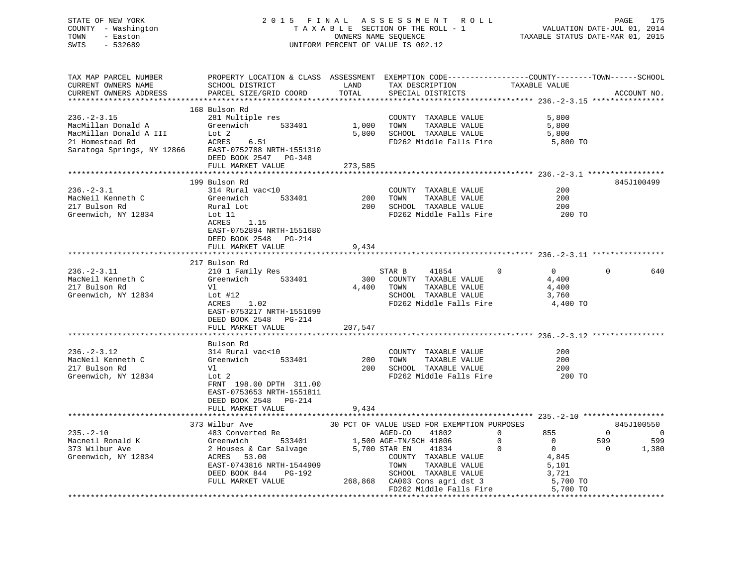STATE OF NEW YORK 2 0 1 5 F I N A L A S S E S S M E N T R O L L PAGE 175VALUATION DATE-JUL 01, 2014 COUNTY - Washington T A X A B L E SECTION OF THE ROLL - 1 TOWN - Easton **CONNERS NAME SEQUENCE** TAXABLE STATUS DATE-MAR 01, 2015 SWIS - 532689 UNIFORM PERCENT OF VALUE IS 002.12

| TAX MAP PARCEL NUMBER                                  | PROPERTY LOCATION & CLASS ASSESSMENT EXEMPTION CODE----------------COUNTY-------TOWN------SCHOOL |               |                                             |                                |                            |
|--------------------------------------------------------|--------------------------------------------------------------------------------------------------|---------------|---------------------------------------------|--------------------------------|----------------------------|
| CURRENT OWNERS NAME                                    | SCHOOL DISTRICT                                                                                  | LAND          | TAX DESCRIPTION                             | TAXABLE VALUE                  |                            |
| CURRENT OWNERS ADDRESS                                 | PARCEL SIZE/GRID COORD                                                                           | TOTAL         | SPECIAL DISTRICTS                           |                                | ACCOUNT NO.                |
|                                                        |                                                                                                  |               |                                             |                                |                            |
|                                                        | 168 Bulson Rd                                                                                    |               |                                             |                                |                            |
| $236. - 2 - 3.15$                                      | 281 Multiple res                                                                                 |               | COUNTY TAXABLE VALUE                        | 5,800                          |                            |
| MacMillan Donald A                                     | Greenwich 533401                                                                                 | 1,000 TOWN    | TAXABLE VALUE                               | 5,800                          |                            |
| MacMillan Donald A III                                 |                                                                                                  |               | 5,800 SCHOOL TAXABLE VALUE 5,800            |                                |                            |
| A III Lot 2<br>A III Lot 2<br>ACRES<br>21 Homestead Rd | 6.51                                                                                             |               | FD262 Middle Falls Fire 5,800 TO            |                                |                            |
| Saratoga Springs, NY 12866 EAST-0752788 NRTH-1551310   |                                                                                                  |               |                                             |                                |                            |
|                                                        | DEED BOOK 2547 PG-348                                                                            |               |                                             |                                |                            |
|                                                        | FULL MARKET VALUE                                                                                | 273,585       |                                             |                                |                            |
|                                                        |                                                                                                  |               |                                             |                                |                            |
|                                                        | 199 Bulson Rd                                                                                    |               |                                             |                                | 845J100499                 |
| $236. - 2 - 3.1$                                       | 314 Rural vac<10                                                                                 |               | COUNTY TAXABLE VALUE                        | 200                            |                            |
| MacNeil Kenneth C                                      | Greenwich<br>533401                                                                              | $200$ TOWN    | TAXABLE VALUE                               | 200                            |                            |
| 217 Bulson Rd                                          | Rural Lot<br>Lot 11                                                                              |               | 200 SCHOOL TAXABLE VALUE                    | 200                            |                            |
| Greenwich, NY 12834                                    |                                                                                                  |               | FD262 Middle Falls Fire                     | 200 TO                         |                            |
|                                                        | ACRES<br>1.15                                                                                    |               |                                             |                                |                            |
|                                                        | EAST-0752894 NRTH-1551680                                                                        |               |                                             |                                |                            |
|                                                        | DEED BOOK 2548 PG-214                                                                            |               |                                             |                                |                            |
|                                                        | FULL MARKET VALUE                                                                                | 9,434         |                                             |                                |                            |
|                                                        |                                                                                                  |               |                                             |                                |                            |
|                                                        | 217 Bulson Rd                                                                                    |               |                                             |                                |                            |
| $236. - 2 - 3.11$                                      | 210 1 Family Res                                                                                 |               | STAR B<br>41854                             | $\overline{0}$<br>$\Omega$     | 640<br>$\Omega$            |
| MacNeil Kenneth C                                      | 533401<br>Greenwich                                                                              |               | 300 COUNTY TAXABLE VALUE                    | 4,400                          |                            |
| 217 Bulson Rd                                          | Vl                                                                                               |               | 4,400 TOWN<br>TAXABLE VALUE                 | 4,400                          |                            |
| Greenwich, NY 12834                                    | Lot #12                                                                                          |               | SCHOOL TAXABLE VALUE                        | 3,760                          |                            |
|                                                        | 1.02<br>ACRES                                                                                    |               | FD262 Middle Falls Fire                     | 4,400 TO                       |                            |
|                                                        | EAST-0753217 NRTH-1551699                                                                        |               |                                             |                                |                            |
|                                                        | DEED BOOK 2548<br>PG-214                                                                         |               |                                             |                                |                            |
|                                                        | FULL MARKET VALUE                                                                                | 207,547       |                                             |                                |                            |
|                                                        |                                                                                                  |               |                                             |                                |                            |
|                                                        | Bulson Rd                                                                                        |               |                                             |                                |                            |
| $236. - 2 - 3.12$                                      | 314 Rural vac<10                                                                                 |               | COUNTY TAXABLE VALUE                        | 200                            |                            |
| MacNeil Kenneth C                                      | 533401<br>Greenwich                                                                              | 200 TOWN      | TAXABLE VALUE                               | 200                            |                            |
| 217 Bulson Rd                                          | Vl                                                                                               |               | 200 SCHOOL TAXABLE VALUE                    | 200                            |                            |
| Greenwich, NY 12834                                    | Lot 2                                                                                            |               | FD262 Middle Falls Fire 200 TO              |                                |                            |
|                                                        | FRNT 198.00 DPTH 311.00                                                                          |               |                                             |                                |                            |
|                                                        | EAST-0753653 NRTH-1551811                                                                        |               |                                             |                                |                            |
|                                                        | DEED BOOK 2548 PG-214                                                                            |               |                                             |                                |                            |
|                                                        | FULL MARKET VALUE                                                                                | 9,434         |                                             |                                |                            |
|                                                        |                                                                                                  |               |                                             |                                |                            |
|                                                        | 373 Wilbur Ave                                                                                   |               | 30 PCT OF VALUE USED FOR EXEMPTION PURPOSES |                                | 845J100550                 |
| $235. - 2 - 10$                                        | 483 Converted Re                                                                                 |               | AGED-CO<br>41802                            | $\Omega$<br>855                | $\Omega$<br>$\overline{0}$ |
| Macneil Ronald K                                       | Greenwich<br>2 Houses &<br>ACRES 53                                                              |               | 533401 1,500 AGE-TN/SCH 41806               | $\mathbf{0}$<br>$\overline{0}$ | 599<br>599                 |
| 373 Wilbur Ave                                         | 2 Houses & Car Salvage                                                                           | 5,700 STAR EN | 41834                                       | $\mathbf 0$<br>$\overline{0}$  | 1,380<br>$\Omega$          |
| Greenwich, NY 12834                                    | 53.00                                                                                            |               | COUNTY TAXABLE VALUE                        | 4,845                          |                            |
|                                                        | EAST-0743816 NRTH-1544909                                                                        |               | TOWN<br>TAXABLE VALUE                       | 5,101                          |                            |

 DEED BOOK 844 PG-192 SCHOOL TAXABLE VALUE 3,721 FULL MARKET VALUE 268,868 CA003 Cons agri dst 3 5,700 TO<br>FD262 Middle Falls Fire 5,700 TO

\*\*\*\*\*\*\*\*\*\*\*\*\*\*\*\*\*\*\*\*\*\*\*\*\*\*\*\*\*\*\*\*\*\*\*\*\*\*\*\*\*\*\*\*\*\*\*\*\*\*\*\*\*\*\*\*\*\*\*\*\*\*\*\*\*\*\*\*\*\*\*\*\*\*\*\*\*\*\*\*\*\*\*\*\*\*\*\*\*\*\*\*\*\*\*\*\*\*\*\*\*\*\*\*\*\*\*\*\*\*\*\*\*\*\*\*\*\*\*\*\*\*\*\*\*\*\*\*\*\*\*\*

FD262 Middle Falls Fire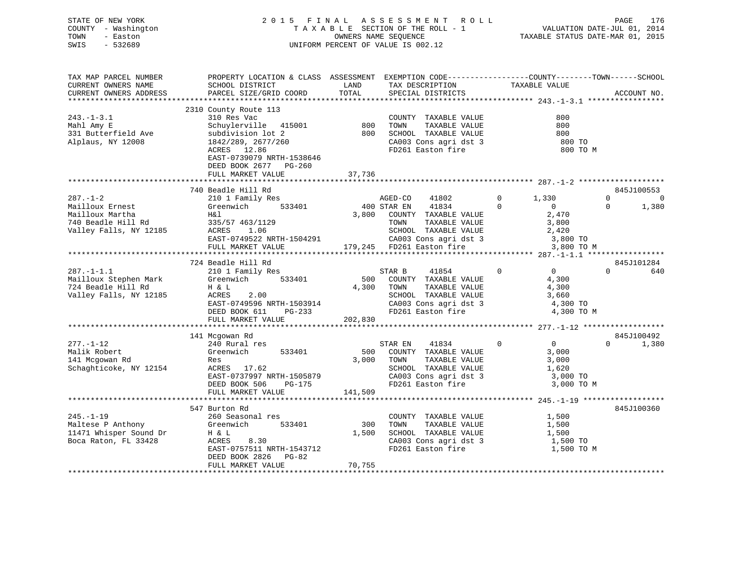| STATE OF NEW YORK   | 2015 FINAL ASSESSMENT ROLL         | 176<br>PAGE                      |
|---------------------|------------------------------------|----------------------------------|
| COUNTY - Washington | TAXABLE SECTION OF THE ROLL - 1    | VALUATION DATE-JUL 01, 2014      |
| TOWN<br>- Easton    | OWNERS NAME SEOUENCE               | TAXABLE STATUS DATE-MAR 01, 2015 |
| SWIS<br>$-532689$   | UNIFORM PERCENT OF VALUE IS 002.12 |                                  |

| TAX MAP PARCEL NUMBER  | PROPERTY LOCATION & CLASS ASSESSMENT EXEMPTION CODE--------------COUNTY-------TOWN-----SCHOOL |         |                            |                                  |                      |
|------------------------|-----------------------------------------------------------------------------------------------|---------|----------------------------|----------------------------------|----------------------|
| CURRENT OWNERS NAME    | SCHOOL DISTRICT                                                                               | LAND    | TAX DESCRIPTION            | TAXABLE VALUE                    |                      |
| CURRENT OWNERS ADDRESS | PARCEL SIZE/GRID COORD                                                                        | TOTAL   | SPECIAL DISTRICTS          |                                  | ACCOUNT NO.          |
|                        |                                                                                               |         |                            |                                  |                      |
|                        | 2310 County Route 113                                                                         |         |                            |                                  |                      |
|                        |                                                                                               |         |                            |                                  |                      |
| $243. - 1 - 3.1$       | 310 Res Vac                                                                                   |         | COUNTY TAXABLE VALUE       | 800                              |                      |
| Mahl Amy E             | Schuylerville 415001                                                                          | 800     | TAXABLE VALUE<br>TOWN      | 800                              |                      |
| 331 Butterfield Ave    | subdivision lot 2                                                                             | 800     | SCHOOL TAXABLE VALUE       | 800                              |                      |
| Alplaus, NY 12008      | 1842/289, 2677/260                                                                            |         | CA003 Cons agri dst 3      | 800 TO                           |                      |
|                        | ACRES 12.86                                                                                   |         | FD261 Easton fire          | 800 TO M                         |                      |
|                        | EAST-0739079 NRTH-1538646                                                                     |         |                            |                                  |                      |
|                        | DEED BOOK 2677 PG-260                                                                         |         |                            |                                  |                      |
|                        | FULL MARKET VALUE                                                                             | 37,736  |                            |                                  |                      |
|                        |                                                                                               |         |                            |                                  |                      |
|                        |                                                                                               |         |                            |                                  |                      |
|                        | 740 Beadle Hill Rd                                                                            |         |                            |                                  | 845J100553           |
| $287. - 1 - 2$         | 210 1 Family Res                                                                              |         | AGED-CO<br>41802           | $\mathbf{0}$<br>1,330            | $\Omega$<br>$\Omega$ |
| Mailloux Ernest        | 533401<br>Greenwich                                                                           |         | 400 STAR EN<br>41834       | $\overline{0}$<br>$\Omega$       | 1,380<br>$\Omega$    |
| Mailloux Martha        | H&l                                                                                           |         | 3,800 COUNTY TAXABLE VALUE | 2,470                            |                      |
| 740 Beadle Hill Rd     | 335/57 463/1129                                                                               |         | TOWN<br>TAXABLE VALUE      | 3,800                            |                      |
| Valley Falls, NY 12185 | ACRES<br>1.06                                                                                 |         | SCHOOL TAXABLE VALUE       | 2,420                            |                      |
|                        | EAST-0749522 NRTH-1504291                                                                     |         | CA003 Cons agri dst 3      | 3,800 TO                         |                      |
|                        | FULL MARKET VALUE                                                                             |         | 179,245 FD261 Easton fire  | 3,800 TO M                       |                      |
|                        | ***************************                                                                   |         |                            |                                  |                      |
|                        |                                                                                               |         |                            |                                  |                      |
|                        | 724 Beadle Hill Rd                                                                            |         |                            |                                  | 845J101284           |
| $287. -1 - 1.1$        | 210 1 Family Res                                                                              |         | 41854<br>STAR B            | $\overline{0}$<br>$\overline{0}$ | $\Omega$<br>640      |
| Mailloux Stephen Mark  | Greenwich<br>533401                                                                           | 500     | COUNTY TAXABLE VALUE       | 4,300                            |                      |
| 724 Beadle Hill Rd     | H & L                                                                                         | 4,300   | TAXABLE VALUE<br>TOWN      | 4,300                            |                      |
| Valley Falls, NY 12185 | ACRES<br>2.00                                                                                 |         | SCHOOL TAXABLE VALUE       | 3,660                            |                      |
|                        | EAST-0749596 NRTH-1503914                                                                     |         | CA003 Cons agri dst 3      | 4,300 TO                         |                      |
|                        | DEED BOOK 611<br>$PG-233$                                                                     |         | FD261 Easton fire          | 4,300 TO M                       |                      |
|                        | FULL MARKET VALUE                                                                             | 202,830 |                            |                                  |                      |
|                        |                                                                                               |         |                            |                                  |                      |
|                        | 141 Mcgowan Rd                                                                                |         |                            |                                  | 845J100492           |
|                        |                                                                                               |         |                            | $\overline{0}$<br>$\Omega$       | $\Omega$             |
| $277. - 1 - 12$        | 240 Rural res                                                                                 |         | STAR EN<br>41834           |                                  | 1,380                |
| Malik Robert           | 533401<br>Greenwich                                                                           | 500     | COUNTY TAXABLE VALUE       | 3,000                            |                      |
| 141 Mcgowan Rd         | Res                                                                                           | 3,000   | TAXABLE VALUE<br>TOWN      | 3,000                            |                      |
| Schaghticoke, NY 12154 | ACRES 17.62                                                                                   |         | SCHOOL TAXABLE VALUE       | 1,620                            |                      |
|                        | EAST-0737997 NRTH-1505879                                                                     |         | CA003 Cons agri dst 3      | 3,000 TO                         |                      |
|                        | DEED BOOK 506<br>PG-175                                                                       |         | FD261 Easton fire          | 3,000 TO M                       |                      |
|                        | FULL MARKET VALUE                                                                             | 141,509 |                            |                                  |                      |
|                        |                                                                                               |         |                            |                                  |                      |
|                        | 547 Burton Rd                                                                                 |         |                            |                                  | 845J100360           |
| $245. - 1 - 19$        | 260 Seasonal res                                                                              |         | COUNTY TAXABLE VALUE       | 1,500                            |                      |
|                        |                                                                                               |         |                            |                                  |                      |
| Maltese P Anthony      | Greenwich<br>533401                                                                           | 300     | TOWN<br>TAXABLE VALUE      | 1,500                            |                      |
| 11471 Whisper Sound Dr | H & L                                                                                         | 1,500   | SCHOOL TAXABLE VALUE       | 1,500                            |                      |
| Boca Raton, FL 33428   | ACRES<br>8.30                                                                                 |         | CA003 Cons agri dst 3      | 1,500 TO                         |                      |
|                        | EAST-0757511 NRTH-1543712                                                                     |         | FD261 Easton fire          | 1,500 TO M                       |                      |
|                        | DEED BOOK 2826<br>PG-82                                                                       |         |                            |                                  |                      |
|                        | FULL MARKET VALUE                                                                             | 70,755  |                            |                                  |                      |
|                        |                                                                                               |         |                            |                                  |                      |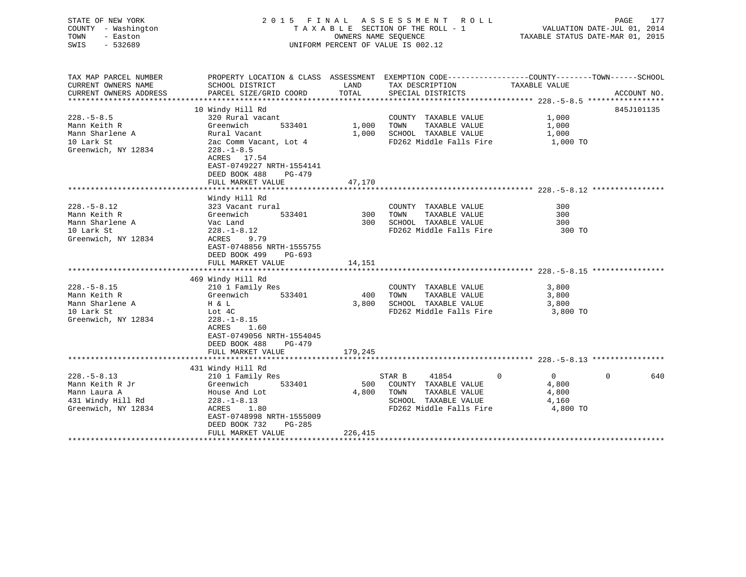| STATE OF NEW YORK<br>COUNTY - Washington<br>TOWN<br>- Easton<br>SWIS<br>$-532689$                | 2015 FINAL ASSESSMENT ROLL                                                                                                                                                                         | TAXABLE SECTION OF THE ROLL - 1<br>OWNERS NAME SEQUENCE<br>UNIFORM PERCENT OF VALUE IS 002.12 |                                                                                                                                         | PAGE<br>177<br>VALUATION DATE-JUL 01, 2014<br>TAXABLE STATUS DATE-MAR 01, 2015 |                 |
|--------------------------------------------------------------------------------------------------|----------------------------------------------------------------------------------------------------------------------------------------------------------------------------------------------------|-----------------------------------------------------------------------------------------------|-----------------------------------------------------------------------------------------------------------------------------------------|--------------------------------------------------------------------------------|-----------------|
| TAX MAP PARCEL NUMBER<br>CURRENT OWNERS NAME<br>CURRENT OWNERS ADDRESS                           | SCHOOL DISTRICT<br>PARCEL SIZE/GRID COORD                                                                                                                                                          | LAND<br>TOTAL                                                                                 | PROPERTY LOCATION & CLASS ASSESSMENT EXEMPTION CODE----------------COUNTY-------TOWN-----SCHOOL<br>TAX DESCRIPTION<br>SPECIAL DISTRICTS | TAXABLE VALUE                                                                  | ACCOUNT NO.     |
| $228. - 5 - 8.5$<br>Mann Keith R<br>Mann Sharlene A<br>10 Lark St<br>Greenwich, NY 12834         | 10 Windy Hill Rd<br>320 Rural vacant<br>Greenwich<br>533401<br>Rural Vacant<br>2ac Comm Vacant, Lot 4<br>$228. - 1 - 8.5$<br>ACRES 17.54<br>EAST-0749227 NRTH-1554141                              | 1,000<br>1,000                                                                                | COUNTY TAXABLE VALUE<br>TAXABLE VALUE<br>TOWN<br>SCHOOL TAXABLE VALUE<br>FD262 Middle Falls Fire                                        | 1,000<br>1,000<br>1,000<br>1,000 TO                                            | 845J101135      |
|                                                                                                  | DEED BOOK 488<br>PG-479<br>FULL MARKET VALUE<br>*******************************                                                                                                                    | 47,170                                                                                        |                                                                                                                                         |                                                                                |                 |
| $228. - 5 - 8.12$<br>Mann Keith R<br>Mann Sharlene A<br>10 Lark St<br>Greenwich, NY 12834        | Windy Hill Rd<br>323 Vacant rural<br>Greenwich<br>533401<br>Vac Land<br>$228. - 1 - 8.12$<br>ACRES<br>9.79<br>EAST-0748856 NRTH-1555755<br>DEED BOOK 499<br>$PG-693$<br>FULL MARKET VALUE          | 300<br>300<br>14,151                                                                          | COUNTY TAXABLE VALUE<br>TOWN<br>TAXABLE VALUE<br>SCHOOL TAXABLE VALUE<br>FD262 Middle Falls Fire                                        | 300<br>300<br>300<br>300 TO                                                    |                 |
|                                                                                                  |                                                                                                                                                                                                    |                                                                                               |                                                                                                                                         |                                                                                |                 |
| $228. - 5 - 8.15$<br>Mann Keith R<br>Mann Sharlene A<br>10 Lark St<br>Greenwich, NY 12834        | 469 Windy Hill Rd<br>210 1 Family Res<br>Greenwich<br>533401<br>H & L<br>Lot 4C<br>$228. - 1 - 8.15$<br>ACRES<br>1.60<br>EAST-0749056 NRTH-1554045<br>DEED BOOK 488<br>PG-479<br>FULL MARKET VALUE | 400<br>3,800<br>179,245                                                                       | COUNTY TAXABLE VALUE<br>TAXABLE VALUE<br>TOWN<br>SCHOOL TAXABLE VALUE<br>FD262 Middle Falls Fire                                        | 3,800<br>3,800<br>3,800<br>3,800 TO                                            |                 |
|                                                                                                  |                                                                                                                                                                                                    |                                                                                               |                                                                                                                                         |                                                                                |                 |
| $228. - 5 - 8.13$<br>Mann Keith R Jr<br>Mann Laura A<br>431 Windy Hill Rd<br>Greenwich, NY 12834 | 431 Windy Hill Rd<br>210 1 Family Res<br>Greenwich<br>533401<br>House And Lot<br>$228. - 1 - 8.13$<br>ACRES<br>1.80<br>EAST-0748998 NRTH-1555009<br>DEED BOOK 732<br>$PG-285$                      | 500<br>4,800                                                                                  | 41854<br>$\Omega$<br>STAR B<br>COUNTY TAXABLE VALUE<br>TOWN<br>TAXABLE VALUE<br>SCHOOL TAXABLE VALUE<br>FD262 Middle Falls Fire         | $\overline{0}$<br>4,800<br>4,800<br>4,160<br>4,800 TO                          | $\Omega$<br>640 |
|                                                                                                  | FULL MARKET VALUE                                                                                                                                                                                  | 226,415                                                                                       |                                                                                                                                         |                                                                                |                 |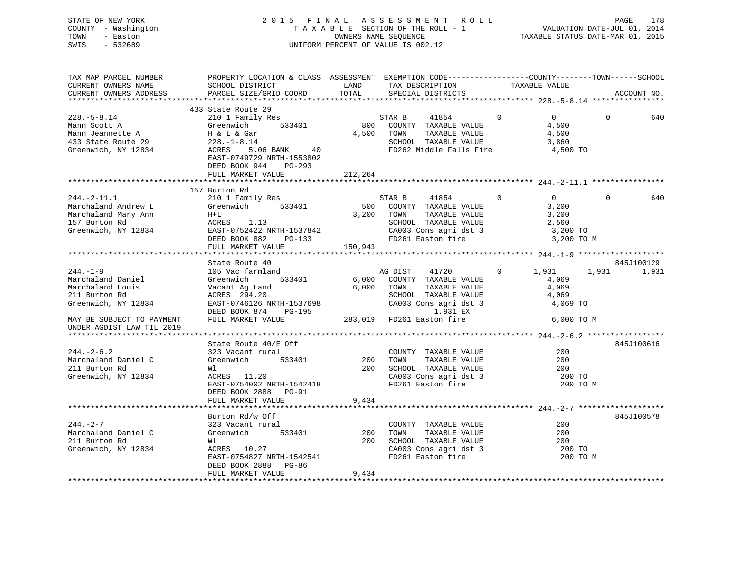STATE OF NEW YORK 2 0 1 5 F I N A L A S S E S S M E N T R O L L PAGE 178 COUNTY - Washington T A X A B L E SECTION OF THE ROLL - 1 VALUATION DATE-JUL 01, 2014 TOWN - Easton **CONNERS NAME SEQUENCE** TAXABLE STATUS DATE-MAR 01, 2015 SWIS - 532689 UNIFORM PERCENT OF VALUE IS 002.12

| TAX MAP PARCEL NUMBER                                  | PROPERTY LOCATION & CLASS ASSESSMENT EXEMPTION CODE----------------COUNTY-------TOWN-----SCHOOL                                                                                                                                                            |         |                                                    |                                                                                         |                |                 |          |             |
|--------------------------------------------------------|------------------------------------------------------------------------------------------------------------------------------------------------------------------------------------------------------------------------------------------------------------|---------|----------------------------------------------------|-----------------------------------------------------------------------------------------|----------------|-----------------|----------|-------------|
| CURRENT OWNERS NAME                                    | SCHOOL DISTRICT                                                                                                                                                                                                                                            | LAND    | TAX DESCRIPTION                                    |                                                                                         | TAXABLE VALUE  |                 |          |             |
| CURRENT OWNERS ADDRESS PARCEL SIZE/GRID COORD TOTAL    |                                                                                                                                                                                                                                                            |         | SPECIAL DISTRICTS                                  |                                                                                         |                |                 |          | ACCOUNT NO. |
|                                                        |                                                                                                                                                                                                                                                            |         |                                                    |                                                                                         |                |                 |          |             |
|                                                        | 433 State Route 29                                                                                                                                                                                                                                         |         |                                                    |                                                                                         |                |                 |          |             |
| $228. - 5 - 8.14$                                      | 210 1 Family Res                                                                                                                                                                                                                                           |         | STAR B 41854 0                                     |                                                                                         |                | $\Omega$        | $\Omega$ | 640         |
|                                                        |                                                                                                                                                                                                                                                            |         | 800 COUNTY TAXABLE VALUE                           |                                                                                         |                | 4,500           |          |             |
|                                                        |                                                                                                                                                                                                                                                            |         | 4,500 TOWN                                         | TAXABLE VALUE                                                                           |                | 4,500           |          |             |
|                                                        |                                                                                                                                                                                                                                                            |         |                                                    | SCHOOL TAXABLE VALUE                                                                    |                | 3,860           |          |             |
|                                                        | ACRES 5.06 BANK 40                                                                                                                                                                                                                                         |         |                                                    | FD262 Middle Falls Fire                                                                 |                | 4,500 TO        |          |             |
|                                                        | EAST-0749729 NRTH-1553802                                                                                                                                                                                                                                  |         |                                                    |                                                                                         |                |                 |          |             |
|                                                        | DEED BOOK 944 PG-293                                                                                                                                                                                                                                       |         |                                                    |                                                                                         |                |                 |          |             |
|                                                        | FULL MARKET VALUE                                                                                                                                                                                                                                          | 212,264 |                                                    |                                                                                         |                |                 |          |             |
|                                                        |                                                                                                                                                                                                                                                            |         |                                                    |                                                                                         |                |                 |          |             |
|                                                        | 157 Burton Rd                                                                                                                                                                                                                                              |         |                                                    |                                                                                         |                |                 |          |             |
| $244. -2 - 11.1$                                       | 210 1 Family Res                                                                                                                                                                                                                                           |         | STAR B                                             | 41854                                                                                   | $\overline{0}$ | $\overline{0}$  | $\Omega$ | 640         |
| Marchaland Andrew L                                    | Greenwich 533401                                                                                                                                                                                                                                           |         | 500 COUNTY TAXABLE VALUE                           |                                                                                         |                | 3,200           |          |             |
| Marchaland Mary Ann<br>157 Burton Rd                   |                                                                                                                                                                                                                                                            |         |                                                    |                                                                                         |                |                 |          |             |
|                                                        |                                                                                                                                                                                                                                                            |         |                                                    |                                                                                         |                |                 |          |             |
| Greenwich, NY 12834                                    |                                                                                                                                                                                                                                                            |         |                                                    |                                                                                         |                |                 |          |             |
|                                                        | H+L<br>ACRES 1.13<br>EAST-0752422 NRTH-1537842<br>DEED BOOK 882 PG-133<br>FULL MARKET VALUE<br>TAXABLE VALUE<br>2,560<br>CA003 Cons agri dst 3<br>FD261 Easton fire<br>3,200 TO<br>FULL MARKET VALUE<br>3,200 TO<br>3,200 TO<br>FULL MARKET VALUE<br>150,9 |         |                                                    |                                                                                         |                | 3,200 TO M      |          |             |
|                                                        |                                                                                                                                                                                                                                                            |         |                                                    |                                                                                         |                |                 |          |             |
|                                                        |                                                                                                                                                                                                                                                            |         |                                                    |                                                                                         |                |                 |          |             |
|                                                        | State Route 40                                                                                                                                                                                                                                             |         |                                                    |                                                                                         |                |                 |          | 845J100129  |
| $244. - 1 - 9$                                         | 105 Vac farmland<br>Greenwich                                                                                                                                                                                                                              |         | AG DIST 41720<br>533401 6,000 COUNTY TAXABLE VALUE |                                                                                         |                | $1,931$ $1,931$ |          | 1,931       |
| Marchaland Daniel                                      |                                                                                                                                                                                                                                                            |         |                                                    |                                                                                         |                | 4,069           |          |             |
| Marchaland Louis                                       | Vacant Ag Land<br>ACRES 294.20                                                                                                                                                                                                                             |         | 6,000 TOWN                                         | TOWN      TAXABLE VALUE<br>SCHOOL   TAXABLE VALUE                                       |                | 4,069<br>4,069  |          |             |
| 211 Burton Rd<br>Greenwich, NY 12834                   | ACRES 294.20                                                                                                                                                                                                                                               |         |                                                    |                                                                                         |                |                 |          |             |
|                                                        |                                                                                                                                                                                                                                                            |         |                                                    |                                                                                         |                | 4,069 TO        |          |             |
|                                                        | EAST-0746126 NRTH-1537698<br>DEED BOOK 874 PG-195 (283,019 PD261 Easton fire<br>FULL MARKET VALUE 283,019 PD261 Easton fire                                                                                                                                |         |                                                    |                                                                                         |                | 6,000 TO M      |          |             |
| MAY BE SUBJECT TO PAYMENT<br>UNDER AGDIST LAW TIL 2019 |                                                                                                                                                                                                                                                            |         |                                                    |                                                                                         |                |                 |          |             |
|                                                        |                                                                                                                                                                                                                                                            |         |                                                    |                                                                                         |                |                 |          |             |
|                                                        | State Route 40/E Off                                                                                                                                                                                                                                       |         |                                                    |                                                                                         |                |                 |          | 845J100616  |
| $244. - 2 - 6.2$                                       |                                                                                                                                                                                                                                                            |         |                                                    |                                                                                         |                | 200             |          |             |
| Marchaland Daniel C                                    |                                                                                                                                                                                                                                                            |         |                                                    |                                                                                         |                | 200             |          |             |
| 211 Burton Rd                                          |                                                                                                                                                                                                                                                            |         |                                                    |                                                                                         |                | 200             |          |             |
| Greenwich, NY 12834                                    |                                                                                                                                                                                                                                                            |         |                                                    |                                                                                         |                | 200 TO          |          |             |
|                                                        | State Route 19, 19<br>323 Vacant rural<br>Greenwich 533401 200 TOWN TAXABLE VALUE<br>WI 200 SCHOOL TAXABLE VALUE<br>ACRES 11.20 CA003 Cons agri dst 3<br>FD261 Easton fire                                                                                 |         |                                                    |                                                                                         |                | 200 TO M        |          |             |
|                                                        |                                                                                                                                                                                                                                                            |         |                                                    |                                                                                         |                |                 |          |             |
|                                                        | FULL MARKET VALUE                                                                                                                                                                                                                                          | 9,434   |                                                    |                                                                                         |                |                 |          |             |
|                                                        |                                                                                                                                                                                                                                                            |         |                                                    |                                                                                         |                |                 |          |             |
|                                                        | Burton Rd/w Off                                                                                                                                                                                                                                            |         |                                                    |                                                                                         |                |                 |          | 845J100578  |
| $244. -2 - 7$                                          | 323 Vacant rural<br>Greenwich 533401 200                                                                                                                                                                                                                   |         |                                                    | COUNTY TAXABLE VALUE                                                                    |                | 200             |          |             |
| Marchaland Daniel C                                    |                                                                                                                                                                                                                                                            |         | TOWN                                               | TAXABLE VALUE                                                                           |                | 200             |          |             |
| 211 Burton Rd                                          |                                                                                                                                                                                                                                                            |         | 200 SCHOOL TAXABLE VALUE                           | TOWN IAAADDE WILL<br>SCHOOL TAXABLE VALUE<br>CA003 Cons agri dst 3<br>TD061 Faston fire |                | 200             |          |             |
| Greenwich, NY 12834                                    | $ACRES$ 10.27                                                                                                                                                                                                                                              |         |                                                    |                                                                                         |                | 200 TO          |          |             |
|                                                        | EAST-0754827 NRTH-1542541                                                                                                                                                                                                                                  |         |                                                    |                                                                                         |                | 200 TO M        |          |             |
|                                                        | DEED BOOK 2888 PG-86                                                                                                                                                                                                                                       |         |                                                    |                                                                                         |                |                 |          |             |
|                                                        | FULL MARKET VALUE                                                                                                                                                                                                                                          | 9,434   |                                                    |                                                                                         |                |                 |          |             |
|                                                        |                                                                                                                                                                                                                                                            |         |                                                    |                                                                                         |                |                 |          |             |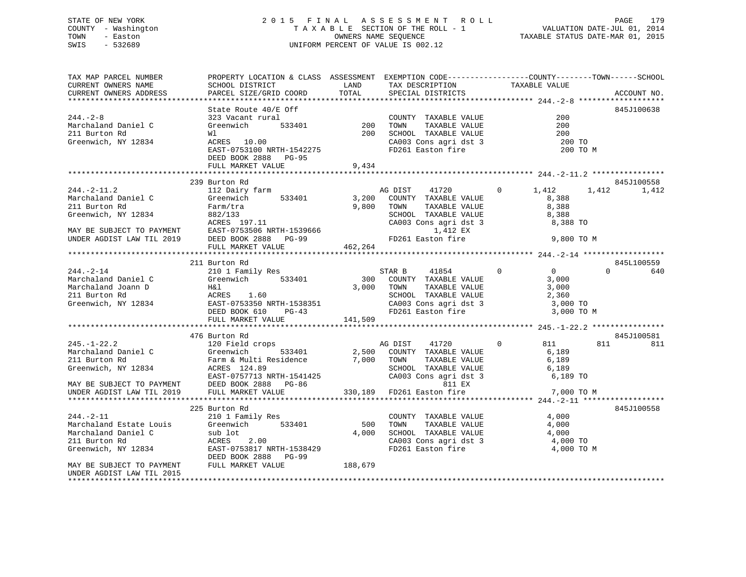## STATE OF NEW YORK 2 0 1 5 F I N A L A S S E S S M E N T R O L L PAGE 179 COUNTY - Washington T A X A B L E SECTION OF THE ROLL - 1 VALUATION DATE-JUL 01, 2014 TOWN - Easton **CONNERS NAME SEQUENCE** TAXABLE STATUS DATE-MAR 01, 2015 SWIS - 532689 UNIFORM PERCENT OF VALUE IS 002.12

| TAX MAP PARCEL NUMBER<br>CURRENT OWNERS NAME                                    | PROPERTY LOCATION & CLASS ASSESSMENT EXEMPTION CODE---------------COUNTY-------TOWN------SCHOOL<br>SCHOOL DISTRICT | LAND    | TAX DESCRIPTION                               | TAXABLE VALUE           |                        |
|---------------------------------------------------------------------------------|--------------------------------------------------------------------------------------------------------------------|---------|-----------------------------------------------|-------------------------|------------------------|
| CURRENT OWNERS ADDRESS                                                          | PARCEL SIZE/GRID COORD                                                                                             | TOTAL   | SPECIAL DISTRICTS                             |                         | ACCOUNT NO.            |
| *************************                                                       |                                                                                                                    |         |                                               |                         |                        |
| $244. - 2 - 8$<br>Marchaland Daniel C                                           | State Route 40/E Off<br>323 Vacant rural<br>Greenwich 533401                                                       | 200     | COUNTY TAXABLE VALUE<br>TOWN<br>TAXABLE VALUE | 200<br>200              | 845J100638             |
| 211 Burton Rd                                                                   | Wl                                                                                                                 | 200     | SCHOOL TAXABLE VALUE                          | 200                     |                        |
| Greenwich, NY 12834                                                             | ACRES 10.00                                                                                                        |         | CA003 Cons agri dst 3                         | 200 TO                  |                        |
|                                                                                 | EAST-0753100 NRTH-1542275<br>DEED BOOK 2888 PG-95<br>FULL MARKET VALUE                                             | 9,434   | FD261 Easton fire                             | 200 TO M                |                        |
|                                                                                 |                                                                                                                    |         |                                               |                         |                        |
|                                                                                 | 239 Burton Rd                                                                                                      |         |                                               |                         | 845J100558             |
| $244. -2 - 11.2$                                                                | 112 Dairy farm                                                                                                     |         | AG DIST<br>41720                              | $\Omega$<br>1,412       | 1,412<br>1,412         |
| Marchaland Daniel C                                                             | 533401<br>Greenwich                                                                                                | 3,200   | COUNTY TAXABLE VALUE                          | 8,388                   |                        |
| 211 Burton Rd                                                                   | Farm/tra                                                                                                           | 9,800   | TOWN<br>TAXABLE VALUE                         | 8,388                   |                        |
| Greenwich, NY 12834                                                             | 882/133                                                                                                            |         | SCHOOL TAXABLE VALUE                          | 8,388                   |                        |
|                                                                                 | ACRES 197.11                                                                                                       |         | CA003 Cons agri dst 3                         | 8,388 TO                |                        |
| MAY BE SUBJECT TO PAYMENT                                                       | EAST-0753506 NRTH-1539666                                                                                          |         | 1,412 EX                                      |                         |                        |
| UNDER AGDIST LAW TIL 2019                                                       | DEED BOOK 2888 PG-99                                                                                               |         | FD261 Easton fire                             | 9,800 TO M              |                        |
|                                                                                 | FULL MARKET VALUE                                                                                                  | 462,264 |                                               |                         |                        |
| **********************                                                          | **********************************                                                                                 |         |                                               |                         |                        |
|                                                                                 | 211 Burton Rd                                                                                                      |         |                                               | $\Omega$                | 845L100559<br>$\Omega$ |
| $244. - 2 - 14$<br>Marchaland Daniel C                                          | 210 1 Family Res<br>Greenwich 533401                                                                               | 300     | 41854<br>STAR B<br>COUNTY TAXABLE VALUE       | $\overline{0}$<br>3,000 | 640                    |
| Marchaland Joann D                                                              | H&l                                                                                                                | 3,000   | TOWN<br>TAXABLE VALUE                         | 3,000                   |                        |
| 211 Burton Rd                                                                   | ACRES 1.60                                                                                                         |         | SCHOOL TAXABLE VALUE                          | 2,360                   |                        |
| Greenwich, NY 12834                                                             | EAST-0753350 NRTH-1538351                                                                                          |         | CA003 Cons agri dst 3                         | 3,000 TO                |                        |
|                                                                                 | DEED BOOK 610<br>$PG-43$                                                                                           |         | FD261 Easton fire                             | 3,000 TO M              |                        |
|                                                                                 | FULL MARKET VALUE                                                                                                  | 141,509 |                                               |                         |                        |
|                                                                                 |                                                                                                                    |         |                                               |                         |                        |
|                                                                                 | 476 Burton Rd                                                                                                      |         |                                               |                         | 845J100581             |
| $245. - 1 - 22.2$                                                               | 120 Field crops                                                                                                    |         | AG DIST<br>41720                              | $\Omega$<br>811         | 811<br>811             |
| Marchaland Daniel C                                                             | Greenwich<br>533401                                                                                                | 2,500   | COUNTY TAXABLE VALUE                          | 6,189                   |                        |
| 211 Burton Rd                                                                   | Farm & Multi Residence 7,000 TOWN                                                                                  |         | TAXABLE VALUE                                 | 6,189                   |                        |
| Greenwich, NY 12834                                                             | ACRES 124.89                                                                                                       |         | SCHOOL TAXABLE VALUE                          | 6,189<br>6,189 TO       |                        |
| MAY BE SUBJECT TO PAYMENT                                                       | EAST-0757713 NRTH-1541425<br>DEED BOOK 2888 PG-86                                                                  |         | CA003 Cons agri dst 3<br>811 EX               |                         |                        |
| UNDER AGDIST LAW TIL 2019                                                       | FULL MARKET VALUE                                                                                                  | 330,189 | FD261 Easton fire                             | 7,000 TO M              |                        |
|                                                                                 |                                                                                                                    |         |                                               |                         |                        |
|                                                                                 | 225 Burton Rd                                                                                                      |         |                                               |                         | 845J100558             |
| $244. - 2 - 11$                                                                 | 210 1 Family Res                                                                                                   |         | COUNTY TAXABLE VALUE                          | 4,000                   |                        |
| Marchaland Estate Louis                                                         | Greenwich 533401                                                                                                   | 500     | TOWN<br>TAXABLE VALUE                         | 4,000                   |                        |
| Marchaland Daniel C                                                             | sub lot                                                                                                            | 4,000   | SCHOOL TAXABLE VALUE                          | 4,000                   |                        |
| 211 Burton Rd                                                                   | ACRES<br>2.00                                                                                                      |         | CA003 Cons agri dst 3                         | 4,000 TO                |                        |
| Greenwich, NY 12834                                                             | EAST-0753817 NRTH-1538429                                                                                          |         | FD261 Easton fire                             | 4,000 TO M              |                        |
|                                                                                 | DEED BOOK 2888<br>PG-99                                                                                            |         |                                               |                         |                        |
| MAY BE SUBJECT TO PAYMENT<br>UNDER AGDIST LAW TIL 2015<br>********************* | FULL MARKET VALUE                                                                                                  | 188,679 |                                               |                         |                        |
|                                                                                 |                                                                                                                    |         |                                               |                         |                        |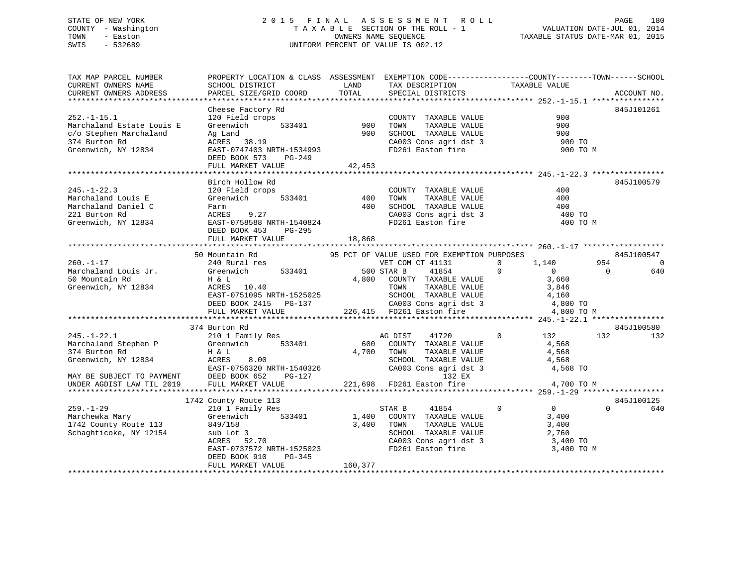## STATE OF NEW YORK 2 0 1 5 F I N A L A S S E S S M E N T R O L L PAGE 180 COUNTY - Washington T A X A B L E SECTION OF THE ROLL - 1 VALUATION DATE-JUL 01, 2014 TOWN - Easton OWNERS NAME SEQUENCE TAXABLE STATUS DATE-MAR 01, 2015 SWIS - 532689 UNIFORM PERCENT OF VALUE IS 002.12

| TAX MAP PARCEL NUMBER                                                               | PROPERTY LOCATION & CLASS ASSESSMENT EXEMPTION CODE----------------COUNTY-------TOWN------SCHOOL                                            |                                  |                                                                                             |                                                                                                                                    |                       |
|-------------------------------------------------------------------------------------|---------------------------------------------------------------------------------------------------------------------------------------------|----------------------------------|---------------------------------------------------------------------------------------------|------------------------------------------------------------------------------------------------------------------------------------|-----------------------|
| CURRENT OWNERS NAME                                                                 | SCHOOL DISTRICT                                                                                                                             | LAND<br>TAX DESCRIPTION<br>TOTAL |                                                                                             | TAXABLE VALUE                                                                                                                      |                       |
| CURRENT OWNERS ADDRESS<br>***********************                                   | PARCEL SIZE/GRID COORD                                                                                                                      |                                  | SPECIAL DISTRICTS                                                                           |                                                                                                                                    | ACCOUNT NO.           |
|                                                                                     |                                                                                                                                             |                                  |                                                                                             |                                                                                                                                    | 845J101261            |
| $252. - 1 - 15.1$                                                                   | Cheese Factory Rd                                                                                                                           |                                  | COUNTY TAXABLE VALUE                                                                        | 900                                                                                                                                |                       |
| Marchaland Estate Louis E                                                           | 120 Field crops 633401 COUNT COUNT                                                                                                          |                                  | TAXABLE VALUE                                                                               | 900                                                                                                                                |                       |
| c/o Stephen Marchaland                                                              |                                                                                                                                             |                                  |                                                                                             |                                                                                                                                    |                       |
| 374 Burton Rd                                                                       | Ag Land<br>ACRES    38.19                                                                                                                   |                                  |                                                                                             |                                                                                                                                    |                       |
| Greenwich, NY 12834                                                                 | EAST-0747403 NRTH-1534993                                                                                                                   |                                  | 900 SCHOOL TAXABLE VALUE<br>CA003 Cons agri dst 3<br>FD261 Easton fire                      | $\begin{array}{c}\n900 \\ 900\n\end{array}\n\quad\n\begin{array}{c}\n\text{TO} \\ \text{TO} \\ \text{LO}\n\end{array}$<br>900 TO M |                       |
|                                                                                     | DEED BOOK 573 PG-249                                                                                                                        |                                  |                                                                                             |                                                                                                                                    |                       |
|                                                                                     | FULL MARKET VALUE                                                                                                                           | 42,453                           |                                                                                             |                                                                                                                                    |                       |
|                                                                                     |                                                                                                                                             |                                  |                                                                                             |                                                                                                                                    |                       |
|                                                                                     | Birch Hollow Rd                                                                                                                             |                                  |                                                                                             |                                                                                                                                    | 845J100579            |
| $245. - 1 - 22.3$                                                                   | 120 Field crops                                                                                                                             |                                  | COUNTY TAXABLE VALUE                                                                        | 400                                                                                                                                |                       |
| Marchaland Louis E                                                                  | $533401$ 400<br>Greenwich                                                                                                                   |                                  | TAXABLE VALUE<br>TOWN                                                                       | 400                                                                                                                                |                       |
| Marchaland Daniel C                                                                 | Farm                                                                                                                                        |                                  | 400 SCHOOL TAXABLE VALUE<br>SCHOOL TAXABLE VALUE<br>CA003 Cons agri dst 3                   | 400                                                                                                                                |                       |
| 221 Burton Rd                                                                       | ACRES 9.27                                                                                                                                  |                                  |                                                                                             | 400 TO                                                                                                                             |                       |
| Greenwich, NY 12834                                                                 | ACRES 9.27<br>EAST-0758588 NRTH-1540824                                                                                                     |                                  | FD261 Easton fire                                                                           | 400 TO M                                                                                                                           |                       |
|                                                                                     | DEED BOOK 453<br>PG-295                                                                                                                     |                                  |                                                                                             |                                                                                                                                    |                       |
|                                                                                     | FULL MARKET VALUE                                                                                                                           | 18,868                           |                                                                                             |                                                                                                                                    |                       |
|                                                                                     |                                                                                                                                             |                                  |                                                                                             |                                                                                                                                    |                       |
|                                                                                     | 50 Mountain Rd                                                                                                                              |                                  | 95 PCT OF VALUE USED FOR EXEMPTION PURPOSES                                                 |                                                                                                                                    | 845J100547            |
| $260. -1 - 17$                                                                      | 240 Rural res                                                                                                                               |                                  | VET COM CT 41131                                                                            | $1,140$<br>0<br>3,660<br>2.946<br>$\overline{0}$                                                                                   | 954<br>$\overline{0}$ |
| Marchaland Louis Jr.                                                                | Greenwich 533401                                                                                                                            | 500 STAR B                       | 41854                                                                                       | $\Omega$                                                                                                                           | $\overline{0}$<br>640 |
| 50 Mountain Rd                                                                      | H & L<br>ACRES 10.40<br>H & L<br>ACRES                                                                                                      |                                  | 4,800 COUNTY TAXABLE VALUE<br>TOWN TAXABLE VALUE                                            |                                                                                                                                    |                       |
| Greenwich, NY 12834                                                                 |                                                                                                                                             |                                  |                                                                                             | 3,846                                                                                                                              |                       |
|                                                                                     | EAST-0751095 NRTH-1525025<br>DEED BOOK 2415 PG-137 CA003 Cons agri dst 3 4,800 TO<br>FULL MARKET VALUE 226,415 FD261 Easton fire 4,800 TO M |                                  |                                                                                             |                                                                                                                                    |                       |
|                                                                                     |                                                                                                                                             |                                  |                                                                                             |                                                                                                                                    |                       |
|                                                                                     |                                                                                                                                             |                                  |                                                                                             |                                                                                                                                    |                       |
|                                                                                     |                                                                                                                                             |                                  |                                                                                             |                                                                                                                                    |                       |
|                                                                                     | 374 Burton Rd                                                                                                                               |                                  |                                                                                             |                                                                                                                                    | 845J100580            |
| $245. - 1 - 22.1$                                                                   | 210 1 Family Res                                                                                                                            | AG DIST                          | 41720                                                                                       | $0$ 132                                                                                                                            | 132<br>132            |
| Marchaland Stephen P                                                                | Greenwich 533401                                                                                                                            |                                  | 600 COUNTY TAXABLE VALUE                                                                    | 4,568<br>4,568                                                                                                                     |                       |
|                                                                                     |                                                                                                                                             |                                  | TAXABLE VALUE                                                                               |                                                                                                                                    |                       |
|                                                                                     |                                                                                                                                             |                                  | SCHOOL TAXABLE VALUE<br>CA003 Cons agri dst 3                                               | 4,568                                                                                                                              |                       |
|                                                                                     |                                                                                                                                             |                                  |                                                                                             | 4,568 TO                                                                                                                           |                       |
| MAY BE SUBJECT TO PAYMENT DEED BOOK 652<br>UNDER AGDIST LAW TIL 2019 FULL MARKET VF |                                                                                                                                             |                                  | 132 EX<br>132 EX<br>221,698   FD261 Easton fire                                  4,700 TO M |                                                                                                                                    |                       |
|                                                                                     | FULL MARKET VALUE                                                                                                                           |                                  |                                                                                             |                                                                                                                                    |                       |
|                                                                                     | 1742 County Route 113                                                                                                                       |                                  |                                                                                             |                                                                                                                                    | 845J100125            |
| $259. - 1 - 29$                                                                     | 210 1 Family Res                                                                                                                            |                                  | STAR B<br>41854                                                                             | $\overline{0}$<br>$\overline{0}$                                                                                                   | $\Omega$<br>640       |
| Marchewka Mary                                                                      | Greenwich 533401                                                                                                                            |                                  | 1,400 COUNTY TAXABLE VALUE                                                                  | 3,400                                                                                                                              |                       |
| 1742 County Route 113                                                               | 849/158                                                                                                                                     | 3,400 TOWN                       | --------<br>TAXABLE VALUE<br>TAXABLE VALUE                                                  | 3,400                                                                                                                              |                       |
| Schaghticoke, NY 12154                                                              |                                                                                                                                             |                                  | SCHOOL TAXABLE VALUE                                                                        | 2,760                                                                                                                              |                       |
|                                                                                     | sub Lot 3<br>ACRES 52.70                                                                                                                    |                                  |                                                                                             | 3,400 TO                                                                                                                           |                       |
|                                                                                     | EAST-0737572 NRTH-1525023                                                                                                                   |                                  | CA003 Cons agri dst 3<br>ED261 Fester fire<br>FD261 Easton fire                             | 3,400 TO M                                                                                                                         |                       |
|                                                                                     | DEED BOOK 910<br>PG-345                                                                                                                     |                                  |                                                                                             |                                                                                                                                    |                       |
|                                                                                     | FULL MARKET VALUE                                                                                                                           | 160,377                          |                                                                                             |                                                                                                                                    |                       |
|                                                                                     |                                                                                                                                             |                                  |                                                                                             |                                                                                                                                    |                       |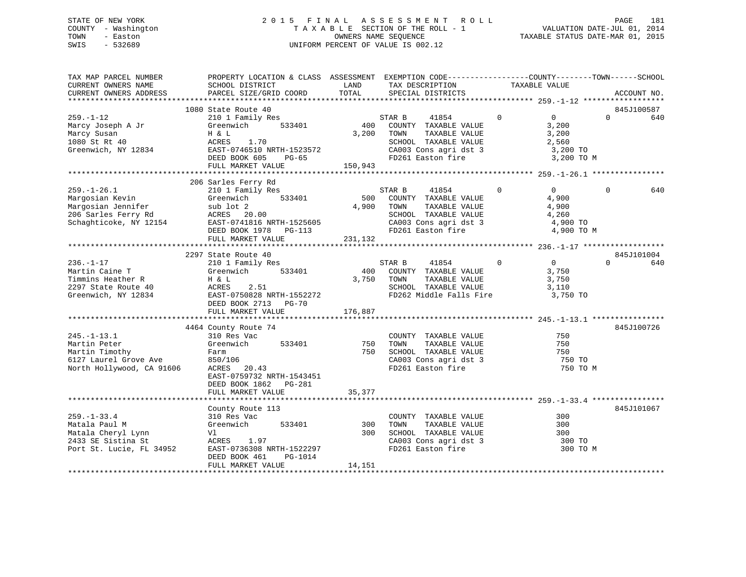## STATE OF NEW YORK 2 0 1 5 F I N A L A S S E S S M E N T R O L L PAGE 181 COUNTY - Washington T A X A B L E SECTION OF THE ROLL - 1 VALUATION DATE-JUL 01, 2014 TOWN - Easton OWNERS NAME SEQUENCE TAXABLE STATUS DATE-MAR 01, 2015 SWIS - 532689 UNIFORM PERCENT OF VALUE IS 002.12

| TAX MAP PARCEL NUMBER<br>CURRENT OWNERS NAME<br>CURRENT OWNERS ADDRESS                                     | PROPERTY LOCATION & CLASS ASSESSMENT EXEMPTION CODE----------------COUNTY-------TOWN-----SCHOOL<br>SCHOOL DISTRICT<br>PARCEL SIZE/GRID COORD       | LAND<br>TOTAL           | TAX DESCRIPTION<br>SPECIAL DISTRICTS                                                                                                   |             | TAXABLE VALUE                                                       | ACCOUNT NO.     |
|------------------------------------------------------------------------------------------------------------|----------------------------------------------------------------------------------------------------------------------------------------------------|-------------------------|----------------------------------------------------------------------------------------------------------------------------------------|-------------|---------------------------------------------------------------------|-----------------|
|                                                                                                            |                                                                                                                                                    |                         |                                                                                                                                        |             |                                                                     |                 |
|                                                                                                            | 1080 State Route 40                                                                                                                                |                         |                                                                                                                                        |             |                                                                     | 845J100587      |
| $259. - 1 - 12$<br>Marcy Joseph A Jr<br>Marcy Susan<br>1080 St Rt 40<br>Greenwich, NY 12834                | 210 1 Family Res<br>533401<br>Greenwich<br>H & L<br>ACRES<br>1.70<br>EAST-0746510 NRTH-1523572<br>DEED BOOK 605<br>PG-65<br>FULL MARKET VALUE      | 400<br>3,200<br>150,943 | 41854<br>STAR B<br>COUNTY TAXABLE VALUE<br>TOWN<br>TAXABLE VALUE<br>SCHOOL TAXABLE VALUE<br>CA003 Cons agri dst 3<br>FD261 Easton fire | $\mathbf 0$ | $\overline{0}$<br>3,200<br>3,200<br>2,560<br>3,200 TO<br>3,200 TO M | $\Omega$<br>640 |
|                                                                                                            |                                                                                                                                                    |                         |                                                                                                                                        |             |                                                                     |                 |
| $259. - 1 - 26.1$<br>Margosian Kevin<br>Margosian Jennifer                                                 | 206 Sarles Ferry Rd<br>210 1 Family Res<br>Greenwich<br>533401<br>sub lot 2                                                                        | 500<br>4,900            | STAR B<br>41854<br>COUNTY TAXABLE VALUE<br>TOWN<br>TAXABLE VALUE                                                                       | $\mathbf 0$ | $\Omega$<br>4,900<br>4,900                                          | 640<br>$\Omega$ |
| 206 Sarles Ferry Rd<br>Schaghticoke, NY 12154                                                              | ACRES 20.00<br>EAST-0741816 NRTH-1525605<br>DEED BOOK 1978 PG-113                                                                                  |                         | SCHOOL TAXABLE VALUE<br>CA003 Cons agri dst 3<br>FD261 Easton fire                                                                     |             | 4,260<br>4,900 TO<br>4,900 TO M                                     |                 |
|                                                                                                            | FULL MARKET VALUE                                                                                                                                  | 231,132                 |                                                                                                                                        |             |                                                                     |                 |
|                                                                                                            | 2297 State Route 40                                                                                                                                |                         |                                                                                                                                        |             |                                                                     | 845J101004      |
| $236. - 1 - 17$<br>Martin Caine T<br>Timmins Heather R<br>2297 State Route 40<br>Greenwich, NY 12834       | 210 1 Family Res<br>533401<br>Greenwich<br>H & L<br>ACRES<br>2.51<br>EAST-0750828 NRTH-1552272<br>DEED BOOK 2713 PG-70<br>FULL MARKET VALUE        | 400<br>3,750<br>176,887 | STAR B<br>41854<br>COUNTY TAXABLE VALUE<br>TOWN<br>TAXABLE VALUE<br>SCHOOL TAXABLE VALUE<br>FD262 Middle Falls Fire                    | $\Omega$    | $\Omega$<br>3,750<br>3,750<br>3,110<br>3,750 TO                     | $\Omega$<br>640 |
|                                                                                                            |                                                                                                                                                    |                         |                                                                                                                                        |             |                                                                     |                 |
| $245. -1 - 13.1$<br>Martin Peter<br>Martin Timothy<br>6127 Laurel Grove Ave<br>North Hollywood, CA 91606   | 4464 County Route 74<br>310 Res Vac<br>533401<br>Greenwich<br>Farm<br>850/106<br>ACRES 20.43<br>EAST-0759732 NRTH-1543451<br>DEED BOOK 1862 PG-281 | 750<br>750              | COUNTY TAXABLE VALUE<br>TAXABLE VALUE<br>TOWN<br>SCHOOL TAXABLE VALUE<br>CA003 Cons agri dst 3<br>FD261 Easton fire                    |             | 750<br>750<br>750<br>750 TO<br>750 TO M                             | 845J100726      |
|                                                                                                            | FULL MARKET VALUE                                                                                                                                  | 35,377                  |                                                                                                                                        |             |                                                                     |                 |
|                                                                                                            |                                                                                                                                                    |                         |                                                                                                                                        |             |                                                                     |                 |
| $259. - 1 - 33.4$<br>Matala Paul M<br>Matala Cheryl Lynn<br>2433 SE Sistina St<br>Port St. Lucie, FL 34952 | County Route 113<br>310 Res Vac<br>Greenwich<br>533401<br>Vl<br>ACRES<br>1.97<br>EAST-0736308 NRTH-1522297<br>DEED BOOK 461<br>PG-1014             | 300<br>300              | COUNTY TAXABLE VALUE<br>TOWN<br>TAXABLE VALUE<br>SCHOOL TAXABLE VALUE<br>CA003 Cons agri dst 3<br>FD261 Easton fire                    |             | 300<br>300<br>300<br>300 TO<br>300 TO M                             | 845J101067      |
|                                                                                                            | FULL MARKET VALUE                                                                                                                                  | 14,151                  |                                                                                                                                        |             |                                                                     |                 |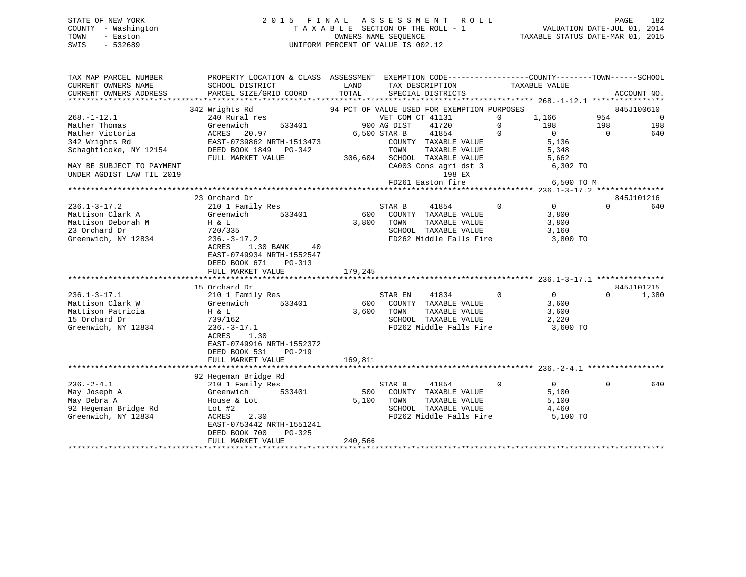## STATE OF NEW YORK 2 0 1 5 F I N A L A S S E S S M E N T R O L L PAGE 182 COUNTY - Washington T A X A B L E SECTION OF THE ROLL - 1 VALUATION DATE-JUL 01, 2014 TOWN - Easton OWNERS NAME SEQUENCE TAXABLE STATUS DATE-MAR 01, 2015 SWIS - 532689 UNIFORM PERCENT OF VALUE IS 002.12

TAX MAP PARCEL NUMBER PROPERTY LOCATION & CLASS ASSESSMENT EXEMPTION CODE------------------COUNTY--------TOWN------SCHOOL

| CURRENT OWNERS NAME       | SCHOOL DISTRICT           | LAND    | TAX DESCRIPTION                             |             | TAXABLE VALUE  |          |             |
|---------------------------|---------------------------|---------|---------------------------------------------|-------------|----------------|----------|-------------|
| CURRENT OWNERS ADDRESS    | PARCEL SIZE/GRID COORD    | TOTAL   | SPECIAL DISTRICTS                           |             |                |          | ACCOUNT NO. |
|                           |                           |         |                                             |             |                |          |             |
|                           | 342 Wrights Rd            |         | 94 PCT OF VALUE USED FOR EXEMPTION PURPOSES |             |                |          | 845J100610  |
| $268. - 1 - 12.1$         | 240 Rural res             |         | VET COM CT 41131                            | $\Omega$    | 1,166          | 954      | C           |
| Mather Thomas             | Greenwich<br>533401       |         | 900 AG DIST<br>41720                        | $\mathbf 0$ | 198            | 198      | 198         |
| Mather Victoria           | 20.97<br>ACRES            |         | 41854<br>6,500 STAR B                       | $\Omega$    | $\overline{0}$ | $\Omega$ | 640         |
| 342 Wrights Rd            | EAST-0739862 NRTH-1513473 |         | COUNTY TAXABLE VALUE                        |             | 5,136          |          |             |
| Schaghticoke, NY 12154    | DEED BOOK 1849<br>PG-342  |         | TOWN<br>TAXABLE VALUE                       |             | 5,348          |          |             |
|                           | FULL MARKET VALUE         | 306,604 | SCHOOL TAXABLE VALUE                        |             | 5,662          |          |             |
| MAY BE SUBJECT TO PAYMENT |                           |         | CA003 Cons agri dst 3                       |             | 6,302 TO       |          |             |
| UNDER AGDIST LAW TIL 2019 |                           |         | 198 EX                                      |             |                |          |             |
|                           |                           |         | FD261 Easton fire                           |             | 6,500 TO M     |          |             |
|                           |                           |         |                                             |             |                |          |             |
|                           | 23 Orchard Dr             |         |                                             |             |                |          | 845J101216  |
| $236.1 - 3 - 17.2$        | 210 1 Family Res          |         | STAR B<br>41854                             | $\mathbf 0$ | $\overline{0}$ | $\Omega$ | 640         |
| Mattison Clark A          | 533401<br>Greenwich       | 600     | COUNTY TAXABLE VALUE                        |             | 3,800          |          |             |
| Mattison Deborah M        | H & L                     | 3,800   | TOWN<br>TAXABLE VALUE                       |             | 3,800          |          |             |
| 23 Orchard Dr             | 720/335                   |         | SCHOOL TAXABLE VALUE                        |             | 3,160          |          |             |
| Greenwich, NY 12834       | $236. - 3 - 17.2$         |         | FD262 Middle Falls Fire                     |             | 3,800 TO       |          |             |
|                           | 1.30 BANK<br>ACRES<br>40  |         |                                             |             |                |          |             |
|                           | EAST-0749934 NRTH-1552547 |         |                                             |             |                |          |             |
|                           | DEED BOOK 671<br>PG-313   |         |                                             |             |                |          |             |
|                           | FULL MARKET VALUE         | 179,245 |                                             |             |                |          |             |
|                           | 15 Orchard Dr             |         |                                             |             |                |          | 845J101215  |
| $236.1 - 3 - 17.1$        | 210 1 Family Res          |         | STAR EN<br>41834                            | $\mathbf 0$ | 0              | $\Omega$ | 1,380       |
| Mattison Clark W          | Greenwich<br>533401       | 600     | COUNTY TAXABLE VALUE                        |             | 3,600          |          |             |
| Mattison Patricia         | H & L                     | 3,600   | TOWN<br>TAXABLE VALUE                       |             | 3,600          |          |             |
| 15 Orchard Dr             | 739/162                   |         | SCHOOL TAXABLE VALUE                        |             | 2,220          |          |             |
| Greenwich, NY 12834       | $236. - 3 - 17.1$         |         | FD262 Middle Falls Fire                     |             | 3,600 TO       |          |             |
|                           | 1.30<br>ACRES             |         |                                             |             |                |          |             |
|                           | EAST-0749916 NRTH-1552372 |         |                                             |             |                |          |             |
|                           | DEED BOOK 531<br>$PG-219$ |         |                                             |             |                |          |             |
|                           | FULL MARKET VALUE         | 169,811 |                                             |             |                |          |             |
|                           |                           |         |                                             |             |                |          |             |
|                           | 92 Hegeman Bridge Rd      |         |                                             |             |                |          |             |
| $236. - 2 - 4.1$          | 210 1 Family Res          |         | STAR B<br>41854                             | $\mathbf 0$ | $\mathbf{0}$   | $\Omega$ | 640         |
| May Joseph A              | Greenwich<br>533401       | 500     | COUNTY TAXABLE VALUE                        |             | 5,100          |          |             |
| May Debra A               | House & Lot               | 5,100   | TOWN<br>TAXABLE VALUE                       |             | 5,100          |          |             |
| 92 Hegeman Bridge Rd      | $Lot$ #2                  |         | SCHOOL TAXABLE VALUE                        |             | 4,460          |          |             |
| Greenwich, NY 12834       | ACRES<br>2.30             |         | FD262 Middle Falls Fire                     |             | 5,100 TO       |          |             |
|                           | EAST-0753442 NRTH-1551241 |         |                                             |             |                |          |             |
|                           | DEED BOOK 700<br>$PG-325$ |         |                                             |             |                |          |             |
|                           | FULL MARKET VALUE         | 240,566 |                                             |             |                |          |             |

\*\*\*\*\*\*\*\*\*\*\*\*\*\*\*\*\*\*\*\*\*\*\*\*\*\*\*\*\*\*\*\*\*\*\*\*\*\*\*\*\*\*\*\*\*\*\*\*\*\*\*\*\*\*\*\*\*\*\*\*\*\*\*\*\*\*\*\*\*\*\*\*\*\*\*\*\*\*\*\*\*\*\*\*\*\*\*\*\*\*\*\*\*\*\*\*\*\*\*\*\*\*\*\*\*\*\*\*\*\*\*\*\*\*\*\*\*\*\*\*\*\*\*\*\*\*\*\*\*\*\*\*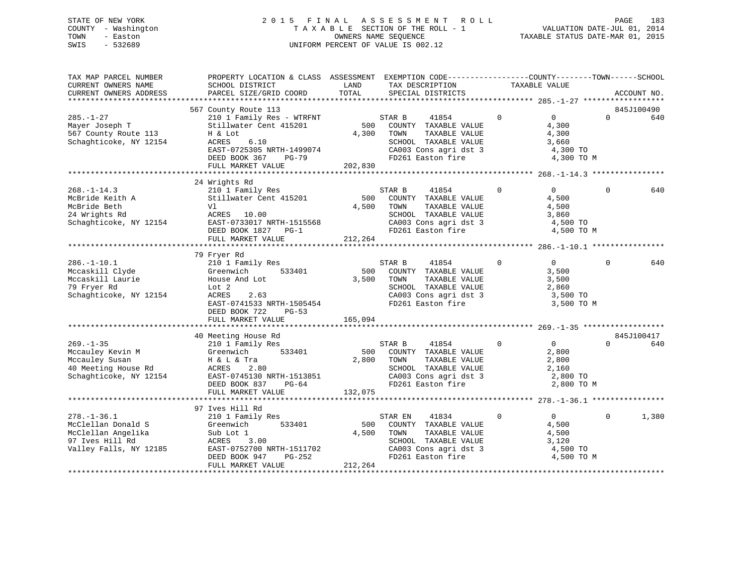## STATE OF NEW YORK 2 0 1 5 F I N A L A S S E S S M E N T R O L L PAGE 183 COUNTY - Washington T A X A B L E SECTION OF THE ROLL - 1 VALUATION DATE-JUL 01, 2014 TOWN - Easton OWNERS NAME SEQUENCE TAXABLE STATUS DATE-MAR 01, 2015 SWIS - 532689 UNIFORM PERCENT OF VALUE IS 002.12

| TAX MAP PARCEL NUMBER<br>CURRENT OWNERS NAME<br>CURRENT OWNERS ADDRESS                                     | PROPERTY LOCATION & CLASS ASSESSMENT<br>SCHOOL DISTRICT<br>PARCEL SIZE/GRID COORD                                                                                               | LAND<br>TOTAL           | EXEMPTION CODE-----------------COUNTY-------TOWN------SCHOOL<br>TAX DESCRIPTION<br>SPECIAL DISTRICTS                                    | TAXABLE VALUE |                                                                        | ACCOUNT NO.                   |
|------------------------------------------------------------------------------------------------------------|---------------------------------------------------------------------------------------------------------------------------------------------------------------------------------|-------------------------|-----------------------------------------------------------------------------------------------------------------------------------------|---------------|------------------------------------------------------------------------|-------------------------------|
|                                                                                                            | 567 County Route 113                                                                                                                                                            |                         |                                                                                                                                         |               |                                                                        | 845J100490                    |
| $285. - 1 - 27$<br>Mayer Joseph T<br>567 County Route 113<br>Schaghticoke, NY 12154                        | 210 1 Family Res - WTRFNT<br>Stillwater Cent 415201<br>H & Lot<br>ACRES<br>$6.10$<br>EAST-0725305 NRTH-1499074<br>DEED BOOK 367<br>PG-79<br>FULL MARKET VALUE                   | 500<br>4,300<br>202,830 | STAR B<br>41854<br>COUNTY TAXABLE VALUE<br>TOWN<br>TAXABLE VALUE<br>SCHOOL TAXABLE VALUE<br>CA003 Cons agri dst 3<br>FD261 Easton fire  | $\Omega$      | $\overline{0}$<br>4,300<br>4,300<br>3,660<br>4,300 TO<br>4,300 TO M    | $\Omega$<br>640               |
|                                                                                                            | 24 Wrights Rd                                                                                                                                                                   |                         |                                                                                                                                         |               |                                                                        |                               |
| $268. - 1 - 14.3$<br>McBride Keith A<br>McBride Beth<br>24 Wrights Rd<br>Schaghticoke, NY 12154            | 210 1 Family Res<br>Stillwater Cent 415201<br>Vl<br>ACRES 10.00<br>EAST-0733017 NRTH-1515568<br>DEED BOOK 1827 PG-1<br>FULL MARKET VALUE                                        | 500<br>4,500<br>212,264 | STAR B<br>41854<br>COUNTY TAXABLE VALUE<br>TOWN<br>TAXABLE VALUE<br>SCHOOL TAXABLE VALUE<br>CA003 Cons agri dst 3<br>FD261 Easton fire  | $\mathbf 0$   | $\overline{0}$<br>4,500<br>4,500<br>3,860<br>4,500 TO<br>4,500 TO M    | 640<br>$\Omega$               |
|                                                                                                            |                                                                                                                                                                                 |                         |                                                                                                                                         |               |                                                                        |                               |
| $286. - 1 - 10.1$<br>Mccaskill Clyde<br>Mccaskill Laurie<br>79 Fryer Rd<br>Schaghticoke, NY 12154          | 79 Fryer Rd<br>210 1 Family Res<br>Greenwich<br>533401<br>House And Lot<br>Lot 2<br>ACRES<br>2.63<br>EAST-0741533 NRTH-1505454<br>DEED BOOK 722<br>$PG-53$<br>FULL MARKET VALUE | 500<br>3,500<br>165,094 | 41854<br>STAR B<br>COUNTY TAXABLE VALUE<br>TOWN<br>TAXABLE VALUE<br>SCHOOL TAXABLE VALUE<br>CA003 Cons agri dst 3<br>FD261 Easton fire  | $\Omega$      | $\Omega$<br>3,500<br>3,500<br>2,860<br>3,500 TO<br>3,500 TO M          | 640<br>$\Omega$               |
|                                                                                                            |                                                                                                                                                                                 |                         |                                                                                                                                         |               |                                                                        |                               |
| $269. - 1 - 35$<br>Mccauley Kevin M<br>Mccauley Susan<br>40 Meeting House Rd<br>Schaghticoke, NY 12154     | 40 Meeting House Rd<br>210 1 Family Res<br>533401<br>Greenwich<br>H & L & Tra<br>ACRES<br>2.80<br>EAST-0745130 NRTH-1513851<br>DEED BOOK 837<br>PG-64<br>FULL MARKET VALUE      | 500<br>2,800<br>132,075 | STAR B<br>41854<br>COUNTY TAXABLE VALUE<br>TAXABLE VALUE<br>TOWN<br>SCHOOL TAXABLE VALUE<br>CA003 Cons agri dst 3<br>FD261 Easton fire  | $\mathbf 0$   | $\overline{0}$<br>2,800<br>2,800<br>2,160<br>2,800 TO<br>2,800 TO M    | 845J100417<br>$\Omega$<br>640 |
|                                                                                                            | *****************************                                                                                                                                                   |                         |                                                                                                                                         |               |                                                                        |                               |
| $278. - 1 - 36.1$<br>McClellan Donald S<br>McClellan Angelika<br>97 Ives Hill Rd<br>Valley Falls, NY 12185 | 97 Ives Hill Rd<br>210 1 Family Res<br>Greenwich<br>533401<br>Sub Lot 1<br>ACRES<br>3.00<br>EAST-0752700 NRTH-1511702<br>DEED BOOK 947<br>$PG-252$<br>FULL MARKET VALUE         | 500<br>4,500<br>212,264 | STAR EN<br>41834<br>COUNTY TAXABLE VALUE<br>TOWN<br>TAXABLE VALUE<br>SCHOOL TAXABLE VALUE<br>CA003 Cons agri dst 3<br>FD261 Easton fire | $\Omega$      | $0 \qquad \qquad$<br>4,500<br>4,500<br>3,120<br>4,500 TO<br>4,500 TO M | 1,380<br>$\Omega$             |
| ***********************                                                                                    |                                                                                                                                                                                 |                         |                                                                                                                                         |               |                                                                        |                               |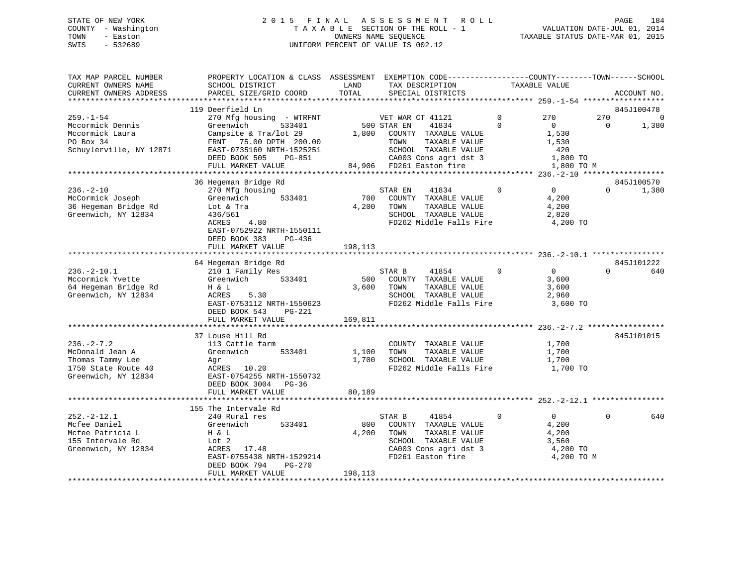## STATE OF NEW YORK 2 0 1 5 F I N A L A S S E S S M E N T R O L L PAGE 184 COUNTY - Washington T A X A B L E SECTION OF THE ROLL - 1 VALUATION DATE-JUL 01, 2014 TOWN - Easton OWNERS NAME SEQUENCE TAXABLE STATUS DATE-MAR 01, 2015 SWIS - 532689 UNIFORM PERCENT OF VALUE IS 002.12

| TAX MAP PARCEL NUMBER<br>CURRENT OWNERS NAME<br>CURRENT OWNERS ADDRESS                               | PROPERTY LOCATION & CLASS ASSESSMENT EXEMPTION CODE----------------COUNTY-------TOWN------SCHOOL<br>SCHOOL DISTRICT<br>PARCEL SIZE/GRID COORD                | LAND<br>TOTAL           | TAX DESCRIPTION<br>SPECIAL DISTRICTS                                                                                                   |                            | TAXABLE VALUE                                                       |                 | ACCOUNT NO.              |
|------------------------------------------------------------------------------------------------------|--------------------------------------------------------------------------------------------------------------------------------------------------------------|-------------------------|----------------------------------------------------------------------------------------------------------------------------------------|----------------------------|---------------------------------------------------------------------|-----------------|--------------------------|
|                                                                                                      |                                                                                                                                                              |                         |                                                                                                                                        |                            |                                                                     |                 |                          |
| $259. - 1 - 54$<br>Mccormick Dennis<br>Mccormick Laura<br>PO Box 34<br>Schuylerville, NY 12871       | 119 Deerfield Ln<br>270 Mfg housing - WTRFNT<br>Greenwich<br>533401<br>Campsite & Tra/lot 29<br>FRNT 75.00 DPTH 200.00<br>EAST-0735160 NRTH-1525251          |                         | VET WAR CT 41121<br>500 STAR EN<br>41834<br>1,800 COUNTY TAXABLE VALUE<br>TAXABLE VALUE<br>TOWN<br>SCHOOL TAXABLE VALUE                | $\overline{0}$<br>$\Omega$ | 270<br>$\overline{0}$<br>1,530<br>1,530<br>420                      | 270<br>$\Omega$ | 845J100478<br>0<br>1,380 |
|                                                                                                      | DEED BOOK 505<br>PG-851<br>FULL MARKET VALUE                                                                                                                 |                         | CA003 Cons agri dst 3<br>84,906 FD261 Easton fire                                                                                      |                            | 1,800 TO<br>1,800 TO M                                              |                 |                          |
|                                                                                                      | 36 Hegeman Bridge Rd                                                                                                                                         |                         |                                                                                                                                        |                            |                                                                     |                 | 845J100570               |
| $236. - 2 - 10$<br>McCormick Joseph<br>36 Hegeman Bridge Rd<br>Greenwich, NY 12834                   | 270 Mfg housing<br>533401<br>Greenwich<br>Lot & Tra<br>436/561<br>ACRES<br>4.80<br>EAST-0752922 NRTH-1550111<br>DEED BOOK 383<br>PG-436<br>FULL MARKET VALUE | 700<br>4,200<br>198,113 | STAR EN<br>41834<br>COUNTY TAXABLE VALUE<br>TOWN<br>TAXABLE VALUE<br>SCHOOL TAXABLE VALUE<br>FD262 Middle Falls Fire                   | $\mathbf{0}$               | $\overline{0}$<br>4,200<br>4,200<br>2,820<br>4,200 TO               | $\Omega$        | 1,380                    |
|                                                                                                      |                                                                                                                                                              |                         |                                                                                                                                        |                            |                                                                     |                 |                          |
|                                                                                                      | 64 Hegeman Bridge Rd                                                                                                                                         |                         |                                                                                                                                        |                            |                                                                     |                 | 845J101222               |
| $236. - 2 - 10.1$<br>Mccormick Yvette<br>64 Hegeman Bridge Rd<br>Greenwich, NY 12834                 | 210 1 Family Res<br>533401<br>Greenwich<br>H & L<br>ACRES<br>5.30<br>EAST-0753112 NRTH-1550623<br>DEED BOOK 543<br>PG-221                                    | 500                     | STAR B<br>41854<br>COUNTY TAXABLE VALUE<br>3,600 TOWN<br>TAXABLE VALUE<br>SCHOOL TAXABLE VALUE<br>FD262 Middle Falls Fire              | $\overline{0}$             | $\overline{0}$<br>3,600<br>3,600<br>2,960<br>3,600 TO               | $\Omega$        | 640                      |
|                                                                                                      | FULL MARKET VALUE                                                                                                                                            | 169,811                 |                                                                                                                                        |                            |                                                                     |                 |                          |
| $236. -2 - 7.2$<br>McDonald Jean A<br>Thomas Tammy Lee<br>1750 State Route 40<br>Greenwich, NY 12834 | 37 Louse Hill Rd<br>113 Cattle farm<br>Greenwich<br>533401<br>Agr<br>ACRES 10.20<br>EAST-0754255 NRTH-1550732<br>DEED BOOK 3004 PG-36                        | 1,100<br>1,700          | COUNTY TAXABLE VALUE<br>TOWN<br>TAXABLE VALUE<br>SCHOOL TAXABLE VALUE<br>FD262 Middle Falls Fire 1,700 TO                              |                            | 1,700<br>1,700<br>1,700                                             |                 | 845J101015               |
|                                                                                                      | FULL MARKET VALUE                                                                                                                                            | 80,189                  |                                                                                                                                        |                            |                                                                     |                 |                          |
|                                                                                                      | 155 The Intervale Rd                                                                                                                                         |                         |                                                                                                                                        |                            |                                                                     |                 |                          |
| $252 - 2 - 12.1$<br>Mcfee Daniel<br>Mcfee Patricia L<br>155 Intervale Rd<br>Greenwich, NY 12834      | 240 Rural res<br>Greenwich<br>533401<br>H & L<br>Lot 2<br>ACRES<br>17.48<br>EAST-0755438 NRTH-1529214<br>DEED BOOK 794<br>PG-270                             | 800<br>4,200            | 41854<br>STAR B<br>COUNTY TAXABLE VALUE<br>TOWN<br>TAXABLE VALUE<br>SCHOOL TAXABLE VALUE<br>CA003 Cons agri dst 3<br>FD261 Easton fire | $\mathbf 0$                | $\overline{0}$<br>4,200<br>4,200<br>3,560<br>4,200 TO<br>4,200 TO M | $\Omega$        | 640                      |
|                                                                                                      | FULL MARKET VALUE                                                                                                                                            | 198,113                 |                                                                                                                                        |                            |                                                                     |                 |                          |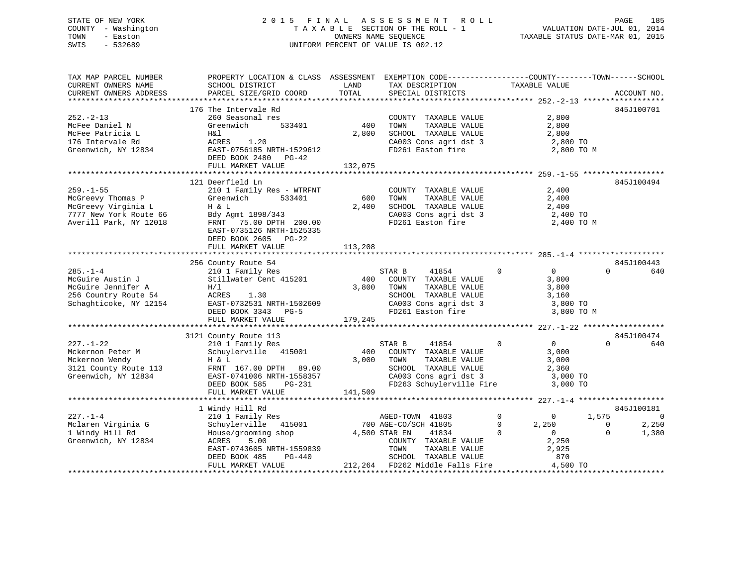## STATE OF NEW YORK 2 0 1 5 F I N A L A S S E S S M E N T R O L L PAGE 185 COUNTY - Washington T A X A B L E SECTION OF THE ROLL - 1 VALUATION DATE-JUL 01, 2014 TOWN - Easton OWNERS NAME SEQUENCE TAXABLE STATUS DATE-MAR 01, 2015 SWIS - 532689 UNIFORM PERCENT OF VALUE IS 002.12UNIFORM PERCENT OF VALUE IS 002.12

TAX MAP PARCEL NUMBER PROPERTY LOCATION & CLASS ASSESSMENT EXEMPTION CODE------------------COUNTY--------TOWN------SCHOOL

| CURRENT OWNERS NAME    | SCHOOL DISTRICT           | LAND    | TAX DESCRIPTION                 | TAXABLE VALUE                  |                         |
|------------------------|---------------------------|---------|---------------------------------|--------------------------------|-------------------------|
| CURRENT OWNERS ADDRESS | PARCEL SIZE/GRID COORD    | TOTAL   | SPECIAL DISTRICTS               |                                | ACCOUNT NO.             |
|                        |                           |         |                                 |                                |                         |
|                        | 176 The Intervale Rd      |         |                                 |                                | 845J100701              |
| $252 - 2 - 13$         | 260 Seasonal res          |         | COUNTY TAXABLE VALUE            | 2,800                          |                         |
| McFee Daniel N         | 533401<br>Greenwich       | 400     | TOWN<br>TAXABLE VALUE           | 2,800                          |                         |
| McFee Patricia L       | H&l                       | 2,800   | SCHOOL TAXABLE VALUE            | 2,800                          |                         |
| 176 Intervale Rd       | ACRES<br>1.20             |         | CA003 Cons agri dst 3           | 2,800 TO                       |                         |
| Greenwich, NY 12834    | EAST-0756185 NRTH-1529612 |         | FD261 Easton fire               | 2,800 TO M                     |                         |
|                        | DEED BOOK 2480<br>PG-42   |         |                                 |                                |                         |
|                        | FULL MARKET VALUE         | 132,075 |                                 |                                |                         |
|                        |                           |         |                                 |                                |                         |
|                        | 121 Deerfield Ln          |         |                                 |                                | 845J100494              |
| $259. - 1 - 55$        | 210 1 Family Res - WTRFNT |         | COUNTY TAXABLE VALUE            | 2,400                          |                         |
| McGreevy Thomas P      | Greenwich<br>533401       | 600     | TOWN<br>TAXABLE VALUE           | 2,400                          |                         |
| McGreevy Virginia L    | H & L                     | 2,400   | SCHOOL TAXABLE VALUE            | 2,400                          |                         |
| 7777 New York Route 66 | Bdy Agmt 1898/343         |         | CA003 Cons agri dst 3           | 2,400 TO                       |                         |
| Averill Park, NY 12018 | FRNT 75.00 DPTH 200.00    |         | FD261 Easton fire               | 2,400 TO M                     |                         |
|                        | EAST-0735126 NRTH-1525335 |         |                                 |                                |                         |
|                        | DEED BOOK 2605<br>$PG-22$ |         |                                 |                                |                         |
|                        | FULL MARKET VALUE         | 113,208 |                                 |                                |                         |
|                        |                           |         |                                 |                                |                         |
|                        | 256 County Route 54       |         |                                 |                                | 845J100443              |
| $285. - 1 - 4$         | 210 1 Family Res          |         | STAR B<br>41854                 | $\mathbf 0$<br>$\overline{0}$  | $\cap$<br>640           |
| McGuire Austin J       | Stillwater Cent 415201    | 400     | COUNTY TAXABLE VALUE            | 3,800                          |                         |
| McGuire Jennifer A     | H/1                       | 3,800   | TOWN<br>TAXABLE VALUE           | 3,800                          |                         |
| 256 Country Route 54   | 1.30<br>ACRES             |         | SCHOOL TAXABLE VALUE            | 3,160                          |                         |
| Schaghticoke, NY 12154 | EAST-0732531 NRTH-1502609 |         | CA003 Cons agri dst 3           | 3,800 TO                       |                         |
|                        | DEED BOOK 3343 PG-5       |         | FD261 Easton fire               | 3,800 TO M                     |                         |
|                        | FULL MARKET VALUE         | 179,245 |                                 |                                |                         |
|                        |                           |         |                                 |                                |                         |
|                        | 3121 County Route 113     |         |                                 |                                | 845J100474              |
| $227. - 1 - 22$        | 210 1 Family Res          |         | STAR B<br>41854                 | $\mathbf 0$<br>$\overline{0}$  | $\Omega$<br>640         |
| Mckernon Peter M       | Schuylerville 415001      | 400     | COUNTY TAXABLE VALUE            | 3,000                          |                         |
| Mckernon Wendy         | H & L                     | 3,000   | TOWN<br>TAXABLE VALUE           | 3,000                          |                         |
| 3121 County Route 113  | FRNT 167.00 DPTH 89.00    |         | SCHOOL TAXABLE VALUE            | 2,360                          |                         |
| Greenwich, NY 12834    | EAST-0741006 NRTH-1558357 |         | CA003 Cons agri dst 3           | 3,000 TO                       |                         |
|                        | DEED BOOK 585<br>PG-231   |         | FD263 Schuylerville Fire        | 3,000 TO                       |                         |
|                        | FULL MARKET VALUE         | 141,509 |                                 |                                |                         |
|                        |                           |         |                                 |                                |                         |
|                        | 1 Windy Hill Rd           |         |                                 |                                | 845J100181              |
| $227. - 1 - 4$         | 210 1 Family Res          |         | AGED-TOWN 41803                 | $\mathbf 0$<br>$\mathbf{0}$    | 1,575<br>$\mathsf{C}$   |
| Mclaren Virginia G     | Schuylerville 415001      |         | 700 AGE-CO/SCH 41805            | 2,250<br>$\mathbf{0}$          | 2,250<br>$\overline{0}$ |
| 1 Windy Hill Rd        | House/grooming shop       |         | 4,500 STAR EN<br>41834          | $\overline{0}$<br>$\mathbf{0}$ | $\Omega$<br>1,380       |
| Greenwich, NY 12834    | ACRES<br>5.00             |         | COUNTY TAXABLE VALUE            | 2,250                          |                         |
|                        | EAST-0743605 NRTH-1559839 |         | TOWN<br>TAXABLE VALUE           | 2,925                          |                         |
|                        | DEED BOOK 485<br>PG-440   |         | SCHOOL TAXABLE VALUE            | 870                            |                         |
|                        | FULL MARKET VALUE         |         | 212,264 FD262 Middle Falls Fire | 4,500 TO                       |                         |
|                        |                           |         |                                 |                                |                         |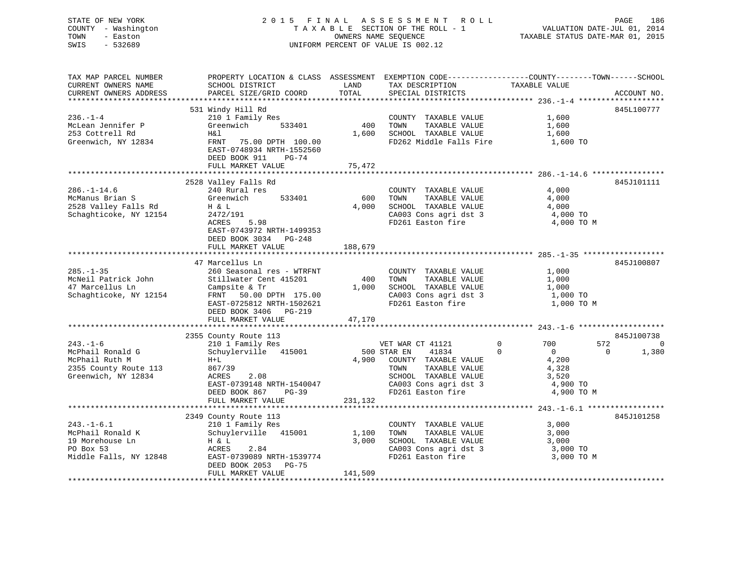## STATE OF NEW YORK 2 0 1 5 F I N A L A S S E S S M E N T R O L L PAGE 186 COUNTY - Washington T A X A B L E SECTION OF THE ROLL - 1 VALUATION DATE-JUL 01, 2014 TOWN - Easton **CONNERS NAME SEQUENCE** TAXABLE STATUS DATE-MAR 01, 2015 SWIS - 532689 UNIFORM PERCENT OF VALUE IS 002.12

| TAX MAP PARCEL NUMBER  | PROPERTY LOCATION & CLASS ASSESSMENT EXEMPTION CODE----------------COUNTY-------TOWN------SCHOOL |         |                                            |                                          |                |
|------------------------|--------------------------------------------------------------------------------------------------|---------|--------------------------------------------|------------------------------------------|----------------|
| CURRENT OWNERS NAME    | SCHOOL DISTRICT                                                                                  | LAND    | TAX DESCRIPTION                            | TAXABLE VALUE                            |                |
| CURRENT OWNERS ADDRESS | PARCEL SIZE/GRID COORD                                                                           | TOTAL   | SPECIAL DISTRICTS                          |                                          | ACCOUNT NO.    |
|                        |                                                                                                  |         |                                            |                                          |                |
|                        | 531 Windy Hill Rd                                                                                |         |                                            |                                          | 845L100777     |
| $236. - 1 - 4$         | 210 1 Family Res                                                                                 |         | COUNTY TAXABLE VALUE                       | 1,600                                    |                |
| McLean Jennifer P      | 533401<br>Greenwich                                                                              | 400     | TAXABLE VALUE<br>TOWN                      | 1,600                                    |                |
| 253 Cottrell Rd        | H&l                                                                                              | 1,600   | SCHOOL TAXABLE VALUE                       | 1,600                                    |                |
| Greenwich, NY 12834    | FRNT 75.00 DPTH 100.00                                                                           |         | FD262 Middle Falls Fire                    | 1,600 TO                                 |                |
|                        | EAST-0748934 NRTH-1552560                                                                        |         |                                            |                                          |                |
|                        | DEED BOOK 911<br>PG-74                                                                           |         |                                            |                                          |                |
|                        | FULL MARKET VALUE                                                                                | 75,472  |                                            |                                          |                |
|                        |                                                                                                  |         |                                            |                                          |                |
|                        | 2528 Valley Falls Rd                                                                             |         |                                            |                                          | 845J101111     |
| $286. - 1 - 14.6$      | 240 Rural res                                                                                    |         | COUNTY TAXABLE VALUE                       | 4,000                                    |                |
| McManus Brian S        | 533401<br>Greenwich                                                                              | 600     | TAXABLE VALUE<br>TOWN                      | 4,000                                    |                |
| 2528 Valley Falls Rd   | H & L                                                                                            | 4,000   | SCHOOL TAXABLE VALUE                       | 4,000                                    |                |
| Schaghticoke, NY 12154 | 2472/191                                                                                         |         | CA003 Cons agri dst 3<br>FD261 Easton fire | 4,000 TO                                 |                |
|                        | ACRES<br>5.98                                                                                    |         |                                            | 4,000 TO M                               |                |
|                        | EAST-0743972 NRTH-1499353                                                                        |         |                                            |                                          |                |
|                        | DEED BOOK 3034 PG-248                                                                            |         |                                            |                                          |                |
|                        | FULL MARKET VALUE                                                                                | 188,679 |                                            |                                          |                |
|                        |                                                                                                  |         |                                            |                                          |                |
|                        | 47 Marcellus Ln                                                                                  |         |                                            |                                          | 845J100807     |
| $285. - 1 - 35$        | 260 Seasonal res - WTRFNT                                                                        |         | COUNTY TAXABLE VALUE                       | 1,000                                    |                |
| McNeil Patrick John    | Stillwater Cent 415201                                                                           | 400     | TAXABLE VALUE<br>TOWN                      | 1,000                                    |                |
| 47 Marcellus Ln        | Campsite & Tr                                                                                    | 1,000   | SCHOOL TAXABLE VALUE                       | 1,000                                    |                |
| Schaghticoke, NY 12154 | FRNT 50.00 DPTH 175.00                                                                           |         | CA003 Cons agri dst 3                      | $1,000$ TO                               |                |
|                        | EAST-0725812 NRTH-1502621                                                                        |         | FD261 Easton fire                          | 1,000 TO M                               |                |
|                        | DEED BOOK 3406 PG-219                                                                            |         |                                            |                                          |                |
|                        | FULL MARKET VALUE                                                                                | 47,170  |                                            |                                          |                |
|                        |                                                                                                  |         |                                            |                                          |                |
|                        | 2355 County Route 113                                                                            |         |                                            |                                          | 845J100738     |
| $243. - 1 - 6$         | 210 1 Family Res                                                                                 |         | VET WAR CT 41121                           | 572<br>$\mathbf 0$<br>700                | $\overline{0}$ |
| McPhail Ronald G       | Schuylerville 415001                                                                             |         | 500 STAR EN<br>41834                       | $\bigcirc$<br>$\overline{0}$<br>$\Omega$ | 1,380          |
| McPhail Ruth M         | $H+L$                                                                                            |         | 4,900 COUNTY TAXABLE VALUE                 | 4,200                                    |                |
| 2355 County Route 113  | 867/39                                                                                           |         | TOWN<br>TAXABLE VALUE                      | 4,328                                    |                |
| Greenwich, NY 12834    | ACRES<br>2.08                                                                                    |         | SCHOOL TAXABLE VALUE                       | 3,520                                    |                |
|                        | EAST-0739148 NRTH-1540047                                                                        |         | CA003 Cons agri dst 3                      | 4,900 TO                                 |                |
|                        | DEED BOOK 867<br>PG-39                                                                           |         | FD261 Easton fire                          | 4,900 TO M                               |                |
|                        | FULL MARKET VALUE                                                                                | 231,132 |                                            |                                          |                |
|                        |                                                                                                  |         |                                            |                                          |                |
|                        | 2349 County Route 113                                                                            |         |                                            |                                          | 845J101258     |
| $243. -1 - 6.1$        | 210 1 Family Res                                                                                 |         | COUNTY TAXABLE VALUE                       | 3,000                                    |                |
| McPhail Ronald K       | Schuylerville 415001                                                                             | 1,100   | TOWN<br>TAXABLE VALUE                      | 3,000                                    |                |
| 19 Morehouse Ln        | H & L                                                                                            | 3,000   | SCHOOL TAXABLE VALUE                       | 3,000                                    |                |
| PO Box 53              | ACRES<br>2.84                                                                                    |         | CA003 Cons agri dst 3                      | 3,000 TO                                 |                |
| Middle Falls, NY 12848 | EAST-0739089 NRTH-1539774                                                                        |         | FD261 Easton fire                          | 3,000 TO M                               |                |
|                        | DEED BOOK 2053 PG-75                                                                             |         |                                            |                                          |                |
|                        | FULL MARKET VALUE                                                                                | 141,509 |                                            |                                          |                |
|                        |                                                                                                  |         |                                            |                                          |                |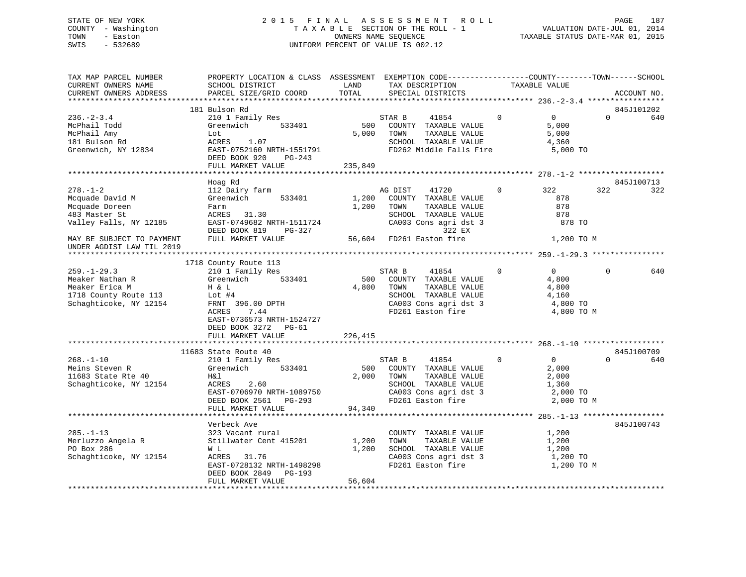## STATE OF NEW YORK 2 0 1 5 F I N A L A S S E S S M E N T R O L L PAGE 187 COUNTY - Washington T A X A B L E SECTION OF THE ROLL - 1 VALUATION DATE-JUL 01, 2014 TOWN - Easton OWNERS NAME SEQUENCE TAXABLE STATUS DATE-MAR 01, 2015 SWIS - 532689 UNIFORM PERCENT OF VALUE IS 002.12

| TAX MAP PARCEL NUMBER<br>CURRENT OWNERS NAME<br>CURRENT OWNERS ADDRESS                                                      | PROPERTY LOCATION & CLASS ASSESSMENT EXEMPTION CODE----------------COUNTY-------TOWN------SCHOOL<br>SCHOOL DISTRICT<br>PARCEL SIZE/GRID COORD                                          | LAND<br>TOTAL          | TAX DESCRIPTION<br>SPECIAL DISTRICTS                                                                                                                     | TAXABLE VALUE                                                                      | ACCOUNT NO.                   |
|-----------------------------------------------------------------------------------------------------------------------------|----------------------------------------------------------------------------------------------------------------------------------------------------------------------------------------|------------------------|----------------------------------------------------------------------------------------------------------------------------------------------------------|------------------------------------------------------------------------------------|-------------------------------|
|                                                                                                                             |                                                                                                                                                                                        |                        |                                                                                                                                                          |                                                                                    |                               |
| $236. - 2 - 3.4$<br>McPhail Todd<br>McPhail Amy<br>181 Bulson Rd<br>Greenwich, NY 12834                                     | 181 Bulson Rd<br>210 1 Family Res<br>Greenwich<br>533401<br>Lot<br>ACRES 1.07<br>EAST-0752160 NRTH-1551791<br>DEED BOOK 920<br>PG-243                                                  | 500<br>5,000           | STAR B<br>41854<br>COUNTY TAXABLE VALUE<br>TOWN<br>TAXABLE VALUE<br>SCHOOL TAXABLE VALUE<br>FD262 Middle Falls Fire                                      | $\overline{0}$<br>$\overline{0}$<br>5,000<br>5,000<br>4,360<br>5,000 TO            | 845J101202<br>$\Omega$<br>640 |
|                                                                                                                             | FULL MARKET VALUE                                                                                                                                                                      | 235,849                |                                                                                                                                                          |                                                                                    |                               |
|                                                                                                                             |                                                                                                                                                                                        |                        |                                                                                                                                                          |                                                                                    |                               |
| $278. - 1 - 2$<br>Mcquade David M<br>Mcquade Doreen<br>483 Master St<br>Valley Falls, NY 12185<br>MAY BE SUBJECT TO PAYMENT | Hoag Rd<br>112 Dairy farm<br>533401<br>Greenwich<br>Farm<br>ACRES 31.30<br>EAST-0749682 NRTH-1511724<br>DEED BOOK 819<br>PG-327<br>FULL MARKET VALUE                                   | 1,200<br>1,200         | AG DIST<br>41720<br>COUNTY TAXABLE VALUE<br>TOWN<br>TAXABLE VALUE<br>SCHOOL TAXABLE VALUE<br>CA003 Cons agri dst 3<br>322 EX<br>56,604 FD261 Easton fire | 322<br>$\Omega$<br>878<br>878<br>878<br>878 TO<br>1,200 TO M                       | 845J100713<br>322<br>322      |
| UNDER AGDIST LAW TIL 2019                                                                                                   |                                                                                                                                                                                        |                        |                                                                                                                                                          |                                                                                    |                               |
|                                                                                                                             |                                                                                                                                                                                        |                        |                                                                                                                                                          |                                                                                    |                               |
| $259. - 1 - 29.3$<br>Meaker Nathan R<br>Meaker Erica M<br>1718 County Route 113<br>Schaghticoke, NY 12154                   | 1718 County Route 113<br>210 1 Family Res<br>533401<br>Greenwich<br>H & L<br>Lot $#4$<br>FRNT 396.00 DPTH<br><b>ACRES</b><br>7.44<br>EAST-0736573 NRTH-1524727<br>DEED BOOK 3272 PG-61 | 500<br>4,800           | STAR B<br>41854<br>COUNTY TAXABLE VALUE<br>TOWN<br>TAXABLE VALUE<br>SCHOOL TAXABLE VALUE<br>CA003 Cons agri dst 3<br>FD261 Easton fire                   | $\mathbf 0$<br>$\overline{0}$<br>4,800<br>4,800<br>4,160<br>4,800 TO<br>4,800 TO M | $\Omega$<br>640               |
|                                                                                                                             | FULL MARKET VALUE                                                                                                                                                                      | 226,415                |                                                                                                                                                          |                                                                                    |                               |
|                                                                                                                             |                                                                                                                                                                                        |                        |                                                                                                                                                          |                                                                                    |                               |
| $268. - 1 - 10$<br>Meins Steven R<br>11683 State Rte 40<br>Schaghticoke, NY 12154                                           | 11683 State Route 40<br>210 1 Family Res<br>533401<br>Greenwich<br>H&l<br>ACRES<br>2.60<br>EAST-0706970 NRTH-1089750<br>DEED BOOK 2561 PG-293<br>FULL MARKET VALUE                     | 500<br>2,000<br>94,340 | STAR B<br>41854<br>COUNTY TAXABLE VALUE<br>TOWN<br>TAXABLE VALUE<br>SCHOOL TAXABLE VALUE<br>CA003 Cons agri dst 3<br>FD261 Easton fire                   | $\overline{0}$<br>$\Omega$<br>2,000<br>2,000<br>1,360<br>2,000 TO<br>2,000 TO M    | 845J100709<br>$\Omega$<br>640 |
|                                                                                                                             |                                                                                                                                                                                        |                        |                                                                                                                                                          |                                                                                    |                               |
| $285. - 1 - 13$<br>Merluzzo Angela R<br>PO Box 286<br>Schaghticoke, NY 12154                                                | Verbeck Ave<br>323 Vacant rural<br>Stillwater Cent 415201<br>W L<br>ACRES 31.76<br>EAST-0728132 NRTH-1498298<br>DEED BOOK 2849<br>PG-193                                               | 1,200<br>1,200         | COUNTY TAXABLE VALUE<br>TOWN<br>TAXABLE VALUE<br>SCHOOL TAXABLE VALUE<br>CA003 Cons agri dst 3<br>FD261 Easton fire                                      | 1,200<br>1,200<br>1,200<br>1,200 TO<br>1,200 TO M                                  | 845J100743                    |
|                                                                                                                             | FULL MARKET VALUE                                                                                                                                                                      | 56,604                 |                                                                                                                                                          |                                                                                    |                               |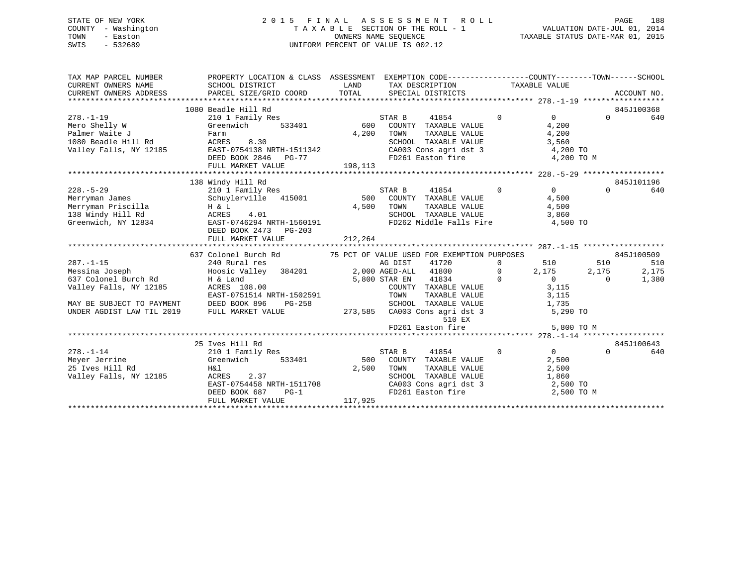## STATE OF NEW YORK 2 0 1 5 F I N A L A S S E S S M E N T R O L L PAGE 188 COUNTY - Washington T A X A B L E SECTION OF THE ROLL - 1 VALUATION DATE-JUL 01, 2014 TOWN - Easton OWNERS NAME SEQUENCE TAXABLE STATUS DATE-MAR 01, 2015 SWIS - 532689 UNIFORM PERCENT OF VALUE IS 002.12

| TAX MAP PARCEL NUMBER<br>CURRENT OWNERS NAME<br>CURRENT OWNERS ADDRESS                                                                        | PROPERTY LOCATION & CLASS ASSESSMENT EXEMPTION CODE----------------COUNTY-------TOWN------SCHOOL<br>SCHOOL DISTRICT<br>PARCEL SIZE/GRID COORD TOTAL                                         | LAND             | TAX DESCRIPTION TAXABLE VALUE<br>SPECIAL DISTRICTS                                                                                                                                                                              |                                                                      |                                                                            |                          | ACCOUNT NO.                         |
|-----------------------------------------------------------------------------------------------------------------------------------------------|---------------------------------------------------------------------------------------------------------------------------------------------------------------------------------------------|------------------|---------------------------------------------------------------------------------------------------------------------------------------------------------------------------------------------------------------------------------|----------------------------------------------------------------------|----------------------------------------------------------------------------|--------------------------|-------------------------------------|
| $278. - 1 - 19$<br>Mero Shelly W<br>Palmer Waite J<br>1080 Beadle Hill Rd<br>Valley Falls, NY 12185                                           | 1080 Beadle Hill Rd<br>210 1 Family Res<br>Greenwich<br>533401<br>Farm<br>ACRES<br>8.30<br>EAST-0754138 NRTH-1511342                                                                        | 600<br>4,200     | STAR B<br>41854<br>COUNTY TAXABLE VALUE<br>TOWN TAXABLE VALUE<br>SCHOOL TAXABLE VALUE<br>CA003 Cons agri dst 3 4,200 TO                                                                                                         | $\Omega$                                                             | $\Omega$<br>4,200<br>4,200<br>3,560                                        | $\Omega$                 | 845J100368<br>640                   |
| $228. - 5 - 29$                                                                                                                               | 138 Windy Hill Rd<br>210 1 Family Res<br>Schuylerville 415001<br>DEED BOOK 2473 PG-203                                                                                                      | 4,500            | STAR B<br>41854<br>500 COUNTY TAXABLE VALUE<br>TOWN                                                                                                                                                                             | $\Omega$                                                             | $\Omega$<br>4,500                                                          | $\Omega$                 | 845J101196<br>640                   |
| $287. - 1 - 15$<br>Messina Joseph<br>637 Colonel Burch Rd<br>Valley Falls, NY 12185<br>MAY BE SUBJECT TO PAYMENT<br>UNDER AGDIST LAW TIL 2019 | 637 Colonel Burch Rd<br>240 Rural res<br>Hoosic Valley 384201 2,000 AGED-ALL 41800<br>H & Land<br>ACRES 108.00<br>EAST-0751514 NRTH-1502591<br>DEED BOOK 896<br>PG-258<br>FULL MARKET VALUE |                  | 75 PCT OF VALUE USED FOR EXEMPTION PURPOSES<br>AG DIST<br>41720<br>5,800 STAR EN 41834<br>COUNTY TAXABLE VALUE<br>TAXABLE VALUE<br>TOWN<br>SCHOOL TAXABLE VALUE<br>273,585 CA003 Cons agri dst 3<br>510 EX<br>FD261 Easton fire | $\mathbf{0}$<br>$\overline{0}$<br>$\overline{0}$<br>$1,735$<br>5,290 | 510<br>2,175<br>$\overline{0}$<br>3,115<br>3,115<br>5,290 TO<br>5,800 TO M | 510<br>2,175<br>$\Omega$ | 845J100509<br>510<br>2,175<br>1,380 |
| $278. - 1 - 14$<br>Meyer Jerrine<br>25 Ives Hill Rd<br>Valley Falls, NY 12185                                                                 | 25 Ives Hill Rd<br>210 1 Family Res<br>533401<br>Greenwich<br>H&l<br>2.37<br>ACRES<br>EAST-0754458 NRTH-1511708<br>DEED BOOK 687<br>$PG-1$<br>FULL MARKET VALUE                             | 2,500<br>117,925 | STAR B<br>41854<br>500 COUNTY TAXABLE VALUE<br>TAXABLE VALUE<br>TOWN<br>SCHOOL TAXABLE VALUE<br>CA003 Cons agri dst 3<br>FD261 Easton fire                                                                                      | $\overline{0}$                                                       | $0 \qquad \qquad$<br>2,500<br>2,500<br>1,860<br>2,500 TO<br>2,500 TO M     | $\Omega$                 | 845J100643<br>640                   |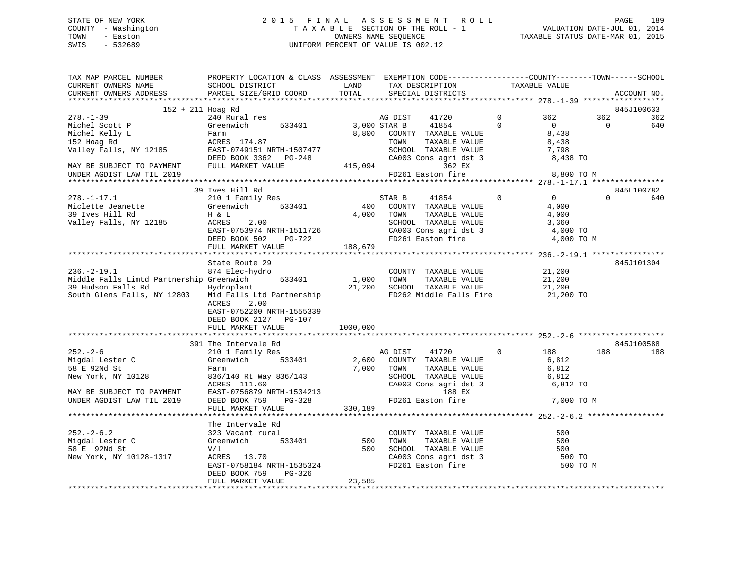## STATE OF NEW YORK 2 0 1 5 F I N A L A S S E S S M E N T R O L L PAGE 189 COUNTY - Washington T A X A B L E SECTION OF THE ROLL - 1 VALUATION DATE-JUL 01, 2014 TOWN - Easton OWNERS NAME SEQUENCE TAXABLE STATUS DATE-MAR 01, 2015 SWIS - 532689 UNIFORM PERCENT OF VALUE IS 002.12

| LAND TAX DESCRIPTION<br>TOTAL SPECIAL DISTRICTS<br>SCHOOL DISTRICT<br>PARCEL SIZE/GRID COORD<br>CURRENT OWNERS ADDRESS<br>ACCOUNT NO.<br>152 + 211 Hoag Rd<br>845J100633<br>240 Rural res<br>$\Omega$<br>362<br>362<br>AG DIST<br>41720<br>362<br>3,000 STAR B 41854<br>Greenwich 533401<br>$\Omega$<br>$\overline{0}$<br>$\overline{0}$<br>640<br>Michel Scott P<br>8,800 COUNTY TAXABLE VALUE<br>8,438<br>Michel Kelly L<br>Farm<br>152 Hoag Rd<br>152 Hoag Rd<br>152 Hoag Rd<br>152 Hoag Rd<br>162 Hoag Rd<br>174.87<br>174.87<br>174.87<br>174.87<br>174.87<br>174.87<br>174.87<br>174.87<br>174.97<br>174.97<br>175.87<br>175.9749151<br>187.97-248<br>179.92<br>179.92<br>179.92<br>179.92<br>179.92<br>179.<br>TAXABLE VALUE<br>TOWN<br>8,438<br>SCHOOL TAXABLE VALUE 7,798<br>CA003 Cons agri dst 3 3 8,438 TO<br>CA003 Cons<br>8 CA003 Cons<br>362 EX<br>FD261 Easton fire<br>UNDER AGDIST LAW TIL 2019<br>8,800 TO M<br>39 Ives Hill Rd<br>845L100782<br>$278. - 1 - 17.1$<br>210 1 Family Res<br>$\overline{0}$<br>STAR B 41854 0<br>400 COUNTY TAXABLE VALUE<br>$\Omega$<br>640<br>Greenwich 533401<br>H & L<br>ACRES 2.00<br>Greenwich 533401<br>4,000<br>278.-1-17.-<br>Miclette Jeanette<br>^^ Two Hill Rd<br>TAXABLE VALUE<br>4,000 TOWN<br>4,000<br>Valley Falls, NY 12185<br>SCHOOL TAXABLE VALUE<br>CA003 Cons agri dst 3 (4,000 TO<br>FD261 Easton fire (4,000 TO<br>EAST-0753974 NRTH-1511726<br>DEED BOOK 502 PG-722<br>4,000 TO M<br>FULL MARKET VALUE 188,679<br>State Route 29<br>845J101304<br>$236. - 2 - 19.1$<br>COUNTY TAXABLE VALUE 21,200<br>874 Elec-hydro<br>Middle Falls Limtd Partnership Greenwich 533401<br>39 Hudson Falls Rd Hydroplant<br>1,000 TOWN<br>TAXABLE VALUE<br>21,200<br>21,200 SCHOOL TAXABLE VALUE<br>Hydroplant<br>21,200<br>South Glens Falls, NY 12803 Mid Falls Ltd Partnership<br>FD262 Middle Falls Fire<br>21,200 TO<br>2.00<br>ACRES<br>EAST-0752200 NRTH-1555339<br>DEED BOOK 2127 PG-107<br>1000,000<br>FULL MARKET VALUE<br>845J100588<br>391 The Intervale Rd<br>AG DIST 41720 0<br>$252 - 2 - 6$<br>188<br>188<br>188<br>210 1 Family Res<br>Greenwich 533401<br>Migdal Lester C<br>2,600 COUNTY TAXABLE VALUE<br>6,812<br>58 E 92Nd St<br>7,000 TOWN<br>TAXABLE VALUE<br>6,812<br>Farm<br>836/140 Rt Way 836/143<br>ACRES 111.60<br>SCHOOL TAXABLE VALUE 6,812<br>New York, NY 10128<br>CA003 Cons agri dst 3<br>6,812 TO<br>EAST-0756879 NRTH-1534213<br>DEED BOOK 759 PG-328<br>MAY BE SUBJECT TO PAYMENT<br>UNDER AGDIST LAW TIL 2019<br>188 EX<br>FD261 Easton fire<br>7,000 TO M<br>FULL MARKET VALUE<br>330,189<br>The Intervale Rd<br>323 Vacant rural<br>COUNTY<br>500 TOWN<br>$252 - 2 - 6.2$<br>COUNTY TAXABLE VALUE<br>500<br>Greenwich 533401 500 TOWN TAXABLE VALUE<br>V/1 500 SCHOOL TAXABLE VALUE<br>ACRES 13.70 CA003 Cons agri dst 3<br>TAXABLE VALUE<br>Migdal Lester C<br>500<br>58 E 92Nd St<br>500<br>New York, NY 10128-1317<br>CA003 Cons agri dst 3<br>FD261 Easton fire<br>500 TO<br>EAST-0758184 NRTH-1535324<br>500 TO M<br>DEED BOOK 759<br>PG-326<br>FULL MARKET VALUE<br>23,585 | TAX MAP PARCEL NUMBER<br>CURRENT OWNERS NAME | PROPERTY LOCATION & CLASS ASSESSMENT EXEMPTION CODE----------------COUNTY-------TOWN------SCHOOL<br>SCHOOL DISTRICT | LAND |  | TAXABLE VALUE |  |
|----------------------------------------------------------------------------------------------------------------------------------------------------------------------------------------------------------------------------------------------------------------------------------------------------------------------------------------------------------------------------------------------------------------------------------------------------------------------------------------------------------------------------------------------------------------------------------------------------------------------------------------------------------------------------------------------------------------------------------------------------------------------------------------------------------------------------------------------------------------------------------------------------------------------------------------------------------------------------------------------------------------------------------------------------------------------------------------------------------------------------------------------------------------------------------------------------------------------------------------------------------------------------------------------------------------------------------------------------------------------------------------------------------------------------------------------------------------------------------------------------------------------------------------------------------------------------------------------------------------------------------------------------------------------------------------------------------------------------------------------------------------------------------------------------------------------------------------------------------------------------------------------------------------------------------------------------------------------------------------------------------------------------------------------------------------------------------------------------------------------------------------------------------------------------------------------------------------------------------------------------------------------------------------------------------------------------------------------------------------------------------------------------------------------------------------------------------------------------------------------------------------------------------------------------------------------------------------------------------------------------------------------------------------------------------------------------------------------------------------------------------------------------------------------------------------------------------------------------------------------------------------------------------------------------------------------------------------------------------------------------------------------------------------------------------------------------------|----------------------------------------------|---------------------------------------------------------------------------------------------------------------------|------|--|---------------|--|
|                                                                                                                                                                                                                                                                                                                                                                                                                                                                                                                                                                                                                                                                                                                                                                                                                                                                                                                                                                                                                                                                                                                                                                                                                                                                                                                                                                                                                                                                                                                                                                                                                                                                                                                                                                                                                                                                                                                                                                                                                                                                                                                                                                                                                                                                                                                                                                                                                                                                                                                                                                                                                                                                                                                                                                                                                                                                                                                                                                                                                                                                                  |                                              |                                                                                                                     |      |  |               |  |
|                                                                                                                                                                                                                                                                                                                                                                                                                                                                                                                                                                                                                                                                                                                                                                                                                                                                                                                                                                                                                                                                                                                                                                                                                                                                                                                                                                                                                                                                                                                                                                                                                                                                                                                                                                                                                                                                                                                                                                                                                                                                                                                                                                                                                                                                                                                                                                                                                                                                                                                                                                                                                                                                                                                                                                                                                                                                                                                                                                                                                                                                                  |                                              |                                                                                                                     |      |  |               |  |
|                                                                                                                                                                                                                                                                                                                                                                                                                                                                                                                                                                                                                                                                                                                                                                                                                                                                                                                                                                                                                                                                                                                                                                                                                                                                                                                                                                                                                                                                                                                                                                                                                                                                                                                                                                                                                                                                                                                                                                                                                                                                                                                                                                                                                                                                                                                                                                                                                                                                                                                                                                                                                                                                                                                                                                                                                                                                                                                                                                                                                                                                                  |                                              |                                                                                                                     |      |  |               |  |
|                                                                                                                                                                                                                                                                                                                                                                                                                                                                                                                                                                                                                                                                                                                                                                                                                                                                                                                                                                                                                                                                                                                                                                                                                                                                                                                                                                                                                                                                                                                                                                                                                                                                                                                                                                                                                                                                                                                                                                                                                                                                                                                                                                                                                                                                                                                                                                                                                                                                                                                                                                                                                                                                                                                                                                                                                                                                                                                                                                                                                                                                                  | $278. - 1 - 39$                              |                                                                                                                     |      |  |               |  |
|                                                                                                                                                                                                                                                                                                                                                                                                                                                                                                                                                                                                                                                                                                                                                                                                                                                                                                                                                                                                                                                                                                                                                                                                                                                                                                                                                                                                                                                                                                                                                                                                                                                                                                                                                                                                                                                                                                                                                                                                                                                                                                                                                                                                                                                                                                                                                                                                                                                                                                                                                                                                                                                                                                                                                                                                                                                                                                                                                                                                                                                                                  |                                              |                                                                                                                     |      |  |               |  |
|                                                                                                                                                                                                                                                                                                                                                                                                                                                                                                                                                                                                                                                                                                                                                                                                                                                                                                                                                                                                                                                                                                                                                                                                                                                                                                                                                                                                                                                                                                                                                                                                                                                                                                                                                                                                                                                                                                                                                                                                                                                                                                                                                                                                                                                                                                                                                                                                                                                                                                                                                                                                                                                                                                                                                                                                                                                                                                                                                                                                                                                                                  |                                              |                                                                                                                     |      |  |               |  |
|                                                                                                                                                                                                                                                                                                                                                                                                                                                                                                                                                                                                                                                                                                                                                                                                                                                                                                                                                                                                                                                                                                                                                                                                                                                                                                                                                                                                                                                                                                                                                                                                                                                                                                                                                                                                                                                                                                                                                                                                                                                                                                                                                                                                                                                                                                                                                                                                                                                                                                                                                                                                                                                                                                                                                                                                                                                                                                                                                                                                                                                                                  |                                              |                                                                                                                     |      |  |               |  |
|                                                                                                                                                                                                                                                                                                                                                                                                                                                                                                                                                                                                                                                                                                                                                                                                                                                                                                                                                                                                                                                                                                                                                                                                                                                                                                                                                                                                                                                                                                                                                                                                                                                                                                                                                                                                                                                                                                                                                                                                                                                                                                                                                                                                                                                                                                                                                                                                                                                                                                                                                                                                                                                                                                                                                                                                                                                                                                                                                                                                                                                                                  |                                              |                                                                                                                     |      |  |               |  |
|                                                                                                                                                                                                                                                                                                                                                                                                                                                                                                                                                                                                                                                                                                                                                                                                                                                                                                                                                                                                                                                                                                                                                                                                                                                                                                                                                                                                                                                                                                                                                                                                                                                                                                                                                                                                                                                                                                                                                                                                                                                                                                                                                                                                                                                                                                                                                                                                                                                                                                                                                                                                                                                                                                                                                                                                                                                                                                                                                                                                                                                                                  |                                              |                                                                                                                     |      |  |               |  |
|                                                                                                                                                                                                                                                                                                                                                                                                                                                                                                                                                                                                                                                                                                                                                                                                                                                                                                                                                                                                                                                                                                                                                                                                                                                                                                                                                                                                                                                                                                                                                                                                                                                                                                                                                                                                                                                                                                                                                                                                                                                                                                                                                                                                                                                                                                                                                                                                                                                                                                                                                                                                                                                                                                                                                                                                                                                                                                                                                                                                                                                                                  |                                              |                                                                                                                     |      |  |               |  |
|                                                                                                                                                                                                                                                                                                                                                                                                                                                                                                                                                                                                                                                                                                                                                                                                                                                                                                                                                                                                                                                                                                                                                                                                                                                                                                                                                                                                                                                                                                                                                                                                                                                                                                                                                                                                                                                                                                                                                                                                                                                                                                                                                                                                                                                                                                                                                                                                                                                                                                                                                                                                                                                                                                                                                                                                                                                                                                                                                                                                                                                                                  |                                              |                                                                                                                     |      |  |               |  |
|                                                                                                                                                                                                                                                                                                                                                                                                                                                                                                                                                                                                                                                                                                                                                                                                                                                                                                                                                                                                                                                                                                                                                                                                                                                                                                                                                                                                                                                                                                                                                                                                                                                                                                                                                                                                                                                                                                                                                                                                                                                                                                                                                                                                                                                                                                                                                                                                                                                                                                                                                                                                                                                                                                                                                                                                                                                                                                                                                                                                                                                                                  |                                              |                                                                                                                     |      |  |               |  |
|                                                                                                                                                                                                                                                                                                                                                                                                                                                                                                                                                                                                                                                                                                                                                                                                                                                                                                                                                                                                                                                                                                                                                                                                                                                                                                                                                                                                                                                                                                                                                                                                                                                                                                                                                                                                                                                                                                                                                                                                                                                                                                                                                                                                                                                                                                                                                                                                                                                                                                                                                                                                                                                                                                                                                                                                                                                                                                                                                                                                                                                                                  |                                              |                                                                                                                     |      |  |               |  |
|                                                                                                                                                                                                                                                                                                                                                                                                                                                                                                                                                                                                                                                                                                                                                                                                                                                                                                                                                                                                                                                                                                                                                                                                                                                                                                                                                                                                                                                                                                                                                                                                                                                                                                                                                                                                                                                                                                                                                                                                                                                                                                                                                                                                                                                                                                                                                                                                                                                                                                                                                                                                                                                                                                                                                                                                                                                                                                                                                                                                                                                                                  |                                              |                                                                                                                     |      |  |               |  |
|                                                                                                                                                                                                                                                                                                                                                                                                                                                                                                                                                                                                                                                                                                                                                                                                                                                                                                                                                                                                                                                                                                                                                                                                                                                                                                                                                                                                                                                                                                                                                                                                                                                                                                                                                                                                                                                                                                                                                                                                                                                                                                                                                                                                                                                                                                                                                                                                                                                                                                                                                                                                                                                                                                                                                                                                                                                                                                                                                                                                                                                                                  |                                              |                                                                                                                     |      |  |               |  |
|                                                                                                                                                                                                                                                                                                                                                                                                                                                                                                                                                                                                                                                                                                                                                                                                                                                                                                                                                                                                                                                                                                                                                                                                                                                                                                                                                                                                                                                                                                                                                                                                                                                                                                                                                                                                                                                                                                                                                                                                                                                                                                                                                                                                                                                                                                                                                                                                                                                                                                                                                                                                                                                                                                                                                                                                                                                                                                                                                                                                                                                                                  |                                              |                                                                                                                     |      |  |               |  |
|                                                                                                                                                                                                                                                                                                                                                                                                                                                                                                                                                                                                                                                                                                                                                                                                                                                                                                                                                                                                                                                                                                                                                                                                                                                                                                                                                                                                                                                                                                                                                                                                                                                                                                                                                                                                                                                                                                                                                                                                                                                                                                                                                                                                                                                                                                                                                                                                                                                                                                                                                                                                                                                                                                                                                                                                                                                                                                                                                                                                                                                                                  |                                              |                                                                                                                     |      |  |               |  |
|                                                                                                                                                                                                                                                                                                                                                                                                                                                                                                                                                                                                                                                                                                                                                                                                                                                                                                                                                                                                                                                                                                                                                                                                                                                                                                                                                                                                                                                                                                                                                                                                                                                                                                                                                                                                                                                                                                                                                                                                                                                                                                                                                                                                                                                                                                                                                                                                                                                                                                                                                                                                                                                                                                                                                                                                                                                                                                                                                                                                                                                                                  |                                              |                                                                                                                     |      |  |               |  |
|                                                                                                                                                                                                                                                                                                                                                                                                                                                                                                                                                                                                                                                                                                                                                                                                                                                                                                                                                                                                                                                                                                                                                                                                                                                                                                                                                                                                                                                                                                                                                                                                                                                                                                                                                                                                                                                                                                                                                                                                                                                                                                                                                                                                                                                                                                                                                                                                                                                                                                                                                                                                                                                                                                                                                                                                                                                                                                                                                                                                                                                                                  |                                              |                                                                                                                     |      |  |               |  |
|                                                                                                                                                                                                                                                                                                                                                                                                                                                                                                                                                                                                                                                                                                                                                                                                                                                                                                                                                                                                                                                                                                                                                                                                                                                                                                                                                                                                                                                                                                                                                                                                                                                                                                                                                                                                                                                                                                                                                                                                                                                                                                                                                                                                                                                                                                                                                                                                                                                                                                                                                                                                                                                                                                                                                                                                                                                                                                                                                                                                                                                                                  |                                              |                                                                                                                     |      |  |               |  |
|                                                                                                                                                                                                                                                                                                                                                                                                                                                                                                                                                                                                                                                                                                                                                                                                                                                                                                                                                                                                                                                                                                                                                                                                                                                                                                                                                                                                                                                                                                                                                                                                                                                                                                                                                                                                                                                                                                                                                                                                                                                                                                                                                                                                                                                                                                                                                                                                                                                                                                                                                                                                                                                                                                                                                                                                                                                                                                                                                                                                                                                                                  |                                              |                                                                                                                     |      |  |               |  |
|                                                                                                                                                                                                                                                                                                                                                                                                                                                                                                                                                                                                                                                                                                                                                                                                                                                                                                                                                                                                                                                                                                                                                                                                                                                                                                                                                                                                                                                                                                                                                                                                                                                                                                                                                                                                                                                                                                                                                                                                                                                                                                                                                                                                                                                                                                                                                                                                                                                                                                                                                                                                                                                                                                                                                                                                                                                                                                                                                                                                                                                                                  |                                              |                                                                                                                     |      |  |               |  |
|                                                                                                                                                                                                                                                                                                                                                                                                                                                                                                                                                                                                                                                                                                                                                                                                                                                                                                                                                                                                                                                                                                                                                                                                                                                                                                                                                                                                                                                                                                                                                                                                                                                                                                                                                                                                                                                                                                                                                                                                                                                                                                                                                                                                                                                                                                                                                                                                                                                                                                                                                                                                                                                                                                                                                                                                                                                                                                                                                                                                                                                                                  |                                              |                                                                                                                     |      |  |               |  |
|                                                                                                                                                                                                                                                                                                                                                                                                                                                                                                                                                                                                                                                                                                                                                                                                                                                                                                                                                                                                                                                                                                                                                                                                                                                                                                                                                                                                                                                                                                                                                                                                                                                                                                                                                                                                                                                                                                                                                                                                                                                                                                                                                                                                                                                                                                                                                                                                                                                                                                                                                                                                                                                                                                                                                                                                                                                                                                                                                                                                                                                                                  |                                              |                                                                                                                     |      |  |               |  |
|                                                                                                                                                                                                                                                                                                                                                                                                                                                                                                                                                                                                                                                                                                                                                                                                                                                                                                                                                                                                                                                                                                                                                                                                                                                                                                                                                                                                                                                                                                                                                                                                                                                                                                                                                                                                                                                                                                                                                                                                                                                                                                                                                                                                                                                                                                                                                                                                                                                                                                                                                                                                                                                                                                                                                                                                                                                                                                                                                                                                                                                                                  |                                              |                                                                                                                     |      |  |               |  |
|                                                                                                                                                                                                                                                                                                                                                                                                                                                                                                                                                                                                                                                                                                                                                                                                                                                                                                                                                                                                                                                                                                                                                                                                                                                                                                                                                                                                                                                                                                                                                                                                                                                                                                                                                                                                                                                                                                                                                                                                                                                                                                                                                                                                                                                                                                                                                                                                                                                                                                                                                                                                                                                                                                                                                                                                                                                                                                                                                                                                                                                                                  |                                              |                                                                                                                     |      |  |               |  |
|                                                                                                                                                                                                                                                                                                                                                                                                                                                                                                                                                                                                                                                                                                                                                                                                                                                                                                                                                                                                                                                                                                                                                                                                                                                                                                                                                                                                                                                                                                                                                                                                                                                                                                                                                                                                                                                                                                                                                                                                                                                                                                                                                                                                                                                                                                                                                                                                                                                                                                                                                                                                                                                                                                                                                                                                                                                                                                                                                                                                                                                                                  |                                              |                                                                                                                     |      |  |               |  |
|                                                                                                                                                                                                                                                                                                                                                                                                                                                                                                                                                                                                                                                                                                                                                                                                                                                                                                                                                                                                                                                                                                                                                                                                                                                                                                                                                                                                                                                                                                                                                                                                                                                                                                                                                                                                                                                                                                                                                                                                                                                                                                                                                                                                                                                                                                                                                                                                                                                                                                                                                                                                                                                                                                                                                                                                                                                                                                                                                                                                                                                                                  |                                              |                                                                                                                     |      |  |               |  |
|                                                                                                                                                                                                                                                                                                                                                                                                                                                                                                                                                                                                                                                                                                                                                                                                                                                                                                                                                                                                                                                                                                                                                                                                                                                                                                                                                                                                                                                                                                                                                                                                                                                                                                                                                                                                                                                                                                                                                                                                                                                                                                                                                                                                                                                                                                                                                                                                                                                                                                                                                                                                                                                                                                                                                                                                                                                                                                                                                                                                                                                                                  |                                              |                                                                                                                     |      |  |               |  |
|                                                                                                                                                                                                                                                                                                                                                                                                                                                                                                                                                                                                                                                                                                                                                                                                                                                                                                                                                                                                                                                                                                                                                                                                                                                                                                                                                                                                                                                                                                                                                                                                                                                                                                                                                                                                                                                                                                                                                                                                                                                                                                                                                                                                                                                                                                                                                                                                                                                                                                                                                                                                                                                                                                                                                                                                                                                                                                                                                                                                                                                                                  |                                              |                                                                                                                     |      |  |               |  |
|                                                                                                                                                                                                                                                                                                                                                                                                                                                                                                                                                                                                                                                                                                                                                                                                                                                                                                                                                                                                                                                                                                                                                                                                                                                                                                                                                                                                                                                                                                                                                                                                                                                                                                                                                                                                                                                                                                                                                                                                                                                                                                                                                                                                                                                                                                                                                                                                                                                                                                                                                                                                                                                                                                                                                                                                                                                                                                                                                                                                                                                                                  |                                              |                                                                                                                     |      |  |               |  |
|                                                                                                                                                                                                                                                                                                                                                                                                                                                                                                                                                                                                                                                                                                                                                                                                                                                                                                                                                                                                                                                                                                                                                                                                                                                                                                                                                                                                                                                                                                                                                                                                                                                                                                                                                                                                                                                                                                                                                                                                                                                                                                                                                                                                                                                                                                                                                                                                                                                                                                                                                                                                                                                                                                                                                                                                                                                                                                                                                                                                                                                                                  |                                              |                                                                                                                     |      |  |               |  |
|                                                                                                                                                                                                                                                                                                                                                                                                                                                                                                                                                                                                                                                                                                                                                                                                                                                                                                                                                                                                                                                                                                                                                                                                                                                                                                                                                                                                                                                                                                                                                                                                                                                                                                                                                                                                                                                                                                                                                                                                                                                                                                                                                                                                                                                                                                                                                                                                                                                                                                                                                                                                                                                                                                                                                                                                                                                                                                                                                                                                                                                                                  |                                              |                                                                                                                     |      |  |               |  |
|                                                                                                                                                                                                                                                                                                                                                                                                                                                                                                                                                                                                                                                                                                                                                                                                                                                                                                                                                                                                                                                                                                                                                                                                                                                                                                                                                                                                                                                                                                                                                                                                                                                                                                                                                                                                                                                                                                                                                                                                                                                                                                                                                                                                                                                                                                                                                                                                                                                                                                                                                                                                                                                                                                                                                                                                                                                                                                                                                                                                                                                                                  |                                              |                                                                                                                     |      |  |               |  |
|                                                                                                                                                                                                                                                                                                                                                                                                                                                                                                                                                                                                                                                                                                                                                                                                                                                                                                                                                                                                                                                                                                                                                                                                                                                                                                                                                                                                                                                                                                                                                                                                                                                                                                                                                                                                                                                                                                                                                                                                                                                                                                                                                                                                                                                                                                                                                                                                                                                                                                                                                                                                                                                                                                                                                                                                                                                                                                                                                                                                                                                                                  |                                              |                                                                                                                     |      |  |               |  |
|                                                                                                                                                                                                                                                                                                                                                                                                                                                                                                                                                                                                                                                                                                                                                                                                                                                                                                                                                                                                                                                                                                                                                                                                                                                                                                                                                                                                                                                                                                                                                                                                                                                                                                                                                                                                                                                                                                                                                                                                                                                                                                                                                                                                                                                                                                                                                                                                                                                                                                                                                                                                                                                                                                                                                                                                                                                                                                                                                                                                                                                                                  |                                              |                                                                                                                     |      |  |               |  |
|                                                                                                                                                                                                                                                                                                                                                                                                                                                                                                                                                                                                                                                                                                                                                                                                                                                                                                                                                                                                                                                                                                                                                                                                                                                                                                                                                                                                                                                                                                                                                                                                                                                                                                                                                                                                                                                                                                                                                                                                                                                                                                                                                                                                                                                                                                                                                                                                                                                                                                                                                                                                                                                                                                                                                                                                                                                                                                                                                                                                                                                                                  |                                              |                                                                                                                     |      |  |               |  |
|                                                                                                                                                                                                                                                                                                                                                                                                                                                                                                                                                                                                                                                                                                                                                                                                                                                                                                                                                                                                                                                                                                                                                                                                                                                                                                                                                                                                                                                                                                                                                                                                                                                                                                                                                                                                                                                                                                                                                                                                                                                                                                                                                                                                                                                                                                                                                                                                                                                                                                                                                                                                                                                                                                                                                                                                                                                                                                                                                                                                                                                                                  |                                              |                                                                                                                     |      |  |               |  |
|                                                                                                                                                                                                                                                                                                                                                                                                                                                                                                                                                                                                                                                                                                                                                                                                                                                                                                                                                                                                                                                                                                                                                                                                                                                                                                                                                                                                                                                                                                                                                                                                                                                                                                                                                                                                                                                                                                                                                                                                                                                                                                                                                                                                                                                                                                                                                                                                                                                                                                                                                                                                                                                                                                                                                                                                                                                                                                                                                                                                                                                                                  |                                              |                                                                                                                     |      |  |               |  |
|                                                                                                                                                                                                                                                                                                                                                                                                                                                                                                                                                                                                                                                                                                                                                                                                                                                                                                                                                                                                                                                                                                                                                                                                                                                                                                                                                                                                                                                                                                                                                                                                                                                                                                                                                                                                                                                                                                                                                                                                                                                                                                                                                                                                                                                                                                                                                                                                                                                                                                                                                                                                                                                                                                                                                                                                                                                                                                                                                                                                                                                                                  |                                              |                                                                                                                     |      |  |               |  |
|                                                                                                                                                                                                                                                                                                                                                                                                                                                                                                                                                                                                                                                                                                                                                                                                                                                                                                                                                                                                                                                                                                                                                                                                                                                                                                                                                                                                                                                                                                                                                                                                                                                                                                                                                                                                                                                                                                                                                                                                                                                                                                                                                                                                                                                                                                                                                                                                                                                                                                                                                                                                                                                                                                                                                                                                                                                                                                                                                                                                                                                                                  |                                              |                                                                                                                     |      |  |               |  |
|                                                                                                                                                                                                                                                                                                                                                                                                                                                                                                                                                                                                                                                                                                                                                                                                                                                                                                                                                                                                                                                                                                                                                                                                                                                                                                                                                                                                                                                                                                                                                                                                                                                                                                                                                                                                                                                                                                                                                                                                                                                                                                                                                                                                                                                                                                                                                                                                                                                                                                                                                                                                                                                                                                                                                                                                                                                                                                                                                                                                                                                                                  |                                              |                                                                                                                     |      |  |               |  |
|                                                                                                                                                                                                                                                                                                                                                                                                                                                                                                                                                                                                                                                                                                                                                                                                                                                                                                                                                                                                                                                                                                                                                                                                                                                                                                                                                                                                                                                                                                                                                                                                                                                                                                                                                                                                                                                                                                                                                                                                                                                                                                                                                                                                                                                                                                                                                                                                                                                                                                                                                                                                                                                                                                                                                                                                                                                                                                                                                                                                                                                                                  |                                              |                                                                                                                     |      |  |               |  |
|                                                                                                                                                                                                                                                                                                                                                                                                                                                                                                                                                                                                                                                                                                                                                                                                                                                                                                                                                                                                                                                                                                                                                                                                                                                                                                                                                                                                                                                                                                                                                                                                                                                                                                                                                                                                                                                                                                                                                                                                                                                                                                                                                                                                                                                                                                                                                                                                                                                                                                                                                                                                                                                                                                                                                                                                                                                                                                                                                                                                                                                                                  |                                              |                                                                                                                     |      |  |               |  |
|                                                                                                                                                                                                                                                                                                                                                                                                                                                                                                                                                                                                                                                                                                                                                                                                                                                                                                                                                                                                                                                                                                                                                                                                                                                                                                                                                                                                                                                                                                                                                                                                                                                                                                                                                                                                                                                                                                                                                                                                                                                                                                                                                                                                                                                                                                                                                                                                                                                                                                                                                                                                                                                                                                                                                                                                                                                                                                                                                                                                                                                                                  |                                              |                                                                                                                     |      |  |               |  |
|                                                                                                                                                                                                                                                                                                                                                                                                                                                                                                                                                                                                                                                                                                                                                                                                                                                                                                                                                                                                                                                                                                                                                                                                                                                                                                                                                                                                                                                                                                                                                                                                                                                                                                                                                                                                                                                                                                                                                                                                                                                                                                                                                                                                                                                                                                                                                                                                                                                                                                                                                                                                                                                                                                                                                                                                                                                                                                                                                                                                                                                                                  |                                              |                                                                                                                     |      |  |               |  |
|                                                                                                                                                                                                                                                                                                                                                                                                                                                                                                                                                                                                                                                                                                                                                                                                                                                                                                                                                                                                                                                                                                                                                                                                                                                                                                                                                                                                                                                                                                                                                                                                                                                                                                                                                                                                                                                                                                                                                                                                                                                                                                                                                                                                                                                                                                                                                                                                                                                                                                                                                                                                                                                                                                                                                                                                                                                                                                                                                                                                                                                                                  |                                              |                                                                                                                     |      |  |               |  |
|                                                                                                                                                                                                                                                                                                                                                                                                                                                                                                                                                                                                                                                                                                                                                                                                                                                                                                                                                                                                                                                                                                                                                                                                                                                                                                                                                                                                                                                                                                                                                                                                                                                                                                                                                                                                                                                                                                                                                                                                                                                                                                                                                                                                                                                                                                                                                                                                                                                                                                                                                                                                                                                                                                                                                                                                                                                                                                                                                                                                                                                                                  |                                              |                                                                                                                     |      |  |               |  |
|                                                                                                                                                                                                                                                                                                                                                                                                                                                                                                                                                                                                                                                                                                                                                                                                                                                                                                                                                                                                                                                                                                                                                                                                                                                                                                                                                                                                                                                                                                                                                                                                                                                                                                                                                                                                                                                                                                                                                                                                                                                                                                                                                                                                                                                                                                                                                                                                                                                                                                                                                                                                                                                                                                                                                                                                                                                                                                                                                                                                                                                                                  |                                              |                                                                                                                     |      |  |               |  |
|                                                                                                                                                                                                                                                                                                                                                                                                                                                                                                                                                                                                                                                                                                                                                                                                                                                                                                                                                                                                                                                                                                                                                                                                                                                                                                                                                                                                                                                                                                                                                                                                                                                                                                                                                                                                                                                                                                                                                                                                                                                                                                                                                                                                                                                                                                                                                                                                                                                                                                                                                                                                                                                                                                                                                                                                                                                                                                                                                                                                                                                                                  |                                              |                                                                                                                     |      |  |               |  |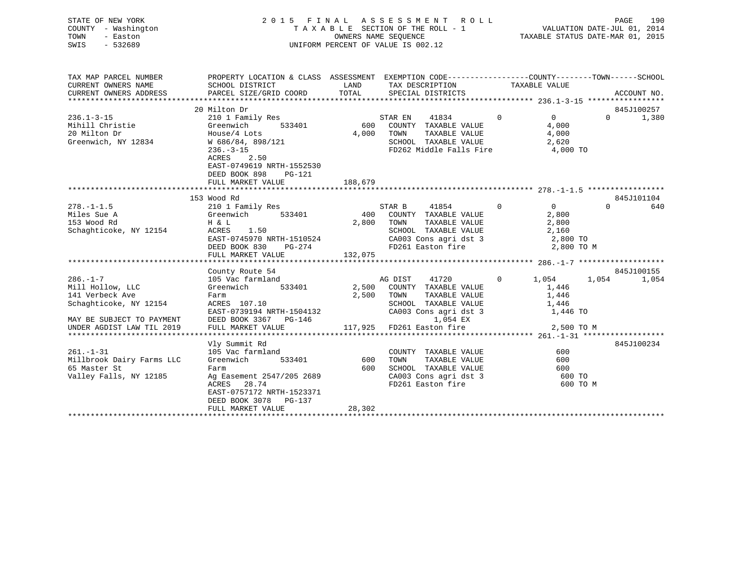| STATE OF NEW YORK<br>COUNTY - Washington<br>TOWN<br>- Easton<br>$-532689$<br>SWIS                            |                                                                                                                                                                                                               |                         | 2015 FINAL ASSESSMENT ROLL<br>TAXABLE SECTION OF THE ROLL - 1<br>OWNERS NAME SEOUENCE<br>UNIFORM PERCENT OF VALUE IS 002.12               |                                                                            | 190<br>PAGE<br>VALUATION DATE-JUL 01, 2014<br>VALUATION DAIL-OUD VI, 2015<br>TAXABLE STATUS DATE-MAR 01, 2015 |
|--------------------------------------------------------------------------------------------------------------|---------------------------------------------------------------------------------------------------------------------------------------------------------------------------------------------------------------|-------------------------|-------------------------------------------------------------------------------------------------------------------------------------------|----------------------------------------------------------------------------|---------------------------------------------------------------------------------------------------------------|
| TAX MAP PARCEL NUMBER<br>CURRENT OWNERS NAME<br>CURRENT OWNERS ADDRESS                                       | PROPERTY LOCATION & CLASS ASSESSMENT EXEMPTION CODE---------------COUNTY-------TOWN-----SCHOOL<br>SCHOOL DISTRICT<br>PARCEL SIZE/GRID COORD                                                                   | LAND<br>TOTAL           | TAX DESCRIPTION<br>SPECIAL DISTRICTS                                                                                                      | TAXABLE VALUE                                                              | ACCOUNT NO.                                                                                                   |
| $236.1 - 3 - 15$<br>Mihill Christie<br>20 Milton Dr<br>Greenwich, NY 12834                                   | 20 Milton Dr<br>210 1 Family Res<br>533401<br>Greenwich<br>House/4 Lots<br>W 686/84, 898/121<br>$236. - 3 - 15$<br>ACRES<br>2.50<br>EAST-0749619 NRTH-1552530<br>DEED BOOK 898<br>PG-121<br>FULL MARKET VALUE | 600<br>4,000<br>188,679 | STAR EN<br>41834<br>COUNTY TAXABLE VALUE<br>TAXABLE VALUE<br>TOWN<br>SCHOOL TAXABLE VALUE<br>FD262 Middle Falls Fire                      | $\overline{0}$<br>$0 \qquad \qquad$<br>4,000<br>4,000<br>2,620<br>4,000 TO | 845J100257<br>$\Omega$<br>1,380                                                                               |
|                                                                                                              |                                                                                                                                                                                                               |                         |                                                                                                                                           |                                                                            |                                                                                                               |
| $278. - 1 - 1.5$<br>Miles Sue A<br>153 Wood Rd<br>Schaghticoke, NY 12154                                     | 153 Wood Rd<br>210 1 Family Res<br>Greenwich<br>533401<br>H & L<br>1.50<br>ACRES<br>EAST-0745970 NRTH-1510524<br>PG-274<br>DEED BOOK 830<br>FULL MARKET VALUE                                                 | 400<br>132,075          | STAR B 41854<br>COUNTY TAXABLE VALUE<br>2,800 TOWN<br>TAXABLE VALUE<br>SCHOOL TAXABLE VALUE<br>CA003 Cons agri dst 3<br>FD261 Easton fire | $\Omega$<br>0<br>2,800<br>2,800<br>2,160<br>2,800 TO<br>2,800 TO M         | 845J101104<br>$\Omega$<br>640                                                                                 |
|                                                                                                              |                                                                                                                                                                                                               |                         |                                                                                                                                           |                                                                            |                                                                                                               |
| $286. - 1 - 7$<br>Mill Hollow, LLC<br>141 Verbeck Ave<br>Schaghticoke, NY 12154<br>MAY BE SUBJECT TO PAYMENT | County Route 54<br>105 Vac farmland<br>Greenwich<br>533401<br>Farm<br>ACRES 107.10<br>EAST-0739194 NRTH-1504132<br>DEED BOOK 3367 PG-146                                                                      |                         | AG DIST 41720<br>2,500 COUNTY TAXABLE VALUE<br>2,500 TOWN<br>TAXABLE VALUE<br>SCHOOL TAXABLE VALUE<br>CA003 Cons agri dst 3<br>1,054 EX   | $\Omega$<br>1,054<br>1,446<br>1,446<br>1,446<br>1,446 TO                   | 845J100155<br>1,054<br>1,054                                                                                  |
| UNDER AGDIST LAW TIL 2019<br>*******************************                                                 | FULL MARKET VALUE                                                                                                                                                                                             |                         | 117,925 FD261 Easton fire                                                                                                                 |                                                                            | 2,500 TO M                                                                                                    |
| $261. -1 - 31$<br>Millbrook Dairy Farms LLC<br>65 Master St<br>Valley Falls, NY 12185                        | Vly Summit Rd<br>105 Vac farmland<br>Greenwich<br>533401<br>Farm<br>Ag Easement 2547/205 2689<br>ACRES 28.74<br>EAST-0757172 NRTH-1523371<br>DEED BOOK 3078<br>PG-137                                         | 600<br>600              | COUNTY TAXABLE VALUE<br>TOWN<br>TAXABLE VALUE<br>SCHOOL TAXABLE VALUE<br>CA003 Cons agri dst 3<br>FD261 Easton fire                       | 600<br>600<br>600<br>600 TO                                                | 845J100234<br>600 TO M                                                                                        |

\*\*\*\*\*\*\*\*\*\*\*\*\*\*\*\*\*\*\*\*\*\*\*\*\*\*\*\*\*\*\*\*\*\*\*\*\*\*\*\*\*\*\*\*\*\*\*\*\*\*\*\*\*\*\*\*\*\*\*\*\*\*\*\*\*\*\*\*\*\*\*\*\*\*\*\*\*\*\*\*\*\*\*\*\*\*\*\*\*\*\*\*\*\*\*\*\*\*\*\*\*\*\*\*\*\*\*\*\*\*\*\*\*\*\*\*\*\*\*\*\*\*\*\*\*\*\*\*\*\*\*\*

FULL MARKET VALUE 28,302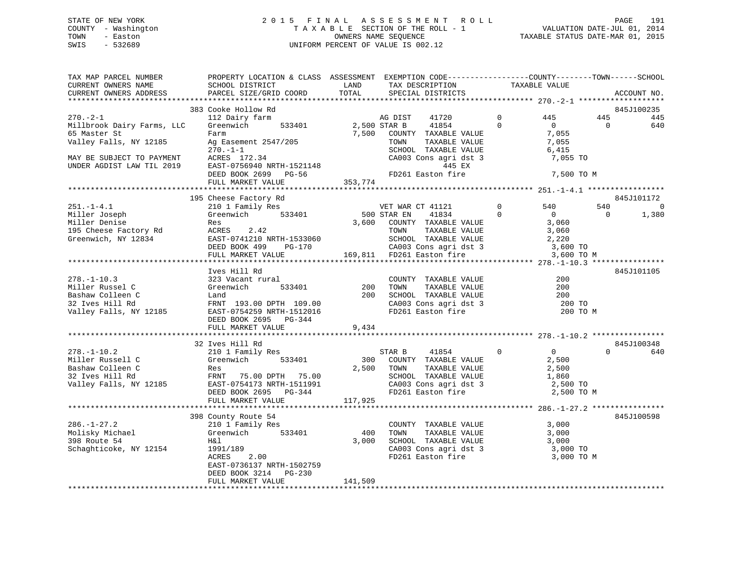## STATE OF NEW YORK 2 0 1 5 F I N A L A S S E S S M E N T R O L L PAGE 191 COUNTY - Washington T A X A B L E SECTION OF THE ROLL - 1 VALUATION DATE-JUL 01, 2014 TOWN - Easton OWNERS NAME SEQUENCE TAXABLE STATUS DATE-MAR 01, 2015 SWIS - 532689 UNIFORM PERCENT OF VALUE IS 002.12

| TAX MAP PARCEL NUMBER<br>CURRENT OWNERS NAME<br>CURRENT OWNERS ADDRESS                                                                           | PROPERTY LOCATION & CLASS ASSESSMENT EXEMPTION CODE----------------COUNTY-------TOWN-----SCHOOL<br>SCHOOL DISTRICT<br>PARCEL SIZE/GRID COORD                                                                                        | LAND<br>TOTAL       | TAX DESCRIPTION<br>SPECIAL DISTRICTS                                                                                                                                             | TAXABLE VALUE              |                                                                     |                 | ACCOUNT NO.              |
|--------------------------------------------------------------------------------------------------------------------------------------------------|-------------------------------------------------------------------------------------------------------------------------------------------------------------------------------------------------------------------------------------|---------------------|----------------------------------------------------------------------------------------------------------------------------------------------------------------------------------|----------------------------|---------------------------------------------------------------------|-----------------|--------------------------|
|                                                                                                                                                  |                                                                                                                                                                                                                                     |                     |                                                                                                                                                                                  |                            |                                                                     |                 |                          |
| $270. - 2 - 1$<br>Millbrook Dairy Farms, LLC<br>65 Master St<br>Valley Falls, NY 12185<br>MAY BE SUBJECT TO PAYMENT<br>UNDER AGDIST LAW TIL 2019 | 383 Cooke Hollow Rd<br>112 Dairy farm<br>Greenwich<br>533401<br>Farm<br>Ag Easement 2547/205<br>$270. - 1 - 1$<br>ACRES 172.34<br>EAST-0756940 NRTH-1521148<br>RAST-0756940 NRTH-1521148<br>REED ROOK 2699 PG-56 (FD261 Easton fire | 2,500 STAR B        | AG DIST<br>41720<br>41854<br>7,500 COUNTY TAXABLE VALUE<br>TOWN<br>TAXABLE VALUE<br>SCHOOL TAXABLE VALUE<br>CA003 Cons agri dst 3<br>445 EX                                      | $\Omega$<br>$\Omega$       | 445<br>$\overline{0}$<br>7,055<br>7,055<br>6,415<br>7,055 TO        | 445<br>$\Omega$ | 845J100235<br>445<br>640 |
|                                                                                                                                                  | FULL MARKET VALUE                                                                                                                                                                                                                   | 353,774             |                                                                                                                                                                                  |                            | 7,500 TO M                                                          |                 |                          |
|                                                                                                                                                  |                                                                                                                                                                                                                                     |                     |                                                                                                                                                                                  |                            |                                                                     |                 |                          |
|                                                                                                                                                  | 195 Cheese Factory Rd                                                                                                                                                                                                               |                     |                                                                                                                                                                                  |                            |                                                                     |                 | 845J101172               |
| $251. - 1 - 4.1$<br>Miller Joseph<br>Miller Denise<br>Miller Denise<br>195 Cheese Factory Rd<br>Greenwich, NY 12834                              | 210 1 Family Res<br>Greenwich 533401<br>Res<br>ACRES 2.42<br>LAST-0741210 NRTH-1533060<br>DEED BOOK 499 PG-170                                                                                                                      | 3,600               | VET WAR CT 41121<br>500 STAR EN 41834<br>41834<br>COUNTY TAXABLE VALUE<br>TAXABLE VALUE<br>TAXABLE VALUE<br>TOWN<br>SCHOOL TAXABLE VALUE 2,220<br>CA003 Cons agri dst 3 3,600 TO | $\overline{0}$<br>$\Omega$ | 540<br>$\overline{0}$<br>3,060<br>3,060                             | 540<br>$\Omega$ | $\mathbf 0$<br>1,380     |
|                                                                                                                                                  | FULL MARKET VALUE                                                                                                                                                                                                                   |                     | 169,811 FD261 Easton fire                                                                                                                                                        |                            | 3,600 TO M                                                          |                 |                          |
|                                                                                                                                                  |                                                                                                                                                                                                                                     |                     |                                                                                                                                                                                  |                            |                                                                     |                 |                          |
| $278. - 1 - 10.3$<br>Miller Russel C<br>Bashaw Colleen C<br>32 Ives Hill Rd<br>Valley Falls, NY 12185                                            | Ives Hill Rd<br>323 Vacant rural<br>533401<br>Greenwich<br>Land<br>FRNT 193.00 DPTH 109.00<br>EAST-0754259 NRTH-1512016<br>DEED BOOK 2695 PG-344<br>FULL MARKET VALUE                                                               | 200<br>200<br>9,434 | COUNIY TAXABLE VALUE<br>TOWN TAXABLE VALUE<br>SCHOOL TAXABLE VALUE<br>CA003 Cons agri dst 3<br>FD261 Easton fire                                                                 |                            | 200<br>200<br>200<br>200 TO<br>200 TO M                             |                 | 845J101105               |
|                                                                                                                                                  |                                                                                                                                                                                                                                     |                     |                                                                                                                                                                                  |                            |                                                                     |                 |                          |
| $278. - 1 - 10.2$<br>Miller Russell C<br>Bashaw Colleen C<br>2185<br>32 Ives Hill Rd<br>Valley Falls, NY 12185                                   | 32 Ives Hill Rd<br>210 1 Family Res<br>Greenwich 533401<br>Res<br>FRNT 75.00 DPTH 75.00<br>EAST-0754173 NRTH-1511991<br>DEED BOOK 2695 PG-344<br>FULL MARKET VALUE                                                                  | 117,925             | STAR B<br>41854<br>300 COUNTY TAXABLE VALUE<br>2,500 TOWN<br>TAXABLE VALUE<br>SCHOOL TAXABLE VALUE<br>CA003 Cons agri dst 3<br>FD261 Easton fire                                 | $\Omega$                   | $\overline{0}$<br>2,500<br>2,500<br>1,860<br>2,500 TO<br>2,500 TO M | $\cap$          | 845J100348<br>640        |
|                                                                                                                                                  |                                                                                                                                                                                                                                     |                     |                                                                                                                                                                                  |                            |                                                                     |                 |                          |
| $286. - 1 - 27.2$<br>Molisky Michael<br>398 Route 54<br>Schaghticoke, NY 12154                                                                   | 398 County Route 54<br>210 1 Family Res<br>Greenwich<br>533401<br>H&l<br>$\frac{39}{2.00}$<br>1991/189<br>ACRES<br>EAST-0736137 NRTH-1502759<br>DEED BOOK 3214 PG-230                                                               | 400<br>3,000        | COUNTY TAXABLE VALUE<br>TOWN<br>TAXABLE VALUE<br>SCHOOL TAXABLE VALUE<br>CA003 Cons agri dst 3 3,000 TO<br>FD261 Easton fire                                                     |                            | 3,000<br>3,000<br>3,000<br>3,000 TO M                               |                 | 845J100598               |
|                                                                                                                                                  | FULL MARKET VALUE                                                                                                                                                                                                                   | 141,509             |                                                                                                                                                                                  |                            |                                                                     |                 |                          |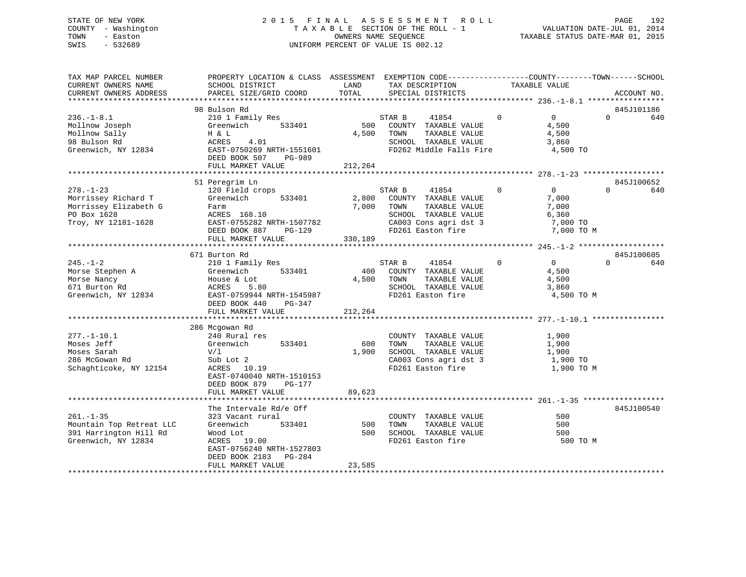## STATE OF NEW YORK 2 0 1 5 F I N A L A S S E S S M E N T R O L L PAGE 192 COUNTY - Washington T A X A B L E SECTION OF THE ROLL - 1 VALUATION DATE-JUL 01, 2014 TOWN - Easton **CONNERS NAME SEQUENCE** TAXABLE STATUS DATE-MAR 01, 2015 SWIS - 532689 UNIFORM PERCENT OF VALUE IS 002.12

| TAX MAP PARCEL NUMBER<br>CURRENT OWNERS NAME                                                          | PROPERTY LOCATION & CLASS ASSESSMENT EXEMPTION CODE---------------COUNTY-------TOWN------SCHOOL<br>SCHOOL DISTRICT                                            | LAND                      | TAX DESCRIPTION                                                                                                                        | TAXABLE VALUE                                                             |                                  |
|-------------------------------------------------------------------------------------------------------|---------------------------------------------------------------------------------------------------------------------------------------------------------------|---------------------------|----------------------------------------------------------------------------------------------------------------------------------------|---------------------------------------------------------------------------|----------------------------------|
| CURRENT OWNERS ADDRESS                                                                                | PARCEL SIZE/GRID COORD                                                                                                                                        | TOTAL                     | SPECIAL DISTRICTS                                                                                                                      |                                                                           | ACCOUNT NO.                      |
|                                                                                                       |                                                                                                                                                               |                           |                                                                                                                                        |                                                                           |                                  |
| $236. - 1 - 8.1$<br>Mollnow Joseph<br>Mollnow Sally<br>98 Bulson Rd<br>Greenwich, NY 12834            | 98 Bulson Rd<br>210 1 Family Res<br>Greenwich<br>533401<br>H & L<br>ACRES<br>4.01<br>EAST-0750269 NRTH-1551601<br>DEED BOOK 507<br>PG-989                     | 500<br>4,500              | STAR B<br>41854<br>COUNTY TAXABLE VALUE<br>TOWN<br>TAXABLE VALUE<br>SCHOOL TAXABLE VALUE<br>FD262 Middle Falls Fire                    | $\Omega$<br>$\overline{0}$<br>4,500<br>4,500<br>3,860<br>4,500 TO         | 845J101186<br>$\mathbf 0$<br>640 |
|                                                                                                       | FULL MARKET VALUE                                                                                                                                             | 212,264                   |                                                                                                                                        |                                                                           |                                  |
|                                                                                                       |                                                                                                                                                               |                           |                                                                                                                                        |                                                                           |                                  |
| $278. - 1 - 23$<br>Morrissey Richard T<br>Morrissey Elizabeth G<br>PO Box 1628<br>Troy, NY 12181-1628 | 51 Peregrim Ln<br>120 Field crops<br>Greenwich<br>533401<br>Farm<br>ACRES 168.10<br>EAST-0755282 NRTH-1507782<br>DEED BOOK 887<br>PG-129<br>FULL MARKET VALUE | 2,800<br>7,000<br>330,189 | STAR B<br>41854<br>COUNTY TAXABLE VALUE<br>TOWN<br>TAXABLE VALUE<br>SCHOOL TAXABLE VALUE<br>CA003 Cons agri dst 3<br>FD261 Easton fire | $\Omega$<br>$\Omega$<br>7,000<br>7,000<br>6,360<br>7,000 TO<br>7,000 TO M | 845J100652<br>$\Omega$<br>640    |
|                                                                                                       | 671 Burton Rd                                                                                                                                                 |                           |                                                                                                                                        |                                                                           | 845J100605                       |
| $245. - 1 - 2$<br>Morse Stephen A<br>Morse Nancy<br>671 Burton Rd<br>Greenwich, NY 12834              | 210 1 Family Res<br>533401<br>Greenwich<br>House & Lot<br>ACRES<br>5.80<br>EAST-0759944 NRTH-1545987<br>DEED BOOK 440<br>PG-347<br>FULL MARKET VALUE          | 400<br>4,500<br>212,264   | STAR B<br>41854<br>COUNTY TAXABLE VALUE<br>TOWN<br>TAXABLE VALUE<br>SCHOOL TAXABLE VALUE<br>FD261 Easton fire                          | $\Omega$<br>$\overline{0}$<br>4,500<br>4,500<br>3,860                     | $\Omega$<br>640<br>4,500 TO M    |
|                                                                                                       |                                                                                                                                                               |                           |                                                                                                                                        |                                                                           |                                  |
| $277. - 1 - 10.1$<br>Moses Jeff<br>Moses Sarah<br>286 McGowan Rd<br>Schaghticoke, NY 12154            | 286 Mcgowan Rd<br>240 Rural res<br>533401<br>Greenwich<br>V/1<br>Sub Lot 2<br>ACRES 10.19<br>EAST-0740040 NRTH-1510153<br>DEED BOOK 879<br>PG-177             | 600<br>1,900              | COUNTY TAXABLE VALUE<br>TAXABLE VALUE<br>TOWN<br>SCHOOL TAXABLE VALUE<br>CA003 Cons agri dst 3<br>FD261 Easton fire                    | 1,900<br>1,900<br>1,900<br>1,900 TO<br>1,900 TO M                         |                                  |
|                                                                                                       | FULL MARKET VALUE                                                                                                                                             | 89,623                    |                                                                                                                                        |                                                                           |                                  |
|                                                                                                       | The Intervale Rd/e Off                                                                                                                                        |                           |                                                                                                                                        |                                                                           | 845J100540                       |
| $261. -1 - 35$<br>Mountain Top Retreat LLC<br>391 Harrington Hill Rd<br>Greenwich, NY 12834           | 323 Vacant rural<br>Greenwich<br>533401<br>Wood Lot<br>19.00<br>ACRES<br>EAST-0756240 NRTH-1527803<br>DEED BOOK 2183<br>PG-284<br>FULL MARKET VALUE           | 500<br>500<br>23,585      | COUNTY TAXABLE VALUE<br>TOWN<br>TAXABLE VALUE<br>SCHOOL TAXABLE VALUE<br>FD261 Easton fire                                             | 500<br>500<br>500                                                         | 500 TO M                         |
| ***********************                                                                               |                                                                                                                                                               |                           |                                                                                                                                        |                                                                           |                                  |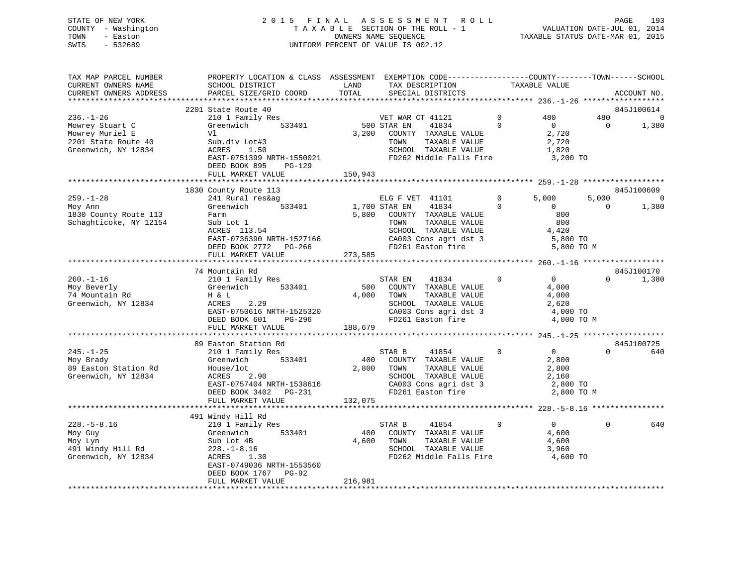## STATE OF NEW YORK 2 0 1 5 F I N A L A S S E S S M E N T R O L L PAGE 193 COUNTY - Washington T A X A B L E SECTION OF THE ROLL - 1 VALUATION DATE-JUL 01, 2014 TOWN - Easton OWNERS NAME SEQUENCE TAXABLE STATUS DATE-MAR 01, 2015 SWIS - 532689 UNIFORM PERCENT OF VALUE IS 002.12

| TAX MAP PARCEL NUMBER<br>CURRENT OWNERS NAME<br>CURRENT OWNERS ADDRESS                              | PROPERTY LOCATION & CLASS ASSESSMENT EXEMPTION CODE---------------COUNTY-------TOWN------SCHOOL<br>SCHOOL DISTRICT<br>PARCEL SIZE/GRID COORD                                 | LAND<br>TOTAL           | TAX DESCRIPTION<br>SPECIAL DISTRICTS                                                                                                                                      | TAXABLE VALUE           |                                                                        |                       | ACCOUNT NO.                           |
|-----------------------------------------------------------------------------------------------------|------------------------------------------------------------------------------------------------------------------------------------------------------------------------------|-------------------------|---------------------------------------------------------------------------------------------------------------------------------------------------------------------------|-------------------------|------------------------------------------------------------------------|-----------------------|---------------------------------------|
|                                                                                                     |                                                                                                                                                                              |                         |                                                                                                                                                                           |                         |                                                                        |                       |                                       |
| $236. - 1 - 26$<br>Mowrey Stuart C<br>Mowrey Muriel E<br>2201 State Route 40<br>Greenwich, NY 12834 | 2201 State Route 40<br>210 1 Family Res<br>210 1 Family Res<br>Greenwich 533401<br>Vl<br>Sub.div Lot#3<br>ACRES 1.50<br>EAST-0751399 NRTH-1550021<br>DEED BOOK 895<br>PG-129 | 3,200                   | VET WAR<br>500 STAR EN<br>VET WAR CT 41121<br>41834<br>COUNTY TAXABLE VALUE<br>TOWN<br>TAXABLE VALUE<br>SCHOOL TAXABLE VALUE<br>FD262 Middle Falls Fire                   | $\mathbf 0$<br>$\Omega$ | 480<br>$\overline{0}$<br>2,720<br>2,720<br>1,820<br>3,200 TO           | 480<br>$\overline{0}$ | 845J100614<br>$\Omega$<br>1,380       |
|                                                                                                     | FULL MARKET VALUE                                                                                                                                                            | 150,943                 |                                                                                                                                                                           |                         |                                                                        |                       |                                       |
|                                                                                                     |                                                                                                                                                                              |                         |                                                                                                                                                                           |                         |                                                                        |                       |                                       |
| $259. - 1 - 28$<br>Moy Ann<br>1830 County Route 113<br>Schaghticoke, NY 12154                       | 1830 County Route 113<br>241 Rural res&ag<br>Greenwich 533401<br>Farm<br>Sub Lot 1<br>ACRES 113.54<br>EAST-0736390 NRTH-1527166<br>DEED BOOK 2772 PG-266                     | 1,700 STAR EN           | ELG F VET 41101<br>41834<br>5,800 COUNTY TAXABLE VALUE<br>TAXABLE VALUE<br>TOWN<br>SCHOOL TAXABLE VALUE<br>CA003 Cons agri dst 3 5,800 TO<br>FD261 Easton fire 5,800 TO M | $\Omega$<br>$\Omega$    | 5,000<br>$\overline{0}$<br>800<br>800<br>4,420                         | 5,000<br>$\bigcirc$   | 845J100609<br>$\overline{0}$<br>1,380 |
|                                                                                                     | FULL MARKET VALUE                                                                                                                                                            | 273,585                 |                                                                                                                                                                           |                         |                                                                        |                       |                                       |
|                                                                                                     | 74 Mountain Rd                                                                                                                                                               |                         |                                                                                                                                                                           |                         |                                                                        |                       | 845J100170                            |
| $260. - 1 - 16$<br>Moy Beverly<br>74 Mountain Rd<br>Greenwich, NY 12834                             | 210 1 Family Res<br>533401<br>Greenwich<br>H & L<br>ACRES<br>2.29<br>EAST-0750616 NRTH-1525320<br>DEED BOOK 601<br>PG-296                                                    | 500                     | $\sim$ 0<br>STAR EN<br>41834<br>COUNTY TAXABLE VALUE<br>4,000 TOWN<br>TAXABLE VALUE<br>SCHOOL TAXABLE VALUE<br>CA003 Cons agri dst 3<br>FD261 Easton fire                 |                         | $0 \qquad \qquad$<br>4,000<br>4,000<br>2,620<br>4,000 TO<br>4,000 TO M | $\Omega$              | 1,380                                 |
|                                                                                                     | FULL MARKET VALUE                                                                                                                                                            | 188,679                 |                                                                                                                                                                           |                         |                                                                        |                       |                                       |
|                                                                                                     |                                                                                                                                                                              |                         |                                                                                                                                                                           |                         |                                                                        |                       |                                       |
| $245. - 1 - 25$<br>Moy Brady<br>89 Easton Station Rd<br>Greenwich, NY 12834                         | 89 Easton Station Rd<br>210 1 Family Res<br>Greenwich<br>533401<br>House/lot<br>2.90<br>ACRES<br>EAST-0757404 NRTH-1538616<br>DEED BOOK 3402 PG-231<br>FULL MARKET VALUE     | 400<br>2,800<br>132,075 | STAR B<br>41854<br>COUNTY TAXABLE VALUE<br>TOWN<br>TAXABLE VALUE<br>SCHOOL TAXABLE VALUE<br>CA003 Cons agri dst 3<br>FD261 Easton fire                                    | $\overline{0}$          | $0 \qquad \qquad$<br>2,800<br>2,800<br>2,160<br>2,800 TO<br>2,800 TO M | $\Omega$              | 845J100725<br>640                     |
|                                                                                                     | 491 Windy Hill Rd                                                                                                                                                            |                         |                                                                                                                                                                           |                         |                                                                        |                       |                                       |
| $228. - 5 - 8.16$<br>Moy Guy<br>Moy Lyn<br>491 Windy Hill Rd<br>Greenwich, NY 12834                 | 210 1 Family Res<br>Greenwich<br>533401<br>Sub Lot 4B<br>$228. - 1 - 8.16$<br>ACRES 1.30<br>EAST-0749036 NRTH-1553560<br>DEED BOOK 1767 PG-92<br>FULL MARKET VALUE           | 400<br>4,600<br>216,981 | 41854<br>STAR B<br>COUNTY TAXABLE VALUE<br>TOWN<br>TAXABLE VALUE<br>SCHOOL TAXABLE VALUE<br>FD262 Middle Falls Fire                                                       | $\mathbf 0$             | $\overline{0}$<br>4,600<br>4,600<br>3,960<br>4,600 TO                  | $\Omega$              | 640                                   |
|                                                                                                     |                                                                                                                                                                              |                         |                                                                                                                                                                           |                         |                                                                        |                       |                                       |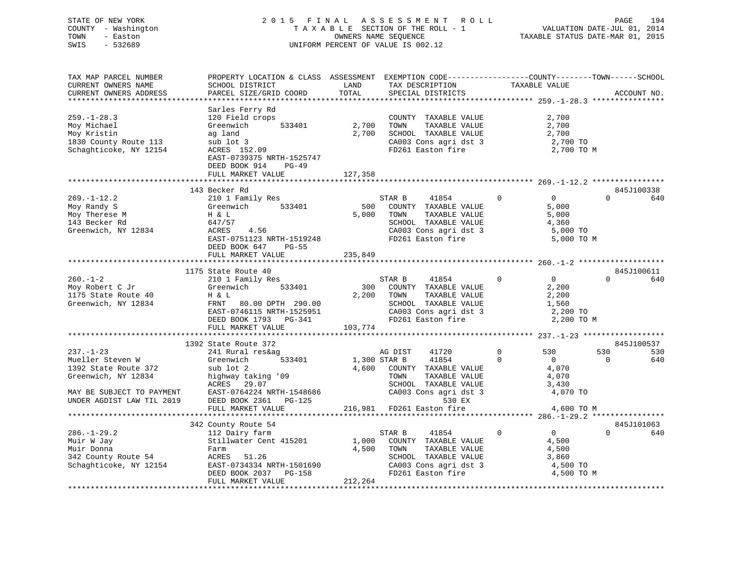| STATE OF NEW YORK   | 2015 FINAL ASSESSMENT ROLL         | 194<br>PAGE                      |
|---------------------|------------------------------------|----------------------------------|
| COUNTY - Washington | TAXABLE SECTION OF THE ROLL - 1    | VALUATION DATE-JUL 01, 2014      |
| TOWN<br>- Easton    | OWNERS NAME SEOUENCE               | TAXABLE STATUS DATE-MAR 01, 2015 |
| $-532689$<br>SWIS   | UNIFORM PERCENT OF VALUE IS 002.12 |                                  |
|                     |                                    |                                  |

| TAX MAP PARCEL NUMBER     | PROPERTY LOCATION & CLASS ASSESSMENT EXEMPTION CODE--------------COUNTY-------TOWN-----SCHOOL |              |                                            |                                       |                   |
|---------------------------|-----------------------------------------------------------------------------------------------|--------------|--------------------------------------------|---------------------------------------|-------------------|
| CURRENT OWNERS NAME       | SCHOOL DISTRICT                                                                               | LAND         | TAX DESCRIPTION                            | TAXABLE VALUE                         |                   |
| CURRENT OWNERS ADDRESS    | PARCEL SIZE/GRID COORD                                                                        | TOTAL        | SPECIAL DISTRICTS                          |                                       | ACCOUNT NO.       |
|                           |                                                                                               |              |                                            |                                       |                   |
|                           | Sarles Ferry Rd                                                                               |              |                                            |                                       |                   |
| $259. - 1 - 28.3$         |                                                                                               |              |                                            |                                       |                   |
|                           | 120 Field crops                                                                               |              | COUNTY TAXABLE VALUE                       | 2,700                                 |                   |
| Moy Michael               | 533401<br>Greenwich                                                                           | 2,700        | TAXABLE VALUE<br>TOWN                      | 2,700                                 |                   |
| Moy Kristin               | ag land                                                                                       | 2,700        | SCHOOL TAXABLE VALUE                       | 2,700                                 |                   |
| 1830 County Route 113     | sub lot 3                                                                                     |              | CA003 Cons agri dst 3                      | 2,700 TO                              |                   |
| Schaghticoke, NY 12154    | ACRES 152.09                                                                                  |              | FD261 Easton fire                          | 2,700 TO M                            |                   |
|                           | EAST-0739375 NRTH-1525747                                                                     |              |                                            |                                       |                   |
|                           | DEED BOOK 914<br>$PG-49$                                                                      |              |                                            |                                       |                   |
|                           | FULL MARKET VALUE                                                                             | 127,358      |                                            |                                       |                   |
|                           |                                                                                               |              |                                            |                                       |                   |
|                           | 143 Becker Rd                                                                                 |              |                                            |                                       | 845J100338        |
|                           |                                                                                               |              |                                            |                                       |                   |
| $269. - 1 - 12.2$         | 210 1 Family Res                                                                              |              | STAR B<br>41854                            | $\overline{0}$<br>$\mathbf{0}$        | $\Omega$<br>640   |
| Moy Randy S               | 533401<br>Greenwich                                                                           | 500          | COUNTY TAXABLE VALUE                       | 5,000                                 |                   |
| Moy Therese M             | H & L                                                                                         | 5,000        | TAXABLE VALUE<br>TOWN                      | 5,000                                 |                   |
| 143 Becker Rd             | 647/57                                                                                        |              | SCHOOL TAXABLE VALUE                       | 4,360                                 |                   |
| Greenwich, NY 12834       | ACRES<br>4.56                                                                                 |              |                                            | 5,000 TO                              |                   |
|                           | EAST-0751123 NRTH-1519248                                                                     |              | CA003 Cons agri dst 3                      | 5,000 TO M                            |                   |
|                           | DEED BOOK 647 PG-55                                                                           |              |                                            |                                       |                   |
|                           | FULL MARKET VALUE                                                                             | 235,849      |                                            |                                       |                   |
|                           |                                                                                               |              |                                            |                                       |                   |
|                           | 1175 State Route 40                                                                           |              |                                            |                                       | 845J100611        |
|                           |                                                                                               |              |                                            |                                       |                   |
| $260. -1 - 2$             | 210 1 Family Res                                                                              |              | STAR B 41854                               | $\overline{0}$<br>$\mathbf{0}$        | $\Omega$<br>640   |
| Moy Robert C Jr           | Greenwich<br>533401                                                                           |              | 300 COUNTY TAXABLE VALUE                   | 2,200                                 |                   |
| 1175 State Route 40       | H & L                                                                                         |              | 2,200 TOWN<br>TAXABLE VALUE                | 2,200                                 |                   |
| Greenwich, NY 12834       | FRNT 80.00 DPTH 290.00                                                                        |              | SCHOOL TAXABLE VALUE                       | 1,560                                 |                   |
|                           | EAST-0746115 NRTH-1525951                                                                     |              | CA003 Cons agri dst 3                      | 2,200 TO                              |                   |
|                           | DEED BOOK 1793 PG-341                                                                         |              | FD261 Easton fire                          | 2,200 TO M                            |                   |
|                           | FULL MARKET VALUE                                                                             | 103,774      |                                            |                                       |                   |
|                           |                                                                                               |              |                                            |                                       |                   |
|                           | 1392 State Route 372                                                                          |              |                                            |                                       | 845J100537        |
| $237. - 1 - 23$           | 241 Rural res&ag                                                                              |              | AG DIST<br>41720                           | 530<br>$\mathbf 0$                    | 530<br>530        |
|                           |                                                                                               |              |                                            |                                       |                   |
| Mueller Steven W          | 533401<br>Greenwich                                                                           | 1,300 STAR B | 41854                                      | $\mathbf 0$<br>$\overline{0}$         | 640<br>$\bigcirc$ |
| 1392 State Route 372      | sub lot 2                                                                                     |              | 4,600 COUNTY TAXABLE VALUE                 | 4,070                                 |                   |
| Greenwich, NY 12834       | highway taking '09                                                                            |              | TOWN<br>TAXABLE VALUE                      | 4,070                                 |                   |
|                           | ACRES 29.07                                                                                   |              | SCHOOL TAXABLE VALUE                       | 3,430                                 |                   |
| MAY BE SUBJECT TO PAYMENT | EAST-0764224 NRTH-1548686                                                                     |              | CA003 Cons agri dst 3                      | 4,070 TO                              |                   |
| UNDER AGDIST LAW TIL 2019 | DEED BOOK 2361<br>PG-125                                                                      |              | 530 EX                                     |                                       |                   |
|                           | FULL MARKET VALUE                                                                             |              | 216,981 FD261 Easton fire                  | 4,600 TO M                            |                   |
|                           |                                                                                               |              |                                            |                                       |                   |
|                           | 342 County Route 54                                                                           |              |                                            |                                       | 845J101063        |
| $286. - 1 - 29.2$         |                                                                                               |              | STAR B                                     | $\mathbf 0$<br>$\overline{0}$         | $\Omega$<br>640   |
|                           | 112 Dairy farm                                                                                |              | 41854                                      |                                       |                   |
| Muir W Jay                | Stillwater Cent 415201                                                                        |              | 1,000 COUNTY TAXABLE VALUE                 | 4,500                                 |                   |
| Muir Donna                | Farm                                                                                          | 4,500        | TAXABLE VALUE<br>TOWN                      | 4,500                                 |                   |
| 342 County Route 54       | ACRES 51.26                                                                                   |              | SCHOOL TAXABLE VALUE                       | 3,860                                 |                   |
| Schaghticoke, NY 12154    |                                                                                               |              |                                            | 4,500 TO                              |                   |
|                           | EAST-0734334 NRTH-1501690<br>DEED BOOK 2037 PG-158                                            |              | CA003 Cons agri dst 3<br>FD261 Easton fire | 4,500 TO M                            |                   |
|                           | FULL MARKET VALUE                                                                             | 212,264      |                                            |                                       |                   |
|                           |                                                                                               |              |                                            | ************************************* |                   |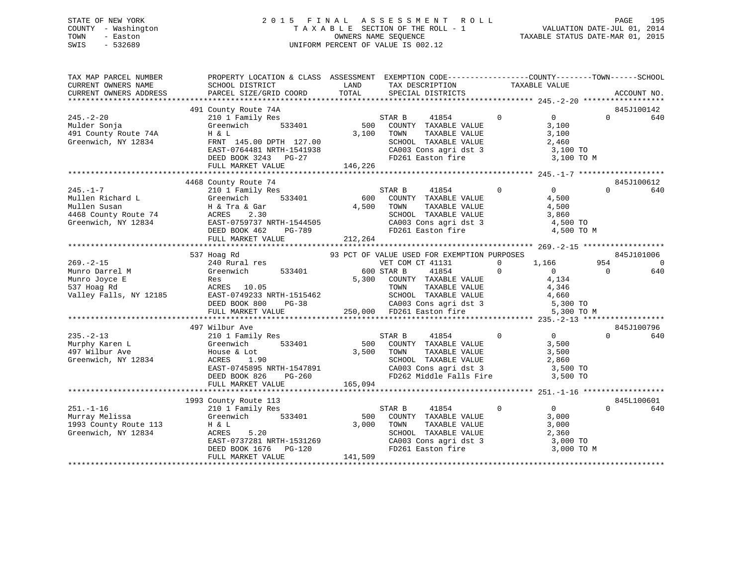## STATE OF NEW YORK 2 0 1 5 F I N A L A S S E S S M E N T R O L L PAGE 195 COUNTY - Washington T A X A B L E SECTION OF THE ROLL - 1 VALUATION DATE-JUL 01, 2014 TOWN - Easton OWNERS NAME SEQUENCE TAXABLE STATUS DATE-MAR 01, 2015 SWIS - 532689 UNIFORM PERCENT OF VALUE IS 002.12

| TAX MAP PARCEL NUMBER                                                                   | PROPERTY LOCATION & CLASS ASSESSMENT EXEMPTION CODE----------------COUNTY-------TOWN------SCHOOL                                                                                                                                                    |              |                                                                                                                       |                  |                |          |            |
|-----------------------------------------------------------------------------------------|-----------------------------------------------------------------------------------------------------------------------------------------------------------------------------------------------------------------------------------------------------|--------------|-----------------------------------------------------------------------------------------------------------------------|------------------|----------------|----------|------------|
|                                                                                         |                                                                                                                                                                                                                                                     |              |                                                                                                                       | TAXABLE VALUE    |                |          |            |
|                                                                                         |                                                                                                                                                                                                                                                     |              |                                                                                                                       |                  |                |          |            |
|                                                                                         |                                                                                                                                                                                                                                                     |              |                                                                                                                       |                  |                |          |            |
|                                                                                         | 491 County Route 74A                                                                                                                                                                                                                                |              |                                                                                                                       |                  |                |          | 845J100142 |
| $245. - 2 - 20$                                                                         | 210 1 Family Res<br>Greenwich 533401 500 COUNTY TAXABLE VALUE                                                                                                                                                                                       |              | 41854 0                                                                                                               |                  | $\overline{0}$ | $\Omega$ | 640        |
|                                                                                         |                                                                                                                                                                                                                                                     |              |                                                                                                                       |                  | 3,100          |          |            |
|                                                                                         |                                                                                                                                                                                                                                                     | $3,100$ TOWN | TAXABLE VALUE<br>TAXABLE VALUE                                                                                        |                  | 3,100          |          |            |
| 245.-2-20<br>Mulder Sonja (Green, 191 County Route 74A H & L<br>The NY 12834 FRNT EAST- |                                                                                                                                                                                                                                                     |              |                                                                                                                       |                  |                |          |            |
|                                                                                         | FRNT 145.00 DPTH 127.00 SCHOOL TAXABLE VALUE 2,460<br>EAST-0764481 NRTH-1541938 CA003 Cons agri dst 3 3,100 TO<br>DEED BOOK 3243 PG-27 FD261 Easton fire 3,100 TO<br>FULL MARKET VALUE 146,226                                                      |              |                                                                                                                       |                  |                |          |            |
|                                                                                         |                                                                                                                                                                                                                                                     |              | FD261 Easton fire 3,100 TO M                                                                                          |                  |                |          |            |
|                                                                                         |                                                                                                                                                                                                                                                     |              |                                                                                                                       |                  |                |          |            |
|                                                                                         |                                                                                                                                                                                                                                                     |              |                                                                                                                       |                  |                |          |            |
|                                                                                         | 4468 County Route 74                                                                                                                                                                                                                                |              |                                                                                                                       |                  |                |          | 845J100612 |
|                                                                                         | 245.-1-7<br>Mullen Richard L<br>Mullen Susan<br>Mullen Susan<br>468 County Route 74<br>Greenwich, NY 12834<br>210 1 Family Res<br>Greenwich 533401<br>4,500<br>4,500<br>4,500<br>EAST-0759737 NRTH-1544505<br>DEED BOOK 462<br>PG-789               |              | $\begin{tabular}{lcccccc} \texttt{STAR} & B & 41854 & 0 & 0 \\ 600 & COUNTY & TAXABLE VALUE & 4,500 \\ \end{tabular}$ |                  | $\overline{0}$ | $\Omega$ | 640        |
|                                                                                         |                                                                                                                                                                                                                                                     |              |                                                                                                                       |                  |                |          |            |
|                                                                                         |                                                                                                                                                                                                                                                     | 4,500 TOWN   |                                                                                                                       |                  |                |          |            |
|                                                                                         |                                                                                                                                                                                                                                                     |              |                                                                                                                       |                  |                |          |            |
|                                                                                         |                                                                                                                                                                                                                                                     |              | TOWN TAXABLE VALUE 4,500<br>SCHOOL TAXABLE VALUE 3,860<br>CA003 Cons agri dst 3 4,500 TO                              |                  |                |          |            |
|                                                                                         |                                                                                                                                                                                                                                                     |              | FD261 Easton fire                                                                                                     |                  | 4,500 TO M     |          |            |
|                                                                                         | FULL MARKET VALUE                                                                                                                                                                                                                                   | 212,264      |                                                                                                                       |                  |                |          |            |
|                                                                                         |                                                                                                                                                                                                                                                     |              |                                                                                                                       |                  |                |          |            |
|                                                                                         | 537 Hoag Rd 657 MB 93 PCT OF VALUE USED FOR EXEMPTION PURPOSES                                                                                                                                                                                      |              |                                                                                                                       |                  |                |          | 845J101006 |
| $269. - 2 - 15$                                                                         | 240 Rural res                                                                                                                                                                                                                                       |              | VET COM CT 41131                                                                                                      |                  |                |          | 0          |
| Munro Darrel M                                                                          |                                                                                                                                                                                                                                                     |              | $\begin{array}{cccc} 41131 & & & 0 & & 1\,, 166 & & & 954 \\ 41854 & & & 0 & & & 0 & & 0 \end{array}$                 |                  |                |          | 640        |
| Munro Joyce E                                                                           |                                                                                                                                                                                                                                                     |              |                                                                                                                       |                  |                |          |            |
| 537 Hoag Rd                                                                             |                                                                                                                                                                                                                                                     |              |                                                                                                                       |                  |                |          |            |
|                                                                                         |                                                                                                                                                                                                                                                     |              |                                                                                                                       |                  |                |          |            |
|                                                                                         |                                                                                                                                                                                                                                                     |              |                                                                                                                       |                  |                |          |            |
|                                                                                         |                                                                                                                                                                                                                                                     |              |                                                                                                                       |                  |                |          |            |
|                                                                                         |                                                                                                                                                                                                                                                     |              |                                                                                                                       |                  |                |          |            |
|                                                                                         | 497 Wilbur Ave                                                                                                                                                                                                                                      |              |                                                                                                                       |                  |                |          | 845J100796 |
| $235 - 2 - 13$                                                                          | 210 1 Family Res                                                                                                                                                                                                                                    |              | STAR B<br>41854                                                                                                       | $\overline{0}$ 0 |                | $\cap$   | 640        |
| 235.-2-13<br>Murphy Karen L<br>497 Wilbur Ave                                           | Greenwich                                                                                                                                                                                                                                           |              | 533401 500 COUNTY TAXABLE VALUE                                                                                       | 3,500            |                |          |            |
|                                                                                         | House & Lot                                                                                                                                                                                                                                         |              | 3,500 TOWN<br>TAXABLE VALUE                                                                                           |                  | 3,500          |          |            |
| Greenwich, NY 12834                                                                     |                                                                                                                                                                                                                                                     |              | SCHOOL TAXABLE VALUE 2,860                                                                                            |                  |                |          |            |
|                                                                                         | eenwich, NY 12834 (ACRES 1.90<br>EAST-0745895 NRTH-1547891 (A003 Cons agri dst 3 3,500 TO<br>DEED BOOK 826 PG-260 (B5,094 FD262 Middle Falls Fire 3,500 TO<br>FULL MARKET VALUE 165,094 (B5,094 FOLD CALUE 165,094 FULL MARKET VALUE                |              |                                                                                                                       |                  |                |          |            |
|                                                                                         |                                                                                                                                                                                                                                                     |              |                                                                                                                       |                  |                |          |            |
|                                                                                         |                                                                                                                                                                                                                                                     |              |                                                                                                                       |                  |                |          |            |
|                                                                                         |                                                                                                                                                                                                                                                     |              |                                                                                                                       |                  |                |          |            |
|                                                                                         | 1993 County Route 113                                                                                                                                                                                                                               |              |                                                                                                                       |                  |                |          | 845L100601 |
| $251. - 1 - 16$                                                                         |                                                                                                                                                                                                                                                     |              | 41854<br>$\overline{0}$<br>STAR B                                                                                     |                  | $\overline{0}$ | $\cap$   | 640        |
| Murray Melissa                                                                          | 210 1 Family Res<br>Greenwich 533401<br>210 1 Family Res<br>Greenwich 5<br>3 H & L<br>ACRES 5.20                                                                                                                                                    |              | 500 COUNTY TAXABLE VALUE                                                                                              |                  | 3,000          |          |            |
|                                                                                         |                                                                                                                                                                                                                                                     |              | TAXABLE VALUE<br>TAXABLE VALUE<br>3,000 TOWN                                                                          |                  |                |          |            |
| 1993 County Route 113                                                                   |                                                                                                                                                                                                                                                     |              |                                                                                                                       |                  |                |          |            |
| Greenwich, NY 12834                                                                     |                                                                                                                                                                                                                                                     |              |                                                                                                                       |                  |                |          |            |
|                                                                                         |                                                                                                                                                                                                                                                     |              |                                                                                                                       |                  |                |          |            |
|                                                                                         |                                                                                                                                                                                                                                                     |              |                                                                                                                       |                  |                |          |            |
|                                                                                         | 3,000<br>EAST-0737281 NRTH-1531269<br>DEED BOOK 1676 PG-120<br>PEULL MARKET VALUE<br>FULL MARKET VALUE<br>FULL MARKET VALUE<br>FULL MARKET VALUE<br>FULL MARKET VALUE<br>FULL MARKET VALUE<br>FULL MARKET VALUE<br>FULL MARKET VALUE<br>FULL MARKET |              |                                                                                                                       |                  |                |          |            |
|                                                                                         |                                                                                                                                                                                                                                                     |              |                                                                                                                       |                  |                |          |            |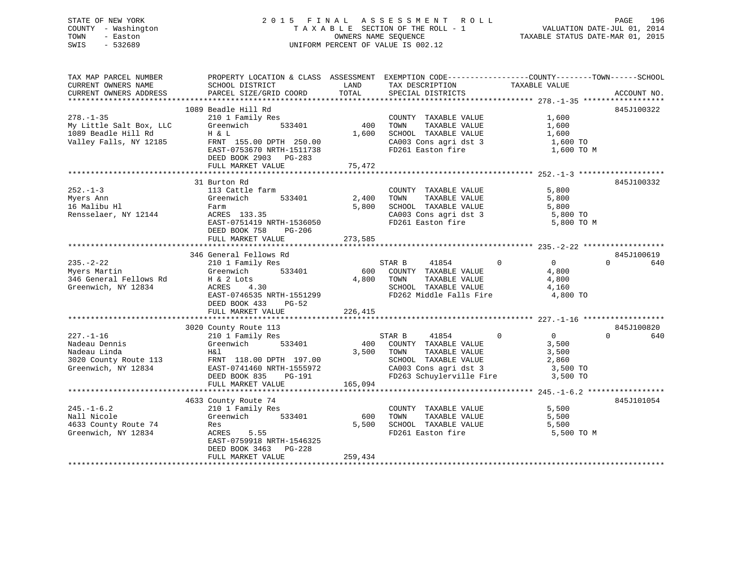## STATE OF NEW YORK 2 0 1 5 F I N A L A S S E S S M E N T R O L L PAGE 196 COUNTY - Washington T A X A B L E SECTION OF THE ROLL - 1 VALUATION DATE-JUL 01, 2014 TOWN - Easton OWNERS NAME SEQUENCE TAXABLE STATUS DATE-MAR 01, 2015 SWIS - 532689 UNIFORM PERCENT OF VALUE IS 002.12

| TAX MAP PARCEL NUMBER   | PROPERTY LOCATION & CLASS ASSESSMENT EXEMPTION CODE---------------COUNTY-------TOWN------SCHOOL                                        |              |                                                              |                                  |                 |
|-------------------------|----------------------------------------------------------------------------------------------------------------------------------------|--------------|--------------------------------------------------------------|----------------------------------|-----------------|
| CURRENT OWNERS NAME     | SCHOOL DISTRICT                                                                                                                        | LAND         | TAX DESCRIPTION                                              | TAXABLE VALUE                    |                 |
| CURRENT OWNERS ADDRESS  | PARCEL SIZE/GRID COORD                                                                                                                 | TOTAL        | SPECIAL DISTRICTS                                            |                                  | ACCOUNT NO.     |
|                         |                                                                                                                                        |              |                                                              |                                  |                 |
|                         | 1089 Beadle Hill Rd                                                                                                                    |              |                                                              |                                  | 845J100322      |
|                         |                                                                                                                                        |              |                                                              |                                  |                 |
| $278. - 1 - 35$         | 210 1 Family Res                                                                                                                       |              | COUNTY TAXABLE VALUE<br>TOWN      TAXABLE VALUE              | 1,600                            |                 |
| My Little Salt Box, LLC | Greenwich<br>533401                                                                                                                    | 400          |                                                              | 1,600                            |                 |
| 1089 Beadle Hill Rd     | H & L                                                                                                                                  | 1,600        | SCHOOL TAXABLE VALUE                                         | 1,600                            |                 |
| Valley Falls, NY 12185  | FRNT 155.00 DPTH 250.00                                                                                                                |              | CA003 Cons agri dst 3                                        | $1,600$ TO                       |                 |
|                         | EAST-0753670 NRTH-1511738                                                                                                              |              | FD261 Easton fire                                            | 1,600 TO M                       |                 |
|                         | DEED BOOK 2903 PG-283                                                                                                                  |              |                                                              |                                  |                 |
|                         | FULL MARKET VALUE                                                                                                                      | 75,472       |                                                              |                                  |                 |
|                         |                                                                                                                                        |              |                                                              |                                  |                 |
|                         |                                                                                                                                        |              |                                                              |                                  |                 |
|                         | 31 Burton Rd                                                                                                                           |              |                                                              |                                  | 845J100332      |
| $252 - 1 - 3$           | 113 Cattle farm                                                                                                                        |              | COUNTY TAXABLE VALUE                                         | 5,800                            |                 |
| Myers Ann               | Greenwich                                                                                                                              | 533401 2,400 | TOWN<br>TAXABLE VALUE                                        | 5,800                            |                 |
| 16 Malibu Hl            | Farm                                                                                                                                   | 5,800        | SCHOOL TAXABLE VALUE                                         | 5,800                            |                 |
| Rensselaer, NY 12144    | ACRES 133.35                                                                                                                           |              | SCHOOL TAXABLE VALUE 5,800<br>CA003 Cons agri dst 3 5,800 TO |                                  |                 |
|                         | EAST-0751419 NRTH-1536050                                                                                                              |              | FD261 Easton fire                                            | 5,800 TO M                       |                 |
|                         | DEED BOOK 758<br>PG-206                                                                                                                |              |                                                              |                                  |                 |
|                         | FULL MARKET VALUE                                                                                                                      | 273,585      |                                                              |                                  |                 |
|                         |                                                                                                                                        |              |                                                              |                                  |                 |
|                         |                                                                                                                                        |              |                                                              |                                  |                 |
|                         | 346 General Fellows Rd                                                                                                                 |              |                                                              |                                  | 845J100619      |
| $235. -2 - 22$          | 210 1 Family Res                                                                                                                       |              | STAR B<br>41854                                              | $\overline{0}$<br>$\overline{0}$ | $\Omega$<br>640 |
| Myers Martin            | 533401<br>Greenwich                                                                                                                    | 600          | COUNTY TAXABLE VALUE                                         | 4,800                            |                 |
| 346 General Fellows Rd  | H & 2 Lots                                                                                                                             |              | TAXABLE VALUE<br>4,800 TOWN                                  | 4,800                            |                 |
| Greenwich, NY 12834     | ACRES<br>4.30                                                                                                                          |              | SCHOOL TAXABLE VALUE                                         | 4,160                            |                 |
|                         | EAST-0746535 NRTH-1551299                                                                                                              |              | FD262 Middle Falls Fire                                      | 4,800 TO                         |                 |
|                         | DEED BOOK 433<br>PG-52                                                                                                                 |              |                                                              |                                  |                 |
|                         |                                                                                                                                        |              |                                                              |                                  |                 |
|                         | FULL MARKET VALUE                                                                                                                      | 226,415      |                                                              |                                  |                 |
|                         |                                                                                                                                        |              |                                                              |                                  |                 |
|                         | 3020 County Route 113                                                                                                                  |              |                                                              |                                  | 845J100820      |
| $227. - 1 - 16$         | 210 1 Family Res                                                                                                                       |              | 41854<br>$\overline{0}$<br>STAR B                            | $\overline{0}$                   | 640<br>$\Omega$ |
| Nadeau Dennis           | 533401<br>Greenwich                                                                                                                    |              | 400 COUNTY TAXABLE VALUE                                     | 3,500                            |                 |
| Nadeau Linda            | H&l                                                                                                                                    |              | 3,500 TOWN<br>TAXABLE VALUE                                  | 3,500                            |                 |
|                         | Nadeau Linda<br>3020 County Route 113 FRNT 118.00 DPTH 197.00<br>Greenwich, NY 12834 EAST-0741460 NRTH-1555972<br>DEED BOOK 835 PG-191 |              | SCHOOL TAXABLE VALUE                                         | 2,860                            |                 |
|                         |                                                                                                                                        |              | CA003 Cons agri dst 3                                        | 3,500 TO                         |                 |
|                         |                                                                                                                                        |              | FD263 Schuylerville Fire 3,500 TO                            |                                  |                 |
|                         |                                                                                                                                        |              |                                                              |                                  |                 |
|                         | FULL MARKET VALUE                                                                                                                      | 165,094      |                                                              |                                  |                 |
|                         |                                                                                                                                        |              |                                                              |                                  |                 |
|                         | 4633 County Route 74                                                                                                                   |              |                                                              |                                  | 845J101054      |
| $245. - 1 - 6.2$        | 210 1 Family Res                                                                                                                       |              | COUNTY TAXABLE VALUE                                         | 5,500                            |                 |
| Nall Nicole             | 533401<br>Greenwich                                                                                                                    | 600          | TAXABLE VALUE<br>TOWN                                        | 5,500                            |                 |
| 4633 County Route 74    | Res                                                                                                                                    | 5,500        | SCHOOL TAXABLE VALUE                                         | 5,500                            |                 |
| Greenwich, NY 12834     | ACRES 5.55                                                                                                                             |              | FD261 Easton fire                                            | 5,500 TO M                       |                 |
|                         | EAST-0759918 NRTH-1546325                                                                                                              |              |                                                              |                                  |                 |
|                         | DEED BOOK 3463 PG-228                                                                                                                  |              |                                                              |                                  |                 |
|                         |                                                                                                                                        |              |                                                              |                                  |                 |
|                         | FULL MARKET VALUE                                                                                                                      | 259,434      |                                                              |                                  |                 |
|                         |                                                                                                                                        |              |                                                              |                                  |                 |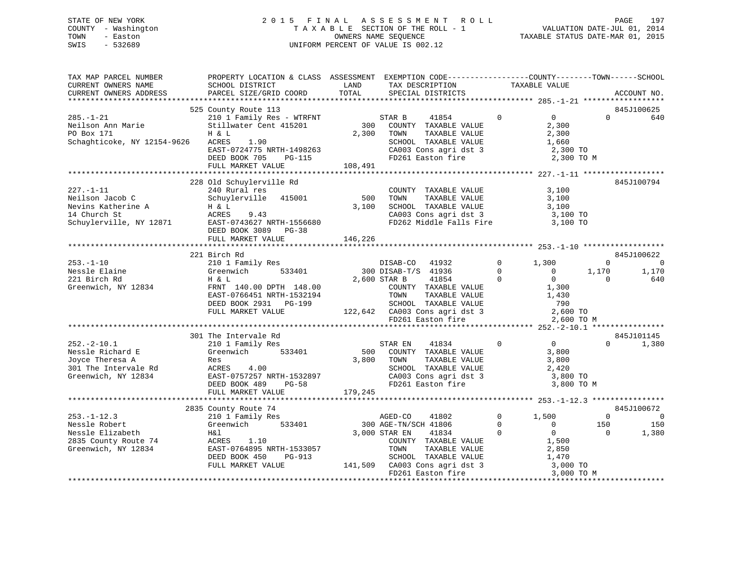## STATE OF NEW YORK 2 0 1 5 F I N A L A S S E S S M E N T R O L L PAGE 197 COUNTY - Washington T A X A B L E SECTION OF THE ROLL - 1 VALUATION DATE-JUL 01, 2014 TOWN - Easton **CONNERS NAME SEQUENCE** TAXABLE STATUS DATE-MAR 01, 2015 SWIS - 532689 UNIFORM PERCENT OF VALUE IS 002.12

| TAX MAP PARCEL NUMBER<br>CURRENT OWNERS NAME<br>CURRENT OWNERS ADDRESS                                                                                                            | PROPERTY LOCATION & CLASS ASSESSMENT EXEMPTION CODE----------------COUNTY-------TOWN------SCHOOL<br>SCHOOL DISTRICT<br>PARCEL SIZE/GRID COORD                                                                                                                                                                              | LAND<br>TOTAL           | TAX DESCRIPTION<br>SPECIAL DISTRICTS                                                                                                                                                                                                                                                                                                                         | TAXABLE VALUE                                |                                                                                                                                                               |                                           | ACCOUNT NO.                                                   |
|-----------------------------------------------------------------------------------------------------------------------------------------------------------------------------------|----------------------------------------------------------------------------------------------------------------------------------------------------------------------------------------------------------------------------------------------------------------------------------------------------------------------------|-------------------------|--------------------------------------------------------------------------------------------------------------------------------------------------------------------------------------------------------------------------------------------------------------------------------------------------------------------------------------------------------------|----------------------------------------------|---------------------------------------------------------------------------------------------------------------------------------------------------------------|-------------------------------------------|---------------------------------------------------------------|
|                                                                                                                                                                                   | 525 County Route 113                                                                                                                                                                                                                                                                                                       |                         |                                                                                                                                                                                                                                                                                                                                                              |                                              |                                                                                                                                                               |                                           | 845J100625                                                    |
| $285. - 1 - 21$<br>Neilson Ann Marie<br>PO Box 171<br>Schaghticoke, NY 12154-9626                                                                                                 | 210 1 Family Res - WTRFNT<br>Stillwater Cent 415201<br>H & L<br>1.90<br>ACRES<br>EAST-0724775 NRTH-1498263<br>DEED BOOK 705<br>PG-115<br>FULL MARKET VALUE                                                                                                                                                                 | 2,300<br>108,491        | 41854<br>STAR B<br>300 COUNTY TAXABLE VALUE<br>TOWN<br>TAXABLE VALUE<br>SCHOOL TAXABLE VALUE<br>CA003 Cons agri dst 3<br>FD261 Easton fire                                                                                                                                                                                                                   | $\Omega$                                     | $\overline{0}$<br>2,300<br>2,300<br>1,660<br>2,300 TO<br>2,300 TO M                                                                                           | $\Omega$                                  | 640                                                           |
|                                                                                                                                                                                   |                                                                                                                                                                                                                                                                                                                            |                         |                                                                                                                                                                                                                                                                                                                                                              |                                              |                                                                                                                                                               |                                           |                                                               |
| $227. - 1 - 11$<br>Neilson Jacob C<br>Nevins Katherine A<br>14 Church St<br>Schuylerville, NY 12871                                                                               | 228 Old Schuylerville Rd<br>240 Rural res<br>Schuylerville<br>415001<br>H & L<br>ACRES<br>9.43<br>EAST-0743627 NRTH-1556680<br>DEED BOOK 3089 PG-38<br>FULL MARKET VALUE                                                                                                                                                   | 500<br>3,100<br>146,226 | COUNTY TAXABLE VALUE<br>TOWN<br>TAXABLE VALUE<br>SCHOOL TAXABLE VALUE<br>CA003 Cons agri dst 3<br>FD262 Middle Falls Fire                                                                                                                                                                                                                                    |                                              | 3,100<br>3,100<br>3,100<br>3,100 TO<br>3,100 TO                                                                                                               |                                           | 845J100794                                                    |
|                                                                                                                                                                                   |                                                                                                                                                                                                                                                                                                                            |                         |                                                                                                                                                                                                                                                                                                                                                              |                                              |                                                                                                                                                               |                                           |                                                               |
| $253. - 1 - 10$<br>Nessle Elaine<br>221 Birch Rd<br>Greenwich, NY 12834<br>$252 - 2 - 10.1$<br>Nessle Richard E<br>Joyce Theresa A<br>301 The Intervale Rd<br>Greenwich, NY 12834 | 221 Birch Rd<br>210 1 Family Res<br>Greenwich<br>533401<br>H & L<br>FRNT 140.00 DPTH 148.00<br>EAST-0766451 NRTH-1532194<br>DEED BOOK 2931 PG-199<br>FULL MARKET VALUE<br>301 The Intervale Rd<br>210 1 Family Res<br>Greenwich<br>533401<br>Res<br>ACRES<br>4.00<br>EAST-0757257 NRTH-1532897<br>DEED BOOK 489<br>$PG-58$ | 500<br>3,800            | DISAB-CO<br>41932<br>300 DISAB-T/S 41936<br>2,600 STAR B<br>41854<br>COUNTY TAXABLE VALUE<br>TOWN<br>TAXABLE VALUE<br>SCHOOL TAXABLE VALUE<br>122,642 CA003 Cons agri dst 3<br>FD261 Easton fire<br>FD261 Easton fire<br>41834<br>STAR EN<br>COUNTY TAXABLE VALUE<br>TOWN<br>TAXABLE VALUE<br>SCHOOL TAAADDD<br>CA003 Cons agridst 3<br>CA003 Cons agridst 3 | $\Omega$<br>$\Omega$<br>$\Omega$<br>$\Omega$ | 1,300<br>$\overline{0}$<br>$\Omega$<br>1,300<br>1,430<br>790<br>2,600 TO<br>2,600 TO M<br>$\overline{0}$<br>3,800<br>3,800<br>2,420<br>3,800 TO<br>3,800 TO M | $\Omega$<br>1,170<br>$\Omega$<br>$\Omega$ | 845J100622<br>$\Omega$<br>1,170<br>640<br>845J101145<br>1,380 |
|                                                                                                                                                                                   | FULL MARKET VALUE                                                                                                                                                                                                                                                                                                          | 179,245                 |                                                                                                                                                                                                                                                                                                                                                              |                                              |                                                                                                                                                               |                                           |                                                               |
|                                                                                                                                                                                   | 2835 County Route 74                                                                                                                                                                                                                                                                                                       |                         |                                                                                                                                                                                                                                                                                                                                                              |                                              |                                                                                                                                                               |                                           | 845J100672                                                    |
| $253. - 1 - 12.3$<br>Nessle Robert<br>Nessle Elizabeth<br>2835 County Route 74<br>Greenwich, NY 12834                                                                             | 210 1 Family Res<br>Greenwich<br>533401<br>H&l<br>ACRES<br>1.10<br>EAST-0764895 NRTH-1533057<br>DEED BOOK 450<br>PG-913<br>FULL MARKET VALUE                                                                                                                                                                               |                         | AGED-CO<br>41802<br>300 AGE-TN/SCH 41806<br>3,000 STAR EN<br>41834<br>COUNTY TAXABLE VALUE<br>TAXABLE VALUE<br>TOWN<br>SCHOOL TAXABLE VALUE<br>141,509 CA003 Cons agri dst 3                                                                                                                                                                                 | $\Omega$<br>$\Omega$<br>$\mathbf 0$          | 1,500<br>$\mathbf 0$<br>$\mathbf{0}$<br>1,500<br>2,850<br>1,470<br>3,000 TO                                                                                   | $\Omega$<br>150<br>$\Omega$               | $\Omega$<br>150<br>1,380                                      |
|                                                                                                                                                                                   |                                                                                                                                                                                                                                                                                                                            |                         | FD261 Easton fire                                                                                                                                                                                                                                                                                                                                            |                                              | 3,000 TO M                                                                                                                                                    |                                           | *******************                                           |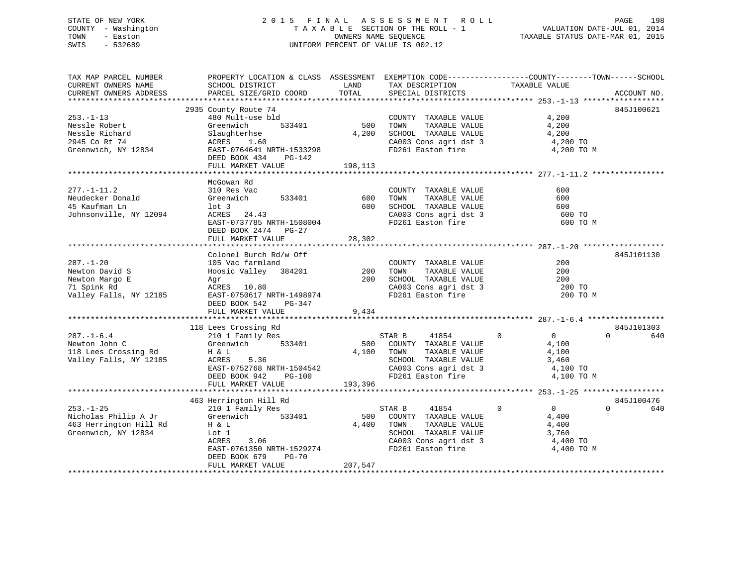## STATE OF NEW YORK 2 0 1 5 F I N A L A S S E S S M E N T R O L L PAGE 198 COUNTY - Washington T A X A B L E SECTION OF THE ROLL - 1 VALUATION DATE-JUL 01, 2014 TOWN - Easton OWNERS NAME SEQUENCE TAXABLE STATUS DATE-MAR 01, 2015 SWIS - 532689 UNIFORM PERCENT OF VALUE IS 002.12

| TAX MAP PARCEL NUMBER                            | PROPERTY LOCATION & CLASS ASSESSMENT EXEMPTION CODE---------------COUNTY-------TOWN-----SCHOOL                                                                       |            |                                                              |                                  |                 |
|--------------------------------------------------|----------------------------------------------------------------------------------------------------------------------------------------------------------------------|------------|--------------------------------------------------------------|----------------------------------|-----------------|
| CURRENT OWNERS NAME<br>CURRENT OWNERS ADDRESS    | SCHOOL DISTRICT<br>PARCEL SIZE/GRID COORD                                                                                                                            | TOTAL      | LAND TAX DESCRIPTION                                         | TAXABLE VALUE                    | ACCOUNT NO.     |
|                                                  |                                                                                                                                                                      |            | SPECIAL DISTRICTS                                            |                                  |                 |
|                                                  | 2935 County Route 74                                                                                                                                                 |            |                                                              |                                  | 845J100621      |
| $253. - 1 - 13$                                  | 480 Mult-use bld                                                                                                                                                     |            | COUNTY TAXABLE VALUE 4,200                                   |                                  |                 |
| Nessle Robert                                    | Greenwich<br>533401                                                                                                                                                  |            | TAXABLE VALUE                                                | 4,200                            |                 |
| Nessle Richard                                   | Slaughterhse                                                                                                                                                         |            | $4,200$ SCHOOL TAXABLE VALUE $4,200$                         |                                  |                 |
| 2945 Co Rt 74                                    | ACRES 1.60                                                                                                                                                           |            |                                                              | 4,200 TO                         |                 |
| Greenwich, NY 12834 EAST-0764641 NRTH-1533298    |                                                                                                                                                                      |            | CA003 Cons agri dst 3<br>FD261 Easton fire                   | 4,200 TO M                       |                 |
|                                                  | DEED BOOK 434 PG-142                                                                                                                                                 |            |                                                              |                                  |                 |
|                                                  | FULL MARKET VALUE                                                                                                                                                    | 198,113    |                                                              |                                  |                 |
|                                                  |                                                                                                                                                                      |            |                                                              |                                  |                 |
|                                                  | McGowan Rd                                                                                                                                                           |            |                                                              |                                  |                 |
| $277. - 1 - 11.2$                                | 310 Res Vac                                                                                                                                                          |            | COUNTY TAXABLE VALUE<br>TOWN TAXABLE VALUE                   | 600                              |                 |
|                                                  | 533401 600                                                                                                                                                           |            |                                                              | 600                              |                 |
| 45 Kaufman Ln                                    | lot 3<br>lot 3<br>ACRES 24.43                                                                                                                                        |            | 600 SCHOOL TAXABLE VALUE<br>CA003 Cons agri dst 3            | 600                              |                 |
| Johnsonville, NY 12094                           | EAST-0737785 NRTH-1508004<br>DEED BOOK 2474 DEED                                                                                                                     |            |                                                              | 600 TO                           |                 |
|                                                  |                                                                                                                                                                      |            | FD261 Easton fire                                            | 600 TO M                         |                 |
|                                                  | DEED BOOK 2474 PG-27                                                                                                                                                 |            |                                                              |                                  |                 |
|                                                  |                                                                                                                                                                      |            |                                                              |                                  |                 |
|                                                  | Colonel Burch Rd/w Off                                                                                                                                               |            |                                                              |                                  | 845J101130      |
| $287. - 1 - 20$                                  |                                                                                                                                                                      |            | COUNTY TAXABLE VALUE                                         | 200                              |                 |
| Newton David S                                   |                                                                                                                                                                      |            |                                                              | 200                              |                 |
| Newton Margo E                                   | 105 Vac farmland<br>Hoosic Valley 384201 200 TOWN TAXABLE VALUE<br>Agr 200 SCHOOL TAXABLE VALUE<br>ACRES 10.80 200 CA003 Cons agri dot 2<br>RAST-0750617 NEWS 140000 |            |                                                              | 200                              |                 |
| 71 Spink Rd                                      |                                                                                                                                                                      |            |                                                              |                                  |                 |
| Valley Falls, NY 12185 EAST-0750617 NRTH-1498974 |                                                                                                                                                                      |            | CA003 Cons agri dst 3<br>FD261 Easton fire                   | 200 TO<br>200 TO M               |                 |
|                                                  | DEED BOOK 542 PG-347                                                                                                                                                 |            |                                                              |                                  |                 |
|                                                  | FULL MARKET VALUE 9,434                                                                                                                                              |            |                                                              |                                  |                 |
|                                                  |                                                                                                                                                                      |            |                                                              |                                  |                 |
|                                                  | 118 Lees Crossing Rd                                                                                                                                                 |            |                                                              |                                  | 845J101303      |
| $287. - 1 - 6.4$                                 | Lees Crossing Rd<br>210 1 Family Res                                                                                                                                 |            | STAR B 41854 0                                               | $\overline{0}$                   | $0 \t\t 640$    |
| Newton John C                                    | Greenwich 533401                                                                                                                                                     |            | 500 COUNTY TAXABLE VALUE 4,100                               |                                  |                 |
| 118 Lees Crossing Rd<br>Valley Falls, NY 12185   | 5.36<br>H & L                                                                                                                                                        | 4,100 TOWN | TOWN TAXABLE VALUE 4,100<br>SCHOOL TAXABLE VALUE 3,460       |                                  |                 |
|                                                  | ACRES                                                                                                                                                                |            |                                                              |                                  |                 |
|                                                  | EAST-0752768 NRTH-1504542<br>DEED BOOK 942 PG-100                                                                                                                    |            | CA003 Cons agri dst 3<br>FD261 Easton fire                   | 4,100 TO                         |                 |
|                                                  |                                                                                                                                                                      |            |                                                              | 4,100 TO M                       |                 |
|                                                  | FULL MARKET VALUE                                                                                                                                                    | 193,396    |                                                              |                                  |                 |
|                                                  |                                                                                                                                                                      |            |                                                              |                                  |                 |
|                                                  | 463 Herrington Hill Rd                                                                                                                                               |            |                                                              |                                  | 845J100476      |
| $253. - 1 - 25$                                  | 210 1 Family Res                                                                                                                                                     |            | STAR B<br>41854                                              | $\overline{0}$<br>$\overline{0}$ | $\Omega$<br>640 |
|                                                  |                                                                                                                                                                      |            | 500 COUNTY TAXABLE VALUE<br>4,400 TOWN TAXABLE VALUE         | 4,400<br>4,400                   |                 |
| Greenwich, NY 12834                              | Lot 1                                                                                                                                                                | 4,400 TOWN |                                                              |                                  |                 |
|                                                  | ACRES<br>3.06                                                                                                                                                        |            | SCHOOL TAXABLE VALUE 3,760<br>CA003 Cons agri dst 3 4,400 TO |                                  |                 |
|                                                  | EAST-0761350 NRTH-1529274                                                                                                                                            |            | FD261 Easton fire                                            | 4,400 TO M                       |                 |
|                                                  | DEED BOOK 679<br>$PG-70$                                                                                                                                             |            |                                                              |                                  |                 |
|                                                  | FULL MARKET VALUE                                                                                                                                                    | 207,547    |                                                              |                                  |                 |
|                                                  |                                                                                                                                                                      |            |                                                              |                                  |                 |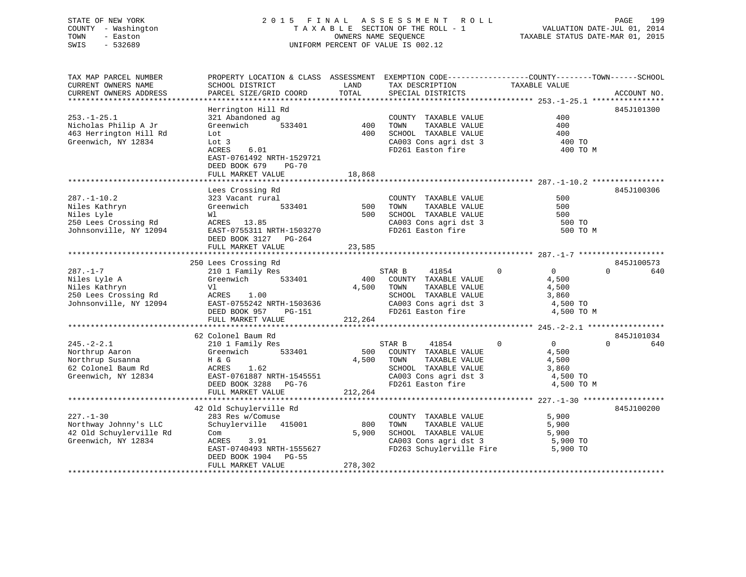## STATE OF NEW YORK 2 0 1 5 F I N A L A S S E S S M E N T R O L L PAGE 199 COUNTY - Washington T A X A B L E SECTION OF THE ROLL - 1 VALUATION DATE-JUL 01, 2014 TOWN - Easton **CONNERS NAME SEQUENCE** TAXABLE STATUS DATE-MAR 01, 2015 SWIS - 532689 UNIFORM PERCENT OF VALUE IS 002.12

| TAX MAP PARCEL NUMBER                         | PROPERTY LOCATION & CLASS ASSESSMENT EXEMPTION CODE----------------COUNTY-------TOWN------SCHOOL | LAND       |                                                   | TAXABLE VALUE                 |                 |
|-----------------------------------------------|--------------------------------------------------------------------------------------------------|------------|---------------------------------------------------|-------------------------------|-----------------|
| CURRENT OWNERS NAME<br>CURRENT OWNERS ADDRESS | SCHOOL DISTRICT<br>PARCEL SIZE/GRID COORD                                                        | TOTAL      | TAX DESCRIPTION<br>SPECIAL DISTRICTS              |                               | ACCOUNT NO.     |
|                                               |                                                                                                  |            |                                                   |                               |                 |
|                                               | Herrington Hill Rd                                                                               |            |                                                   |                               | 845J101300      |
| $253. - 1 - 25.1$                             | 321 Abandoned ag                                                                                 |            | COUNTY TAXABLE VALUE                              | 400                           |                 |
| Nicholas Philip A Jr                          | 533401<br>Greenwich                                                                              | 400        | TOWN<br>TAXABLE VALUE                             | 400                           |                 |
| 463 Herrington Hill Rd                        | Lot                                                                                              | 400        | SCHOOL TAXABLE VALUE                              | 400                           |                 |
| Greenwich, NY 12834                           | Lot 3                                                                                            |            | CA003 Cons agri dst 3                             | 400 TO                        |                 |
|                                               | 6.01<br>ACRES                                                                                    |            | FD261 Easton fire                                 | 400 TO M                      |                 |
|                                               | EAST-0761492 NRTH-1529721                                                                        |            |                                                   |                               |                 |
|                                               | DEED BOOK 679<br><b>PG-70</b>                                                                    |            |                                                   |                               |                 |
|                                               | FULL MARKET VALUE                                                                                | 18,868     |                                                   |                               |                 |
|                                               |                                                                                                  |            |                                                   |                               |                 |
|                                               | Lees Crossing Rd                                                                                 |            |                                                   |                               | 845J100306      |
| $287. - 1 - 10.2$                             | 323 Vacant rural                                                                                 |            | COUNTY TAXABLE VALUE                              | 500                           |                 |
| Niles Kathryn                                 | Greenwich<br>533401                                                                              | 500<br>500 | TAXABLE VALUE<br>TOWN                             | 500<br>500                    |                 |
| Niles Lyle<br>250 Lees Crossing Rd            | Wl<br>ACRES 13.85                                                                                |            | SCHOOL TAXABLE VALUE<br>CA003 Cons agri dst 3     | 500 TO                        |                 |
| Johnsonville, NY 12094                        | EAST-0755311 NRTH-1503270                                                                        |            | FD261 Easton fire                                 | 500 TO M                      |                 |
|                                               | DEED BOOK 3127 PG-264                                                                            |            |                                                   |                               |                 |
|                                               | FULL MARKET VALUE                                                                                | 23,585     |                                                   |                               |                 |
|                                               |                                                                                                  |            |                                                   |                               |                 |
|                                               | 250 Lees Crossing Rd                                                                             |            |                                                   |                               | 845J100573      |
| $287. - 1 - 7$                                | 210 1 Family Res                                                                                 |            | STAR B<br>41854                                   | $\overline{0}$<br>$\Omega$    | $\Omega$<br>640 |
| Niles Lyle A                                  | Greenwich<br>533401                                                                              | 400        | COUNTY TAXABLE VALUE                              | 4,500                         |                 |
| Niles Kathryn                                 | Vl                                                                                               | 4,500      | TOWN<br>TAXABLE VALUE                             | 4,500                         |                 |
| 250 Lees Crossing Rd                          | ACRES<br>1.00                                                                                    |            | SCHOOL TAXABLE VALUE                              | 3,860                         |                 |
| Johnsonville, NY 12094                        | EAST-0755242 NRTH-1503636                                                                        |            | CA003 Cons agri dst 3                             | 4,500 TO                      |                 |
|                                               | DEED BOOK 957<br><b>PG-151</b>                                                                   |            | FD261 Easton fire                                 | 4,500 TO M                    |                 |
|                                               | FULL MARKET VALUE                                                                                | 212,264    |                                                   |                               |                 |
|                                               |                                                                                                  |            |                                                   |                               |                 |
|                                               | 62 Colonel Baum Rd                                                                               |            |                                                   |                               | 845J101034      |
| $245. - 2 - 2.1$                              | 210 1 Family Res                                                                                 |            | STAR B<br>41854                                   | $\Omega$<br>$0 \qquad \qquad$ | $\Omega$<br>640 |
| Northrup Aaron<br>Northrup Susanna            | 533401<br>Greenwich                                                                              | 4,500      | 500 COUNTY TAXABLE VALUE<br>TOWN<br>TAXABLE VALUE | 4,500                         |                 |
| 62 Colonel Baum Rd                            | H & G<br>ACRES<br>1.62                                                                           |            | SCHOOL TAXABLE VALUE                              | 4,500<br>3,860                |                 |
| Greenwich, NY 12834                           | EAST-0761887 NRTH-1545551                                                                        |            | CA003 Cons agri dst 3                             | 4,500 TO                      |                 |
|                                               | DEED BOOK 3288 PG-76                                                                             |            | FD261 Easton fire                                 | 4,500 TO M                    |                 |
|                                               | FULL MARKET VALUE                                                                                | 212,264    |                                                   |                               |                 |
|                                               |                                                                                                  |            |                                                   |                               |                 |
|                                               | 42 Old Schuylerville Rd                                                                          |            |                                                   |                               | 845J100200      |
| $227. - 1 - 30$                               | 283 Res w/Comuse                                                                                 |            | COUNTY TAXABLE VALUE                              | 5,900                         |                 |
| Northway Johnny's LLC                         | Schuylerville 415001                                                                             | 800        | TOWN<br>TAXABLE VALUE                             | 5,900                         |                 |
| 42 Old Schuylerville Rd                       | Com                                                                                              | 5,900      | SCHOOL TAXABLE VALUE                              | 5,900                         |                 |
| Greenwich, NY 12834                           | ACRES<br>3.91                                                                                    |            | CA003 Cons agri dst 3                             | 5,900 TO                      |                 |
|                                               | EAST-0740493 NRTH-1555627                                                                        |            | FD263 Schuylerville Fire                          | 5,900 TO                      |                 |
|                                               | DEED BOOK 1904<br><b>PG-55</b>                                                                   |            |                                                   |                               |                 |
|                                               | FULL MARKET VALUE                                                                                | 278,302    |                                                   |                               |                 |
|                                               |                                                                                                  |            |                                                   |                               |                 |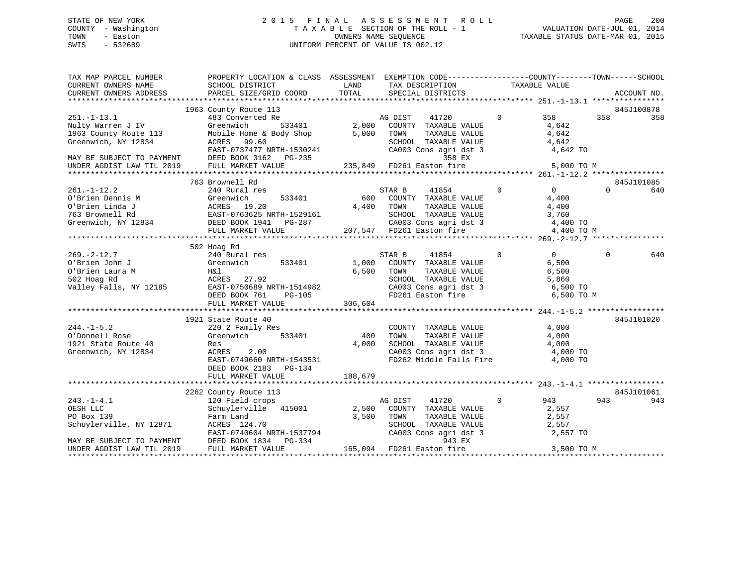## STATE OF NEW YORK 2 0 1 5 F I N A L A S S E S S M E N T R O L L PAGE 200 COUNTY - Washington T A X A B L E SECTION OF THE ROLL - 1 VALUATION DATE-JUL 01, 2014 TOWN - Easton **CONNERS NAME SEQUENCE** TAXABLE STATUS DATE-MAR 01, 2015 SWIS - 532689 UNIFORM PERCENT OF VALUE IS 002.12

| TAX MAP PARCEL NUMBER                                                                     | PROPERTY LOCATION & CLASS ASSESSMENT EXEMPTION CODE---------------COUNTY-------TOWN------SCHOOL                                                                                                                                               |         |                                                                                                  |                |                |          |            |
|-------------------------------------------------------------------------------------------|-----------------------------------------------------------------------------------------------------------------------------------------------------------------------------------------------------------------------------------------------|---------|--------------------------------------------------------------------------------------------------|----------------|----------------|----------|------------|
| CURRENT OWNERS NAME                                                                       | SCHOOL DISTRICT                                                                                                                                                                                                                               | LAND    | TAX DESCRIPTION                                                                                  | TAXABLE VALUE  |                |          |            |
|                                                                                           |                                                                                                                                                                                                                                               |         |                                                                                                  |                |                |          |            |
|                                                                                           |                                                                                                                                                                                                                                               |         |                                                                                                  |                |                |          |            |
|                                                                                           | 1963 County Route 113                                                                                                                                                                                                                         |         |                                                                                                  |                |                |          | 845J100878 |
| $251. - 1 - 13.1$                                                                         | 483 Converted Re                                                                                                                                                                                                                              |         | AG DIST 41720<br>33401 2,000 COUNTY TAXABLE VALUE<br>2,000 TOWN TAXABLE VALUE<br>7 TAXABLE VALUE | $\overline{0}$ | 358            | 358      | 358        |
|                                                                                           |                                                                                                                                                                                                                                               |         |                                                                                                  |                | 4,642          |          |            |
|                                                                                           | Nulty Warren J IV Greenwich 533401<br>1963 County Route 113 Mobile Home & Body Shop                                                                                                                                                           |         | TAXABLE VALUE                                                                                    |                | 4,642          |          |            |
|                                                                                           |                                                                                                                                                                                                                                               |         |                                                                                                  |                | 4,642          |          |            |
|                                                                                           |                                                                                                                                                                                                                                               |         | SCHOOL TAXABLE VALUE<br>CA003 Cons agri dst 3                                                    |                | 4,642 TO       |          |            |
|                                                                                           | Wulty Warren u 1v<br>1963 County Route 113 Mobile nome -<br>Greenwich, NY 12834 ACRES 99.60<br>EAST-0737477 NRTH-1530241<br>PG-235<br>235,849                                                                                                 |         | 358 EX                                                                                           |                |                |          |            |
| MAY BE SUBJECT TO PAYMENT THE DEED BOOK 3162<br>UNDER AGDIST LAW TIL 2019 TULL MARKET VAL | FULL MARKET VALUE                                                                                                                                                                                                                             |         | 235,849 FD261 Easton fire                                                                        |                | 5,000 TO M     |          |            |
|                                                                                           |                                                                                                                                                                                                                                               |         |                                                                                                  |                |                |          |            |
|                                                                                           |                                                                                                                                                                                                                                               |         |                                                                                                  |                |                |          |            |
|                                                                                           | 763 Brownell Rd                                                                                                                                                                                                                               |         |                                                                                                  |                |                |          | 845J101085 |
|                                                                                           |                                                                                                                                                                                                                                               |         | $\sim$ 0                                                                                         |                | $\overline{0}$ | $\Omega$ | 640        |
|                                                                                           |                                                                                                                                                                                                                                               |         |                                                                                                  |                |                |          |            |
|                                                                                           |                                                                                                                                                                                                                                               |         |                                                                                                  |                |                |          |            |
|                                                                                           |                                                                                                                                                                                                                                               |         |                                                                                                  |                |                |          |            |
|                                                                                           |                                                                                                                                                                                                                                               |         |                                                                                                  |                |                |          |            |
|                                                                                           |                                                                                                                                                                                                                                               |         |                                                                                                  |                |                |          |            |
|                                                                                           |                                                                                                                                                                                                                                               |         |                                                                                                  |                |                |          |            |
|                                                                                           |                                                                                                                                                                                                                                               |         |                                                                                                  |                |                |          |            |
|                                                                                           |                                                                                                                                                                                                                                               |         | STAR B<br>41854                                                                                  | $\Omega$       | $\Omega$       | $\Omega$ | 640        |
|                                                                                           |                                                                                                                                                                                                                                               |         | COUNTY TAXABLE VALUE                                                                             |                | 6,500          |          |            |
|                                                                                           |                                                                                                                                                                                                                                               |         | TAXABLE VALUE<br>TOWN                                                                            |                | 6,500          |          |            |
|                                                                                           |                                                                                                                                                                                                                                               |         |                                                                                                  |                |                |          |            |
|                                                                                           |                                                                                                                                                                                                                                               |         |                                                                                                  |                |                |          |            |
|                                                                                           |                                                                                                                                                                                                                                               |         | SCHOOL TAXABLE VALUE 5,860<br>CA003 Cons agri dst 3 6,500 TO<br>FD261 Easton fire 6,500 TO M     |                |                |          |            |
|                                                                                           |                                                                                                                                                                                                                                               |         |                                                                                                  |                |                |          |            |
|                                                                                           | 69.-2-12.7<br>/ Brien John J (Sreenwich Space of Space 12.1)<br>(Sreenwich Space 27.92<br>702 Hoag Rd (SPES 27.92<br>702 Hoag Rd (SPES 27.92<br>702 EAST-0750689 NRTH-1514982<br>702 DEED BOOK 761 PG-105<br>FULL MARKET VALUE 306,604<br>704 |         |                                                                                                  |                |                |          |            |
|                                                                                           | 1921 State Route 40                                                                                                                                                                                                                           |         |                                                                                                  |                |                |          | 845J101020 |
| $244. -1 - 5.2$                                                                           | 220 2 Family Res                                                                                                                                                                                                                              |         | COUNTY TAXABLE VALUE                                                                             |                | 4,000          |          |            |
| O'Donnell Rose                                                                            | 533401                                                                                                                                                                                                                                        | 400     | TOWN                                                                                             |                | 4,000          |          |            |
|                                                                                           | Greenwich                                                                                                                                                                                                                                     |         | TAXABLE VALUE                                                                                    |                |                |          |            |
| 1921 State Route 40                                                                       | Res                                                                                                                                                                                                                                           | 4,000   | SCHOOL TAXABLE VALUE                                                                             |                | 4,000          |          |            |
| Greenwich, NY 12834                                                                       | ACRES<br>2.00                                                                                                                                                                                                                                 |         | CA003 Cons agri dst 3 4,000 TO                                                                   |                |                |          |            |
|                                                                                           | EAST-0749660 NRTH-1543531                                                                                                                                                                                                                     |         | FD262 Middle Falls Fire                                                                          |                | 4,000 TO       |          |            |
|                                                                                           | DEED BOOK 2183 PG-134                                                                                                                                                                                                                         |         |                                                                                                  |                |                |          |            |
|                                                                                           | FULL MARKET VALUE                                                                                                                                                                                                                             | 188,679 |                                                                                                  |                |                |          |            |
|                                                                                           |                                                                                                                                                                                                                                               |         |                                                                                                  |                |                |          |            |
|                                                                                           | 2262 County Route 113                                                                                                                                                                                                                         |         |                                                                                                  |                |                |          | 845J101061 |
| $243. -1 - 4.1$                                                                           | 120 Field crops                                                                                                                                                                                                                               |         | AG DIST<br>41720                                                                                 | $\mathbf{0}$   | 943            | 943      | 943        |
| OESH LLC                                                                                  | Schuylerville 415001 2,500                                                                                                                                                                                                                    |         | COUNTY TAXABLE VALUE                                                                             |                | 2,557          |          |            |
| PO Box 139                                                                                | Farm Land                                                                                                                                                                                                                                     | 3,500   | TOWN<br>TAXABLE VALUE                                                                            |                | 2,557          |          |            |
| Schuylerville, NY 12871 ACRES 124.70                                                      |                                                                                                                                                                                                                                               |         | SCHOOL TAXABLE VALUE                                                                             |                | 2,557          |          |            |
|                                                                                           | EAST-0740604 NRTH-1537794                                                                                                                                                                                                                     |         | CA003 Cons agri dst 3                                                                            |                | 2,557 TO       |          |            |
| EAST-0740604 NE<br>MAY BE SUBJECT TO PAYMENT DEED BOOK 1834                               | PG-334                                                                                                                                                                                                                                        |         | 943 EX                                                                                           |                |                |          |            |
| UNDER AGDIST LAW TIL 2019                                                                 | FULL MARKET VALUE                                                                                                                                                                                                                             |         | 165,094 FD261 Easton fire                                                                        |                | 3,500 TO M     |          |            |
|                                                                                           |                                                                                                                                                                                                                                               |         |                                                                                                  |                |                |          |            |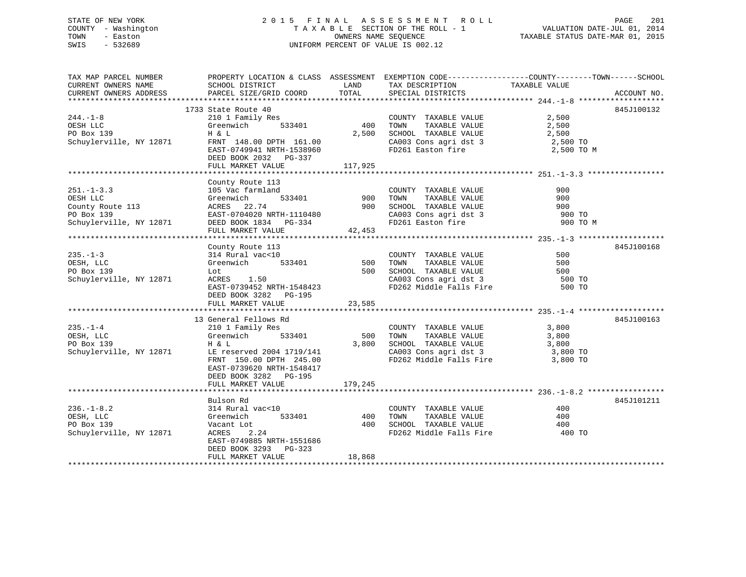STATE OF NEW YORK 2 0 1 5 F I N A L A S S E S S M E N T R O L L PAGE 201 COUNTY - Washington T A X A B L E SECTION OF THE ROLL - 1 VALUATION DATE-JUL 01, 2014 TOWN - Easton OWNERS NAME SEQUENCE TAXABLE STATUS DATE-MAR 01, 2015 SWIS - 532689 UNIFORM PERCENT OF VALUE IS 002.12

TAX MAP PARCEL NUMBER PROPERTY LOCATION & CLASS ASSESSMENT EXEMPTION CODE------------------COUNTY--------TOWN------SCHOOL CURRENT OWNERS NAME SCHOOL DISTRICT THE LAND TAX DESCRIPTION TAXABLE VALUE CURRENT OWNERS ADDRESS PARCEL SIZE/GRID COORD TOTAL SPECIAL DISTRICTS ACCOUNT NO. \*\*\*\*\*\*\*\*\*\*\*\*\*\*\*\*\*\*\*\*\*\*\*\*\*\*\*\*\*\*\*\*\*\*\*\*\*\*\*\*\*\*\*\*\*\*\*\*\*\*\*\*\*\*\*\*\*\*\*\*\*\*\*\*\*\*\*\*\*\*\*\*\*\*\*\*\*\*\*\*\*\*\*\*\*\*\*\*\*\*\*\*\*\*\*\*\*\*\*\*\*\*\* 244.-1-8 \*\*\*\*\*\*\*\*\*\*\*\*\*\*\*\*\*\*\* 1733 State Route 40 845J100132 244.-1-8 210 1 Family Res COUNTY TAXABLE VALUE 2,500 OESH LLC Greenwich 533401 400 TOWN TAXABLE VALUE 2,500 PO Box 139 H & L 2,500 SCHOOL TAXABLE VALUE 2,500 Schuylerville, NY 12871 FRNT 148.00 DPTH 161.00 CA003 Cons agri dst 3 2,500 TO EAST-0749941 NRTH-1538960 FD261 Easton fire 2,500 TO M DEED BOOK 2032 PG-337FULL MARKET VALUE 117,925 \*\*\*\*\*\*\*\*\*\*\*\*\*\*\*\*\*\*\*\*\*\*\*\*\*\*\*\*\*\*\*\*\*\*\*\*\*\*\*\*\*\*\*\*\*\*\*\*\*\*\*\*\*\*\*\*\*\*\*\*\*\*\*\*\*\*\*\*\*\*\*\*\*\*\*\*\*\*\*\*\*\*\*\*\*\*\*\*\*\*\*\*\*\*\*\*\*\*\*\*\*\*\* 251.-1-3.3 \*\*\*\*\*\*\*\*\*\*\*\*\*\*\*\*\* County Route 113 251.-1-3.3 105 Vac farmland COUNTY TAXABLE VALUE 900OESH LLC Greenwich 533401 900 TOWN TAXABLE VALUE 900County Route 113 ACRES 22.74 900 SCHOOL TAXABLE VALUE 900 PO Box 139 EAST-0704020 NRTH-1110480 CA003 Cons agri dst 3 900 TO Schuylerville, NY 12871 DEED BOOK 1834 PG-334 FD261 Easton fire 900 TO M FULL MARKET VALUE  $42,453$ \*\*\*\*\*\*\*\*\*\*\*\*\*\*\*\*\*\*\*\*\*\*\*\*\*\*\*\*\*\*\*\*\*\*\*\*\*\*\*\*\*\*\*\*\*\*\*\*\*\*\*\*\*\*\*\*\*\*\*\*\*\*\*\*\*\*\*\*\*\*\*\*\*\*\*\*\*\*\*\*\*\*\*\*\*\*\*\*\*\*\*\*\*\*\*\*\*\*\*\*\*\*\* 235.-1-3 \*\*\*\*\*\*\*\*\*\*\*\*\*\*\*\*\*\*\* County Route 113 845J100168 235.-1-3 314 Rural vac<10 COUNTY TAXABLE VALUE 500OESH, LLC Greenwich 533401 500 TOWN TAXABLE VALUE 500 PO Box 139 Lot Lot 500 SCHOOL TAXABLE VALUE 500 SCHOOL TAXABLE SOUR<br>Schuylerville, NY 12871 ACRES 1.50 CA003 Cons agri dst 3 500 Schuylerville, NY 12871 ACRES 1.50 CA003 Cons agri dst 3 500 TO EAST-0739452 NRTH-1548423 FD262 Middle Falls Fire 500 TO DEED BOOK 3282 PG-195 FULL MARKET VALUE 23,585 \*\*\*\*\*\*\*\*\*\*\*\*\*\*\*\*\*\*\*\*\*\*\*\*\*\*\*\*\*\*\*\*\*\*\*\*\*\*\*\*\*\*\*\*\*\*\*\*\*\*\*\*\*\*\*\*\*\*\*\*\*\*\*\*\*\*\*\*\*\*\*\*\*\*\*\*\*\*\*\*\*\*\*\*\*\*\*\*\*\*\*\*\*\*\*\*\*\*\*\*\*\*\* 235.-1-4 \*\*\*\*\*\*\*\*\*\*\*\*\*\*\*\*\*\*\* 13 General Fellows Rd 845J100163235.-1-4 210 1 Family Res COUNTY TAXABLE VALUE 3,800 OESH, LLC Greenwich 533401 500 TOWN TAXABLE VALUE 3,800 PO Box 139 **H** & L 3,800 SCHOOL TAXABLE VALUE 3,800 Schuylerville, NY 12871 LE reserved 2004 1719/141 CA003 Cons agri dst 3 3,800 TO FRNT 150.00 DPTH 245.00 FD262 Middle Falls Fire 3,800 TO EAST-0739620 NRTH-1548417 DEED BOOK 3282 PG-195FULL MARKET VALUE 179,245 \*\*\*\*\*\*\*\*\*\*\*\*\*\*\*\*\*\*\*\*\*\*\*\*\*\*\*\*\*\*\*\*\*\*\*\*\*\*\*\*\*\*\*\*\*\*\*\*\*\*\*\*\*\*\*\*\*\*\*\*\*\*\*\*\*\*\*\*\*\*\*\*\*\*\*\*\*\*\*\*\*\*\*\*\*\*\*\*\*\*\*\*\*\*\*\*\*\*\*\*\*\*\* 236.-1-8.2 \*\*\*\*\*\*\*\*\*\*\*\*\*\*\*\*\* Bulson Rd 845J101211236.-1-8.2 314 Rural vac<10 COUNTY TAXABLE VALUE 400OESH, LLC Greenwich 533401 400 TOWN TAXABLE VALUE 400 PO Box 139 Vacant Lot 400 SCHOOL TAXABLE VALUE 400Schuylerville, NY 12871 ACRES 2.24 FD262 Middle Falls Fire 400 TO EAST-0749885 NRTH-1551686 DEED BOOK 3293 PG-323

\*\*\*\*\*\*\*\*\*\*\*\*\*\*\*\*\*\*\*\*\*\*\*\*\*\*\*\*\*\*\*\*\*\*\*\*\*\*\*\*\*\*\*\*\*\*\*\*\*\*\*\*\*\*\*\*\*\*\*\*\*\*\*\*\*\*\*\*\*\*\*\*\*\*\*\*\*\*\*\*\*\*\*\*\*\*\*\*\*\*\*\*\*\*\*\*\*\*\*\*\*\*\*\*\*\*\*\*\*\*\*\*\*\*\*\*\*\*\*\*\*\*\*\*\*\*\*\*\*\*\*\*

FULL MARKET VALUE 18,868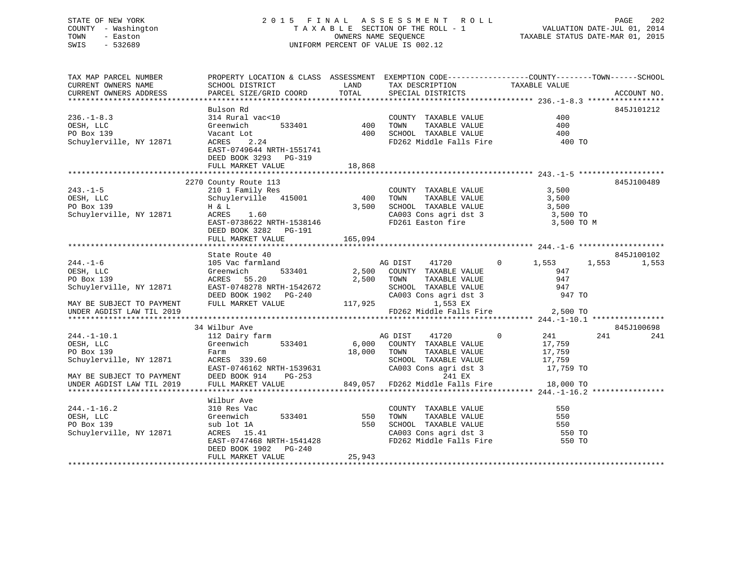## STATE OF NEW YORK 2 0 1 5 F I N A L A S S E S S M E N T R O L L PAGE 202 COUNTY - Washington T A X A B L E SECTION OF THE ROLL - 1 VALUATION DATE-JUL 01, 2014 TOWN - Easton OWNERS NAME SEQUENCE TAXABLE STATUS DATE-MAR 01, 2015 SWIS - 532689 UNIFORM PERCENT OF VALUE IS 002.12

| Bulson Rd<br>314 Rural vac<10<br>$236. - 1 - 8.3$<br>COUNTY TAXABLE VALUE<br>400<br>533401 400<br>TAXABLE VALUE<br>400<br>OESH, LLC<br>TOWN<br>Greenwich<br>PO Box 139<br>400 SCHOOL TAXABLE VALUE 400 400 FD262 Middle Falls Fire 400 TO<br>Vacant Lot<br><b>ACRES</b><br>2.24<br>Schuylerville, NY 12871<br>EAST-0749644 NRTH-1551741<br>DEED BOOK 3293 PG-319<br>FULL MARKET VALUE<br>18,868<br>2270 County Route 113<br>210 1 Family Res<br>$243. - 1 - 5$<br>3,500<br>COUNTY TAXABLE VALUE<br>Schuylerville 415001<br>400 TOWN TAXABLE VALUE<br>OESH, LLC<br>3,500<br>TOWN      TAXABLE VALUE<br>SCHOOL   TAXABLE VALUE<br>3,500<br>PO Box 139<br>3,500<br>H & L<br>Schuylerville, NY 12871 ACRES 1.60<br>CA003 Cons agri dst 3<br>FD261 Easton fire<br>3,500 TO<br>EAST-0738622 NRTH-1538146<br>3,500 TO M<br>DEED BOOK 3282 PG-191<br>165,094<br>FULL MARKET VALUE<br>State Route 40<br>105 Vac farmland<br>Greenwich 533401<br>ACRES 55.20<br>EAST-0748278 NRTH-1542672<br>$244. - 1 - 6$<br>AG DIST 41720 0<br>1,553<br>1,553<br>2,500 COUNTY TAXABLE VALUE<br>OESH, LLC<br>947<br>TAXABLE VALUE<br>PO Box 139<br>2,500 TOWN<br>947<br>Schuylerville, NY 12871<br>SCHOOL TAXABLE VALUE<br>CA003 Cons agri dst 3<br>947<br>CA003 Con<br>CA003 Con<br>DEED BOOK 1902 PG-240<br>947 TO<br>MAY BE SUBJECT TO PAYMENT<br>FULL MARKET VALUE<br>1,553 EX<br>FD262 Middle Falls Fire 2,500 TO<br>UNDER AGDIST LAW TIL 2019<br>34 Wilbur Ave<br>$\mathbf 0$<br>241<br>$244. - 1 - 10.1$<br>241<br>112 Dairy farm<br>AG DIST 41720<br>17,759<br>533401<br>6,000 COUNTY TAXABLE VALUE<br>OESH, LLC<br>Greenwich<br>PO Box 139<br>18,000 TOWN<br>TAXABLE VALUE<br>17,759<br>Farm<br>ACRES 339.60<br>17,759<br>SCHOOL TAXABLE VALUE<br>Schuylerville, NY 12871<br>EAST-0746162 NRTH-1539631<br>DEED BOOK 914 PG-253 849,057 FD262 Middle Falls Fire 18,000 TO<br>FULL MARKET VALUE 849,057 FD262 Middle Falls Fire 18,000 TO<br>SCHOOL TAXABLE WILLENS<br>CA003 Cons agri dst 3<br>MAY BE SUBJECT TO PAYMENT<br>UNDER AGDIST LAW TIL 2019<br>Wilbur Ave<br>$244. - 1 - 16.2$<br>310 Res Vac<br>550<br>COUNTY TAXABLE VALUE<br>TOWN TAXABLE VALUE<br>SCHOOL TAXABLE VALUE<br>CA003 Cons agri dst 3<br>FD262 Middle Falls Fire<br>OESH, LLC<br>Greenwich<br>533401<br>550<br>550<br>PO Box 139<br>550<br>sub lot 1A<br>550<br>ACRES 15.41 | TAX MAP PARCEL NUMBER<br>CURRENT OWNERS NAME<br>CURRENT OWNERS ADDRESS | PROPERTY LOCATION & CLASS ASSESSMENT EXEMPTION CODE----------------COUNTY-------TOWN-----SCHOOL<br>SCHOOL DISTRICT<br>PARCEL SIZE/GRID COORD | LAND<br>TOTAL | TAX DESCRIPTION<br>SPECIAL DISTRICTS | TAXABLE VALUE    | ACCOUNT NO.         |
|-------------------------------------------------------------------------------------------------------------------------------------------------------------------------------------------------------------------------------------------------------------------------------------------------------------------------------------------------------------------------------------------------------------------------------------------------------------------------------------------------------------------------------------------------------------------------------------------------------------------------------------------------------------------------------------------------------------------------------------------------------------------------------------------------------------------------------------------------------------------------------------------------------------------------------------------------------------------------------------------------------------------------------------------------------------------------------------------------------------------------------------------------------------------------------------------------------------------------------------------------------------------------------------------------------------------------------------------------------------------------------------------------------------------------------------------------------------------------------------------------------------------------------------------------------------------------------------------------------------------------------------------------------------------------------------------------------------------------------------------------------------------------------------------------------------------------------------------------------------------------------------------------------------------------------------------------------------------------------------------------------------------------------------------------------------------------------------------------------------------------------------------------------------------------------------------------------------------------------------------------------------------------------------------------------------------------------------|------------------------------------------------------------------------|----------------------------------------------------------------------------------------------------------------------------------------------|---------------|--------------------------------------|------------------|---------------------|
|                                                                                                                                                                                                                                                                                                                                                                                                                                                                                                                                                                                                                                                                                                                                                                                                                                                                                                                                                                                                                                                                                                                                                                                                                                                                                                                                                                                                                                                                                                                                                                                                                                                                                                                                                                                                                                                                                                                                                                                                                                                                                                                                                                                                                                                                                                                                     |                                                                        |                                                                                                                                              |               |                                      |                  | 845J101212          |
|                                                                                                                                                                                                                                                                                                                                                                                                                                                                                                                                                                                                                                                                                                                                                                                                                                                                                                                                                                                                                                                                                                                                                                                                                                                                                                                                                                                                                                                                                                                                                                                                                                                                                                                                                                                                                                                                                                                                                                                                                                                                                                                                                                                                                                                                                                                                     |                                                                        |                                                                                                                                              |               |                                      |                  |                     |
|                                                                                                                                                                                                                                                                                                                                                                                                                                                                                                                                                                                                                                                                                                                                                                                                                                                                                                                                                                                                                                                                                                                                                                                                                                                                                                                                                                                                                                                                                                                                                                                                                                                                                                                                                                                                                                                                                                                                                                                                                                                                                                                                                                                                                                                                                                                                     |                                                                        |                                                                                                                                              |               |                                      |                  | 845J100489          |
|                                                                                                                                                                                                                                                                                                                                                                                                                                                                                                                                                                                                                                                                                                                                                                                                                                                                                                                                                                                                                                                                                                                                                                                                                                                                                                                                                                                                                                                                                                                                                                                                                                                                                                                                                                                                                                                                                                                                                                                                                                                                                                                                                                                                                                                                                                                                     |                                                                        |                                                                                                                                              |               |                                      |                  |                     |
|                                                                                                                                                                                                                                                                                                                                                                                                                                                                                                                                                                                                                                                                                                                                                                                                                                                                                                                                                                                                                                                                                                                                                                                                                                                                                                                                                                                                                                                                                                                                                                                                                                                                                                                                                                                                                                                                                                                                                                                                                                                                                                                                                                                                                                                                                                                                     |                                                                        |                                                                                                                                              |               |                                      |                  |                     |
|                                                                                                                                                                                                                                                                                                                                                                                                                                                                                                                                                                                                                                                                                                                                                                                                                                                                                                                                                                                                                                                                                                                                                                                                                                                                                                                                                                                                                                                                                                                                                                                                                                                                                                                                                                                                                                                                                                                                                                                                                                                                                                                                                                                                                                                                                                                                     |                                                                        |                                                                                                                                              |               |                                      |                  | 845J100102<br>1,553 |
|                                                                                                                                                                                                                                                                                                                                                                                                                                                                                                                                                                                                                                                                                                                                                                                                                                                                                                                                                                                                                                                                                                                                                                                                                                                                                                                                                                                                                                                                                                                                                                                                                                                                                                                                                                                                                                                                                                                                                                                                                                                                                                                                                                                                                                                                                                                                     |                                                                        |                                                                                                                                              |               |                                      |                  |                     |
|                                                                                                                                                                                                                                                                                                                                                                                                                                                                                                                                                                                                                                                                                                                                                                                                                                                                                                                                                                                                                                                                                                                                                                                                                                                                                                                                                                                                                                                                                                                                                                                                                                                                                                                                                                                                                                                                                                                                                                                                                                                                                                                                                                                                                                                                                                                                     |                                                                        |                                                                                                                                              |               |                                      |                  | 845J100698<br>241   |
|                                                                                                                                                                                                                                                                                                                                                                                                                                                                                                                                                                                                                                                                                                                                                                                                                                                                                                                                                                                                                                                                                                                                                                                                                                                                                                                                                                                                                                                                                                                                                                                                                                                                                                                                                                                                                                                                                                                                                                                                                                                                                                                                                                                                                                                                                                                                     |                                                                        |                                                                                                                                              |               |                                      |                  |                     |
| EAST-0747468 NRTH-1541428<br>550 TO<br>DEED BOOK 1902 PG-240<br>25,943<br>FULL MARKET VALUE                                                                                                                                                                                                                                                                                                                                                                                                                                                                                                                                                                                                                                                                                                                                                                                                                                                                                                                                                                                                                                                                                                                                                                                                                                                                                                                                                                                                                                                                                                                                                                                                                                                                                                                                                                                                                                                                                                                                                                                                                                                                                                                                                                                                                                         | Schuylerville, NY 12871                                                |                                                                                                                                              |               |                                      | 550 TO<br>550 TO |                     |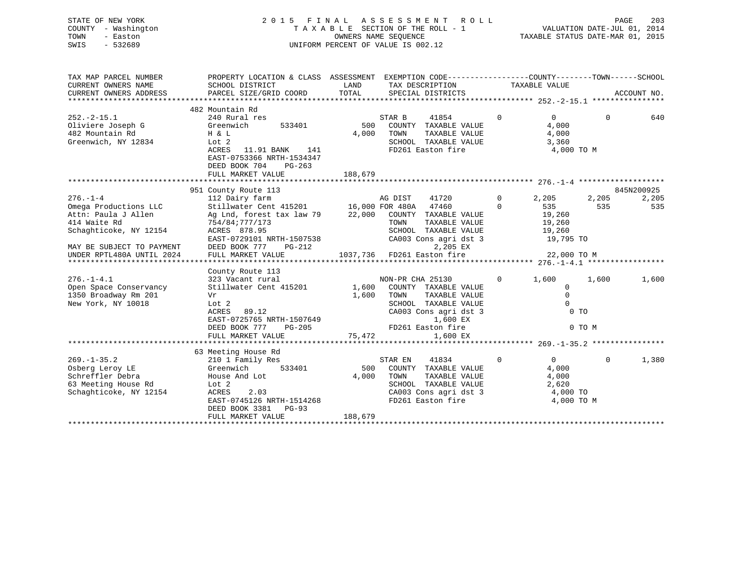## STATE OF NEW YORK 2 0 1 5 F I N A L A S S E S S M E N T R O L L PAGE 203 COUNTY - Washington T A X A B L E SECTION OF THE ROLL - 1 VALUATION DATE-JUL 01, 2014 TOWN - Easton OWNERS NAME SEQUENCE TAXABLE STATUS DATE-MAR 01, 2015 SWIS - 532689 UNIFORM PERCENT OF VALUE IS 002.12

| TAX MAP PARCEL NUMBER<br>CURRENT OWNERS NAME<br>CURRENT OWNERS ADDRESS                                                                                                                                                                                         | PROPERTY LOCATION & CLASS ASSESSMENT EXEMPTION CODE----------------COUNTY-------TOWN-----SCHOOL<br>SCHOOL DISTRICT<br>PARCEL SIZE/GRID COORD                                                                                                                                                                             | LAND<br>TOTAL | TAX DESCRIPTION<br>SPECIAL DISTRICTS                                                                                                                                                                                                             | TAXABLE VALUE                                                                              |                                                                           | ACCOUNT NO.           |
|----------------------------------------------------------------------------------------------------------------------------------------------------------------------------------------------------------------------------------------------------------------|--------------------------------------------------------------------------------------------------------------------------------------------------------------------------------------------------------------------------------------------------------------------------------------------------------------------------|---------------|--------------------------------------------------------------------------------------------------------------------------------------------------------------------------------------------------------------------------------------------------|--------------------------------------------------------------------------------------------|---------------------------------------------------------------------------|-----------------------|
|                                                                                                                                                                                                                                                                |                                                                                                                                                                                                                                                                                                                          |               |                                                                                                                                                                                                                                                  |                                                                                            |                                                                           |                       |
| $252 - 2 - 15.1$<br>Oliviere Joseph G                                                                                                                                                                                                                          | 482 Mountain Rd<br>240 Rural res<br>Greenwich<br>533401                                                                                                                                                                                                                                                                  | 500           | STAR B<br>41854<br>COUNTY TAXABLE VALUE                                                                                                                                                                                                          | $\mathbf 0$<br>$\Omega$<br>4,000                                                           | $\Omega$                                                                  | 640                   |
| 482 Mountain Rd<br>Greenwich, NY 12834                                                                                                                                                                                                                         | H & L<br>Lot 2<br>ACRES<br>11.91 BANK 141                                                                                                                                                                                                                                                                                | 4,000         | TOWN<br>TAXABLE VALUE<br>SCHOOL TAXABLE VALUE<br>FD261 Easton fire                                                                                                                                                                               | 4,000<br>3,360                                                                             | 4,000 TO M                                                                |                       |
|                                                                                                                                                                                                                                                                | EAST-0753366 NRTH-1534347<br>DEED BOOK 704<br>$PG-263$<br>FULL MARKET VALUE                                                                                                                                                                                                                                              | 188,679       |                                                                                                                                                                                                                                                  |                                                                                            |                                                                           |                       |
|                                                                                                                                                                                                                                                                |                                                                                                                                                                                                                                                                                                                          |               |                                                                                                                                                                                                                                                  |                                                                                            |                                                                           |                       |
|                                                                                                                                                                                                                                                                | 951 County Route 113                                                                                                                                                                                                                                                                                                     |               |                                                                                                                                                                                                                                                  |                                                                                            |                                                                           | 845N200925            |
| $276. - 1 - 4$<br>Omega Productions LLC<br>Attn: Paula J Allen<br>414 Waite Rd<br>Schaghticoke, NY 12154<br>MAY BE SUBJECT TO PAYMENT<br>UNDER RPTL480A UNTIL 2024<br>$276. - 1 - 4.1$<br>Open Space Conservancy<br>1350 Broadway Rm 201<br>New York, NY 10018 | 112 Dairy farm<br>Stillwater Cent 415201 16,000 FOR 480A 47460 0<br>ACRES 878.95<br>EAST-0729101 NRTH-1507538<br>DEED BOOK 777<br>PG-212<br>FULL MARKET VALUE<br>County Route 113<br>323 Vacant rural<br>Stillwater Cent 415201 1,600<br>Vr<br>Lot 2<br>ACRES 89.12<br>EAST-0725765 NRTH-1507649<br>DEED BOOK 777 PG-205 | 1,600         | AG DIST<br>SCHOOL TAXABLE VALUE<br>CA003 Cons agri dst 3<br>2,205 EX<br>1037,736 FD261 Easton fire 22,000 TO M<br>NON-PR CHA 25130<br>COUNTY TAXABLE VALUE<br>TAXABLE VALUE<br>TOWN<br>SCHOOL TAXABLE VALUE<br>CA003 Cons agri dst 3<br>1,600 EX | 41720 0 2,205<br>535<br>19,260<br>19,260<br>19,260<br>19,795 TO<br>$\overline{0}$<br>1,600 | 2,205<br>535<br>1,600<br>$\mathbf 0$<br>$\mathbf 0$<br>$\Omega$<br>$0$ TO | 2,205<br>535<br>1,600 |
|                                                                                                                                                                                                                                                                | FULL MARKET VALUE                                                                                                                                                                                                                                                                                                        | 75,472        | FD261 Easton fire<br>1,600 EX                                                                                                                                                                                                                    |                                                                                            | 0 TO M                                                                    |                       |
|                                                                                                                                                                                                                                                                |                                                                                                                                                                                                                                                                                                                          |               |                                                                                                                                                                                                                                                  |                                                                                            |                                                                           |                       |
| $269. - 1 - 35.2$                                                                                                                                                                                                                                              | 63 Meeting House Rd<br>210 1 Family Res                                                                                                                                                                                                                                                                                  |               | 41834<br>STAR EN                                                                                                                                                                                                                                 | $\overline{0}$<br>$\overline{0}$                                                           | $\Omega$                                                                  | 1,380                 |
| Osberg Leroy LE<br>Schreffler Debra<br>63 Meeting House Rd<br>Schaghticoke, NY 12154                                                                                                                                                                           | Greenwich<br>533401<br>House And Lot<br>Lot 2<br>ACRES<br>2.03<br>EAST-0745126 NRTH-1514268<br>DEED BOOK 3381 PG-93                                                                                                                                                                                                      | 4,000         | 500 COUNTY TAXABLE VALUE<br>TOWN      TAXABLE  VALUE<br>SCHOOL   TAXABLE  VALUE<br>CA003 Cons agri dst 3 4,000 TO<br>FD261 Easton fire                                                                                                           | 4,000<br>4,000<br>2,620                                                                    | 4,000 TO M                                                                |                       |
|                                                                                                                                                                                                                                                                | FULL MARKET VALUE                                                                                                                                                                                                                                                                                                        | 188,679       |                                                                                                                                                                                                                                                  |                                                                                            |                                                                           |                       |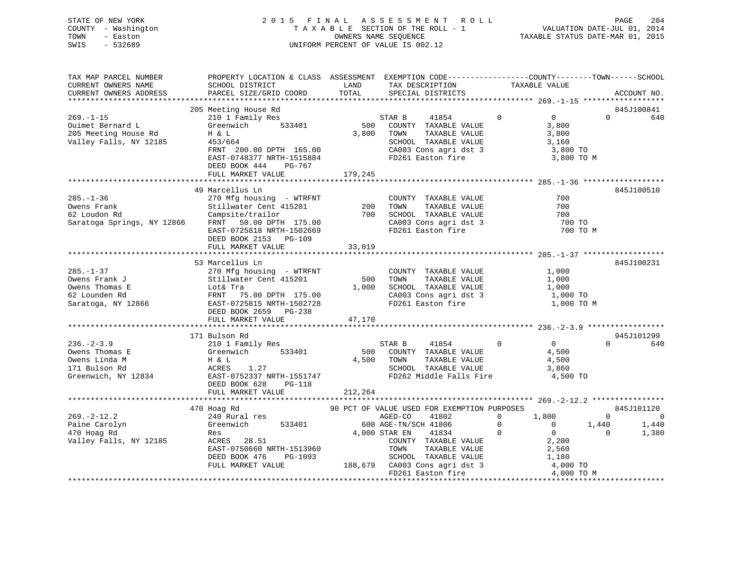STATE OF NEW YORK 2 0 1 5 F I N A L A S S E S S M E N T R O L L PAGE 204 COUNTY - Washington T A X A B L E SECTION OF THE ROLL - 1 VALUATION DATE-JUL 01, 2014 TOWN - Easton OWNERS NAME SEQUENCE TAXABLE STATUS DATE-MAR 01, 2015 SWIS - 532689 UNIFORM PERCENT OF VALUE IS 002.12

| TAX MAP PARCEL NUMBER  | PROPERTY LOCATION & CLASS ASSESSMENT EXEMPTION CODE---------------COUNTY-------TOWN-----SCHOOL |            |                                                         |                                  |                |                |
|------------------------|------------------------------------------------------------------------------------------------|------------|---------------------------------------------------------|----------------------------------|----------------|----------------|
| CURRENT OWNERS NAME    | SCHOOL DISTRICT                                                                                | LAND       | TAX DESCRIPTION                                         | TAXABLE VALUE                    |                |                |
| CURRENT OWNERS ADDRESS | PARCEL SIZE/GRID COORD                                                                         | TOTAL      | SPECIAL DISTRICTS                                       |                                  |                | ACCOUNT NO.    |
|                        |                                                                                                |            |                                                         |                                  |                |                |
|                        | 205 Meeting House Rd                                                                           |            |                                                         |                                  |                | 845J100841     |
| $269. - 1 - 15$        | 210 1 Family Res                                                                               |            | STAR B<br>41854                                         | $\Omega$<br>$\overline{0}$       | $\Omega$       | 640            |
| Ouimet Bernard L       | Greenwich 533401                                                                               | 500        | COUNTY TAXABLE VALUE                                    | 3,800                            |                |                |
| 205 Meeting House Rd   | H & L                                                                                          | 3,800      | TOWN<br>TAXABLE VALUE                                   | 3,800                            |                |                |
| Valley Falls, NY 12185 | 453/664                                                                                        |            | SCHOOL TAXABLE VALUE                                    | 3,160                            |                |                |
|                        | FRNT 200.00 DPTH 165.00                                                                        |            | CA003 Cons agri dst 3<br>FD261 Easton fire              | 3,800 TO                         |                |                |
|                        | EAST-0748377 NRTH-1515884                                                                      |            |                                                         | 3,800 TO M                       |                |                |
|                        | DEED BOOK 444 PG-767                                                                           |            |                                                         |                                  |                |                |
|                        | FULL MARKET VALUE                                                                              | 179,245    |                                                         |                                  |                |                |
|                        |                                                                                                |            |                                                         |                                  |                |                |
|                        | 49 Marcellus Ln                                                                                |            |                                                         |                                  |                | 845J100510     |
| $285. - 1 - 36$        | 270 Mfg housing - WTRFNT                                                                       |            | COUNTY TAXABLE VALUE                                    | 700                              |                |                |
| Owens Frank            | Stillwater Cent 415201 200 TOWN TAXABLE VALUE<br>Campsite/trailor 700 SCHOOL TAXABLE VALUE     |            |                                                         | 700                              |                |                |
| 62 Loudon Rd           |                                                                                                |            |                                                         | 700                              |                |                |
|                        | Saratoga Springs, NY 12866 FRNT 50.00 DPTH 175.00                                              |            | CA003 Cons agri dst 3<br>FD261 Easton fire              | 700 TO                           |                |                |
|                        | EAST-0725818 NRTH-1502669                                                                      |            |                                                         |                                  | 700 TO M       |                |
|                        | DEED BOOK 2153 PG-109                                                                          |            |                                                         |                                  |                |                |
|                        | FULL MARKET VALUE                                                                              | 33,019     |                                                         |                                  |                |                |
|                        |                                                                                                |            |                                                         |                                  |                |                |
|                        | 53 Marcellus Ln                                                                                |            |                                                         |                                  |                | 845J100231     |
| $285. - 1 - 37$        | 270 Mfg housing - WTRFNT                                                                       |            | COUNTY TAXABLE VALUE                                    | 1,000                            |                |                |
| Owens Frank J          | Stillwater Cent 415201                                                                         | 500        | TAXABLE VALUE<br>TOWN                                   | 1,000                            |                |                |
| Owens Thomas E         |                                                                                                | 1,000      | SCHOOL TAXABLE VALUE                                    | 1,000                            |                |                |
| 62 Lounden Rd          |                                                                                                |            | CA003 Cons agri dst 3                                   | 1,000 TO                         |                |                |
| Saratoga, NY 12866     | EAST-0725815 NRTH-1502728                                                                      |            | FD261 Easton fire                                       | 1,000 TO M                       |                |                |
|                        | DEED BOOK 2659 PG-238                                                                          |            |                                                         |                                  |                |                |
|                        |                                                                                                |            |                                                         |                                  |                |                |
|                        |                                                                                                |            |                                                         |                                  |                |                |
|                        | 171 Bulson Rd                                                                                  |            |                                                         |                                  |                | 945J101299     |
| $236. - 2 - 3.9$       |                                                                                                |            | STAR B 41854<br>500 COUNTY TAXABLE VALUE                | $\Omega$<br>$\overline{0}$       | $\Omega$       | 640            |
| Owens Thomas E         |                                                                                                |            |                                                         | 4,500                            |                |                |
| Owens Linda M          |                                                                                                | 4,500 TOWN | TAXABLE VALUE                                           | 4,500                            |                |                |
| 171 Bulson Rd          | H & L<br>ACRES<br>1.27                                                                         |            | SCHOOL TAXABLE VALUE                                    | 3,860                            |                |                |
|                        | Greenwich, NY 12834 EAST-0752337 NRTH-1551747                                                  |            | FD262 Middle Falls Fire 4,500 TO                        |                                  |                |                |
|                        | DEED BOOK 628<br>$PG-118$                                                                      |            |                                                         |                                  |                |                |
|                        | FULL MARKET VALUE                                                                              | 212,264    |                                                         |                                  |                |                |
|                        |                                                                                                |            |                                                         |                                  |                |                |
|                        | 470 Hoag Rd                                                                                    |            | 90 PCT OF VALUE USED FOR EXEMPTION PURPOSES             |                                  |                | 845J101120     |
| $269. - 2 - 12.2$      | 240 Rural res                                                                                  |            | AGED-CO<br>41802                                        | $0 \t 1,800$                     | $\Omega$       | $\overline{0}$ |
| Paine Carolyn          | Greenwich 533401                                                                               |            | 600 AGE-TN/SCH 41806                                    | $\overline{0}$<br>$\overline{0}$ | 1,440          | 1,440          |
| 470 Hoag Rd            | Res                                                                                            |            | 4,000 STAR EN<br>41834                                  | $\Omega$<br>$\overline{0}$       | $\overline{0}$ | 1,380          |
| Valley Falls, NY 12185 | ACRES 28.51                                                                                    |            |                                                         |                                  |                |                |
|                        | EAST-0750660 NRTH-1513960                                                                      |            | COUNTY TAXABLE VALUE<br>TOWN      TAXABLE VALUE<br>TOWN | 2,200<br>2,560                   |                |                |
|                        | DEED BOOK 476<br>PG-1093                                                                       |            |                                                         | 1,180                            |                |                |
|                        | FULL MARKET VALUE                                                                              |            | SCHOOL TAXABLE VALUE<br>188,679 CA003 Cons agri dst 3   | 4,000 TO                         |                |                |
|                        |                                                                                                |            | FD261 Easton fire                                       | 4,000 TO M                       |                |                |
|                        |                                                                                                |            |                                                         |                                  |                |                |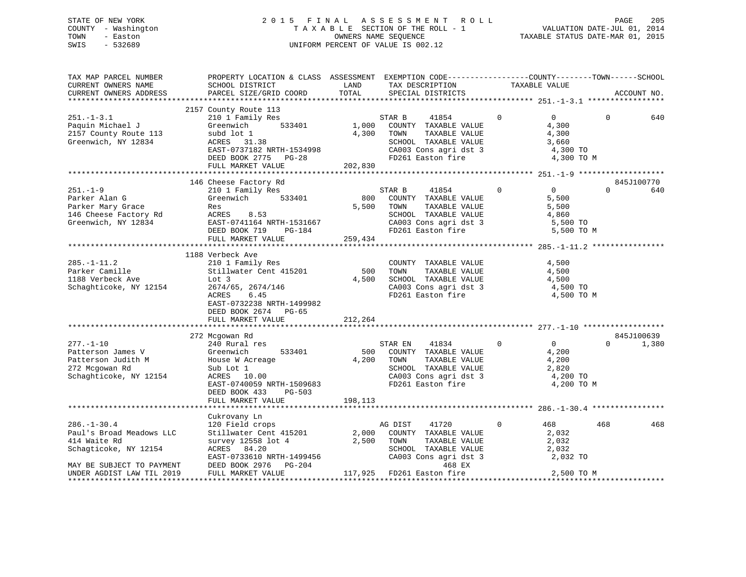## STATE OF NEW YORK 2 0 1 5 F I N A L A S S E S S M E N T R O L L PAGE 205 COUNTY - Washington T A X A B L E SECTION OF THE ROLL - 1 VALUATION DATE-JUL 01, 2014 TOWN - Easton OWNERS NAME SEQUENCE TAXABLE STATUS DATE-MAR 01, 2015 SWIS - 532689 UNIFORM PERCENT OF VALUE IS 002.12

| TAX MAP PARCEL NUMBER<br>CURRENT OWNERS NAME<br>CURRENT OWNERS ADDRESS                                              | PROPERTY LOCATION & CLASS ASSESSMENT EXEMPTION CODE---------------COUNTY-------TOWN-----SCHOOL<br>SCHOOL DISTRICT<br>PARCEL SIZE/GRID COORD                             | LAND<br>TOTAL           | TAX DESCRIPTION TAXABLE VALUE SPECIAL DISTRICTS                                                                                                    |                                                                                                                                | ACCOUNT NO.                     |
|---------------------------------------------------------------------------------------------------------------------|-------------------------------------------------------------------------------------------------------------------------------------------------------------------------|-------------------------|----------------------------------------------------------------------------------------------------------------------------------------------------|--------------------------------------------------------------------------------------------------------------------------------|---------------------------------|
|                                                                                                                     |                                                                                                                                                                         |                         |                                                                                                                                                    |                                                                                                                                |                                 |
| $251. - 1 - 3.1$<br>Paquin Michael J<br>2157 County Route 113<br>Greenwich, NY 12834                                | 2157 County Route 113<br>210 1 Family Res<br>Greenwich<br>533401<br>subd lot 1<br>ACRES 31.38<br>EAST-0737182 NRTH-1534998<br>DEED BOOK 2775 PG-28<br>FULL MARKET VALUE | 202,830                 | STAR B<br>41854<br>1,000 COUNTY TAXABLE VALUE<br>4,300 TOWN<br>TAXABLE VALUE<br>SCHOOL TAXABLE VALUE<br>CA003 Cons agri dst 3<br>FD261 Easton fire | $\mathbf 0$<br>$\overline{0}$<br>4,300<br>4,300<br>3,660<br>4,300 TO<br>4,300 TO M                                             | $\Omega$<br>640                 |
|                                                                                                                     |                                                                                                                                                                         |                         |                                                                                                                                                    |                                                                                                                                |                                 |
| $251. - 1 - 9$<br>Parker Alan G<br>Parker Mary Grace<br>146 Cheese Factory Rd ACRES 8.53<br>Greenwich, NY 12834     | 146 Cheese Factory Rd<br>210 1 Family Res<br>;<br>533401<br>Greenwich<br>Res<br>EAST-0741164 NRTH-1531667<br>DEED BOOK 719<br>$PG-184$<br>FULL MARKET VALUE             | 800<br>5,500<br>259,434 | STAR B<br>41854<br>COUNTY TAXABLE VALUE<br>TOWN<br>TAXABLE VALUE<br>SCHOOL TAXABLE VALUE                                                           | $\mathbf{0}$<br>$0 \qquad \qquad$<br>5,500<br>5,500<br>4,860<br>CA003 Cons agri dst 3 5,500 TO<br>FD261 Easton fire 5,500 TO M | 845J100770<br>$\Omega$<br>640   |
|                                                                                                                     |                                                                                                                                                                         |                         |                                                                                                                                                    |                                                                                                                                |                                 |
| $285. - 1 - 11.2$<br>zoo.-i-ii.z<br>Parker Camille<br>1188 Verbeck Ave<br>Schaghticoke, NY 12154                    | 1188 Verbeck Ave<br>210 1 Family Res<br>Stillwater Cent 415201<br>Lot 3<br>2674/65, 2674/146<br>ACRES<br>6.45<br>EAST-0732238 NRTH-1499982<br>DEED BOOK 2674 PG-65      | 500<br>4,500            | COUNTY TAXABLE VALUE<br>TAXABLE VALUE<br>TOWN<br>SCHOOL TAXABLE VALUE<br>CA003 Cons agri dst 3<br>FD261 Easton fire                                | 4,500<br>4,500<br>4,500<br>4,500 TO<br>4,500 TO M                                                                              |                                 |
|                                                                                                                     | FULL MARKET VALUE                                                                                                                                                       | 212,264                 |                                                                                                                                                    |                                                                                                                                |                                 |
| $277. - 1 - 10$<br>Patterson James V<br>Patterson Judith M<br>272 Mcgowan Rd<br>Schaghticoke, NY 12154              | 272 Mcgowan Rd<br>240 Rural res<br>Greenwich 533401<br>House W Acreage<br>533401<br>Sub Lot 1<br>ACRES 10.00<br>EAST-0740059 NRTH-1509683<br>DEED BOOK 433 PG-503       | 4,200                   | STAR EN<br>41834<br>500 COUNTY TAXABLE VALUE<br>TAXABLE VALUE<br>TOWN<br>SCHOOL TAXABLE VALUE<br>CA003 Cons agri dst 3<br>FD261 Easton fire        | $0 \qquad \qquad$<br>$\overline{0}$<br>4,200<br>4,200<br>2,820<br>4,200 TO<br>4,200 TO M                                       | 845J100639<br>1,380<br>$\Omega$ |
|                                                                                                                     | FULL MARKET VALUE                                                                                                                                                       | 198,113                 |                                                                                                                                                    |                                                                                                                                |                                 |
|                                                                                                                     |                                                                                                                                                                         |                         |                                                                                                                                                    |                                                                                                                                |                                 |
| $286. - 1 - 30.4$<br>Paul's Broad Meadows LLC<br>414 Waite Rd<br>Schagticoke, NY 12154<br>MAY BE SUBJECT TO PAYMENT | Cukrovany Ln<br>120 Field crops<br>Stillwater Cent 415201<br>survey 12558 lot 4<br>ACRES 84.20<br>EAST-0733610 NRTH-1499456<br>DEED BOOK 2976 PG-204                    |                         | AG DIST<br>41720<br>2,000 COUNTY TAXABLE VALUE<br>2,500 TOWNT TAXABLE VALUE<br>SCHOOL TAXABLE VALUE<br>CA003 Cons agri dst 3<br>468 EX             | $\mathbf{0}$<br>468<br>2,032<br>2,032<br>2,032<br>2,032 TO                                                                     | 468<br>468                      |
| UNDER AGDIST LAW TIL 2019                                                                                           | FULL MARKET VALUE                                                                                                                                                       |                         | 117,925 FD261 Easton fire                                                                                                                          | 2,500 TO M                                                                                                                     |                                 |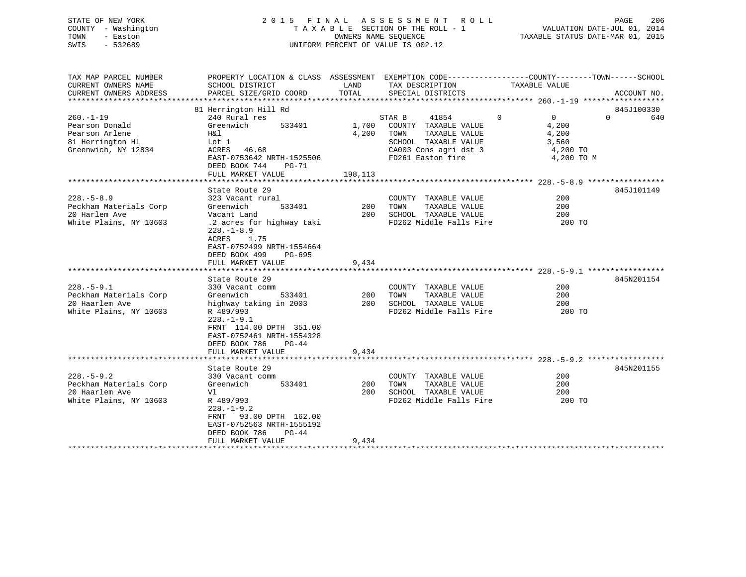## STATE OF NEW YORK 2 0 1 5 F I N A L A S S E S S M E N T R O L L PAGE 206 COUNTY - Washington T A X A B L E SECTION OF THE ROLL - 1 VALUATION DATE-JUL 01, 2014 TOWN - Easton OWNERS NAME SEQUENCE TAXABLE STATUS DATE-MAR 01, 2015 SWIS - 532689 UNIFORM PERCENT OF VALUE IS 002.12

| TAX MAP PARCEL NUMBER  | PROPERTY LOCATION & CLASS ASSESSMENT EXEMPTION CODE---------------COUNTY-------TOWN------SCHOOL |                 |                                |                |                 |
|------------------------|-------------------------------------------------------------------------------------------------|-----------------|--------------------------------|----------------|-----------------|
| CURRENT OWNERS NAME    | SCHOOL DISTRICT<br>PARCEL SIZE/GRID COORD TOTAL                                                 | LAND            | TAX DESCRIPTION                | TAXABLE VALUE  |                 |
| CURRENT OWNERS ADDRESS |                                                                                                 |                 | SPECIAL DISTRICTS              |                | ACCOUNT NO.     |
|                        |                                                                                                 |                 |                                |                |                 |
|                        | 81 Herrington Hill Rd                                                                           |                 |                                |                | 845J100330      |
| $260. - 1 - 19$        | 240 Rural res                                                                                   |                 | 41854 0<br>STAR B              | $\overline{0}$ | $\Omega$<br>640 |
| Pearson Donald         | Greenwich 533401                                                                                |                 | 1,700 COUNTY TAXABLE VALUE     | 4,200          |                 |
| Pearson Arlene         | H&l                                                                                             |                 | 4,200 TOWN<br>TAXABLE VALUE    | 4,200          |                 |
| 81 Herrington Hl       | Lot 1                                                                                           |                 | SCHOOL TAXABLE VALUE 3,560     |                |                 |
| Greenwich, NY 12834    | ACRES 46.68                                                                                     |                 | CA003 Cons agri dst 3          | 4,200 TO       |                 |
|                        | EAST-0753642 NRTH-1525506                                                                       |                 | FD261 Easton fire              | 4,200 TO M     |                 |
|                        | DEED BOOK 744<br>PG-71                                                                          |                 |                                |                |                 |
|                        | FULL MARKET VALUE                                                                               | 198,113         |                                |                |                 |
|                        |                                                                                                 |                 |                                |                |                 |
|                        | State Route 29                                                                                  |                 |                                |                | 845J101149      |
| $228. - 5 - 8.9$       | 323 Vacant rural                                                                                |                 | COUNTY TAXABLE VALUE           | 200            |                 |
| Peckham Materials Corp | Greenwich                                                                                       | 533401 200 TOWN | TAXABLE VALUE                  | 200            |                 |
| 20 Harlem Ave          | Vacant Land                                                                                     |                 | 200 SCHOOL TAXABLE VALUE       | 200            |                 |
| White Plains, NY 10603 | .2 acres for highway taki                                                                       |                 | FD262 Middle Falls Fire 200 TO |                |                 |
|                        | $228. - 1 - 8.9$                                                                                |                 |                                |                |                 |
|                        | ACRES 1.75                                                                                      |                 |                                |                |                 |
|                        | EAST-0752499 NRTH-1554664                                                                       |                 |                                |                |                 |
|                        | DEED BOOK 499<br>PG-695                                                                         |                 |                                |                |                 |
|                        | FULL MARKET VALUE                                                                               | 9,434           |                                |                |                 |
|                        |                                                                                                 |                 |                                |                |                 |
|                        | State Route 29                                                                                  |                 |                                |                | 845N201154      |
| $228. - 5 - 9.1$       | 330 Vacant comm                                                                                 |                 | COUNTY TAXABLE VALUE           | 200            |                 |
| Peckham Materials Corp |                                                                                                 |                 |                                | 200            |                 |
| 20 Haarlem Ave         | Greenwich 533401 200 TOWN TAXABLE VALUE<br>highway taking in 2003 200 SCHOOL TAXABLE VALUE      |                 |                                | 200            |                 |
| White Plains, NY 10603 | R 489/993                                                                                       |                 | FD262 Middle Falls Fire 200 TO |                |                 |
|                        | $228. - 1 - 9.1$                                                                                |                 |                                |                |                 |
|                        | FRNT 114.00 DPTH 351.00                                                                         |                 |                                |                |                 |
|                        | EAST-0752461 NRTH-1554328                                                                       |                 |                                |                |                 |
|                        | DEED BOOK 786<br>$PG-44$                                                                        |                 |                                |                |                 |
|                        | FULL MARKET VALUE                                                                               | 9,434           |                                |                |                 |
|                        |                                                                                                 |                 |                                |                |                 |
|                        |                                                                                                 |                 |                                |                | 845N201155      |
|                        | State Route 29                                                                                  |                 |                                |                |                 |
| $228. - 5 - 9.2$       | 330 Vacant comm                                                                                 |                 | COUNTY TAXABLE VALUE           | 200            |                 |
| Peckham Materials Corp | 533401<br>Greenwich                                                                             | 200 TOWN        | TAXABLE VALUE                  | 200            |                 |
| 20 Haarlem Ave         | Vl                                                                                              | 200             | SCHOOL TAXABLE VALUE           | 200            |                 |
| White Plains, NY 10603 | R 489/993                                                                                       |                 | FD262 Middle Falls Fire        | 200 TO         |                 |
|                        | $228. - 1 - 9.2$                                                                                |                 |                                |                |                 |
|                        | FRNT 93.00 DPTH 162.00                                                                          |                 |                                |                |                 |
|                        | EAST-0752563 NRTH-1555192                                                                       |                 |                                |                |                 |
|                        | DEED BOOK 786<br>$PG-44$                                                                        |                 |                                |                |                 |
|                        | FULL MARKET VALUE                                                                               | 9,434           |                                |                |                 |
|                        |                                                                                                 |                 |                                |                |                 |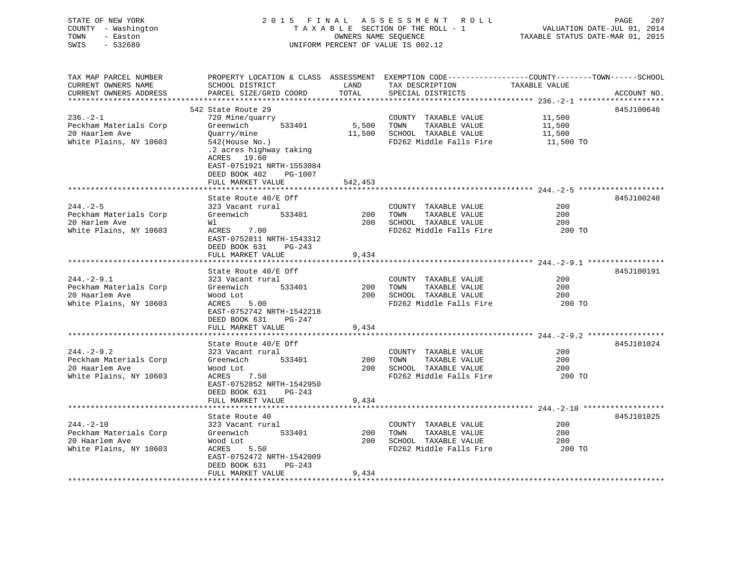| STATE OF NEW YORK<br>COUNTY - Washington<br>TOWN<br>- Easton<br>$-532689$<br>SWIS | 2015 FINAL<br>TAXABLE SECTION OF THE ROLL - 1<br>UNIFORM PERCENT OF VALUE IS 002.12          | PAGE<br>207<br>VALUATION DATE-JUL 01, 2014<br>TAXABLE STATUS DATE-MAR 01, 2015 |                         |                                                                                                                  |
|-----------------------------------------------------------------------------------|----------------------------------------------------------------------------------------------|--------------------------------------------------------------------------------|-------------------------|------------------------------------------------------------------------------------------------------------------|
| TAX MAP PARCEL NUMBER<br>CURRENT OWNERS NAME                                      | SCHOOL DISTRICT                                                                              | LAND                                                                           | TAX DESCRIPTION         | PROPERTY LOCATION & CLASS ASSESSMENT EXEMPTION CODE---------------COUNTY-------TOWN------SCHOOL<br>TAXABLE VALUE |
| CURRENT OWNERS ADDRESS                                                            | PARCEL SIZE/GRID COORD                                                                       | TOTAL                                                                          | SPECIAL DISTRICTS       | ACCOUNT NO.                                                                                                      |
|                                                                                   |                                                                                              |                                                                                |                         | ******************* 236.-2-1 ********************                                                                |
|                                                                                   | 542 State Route 29                                                                           |                                                                                |                         | 845J100646                                                                                                       |
| $236. - 2 - 1$                                                                    | 720 Mine/quarry                                                                              |                                                                                | COUNTY TAXABLE VALUE    | 11,500                                                                                                           |
| Peckham Materials Corp                                                            | 533401<br>Greenwich                                                                          | 5,500                                                                          | TAXABLE VALUE<br>TOWN   | 11,500                                                                                                           |
| 20 Haarlem Ave                                                                    | Quarry/mine                                                                                  | 11,500                                                                         | SCHOOL TAXABLE VALUE    | 11,500                                                                                                           |
| White Plains, NY 10603                                                            | $542$ (House No.)<br>.2 acres highway taking<br>ACRES 19.60                                  |                                                                                | FD262 Middle Falls Fire | 11,500 TO                                                                                                        |
|                                                                                   | EAST-0751921 NRTH-1553084<br>DEED BOOK 402<br>PG-1007<br>FULL MARKET VALUE                   | 542,453                                                                        |                         |                                                                                                                  |
|                                                                                   |                                                                                              |                                                                                |                         |                                                                                                                  |
|                                                                                   | State Route 40/E Off                                                                         |                                                                                |                         | 845J100240                                                                                                       |
| $244. - 2 - 5$                                                                    | 323 Vacant rural                                                                             |                                                                                | COUNTY TAXABLE VALUE    | 200                                                                                                              |
| Peckham Materials Corp                                                            | 533401<br>Greenwich                                                                          | 200                                                                            | TAXABLE VALUE<br>TOWN   | 200                                                                                                              |
| 20 Harlem Ave                                                                     | Wl                                                                                           | 200                                                                            | SCHOOL TAXABLE VALUE    | 200                                                                                                              |
| White Plains, NY 10603                                                            | 7.00<br>ACRES<br>EAST-0752811 NRTH-1543312<br>DEED BOOK 631<br>PG-243<br>FULL MARKET VALUE   |                                                                                | FD262 Middle Falls Fire | 200 TO                                                                                                           |
|                                                                                   |                                                                                              | 9,434                                                                          |                         |                                                                                                                  |
|                                                                                   | State Route 40/E Off                                                                         |                                                                                |                         | 845J100191                                                                                                       |
| $244. - 2 - 9.1$                                                                  | 323 Vacant rural                                                                             |                                                                                | COUNTY TAXABLE VALUE    | 200                                                                                                              |
| Peckham Materials Corp                                                            | 533401<br>Greenwich                                                                          | 200                                                                            | TAXABLE VALUE<br>TOWN   | 200                                                                                                              |
| 20 Haarlem Ave                                                                    | Wood Lot                                                                                     | 200                                                                            | SCHOOL TAXABLE VALUE    | 200                                                                                                              |
| White Plains, NY 10603                                                            | ACRES<br>5.00<br>EAST-0752742 NRTH-1542218<br>DEED BOOK 631<br>PG-247                        |                                                                                | FD262 Middle Falls Fire | 200 TO                                                                                                           |
|                                                                                   | FULL MARKET VALUE                                                                            | 9,434                                                                          |                         |                                                                                                                  |
|                                                                                   | State Route 40/E Off                                                                         |                                                                                |                         | 845J101024                                                                                                       |
| $244. - 2 - 9.2$                                                                  | 323 Vacant rural                                                                             |                                                                                | COUNTY TAXABLE VALUE    | 200                                                                                                              |
| Peckham Materials Corp                                                            | Greenwich<br>533401                                                                          | 200                                                                            | TOWN<br>TAXABLE VALUE   | 200                                                                                                              |
| 20 Haarlem Ave                                                                    | Wood Lot                                                                                     | 200                                                                            | SCHOOL TAXABLE VALUE    | 200                                                                                                              |
| White Plains, NY 10603                                                            | ACRES<br>7.50<br>EAST-0752852 NRTH-1542950<br>DEED BOOK 631<br>$PG-243$<br>FULL MARKET VALUE | 9,434                                                                          | FD262 Middle Falls Fire | 200 TO                                                                                                           |
|                                                                                   | * * * * * * * * * * * * * * * * * * *                                                        |                                                                                |                         |                                                                                                                  |
|                                                                                   | State Route 40                                                                               |                                                                                |                         | 845J101025                                                                                                       |
| $244. - 2 - 10$                                                                   | 323 Vacant rural                                                                             |                                                                                | COUNTY TAXABLE VALUE    | 200                                                                                                              |
| Peckham Materials Corp                                                            | Greenwich<br>533401                                                                          | 200                                                                            | TOWN<br>TAXABLE VALUE   | 200                                                                                                              |
| 20 Haarlem Ave                                                                    | Wood Lot                                                                                     | 200                                                                            | SCHOOL TAXABLE VALUE    | 200                                                                                                              |
| White Plains, NY 10603                                                            | ACRES<br>5.50                                                                                |                                                                                | FD262 Middle Falls Fire | 200 TO                                                                                                           |

\*\*\*\*\*\*\*\*\*\*\*\*\*\*\*\*\*\*\*\*\*\*\*\*\*\*\*\*\*\*\*\*\*\*\*\*\*\*\*\*\*\*\*\*\*\*\*\*\*\*\*\*\*\*\*\*\*\*\*\*\*\*\*\*\*\*\*\*\*\*\*\*\*\*\*\*\*\*\*\*\*\*\*\*\*\*\*\*\*\*\*\*\*\*\*\*\*\*\*\*\*\*\*\*\*\*\*\*\*\*\*\*\*\*\*\*\*\*\*\*\*\*\*\*\*\*\*\*\*\*\*\*

 EAST-0752472 NRTH-1542009 DEED BOOK 631 PG-243

FULL MARKET VALUE 9,434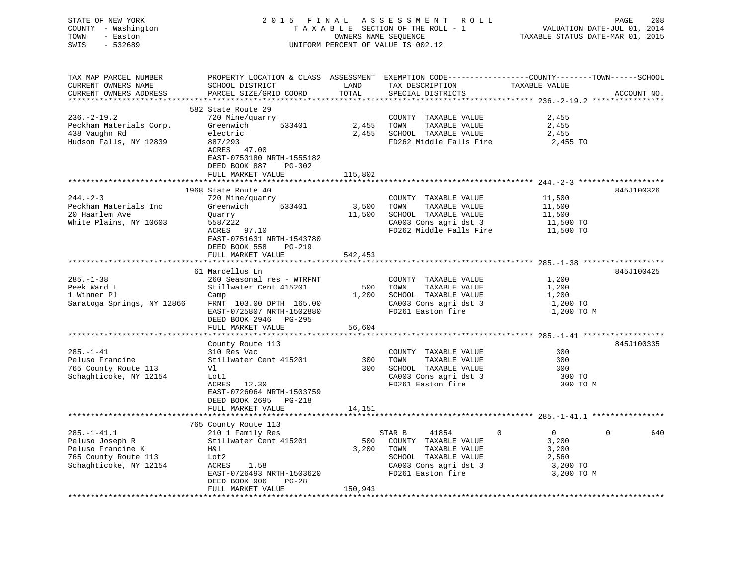| STATE OF NEW YORK<br>COUNTY - Washington<br>- Easton<br>TOWN<br>SWIS<br>$-532689$                           |                                                                                                                                                                                 | OWNERS NAME SEQUENCE    | 2015 FINAL ASSESSMENT ROLL<br>TAXABLE SECTION OF THE ROLL - 1<br>UNIFORM PERCENT OF VALUE IS 002.12                                                | VALUATION DATE-JUL 01, 2014<br>TAXABLE STATUS DATE-MAR 01, 2015     | 208<br>PAGE     |
|-------------------------------------------------------------------------------------------------------------|---------------------------------------------------------------------------------------------------------------------------------------------------------------------------------|-------------------------|----------------------------------------------------------------------------------------------------------------------------------------------------|---------------------------------------------------------------------|-----------------|
| TAX MAP PARCEL NUMBER<br>CURRENT OWNERS NAME<br>CURRENT OWNERS ADDRESS<br>***********************           | SCHOOL DISTRICT<br>PARCEL SIZE/GRID COORD                                                                                                                                       | LAND<br>TOTAL           | PROPERTY LOCATION & CLASS ASSESSMENT EXEMPTION CODE----------------COUNTY-------TOWN------SCHOOL<br>TAX DESCRIPTION<br>SPECIAL DISTRICTS           | TAXABLE VALUE                                                       | ACCOUNT NO.     |
| $236. - 2 - 19.2$<br>Peckham Materials Corp.<br>438 Vaughn Rd<br>Hudson Falls, NY 12839                     | 582 State Route 29<br>720 Mine/quarry<br>Greenwich<br>533401<br>electric<br>887/293<br>ACRES 47.00<br>EAST-0753180 NRTH-1555182<br>DEED BOOK 887<br>PG-302<br>FULL MARKET VALUE | 2,455<br>115,802        | COUNTY TAXABLE VALUE<br>TOWN<br>TAXABLE VALUE<br>2,455 SCHOOL TAXABLE VALUE<br>FD262 Middle Falls Fire                                             | 2,455<br>2,455<br>2,455<br>2,455 TO                                 |                 |
|                                                                                                             |                                                                                                                                                                                 |                         |                                                                                                                                                    |                                                                     |                 |
| $244. - 2 - 3$<br>Peckham Materials Inc<br>20 Haarlem Ave<br>White Plains, NY 10603                         | 1968 State Route 40<br>720 Mine/quarry<br>533401<br>Greenwich<br>Quarry<br>558/222<br>ACRES 97.10<br>EAST-0751631 NRTH-1543780<br>DEED BOOK 558<br>PG-219                       | 3,500<br>11,500         | COUNTY TAXABLE VALUE<br>TOWN<br>TAXABLE VALUE<br>SCHOOL TAXABLE VALUE<br>CA003 Cons agri dst 3<br>FD262 Middle Falls Fire                          | 11,500<br>11,500<br>11,500<br>11,500 TO<br>11,500 TO                | 845J100326      |
|                                                                                                             | FULL MARKET VALUE                                                                                                                                                               | 542,453                 |                                                                                                                                                    |                                                                     |                 |
|                                                                                                             | 61 Marcellus Ln                                                                                                                                                                 |                         |                                                                                                                                                    |                                                                     | 845J100425      |
| 285.-1-38<br>Peek Ward L<br>1 Winner Pl<br>Saratoga Springs, NY 12866                                       | 260 Seasonal res - WTRFNT<br>Stillwater Cent 415201<br>Camp<br>FRNT 103.00 DPTH 165.00<br>EAST-0725807 NRTH-1502880<br>DEED BOOK 2946<br>PG-295                                 | 500<br>1,200            | COUNTY TAXABLE VALUE<br>TOWN<br>TAXABLE VALUE<br>SCHOOL TAXABLE VALUE<br>CA003 Cons agri dst 3<br>FD261 Easton fire                                | 1,200<br>1,200<br>1,200<br>1,200 TO<br>1,200 TO M                   |                 |
|                                                                                                             | FULL MARKET VALUE<br>*******************                                                                                                                                        | 56,604                  |                                                                                                                                                    |                                                                     |                 |
| $285. - 1 - 41$<br>Peluso Francine<br>765 County Route 113<br>Schaghticoke, NY 12154                        | County Route 113<br>310 Res Vac<br>Stillwater Cent 415201<br>Vl<br>Lot1<br>ACRES 12.30<br>EAST-0726064 NRTH-1503759<br>DEED BOOK 2695 PG-218<br>FULL MARKET VALUE               | 300<br>300<br>14,151    | COUNTY TAXABLE VALUE<br>TOWN<br>TAXABLE VALUE<br>SCHOOL TAXABLE VALUE<br>CA003 Cons agri dst 3<br>FD261 Easton fire                                | 300<br>300<br>300<br>300 TO<br>300 TO M                             | 845J100335      |
|                                                                                                             |                                                                                                                                                                                 |                         |                                                                                                                                                    |                                                                     |                 |
| $285. - 1 - 41.1$<br>Peluso Joseph R<br>Peluso Francine K<br>765 County Route 113<br>Schaghticoke, NY 12154 | 765 County Route 113<br>210 1 Family Res<br>Stillwater Cent 415201<br>H&l<br>Lot2<br>ACRES<br>1.58<br>EAST-0726493 NRTH-1503620<br>DEED BOOK 906<br>PG-28<br>FULL MARKET VALUE  | 500<br>3,200<br>150,943 | STAR B<br>41854<br>$\Omega$<br>COUNTY TAXABLE VALUE<br>TOWN<br>TAXABLE VALUE<br>SCHOOL TAXABLE VALUE<br>CA003 Cons agri dst 3<br>FD261 Easton fire | $\overline{0}$<br>3,200<br>3,200<br>2,560<br>3,200 TO<br>3,200 TO M | $\Omega$<br>640 |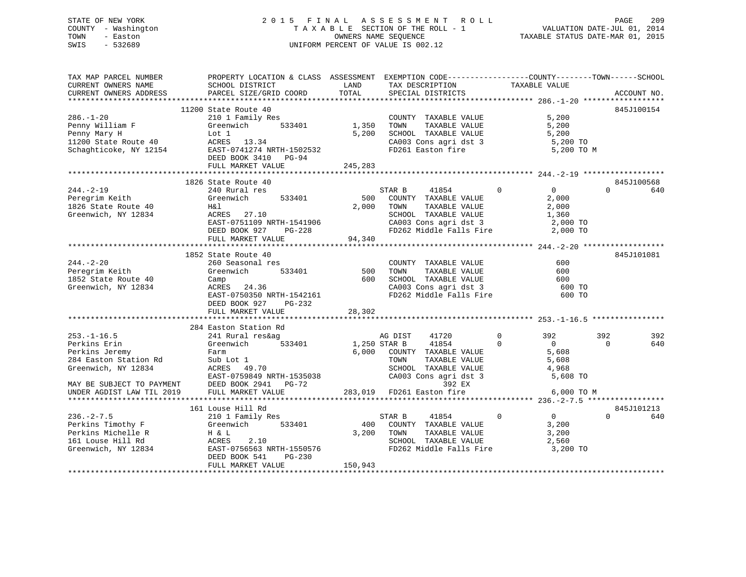## STATE OF NEW YORK 2 0 1 5 F I N A L A S S E S S M E N T R O L L PAGE 209 COUNTY - Washington T A X A B L E SECTION OF THE ROLL - 1 VALUATION DATE-JUL 01, 2014 TOWN - Easton **CONNERS NAME SEQUENCE** TAXABLE STATUS DATE-MAR 01, 2015 SWIS - 532689 UNIFORM PERCENT OF VALUE IS 002.12

| TAXABLE VALUE<br>CURRENT OWNERS NAME<br>SCHOOL DISTRICT<br>LAND<br>TAX DESCRIPTION<br>TOTAL<br>PARCEL SIZE/GRID COORD<br>CURRENT OWNERS ADDRESS<br>SPECIAL DISTRICTS<br>ACCOUNT NO.<br>11200 State Route 40<br>845J100154<br>210 1 Family Res<br>5,200<br>$286. - 1 - 20$<br>COUNTY TAXABLE VALUE<br>Greenwich 533401 1,350 TOWN<br>TAXABLE VALUE<br>5,200<br>5,200 SCHOOL TAXABLE VALUE<br>5,200<br>5,200 TO<br>CA003 Cons agri dst 3<br>FD261 Easton fire<br>5,200 TO M<br>DEED BOOK 3410 PG-94<br>FULL MARKET VALUE<br>245,283<br>845J100568<br>1826 State Route 40<br>$\overline{0}$<br>$\Omega$<br>$244. - 2 - 19$<br>$\Omega$<br>240 Rural res<br>STAR B<br>41854<br>640<br>533401<br>500<br>Greenwich<br>COUNTY TAXABLE VALUE<br>2,000<br>H&l<br>2,000<br>TOWN<br>TAXABLE VALUE<br>2,000<br>SCHOOL TAXABLE VALUE<br>Greenwich, NY 12834<br>ACRES 27.10<br>1,360<br>EAST-0751109 NRTH-1541906<br>DEED BOOK 927 PG-228<br>CA003 Cons agri dst 3 and 2,000 TO<br>FD262 Middle Falls Fire 2,000 TO<br>FULL MARKET VALUE<br>94,340 | TAX MAP PARCEL NUMBER | PROPERTY LOCATION & CLASS ASSESSMENT EXEMPTION CODE---------------COUNTY-------TOWN------SCHOOL |  |     |
|--------------------------------------------------------------------------------------------------------------------------------------------------------------------------------------------------------------------------------------------------------------------------------------------------------------------------------------------------------------------------------------------------------------------------------------------------------------------------------------------------------------------------------------------------------------------------------------------------------------------------------------------------------------------------------------------------------------------------------------------------------------------------------------------------------------------------------------------------------------------------------------------------------------------------------------------------------------------------------------------------------------------------------------|-----------------------|-------------------------------------------------------------------------------------------------|--|-----|
|                                                                                                                                                                                                                                                                                                                                                                                                                                                                                                                                                                                                                                                                                                                                                                                                                                                                                                                                                                                                                                      |                       |                                                                                                 |  |     |
| Penny William F<br>Penny Mary H<br>Penny William F (Greenwich 533401 1,350<br>Penny Mary H Lot 1 5,200<br>11200 State Route 40 (ACRES 13.34 5 chaghticoke, NY 12154 EAST-0741274 NRTH-1502532<br>Peregrim Keith<br>1826 State Route 40                                                                                                                                                                                                                                                                                                                                                                                                                                                                                                                                                                                                                                                                                                                                                                                               |                       |                                                                                                 |  |     |
|                                                                                                                                                                                                                                                                                                                                                                                                                                                                                                                                                                                                                                                                                                                                                                                                                                                                                                                                                                                                                                      |                       |                                                                                                 |  |     |
|                                                                                                                                                                                                                                                                                                                                                                                                                                                                                                                                                                                                                                                                                                                                                                                                                                                                                                                                                                                                                                      |                       |                                                                                                 |  |     |
|                                                                                                                                                                                                                                                                                                                                                                                                                                                                                                                                                                                                                                                                                                                                                                                                                                                                                                                                                                                                                                      |                       |                                                                                                 |  |     |
|                                                                                                                                                                                                                                                                                                                                                                                                                                                                                                                                                                                                                                                                                                                                                                                                                                                                                                                                                                                                                                      |                       |                                                                                                 |  |     |
|                                                                                                                                                                                                                                                                                                                                                                                                                                                                                                                                                                                                                                                                                                                                                                                                                                                                                                                                                                                                                                      |                       |                                                                                                 |  |     |
|                                                                                                                                                                                                                                                                                                                                                                                                                                                                                                                                                                                                                                                                                                                                                                                                                                                                                                                                                                                                                                      |                       |                                                                                                 |  |     |
|                                                                                                                                                                                                                                                                                                                                                                                                                                                                                                                                                                                                                                                                                                                                                                                                                                                                                                                                                                                                                                      |                       |                                                                                                 |  |     |
|                                                                                                                                                                                                                                                                                                                                                                                                                                                                                                                                                                                                                                                                                                                                                                                                                                                                                                                                                                                                                                      |                       |                                                                                                 |  |     |
|                                                                                                                                                                                                                                                                                                                                                                                                                                                                                                                                                                                                                                                                                                                                                                                                                                                                                                                                                                                                                                      |                       |                                                                                                 |  |     |
|                                                                                                                                                                                                                                                                                                                                                                                                                                                                                                                                                                                                                                                                                                                                                                                                                                                                                                                                                                                                                                      |                       |                                                                                                 |  |     |
|                                                                                                                                                                                                                                                                                                                                                                                                                                                                                                                                                                                                                                                                                                                                                                                                                                                                                                                                                                                                                                      |                       |                                                                                                 |  |     |
|                                                                                                                                                                                                                                                                                                                                                                                                                                                                                                                                                                                                                                                                                                                                                                                                                                                                                                                                                                                                                                      |                       |                                                                                                 |  |     |
|                                                                                                                                                                                                                                                                                                                                                                                                                                                                                                                                                                                                                                                                                                                                                                                                                                                                                                                                                                                                                                      |                       |                                                                                                 |  |     |
|                                                                                                                                                                                                                                                                                                                                                                                                                                                                                                                                                                                                                                                                                                                                                                                                                                                                                                                                                                                                                                      |                       |                                                                                                 |  |     |
|                                                                                                                                                                                                                                                                                                                                                                                                                                                                                                                                                                                                                                                                                                                                                                                                                                                                                                                                                                                                                                      |                       |                                                                                                 |  |     |
|                                                                                                                                                                                                                                                                                                                                                                                                                                                                                                                                                                                                                                                                                                                                                                                                                                                                                                                                                                                                                                      |                       |                                                                                                 |  |     |
|                                                                                                                                                                                                                                                                                                                                                                                                                                                                                                                                                                                                                                                                                                                                                                                                                                                                                                                                                                                                                                      |                       |                                                                                                 |  |     |
|                                                                                                                                                                                                                                                                                                                                                                                                                                                                                                                                                                                                                                                                                                                                                                                                                                                                                                                                                                                                                                      |                       |                                                                                                 |  |     |
| 1852 State Route 40<br>845J101081                                                                                                                                                                                                                                                                                                                                                                                                                                                                                                                                                                                                                                                                                                                                                                                                                                                                                                                                                                                                    |                       |                                                                                                 |  |     |
| $244. - 2 - 20$<br>600<br>260 Seasonal res<br>COUNTY TAXABLE VALUE<br>244.-2-20<br>Peregrim Keith                                                                                                                                                                                                                                                                                                                                                                                                                                                                                                                                                                                                                                                                                                                                                                                                                                                                                                                                    |                       |                                                                                                 |  |     |
| Greenwich<br>533401<br>500<br>TOWN<br>TAXABLE VALUE<br>600                                                                                                                                                                                                                                                                                                                                                                                                                                                                                                                                                                                                                                                                                                                                                                                                                                                                                                                                                                           |                       |                                                                                                 |  |     |
| 1852 State Route 40<br>600<br>SCHOOL TAXABLE VALUE<br>600                                                                                                                                                                                                                                                                                                                                                                                                                                                                                                                                                                                                                                                                                                                                                                                                                                                                                                                                                                            |                       |                                                                                                 |  |     |
| Greenwich, NY 12834<br>CA003 Cons agri dst 3 600 TO<br>FD262 Middle Falls Fire 600 TO                                                                                                                                                                                                                                                                                                                                                                                                                                                                                                                                                                                                                                                                                                                                                                                                                                                                                                                                                |                       |                                                                                                 |  |     |
| EAST-0750350 NRTH-1542161                                                                                                                                                                                                                                                                                                                                                                                                                                                                                                                                                                                                                                                                                                                                                                                                                                                                                                                                                                                                            |                       |                                                                                                 |  |     |
| DEED BOOK 927<br>PG-232                                                                                                                                                                                                                                                                                                                                                                                                                                                                                                                                                                                                                                                                                                                                                                                                                                                                                                                                                                                                              |                       |                                                                                                 |  |     |
| FULL MARKET VALUE<br>28,302                                                                                                                                                                                                                                                                                                                                                                                                                                                                                                                                                                                                                                                                                                                                                                                                                                                                                                                                                                                                          |                       |                                                                                                 |  |     |
|                                                                                                                                                                                                                                                                                                                                                                                                                                                                                                                                                                                                                                                                                                                                                                                                                                                                                                                                                                                                                                      |                       |                                                                                                 |  |     |
| 284 Easton Station Rd                                                                                                                                                                                                                                                                                                                                                                                                                                                                                                                                                                                                                                                                                                                                                                                                                                                                                                                                                                                                                |                       |                                                                                                 |  |     |
| $\Omega$<br>392<br>$253. - 1 - 16.5$<br>241 Rural res&ag<br>AG DIST<br>41720<br>392                                                                                                                                                                                                                                                                                                                                                                                                                                                                                                                                                                                                                                                                                                                                                                                                                                                                                                                                                  |                       |                                                                                                 |  | 392 |
| $\sim$ 0<br>Perkins Erin<br>533401<br>41854<br>$\overline{0}$<br>Greenwich<br>1,250 STAR B<br>$\Omega$                                                                                                                                                                                                                                                                                                                                                                                                                                                                                                                                                                                                                                                                                                                                                                                                                                                                                                                               |                       |                                                                                                 |  | 640 |
| 6,000 COUNTY TAXABLE VALUE<br>5,608<br>Perkins Jeremy<br>Farm                                                                                                                                                                                                                                                                                                                                                                                                                                                                                                                                                                                                                                                                                                                                                                                                                                                                                                                                                                        |                       |                                                                                                 |  |     |
| 5,608                                                                                                                                                                                                                                                                                                                                                                                                                                                                                                                                                                                                                                                                                                                                                                                                                                                                                                                                                                                                                                |                       |                                                                                                 |  |     |
|                                                                                                                                                                                                                                                                                                                                                                                                                                                                                                                                                                                                                                                                                                                                                                                                                                                                                                                                                                                                                                      |                       |                                                                                                 |  |     |
|                                                                                                                                                                                                                                                                                                                                                                                                                                                                                                                                                                                                                                                                                                                                                                                                                                                                                                                                                                                                                                      |                       |                                                                                                 |  |     |
|                                                                                                                                                                                                                                                                                                                                                                                                                                                                                                                                                                                                                                                                                                                                                                                                                                                                                                                                                                                                                                      |                       |                                                                                                 |  |     |
|                                                                                                                                                                                                                                                                                                                                                                                                                                                                                                                                                                                                                                                                                                                                                                                                                                                                                                                                                                                                                                      |                       |                                                                                                 |  |     |
| 284 Easton Station Rd<br>284 Easton Station Rd<br>384 Easton Station Rd<br>384 East-0759849 NRTH-1535038<br>392 EX<br>392 EX<br>283,019 FD261 Easton fire<br>392 EX<br>392 EX<br>392 EX<br>392 EX<br>283,019 FD261 Easton fire<br>392 EX<br>392 EX<br>392<br>161 Louse Hill Rd<br>845J101213                                                                                                                                                                                                                                                                                                                                                                                                                                                                                                                                                                                                                                                                                                                                         |                       |                                                                                                 |  |     |
| $236. - 2 - 7.5$<br>$\overline{0}$<br>$\overline{0}$<br>$\Omega$                                                                                                                                                                                                                                                                                                                                                                                                                                                                                                                                                                                                                                                                                                                                                                                                                                                                                                                                                                     |                       |                                                                                                 |  | 640 |
| 210 1 Family Res<br>41854<br>STAR B<br>COUNTY TAXABLE VALUE<br>3,200                                                                                                                                                                                                                                                                                                                                                                                                                                                                                                                                                                                                                                                                                                                                                                                                                                                                                                                                                                 |                       |                                                                                                 |  |     |
| TOWN<br>TAXABLE VALUE<br>3,200                                                                                                                                                                                                                                                                                                                                                                                                                                                                                                                                                                                                                                                                                                                                                                                                                                                                                                                                                                                                       |                       |                                                                                                 |  |     |
| SCHOOL TAXABLE VALUE<br>2,560                                                                                                                                                                                                                                                                                                                                                                                                                                                                                                                                                                                                                                                                                                                                                                                                                                                                                                                                                                                                        |                       |                                                                                                 |  |     |
| Perkins Timothy F<br>Perkins Michelle R<br>161 Louse Hill Rd<br>161 Louse Hill Rd<br>162 ACRES<br>2.10<br>162 EAST-0756563 NRTH-1550576<br>FD262 Middle Falls Fire<br>3,200 TO                                                                                                                                                                                                                                                                                                                                                                                                                                                                                                                                                                                                                                                                                                                                                                                                                                                       |                       |                                                                                                 |  |     |
| DEED BOOK 541<br>PG-230                                                                                                                                                                                                                                                                                                                                                                                                                                                                                                                                                                                                                                                                                                                                                                                                                                                                                                                                                                                                              |                       |                                                                                                 |  |     |
| 150,943<br>FULL MARKET VALUE                                                                                                                                                                                                                                                                                                                                                                                                                                                                                                                                                                                                                                                                                                                                                                                                                                                                                                                                                                                                         |                       |                                                                                                 |  |     |
|                                                                                                                                                                                                                                                                                                                                                                                                                                                                                                                                                                                                                                                                                                                                                                                                                                                                                                                                                                                                                                      |                       |                                                                                                 |  |     |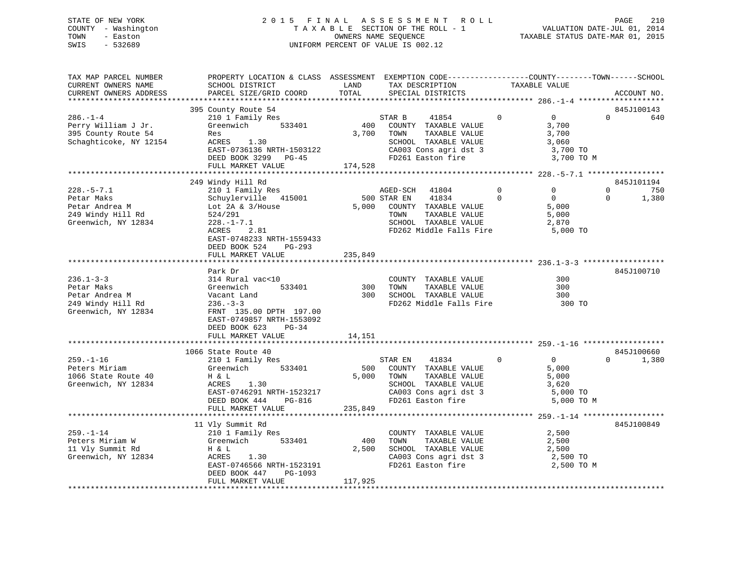## STATE OF NEW YORK 2 0 1 5 F I N A L A S S E S S M E N T R O L L PAGE 210 COUNTY - Washington T A X A B L E SECTION OF THE ROLL - 1 VALUATION DATE-JUL 01, 2014 TOWN - Easton OWNERS NAME SEQUENCE TAXABLE STATUS DATE-MAR 01, 2015 SWIS - 532689 UNIFORM PERCENT OF VALUE IS 002.12

| TAX MAP PARCEL NUMBER<br>CURRENT OWNERS NAME<br>CURRENT OWNERS ADDRESS                                   | PROPERTY LOCATION & CLASS ASSESSMENT EXEMPTION CODE---------------COUNTY-------TOWN-----SCHOOL<br>SCHOOL DISTRICT<br>PARCEL SIZE/GRID COORD                                                                      | LAND<br>TOTAL                                                          | TAX DESCRIPTION<br>SPECIAL DISTRICTS                                                                                                                | TAXABLE VALUE                                                                        |                                      | ACCOUNT NO.                |
|----------------------------------------------------------------------------------------------------------|------------------------------------------------------------------------------------------------------------------------------------------------------------------------------------------------------------------|------------------------------------------------------------------------|-----------------------------------------------------------------------------------------------------------------------------------------------------|--------------------------------------------------------------------------------------|--------------------------------------|----------------------------|
|                                                                                                          |                                                                                                                                                                                                                  |                                                                        |                                                                                                                                                     |                                                                                      |                                      |                            |
| $286. - 1 - 4$<br>Perry William J Jr.<br>395 County Route 54<br>Schaghticoke, NY 12154                   | 395 County Route 54<br>210 1 Family Res<br>Greenwich<br>533401<br>Res<br>ACRES 1.30<br>EAST-0736136 NRTH-1503122<br>DEED BOOK 3299 PG-45<br>FULL MARKET VALUE                                                    | $\begin{array}{c} \mathbb{S}^1 \\ 400 \end{array}$<br>3,700<br>174,528 | STAR B<br>41854<br>COUNTY TAXABLE VALUE<br>TAXABLE VALUE<br>TOWN<br>SCHOOL TAXABLE VALUE<br>CA003 Cons agri dst 3<br>FD261 Easton fire              | $\Omega$<br>$\overline{0}$<br>3,700<br>3,700<br>3,060                                | $\Omega$<br>3,700 TO<br>3,700 TO M   | 845J100143<br>640          |
|                                                                                                          |                                                                                                                                                                                                                  |                                                                        |                                                                                                                                                     |                                                                                      |                                      |                            |
| $228. - 5 - 7.1$<br>Petar Maks<br>Jour Andrea M<br>249 Windy Hill Rd<br>Greenwich<br>Greenwich, NY 12834 | 249 Windy Hill Rd<br>210 1 Family Res<br>Schuylerville 415001<br>Lot $2A & 3/House$<br>524/291<br>$228. - 1 - 7.1$<br>ACRES<br>2.81<br>EAST-0748233 NRTH-1559433<br>DEED BOOK 524<br>PG-293<br>FULL MARKET VALUE | 235,849                                                                | 41804<br>AGED-SCH<br>500 STAR EN<br>41834<br>5,000 COUNTY TAXABLE VALUE<br>TOWN<br>TAXABLE VALUE<br>SCHOOL TAXABLE VALUE<br>FD262 Middle Falls Fire | $\mathbf 0$<br>$\mathbf{0}$<br>$\Omega$<br>$\overline{0}$<br>5,000<br>5,000<br>2,870 | $\mathbf{0}$<br>$\Omega$<br>5,000 TO | 845J101194<br>750<br>1,380 |
|                                                                                                          |                                                                                                                                                                                                                  |                                                                        |                                                                                                                                                     |                                                                                      |                                      |                            |
| $236.1 - 3 - 3$<br>Petar Maks<br>Petar Andrea M<br>249 Windy Hill Rd<br>Greenwich, NY 12834              | Park Dr<br>314 Rural vac<10<br>533401<br>Greenwich<br>Vacant Land<br>$236. - 3 - 3$<br>FRNT 135.00 DPTH 197.00<br>EAST-0749857 NRTH-1553092<br>DEED BOOK 623<br>$PG-34$<br>FULL MARKET VALUE                     | 300<br>300<br>14,151                                                   | COUNTY TAXABLE VALUE<br>TAXABLE VALUE<br>TOWN<br>SCHOOL TAXABLE VALUE<br>FD262 Middle Falls Fire                                                    |                                                                                      | 300<br>300<br>300<br>300 TO          | 845J100710                 |
|                                                                                                          | 1066 State Route 40                                                                                                                                                                                              |                                                                        |                                                                                                                                                     |                                                                                      |                                      | 845J100660                 |
| $259. - 1 - 16$<br>Peters Miriam<br>1066 State Route 40<br>Greenwich, NY 12834                           | 210 1 Family Res<br>533401<br>Greenwich<br>H & L<br>ACRES<br>1.30<br>EAST-0746291 NRTH-1523217<br>DEED BOOK 444<br>PG-816<br>FULL MARKET VALUE                                                                   | 500<br>5,000<br>235,849                                                | 41834<br>STAR EN<br>COUNTY TAXABLE VALUE<br>TOWN<br>TAXABLE VALUE<br>SCHOOL TAXABLE VALUE<br>CA003 Cons agri dst 3<br>FD261 Easton fire             | $\overline{0}$<br>$\overline{0}$<br>5,000<br>5,000<br>3,620                          | $\Omega$<br>5,000 TO<br>5,000 TO M   | 1,380                      |
|                                                                                                          |                                                                                                                                                                                                                  |                                                                        |                                                                                                                                                     |                                                                                      |                                      |                            |
| $259. - 1 - 14$<br>Peters Miriam W<br>11 Vly Summit Rd<br>Greenwich, NY 12834                            | 11 Vly Summit Rd<br>210 1 Family Res<br>Greenwich 533401<br>H & L<br>ACRES<br>1.30<br>EAST-0746566 NRTH-1523191<br>DEED BOOK 447<br>PG-1093<br>FULL MARKET VALUE                                                 | 400<br>2,500<br>117,925                                                | COUNTY TAXABLE VALUE<br>TOWN<br>TAXABLE VALUE<br>SCHOOL TAXABLE VALUE<br>CA003 Cons agri dst 3<br>FD261 Easton fire                                 | 2,500<br>2,500<br>2,500                                                              | 2,500 TO<br>2,500 TO M               | 845J100849                 |
|                                                                                                          |                                                                                                                                                                                                                  |                                                                        |                                                                                                                                                     |                                                                                      |                                      |                            |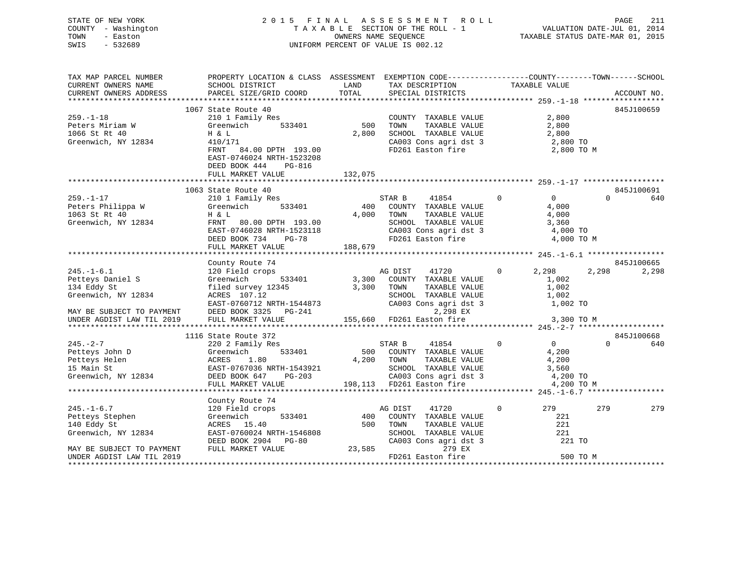| TOWN<br>SWIS | STATE OF NEW YORK<br>COUNTY - Washington<br>- Easton<br>$-532689$ |                                                                                                                      |           | 2015 FINAL ASSESSMENT ROLL<br>TAXABLE SECTION OF THE ROLL - 1<br>OWNERS NAME SEOUENCE<br>UNIFORM PERCENT OF VALUE IS 002.12 | TAXABLE STATUS DATE-MAR 01, 2015 | PAGE<br>VALUATION DATE-JUL 01, 2014 | 211 |
|--------------|-------------------------------------------------------------------|----------------------------------------------------------------------------------------------------------------------|-----------|-----------------------------------------------------------------------------------------------------------------------------|----------------------------------|-------------------------------------|-----|
|              | TAX MAP PARCEL NUMBER                                             | PROPERTY LOCATION & CLASS ASSESSMENT EXEMPTION CODE---------------COUNTY-------TOWN------SCHOOL<br>----------------- | _ _ _ _ _ | ________________                                                                                                            |                                  |                                     |     |

| CURRENT OWNERS NAME<br>CURRENT OWNERS ADDRESS                                                          | SCHOOL DISTRICT<br><b>EXAMPLE EXAMPLE EXAMPLE EXAMPLE EXAMPLE EXAMPLE EXAMPLE EXAMPLE EXAMPLE EXAMPLE EXAMPLE EXAMPLE EXAMPLE EXAMPLE</b><br>PARCEL SIZE/GRID COORD                                                                                                                                                                                                                                                                         | TOTAL            | TAX DESCRIPTION<br>SPECIAL DISTRICTS                                                                                                                                            | TAXABLE VALUE                                                                                                                                                                                                                                                                                                                   |          | ACCOUNT NO. |
|--------------------------------------------------------------------------------------------------------|---------------------------------------------------------------------------------------------------------------------------------------------------------------------------------------------------------------------------------------------------------------------------------------------------------------------------------------------------------------------------------------------------------------------------------------------|------------------|---------------------------------------------------------------------------------------------------------------------------------------------------------------------------------|---------------------------------------------------------------------------------------------------------------------------------------------------------------------------------------------------------------------------------------------------------------------------------------------------------------------------------|----------|-------------|
|                                                                                                        |                                                                                                                                                                                                                                                                                                                                                                                                                                             |                  |                                                                                                                                                                                 |                                                                                                                                                                                                                                                                                                                                 |          |             |
| $259. - 1 - 18$<br>Peters Miriam W<br>1066 St Rt 40<br>Greenwich, NY 12834                             | 1067 State Route 40<br>210 1 Family Res<br>Greenwich<br>H & L<br>410/171<br>FRNT 84.00 DPTH 193.00<br>EAST-0746024 NRTH-1523208<br>DEED BOOK 444 PG-816<br>FULL MARKET VALUE                                                                                                                                                                                                                                                                | 2,800<br>132,075 | COUNTY TAXABLE VALUE<br>TOWN<br>TAXABLE VALUE<br>SCHOOL TAXABLE VALUE 2,800<br>CA003 Cons agri dst 3 2,800 TO<br>FD261 Easton fire                                              | 2,800<br>2,800<br>2,800 TO M                                                                                                                                                                                                                                                                                                    |          | 845J100659  |
|                                                                                                        | 1063 State Route 40                                                                                                                                                                                                                                                                                                                                                                                                                         |                  |                                                                                                                                                                                 |                                                                                                                                                                                                                                                                                                                                 |          | 845J100691  |
| $259. - 1 - 17$<br>Peters Philippa W<br>1063 St Rt 40<br>Greenwich, NY 12834                           | 210 1 Family Res<br>Greenwich 533401 400<br>Η & L<br>FRNT 80.00 DPTH 193.00<br>EAST-0746028 NRTH-1523118<br>DEED BOOK 734 PG-78<br>FULL MARKET VALUE                                                                                                                                                                                                                                                                                        | 188,679          | 41854 0<br>STAR B<br>400 COUNTY TAXABLE VALUE<br>4,000 TOWN TAXABLE VALUE<br>SCHOOL TAXABLE VALUE $3,360$<br>CA003 Cons agri dst 3 $4,000$ TO<br>FD261 Easton fire $4,000$ TO M | $\overline{0}$<br>4,000<br>4,000                                                                                                                                                                                                                                                                                                | $\Omega$ | 640         |
|                                                                                                        |                                                                                                                                                                                                                                                                                                                                                                                                                                             |                  |                                                                                                                                                                                 |                                                                                                                                                                                                                                                                                                                                 |          | 845J100665  |
| $245. -1 - 6.1$<br>Petteys Daniel S<br>134 Eddy St<br>Greenwich, NY 12834<br>MAY BE SUBJECT TO PAYMENT | County Route 74<br>120 Field crops and DIST 11720 0 2,298<br>Greenwich 533401 3,300 COUNTY TAXABLE VALUE 1,002<br>1,002<br>53145 3,300 TOWN TAXABLE VALUE 1,002<br>SCHOOL TAXABLE VALUE 1,002<br>1,002<br>1,002<br>EAST-0760712 NRTH-1544873 CA003 Com<br>DEED BOOK 3325 PG-241                                                                                                                                                             |                  | TOWN TAXABLE VALUE 1,002<br>SCHOOL TAXABLE VALUE 1,002<br>CA003 Cons agri dst 3 1,002<br>2,298 EX                                                                               | 41720 0 2,298<br>1,002 TO                                                                                                                                                                                                                                                                                                       | 2,298    | 2,298       |
| UNDER AGDIST LAW TIL 2019                                                                              | FULL MARKET VALUE                                                                                                                                                                                                                                                                                                                                                                                                                           |                  | 155,660 FD261 Easton fire 3,300 TO M                                                                                                                                            |                                                                                                                                                                                                                                                                                                                                 |          |             |
|                                                                                                        | 1116 State Route 372                                                                                                                                                                                                                                                                                                                                                                                                                        |                  |                                                                                                                                                                                 |                                                                                                                                                                                                                                                                                                                                 |          | 845J100668  |
| $245. -2 - 7$                                                                                          | 220 2 Family Res<br>$\begin{tabular}{lllllllllllll} \multicolumn{3}{c }{\text{\small 245. -2--}}\ \text{\small 245. -2--}\ \text{\small 246. -2--}\ \text{\small 247. 200} \ \text{\small 248. -2--}\ \text{\small 249. -2--}\ \text{\small 240. 2} \ \text{\small 240. 2} \ \text{\small 240. 2} \ \text{\small 240. 2} \ \text{\small 240. 2} \ \text{\small 240. 2} \ \text{\small 240. 2} \ \text{\small 240. 2} \ \text{\small 240. 2$ |                  | 3<br>533401 500 COUNTY TAXABLE VALUE<br>500 COUNTY TAXABLE VALUE                                                                                                                | $\begin{matrix} 0 & 0 & 0 \\ 0 & 0 & 0 \\ 0 & 0 & 0 \\ 0 & 0 & 0 \\ 0 & 0 & 0 \\ 0 & 0 & 0 \\ 0 & 0 & 0 \\ 0 & 0 & 0 \\ 0 & 0 & 0 & 0 \\ 0 & 0 & 0 & 0 \\ 0 & 0 & 0 & 0 \\ 0 & 0 & 0 & 0 \\ 0 & 0 & 0 & 0 & 0 \\ 0 & 0 & 0 & 0 & 0 \\ 0 & 0 & 0 & 0 & 0 \\ 0 & 0 & 0 & 0 & 0 & 0 \\ 0 & 0 & 0 & 0 & 0 & 0 \\ 0 & 0 & 0 & 0 & 0$ |          | 640         |
|                                                                                                        |                                                                                                                                                                                                                                                                                                                                                                                                                                             |                  |                                                                                                                                                                                 |                                                                                                                                                                                                                                                                                                                                 |          |             |
| $245. - 1 - 6.7$<br>Petteys Stephen<br>110 Fil Si<br>140 Eddy St<br>Greenwich, NY 12834                | County Route 74<br>$\begin{array}{c}\n 333401\n \end{array}$<br>120 Field crops<br>Greenwich<br>ACRES 15.40<br>EAST-0760024 NRTH-1546808<br>DEED BOOK 2904 PG-80 (<br>FULL MARKET VALUE 23,585                                                                                                                                                                                                                                              | 500              | AG DIST<br>41720<br>COUNTY TAXABLE VALUE<br>TOWN<br>TAXABLE VALUE<br>TAXABLE VALUE<br>ALUE<br>SCHOOL TAXABLE VALUE<br>CA003 Cons agri dst 3                                     | 279<br>$\mathbf{0}$<br>221<br>221<br>221<br>221 TO                                                                                                                                                                                                                                                                              | 279      | 279         |
| MAY BE SUBJECT TO PAYMENT<br>UNDER AGDIST LAW TIL 2019                                                 |                                                                                                                                                                                                                                                                                                                                                                                                                                             |                  | 279 EX<br>FD261 Easton fire                                                                                                                                                     |                                                                                                                                                                                                                                                                                                                                 | 500 TO M |             |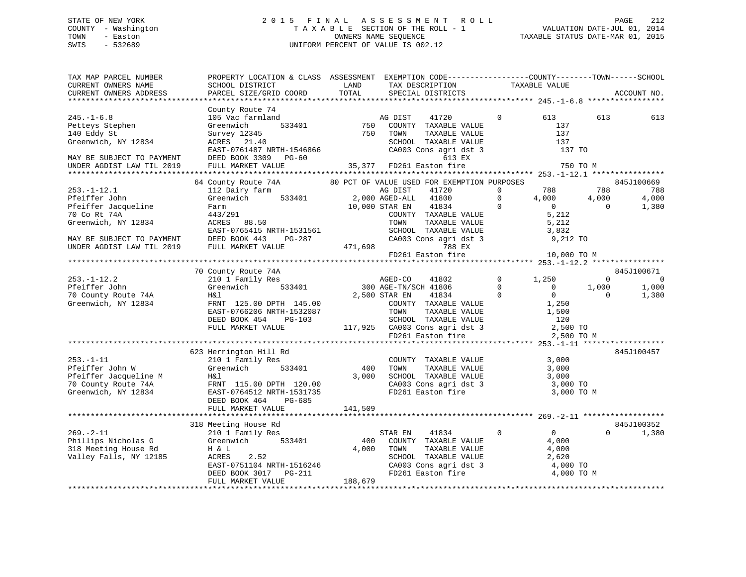## STATE OF NEW YORK 2 0 1 5 F I N A L A S S E S S M E N T R O L L PAGE 212 COUNTY - Washington T A X A B L E SECTION OF THE ROLL - 1 VALUATION DATE-JUL 01, 2014 TOWN - Easton OWNERS NAME SEQUENCE TAXABLE STATUS DATE-MAR 01, 2015 SWIS - 532689 UNIFORM PERCENT OF VALUE IS 002.12

| TAX MAP PARCEL NUMBER<br>CURRENT OWNERS NAME<br>CURRENT OWNERS ADDRESS                                                                                                               | PROPERTY LOCATION & CLASS ASSESSMENT EXEMPTION CODE----------------COUNTY-------TOWN------SCHOOL<br>SCHOOL DISTRICT<br>PARCEL SIZE/GRID COORD                                                                                                                                                                                                                                                                                                                                      | LAND<br>TOTAL           | TAX DESCRIPTION<br>SPECIAL DISTRICTS                                                                                                                                                                                                                                                                                                                                                                                                                                                                    | TAXABLE VALUE                                                                                                                                   |                                                       | ACCOUNT NO.                                                                           |
|--------------------------------------------------------------------------------------------------------------------------------------------------------------------------------------|------------------------------------------------------------------------------------------------------------------------------------------------------------------------------------------------------------------------------------------------------------------------------------------------------------------------------------------------------------------------------------------------------------------------------------------------------------------------------------|-------------------------|---------------------------------------------------------------------------------------------------------------------------------------------------------------------------------------------------------------------------------------------------------------------------------------------------------------------------------------------------------------------------------------------------------------------------------------------------------------------------------------------------------|-------------------------------------------------------------------------------------------------------------------------------------------------|-------------------------------------------------------|---------------------------------------------------------------------------------------|
|                                                                                                                                                                                      |                                                                                                                                                                                                                                                                                                                                                                                                                                                                                    |                         |                                                                                                                                                                                                                                                                                                                                                                                                                                                                                                         |                                                                                                                                                 |                                                       |                                                                                       |
| $245. - 1 - 6.8$<br>Petteys Stephen<br>140 Eddy St<br>Greenwich, NY 12834<br>MAY BE SUBJECT TO PAYMENT<br>UNDER AGDIST LAW TIL 2019                                                  | County Route 74<br>105 Vac farmland<br>Greenwich<br>Survey 12345<br>Survey 12345<br>ACRES 21.40<br>EAST-0761487 NRTH-1546866<br>DEED BOOK 3309 PG-60<br>FULL MARKET VALUE                                                                                                                                                                                                                                                                                                          |                         | d a MG DIST 41720<br>533401 750 COUNTY TAXABLE VALUE<br>750 TOWN TAXABLE VALUE<br>TOWN TAXABLE VALUE<br>SCHOOL TAXABLE VALUE<br>CA003 Cons agri dst 3<br>613 EX<br>دی دی دی<br>35,377 FD261 Easton fire                                                                                                                                                                                                                                                                                                 | $\overline{0}$<br>613<br>137<br>137<br>137<br>137 TO<br>750 TO M                                                                                | 613                                                   | 613                                                                                   |
|                                                                                                                                                                                      |                                                                                                                                                                                                                                                                                                                                                                                                                                                                                    |                         |                                                                                                                                                                                                                                                                                                                                                                                                                                                                                                         |                                                                                                                                                 |                                                       |                                                                                       |
| $253. - 1 - 12.1$<br>Pfeiffer John<br>Pfeiffer Jacqueline<br>70 Co Rt 74A<br>Greenwich, NY 12834<br>$253. - 1 - 12.2$<br>Pfeiffer John<br>70 County Route 74A<br>Greenwich, NY 12834 | 64 County Route 74A 60 PCT OF VALUE USED FOR EXEMPTION PURPOSES<br>112 Dairy farm<br>Greenwich<br>Farm<br>443/291<br>ACRES 88.50<br>EAST-0765415 NRTH-1531561<br>EAST-0765415 NRTH-1531561<br>MAY BE SUBJECT TO PAYMENT DEED BOOK 443 PG-287<br>UNDER AGDIST LAW TIL 2019 FULL MARKET VALUE<br>70 County Route 74A<br><br>s<br>533401<br>210 1 Family Res<br>Greenwich<br>H&l<br>FRNT 125.00 DPTH 145.00<br>EAST-0766206 NRTH-1532087<br>DEED BOOK 454 PG-103<br>FULL MARKET VALUE |                         | AG DIST<br>41720<br>533401 2,000 AGED-ALL 41800<br>10,000 STAR EN 41834 0<br>COUNTY TAXABLE VALUE<br>-1531561<br>TOWN TAXABLE VALUE<br>SCHOOL TAXABLE VALUE<br>SCHOOL TAXABLE VALUE<br>3,832<br>CA003 Cons agri dst 3<br>471,698<br>FD261 Easton fire<br>10,000 TO M<br>AGED-CO 41802<br>300 AGE-TN/SCH 41806<br>41834 0<br>2,500 STAR EN<br>COUNTY TAXABLE VALUE 1,250<br>TOWN TAXABLE VALUE 1,500<br>SCHOOL TAXABLE VALUE 120<br>117,925 CA003 Cons agri dst 3 2,500 TO<br>FD261 Easton fire 2,500 TO | $0$ 788 788<br>0 4,000 4,000<br>$\overline{0}$<br>5,212<br>$0 \t 1,250$<br>$\begin{array}{ccc} & & 0 & \quad & 0 \end{array}$<br>$\overline{0}$ | $\overline{0}$<br>$\Omega$<br>1,000<br>$\overline{0}$ | 845J100669<br>788<br>4,000<br>1,380<br>845J100671<br>$\overline{0}$<br>1,000<br>1,380 |
|                                                                                                                                                                                      |                                                                                                                                                                                                                                                                                                                                                                                                                                                                                    |                         |                                                                                                                                                                                                                                                                                                                                                                                                                                                                                                         | 2,500 TO M                                                                                                                                      |                                                       |                                                                                       |
| $253. - 1 - 11$<br>Pfeiffer John W                                                                                                                                                   | 623 Herrington Hill Rd<br>210 1 Family Res<br>Greenwich 533401<br>Pfeiffer Jacqueline M<br>70 County Route 74A<br>The Term in FRNT 115.00 DPTH 120.00<br>Greenwich, NY 12834<br>EAST-0764512 NRTH-1531735<br>DEED BOOK 464<br>PG-685<br>FULL MARKET VALUE                                                                                                                                                                                                                          | 400<br>3,000<br>141,509 | COUNTY TAXABLE VALUE<br>TOWN TAXABLE VALUE 3,000<br>SCHOOL TAXABLE VALUE 3,000<br>CA003 Cons agri dst 3 3,000 TO<br>FD261 Easton fire 3,000 TO M                                                                                                                                                                                                                                                                                                                                                        | 3,000                                                                                                                                           |                                                       | 845J100457                                                                            |
|                                                                                                                                                                                      |                                                                                                                                                                                                                                                                                                                                                                                                                                                                                    |                         |                                                                                                                                                                                                                                                                                                                                                                                                                                                                                                         |                                                                                                                                                 |                                                       |                                                                                       |
|                                                                                                                                                                                      | 318 Meeting House Rd                                                                                                                                                                                                                                                                                                                                                                                                                                                               |                         |                                                                                                                                                                                                                                                                                                                                                                                                                                                                                                         |                                                                                                                                                 |                                                       | 845J100352                                                                            |
| $269. - 2 - 11$                                                                                                                                                                      | Meeting nouse www.<br>210 1 Family Res<br>269.-2-11 210 1 Family Res<br>Phillips Nicholas G Greenwich 533401<br>318 Meeting House Rd H & L<br>Valley Falls, NY 12185 ACRES 2.52<br>EAST-0751104 NRTH-1516246<br>DEED BOOK 3017 PG-211<br>FIILL MADFER YTT---<br>FULL MARKET VALUE                                                                                                                                                                                                  | 400<br>4,000<br>188,679 | 41834 0<br>STAR EN<br>COUNTY TAXABLE VALUE<br>TAXABLE VALUE<br>TOWN<br>SCHOOL TAXABLE VALUE<br>CA003 Cons agri dst 3 de 4,000 TO<br>FD261 Easton fire de 4,000 TO M                                                                                                                                                                                                                                                                                                                                     | $\overline{0}$<br>4,000<br>$\frac{4,000}{2,620}$                                                                                                | $\Omega$                                              | 1,380                                                                                 |
|                                                                                                                                                                                      |                                                                                                                                                                                                                                                                                                                                                                                                                                                                                    |                         |                                                                                                                                                                                                                                                                                                                                                                                                                                                                                                         |                                                                                                                                                 |                                                       |                                                                                       |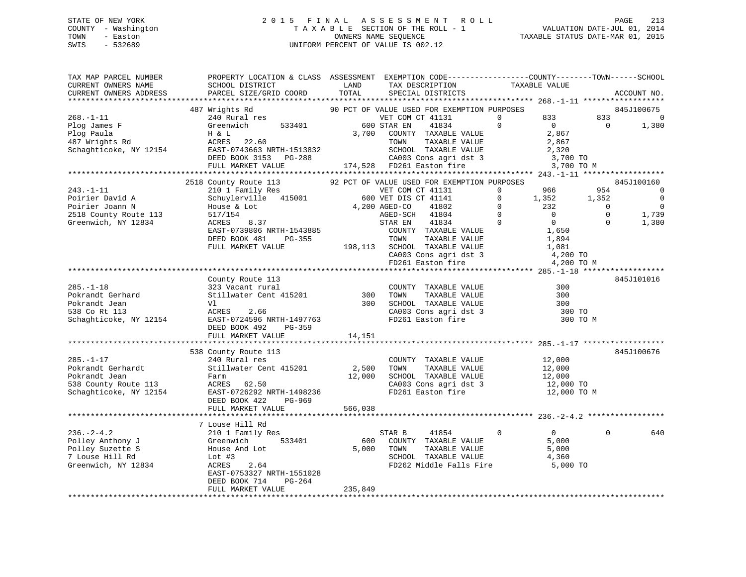## STATE OF NEW YORK 2 0 1 5 F I N A L A S S E S S M E N T R O L L PAGE 213 COUNTY - Washington T A X A B L E SECTION OF THE ROLL - 1 VALUATION DATE-JUL 01, 2014 TOWN - Easton OWNERS NAME SEQUENCE TAXABLE STATUS DATE-MAR 01, 2015 SWIS - 532689 UNIFORM PERCENT OF VALUE IS 002.12

| TAX MAP PARCEL NUMBER | PROPERTY LOCATION & CLASS ASSESSMENT EXEMPTION CODE-----------------COUNTY-------TOWN------SCHOOL                                                                                                                                                                                              |                         | TAX DESCRIPTION TAXABLE VALUE<br>SPECIAL DISTRICTS                                                                                                                                               |              |                                     |                           | ACCOUNT NO.                                                                              |
|-----------------------|------------------------------------------------------------------------------------------------------------------------------------------------------------------------------------------------------------------------------------------------------------------------------------------------|-------------------------|--------------------------------------------------------------------------------------------------------------------------------------------------------------------------------------------------|--------------|-------------------------------------|---------------------------|------------------------------------------------------------------------------------------|
|                       |                                                                                                                                                                                                                                                                                                |                         |                                                                                                                                                                                                  |              |                                     |                           |                                                                                          |
|                       | 87 Wrights Rd<br>240 Rural res<br>240 Rural res<br>533401 600 STAR EN 41834 0 0 0<br>487 Wrights Rd                                                                                                                                                                                            |                         |                                                                                                                                                                                                  |              | 3,700 TO M                          | 833 833<br>$\overline{0}$ | 845J100675<br>$\Omega$<br>1,380                                                          |
|                       |                                                                                                                                                                                                                                                                                                |                         |                                                                                                                                                                                                  |              |                                     |                           | 845J100160                                                                               |
|                       |                                                                                                                                                                                                                                                                                                |                         |                                                                                                                                                                                                  |              |                                     |                           | $\overline{0}$<br>$\overline{\phantom{0}}$<br>$\overline{\phantom{0}}$<br>1,739<br>1,380 |
|                       |                                                                                                                                                                                                                                                                                                |                         |                                                                                                                                                                                                  |              |                                     |                           |                                                                                          |
|                       | County Route 113                                                                                                                                                                                                                                                                               | 14,151                  |                                                                                                                                                                                                  |              | 300 ТО<br>300 ТО М                  |                           | 845J101016                                                                               |
|                       | FULL MARKET VALUE                                                                                                                                                                                                                                                                              |                         |                                                                                                                                                                                                  |              |                                     |                           |                                                                                          |
| $285. -1 - 17$        | 538 County Route 113<br>240 Rural res                                                                                                                                                                                                                                                          |                         | $\begin{tabular}{lllllllllll} \multicolumn{2}{c}{\text{COUNTY}} & \text{TAXABLE VALUE} & & & 12\, ,000 \\ \multicolumn{2}{c}{\text{TOWN}} & \text{TAXABLE VALUE} & & 12\, ,000 \\ \end{tabular}$ |              |                                     |                           | 845J100676                                                                               |
|                       |                                                                                                                                                                                                                                                                                                |                         |                                                                                                                                                                                                  |              |                                     |                           |                                                                                          |
|                       |                                                                                                                                                                                                                                                                                                |                         |                                                                                                                                                                                                  |              |                                     |                           |                                                                                          |
|                       | 7 Louse Hill Rd<br>% 236.-2-4.2<br>Polley Anthony J<br>Polley Suzette S<br>7 Louse Hill Rd<br>316 210 1 Family Res<br>810 533401<br>Polley Suzette S<br>7 Louse Hill Rd<br>316 2.64<br>2.64<br>2.64<br>2.65 2.64<br>2.85T-0753327 NRTH-1551028<br>DEED BOOK 714<br>PG-264<br>FULL MARKET VALUE | $5,000$ TOWN<br>235,849 | 41854<br>STAR B<br>600 COUNTY TAXABLE VALUE<br>TOWN TAXABLE VALUE 5,000<br>SCHOOL TAXABLE VALUE 4,360<br>FD262 Middle Falls Fire                                                                 | $\mathbf{0}$ | $\overline{0}$<br>5,000<br>5,000 TO | $\Omega$                  | 640                                                                                      |
|                       |                                                                                                                                                                                                                                                                                                |                         |                                                                                                                                                                                                  |              |                                     |                           |                                                                                          |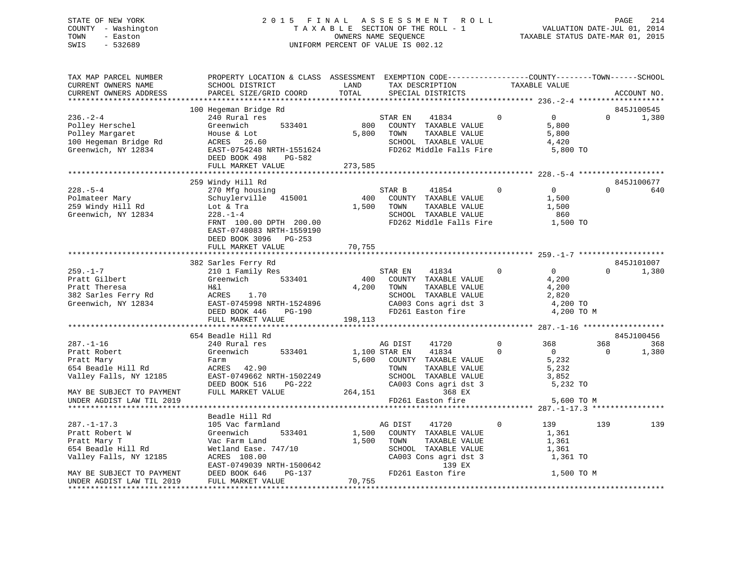## STATE OF NEW YORK 2 0 1 5 F I N A L A S S E S S M E N T R O L L PAGE 214 COUNTY - Washington T A X A B L E SECTION OF THE ROLL - 1 VALUATION DATE-JUL 01, 2014 TOWN - Easton **CONNERS NAME SEQUENCE** TAXABLE STATUS DATE-MAR 01, 2015 SWIS - 532689 UNIFORM PERCENT OF VALUE IS 002.12

| TAX MAP PARCEL NUMBER<br>CURRENT OWNERS NAME                                                                                          | PROPERTY LOCATION & CLASS ASSESSMENT EXEMPTION CODE----------------COUNTY-------TOWN------SCHOOL<br>SCHOOL DISTRICT | LAND          | TAX DESCRIPTION                               | TAXABLE VALUE  |                   |          |             |
|---------------------------------------------------------------------------------------------------------------------------------------|---------------------------------------------------------------------------------------------------------------------|---------------|-----------------------------------------------|----------------|-------------------|----------|-------------|
|                                                                                                                                       |                                                                                                                     | TOTAL         |                                               |                |                   |          |             |
| CURRENT OWNERS ADDRESS                                                                                                                | PARCEL SIZE/GRID COORD                                                                                              |               | SPECIAL DISTRICTS                             |                |                   |          | ACCOUNT NO. |
|                                                                                                                                       |                                                                                                                     |               |                                               |                |                   |          |             |
|                                                                                                                                       | 100 Hegeman Bridge Rd                                                                                               |               |                                               |                |                   |          | 845J100545  |
| $236. - 2 - 4$                                                                                                                        | 240 Rural res                                                                                                       |               | STAR EN<br>41834                              | $\Omega$       | $0 \qquad \qquad$ | $\Omega$ | 1,380       |
| Polley Herschel                                                                                                                       | Greenwich<br>533401                                                                                                 | 800           | COUNTY TAXABLE VALUE                          |                | 5,800             |          |             |
| Polley Margaret                                                                                                                       | House & Lot                                                                                                         | 5,800         | TOWN<br>TAXABLE VALUE                         |                | 5,800             |          |             |
| 100 Hegeman Bridge Rd<br>Greenwich, NY 12834                                                                                          | ACRES 26.60                                                                                                         |               | SCHOOL TAXABLE VALUE                          |                | 4,420             |          |             |
|                                                                                                                                       | EAST-0754248 NRTH-1551624                                                                                           |               | FD262 Middle Falls Fire                       |                | 5,800 TO          |          |             |
|                                                                                                                                       | DEED BOOK 498<br>PG-582                                                                                             |               |                                               |                |                   |          |             |
|                                                                                                                                       | FULL MARKET VALUE                                                                                                   | 273,585       |                                               |                |                   |          |             |
|                                                                                                                                       |                                                                                                                     |               |                                               |                |                   |          |             |
|                                                                                                                                       | 259 Windy Hill Rd                                                                                                   |               |                                               |                |                   |          | 845J100677  |
| $228. - 5 - 4$                                                                                                                        | 270 Mfg housing                                                                                                     |               | $\sim$ 0<br>STAR B<br>41854                   |                | $\overline{0}$    | $\Omega$ | 640         |
| Polmateer Mary                                                                                                                        | Schuylerville 415001                                                                                                | 400           | COUNTY TAXABLE VALUE                          |                | 1,500             |          |             |
| 259 Windy Hill Rd                                                                                                                     | Lot & Tra                                                                                                           | 1,500         | TOWN<br>TAXABLE VALUE                         |                | 1,500             |          |             |
| Greenwich, NY 12834                                                                                                                   | $228. - 1 - 4$                                                                                                      |               | SCHOOL TAXABLE VALUE                          |                | 860               |          |             |
|                                                                                                                                       | FRNT 100.00 DPTH 200.00                                                                                             |               | FD262 Middle Falls Fire                       |                | 1,500 TO          |          |             |
|                                                                                                                                       | EAST-0748083 NRTH-1559190                                                                                           |               |                                               |                |                   |          |             |
|                                                                                                                                       | DEED BOOK 3096 PG-253                                                                                               |               |                                               |                |                   |          |             |
|                                                                                                                                       | FULL MARKET VALUE                                                                                                   |               |                                               |                |                   |          |             |
|                                                                                                                                       |                                                                                                                     | 70, 755       |                                               |                |                   |          |             |
|                                                                                                                                       |                                                                                                                     |               |                                               |                |                   |          |             |
|                                                                                                                                       | 382 Sarles Ferry Rd                                                                                                 |               |                                               | $\Omega$       | $0 \qquad \qquad$ | $\Omega$ | 845J101007  |
| $259. - 1 - 7$                                                                                                                        | 210 1 Family Res                                                                                                    |               | STAR EN<br>41834                              |                |                   |          | 1,380       |
| Pratt Gilbert                                                                                                                         | Greenwich 533401                                                                                                    | 400           | COUNTY TAXABLE VALUE                          |                | 4,200             |          |             |
| Pratt Theresa<br>Pratt Theresa<br>382 Sarles Ferry Rd<br>Greenwich, NY 12834<br>EAST-0745998 NRTH-1524896<br>FIRED ROOK 446<br>PG-190 | H&l                                                                                                                 | 4,200         | TOWN<br>TAXABLE VALUE                         |                | 4,200             |          |             |
|                                                                                                                                       |                                                                                                                     |               | SCHOOL TAXABLE VALUE                          |                | 2,820             |          |             |
|                                                                                                                                       |                                                                                                                     |               | CA003 Cons agri dst 3                         |                | 4,200 TO          |          |             |
|                                                                                                                                       |                                                                                                                     |               | FD261 Easton fire                             |                | 4,200 TO M        |          |             |
|                                                                                                                                       | FULL MARKET VALUE                                                                                                   | 198,113       |                                               |                |                   |          |             |
|                                                                                                                                       |                                                                                                                     |               |                                               |                |                   |          |             |
|                                                                                                                                       | 654 Beadle Hill Rd                                                                                                  |               |                                               |                |                   |          | 845J100456  |
| $287. - 1 - 16$                                                                                                                       | 240 Rural res                                                                                                       |               | AG DIST<br>41720                              | $\overline{0}$ | 368               | 368      | 368         |
| Pratt Robert                                                                                                                          | 533401<br>Greenwich                                                                                                 | 1,100 STAR EN | 41834                                         | $\mathbf 0$    | $\overline{0}$    | $\Omega$ | 1,380       |
|                                                                                                                                       | Farm                                                                                                                |               | 5,600 COUNTY TAXABLE VALUE                    |                | 5,232             |          |             |
| Pratt Mary<br>654 Beadle Hill Rd                                                                                                      | ACRES 42.90                                                                                                         |               | TOWN<br>TAXABLE VALUE                         |                | 5,232             |          |             |
| Valley Falls, NY 12185                                                                                                                | EAST-0749662 NRTH-1502249                                                                                           |               | SCHOOL TAXABLE VALUE                          |                | 3,852             |          |             |
|                                                                                                                                       | DEED BOOK 516<br>PG-222                                                                                             |               | CA003 Cons agri dst 3                         |                | 5,232 TO          |          |             |
| MAY BE SUBJECT TO PAYMENT                                                                                                             | FULL MARKET VALUE                                                                                                   | 264,151       | 368 EX                                        |                |                   |          |             |
| UNDER AGDIST LAW TIL 2019                                                                                                             |                                                                                                                     |               | FD261 Easton fire                             |                | 5,600 TO M        |          |             |
|                                                                                                                                       |                                                                                                                     |               |                                               |                |                   |          |             |
|                                                                                                                                       | Beadle Hill Rd                                                                                                      |               |                                               |                |                   |          |             |
| $287. - 1 - 17.3$                                                                                                                     | 105 Vac farmland                                                                                                    |               | AG DIST<br>41720                              | $\mathbf 0$    | 139               | 139      | 139         |
| Pratt Robert W                                                                                                                        | Greenwich<br>533401                                                                                                 | 1,500         | COUNTY TAXABLE VALUE                          |                | 1,361             |          |             |
| Pratt Mary T                                                                                                                          | Vac Farm Land                                                                                                       | 1,500         | TOWN<br>TAXABLE VALUE                         |                | 1,361             |          |             |
| 654 Beadle Hill Rd                                                                                                                    | Wetland Ease. 747/10                                                                                                |               |                                               |                | 1,361             |          |             |
| Valley Falls, NY 12185                                                                                                                | ACRES 108.00                                                                                                        |               | SCHOOL TAXABLE VALUE<br>CA003 Cons agri dst 3 |                | 1,361 TO          |          |             |
|                                                                                                                                       |                                                                                                                     |               | 139 EX                                        |                |                   |          |             |
| MAY BE SUBJECT TO PAYMENT                                                                                                             | EAST-0749039 NRTH-1500642<br>DEED BOOK 646 PG-137<br>DEED BOOK 646                                                  |               | FD261 Easton fire                             |                | 1,500 TO M        |          |             |
| UNDER AGDIST LAW TIL 2019                                                                                                             | FULL MARKET VALUE                                                                                                   | 70,755        |                                               |                |                   |          |             |
|                                                                                                                                       |                                                                                                                     |               |                                               |                |                   |          |             |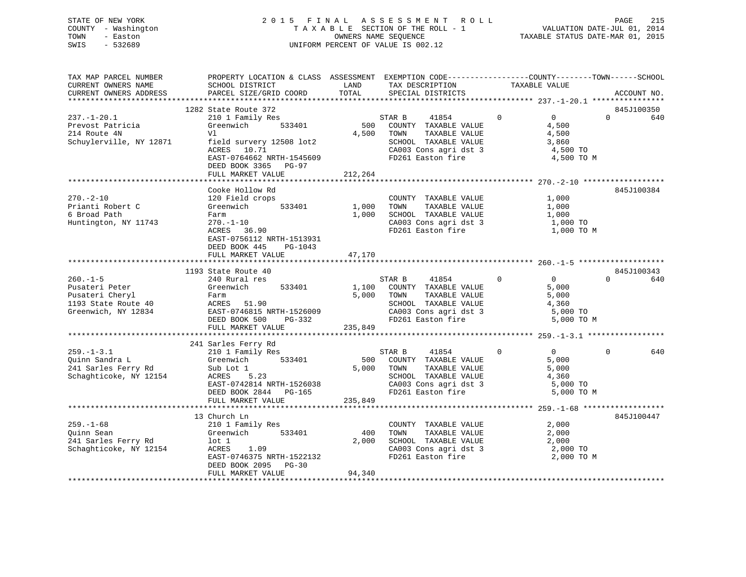## STATE OF NEW YORK 2 0 1 5 F I N A L A S S E S S M E N T R O L L PAGE 215 COUNTY - Washington T A X A B L E SECTION OF THE ROLL - 1 VALUATION DATE-JUL 01, 2014 TOWN - Easton **CONNERS NAME SEQUENCE** TAXABLE STATUS DATE-MAR 01, 2015 SWIS - 532689 UNIFORM PERCENT OF VALUE IS 002.12

| TAX MAP PARCEL NUMBER<br>CURRENT OWNERS NAME<br>CURRENT OWNERS ADDRESS                           | PROPERTY LOCATION & CLASS ASSESSMENT EXEMPTION CODE----------------COUNTY-------TOWN------SCHOOL<br>SCHOOL DISTRICT<br>PARCEL SIZE/GRID COORD                                           | LAND<br>TOTAL             | TAX DESCRIPTION<br>SPECIAL DISTRICTS                                                                                                   | TAXABLE VALUE                                                                   | ACCOUNT NO.                   |
|--------------------------------------------------------------------------------------------------|-----------------------------------------------------------------------------------------------------------------------------------------------------------------------------------------|---------------------------|----------------------------------------------------------------------------------------------------------------------------------------|---------------------------------------------------------------------------------|-------------------------------|
|                                                                                                  |                                                                                                                                                                                         |                           |                                                                                                                                        |                                                                                 |                               |
| $237. - 1 - 20.1$<br>Prevost Patricia<br>214 Route 4N<br>Schuylerville, NY 12871                 | 1282 State Route 372<br>210 1 Family Res<br>Greenwich 533401<br>Vl<br>field survery 12508 lot2<br>ACRES 10.71<br>EAST-0764662 NRTH-1545609<br>DEED BOOK 3365 PG-97<br>FULL MARKET VALUE | 500<br>4,500<br>212,264   | STAR B<br>41854<br>COUNTY TAXABLE VALUE<br>TAXABLE VALUE<br>TOWN<br>SCHOOL TAXABLE VALUE<br>CA003 Cons agri dst 3<br>FD261 Easton fire | $\Omega$<br>$\overline{0}$<br>4,500<br>4,500<br>3,860<br>4,500 TO<br>4,500 TO M | 845J100350<br>$\Omega$<br>640 |
|                                                                                                  |                                                                                                                                                                                         |                           |                                                                                                                                        |                                                                                 |                               |
| $270. - 2 - 10$<br>Prianti Robert C<br>6 Broad Path<br>Huntington, NY 11743                      | Cooke Hollow Rd<br>120 Field crops<br>Greenwich<br>533401<br>Farm<br>270.-1-10<br>ACRES 36.90<br>EAST-0756112 NRTH-1513931<br>DEED BOOK 445<br>PG-1043                                  | 1,000<br>1,000            | COUNTY TAXABLE VALUE<br>TOWN<br>TAXABLE VALUE<br>SCHOOL TAXABLE VALUE<br>CA003 Cons agri dst 3<br>FD261 Easton fire                    | 1,000<br>1,000<br>1,000<br>1,000 TO<br>1,000 TO M                               | 845J100384                    |
|                                                                                                  | FULL MARKET VALUE                                                                                                                                                                       | 47,170                    |                                                                                                                                        |                                                                                 |                               |
|                                                                                                  |                                                                                                                                                                                         |                           |                                                                                                                                        |                                                                                 |                               |
| $260. -1 - 5$<br>Pusateri Peter<br>Pusateri Cheryl<br>1193 State Route 40<br>Greenwich, NY 12834 | 1193 State Route 40<br>240 Rural res<br>533401<br>Greenwich<br>Farm<br>ACRES 51.90<br>EAST-0746815 NRTH-1526009<br>DEED BOOK 500<br>PG-332<br>FULL MARKET VALUE                         | 1,100<br>5,000<br>235,849 | STAR B<br>41854<br>COUNTY TAXABLE VALUE<br>TOWN<br>TAXABLE VALUE<br>SCHOOL TAXABLE VALUE<br>CA003 Cons agri dst 3<br>FD261 Easton fire | $\Omega$<br>$\Omega$<br>5,000<br>5,000<br>4,360<br>5,000 TO<br>5,000 TO M       | 845J100343<br>$\Omega$<br>640 |
|                                                                                                  | 241 Sarles Ferry Rd                                                                                                                                                                     |                           |                                                                                                                                        |                                                                                 |                               |
| $259. - 1 - 3.1$<br>Ouinn Sandra L<br>241 Sarles Ferry Rd<br>Schaghticoke, NY 12154              | 210 1 Family Res<br>533401<br>Greenwich<br>Sub Lot 1<br>ACRES<br>5.23<br>EAST-0742814 NRTH-1526038<br>DEED BOOK 2844 PG-165<br>FULL MARKET VALUE                                        | 500<br>5,000<br>235,849   | STAR B<br>41854<br>COUNTY TAXABLE VALUE<br>TOWN<br>TAXABLE VALUE<br>SCHOOL TAXABLE VALUE<br>CA003 Cons agri dst 3<br>FD261 Easton fire | $\Omega$<br>$\Omega$<br>5,000<br>5,000<br>4,360<br>5,000 TO<br>5,000 TO M       | $\Omega$<br>640               |
|                                                                                                  |                                                                                                                                                                                         |                           |                                                                                                                                        |                                                                                 |                               |
| $259. - 1 - 68$<br>Ouinn Sean<br>241 Sarles Ferry Rd<br>Schaghticoke, NY 12154                   | 13 Church Ln<br>210 1 Family Res<br>Greenwich 533401<br>lot 1<br>ACRES<br>1.09<br>EAST-0746375 NRTH-1522132<br>DEED BOOK 2095 PG-30<br>FULL MARKET VALUE                                | 400<br>2,000<br>94,340    | COUNTY TAXABLE VALUE<br>TOWN<br>TAXABLE VALUE<br>SCHOOL TAXABLE VALUE<br>CA003 Cons agri dst 3<br>FD261 Easton fire                    | 2,000<br>2,000<br>2,000<br>2,000 TO<br>2,000 TO M                               | 845J100447                    |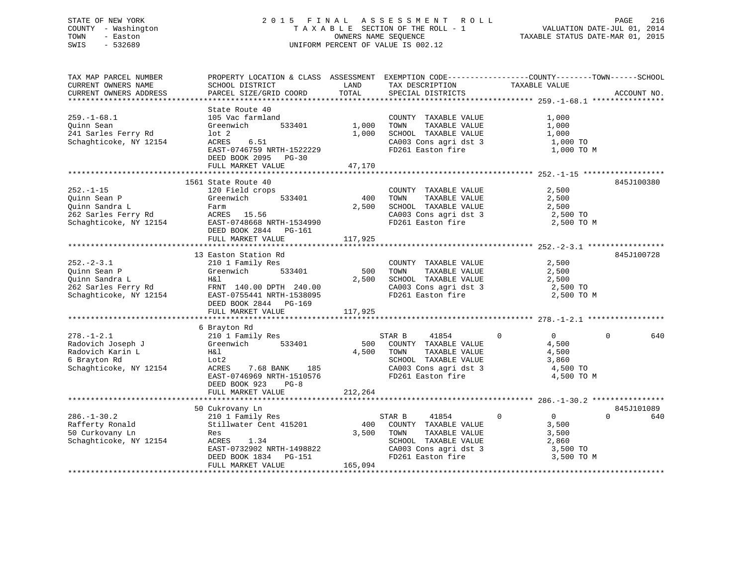# STATE OF NEW YORK 2 0 1 5 F I N A L A S S E S S M E N T R O L L PAGE 216COUNTY - Washington  $T A X A B L E$  SECTION OF THE ROLL - 1<br>TOWN - Easton DATE-JUL 2001 OWNERS NAME SEQUENCE SWIS - 532689 UNIFORM PERCENT OF VALUE IS 002.12

VALUATION DATE-JUL 01, 2014 TAXABLE STATUS DATE-MAR 01, 2015

| TAX MAP PARCEL NUMBER  | PROPERTY LOCATION & CLASS ASSESSMENT EXEMPTION CODE---------------COUNTY-------TOWN-----SCHOOL |         |                       |                               |                 |
|------------------------|------------------------------------------------------------------------------------------------|---------|-----------------------|-------------------------------|-----------------|
| CURRENT OWNERS NAME    | SCHOOL DISTRICT                                                                                | LAND    | TAX DESCRIPTION       | TAXABLE VALUE                 |                 |
| CURRENT OWNERS ADDRESS | PARCEL SIZE/GRID COORD                                                                         | TOTAL   | SPECIAL DISTRICTS     |                               | ACCOUNT NO.     |
|                        |                                                                                                |         |                       |                               |                 |
|                        | State Route 40                                                                                 |         |                       |                               |                 |
| $259. - 1 - 68.1$      | 105 Vac farmland                                                                               |         | COUNTY TAXABLE VALUE  | 1,000                         |                 |
| Ouinn Sean             | Greenwich<br>533401                                                                            | 1,000   | TAXABLE VALUE<br>TOWN | 1,000                         |                 |
| 241 Sarles Ferry Rd    | $1$ ot $2$                                                                                     | 1,000   | SCHOOL TAXABLE VALUE  | 1,000                         |                 |
| Schaghticoke, NY 12154 | 6.51<br>ACRES                                                                                  |         | CA003 Cons agri dst 3 | 1,000 TO                      |                 |
|                        | EAST-0746759 NRTH-1522229                                                                      |         | FD261 Easton fire     | 1,000 TO M                    |                 |
|                        | DEED BOOK 2095 PG-30                                                                           |         |                       |                               |                 |
|                        | FULL MARKET VALUE                                                                              | 47,170  |                       |                               |                 |
|                        |                                                                                                |         |                       |                               |                 |
|                        |                                                                                                |         |                       |                               |                 |
|                        | 1561 State Route 40                                                                            |         |                       |                               | 845J100380      |
| $252. - 1 - 15$        | 120 Field crops                                                                                |         | COUNTY TAXABLE VALUE  | 2,500                         |                 |
| Quinn Sean P           | Greenwich<br>533401                                                                            | 400     | TAXABLE VALUE<br>TOWN | 2,500                         |                 |
| Quinn Sandra L         | Farm                                                                                           | 2,500   | SCHOOL TAXABLE VALUE  | 2,500                         |                 |
| 262 Sarles Ferry Rd    | ACRES 15.56                                                                                    |         | CA003 Cons agri dst 3 | 2,500 TO                      |                 |
| Schaghticoke, NY 12154 | EAST-0748668 NRTH-1534990                                                                      |         | FD261 Easton fire     | 2,500 TO M                    |                 |
|                        | DEED BOOK 2844 PG-161                                                                          |         |                       |                               |                 |
|                        | FULL MARKET VALUE                                                                              | 117,925 |                       |                               |                 |
|                        |                                                                                                |         |                       |                               |                 |
|                        | 13 Easton Station Rd                                                                           |         |                       |                               | 845J100728      |
| $252 - 2 - 3.1$        | 210 1 Family Res                                                                               |         | COUNTY TAXABLE VALUE  | 2,500                         |                 |
| Quinn Sean P           | 533401<br>Greenwich                                                                            | 500     | TAXABLE VALUE<br>TOWN | 2,500                         |                 |
| Quinn Sandra L         | H&l                                                                                            | 2,500   | SCHOOL TAXABLE VALUE  | 2,500                         |                 |
| 262 Sarles Ferry Rd    | FRNT 140.00 DPTH 240.00                                                                        |         | CA003 Cons agri dst 3 | 2,500 TO                      |                 |
| Schaghticoke, NY 12154 | EAST-0755441 NRTH-1538095                                                                      |         | FD261 Easton fire     | 2,500 TO M                    |                 |
|                        | DEED BOOK 2844<br>PG-169                                                                       |         |                       |                               |                 |
|                        | FULL MARKET VALUE                                                                              | 117,925 |                       |                               |                 |
|                        |                                                                                                |         |                       |                               |                 |
|                        | 6 Brayton Rd                                                                                   |         |                       |                               |                 |
| $278. - 1 - 2.1$       | 210 1 Family Res                                                                               |         | 41854<br>STAR B       | $\overline{0}$<br>$\mathbf 0$ | 640<br>$\Omega$ |
| Radovich Joseph J      | Greenwich<br>533401                                                                            | 500     | COUNTY TAXABLE VALUE  | 4,500                         |                 |
| Radovich Karin L       | H&l                                                                                            | 4,500   | TOWN<br>TAXABLE VALUE | 4,500                         |                 |
| 6 Brayton Rd           | Lot2                                                                                           |         | SCHOOL TAXABLE VALUE  | 3,860                         |                 |
| Schaghticoke, NY 12154 | 7.68 BANK<br>ACRES<br>185                                                                      |         | CA003 Cons agri dst 3 | 4,500 TO                      |                 |
|                        | EAST-0746969 NRTH-1510576                                                                      |         | FD261 Easton fire     | 4,500 TO M                    |                 |
|                        | DEED BOOK 923<br>$PG-8$                                                                        |         |                       |                               |                 |
|                        | FULL MARKET VALUE                                                                              | 212,264 |                       |                               |                 |
|                        |                                                                                                |         |                       |                               |                 |
|                        |                                                                                                |         |                       |                               |                 |
|                        | 50 Cukrovany Ln                                                                                |         |                       |                               | 845J101089      |
| $286. - 1 - 30.2$      | 210 1 Family Res                                                                               |         | STAR B<br>41854       | $\overline{0}$<br>$\mathbf 0$ | $\Omega$<br>640 |
| Rafferty Ronald        | Stillwater Cent 415201                                                                         | 400     | COUNTY TAXABLE VALUE  | 3,500                         |                 |
| 50 Curkovany Ln        | Res                                                                                            | 3,500   | TOWN<br>TAXABLE VALUE | 3,500                         |                 |
| Schaghticoke, NY 12154 | ACRES<br>1.34                                                                                  |         | SCHOOL TAXABLE VALUE  | 2,860                         |                 |
|                        | EAST-0732902 NRTH-1498822                                                                      |         | CA003 Cons agri dst 3 | 3,500 TO                      |                 |
|                        | DEED BOOK 1834<br>PG-151                                                                       |         | FD261 Easton fire     | 3,500 TO M                    |                 |
|                        | FULL MARKET VALUE                                                                              | 165,094 |                       |                               |                 |
|                        |                                                                                                |         |                       |                               |                 |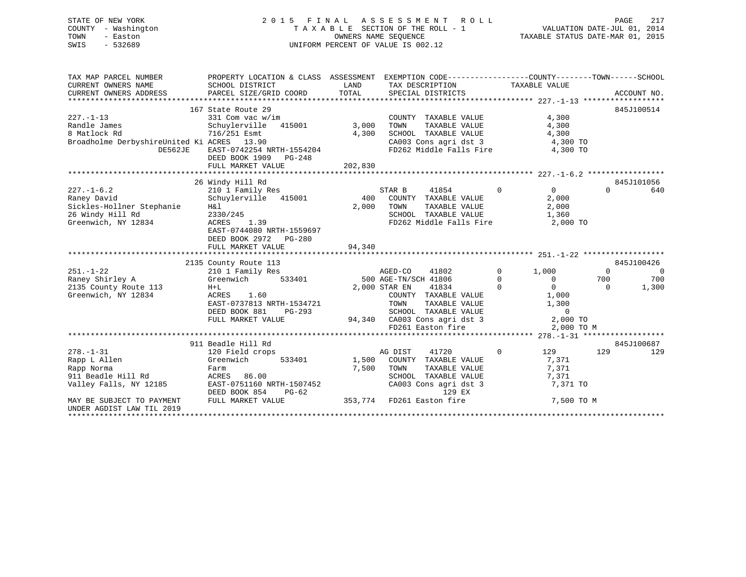# STATE OF NEW YORK 2 0 1 5 F I N A L A S S E S S M E N T R O L L PAGE 217 COUNTY - Washington T A X A B L E SECTION OF THE ROLL - 1 VALUATION DATE-JUL 01, 2014 TOWN - Easton OWNERS NAME SEQUENCE TAXABLE STATUS DATE-MAR 01, 2015 SWIS - 532689 UNIFORM PERCENT OF VALUE IS 002.12

| TAX MAP PARCEL NUMBER                                                | PROPERTY LOCATION & CLASS ASSESSMENT EXEMPTION CODE---------------COUNTY-------TOWN-----SCHOOL |            |                                                                                                           |                                                        |                |                |
|----------------------------------------------------------------------|------------------------------------------------------------------------------------------------|------------|-----------------------------------------------------------------------------------------------------------|--------------------------------------------------------|----------------|----------------|
| CURRENT OWNERS NAME                                                  | SCHOOL DISTRICT                                                                                |            | LAND TAX DESCRIPTION                                                                                      | TAXABLE VALUE                                          |                |                |
| CURRENT OWNERS ADDRESS                                               |                                                                                                |            |                                                                                                           |                                                        |                |                |
|                                                                      |                                                                                                |            |                                                                                                           |                                                        |                |                |
|                                                                      | 167 State Route 29                                                                             |            |                                                                                                           |                                                        | 845J100514     |                |
| $227. - 1 - 13$                                                      | 331 Com vac w/im                                                                               |            | COUNTY TAXABLE VALUE                                                                                      | 4,300                                                  |                |                |
| Randle James                                                         | Schuylerville 415001 3,000 TOWN                                                                |            | TAXABLE VALUE                                                                                             | 4,300                                                  |                |                |
| 8 Matlock Rd                                                         | 716/251 Esmt                                                                                   |            | 4,300 SCHOOL TAXABLE VALUE 4,300                                                                          |                                                        |                |                |
| Broadholme DerbyshireUnited Ki ACRES 13.90                           |                                                                                                |            | CA003 Cons agri dst 3 (and 3) 4,300 TO<br>FD262 Middle Falls Fire (4,300 TO                               |                                                        |                |                |
| DE562JE                                                              | EAST-0742254 NRTH-1554204                                                                      |            |                                                                                                           |                                                        |                |                |
|                                                                      | DEED BOOK 1909 PG-248                                                                          |            |                                                                                                           |                                                        |                |                |
|                                                                      | FULL MARKET VALUE                                                                              | 202,830    |                                                                                                           |                                                        |                |                |
|                                                                      |                                                                                                |            |                                                                                                           |                                                        |                |                |
|                                                                      | 26 Windy Hill Rd                                                                               |            |                                                                                                           |                                                        | 845J101056     |                |
| $227. - 1 - 6.2$                                                     | 210 1 Family Res<br>Schuylerville 415001 400 COUNTY TAXABLE VALUE                              |            |                                                                                                           | $\begin{array}{ccc} & & & 0 & \quad & & 0 \end{array}$ | $\Omega$       | 640            |
| Raney David                                                          |                                                                                                |            |                                                                                                           | 2,000<br>2,000                                         |                |                |
| Sickles-Hollner Stephanie<br>26 Windy Hill Rd<br>Greenwich, NY 12834 | H&l                                                                                            |            | 2,000 TOWN<br>TAXABLE VALUE                                                                               |                                                        |                |                |
|                                                                      | 2330/245<br>$ACRES$ 1.39                                                                       |            | SCHOOL TAXABLE VALUE<br>FD262 Middle Falls Fire 2,000 TO                                                  |                                                        |                |                |
|                                                                      |                                                                                                |            |                                                                                                           |                                                        |                |                |
|                                                                      | EAST-0744080 NRTH-1559697<br>DEED BOOK 2972    PG-280                                          |            |                                                                                                           |                                                        |                |                |
|                                                                      | FULL MARKET VALUE                                                                              | 94,340     |                                                                                                           |                                                        |                |                |
|                                                                      |                                                                                                |            |                                                                                                           |                                                        |                |                |
|                                                                      |                                                                                                |            |                                                                                                           |                                                        | 845J100426     |                |
| $251. - 1 - 22$                                                      | 2135 County Route 113<br>210 1 Family Res<br>Greenwich 533401                                  |            |                                                                                                           |                                                        | $\overline{0}$ | $\overline{0}$ |
| Raney Shirley A                                                      |                                                                                                |            |                                                                                                           |                                                        | 700            | 700            |
| $H + L$<br>2135 County Route 113                                     |                                                                                                |            | AGED-CO 41802 0 1,000<br>500 AGE-TN/SCH 41806 0 0<br>2,000 STAR EN 41834 0 0                              |                                                        | $\overline{0}$ | 1,300          |
| Greenwich, NY 12834                                                  | ACRES 1.60                                                                                     |            | COUNTY TAXABLE VALUE 1,000                                                                                |                                                        |                |                |
|                                                                      | EAST-0737813 NRTH-1534721                                                                      |            |                                                                                                           |                                                        |                |                |
|                                                                      | DEED BOOK 881 PG-293                                                                           |            | 1534721 TOWN TAXABLE VALUE 1,300<br>G-293 SCHOOL TAXABLE VALUE 0<br>94,340 CA003 Cons agri dst 3 2,000 TO |                                                        |                |                |
|                                                                      | FULL MARKET VALUE                                                                              |            |                                                                                                           |                                                        |                |                |
|                                                                      |                                                                                                |            | FD261 Easton fire                                                                                         | 2,000 TO M                                             |                |                |
|                                                                      |                                                                                                |            |                                                                                                           |                                                        |                |                |
|                                                                      | 911 Beadle Hill Rd                                                                             |            |                                                                                                           |                                                        | 845J100687     |                |
| $278. - 1 - 31$                                                      | 120 Field crops                                                                                | AG DIST    | 41720                                                                                                     | $0$ and $129$ and $129$                                |                | 129            |
| Rapp L Allen                                                         | Greenwich 533401 1,500 COUNTY TAXABLE VALUE                                                    |            |                                                                                                           | 7,371                                                  |                |                |
|                                                                      |                                                                                                | 7,500 TOWN | TAXABLE VALUE                                                                                             | 7,371                                                  |                |                |
|                                                                      |                                                                                                |            | SCHOOL TAXABLE VALUE<br>CA003 Cons agri dst 3                                                             | 7,371                                                  |                |                |
|                                                                      |                                                                                                |            |                                                                                                           | 7,371 TO                                               |                |                |
|                                                                      | DEED BOOK 854                                                                                  |            | PG-62<br>LUE 353,774 FD261 Easton fire<br>353,774 FD261 Easton fire                                       |                                                        |                |                |
| MAY BE SUBJECT TO PAYMENT                                            | FULL MARKET VALUE                                                                              |            |                                                                                                           | 7,500 TO M                                             |                |                |
| UNDER AGDIST LAW TIL 2019                                            |                                                                                                |            |                                                                                                           |                                                        |                |                |
|                                                                      |                                                                                                |            |                                                                                                           |                                                        |                |                |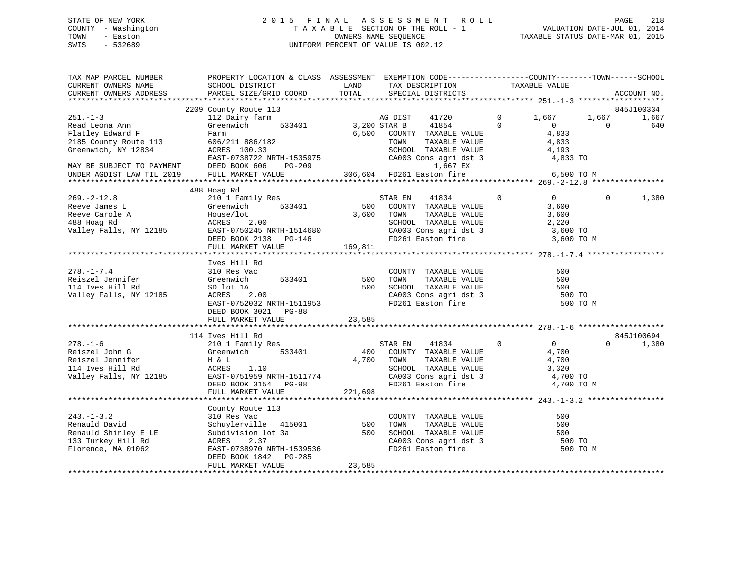# STATE OF NEW YORK 2 0 1 5 F I N A L A S S E S S M E N T R O L L PAGE 218 COUNTY - Washington T A X A B L E SECTION OF THE ROLL - 1 VALUATION DATE-JUL 01, 2014 TOWN - Easton OWNERS NAME SEQUENCE TAXABLE STATUS DATE-MAR 01, 2015 SWIS - 532689 UNIFORM PERCENT OF VALUE IS 002.12

| TAX MAP PARCEL NUMBER<br>CURRENT OWNERS NAME<br>CURRENT OWNERS ADDRESS             | PROPERTY LOCATION & CLASS ASSESSMENT EXEMPTION CODE-----------------COUNTY-------TOWN------SCHOOL<br>SCHOOL DISTRICT<br>PARCEL SIZE/GRID COORD                                                                                                                                                                                                                                                                                                                                                 | <b>EXAMPLE SERVICE SERVICE SERVICE SERVICE SERVICE SERVICE SERVICE SERVICE SERVICE SERVICE SERVICE SERVICE SERVICE</b><br>TOTAL | TAX DESCRIPTION TAXABLE VALUE<br>SPECIAL DISTRICTS                                                                                                                                                                                                                                                                                                               |                                            | ACCOUNT NO.                       |
|------------------------------------------------------------------------------------|------------------------------------------------------------------------------------------------------------------------------------------------------------------------------------------------------------------------------------------------------------------------------------------------------------------------------------------------------------------------------------------------------------------------------------------------------------------------------------------------|---------------------------------------------------------------------------------------------------------------------------------|------------------------------------------------------------------------------------------------------------------------------------------------------------------------------------------------------------------------------------------------------------------------------------------------------------------------------------------------------------------|--------------------------------------------|-----------------------------------|
|                                                                                    | 2209 County Route 113                                                                                                                                                                                                                                                                                                                                                                                                                                                                          |                                                                                                                                 |                                                                                                                                                                                                                                                                                                                                                                  |                                            | 845J100334                        |
| $251. - 1 - 3$<br>Read Leona Ann<br>Flatley Edward F<br>2185 County Route 113      | 112 Dairy farm<br>Greenwich 533401 3,200 STAR B<br>Farm                                                                                                                                                                                                                                                                                                                                                                                                                                        | B<br>AG DIST                                                                                                                    | 41720<br>41854<br>$\begin{tabular}{lllllllll} 6,500 & \multicolumn{3}{l}{{\bf C}\mbox{O}\mbox{UNTY}} & \multicolumn{3}{l}{\bf TAXABLE} & \multicolumn{3}{l}{\bf VALUE} & & \multicolumn{3}{l}{\bf 4,833} \\ & \multicolumn{3}{l}{\bf TOWN} & \multicolumn{3}{l}{\bf TAXABLE} & \multicolumn{3}{l}{\bf VALUE} & & \multicolumn{3}{l}{\bf 4,833} \\ \end{tabular}$ | $0 \t 1,667$<br>$\Omega$<br>$\overline{0}$ | 1,667<br>1,667<br>640<br>$\Omega$ |
|                                                                                    | 606/211 886/182<br>ACRES 100.33<br>Greenwich, NY 12834 ACRES 100.33 SCHOOL TAXABLE VALUE 4,193<br>EAST-0738722 NRTH-1535975 CA003 Cons agri dst 3 4,833 TO<br>MAY BE SUBJECT TO PAYMENT DEED BOOK 606 PG-209 1,667 EX<br>UNDER AGDIST LAW TIL 2019 FULL MARKET VALUE 30                                                                                                                                                                                                                        |                                                                                                                                 |                                                                                                                                                                                                                                                                                                                                                                  |                                            |                                   |
|                                                                                    |                                                                                                                                                                                                                                                                                                                                                                                                                                                                                                |                                                                                                                                 |                                                                                                                                                                                                                                                                                                                                                                  |                                            |                                   |
|                                                                                    |                                                                                                                                                                                                                                                                                                                                                                                                                                                                                                |                                                                                                                                 |                                                                                                                                                                                                                                                                                                                                                                  |                                            |                                   |
| $269. - 2 - 12.8$                                                                  | 488 Hoag Rd                                                                                                                                                                                                                                                                                                                                                                                                                                                                                    |                                                                                                                                 |                                                                                                                                                                                                                                                                                                                                                                  | $\overline{0}$<br>$\overline{0}$           |                                   |
|                                                                                    |                                                                                                                                                                                                                                                                                                                                                                                                                                                                                                |                                                                                                                                 |                                                                                                                                                                                                                                                                                                                                                                  |                                            |                                   |
|                                                                                    |                                                                                                                                                                                                                                                                                                                                                                                                                                                                                                |                                                                                                                                 |                                                                                                                                                                                                                                                                                                                                                                  |                                            |                                   |
| $278. - 1 - 7.4$<br>Reiszel Jennifer<br>114 Ives Hill Rd<br>Valley Falls, NY 12185 | Ives Hill Rd<br>Example 12185<br>12185<br>12185<br>12185<br>2.00<br>Greenwich 533401 500 COUNTY TAXABLE VALUE<br>SD TOWN TAXABLE VALUE<br>ACRES 2.00 500 SCHOOL TAXABLE VALUE<br>RAST-02333 WWW 1555552<br>EAST-0752032 NRTH-1511953<br>DEED BOOK 3021 PG-88                                                                                                                                                                                                                                   |                                                                                                                                 | CA003 Cons agri dst 3<br>FD261 Easton fire                                                                                                                                                                                                                                                                                                                       | 500<br>500<br>500<br>500 TO<br>500 TO M    |                                   |
|                                                                                    | FULL MARKET VALUE                                                                                                                                                                                                                                                                                                                                                                                                                                                                              | 23,585                                                                                                                          |                                                                                                                                                                                                                                                                                                                                                                  |                                            |                                   |
|                                                                                    | 114 Ives Hill Rd                                                                                                                                                                                                                                                                                                                                                                                                                                                                               |                                                                                                                                 |                                                                                                                                                                                                                                                                                                                                                                  |                                            | 845J100694                        |
| $278. - 1 - 6$                                                                     | And the state of the state of the state of the state of the state of the state of the state of the state of the state of the state of the state of the state of the state of the state of the state of the state of the state<br>FULL MARKET VALUE                                                                                                                                                                                                                                             | 221,698                                                                                                                         |                                                                                                                                                                                                                                                                                                                                                                  | 4,700 TO<br>4,700 TO M                     | 1,380<br>$\Omega$ and $\Omega$    |
|                                                                                    |                                                                                                                                                                                                                                                                                                                                                                                                                                                                                                |                                                                                                                                 |                                                                                                                                                                                                                                                                                                                                                                  |                                            |                                   |
|                                                                                    | $\begin{tabular}{lllllllllllll} \multicolumn{3}{c}{243.-1-3.2} & \multicolumn{3}{c}{\texttt{Country Route}} & 113 & \multicolumn{3}{c}{\texttt{Country Route}} & 113 & \multicolumn{3}{c}{\texttt{COUNTY TAXABLE VALUE}} & 243. \\ \multicolumn{3}{c}{\texttt{Renauld David}} & \multicolumn{3}{c}{\texttt{Schuylerville}} & 415001 & 500 & \multicolumn{3}{c}{\texttt{TONNY}} & \multicolumn{3}{c}{\texttt{TXABLE VALUE}} & \multicolumn{3}{c}{\texttt{RANBLE VALUE}} & \multicolumn{3}{c}{\$ |                                                                                                                                 |                                                                                                                                                                                                                                                                                                                                                                  | 500<br>500<br>500<br>500 TO                | 500 TO M                          |
|                                                                                    | DEED BOOK 1842    PG-285<br>FULL MARKET VALUE                                                                                                                                                                                                                                                                                                                                                                                                                                                  | 23,585                                                                                                                          |                                                                                                                                                                                                                                                                                                                                                                  |                                            |                                   |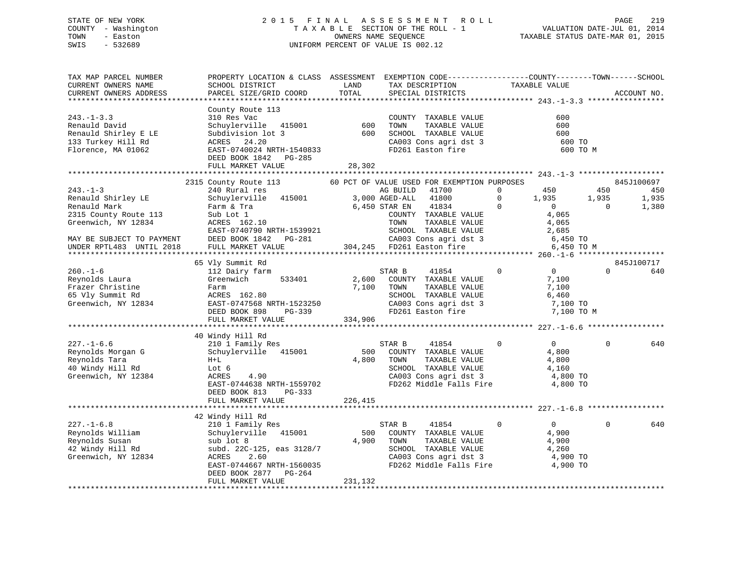# STATE OF NEW YORK 2 0 1 5 F I N A L A S S E S S M E N T R O L L PAGE 219 COUNTY - Washington T A X A B L E SECTION OF THE ROLL - 1 VALUATION DATE-JUL 01, 2014 TOWN - Easton OWNERS NAME SEQUENCE TAXABLE STATUS DATE-MAR 01, 2015 SWIS - 532689 UNIFORM PERCENT OF VALUE IS 002.12

| TAX MAP PARCEL NUMBER<br>CURRENT OWNERS NAME                                                                                                                  | PROPERTY LOCATION & CLASS ASSESSMENT EXEMPTION CODE---------------COUNTY-------TOWN-----SCHOOL<br>SCHOOL DISTRICT                                                             | LAND                      | TAX DESCRIPTION                                                                                                                                                                           | TAXABLE VALUE                                                                                                                         |                          |                       |
|---------------------------------------------------------------------------------------------------------------------------------------------------------------|-------------------------------------------------------------------------------------------------------------------------------------------------------------------------------|---------------------------|-------------------------------------------------------------------------------------------------------------------------------------------------------------------------------------------|---------------------------------------------------------------------------------------------------------------------------------------|--------------------------|-----------------------|
| CURRENT OWNERS ADDRESS                                                                                                                                        | PARCEL SIZE/GRID COORD                                                                                                                                                        | TOTAL                     | SPECIAL DISTRICTS                                                                                                                                                                         |                                                                                                                                       |                          | ACCOUNT NO.           |
|                                                                                                                                                               |                                                                                                                                                                               |                           |                                                                                                                                                                                           |                                                                                                                                       |                          |                       |
| $243. -1 - 3.3$<br>Renauld David<br>Renauld Shirley E LE<br>133 Turkey Hill Rd<br>Florence, MA 01062                                                          | County Route 113<br>310 Res Vac<br>sit hes vas<br>415001<br>Subdivision lot 3<br>24.20<br>ACRES<br>EAST-0740024 NRTH-1540833<br>DEED BOOK 1842 PG-285<br>FULL MARKET VALUE    | 600<br>600<br>28,302      | COUNTY TAXABLE VALUE<br>TOWN<br>TAXABLE VALUE<br>SCHOOL TAXABLE VALUE<br>SCHOOL TAXABLE VALUE<br>CA003 Cons agri dst 3<br>FD261 Easton fire                                               | 600<br>600<br>600<br>600 TO                                                                                                           | 600 TO M                 |                       |
|                                                                                                                                                               |                                                                                                                                                                               |                           |                                                                                                                                                                                           |                                                                                                                                       |                          |                       |
|                                                                                                                                                               | 2315 County Route 113                                                                                                                                                         |                           | 60 PCT OF VALUE USED FOR EXEMPTION PURPOSES                                                                                                                                               |                                                                                                                                       |                          | 845J100697            |
| $243. - 1 - 3$<br>Renauld Shirley LE<br>Renauld Mark<br>2315 County Route 113<br>Greenwich, NY 12834<br>MAY BE SUBJECT TO PAYMENT<br>UNDER RPTL483 UNTIL 2018 | 240 Rural res<br>Schuylerville 415001 3,000 AGED-ALL<br>Farm & Tra<br>Sub Lot 1<br>ACRES 162.10<br>EAST-0740790 NRTH-1539921<br>DEED BOOK 1842 PG-281<br>FULL MARKET VALUE    |                           | 41700<br>AG BUILD<br>41800<br>41834<br>6,450 STAR EN<br>COUNTY TAXABLE VALUE<br>TOWN<br>TAXABLE VALUE<br>SCHOOL TAXABLE VALUE<br>3-281 CA003 Cons agri dst 3<br>304,245 FD261 Easton fire | 450<br>$\mathbf{0}$<br>$\overline{0}$<br>1,935<br>$\mathbf{0}$<br>$\overline{0}$<br>4,065<br>4,065<br>2,685<br>6,450 TO<br>6,450 TO M | 450<br>1,935<br>$\Omega$ | 450<br>1,935<br>1,380 |
|                                                                                                                                                               |                                                                                                                                                                               |                           |                                                                                                                                                                                           |                                                                                                                                       |                          |                       |
|                                                                                                                                                               | 65 Vly Summit Rd                                                                                                                                                              |                           |                                                                                                                                                                                           |                                                                                                                                       |                          | 845J100717            |
| $260. - 1 - 6$<br>Reynolds Laura<br>Frazer Christine<br>65 Vly Summit Rd<br>Greenwich, NY 12834                                                               | 112 Dairy farm<br>Greenwich<br>533401<br>Farm<br>ACRES 162.80<br>EAST-0747568 NRTH-1523250<br>DEED BOOK 898<br>PG-339<br>FULL MARKET VALUE                                    | 2,600<br>7,100<br>334,906 | STAR B<br>41854<br>COUNTY TAXABLE VALUE<br>TOWN<br>TAXABLE VALUE<br>SCHOOL TAXABLE VALUE<br>CA003 Cons agri dst 3<br>FD261 Easton fire                                                    | $\mathbf 0$<br>$\overline{0}$<br>7,100<br>7,100<br>6,460<br>7,100 TO<br>7,100 TO M                                                    | $\Omega$                 | 640                   |
|                                                                                                                                                               |                                                                                                                                                                               |                           |                                                                                                                                                                                           |                                                                                                                                       |                          |                       |
| $227. - 1 - 6.6$<br>Reynolds Morgan G<br>Reynolds Tara<br>40 Windy Hill Rd<br>Greenwich, NY 12384                                                             | 40 Windy Hill Rd<br>210 1 Family Res<br>Schuylerville 415001<br>$H+L$<br>Lot 6<br>ACRES<br>4.90<br>EAST-0744638 NRTH-1559702<br>DEED BOOK 813<br>PG-333                       | 500<br>4,800              | STAR B<br>41854<br>COUNTY TAXABLE VALUE<br>TOWN<br>TAXABLE VALUE<br>SCHOOL TAXABLE VALUE<br>CA003 Cons agri dst 3<br>FD262 Middle Falls Fire                                              | $\overline{0}$<br>$\Omega$<br>4,800<br>4,800<br>4,160<br>4,800 TO<br>4,800 TO                                                         | $\Omega$                 | 640                   |
|                                                                                                                                                               | FULL MARKET VALUE                                                                                                                                                             | 226,415                   |                                                                                                                                                                                           |                                                                                                                                       |                          |                       |
|                                                                                                                                                               |                                                                                                                                                                               |                           |                                                                                                                                                                                           |                                                                                                                                       |                          |                       |
| $227. - 1 - 6.8$<br>Reynolds William<br>Reynolds Susan<br>42 Windy Hill Rd<br>Greenwich, NY 12834                                                             | 42 Windy Hill Rd<br>210 1 Family Res<br>Schuylerville 415001<br>sub lot 8<br>subd. 22C-125, eas 3128/7<br>2.60<br>ACRES<br>EAST-0744667 NRTH-1560035<br>DEED BOOK 2877 PG-264 | 500<br>4,900              | STAR B<br>41854<br>COUNTY TAXABLE VALUE<br>TOWN<br>TAXABLE VALUE<br>SCHOOL TAXABLE VALUE<br>CA003 Cons agri dst 3<br>FD262 Middle Falls Fire 4,900 TO                                     | $\Omega$<br>$\mathbf 0$<br>4,900<br>4,900<br>4,260<br>4,900 TO                                                                        | $\Omega$                 | 640                   |
|                                                                                                                                                               | FULL MARKET VALUE                                                                                                                                                             | 231,132                   |                                                                                                                                                                                           |                                                                                                                                       |                          |                       |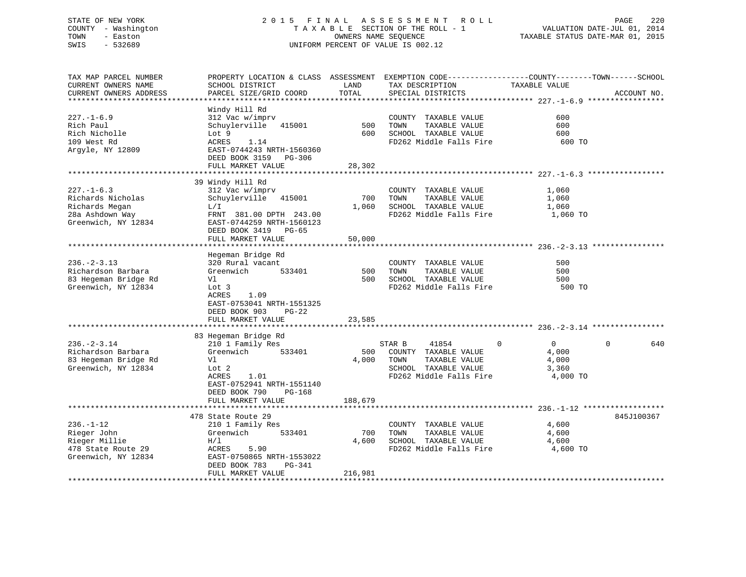# STATE OF NEW YORK 2 0 1 5 F I N A L A S S E S S M E N T R O L L PAGE 220 COUNTY - Washington T A X A B L E SECTION OF THE ROLL - 1 VALUATION DATE-JUL 01, 2014 TOWN - Easton OWNERS NAME SEQUENCE TAXABLE STATUS DATE-MAR 01, 2015 SWIS - 532689 UNIFORM PERCENT OF VALUE IS 002.12

| TAX MAP PARCEL NUMBER<br>CURRENT OWNERS NAME<br>CURRENT OWNERS ADDRESS                            | SCHOOL DISTRICT<br>PARCEL SIZE/GRID COORD                                                                                                                                  | LAND<br>TOTAL          | PROPERTY LOCATION & CLASS ASSESSMENT EXEMPTION CODE-----------------COUNTY-------TOWN-----SCHOOL<br>TAX DESCRIPTION<br>SPECIAL DISTRICTS | TAXABLE VALUE                                         | ACCOUNT NO.     |
|---------------------------------------------------------------------------------------------------|----------------------------------------------------------------------------------------------------------------------------------------------------------------------------|------------------------|------------------------------------------------------------------------------------------------------------------------------------------|-------------------------------------------------------|-----------------|
| $227. - 1 - 6.9$<br>Rich Paul<br>Rich Nicholle<br>109 West Rd<br>Argyle, NY 12809                 | Windy Hill Rd<br>312 Vac w/imprv<br>Schuylerville 415001<br>Lot 9<br>ACRES<br>1.14<br>EAST-0744243 NRTH-1560360<br>DEED BOOK 3159 PG-306<br>FULL MARKET VALUE              | 500<br>600<br>28,302   | COUNTY TAXABLE VALUE<br>TOWN<br>TAXABLE VALUE<br>SCHOOL TAXABLE VALUE<br>FD262 Middle Falls Fire                                         | 600<br>600<br>600<br>600 TO                           |                 |
|                                                                                                   |                                                                                                                                                                            |                        |                                                                                                                                          |                                                       |                 |
| $227. - 1 - 6.3$<br>Richards Nicholas<br>Richards Megan<br>28a Ashdown Way<br>Greenwich, NY 12834 | 39 Windy Hill Rd<br>312 Vac w/imprv<br>Schuylerville 415001<br>L/L<br>FRNT 381.00 DPTH 243.00<br>EAST-0744259 NRTH-1560123<br>DEED BOOK 3419 PG-65<br>FULL MARKET VALUE    | 700<br>1,060<br>50,000 | COUNTY TAXABLE VALUE<br>TOWN<br>TAXABLE VALUE<br>SCHOOL TAXABLE VALUE<br>FD262 Middle Falls Fire                                         | 1,060<br>1,060<br>1,060<br>1,060 TO                   |                 |
|                                                                                                   |                                                                                                                                                                            |                        |                                                                                                                                          |                                                       |                 |
| $236. - 2 - 3.13$<br>Richardson Barbara<br>83 Hegeman Bridge Rd<br>Greenwich, NY 12834            | Hegeman Bridge Rd<br>320 Rural vacant<br>Greenwich<br>533401<br>Vl<br>Lot 3<br>1.09<br>ACRES<br>EAST-0753041 NRTH-1551325<br>DEED BOOK 903<br>$PG-22$<br>FULL MARKET VALUE | 500<br>500<br>23,585   | COUNTY TAXABLE VALUE<br>TOWN<br>TAXABLE VALUE<br>SCHOOL TAXABLE VALUE<br>FD262 Middle Falls Fire                                         | 500<br>500<br>500<br>500 TO                           |                 |
|                                                                                                   |                                                                                                                                                                            |                        |                                                                                                                                          |                                                       |                 |
| $236. - 2 - 3.14$<br>Richardson Barbara<br>83 Hegeman Bridge Rd<br>Greenwich, NY 12834            | 83 Hegeman Bridge Rd<br>210 1 Family Res<br>533401<br>Greenwich<br>Vl<br>Lot <sub>2</sub><br>ACRES<br>1.01<br>EAST-0752941 NRTH-1551140<br>DEED BOOK 790<br>PG-168         | 500<br>4,000           | 41854<br>STAR B<br>$\Omega$<br>COUNTY TAXABLE VALUE<br>TOWN<br>TAXABLE VALUE<br>SCHOOL TAXABLE VALUE<br>FD262 Middle Falls Fire          | $\overline{0}$<br>4,000<br>4,000<br>3,360<br>4,000 TO | $\Omega$<br>640 |
|                                                                                                   | FULL MARKET VALUE                                                                                                                                                          | 188,679                |                                                                                                                                          |                                                       |                 |
| $236. - 1 - 12$<br>Rieger John<br>Rieger Millie<br>478 State Route 29<br>Greenwich, NY 12834      | 478 State Route 29<br>210 1 Family Res<br>Greenwich<br>533401<br>H/L<br>ACRES<br>5.90<br>EAST-0750865 NRTH-1553022<br>DEED BOOK 783<br>PG-341                              | 700<br>4,600           | COUNTY TAXABLE VALUE<br>TOWN<br>TAXABLE VALUE<br>SCHOOL TAXABLE VALUE<br>FD262 Middle Falls Fire                                         | 4,600<br>4,600<br>4,600<br>4,600 TO                   | 845J100367      |
|                                                                                                   | FULL MARKET VALUE                                                                                                                                                          | 216,981                |                                                                                                                                          |                                                       |                 |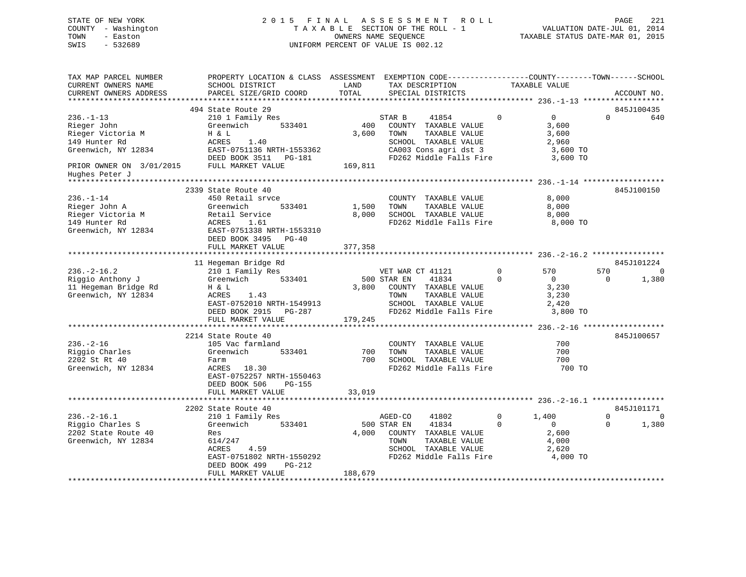#### STATE OF NEW YORK 2 0 1 5 F I N A L A S S E S S M E N T R O L L PAGE 221COUNTY - Washington T A X A B L E SECTION OF THE ROLL - 1 TOWN - Easton **CONNERS NAME SEQUENCE** TAXABLE STATUS DATE-MAR 01, 2015 SWIS - 532689 UNIFORM PERCENT OF VALUE IS 002.12

| TAX MAP PARCEL NUMBER<br>CURRENT OWNERS NAME<br>CURRENT OWNERS ADDRESS                                                  | PROPERTY LOCATION & CLASS ASSESSMENT<br>SCHOOL DISTRICT<br>PARCEL SIZE/GRID COORD                                                                                            | LAND<br>TOTAL           | EXEMPTION CODE-----------------COUNTY-------TOWN------SCHOOL<br>TAX DESCRIPTION<br>SPECIAL DISTRICTS                                         | TAXABLE VALUE                                                               | ACCOUNT NO.                                                     |
|-------------------------------------------------------------------------------------------------------------------------|------------------------------------------------------------------------------------------------------------------------------------------------------------------------------|-------------------------|----------------------------------------------------------------------------------------------------------------------------------------------|-----------------------------------------------------------------------------|-----------------------------------------------------------------|
| *********************                                                                                                   |                                                                                                                                                                              |                         |                                                                                                                                              |                                                                             |                                                                 |
| $236. - 1 - 13$<br>Rieger John<br>Rieger Victoria M<br>149 Hunter Rd<br>Greenwich, NY 12834<br>PRIOR OWNER ON 3/01/2015 | 494 State Route 29<br>210 1 Family Res<br>Greenwich<br>533401<br>H & L<br>ACRES<br>1.40<br>EAST-0751136 NRTH-1553362<br>DEED BOOK 3511 PG-181<br>FULL MARKET VALUE           | 400<br>3,600<br>169,811 | STAR B<br>41854<br>COUNTY TAXABLE VALUE<br>TOWN<br>TAXABLE VALUE<br>SCHOOL TAXABLE VALUE<br>CA003 Cons agri dst 3<br>FD262 Middle Falls Fire | $\Omega$<br>$\overline{0}$<br>3,600<br>3,600<br>2,960                       | 845J100435<br>$\Omega$<br>640<br>3,600 TO<br>3,600 TO           |
| Hughes Peter J                                                                                                          |                                                                                                                                                                              |                         |                                                                                                                                              |                                                                             |                                                                 |
| $236. - 1 - 14$<br>Rieger John A<br>Rieger Victoria M<br>149 Hunter Rd<br>Greenwich, NY 12834                           | 2339 State Route 40<br>450 Retail srvce<br>Greenwich<br>533401<br>Retail Service<br>1.61<br>ACRES<br>EAST-0751338 NRTH-1553310<br>DEED BOOK 3495<br>$PG-40$                  | 1,500<br>8,000          | COUNTY TAXABLE VALUE<br>TOWN<br>TAXABLE VALUE<br>SCHOOL TAXABLE VALUE<br>FD262 Middle Falls Fire                                             | 8,000<br>8,000                                                              | 845J100150<br>8,000<br>8,000 TO                                 |
|                                                                                                                         | FULL MARKET VALUE<br>***************************                                                                                                                             | 377,358                 |                                                                                                                                              |                                                                             |                                                                 |
|                                                                                                                         | 11 Hegeman Bridge Rd                                                                                                                                                         |                         |                                                                                                                                              |                                                                             | 845J101224                                                      |
| $236. -2 - 16.2$<br>Riggio Anthony J<br>11 Hegeman Bridge Rd<br>Greenwich, NY 12834                                     | 210 1 Family Res<br>Greenwich<br>533401<br>H & L<br>ACRES<br>1.43<br>EAST-0752010 NRTH-1549913<br>DEED BOOK 2915<br>PG-287<br>FULL MARKET VALUE                              | 3,800<br>179,245        | VET WAR CT 41121<br>41834<br>500 STAR EN<br>COUNTY TAXABLE VALUE<br>TAXABLE VALUE<br>TOWN<br>SCHOOL TAXABLE VALUE<br>FD262 Middle Falls Fire | $\Omega$<br>570<br>$\mathbf 0$<br>$\Omega$<br>3,230<br>3,230<br>2,420       | 570<br>$\Omega$<br>1,380<br>0<br>3,800 TO                       |
|                                                                                                                         |                                                                                                                                                                              | ********************    |                                                                                                                                              |                                                                             | ********** 236.-2-16 *******************                        |
| $236. - 2 - 16$<br>Riggio Charles<br>2202 St Rt 40<br>Greenwich, NY 12834                                               | 2214 State Route 40<br>105 Vac farmland<br>533401<br>Greenwich<br>Farm<br>ACRES<br>18.30<br>EAST-0752257 NRTH-1550463<br>DEED BOOK 506<br><b>PG-155</b><br>FULL MARKET VALUE | 700<br>700<br>33,019    | COUNTY TAXABLE VALUE<br>TAXABLE VALUE<br>TOWN<br>SCHOOL TAXABLE VALUE<br>FD262 Middle Falls Fire                                             |                                                                             | 845J100657<br>700<br>700<br>700<br>700 TO                       |
|                                                                                                                         |                                                                                                                                                                              |                         |                                                                                                                                              |                                                                             |                                                                 |
| $236. - 2 - 16.1$<br>Riggio Charles S<br>2202 State Route 40<br>Greenwich, NY 12834                                     | 2202 State Route 40<br>210 1 Family Res<br>Greenwich<br>533401<br>Res<br>614/247<br>4.59<br>ACRES<br>EAST-0751802 NRTH-1550292<br>DEED BOOK 499<br>$PG-212$                  | 4,000<br>188,679        | AGED-CO<br>41802<br>41834<br>500 STAR EN<br>COUNTY TAXABLE VALUE<br>TOWN<br>TAXABLE VALUE<br>SCHOOL TAXABLE VALUE<br>FD262 Middle Falls Fire | $\mathbf 0$<br>1,400<br>$\Omega$<br>$\mathbf{0}$<br>2,600<br>4,000<br>2,620 | 845J101171<br>$\mathbf 0$<br>0<br>$\Omega$<br>1,380<br>4,000 TO |
|                                                                                                                         | FULL MARKET VALUE                                                                                                                                                            |                         |                                                                                                                                              |                                                                             |                                                                 |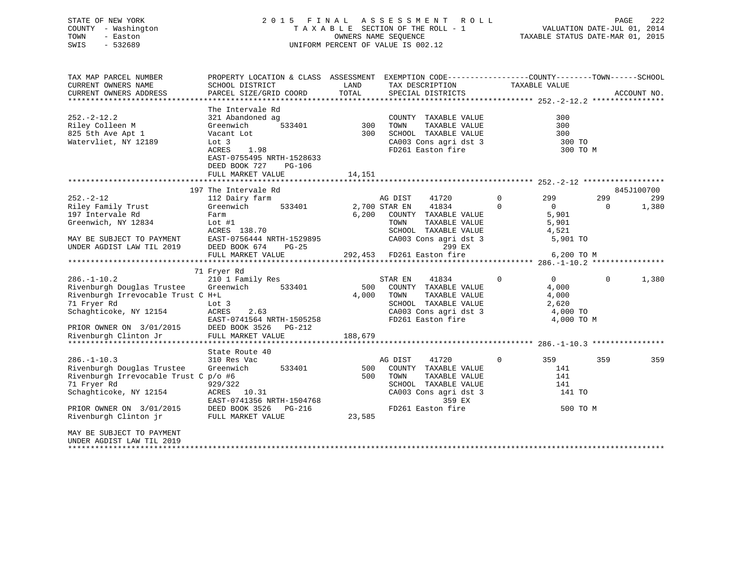# STATE OF NEW YORK 2 0 1 5 F I N A L A S S E S S M E N T R O L L PAGE 222 COUNTY - Washington T A X A B L E SECTION OF THE ROLL - 1 VALUATION DATE-JUL 01, 2014 TOWN - Easton OWNERS NAME SEQUENCE TAXABLE STATUS DATE-MAR 01, 2015 SWIS - 532689 UNIFORM PERCENT OF VALUE IS 002.12

| TAX MAP PARCEL NUMBER                 | PROPERTY LOCATION & CLASS ASSESSMENT |         | EXEMPTION CODE-----------------COUNTY-------TOWN------SCHOOL |                            |          |             |
|---------------------------------------|--------------------------------------|---------|--------------------------------------------------------------|----------------------------|----------|-------------|
| CURRENT OWNERS NAME                   | SCHOOL DISTRICT                      | LAND    | TAX DESCRIPTION                                              | TAXABLE VALUE              |          |             |
| CURRENT OWNERS ADDRESS                | PARCEL SIZE/GRID COORD               | TOTAL   | SPECIAL DISTRICTS                                            |                            |          | ACCOUNT NO. |
|                                       |                                      |         |                                                              |                            |          |             |
|                                       | The Intervale Rd                     |         |                                                              |                            |          |             |
| $252. - 2 - 12.2$                     | 321 Abandoned ag                     |         | COUNTY TAXABLE VALUE                                         | 300                        |          |             |
| Riley Colleen M                       | 533401<br>Greenwich                  | 300     | TOWN<br>TAXABLE VALUE                                        | 300                        |          |             |
| 825 5th Ave Apt 1                     | Vacant Lot                           | 300     | SCHOOL TAXABLE VALUE                                         | 300                        |          |             |
| Watervliet, NY 12189                  | Lot 3                                |         | CA003 Cons agri dst 3                                        | 300 TO                     |          |             |
|                                       | ACRES<br>1.98                        |         | FD261 Easton fire                                            | 300 TO M                   |          |             |
|                                       | EAST-0755495 NRTH-1528633            |         |                                                              |                            |          |             |
|                                       | DEED BOOK 727<br>PG-106              |         |                                                              |                            |          |             |
|                                       | FULL MARKET VALUE                    | 14,151  |                                                              |                            |          |             |
|                                       |                                      |         |                                                              |                            |          |             |
|                                       | 197 The Intervale Rd                 |         |                                                              |                            |          | 845J100700  |
| $252. - 2 - 12$                       | 112 Dairy farm                       |         | AG DIST<br>41720                                             | $\mathbf{0}$<br>299        | 299      | 299         |
| Riley Family Trust                    | 533401<br>Greenwich                  |         | 2,700 STAR EN<br>41834                                       | $\Omega$<br>$\overline{0}$ | $\Omega$ | 1,380       |
| 197 Intervale Rd                      | Farm                                 | 6,200   | COUNTY TAXABLE VALUE                                         | 5,901                      |          |             |
| Greenwich, NY 12834                   | Lot $#1$                             |         | TOWN<br>TAXABLE VALUE                                        | 5,901                      |          |             |
|                                       | ACRES 138.70                         |         | SCHOOL TAXABLE VALUE                                         | 4,521                      |          |             |
| MAY BE SUBJECT TO PAYMENT             | EAST-0756444 NRTH-1529895            |         | CA003 Cons agri dst 3                                        | 5,901 TO                   |          |             |
| UNDER AGDIST LAW TIL 2019             | DEED BOOK 674<br>$PG-25$             |         | 299 EX                                                       |                            |          |             |
|                                       | FULL MARKET VALUE                    |         | 292,453 FD261 Easton fire                                    | 6,200 TO M                 |          |             |
|                                       |                                      |         |                                                              |                            |          |             |
|                                       | 71 Fryer Rd                          |         |                                                              |                            |          |             |
| $286. - 1 - 10.2$                     | 210 1 Family Res                     |         | STAR EN<br>41834                                             | $\mathbf 0$<br>$\Omega$    | $\Omega$ | 1,380       |
| Rivenburgh Douglas Trustee            | Greenwich<br>533401                  | 500     | COUNTY TAXABLE VALUE                                         | 4,000                      |          |             |
| Rivenburgh Irrevocable Trust C H+L    |                                      | 4,000   | TOWN<br>TAXABLE VALUE                                        | 4,000                      |          |             |
| 71 Fryer Rd                           | Lot 3                                |         | SCHOOL TAXABLE VALUE                                         | 2,620                      |          |             |
| Schaghticoke, NY 12154                | ACRES<br>2.63                        |         | CA003 Cons agri dst 3                                        | 4,000 TO                   |          |             |
|                                       | EAST-0741564 NRTH-1505258            |         | FD261 Easton fire                                            | 4,000 TO M                 |          |             |
| PRIOR OWNER ON 3/01/2015              | DEED BOOK 3526<br>$PG-212$           |         |                                                              |                            |          |             |
| Rivenburgh Clinton Jr                 | FULL MARKET VALUE                    | 188,679 |                                                              |                            |          |             |
|                                       |                                      |         |                                                              |                            |          |             |
|                                       | State Route 40                       |         |                                                              |                            |          |             |
| $286. - 1 - 10.3$                     | 310 Res Vac                          |         | AG DIST<br>41720                                             | $\mathbf 0$<br>359         | 359      | 359         |
| Rivenburgh Douglas Trustee            | Greenwich<br>533401                  | 500     | COUNTY TAXABLE VALUE                                         | 141                        |          |             |
| Rivenburgh Irrevocable Trust C p/o #6 |                                      | 500     | TOWN<br>TAXABLE VALUE                                        | 141                        |          |             |
| 71 Fryer Rd                           | 929/322                              |         | SCHOOL TAXABLE VALUE                                         | 141                        |          |             |
| Schaghticoke, NY 12154                | ACRES 10.31                          |         | CA003 Cons agri dst 3                                        | 141 TO                     |          |             |
|                                       | EAST-0741356 NRTH-1504768            |         | 359 EX                                                       |                            |          |             |
| PRIOR OWNER ON 3/01/2015              | DEED BOOK 3526<br>PG-216             |         | FD261 Easton fire                                            | 500 TO M                   |          |             |
|                                       |                                      |         |                                                              |                            |          |             |
| Rivenburgh Clinton jr                 | FULL MARKET VALUE                    | 23,585  |                                                              |                            |          |             |
|                                       |                                      |         |                                                              |                            |          |             |
| MAY BE SUBJECT TO PAYMENT             |                                      |         |                                                              |                            |          |             |
| UNDER AGDIST LAW TIL 2019             |                                      |         |                                                              |                            |          |             |
|                                       |                                      |         |                                                              |                            |          |             |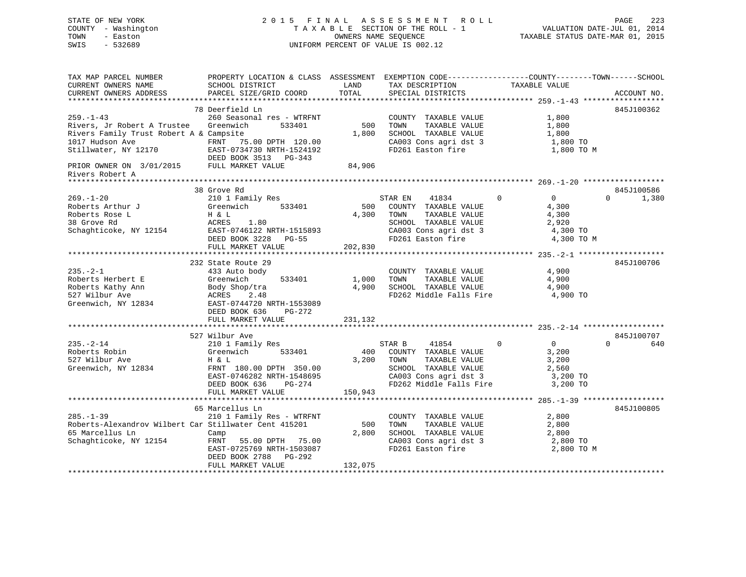# STATE OF NEW YORK 2 0 1 5 F I N A L A S S E S S M E N T R O L L PAGE 223 COUNTY - Washington T A X A B L E SECTION OF THE ROLL - 1 VALUATION DATE-JUL 01, 2014 TOWN - Easton OWNERS NAME SEQUENCE TAXABLE STATUS DATE-MAR 01, 2015 SWIS - 532689 UNIFORM PERCENT OF VALUE IS 002.12

TAX MAP PARCEL NUMBER PROPERTY LOCATION & CLASS ASSESSMENT EXEMPTION CODE------------------COUNTY--------TOWN------SCHOOL

CURRENT OWNERS NAME SCHOOL DISTRICT THE LAND TAX DESCRIPTION TAXABLE VALUE CURRENT OWNERS ADDRESS PARCEL SIZE/GRID COORD TOTAL SPECIAL DISTRICTS ACCOUNT NO. \*\*\*\*\*\*\*\*\*\*\*\*\*\*\*\*\*\*\*\*\*\*\*\*\*\*\*\*\*\*\*\*\*\*\*\*\*\*\*\*\*\*\*\*\*\*\*\*\*\*\*\*\*\*\*\*\*\*\*\*\*\*\*\*\*\*\*\*\*\*\*\*\*\*\*\*\*\*\*\*\*\*\*\*\*\*\*\*\*\*\*\*\*\*\*\*\*\*\*\*\*\*\* 259.-1-43 \*\*\*\*\*\*\*\*\*\*\*\*\*\*\*\*\*\* 78 Deerfield Ln 845J100362259.-1-43 260 Seasonal res - WTRFNT COUNTY TAXABLE VALUE 1,800 Rivers, Jr Robert A Trustee Greenwich 533401 500 TOWN TAXABLE VALUE 1,800 Rivers Family Trust Robert A & Campsite 1,800 SCHOOL TAXABLE VALUE 1,800 1017 Hudson Ave FRNT 75.00 DPTH 120.00 CA003 Cons agri dst 3 1,800 TO Stillwater, NY 12170 EAST-0734730 NRTH-1524192 FD261 Easton fire 1,800 TO M DEED BOOK 3513 PG-343 PRIOR OWNER ON 3/01/2015 FULL MARKET VALUE 84,906 Rivers Robert A \*\*\*\*\*\*\*\*\*\*\*\*\*\*\*\*\*\*\*\*\*\*\*\*\*\*\*\*\*\*\*\*\*\*\*\*\*\*\*\*\*\*\*\*\*\*\*\*\*\*\*\*\*\*\*\*\*\*\*\*\*\*\*\*\*\*\*\*\*\*\*\*\*\*\*\*\*\*\*\*\*\*\*\*\*\*\*\*\*\*\*\*\*\*\*\*\*\*\*\*\*\*\* 269.-1-20 \*\*\*\*\*\*\*\*\*\*\*\*\*\*\*\*\*\* 38 Grove Rd 845J100586 $0 \t 1,380$ 269.-1-20 210 1 Family Res STAR EN 41834 0 0 0 1,380 Roberts Arthur J Greenwich 533401 500 COUNTY TAXABLE VALUE 4,300 Roberts Rose L H & L 4,300 TOWN TAXABLE VALUE 4,300 38 Grove Rd ACRES 1.80 SCHOOL TAXABLE VALUE 2,920 Schaghticoke, NY 12154 EAST-0746122 NRTH-1515893 CA003 Cons agri dst 3 4,300 TO DEED BOOK 3228 PG-55 FD261 Easton fire 4,300 TO M FULL MARKET VALUE 202,830 \*\*\*\*\*\*\*\*\*\*\*\*\*\*\*\*\*\*\*\*\*\*\*\*\*\*\*\*\*\*\*\*\*\*\*\*\*\*\*\*\*\*\*\*\*\*\*\*\*\*\*\*\*\*\*\*\*\*\*\*\*\*\*\*\*\*\*\*\*\*\*\*\*\*\*\*\*\*\*\*\*\*\*\*\*\*\*\*\*\*\*\*\*\*\*\*\*\*\*\*\*\*\* 235.-2-1 \*\*\*\*\*\*\*\*\*\*\*\*\*\*\*\*\*\*\* 232 State Route 29 845J100706235.-2-1 433 Auto body COUNTY TAXABLE VALUE 4,900 Roberts Herbert E Greenwich 533401 1,000 TOWN TAXABLE VALUE 4,900 Roberts Kathy Ann Body Shop/tra 4,900 SCHOOL TAXABLE VALUE 4,900 527 Wilbur Ave ACRES 2.48 FD262 Middle Falls Fire 4,900 TO Greenwich, NY 12834 EAST-0744720 NRTH-1553089 DEED BOOK 636 PG-272FULL MARKET VALUE 231,132 \*\*\*\*\*\*\*\*\*\*\*\*\*\*\*\*\*\*\*\*\*\*\*\*\*\*\*\*\*\*\*\*\*\*\*\*\*\*\*\*\*\*\*\*\*\*\*\*\*\*\*\*\*\*\*\*\*\*\*\*\*\*\*\*\*\*\*\*\*\*\*\*\*\*\*\*\*\*\*\*\*\*\*\*\*\*\*\*\*\*\*\*\*\*\*\*\*\*\*\*\*\*\* 235.-2-14 \*\*\*\*\*\*\*\*\*\*\*\*\*\*\*\*\*\*527 Wilbur Ave 845J100707 235.-2-14 210 1 Family Res STAR B 41854 0 0 0 640 Roberts Robin Greenwich 533401 400 COUNTY TAXABLE VALUE 3,200 527 Wilbur Ave H & L 3,200 TOWN TAXABLE VALUE 3,200 Greenwich, NY 12834 FRNT 180.00 DPTH 350.00 SCHOOL TAXABLE VALUE 2,560 EAST-0746282 NRTH-1548695 CA003 Cons agri dst 3 3,200 TO DEED BOOK 636 PG-274 FD262 Middle Falls Fire 3,200 TO FULL MARKET VALUE 150,943 \*\*\*\*\*\*\*\*\*\*\*\*\*\*\*\*\*\*\*\*\*\*\*\*\*\*\*\*\*\*\*\*\*\*\*\*\*\*\*\*\*\*\*\*\*\*\*\*\*\*\*\*\*\*\*\*\*\*\*\*\*\*\*\*\*\*\*\*\*\*\*\*\*\*\*\*\*\*\*\*\*\*\*\*\*\*\*\*\*\*\*\*\*\*\*\*\*\*\*\*\*\*\* 285.-1-39 \*\*\*\*\*\*\*\*\*\*\*\*\*\*\*\*\*\* 65 Marcellus Ln 845J100805285.-1-39 210 1 Family Res - WTRFNT COUNTY TAXABLE VALUE 2,800 Roberts-Alexandrov Wilbert Car Stillwater Cent 415201 500 TOWN TAXABLE VALUE 2,800 65 Marcellus Ln Camp 2,800 SCHOOL TAXABLE VALUE 2,800 Schaghticoke, NY 12154 FRNT 55.00 DPTH 75.00 CA003 Cons agri dst 3 2,800 TO EAST-0725769 NRTH-1503087 FD261 Easton fire 2,800 TO M DEED BOOK 2788 PG-292DEED BOOK 2700 10222<br>FULL MARKET VALUE 132,075 \*\*\*\*\*\*\*\*\*\*\*\*\*\*\*\*\*\*\*\*\*\*\*\*\*\*\*\*\*\*\*\*\*\*\*\*\*\*\*\*\*\*\*\*\*\*\*\*\*\*\*\*\*\*\*\*\*\*\*\*\*\*\*\*\*\*\*\*\*\*\*\*\*\*\*\*\*\*\*\*\*\*\*\*\*\*\*\*\*\*\*\*\*\*\*\*\*\*\*\*\*\*\*\*\*\*\*\*\*\*\*\*\*\*\*\*\*\*\*\*\*\*\*\*\*\*\*\*\*\*\*\*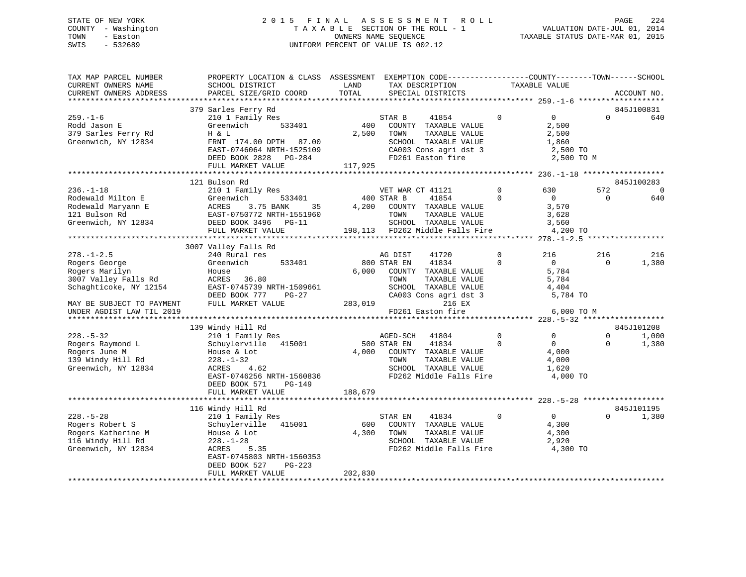# STATE OF NEW YORK 2 0 1 5 F I N A L A S S E S S M E N T R O L L PAGE 224 COUNTY - Washington T A X A B L E SECTION OF THE ROLL - 1 VALUATION DATE-JUL 01, 2014 TOWN - Easton OWNERS NAME SEQUENCE TAXABLE STATUS DATE-MAR 01, 2015 SWIS - 532689 UNIFORM PERCENT OF VALUE IS 002.12

| TAX MAP PARCEL NUMBER<br>CURRENT OWNERS NAME<br>CURRENT OWNERS ADDRESS                                                                                                                                                                                              | SCHOOL DISTRICT<br>PARCEL SIZE/GRID COORD                                                                                                                                                                                                                                                                                                                                                                                                                             | PROPERTY LOCATION & CLASS ASSESSMENT EXEMPTION CODE---------------COUNTY-------TOWN-----SCHOOL<br>LAND<br>TAX DESCRIPTION<br>TOTAL<br>SPECIAL DISTRICTS                                                                                                                                                                                                            | TAXABLE VALUE                                                                                                                                                                                |                                                       | ACCOUNT NO.                                  |
|---------------------------------------------------------------------------------------------------------------------------------------------------------------------------------------------------------------------------------------------------------------------|-----------------------------------------------------------------------------------------------------------------------------------------------------------------------------------------------------------------------------------------------------------------------------------------------------------------------------------------------------------------------------------------------------------------------------------------------------------------------|--------------------------------------------------------------------------------------------------------------------------------------------------------------------------------------------------------------------------------------------------------------------------------------------------------------------------------------------------------------------|----------------------------------------------------------------------------------------------------------------------------------------------------------------------------------------------|-------------------------------------------------------|----------------------------------------------|
|                                                                                                                                                                                                                                                                     |                                                                                                                                                                                                                                                                                                                                                                                                                                                                       |                                                                                                                                                                                                                                                                                                                                                                    |                                                                                                                                                                                              |                                                       |                                              |
| $259. - 1 - 6$<br>Rodd Jason E<br>379 Sarles Ferry Rd<br>Greenwich, NY 12834                                                                                                                                                                                        | 379 Sarles Ferry Rd<br>210 1 Family Res<br>533401<br>Greenwich<br>H & L<br>FRNT 174.00 DPTH 87.00<br>EAST-0746064 NRTH-1525109<br>DEED BOOK 2828 PG-284<br>FULL MARKET VALUE                                                                                                                                                                                                                                                                                          | 41854<br>STAR B<br>400<br>COUNTY TAXABLE VALUE<br>2,500<br>TOWN<br>TAXABLE VALUE<br>SCHOOL TAXABLE VALUE<br>CA003 Cons agri dst 3<br>FD261 Easton fire<br>117,925                                                                                                                                                                                                  | $\mathbf{0}$<br>$\overline{0}$<br>2,500<br>2,500<br>1,860<br>2,500 TO<br>2,500 TO M                                                                                                          | $\Omega$                                              | 845J100831<br>640                            |
|                                                                                                                                                                                                                                                                     |                                                                                                                                                                                                                                                                                                                                                                                                                                                                       |                                                                                                                                                                                                                                                                                                                                                                    |                                                                                                                                                                                              |                                                       |                                              |
| $236. - 1 - 18$<br>Rodewald Milton E<br>Rodewald Maryann E<br>121 Bulson Rd<br>Greenwich, NY 12834                                                                                                                                                                  | 121 Bulson Rd<br>533401<br>$\begin{tabular}{lllllllll} \texttt{E} & & & & & & & & & & & \\ \texttt{E} & & & & & & & & & & \\ \texttt{ACRES} & & & 3.75 \text{ BANK} & & & \\ \texttt{EAST-0750772 NRTH-1551960} & & & & \\ \texttt{DEED BOOK 3496} & & & & & \\ \texttt{DEED BOOK} & & & & & & \\ \texttt{SATE} & & & & & & \\ \texttt{SATE} & & & & & & \\ \texttt{SATE} & & & & & & \\ \texttt{SATE} & & & & & & \\ \texttt{SATE} & & & & & & \\ \texttt{SATE} & &$ | VET WAR CT 41121<br>400 STAR B<br>41854<br>4,200<br>COUNTY TAXABLE VALUE<br>TOWN<br>TAXABLE VALUE<br>SCHOOL TAXABLE VALUE<br>198,113 FD262 Middle Falls Fire                                                                                                                                                                                                       | $\Omega$<br>630<br>$\Omega$<br>$\overline{0}$<br>3,570<br>3,628<br>3,560<br>4,200 TO                                                                                                         | 572<br>$\Omega$                                       | 845J100283<br>- 0<br>640                     |
|                                                                                                                                                                                                                                                                     |                                                                                                                                                                                                                                                                                                                                                                                                                                                                       |                                                                                                                                                                                                                                                                                                                                                                    |                                                                                                                                                                                              |                                                       |                                              |
| $278. - 1 - 2.5$<br>Rogers George<br>Rogers Marilyn<br>3007 Valley Falls Rd<br>Schaghticoke, NY 12154<br>MAY BE SUBJECT TO PAYMENT<br>UNDER AGDIST LAW TIL 2019<br>$228. - 5 - 32$<br>Rogers Raymond L<br>Rogers June M<br>139 Windy Hill Rd<br>Greenwich, NY 12834 | 3007 Valley Falls Rd<br>240 Rural res<br>Greenwich<br>533401<br>House<br>ACRES<br>36.80<br>EAST-0745739 NRTH-1509661<br>DEED BOOK 777<br>$PG-27$<br>FULL MARKET VALUE<br>139 Windy Hill Rd<br>210 1 Family Res<br>Schuylerville 415001<br>House & Lot<br>$228. - 1 - 32$<br>ACRES<br>4.62<br>EAST-0746256 NRTH-1560836<br>DEED BOOK 571<br>PG-149<br>FULL MARKET VALUE                                                                                                | 41720<br>AG DIST<br>800 STAR EN<br>41834<br>6,000<br>COUNTY TAXABLE VALUE<br>TOWN<br>TAXABLE VALUE<br>SCHOOL TAXABLE VALUE<br>CA003 Cons agri dst 3<br>283,019<br>216 EX<br>FD261 Easton fire<br>AGED-SCH<br>41804<br>500 STAR EN<br>41834<br>4,000<br>COUNTY TAXABLE VALUE<br>TOWN<br>TAXABLE VALUE<br>SCHOOL TAXABLE VALUE<br>FD262 Middle Falls Fire<br>188,679 | $\Omega$<br>216<br>$\mathbf 0$<br>$\overline{0}$<br>5,784<br>5,784<br>4,404<br>5,784 TO<br>$\mathbf{0}$<br>$\overline{0}$<br>$\Omega$<br>$\mathbf{0}$<br>4,000<br>4,000<br>1,620<br>4,000 TO | 216<br>$\Omega$<br>6,000 TO M<br>$\Omega$<br>$\Omega$ | 216<br>1,380<br>845J101208<br>1,000<br>1,380 |
| $228. - 5 - 28$<br>Rogers Robert S<br>Rogers Katherine M<br>116 Windy Hill Rd<br>Greenwich, NY 12834                                                                                                                                                                | 116 Windy Hill Rd<br>210 1 Family Res<br>415001<br>Schuylerville<br>House & Lot<br>$228. - 1 - 28$<br>5.35<br>ACRES<br>EAST-0745803 NRTH-1560353<br>DEED BOOK 527<br>PG-223<br>FULL MARKET VALUE                                                                                                                                                                                                                                                                      | STAR EN<br>41834<br>600<br>COUNTY TAXABLE VALUE<br>4,300<br>TOWN<br>TAXABLE VALUE<br>SCHOOL TAXABLE VALUE<br>FD262 Middle Falls Fire<br>202,830                                                                                                                                                                                                                    | $\Omega$<br>$\Omega$<br>4,300<br>4,300<br>2,920<br>4,300 TO                                                                                                                                  | $\Omega$                                              | 845J101195<br>1,380                          |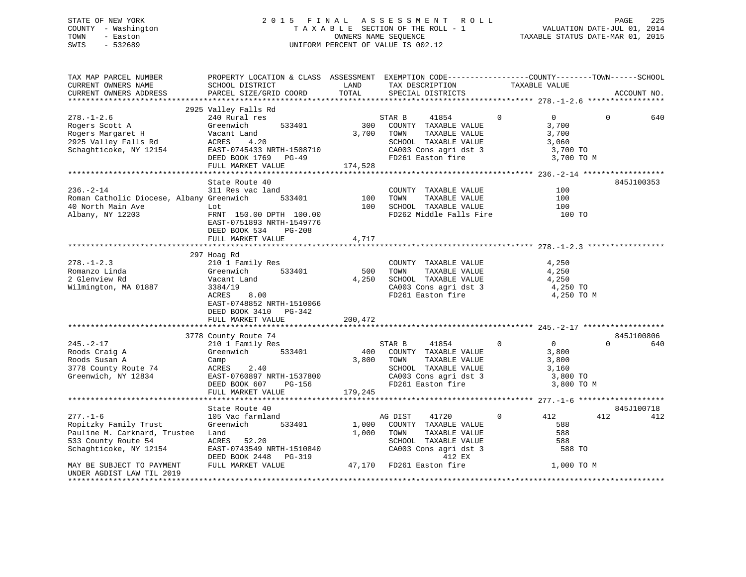# STATE OF NEW YORK 2 0 1 5 F I N A L A S S E S S M E N T R O L L PAGE 225 COUNTY - Washington T A X A B L E SECTION OF THE ROLL - 1 VALUATION DATE-JUL 01, 2014 TOWN - Easton **CONNERS NAME SEQUENCE** TAXABLE STATUS DATE-MAR 01, 2015 SWIS - 532689 UNIFORM PERCENT OF VALUE IS 002.12

| TAX MAP PARCEL NUMBER<br>CURRENT OWNERS NAME<br>CURRENT OWNERS ADDRESS                                                                                                                  | PROPERTY LOCATION & CLASS ASSESSMENT EXEMPTION CODE----------------COUNTY-------TOWN------SCHOOL<br>SCHOOL DISTRICT<br>PARCEL SIZE/GRID COORD                                                                                                                                                                                                              | LAND<br>TOTAL           | TAX DESCRIPTION<br>SPECIAL DISTRICTS                                                                                                                | TAXABLE VALUE                                                                   | ACCOUNT NO.        |
|-----------------------------------------------------------------------------------------------------------------------------------------------------------------------------------------|------------------------------------------------------------------------------------------------------------------------------------------------------------------------------------------------------------------------------------------------------------------------------------------------------------------------------------------------------------|-------------------------|-----------------------------------------------------------------------------------------------------------------------------------------------------|---------------------------------------------------------------------------------|--------------------|
|                                                                                                                                                                                         |                                                                                                                                                                                                                                                                                                                                                            |                         |                                                                                                                                                     |                                                                                 |                    |
| $278. - 1 - 2.6$<br>Rogers Scott A<br>Rogers Margaret H<br>2925 Valley Falls Rd                                                                                                         | 2925 Valley Falls Rd<br>240 Rural res<br>533401<br>Greenwich<br>Vacant Land<br>ACRES 4.20<br>Schaghticoke, NY 12154 EAST-0745433 NRTH-1508710<br>DEED BOOK 1769 PG-49<br>FULL MARKET VALUE                                                                                                                                                                 | 3,700<br>174,528        | STAR B<br>41854<br>300 COUNTY TAXABLE VALUE<br>TOWN<br>TAXABLE VALUE<br>SCHOOL TAXABLE VALUE<br>CA003 Cons agri dst 3 3,700 TO<br>FD261 Easton fire | $\Omega$<br>$\overline{0}$<br>3,700<br>3,700<br>3,060<br>3,700 TO M             | $\mathbf 0$<br>640 |
|                                                                                                                                                                                         |                                                                                                                                                                                                                                                                                                                                                            |                         |                                                                                                                                                     |                                                                                 |                    |
| $236. - 2 - 14$<br>Roman Catholic Diocese, Albany Greenwich<br>40 North Main Ave<br>Albany, NY 12203                                                                                    | State Route 40<br>311 Res vac land<br>533401<br>Lot<br>FRNT 150.00 DPTH 100.00<br>EAST-0751893 NRTH-1549776<br>DEED BOOK 534<br><b>PG-208</b><br>FULL MARKET VALUE                                                                                                                                                                                         | 100<br>100<br>4,717     | COUNTY TAXABLE VALUE<br>FD262 Middle Falls Fire 100 TO                                                                                              | 100<br>100<br>100                                                               | 845J100353         |
|                                                                                                                                                                                         |                                                                                                                                                                                                                                                                                                                                                            |                         |                                                                                                                                                     |                                                                                 |                    |
| $278. - 1 - 2.3$<br>Romanzo Linda<br>2 Glenview Rd<br>Wilmington, MA 01887                                                                                                              | 297 Hoag Rd<br>210 1 Family Res<br>533401<br>Greenwich<br>Vacant Land<br>8.00<br>3384/19<br>ACRES<br>EAST-0748852 NRTH-1510066<br>DEED BOOK 3410 PG-342<br>FULL MARKET VALUE                                                                                                                                                                               | 500<br>4,250<br>200,472 | COUNTY TAXABLE VALUE<br>TOWN<br>TAXABLE VALUE<br>SCHOOL TAXABLE VALUE<br>CA003 Cons agri dst 3<br>FD261 Easton fire                                 | 4,250<br>4,250<br>4,250<br>4,250 TO<br>4,250 TO M                               |                    |
|                                                                                                                                                                                         | 3778 County Route 74                                                                                                                                                                                                                                                                                                                                       |                         |                                                                                                                                                     |                                                                                 | 845J100806         |
| $245. - 2 - 17$<br>Roods Craig A<br>Roods Susan A<br>3778 County Route 74<br>Greenwich, NY 12834                                                                                        | 210 1 Family Res<br>533401<br>Greenwich<br>Camp<br>ACRES<br>2.40<br>EAST-0760897 NRTH-1537800<br>DEED BOOK 607<br>PG-156<br>FULL MARKET VALUE                                                                                                                                                                                                              | 3,800<br>179,245        | STAR B<br>41854<br>400 COUNTY TAXABLE VALUE<br>TOWN<br>TAXABLE VALUE<br>SCHOOL TAXABLE VALUE<br>CA003 Cons agri dst 3<br>FD261 Easton fire          | $\Omega$<br>$\overline{0}$<br>3,800<br>3,800<br>3,160<br>3,800 TO<br>3,800 TO M | $\Omega$<br>640    |
|                                                                                                                                                                                         |                                                                                                                                                                                                                                                                                                                                                            |                         |                                                                                                                                                     |                                                                                 | 845J100718         |
| $277. - 1 - 6$<br>Ropitzky Family Trust<br>Pauline M. Carknard, Trustee Land<br>533 County Route 54<br>Schaghticoke, NY 12154<br>MAY BE SUBJECT TO PAYMENT<br>UNDER AGDIST LAW TIL 2019 | State Route 40<br>105 Vac farmland<br>533401<br>Greenwich<br>ACRES 52.20<br>$\begin{tabular}{lllllllllllll} \texttt{EAST-0743549 NRTH-1510840} & & & & \texttt{CA003 Cons agri dst} \\ \texttt{DEED BOOK 2448} & & & \texttt{PG-319} & & & \texttt{412 EX} \\ \texttt{FULL MARKET VALUE} & & & \texttt{47,170} & \texttt{FD261 Easton fire} \end{tabular}$ | 1,000<br>1,000          | AG DIST<br>41720<br>COUNTY TAXABLE VALUE<br>TOWN<br>TAXABLE VALUE<br>SCHOOL TAXABLE VALUE<br>CA003 Cons agri dst 3                                  | $\overline{0}$<br>412<br>588<br>588<br>588<br>588 TO<br>1,000 TO M              | 412<br>412         |
| ********************                                                                                                                                                                    |                                                                                                                                                                                                                                                                                                                                                            |                         |                                                                                                                                                     |                                                                                 |                    |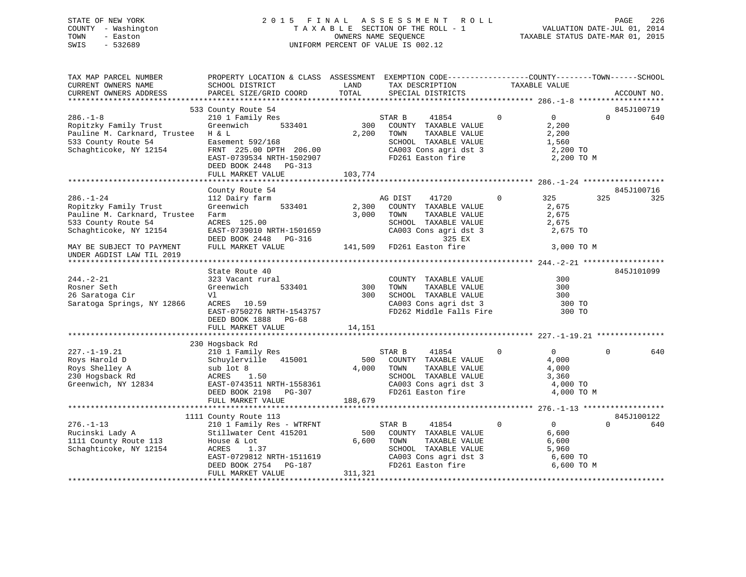# STATE OF NEW YORK 2 0 1 5 F I N A L A S S E S S M E N T R O L L PAGE 226 COUNTY - Washington T A X A B L E SECTION OF THE ROLL - 1 VALUATION DATE-JUL 01, 2014 TOWN - Easton OWNERS NAME SEQUENCE TAXABLE STATUS DATE-MAR 01, 2015 SWIS - 532689 UNIFORM PERCENT OF VALUE IS 002.12

| TAX MAP PARCEL NUMBER<br>CURRENT OWNERS NAME                                                                              | PROPERTY LOCATION & CLASS ASSESSMENT EXEMPTION CODE---------------COUNTY-------TOWN-----SCHOOL<br>SCHOOL DISTRICT                                                                                                                | LAND                    | TAX DESCRIPTION                                                                                                                                             | TAXABLE VALUE  |                                                                                 |             |
|---------------------------------------------------------------------------------------------------------------------------|----------------------------------------------------------------------------------------------------------------------------------------------------------------------------------------------------------------------------------|-------------------------|-------------------------------------------------------------------------------------------------------------------------------------------------------------|----------------|---------------------------------------------------------------------------------|-------------|
| CURRENT OWNERS ADDRESS                                                                                                    | PARCEL SIZE/GRID COORD                                                                                                                                                                                                           | TOTAL                   | SPECIAL DISTRICTS                                                                                                                                           |                |                                                                                 | ACCOUNT NO. |
|                                                                                                                           | 533 County Route 54                                                                                                                                                                                                              |                         |                                                                                                                                                             |                |                                                                                 | 845J100719  |
| $286. - 1 - 8$<br>Ropitzky Family Trust<br>Pauline M. Carknard, Trustee H & L                                             | 210 1 Family Res<br>Greenwich<br>533401                                                                                                                                                                                          | 300<br>2,200            | STAR B<br>41854<br>COUNTY TAXABLE VALUE<br>TOWN<br>TAXABLE VALUE                                                                                            | 0              | $\overline{0}$<br>$\Omega$<br>2,200<br>2,200                                    | 640         |
| 533 County Route 54<br>Schaghticoke, NY 12154                                                                             | Easement 592/168<br>FRNT 225.00 DPTH 206.00<br>EAST-0739534 NRTH-1502907<br>DEED BOOK 2448 PG-313                                                                                                                                |                         | SCHOOL TAXABLE VALUE<br>CA003 Cons agri dst 3<br>FD261 Easton fire                                                                                          |                | 1,560<br>2,200 TO<br>2,200 TO M                                                 |             |
|                                                                                                                           | FULL MARKET VALUE                                                                                                                                                                                                                | 103,774                 |                                                                                                                                                             |                |                                                                                 |             |
|                                                                                                                           | County Route 54                                                                                                                                                                                                                  |                         |                                                                                                                                                             |                |                                                                                 | 845J100716  |
| $286. - 1 - 24$<br>Ropitzky Family Trust<br>Pauline M. Carknard, Trustee<br>533 County Route 54<br>Schaghticoke, NY 12154 | 112 Dairy farm<br>533401<br>Greenwich<br>Farm<br>ACRES 125.00<br>ACKES 125.00<br>EAST-0739010 NRTH-1501659 CA003 Cons agri ds<br>DEED BOOK 2448 PG-316 141,509 FD261 Easton fire<br>FIILL MARKET VALUE 141,509 FD261 Easton fire | 2,300<br>3,000          | 41720<br>AG DIST<br>COUNTY TAXABLE VALUE<br>TOWN<br>TAXABLE VALUE<br>SCHOOL TAXABLE VALUE<br>CA003 Cons agri dst 3<br>325 EX                                | $\overline{0}$ | 325<br>325<br>2,675<br>2,675<br>2,675<br>2,675 TO                               | 325         |
| MAY BE SUBJECT TO PAYMENT<br>UNDER AGDIST LAW TIL 2019                                                                    |                                                                                                                                                                                                                                  |                         |                                                                                                                                                             |                | 3,000 TO M                                                                      |             |
|                                                                                                                           |                                                                                                                                                                                                                                  |                         |                                                                                                                                                             |                |                                                                                 |             |
| $244. - 2 - 21$                                                                                                           | State Route 40<br>323 Vacant rural                                                                                                                                                                                               |                         | COUNTY TAXABLE VALUE                                                                                                                                        |                | 300                                                                             | 845J101099  |
| Rosner Seth                                                                                                               | 533401<br>Greenwich                                                                                                                                                                                                              | 300                     | TOWN                                                                                                                                                        |                | 300                                                                             |             |
| 26 Saratoga Cir                                                                                                           | Vl                                                                                                                                                                                                                               | 300                     | TAXABLE VALUE<br>TAXABLE VALUE<br>TAXARLE VALUE<br>SCHOOL TAXABLE VALUE                                                                                     |                | 300                                                                             |             |
| Saratoga Springs, NY 12866                                                                                                | ACRES 10.59<br>EAST-0750276 NRTH-1543757<br>DEED BOOK 1888 PG-68                                                                                                                                                                 |                         | CA003 Cons agri dst 3<br>FD262 Middle Falls Fire                                                                                                            |                | 300 TO<br>300 TO                                                                |             |
|                                                                                                                           | FULL MARKET VALUE                                                                                                                                                                                                                | 14,151                  |                                                                                                                                                             |                |                                                                                 |             |
|                                                                                                                           | 230 Hogsback Rd                                                                                                                                                                                                                  |                         |                                                                                                                                                             |                |                                                                                 |             |
| $227. - 1 - 19.21$<br>Roys Harold D<br>Roys Shelley A<br>230 Hogsback Rd<br>Greenwich, NY 12834                           | 210 1 Family Res<br>Schuylerville 415001<br>sub lot 8<br>1.50<br>ACRES<br>EAST-0743511 NRTH-1558361<br>DEED BOOK 2198 PG-307<br>FULL MARKET VALUE                                                                                | 500<br>188,679          | STAR B<br>41854<br>COUNTY TAXABLE VALUE<br>4,000 TOWN<br>TAXABLE VALUE<br>SCHOOL TAXABLE VALUE<br>CA003 Cons agri dst 3<br>FD261 Easton fire                | $\mathbf 0$    | $\overline{0}$<br>$\Omega$<br>4,000<br>4,000<br>3,360<br>4,000 TO<br>4,000 TO M | 640         |
|                                                                                                                           |                                                                                                                                                                                                                                  |                         |                                                                                                                                                             |                |                                                                                 |             |
|                                                                                                                           | 1111 County Route 113                                                                                                                                                                                                            |                         |                                                                                                                                                             |                |                                                                                 | 845J100122  |
| $276. - 1 - 13$<br>Rucinski Lady A<br>1111 County Route 113<br>Schaghticoke, NY 12154                                     | 210 1 Family Res - WTRFNT<br>Stillwater Cent 415201<br>House & Lot<br>ACRES<br>1.37<br>ACRES 1.37<br>EAST-0729812 NRTH-1511619<br>DEED BOOK 2754 PG-187<br>FULL MARKET VALUE                                                     | 500<br>6,600<br>311,321 | 41854<br>STAR B<br>COUNTY TAXABLE VALUE<br>TAXABLE VALUE<br>TOWN<br>SCHOOL TAXABLE VALUE<br>CA003 Cons agri dst 3<br>FD261 Easton fire<br>FD261 Easton fire | $\mathbf 0$    | 0<br>$\Omega$<br>6,600<br>6,600<br>5,960<br>6,600 TO<br>6,600 TO M              | 640         |
|                                                                                                                           |                                                                                                                                                                                                                                  |                         |                                                                                                                                                             |                |                                                                                 |             |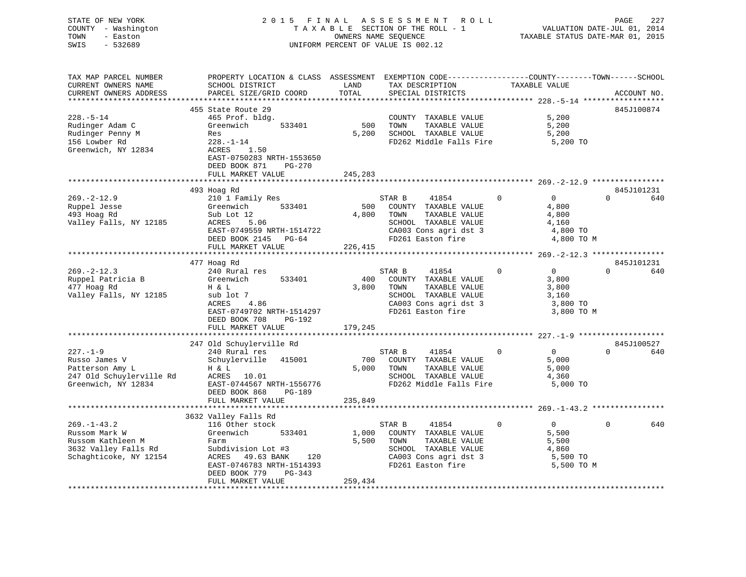| STATE OF NEW YORK<br>COUNTY - Washington | 2015 FINAL ASSESSMENT ROLL<br>TAXABLE SECTION OF THE ROLL - 1 | VALUATION DATE-JUL 01, 2014      | PAGE | 227 |
|------------------------------------------|---------------------------------------------------------------|----------------------------------|------|-----|
| TOWN<br>- Easton<br>SWIS<br>$-532689$    | OWNERS NAME SEOUENCE<br>UNIFORM PERCENT OF VALUE IS 002.12    | TAXABLE STATUS DATE-MAR 01, 2015 |      |     |
|                                          |                                                               |                                  |      |     |

TAX MAP PARCEL NUMBER PROPERTY LOCATION & CLASS ASSESSMENT EXEMPTION CODE------------------COUNTY--------TOWN------SCHOOL

| CURRENT OWNERS NAME      | SCHOOL DISTRICT                | LAND    | TAX DESCRIPTION         |          | TAXABLE VALUE          |                        |
|--------------------------|--------------------------------|---------|-------------------------|----------|------------------------|------------------------|
| CURRENT OWNERS ADDRESS   | PARCEL SIZE/GRID COORD         | TOTAL   | SPECIAL DISTRICTS       |          |                        | ACCOUNT NO             |
| ***********************  |                                |         |                         |          |                        |                        |
|                          | 455 State Route 29             |         |                         |          |                        | 845J100874             |
| $228. - 5 - 14$          | 465 Prof. bldg.                |         | COUNTY TAXABLE VALUE    |          | 5,200                  |                        |
| Rudinger Adam C          | Greenwich<br>533401            | 500     | TOWN<br>TAXABLE VALUE   |          | 5,200                  |                        |
| Rudinger Penny M         | Res                            | 5,200   | SCHOOL TAXABLE VALUE    |          | 5,200                  |                        |
| 156 Lowber Rd            | $228. - 1 - 14$                |         | FD262 Middle Falls Fire |          | 5,200 TO               |                        |
| Greenwich, NY 12834      | ACRES<br>1.50                  |         |                         |          |                        |                        |
|                          | EAST-0750283 NRTH-1553650      |         |                         |          |                        |                        |
|                          | DEED BOOK 871<br><b>PG-270</b> |         |                         |          |                        |                        |
|                          | FULL MARKET VALUE              | 245,283 |                         |          |                        |                        |
|                          |                                |         |                         |          |                        |                        |
|                          | 493 Hoag Rd                    |         |                         |          |                        | 845J101231             |
| $269. -2 - 12.9$         | 210 1 Family Res               |         | STAR B<br>41854         | $\Omega$ | $\overline{0}$         | $\Omega$<br>640        |
| Ruppel Jesse             | Greenwich<br>533401            | 500     | COUNTY TAXABLE VALUE    |          | 4,800                  |                        |
| 493 Hoag Rd              | Sub Lot 12                     | 4,800   | TOWN<br>TAXABLE VALUE   |          | 4,800                  |                        |
| Valley Falls, NY 12185   | 5.06<br>ACRES                  |         | SCHOOL TAXABLE VALUE    |          | 4,160                  |                        |
|                          | EAST-0749559 NRTH-1514722      |         | CA003 Cons agri dst 3   |          | 4,800 TO               |                        |
|                          | DEED BOOK 2145 PG-64           |         | FD261 Easton fire       |          | 4,800 TO M             |                        |
|                          | FULL MARKET VALUE              | 226,415 |                         |          |                        |                        |
|                          |                                |         |                         |          |                        |                        |
|                          | 477 Hoag Rd                    |         |                         |          |                        | 845J101231             |
| $269. - 2 - 12.3$        | 240 Rural res                  |         | STAR B<br>41854         | $\Omega$ | $\overline{0}$         | $\Omega$<br>640        |
| Ruppel Patricia B        | Greenwich<br>533401            | 400     | COUNTY TAXABLE VALUE    |          | 3,800                  |                        |
| 477 Hoag Rd              | H & L                          | 3,800   | TAXABLE VALUE<br>TOWN   |          | 3,800                  |                        |
| Valley Falls, NY 12185   | sub lot 7                      |         | SCHOOL TAXABLE VALUE    |          | 3,160                  |                        |
|                          | ACRES<br>4.86                  |         | CA003 Cons agri dst 3   |          |                        |                        |
|                          | EAST-0749702 NRTH-1514297      |         | FD261 Easton fire       |          | 3,800 TO<br>3,800 TO M |                        |
|                          |                                |         |                         |          |                        |                        |
|                          | DEED BOOK 708<br>PG-192        |         |                         |          |                        |                        |
|                          | FULL MARKET VALUE              | 179,245 |                         |          |                        |                        |
|                          |                                |         |                         |          |                        |                        |
| $227. - 1 - 9$           | 247 Old Schuylerville Rd       |         |                         | $\Omega$ | $\overline{0}$         | 845J100527<br>$\Omega$ |
|                          | 240 Rural res                  |         | STAR B<br>41854         |          |                        | 640                    |
| Russo James V            | Schuylerville<br>415001        | 700     | COUNTY TAXABLE VALUE    |          | 5,000                  |                        |
| Patterson Amy L          | H & L                          | 5,000   | TOWN<br>TAXABLE VALUE   |          | 5,000                  |                        |
| 247 Old Schuylerville Rd | ACRES<br>10.01                 |         | SCHOOL TAXABLE VALUE    |          | 4,360                  |                        |
| Greenwich, NY 12834      | EAST-0744567 NRTH-1556776      |         | FD262 Middle Falls Fire |          | 5,000 TO               |                        |
|                          | DEED BOOK 868<br><b>PG-189</b> |         |                         |          |                        |                        |
|                          | FULL MARKET VALUE              | 235,849 |                         |          |                        |                        |
|                          |                                |         |                         |          |                        |                        |
|                          | 3632 Valley Falls Rd           |         |                         |          |                        |                        |
| $269. - 1 - 43.2$        | 116 Other stock                |         | 41854<br>STAR B         | 0        | $\overline{0}$         | 640<br>$\Omega$        |
| Russom Mark W            | 533401<br>Greenwich            | 1,000   | COUNTY TAXABLE VALUE    |          | 5,500                  |                        |
| Russom Kathleen M        | Farm                           | 5,500   | TOWN<br>TAXABLE VALUE   |          | 5,500                  |                        |
| 3632 Valley Falls Rd     | Subdivision Lot #3             |         | SCHOOL TAXABLE VALUE    |          | 4,860                  |                        |
| Schaghticoke, NY 12154   | ACRES<br>49.63 BANK<br>120     |         | CA003 Cons agri dst 3   |          | 5,500 TO               |                        |
|                          | EAST-0746783 NRTH-1514393      |         | FD261 Easton fire       |          | 5,500 TO M             |                        |
|                          | DEED BOOK 779<br>$PG-343$      |         |                         |          |                        |                        |
|                          | FULL MARKET VALUE              | 259,434 |                         |          |                        |                        |
|                          | *************************      |         |                         |          |                        |                        |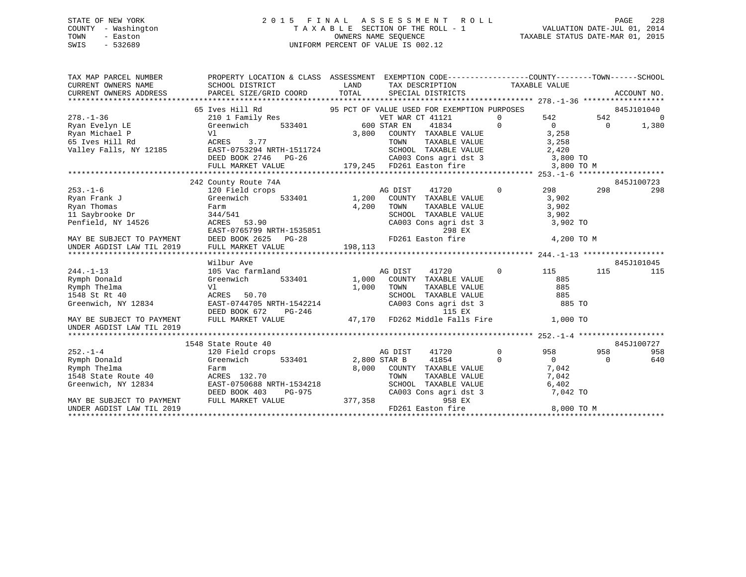#### STATE OF NEW YORK 2 0 1 5 F I N A L A S S E S S M E N T R O L L PAGE 228COUNTY - Washington T A X A B L E SECTION OF THE ROLL - 1 TOWN - Easton **CONNERS NAME SEQUENCE** TAXABLE STATUS DATE-MAR 01, 2015 SWIS - 532689 UNIFORM PERCENT OF VALUE IS 002.12

| TAX MAP PARCEL NUMBER                                                                                                                                                                                          | PROPERTY LOCATION & CLASS ASSESSMENT EXEMPTION CODE---------------COUNTY-------TOWN------SCHOOL                                                                                            |                                   |                                                                                          |                     |                       |                |             |
|----------------------------------------------------------------------------------------------------------------------------------------------------------------------------------------------------------------|--------------------------------------------------------------------------------------------------------------------------------------------------------------------------------------------|-----------------------------------|------------------------------------------------------------------------------------------|---------------------|-----------------------|----------------|-------------|
| CURRENT OWNERS NAME                                                                                                                                                                                            | SCHOOL DISTRICT                                                                                                                                                                            | <b>EXAMPLE THE STATE OF STATE</b> | TAX DESCRIPTION                                                                          | TAXABLE VALUE       |                       |                |             |
| CURRENT OWNERS ADDRESS                                                                                                                                                                                         | PARCEL SIZE/GRID COORD                                                                                                                                                                     | TOTAL                             | SPECIAL DISTRICTS                                                                        |                     |                       |                | ACCOUNT NO. |
|                                                                                                                                                                                                                |                                                                                                                                                                                            |                                   |                                                                                          |                     |                       |                |             |
|                                                                                                                                                                                                                | Ives Hill Rd<br>210 1 Family Res 310 1 Pamily Res 310 1 Family Res 320 1 Family Res 320 1 Family Res<br>65 Ives Hill Rd                                                                    |                                   |                                                                                          |                     |                       |                | 845J101040  |
| $278. - 1 - 36$                                                                                                                                                                                                |                                                                                                                                                                                            |                                   |                                                                                          |                     | $542$ $542$ 0         |                |             |
|                                                                                                                                                                                                                |                                                                                                                                                                                            |                                   | 41834 0 0                                                                                |                     |                       | $\overline{0}$ | 1,380       |
|                                                                                                                                                                                                                |                                                                                                                                                                                            | 3,800                             | COUNTY TAXABLE VALUE 3, 258                                                              |                     |                       |                |             |
|                                                                                                                                                                                                                |                                                                                                                                                                                            |                                   |                                                                                          |                     |                       |                |             |
|                                                                                                                                                                                                                |                                                                                                                                                                                            |                                   |                                                                                          |                     |                       |                |             |
|                                                                                                                                                                                                                |                                                                                                                                                                                            |                                   |                                                                                          |                     |                       |                |             |
|                                                                                                                                                                                                                | ACRES 3.77<br>EAST-0753294 NRTH-1511724<br>DEED BOOK 2746 PG-26 CA003 Cons agri dst 3 3,800 TO<br>FULL MARKET VALUE 179,245 FD261 Easton fire 3,800 TO M                                   |                                   |                                                                                          |                     |                       |                |             |
|                                                                                                                                                                                                                |                                                                                                                                                                                            |                                   |                                                                                          |                     |                       |                |             |
|                                                                                                                                                                                                                | 242 County Route 74A                                                                                                                                                                       |                                   |                                                                                          |                     |                       |                | 845J100723  |
| $253. - 1 - 6$                                                                                                                                                                                                 | 120 Field crops                                                                                                                                                                            |                                   | 41720<br>AG DIST                                                                         |                     | $0 \qquad \qquad 298$ | 298            | 298         |
| Ryan Frank J                                                                                                                                                                                                   | $533401$ 1,200<br>Greenwich                                                                                                                                                                |                                   | COUNTY TAXABLE VALUE                                                                     | 3,902               |                       |                |             |
| Ryan Thomas<br>nyan Inomas<br>11 Saybrooke Dr                                                                                                                                                                  | Farm                                                                                                                                                                                       | 4,200                             |                                                                                          |                     |                       |                |             |
|                                                                                                                                                                                                                | 344/541                                                                                                                                                                                    |                                   | TOWN TAXABLE VALUE 3,902<br>SCHOOL TAXABLE VALUE 3,902<br>CA003 Cons agri dst 3 3,902 TO |                     |                       |                |             |
|                                                                                                                                                                                                                |                                                                                                                                                                                            |                                   |                                                                                          |                     |                       |                |             |
| Penfield, NY 14526<br>MAY BE SUBJECT TO PAYMENT<br>MAY BE SUBJECT TO PAYMENT<br>MAY BE SUBJECT TO PAYMENT<br>DEED BOOK 2625 PG-28<br>FD261 Easton<br>ENDER AGDIST LAW TIL 2019<br>FULL MARKET VALUE<br>198,113 |                                                                                                                                                                                            |                                   | 298 EX                                                                                   |                     |                       |                |             |
|                                                                                                                                                                                                                |                                                                                                                                                                                            |                                   | FD261 Easton fire                                                                        |                     | 4,200 TO M            |                |             |
|                                                                                                                                                                                                                |                                                                                                                                                                                            |                                   |                                                                                          |                     |                       |                |             |
|                                                                                                                                                                                                                |                                                                                                                                                                                            |                                   |                                                                                          |                     |                       |                |             |
|                                                                                                                                                                                                                | Wilbur Ave<br>$105$ Vac farmland                                                                                                                                                           |                                   |                                                                                          | $\sim$ 0 $\sim$ 115 |                       |                | 845J101045  |
| $244. -1 - 13$                                                                                                                                                                                                 |                                                                                                                                                                                            |                                   | 41720<br>AG DIST<br>1,000 COUNTY TAXABLE VALUE                                           |                     |                       | 115            | 115         |
| Rymph Donald                                                                                                                                                                                                   | 533401<br>Greenwich                                                                                                                                                                        |                                   | TAXABLE VALUE<br>TOWN                                                                    |                     | 885<br>885            |                |             |
| Rymph Thelma<br>1548 St Rt 40                                                                                                                                                                                  | Vl                                                                                                                                                                                         | 1,000                             |                                                                                          |                     |                       |                |             |
| Greenwich, NY 12834                                                                                                                                                                                            | ACRES 50.70 SCHOOL TAXABLE VALUE 885<br>EAST-0744705 NRTH-1542214 CA003 Cons agri dst 3 885 TO<br>DEED BOOK 672 PG-246 115 EX<br>FULL MARKET VALUE 47,170 FD262 Middle Falls Fire 1,000 TO |                                   | SCHOOL TAXABLE VALUE 685                                                                 |                     |                       |                |             |
|                                                                                                                                                                                                                |                                                                                                                                                                                            |                                   |                                                                                          |                     |                       |                |             |
| MAY BE SUBJECT TO PAYMENT                                                                                                                                                                                      |                                                                                                                                                                                            |                                   |                                                                                          |                     |                       |                |             |
| UNDER AGDIST LAW TIL 2019                                                                                                                                                                                      |                                                                                                                                                                                            |                                   |                                                                                          |                     |                       |                |             |
|                                                                                                                                                                                                                |                                                                                                                                                                                            |                                   |                                                                                          |                     |                       |                |             |
|                                                                                                                                                                                                                | 1548 State Route 40                                                                                                                                                                        |                                   |                                                                                          |                     |                       |                | 845J100727  |
| $252 - 1 - 4$                                                                                                                                                                                                  | 120 Field crops                                                                                                                                                                            |                                   | 41720<br>AG DIST                                                                         | $\overline{0}$      | 958                   | 958            | 958         |
| Rymph Donald                                                                                                                                                                                                   | Greenwich                                                                                                                                                                                  | 533401 2,800 STAR B               | 41854 0                                                                                  |                     | $\overline{0}$        | $\Omega$       | 640         |
|                                                                                                                                                                                                                |                                                                                                                                                                                            |                                   | 8,000 COUNTY TAXABLE VALUE                                                               |                     |                       |                |             |
|                                                                                                                                                                                                                |                                                                                                                                                                                            |                                   |                                                                                          |                     | 7,042<br>7,042        |                |             |
|                                                                                                                                                                                                                |                                                                                                                                                                                            |                                   |                                                                                          |                     |                       |                |             |
| Example District and Report of the Rymph Theory<br>1548 State Route 40 MCRES 132.70<br>Greenwich, NY 12834 EAST-0750688 NRTH-1534218                                                                           | DEED BOOK 403                                                                                                                                                                              |                                   | TOWN TAXABLE VALUE 7,042<br>SCHOOL TAXABLE VALUE 6,402<br>CA003 Cons agri dst 3 7,042 TO |                     |                       |                |             |
| MAY BE SUBJECT TO PAYMENT FULL MARKET VALUE                                                                                                                                                                    |                                                                                                                                                                                            | PG-975<br>}      377,358          | 958 EX                                                                                   |                     |                       |                |             |
| UNDER AGDIST LAW TIL 2019                                                                                                                                                                                      |                                                                                                                                                                                            |                                   | FD261 Easton fire                                                                        |                     | 8,000 TO M            |                |             |
|                                                                                                                                                                                                                |                                                                                                                                                                                            |                                   |                                                                                          |                     |                       |                |             |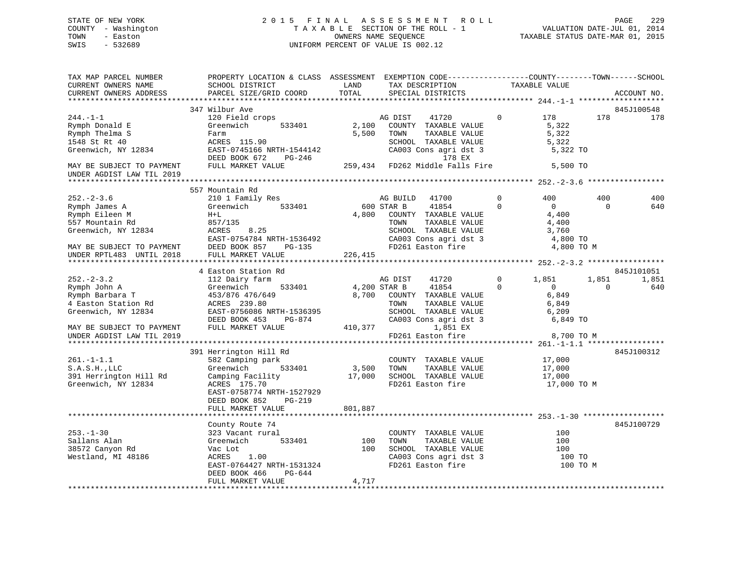# STATE OF NEW YORK 2 0 1 5 F I N A L A S S E S S M E N T R O L L PAGE 229 COUNTY - Washington T A X A B L E SECTION OF THE ROLL - 1 VALUATION DATE-JUL 01, 2014 TOWN - Easton OWNERS NAME SEQUENCE TAXABLE STATUS DATE-MAR 01, 2015 SWIS - 532689 UNIFORM PERCENT OF VALUE IS 002.12

| TAX MAP PARCEL NUMBER<br>CURRENT OWNERS NAME | PROPERTY LOCATION & CLASS ASSESSMENT EXEMPTION CODE----------------COUNTY-------TOWN------SCHOOL<br>SCHOOL DISTRICT | LAND         | TAX DESCRIPTION                            |             | TAXABLE VALUE  |          |             |
|----------------------------------------------|---------------------------------------------------------------------------------------------------------------------|--------------|--------------------------------------------|-------------|----------------|----------|-------------|
| CURRENT OWNERS ADDRESS                       | PARCEL SIZE/GRID COORD                                                                                              | TOTAL        | SPECIAL DISTRICTS                          |             |                |          | ACCOUNT NO. |
|                                              |                                                                                                                     |              |                                            |             |                |          |             |
|                                              | 347 Wilbur Ave                                                                                                      |              |                                            |             |                |          | 845J100548  |
| $244. - 1 - 1$                               | 120 Field crops                                                                                                     |              | AG DIST<br>41720                           | $\mathbf 0$ | 178            | 178      | 178         |
| Rymph Donald E                               | Greenwich<br>533401                                                                                                 | 2,100        | COUNTY TAXABLE VALUE                       |             | 5,322          |          |             |
| Rymph Thelma S                               | Farm                                                                                                                | 5,500        | TAXABLE VALUE<br>TOWN                      |             | 5,322          |          |             |
| 1548 St Rt 40                                | ACRES 115.90                                                                                                        |              | SCHOOL TAXABLE VALUE                       |             | 5,322          |          |             |
| Greenwich, NY 12834                          | EAST-0745166 NRTH-1544142<br>DEED BOOK 672<br>PG-246                                                                |              | CA003 Cons agri dst 3                      |             | 5,322 TO       |          |             |
| MAY BE SUBJECT TO PAYMENT                    | FULL MARKET VALUE                                                                                                   |              | 178 EX<br>259,434 FD262 Middle Falls Fire  |             | 5,500 TO       |          |             |
| UNDER AGDIST LAW TIL 2019                    |                                                                                                                     |              |                                            |             |                |          |             |
|                                              | 557 Mountain Rd                                                                                                     |              |                                            |             |                |          |             |
| $252 - 2 - 3.6$                              | 210 1 Family Res                                                                                                    |              | AG BUILD 41700                             | $\Omega$    | 400            | 400      | 400         |
| Rymph James A                                | 533401<br>Greenwich                                                                                                 |              | 600 STAR B<br>41854                        | $\Omega$    | $\Omega$       | $\Omega$ | 640         |
| Rymph Eileen M                               | $H+L$                                                                                                               |              | 4,800 COUNTY TAXABLE VALUE                 |             | 4,400          |          |             |
| 557 Mountain Rd                              | 857/135                                                                                                             |              | TAXABLE VALUE<br>TOWN                      |             | 4,400          |          |             |
| Greenwich, NY 12834                          | ACRES<br>8.25                                                                                                       |              | SCHOOL TAXABLE VALUE                       |             | 3,760          |          |             |
|                                              | EAST-0754784 NRTH-1536492                                                                                           |              |                                            |             | 4,800 TO       |          |             |
| MAY BE SUBJECT TO PAYMENT                    | DEED BOOK 857<br>PG-135                                                                                             |              | CA003 Cons agri dst 3<br>FD261 Easton fire |             | 4,800 TO M     |          |             |
| UNDER RPTL483 UNTIL 2018                     | FULL MARKET VALUE                                                                                                   | 226,415      |                                            |             |                |          |             |
|                                              |                                                                                                                     |              |                                            |             |                |          |             |
|                                              | 4 Easton Station Rd                                                                                                 |              |                                            |             |                |          | 845J101051  |
| $252 - 2 - 3.2$                              | 112 Dairy farm                                                                                                      |              | AG DIST<br>41720                           | $\mathbf 0$ | 1,851          | 1,851    | 1,851       |
| Rymph John A                                 | 533401<br>Greenwich                                                                                                 | 4,200 STAR B | 41854                                      | $\Omega$    | $\overline{0}$ | $\Omega$ | 640         |
| Rymph Barbara T                              | 453/876 476/649                                                                                                     |              | 8,700 COUNTY TAXABLE VALUE                 |             | 6,849          |          |             |
| 4 Easton Station Rd                          | ACRES 239.80                                                                                                        |              | TOWN<br>TAXABLE VALUE                      |             | 6,849          |          |             |
| Greenwich, NY 12834                          | EAST-0756086 NRTH-1536395                                                                                           |              | SCHOOL TAXABLE VALUE                       |             | 6,209          |          |             |
|                                              | PG-874<br>DEED BOOK 453                                                                                             |              | CA003 Cons agri dst 3                      |             | 6,849 TO       |          |             |
| MAY BE SUBJECT TO PAYMENT                    | FULL MARKET VALUE                                                                                                   | 410,377      | 1,851 EX                                   |             |                |          |             |
| UNDER AGDIST LAW TIL 2019                    |                                                                                                                     |              | FD261 Easton fire                          |             | 8,700 TO M     |          |             |
|                                              |                                                                                                                     |              |                                            |             |                |          |             |
|                                              | 391 Herrington Hill Rd                                                                                              |              |                                            |             |                |          | 845J100312  |
| $261. -1 - 1.1$                              | 582 Camping park                                                                                                    |              | COUNTY TAXABLE VALUE                       |             | 17,000         |          |             |
| $S.A.S.H.$ , $LLC$                           | Greenwich<br>533401                                                                                                 | 3,500        | TOWN<br>TAXABLE VALUE                      |             | 17,000         |          |             |
| 391 Herrington Hill Rd                       | Camping Facility $17,000$ SCHOOL TAXABLE VALUE                                                                      |              |                                            |             | 17,000         |          |             |
| Greenwich, NY 12834                          | ACRES 175.70                                                                                                        |              | FD261 Easton fire                          |             | 17,000 TO M    |          |             |
|                                              | EAST-0758774 NRTH-1527929                                                                                           |              |                                            |             |                |          |             |
|                                              | DEED BOOK 852<br>PG-219                                                                                             |              |                                            |             |                |          |             |
|                                              | FULL MARKET VALUE                                                                                                   | 801,887      |                                            |             |                |          |             |
|                                              |                                                                                                                     |              |                                            |             |                |          |             |
|                                              | County Route 74                                                                                                     |              |                                            |             |                |          | 845J100729  |
| $253. - 1 - 30$                              | 323 Vacant rural                                                                                                    |              | COUNTY TAXABLE VALUE                       |             | 100            |          |             |
| Sallans Alan                                 | 533401<br>Greenwich                                                                                                 | 100          | TAXABLE VALUE<br>TOWN                      |             | 100            |          |             |
| 38572 Canyon Rd                              | Vac Lot                                                                                                             | 100          | SCHOOL TAXABLE VALUE                       |             | 100            |          |             |
| Westland, MI 48186                           | ACRES<br>1.00                                                                                                       |              | CA003 Cons agri dst 3                      |             | 100 TO         |          |             |
|                                              | EAST-0764427 NRTH-1531324                                                                                           |              | FD261 Easton fire                          |             | 100 TO M       |          |             |
|                                              | DEED BOOK 466<br>PG-644                                                                                             |              |                                            |             |                |          |             |
|                                              | FULL MARKET VALUE                                                                                                   | 4,717        |                                            |             |                |          |             |
|                                              |                                                                                                                     |              |                                            |             |                |          |             |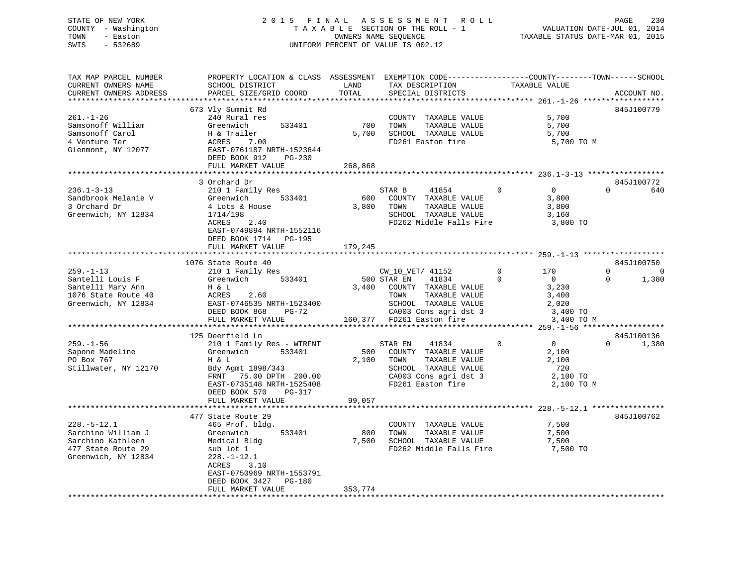# STATE OF NEW YORK 2 0 1 5 F I N A L A S S E S S M E N T R O L L PAGE 230 COUNTY - Washington T A X A B L E SECTION OF THE ROLL - 1 VALUATION DATE-JUL 01, 2014 TOWN - Easton OWNERS NAME SEQUENCE TAXABLE STATUS DATE-MAR 01, 2015 SWIS - 532689 UNIFORM PERCENT OF VALUE IS 002.12

TAX MAP PARCEL NUMBER PROPERTY LOCATION & CLASS ASSESSMENT EXEMPTION CODE------------------COUNTY--------TOWN------SCHOOL CURRENT OWNERS NAME SCHOOL DISTRICT THE LAND TAX DESCRIPTION TAXABLE VALUE CURRENT OWNERS ADDRESS PARCEL SIZE/GRID COORD TOTAL SPECIAL DISTRICTS ACCOUNT NO. \*\*\*\*\*\*\*\*\*\*\*\*\*\*\*\*\*\*\*\*\*\*\*\*\*\*\*\*\*\*\*\*\*\*\*\*\*\*\*\*\*\*\*\*\*\*\*\*\*\*\*\*\*\*\*\*\*\*\*\*\*\*\*\*\*\*\*\*\*\*\*\*\*\*\*\*\*\*\*\*\*\*\*\*\*\*\*\*\*\*\*\*\*\*\*\*\*\*\*\*\*\*\* 261.-1-26 \*\*\*\*\*\*\*\*\*\*\*\*\*\*\*\*\*\* 673 Vly Summit Rd 845J100779 261.-1-26 240 Rural res COUNTY TAXABLE VALUE 5,700 Samsonoff William Greenwich 533401 700 TOWN TAXABLE VALUE 5,700 Samsonoff Carol H & Trailer 5,700 SCHOOL TAXABLE VALUE 5,700 4 Venture Ter ACRES 7.00 FD261 Easton fire 5,700 TO M Glenmont, NY 12077 EAST-0761187 NRTH-1523644 DEED BOOK 912 PG-230FULL MARKET VALUE 268,868 \*\*\*\*\*\*\*\*\*\*\*\*\*\*\*\*\*\*\*\*\*\*\*\*\*\*\*\*\*\*\*\*\*\*\*\*\*\*\*\*\*\*\*\*\*\*\*\*\*\*\*\*\*\*\*\*\*\*\*\*\*\*\*\*\*\*\*\*\*\*\*\*\*\*\*\*\*\*\*\*\*\*\*\*\*\*\*\*\*\*\*\*\*\*\*\*\*\*\*\*\*\*\* 236.1-3-13 \*\*\*\*\*\*\*\*\*\*\*\*\*\*\*\*\* 3 Orchard Dr 845J100772236.1-3-13 210 1 Family Res STAR B 41854 0 0 640 Sandbrook Melanie V Greenwich 533401 600 COUNTY TAXABLE VALUE 3,800 3 Orchard Dr 4 Lots & House 3,800 TOWN TAXABLE VALUE 3,800 Greenwich, NY 12834 1714/198 SCHOOL TAXABLE VALUE 3,160 ACRES 2.40<br>ACRES 2.40 FD262 Middle Falls Fire 3,800 TO EAST-0749894 NRTH-1552116 DEED BOOK 1714 PG-195FULL MARKET VALUE 179,245 \*\*\*\*\*\*\*\*\*\*\*\*\*\*\*\*\*\*\*\*\*\*\*\*\*\*\*\*\*\*\*\*\*\*\*\*\*\*\*\*\*\*\*\*\*\*\*\*\*\*\*\*\*\*\*\*\*\*\*\*\*\*\*\*\*\*\*\*\*\*\*\*\*\*\*\*\*\*\*\*\*\*\*\*\*\*\*\*\*\*\*\*\*\*\*\*\*\*\*\*\*\*\* 259.-1-13 \*\*\*\*\*\*\*\*\*\*\*\*\*\*\*\*\*\* 1076 State Route 40 845J100750 $\begin{array}{cccc} 170 & & & 0 & & & 0 \\ & & 0 & & & 0 & 1,380 \end{array}$ 259.-1-13 210 1 Family Res CW\_10\_VET/ 41152 0 170 0 0 Santelli Louis F Greenwich 533401 500 STAR EN 41834 0 0 0 1,380 Santelli Mary Ann H & L 3,400 COUNTY TAXABLE VALUE 3,230 1076 State Route 40 ACRES 2.60 TOWN TAXABLE VALUE 3,400 Greenwich, NY 12834 EAST-0746535 NRTH-1523400 SCHOOL TAXABLE VALUE 2,020 DEED BOOK 868 PG-72 CA003 Cons agri dst 3 3,400 TO FAST-0746535 NRTH-1523400 SCHOOL IAAABLE VALUE 2003<br>DEED BOOK 868 PG-72 CA003 Cons agri dst 3 3,400 TO M<br>FULL MARKET VALUE 160,377 FO261 Easton fire 3,400 TO M<br>FULL MARKET VALUE 160,377 FO261 CONSTRATE: \*\*\*\*\*\*\*\*\*\*\*\*\*\*\*\*\*\*\*\*\*\*\*\*\*\*\*\*\*\*\*\*\*\*\*\*\*\*\*\*\*\*\*\*\*\*\*\*\*\*\*\*\*\*\*\*\*\*\*\*\*\*\*\*\*\*\*\*\*\*\*\*\*\*\*\*\*\*\*\*\*\*\*\*\*\*\*\*\*\*\*\*\*\*\*\*\*\*\*\*\*\*\* 259.-1-56 \*\*\*\*\*\*\*\*\*\*\*\*\*\*\*\*\*\* 125 Deerfield Ln 845J100136259.-1-56 210 1 Family Res - WTRFNT STAR EN 41834 0 0 0 1,380 Sapone Madeline Greenwich 533401 500 COUNTY TAXABLE VALUE 2,100 PO Box 767 H & L 2,100 TOWN TAXABLE VALUE 2,100 Stillwater, NY 12170 Bdy Agmt 1898/343 SCHOOL TAXABLE VALUE 720 FRNT 75.00 DPTH 200.00 CA003 Cons agri dst 3 2,100 TO EAST-0735148 NRTH-1525408 FD261 Easton fire 2,100 TO M DEED BOOK 570 PG-317

FULL MARKET VALUE 99,057 \*\*\*\*\*\*\*\*\*\*\*\*\*\*\*\*\*\*\*\*\*\*\*\*\*\*\*\*\*\*\*\*\*\*\*\*\*\*\*\*\*\*\*\*\*\*\*\*\*\*\*\*\*\*\*\*\*\*\*\*\*\*\*\*\*\*\*\*\*\*\*\*\*\*\*\*\*\*\*\*\*\*\*\*\*\*\*\*\*\*\*\*\*\*\*\*\*\*\*\*\*\*\* 228.-5-12.1 \*\*\*\*\*\*\*\*\*\*\*\*\*\*\*\* 477 State Route 29 845J100762228.-5-12.1 465 Prof. bldg. COUNTY TAXABLE VALUE 7,500 Sarchino William J Greenwich 533401 800 TOWN TAXABLE VALUE 7,500 Sarchino Kathleen Medical Bldg 7,500 SCHOOL TAXABLE VALUE 7,500 477 State Route 29 sub lot 1 subsets and the FD262 Middle Falls Fire the 7,500 TO Greenwich, NY 12834 228.-1-12.1 ACRES 3.10 EAST-0750969 NRTH-1553791 DEED BOOK 3427 PG-180FULL MARKET VALUE 353,774 \*\*\*\*\*\*\*\*\*\*\*\*\*\*\*\*\*\*\*\*\*\*\*\*\*\*\*\*\*\*\*\*\*\*\*\*\*\*\*\*\*\*\*\*\*\*\*\*\*\*\*\*\*\*\*\*\*\*\*\*\*\*\*\*\*\*\*\*\*\*\*\*\*\*\*\*\*\*\*\*\*\*\*\*\*\*\*\*\*\*\*\*\*\*\*\*\*\*\*\*\*\*\*\*\*\*\*\*\*\*\*\*\*\*\*\*\*\*\*\*\*\*\*\*\*\*\*\*\*\*\*\*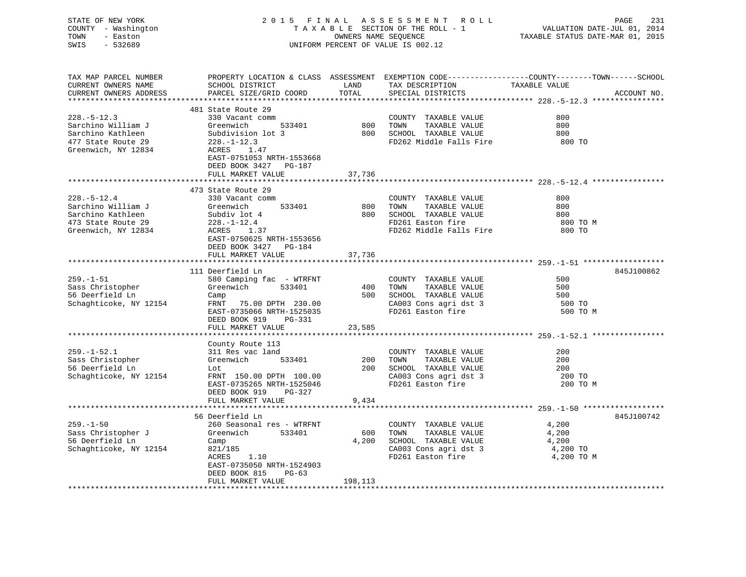| STATE OF NEW YORK<br>COUNTY - Washington<br>TOWN<br>- Easton<br>SWIS<br>$-532689$                         | 2015 FINAL ASSESSMENT ROLL<br>TAXABLE SECTION OF THE ROLL - 1<br>OWNERS NAME SEQUENCE<br>UNIFORM PERCENT OF VALUE IS 002.12                                                                     |                         |                                                                                                                           | PAGE<br>231<br>VALUATION DATE-JUL 01, 2014<br>TAXABLE STATUS DATE-MAR 01, 2015                                                 |  |  |
|-----------------------------------------------------------------------------------------------------------|-------------------------------------------------------------------------------------------------------------------------------------------------------------------------------------------------|-------------------------|---------------------------------------------------------------------------------------------------------------------------|--------------------------------------------------------------------------------------------------------------------------------|--|--|
| TAX MAP PARCEL NUMBER<br>CURRENT OWNERS NAME<br>CURRENT OWNERS ADDRESS                                    | SCHOOL DISTRICT<br>PARCEL SIZE/GRID COORD                                                                                                                                                       | LAND<br>TOTAL           | TAX DESCRIPTION<br>SPECIAL DISTRICTS                                                                                      | PROPERTY LOCATION & CLASS ASSESSMENT EXEMPTION CODE---------------COUNTY-------TOWN-----SCHOOL<br>TAXABLE VALUE<br>ACCOUNT NO. |  |  |
| $228. - 5 - 12.3$<br>Sarchino William J<br>Sarchino Kathleen<br>477 State Route 29<br>Greenwich, NY 12834 | 481 State Route 29<br>330 Vacant comm<br>533401<br>Greenwich<br>Subdivision lot 3<br>$228. - 1 - 12.3$<br>ACRES 1.47<br>EAST-0751053 NRTH-1553668<br>DEED BOOK 3427 PG-187<br>FULL MARKET VALUE | 800<br>37,736           | COUNTY TAXABLE VALUE<br>TOWN<br>TAXABLE VALUE<br>800 SCHOOL TAXABLE VALUE<br>FD262 Middle Falls Fire                      | 800<br>800<br>800<br>800 TO                                                                                                    |  |  |
|                                                                                                           |                                                                                                                                                                                                 | ************            |                                                                                                                           |                                                                                                                                |  |  |
| $228. - 5 - 12.4$<br>Sarchino William J<br>Sarchino Kathleen<br>473 State Route 29<br>Greenwich, NY 12834 | 473 State Route 29<br>330 Vacant comm<br>533401<br>Greenwich<br>Subdiv lot 4<br>$228. - 1 - 12.4$<br>ACRES 1.37<br>EAST-0750625 NRTH-1553656<br>DEED BOOK 3427 PG-184<br>FULL MARKET VALUE      | 800<br>37,736           | COUNTY TAXABLE VALUE<br>TOWN<br>TAXABLE VALUE<br>800 SCHOOL TAXABLE VALUE<br>FD261 Easton fire<br>FD262 Middle Falls Fire | 800<br>800<br>800<br>800 TO M<br>800 TO                                                                                        |  |  |
|                                                                                                           |                                                                                                                                                                                                 |                         |                                                                                                                           |                                                                                                                                |  |  |
| $259. - 1 - 51$<br>Sass Christopher<br>56 Deerfield Ln<br>Schaghticoke, NY 12154                          | 111 Deerfield Ln<br>580 Camping fac - WTRFNT<br>Greenwich 533401<br>Camp<br>FRNT 75.00 DPTH 230.00<br>EAST-0735066 NRTH-1525035<br>DEED BOOK 919<br>PG-331                                      | 400                     | COUNTY TAXABLE VALUE<br>TOWN<br>TAXABLE VALUE<br>500 SCHOOL TAXABLE VALUE<br>CA003 Cons agri dst 3<br>FD261 Easton fire   | 845J100862<br>500<br>500<br>500<br>500 TO<br>500 TO M                                                                          |  |  |
|                                                                                                           | FULL MARKET VALUE                                                                                                                                                                               | 23,585                  |                                                                                                                           |                                                                                                                                |  |  |
| $259. - 1 - 52.1$<br>Sass Christopher<br>56 Deerfield Ln<br>Schaghticoke, NY 12154                        | County Route 113<br>311 Res vac land<br>533401<br>Greenwich<br>Lot<br>FRNT 150.00 DPTH 100.00<br>EAST-0735265 NRTH-1525046<br>PG-327<br>DEED BOOK 919<br>FULL MARKET VALUE                      | 200<br>9,434            | COUNTY TAXABLE VALUE<br>TAXABLE VALUE<br>TOWN<br>200 SCHOOL TAXABLE VALUE<br>CA003 Cons agri dst 3<br>FD261 Easton fire   | 200<br>200<br>200<br>200 TO<br>200 TO M                                                                                        |  |  |
|                                                                                                           |                                                                                                                                                                                                 |                         |                                                                                                                           |                                                                                                                                |  |  |
| $259. - 1 - 50$<br>Sass Christopher J<br>56 Deerfield Ln<br>Schaghticoke, NY 12154                        | 56 Deerfield Ln<br>260 Seasonal res - WTRFNT<br>Greenwich 533401<br>Camp<br>821/185<br>ACRES<br>1.10<br>EAST-0735050 NRTH-1524903<br>DEED BOOK 815<br>PG-63<br>FULL MARKET VALUE                | 600<br>4,200<br>198,113 | COUNTY TAXABLE VALUE<br>TOWN<br>TAXABLE VALUE<br>SCHOOL TAXABLE VALUE<br>CA003 Cons agri dst 3<br>FD261 Easton fire       | 845J100742<br>4,200<br>4,200<br>4,200<br>4,200 TO<br>4,200 TO M                                                                |  |  |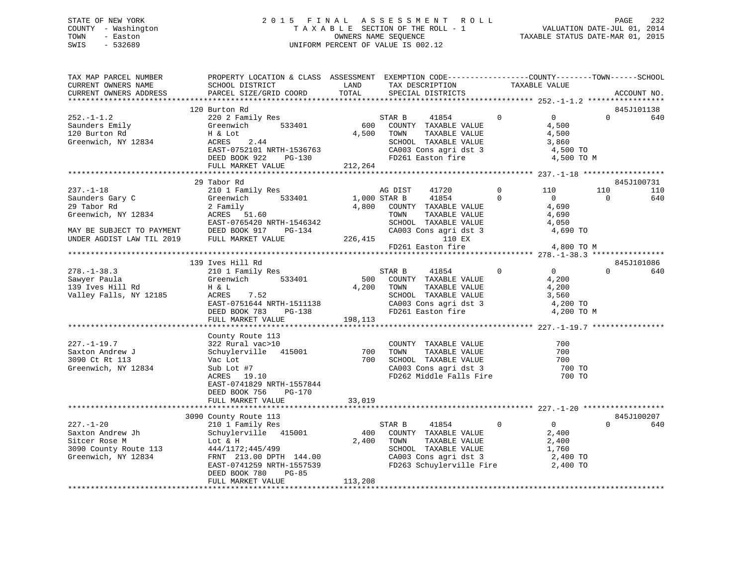# STATE OF NEW YORK 2 0 1 5 F I N A L A S S E S S M E N T R O L L PAGE 232 COUNTY - Washington T A X A B L E SECTION OF THE ROLL - 1 VALUATION DATE-JUL 01, 2014 TOWN - Easton OWNERS NAME SEQUENCE TAXABLE STATUS DATE-MAR 01, 2015 SWIS - 532689 UNIFORM PERCENT OF VALUE IS 002.12

| TAX MAP PARCEL NUMBER                                                        | PROPERTY LOCATION & CLASS ASSESSMENT EXEMPTION CODE-----------------COUNTY-------TOWN------SCHOOL<br>CURRENT OWNERS NAME<br>CURRENT OWNERS ADDRESS<br>PARCEL SIZE/GRID COORD                                                                                                                                                                                                               |            | LAND TAX DESCRIPTION TAXABLE VALUE                                                                                                                                                                                                |                |                                           |                       | ACCOUNT NO. |
|------------------------------------------------------------------------------|--------------------------------------------------------------------------------------------------------------------------------------------------------------------------------------------------------------------------------------------------------------------------------------------------------------------------------------------------------------------------------------------|------------|-----------------------------------------------------------------------------------------------------------------------------------------------------------------------------------------------------------------------------------|----------------|-------------------------------------------|-----------------------|-------------|
|                                                                              |                                                                                                                                                                                                                                                                                                                                                                                            |            | TOTAL SPECIAL DISTRICTS                                                                                                                                                                                                           |                |                                           |                       |             |
|                                                                              | 120 Burton Rd                                                                                                                                                                                                                                                                                                                                                                              |            |                                                                                                                                                                                                                                   |                |                                           |                       | 845J101138  |
|                                                                              | $252.-1-1.2$<br>$220 27$ Saunders Emily<br>120 Burton Rd<br>Greenwich, NY 12834<br>$252.7$ Saunders Emily<br>$272.7$ Greenwich, NY 12834<br>$272.7$ RORES<br>$2.44$<br>$R2CT-0752101$<br>$R = 2.44$<br>ACRES 2.44<br>EAST-0752101 NRTH-1536763 CA003 Cons agri dst 3 3,860<br>DEED BOOK 922 PG-130 FD261 Easton fire 4,500 TO M<br>FULL MARKET VALUE 212,264<br>THE 212,264<br>THE 212,264 | 4,500 TOWN | STAR B 41854 0<br>600 COUNTY TAXABLE VALUE<br>TOWN      TAXABLE  VALUE<br>SCHOOL   TAXABLE  VALUE                                                                                                                                 | $\overline{0}$ | $\overline{0}$<br>4,500<br>4,500<br>3,860 | $\Omega$              | 640         |
|                                                                              |                                                                                                                                                                                                                                                                                                                                                                                            |            |                                                                                                                                                                                                                                   |                |                                           |                       |             |
|                                                                              | 29 Tabor Rd                                                                                                                                                                                                                                                                                                                                                                                |            |                                                                                                                                                                                                                                   |                |                                           |                       | 845J100731  |
|                                                                              |                                                                                                                                                                                                                                                                                                                                                                                            |            |                                                                                                                                                                                                                                   |                |                                           | 110<br>$\overline{0}$ | 110<br>640  |
|                                                                              |                                                                                                                                                                                                                                                                                                                                                                                            |            | FD261 Easton fire                                                                                                                                                                                                                 |                | 4,800 TO M                                |                       |             |
|                                                                              |                                                                                                                                                                                                                                                                                                                                                                                            |            |                                                                                                                                                                                                                                   |                |                                           |                       |             |
|                                                                              | 139 Ives Hill Rd                                                                                                                                                                                                                                                                                                                                                                           |            |                                                                                                                                                                                                                                   |                |                                           |                       | 845J101086  |
|                                                                              | 278.-1-38.3<br>Sawyer Paula 210 1 Family Res<br>139 Ives Hill Rd H & L<br>Valley Falls, NY 12185<br>Program Correction 210 22185<br>ACRES 7.52<br>EAST-0751644 NRTH-1511138 CA003 Cons agri dst 3 4,200 TO<br>DEED BOOK 783 PG-138 CA003 Cons agri dst 3 4,200 TO<br>FULL MARKET VALUE                                                                                                     | 198,113    | STAR B 41854 0 0<br>500 COUNTY TAXABLE VALUE<br>4,200 TOWN TAXABLE VALUE<br>TAXABLE VALUE<br>TAXABLE VALUE                                                                                                                        |                | 4,200<br>4,200<br>4,200 TO M              | $\Omega$              | 640         |
|                                                                              |                                                                                                                                                                                                                                                                                                                                                                                            |            |                                                                                                                                                                                                                                   |                |                                           |                       |             |
| $227. -1 - 19.7$<br>Saxton Andrew J<br>3090 Ct Rt 113<br>Greenwich, NY 12834 | County Route 113<br>county Route 115<br>322 Rural vac>10<br>Schuylerville 415001<br>Vac Lot<br>Sub Lot #7<br>ACRES 19.10<br>EAST-0741829 NRTH-1557844<br>PG-170                                                                                                                                                                                                                            |            | COUNTY TAXABLE VALUE<br>700 TOWN TAXABLE VALUE 700<br>700 SCHOOL TAXABLE VALUE 700<br>CA003 Cons agri dst 3 700 TO<br>FD262 Middle Falls Fire 700 TO                                                                              |                | 700                                       |                       |             |
|                                                                              | DEED BOOK 756<br>FULL MARKET VALUE 33,019                                                                                                                                                                                                                                                                                                                                                  |            |                                                                                                                                                                                                                                   |                |                                           |                       |             |
|                                                                              |                                                                                                                                                                                                                                                                                                                                                                                            |            |                                                                                                                                                                                                                                   |                |                                           |                       |             |
|                                                                              | 3090 County Route 113                                                                                                                                                                                                                                                                                                                                                                      |            |                                                                                                                                                                                                                                   |                |                                           |                       | 845J100207  |
| $227. - 1 - 20$                                                              | 210 1 Family Res<br>DEED BOOK 780<br>PG-85<br>FULL MARKET VALUE                                                                                                                                                                                                                                                                                                                            | 113,208    | $\sim$ 0<br>STAR B 41854<br>400 COUNTY TAXABLE VALUE 2,400<br>TOWN TAXABLE VALUE 2,400<br>SCHOOL TAXABLE VALUE 1,760<br>CA003 Cons agri dst 3 2,400 TO<br>CA003 Cons agri dst 3 and 2,400 TO<br>FD263 Schuylerville Fire 2,400 TO |                | $\overline{0}$                            | $\Omega$              | 640         |
|                                                                              |                                                                                                                                                                                                                                                                                                                                                                                            |            |                                                                                                                                                                                                                                   |                |                                           |                       |             |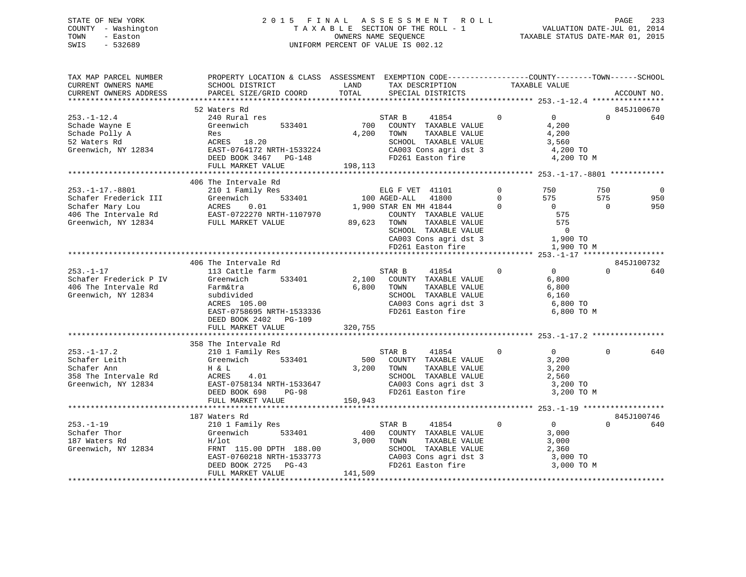# STATE OF NEW YORK 2 0 1 5 F I N A L A S S E S S M E N T R O L L PAGE 233 COUNTY - Washington T A X A B L E SECTION OF THE ROLL - 1 VALUATION DATE-JUL 01, 2014 TOWN - Easton OWNERS NAME SEQUENCE TAXABLE STATUS DATE-MAR 01, 2015 SWIS - 532689 UNIFORM PERCENT OF VALUE IS 002.12

| TAX MAP PARCEL NUMBER<br>CURRENT OWNERS NAME<br>CURRENT OWNERS ADDRESS                                                                                                      | PROPERTY LOCATION & CLASS ASSESSMENT EXEMPTION CODE----------------COUNTY-------TOWN-----SCHOOL<br>SCHOOL DISTRICT<br>PARCEL SIZE/GRID COORD                       | LAND<br>TOTAL    | TAX DESCRIPTION<br>SPECIAL DISTRICTS                                                                                                                           |                                        | TAXABLE VALUE                                                       | ACCOUNT NO.                                      |
|-----------------------------------------------------------------------------------------------------------------------------------------------------------------------------|--------------------------------------------------------------------------------------------------------------------------------------------------------------------|------------------|----------------------------------------------------------------------------------------------------------------------------------------------------------------|----------------------------------------|---------------------------------------------------------------------|--------------------------------------------------|
|                                                                                                                                                                             |                                                                                                                                                                    |                  |                                                                                                                                                                |                                        |                                                                     |                                                  |
| $253. - 1 - 12.4$<br>Schade Wayne E<br>Schade Polly A                                                                                                                       | 52 Waters Rd<br>240 Rural res<br>Greenwich<br>533401<br>Res                                                                                                        | 4,200            | STAR B<br>41854<br>700 COUNTY TAXABLE VALUE<br>TAXABLE VALUE<br>TOWN                                                                                           | $\Omega$                               | $\overline{0}$<br>4,200<br>4,200                                    | 845J100670<br>640<br>$\Omega$                    |
| 52 Waters Rd<br>Greenwich, NY 12834                                                                                                                                         | ACRES 18.20<br>EAST-0764172 NRTH-1533224<br>DEED BOOK 3467 PG-148<br>FULL MARKET VALUE                                                                             | 198,113          | SCHOOL TAXABLE VALUE<br>$\frac{1}{200}$ CA003 Cons agri dst 3 4,200 TO<br>FD261 Easton fire                                                                    |                                        | 3,560<br>4,200 TO M                                                 |                                                  |
|                                                                                                                                                                             |                                                                                                                                                                    |                  |                                                                                                                                                                |                                        |                                                                     |                                                  |
|                                                                                                                                                                             | 406 The Intervale Rd                                                                                                                                               |                  |                                                                                                                                                                |                                        |                                                                     |                                                  |
| 253.-1-17.-8801<br>Schafer Frederick III Greenwich 533401<br>Schafer Mary Lou ACRES 0.01<br>406 The Intervale Rd EAST-0722270 NRTH-1107970<br>WY 12834<br>FULL MARKET VALUE | 533401                                                                                                                                                             |                  | ELG F VET 41101<br>100 AGED-ALL 41800<br>1,900 STAR EN MH 41844                                                                                                | $\Omega$<br>$\Omega$<br>$\overline{0}$ | 750<br>575<br>$\overline{0}$                                        | 750<br>$\Omega$<br>575<br>950<br>$\Omega$<br>950 |
|                                                                                                                                                                             |                                                                                                                                                                    |                  | COUNTY TAXABLE VALUE 575<br>TOWN TAXABLE VALUE 575<br>SCHOOL TAXABLE VALUE 575<br>CA003 Cons agri dst 3 1,900 TO<br>FD261 Easton fire 1,900 TO<br>89,623 TOWN  |                                        | 1,900 TO M                                                          |                                                  |
|                                                                                                                                                                             |                                                                                                                                                                    |                  |                                                                                                                                                                |                                        |                                                                     |                                                  |
|                                                                                                                                                                             | 406 The Intervale Rd                                                                                                                                               |                  |                                                                                                                                                                |                                        |                                                                     | 845J100732                                       |
| $253. - 1 - 17$<br>Schafer Frederick P IV<br>406 The Intervale Rd<br>Greenwich, NY 12834                                                                                    | 113 Cattle farm<br>533401<br>Greenwich<br>Farm&tra<br>subdivided<br>$ACRES$ 105.00<br>EAST-0758695 NRTH-1533336<br>DEED BOOK 2402 PG-109                           | 6,800            | STAR B<br>41854<br>2,100 COUNTY TAXABLE VALUE<br>TAXABLE VALUE<br>TOWN<br>SCHOOL TAXABLE VALUE<br>FD261 Easton fire                                            | $\Omega$                               | $\overline{0}$<br>6,800<br>6,800<br>6,160<br>6,800 TO M             | $\Omega$<br>640                                  |
|                                                                                                                                                                             | FULL MARKET VALUE                                                                                                                                                  | 320,755          |                                                                                                                                                                |                                        |                                                                     |                                                  |
|                                                                                                                                                                             |                                                                                                                                                                    |                  |                                                                                                                                                                |                                        |                                                                     |                                                  |
| $253. - 1 - 17.2$<br>Schafer Leith<br>Schafer Ann<br>358 The Intervale Rd<br>Greenwich, NY 12834                                                                            | 358 The Intervale Rd<br>210 1 Family Res<br>Greenwich 533401<br>H & L<br>ACRES<br>4.01<br>EAST-0758134 NRTH-1533647<br>DEED BOOK 698<br>PG-98<br>FULL MARKET VALUE | 3,200<br>150,943 | STAR B<br>41854<br>500 COUNTY TAXABLE VALUE<br>TOWN<br>TAXABLE VALUE<br>SCHOOL TAXABLE VALUE<br>CA003 Cons agri dst 3<br>FD261 Easton fire                     | $\Omega$                               | $\overline{0}$<br>3,200<br>3,200<br>2,560<br>3,200 TO<br>3,200 TO M | $\Omega$<br>640                                  |
|                                                                                                                                                                             |                                                                                                                                                                    |                  |                                                                                                                                                                |                                        |                                                                     |                                                  |
|                                                                                                                                                                             | 187 Waters Rd                                                                                                                                                      |                  |                                                                                                                                                                |                                        |                                                                     | 845J100746                                       |
| $253. - 1 - 19$<br>Schafer Thor<br>187 Waters Rd<br>Greenwich, NY 12834                                                                                                     | 210 1 Family Res<br>533401<br>Greenwich<br>$H/1$ ot<br>FRNT 115.00 DPTH 188.00<br>EAST-0760218 NRTH-1533773<br>DEED BOOK 2725<br>$PG-43$                           | 400<br>3,000     | STAR B<br>41854<br>COUNTY TAXABLE VALUE<br>TAXABLE VALUE<br>TOWN<br>SCHOOL TAXABLE VALUE<br>SCHOOL TAXABLE VALUE<br>CA003 Cons agri dst 3<br>FD261 Easton fire | $\Omega$                               | $\overline{0}$<br>3,000<br>3,000<br>2,360<br>3,000 TO<br>3,000 TO M | $\Omega$<br>640                                  |
|                                                                                                                                                                             | FULL MARKET VALUE                                                                                                                                                  | 141,509          |                                                                                                                                                                |                                        |                                                                     |                                                  |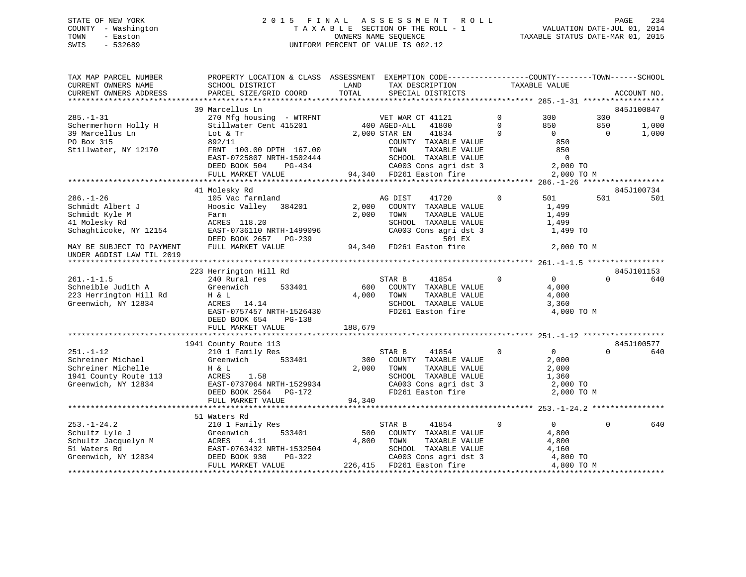# STATE OF NEW YORK 2 0 1 5 F I N A L A S S E S S M E N T R O L L PAGE 234 COUNTY - Washington T A X A B L E SECTION OF THE ROLL - 1 VALUATION DATE-JUL 01, 2014 TOWN - Easton OWNERS NAME SEQUENCE TAXABLE STATUS DATE-MAR 01, 2015 SWIS - 532689 UNIFORM PERCENT OF VALUE IS 002.12UNIFORM PERCENT OF VALUE IS 002.12

| TAX MAP PARCEL NUMBER<br>CURRENT OWNERS NAME<br>CURRENT OWNERS ADDRESS | PROPERTY LOCATION & CLASS ASSESSMENT EXEMPTION CODE----------------COUNTY-------TOWN------SCHOOL<br>SCHOOL DISTRICT<br>PARCEL SIZE/GRID COORD | LAND<br>TOTAL | TAX DESCRIPTION<br>SPECIAL DISTRICTS          |                | TAXABLE VALUE  |           | ACCOUNT NO.    |
|------------------------------------------------------------------------|-----------------------------------------------------------------------------------------------------------------------------------------------|---------------|-----------------------------------------------|----------------|----------------|-----------|----------------|
|                                                                        |                                                                                                                                               |               |                                               |                |                |           |                |
|                                                                        | 39 Marcellus Ln                                                                                                                               |               |                                               |                |                |           | 845J100847     |
| $285. - 1 - 31$                                                        | 270 Mfg housing - WTRFNT WET WAR CT 41121                                                                                                     |               |                                               | $\Omega$       | 300            | 300       | $\overline{0}$ |
| Schermerhorn Holly H                                                   | Stillwater Cent 415201                                                                                                                        |               | 400 AGED-ALL<br>41800                         | $\Omega$       | 850            | 850       | 1,000          |
| 39 Marcellus Ln                                                        | Lot & Tr                                                                                                                                      |               | 2,000 STAR EN<br>41834                        | $\Omega$       | $\cap$         | $\bigcap$ | 1,000          |
| PO Box 315<br>Stillwater, NY 12170                                     | 892/11<br>FRNT 100.00 DPTH 167.00                                                                                                             |               | COUNTY TAXABLE VALUE<br>TOWN<br>TAXABLE VALUE |                | 850<br>850     |           |                |
|                                                                        | EAST-0725807 NRTH-1502444                                                                                                                     |               | SCHOOL TAXABLE VALUE                          |                | $\overline{0}$ |           |                |
|                                                                        | DEED BOOK 504 PG-434                                                                                                                          |               | CA003 Cons agri dst 3                         |                | 2,000 TO       |           |                |
|                                                                        | FULL MARKET VALUE                                                                                                                             |               | 94,340 FD261 Easton fire                      |                | 2,000 TO M     |           |                |
|                                                                        |                                                                                                                                               |               |                                               |                |                |           |                |
|                                                                        | 41 Molesky Rd                                                                                                                                 |               |                                               |                |                |           | 845J100734     |
| $286. - 1 - 26$                                                        | 105 Vac farmland                                                                                                                              |               | 41720<br>AG DIST                              | $\mathbf 0$    | 501            | 501       | 501            |
| Schmidt Albert J                                                       | Hoosic Valley 384201                                                                                                                          | 2,000         | COUNTY TAXABLE VALUE                          |                | 1,499          |           |                |
| Schmidt Kyle M                                                         | Farm                                                                                                                                          | 2,000         | TOWN<br>TAXABLE VALUE                         |                | 1,499          |           |                |
| 41 Molesky Rd                                                          | ACRES 118.20                                                                                                                                  |               | SCHOOL TAXABLE VALUE                          |                | 1,499          |           |                |
| Schaghticoke, NY 12154                                                 | EAST-0736110 NRTH-1499096                                                                                                                     |               | CA003 Cons agri dst 3                         |                | 1,499 TO       |           |                |
|                                                                        | DEED BOOK 2657 PG-239                                                                                                                         |               | 501 EX                                        |                |                |           |                |
| MAY BE SUBJECT TO PAYMENT                                              | FULL MARKET VALUE                                                                                                                             |               | 94,340 FD261 Easton fire                      |                | 2,000 TO M     |           |                |
| UNDER AGDIST LAW TIL 2019                                              |                                                                                                                                               |               |                                               |                |                |           |                |
|                                                                        |                                                                                                                                               |               |                                               |                |                |           |                |
|                                                                        | 223 Herrington Hill Rd                                                                                                                        |               |                                               |                |                |           | 845J101153     |
| $261. -1 -1.5$                                                         | 240 Rural res                                                                                                                                 |               | STAR B<br>41854                               | $\mathbf 0$    | $\overline{0}$ | $\Omega$  | 640            |
| Schneible Judith A                                                     | 533401<br>Greenwich                                                                                                                           | 600           | COUNTY TAXABLE VALUE                          |                | 4,000          |           |                |
| 223 Herrington Hill Rd                                                 | H & L                                                                                                                                         | 4,000         | TOWN<br>TAXABLE VALUE                         |                | 4,000          |           |                |
| Greenwich, NY 12834                                                    | ACRES 14.14                                                                                                                                   |               | SCHOOL TAXABLE VALUE                          |                | 3,360          |           |                |
|                                                                        | EAST-0757457 NRTH-1526430                                                                                                                     |               | FD261 Easton fire                             |                | 4,000 TO M     |           |                |
|                                                                        | DEED BOOK 654<br>$PG-138$                                                                                                                     |               |                                               |                |                |           |                |
|                                                                        | FULL MARKET VALUE                                                                                                                             | 188,679       |                                               |                |                |           |                |
|                                                                        |                                                                                                                                               |               |                                               |                |                |           |                |
|                                                                        | 1941 County Route 113                                                                                                                         |               |                                               |                |                | $\Omega$  | 845J100577     |
| $251. - 1 - 12$<br>Schreiner Michael                                   | 210 1 Family Res<br>533401                                                                                                                    | 300           | STAR B<br>41854                               | $\overline{0}$ | $\overline{0}$ |           | 640            |
| Schreiner Michelle                                                     | Greenwich<br>H & L                                                                                                                            | 2,000         | COUNTY TAXABLE VALUE<br>TAXABLE VALUE<br>TOWN |                | 2,000<br>2,000 |           |                |
| 1941 County Route 113                                                  | ACRES<br>1.58                                                                                                                                 |               | SCHOOL TAXABLE VALUE                          |                | 1,360          |           |                |
| Greenwich, NY 12834                                                    | EAST-0737064 NRTH-1529934                                                                                                                     |               | CA003 Cons agri dst 3                         |                | 2,000 TO       |           |                |
|                                                                        | DEED BOOK 2564 PG-172                                                                                                                         |               | FD261 Easton fire                             |                | 2,000 TO M     |           |                |
|                                                                        | FULL MARKET VALUE                                                                                                                             | 94,340        |                                               |                |                |           |                |
|                                                                        |                                                                                                                                               |               |                                               |                |                |           |                |
|                                                                        | 51 Waters Rd                                                                                                                                  |               |                                               |                |                |           |                |
| $253. - 1 - 24.2$                                                      | 210 1 Family Res                                                                                                                              |               | STAR B<br>41854                               | $\Omega$       | $\Omega$       | $\Omega$  | 640            |
| Schultz Lyle J                                                         | Greenwich<br>533401                                                                                                                           | 500           | COUNTY TAXABLE VALUE                          |                | 4,800          |           |                |
| Schultz Jacquelyn M                                                    | ACRES<br>4.11                                                                                                                                 | 4,800         | TOWN<br>TAXABLE VALUE                         |                | 4,800          |           |                |
| 51 Waters Rd                                                           | EAST-0763432 NRTH-1532504                                                                                                                     |               | SCHOOL TAXABLE VALUE                          |                | 4,160          |           |                |
| Greenwich, NY 12834                                                    | DEED BOOK 930<br>PG-322                                                                                                                       |               | CA003 Cons agri dst 3                         |                | 4,800 TO       |           |                |
|                                                                        | FULL MARKET VALUE                                                                                                                             |               | 226,415 FD261 Easton fire                     |                | 4,800 TO M     |           |                |
|                                                                        |                                                                                                                                               |               |                                               |                |                |           |                |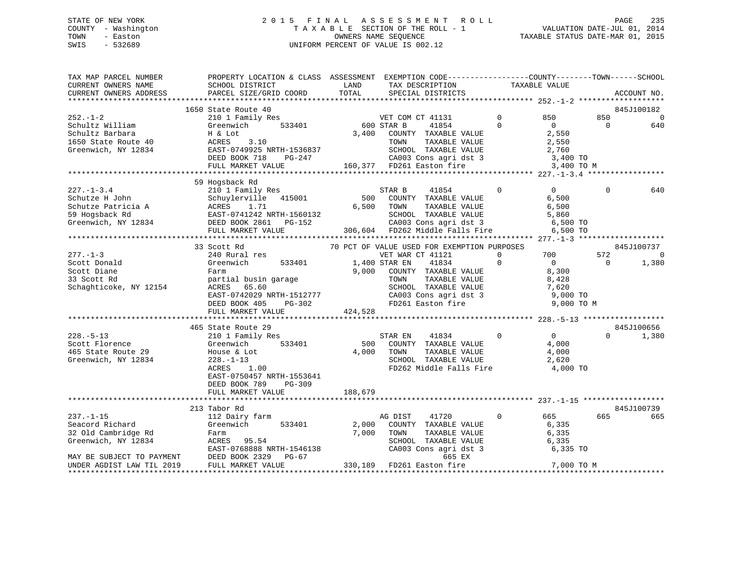# STATE OF NEW YORK 2 0 1 5 F I N A L A S S E S S M E N T R O L L PAGE 235 COUNTY - Washington T A X A B L E SECTION OF THE ROLL - 1 VALUATION DATE-JUL 01, 2014 TOWN - Easton OWNERS NAME SEQUENCE TAXABLE STATUS DATE-MAR 01, 2015 SWIS - 532689 UNIFORM PERCENT OF VALUE IS 002.12

| TAX MAP PARCEL NUMBER<br>CURRENT OWNERS NAME                                                                                                                             | PROPERTY LOCATION & CLASS ASSESSMENT EXEMPTION CODE---------------COUNTY-------TOWN------SCHOOL<br>SCHOOL DISTRICT                                                                                                                                                                                                               | LAND                             | TAX DESCRIPTION                                                                                                                                                                                                                                                                                                                                                  | TAXABLE VALUE                                                                                                                                                              |                             |                                                           |
|--------------------------------------------------------------------------------------------------------------------------------------------------------------------------|----------------------------------------------------------------------------------------------------------------------------------------------------------------------------------------------------------------------------------------------------------------------------------------------------------------------------------|----------------------------------|------------------------------------------------------------------------------------------------------------------------------------------------------------------------------------------------------------------------------------------------------------------------------------------------------------------------------------------------------------------|----------------------------------------------------------------------------------------------------------------------------------------------------------------------------|-----------------------------|-----------------------------------------------------------|
| CURRENT OWNERS ADDRESS                                                                                                                                                   | PARCEL SIZE/GRID COORD                                                                                                                                                                                                                                                                                                           | TOTAL                            | SPECIAL DISTRICTS                                                                                                                                                                                                                                                                                                                                                |                                                                                                                                                                            |                             | ACCOUNT NO.                                               |
|                                                                                                                                                                          | 1650 State Route 40                                                                                                                                                                                                                                                                                                              |                                  |                                                                                                                                                                                                                                                                                                                                                                  |                                                                                                                                                                            |                             | 845J100182                                                |
| $252. - 1 - 2$<br>Schultz William<br>Schultz Barbara<br>1650 State Route 40<br>Greenwich, NY 12834                                                                       | 210 1 Family Res<br>533401<br>Greenwich<br>H & Lot<br>ACRES<br>3.10<br>EAST-0749925 NRTH-1536837<br>DEED BOOK 718<br>PG-247<br>FULL MARKET VALUE                                                                                                                                                                                 | 600 STAR B                       | VET COM CT 41131<br>41854<br>3,400 COUNTY TAXABLE VALUE<br>TOWN<br>TAXABLE VALUE<br>SCHOOL TAXABLE VALUE<br>CA003 Cons agri dst 3<br>FD261 Easton fire<br>160,377 FD261 Easton fire                                                                                                                                                                              | $\mathbf 0$<br>850<br>$\Omega$<br>$\Omega$<br>2,550<br>2,550<br>2,760<br>3,400 TO<br>3,400 TO M                                                                            | 850<br>$\Omega$             | $\mathbf 0$<br>640                                        |
|                                                                                                                                                                          | 59 Hogsback Rd                                                                                                                                                                                                                                                                                                                   |                                  |                                                                                                                                                                                                                                                                                                                                                                  |                                                                                                                                                                            |                             |                                                           |
| $227. - 1 - 3.4$<br>Schutze H John<br>Schutze Patricia A<br>To Hommark Rd<br>Greenwich, NY 12834                                                                         | 210 1 Family Res<br>Schuylerville 415001<br>ACRES 1.71<br>EAST-0741242 NRTH-1560132<br>DEED BOOK 2861 PG-152<br>FULL MARKET VALUE                                                                                                                                                                                                | 500<br>6,500                     | STAR B<br>41854<br>COUNTY TAXABLE VALUE<br>TOWN<br>TAXABLE VALUE<br>SCHOOL TAXABLE VALUE<br>CA003 Cons agri dst 3<br>306,604 FD262 Middle Falls Fire                                                                                                                                                                                                             | $\Omega$<br>$\Omega$<br>6,500<br>6,500<br>5,860<br>6,500 TO<br>6,500 TO                                                                                                    | $\Omega$                    | 640                                                       |
|                                                                                                                                                                          |                                                                                                                                                                                                                                                                                                                                  |                                  |                                                                                                                                                                                                                                                                                                                                                                  |                                                                                                                                                                            |                             |                                                           |
| $277. - 1 - 3$<br>Scott Donald<br>Scott Diane<br>33 Scott Rd<br>Schaghticoke, NY 12154<br>$228. - 5 - 13$<br>Scott Florence<br>465 State Route 29<br>Greenwich, NY 12834 | 33 Scott Rd<br>240 Rural res<br>Greenwich<br>533401<br>Farm<br>partial busin garage<br>ACRES 65.60<br>EAST-0742029 NRTH-1512777<br>DEED BOOK 405<br>PG-302<br>FULL MARKET VALUE<br>465 State Route 29<br>210 1 Family Res<br>533401<br>Greenwich<br>House & Lot<br>$228. - 1 - 13$<br>ACRES<br>1.00<br>EAST-0750457 NRTH-1553641 | 9,000<br>424,528<br>500<br>4,000 | 70 PCT OF VALUE USED FOR EXEMPTION PURPOSES<br>VET WAR CT 41121<br>41834<br>1,400 STAR EN<br>COUNTY TAXABLE VALUE<br>TAXABLE VALUE<br>TOWN<br>SCHOOL TAXABLE VALUE<br>SCHOOL TAXABLE VALUE<br>CA003 Cons agri dst 3<br>FD261 Easton fire<br>STAR EN<br>41834<br>COUNTY TAXABLE VALUE<br>TOWN<br>TAXABLE VALUE<br>SCHOOL TAXABLE VALUE<br>FD262 Middle Falls Fire | $\Omega$<br>700<br>$\Omega$<br>$\bigcirc$<br>8,300<br>8,428<br>7,620<br>9,000 TO<br>9,000 TO M<br>$0 \qquad \qquad$<br>$\mathbf{0}$<br>4,000<br>4,000<br>2,620<br>4,000 TO | 572<br>$\Omega$<br>$\Omega$ | 845J100737<br>$\mathbf 0$<br>1,380<br>845J100656<br>1,380 |
|                                                                                                                                                                          | DEED BOOK 789<br>$PG-309$<br>FULL MARKET VALUE                                                                                                                                                                                                                                                                                   | 188,679                          |                                                                                                                                                                                                                                                                                                                                                                  |                                                                                                                                                                            |                             |                                                           |
|                                                                                                                                                                          |                                                                                                                                                                                                                                                                                                                                  |                                  |                                                                                                                                                                                                                                                                                                                                                                  |                                                                                                                                                                            |                             |                                                           |
| $237. - 1 - 15$<br>Seacord Richard<br>32 Old Cambridge Rd<br>Greenwich, NY 12834<br>MAY BE SUBJECT TO PAYMENT                                                            | 213 Tabor Rd<br>112 Dairy farm<br>533401<br>Greenwich<br>Farm<br>ACRES 95.54<br>EAST-0768888 NRTH-1546138<br>DEED BOOK 2329<br>PG-67                                                                                                                                                                                             | 2,000<br>7,000                   | AG DIST<br>41720<br>COUNTY TAXABLE VALUE<br>TOWN<br>TAXABLE VALUE<br>SCHOOL TAXABLE VALUE<br>CA003 Cons agri dst 3<br>665 EX                                                                                                                                                                                                                                     | $\mathbf{0}$<br>665 —<br>6,335<br>6,335<br>6,335<br>6,335 TO                                                                                                               | 665                         | 845J100739<br>665                                         |
| UNDER AGDIST LAW TIL 2019                                                                                                                                                | FULL MARKET VALUE                                                                                                                                                                                                                                                                                                                |                                  | 330,189 FD261 Easton fire                                                                                                                                                                                                                                                                                                                                        | 7,000 TO M                                                                                                                                                                 |                             |                                                           |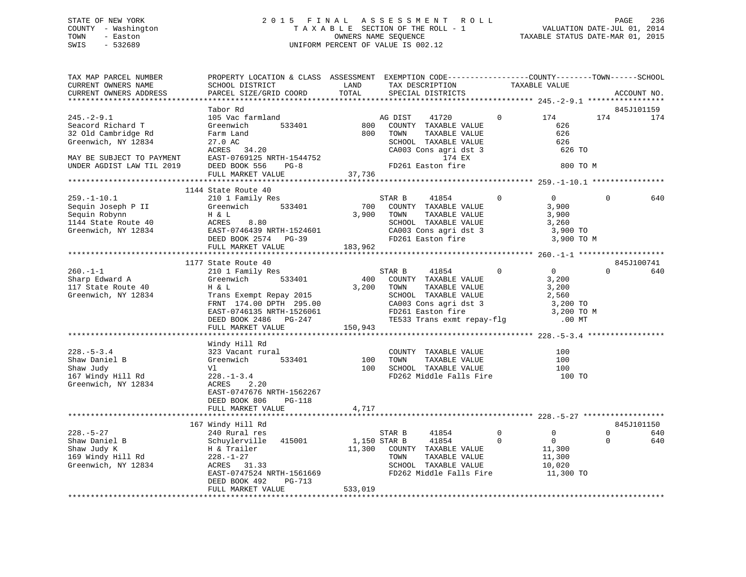# STATE OF NEW YORK 2 0 1 5 F I N A L A S S E S S M E N T R O L L PAGE 236 COUNTY - Washington T A X A B L E SECTION OF THE ROLL - 1 VALUATION DATE-JUL 01, 2014 TOWN - Easton **CONNERS NAME SEQUENCE** TAXABLE STATUS DATE-MAR 01, 2015 SWIS - 532689 UNIFORM PERCENT OF VALUE IS 002.12

| TAX MAP PARCEL NUMBER<br>CURRENT OWNERS NAME<br>CURRENT OWNERS ADDRESS | PROPERTY LOCATION & CLASS ASSESSMENT EXEMPTION CODE----------------COUNTY-------TOWN------SCHOOL<br>SCHOOL DISTRICT                                                                                        | LAND<br>TOTAL |         | TAX DESCRIPTION                                                    | TAXABLE VALUE  |                   |             |             |
|------------------------------------------------------------------------|------------------------------------------------------------------------------------------------------------------------------------------------------------------------------------------------------------|---------------|---------|--------------------------------------------------------------------|----------------|-------------------|-------------|-------------|
|                                                                        | PARCEL SIZE/GRID COORD                                                                                                                                                                                     |               |         | SPECIAL DISTRICTS                                                  |                |                   |             | ACCOUNT NO. |
|                                                                        | Tabor Rd                                                                                                                                                                                                   |               |         |                                                                    |                |                   |             | 845J101159  |
| $245. - 2 - 9.1$                                                       | 105 Vac farmland                                                                                                                                                                                           |               | AG DIST | 41720                                                              | $\mathbf{0}$   | 174               | 174         | 174         |
| Seacord Richard T                                                      | Greenwich<br>533401                                                                                                                                                                                        | 800           |         | COUNTY TAXABLE VALUE                                               |                | 626               |             |             |
| 32 Old Cambridge Rd                                                    | Farm Land                                                                                                                                                                                                  | 800           | TOWN    | TAXABLE VALUE                                                      |                | 626               |             |             |
| Greenwich, NY 12834                                                    | 27.0 AC                                                                                                                                                                                                    |               |         | SCHOOL TAXABLE VALUE                                               |                | 626               |             |             |
|                                                                        | ACRES 34.20                                                                                                                                                                                                |               |         | CA003 Cons agri dst 3<br>174 EX                                    |                | 626 TO            |             |             |
| MAY BE SUBJECT TO PAYMENT                                              | EAST-0769125 NRTH-1544752                                                                                                                                                                                  |               |         |                                                                    |                |                   |             |             |
| UNDER AGDIST LAW TIL 2019                                              | DEED BOOK 556<br>$PG-8$                                                                                                                                                                                    |               |         | FD261 Easton fire                                                  |                | 800 TO M          |             |             |
|                                                                        | FULL MARKET VALUE                                                                                                                                                                                          | 37,736        |         |                                                                    |                |                   |             |             |
|                                                                        |                                                                                                                                                                                                            |               |         |                                                                    |                |                   |             |             |
|                                                                        | 1144 State Route 40                                                                                                                                                                                        |               | STAR B  | 41854                                                              | $\overline{0}$ | $0 \qquad \qquad$ | 0           | 640         |
|                                                                        | 259.-1-10.1<br>Sequin Joseph P II (Speedwich 1933401 700<br>Sequin Robynn H & L 3,900<br>1144 State Route 40 (Speedwich, NY 12834 EAST-0746439 NRTH-1524601 (Speedwich, NY 12834 EAST-0746439 NRTH-1524601 | 700           |         | COUNTY TAXABLE VALUE                                               |                | 3,900             |             |             |
|                                                                        |                                                                                                                                                                                                            |               | TOWN    | TAXABLE VALUE                                                      |                | 3,900             |             |             |
|                                                                        |                                                                                                                                                                                                            |               |         | SCHOOL TAXABLE VALUE                                               |                | 3,260             |             |             |
|                                                                        |                                                                                                                                                                                                            |               |         |                                                                    |                | 3,900 TO          |             |             |
|                                                                        |                                                                                                                                                                                                            |               |         | CA003 Cons agri dst 3<br>FD261 Easton fire                         |                | 3,900 TO M        |             |             |
|                                                                        | FULL MARKET VALUE                                                                                                                                                                                          | 183,962       |         |                                                                    |                |                   |             |             |
|                                                                        |                                                                                                                                                                                                            |               |         |                                                                    |                |                   |             |             |
|                                                                        | 1177 State Route 40                                                                                                                                                                                        |               |         |                                                                    |                |                   |             | 845J100741  |
| $260. -1 - 1$                                                          | 210 1 Family Res                                                                                                                                                                                           |               | STAR B  | 41854 0                                                            |                | $\overline{0}$    | $\Omega$    | 640         |
| Sharp Edward A                                                         | 533401<br>Greenwich                                                                                                                                                                                        | 400           |         | COUNTY TAXABLE VALUE                                               |                | 3,200             |             |             |
| 117 State Route 40                                                     | Green<br>H & L                                                                                                                                                                                             | 3,200         | TOWN    | TAXABLE VALUE                                                      |                | 3,200             |             |             |
| Greenwich, NY 12834                                                    | Trans Exempt Repay 2015                                                                                                                                                                                    |               |         | SCHOOL TAXABLE VALUE                                               |                | 2,560             |             |             |
|                                                                        | FRNT 174.00 DPTH 295.00                                                                                                                                                                                    |               |         |                                                                    |                | $3,200$ TO        |             |             |
|                                                                        | EAST-0746135 NRTH-1526061                                                                                                                                                                                  |               |         | SCHOOL TAXABLE VALUE<br>CA003 Cons agri dst 3<br>FD261 Easton fire |                | 3,200 TO M        |             |             |
|                                                                        | DEED BOOK 2486 PG-247                                                                                                                                                                                      |               |         | TE533 Trans exmt repay-flg .00 MT                                  |                |                   |             |             |
|                                                                        | FULL MARKET VALUE                                                                                                                                                                                          | 150,943       |         |                                                                    |                |                   |             |             |
|                                                                        |                                                                                                                                                                                                            |               |         |                                                                    |                |                   |             |             |
|                                                                        | Windy Hill Rd                                                                                                                                                                                              |               |         |                                                                    |                |                   |             |             |
| $228. - 5 - 3.4$                                                       | 323 Vacant rural                                                                                                                                                                                           |               |         | COUNTY TAXABLE VALUE                                               |                | 100               |             |             |
|                                                                        | 533401<br>Greenwich                                                                                                                                                                                        | 100           | TOWN    | TAXABLE VALUE                                                      |                | 100               |             |             |
| Shaw Daniel B<br>Shaw Judy<br>167 Windy Hill Rd                        | Vl                                                                                                                                                                                                         | 100           |         | SCHOOL TAXABLE VALUE                                               |                | 100               |             |             |
|                                                                        | $228. - 1 - 3.4$                                                                                                                                                                                           |               |         | FD262 Middle Falls Fire 100 TO                                     |                |                   |             |             |
| Greenwich, NY 12834                                                    | ACRES<br>2.20                                                                                                                                                                                              |               |         |                                                                    |                |                   |             |             |
|                                                                        | EAST-0747676 NRTH-1562267                                                                                                                                                                                  |               |         |                                                                    |                |                   |             |             |
|                                                                        | DEED BOOK 806<br>PG-118                                                                                                                                                                                    |               |         |                                                                    |                |                   |             |             |
|                                                                        | FULL MARKET VALUE                                                                                                                                                                                          | 4,717         |         |                                                                    |                |                   |             |             |
|                                                                        |                                                                                                                                                                                                            |               |         |                                                                    |                |                   |             | 845J101150  |
| $228. - 5 - 27$                                                        | 167 Windy Hill Rd<br>240 Rural res                                                                                                                                                                         |               | STAR B  | 41854                                                              | $\overline{0}$ | $\mathbf 0$       | $\Omega$    | 640         |
| Shaw Daniel B                                                          |                                                                                                                                                                                                            | 1,150 STAR B  |         | 41854                                                              | $\overline{0}$ | $\overline{0}$    | $\mathbf 0$ | 640         |
| Shaw Judy K                                                            | Schuylerville 415001<br>H & Trailer                                                                                                                                                                        |               |         | 11,300 COUNTY TAXABLE VALUE                                        |                | 11,300            |             |             |
| 169 Windy Hill Rd                                                      |                                                                                                                                                                                                            |               | TOWN    | TAXABLE VALUE                                                      |                | 11,300            |             |             |
| Greenwich, NY 12834                                                    | $228 - 1 - 27$<br>ACRES 31.33                                                                                                                                                                              |               |         | SCHOOL TAXABLE VALUE                                               |                | 10,020            |             |             |
|                                                                        | EAST-0747524 NRTH-1561669                                                                                                                                                                                  |               |         | FD262 Middle Falls Fire                                            |                | 11,300 TO         |             |             |
|                                                                        | DEED BOOK 492<br>PG-713                                                                                                                                                                                    |               |         |                                                                    |                |                   |             |             |
|                                                                        | FULL MARKET VALUE                                                                                                                                                                                          | 533,019       |         |                                                                    |                |                   |             |             |
|                                                                        |                                                                                                                                                                                                            |               |         |                                                                    |                |                   |             |             |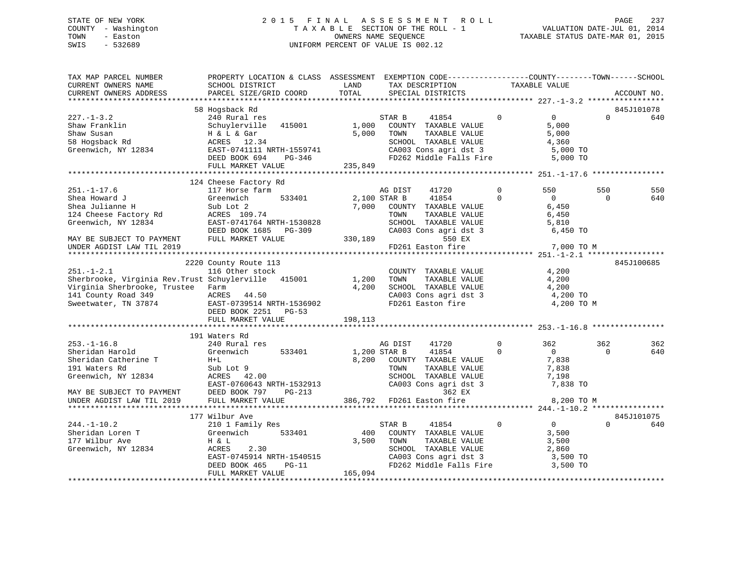# STATE OF NEW YORK 2 0 1 5 F I N A L A S S E S S M E N T R O L L PAGE 237 COUNTY - Washington T A X A B L E SECTION OF THE ROLL - 1 VALUATION DATE-JUL 01, 2014 TOWN - Easton **CONNERS NAME SEQUENCE** TAXABLE STATUS DATE-MAR 01, 2015 SWIS - 532689 UNIFORM PERCENT OF VALUE IS 002.12

| TAX MAP PARCEL NUMBER<br>CURRENT OWNERS NAME                                                                                                                 | PROPERTY LOCATION & CLASS ASSESSMENT EXEMPTION CODE----------------COUNTY-------TOWN------SCHOOL<br>SCHOOL DISTRICT                                | LAND                      | TAX DESCRIPTION                                                                                                    |                                                   |                          | TAXABLE VALUE                                                     |                 |             |
|--------------------------------------------------------------------------------------------------------------------------------------------------------------|----------------------------------------------------------------------------------------------------------------------------------------------------|---------------------------|--------------------------------------------------------------------------------------------------------------------|---------------------------------------------------|--------------------------|-------------------------------------------------------------------|-----------------|-------------|
| CURRENT OWNERS ADDRESS                                                                                                                                       | PARCEL SIZE/GRID COORD                                                                                                                             | TOTAL                     | SPECIAL DISTRICTS                                                                                                  |                                                   |                          |                                                                   |                 | ACCOUNT NO. |
|                                                                                                                                                              | 58 Hogsback Rd                                                                                                                                     |                           |                                                                                                                    |                                                   |                          |                                                                   |                 | 845J101078  |
| $227. - 1 - 3.2$<br>Shaw Franklin<br>Shaw Susan<br>58 Hogsback Rd<br>Greenwich, NY 12834 EAST-0741111 NRTH-1559741                                           | 240 Rural res<br>Schuylerville 415001<br>H & L & Gar<br>ACRES 12.34<br>DEED BOOK 694<br>PG-346<br>FULL MARKET VALUE                                | 1,000<br>5,000<br>235,849 | STAR B<br>COUNTY TAXABLE VALUE<br>TOWN<br>SCHOOL TAXABLE VALUE<br>CA003 Cons agri dst 3<br>FD262 Middle Falls Fire | 41854<br>TAXABLE VALUE                            | $\Omega$                 | $\overline{0}$<br>5,000<br>5,000<br>4,360<br>5,000 TO<br>5,000 TO | $\Omega$        | 640         |
|                                                                                                                                                              |                                                                                                                                                    |                           |                                                                                                                    |                                                   |                          |                                                                   |                 |             |
| $251. - 1 - 17.6$<br>Shea Howard J<br>Shea Julianne H<br>124 Cheese Factory Rd<br>Greenwich, NY 12834                                                        | 124 Cheese Factory Rd<br>117 Horse farm<br>533401<br>Greenwich<br>Sub Lot 2<br>ACRES 109.74<br>EAST-0741764 NRTH-1530828<br>DEED BOOK 1685 PG-309  | 2,100 STAR B<br>7,000     | AG DIST<br>COUNTY TAXABLE VALUE<br>TOWN<br>SCHOOL TAXABLE VALUE<br>CA003 Cons agri dst 3                           | 41720<br>41854<br>TAXABLE VALUE                   | $\mathbf{0}$<br>$\Omega$ | 550<br>$\Omega$<br>6,450<br>6,450<br>5,810<br>6,450 TO            | 550<br>$\Omega$ | 550<br>640  |
| MAY BE SUBJECT TO PAYMENT                                                                                                                                    | FULL MARKET VALUE                                                                                                                                  | 330,189                   |                                                                                                                    | 550 EX                                            |                          |                                                                   |                 |             |
| UNDER AGDIST LAW TIL 2019                                                                                                                                    |                                                                                                                                                    |                           | FD261 Easton fire                                                                                                  |                                                   |                          | 7,000 TO M                                                        |                 |             |
|                                                                                                                                                              | 2220 County Route 113                                                                                                                              |                           |                                                                                                                    |                                                   |                          |                                                                   |                 | 845J100685  |
| $251. - 1 - 2.1$<br>Sherbrooke, Virginia Rev. Trust Schuylerville 415001<br>Virginia Sherbrooke, Trustee Farm<br>141 County Road 349<br>Sweetwater, TN 37874 | 116 Other stock<br>ACRES 44.50<br>EAST-0739514 NRTH-1536902<br>DEED BOOK 2251 PG-53<br>FULL MARKET VALUE                                           | 1,200<br>4,200<br>198,113 | COUNTY TAXABLE VALUE<br>TOWN<br>SCHOOL TAXABLE VALUE<br>CA003 Cons agri dst 3                                      | TAXABLE VALUE                                     |                          | 4,200<br>4,200<br>4,200<br>4,200 TO<br>4,200 TO M                 |                 |             |
|                                                                                                                                                              |                                                                                                                                                    |                           |                                                                                                                    |                                                   |                          |                                                                   |                 |             |
| $253. - 1 - 16.8$<br>Sheridan Harold<br>Sheridan Catherine T<br>191 Waters Rd<br>Greenwich, NY 12834                                                         | 191 Waters Rd<br>240 Rural res<br>533401<br>Greenwich<br>$H+L$<br>Sub Lot 9<br>ACRES<br>42.00<br>EAST-0760643 NRTH-1532913<br>DEED DOOK 797 DG-213 | 1,200 STAR B<br>8,200     | AG DIST<br>COUNTY TAXABLE VALUE<br>TOWN<br>SCHOOL TAXABLE VALUE<br>CA003 Cons agri dst 3                           | 41720<br>41854<br>TAXABLE VALUE                   | $\Omega$<br>$\Omega$     | 362<br>$\overline{0}$<br>7,838<br>7,838<br>7,198<br>7,838 TO      | 362<br>$\Omega$ | 362<br>640  |
| MAY BE SUBJECT TO PAYMENT<br>UNDER AGDIST LAW TIL 2019                                                                                                       | DEED BOOK 797<br>PG-213<br>FULL MARKET VALUE                                                                                                       |                           | 386,792 FD261 Easton fire                                                                                          | 362 EX                                            |                          | 8,200 TO M                                                        |                 |             |
|                                                                                                                                                              | 177 Wilbur Ave                                                                                                                                     |                           |                                                                                                                    |                                                   |                          |                                                                   |                 | 845J101075  |
| $244. - 1 - 10.2$<br>Sheridan Loren T<br>177 Wilbur Ave<br>Greenwich, NY 12834                                                                               | 210 1 Family Res<br>533401<br>Greenwich<br>H & L<br>2.30<br>ACRES<br>EAST-0745914 NRTH-1540515<br>DEED BOOK 465<br>$PG-11$<br>FULL MARKET VALUE    | 400<br>3,500<br>165,094   | STAR B<br>COUNTY TAXABLE VALUE<br>TOWN<br>SCHOOL TAXABLE VALUE<br>CA003 Cons agri dst 3                            | 41854<br>TAXABLE VALUE<br>FD262 Middle Falls Fire | $\overline{0}$           | $\overline{0}$<br>3,500<br>3,500<br>2,860<br>3,500 TO<br>3,500 TO | $\Omega$        | 640         |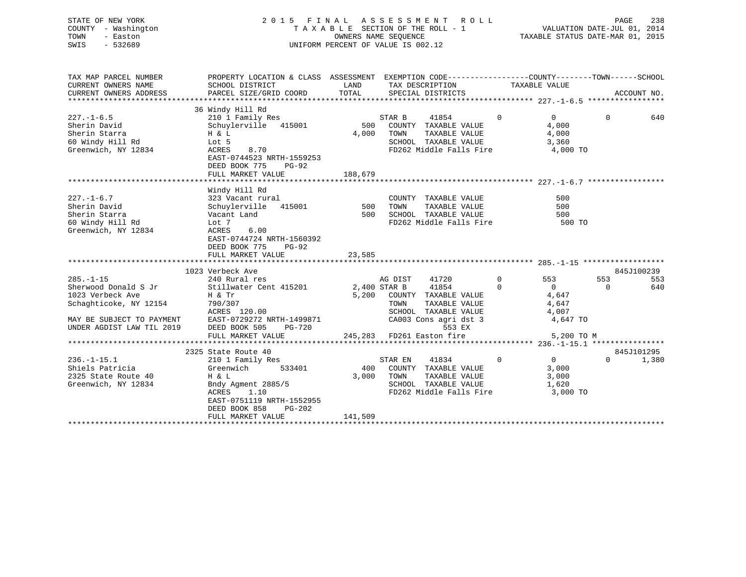| STATE OF NEW YORK   | 2015 FINAL ASSESSMENT ROLL         | -238<br>PAGE                     |
|---------------------|------------------------------------|----------------------------------|
| COUNTY - Washington | TAXABLE SECTION OF THE ROLL - 1    | VALUATION DATE-JUL 01, 2014      |
| TOWN<br>- Easton    | OWNERS NAME SEOUENCE               | TAXABLE STATUS DATE-MAR 01, 2015 |
| $-532689$<br>SWIS   | UNIFORM PERCENT OF VALUE IS 002.12 |                                  |

| TAX MAP PARCEL NUMBER                                | PROPERTY LOCATION & CLASS ASSESSMENT EXEMPTION CODE----------------COUNTY-------TOWN------SCHOOL                                                                                     |         |                                  |                |                |          |             |
|------------------------------------------------------|--------------------------------------------------------------------------------------------------------------------------------------------------------------------------------------|---------|----------------------------------|----------------|----------------|----------|-------------|
| CURRENT OWNERS NAME                                  | SCHOOL DISTRICT                                                                                                                                                                      |         | LAND TAX DESCRIPTION             |                | TAXABLE VALUE  |          |             |
| CURRENT OWNERS ADDRESS                               | PARCEL SIZE/GRID COORD                                                                                                                                                               | TOTAL   | SPECIAL DISTRICTS                |                |                |          | ACCOUNT NO. |
|                                                      |                                                                                                                                                                                      |         |                                  |                |                |          |             |
| $227. - 1 - 6.5$                                     | 36 Windy Hill Rd<br>210 1 Family Res                                                                                                                                                 |         | STAR B<br>41854 0                |                | $\overline{0}$ | $\Omega$ | 640         |
| Sherin David                                         | Schuylerville 415001<br>H & L                                                                                                                                                        |         | 500 COUNTY TAXABLE VALUE         |                | 4,000          |          |             |
| Sherin Starra                                        |                                                                                                                                                                                      | 4,000   | TOWN<br>TAXABLE VALUE            |                | 4,000          |          |             |
| 60 Windy Hill Rd                                     | Lot 5                                                                                                                                                                                |         | SCHOOL TAXABLE VALUE             |                | 3,360          |          |             |
| Greenwich, NY 12834                                  | ACRES<br>8.70<br>EAST-0744523 NRTH-1559253<br>DEED BOOK 775 PG-92                                                                                                                    |         | FD262 Middle Falls Fire 4,000 TO |                |                |          |             |
|                                                      | FULL MARKET VALUE                                                                                                                                                                    | 188,679 |                                  |                |                |          |             |
|                                                      |                                                                                                                                                                                      |         |                                  |                |                |          |             |
|                                                      | Windy Hill Rd                                                                                                                                                                        |         |                                  |                |                |          |             |
| $227. - 1 - 6.7$<br>Sherin David                     | 323 Vacant rural                                                                                                                                                                     |         | TAXABLE VALUE<br>TAXABLE VALUE   |                | 500<br>500     |          |             |
|                                                      | Schuylerville 415001                                                                                                                                                                 |         |                                  |                | 500            |          |             |
| Sherin Starra                                        | Vacant Land                                                                                                                                                                          |         | FD262 Middle Falls Fire 500 TO   |                |                |          |             |
| 60 Windy Hill Rd                                     | Lot 7                                                                                                                                                                                |         |                                  |                |                |          |             |
| Greenwich, NY 12834                                  | ACRES<br>6.00                                                                                                                                                                        |         |                                  |                |                |          |             |
|                                                      | EAST-0744724 NRTH-1560392<br>DEED BOOK 775<br>$PG-92$                                                                                                                                |         |                                  |                |                |          |             |
|                                                      |                                                                                                                                                                                      | 23,585  |                                  |                |                |          |             |
|                                                      | FULL MARKET VALUE                                                                                                                                                                    |         |                                  |                |                |          |             |
|                                                      | 1023 Verbeck Ave                                                                                                                                                                     |         |                                  |                |                |          | 845J100239  |
| $285. - 1 - 15$                                      | 240 Rural res                                                                                                                                                                        |         | 41720 0<br>AG DIST               |                | 553            | 553      | 553         |
| Sherwood Donald S Jr                                 | Stillwater Cent 415201 2,400 STAR B 41854 0                                                                                                                                          |         |                                  |                | $\overline{0}$ | $\Omega$ | 640         |
| 1023 Verbeck Ave                                     | Η & Tr                                                                                                                                                                               |         | 5,200 COUNTY TAXABLE VALUE       |                | 4,647          |          |             |
|                                                      |                                                                                                                                                                                      |         | TAXABLE VALUE<br>TOWN            |                | 4,647          |          |             |
|                                                      | Schaghticoke, NY 12154<br>MAY BE SUBJECT TO PAYMENT<br>MAY BE SUBJECT TO PAYMENT<br>MAY BE SUBJECT TO PAYMENT<br>EAST-0729272 NRTH-1499871<br>DEED BOOK 505 PG-720                   |         |                                  |                |                |          |             |
|                                                      |                                                                                                                                                                                      |         |                                  |                | 4,647 TO       |          |             |
|                                                      |                                                                                                                                                                                      |         |                                  |                |                |          |             |
|                                                      | ACRES 120.00 SCHOOL TAXABLE VALUE 4,007<br>EAST-0729272 NRTH-1499871 CA003 Cons agri dst 3 4,647<br>DEED BOOK 505 PG-720 553 EX<br>FULL MARKET VALUE 245,283 FD261 Easton fire 5,200 |         |                                  |                | 5,200 TO M     |          |             |
|                                                      |                                                                                                                                                                                      |         |                                  |                |                |          |             |
|                                                      | 2325 State Route 40                                                                                                                                                                  |         |                                  |                |                |          | 845J101295  |
| $236. - 1 - 15.1$                                    | 210 1 Family Res                                                                                                                                                                     |         | 41834<br>STAR EN                 | $\overline{0}$ | $\overline{0}$ | $\Omega$ | 1,380       |
|                                                      | 533401                                                                                                                                                                               |         | 400 COUNTY TAXABLE VALUE         |                | 3,000          |          |             |
| Shiels Patricia (Greenwich 2325 State Route 40 H & L |                                                                                                                                                                                      |         | 3,000 TOWN<br>TAXABLE VALUE      |                | 3,000          |          |             |
| Greenwich, NY 12834                                  | Bndy Agment 2885/5                                                                                                                                                                   |         | SCHOOL TAXABLE VALUE 1,620       |                |                |          |             |
|                                                      | 1.10<br>ACRES                                                                                                                                                                        |         | FD262 Middle Falls Fire 3,000 TO |                |                |          |             |
|                                                      | EAST-0751119 NRTH-1552955                                                                                                                                                            |         |                                  |                |                |          |             |
|                                                      | DEED BOOK 858<br>PG-202                                                                                                                                                              |         |                                  |                |                |          |             |
|                                                      | FULL MARKET VALUE                                                                                                                                                                    | 141,509 |                                  |                |                |          |             |
|                                                      |                                                                                                                                                                                      |         |                                  |                |                |          |             |
|                                                      |                                                                                                                                                                                      |         |                                  |                |                |          |             |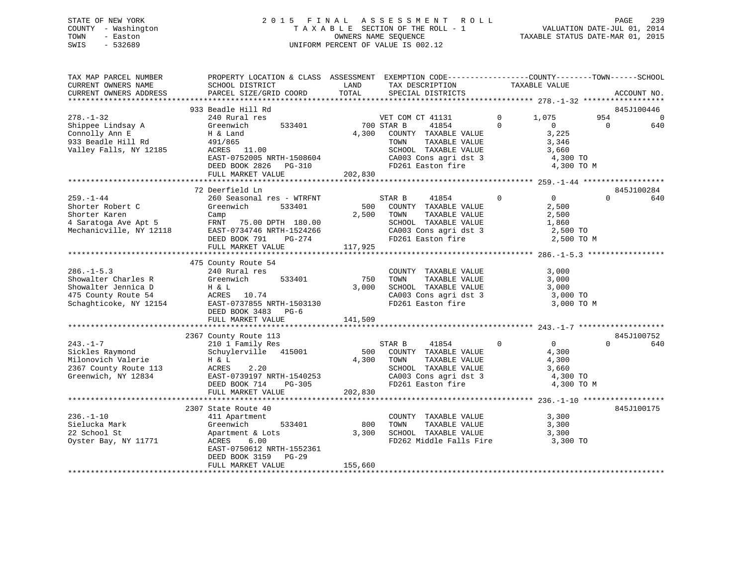# STATE OF NEW YORK 2 0 1 5 F I N A L A S S E S S M E N T R O L L PAGE 239 COUNTY - Washington T A X A B L E SECTION OF THE ROLL - 1 VALUATION DATE-JUL 01, 2014 TOWN - Easton OWNERS NAME SEQUENCE TAXABLE STATUS DATE-MAR 01, 2015 SWIS - 532689 UNIFORM PERCENT OF VALUE IS 002.12

| SCHOOL DISTRICT<br>PARCEL SIZE/GRID COORD                                                                                                                          | LAND<br>TOTAL                                                                                                                                                                                   | TAX DESCRIPTION<br>SPECIAL DISTRICTS                                                                                                   | TAXABLE VALUE                                                                       | ACCOUNT NO.                                                                                                                                                                                            |
|--------------------------------------------------------------------------------------------------------------------------------------------------------------------|-------------------------------------------------------------------------------------------------------------------------------------------------------------------------------------------------|----------------------------------------------------------------------------------------------------------------------------------------|-------------------------------------------------------------------------------------|--------------------------------------------------------------------------------------------------------------------------------------------------------------------------------------------------------|
|                                                                                                                                                                    |                                                                                                                                                                                                 |                                                                                                                                        |                                                                                     |                                                                                                                                                                                                        |
| 240 Rural res<br>533401<br>Greenwich                                                                                                                               |                                                                                                                                                                                                 | 41854                                                                                                                                  | $\mathbf 0$<br>1,075<br>$\Omega$<br>$\overline{0}$                                  | 845J100446<br>954<br>$\mathbf 0$<br>640<br>$\Omega$                                                                                                                                                    |
| H & Land<br>491/865<br>ACRES 11.00<br>EAST-0752005 NRTH-1508604<br>DEED BOOK 2826 PG-310                                                                           | 4,300                                                                                                                                                                                           | COUNTY TAXABLE VALUE<br>TAXABLE VALUE<br>TOWN<br>SCHOOL TAXABLE VALUE<br>CA003 Cons agri dst 3<br>FD261 Easton fire                    | 3,225<br>3,346<br>3,660<br>4,300 TO<br>4,300 TO M                                   |                                                                                                                                                                                                        |
|                                                                                                                                                                    |                                                                                                                                                                                                 |                                                                                                                                        |                                                                                     |                                                                                                                                                                                                        |
|                                                                                                                                                                    |                                                                                                                                                                                                 |                                                                                                                                        |                                                                                     | 845J100284                                                                                                                                                                                             |
| 260 Seasonal res - WTRFNT<br>Greenwich<br>533401<br>Camp<br>FRNT<br>75.00 DPTH 180.00<br>EAST-0734746 NRTH-1524266<br>DEED BOOK 791<br>PG-274<br>FULL MARKET VALUE | 500<br>2,500<br>117,925                                                                                                                                                                         | 41854<br>STAR B<br>COUNTY TAXABLE VALUE<br>TOWN<br>TAXABLE VALUE<br>SCHOOL TAXABLE VALUE<br>FD261 Easton fire                          | $\mathbf 0$<br>$\overline{0}$<br>2,500<br>2,500<br>1,860<br>2,500 TO<br>2,500 TO M  | 640<br>$\Omega$                                                                                                                                                                                        |
|                                                                                                                                                                    |                                                                                                                                                                                                 |                                                                                                                                        |                                                                                     |                                                                                                                                                                                                        |
| 240 Rural res<br>533401<br>Greenwich<br>H & L<br>ACRES 10.74<br>EAST-0737855 NRTH-1503130<br>DEED BOOK 3483<br>$PG-6$                                              | 750<br>3,000                                                                                                                                                                                    | COUNTY TAXABLE VALUE<br>TAXABLE VALUE<br>TOWN<br>SCHOOL TAXABLE VALUE<br>FD261 Easton fire                                             | 3,000<br>3,000<br>3,000<br>3,000 TO<br>3,000 TO M                                   |                                                                                                                                                                                                        |
|                                                                                                                                                                    |                                                                                                                                                                                                 |                                                                                                                                        |                                                                                     |                                                                                                                                                                                                        |
|                                                                                                                                                                    |                                                                                                                                                                                                 |                                                                                                                                        |                                                                                     | 845J100752                                                                                                                                                                                             |
| 210 1 Family Res<br>Schuylerville 415001<br>H & L<br>ACRES<br>2.20<br>EAST-0739197 NRTH-1540253<br>DEED BOOK 714<br>PG-305                                         | 4,300                                                                                                                                                                                           | STAR B<br>41854<br>COUNTY TAXABLE VALUE<br>TOWN<br>TAXABLE VALUE<br>SCHOOL TAXABLE VALUE<br>CA003 Cons agri dst 3<br>FD261 Easton fire | $\mathbf{0}$<br>$\overline{0}$<br>4,300<br>4,300<br>3,660<br>4,300 TO<br>4,300 TO M | $\Omega$<br>640                                                                                                                                                                                        |
|                                                                                                                                                                    |                                                                                                                                                                                                 |                                                                                                                                        |                                                                                     |                                                                                                                                                                                                        |
| 411 Apartment<br>533401<br>Greenwich                                                                                                                               | 800<br>3,300                                                                                                                                                                                    | TOWN<br>TAXABLE VALUE<br>SCHOOL TAXABLE VALUE                                                                                          | 3,300<br>3,300<br>3,300                                                             | 845J100175                                                                                                                                                                                             |
| ACRES<br>6.00<br>EAST-0750612 NRTH-1552361<br>DEED BOOK 3159<br>$PG-29$<br>FULL MARKET VALUE                                                                       | 155,660                                                                                                                                                                                         |                                                                                                                                        | 3,300 TO                                                                            |                                                                                                                                                                                                        |
|                                                                                                                                                                    | 933 Beadle Hill Rd<br>FULL MARKET VALUE<br>72 Deerfield Ln<br>475 County Route 54<br>FULL MARKET VALUE<br>2367 County Route 113<br>FULL MARKET VALUE<br>2307 State Route 40<br>Apartment & Lots | 141,509<br>202,830                                                                                                                     | VET COM CT 41131<br>700 STAR B<br>202,830<br>500                                    | PROPERTY LOCATION & CLASS ASSESSMENT EXEMPTION CODE-----------------COUNTY-------TOWN------SCHOOL<br>CA003 Cons agri dst 3<br>CA003 Cons agri dst 3<br>COUNTY TAXABLE VALUE<br>FD262 Middle Falls Fire |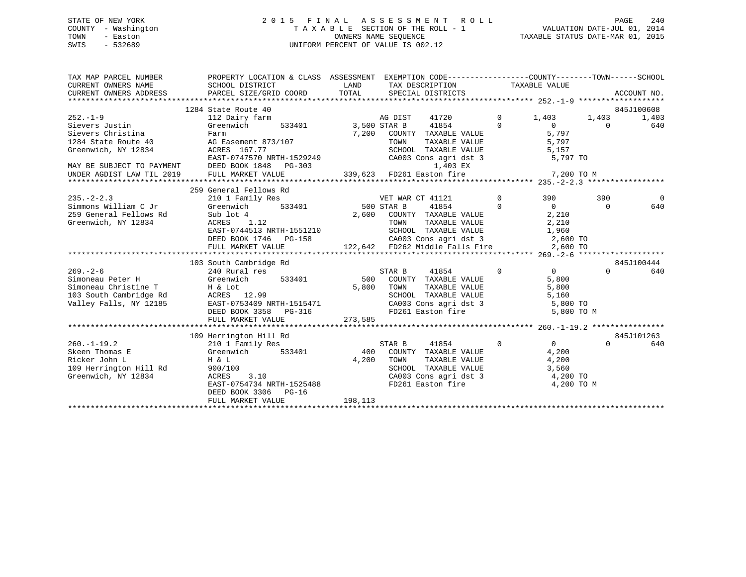# STATE OF NEW YORK 2 0 1 5 F I N A L A S S E S S M E N T R O L L PAGE 240 COUNTY - Washington T A X A B L E SECTION OF THE ROLL - 1 VALUATION DATE-JUL 01, 2014 TOWN - Easton OWNERS NAME SEQUENCE TAXABLE STATUS DATE-MAR 01, 2015 SWIS - 532689 UNIFORM PERCENT OF VALUE IS 002.12

| TAX MAP PARCEL NUMBER<br>CURRENT OWNERS NAME                                              | SCHOOL DISTRICT                | PROPERTY LOCATION & CLASS ASSESSMENT EXEMPTION CODE---------------COUNTY-------TOWN-----SCHOOL<br>LAND<br>TAX DESCRIPTION TAXABLE VALUE     |                              | ACCOUNT NO.     |
|-------------------------------------------------------------------------------------------|--------------------------------|---------------------------------------------------------------------------------------------------------------------------------------------|------------------------------|-----------------|
|                                                                                           | 1284 State Route 40            |                                                                                                                                             |                              | 845J100608      |
| $252. - 1 - 9$                                                                            | 112 Dairy farm                 | AG DIST<br>41720                                                                                                                            | $\overline{0}$<br>1,403      | 1,403<br>1,403  |
| Sievers Justin                                                                            | Greenwich<br>533401            | 41854<br>3,500 STAR B                                                                                                                       | $\Omega$<br>$\overline{0}$   | 640<br>$\Omega$ |
| Sievers Christina                                                                         | Farm                           | 7,200 COUNTY TAXABLE VALUE                                                                                                                  | 5,797                        |                 |
| 1284 State Route 40                                                                       | AG Easement 873/107            | TAXABLE VALUE<br>TAXABLE VALUE<br>TOWN                                                                                                      | 5,797                        |                 |
| Greenwich, NY 12834                                                                       | ACRES 167.77                   | SCHOOL TAXABLE VALUE 5,157<br>CA003 Cons agri dst 3 5,797 TO                                                                                |                              |                 |
|                                                                                           |                                |                                                                                                                                             |                              |                 |
| MAY BE SUBJECT TO PAYMENT DEED BOOK 1848 I<br>UNDER AGDIST LAW TIL 2019 FULL MARKET VALUE |                                | EAST-0747570 NRTH-1529249<br>DEED BOOK 1848 PG-303 (2003 Cons agri dst 3 5,797 TO<br>FULL MARKET VALUE 339,623 FD261 Easton fire 7,200 TO M |                              |                 |
|                                                                                           |                                |                                                                                                                                             |                              |                 |
|                                                                                           | 259 General Fellows Rd         |                                                                                                                                             |                              |                 |
| $235. - 2 - 2.3$                                                                          | 210 1 Family Res               | VET WAR CT 41121                                                                                                                            | $\overline{0}$<br>390        | 390<br>$\Omega$ |
| Simmons William C Jr                                                                      | з<br>533401<br>Greenwich       | 500 STAR B<br>41854                                                                                                                         | $\overline{0}$<br>$\bigcirc$ | 640<br>$\Omega$ |
| 259 General Fellows Rd                                                                    | Sub lot 4                      | 2,600<br>COUNTY TAXABLE VALUE                                                                                                               | 2,210                        |                 |
| Greenwich, NY 12834                                                                       | ACRES<br>1.12                  | TOWN<br>TAXABLE VALUE                                                                                                                       | 2,210                        |                 |
|                                                                                           |                                |                                                                                                                                             |                              |                 |
|                                                                                           |                                |                                                                                                                                             |                              |                 |
|                                                                                           |                                |                                                                                                                                             |                              |                 |
|                                                                                           |                                |                                                                                                                                             |                              |                 |
|                                                                                           | 103 South Cambridge Rd         |                                                                                                                                             |                              | 845J100444      |
| $269. - 2 - 6$                                                                            | 240 Rural res<br>res<br>533401 | STAR B 41854                                                                                                                                | $\overline{0}$<br>$\Omega$   | $\Omega$<br>640 |
| Simoneau Peter H                                                                          | Greenwich                      | 500 COUNTY TAXABLE VALUE                                                                                                                    | 5,800                        |                 |
| Simoneau Christine T H & Lot                                                              |                                | 5,800<br>TOWN<br>TAXABLE VALUE                                                                                                              | 5,800                        |                 |
| 103 South Cambridge Rd<br>Valley Falls, NY 12185                                          |                                | SCHOOL TAXABLE VALUE 5,160<br>CA003 Cons agri dst 3 5,800<br>FD261 Easton fire 5,800                                                        | 5,800 TO                     |                 |
|                                                                                           |                                |                                                                                                                                             | 5,800 TO M                   |                 |
|                                                                                           | FULL MARKET VALUE              | 273,585                                                                                                                                     |                              |                 |
|                                                                                           |                                |                                                                                                                                             |                              |                 |
|                                                                                           | 109 Herrington Hill Rd         |                                                                                                                                             |                              | 845J101263      |
| $260. -1 - 19.2$                                                                          | 210 1 Family Res               | STAR B<br>41854                                                                                                                             | $\Omega$<br>$\Omega$         | $\Omega$<br>640 |
| Skeen Thomas E                                                                            | s<br>533401<br>Greenwich       | 400<br>COUNTY TAXABLE VALUE                                                                                                                 | 4,200                        |                 |
| Ricker John L                                                                             | Η & L                          | 4,200<br>TOWN<br>TAXABLE VALUE                                                                                                              | 4,200                        |                 |
| 109 Herrington Hill Rd                                                                    | 900/100                        |                                                                                                                                             | 3,560                        |                 |
| Greenwich, NY 12834                                                                       | 3.10<br>ACRES                  |                                                                                                                                             | 4,200 TO                     |                 |
|                                                                                           | EAST-0754734 NRTH-1525488      | SCHOOL TAXABLE VALUE<br>CA003 Cons agri dst 3<br>FD261 Easton fire                                                                          | 4,200 TO M                   |                 |
|                                                                                           | DEED BOOK 3306 PG-16           | 198,113                                                                                                                                     |                              |                 |
|                                                                                           | FULL MARKET VALUE              |                                                                                                                                             |                              |                 |
|                                                                                           |                                |                                                                                                                                             |                              |                 |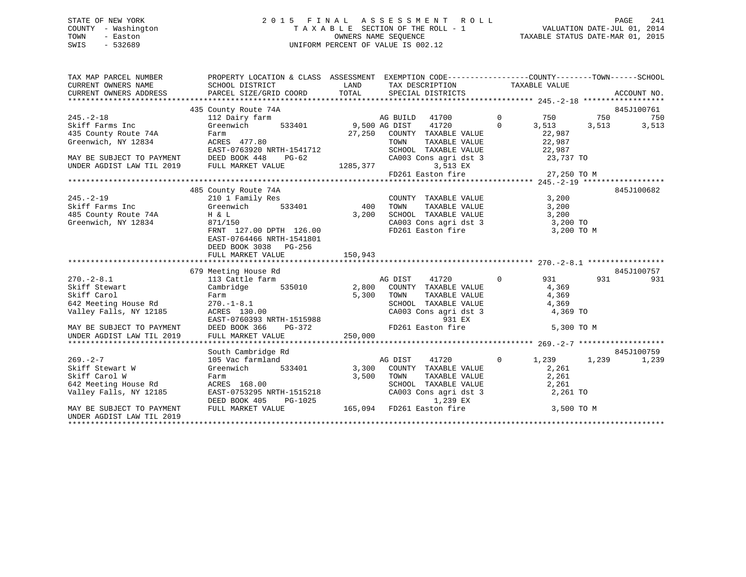# STATE OF NEW YORK 2 0 1 5 F I N A L A S S E S S M E N T R O L L PAGE 241 COUNTY - Washington T A X A B L E SECTION OF THE ROLL - 1 VALUATION DATE-JUL 01, 2014 TOWN - Easton **CONNERS NAME SEQUENCE** TAXABLE STATUS DATE-MAR 01, 2015 SWIS - 532689 UNIFORM PERCENT OF VALUE IS 002.12

| 435 County Route 74A<br>845J100761<br>AG BUILD 41700 0 750 750<br>$245. - 2 - 18$<br>112 Dairy farm<br>750<br>41720 0 3,513 3,513 3,513<br>533401 9,500 AG DIST<br>22,987<br>22,987<br>27,250 COUNTY TAXABLE VALUE<br>TOWN TAXABLE VALUE<br>Farm<br>ACRES 477.80<br>SCHOOL TAXABLE VALUE 22,987<br>CA003 Cons agri dst 3 23,737 TO<br>3,513 EX<br>$FD261$ Easton fire 27,250 TO M |
|-----------------------------------------------------------------------------------------------------------------------------------------------------------------------------------------------------------------------------------------------------------------------------------------------------------------------------------------------------------------------------------|
| Skiff Farms Inc (Speedwich 25 County Route 74A Farm<br>Greenwich, NY 12834 ACRES 477<br>EAST-0763920 NRTH-1541712 SCHOOL<br>MAY BE SUBJECT TO PAYMENT DEED BOOK 448 PG-62 CA003 Cor<br>UNDER AGDIST LAW TIL 2019 FULL MARKET VALUE 1285,377                                                                                                                                       |
|                                                                                                                                                                                                                                                                                                                                                                                   |
|                                                                                                                                                                                                                                                                                                                                                                                   |
|                                                                                                                                                                                                                                                                                                                                                                                   |
|                                                                                                                                                                                                                                                                                                                                                                                   |
|                                                                                                                                                                                                                                                                                                                                                                                   |
|                                                                                                                                                                                                                                                                                                                                                                                   |
|                                                                                                                                                                                                                                                                                                                                                                                   |
|                                                                                                                                                                                                                                                                                                                                                                                   |
|                                                                                                                                                                                                                                                                                                                                                                                   |
|                                                                                                                                                                                                                                                                                                                                                                                   |
|                                                                                                                                                                                                                                                                                                                                                                                   |
|                                                                                                                                                                                                                                                                                                                                                                                   |
| 845J100682<br>485 County Route 74A                                                                                                                                                                                                                                                                                                                                                |
| COUNTY TAXABLE VALUE 3,200<br>$245. - 2 - 19$<br>210 1 Family Res                                                                                                                                                                                                                                                                                                                 |
| Skiff Farms Inc 6 Greenwich 533401 400 TOWN<br>TAXABLE VALUE 3,200                                                                                                                                                                                                                                                                                                                |
| 485 County Route 74A H & L<br>Greenwich, NY 12834 871/15<br>3,200                                                                                                                                                                                                                                                                                                                 |
| SCHOOL TAXABLE VALUE $3,200$<br>CA003 Cons agridst 3 3,200 TO<br>FD261 Easton fire 3 3,200 TO M<br>871/150                                                                                                                                                                                                                                                                        |
| FRNT 127.00 DPTH 126.00                                                                                                                                                                                                                                                                                                                                                           |
| EAST-0764466 NRTH-1541801                                                                                                                                                                                                                                                                                                                                                         |
| DEED BOOK 3038 PG-256                                                                                                                                                                                                                                                                                                                                                             |
| 150,943<br>FULL MARKET VALUE                                                                                                                                                                                                                                                                                                                                                      |
|                                                                                                                                                                                                                                                                                                                                                                                   |
| 845J100757<br>679 Meeting House Rd                                                                                                                                                                                                                                                                                                                                                |
| nceding nouse idea<br>113 Cattle farm<br>2,800 COUNTY TAXABLE VALUE 4,369 CAMPTIC CAMPTIC<br>$270. -2 - 8.1$<br>$0$ 931<br>931 7<br>931                                                                                                                                                                                                                                           |
| Skiff Stewart                                                                                                                                                                                                                                                                                                                                                                     |
| Skiff Carol<br>5,300<br>TOWN<br>TOWN TAXABLE VALUE 4,369<br>SCHOOL TAXABLE VALUE 4,369<br>CA003 Cons agri dst 3 4,369 TO<br>SKIII Carol<br>642 Meeting House Rd<br>Farm<br>270.-1-8.1                                                                                                                                                                                             |
| Valley Falls, NY 12185                                                                                                                                                                                                                                                                                                                                                            |
|                                                                                                                                                                                                                                                                                                                                                                                   |
|                                                                                                                                                                                                                                                                                                                                                                                   |
| 270.-1-8.1<br>270.-1-8.1<br>ACRES 130.00 CA003 Cons agri dst<br>EAST-0760393 NRTH-1515988 931 EX<br>DEED BOOK 366 PG-372 PD261 Easton fire<br>250,000 250.000<br>MAY BE SUBJECT TO PAYMENT<br>5,300 TO M<br>FD261 Easton fire<br>UNDER AGDIST LAW TIL 2019                                                                                                                        |
|                                                                                                                                                                                                                                                                                                                                                                                   |
| 845J100759                                                                                                                                                                                                                                                                                                                                                                        |
| South Cambridge Rd<br>$\,$ d $\,$ AG DIST<br>$0 \t 1,239 \t 1,239$<br>41720                                                                                                                                                                                                                                                                                                       |
| $269. - 2 - 7$<br>105 Vac farmland<br>1,239<br>Greenwich 533401 3,300 COUNTY TAXABLE VALUE<br>Skiff Stewart W<br>2,261                                                                                                                                                                                                                                                            |
|                                                                                                                                                                                                                                                                                                                                                                                   |
|                                                                                                                                                                                                                                                                                                                                                                                   |
| SAILL Seconds<br>Skiff Carol W<br>642 Meeting House Rd<br>"-''ov Falls, NY 12185<br>Farm 3,500 TOWN<br>ACRES 168.00 3,500 TOWN<br>EAST-0753295 NRTH-1515218 CA003<br>TOWN TAXABLE VALUE 2,261<br>SCHOOL TAXABLE VALUE 2,261<br>CA003 Cons agri dst 3 2,261 TO                                                                                                                     |
| DEED BOOK 405                                                                                                                                                                                                                                                                                                                                                                     |
| PG-1025<br>1,239 EX<br>LUE 165,094 FD261 Easton fire 3,500 TO M<br>FULL MARKET VALUE<br>MAY BE SUBJECT TO PAYMENT                                                                                                                                                                                                                                                                 |
| UNDER AGDIST LAW TIL 2019                                                                                                                                                                                                                                                                                                                                                         |
|                                                                                                                                                                                                                                                                                                                                                                                   |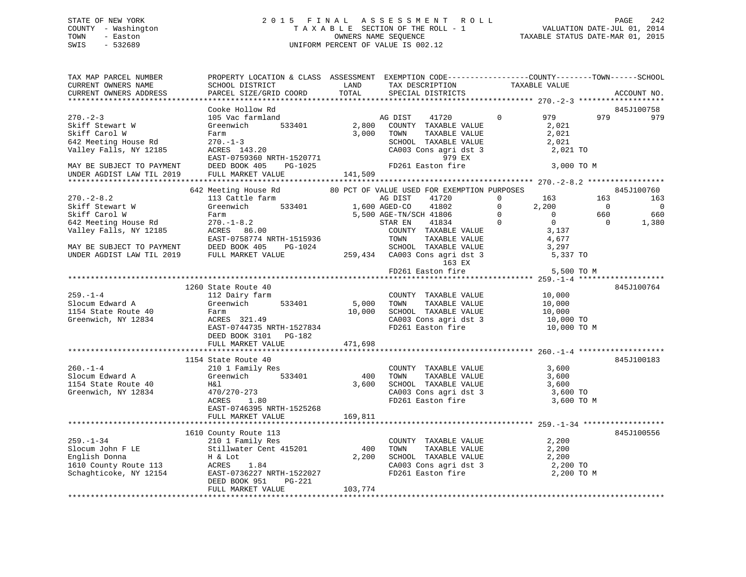# STATE OF NEW YORK 2 0 1 5 F I N A L A S S E S S M E N T R O L L PAGE 242 COUNTY - Washington T A X A B L E SECTION OF THE ROLL - 1 VALUATION DATE-JUL 01, 2014 TOWN - Easton **CONNERS NAME SEQUENCE** TAXABLE STATUS DATE-MAR 01, 2015 SWIS - 532689 UNIFORM PERCENT OF VALUE IS 002.12

| TAX MAP PARCEL NUMBER<br>CURRENT OWNERS NAME<br>CURRENT OWNERS ADDRESS                                  | PROPERTY LOCATION & CLASS ASSESSMENT EXEMPTION CODE----------------COUNTY-------TOWN-----SCHOOL<br>SCHOOL DISTRICT<br>PARCEL SIZE/GRID COORD                                 | LAND<br>TOTAL              | TAX DESCRIPTION<br>SPECIAL DISTRICTS                                                                                                                                                     | TAXABLE VALUE                                                                                                     | ACCOUNT NO.                                                                                     |
|---------------------------------------------------------------------------------------------------------|------------------------------------------------------------------------------------------------------------------------------------------------------------------------------|----------------------------|------------------------------------------------------------------------------------------------------------------------------------------------------------------------------------------|-------------------------------------------------------------------------------------------------------------------|-------------------------------------------------------------------------------------------------|
| **********************                                                                                  | ***********************                                                                                                                                                      |                            |                                                                                                                                                                                          |                                                                                                                   |                                                                                                 |
|                                                                                                         | Cooke Hollow Rd                                                                                                                                                              |                            |                                                                                                                                                                                          |                                                                                                                   | 845J100758                                                                                      |
| $270 - 2 - 3$<br>Skiff Stewart W<br>Skiff Carol W<br>642 Meeting House Rd<br>Valley Falls, NY 12185     | 105 Vac farmland<br>Greenwich<br>533401<br>Farm<br>$270. - 1 - 3$<br>ACRES 143.20<br>EAST-0759360 NRTH-1520771                                                               | 2,800<br>3,000             | AG DIST<br>41720<br>COUNTY TAXABLE VALUE<br>TOWN<br>TAXABLE VALUE<br>SCHOOL TAXABLE VALUE<br>CA003 Cons agri dst 3<br>979 EX                                                             | 979<br>$\mathbf 0$<br>2,021<br>2,021<br>2,021<br>2,021 TO                                                         | 979<br>979                                                                                      |
| MAY BE SUBJECT TO PAYMENT<br>UNDER AGDIST LAW TIL 2019                                                  | DEED BOOK 405<br>PG-1025<br>FULL MARKET VALUE                                                                                                                                | 141,509                    | FD261 Easton fire                                                                                                                                                                        | 3,000 TO M                                                                                                        |                                                                                                 |
|                                                                                                         |                                                                                                                                                                              |                            |                                                                                                                                                                                          |                                                                                                                   |                                                                                                 |
| $270. - 2 - 8.2$<br>Skiff Stewart W<br>Skiff Carol W<br>642 Meeting House Rd<br>Valley Falls, NY 12185  | 642 Meeting House Rd<br>113 Cattle farm<br>533401<br>Greenwich<br>Farm<br>$270. - 1 - 8.2$<br>ACRES 86.00<br>EAST-0758774 NRTH-1515936                                       |                            | 80 PCT OF VALUE USED FOR EXEMPTION PURPOSES<br>AG DIST<br>41720<br>1,600 AGED-CO<br>41802<br>5,500 AGE-TN/SCH 41806<br>41834<br>STAR EN<br>COUNTY TAXABLE VALUE<br>TAXABLE VALUE<br>TOWN | $\mathbf{0}$<br>163<br>$\Omega$<br>2,200<br>$\mathbf 0$<br>$\mathbf{0}$<br>$\Omega$<br>$\Omega$<br>3,137<br>4,677 | 845J100760<br>163<br>163<br>$\overline{0}$<br>$\overline{0}$<br>660<br>660<br>$\Omega$<br>1,380 |
| MAY BE SUBJECT TO PAYMENT<br>UNDER AGDIST LAW TIL 2019                                                  | DEED BOOK 405<br>PG-1024<br>FULL MARKET VALUE                                                                                                                                |                            | SCHOOL TAXABLE VALUE<br>259,434 CA003 Cons agri dst 3                                                                                                                                    | 3,297<br>5,337 TO                                                                                                 |                                                                                                 |
|                                                                                                         |                                                                                                                                                                              |                            | 163 EX                                                                                                                                                                                   |                                                                                                                   |                                                                                                 |
|                                                                                                         |                                                                                                                                                                              |                            | FD261 Easton fire                                                                                                                                                                        | 5,500 TO M                                                                                                        |                                                                                                 |
|                                                                                                         | 1260 State Route 40                                                                                                                                                          |                            |                                                                                                                                                                                          |                                                                                                                   | 845J100764                                                                                      |
| $259. - 1 - 4$<br>Slocum Edward A<br>1154 State Route 40<br>Greenwich, NY 12834                         | 112 Dairy farm<br>533401<br>Greenwich<br>Farm<br>ACRES 321.49<br>EAST-0744735 NRTH-1527834<br>DEED BOOK 3101<br>PG-182<br>FULL MARKET VALUE                                  | 5,000<br>10,000<br>471,698 | COUNTY TAXABLE VALUE<br>TOWN<br>TAXABLE VALUE<br>SCHOOL TAXABLE VALUE<br>CA003 Cons agri dst 3<br>FD261 Easton fire                                                                      | 10,000<br>10,000<br>10,000<br>10,000 TO<br>10,000 TO M                                                            |                                                                                                 |
|                                                                                                         |                                                                                                                                                                              |                            |                                                                                                                                                                                          |                                                                                                                   |                                                                                                 |
| $260. - 1 - 4$<br>Slocum Edward A<br>1154 State Route 40<br>Greenwich, NY 12834                         | 1154 State Route 40<br>210 1 Family Res<br>533401<br>Greenwich<br>H&l<br>470/270-273<br>ACRES<br>1.80<br>EAST-0746395 NRTH-1525268<br>FULL MARKET VALUE                      | 400<br>3,600<br>169,811    | COUNTY TAXABLE VALUE<br>TOWN<br>TAXABLE VALUE<br>SCHOOL TAXABLE VALUE<br>CA003 Cons agri dst 3<br>FD261 Easton fire                                                                      | 3,600<br>3,600<br>3,600<br>3,600 TO<br>3,600 TO M                                                                 | 845J100183                                                                                      |
|                                                                                                         |                                                                                                                                                                              |                            |                                                                                                                                                                                          |                                                                                                                   |                                                                                                 |
| $259. - 1 - 34$<br>Slocum John F LE<br>English Donna<br>1610 County Route 113<br>Schaghticoke, NY 12154 | 1610 County Route 113<br>210 1 Family Res<br>Stillwater Cent 415201<br>H & Lot<br>ACRES<br>1.84<br>EAST-0736227 NRTH-1522027<br>DEED BOOK 951<br>PG-221<br>FULL MARKET VALUE | 400<br>2,200<br>103,774    | COUNTY TAXABLE VALUE<br>TOWN<br>TAXABLE VALUE<br>SCHOOL TAXABLE VALUE<br>CA003 Cons agri dst 3<br>FD261 Easton fire                                                                      | 2,200<br>2,200<br>2,200<br>2,200 TO<br>2,200 TO M                                                                 | 845J100556                                                                                      |
|                                                                                                         |                                                                                                                                                                              |                            |                                                                                                                                                                                          |                                                                                                                   |                                                                                                 |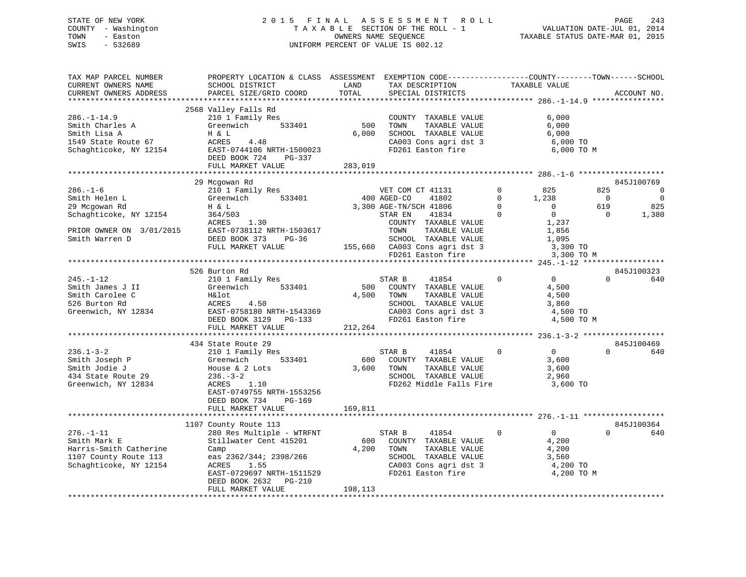# STATE OF NEW YORK 2 0 1 5 F I N A L A S S E S S M E N T R O L L PAGE 243 COUNTY - Washington T A X A B L E SECTION OF THE ROLL - 1 VALUATION DATE-JUL 01, 2014 TOWN - Easton **CONNERS NAME SEQUENCE** TAXABLE STATUS DATE-MAR 01, 2015 SWIS - 532689 UNIFORM PERCENT OF VALUE IS 002.12

| TAX MAP PARCEL NUMBER<br>CURRENT OWNERS NAME<br>CURRENT OWNERS ADDRESS                                                   | PROPERTY LOCATION & CLASS ASSESSMENT EXEMPTION CODE---------------COUNTY-------TOWN-----SCHOOL<br>SCHOOL DISTRICT<br>PARCEL SIZE/GRID COORD                                                                   | LAND<br>TOTAL           | TAX DESCRIPTION<br>SPECIAL DISTRICTS                                                                                                                                                             | TAXABLE VALUE                                                                                                                              | ACCOUNT NO.                                                                                                              |
|--------------------------------------------------------------------------------------------------------------------------|---------------------------------------------------------------------------------------------------------------------------------------------------------------------------------------------------------------|-------------------------|--------------------------------------------------------------------------------------------------------------------------------------------------------------------------------------------------|--------------------------------------------------------------------------------------------------------------------------------------------|--------------------------------------------------------------------------------------------------------------------------|
| $286. - 1 - 14.9$<br>Smith Charles A<br>Smith Lisa A<br>1549 State Route 67<br>Schaghticoke, NY 12154                    | 2568 Valley Falls Rd<br>210 1 Family Res<br>Greenwich<br>533401<br>H & L<br>ACRES<br>4.48<br>EAST-0744106 NRTH-1500023<br>DEED BOOK 724<br>PG-337<br>FULL MARKET VALUE                                        | 500<br>6,000<br>283,019 | COUNTY TAXABLE VALUE<br>TOWN<br>TAXABLE VALUE<br>SCHOOL TAXABLE VALUE<br>CA003 Cons agri dst 3<br>FD261 Easton fire                                                                              | 6,000<br>6,000<br>6,000<br>6,000 TO<br>6,000 TO M                                                                                          |                                                                                                                          |
|                                                                                                                          |                                                                                                                                                                                                               |                         |                                                                                                                                                                                                  |                                                                                                                                            |                                                                                                                          |
| $286. - 1 - 6$<br>Smith Helen L<br>29 Mcgowan Rd<br>Schaghticoke, NY 12154<br>PRIOR OWNER ON 3/01/2015<br>Smith Warren D | 29 Mcgowan Rd<br>210 1 Family Res<br>533401<br>Greenwich<br>H & L<br>364/503<br>ACRES<br>1.30<br>EAST-0738112 NRTH-1503617<br>DEED BOOK 373<br>PG-36<br>FULL MARKET VALUE                                     |                         | VET COM CT 41131<br>400 AGED-CO<br>41802<br>3,300 AGE-TN/SCH 41806<br>41834<br>STAR EN<br>COUNTY TAXABLE VALUE<br>TOWN<br>TAXABLE VALUE<br>SCHOOL TAXABLE VALUE<br>155,660 CA003 Cons agri dst 3 | $\Omega$<br>825<br>$\mathbf 0$<br>1,238<br>$\Omega$<br>$\overline{0}$<br>$\mathbf 0$<br>$\mathbf 0$<br>1,237<br>1,856<br>1,095<br>3,300 TO | 845J100769<br>825<br>$\Omega$<br>$\overline{\phantom{0}}$<br>$\overline{\phantom{0}}$<br>619<br>825<br>$\Omega$<br>1,380 |
|                                                                                                                          |                                                                                                                                                                                                               |                         | FD261 Easton fire                                                                                                                                                                                | 3,300 TO M                                                                                                                                 |                                                                                                                          |
|                                                                                                                          | 526 Burton Rd                                                                                                                                                                                                 |                         |                                                                                                                                                                                                  |                                                                                                                                            | 845J100323                                                                                                               |
| $245. - 1 - 12$<br>Smith James J II<br>Smith Carolee C<br>526 Burton Rd<br>Greenwich, NY 12834                           | 210 1 Family Res<br>533401<br>Greenwich<br>H&lot<br>ACRES<br>4.50<br>EAST-0758180 NRTH-1543369<br>DEED BOOK 3129 PG-133<br>FULL MARKET VALUE                                                                  | 500<br>4,500<br>212,264 | STAR B<br>41854<br>COUNTY TAXABLE VALUE<br>TOWN<br>TAXABLE VALUE<br>SCHOOL TAXABLE VALUE<br>CA003 Cons agri dst 3<br>FD261 Easton fire<br>FD261 Easton fire                                      | $\overline{0}$<br>$\overline{0}$<br>4,500<br>4,500<br>3,860<br>4,500 TO<br>4,500 TO M                                                      | $\Omega$<br>640                                                                                                          |
|                                                                                                                          |                                                                                                                                                                                                               |                         |                                                                                                                                                                                                  |                                                                                                                                            |                                                                                                                          |
| $236.1 - 3 - 2$<br>Smith Joseph P<br>Smith Jodie J<br>434 State Route 29<br>Greenwich, NY 12834                          | 434 State Route 29<br>210 1 Family Res<br>533401<br>Greenwich<br>House & 2 Lots<br>$236. - 3 - 2$<br>ACRES<br>1.10<br>EAST-0749755 NRTH-1553256<br>DEED BOOK 734<br>PG-169<br>FULL MARKET VALUE               | 600<br>3,600<br>169,811 | 41854<br>STAR B<br>COUNTY TAXABLE VALUE<br>TOWN<br>TAXABLE VALUE<br>SCHOOL TAXABLE VALUE<br>FD262 Middle Falls Fire                                                                              | $\overline{0}$<br>$\overline{0}$<br>3,600<br>3,600<br>2,960<br>3,600 TO                                                                    | 845J100469<br>$\Omega$<br>640                                                                                            |
|                                                                                                                          |                                                                                                                                                                                                               |                         |                                                                                                                                                                                                  |                                                                                                                                            |                                                                                                                          |
| $276. - 1 - 11$<br>Smith Mark E<br>Harris-Smith Catherine<br>1107 County Route 113<br>Schaghticoke, NY 12154             | 1107 County Route 113<br>280 Res Multiple - WTRFNT<br>Stillwater Cent 415201<br>Camp<br>eas 2362/344; 2398/266<br>ACRES<br>1.55<br>EAST-0729697 NRTH-1511529<br>DEED BOOK 2632<br>PG-210<br>FULL MARKET VALUE | 600<br>4,200<br>198,113 | STAR B<br>41854<br>COUNTY TAXABLE VALUE<br>TOWN<br>TAXABLE VALUE<br>SCHOOL TAXABLE VALUE<br>CA003 Cons agri dst 3<br>FD261 Easton fire                                                           | $\mathbf 0$<br>$\overline{0}$<br>4,200<br>4,200<br>3,560<br>4,200 TO<br>4,200 TO M                                                         | 845J100364<br>$\Omega$<br>640                                                                                            |
|                                                                                                                          |                                                                                                                                                                                                               |                         |                                                                                                                                                                                                  |                                                                                                                                            |                                                                                                                          |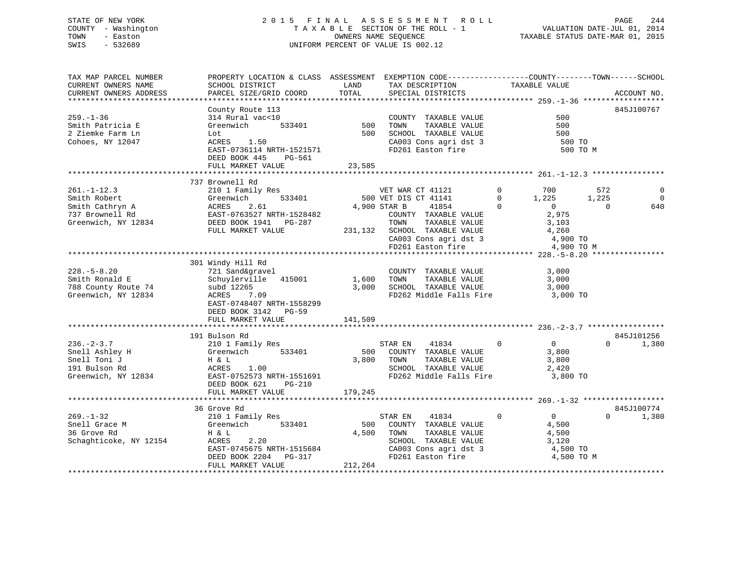# STATE OF NEW YORK 2 0 1 5 F I N A L A S S E S S M E N T R O L L PAGE 244 COUNTY - Washington T A X A B L E SECTION OF THE ROLL - 1 VALUATION DATE-JUL 01, 2014 TOWN - Easton OWNERS NAME SEQUENCE TAXABLE STATUS DATE-MAR 01, 2015 SWIS - 532689 UNIFORM PERCENT OF VALUE IS 002.12

| TAX MAP PARCEL NUMBER<br>CURRENT OWNERS NAME<br>CURRENT OWNERS ADDRESS                         | PROPERTY LOCATION & CLASS ASSESSMENT EXEMPTION CODE----------------COUNTY-------TOWN------SCHOOL<br>SCHOOL DISTRICT<br>PARCEL SIZE/GRID COORD                            | LAND<br>TOTAL             | TAX DESCRIPTION TAXABLE VALUE<br>SPECIAL DISTRICTS                                                                                                                                       |                                                                                                                                | ACCOUNT NO.                                                |
|------------------------------------------------------------------------------------------------|--------------------------------------------------------------------------------------------------------------------------------------------------------------------------|---------------------------|------------------------------------------------------------------------------------------------------------------------------------------------------------------------------------------|--------------------------------------------------------------------------------------------------------------------------------|------------------------------------------------------------|
| $259. - 1 - 36$<br>Smith Patricia E<br>2 Ziemke Farm Ln<br>Cohoes, NY 12047                    | County Route 113<br>314 Rural vac<10<br>533401<br>Greenwich<br>Lot<br>1.50<br>ACRES<br>EAST-0736114 NRTH-1521571<br>DEED BOOK 445<br>PG-561<br>FULL MARKET VALUE         | 500<br>500<br>23,585      | COUNTY TAXABLE VALUE<br>TAXABLE VALUE<br>TOWN<br>SCHOOL TAXABLE VALUE<br>CA003 Cons agri dst 3<br>FD261 Easton fire                                                                      | 500<br>500<br>500<br>500 TO                                                                                                    | 845J100767<br>500 TO M                                     |
| $261. - 1 - 12.3$<br>Smith Robert<br>Smith Cathryn A<br>737 Brownell Rd<br>Greenwich, NY 12834 | 737 Brownell Rd<br>210 1 Family Res<br>533401<br>Greenwich<br>ACRES<br>2.61<br>EAST-0763527 NRTH-1528482<br>DEED BOOK 1941    PG-287<br>FULL MARKET VALUE                | 231,132                   | VET WAR CT 41121<br>500 VET DIS CT 41141<br>4,900 STAR B<br>41854<br>COUNTY TAXABLE VALUE<br>TOWN<br>TAXABLE VALUE<br>SCHOOL TAXABLE VALUE<br>CA003 Cons agri dst 3<br>FD261 Easton fire | $\mathbf 0$<br>700<br>1,225<br>$\mathbf{0}$<br>$\overline{0}$<br>$\Omega$<br>2,975<br>3,103<br>4,260<br>4,900 TO<br>4,900 TO M | 572<br>$\mathbf 0$<br>1,225<br>$\Omega$<br>640<br>$\Omega$ |
| $228. - 5 - 8.20$<br>Smith Ronald E<br>788 County Route 74<br>Greenwich, NY 12834              | 301 Windy Hill Rd<br>721 Sand&gravel<br>Schuylerville<br>415001<br>subd 12265<br>ACRES<br>7.09<br>EAST-0748407 NRTH-1558299<br>DEED BOOK 3142 PG-59<br>FULL MARKET VALUE | 1,600<br>3.000<br>141,509 | COUNTY TAXABLE VALUE<br>TOWN<br>TAXABLE VALUE<br>SCHOOL TAXABLE VALUE<br>FD262 Middle Falls Fire                                                                                         | 3,000<br>3,000<br>3,000<br>3,000 TO                                                                                            |                                                            |
| $236. - 2 - 3.7$<br>Snell Ashley H<br>Snell Toni J<br>191 Bulson Rd<br>Greenwich, NY 12834     | 191 Bulson Rd<br>210 1 Family Res<br>533401<br>Greenwich<br>H & L<br>ACRES<br>1.00<br>EAST-0752573 NRTH-1551691<br>DEED BOOK 621<br>PG-210<br>FULL MARKET VALUE          | 500<br>3,800<br>179,245   | STAR EN<br>41834<br>COUNTY TAXABLE VALUE<br>TOWN<br>TAXABLE VALUE<br>SCHOOL TAXABLE VALUE<br>FD262 Middle Falls Fire                                                                     | $\overline{0}$<br>$\overline{0}$<br>3,800<br>3,800<br>2,420<br>3,800 TO                                                        | 845J101256<br>$\Omega$<br>1,380                            |
| $269. - 1 - 32$<br>Snell Grace M<br>36 Grove Rd<br>Schaghticoke, NY 12154                      | 36 Grove Rd<br>210 1 Family Res<br>533401<br>Greenwich<br>H & L<br>ACRES<br>2.20<br>EAST-0745675 NRTH-1515684<br>DEED BOOK 2204<br>$PG-317$<br>FULL MARKET VALUE         | 500<br>4,500<br>212,264   | 41834<br>STAR EN<br>COUNTY TAXABLE VALUE<br>TAXABLE VALUE<br>TOWN<br>SCHOOL TAXABLE VALUE<br>CA003 Cons agri dst 3<br>FD261 Easton fire                                                  | $\mathbf 0$<br>$\overline{0}$<br>4,500<br>4,500<br>3,120<br>4,500 TO<br>4,500 TO M                                             | 845J100774<br>$\Omega$<br>1,380                            |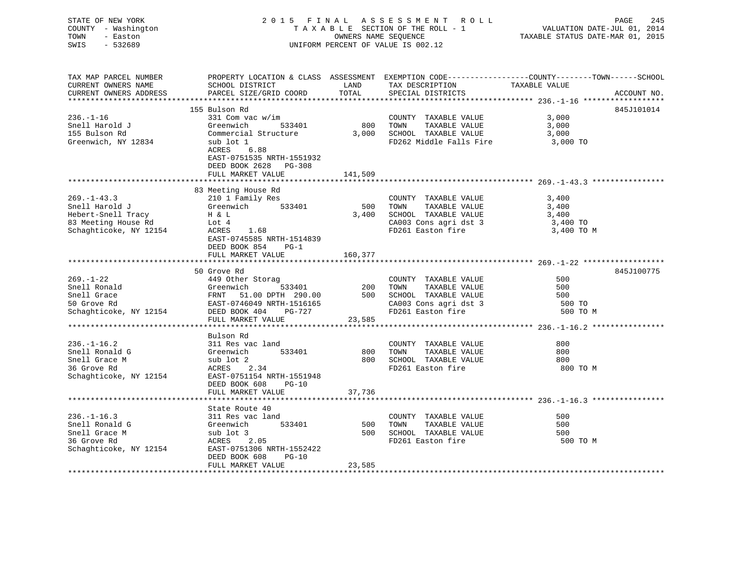| STATE OF NEW YORK<br>COUNTY - Washington<br>TOWN<br>- Easton<br>SWIS<br>$-532689$ |                                                                                         | OWNERS NAME SEQUENCE | 2015 FINAL ASSESSMENT ROLL<br>TAXABLE SECTION OF THE ROLL - 1<br>UNIFORM PERCENT OF VALUE IS 002.12 | PAGE<br>245<br>VALUATION DATE-JUL 01, 2014<br>TAXABLE STATUS DATE-MAR 01, 2015                                                                                      |
|-----------------------------------------------------------------------------------|-----------------------------------------------------------------------------------------|----------------------|-----------------------------------------------------------------------------------------------------|---------------------------------------------------------------------------------------------------------------------------------------------------------------------|
| TAX MAP PARCEL NUMBER<br>CURRENT OWNERS NAME<br>CURRENT OWNERS ADDRESS            | PARCEL SIZE/GRID COORD                                                                  | TOTAL                | SPECIAL DISTRICTS                                                                                   | PROPERTY LOCATION & CLASS ASSESSMENT EXEMPTION CODE-----------------COUNTY-------TOWN------SCHOOL SCHOOL DISTRICT LAND TAX DESCRIPTION TAXABLE VALUE<br>ACCOUNT NO. |
| ***********************                                                           |                                                                                         |                      |                                                                                                     |                                                                                                                                                                     |
|                                                                                   | 155 Bulson Rd                                                                           |                      |                                                                                                     | 845J101014                                                                                                                                                          |
| $236. - 1 - 16$                                                                   | 331 Com vac w/im                                                                        |                      | COUNTY TAXABLE VALUE                                                                                | 3,000                                                                                                                                                               |
| Snell Harold J<br>155 Bulson Rd                                                   | Greenwich 533401<br>Commercial Structure                                                |                      | 800 TOWN<br>TAXABLE VALUE<br>3,000 SCHOOL TAXABLE VALUE                                             | 3,000<br>3,000                                                                                                                                                      |
| Greenwich, NY 12834                                                               | sub lot 1<br>ACRES 6.88<br>EAST-0751535 NRTH-1551932<br>DEED BOOK 2628 PG-308           |                      | FD262 Middle Falls Fire                                                                             | 3,000 TO                                                                                                                                                            |
|                                                                                   | FULL MARKET VALUE                                                                       | 141,509              |                                                                                                     |                                                                                                                                                                     |
| $269. - 1 - 43.3$<br>Snell Harold J                                               | 83 Meeting House Rd<br>210 1 Family Res<br>Greenwich 533401                             | 500                  | COUNTY TAXABLE VALUE<br>TOWN TAXABLE VALUE                                                          | 3,400<br>3,400                                                                                                                                                      |
|                                                                                   |                                                                                         | 3,400                | SCHOOL TAXABLE VALUE                                                                                | 3,400                                                                                                                                                               |
|                                                                                   | $\pm$ 0 $\pm$ 0 $\pm$                                                                   |                      | CA003 Cons agri dst 3                                                                               | 3,400 TO                                                                                                                                                            |
| Hebert-Snell Tracy<br>83 Meeting House Rd<br>Schaghticoke, NY 12154<br>ACRES 1.68 | EAST-0745585 NRTH-1514839<br>DEED BOOK 854 PG-1<br>FULL MARKET VALUE                    |                      | FD261 Easton fire                                                                                   | 3,400 TO M                                                                                                                                                          |
|                                                                                   |                                                                                         | 160,377              |                                                                                                     |                                                                                                                                                                     |
|                                                                                   | 50 Grove Rd                                                                             |                      |                                                                                                     | 845J100775                                                                                                                                                          |
| $269. - 1 - 22$                                                                   | 449 Other Storag                                                                        |                      | COUNTY TAXABLE VALUE                                                                                | 500                                                                                                                                                                 |
| Snell Ronald                                                                      | 533401<br>--<br>Greenwich 533401<br>FRNT 51.00 DPTH 290.00<br>EAST-0746049 NRTH-1516165 | 200 TOWN             | TAXABLE VALUE                                                                                       | 500                                                                                                                                                                 |
| Snell Grace                                                                       |                                                                                         |                      | 500 SCHOOL TAXABLE VALUE                                                                            | 500                                                                                                                                                                 |
| 50 Grove Rd                                                                       |                                                                                         |                      | CA003 Cons agri dst 3<br>FD261 Easton fire                                                          | 500 TO                                                                                                                                                              |
| Schaghticoke, NY 12154 DEED BOOK 404 PG-727                                       |                                                                                         |                      |                                                                                                     | 500 TO M                                                                                                                                                            |
|                                                                                   | FULL MARKET VALUE                                                                       | 23,585               |                                                                                                     |                                                                                                                                                                     |
|                                                                                   |                                                                                         |                      |                                                                                                     |                                                                                                                                                                     |
|                                                                                   | Bulson Rd                                                                               |                      |                                                                                                     |                                                                                                                                                                     |
| $236. - 1 - 16.2$                                                                 | 311 Res vac land                                                                        |                      | COUNTY TAXABLE VALUE                                                                                | 800                                                                                                                                                                 |
| Snell Ronald G<br>Snell Grace M<br>36 Grove Rd                                    | Greenwich 533401                                                                        |                      | 800 TOWN<br>TAXABLE VALUE<br>800 SCHOOL TAXABLE VALUE                                               | 800<br>800                                                                                                                                                          |
|                                                                                   | sub lot 2<br>ACRES 2 34<br>ACRES 2.34                                                   |                      | FD261 Easton fire                                                                                   | 800 TO M                                                                                                                                                            |
| Schaghticoke, NY 12154                                                            | EAST-0751154 NRTH-1551948                                                               |                      |                                                                                                     |                                                                                                                                                                     |
|                                                                                   | DEED BOOK 608<br>PG-10                                                                  |                      |                                                                                                     |                                                                                                                                                                     |
|                                                                                   | FULL MARKET VALUE                                                                       | 37,736               |                                                                                                     |                                                                                                                                                                     |
|                                                                                   |                                                                                         |                      |                                                                                                     |                                                                                                                                                                     |
|                                                                                   | State Route 40                                                                          |                      |                                                                                                     |                                                                                                                                                                     |
| $236. - 1 - 16.3$                                                                 | 311 Res vac land                                                                        |                      | COUNTY TAXABLE VALUE                                                                                | 500                                                                                                                                                                 |
| Snell Ronald G                                                                    | Greenwich 533401                                                                        |                      | 500 TOWN<br>TAXABLE VALUE                                                                           | 500                                                                                                                                                                 |
| Snell Grace M                                                                     | sub lot 3                                                                               |                      | 500 SCHOOL TAXABLE VALUE                                                                            | 500                                                                                                                                                                 |
| 36 Grove Rd                                                                       | ACRES 2.05                                                                              |                      | FD261 Easton fire                                                                                   | 500 TO M                                                                                                                                                            |
| Schaghticoke, NY 12154                                                            | EAST-0751306 NRTH-1552422<br>DEED BOOK 608<br>PG-10<br>FULL MARKET VALUE                | 23,585               |                                                                                                     |                                                                                                                                                                     |
|                                                                                   |                                                                                         |                      |                                                                                                     |                                                                                                                                                                     |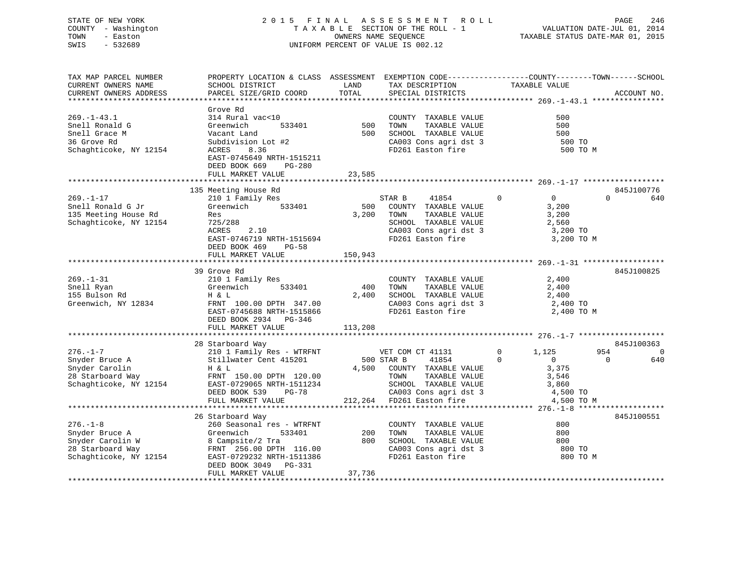STATE OF NEW YORK 2 0 1 5 F I N A L A S S E S S M E N T R O L L PAGE 246VALUATION DATE-JUL 01, 2014 COUNTY - Washington T A X A B L E SECTION OF THE ROLL - 1 TOWN - Easton **CONNERS NAME SEQUENCE** TAXABLE STATUS DATE-MAR 01, 2015 SWIS - 532689 UNIFORM PERCENT OF VALUE IS 002.12

| TAX MAP PARCEL NUMBER  | PROPERTY LOCATION & CLASS ASSESSMENT EXEMPTION CODE----------------COUNTY-------TOWN------SCHOOL |            |                                                                                                    |                         |                               |
|------------------------|--------------------------------------------------------------------------------------------------|------------|----------------------------------------------------------------------------------------------------|-------------------------|-------------------------------|
| CURRENT OWNERS NAME    | SCHOOL DISTRICT                                                                                  | LAND       | TAX DESCRIPTION                                                                                    | TAXABLE VALUE           |                               |
| CURRENT OWNERS ADDRESS | PARCEL SIZE/GRID COORD                                                                           | TOTAL      | SPECIAL DISTRICTS                                                                                  |                         | ACCOUNT NO.                   |
|                        |                                                                                                  |            |                                                                                                    |                         |                               |
|                        | Grove Rd                                                                                         |            |                                                                                                    |                         |                               |
| $269. - 1 - 43.1$      | 314 Rural vac<10                                                                                 |            | COUNTY TAXABLE VALUE                                                                               | 500                     |                               |
| Snell Ronald G         | Greenwich                                                                                        | 533401 500 | TOWN<br>TAXABLE VALUE                                                                              | 500                     |                               |
| Snell Grace M          | Vacant Land                                                                                      | 500        | SCHOOL TAXABLE VALUE<br>CA003 Cons agri dst 3                                                      | 500                     |                               |
| 36 Grove Rd            | Subdivision Lot #2                                                                               |            |                                                                                                    | 500 TO                  |                               |
| Schaghticoke, NY 12154 | ACRES<br>8.36                                                                                    |            | FD261 Easton fire                                                                                  | 500 TO M                |                               |
|                        | EAST-0745649 NRTH-1515211                                                                        |            |                                                                                                    |                         |                               |
|                        | DEED BOOK 669<br>PG-280                                                                          |            |                                                                                                    |                         |                               |
|                        | FULL MARKET VALUE                                                                                | 23,585     |                                                                                                    |                         |                               |
|                        |                                                                                                  |            |                                                                                                    |                         |                               |
|                        | 135 Meeting House Rd                                                                             |            |                                                                                                    | $\mathbf 0$             | 845J100776<br>$\Omega$<br>640 |
| $269. - 1 - 17$        | 210 1 Family Res<br>Greenwich 533401                                                             |            | STAR B<br>41854                                                                                    | $\overline{0}$          |                               |
| Snell Ronald G Jr      |                                                                                                  | 500        | COUNTY TAXABLE VALUE                                                                               | 3,200                   |                               |
| 135 Meeting House Rd   | Res                                                                                              | 3,200      | TOWN<br>TAXABLE VALUE                                                                              | 3,200                   |                               |
| Schaghticoke, NY 12154 | 725/288<br>2.10                                                                                  |            | SCHOOL TAXABLE VALUE 2,560<br>CA003 Cons agri dst 3 3,200 TO                                       |                         |                               |
|                        | ACRES                                                                                            |            |                                                                                                    |                         |                               |
|                        | EAST-0746719 NRTH-1515694                                                                        |            | FD261 Easton fire                                                                                  | 3,200 TO M              |                               |
|                        | DEED BOOK 469 PG-58                                                                              |            |                                                                                                    |                         |                               |
|                        | FULL MARKET VALUE                                                                                | 150,943    |                                                                                                    |                         |                               |
|                        |                                                                                                  |            |                                                                                                    |                         |                               |
|                        | 39 Grove Rd                                                                                      |            |                                                                                                    |                         | 845J100825                    |
| $269. - 1 - 31$        | 210 1 Family Res<br>533401                                                                       | 400        | COUNTY TAXABLE VALUE<br>TAXABLE VALUE                                                              | 2,400                   |                               |
| Snell Ryan             | Greenwich                                                                                        |            | TOWN<br>SCHOOL TAXABLE VALUE                                                                       | 2,400                   |                               |
| 155 Bulson Rd          | Η & L                                                                                            | 2,400      |                                                                                                    | 2,400                   |                               |
| Greenwich, NY 12834    | FRNT 100.00 DPTH 347.00<br>EAST-0745688 NRTH-1515866                                             |            | CA003 Cons agri dst 3<br>FD261 Easton fire                                                         | 2,400 TO<br>2,400 TO M  |                               |
|                        | DEED BOOK 2934 PG-346                                                                            |            |                                                                                                    |                         |                               |
|                        | FULL MARKET VALUE                                                                                | 113,208    |                                                                                                    |                         |                               |
|                        |                                                                                                  |            |                                                                                                    |                         |                               |
|                        | 28 Starboard Way                                                                                 |            |                                                                                                    |                         | 845J100363                    |
| $276. - 1 - 7$         | 210 1 Family Res - WTRFNT                                                                        |            | VET COM CT 41131                                                                                   | 1,125<br>$\overline{0}$ | 954<br>$\overline{0}$         |
| Snyder Bruce A         | Stillwater Cent 415201                                                                           | 500 STAR B | 41854                                                                                              | $\Omega$<br>$\sim$ 0    | $\bigcirc$<br>640             |
| Snyder Carolin         | H & L                                                                                            |            | 4,500 COUNTY TAXABLE VALUE                                                                         | 3,375                   |                               |
| 28 Starboard Way       | FRNT 150.00 DPTH 120.00                                                                          |            | TAXABLE VALUE<br>TOWN                                                                              | 3,546                   |                               |
| Schaghticoke, NY 12154 | EAST-0729065 NRTH-1511234                                                                        |            |                                                                                                    |                         |                               |
|                        | PG-78<br>DEED BOOK 539                                                                           |            |                                                                                                    |                         |                               |
|                        | FULL MARKET VALUE                                                                                |            | SCHOOL TAXABLE VALUE 3,860<br>CA003 Cons agri dst 3 4,500 TO<br>212,264 FD261 Easton fire 4,500 TO | 4,500 TO M              |                               |
|                        |                                                                                                  |            |                                                                                                    |                         |                               |
|                        | 26 Starboard Way                                                                                 |            |                                                                                                    |                         | 845J100551                    |
| $276. - 1 - 8$         | 260 Seasonal res - WTRFNT                                                                        |            | COUNTY TAXABLE VALUE                                                                               | 800                     |                               |
| Snyder Bruce A         | Greenwich<br>533401                                                                              | 200        | TOWN<br>TAXABLE VALUE                                                                              | 800                     |                               |
| Snyder Carolin W       |                                                                                                  |            | 800 SCHOOL TAXABLE VALUE                                                                           | 800                     |                               |
| 28 Starboard Way       | 8 Campsite/2 Tra<br>FRNT 256.00 DPTH 116.00                                                      |            | SCHOOL TAXABLE VALUE<br>CA003 Cons agri dst 3                                                      | 800 TO                  |                               |
| Schaghticoke, NY 12154 | EAST-0729232 NRTH-1511386                                                                        |            | FD261 Easton fire                                                                                  | 800 TO M                |                               |
|                        | DEED BOOK 3049 PG-331                                                                            |            |                                                                                                    |                         |                               |
|                        | FULL MARKET VALUE                                                                                | 37,736     |                                                                                                    |                         |                               |
|                        |                                                                                                  |            |                                                                                                    |                         |                               |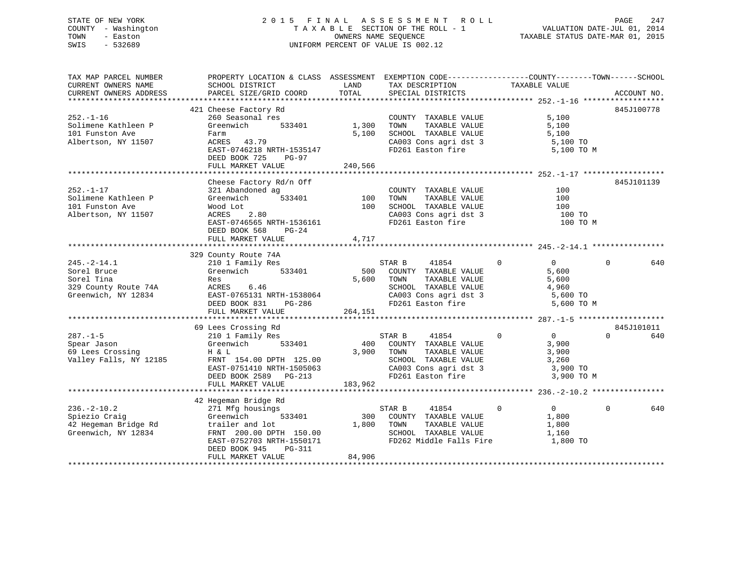# STATE OF NEW YORK 2 0 1 5 F I N A L A S S E S S M E N T R O L L PAGE 247 COUNTY - Washington T A X A B L E SECTION OF THE ROLL - 1 VALUATION DATE-JUL 01, 2014 TOWN - Easton OWNERS NAME SEQUENCE TAXABLE STATUS DATE-MAR 01, 2015 SWIS - 532689 UNIFORM PERCENT OF VALUE IS 002.12

| TAX MAP PARCEL NUMBER<br>CURRENT OWNERS NAME                                                 | PROPERTY LOCATION & CLASS ASSESSMENT EXEMPTION CODE----------------COUNTY-------TOWN------SCHOOL<br>SCHOOL DISTRICT                                                                                             | LAND                    | TAX DESCRIPTION                                                                                                                              | TAXABLE VALUE                                                                            |                               |
|----------------------------------------------------------------------------------------------|-----------------------------------------------------------------------------------------------------------------------------------------------------------------------------------------------------------------|-------------------------|----------------------------------------------------------------------------------------------------------------------------------------------|------------------------------------------------------------------------------------------|-------------------------------|
| CURRENT OWNERS ADDRESS                                                                       | PARCEL SIZE/GRID COORD                                                                                                                                                                                          | TOTAL                   | SPECIAL DISTRICTS                                                                                                                            |                                                                                          | ACCOUNT NO.                   |
|                                                                                              | 421 Cheese Factory Rd                                                                                                                                                                                           |                         |                                                                                                                                              |                                                                                          | 845J100778                    |
| $252. - 1 - 16$<br>Solimene Kathleen P<br>101 Funston Ave<br>Albertson, NY 11507             | 260 Seasonal res<br>533401<br>Greenwich<br>Farm<br>ACRES 43.79<br>EAST-0746218 NRTH-1535147<br>DEED BOOK 725<br>PG-97                                                                                           | 1,300<br>5,100          | COUNTY TAXABLE VALUE<br>TOWN<br>TAXABLE VALUE<br>SCHOOL TAXABLE VALUE<br>CA003 Cons agri dst 3<br>FD261 Easton fire                          | 5,100<br>5,100<br>5,100<br>5,100 TO<br>5,100 TO M                                        |                               |
|                                                                                              | FULL MARKET VALUE                                                                                                                                                                                               | 240,566                 |                                                                                                                                              |                                                                                          |                               |
| $252. - 1 - 17$<br>Solimene Kathleen P<br>101 Funston Ave<br>Albertson, NY 11507             | Cheese Factory Rd/n Off<br>321 Abandoned ag<br>Greenwich 533401<br>Wood Lot<br>2.80<br>ACRES<br>EAST-0746565 NRTH-1536161<br>DEED BOOK 568<br>$PG-24$<br>FULL MARKET VALUE                                      | 100<br>100<br>4,717     | COUNTY TAXABLE VALUE<br>TOWN<br>TAXABLE VALUE<br>SCHOOL TAXABLE VALUE<br>CA003 Cons agri dst 3<br>FD261 Easton fire                          | 100<br>100<br>100<br>100 TO<br>100 TO M                                                  | 845J101139                    |
|                                                                                              |                                                                                                                                                                                                                 |                         |                                                                                                                                              |                                                                                          |                               |
| $245. -2 - 14.1$<br>Sorel Bruce<br>Sorel Tina<br>329 County Route 74A<br>Greenwich, NY 12834 | 329 County Route 74A<br>210 1 Family Res<br>Greenwich 533401<br>Res<br>ACRES 6.46<br>EAST-0765131 NRTH-1538064<br>DEED BOOK 831 PG-286<br>FULL MARKET VALUE                                                     | 5,600<br>264,151        | STAR B<br>41854<br>500 COUNTY TAXABLE VALUE<br>TAXABLE VALUE<br>TOWN<br>SCHOOL TAXABLE VALUE<br>$CA003$ Cons agri dst 3<br>FD261 Easton fire | $\overline{0}$<br>$0 \qquad \qquad$<br>5,600<br>5,600<br>4,960<br>5,600 TO<br>5,600 TO M | 640<br>$\Omega$               |
|                                                                                              |                                                                                                                                                                                                                 |                         |                                                                                                                                              |                                                                                          |                               |
| $287. - 1 - 5$<br>spear Jason<br>69 Lees Crossing<br>-- 11<br>Valley Falls, NY 12185         | 69 Lees Crossing Rd<br>210 1 Family Res<br>533401<br>Greenwich<br>H & L<br>FRNT 154.00 DPTH 125.00<br>EAST-0751410 NRTH-1505063<br>DEED BOOK 2589 PG-213<br>FULL MARKET VALUE                                   | 400<br>3,900<br>183,962 | 41854<br>STAR B<br>COUNTY TAXABLE VALUE<br>TOWN<br>TAXABLE VALUE<br>SCHOOL TAXABLE VALUE<br>CA003 Cons agri dst 3<br>FD261 Easton fire       | $\overline{0}$<br>$\overline{0}$<br>3,900<br>3,900<br>3,260<br>3,900 TO<br>3,900 TO M    | 845J101011<br>$\Omega$<br>640 |
|                                                                                              |                                                                                                                                                                                                                 |                         |                                                                                                                                              |                                                                                          |                               |
| $236. - 2 - 10.2$<br>Spiezio Craig<br>Greenwich, NY 12834                                    | 42 Hegeman Bridge Rd<br>271 Mfg housings<br>533401<br>Greenwich<br>42 Hegeman Bridge Rd brailer and lot<br>FRNT 200.00 DPTH 150.00<br>EAST-0752703 NRTH-1550171<br>DEED BOOK 945<br>PG-311<br>FULL MARKET VALUE | 1,800<br>84,906         | STAR B<br>41854<br>300 COUNTY TAXABLE VALUE<br>TOWN<br>TAXABLE VALUE<br>SCHOOL TAXABLE VALUE<br>FD262 Middle Falls Fire                      | $\Omega$<br>$\overline{0}$<br>1,800<br>1,800<br>1,160<br>1,800 TO                        | $\Omega$<br>640               |
|                                                                                              |                                                                                                                                                                                                                 |                         |                                                                                                                                              |                                                                                          |                               |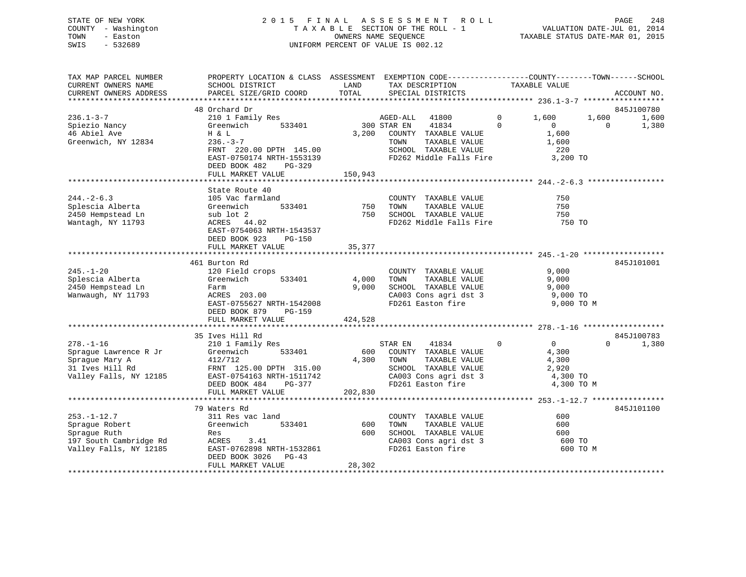# STATE OF NEW YORK 2 0 1 5 F I N A L A S S E S S M E N T R O L L PAGE 248 COUNTY - Washington T A X A B L E SECTION OF THE ROLL - 1 VALUATION DATE-JUL 01, 2014 TOWN - Easton OWNERS NAME SEQUENCE TAXABLE STATUS DATE-MAR 01, 2015 SWIS - 532689 UNIFORM PERCENT OF VALUE IS 002.12

| TAX MAP PARCEL NUMBER<br>CURRENT OWNERS NAME<br>CURRENT OWNERS ADDRESS                                  | PROPERTY LOCATION & CLASS ASSESSMENT<br>SCHOOL DISTRICT<br>PARCEL SIZE/GRID COORD                                                                                          | LAND<br>TOTAL             | EXEMPTION CODE-----------------COUNTY-------TOWN------SCHOOL<br>TAX DESCRIPTION<br>SPECIAL DISTRICTS                                                            | TAXABLE VALUE                                                                              |                   | ACCOUNT NO.    |
|---------------------------------------------------------------------------------------------------------|----------------------------------------------------------------------------------------------------------------------------------------------------------------------------|---------------------------|-----------------------------------------------------------------------------------------------------------------------------------------------------------------|--------------------------------------------------------------------------------------------|-------------------|----------------|
| ***************************                                                                             |                                                                                                                                                                            |                           |                                                                                                                                                                 |                                                                                            |                   |                |
|                                                                                                         | 48 Orchard Dr                                                                                                                                                              |                           |                                                                                                                                                                 |                                                                                            |                   | 845J100780     |
| $236.1 - 3 - 7$<br>Spiezio Nancy<br>46 Abiel Ave<br>Greenwich, NY 12834                                 | 210 1 Family Res<br>533401<br>Greenwich<br>H & L<br>$236. - 3 - 7$<br>FRNT 220.00 DPTH 145.00<br>EAST-0750174 NRTH-1553139<br>DEED BOOK 482<br>PG-329<br>FULL MARKET VALUE | 3,200<br>150,943          | AGED-ALL 41800<br>300 STAR EN<br>41834<br>COUNTY TAXABLE VALUE<br>TAXABLE VALUE<br>TOWN<br>SCHOOL TAXABLE VALUE<br>FD262 Middle Falls Fire                      | $\overline{0}$<br>1,600<br>$\Omega$<br>$\overline{0}$<br>1,600<br>1,600<br>220<br>3,200 TO | 1,600<br>$\Omega$ | 1,600<br>1,380 |
|                                                                                                         |                                                                                                                                                                            |                           |                                                                                                                                                                 |                                                                                            |                   |                |
| $244. - 2 - 6.3$<br>Splescia Alberta<br>2450 Hempstead Ln<br>Wantagh, NY 11793                          | State Route 40<br>105 Vac farmland<br>Greenwich<br>533401<br>sub lot 2<br>ACRES 44.02<br>EAST-0754063 NRTH-1543537<br>DEED BOOK 923<br><b>PG-150</b>                       | 750<br>750<br>35,377      | COUNTY TAXABLE VALUE<br>TAXABLE VALUE<br>TOWN<br>SCHOOL TAXABLE VALUE<br>FD262 Middle Falls Fire                                                                | 750<br>750<br>750<br>750 TO                                                                |                   |                |
|                                                                                                         | FULL MARKET VALUE                                                                                                                                                          |                           |                                                                                                                                                                 |                                                                                            |                   |                |
| $245. - 1 - 20$<br>Splescia Alberta<br>2450 Hempstead Ln<br>Wanwaugh, NY 11793                          | 461 Burton Rd<br>120 Field crops<br>533401<br>Greenwich<br>Farm<br>ACRES 203.00<br>EAST-0755627 NRTH-1542008<br>DEED BOOK 879<br>$PG-159$<br>FULL MARKET VALUE             | 4,000<br>9,000<br>424,528 | COUNTY TAXABLE VALUE<br>TAXABLE VALUE<br>TOWN<br>SCHOOL TAXABLE VALUE<br>SCHOOL TAXABLE VALUE<br>CA003 Cons agri dst 3<br>FD261 Easton fire                     | 9,000<br>9,000<br>9,000<br>9,000 TO<br>9,000 TO M                                          |                   | 845J101001     |
|                                                                                                         | 35 Ives Hill Rd                                                                                                                                                            |                           |                                                                                                                                                                 |                                                                                            |                   | 845J100783     |
| $278. - 1 - 16$<br>Sprague Lawrence R Jr<br>Sprague Mary A<br>31 Ives Hill Rd<br>Valley Falls, NY 12185 | 210 1 Family Res<br>Greenwich<br>533401<br>412/712<br>FRNT 125.00 DPTH 315.00<br>EAST-0754163 NRTH-1511742<br>DEED BOOK 484<br>PG-377<br>FULL MARKET VALUE                 | 600<br>4,300<br>202,830   | STAR EN<br>41834<br>COUNTY TAXABLE VALUE<br>TAXABLE VALUE<br>TOWN<br>SCHOOL TAXABLE VALUE<br>SCHOOL TAXABLE VALUE<br>CA003 Cons agri dst 3<br>FD261 Easton fire | $\overline{0}$<br>$\mathbf 0$<br>4,300<br>4,300<br>2,920<br>4,300 TO<br>4,300 TO M         | $\Omega$          | 1,380          |
|                                                                                                         |                                                                                                                                                                            |                           |                                                                                                                                                                 |                                                                                            |                   |                |
| $253. - 1 - 12.7$<br>Sprague Robert<br>Sprague Ruth<br>197 South Cambridge Rd<br>Valley Falls, NY 12185 | 79 Waters Rd<br>311 Res vac land<br>533401<br>Greenwich<br>Res<br>ACRES<br>3.41<br>EAST-0762898 NRTH-1532861<br>DEED BOOK 3026<br>$PG-43$<br>FULL MARKET VALUE             | 600<br>600<br>28,302      | COUNTY TAXABLE VALUE<br>TOWN<br>TAXABLE VALUE<br>SCHOOL TAXABLE VALUE<br>SCHOOL TAXABLE VALUE<br>CA003 Cons agri dst 3<br>FD261 Easton fire                     | 600<br>600<br>600<br>600 TO<br>600 TO M                                                    |                   | 845J101100     |
|                                                                                                         |                                                                                                                                                                            |                           |                                                                                                                                                                 |                                                                                            |                   |                |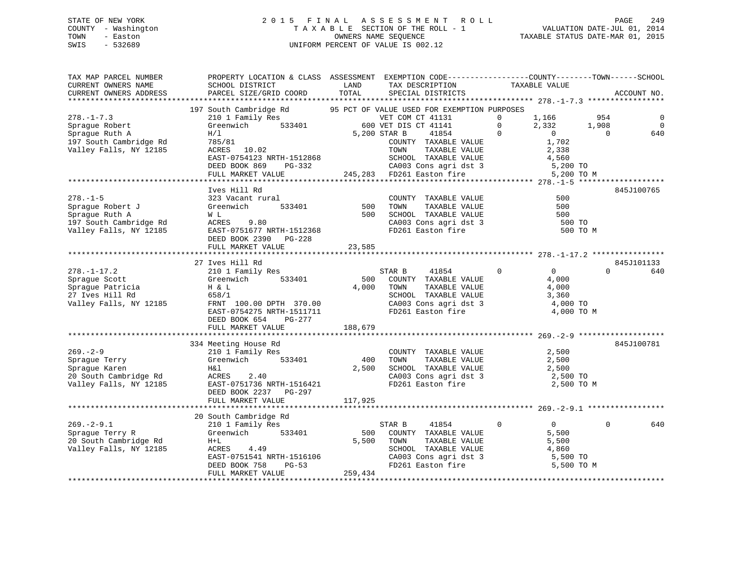# STATE OF NEW YORK 2 0 1 5 F I N A L A S S E S S M E N T R O L L PAGE 249 COUNTY - Washington T A X A B L E SECTION OF THE ROLL - 1 VALUATION DATE-JUL 01, 2014 TOWN - Easton **CONNERS NAME SEQUENCE** TAXABLE STATUS DATE-MAR 01, 2015 SWIS - 532689 UNIFORM PERCENT OF VALUE IS 002.12

| TAX MAP PARCEL NUMBER                  | PROPERTY LOCATION & CLASS ASSESSMENT EXEMPTION CODE---------------COUNTY-------TOWN------SCHOOL                                                                             |         |                                                                    |                                     |                        |
|----------------------------------------|-----------------------------------------------------------------------------------------------------------------------------------------------------------------------------|---------|--------------------------------------------------------------------|-------------------------------------|------------------------|
| CURRENT OWNERS NAME                    | SCHOOL DISTRICT                                                                                                                                                             | LAND    | TAX DESCRIPTION                                                    | TAXABLE VALUE                       |                        |
| CURRENT OWNERS ADDRESS                 | PARCEL SIZE/GRID COORD TOTAL                                                                                                                                                |         | SPECIAL DISTRICTS                                                  |                                     | ACCOUNT NO.            |
|                                        |                                                                                                                                                                             |         |                                                                    |                                     |                        |
|                                        | 197 South Cambridge Rd 95 PCT OF VALUE USED FOR EXEMPTION PURPOSES                                                                                                          |         |                                                                    |                                     |                        |
| $278. - 1 - 7.3$                       |                                                                                                                                                                             |         |                                                                    | $\Omega$<br>1,166                   | 954<br>$\mathbf 0$     |
| Sprague Robert                         | $\begin{tabular}{lllllllllll} \bf 210 & 1 & Family Res & & & VET COM CT & 41131 \\ \bf 31 & 610 & 533401 & 600 VET DIS CT & 41141 \\ \end{tabular}$                         |         |                                                                    | $\overline{0}$<br>2,332             | $\bigcirc$<br>1,908    |
| Sprague Ruth A                         | H/1                                                                                                                                                                         |         | 5,200 STAR B<br>41854                                              | $\overline{0}$<br>$\overline{0}$    | $\overline{0}$<br>640  |
| 197 South Cambridge Rd                 | 785/81                                                                                                                                                                      |         | COUNTY TAXABLE VALUE                                               | 1,702                               |                        |
| Valley Falls, NY 12185                 | ACRES 10.02                                                                                                                                                                 |         | TOWN<br>TAXABLE VALUE                                              | 2,338                               |                        |
|                                        |                                                                                                                                                                             |         |                                                                    | 4,560                               |                        |
|                                        | EAST-0754123<br>EAST-0754123<br>DEED BOOK 869 PG-332<br>FULL MARKET VALUE 245,283 FD261 Easton fire                                                                         |         |                                                                    | 5,200 TO                            |                        |
|                                        |                                                                                                                                                                             |         |                                                                    | 5,200 TO M                          |                        |
|                                        |                                                                                                                                                                             |         |                                                                    |                                     |                        |
|                                        | Ives Hill Rd                                                                                                                                                                |         |                                                                    |                                     | 845J100765             |
| $278. - 1 - 5$                         | 323 Vacant rural                                                                                                                                                            |         | COUNTY TAXABLE VALUE                                               | 500                                 |                        |
| Sprague Robert J                       | 533401<br>Greenwich                                                                                                                                                         | 500     |                                                                    | 500                                 |                        |
|                                        |                                                                                                                                                                             | 500     | TOWN      TAXABLE VALUE<br>SCHOOL   TAXABLE VALUE                  | 500                                 |                        |
|                                        |                                                                                                                                                                             |         |                                                                    | 500 TO                              |                        |
|                                        |                                                                                                                                                                             |         | CA003 Cons agri dst 3<br>FD261 Easton fire                         | 500 TO M                            |                        |
|                                        | Sprague Auth A<br>197 South Cambridge Rd<br>197 South Cambridge Rd<br>197 South Cambridge Rd<br>197 South Cambridge Rd<br>198 Space BAST-0751677 NRTH-1512368<br>200 PG-228 |         |                                                                    |                                     |                        |
|                                        |                                                                                                                                                                             |         |                                                                    |                                     |                        |
|                                        | FULL MARKET VALUE                                                                                                                                                           | 23,585  |                                                                    |                                     |                        |
|                                        |                                                                                                                                                                             |         |                                                                    |                                     |                        |
|                                        | 27 Ives Hill Rd                                                                                                                                                             |         |                                                                    |                                     | 845J101133<br>$\Omega$ |
| $278. - 1 - 17.2$                      | 210 1 Family Res                                                                                                                                                            |         | 41854<br>STAR B                                                    | $\overline{0}$<br>$0 \qquad \qquad$ | 640                    |
| Sprague Scott                          |                                                                                                                                                                             |         | 500 COUNTY TAXABLE VALUE                                           | 4,000                               |                        |
| sprague Patricia<br>27 Ives Hill Rd    | H & L<br>658/1                                                                                                                                                              | 4,000   | TAXABLE VALUE<br>TOWN<br>SCHOOL TAXABLE VALUE                      | 4,000                               |                        |
|                                        |                                                                                                                                                                             |         |                                                                    | 3,360                               |                        |
| Valley Falls, NY 12185                 | FRNT 100.00 DPTH 370.00                                                                                                                                                     |         | CA003 Cons agri dst 3<br>FD261 Easton fire                         | 4,000 TO                            |                        |
|                                        | EAST-0754275 NRTH-1511711                                                                                                                                                   |         |                                                                    | 4,000 TO M                          |                        |
|                                        | DEED BOOK 654<br>PG-277                                                                                                                                                     |         |                                                                    |                                     |                        |
|                                        | FULL MARKET VALUE                                                                                                                                                           | 188,679 |                                                                    |                                     |                        |
|                                        |                                                                                                                                                                             |         |                                                                    |                                     |                        |
|                                        | 334 Meeting House Rd                                                                                                                                                        |         |                                                                    |                                     | 845J100781             |
| $269. - 2 - 9$                         | 210 1 Family Res                                                                                                                                                            |         | COUNTY TAXABLE VALUE                                               | 2,500                               |                        |
| Sprague Terry                          | Greenwich 533401                                                                                                                                                            | 400     | TOWN<br>TAXABLE VALUE                                              | 2,500                               |                        |
| Sprague Karen                          | H&l                                                                                                                                                                         | 2,500   |                                                                    | 2,500                               |                        |
|                                        |                                                                                                                                                                             |         | SCHOOL TAXABLE VALUE<br>CA003 Cons agri dst 3                      | 2,500 TO                            |                        |
|                                        | EAST-0751736 NRTH-1516421                                                                                                                                                   |         | FD261 Easton fire                                                  | 2,500 TO M                          |                        |
|                                        | DEED BOOK 2237 PG-297                                                                                                                                                       |         |                                                                    |                                     |                        |
|                                        | FULL MARKET VALUE                                                                                                                                                           | 117,925 |                                                                    |                                     |                        |
|                                        |                                                                                                                                                                             |         |                                                                    |                                     |                        |
|                                        | 20 South Cambridge Rd                                                                                                                                                       |         |                                                                    |                                     |                        |
| $269. - 2 - 9.1$                       | 210 1 Family Res                                                                                                                                                            |         | STAR B<br>41854                                                    | $\overline{0}$<br>$\overline{0}$    | $\Omega$<br>640        |
| Spraque Terry R                        | Greenwich 533401                                                                                                                                                            |         | 500 COUNTY TAXABLE VALUE                                           | 5,500                               |                        |
| Sprayue ICIT,<br>20 South Cambridge Rd | $H+L$                                                                                                                                                                       | 5,500   | TOWN<br>TAXABLE VALUE                                              | 5,500                               |                        |
| Valley Falls, NY 12185                 | ACRES 4.49                                                                                                                                                                  |         |                                                                    | 4,860                               |                        |
|                                        | EAST-0751541 NRTH-1516106<br>DEED BOOK 758 PG-53                                                                                                                            |         |                                                                    | 5,500 TO                            |                        |
|                                        | DEED BOOK 758<br>PG-53                                                                                                                                                      |         | SCHOOL TAXABLE VALUE<br>CA003 Cons agri dst 3<br>FD261 Easton fire | 5,500 TO M                          |                        |
|                                        | FULL MARKET VALUE                                                                                                                                                           | 259,434 |                                                                    |                                     |                        |
|                                        |                                                                                                                                                                             |         |                                                                    |                                     |                        |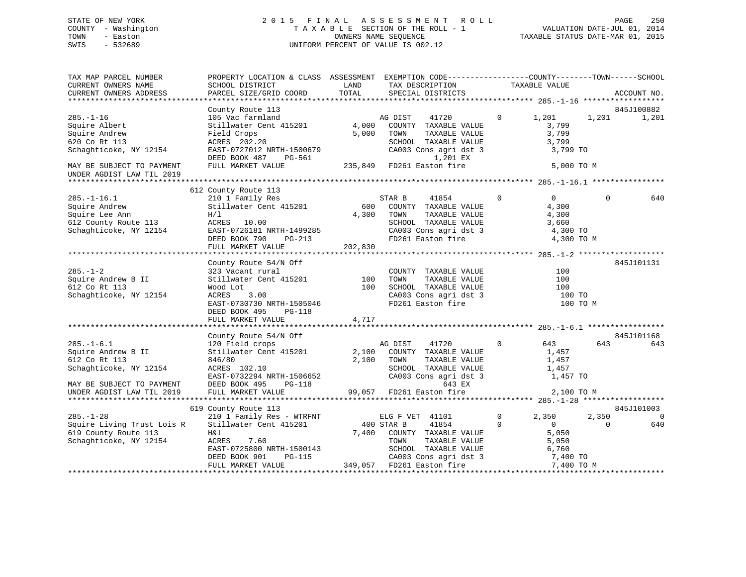UNDER AGDIST LAW TIL 2019

#### STATE OF NEW YORK 2 0 1 5 F I N A L A S S E S S M E N T R O L L PAGE 250COUNTY - Washington T A X A B L E SECTION OF THE ROLL - 1 TOWN - Easton OWNERS NAME SEQUENCE TAXABLE STATUS DATE-MAR 01, 2015 SWIS - 532689 UNIFORM PERCENT OF VALUE IS 002.12

TAX MAP PARCEL NUMBER PROPERTY LOCATION & CLASS ASSESSMENT EXEMPTION CODE------------------COUNTY--------TOWN------SCHOOL CURRENT OWNERS NAME SCHOOL DISTRICT LAND TAX DESCRIPTION TAXABLE VALUECURRENT OWNERS ADDRESS PARCEL SIZE/GRID COORD TOTAL SPECIAL DISTRICTS ACCOUNT NO. \*\*\*\*\*\*\*\*\*\*\*\*\*\*\*\*\*\*\*\*\*\*\*\*\*\*\*\*\*\*\*\*\*\*\*\*\*\*\*\*\*\*\*\*\*\*\*\*\*\*\*\*\*\*\*\*\*\*\*\*\*\*\*\*\*\*\*\*\*\*\*\*\*\*\*\*\*\*\*\*\*\*\*\*\*\*\*\*\*\*\*\*\*\*\*\*\*\*\*\*\*\*\* 285.-1-16 \*\*\*\*\*\*\*\*\*\*\*\*\*\*\*\*\*\* County Route 113 645J100882<br>105 Vac farmland 6 645 M AG DIST 41720 6 845J100882 285.-1-16 105 Vac farmland AG DIST 41720 0 1,201 1,201 1,201 Squire Albert 61,799 Stillwater Cent 415201 4,000 COUNTY TAXABLE VALUE 3,799 Squire Andrew Field Crops 5,000 TOWN TAXABLE VALUE 3,799 620 Co Rt 113 ACRES 202.20 SCHOOL TAXABLE VALUE 3,799 Schaghticoke, NY 12154 EAST-0727012 NRTH-1500679 CA003 Cons agri dst 3 3,799 TO<br>DEED BOOK 487 PG-561 1.201 EX DEED BOOK 487 PG-561 MAY BE SUBJECT TO PAYMENT FULL MARKET VALUE  $235,849$  FD261 Easton fire 5,000 TO M \*\*\*\*\*\*\*\*\*\*\*\*\*\*\*\*\*\*\*\*\*\*\*\*\*\*\*\*\*\*\*\*\*\*\*\*\*\*\*\*\*\*\*\*\*\*\*\*\*\*\*\*\*\*\*\*\*\*\*\*\*\*\*\*\*\*\*\*\*\*\*\*\*\*\*\*\*\*\*\*\*\*\*\*\*\*\*\*\*\*\*\*\*\*\*\*\*\*\*\*\*\*\* 285.-1-16.1 \*\*\*\*\*\*\*\*\*\*\*\*\*\*\*\* 612 County Route 113 285.-1-16.1 210 1 Family Res STAR B 41854 0 0 0 640 Squire Andrew Stillwater Cent 415201 600 COUNTY TAXABLE VALUE 4,300 Squire Lee Ann  $H/I$   $H/I$   $4,300$  TOWN TAXABLE VALUE  $4,300$ 612 County Route 113 ACRES 10.00 SCHOOL TAXABLE VALUE 3,660

| Schaghticoke, NY 12154                  | EAST-0726181 NRTH-1499285                         |            |         | CA003 Cons agri dst 3                   |                | 4,300 TO       |          |            |
|-----------------------------------------|---------------------------------------------------|------------|---------|-----------------------------------------|----------------|----------------|----------|------------|
|                                         | DEED BOOK 790<br>$PG-213$                         |            |         | FD261 Easton fire 4,300 TO M            |                |                |          |            |
|                                         | FULL MARKET VALUE                                 | 202,830    |         |                                         |                |                |          |            |
|                                         |                                                   |            |         |                                         |                |                |          |            |
|                                         | County Route 54/N Off                             |            |         |                                         |                |                |          | 845J101131 |
| $285. - 1 - 2$                          | 323 Vacant rural                                  |            |         | COUNTY TAXABLE VALUE                    |                | 100            |          |            |
| Squire Andrew B II                      | Stillwater Cent 415201 100                        |            | TOWN    | TAXABLE VALUE                           |                | 100            |          |            |
| 612 Co Rt 113                           | Wood Lot                                          | 100        |         | SCHOOL TAXABLE VALUE                    |                | 100            |          |            |
| Schaghticoke, NY 12154                  | ACRES 3.00                                        |            |         | CA003 Cons agri dst 3                   |                | $100$ TO       |          |            |
|                                         | EAST-0730730 NRTH-1505046                         |            |         | FD261 Easton fire                       |                |                | 100 TO M |            |
|                                         | DEED BOOK 495<br>PG-118                           |            |         |                                         |                |                |          |            |
|                                         | FULL MARKET VALUE                                 | 4,717      |         |                                         |                |                |          |            |
|                                         |                                                   |            |         |                                         |                |                |          |            |
|                                         | County Route 54/N Off                             |            |         |                                         |                |                |          | 845J101168 |
| $285. - 1 - 6.1$                        | 120 Field crops                                   |            | AG DIST | 41720                                   | $\overline{0}$ | 643            | 643      | 643        |
| Squire Andrew B II                      | Stillwater Cent 415201                            |            |         | 2,100 COUNTY TAXABLE VALUE              |                | 1,457          |          |            |
| 612 Co Rt 113                           | 846/80                                            | 2,100      | TOWN    | TAXABLE VALUE                           |                | 1,457          |          |            |
| Schaghticoke, NY 12154                  | ACRES 102.10                                      |            |         | SCHOOL TAXABLE VALUE                    |                | 1,457          |          |            |
|                                         | EAST-0732294 NRTH-1506652                         |            |         | CA003 Cons agri dst 3                   |                | 1,457 TO       |          |            |
| MAY BE SUBJECT TO PAYMENT DEED BOOK 495 |                                                   |            |         |                                         |                |                |          |            |
|                                         |                                                   |            |         |                                         |                |                |          |            |
|                                         |                                                   |            |         |                                         |                |                |          |            |
|                                         | 619 County Route 113                              |            |         |                                         |                |                |          | 845J101003 |
| $285. - 1 - 28$                         | 210 1 Family Res - WTRFNT                         |            |         | ELG F VET 41101                         | $\mathbf{0}$   | 2,350          | 2,350    | $\bigcirc$ |
|                                         | Squire Living Trust Lois R Stillwater Cent 415201 | 400 STAR B |         | 41854                                   | $\Omega$       | $\overline{0}$ | 0        | 640        |
| 619 County Route 113                    | H&l                                               | 7,400      |         | COUNTY TAXABLE VALUE                    |                | 5,050          |          |            |
| Schaghticoke, NY 12154                  | 7.60<br>ACRES                                     |            | TOWN    | TAXABLE VALUE                           |                | 5,050          |          |            |
|                                         | EAST-0725800 NRTH-1500143                         |            | SCHOOL  | TAXABLE VALUE                           |                | 6,760          |          |            |
|                                         | DEED BOOK 901<br>PG-115                           |            |         | CA003 Cons agri dst 3                   |                | 7,400 TO       |          |            |
|                                         | FULL MARKET VALUE                                 | 349,057    |         | FD261 Easton fire The Monday 7,400 TO M |                |                |          |            |
|                                         |                                                   |            |         |                                         |                |                |          |            |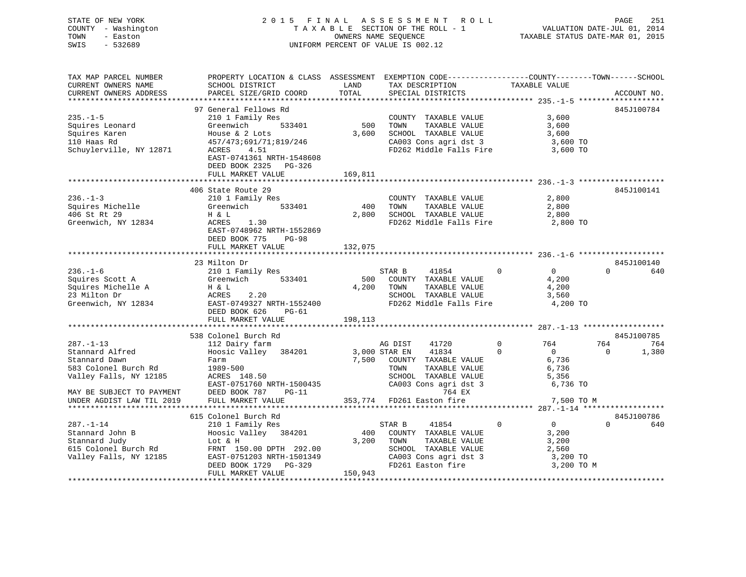| STATE OF NEW YORK   | 2015 FINAL ASSESSMENT ROLL         | 251<br>PAGE                      |
|---------------------|------------------------------------|----------------------------------|
| COUNTY - Washington | TAXABLE SECTION OF THE ROLL - 1    | VALUATION DATE-JUL 01, 2014      |
| TOWN<br>- Easton    | OWNERS NAME SEOUENCE               | TAXABLE STATUS DATE-MAR 01, 2015 |
| - 532689<br>SWIS    | UNIFORM PERCENT OF VALUE IS 002.12 |                                  |

| CURRENT OWNERS NAME<br>SCHOOL DISTRICT<br>LAND<br>TAX DESCRIPTION<br>TAXABLE VALUE<br>TOTAL<br>CURRENT OWNERS ADDRESS<br>PARCEL SIZE/GRID COORD<br>SPECIAL DISTRICTS<br>ACCOUNT NO.<br>97 General Fellows Rd<br>845J100784<br>$235. -1 - 5$<br>210 1 Family Res<br>3,600<br>COUNTY TAXABLE VALUE<br>Squires Leonard<br>Greenwich<br>533401<br>500<br>TOWN<br>TAXABLE VALUE<br>3,600<br>3,600<br>SCHOOL TAXABLE VALUE<br>Squires Karen<br>House & 2 Lots<br>3,600<br>110 Haas Rd<br>457/473;691/71;819/246<br>CA003 Cons agri dst 3<br>3,600 TO<br>Schuylerville, NY 12871<br>4.51<br>FD262 Middle Falls Fire<br>ACRES<br>3,600 TO<br>EAST-0741361 NRTH-1548608<br>DEED BOOK 2325 PG-326<br>169,811<br>FULL MARKET VALUE<br>406 State Route 29<br>845J100141<br>$236. - 1 - 3$<br>2,800<br>210 1 Family Res<br>COUNTY TAXABLE VALUE<br>400<br>2,800<br>Squires Michelle<br>533401<br>TOWN<br>TAXABLE VALUE<br>Greenwich<br>406 St Rt 29<br>2,800<br>SCHOOL TAXABLE VALUE<br>2,800<br>H & L<br>FD262 Middle Falls Fire<br>Greenwich, NY 12834<br>ACRES<br>1.30<br>2,800 TO<br>EAST-0748962 NRTH-1552869<br>DEED BOOK 775<br>$PG-98$<br>FULL MARKET VALUE<br>132,075<br>23 Milton Dr<br>845J100140<br>$236. - 1 - 6$<br>$\overline{0}$<br>0<br>$\Omega$<br>210 1 Family Res<br>STAR B<br>41854<br>640<br>Squires Scott A<br>Greenwich<br>533401<br>500<br>COUNTY TAXABLE VALUE<br>4,200<br>Squires Michelle A<br>4,200<br>TAXABLE VALUE<br>4,200<br>H & L<br>TOWN<br>2.20<br>23 Milton Dr<br>ACRES<br>SCHOOL TAXABLE VALUE<br>3,560<br>Greenwich, NY 12834<br>EAST-0749327 NRTH-1552400<br>FD262 Middle Falls Fire<br>4,200 TO<br>DEED BOOK 626<br>$PG-61$<br>198,113<br>FULL MARKET VALUE<br>538 Colonel Burch Rd<br>845J100785<br>$287. - 1 - 13$<br>112 Dairy farm<br>41720<br>$\mathbf 0$<br>764<br>764<br>AG DIST<br>764<br>41834<br>Stannard Alfred<br>Hoosic Valley 384201<br>3,000 STAR EN<br>$\Omega$<br>$\overline{0}$<br>$\Omega$<br>1,380<br>Stannard Dawn<br>7,500<br>COUNTY TAXABLE VALUE<br>6,736<br>Farm<br>583 Colonel Burch Rd<br>1989-500<br>TOWN<br>TAXABLE VALUE<br>6,736<br>ACRES 148.50<br>SCHOOL TAXABLE VALUE<br>5,356<br>CA003 Cons agri dst 3<br>6,736 TO<br>EAST-0751760 NRTH-1500435<br>764 EX<br>DEED BOOK 787<br>MAY BE SUBJECT TO PAYMENT<br>$PG-11$<br>353,774 FD261 Easton fire<br>7,500 TO M<br>UNDER AGDIST LAW TIL 2019<br>FULL MARKET VALUE<br>615 Colonel Burch Rd<br>845J100786<br>$\mathbf 0$<br>$287. - 1 - 14$<br>41854<br>$\overline{0}$<br>$\Omega$<br>640<br>210 1 Family Res<br>STAR B<br>Hoosic Valley 384201<br>400<br>Stannard John B<br>COUNTY TAXABLE VALUE<br>3,200<br>3,200<br>Stannard Judy<br>Lot & H<br>TOWN<br>TAXABLE VALUE<br>3,200<br>SCHOOL TAXABLE VALUE<br>615 Colonel Burch Rd<br>FRNT 150.00 DPTH 292.00<br>2,560<br>CA003 Cons agri dst 3<br>Valley Falls, NY 12185<br>EAST-0751203 NRTH-1501349<br>3,200 TO<br>DEED BOOK 1729<br>PG-329<br>FD261 Easton fire<br>3,200 TO M<br>150,943<br>FULL MARKET VALUE | TAX MAP PARCEL NUMBER  | PROPERTY LOCATION & CLASS ASSESSMENT EXEMPTION CODE----------------COUNTY-------TOWN------SCHOOL |  |  |
|-----------------------------------------------------------------------------------------------------------------------------------------------------------------------------------------------------------------------------------------------------------------------------------------------------------------------------------------------------------------------------------------------------------------------------------------------------------------------------------------------------------------------------------------------------------------------------------------------------------------------------------------------------------------------------------------------------------------------------------------------------------------------------------------------------------------------------------------------------------------------------------------------------------------------------------------------------------------------------------------------------------------------------------------------------------------------------------------------------------------------------------------------------------------------------------------------------------------------------------------------------------------------------------------------------------------------------------------------------------------------------------------------------------------------------------------------------------------------------------------------------------------------------------------------------------------------------------------------------------------------------------------------------------------------------------------------------------------------------------------------------------------------------------------------------------------------------------------------------------------------------------------------------------------------------------------------------------------------------------------------------------------------------------------------------------------------------------------------------------------------------------------------------------------------------------------------------------------------------------------------------------------------------------------------------------------------------------------------------------------------------------------------------------------------------------------------------------------------------------------------------------------------------------------------------------------------------------------------------------------------------------------------------------------------------------------------------------------------------------------------------------------------------------------------------------------------------------------------------------------------------------------------------------------------------------------------------------------------------|------------------------|--------------------------------------------------------------------------------------------------|--|--|
|                                                                                                                                                                                                                                                                                                                                                                                                                                                                                                                                                                                                                                                                                                                                                                                                                                                                                                                                                                                                                                                                                                                                                                                                                                                                                                                                                                                                                                                                                                                                                                                                                                                                                                                                                                                                                                                                                                                                                                                                                                                                                                                                                                                                                                                                                                                                                                                                                                                                                                                                                                                                                                                                                                                                                                                                                                                                                                                                                                             |                        |                                                                                                  |  |  |
|                                                                                                                                                                                                                                                                                                                                                                                                                                                                                                                                                                                                                                                                                                                                                                                                                                                                                                                                                                                                                                                                                                                                                                                                                                                                                                                                                                                                                                                                                                                                                                                                                                                                                                                                                                                                                                                                                                                                                                                                                                                                                                                                                                                                                                                                                                                                                                                                                                                                                                                                                                                                                                                                                                                                                                                                                                                                                                                                                                             |                        |                                                                                                  |  |  |
|                                                                                                                                                                                                                                                                                                                                                                                                                                                                                                                                                                                                                                                                                                                                                                                                                                                                                                                                                                                                                                                                                                                                                                                                                                                                                                                                                                                                                                                                                                                                                                                                                                                                                                                                                                                                                                                                                                                                                                                                                                                                                                                                                                                                                                                                                                                                                                                                                                                                                                                                                                                                                                                                                                                                                                                                                                                                                                                                                                             |                        |                                                                                                  |  |  |
|                                                                                                                                                                                                                                                                                                                                                                                                                                                                                                                                                                                                                                                                                                                                                                                                                                                                                                                                                                                                                                                                                                                                                                                                                                                                                                                                                                                                                                                                                                                                                                                                                                                                                                                                                                                                                                                                                                                                                                                                                                                                                                                                                                                                                                                                                                                                                                                                                                                                                                                                                                                                                                                                                                                                                                                                                                                                                                                                                                             |                        |                                                                                                  |  |  |
|                                                                                                                                                                                                                                                                                                                                                                                                                                                                                                                                                                                                                                                                                                                                                                                                                                                                                                                                                                                                                                                                                                                                                                                                                                                                                                                                                                                                                                                                                                                                                                                                                                                                                                                                                                                                                                                                                                                                                                                                                                                                                                                                                                                                                                                                                                                                                                                                                                                                                                                                                                                                                                                                                                                                                                                                                                                                                                                                                                             |                        |                                                                                                  |  |  |
|                                                                                                                                                                                                                                                                                                                                                                                                                                                                                                                                                                                                                                                                                                                                                                                                                                                                                                                                                                                                                                                                                                                                                                                                                                                                                                                                                                                                                                                                                                                                                                                                                                                                                                                                                                                                                                                                                                                                                                                                                                                                                                                                                                                                                                                                                                                                                                                                                                                                                                                                                                                                                                                                                                                                                                                                                                                                                                                                                                             |                        |                                                                                                  |  |  |
|                                                                                                                                                                                                                                                                                                                                                                                                                                                                                                                                                                                                                                                                                                                                                                                                                                                                                                                                                                                                                                                                                                                                                                                                                                                                                                                                                                                                                                                                                                                                                                                                                                                                                                                                                                                                                                                                                                                                                                                                                                                                                                                                                                                                                                                                                                                                                                                                                                                                                                                                                                                                                                                                                                                                                                                                                                                                                                                                                                             |                        |                                                                                                  |  |  |
|                                                                                                                                                                                                                                                                                                                                                                                                                                                                                                                                                                                                                                                                                                                                                                                                                                                                                                                                                                                                                                                                                                                                                                                                                                                                                                                                                                                                                                                                                                                                                                                                                                                                                                                                                                                                                                                                                                                                                                                                                                                                                                                                                                                                                                                                                                                                                                                                                                                                                                                                                                                                                                                                                                                                                                                                                                                                                                                                                                             |                        |                                                                                                  |  |  |
|                                                                                                                                                                                                                                                                                                                                                                                                                                                                                                                                                                                                                                                                                                                                                                                                                                                                                                                                                                                                                                                                                                                                                                                                                                                                                                                                                                                                                                                                                                                                                                                                                                                                                                                                                                                                                                                                                                                                                                                                                                                                                                                                                                                                                                                                                                                                                                                                                                                                                                                                                                                                                                                                                                                                                                                                                                                                                                                                                                             |                        |                                                                                                  |  |  |
|                                                                                                                                                                                                                                                                                                                                                                                                                                                                                                                                                                                                                                                                                                                                                                                                                                                                                                                                                                                                                                                                                                                                                                                                                                                                                                                                                                                                                                                                                                                                                                                                                                                                                                                                                                                                                                                                                                                                                                                                                                                                                                                                                                                                                                                                                                                                                                                                                                                                                                                                                                                                                                                                                                                                                                                                                                                                                                                                                                             |                        |                                                                                                  |  |  |
|                                                                                                                                                                                                                                                                                                                                                                                                                                                                                                                                                                                                                                                                                                                                                                                                                                                                                                                                                                                                                                                                                                                                                                                                                                                                                                                                                                                                                                                                                                                                                                                                                                                                                                                                                                                                                                                                                                                                                                                                                                                                                                                                                                                                                                                                                                                                                                                                                                                                                                                                                                                                                                                                                                                                                                                                                                                                                                                                                                             |                        |                                                                                                  |  |  |
|                                                                                                                                                                                                                                                                                                                                                                                                                                                                                                                                                                                                                                                                                                                                                                                                                                                                                                                                                                                                                                                                                                                                                                                                                                                                                                                                                                                                                                                                                                                                                                                                                                                                                                                                                                                                                                                                                                                                                                                                                                                                                                                                                                                                                                                                                                                                                                                                                                                                                                                                                                                                                                                                                                                                                                                                                                                                                                                                                                             |                        |                                                                                                  |  |  |
|                                                                                                                                                                                                                                                                                                                                                                                                                                                                                                                                                                                                                                                                                                                                                                                                                                                                                                                                                                                                                                                                                                                                                                                                                                                                                                                                                                                                                                                                                                                                                                                                                                                                                                                                                                                                                                                                                                                                                                                                                                                                                                                                                                                                                                                                                                                                                                                                                                                                                                                                                                                                                                                                                                                                                                                                                                                                                                                                                                             |                        |                                                                                                  |  |  |
|                                                                                                                                                                                                                                                                                                                                                                                                                                                                                                                                                                                                                                                                                                                                                                                                                                                                                                                                                                                                                                                                                                                                                                                                                                                                                                                                                                                                                                                                                                                                                                                                                                                                                                                                                                                                                                                                                                                                                                                                                                                                                                                                                                                                                                                                                                                                                                                                                                                                                                                                                                                                                                                                                                                                                                                                                                                                                                                                                                             |                        |                                                                                                  |  |  |
|                                                                                                                                                                                                                                                                                                                                                                                                                                                                                                                                                                                                                                                                                                                                                                                                                                                                                                                                                                                                                                                                                                                                                                                                                                                                                                                                                                                                                                                                                                                                                                                                                                                                                                                                                                                                                                                                                                                                                                                                                                                                                                                                                                                                                                                                                                                                                                                                                                                                                                                                                                                                                                                                                                                                                                                                                                                                                                                                                                             |                        |                                                                                                  |  |  |
|                                                                                                                                                                                                                                                                                                                                                                                                                                                                                                                                                                                                                                                                                                                                                                                                                                                                                                                                                                                                                                                                                                                                                                                                                                                                                                                                                                                                                                                                                                                                                                                                                                                                                                                                                                                                                                                                                                                                                                                                                                                                                                                                                                                                                                                                                                                                                                                                                                                                                                                                                                                                                                                                                                                                                                                                                                                                                                                                                                             |                        |                                                                                                  |  |  |
|                                                                                                                                                                                                                                                                                                                                                                                                                                                                                                                                                                                                                                                                                                                                                                                                                                                                                                                                                                                                                                                                                                                                                                                                                                                                                                                                                                                                                                                                                                                                                                                                                                                                                                                                                                                                                                                                                                                                                                                                                                                                                                                                                                                                                                                                                                                                                                                                                                                                                                                                                                                                                                                                                                                                                                                                                                                                                                                                                                             |                        |                                                                                                  |  |  |
|                                                                                                                                                                                                                                                                                                                                                                                                                                                                                                                                                                                                                                                                                                                                                                                                                                                                                                                                                                                                                                                                                                                                                                                                                                                                                                                                                                                                                                                                                                                                                                                                                                                                                                                                                                                                                                                                                                                                                                                                                                                                                                                                                                                                                                                                                                                                                                                                                                                                                                                                                                                                                                                                                                                                                                                                                                                                                                                                                                             |                        |                                                                                                  |  |  |
|                                                                                                                                                                                                                                                                                                                                                                                                                                                                                                                                                                                                                                                                                                                                                                                                                                                                                                                                                                                                                                                                                                                                                                                                                                                                                                                                                                                                                                                                                                                                                                                                                                                                                                                                                                                                                                                                                                                                                                                                                                                                                                                                                                                                                                                                                                                                                                                                                                                                                                                                                                                                                                                                                                                                                                                                                                                                                                                                                                             |                        |                                                                                                  |  |  |
|                                                                                                                                                                                                                                                                                                                                                                                                                                                                                                                                                                                                                                                                                                                                                                                                                                                                                                                                                                                                                                                                                                                                                                                                                                                                                                                                                                                                                                                                                                                                                                                                                                                                                                                                                                                                                                                                                                                                                                                                                                                                                                                                                                                                                                                                                                                                                                                                                                                                                                                                                                                                                                                                                                                                                                                                                                                                                                                                                                             |                        |                                                                                                  |  |  |
|                                                                                                                                                                                                                                                                                                                                                                                                                                                                                                                                                                                                                                                                                                                                                                                                                                                                                                                                                                                                                                                                                                                                                                                                                                                                                                                                                                                                                                                                                                                                                                                                                                                                                                                                                                                                                                                                                                                                                                                                                                                                                                                                                                                                                                                                                                                                                                                                                                                                                                                                                                                                                                                                                                                                                                                                                                                                                                                                                                             |                        |                                                                                                  |  |  |
|                                                                                                                                                                                                                                                                                                                                                                                                                                                                                                                                                                                                                                                                                                                                                                                                                                                                                                                                                                                                                                                                                                                                                                                                                                                                                                                                                                                                                                                                                                                                                                                                                                                                                                                                                                                                                                                                                                                                                                                                                                                                                                                                                                                                                                                                                                                                                                                                                                                                                                                                                                                                                                                                                                                                                                                                                                                                                                                                                                             |                        |                                                                                                  |  |  |
|                                                                                                                                                                                                                                                                                                                                                                                                                                                                                                                                                                                                                                                                                                                                                                                                                                                                                                                                                                                                                                                                                                                                                                                                                                                                                                                                                                                                                                                                                                                                                                                                                                                                                                                                                                                                                                                                                                                                                                                                                                                                                                                                                                                                                                                                                                                                                                                                                                                                                                                                                                                                                                                                                                                                                                                                                                                                                                                                                                             |                        |                                                                                                  |  |  |
|                                                                                                                                                                                                                                                                                                                                                                                                                                                                                                                                                                                                                                                                                                                                                                                                                                                                                                                                                                                                                                                                                                                                                                                                                                                                                                                                                                                                                                                                                                                                                                                                                                                                                                                                                                                                                                                                                                                                                                                                                                                                                                                                                                                                                                                                                                                                                                                                                                                                                                                                                                                                                                                                                                                                                                                                                                                                                                                                                                             |                        |                                                                                                  |  |  |
|                                                                                                                                                                                                                                                                                                                                                                                                                                                                                                                                                                                                                                                                                                                                                                                                                                                                                                                                                                                                                                                                                                                                                                                                                                                                                                                                                                                                                                                                                                                                                                                                                                                                                                                                                                                                                                                                                                                                                                                                                                                                                                                                                                                                                                                                                                                                                                                                                                                                                                                                                                                                                                                                                                                                                                                                                                                                                                                                                                             |                        |                                                                                                  |  |  |
|                                                                                                                                                                                                                                                                                                                                                                                                                                                                                                                                                                                                                                                                                                                                                                                                                                                                                                                                                                                                                                                                                                                                                                                                                                                                                                                                                                                                                                                                                                                                                                                                                                                                                                                                                                                                                                                                                                                                                                                                                                                                                                                                                                                                                                                                                                                                                                                                                                                                                                                                                                                                                                                                                                                                                                                                                                                                                                                                                                             |                        |                                                                                                  |  |  |
|                                                                                                                                                                                                                                                                                                                                                                                                                                                                                                                                                                                                                                                                                                                                                                                                                                                                                                                                                                                                                                                                                                                                                                                                                                                                                                                                                                                                                                                                                                                                                                                                                                                                                                                                                                                                                                                                                                                                                                                                                                                                                                                                                                                                                                                                                                                                                                                                                                                                                                                                                                                                                                                                                                                                                                                                                                                                                                                                                                             |                        |                                                                                                  |  |  |
|                                                                                                                                                                                                                                                                                                                                                                                                                                                                                                                                                                                                                                                                                                                                                                                                                                                                                                                                                                                                                                                                                                                                                                                                                                                                                                                                                                                                                                                                                                                                                                                                                                                                                                                                                                                                                                                                                                                                                                                                                                                                                                                                                                                                                                                                                                                                                                                                                                                                                                                                                                                                                                                                                                                                                                                                                                                                                                                                                                             |                        |                                                                                                  |  |  |
|                                                                                                                                                                                                                                                                                                                                                                                                                                                                                                                                                                                                                                                                                                                                                                                                                                                                                                                                                                                                                                                                                                                                                                                                                                                                                                                                                                                                                                                                                                                                                                                                                                                                                                                                                                                                                                                                                                                                                                                                                                                                                                                                                                                                                                                                                                                                                                                                                                                                                                                                                                                                                                                                                                                                                                                                                                                                                                                                                                             |                        |                                                                                                  |  |  |
|                                                                                                                                                                                                                                                                                                                                                                                                                                                                                                                                                                                                                                                                                                                                                                                                                                                                                                                                                                                                                                                                                                                                                                                                                                                                                                                                                                                                                                                                                                                                                                                                                                                                                                                                                                                                                                                                                                                                                                                                                                                                                                                                                                                                                                                                                                                                                                                                                                                                                                                                                                                                                                                                                                                                                                                                                                                                                                                                                                             |                        |                                                                                                  |  |  |
|                                                                                                                                                                                                                                                                                                                                                                                                                                                                                                                                                                                                                                                                                                                                                                                                                                                                                                                                                                                                                                                                                                                                                                                                                                                                                                                                                                                                                                                                                                                                                                                                                                                                                                                                                                                                                                                                                                                                                                                                                                                                                                                                                                                                                                                                                                                                                                                                                                                                                                                                                                                                                                                                                                                                                                                                                                                                                                                                                                             |                        |                                                                                                  |  |  |
|                                                                                                                                                                                                                                                                                                                                                                                                                                                                                                                                                                                                                                                                                                                                                                                                                                                                                                                                                                                                                                                                                                                                                                                                                                                                                                                                                                                                                                                                                                                                                                                                                                                                                                                                                                                                                                                                                                                                                                                                                                                                                                                                                                                                                                                                                                                                                                                                                                                                                                                                                                                                                                                                                                                                                                                                                                                                                                                                                                             |                        |                                                                                                  |  |  |
|                                                                                                                                                                                                                                                                                                                                                                                                                                                                                                                                                                                                                                                                                                                                                                                                                                                                                                                                                                                                                                                                                                                                                                                                                                                                                                                                                                                                                                                                                                                                                                                                                                                                                                                                                                                                                                                                                                                                                                                                                                                                                                                                                                                                                                                                                                                                                                                                                                                                                                                                                                                                                                                                                                                                                                                                                                                                                                                                                                             |                        |                                                                                                  |  |  |
|                                                                                                                                                                                                                                                                                                                                                                                                                                                                                                                                                                                                                                                                                                                                                                                                                                                                                                                                                                                                                                                                                                                                                                                                                                                                                                                                                                                                                                                                                                                                                                                                                                                                                                                                                                                                                                                                                                                                                                                                                                                                                                                                                                                                                                                                                                                                                                                                                                                                                                                                                                                                                                                                                                                                                                                                                                                                                                                                                                             |                        |                                                                                                  |  |  |
|                                                                                                                                                                                                                                                                                                                                                                                                                                                                                                                                                                                                                                                                                                                                                                                                                                                                                                                                                                                                                                                                                                                                                                                                                                                                                                                                                                                                                                                                                                                                                                                                                                                                                                                                                                                                                                                                                                                                                                                                                                                                                                                                                                                                                                                                                                                                                                                                                                                                                                                                                                                                                                                                                                                                                                                                                                                                                                                                                                             |                        |                                                                                                  |  |  |
|                                                                                                                                                                                                                                                                                                                                                                                                                                                                                                                                                                                                                                                                                                                                                                                                                                                                                                                                                                                                                                                                                                                                                                                                                                                                                                                                                                                                                                                                                                                                                                                                                                                                                                                                                                                                                                                                                                                                                                                                                                                                                                                                                                                                                                                                                                                                                                                                                                                                                                                                                                                                                                                                                                                                                                                                                                                                                                                                                                             | Valley Falls, NY 12185 |                                                                                                  |  |  |
|                                                                                                                                                                                                                                                                                                                                                                                                                                                                                                                                                                                                                                                                                                                                                                                                                                                                                                                                                                                                                                                                                                                                                                                                                                                                                                                                                                                                                                                                                                                                                                                                                                                                                                                                                                                                                                                                                                                                                                                                                                                                                                                                                                                                                                                                                                                                                                                                                                                                                                                                                                                                                                                                                                                                                                                                                                                                                                                                                                             |                        |                                                                                                  |  |  |
|                                                                                                                                                                                                                                                                                                                                                                                                                                                                                                                                                                                                                                                                                                                                                                                                                                                                                                                                                                                                                                                                                                                                                                                                                                                                                                                                                                                                                                                                                                                                                                                                                                                                                                                                                                                                                                                                                                                                                                                                                                                                                                                                                                                                                                                                                                                                                                                                                                                                                                                                                                                                                                                                                                                                                                                                                                                                                                                                                                             |                        |                                                                                                  |  |  |
|                                                                                                                                                                                                                                                                                                                                                                                                                                                                                                                                                                                                                                                                                                                                                                                                                                                                                                                                                                                                                                                                                                                                                                                                                                                                                                                                                                                                                                                                                                                                                                                                                                                                                                                                                                                                                                                                                                                                                                                                                                                                                                                                                                                                                                                                                                                                                                                                                                                                                                                                                                                                                                                                                                                                                                                                                                                                                                                                                                             |                        |                                                                                                  |  |  |
|                                                                                                                                                                                                                                                                                                                                                                                                                                                                                                                                                                                                                                                                                                                                                                                                                                                                                                                                                                                                                                                                                                                                                                                                                                                                                                                                                                                                                                                                                                                                                                                                                                                                                                                                                                                                                                                                                                                                                                                                                                                                                                                                                                                                                                                                                                                                                                                                                                                                                                                                                                                                                                                                                                                                                                                                                                                                                                                                                                             |                        |                                                                                                  |  |  |
|                                                                                                                                                                                                                                                                                                                                                                                                                                                                                                                                                                                                                                                                                                                                                                                                                                                                                                                                                                                                                                                                                                                                                                                                                                                                                                                                                                                                                                                                                                                                                                                                                                                                                                                                                                                                                                                                                                                                                                                                                                                                                                                                                                                                                                                                                                                                                                                                                                                                                                                                                                                                                                                                                                                                                                                                                                                                                                                                                                             |                        |                                                                                                  |  |  |
|                                                                                                                                                                                                                                                                                                                                                                                                                                                                                                                                                                                                                                                                                                                                                                                                                                                                                                                                                                                                                                                                                                                                                                                                                                                                                                                                                                                                                                                                                                                                                                                                                                                                                                                                                                                                                                                                                                                                                                                                                                                                                                                                                                                                                                                                                                                                                                                                                                                                                                                                                                                                                                                                                                                                                                                                                                                                                                                                                                             |                        |                                                                                                  |  |  |
|                                                                                                                                                                                                                                                                                                                                                                                                                                                                                                                                                                                                                                                                                                                                                                                                                                                                                                                                                                                                                                                                                                                                                                                                                                                                                                                                                                                                                                                                                                                                                                                                                                                                                                                                                                                                                                                                                                                                                                                                                                                                                                                                                                                                                                                                                                                                                                                                                                                                                                                                                                                                                                                                                                                                                                                                                                                                                                                                                                             |                        |                                                                                                  |  |  |
|                                                                                                                                                                                                                                                                                                                                                                                                                                                                                                                                                                                                                                                                                                                                                                                                                                                                                                                                                                                                                                                                                                                                                                                                                                                                                                                                                                                                                                                                                                                                                                                                                                                                                                                                                                                                                                                                                                                                                                                                                                                                                                                                                                                                                                                                                                                                                                                                                                                                                                                                                                                                                                                                                                                                                                                                                                                                                                                                                                             |                        |                                                                                                  |  |  |
|                                                                                                                                                                                                                                                                                                                                                                                                                                                                                                                                                                                                                                                                                                                                                                                                                                                                                                                                                                                                                                                                                                                                                                                                                                                                                                                                                                                                                                                                                                                                                                                                                                                                                                                                                                                                                                                                                                                                                                                                                                                                                                                                                                                                                                                                                                                                                                                                                                                                                                                                                                                                                                                                                                                                                                                                                                                                                                                                                                             |                        |                                                                                                  |  |  |
|                                                                                                                                                                                                                                                                                                                                                                                                                                                                                                                                                                                                                                                                                                                                                                                                                                                                                                                                                                                                                                                                                                                                                                                                                                                                                                                                                                                                                                                                                                                                                                                                                                                                                                                                                                                                                                                                                                                                                                                                                                                                                                                                                                                                                                                                                                                                                                                                                                                                                                                                                                                                                                                                                                                                                                                                                                                                                                                                                                             |                        |                                                                                                  |  |  |
|                                                                                                                                                                                                                                                                                                                                                                                                                                                                                                                                                                                                                                                                                                                                                                                                                                                                                                                                                                                                                                                                                                                                                                                                                                                                                                                                                                                                                                                                                                                                                                                                                                                                                                                                                                                                                                                                                                                                                                                                                                                                                                                                                                                                                                                                                                                                                                                                                                                                                                                                                                                                                                                                                                                                                                                                                                                                                                                                                                             |                        |                                                                                                  |  |  |
|                                                                                                                                                                                                                                                                                                                                                                                                                                                                                                                                                                                                                                                                                                                                                                                                                                                                                                                                                                                                                                                                                                                                                                                                                                                                                                                                                                                                                                                                                                                                                                                                                                                                                                                                                                                                                                                                                                                                                                                                                                                                                                                                                                                                                                                                                                                                                                                                                                                                                                                                                                                                                                                                                                                                                                                                                                                                                                                                                                             |                        |                                                                                                  |  |  |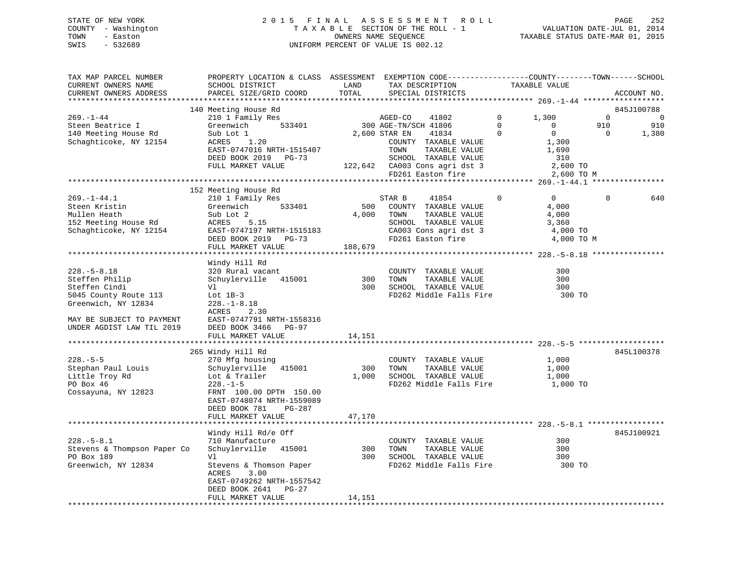# STATE OF NEW YORK 2 0 1 5 F I N A L A S S E S S M E N T R O L L PAGE 252 COUNTY - Washington T A X A B L E SECTION OF THE ROLL - 1 VALUATION DATE-JUL 01, 2014 TOWN - Easton OWNERS NAME SEQUENCE TAXABLE STATUS DATE-MAR 01, 2015 SWIS - 532689 UNIFORM PERCENT OF VALUE IS 002.12

| TOTAL<br>CURRENT OWNERS ADDRESS<br>PARCEL SIZE/GRID COORD<br>SPECIAL DISTRICTS<br>ACCOUNT NO.<br>845J100788<br>140 Meeting House Rd<br>$269. - 1 - 44$<br>$\Omega$<br>$\Omega$<br>$\overline{0}$<br>210 1 Family Res<br>1,300<br>AGED-CO<br>41802<br>533401<br>300 AGE-TN/SCH 41806<br>$\overline{0}$<br>910<br>910<br>Steen Beatrice I<br>Greenwich<br>$\sim$ 0<br>2,600 STAR EN<br>$\Omega$<br>$\overline{0}$<br>Sub Lot 1<br>41834<br>$\overline{0}$<br>1,380<br>ACRES 1.20<br>1,300<br>Schaghticoke, NY 12154<br>COUNTY TAXABLE VALUE<br>TOWN     TAXABLE VALUE<br>EAST-0747016 NRTH-1515407<br>TOWN<br>1,690<br>DEED BOOK 2019 PG-73<br>SCHOOL TAXABLE VALUE<br>122,642 CA003 Cons agri dst 3<br>FD261 Easton fire<br>310<br>FULL MARKET VALUE<br>2,600 TO<br>2,600 TO M<br>152 Meeting House Rd<br>$269. - 1 - 44.1$<br>210 1 Family Res<br>$\overline{0}$<br>$\overline{0}$<br>$\Omega$<br>STAR B<br>41854<br>640<br>533401<br>Steen Kristin<br>Greenwich<br>500 COUNTY TAXABLE VALUE<br>4,000<br>4,000 TOWN<br>Mullen Heath<br>Sub Lot 2<br>TAXABLE VALUE<br>4,000<br>ACRES 5.15<br>152 Meeting House Rd<br>Schaghticoke, NY 12154<br>SCHOOL TAXABLE VALUE<br>3,360<br>CA003 Cons agri dst 3<br>EAST-0747197 NRTH-1515183<br>4,000 TO<br>FD261 Easton fire<br>DEED BOOK 2019 PG-73<br>4,000 TO M<br>188,679<br>FULL MARKET VALUE<br>Windy Hill Rd<br>320 Rural vacant<br>$228. - 5 - 8.18$<br>300<br>COUNTY TAXABLE VALUE<br>Steffen Philip<br>Schuylerville 415001<br>300<br>TOWN<br>TAXABLE VALUE<br>300<br>300 SCHOOL TAXABLE VALUE<br>FD262 Middle Falls Fire<br>Steffen Cindi<br>300<br>Vl<br>5045 County Route 113<br>300 TO<br>Lot $1B-3$<br>Greenwich, NY 12834<br>$228. - 1 - 8.18$<br>ACRES<br>2.30<br>MAY BE SUBJECT TO PAYMENT<br>EAST-0747791 NRTH-1558316<br>UNDER AGDIST LAW TIL 2019<br>DEED BOOK 3466 PG-97<br>14,151<br>FULL MARKET VALUE<br>265 Windy Hill Rd<br>845L100378<br>$228. - 5 - 5$<br>1,000<br>270 Mfg housing<br>COUNTY TAXABLE VALUE<br>Schuylerville 415001<br>300 TOWN<br>TAXABLE VALUE<br>Stephan Paul Louis<br>1,000<br>1,000 SCHOOL TAXABLE VALUE<br>Little Troy Rd<br>Lot & Trailer<br>1,000<br>PO Box 46<br>$228. - 1 - 5$<br>FD262 Middle Falls Fire<br>1,000 TO<br>Cossayuna, NY 12823<br>FRNT 100.00 DPTH 150.00<br>EAST-0748074 NRTH-1559089<br>DEED BOOK 781<br>PG-287<br>FULL MARKET VALUE<br>47,170<br>845J100921<br>Windy Hill Rd/e Off<br>$228. - 5 - 8.1$<br>710 Manufacture<br>COUNTY TAXABLE VALUE<br>300<br>Stevens & Thompson Paper Co<br>Schuylerville 415001<br>300 TOWN<br>TAXABLE VALUE<br>300<br>300 SCHOOL TAXABLE VALUE<br>PO Box 189<br>Vl<br>300<br>Greenwich, NY 12834<br>Stevens & Thomson Paper<br>FD262 Middle Falls Fire<br>300 TO<br>ACRES<br>3.00<br>EAST-0749262 NRTH-1557542<br>DEED BOOK 2641 PG-27<br>FULL MARKET VALUE<br>14,151 | TAX MAP PARCEL NUMBER<br>CURRENT OWNERS NAME | PROPERTY LOCATION & CLASS ASSESSMENT EXEMPTION CODE---------------COUNTY-------TOWN-----SCHOOL<br>SCHOOL DISTRICT | LAND | TAX DESCRIPTION | TAXABLE VALUE |  |
|--------------------------------------------------------------------------------------------------------------------------------------------------------------------------------------------------------------------------------------------------------------------------------------------------------------------------------------------------------------------------------------------------------------------------------------------------------------------------------------------------------------------------------------------------------------------------------------------------------------------------------------------------------------------------------------------------------------------------------------------------------------------------------------------------------------------------------------------------------------------------------------------------------------------------------------------------------------------------------------------------------------------------------------------------------------------------------------------------------------------------------------------------------------------------------------------------------------------------------------------------------------------------------------------------------------------------------------------------------------------------------------------------------------------------------------------------------------------------------------------------------------------------------------------------------------------------------------------------------------------------------------------------------------------------------------------------------------------------------------------------------------------------------------------------------------------------------------------------------------------------------------------------------------------------------------------------------------------------------------------------------------------------------------------------------------------------------------------------------------------------------------------------------------------------------------------------------------------------------------------------------------------------------------------------------------------------------------------------------------------------------------------------------------------------------------------------------------------------------------------------------------------------------------------------------------------------------------------------------------------------------------------------------------------------------------------------------------------------------------------------------------------------------------------------------------------|----------------------------------------------|-------------------------------------------------------------------------------------------------------------------|------|-----------------|---------------|--|
|                                                                                                                                                                                                                                                                                                                                                                                                                                                                                                                                                                                                                                                                                                                                                                                                                                                                                                                                                                                                                                                                                                                                                                                                                                                                                                                                                                                                                                                                                                                                                                                                                                                                                                                                                                                                                                                                                                                                                                                                                                                                                                                                                                                                                                                                                                                                                                                                                                                                                                                                                                                                                                                                                                                                                                                                                    |                                              |                                                                                                                   |      |                 |               |  |
|                                                                                                                                                                                                                                                                                                                                                                                                                                                                                                                                                                                                                                                                                                                                                                                                                                                                                                                                                                                                                                                                                                                                                                                                                                                                                                                                                                                                                                                                                                                                                                                                                                                                                                                                                                                                                                                                                                                                                                                                                                                                                                                                                                                                                                                                                                                                                                                                                                                                                                                                                                                                                                                                                                                                                                                                                    |                                              |                                                                                                                   |      |                 |               |  |
|                                                                                                                                                                                                                                                                                                                                                                                                                                                                                                                                                                                                                                                                                                                                                                                                                                                                                                                                                                                                                                                                                                                                                                                                                                                                                                                                                                                                                                                                                                                                                                                                                                                                                                                                                                                                                                                                                                                                                                                                                                                                                                                                                                                                                                                                                                                                                                                                                                                                                                                                                                                                                                                                                                                                                                                                                    |                                              |                                                                                                                   |      |                 |               |  |
|                                                                                                                                                                                                                                                                                                                                                                                                                                                                                                                                                                                                                                                                                                                                                                                                                                                                                                                                                                                                                                                                                                                                                                                                                                                                                                                                                                                                                                                                                                                                                                                                                                                                                                                                                                                                                                                                                                                                                                                                                                                                                                                                                                                                                                                                                                                                                                                                                                                                                                                                                                                                                                                                                                                                                                                                                    |                                              |                                                                                                                   |      |                 |               |  |
|                                                                                                                                                                                                                                                                                                                                                                                                                                                                                                                                                                                                                                                                                                                                                                                                                                                                                                                                                                                                                                                                                                                                                                                                                                                                                                                                                                                                                                                                                                                                                                                                                                                                                                                                                                                                                                                                                                                                                                                                                                                                                                                                                                                                                                                                                                                                                                                                                                                                                                                                                                                                                                                                                                                                                                                                                    |                                              |                                                                                                                   |      |                 |               |  |
|                                                                                                                                                                                                                                                                                                                                                                                                                                                                                                                                                                                                                                                                                                                                                                                                                                                                                                                                                                                                                                                                                                                                                                                                                                                                                                                                                                                                                                                                                                                                                                                                                                                                                                                                                                                                                                                                                                                                                                                                                                                                                                                                                                                                                                                                                                                                                                                                                                                                                                                                                                                                                                                                                                                                                                                                                    | 140 Meeting House Rd                         |                                                                                                                   |      |                 |               |  |
|                                                                                                                                                                                                                                                                                                                                                                                                                                                                                                                                                                                                                                                                                                                                                                                                                                                                                                                                                                                                                                                                                                                                                                                                                                                                                                                                                                                                                                                                                                                                                                                                                                                                                                                                                                                                                                                                                                                                                                                                                                                                                                                                                                                                                                                                                                                                                                                                                                                                                                                                                                                                                                                                                                                                                                                                                    |                                              |                                                                                                                   |      |                 |               |  |
|                                                                                                                                                                                                                                                                                                                                                                                                                                                                                                                                                                                                                                                                                                                                                                                                                                                                                                                                                                                                                                                                                                                                                                                                                                                                                                                                                                                                                                                                                                                                                                                                                                                                                                                                                                                                                                                                                                                                                                                                                                                                                                                                                                                                                                                                                                                                                                                                                                                                                                                                                                                                                                                                                                                                                                                                                    |                                              |                                                                                                                   |      |                 |               |  |
|                                                                                                                                                                                                                                                                                                                                                                                                                                                                                                                                                                                                                                                                                                                                                                                                                                                                                                                                                                                                                                                                                                                                                                                                                                                                                                                                                                                                                                                                                                                                                                                                                                                                                                                                                                                                                                                                                                                                                                                                                                                                                                                                                                                                                                                                                                                                                                                                                                                                                                                                                                                                                                                                                                                                                                                                                    |                                              |                                                                                                                   |      |                 |               |  |
|                                                                                                                                                                                                                                                                                                                                                                                                                                                                                                                                                                                                                                                                                                                                                                                                                                                                                                                                                                                                                                                                                                                                                                                                                                                                                                                                                                                                                                                                                                                                                                                                                                                                                                                                                                                                                                                                                                                                                                                                                                                                                                                                                                                                                                                                                                                                                                                                                                                                                                                                                                                                                                                                                                                                                                                                                    |                                              |                                                                                                                   |      |                 |               |  |
|                                                                                                                                                                                                                                                                                                                                                                                                                                                                                                                                                                                                                                                                                                                                                                                                                                                                                                                                                                                                                                                                                                                                                                                                                                                                                                                                                                                                                                                                                                                                                                                                                                                                                                                                                                                                                                                                                                                                                                                                                                                                                                                                                                                                                                                                                                                                                                                                                                                                                                                                                                                                                                                                                                                                                                                                                    |                                              |                                                                                                                   |      |                 |               |  |
|                                                                                                                                                                                                                                                                                                                                                                                                                                                                                                                                                                                                                                                                                                                                                                                                                                                                                                                                                                                                                                                                                                                                                                                                                                                                                                                                                                                                                                                                                                                                                                                                                                                                                                                                                                                                                                                                                                                                                                                                                                                                                                                                                                                                                                                                                                                                                                                                                                                                                                                                                                                                                                                                                                                                                                                                                    |                                              |                                                                                                                   |      |                 |               |  |
|                                                                                                                                                                                                                                                                                                                                                                                                                                                                                                                                                                                                                                                                                                                                                                                                                                                                                                                                                                                                                                                                                                                                                                                                                                                                                                                                                                                                                                                                                                                                                                                                                                                                                                                                                                                                                                                                                                                                                                                                                                                                                                                                                                                                                                                                                                                                                                                                                                                                                                                                                                                                                                                                                                                                                                                                                    |                                              |                                                                                                                   |      |                 |               |  |
|                                                                                                                                                                                                                                                                                                                                                                                                                                                                                                                                                                                                                                                                                                                                                                                                                                                                                                                                                                                                                                                                                                                                                                                                                                                                                                                                                                                                                                                                                                                                                                                                                                                                                                                                                                                                                                                                                                                                                                                                                                                                                                                                                                                                                                                                                                                                                                                                                                                                                                                                                                                                                                                                                                                                                                                                                    |                                              |                                                                                                                   |      |                 |               |  |
|                                                                                                                                                                                                                                                                                                                                                                                                                                                                                                                                                                                                                                                                                                                                                                                                                                                                                                                                                                                                                                                                                                                                                                                                                                                                                                                                                                                                                                                                                                                                                                                                                                                                                                                                                                                                                                                                                                                                                                                                                                                                                                                                                                                                                                                                                                                                                                                                                                                                                                                                                                                                                                                                                                                                                                                                                    |                                              |                                                                                                                   |      |                 |               |  |
|                                                                                                                                                                                                                                                                                                                                                                                                                                                                                                                                                                                                                                                                                                                                                                                                                                                                                                                                                                                                                                                                                                                                                                                                                                                                                                                                                                                                                                                                                                                                                                                                                                                                                                                                                                                                                                                                                                                                                                                                                                                                                                                                                                                                                                                                                                                                                                                                                                                                                                                                                                                                                                                                                                                                                                                                                    |                                              |                                                                                                                   |      |                 |               |  |
|                                                                                                                                                                                                                                                                                                                                                                                                                                                                                                                                                                                                                                                                                                                                                                                                                                                                                                                                                                                                                                                                                                                                                                                                                                                                                                                                                                                                                                                                                                                                                                                                                                                                                                                                                                                                                                                                                                                                                                                                                                                                                                                                                                                                                                                                                                                                                                                                                                                                                                                                                                                                                                                                                                                                                                                                                    |                                              |                                                                                                                   |      |                 |               |  |
|                                                                                                                                                                                                                                                                                                                                                                                                                                                                                                                                                                                                                                                                                                                                                                                                                                                                                                                                                                                                                                                                                                                                                                                                                                                                                                                                                                                                                                                                                                                                                                                                                                                                                                                                                                                                                                                                                                                                                                                                                                                                                                                                                                                                                                                                                                                                                                                                                                                                                                                                                                                                                                                                                                                                                                                                                    |                                              |                                                                                                                   |      |                 |               |  |
|                                                                                                                                                                                                                                                                                                                                                                                                                                                                                                                                                                                                                                                                                                                                                                                                                                                                                                                                                                                                                                                                                                                                                                                                                                                                                                                                                                                                                                                                                                                                                                                                                                                                                                                                                                                                                                                                                                                                                                                                                                                                                                                                                                                                                                                                                                                                                                                                                                                                                                                                                                                                                                                                                                                                                                                                                    |                                              |                                                                                                                   |      |                 |               |  |
|                                                                                                                                                                                                                                                                                                                                                                                                                                                                                                                                                                                                                                                                                                                                                                                                                                                                                                                                                                                                                                                                                                                                                                                                                                                                                                                                                                                                                                                                                                                                                                                                                                                                                                                                                                                                                                                                                                                                                                                                                                                                                                                                                                                                                                                                                                                                                                                                                                                                                                                                                                                                                                                                                                                                                                                                                    |                                              |                                                                                                                   |      |                 |               |  |
|                                                                                                                                                                                                                                                                                                                                                                                                                                                                                                                                                                                                                                                                                                                                                                                                                                                                                                                                                                                                                                                                                                                                                                                                                                                                                                                                                                                                                                                                                                                                                                                                                                                                                                                                                                                                                                                                                                                                                                                                                                                                                                                                                                                                                                                                                                                                                                                                                                                                                                                                                                                                                                                                                                                                                                                                                    |                                              |                                                                                                                   |      |                 |               |  |
|                                                                                                                                                                                                                                                                                                                                                                                                                                                                                                                                                                                                                                                                                                                                                                                                                                                                                                                                                                                                                                                                                                                                                                                                                                                                                                                                                                                                                                                                                                                                                                                                                                                                                                                                                                                                                                                                                                                                                                                                                                                                                                                                                                                                                                                                                                                                                                                                                                                                                                                                                                                                                                                                                                                                                                                                                    |                                              |                                                                                                                   |      |                 |               |  |
|                                                                                                                                                                                                                                                                                                                                                                                                                                                                                                                                                                                                                                                                                                                                                                                                                                                                                                                                                                                                                                                                                                                                                                                                                                                                                                                                                                                                                                                                                                                                                                                                                                                                                                                                                                                                                                                                                                                                                                                                                                                                                                                                                                                                                                                                                                                                                                                                                                                                                                                                                                                                                                                                                                                                                                                                                    |                                              |                                                                                                                   |      |                 |               |  |
|                                                                                                                                                                                                                                                                                                                                                                                                                                                                                                                                                                                                                                                                                                                                                                                                                                                                                                                                                                                                                                                                                                                                                                                                                                                                                                                                                                                                                                                                                                                                                                                                                                                                                                                                                                                                                                                                                                                                                                                                                                                                                                                                                                                                                                                                                                                                                                                                                                                                                                                                                                                                                                                                                                                                                                                                                    |                                              |                                                                                                                   |      |                 |               |  |
|                                                                                                                                                                                                                                                                                                                                                                                                                                                                                                                                                                                                                                                                                                                                                                                                                                                                                                                                                                                                                                                                                                                                                                                                                                                                                                                                                                                                                                                                                                                                                                                                                                                                                                                                                                                                                                                                                                                                                                                                                                                                                                                                                                                                                                                                                                                                                                                                                                                                                                                                                                                                                                                                                                                                                                                                                    |                                              |                                                                                                                   |      |                 |               |  |
|                                                                                                                                                                                                                                                                                                                                                                                                                                                                                                                                                                                                                                                                                                                                                                                                                                                                                                                                                                                                                                                                                                                                                                                                                                                                                                                                                                                                                                                                                                                                                                                                                                                                                                                                                                                                                                                                                                                                                                                                                                                                                                                                                                                                                                                                                                                                                                                                                                                                                                                                                                                                                                                                                                                                                                                                                    |                                              |                                                                                                                   |      |                 |               |  |
|                                                                                                                                                                                                                                                                                                                                                                                                                                                                                                                                                                                                                                                                                                                                                                                                                                                                                                                                                                                                                                                                                                                                                                                                                                                                                                                                                                                                                                                                                                                                                                                                                                                                                                                                                                                                                                                                                                                                                                                                                                                                                                                                                                                                                                                                                                                                                                                                                                                                                                                                                                                                                                                                                                                                                                                                                    |                                              |                                                                                                                   |      |                 |               |  |
|                                                                                                                                                                                                                                                                                                                                                                                                                                                                                                                                                                                                                                                                                                                                                                                                                                                                                                                                                                                                                                                                                                                                                                                                                                                                                                                                                                                                                                                                                                                                                                                                                                                                                                                                                                                                                                                                                                                                                                                                                                                                                                                                                                                                                                                                                                                                                                                                                                                                                                                                                                                                                                                                                                                                                                                                                    |                                              |                                                                                                                   |      |                 |               |  |
|                                                                                                                                                                                                                                                                                                                                                                                                                                                                                                                                                                                                                                                                                                                                                                                                                                                                                                                                                                                                                                                                                                                                                                                                                                                                                                                                                                                                                                                                                                                                                                                                                                                                                                                                                                                                                                                                                                                                                                                                                                                                                                                                                                                                                                                                                                                                                                                                                                                                                                                                                                                                                                                                                                                                                                                                                    |                                              |                                                                                                                   |      |                 |               |  |
|                                                                                                                                                                                                                                                                                                                                                                                                                                                                                                                                                                                                                                                                                                                                                                                                                                                                                                                                                                                                                                                                                                                                                                                                                                                                                                                                                                                                                                                                                                                                                                                                                                                                                                                                                                                                                                                                                                                                                                                                                                                                                                                                                                                                                                                                                                                                                                                                                                                                                                                                                                                                                                                                                                                                                                                                                    |                                              |                                                                                                                   |      |                 |               |  |
|                                                                                                                                                                                                                                                                                                                                                                                                                                                                                                                                                                                                                                                                                                                                                                                                                                                                                                                                                                                                                                                                                                                                                                                                                                                                                                                                                                                                                                                                                                                                                                                                                                                                                                                                                                                                                                                                                                                                                                                                                                                                                                                                                                                                                                                                                                                                                                                                                                                                                                                                                                                                                                                                                                                                                                                                                    |                                              |                                                                                                                   |      |                 |               |  |
|                                                                                                                                                                                                                                                                                                                                                                                                                                                                                                                                                                                                                                                                                                                                                                                                                                                                                                                                                                                                                                                                                                                                                                                                                                                                                                                                                                                                                                                                                                                                                                                                                                                                                                                                                                                                                                                                                                                                                                                                                                                                                                                                                                                                                                                                                                                                                                                                                                                                                                                                                                                                                                                                                                                                                                                                                    |                                              |                                                                                                                   |      |                 |               |  |
|                                                                                                                                                                                                                                                                                                                                                                                                                                                                                                                                                                                                                                                                                                                                                                                                                                                                                                                                                                                                                                                                                                                                                                                                                                                                                                                                                                                                                                                                                                                                                                                                                                                                                                                                                                                                                                                                                                                                                                                                                                                                                                                                                                                                                                                                                                                                                                                                                                                                                                                                                                                                                                                                                                                                                                                                                    |                                              |                                                                                                                   |      |                 |               |  |
|                                                                                                                                                                                                                                                                                                                                                                                                                                                                                                                                                                                                                                                                                                                                                                                                                                                                                                                                                                                                                                                                                                                                                                                                                                                                                                                                                                                                                                                                                                                                                                                                                                                                                                                                                                                                                                                                                                                                                                                                                                                                                                                                                                                                                                                                                                                                                                                                                                                                                                                                                                                                                                                                                                                                                                                                                    |                                              |                                                                                                                   |      |                 |               |  |
|                                                                                                                                                                                                                                                                                                                                                                                                                                                                                                                                                                                                                                                                                                                                                                                                                                                                                                                                                                                                                                                                                                                                                                                                                                                                                                                                                                                                                                                                                                                                                                                                                                                                                                                                                                                                                                                                                                                                                                                                                                                                                                                                                                                                                                                                                                                                                                                                                                                                                                                                                                                                                                                                                                                                                                                                                    |                                              |                                                                                                                   |      |                 |               |  |
|                                                                                                                                                                                                                                                                                                                                                                                                                                                                                                                                                                                                                                                                                                                                                                                                                                                                                                                                                                                                                                                                                                                                                                                                                                                                                                                                                                                                                                                                                                                                                                                                                                                                                                                                                                                                                                                                                                                                                                                                                                                                                                                                                                                                                                                                                                                                                                                                                                                                                                                                                                                                                                                                                                                                                                                                                    |                                              |                                                                                                                   |      |                 |               |  |
|                                                                                                                                                                                                                                                                                                                                                                                                                                                                                                                                                                                                                                                                                                                                                                                                                                                                                                                                                                                                                                                                                                                                                                                                                                                                                                                                                                                                                                                                                                                                                                                                                                                                                                                                                                                                                                                                                                                                                                                                                                                                                                                                                                                                                                                                                                                                                                                                                                                                                                                                                                                                                                                                                                                                                                                                                    |                                              |                                                                                                                   |      |                 |               |  |
|                                                                                                                                                                                                                                                                                                                                                                                                                                                                                                                                                                                                                                                                                                                                                                                                                                                                                                                                                                                                                                                                                                                                                                                                                                                                                                                                                                                                                                                                                                                                                                                                                                                                                                                                                                                                                                                                                                                                                                                                                                                                                                                                                                                                                                                                                                                                                                                                                                                                                                                                                                                                                                                                                                                                                                                                                    |                                              |                                                                                                                   |      |                 |               |  |
|                                                                                                                                                                                                                                                                                                                                                                                                                                                                                                                                                                                                                                                                                                                                                                                                                                                                                                                                                                                                                                                                                                                                                                                                                                                                                                                                                                                                                                                                                                                                                                                                                                                                                                                                                                                                                                                                                                                                                                                                                                                                                                                                                                                                                                                                                                                                                                                                                                                                                                                                                                                                                                                                                                                                                                                                                    |                                              |                                                                                                                   |      |                 |               |  |
|                                                                                                                                                                                                                                                                                                                                                                                                                                                                                                                                                                                                                                                                                                                                                                                                                                                                                                                                                                                                                                                                                                                                                                                                                                                                                                                                                                                                                                                                                                                                                                                                                                                                                                                                                                                                                                                                                                                                                                                                                                                                                                                                                                                                                                                                                                                                                                                                                                                                                                                                                                                                                                                                                                                                                                                                                    |                                              |                                                                                                                   |      |                 |               |  |
|                                                                                                                                                                                                                                                                                                                                                                                                                                                                                                                                                                                                                                                                                                                                                                                                                                                                                                                                                                                                                                                                                                                                                                                                                                                                                                                                                                                                                                                                                                                                                                                                                                                                                                                                                                                                                                                                                                                                                                                                                                                                                                                                                                                                                                                                                                                                                                                                                                                                                                                                                                                                                                                                                                                                                                                                                    |                                              |                                                                                                                   |      |                 |               |  |
|                                                                                                                                                                                                                                                                                                                                                                                                                                                                                                                                                                                                                                                                                                                                                                                                                                                                                                                                                                                                                                                                                                                                                                                                                                                                                                                                                                                                                                                                                                                                                                                                                                                                                                                                                                                                                                                                                                                                                                                                                                                                                                                                                                                                                                                                                                                                                                                                                                                                                                                                                                                                                                                                                                                                                                                                                    |                                              |                                                                                                                   |      |                 |               |  |
|                                                                                                                                                                                                                                                                                                                                                                                                                                                                                                                                                                                                                                                                                                                                                                                                                                                                                                                                                                                                                                                                                                                                                                                                                                                                                                                                                                                                                                                                                                                                                                                                                                                                                                                                                                                                                                                                                                                                                                                                                                                                                                                                                                                                                                                                                                                                                                                                                                                                                                                                                                                                                                                                                                                                                                                                                    |                                              |                                                                                                                   |      |                 |               |  |
|                                                                                                                                                                                                                                                                                                                                                                                                                                                                                                                                                                                                                                                                                                                                                                                                                                                                                                                                                                                                                                                                                                                                                                                                                                                                                                                                                                                                                                                                                                                                                                                                                                                                                                                                                                                                                                                                                                                                                                                                                                                                                                                                                                                                                                                                                                                                                                                                                                                                                                                                                                                                                                                                                                                                                                                                                    |                                              |                                                                                                                   |      |                 |               |  |
|                                                                                                                                                                                                                                                                                                                                                                                                                                                                                                                                                                                                                                                                                                                                                                                                                                                                                                                                                                                                                                                                                                                                                                                                                                                                                                                                                                                                                                                                                                                                                                                                                                                                                                                                                                                                                                                                                                                                                                                                                                                                                                                                                                                                                                                                                                                                                                                                                                                                                                                                                                                                                                                                                                                                                                                                                    |                                              |                                                                                                                   |      |                 |               |  |
|                                                                                                                                                                                                                                                                                                                                                                                                                                                                                                                                                                                                                                                                                                                                                                                                                                                                                                                                                                                                                                                                                                                                                                                                                                                                                                                                                                                                                                                                                                                                                                                                                                                                                                                                                                                                                                                                                                                                                                                                                                                                                                                                                                                                                                                                                                                                                                                                                                                                                                                                                                                                                                                                                                                                                                                                                    |                                              |                                                                                                                   |      |                 |               |  |
|                                                                                                                                                                                                                                                                                                                                                                                                                                                                                                                                                                                                                                                                                                                                                                                                                                                                                                                                                                                                                                                                                                                                                                                                                                                                                                                                                                                                                                                                                                                                                                                                                                                                                                                                                                                                                                                                                                                                                                                                                                                                                                                                                                                                                                                                                                                                                                                                                                                                                                                                                                                                                                                                                                                                                                                                                    |                                              |                                                                                                                   |      |                 |               |  |
|                                                                                                                                                                                                                                                                                                                                                                                                                                                                                                                                                                                                                                                                                                                                                                                                                                                                                                                                                                                                                                                                                                                                                                                                                                                                                                                                                                                                                                                                                                                                                                                                                                                                                                                                                                                                                                                                                                                                                                                                                                                                                                                                                                                                                                                                                                                                                                                                                                                                                                                                                                                                                                                                                                                                                                                                                    |                                              |                                                                                                                   |      |                 |               |  |
|                                                                                                                                                                                                                                                                                                                                                                                                                                                                                                                                                                                                                                                                                                                                                                                                                                                                                                                                                                                                                                                                                                                                                                                                                                                                                                                                                                                                                                                                                                                                                                                                                                                                                                                                                                                                                                                                                                                                                                                                                                                                                                                                                                                                                                                                                                                                                                                                                                                                                                                                                                                                                                                                                                                                                                                                                    |                                              |                                                                                                                   |      |                 |               |  |
|                                                                                                                                                                                                                                                                                                                                                                                                                                                                                                                                                                                                                                                                                                                                                                                                                                                                                                                                                                                                                                                                                                                                                                                                                                                                                                                                                                                                                                                                                                                                                                                                                                                                                                                                                                                                                                                                                                                                                                                                                                                                                                                                                                                                                                                                                                                                                                                                                                                                                                                                                                                                                                                                                                                                                                                                                    |                                              |                                                                                                                   |      |                 |               |  |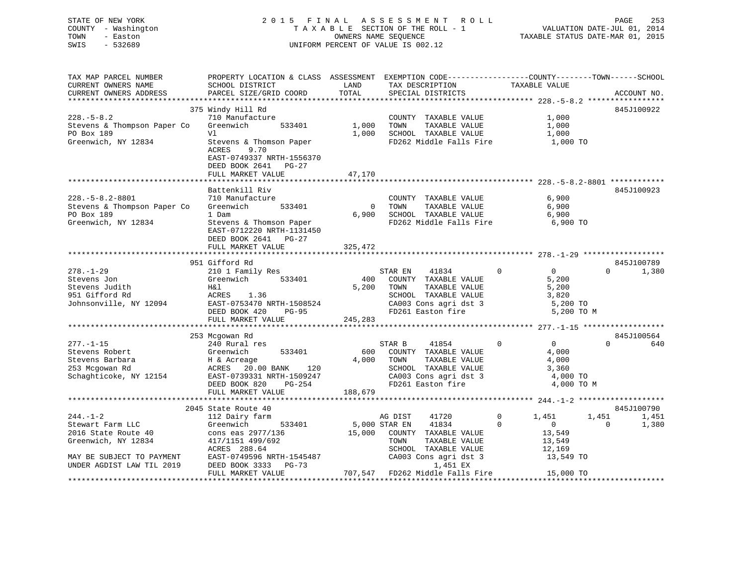| STATE OF NEW YORK<br>- Washington<br>COUNTY<br>TOWN<br>- Easton<br>SWIS<br>$-532689$ |                                                                        | OWNERS NAME SEOUENCE<br>UNIFORM PERCENT OF VALUE IS 002.12 | 2015 FINAL ASSESSMENT ROLL<br>TAXABLE SECTION OF THE ROLL - 1 | VALUATION DATE-JUL 01, 2014<br>TAXABLE STATUS DATE-MAR 01, 2015               | 253<br>PAGE |
|--------------------------------------------------------------------------------------|------------------------------------------------------------------------|------------------------------------------------------------|---------------------------------------------------------------|-------------------------------------------------------------------------------|-------------|
| TAX MAP PARCEL NUMBER<br>CURRENT OWNERS NAME<br>CURRENT OWNERS ADDRESS               | PROPERTY LOCATION & CLASS<br>SCHOOL DISTRICT<br>PARCEL SIZE/GRID COORD | ASSESSMENT<br>LAND<br>TOTAL                                | TAX DESCRIPTION<br>SPECIAL DISTRICTS                          | EXEMPTION CODE-----------------COUNTY-------TOWN------SCHOOL<br>TAXABLE VALUE | ACCOUNT NO. |
|                                                                                      | 375 Windy Hill Rd                                                      |                                                            |                                                               |                                                                               | 845J100922  |
| $228. - 5 - 8.2$                                                                     | 710 Manufacture                                                        |                                                            | COUNTY<br>TAXABLE VALUE                                       | 1,000                                                                         |             |

| Stevens & Thompson Paper Co<br>PO Box 189                                                                                                                                                        | 533401<br>Greenwich<br>V1                                                                                                                                                                                                                                                                      | 1,000<br>1,000                          | TAXABLE VALUE<br>TOWN<br>SCHOOL TAXABLE VALUE                                                                                                                                                                                                                |                                  | 1,000<br>1,000                                                                                                                        |                                          |
|--------------------------------------------------------------------------------------------------------------------------------------------------------------------------------------------------|------------------------------------------------------------------------------------------------------------------------------------------------------------------------------------------------------------------------------------------------------------------------------------------------|-----------------------------------------|--------------------------------------------------------------------------------------------------------------------------------------------------------------------------------------------------------------------------------------------------------------|----------------------------------|---------------------------------------------------------------------------------------------------------------------------------------|------------------------------------------|
| Greenwich, NY 12834                                                                                                                                                                              | Stevens & Thomson Paper<br>9.70<br>ACRES<br>EAST-0749337 NRTH-1556370<br>DEED BOOK 2641 PG-27<br>FULL MARKET VALUE                                                                                                                                                                             | 47,170                                  | FD262 Middle Falls Fire                                                                                                                                                                                                                                      |                                  | 1,000 TO                                                                                                                              |                                          |
|                                                                                                                                                                                                  |                                                                                                                                                                                                                                                                                                |                                         |                                                                                                                                                                                                                                                              |                                  |                                                                                                                                       |                                          |
| $228. - 5 - 8.2 - 8801$<br>Stevens & Thompson Paper Co<br>PO Box 189<br>Greenwich, NY 12834                                                                                                      | Battenkill Riv<br>710 Manufacture<br>Greenwich<br>533401<br>1 Dam<br>Stevens & Thomson Paper<br>EAST-0712220 NRTH-1131450<br>DEED BOOK 2641 PG-27                                                                                                                                              | $\Omega$<br>6,900                       | COUNTY TAXABLE VALUE<br>TOWN<br>TAXABLE VALUE<br>SCHOOL TAXABLE VALUE<br>FD262 Middle Falls Fire                                                                                                                                                             |                                  | 6,900<br>6,900<br>6,900<br>6,900 TO                                                                                                   | 845J100923                               |
|                                                                                                                                                                                                  | FULL MARKET VALUE                                                                                                                                                                                                                                                                              | 325,472                                 |                                                                                                                                                                                                                                                              |                                  |                                                                                                                                       |                                          |
|                                                                                                                                                                                                  |                                                                                                                                                                                                                                                                                                |                                         |                                                                                                                                                                                                                                                              |                                  |                                                                                                                                       |                                          |
| $278. - 1 - 29$<br>Stevens Jon<br>Stevens Judith<br>951 Gifford Rd<br>Johnsonville, NY 12094<br>$277. - 1 - 15$<br>Stevens Robert<br>Stevens Barbara<br>253 Mcgowan Rd<br>Schaghticoke, NY 12154 | 951 Gifford Rd<br>210 1 Family Res<br>Greenwich<br>533401<br>H& 1<br>ACRES 1.36<br>EAST-0753470 NRTH-1508524<br>DEED BOOK 420<br>$PG-95$<br>FULL MARKET VALUE<br>253 Mcgowan Rd<br>240 Rural res<br>533401<br>Greenwich<br>H & Acreage<br>ACRES 20.00 BANK<br>120<br>EAST-0739331 NRTH-1509247 | 400<br>5,200<br>245,283<br>600<br>4,000 | STAR EN<br>41834<br>COUNTY TAXABLE VALUE<br>TAXABLE VALUE<br>TOWN<br>SCHOOL TAXABLE VALUE<br>CA003 Cons agri dst 3<br>FD261 Easton fire<br>41854<br>STAR B<br>COUNTY TAXABLE VALUE<br>TOWN<br>TAXABLE VALUE<br>SCHOOL TAXABLE VALUE<br>CA003 Cons agri dst 3 | $\overline{0}$<br>$\mathbf{0}$   | 0<br>$\Omega$<br>5,200<br>5,200<br>3,820<br>5,200 TO<br>5,200 TO M<br>$\mathbf{0}$<br>$\Omega$<br>4,000<br>4,000<br>3,360<br>4,000 TO | 845J100789<br>1,380<br>845J100564<br>640 |
|                                                                                                                                                                                                  | DEED BOOK 820<br>PG-254<br>FULL MARKET VALUE                                                                                                                                                                                                                                                   | 188,679                                 | FD261 Easton fire                                                                                                                                                                                                                                            |                                  | 4,000 TO M                                                                                                                            |                                          |
|                                                                                                                                                                                                  |                                                                                                                                                                                                                                                                                                |                                         |                                                                                                                                                                                                                                                              |                                  |                                                                                                                                       |                                          |
| $244. -1 - 2$<br>Stewart Farm LLC<br>2016 State Route 40<br>Greenwich, NY 12834                                                                                                                  | 2045 State Route 40<br>112 Dairy farm<br>Greenwich<br>533401<br>cons eas 2977/136<br>417/1151 499/692                                                                                                                                                                                          |                                         | AG DIST<br>41720<br>41834<br>5,000 STAR EN<br>15,000 COUNTY TAXABLE VALUE<br>TOWN<br>TAXABLE VALUE                                                                                                                                                           | $\mathbf 0$<br>1,451<br>$\Omega$ | 1,451<br>$\circ$<br>$\Omega$<br>13,549<br>13,549                                                                                      | 845J100790<br>1,451<br>1,380             |
| MAY BE SUBJECT TO PAYMENT<br>UNDER AGDIST LAW TIL 2019                                                                                                                                           | ACRES 288.64<br>EAST-0749596 NRTH-1545487<br>DEED BOOK 3333 PG-73<br>FULL MARKET VALUE                                                                                                                                                                                                         | 707,547                                 | SCHOOL TAXABLE VALUE<br>CA003 Cons agri dst 3<br>1,451 EX<br>FD262 Middle Falls Fire                                                                                                                                                                         |                                  | 12,169<br>13,549 TO<br>15,000 TO                                                                                                      |                                          |
|                                                                                                                                                                                                  |                                                                                                                                                                                                                                                                                                |                                         |                                                                                                                                                                                                                                                              |                                  |                                                                                                                                       |                                          |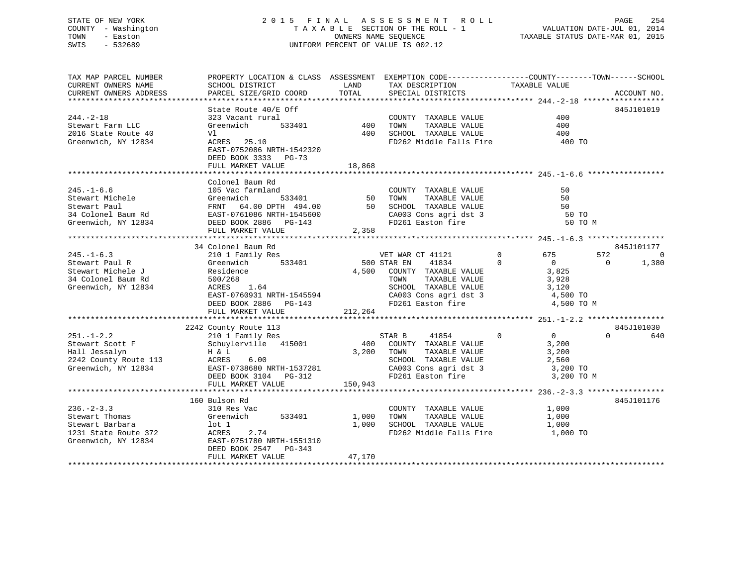## STATE OF NEW YORK 2 0 1 5 F I N A L A S S E S S M E N T R O L L PAGE 254 COUNTY - Washington T A X A B L E SECTION OF THE ROLL - 1 VALUATION DATE-JUL 01, 2014 TOWN - Easton OWNERS NAME SEQUENCE TAXABLE STATUS DATE-MAR 01, 2015 SWIS - 532689 UNIFORM PERCENT OF VALUE IS 002.12

| TAX MAP PARCEL NUMBER                                                                           | PROPERTY LOCATION & CLASS ASSESSMENT EXEMPTION CODE----------------COUNTY-------TOWN------SCHOOL                                                                                                                                           |        |                                                                                                                                                                                    |           |                         |
|-------------------------------------------------------------------------------------------------|--------------------------------------------------------------------------------------------------------------------------------------------------------------------------------------------------------------------------------------------|--------|------------------------------------------------------------------------------------------------------------------------------------------------------------------------------------|-----------|-------------------------|
| CURRENT OWNERS NAME                                                                             |                                                                                                                                                                                                                                            |        | TAX DESCRIPTION TAXABLE VALUE<br>SPECIAL DISTRICTS                                                                                                                                 |           |                         |
| CURRENT OWNERS ADDRESS                                                                          |                                                                                                                                                                                                                                            |        |                                                                                                                                                                                    |           | ACCOUNT NO.             |
|                                                                                                 |                                                                                                                                                                                                                                            |        |                                                                                                                                                                                    |           | 845J101019              |
| $244. - 2 - 18$                                                                                 | State Route 40/E Off<br>State Route 40/E OIL<br>323 Vacant rural<br>Greenwich 533401 400 TOWN TAXABLE VALUE<br>V1 400 SCHOOL TAXABLE VALUE<br>-222 WARLE VALUE<br>-222 WARLE PARABLE VALUE                                                 |        | COUNTY TAXABLE VALUE 400                                                                                                                                                           |           |                         |
| Stewart Farm LLC                                                                                |                                                                                                                                                                                                                                            |        |                                                                                                                                                                                    | 400       |                         |
| 2016 State Route 40                                                                             |                                                                                                                                                                                                                                            |        |                                                                                                                                                                                    | 400       |                         |
| Greenwich, NY 12834                                                                             | $ACRES$ 25.10                                                                                                                                                                                                                              |        | FD262 Middle Falls Fire                                                                                                                                                            | 400 TO    |                         |
|                                                                                                 | EAST-0752086 NRTH-1542320                                                                                                                                                                                                                  |        |                                                                                                                                                                                    |           |                         |
|                                                                                                 | DEED BOOK 3333 PG-73                                                                                                                                                                                                                       |        |                                                                                                                                                                                    |           |                         |
|                                                                                                 | FULL MARKET VALUE                                                                                                                                                                                                                          | 18,868 |                                                                                                                                                                                    |           |                         |
|                                                                                                 |                                                                                                                                                                                                                                            |        |                                                                                                                                                                                    |           |                         |
|                                                                                                 | Colonel Baum Rd                                                                                                                                                                                                                            |        |                                                                                                                                                                                    |           |                         |
|                                                                                                 |                                                                                                                                                                                                                                            |        |                                                                                                                                                                                    |           |                         |
|                                                                                                 |                                                                                                                                                                                                                                            |        |                                                                                                                                                                                    |           |                         |
|                                                                                                 |                                                                                                                                                                                                                                            |        |                                                                                                                                                                                    |           |                         |
|                                                                                                 |                                                                                                                                                                                                                                            |        |                                                                                                                                                                                    |           |                         |
|                                                                                                 | 245.-1-6.6<br>Stewart Michele (Stewart Paul (Stewart Paul FRNT 64.00 DPTH 494.00<br>34 Colonel Baum Rd (Stewart Paul FRNT 64.00 DPTH 494.00<br>Stewart Paul FRNT 64.00 DPTH 494.00<br>34 Colonel Baum Rd (Steen Paul EAST-0761086 NRTH     |        |                                                                                                                                                                                    | 50 TO M   |                         |
|                                                                                                 | FULL MARKET VALUE                                                                                                                                                                                                                          | 2,358  |                                                                                                                                                                                    |           |                         |
|                                                                                                 |                                                                                                                                                                                                                                            |        |                                                                                                                                                                                    |           |                         |
|                                                                                                 | 34 Colonel Baum Rd                                                                                                                                                                                                                         |        |                                                                                                                                                                                    |           | 845J101177              |
| $245. -1 - 6.3$                                                                                 |                                                                                                                                                                                                                                            |        |                                                                                                                                                                                    |           | 572<br>0                |
| Stewart Paul R<br>Stewart Michele J<br>34 Colonel Baum Rd<br>67 Steenwich, NY 12834<br>87 ACRES | CONCLUDED DUE TO ME VET WAR CT 41121 0 675<br>210 1 Family Res 675<br>Greenwich 533401 500 STAR EN 41834 0 0<br>Residence 4,500 COUNTY TAXABLE VALUE 3,825                                                                                 |        |                                                                                                                                                                                    |           | 1,380<br>$\overline{0}$ |
|                                                                                                 |                                                                                                                                                                                                                                            |        |                                                                                                                                                                                    |           |                         |
|                                                                                                 |                                                                                                                                                                                                                                            |        |                                                                                                                                                                                    |           |                         |
|                                                                                                 |                                                                                                                                                                                                                                            |        |                                                                                                                                                                                    |           |                         |
|                                                                                                 | 500/268<br>ACRES 1.64<br>EAST-0760931 NRTH-1545594<br>DEED BOOK 2886 PG-143<br>CALLER EAST-0760931 NRTH-1545594<br>DEED BOOK 2886 PG-143<br>CALLER EAST ON SUBSET ON SUBSET OF THE PASS OF THE PASSES OF THE PASSES OF THE PASSES OF THE P |        |                                                                                                                                                                                    |           |                         |
|                                                                                                 |                                                                                                                                                                                                                                            |        |                                                                                                                                                                                    |           |                         |
|                                                                                                 | FULL MARKET VALUE 212,264                                                                                                                                                                                                                  |        |                                                                                                                                                                                    |           |                         |
|                                                                                                 | 2242 County Route 113                                                                                                                                                                                                                      |        |                                                                                                                                                                                    |           | 845J101030              |
|                                                                                                 | Source 113<br>Stewart Scott F<br>Hall Jessalyn Hall Jessalyn<br>2242 County Ports 115<br>2242 County Ports 115                                                                                                                             |        | STAR B                                                                                                                                                                             | 41854 0 0 | $\Omega$<br>640         |
|                                                                                                 |                                                                                                                                                                                                                                            |        | 400 COUNTY TAXABLE VALUE 3,200<br>3.200 TOWN TAXABLE VALUE 3,200                                                                                                                   |           |                         |
|                                                                                                 |                                                                                                                                                                                                                                            |        |                                                                                                                                                                                    |           |                         |
|                                                                                                 |                                                                                                                                                                                                                                            |        |                                                                                                                                                                                    |           |                         |
|                                                                                                 |                                                                                                                                                                                                                                            |        |                                                                                                                                                                                    |           |                         |
|                                                                                                 |                                                                                                                                                                                                                                            |        |                                                                                                                                                                                    |           |                         |
|                                                                                                 | Example and the contract of the mail desired in the H & L and the Mail desired in the H & L and the Mail desired in the Mail desired in the Mail desired in the Mail desired in the Mail desired in the Mail desired in the Ma             |        |                                                                                                                                                                                    |           |                         |
|                                                                                                 |                                                                                                                                                                                                                                            |        |                                                                                                                                                                                    |           |                         |
|                                                                                                 | 160 Bulson Rd                                                                                                                                                                                                                              |        |                                                                                                                                                                                    |           | 845J101176              |
| $236. - 2 - 3.3$                                                                                | 310 Res Vac                                                                                                                                                                                                                                |        | $\begin{tabular}{lllllll} \multicolumn{2}{l}{{\small \texttt{COUNTY}}} & \texttt{TAXABLE} & \texttt{VALUE} & & & 1 \end{tabular}, \\ \end{tabular}$                                |           |                         |
| Stewart Thomas<br>Chouart Barbara                                                               |                                                                                                                                                                                                                                            |        | $1,000 \qquad \qquad {\rm TOWN} \qquad \qquad {\rm TAXABLE\,\,\, VALUE} \qquad \qquad 1\, ,000 \qquad \qquad {\rm SCHOOL} \qquad {\rm TAXABLE\,\,\, VALUE} \qquad \qquad 1\, ,000$ |           |                         |
|                                                                                                 |                                                                                                                                                                                                                                            |        |                                                                                                                                                                                    |           |                         |
|                                                                                                 | Greenwich 533401 1,000 TOWN<br>1 1,000 TOWN<br>ACRES 2.74 FD262<br>Stewart Barbara<br>1231 State Route 372<br>1231 State Route 372<br>Greenwich, NY 12834<br>EAST-0751780 NRTH-1551310                                                     |        | FD262 Middle Falls Fire 1,000 TO                                                                                                                                                   |           |                         |
|                                                                                                 |                                                                                                                                                                                                                                            |        |                                                                                                                                                                                    |           |                         |
|                                                                                                 | DEED BOOK 2547 PG-343                                                                                                                                                                                                                      |        |                                                                                                                                                                                    |           |                         |
|                                                                                                 | FULL MARKET VALUE                                                                                                                                                                                                                          | 47,170 |                                                                                                                                                                                    |           |                         |
|                                                                                                 |                                                                                                                                                                                                                                            |        |                                                                                                                                                                                    |           |                         |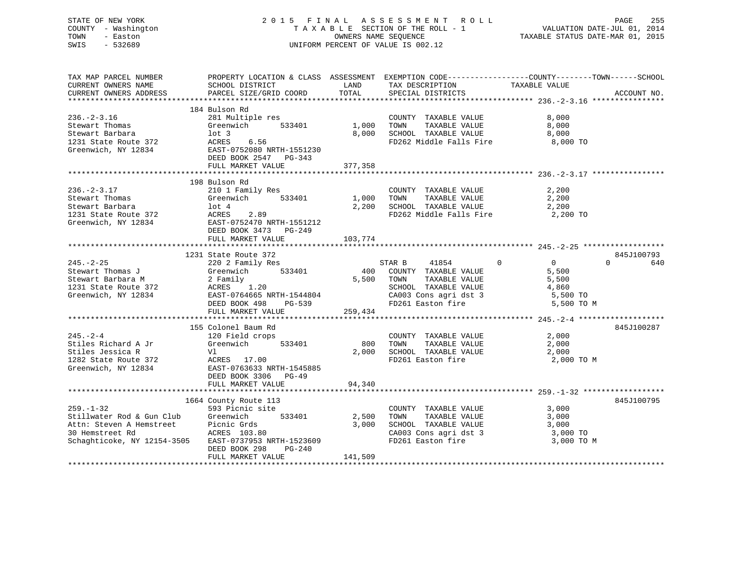## STATE OF NEW YORK 2 0 1 5 F I N A L A S S E S S M E N T R O L L PAGE 255 COUNTY - Washington T A X A B L E SECTION OF THE ROLL - 1 VALUATION DATE-JUL 01, 2014 TOWN - Easton OWNERS NAME SEQUENCE TAXABLE STATUS DATE-MAR 01, 2015 SWIS - 532689 UNIFORM PERCENT OF VALUE IS 002.12

| TAX MAP PARCEL NUMBER                                                                                                                                                                   |                                                    |            | PROPERTY LOCATION & CLASS ASSESSMENT EXEMPTION CODE---------------COUNTY-------TOWN------SCHOOL |               |                 |
|-----------------------------------------------------------------------------------------------------------------------------------------------------------------------------------------|----------------------------------------------------|------------|-------------------------------------------------------------------------------------------------|---------------|-----------------|
| CURRENT OWNERS NAME                                                                                                                                                                     | SCHOOL DISTRICT                                    | LAND       | TAX DESCRIPTION                                                                                 | TAXABLE VALUE |                 |
| CURRENT OWNERS ADDRESS                                                                                                                                                                  | PARCEL SIZE/GRID COORD                             | TOTAL      | SPECIAL DISTRICTS                                                                               |               | ACCOUNT NO.     |
|                                                                                                                                                                                         |                                                    |            |                                                                                                 |               |                 |
|                                                                                                                                                                                         | 184 Bulson Rd                                      |            |                                                                                                 |               |                 |
| $236. - 2 - 3.16$                                                                                                                                                                       | 281 Multiple res                                   |            | COUNTY TAXABLE VALUE                                                                            | 8,000         |                 |
| Stewart Thomas                                                                                                                                                                          | Greenwich<br>533401                                |            | TAXABLE VALUE                                                                                   | 8,000         |                 |
| Stewart Barbara                                                                                                                                                                         |                                                    | 8,000      | SCHOOL TAXABLE VALUE                                                                            | 8,000         |                 |
| 1231 State Route 372                                                                                                                                                                    |                                                    |            | FD262 Middle Falls Fire                                                                         | 8,000 TO      |                 |
| Greenwich, NY 12834                                                                                                                                                                     | EAST-0752080 NRTH-1551230<br>DEED BOOK 2547 PG-343 |            |                                                                                                 |               |                 |
|                                                                                                                                                                                         |                                                    |            |                                                                                                 |               |                 |
|                                                                                                                                                                                         | FULL MARKET VALUE                                  | 377,358    |                                                                                                 |               |                 |
|                                                                                                                                                                                         |                                                    |            |                                                                                                 |               |                 |
|                                                                                                                                                                                         | 198 Bulson Rd                                      |            |                                                                                                 |               |                 |
| $236. -2 - 3.17$                                                                                                                                                                        | 210 1 Family Res                                   |            | COUNTY TAXABLE VALUE                                                                            | 2,200         |                 |
| Stewart Thomas                                                                                                                                                                          | Greenwich<br>533401                                | 1,000 TOWN | TAXABLE VALUE                                                                                   | 2,200         |                 |
| Stewart Barbara                                                                                                                                                                         |                                                    |            | 2,200 SCHOOL TAXABLE VALUE                                                                      | 2,200         |                 |
| 1231 State Route 372                                                                                                                                                                    | lot 4<br>ACRES<br>2.89                             |            | FD262 Middle Falls Fire                                                                         | 2,200 TO      |                 |
| Greenwich, NY 12834                                                                                                                                                                     |                                                    |            |                                                                                                 |               |                 |
|                                                                                                                                                                                         | EAST-0752470 NRTH-1551212<br>DEED BOOK 3473 PG-249 |            |                                                                                                 |               |                 |
|                                                                                                                                                                                         | FULL MARKET VALUE                                  | 103,774    |                                                                                                 |               |                 |
|                                                                                                                                                                                         |                                                    |            |                                                                                                 |               |                 |
|                                                                                                                                                                                         | 1231 State Route 372                               |            |                                                                                                 |               | 845J100793      |
| $245. - 2 - 25$                                                                                                                                                                         | 220 2 Family Res                                   |            | STAR B<br>41854                                                                                 | 0<br>$\Omega$ | $\Omega$<br>640 |
| Stewart Thomas J                                                                                                                                                                        | 533401                                             |            | 400 COUNTY TAXABLE VALUE                                                                        | 5,500         |                 |
| Stewart Barbara M                                                                                                                                                                       | Greenwich<br>2 Family<br>ACRES 1.20                |            | 5,500 TOWN<br>TAXABLE VALUE                                                                     | 5,500         |                 |
| 1231 State Route 372                                                                                                                                                                    |                                                    |            | SCHOOL TAXABLE VALUE                                                                            | 4,860         |                 |
| Greenwich, NY 12834                                                                                                                                                                     | EAST-0764665 NRTH-1544804<br>DEED BOOK 498 PG-539  |            |                                                                                                 | 5,500 TO      |                 |
|                                                                                                                                                                                         | $PG-539$                                           |            | CA003 Cons agri dst 3<br>FD261 Easton fire                                                      | 5,500 TO M    |                 |
|                                                                                                                                                                                         | FULL MARKET VALUE                                  | 259,434    |                                                                                                 |               |                 |
|                                                                                                                                                                                         |                                                    |            |                                                                                                 |               |                 |
|                                                                                                                                                                                         | 155 Colonel Baum Rd                                |            |                                                                                                 |               | 845J100287      |
| $245. - 2 - 4$                                                                                                                                                                          |                                                    |            | COUNTY TAXABLE VALUE                                                                            | 2,000         |                 |
| Stiles Richard A Jr                                                                                                                                                                     | 120 Field crops<br>533401                          | 800        | TOWN                                                                                            | 2,000         |                 |
|                                                                                                                                                                                         | Greenwich<br>Vl                                    |            | TAXABLE VALUE                                                                                   |               |                 |
| Stiles Jessica R                                                                                                                                                                        |                                                    | 2,000      | SCHOOL TAXABLE VALUE                                                                            | 2,000         |                 |
| 1282 State Route 372                                                                                                                                                                    | ACRES 17.00<br>EAST-0763633 NRTH-1545885           |            | FD261 Easton fire                                                                               | 2,000 TO M    |                 |
| Greenwich, NY 12834                                                                                                                                                                     |                                                    |            |                                                                                                 |               |                 |
|                                                                                                                                                                                         | DEED BOOK 3306 PG-49                               |            |                                                                                                 |               |                 |
|                                                                                                                                                                                         | FULL MARKET VALUE                                  | 94,340     |                                                                                                 |               |                 |
|                                                                                                                                                                                         |                                                    |            |                                                                                                 |               |                 |
|                                                                                                                                                                                         | 1664 County Route 113                              |            |                                                                                                 |               | 845J100795      |
| $259. - 1 - 32$                                                                                                                                                                         | 593 Picnic site                                    |            | COUNTY TAXABLE VALUE                                                                            | 3,000         |                 |
|                                                                                                                                                                                         |                                                    | 2,500      | TOWN<br>TAXABLE VALUE                                                                           | 3,000         |                 |
| Stillwater Rod & Gun Club Greenwich 533401 2,500<br>Attn: Steven A Hemstreet Picnic Grds 3,000<br>30 Hemstreet Rd ACRES 103.80<br>Schaghticoke, NY 12154-3505 EAST-0737953 NRTH-1523609 |                                                    |            | SCHOOL TAXABLE VALUE                                                                            | 3,000         |                 |
|                                                                                                                                                                                         |                                                    |            | CA003 Cons agri dst 3                                                                           | 3,000 TO      |                 |
|                                                                                                                                                                                         |                                                    |            | FD261 Easton fire                                                                               | 3,000 TO M    |                 |
|                                                                                                                                                                                         | DEED BOOK 298<br>PG-240                            |            |                                                                                                 |               |                 |
|                                                                                                                                                                                         | FULL MARKET VALUE                                  | 141,509    |                                                                                                 |               |                 |
|                                                                                                                                                                                         |                                                    |            |                                                                                                 |               |                 |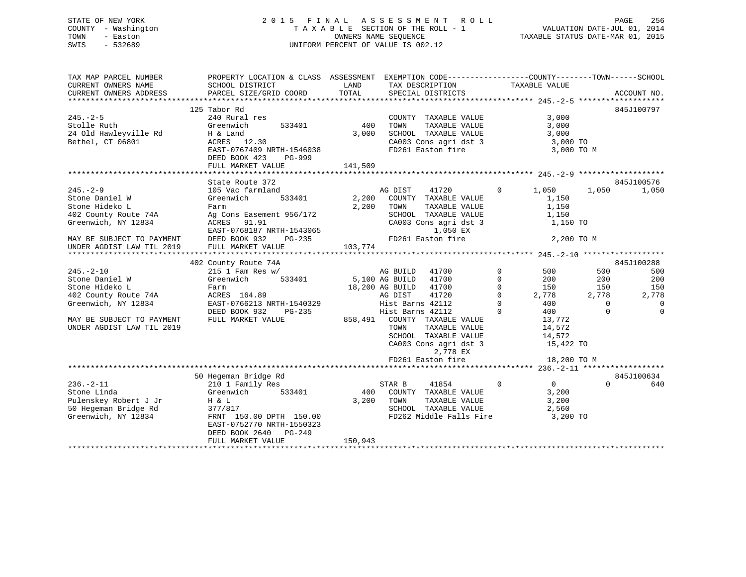## STATE OF NEW YORK 2 0 1 5 F I N A L A S S E S S M E N T R O L L PAGE 256 COUNTY - Washington T A X A B L E SECTION OF THE ROLL - 1 VALUATION DATE-JUL 01, 2014 TOWN - Easton **CONNERS NAME SEQUENCE** TAXABLE STATUS DATE-MAR 01, 2015 SWIS - 532689 UNIFORM PERCENT OF VALUE IS 002.12

| TAX MAP PARCEL NUMBER     | PROPERTY LOCATION & CLASS ASSESSMENT EXEMPTION CODE--------------COUNTY-------TOWN-----SCHOOL |         |                          |                               |            |                |
|---------------------------|-----------------------------------------------------------------------------------------------|---------|--------------------------|-------------------------------|------------|----------------|
| CURRENT OWNERS NAME       | SCHOOL DISTRICT                                                                               | LAND    | TAX DESCRIPTION          | TAXABLE VALUE                 |            |                |
| CURRENT OWNERS ADDRESS    | PARCEL SIZE/GRID COORD                                                                        | TOTAL   | SPECIAL DISTRICTS        |                               |            | ACCOUNT NO.    |
|                           |                                                                                               |         |                          |                               |            |                |
|                           | 125 Tabor Rd                                                                                  |         |                          |                               |            | 845J100797     |
| $245. - 2 - 5$            | 240 Rural res                                                                                 |         | COUNTY TAXABLE VALUE     | 3,000                         |            |                |
| Stolle Ruth               | 533401<br>Greenwich                                                                           | 400     | TOWN<br>TAXABLE VALUE    | 3,000                         |            |                |
| 24 Old Hawleyville Rd     | H & Land                                                                                      | 3,000   | SCHOOL TAXABLE VALUE     | 3,000                         |            |                |
| Bethel, CT 06801          | ACRES 12.30                                                                                   |         | CA003 Cons agri dst 3    | 3,000 TO                      |            |                |
|                           | EAST-0767409 NRTH-1546038                                                                     |         | FD261 Easton fire        | 3,000 TO M                    |            |                |
|                           | DEED BOOK 423<br>PG-999                                                                       |         |                          |                               |            |                |
|                           | FULL MARKET VALUE                                                                             | 141,509 |                          |                               |            |                |
|                           |                                                                                               |         |                          |                               |            |                |
|                           | State Route 372                                                                               |         |                          |                               |            | 845J100576     |
| $245. - 2 - 9$            | 105 Vac farmland                                                                              |         | 41720<br>AG DIST         | $\overline{0}$<br>1,050       | 1,050      | 1,050          |
| Stone Daniel W            | 533401<br>Greenwich                                                                           | 2,200   | COUNTY TAXABLE VALUE     | 1,150                         |            |                |
| Stone Hideko L            | Farm                                                                                          | 2,200   | TOWN<br>TAXABLE VALUE    | 1,150                         |            |                |
| 402 County Route 74A      | Ag Cons Easement 956/172                                                                      |         | SCHOOL TAXABLE VALUE     | 1,150                         |            |                |
| Greenwich, NY 12834       | ACRES<br>91.91                                                                                |         | CA003 Cons agri dst 3    | 1,150 TO                      |            |                |
|                           | EAST-0768187 NRTH-1543065                                                                     |         | 1,050 EX                 |                               |            |                |
| MAY BE SUBJECT TO PAYMENT | DEED BOOK 932<br>$PG-235$                                                                     |         | FD261 Easton fire        |                               | 2,200 TO M |                |
| UNDER AGDIST LAW TIL 2019 | FULL MARKET VALUE                                                                             | 103,774 |                          |                               |            |                |
|                           |                                                                                               |         |                          |                               |            |                |
|                           | 402 County Route 74A                                                                          |         |                          |                               |            | 845J100288     |
| $245. - 2 - 10$           | $215$ 1 Fam Res w/                                                                            |         | AG BUILD<br>41700        | $\mathbf 0$<br>500            | 500        | 500            |
| Stone Daniel W            | 533401<br>Greenwich                                                                           |         | 5,100 AG BUILD<br>41700  | $\Omega$<br>200               | 200        | 200            |
| Stone Hideko L            | Farm                                                                                          |         | 41700<br>18,200 AG BUILD | $\mathbf 0$<br>150            | 150        | 150            |
| 402 County Route 74A      | ACRES 164.89                                                                                  |         | 41720<br>AG DIST         | 0<br>2,778                    | 2,778      | 2,778          |
| Greenwich, NY 12834       | EAST-0766213 NRTH-1540329                                                                     |         | Hist Barns 42112         | 400<br>$\Omega$               | $\Omega$   | $\overline{0}$ |
|                           | DEED BOOK 932<br>PG-235                                                                       |         | Hist Barns 42112         | $\Omega$<br>400               | $\Omega$   | $\Omega$       |
| MAY BE SUBJECT TO PAYMENT | FULL MARKET VALUE                                                                             | 858,491 | COUNTY TAXABLE VALUE     | 13,772                        |            |                |
| UNDER AGDIST LAW TIL 2019 |                                                                                               |         | TOWN<br>TAXABLE VALUE    | 14,572                        |            |                |
|                           |                                                                                               |         | SCHOOL TAXABLE VALUE     | 14,572                        |            |                |
|                           |                                                                                               |         | CA003 Cons agri dst 3    | 15,422 TO                     |            |                |
|                           |                                                                                               |         | 2,778 EX                 |                               |            |                |
|                           |                                                                                               |         | FD261 Easton fire        | 18,200 TO M                   |            |                |
|                           |                                                                                               |         |                          |                               |            |                |
|                           | 50 Hegeman Bridge Rd                                                                          |         |                          |                               |            | 845J100634     |
| $236. - 2 - 11$           | 210 1 Family Res                                                                              |         | 41854<br>STAR B          | $\mathbf 0$<br>$\overline{0}$ | $\Omega$   | 640            |
| Stone Linda               | 533401<br>Greenwich                                                                           | 400     | COUNTY TAXABLE VALUE     | 3,200                         |            |                |
| Pulenskey Robert J Jr     | H & L                                                                                         | 3,200   | TOWN<br>TAXABLE VALUE    | 3,200                         |            |                |
| 50 Hegeman Bridge Rd      | 377/817                                                                                       |         | SCHOOL TAXABLE VALUE     | 2,560                         |            |                |
| Greenwich, NY 12834       | FRNT 150.00 DPTH 150.00                                                                       |         | FD262 Middle Falls Fire  | 3,200 TO                      |            |                |
|                           | EAST-0752770 NRTH-1550323                                                                     |         |                          |                               |            |                |
|                           | DEED BOOK 2640<br>PG-249                                                                      |         |                          |                               |            |                |
|                           | FULL MARKET VALUE                                                                             | 150,943 |                          |                               |            |                |
|                           |                                                                                               |         |                          |                               |            |                |
|                           |                                                                                               |         |                          |                               |            |                |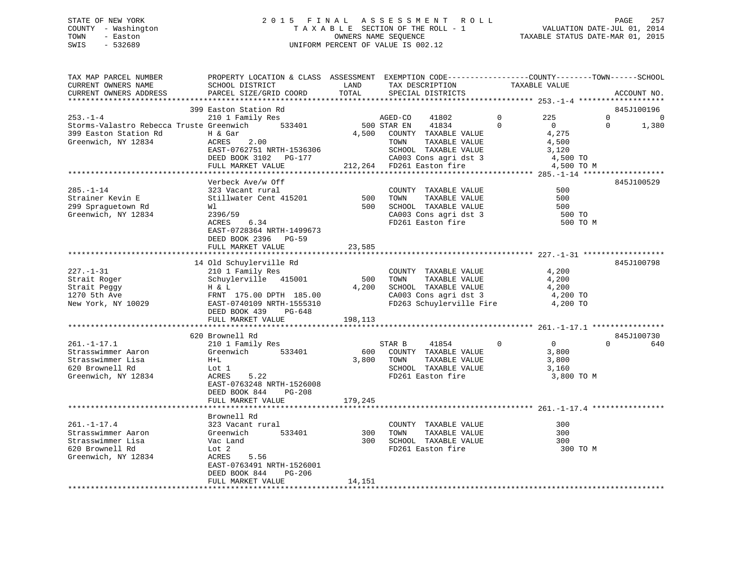## STATE OF NEW YORK 2 0 1 5 F I N A L A S S E S S M E N T R O L L PAGE 257 COUNTY - Washington T A X A B L E SECTION OF THE ROLL - 1 VALUATION DATE-JUL 01, 2014 TOWN - Easton **CONNERS NAME SEQUENCE** TAXABLE STATUS DATE-MAR 01, 2015 SWIS - 532689 UNIFORM PERCENT OF VALUE IS 002.12

| TAX MAP PARCEL NUMBER<br>CURRENT OWNERS NAME<br>CURRENT OWNERS ADDRESS                                     | PROPERTY LOCATION & CLASS ASSESSMENT EXEMPTION CODE----------------COUNTY-------TOWN------SCHOOL<br>SCHOOL DISTRICT<br>PARCEL SIZE/GRID COORD             | LAND<br>TOTAL           | TAX DESCRIPTION<br>SPECIAL DISTRICTS                                                                                       |                      | TAXABLE VALUE                                           | ACCOUNT NO.                                      |
|------------------------------------------------------------------------------------------------------------|-----------------------------------------------------------------------------------------------------------------------------------------------------------|-------------------------|----------------------------------------------------------------------------------------------------------------------------|----------------------|---------------------------------------------------------|--------------------------------------------------|
| **********************                                                                                     |                                                                                                                                                           |                         |                                                                                                                            |                      |                                                         |                                                  |
| $253. - 1 - 4$<br>Storms-Valastro Rebecca Truste Greenwich<br>399 Easton Station Rd<br>Greenwich, NY 12834 | 399 Easton Station Rd<br>210 1 Family Res<br>533401<br>H & Gar<br>ACRES<br>2.00<br>EAST-0762751 NRTH-1536306                                              | 4,500                   | AGED-CO<br>41802<br>500 STAR EN<br>41834<br>COUNTY TAXABLE VALUE<br>TOWN<br>TAXABLE VALUE<br>SCHOOL TAXABLE VALUE          | $\Omega$<br>$\Omega$ | 225<br>$\overline{0}$<br>4,275<br>4,500<br>3,120        | 845J100196<br>0<br>$\Omega$<br>$\Omega$<br>1,380 |
|                                                                                                            | DEED BOOK 3102 PG-177<br>FULL MARKET VALUE                                                                                                                |                         | CA003 Cons agri dst 3<br>212,264 FD261 Easton fire                                                                         |                      | 4,500 TO<br>4,500 TO M                                  |                                                  |
|                                                                                                            |                                                                                                                                                           |                         |                                                                                                                            |                      |                                                         |                                                  |
|                                                                                                            | Verbeck Ave/w Off                                                                                                                                         |                         |                                                                                                                            |                      |                                                         | 845J100529                                       |
| $285. - 1 - 14$<br>Strainer Kevin E<br>299 Spraguetown Rd<br>Greenwich, NY 12834                           | 323 Vacant rural<br>Stillwater Cent 415201<br>Wl<br>2396/59<br>ACRES<br>6.34<br>EAST-0728364 NRTH-1499673                                                 | 500<br>500              | COUNTY TAXABLE VALUE<br>TOWN<br>TAXABLE VALUE<br>SCHOOL TAXABLE VALUE<br>CA003 Cons agri dst 3<br>FD261 Easton fire        |                      | 500<br>500<br>500<br>500 TO<br>500 TO M                 |                                                  |
|                                                                                                            | DEED BOOK 2396 PG-59                                                                                                                                      |                         |                                                                                                                            |                      |                                                         |                                                  |
|                                                                                                            | FULL MARKET VALUE                                                                                                                                         | 23,585                  |                                                                                                                            |                      |                                                         |                                                  |
|                                                                                                            | 14 Old Schuylerville Rd                                                                                                                                   |                         |                                                                                                                            |                      |                                                         | 845J100798                                       |
| $227. - 1 - 31$<br>Strait Roger<br>Strait Peggy<br>1270 5th Ave<br>New York, NY 10029                      | 210 1 Family Res<br>Schuylerville 415001<br>H & L<br>FRNT 175.00 DPTH 185.00<br>EAST-0740109 NRTH-1555310<br>DEED BOOK 439<br>PG-648<br>FULL MARKET VALUE | 500<br>4,200<br>198,113 | COUNTY TAXABLE VALUE<br>TOWN<br>TAXABLE VALUE<br>SCHOOL TAXABLE VALUE<br>CA003 Cons agri dst 3<br>FD263 Schuylerville Fire |                      | 4,200<br>4,200<br>4,200<br>4,200 TO<br>4,200 TO         |                                                  |
|                                                                                                            |                                                                                                                                                           |                         |                                                                                                                            |                      |                                                         |                                                  |
|                                                                                                            | 620 Brownell Rd                                                                                                                                           |                         |                                                                                                                            |                      |                                                         | 845J100730                                       |
| $261. - 1 - 17.1$<br>Strasswimmer Aaron<br>Strasswimmer Lisa<br>620 Brownell Rd<br>Greenwich, NY 12834     | 210 1 Family Res<br>Greenwich<br>533401<br>$H+L$<br>Lot 1<br>ACRES<br>5.22<br>EAST-0763248 NRTH-1526008<br>DEED BOOK 844<br>PG-208                        | 3,800                   | 41854<br>STAR B<br>600 COUNTY TAXABLE VALUE<br>TOWN<br>TAXABLE VALUE<br>SCHOOL TAXABLE VALUE<br>FD261 Easton fire          | $\Omega$             | $\overline{0}$<br>3,800<br>3,800<br>3,160<br>3,800 TO M | $\Omega$<br>640                                  |
|                                                                                                            | FULL MARKET VALUE                                                                                                                                         | 179,245                 |                                                                                                                            |                      |                                                         |                                                  |
|                                                                                                            | Brownell Rd                                                                                                                                               |                         |                                                                                                                            |                      |                                                         |                                                  |
| $261. - 1 - 17.4$<br>Strasswimmer Aaron<br>Strasswimmer Lisa<br>620 Brownell Rd<br>Greenwich, NY 12834     | 323 Vacant rural<br>Greenwich<br>533401<br>Vac Land<br>Lot 2<br>5.56<br>ACRES<br>EAST-0763491 NRTH-1526001<br>DEED BOOK 844<br>PG-206                     | 300<br>300              | COUNTY TAXABLE VALUE<br>TOWN<br>TAXABLE VALUE<br>SCHOOL TAXABLE VALUE<br>FD261 Easton fire                                 |                      | 300<br>300<br>300<br>300 TO M                           |                                                  |
|                                                                                                            | FULL MARKET VALUE                                                                                                                                         | 14,151                  |                                                                                                                            |                      |                                                         |                                                  |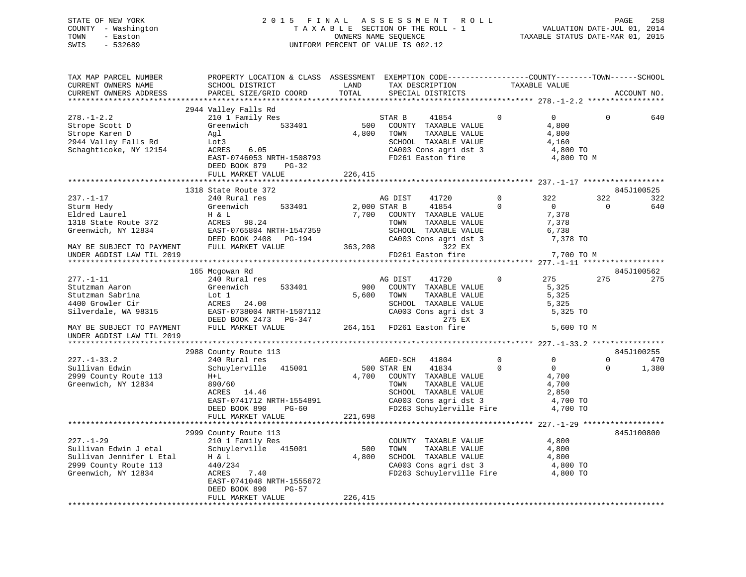## STATE OF NEW YORK 2 0 1 5 F I N A L A S S E S S M E N T R O L L PAGE 258 COUNTY - Washington T A X A B L E SECTION OF THE ROLL - 1 VALUATION DATE-JUL 01, 2014 TOWN - Easton OWNERS NAME SEQUENCE TAXABLE STATUS DATE-MAR 01, 2015 SWIS - 532689 UNIFORM PERCENT OF VALUE IS 002.12

| TAX MAP PARCEL NUMBER<br>CURRENT OWNERS NAME<br>CURRENT OWNERS ADDRESS                                                                                      | PROPERTY LOCATION & CLASS ASSESSMENT EXEMPTION CODE----------------COUNTY-------TOWN------SCHOOL<br>SCHOOL DISTRICT<br>PARCEL SIZE/GRID COORD                               | LAND<br>TOTAL           | TAX DESCRIPTION<br>SPECIAL DISTRICTS                                                                                                                      |                         | TAXABLE VALUE                                                 |                      | ACCOUNT NO.                |
|-------------------------------------------------------------------------------------------------------------------------------------------------------------|-----------------------------------------------------------------------------------------------------------------------------------------------------------------------------|-------------------------|-----------------------------------------------------------------------------------------------------------------------------------------------------------|-------------------------|---------------------------------------------------------------|----------------------|----------------------------|
|                                                                                                                                                             |                                                                                                                                                                             |                         |                                                                                                                                                           |                         |                                                               |                      |                            |
| $278. - 1 - 2.2$<br>Strope Scott D<br>Strope Karen D<br>2944 Valley Falls Rd<br>Schaghticoke, NY 12154                                                      | 2944 Valley Falls Rd<br>210 1 Family Res<br>533401<br>Greenwich<br>Aql<br>Lot3<br>ACRES<br>6.05<br>EAST-0746053 NRTH-1508793<br>DEED BOOK 879<br>PG-32<br>FULL MARKET VALUE | 500<br>4,800<br>226,415 | STAR B<br>41854<br>COUNTY TAXABLE VALUE<br>TOWN<br>TAXABLE VALUE<br>SCHOOL TAXABLE VALUE<br>CA003 Cons agri dst 3<br>FD261 Easton fire                    | $\Omega$                | $\Omega$<br>4,800<br>4,800<br>4,160<br>4,800 TO<br>4,800 TO M | $\Omega$             | 640                        |
|                                                                                                                                                             |                                                                                                                                                                             |                         |                                                                                                                                                           |                         |                                                               |                      |                            |
| $237. - 1 - 17$<br>Sturm Hedy<br>Eldred Laurel<br>1318 State Route 372<br>Greenwich, NY 12834                                                               | 1318 State Route 372<br>240 Rural res<br>533401<br>Greenwich<br>H & L<br>ACRES<br>98.24<br>EAST-0765804 NRTH-1547359<br>DEED BOOK 2408 PG-194                               | 7,700                   | AG DIST<br>41720<br>2,000 STAR B<br>41854<br>COUNTY TAXABLE VALUE<br>TOWN<br>TAXABLE VALUE<br>SCHOOL TAXABLE VALUE<br>CA003 Cons agri dst 3               | $\mathbf 0$<br>$\Omega$ | 322<br>$\overline{0}$<br>7,378<br>7,378<br>6,738<br>7,378 TO  | 322<br>$\Omega$      | 845J100525<br>322<br>640   |
| MAY BE SUBJECT TO PAYMENT                                                                                                                                   | FULL MARKET VALUE                                                                                                                                                           | 363,208                 | 322 EX                                                                                                                                                    |                         |                                                               |                      |                            |
| UNDER AGDIST LAW TIL 2019                                                                                                                                   |                                                                                                                                                                             |                         | FD261 Easton fire                                                                                                                                         |                         | 7,700 TO M                                                    |                      |                            |
|                                                                                                                                                             | 165 Mcgowan Rd                                                                                                                                                              |                         |                                                                                                                                                           |                         |                                                               |                      | 845J100562                 |
| $277. - 1 - 11$<br>Stutzman Aaron<br>Stutzman Sabrina<br>4400 Growler Cir<br>Silverdale, WA 98315<br>MAY BE SUBJECT TO PAYMENT<br>UNDER AGDIST LAW TIL 2019 | 240 Rural res<br>533401<br>Greenwich<br>Lot 1<br>ACRES<br>24.00<br>EAST-0738004 NRTH-1507112<br>DEED BOOK 2473<br>PG-347<br>FULL MARKET VALUE                               | 900<br>5,600            | AG DIST<br>41720<br>COUNTY TAXABLE VALUE<br>TOWN<br>TAXABLE VALUE<br>SCHOOL TAXABLE VALUE<br>CA003 Cons agri dst 3<br>275 EX<br>264,151 FD261 Easton fire | $\Omega$                | 275<br>5,325<br>5,325<br>5,325<br>5,325 TO<br>5,600 TO M      | 275                  | 275                        |
| **********************                                                                                                                                      |                                                                                                                                                                             |                         |                                                                                                                                                           |                         |                                                               |                      |                            |
| $227. - 1 - 33.2$<br>Sullivan Edwin<br>2999 County Route 113<br>Greenwich, NY 12834                                                                         | 2988 County Route 113<br>240 Rural res<br>Schuylerville 415001<br>$H+L$<br>890/60                                                                                           | 4,700                   | AGED-SCH<br>41804<br>500 STAR EN<br>41834<br>COUNTY TAXABLE VALUE<br>TOWN<br>TAXABLE VALUE                                                                | $\mathbf 0$<br>$\Omega$ | 0<br>$\overline{0}$<br>4,700<br>4,700                         | $\Omega$<br>$\Omega$ | 845J100255<br>470<br>1,380 |
|                                                                                                                                                             | ACRES<br>14.46<br>EAST-0741712 NRTH-1554891<br>DEED BOOK 890<br>PG-60<br>FULL MARKET VALUE                                                                                  | 221,698                 | SCHOOL TAXABLE VALUE<br>CA003 Cons agri dst 3<br>FD263 Schuylerville Fire                                                                                 |                         | 2,850<br>4,700 TO<br>4,700 TO                                 |                      |                            |
|                                                                                                                                                             |                                                                                                                                                                             |                         |                                                                                                                                                           |                         |                                                               |                      |                            |
| $227. - 1 - 29$<br>Sullivan Edwin J etal<br>Sullivan Jennifer L Etal<br>2999 County Route 113<br>Greenwich, NY 12834                                        | 2999 County Route 113<br>210 1 Family Res<br>Schuylerville 415001<br>H & L<br>440/234<br>ACRES<br>7.40<br>EAST-0741048 NRTH-1555672<br>DEED BOOK 890<br>$PG-57$             | 500<br>4,800            | COUNTY TAXABLE VALUE<br>TAXABLE VALUE<br>TOWN<br>SCHOOL TAXABLE VALUE<br>CA003 Cons agri dst 3<br>FD263 Schuylerville Fire                                |                         | 4,800<br>4,800<br>4,800<br>4,800 TO<br>4,800 TO               |                      | 845J100800                 |
|                                                                                                                                                             | FULL MARKET VALUE                                                                                                                                                           | 226,415                 |                                                                                                                                                           |                         |                                                               |                      |                            |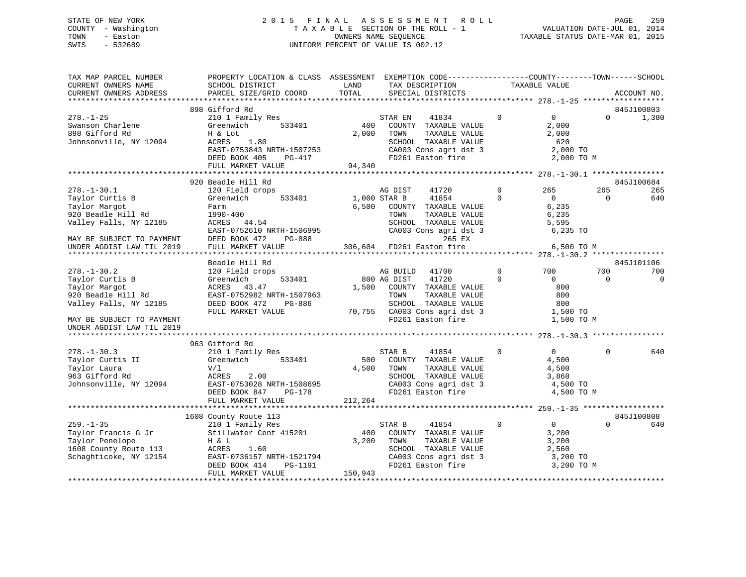## STATE OF NEW YORK 2 0 1 5 F I N A L A S S E S S M E N T R O L L PAGE 259 COUNTY - Washington T A X A B L E SECTION OF THE ROLL - 1 VALUATION DATE-JUL 01, 2014 TOWN - Easton OWNERS NAME SEQUENCE TAXABLE STATUS DATE-MAR 01, 2015 SWIS - 532689 UNIFORM PERCENT OF VALUE IS 002.12

| TAX MAP PARCEL NUMBER<br>CURRENT OWNERS NAME<br>CURRENT OWNERS ADDRESS | SCHOOL DISTRICT<br>PARCEL SIZE/GRID COORD | PROPERTY LOCATION & CLASS ASSESSMENT EXEMPTION CODE----------------COUNTY-------TOWN------SCHOOL<br>LAND<br>TAX DESCRIPTION<br>TOTAL<br>SPECIAL DISTRICTS | TAXABLE VALUE                 | ACCOUNT NO. |             |
|------------------------------------------------------------------------|-------------------------------------------|-----------------------------------------------------------------------------------------------------------------------------------------------------------|-------------------------------|-------------|-------------|
|                                                                        |                                           |                                                                                                                                                           |                               |             |             |
|                                                                        | 898 Gifford Rd                            |                                                                                                                                                           |                               | 845J100803  |             |
| $278. - 1 - 25$                                                        | 210 1 Family Res<br>Greenwich<br>533401   | 41834<br>STAR EN<br>400                                                                                                                                   | $\mathbf 0$<br>$\overline{0}$ | $\Omega$    | 1,380       |
| Swanson Charlene<br>898 Gifford Rd                                     | H & Lot                                   | COUNTY TAXABLE VALUE<br>2,000<br>TAXABLE VALUE<br>TOWN                                                                                                    | 2,000<br>2,000                |             |             |
| Johnsonville, NY 12094                                                 | ACRES<br>1.80                             | SCHOOL TAXABLE VALUE                                                                                                                                      | 620                           |             |             |
|                                                                        | EAST-0753843 NRTH-1507253                 | CA003 Cons agri dst 3                                                                                                                                     | 2,000 TO                      |             |             |
|                                                                        | DEED BOOK 405<br>PG-417                   | FD261 Easton fire                                                                                                                                         | 2,000 TO M                    |             |             |
|                                                                        | FULL MARKET VALUE                         | 94,340                                                                                                                                                    |                               |             |             |
|                                                                        |                                           |                                                                                                                                                           |                               |             |             |
|                                                                        | 920 Beadle Hill Rd                        |                                                                                                                                                           |                               | 845J100684  |             |
| $278. - 1 - 30.1$                                                      | 120 Field crops                           | 41720<br>AG DIST                                                                                                                                          | $\Omega$<br>265               | 265         | 265         |
| Taylor Curtis B                                                        | Greenwich<br>533401                       | 1,000 STAR B<br>41854                                                                                                                                     | $\Omega$<br>$\overline{0}$    | $\Omega$    | 640         |
| Taylor Margot                                                          | Farm                                      | 6,500<br>COUNTY TAXABLE VALUE                                                                                                                             | 6,235                         |             |             |
| 920 Beadle Hill Rd<br>Valley Falls, NY 12185                           | 1990-400                                  | TOWN<br>TAXABLE VALUE                                                                                                                                     | 6,235<br>5,595                |             |             |
|                                                                        | ACRES 44.54<br>EAST-0752610 NRTH-1506995  | SCHOOL TAXABLE VALUE<br>CA003 Cons agri dst 3                                                                                                             | 6,235 TO                      |             |             |
| MAY BE SUBJECT TO PAYMENT                                              | DEED BOOK 472<br>PG-888                   | 265 EX                                                                                                                                                    |                               |             |             |
| UNDER AGDIST LAW TIL 2019                                              | FULL MARKET VALUE                         | 306,604 FD261 Easton fire                                                                                                                                 | 6,500 TO M                    |             |             |
|                                                                        |                                           |                                                                                                                                                           |                               |             |             |
|                                                                        | Beadle Hill Rd                            |                                                                                                                                                           |                               | 845J101106  |             |
| $278. - 1 - 30.2$                                                      | 120 Field crops                           | 41700<br>AG BUILD                                                                                                                                         | $\Omega$<br>700               | 700         | 700         |
| Taylor Curtis B                                                        | 533401<br>Greenwich                       | 41720<br>800 AG DIST                                                                                                                                      | $\Omega$<br>$\Omega$          | $\Omega$    | $\mathbf 0$ |
| Taylor Margot                                                          | ACRES 43.47                               | 1,500<br>COUNTY TAXABLE VALUE                                                                                                                             | 800                           |             |             |
| 920 Beadle Hill Rd                                                     | EAST-0752982 NRTH-1507963                 | TAXABLE VALUE<br>TOWN                                                                                                                                     | 800                           |             |             |
| Valley Falls, NY 12185                                                 | DEED BOOK 472<br>PG-886                   | SCHOOL TAXABLE VALUE                                                                                                                                      | 800                           |             |             |
|                                                                        | FULL MARKET VALUE                         | 70,755 CA003 Cons agri dst 3                                                                                                                              | 1,500 TO                      |             |             |
| MAY BE SUBJECT TO PAYMENT                                              |                                           | FD261 Easton fire                                                                                                                                         | 1,500 TO M                    |             |             |
| UNDER AGDIST LAW TIL 2019                                              |                                           |                                                                                                                                                           |                               |             |             |
|                                                                        | 963 Gifford Rd                            |                                                                                                                                                           |                               |             |             |
| $278. - 1 - 30.3$                                                      | 210 1 Family Res                          | 41854<br>STAR B                                                                                                                                           | $\Omega$<br>$\overline{0}$    | $\Omega$    | 640         |
| Taylor Curtis II                                                       | Greenwich<br>533401                       | 500<br>COUNTY TAXABLE VALUE                                                                                                                               | 4,500                         |             |             |
| Taylor Laura                                                           | V/1                                       | 4,500<br>TOWN<br>TAXABLE VALUE                                                                                                                            | 4,500                         |             |             |
| 963 Gifford Rd                                                         | ACRES<br>2.00                             | SCHOOL TAXABLE VALUE                                                                                                                                      | 3,860                         |             |             |
| Johnsonville, NY 12094                                                 | EAST-0753028 NRTH-1508695                 | CA003 Cons agri dst 3                                                                                                                                     | 4,500 TO                      |             |             |
|                                                                        | DEED BOOK 847<br>$PG-178$                 | FD261 Easton fire                                                                                                                                         | 4,500 TO M                    |             |             |
|                                                                        | FULL MARKET VALUE                         | 212,264                                                                                                                                                   |                               |             |             |
|                                                                        |                                           |                                                                                                                                                           |                               |             |             |
|                                                                        | 1608 County Route 113                     |                                                                                                                                                           |                               | 845J100808  |             |
| $259. - 1 - 35$                                                        | 210 1 Family Res                          | STAR B<br>41854<br>400                                                                                                                                    | $\mathbf 0$<br>$\overline{0}$ | $\Omega$    | 640         |
| Taylor Francis G Jr<br>Taylor Penelope                                 | Stillwater Cent 415201<br>H & L           | COUNTY TAXABLE VALUE<br>3,200<br>TOWN<br>TAXABLE VALUE                                                                                                    | 3,200<br>3,200                |             |             |
| 1608 County Route 113                                                  | ACRES<br>1.60                             | SCHOOL TAXABLE VALUE                                                                                                                                      | 2,560                         |             |             |
| Schaghticoke, NY 12154                                                 | EAST-0736157 NRTH-1521794                 | CA003 Cons agri dst 3                                                                                                                                     | 3,200 TO                      |             |             |
|                                                                        | DEED BOOK 414<br>PG-1191                  | FD261 Easton fire                                                                                                                                         | 3,200 TO M                    |             |             |
|                                                                        | FULL MARKET VALUE                         | 150,943                                                                                                                                                   |                               |             |             |
|                                                                        |                                           |                                                                                                                                                           |                               |             |             |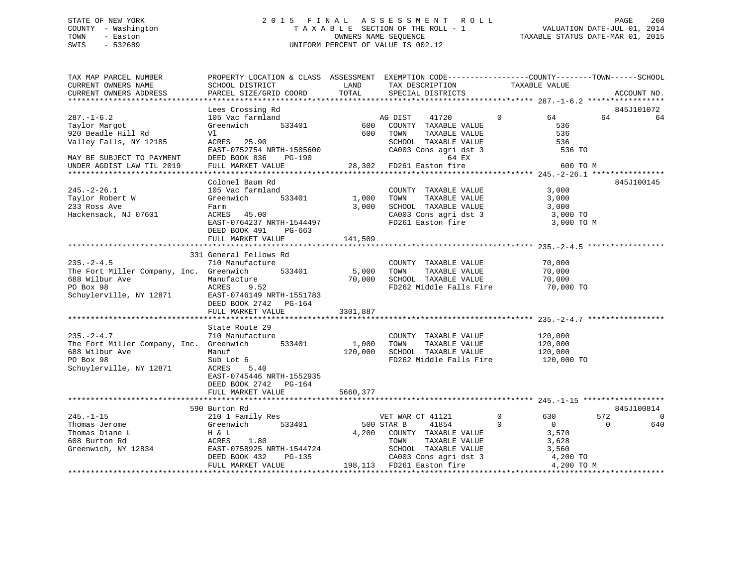# STATE OF NEW YORK 260 2015 FINAL ASSESSMENT ROLL 2015 PAGE 260 COUNTY - Washington  $T A X A B L E$  SECTION OF THE ROLL - 1<br>TOWN - Easton DATE-JUL 2011 COUNTERS NAME SEQUENCE SWIS - 532689 UNIFORM PERCENT OF VALUE IS 002.12

TAXABLE STATUS DATE-MAR 01, 2015

| SCHOOL DISTRICT<br>CURRENT OWNERS NAME<br>LAND<br>TAX DESCRIPTION<br>TAXABLE VALUE<br>TOTAL<br>PARCEL SIZE/GRID COORD<br>CURRENT OWNERS ADDRESS<br>SPECIAL DISTRICTS<br>ACCOUNT NO.<br>***********************<br>Lees Crossing Rd<br>845J101072<br>$287. - 1 - 6.2$<br>105 Vac farmland<br>AG DIST<br>41720<br>$\Omega$<br>64<br>64<br>64<br>Taylor Margot<br>Greenwich<br>533401<br>600<br>COUNTY TAXABLE VALUE<br>536<br>920 Beadle Hill Rd<br>600<br>TAXABLE VALUE<br>536<br>Vl<br>TOWN<br>Valley Falls, NY 12185<br>ACRES 25.90<br>SCHOOL TAXABLE VALUE<br>536<br>CA003 Cons agri dst 3<br>EAST-0752754 NRTH-1505600<br>536 TO<br>DEED BOOK 836<br>PG-190<br>64 EX<br>MAY BE SUBJECT TO PAYMENT<br>28,302 FD261 Easton fire<br>UNDER AGDIST LAW TIL 2019<br>FULL MARKET VALUE<br>600 TO M<br>845J100145<br>Colonel Baum Rd<br>$245. - 2 - 26.1$<br>3,000<br>105 Vac farmland<br>COUNTY TAXABLE VALUE<br>Taylor Robert W<br>Greenwich<br>533401<br>1,000<br>TOWN<br>TAXABLE VALUE<br>3,000<br>233 Ross Ave<br>3,000<br>SCHOOL TAXABLE VALUE<br>3,000<br>Farm<br>Hackensack, NJ 07601<br>ACRES 45.00<br>CA003 Cons agri dst 3<br>3,000 TO<br>EAST-0764237 NRTH-1544497<br>FD261 Easton fire<br>3,000 TO M<br>DEED BOOK 491<br>PG-663<br>141,509<br>FULL MARKET VALUE<br>331 General Fellows Rd<br>$235. - 2 - 4.5$<br>710 Manufacture<br>COUNTY TAXABLE VALUE<br>70,000<br>TAXABLE VALUE<br>70,000<br>The Fort Miller Company, Inc. Greenwich<br>533401<br>5,000<br>TOWN<br>70,000<br>SCHOOL TAXABLE VALUE<br>688 Wilbur Ave<br>70,000<br>Manufacture<br>PO Box 98<br>ACRES 9.52<br>FD262 Middle Falls Fire<br>70,000 TO<br>Schuylerville, NY 12871<br>EAST-0746149 NRTH-1551783<br>DEED BOOK 2742 PG-164<br>FULL MARKET VALUE<br>3301,887<br>State Route 29<br>$235. - 2 - 4.7$<br>710 Manufacture<br>120,000<br>COUNTY TAXABLE VALUE<br>533401<br>The Fort Miller Company, Inc. Greenwich<br>1,000<br>TOWN<br>TAXABLE VALUE<br>120,000<br>688 Wilbur Ave<br>Manuf<br>120,000<br>SCHOOL TAXABLE VALUE<br>120,000<br>PO Box 98<br>FD262 Middle Falls Fire<br>Sub Lot 6<br>120,000 TO<br>Schuylerville, NY 12871<br>ACRES 5.40<br>EAST-0745446 NRTH-1552935<br>DEED BOOK 2742 PG-164<br>5660,377<br>FULL MARKET VALUE<br>590 Burton Rd<br>845J100814<br>$245. - 1 - 15$<br>210 1 Family Res<br>$\mathbf 0$<br>630<br>572<br>VET WAR CT 41121<br>0<br>533401<br>500 STAR B<br>41854<br>$\overline{0}$<br>$\Omega$<br>640<br>Thomas Jerome<br>Greenwich<br>$\mathbf 0$<br>Thomas Diane L<br>4,200<br>H & L<br>COUNTY TAXABLE VALUE<br>3,570<br>608 Burton Rd<br>1.80<br>ACRES<br>TOWN<br>TAXABLE VALUE<br>3,628<br>Greenwich, NY 12834<br>EAST-0758925 NRTH-1544724<br>3,560<br>SCHOOL TAXABLE VALUE<br>CA003 Cons agri dst 3<br>DEED BOOK 432<br>PG-135<br>4,200 TO<br>198,113 FD261 Easton fire<br>4,200 TO M<br>FULL MARKET VALUE | TAX MAP PARCEL NUMBER | PROPERTY LOCATION & CLASS ASSESSMENT EXEMPTION CODE---------------COUNTY-------TOWN-----SCHOOL |  |                             |
|--------------------------------------------------------------------------------------------------------------------------------------------------------------------------------------------------------------------------------------------------------------------------------------------------------------------------------------------------------------------------------------------------------------------------------------------------------------------------------------------------------------------------------------------------------------------------------------------------------------------------------------------------------------------------------------------------------------------------------------------------------------------------------------------------------------------------------------------------------------------------------------------------------------------------------------------------------------------------------------------------------------------------------------------------------------------------------------------------------------------------------------------------------------------------------------------------------------------------------------------------------------------------------------------------------------------------------------------------------------------------------------------------------------------------------------------------------------------------------------------------------------------------------------------------------------------------------------------------------------------------------------------------------------------------------------------------------------------------------------------------------------------------------------------------------------------------------------------------------------------------------------------------------------------------------------------------------------------------------------------------------------------------------------------------------------------------------------------------------------------------------------------------------------------------------------------------------------------------------------------------------------------------------------------------------------------------------------------------------------------------------------------------------------------------------------------------------------------------------------------------------------------------------------------------------------------------------------------------------------------------------------------------------------------------------------------------------------------------------------------------------------------------------------------------------------------------------------|-----------------------|------------------------------------------------------------------------------------------------|--|-----------------------------|
|                                                                                                                                                                                                                                                                                                                                                                                                                                                                                                                                                                                                                                                                                                                                                                                                                                                                                                                                                                                                                                                                                                                                                                                                                                                                                                                                                                                                                                                                                                                                                                                                                                                                                                                                                                                                                                                                                                                                                                                                                                                                                                                                                                                                                                                                                                                                                                                                                                                                                                                                                                                                                                                                                                                                                                                                                                      |                       |                                                                                                |  |                             |
|                                                                                                                                                                                                                                                                                                                                                                                                                                                                                                                                                                                                                                                                                                                                                                                                                                                                                                                                                                                                                                                                                                                                                                                                                                                                                                                                                                                                                                                                                                                                                                                                                                                                                                                                                                                                                                                                                                                                                                                                                                                                                                                                                                                                                                                                                                                                                                                                                                                                                                                                                                                                                                                                                                                                                                                                                                      |                       |                                                                                                |  |                             |
|                                                                                                                                                                                                                                                                                                                                                                                                                                                                                                                                                                                                                                                                                                                                                                                                                                                                                                                                                                                                                                                                                                                                                                                                                                                                                                                                                                                                                                                                                                                                                                                                                                                                                                                                                                                                                                                                                                                                                                                                                                                                                                                                                                                                                                                                                                                                                                                                                                                                                                                                                                                                                                                                                                                                                                                                                                      |                       |                                                                                                |  |                             |
|                                                                                                                                                                                                                                                                                                                                                                                                                                                                                                                                                                                                                                                                                                                                                                                                                                                                                                                                                                                                                                                                                                                                                                                                                                                                                                                                                                                                                                                                                                                                                                                                                                                                                                                                                                                                                                                                                                                                                                                                                                                                                                                                                                                                                                                                                                                                                                                                                                                                                                                                                                                                                                                                                                                                                                                                                                      |                       |                                                                                                |  |                             |
|                                                                                                                                                                                                                                                                                                                                                                                                                                                                                                                                                                                                                                                                                                                                                                                                                                                                                                                                                                                                                                                                                                                                                                                                                                                                                                                                                                                                                                                                                                                                                                                                                                                                                                                                                                                                                                                                                                                                                                                                                                                                                                                                                                                                                                                                                                                                                                                                                                                                                                                                                                                                                                                                                                                                                                                                                                      |                       |                                                                                                |  |                             |
|                                                                                                                                                                                                                                                                                                                                                                                                                                                                                                                                                                                                                                                                                                                                                                                                                                                                                                                                                                                                                                                                                                                                                                                                                                                                                                                                                                                                                                                                                                                                                                                                                                                                                                                                                                                                                                                                                                                                                                                                                                                                                                                                                                                                                                                                                                                                                                                                                                                                                                                                                                                                                                                                                                                                                                                                                                      |                       |                                                                                                |  |                             |
|                                                                                                                                                                                                                                                                                                                                                                                                                                                                                                                                                                                                                                                                                                                                                                                                                                                                                                                                                                                                                                                                                                                                                                                                                                                                                                                                                                                                                                                                                                                                                                                                                                                                                                                                                                                                                                                                                                                                                                                                                                                                                                                                                                                                                                                                                                                                                                                                                                                                                                                                                                                                                                                                                                                                                                                                                                      |                       |                                                                                                |  |                             |
|                                                                                                                                                                                                                                                                                                                                                                                                                                                                                                                                                                                                                                                                                                                                                                                                                                                                                                                                                                                                                                                                                                                                                                                                                                                                                                                                                                                                                                                                                                                                                                                                                                                                                                                                                                                                                                                                                                                                                                                                                                                                                                                                                                                                                                                                                                                                                                                                                                                                                                                                                                                                                                                                                                                                                                                                                                      |                       |                                                                                                |  |                             |
|                                                                                                                                                                                                                                                                                                                                                                                                                                                                                                                                                                                                                                                                                                                                                                                                                                                                                                                                                                                                                                                                                                                                                                                                                                                                                                                                                                                                                                                                                                                                                                                                                                                                                                                                                                                                                                                                                                                                                                                                                                                                                                                                                                                                                                                                                                                                                                                                                                                                                                                                                                                                                                                                                                                                                                                                                                      |                       |                                                                                                |  |                             |
|                                                                                                                                                                                                                                                                                                                                                                                                                                                                                                                                                                                                                                                                                                                                                                                                                                                                                                                                                                                                                                                                                                                                                                                                                                                                                                                                                                                                                                                                                                                                                                                                                                                                                                                                                                                                                                                                                                                                                                                                                                                                                                                                                                                                                                                                                                                                                                                                                                                                                                                                                                                                                                                                                                                                                                                                                                      |                       |                                                                                                |  |                             |
|                                                                                                                                                                                                                                                                                                                                                                                                                                                                                                                                                                                                                                                                                                                                                                                                                                                                                                                                                                                                                                                                                                                                                                                                                                                                                                                                                                                                                                                                                                                                                                                                                                                                                                                                                                                                                                                                                                                                                                                                                                                                                                                                                                                                                                                                                                                                                                                                                                                                                                                                                                                                                                                                                                                                                                                                                                      |                       |                                                                                                |  |                             |
|                                                                                                                                                                                                                                                                                                                                                                                                                                                                                                                                                                                                                                                                                                                                                                                                                                                                                                                                                                                                                                                                                                                                                                                                                                                                                                                                                                                                                                                                                                                                                                                                                                                                                                                                                                                                                                                                                                                                                                                                                                                                                                                                                                                                                                                                                                                                                                                                                                                                                                                                                                                                                                                                                                                                                                                                                                      |                       |                                                                                                |  |                             |
|                                                                                                                                                                                                                                                                                                                                                                                                                                                                                                                                                                                                                                                                                                                                                                                                                                                                                                                                                                                                                                                                                                                                                                                                                                                                                                                                                                                                                                                                                                                                                                                                                                                                                                                                                                                                                                                                                                                                                                                                                                                                                                                                                                                                                                                                                                                                                                                                                                                                                                                                                                                                                                                                                                                                                                                                                                      |                       |                                                                                                |  |                             |
|                                                                                                                                                                                                                                                                                                                                                                                                                                                                                                                                                                                                                                                                                                                                                                                                                                                                                                                                                                                                                                                                                                                                                                                                                                                                                                                                                                                                                                                                                                                                                                                                                                                                                                                                                                                                                                                                                                                                                                                                                                                                                                                                                                                                                                                                                                                                                                                                                                                                                                                                                                                                                                                                                                                                                                                                                                      |                       |                                                                                                |  |                             |
|                                                                                                                                                                                                                                                                                                                                                                                                                                                                                                                                                                                                                                                                                                                                                                                                                                                                                                                                                                                                                                                                                                                                                                                                                                                                                                                                                                                                                                                                                                                                                                                                                                                                                                                                                                                                                                                                                                                                                                                                                                                                                                                                                                                                                                                                                                                                                                                                                                                                                                                                                                                                                                                                                                                                                                                                                                      |                       |                                                                                                |  |                             |
|                                                                                                                                                                                                                                                                                                                                                                                                                                                                                                                                                                                                                                                                                                                                                                                                                                                                                                                                                                                                                                                                                                                                                                                                                                                                                                                                                                                                                                                                                                                                                                                                                                                                                                                                                                                                                                                                                                                                                                                                                                                                                                                                                                                                                                                                                                                                                                                                                                                                                                                                                                                                                                                                                                                                                                                                                                      |                       |                                                                                                |  |                             |
|                                                                                                                                                                                                                                                                                                                                                                                                                                                                                                                                                                                                                                                                                                                                                                                                                                                                                                                                                                                                                                                                                                                                                                                                                                                                                                                                                                                                                                                                                                                                                                                                                                                                                                                                                                                                                                                                                                                                                                                                                                                                                                                                                                                                                                                                                                                                                                                                                                                                                                                                                                                                                                                                                                                                                                                                                                      |                       |                                                                                                |  |                             |
|                                                                                                                                                                                                                                                                                                                                                                                                                                                                                                                                                                                                                                                                                                                                                                                                                                                                                                                                                                                                                                                                                                                                                                                                                                                                                                                                                                                                                                                                                                                                                                                                                                                                                                                                                                                                                                                                                                                                                                                                                                                                                                                                                                                                                                                                                                                                                                                                                                                                                                                                                                                                                                                                                                                                                                                                                                      |                       |                                                                                                |  |                             |
|                                                                                                                                                                                                                                                                                                                                                                                                                                                                                                                                                                                                                                                                                                                                                                                                                                                                                                                                                                                                                                                                                                                                                                                                                                                                                                                                                                                                                                                                                                                                                                                                                                                                                                                                                                                                                                                                                                                                                                                                                                                                                                                                                                                                                                                                                                                                                                                                                                                                                                                                                                                                                                                                                                                                                                                                                                      |                       |                                                                                                |  |                             |
|                                                                                                                                                                                                                                                                                                                                                                                                                                                                                                                                                                                                                                                                                                                                                                                                                                                                                                                                                                                                                                                                                                                                                                                                                                                                                                                                                                                                                                                                                                                                                                                                                                                                                                                                                                                                                                                                                                                                                                                                                                                                                                                                                                                                                                                                                                                                                                                                                                                                                                                                                                                                                                                                                                                                                                                                                                      |                       |                                                                                                |  |                             |
|                                                                                                                                                                                                                                                                                                                                                                                                                                                                                                                                                                                                                                                                                                                                                                                                                                                                                                                                                                                                                                                                                                                                                                                                                                                                                                                                                                                                                                                                                                                                                                                                                                                                                                                                                                                                                                                                                                                                                                                                                                                                                                                                                                                                                                                                                                                                                                                                                                                                                                                                                                                                                                                                                                                                                                                                                                      |                       |                                                                                                |  |                             |
|                                                                                                                                                                                                                                                                                                                                                                                                                                                                                                                                                                                                                                                                                                                                                                                                                                                                                                                                                                                                                                                                                                                                                                                                                                                                                                                                                                                                                                                                                                                                                                                                                                                                                                                                                                                                                                                                                                                                                                                                                                                                                                                                                                                                                                                                                                                                                                                                                                                                                                                                                                                                                                                                                                                                                                                                                                      |                       |                                                                                                |  |                             |
|                                                                                                                                                                                                                                                                                                                                                                                                                                                                                                                                                                                                                                                                                                                                                                                                                                                                                                                                                                                                                                                                                                                                                                                                                                                                                                                                                                                                                                                                                                                                                                                                                                                                                                                                                                                                                                                                                                                                                                                                                                                                                                                                                                                                                                                                                                                                                                                                                                                                                                                                                                                                                                                                                                                                                                                                                                      |                       |                                                                                                |  |                             |
|                                                                                                                                                                                                                                                                                                                                                                                                                                                                                                                                                                                                                                                                                                                                                                                                                                                                                                                                                                                                                                                                                                                                                                                                                                                                                                                                                                                                                                                                                                                                                                                                                                                                                                                                                                                                                                                                                                                                                                                                                                                                                                                                                                                                                                                                                                                                                                                                                                                                                                                                                                                                                                                                                                                                                                                                                                      |                       |                                                                                                |  |                             |
|                                                                                                                                                                                                                                                                                                                                                                                                                                                                                                                                                                                                                                                                                                                                                                                                                                                                                                                                                                                                                                                                                                                                                                                                                                                                                                                                                                                                                                                                                                                                                                                                                                                                                                                                                                                                                                                                                                                                                                                                                                                                                                                                                                                                                                                                                                                                                                                                                                                                                                                                                                                                                                                                                                                                                                                                                                      |                       |                                                                                                |  |                             |
|                                                                                                                                                                                                                                                                                                                                                                                                                                                                                                                                                                                                                                                                                                                                                                                                                                                                                                                                                                                                                                                                                                                                                                                                                                                                                                                                                                                                                                                                                                                                                                                                                                                                                                                                                                                                                                                                                                                                                                                                                                                                                                                                                                                                                                                                                                                                                                                                                                                                                                                                                                                                                                                                                                                                                                                                                                      |                       |                                                                                                |  |                             |
|                                                                                                                                                                                                                                                                                                                                                                                                                                                                                                                                                                                                                                                                                                                                                                                                                                                                                                                                                                                                                                                                                                                                                                                                                                                                                                                                                                                                                                                                                                                                                                                                                                                                                                                                                                                                                                                                                                                                                                                                                                                                                                                                                                                                                                                                                                                                                                                                                                                                                                                                                                                                                                                                                                                                                                                                                                      |                       |                                                                                                |  |                             |
|                                                                                                                                                                                                                                                                                                                                                                                                                                                                                                                                                                                                                                                                                                                                                                                                                                                                                                                                                                                                                                                                                                                                                                                                                                                                                                                                                                                                                                                                                                                                                                                                                                                                                                                                                                                                                                                                                                                                                                                                                                                                                                                                                                                                                                                                                                                                                                                                                                                                                                                                                                                                                                                                                                                                                                                                                                      |                       |                                                                                                |  |                             |
|                                                                                                                                                                                                                                                                                                                                                                                                                                                                                                                                                                                                                                                                                                                                                                                                                                                                                                                                                                                                                                                                                                                                                                                                                                                                                                                                                                                                                                                                                                                                                                                                                                                                                                                                                                                                                                                                                                                                                                                                                                                                                                                                                                                                                                                                                                                                                                                                                                                                                                                                                                                                                                                                                                                                                                                                                                      |                       |                                                                                                |  |                             |
|                                                                                                                                                                                                                                                                                                                                                                                                                                                                                                                                                                                                                                                                                                                                                                                                                                                                                                                                                                                                                                                                                                                                                                                                                                                                                                                                                                                                                                                                                                                                                                                                                                                                                                                                                                                                                                                                                                                                                                                                                                                                                                                                                                                                                                                                                                                                                                                                                                                                                                                                                                                                                                                                                                                                                                                                                                      |                       |                                                                                                |  |                             |
|                                                                                                                                                                                                                                                                                                                                                                                                                                                                                                                                                                                                                                                                                                                                                                                                                                                                                                                                                                                                                                                                                                                                                                                                                                                                                                                                                                                                                                                                                                                                                                                                                                                                                                                                                                                                                                                                                                                                                                                                                                                                                                                                                                                                                                                                                                                                                                                                                                                                                                                                                                                                                                                                                                                                                                                                                                      |                       |                                                                                                |  |                             |
|                                                                                                                                                                                                                                                                                                                                                                                                                                                                                                                                                                                                                                                                                                                                                                                                                                                                                                                                                                                                                                                                                                                                                                                                                                                                                                                                                                                                                                                                                                                                                                                                                                                                                                                                                                                                                                                                                                                                                                                                                                                                                                                                                                                                                                                                                                                                                                                                                                                                                                                                                                                                                                                                                                                                                                                                                                      |                       |                                                                                                |  |                             |
|                                                                                                                                                                                                                                                                                                                                                                                                                                                                                                                                                                                                                                                                                                                                                                                                                                                                                                                                                                                                                                                                                                                                                                                                                                                                                                                                                                                                                                                                                                                                                                                                                                                                                                                                                                                                                                                                                                                                                                                                                                                                                                                                                                                                                                                                                                                                                                                                                                                                                                                                                                                                                                                                                                                                                                                                                                      |                       |                                                                                                |  |                             |
|                                                                                                                                                                                                                                                                                                                                                                                                                                                                                                                                                                                                                                                                                                                                                                                                                                                                                                                                                                                                                                                                                                                                                                                                                                                                                                                                                                                                                                                                                                                                                                                                                                                                                                                                                                                                                                                                                                                                                                                                                                                                                                                                                                                                                                                                                                                                                                                                                                                                                                                                                                                                                                                                                                                                                                                                                                      |                       |                                                                                                |  |                             |
|                                                                                                                                                                                                                                                                                                                                                                                                                                                                                                                                                                                                                                                                                                                                                                                                                                                                                                                                                                                                                                                                                                                                                                                                                                                                                                                                                                                                                                                                                                                                                                                                                                                                                                                                                                                                                                                                                                                                                                                                                                                                                                                                                                                                                                                                                                                                                                                                                                                                                                                                                                                                                                                                                                                                                                                                                                      |                       |                                                                                                |  |                             |
|                                                                                                                                                                                                                                                                                                                                                                                                                                                                                                                                                                                                                                                                                                                                                                                                                                                                                                                                                                                                                                                                                                                                                                                                                                                                                                                                                                                                                                                                                                                                                                                                                                                                                                                                                                                                                                                                                                                                                                                                                                                                                                                                                                                                                                                                                                                                                                                                                                                                                                                                                                                                                                                                                                                                                                                                                                      |                       |                                                                                                |  |                             |
|                                                                                                                                                                                                                                                                                                                                                                                                                                                                                                                                                                                                                                                                                                                                                                                                                                                                                                                                                                                                                                                                                                                                                                                                                                                                                                                                                                                                                                                                                                                                                                                                                                                                                                                                                                                                                                                                                                                                                                                                                                                                                                                                                                                                                                                                                                                                                                                                                                                                                                                                                                                                                                                                                                                                                                                                                                      |                       |                                                                                                |  |                             |
|                                                                                                                                                                                                                                                                                                                                                                                                                                                                                                                                                                                                                                                                                                                                                                                                                                                                                                                                                                                                                                                                                                                                                                                                                                                                                                                                                                                                                                                                                                                                                                                                                                                                                                                                                                                                                                                                                                                                                                                                                                                                                                                                                                                                                                                                                                                                                                                                                                                                                                                                                                                                                                                                                                                                                                                                                                      |                       |                                                                                                |  |                             |
|                                                                                                                                                                                                                                                                                                                                                                                                                                                                                                                                                                                                                                                                                                                                                                                                                                                                                                                                                                                                                                                                                                                                                                                                                                                                                                                                                                                                                                                                                                                                                                                                                                                                                                                                                                                                                                                                                                                                                                                                                                                                                                                                                                                                                                                                                                                                                                                                                                                                                                                                                                                                                                                                                                                                                                                                                                      |                       |                                                                                                |  |                             |
|                                                                                                                                                                                                                                                                                                                                                                                                                                                                                                                                                                                                                                                                                                                                                                                                                                                                                                                                                                                                                                                                                                                                                                                                                                                                                                                                                                                                                                                                                                                                                                                                                                                                                                                                                                                                                                                                                                                                                                                                                                                                                                                                                                                                                                                                                                                                                                                                                                                                                                                                                                                                                                                                                                                                                                                                                                      |                       |                                                                                                |  |                             |
|                                                                                                                                                                                                                                                                                                                                                                                                                                                                                                                                                                                                                                                                                                                                                                                                                                                                                                                                                                                                                                                                                                                                                                                                                                                                                                                                                                                                                                                                                                                                                                                                                                                                                                                                                                                                                                                                                                                                                                                                                                                                                                                                                                                                                                                                                                                                                                                                                                                                                                                                                                                                                                                                                                                                                                                                                                      |                       |                                                                                                |  |                             |
|                                                                                                                                                                                                                                                                                                                                                                                                                                                                                                                                                                                                                                                                                                                                                                                                                                                                                                                                                                                                                                                                                                                                                                                                                                                                                                                                                                                                                                                                                                                                                                                                                                                                                                                                                                                                                                                                                                                                                                                                                                                                                                                                                                                                                                                                                                                                                                                                                                                                                                                                                                                                                                                                                                                                                                                                                                      |                       |                                                                                                |  |                             |
|                                                                                                                                                                                                                                                                                                                                                                                                                                                                                                                                                                                                                                                                                                                                                                                                                                                                                                                                                                                                                                                                                                                                                                                                                                                                                                                                                                                                                                                                                                                                                                                                                                                                                                                                                                                                                                                                                                                                                                                                                                                                                                                                                                                                                                                                                                                                                                                                                                                                                                                                                                                                                                                                                                                                                                                                                                      |                       |                                                                                                |  |                             |
|                                                                                                                                                                                                                                                                                                                                                                                                                                                                                                                                                                                                                                                                                                                                                                                                                                                                                                                                                                                                                                                                                                                                                                                                                                                                                                                                                                                                                                                                                                                                                                                                                                                                                                                                                                                                                                                                                                                                                                                                                                                                                                                                                                                                                                                                                                                                                                                                                                                                                                                                                                                                                                                                                                                                                                                                                                      |                       |                                                                                                |  |                             |
|                                                                                                                                                                                                                                                                                                                                                                                                                                                                                                                                                                                                                                                                                                                                                                                                                                                                                                                                                                                                                                                                                                                                                                                                                                                                                                                                                                                                                                                                                                                                                                                                                                                                                                                                                                                                                                                                                                                                                                                                                                                                                                                                                                                                                                                                                                                                                                                                                                                                                                                                                                                                                                                                                                                                                                                                                                      |                       |                                                                                                |  |                             |
|                                                                                                                                                                                                                                                                                                                                                                                                                                                                                                                                                                                                                                                                                                                                                                                                                                                                                                                                                                                                                                                                                                                                                                                                                                                                                                                                                                                                                                                                                                                                                                                                                                                                                                                                                                                                                                                                                                                                                                                                                                                                                                                                                                                                                                                                                                                                                                                                                                                                                                                                                                                                                                                                                                                                                                                                                                      |                       |                                                                                                |  |                             |
|                                                                                                                                                                                                                                                                                                                                                                                                                                                                                                                                                                                                                                                                                                                                                                                                                                                                                                                                                                                                                                                                                                                                                                                                                                                                                                                                                                                                                                                                                                                                                                                                                                                                                                                                                                                                                                                                                                                                                                                                                                                                                                                                                                                                                                                                                                                                                                                                                                                                                                                                                                                                                                                                                                                                                                                                                                      |                       |                                                                                                |  |                             |
|                                                                                                                                                                                                                                                                                                                                                                                                                                                                                                                                                                                                                                                                                                                                                                                                                                                                                                                                                                                                                                                                                                                                                                                                                                                                                                                                                                                                                                                                                                                                                                                                                                                                                                                                                                                                                                                                                                                                                                                                                                                                                                                                                                                                                                                                                                                                                                                                                                                                                                                                                                                                                                                                                                                                                                                                                                      |                       |                                                                                                |  | * * * * * * * * * * * * * * |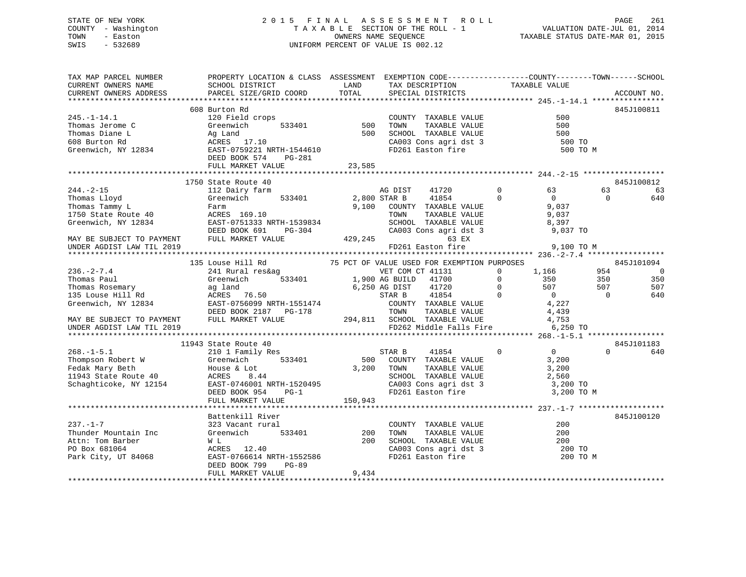## STATE OF NEW YORK 2 0 1 5 F I N A L A S S E S S M E N T R O L L PAGE 261 COUNTY - Washington T A X A B L E SECTION OF THE ROLL - 1 VALUATION DATE-JUL 01, 2014 TOWN - Easton OWNERS NAME SEQUENCE TAXABLE STATUS DATE-MAR 01, 2015 SWIS - 532689 UNIFORM PERCENT OF VALUE IS 002.12

| TAX MAP PARCEL NUMBER                                                                                                                                                                                                                                                                                                                                   | PROPERTY LOCATION & CLASS ASSESSMENT EXEMPTION CODE----------------COUNTY-------TOWN------SCHOOL |       |                               |          |                |              |
|---------------------------------------------------------------------------------------------------------------------------------------------------------------------------------------------------------------------------------------------------------------------------------------------------------------------------------------------------------|--------------------------------------------------------------------------------------------------|-------|-------------------------------|----------|----------------|--------------|
|                                                                                                                                                                                                                                                                                                                                                         |                                                                                                  |       | TAX DESCRIPTION TAXABLE VALUE |          |                |              |
|                                                                                                                                                                                                                                                                                                                                                         |                                                                                                  |       | SPECIAL DISTRICTS             |          |                | ACCOUNT NO.  |
|                                                                                                                                                                                                                                                                                                                                                         |                                                                                                  |       |                               |          |                |              |
|                                                                                                                                                                                                                                                                                                                                                         | 608 Burton Rd                                                                                    |       |                               |          |                | 845J100811   |
|                                                                                                                                                                                                                                                                                                                                                         |                                                                                                  |       |                               |          |                |              |
|                                                                                                                                                                                                                                                                                                                                                         |                                                                                                  |       |                               |          |                |              |
|                                                                                                                                                                                                                                                                                                                                                         |                                                                                                  |       |                               |          |                |              |
|                                                                                                                                                                                                                                                                                                                                                         |                                                                                                  |       |                               |          |                |              |
|                                                                                                                                                                                                                                                                                                                                                         |                                                                                                  |       |                               | 500 TO M |                |              |
|                                                                                                                                                                                                                                                                                                                                                         |                                                                                                  |       |                               |          |                |              |
|                                                                                                                                                                                                                                                                                                                                                         |                                                                                                  |       |                               |          |                |              |
|                                                                                                                                                                                                                                                                                                                                                         |                                                                                                  |       |                               |          |                |              |
|                                                                                                                                                                                                                                                                                                                                                         | 1750 State Route 40                                                                              |       |                               |          |                | 845J100812   |
|                                                                                                                                                                                                                                                                                                                                                         |                                                                                                  |       |                               |          | 63             | 63           |
|                                                                                                                                                                                                                                                                                                                                                         |                                                                                                  |       |                               |          | $\overline{0}$ | 640          |
|                                                                                                                                                                                                                                                                                                                                                         |                                                                                                  |       |                               |          |                |              |
|                                                                                                                                                                                                                                                                                                                                                         |                                                                                                  |       |                               |          |                |              |
|                                                                                                                                                                                                                                                                                                                                                         |                                                                                                  |       |                               |          |                |              |
|                                                                                                                                                                                                                                                                                                                                                         |                                                                                                  |       |                               |          |                |              |
| $\begin{tabular}{cccccc} 244.-2-15 & 1750 & 5120 & 5120 & 5120 & 5120 & 5120 & 5120 & 5120 & 5120 & 5120 & 5120 & 5120 & 5120 & 5120 & 5120 & 5120 & 5120 & 5120 & 5120 & 5120 & 5120 & 5120 & 5120 & 5120 & 5120 & 5120 & 5120 & 5120 & 5120 & 5120 & 5120 & 5120 & 5120 & 51$                                                                         |                                                                                                  |       |                               |          |                |              |
|                                                                                                                                                                                                                                                                                                                                                         |                                                                                                  |       |                               |          |                |              |
|                                                                                                                                                                                                                                                                                                                                                         |                                                                                                  |       |                               |          |                |              |
|                                                                                                                                                                                                                                                                                                                                                         |                                                                                                  |       |                               |          |                |              |
|                                                                                                                                                                                                                                                                                                                                                         |                                                                                                  |       |                               |          |                |              |
|                                                                                                                                                                                                                                                                                                                                                         |                                                                                                  |       |                               |          |                |              |
|                                                                                                                                                                                                                                                                                                                                                         |                                                                                                  |       |                               |          |                |              |
|                                                                                                                                                                                                                                                                                                                                                         |                                                                                                  |       |                               |          |                |              |
|                                                                                                                                                                                                                                                                                                                                                         |                                                                                                  |       |                               |          |                |              |
|                                                                                                                                                                                                                                                                                                                                                         |                                                                                                  |       |                               |          |                |              |
|                                                                                                                                                                                                                                                                                                                                                         |                                                                                                  |       |                               |          |                |              |
|                                                                                                                                                                                                                                                                                                                                                         |                                                                                                  |       |                               |          |                |              |
| $\begin{tabular}{lcccccc} \textbf{135 Louse Hill Rd} & 135 Louse Hill Rd & 75 PCT OF VRLD MARKET VALUE & 845-101183\\ \textbf{135 Louse Hill Rd} & 350-2 & 7.4 & 135-101184\\ \textbf{236.}-2-7.4 & 135-101184\\ \textbf{236.}-2-7.4 & 845-3101094\\ \textbf{237.501} & 241 Rural res\& 533401 & 75 PCT OF VRLD MET CON CT AILD MIST LAM DIST LAM TIL $ |                                                                                                  |       |                               |          |                |              |
|                                                                                                                                                                                                                                                                                                                                                         | 11943 State Route 40<br>state Route 40<br>210 1 Family Res                                       |       |                               |          |                | 845J101183   |
|                                                                                                                                                                                                                                                                                                                                                         |                                                                                                  |       |                               |          |                | $0 \t\t 640$ |
|                                                                                                                                                                                                                                                                                                                                                         |                                                                                                  |       |                               |          |                |              |
|                                                                                                                                                                                                                                                                                                                                                         |                                                                                                  |       |                               |          |                |              |
|                                                                                                                                                                                                                                                                                                                                                         |                                                                                                  |       |                               |          |                |              |
|                                                                                                                                                                                                                                                                                                                                                         |                                                                                                  |       |                               |          |                |              |
|                                                                                                                                                                                                                                                                                                                                                         |                                                                                                  |       |                               |          |                |              |
|                                                                                                                                                                                                                                                                                                                                                         |                                                                                                  |       |                               |          |                |              |
|                                                                                                                                                                                                                                                                                                                                                         |                                                                                                  |       |                               |          |                |              |
|                                                                                                                                                                                                                                                                                                                                                         | Battenkill River                                                                                 |       |                               |          |                | 845J100120   |
|                                                                                                                                                                                                                                                                                                                                                         |                                                                                                  |       |                               |          |                |              |
|                                                                                                                                                                                                                                                                                                                                                         |                                                                                                  |       |                               |          |                |              |
|                                                                                                                                                                                                                                                                                                                                                         |                                                                                                  |       |                               |          |                |              |
|                                                                                                                                                                                                                                                                                                                                                         |                                                                                                  |       |                               |          |                |              |
|                                                                                                                                                                                                                                                                                                                                                         |                                                                                                  |       |                               | 200 TO M |                |              |
| 237.-1-7<br>Thunder Mountain Inc 323 Vacant rural<br>Thunder Mountain Inc Greenwich 533401<br>200 TOWN TAXABLE VALUE 200<br>200 TOWN TAXABLE VALUE 200<br>200 SCHOOL TAXABLE VALUE 200<br>200 SCHOOL TAXABLE VALUE 200<br>200 TO SCHOOL TAXA                                                                                                            |                                                                                                  |       |                               |          |                |              |
|                                                                                                                                                                                                                                                                                                                                                         | FULL MARKET VALUE                                                                                | 9,434 |                               |          |                |              |
|                                                                                                                                                                                                                                                                                                                                                         |                                                                                                  |       |                               |          |                |              |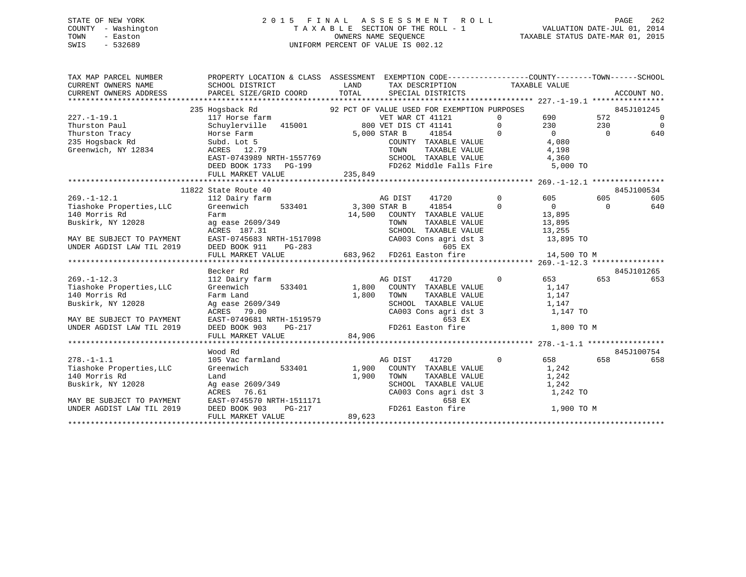## STATE OF NEW YORK 2 0 1 5 F I N A L A S S E S S M E N T R O L L PAGE 262 COUNTY - Washington T A X A B L E SECTION OF THE ROLL - 1 VALUATION DATE-JUL 01, 2014 TOWN - Easton **CONNERS NAME SEQUENCE** TAXABLE STATUS DATE-MAR 01, 2015 SWIS - 532689 UNIFORM PERCENT OF VALUE IS 002.12

| TAX MAP PARCEL NUMBER                    |                                                        | PROPERTY LOCATION & CLASS ASSESSMENT EXEMPTION CODE----------------COUNTY-------TOWN------SCHOOL                                                                                                                                     |                     |                  |
|------------------------------------------|--------------------------------------------------------|--------------------------------------------------------------------------------------------------------------------------------------------------------------------------------------------------------------------------------------|---------------------|------------------|
| CURRENT OWNERS NAME                      | SCHOOL DISTRICT                                        | LAND TAX DESCRIPTION TAXABLE VALUE                                                                                                                                                                                                   |                     |                  |
| CURRENT OWNERS ADDRESS                   |                                                        | PARCEL SIZE/GRID COORD TOTAL SPECIAL DISTRICTS                                                                                                                                                                                       |                     | ACCOUNT NO.      |
|                                          |                                                        |                                                                                                                                                                                                                                      |                     |                  |
|                                          |                                                        | 235 Hogsback Rd . 92 PCT OF VALUE USED FOR EXEMPTION PURPOSES                                                                                                                                                                        |                     | 845J101245       |
|                                          |                                                        |                                                                                                                                                                                                                                      |                     | $\overline{0}$   |
|                                          |                                                        |                                                                                                                                                                                                                                      |                     | $\overline{0}$   |
|                                          |                                                        |                                                                                                                                                                                                                                      |                     | 640              |
|                                          |                                                        |                                                                                                                                                                                                                                      |                     |                  |
| Greenwich, NY 12834                      |                                                        | NORES 12.79<br>EAST-0743989 NRTH-1557769 TOWN TAXABLE VALUE 4,198<br>EAST-0743989 NRTH-1557769 SCHOOL TAXABLE VALUE 4,360<br>DEED BOOK 1733 PG-199 FD262 Middle Falls Fire 5,000 TO                                                  |                     |                  |
|                                          |                                                        |                                                                                                                                                                                                                                      |                     |                  |
|                                          |                                                        |                                                                                                                                                                                                                                      |                     |                  |
|                                          | FULL MARKET VALUE                                      | 235,849                                                                                                                                                                                                                              |                     |                  |
|                                          |                                                        |                                                                                                                                                                                                                                      |                     |                  |
|                                          | 11822 State Route 40                                   |                                                                                                                                                                                                                                      |                     | 845J100534       |
| $269. - 1 - 12.1$                        | 112 Dairy farm                                         | AG DIST<br>Farm 53,300 STAR B 41854 0<br>Farm 14,500 COUNTY TAXABLE VALUE 13,895<br>ACRES 187.31 SCHOOL TAXABLE VALUE 13,895<br>EAST-0745683 NRTH-1517098 SCHOOL TAXABLE VALUE                                                       | 41720 0 605         | 605<br>605       |
|                                          | Tiashoke Properties, LLC Greenwich 533401 3,300 STAR B |                                                                                                                                                                                                                                      |                     | 640<br>$\bigcap$ |
| 140 Morris Rd<br>Buskirk, NY 12028 ag ea |                                                        |                                                                                                                                                                                                                                      |                     |                  |
|                                          |                                                        |                                                                                                                                                                                                                                      |                     |                  |
|                                          |                                                        |                                                                                                                                                                                                                                      |                     |                  |
|                                          |                                                        |                                                                                                                                                                                                                                      |                     |                  |
|                                          |                                                        |                                                                                                                                                                                                                                      |                     |                  |
|                                          |                                                        |                                                                                                                                                                                                                                      |                     |                  |
|                                          |                                                        | MAY BE SUBJECT TO PAYMENT<br>MAY BE SUBJECT TO PAYMENT EAST-0745683 NRTH-1517098 (CA003 Cons agri dst 3 13,895 TO<br>UNDER AGDIST LAW TIL 2019 DEED BOOK 911 PG-283 683,962 FD261 Easton fire 14,500 TO M<br>*********************** |                     |                  |
|                                          | Becker Rd                                              |                                                                                                                                                                                                                                      |                     | 845J101265       |
| $269. - 1 - 12.3$                        | 112 Dairy farm                                         | AG DIST<br>41720                                                                                                                                                                                                                     | 0 653 653           | 653              |
| Tiashoke Properties, LLC                 | Greenwich                                              | 533401 1,800 COUNTY TAXABLE VALUE                                                                                                                                                                                                    | 1,147               |                  |
| 140 Morris Rd                            |                                                        |                                                                                                                                                                                                                                      |                     |                  |
| Buskirk, NY 12028                        |                                                        | TOWN TAXABLE VALUE 1,147<br>SCHOOL TAXABLE VALUE 1,147<br>CA003 Cons agri dst 3 1,147 TO                                                                                                                                             |                     |                  |
|                                          |                                                        |                                                                                                                                                                                                                                      |                     |                  |
| MAY BE SUBJECT TO PAYMENT                |                                                        |                                                                                                                                                                                                                                      |                     |                  |
| UNDER AGDIST LAW TIL 2019                |                                                        |                                                                                                                                                                                                                                      | 1,800 TO M          |                  |
|                                          |                                                        |                                                                                                                                                                                                                                      |                     |                  |
|                                          |                                                        | Greenwich 53332<br>Farm Land 1,800 10mx -<br>Ag ease 2609/349 SCHOOL TAXABLE VALUE<br>ACRES 79.00 CA003 Cons agri dst 3<br>EAST-0749681 NRTH-1519579 653 EX<br>DEED BOOK 903 PG-217 84,906<br>TITT MARKET VALUE 34,906               |                     |                  |
|                                          | Wood Rd                                                |                                                                                                                                                                                                                                      |                     | 845J100754       |
| $278. - 1 - 1.1$                         | 105 Vac farmland                                       | AG DIST<br>41720                                                                                                                                                                                                                     | $0$ 658             | 658<br>658       |
| Tiashoke Properties, LLC                 | Greenwich                                              | 533401 1,900 COUNTY TAXABLE VALUE 1,242                                                                                                                                                                                              |                     |                  |
| 140 Morris Rd                            |                                                        |                                                                                                                                                                                                                                      | TAXABLE VALUE 1,242 |                  |
| Buskirk, NY 12028                        |                                                        | $\begin{tabular}{lllllllllll} \texttt{SCHOOL} & \texttt{TAXABLE VALUE} & & & 1,242 \\ \texttt{CA003 Cons agri dst 3} & & & 1,242 T0 \\ \end{tabular}$                                                                                |                     |                  |
|                                          |                                                        |                                                                                                                                                                                                                                      |                     |                  |
| MAY BE SUBJECT TO PAYMENT                |                                                        |                                                                                                                                                                                                                                      |                     |                  |
| UNDER AGDIST LAW TIL 2019                |                                                        |                                                                                                                                                                                                                                      | 1,900 TO M          |                  |
|                                          |                                                        | Greenwich<br>Land 1,900 TOWN<br>Ag ease 2609/349<br>ACRES 76.61 CA003 Cons agri dst 3<br>EAST-0745570 NRTH-1511171 658 EX<br>DEED BOOK 903 PG-217 FD261 Easton fire<br>THE MANUTE ROOK SON PG-217 89,623                             |                     |                  |
|                                          |                                                        |                                                                                                                                                                                                                                      |                     |                  |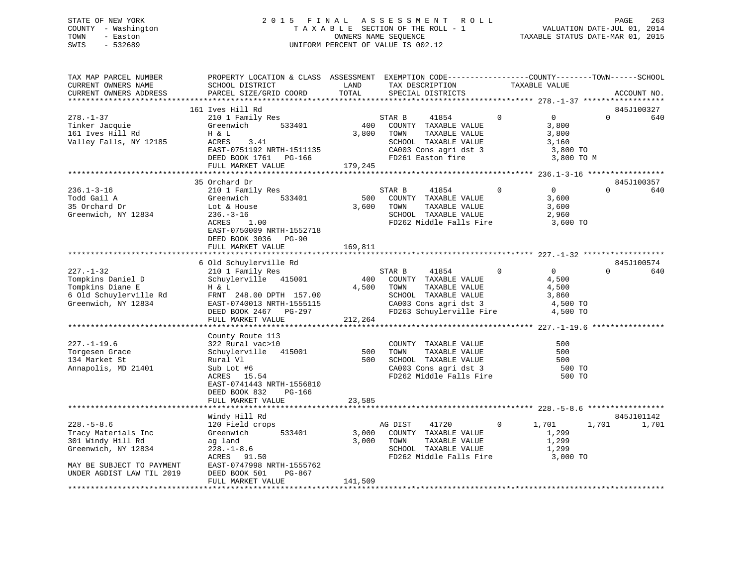## STATE OF NEW YORK 2 0 1 5 F I N A L A S S E S S M E N T R O L L PAGE 263 COUNTY - Washington T A X A B L E SECTION OF THE ROLL - 1 VALUATION DATE-JUL 01, 2014 TOWN - Easton OWNERS NAME SEQUENCE TAXABLE STATUS DATE-MAR 01, 2015 SWIS - 532689 UNIFORM PERCENT OF VALUE IS 002.12

| TAX MAP PARCEL NUMBER<br>CURRENT OWNERS NAME<br>CURRENT OWNERS ADDRESS                                                                        | PROPERTY LOCATION & CLASS ASSESSMENT EXEMPTION CODE---------------COUNTY-------TOWN-----SCHOOL<br>SCHOOL DISTRICT<br>PARCEL SIZE/GRID COORD                                           | LAND<br>TOTAL           | TAX DESCRIPTION<br>SPECIAL DISTRICTS                                                                                                                            |                | TAXABLE VALUE                                                       |          | ACCOUNT NO.       |
|-----------------------------------------------------------------------------------------------------------------------------------------------|---------------------------------------------------------------------------------------------------------------------------------------------------------------------------------------|-------------------------|-----------------------------------------------------------------------------------------------------------------------------------------------------------------|----------------|---------------------------------------------------------------------|----------|-------------------|
|                                                                                                                                               |                                                                                                                                                                                       |                         |                                                                                                                                                                 |                |                                                                     |          |                   |
| $278. - 1 - 37$<br>Tinker Jacquie<br>161 Ives Hill Rd<br>Valley Falls, NY 12185                                                               | 161 Ives Hill Rd<br>210 1 Family Res<br>Greenwich<br>533401<br>H & L<br>ACRES<br>3.41<br>EAST-0751192 NRTH-1511135<br>DEED BOOK 1761    PG-166<br>FULL MARKET VALUE                   | 400<br>3,800<br>179,245 | STAR B<br>41854<br>COUNTY TAXABLE VALUE<br>TAXABLE VALUE<br>TOWN<br>SCHOOL TAXABLE VALUE<br>CA003 Cons agri dst 3<br>FD261 Easton fire                          | $\Omega$       | $\overline{0}$<br>3,800<br>3,800<br>3,160<br>3,800 TO<br>3,800 TO M | $\Omega$ | 845J100327<br>640 |
|                                                                                                                                               |                                                                                                                                                                                       |                         |                                                                                                                                                                 |                |                                                                     |          |                   |
| $236.1 - 3 - 16$<br>Todd Gail A<br>35 Orchard Dr<br>Greenwich, NY 12834                                                                       | 35 Orchard Dr<br>210 1 Family Res<br>533401<br>Greenwich<br>Lot & House<br>$236. - 3 - 16$<br>ACRES<br>1.00<br>EAST-0750009 NRTH-1552718<br>DEED BOOK 3036 PG-90<br>FULL MARKET VALUE | 500<br>3,600<br>169,811 | STAR B<br>41854<br>COUNTY TAXABLE VALUE<br>TOWN<br>TAXABLE VALUE<br>SCHOOL TAXABLE VALUE<br>FD262 Middle Falls Fire 3,600 TO                                    | $\mathbf 0$    | $\overline{0}$<br>3,600<br>3,600<br>2,960                           | $\Omega$ | 845J100357<br>640 |
|                                                                                                                                               |                                                                                                                                                                                       |                         |                                                                                                                                                                 |                |                                                                     |          |                   |
| $227. - 1 - 32$<br>Tompkins Daniel D<br>Tompkins Diane E<br>6 Old Schuylerville Rd<br>Greenwich, NY 12834                                     | 6 Old Schuylerville Rd<br>210 1 Family Res<br>Schuylerville 415001<br>H & L<br>FRNT 248.00 DPTH 157.00<br>EAST-0740013 NRTH-1555115<br>DEED BOOK 2467 PG-297<br>FULL MARKET VALUE     | 400<br>4,500<br>212,264 | 41854<br>STAR B<br>COUNTY TAXABLE VALUE<br>TOWN<br>TAXABLE VALUE<br>SCHOOL TAXABLE VALUE<br>CA003 Cons agri dst 3<br>FD263 Schuylerville Fire                   | $\overline{0}$ | $\overline{0}$<br>4,500<br>4,500<br>3,860<br>4,500 TO<br>4,500 TO   | $\Omega$ | 845J100574<br>640 |
|                                                                                                                                               | County Route 113                                                                                                                                                                      |                         |                                                                                                                                                                 |                |                                                                     |          |                   |
| $227. - 1 - 19.6$<br>Torgesen Grace<br>134 Market St<br>Annapolis, MD 21401                                                                   | 322 Rural vac>10<br>Schuylerville 415001<br>Rural Vl<br>Sub Lot #6<br>ACRES 15.54<br>EAST-0741443 NRTH-1556810<br>DEED BOOK 832<br>PG-166                                             | 500                     | COUNTY TAXABLE VALUE<br>TOWN<br>TAXABLE VALUE<br><b>1000 1000 TAXABLE VALUE</b><br>500 SCHOOL TAXABLE VALUE<br>CA003 Cons agri dst 3<br>FD262 Middle Falls Fire |                | 500<br>500<br>500<br>500 TO<br>500 TO                               |          |                   |
|                                                                                                                                               | FULL MARKET VALUE                                                                                                                                                                     | 23,585                  |                                                                                                                                                                 |                |                                                                     |          |                   |
|                                                                                                                                               | Windy Hill Rd                                                                                                                                                                         |                         |                                                                                                                                                                 |                |                                                                     |          | 845J101142        |
| $228. - 5 - 8.6$<br>Tracy Materials Inc<br>301 Windy Hill Rd<br>Greenwich, NY 12834<br>MAY BE SUBJECT TO PAYMENT<br>UNDER AGDIST LAW TIL 2019 | 120 Field crops<br>533401<br>Greenwich<br>ag land<br>$228. - 1 - 8.6$<br>ACRES 91.50<br>EAST-0747998 NRTH-1555762<br>DEED BOOK 501<br>PG-867<br>FULL MARKET VALUE                     | 3,000<br>141,509        | 41720<br>AG DIST<br>COUNTY TAXABLE VALUE<br>3,000 TOWN<br>TAXABLE VALUE<br>SCHOOL TAXABLE VALUE<br>FD262 Middle Falls Fire                                      | $\overline{0}$ | 1,701<br>1,299<br>1,299<br>1,299<br>3,000 TO                        | 1,701    | 1,701             |
|                                                                                                                                               |                                                                                                                                                                                       |                         |                                                                                                                                                                 |                |                                                                     |          |                   |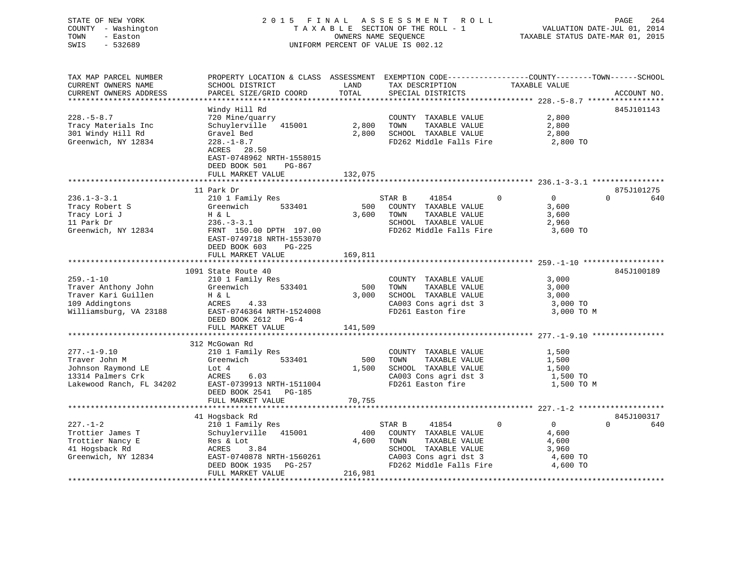STATE OF NEW YORK 2 0 1 5 F I N A L A S S E S S M E N T R O L L PAGE 264 COUNTY - Washington T A X A B L E SECTION OF THE ROLL - 1 VALUATION DATE-JUL 01, 2014 TOWN - Easton OWNERS NAME SEQUENCE TAXABLE STATUS DATE-MAR 01, 2015 SWIS - 532689 UNIFORM PERCENT OF VALUE IS 002.12

| TAX MAP PARCEL NUMBER<br>CURRENT OWNERS NAME<br>CURRENT OWNERS ADDRESS                                    | PROPERTY LOCATION & CLASS ASSESSMENT EXEMPTION CODE-----------------COUNTY-------TOWN------SCHOOL<br>SCHOOL DISTRICT<br>PARCEL SIZE/GRID COORD                                             | LAND<br>TOTAL           | TAX DESCRIPTION<br>SPECIAL DISTRICTS                                                                                                         | TAXABLE VALUE                                                                    | ACCOUNT NO.                   |
|-----------------------------------------------------------------------------------------------------------|--------------------------------------------------------------------------------------------------------------------------------------------------------------------------------------------|-------------------------|----------------------------------------------------------------------------------------------------------------------------------------------|----------------------------------------------------------------------------------|-------------------------------|
|                                                                                                           |                                                                                                                                                                                            |                         |                                                                                                                                              |                                                                                  |                               |
| $228. - 5 - 8.7$<br>Tracy Materials Inc<br>301 Windy Hill Rd<br>Greenwich, NY 12834                       | Windy Hill Rd<br>720 Mine/quarry<br>Schuylerville 415001<br>Gravel Bed<br>$228. - 1 - 8.7$<br>ACRES 28.50<br>EAST-0748962 NRTH-1558015<br>DEED BOOK 501<br>PG-867<br>FULL MARKET VALUE     | 2,800<br>132,075        | COUNTY TAXABLE VALUE<br>TOWN<br>TAXABLE VALUE<br>2,800 SCHOOL TAXABLE VALUE<br>FD262 Middle Falls Fire                                       | 2,800<br>2,800<br>2,800<br>2,800 TO                                              | 845J101143                    |
|                                                                                                           |                                                                                                                                                                                            |                         |                                                                                                                                              |                                                                                  |                               |
| $236.1 - 3 - 3.1$<br>Tracy Robert S<br>Tracy Lori J<br>11 Bark Dr<br>11 Park Dr<br>Greenwich, NY 12834    | 11 Park Dr<br>210 1 Family Res<br>Greenwich<br>533401<br>H & L<br>$236. - 3 - 3.1$<br>FRNT 150.00 DPTH 197.00<br>EAST-0749718 NRTH-1553070<br>DEED BOOK 603<br>PG-225<br>FULL MARKET VALUE | 500<br>3,600<br>169,811 | STAR B<br>41854<br>COUNTY TAXABLE VALUE<br>TOWN<br>TAXABLE VALUE<br>SCHOOL TAXABLE VALUE<br>FD262 Middle Falls Fire 3,600 TO                 | $\mathbf 0$<br>$\overline{0}$<br>3,600<br>3,600<br>2,960                         | 875J101275<br>$\Omega$<br>640 |
|                                                                                                           | 1091 State Route 40                                                                                                                                                                        |                         |                                                                                                                                              |                                                                                  | 845J100189                    |
| $259. - 1 - 10$<br>Traver Anthony John<br>Traver Kari Guillen<br>109 Addingtons<br>Williamsburg, VA 23188 | 210 1 Family Res<br>Greenwich<br>533401<br>H & L<br>ACRES<br>4.33<br>EAST-0746364 NRTH-1524008<br>DEED BOOK 2612 PG-4<br>FULL MARKET VALUE                                                 | 500<br>3,000<br>141,509 | COUNTY TAXABLE VALUE<br>TAXABLE VALUE<br>TOWN<br>SCHOOL TAXABLE VALUE<br>CA003 Cons agri dst 3<br>FD261 Easton fire                          | 3,000<br>3,000<br>3,000<br>3,000 TO<br>3,000 TO M                                |                               |
|                                                                                                           | 312 McGowan Rd                                                                                                                                                                             |                         |                                                                                                                                              |                                                                                  |                               |
| $277. - 1 - 9.10$<br>Traver John M<br>Johnson Raymond LE<br>13314 Palmers Crk<br>Lakewood Ranch, FL 34202 | 210 1 Family Res<br>Greenwich<br>533401<br>Lot 4<br>ACRES<br>6.03<br>EAST-0739913 NRTH-1511004<br>DEED BOOK 2541 PG-185<br>FULL MARKET VALUE                                               | 500<br>1,500<br>70,755  | COUNTY TAXABLE VALUE<br>TAXABLE VALUE<br>TOWN<br>SCHOOL TAXABLE VALUE<br>SCHOOL TAXABLE VALUE<br>CA003 Cons agri dst 3<br>FD261 Easton fire  | 1,500<br>1,500<br>1,500<br>1,500 TO<br>1,500 TO M                                |                               |
|                                                                                                           |                                                                                                                                                                                            |                         |                                                                                                                                              |                                                                                  |                               |
| $227. - 1 - 2$<br>Trottier James T<br>Trottier Nancy E<br>41 Hogsback Rd<br>Greenwich, NY 12834           | 41 Hogsback Rd<br>210 1 Family Res<br>Schuylerville 415001<br>Res & Lot<br>ACRES<br>3.84<br>EAST-0740878 NRTH-1560261<br>DEED BOOK 1935<br>PG-257<br>FULL MARKET VALUE                     | 400<br>4,600<br>216,981 | STAR B<br>41854<br>COUNTY TAXABLE VALUE<br>TOWN<br>TAXABLE VALUE<br>SCHOOL TAXABLE VALUE<br>CA003 Cons agri dst 3<br>FD262 Middle Falls Fire | $\mathbf 0$<br>$\overline{0}$<br>4,600<br>4,600<br>3,960<br>4,600 TO<br>4,600 TO | 845J100317<br>$\Omega$<br>640 |
|                                                                                                           |                                                                                                                                                                                            |                         |                                                                                                                                              |                                                                                  |                               |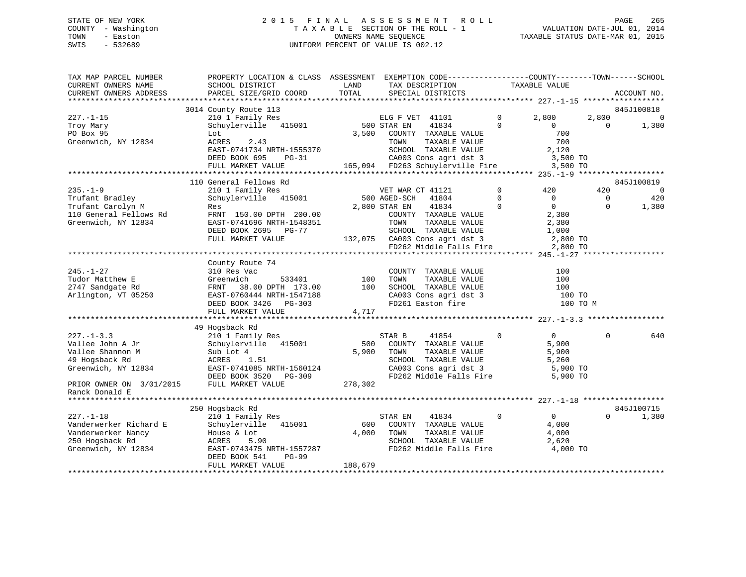## STATE OF NEW YORK 2 0 1 5 F I N A L A S S E S S M E N T R O L L PAGE 265 COUNTY - Washington T A X A B L E SECTION OF THE ROLL - 1 VALUATION DATE-JUL 01, 2014 TOWN - Easton OWNERS NAME SEQUENCE TAXABLE STATUS DATE-MAR 01, 2015 SWIS - 532689 UNIFORM PERCENT OF VALUE IS 002.12

| TAX MAP PARCEL NUMBER<br>CURRENT OWNERS NAME<br>CURRENT OWNERS ADDRESS | PROPERTY LOCATION & CLASS ASSESSMENT<br>SCHOOL DISTRICT<br>PARCEL SIZE/GRID COORD | LAND<br>TOTAL | EXEMPTION CODE-----------------COUNTY-------TOWN------SCHOOL<br>TAX DESCRIPTION<br>SPECIAL DISTRICTS |             | TAXABLE VALUE  |          | ACCOUNT NO. |
|------------------------------------------------------------------------|-----------------------------------------------------------------------------------|---------------|------------------------------------------------------------------------------------------------------|-------------|----------------|----------|-------------|
| ***********************                                                |                                                                                   |               |                                                                                                      |             |                |          |             |
|                                                                        | 3014 County Route 113                                                             |               |                                                                                                      |             |                |          | 845J100818  |
| $227. - 1 - 15$                                                        | 210 1 Family Res                                                                  |               | ELG F VET 41101                                                                                      | $\mathbf 0$ | 2,800          | 2,800    | $\mathbf 0$ |
| Troy Mary                                                              | Schuylerville 415001                                                              |               | 500 STAR EN<br>41834                                                                                 | $\mathbf 0$ | $\Omega$       | $\Omega$ | 1,380       |
| PO Box 95                                                              | Lot                                                                               | 3,500         | COUNTY TAXABLE VALUE                                                                                 |             | 700            |          |             |
| Greenwich, NY 12834                                                    | ACRES<br>2.43                                                                     |               | TOWN<br>TAXABLE VALUE                                                                                |             | 700            |          |             |
|                                                                        | EAST-0741734 NRTH-1555370                                                         |               | SCHOOL TAXABLE VALUE                                                                                 |             | 2,120          |          |             |
|                                                                        | DEED BOOK 695<br>$PG-31$                                                          |               | CA003 Cons agri dst 3                                                                                |             | 3,500 TO       |          |             |
|                                                                        | FULL MARKET VALUE<br>*************************************                        |               | 165,094 FD263 Schuylerville Fire                                                                     |             | 3,500 TO       |          |             |
|                                                                        | 110 General Fellows Rd                                                            |               |                                                                                                      |             |                |          | 845J100819  |
| $235. - 1 - 9$                                                         | 210 1 Family Res                                                                  |               | VET WAR CT 41121                                                                                     | 0           | 420            | 420      | 0           |
| Trufant Bradley                                                        | Schuylerville 415001                                                              |               | 500 AGED-SCH<br>41804                                                                                | $\Omega$    | $\mathbf{0}$   | $\Omega$ | 420         |
| Trufant Carolyn M                                                      | Res                                                                               |               | 41834<br>2,800 STAR EN                                                                               | $\mathbf 0$ | $\mathbf 0$    | $\Omega$ | 1,380       |
| 110 General Fellows Rd                                                 | FRNT 150.00 DPTH 200.00                                                           |               | COUNTY TAXABLE VALUE                                                                                 |             | 2,380          |          |             |
| Greenwich, NY 12834                                                    | EAST-0741696 NRTH-1548351                                                         |               | TOWN<br>TAXABLE VALUE                                                                                |             | 2,380          |          |             |
|                                                                        | DEED BOOK 2695<br>$PG-77$                                                         |               | SCHOOL TAXABLE VALUE                                                                                 |             | 1,000          |          |             |
|                                                                        | FULL MARKET VALUE                                                                 |               | 132,075 CA003 Cons agri dst 3                                                                        |             | 2,800 TO       |          |             |
|                                                                        |                                                                                   |               | FD262 Middle Falls Fire                                                                              |             | 2,800 TO       |          |             |
|                                                                        |                                                                                   |               |                                                                                                      |             |                |          |             |
|                                                                        | County Route 74                                                                   |               |                                                                                                      |             |                |          |             |
| $245. - 1 - 27$                                                        | 310 Res Vac                                                                       |               | COUNTY TAXABLE VALUE                                                                                 |             | 100            |          |             |
| Tudor Matthew E                                                        | Greenwich<br>533401                                                               | 100           | TAXABLE VALUE<br>TOWN                                                                                |             | 100            |          |             |
| 2747 Sandgate Rd                                                       | FRNT<br>38.00 DPTH 173.00                                                         | 100           | SCHOOL TAXABLE VALUE                                                                                 |             | 100            |          |             |
| Arlington, VT 05250                                                    | EAST-0760444 NRTH-1547188                                                         |               | CA003 Cons agri dst 3                                                                                |             | 100 TO         |          |             |
|                                                                        | DEED BOOK 3426<br>PG-303                                                          |               | FD261 Easton fire                                                                                    |             | 100 TO M       |          |             |
|                                                                        | FULL MARKET VALUE                                                                 | 4,717         |                                                                                                      |             |                |          |             |
|                                                                        |                                                                                   |               |                                                                                                      |             |                |          |             |
| $227. - 1 - 3.3$                                                       | 49 Hogsback Rd<br>210 1 Family Res                                                |               | STAR B<br>41854                                                                                      | $\Omega$    | $\overline{0}$ | $\Omega$ | 640         |
| Vallee John A Jr                                                       | 415001<br>Schuylerville                                                           | 500           | COUNTY TAXABLE VALUE                                                                                 |             | 5,900          |          |             |
| Vallee Shannon M                                                       | Sub Lot 4                                                                         | 5,900         | TOWN<br>TAXABLE VALUE                                                                                |             | 5,900          |          |             |
| 49 Hogsback Rd                                                         | ACRES<br>1.51                                                                     |               | SCHOOL TAXABLE VALUE                                                                                 |             | 5,260          |          |             |
| Greenwich, NY 12834                                                    | EAST-0741085 NRTH-1560124                                                         |               | CA003 Cons agri dst 3                                                                                |             | 5,900 TO       |          |             |
|                                                                        | DEED BOOK 3520<br>PG-309                                                          |               | FD262 Middle Falls Fire                                                                              |             | 5,900 TO       |          |             |
| PRIOR OWNER ON 3/01/2015                                               | FULL MARKET VALUE                                                                 | 278,302       |                                                                                                      |             |                |          |             |
| Ranck Donald E                                                         |                                                                                   |               |                                                                                                      |             |                |          |             |
| ******************                                                     |                                                                                   |               |                                                                                                      |             |                |          |             |
|                                                                        | 250 Hogsback Rd                                                                   |               |                                                                                                      |             |                |          | 845J100715  |
| $227. - 1 - 18$                                                        | 210 1 Family Res                                                                  |               | 41834<br>STAR EN                                                                                     | $\mathbf 0$ | $\overline{0}$ | $\Omega$ | 1,380       |
| Vanderwerker Richard E                                                 | Schuylerville<br>415001                                                           | 600           | COUNTY TAXABLE VALUE                                                                                 |             | 4,000          |          |             |
| Vanderwerker Nancy                                                     | House & Lot                                                                       | 4,000         | TOWN<br>TAXABLE VALUE                                                                                |             | 4,000          |          |             |
| 250 Hogsback Rd                                                        | ACRES<br>5.90                                                                     |               | SCHOOL TAXABLE VALUE                                                                                 |             | 2,620          |          |             |
| Greenwich, NY 12834                                                    | EAST-0743475 NRTH-1557287                                                         |               | FD262 Middle Falls Fire                                                                              |             | 4,000 TO       |          |             |
|                                                                        | DEED BOOK 541<br><b>PG-99</b>                                                     |               |                                                                                                      |             |                |          |             |
|                                                                        | FULL MARKET VALUE                                                                 | 188,679       |                                                                                                      |             |                |          |             |
|                                                                        |                                                                                   |               |                                                                                                      |             |                |          |             |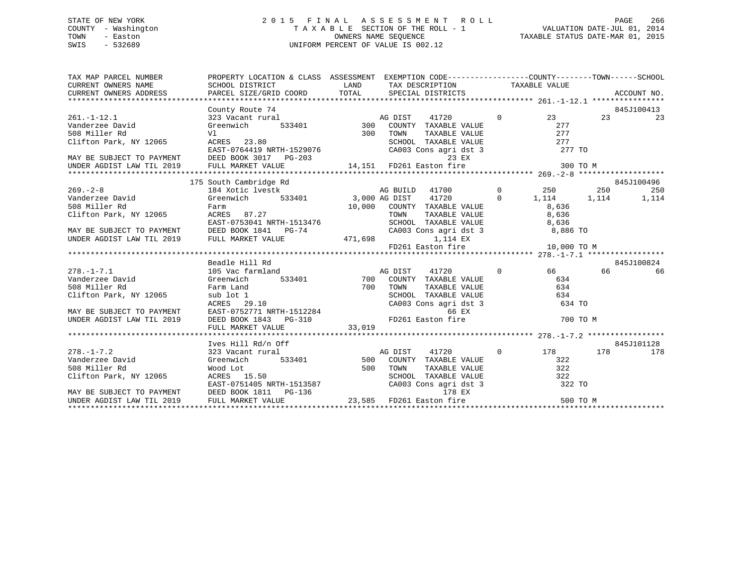## STATE OF NEW YORK 2 0 1 5 F I N A L A S S E S S M E N T R O L L PAGE 266 COUNTY - Washington T A X A B L E SECTION OF THE ROLL - 1 VALUATION DATE-JUL 01, 2014 TOWN - Easton OWNERS NAME SEQUENCE TAXABLE STATUS DATE-MAR 01, 2015 SWIS - 532689 UNIFORM PERCENT OF VALUE IS 002.12

| $\begin{tabular}{lllllllllll} \textsc{TAX} \textsc{MAP} \textsc{PACEL} \textsc{ NUMBER} & \textsc{PROPERTIES} \textsc{PROPERTIES} \textsc{SCETISTC} \textsc{SCESMENT} & \textsc{SSESSMENT} \textsc{EXEMPTION} \textsc{CDEF---------------COUNITY--------COUNY---------SCHOOL} \\ \textsc{CURRENT} \textsc{OMNERS} \textsc{NAME} & \textsc{SCHOOL} \textsc{DISTCT} & \textsc{LAND} & \textsc{TAX} \textsc{DESCRIPTION} & \textsc{TAXABLE} \textsc{VALUE} \\ \textsc{CURRENT} \$ |  |  |              |     |            |
|--------------------------------------------------------------------------------------------------------------------------------------------------------------------------------------------------------------------------------------------------------------------------------------------------------------------------------------------------------------------------------------------------------------------------------------------------------------------------------|--|--|--------------|-----|------------|
| County Route 74                                                                                                                                                                                                                                                                                                                                                                                                                                                                |  |  |              |     | 845J100413 |
|                                                                                                                                                                                                                                                                                                                                                                                                                                                                                |  |  | $rac{8}{23}$ |     |            |
|                                                                                                                                                                                                                                                                                                                                                                                                                                                                                |  |  |              |     |            |
|                                                                                                                                                                                                                                                                                                                                                                                                                                                                                |  |  |              |     |            |
|                                                                                                                                                                                                                                                                                                                                                                                                                                                                                |  |  |              |     |            |
|                                                                                                                                                                                                                                                                                                                                                                                                                                                                                |  |  |              |     |            |
|                                                                                                                                                                                                                                                                                                                                                                                                                                                                                |  |  |              |     |            |
|                                                                                                                                                                                                                                                                                                                                                                                                                                                                                |  |  |              |     |            |
|                                                                                                                                                                                                                                                                                                                                                                                                                                                                                |  |  |              |     |            |
| 175 South Cambridge Rd                                                                                                                                                                                                                                                                                                                                                                                                                                                         |  |  |              |     | 845J100496 |
| 1.5 300.1 Calcul Calcul Calcul Calcul Calcul Calcul Calcul Calcul Calcul Calcul Calcul Calcul Calcul Calcul Cal<br>Vanderzee David (Steenwich 533401 508 Miller Rd Farm 10,000 AG DIST 41720 0 1,114 1,114 1,114<br>Clifton Park,                                                                                                                                                                                                                                              |  |  |              |     |            |
|                                                                                                                                                                                                                                                                                                                                                                                                                                                                                |  |  |              |     |            |
|                                                                                                                                                                                                                                                                                                                                                                                                                                                                                |  |  |              |     |            |
|                                                                                                                                                                                                                                                                                                                                                                                                                                                                                |  |  |              |     |            |
|                                                                                                                                                                                                                                                                                                                                                                                                                                                                                |  |  |              |     |            |
|                                                                                                                                                                                                                                                                                                                                                                                                                                                                                |  |  |              |     |            |
|                                                                                                                                                                                                                                                                                                                                                                                                                                                                                |  |  |              |     |            |
| CIITON PARK, NY 12005 ACRES 07.27<br>EAST-0753041 NRTH-1513476 SCHOOL TAXABLE VALUE 8,636<br>MAY BE SUBJECT TO PAYMENT DEED BOOK 1841 PG-74 CA003 Cons agri dst 3 8,886 TO<br>UNDER AGDIST LAW TIL 2019 FULL MARKET VALUE 471,698 1,                                                                                                                                                                                                                                           |  |  |              |     |            |
| Beadle Hill Rd                                                                                                                                                                                                                                                                                                                                                                                                                                                                 |  |  |              |     | 845J100824 |
|                                                                                                                                                                                                                                                                                                                                                                                                                                                                                |  |  |              |     |            |
|                                                                                                                                                                                                                                                                                                                                                                                                                                                                                |  |  |              |     |            |
|                                                                                                                                                                                                                                                                                                                                                                                                                                                                                |  |  |              |     |            |
|                                                                                                                                                                                                                                                                                                                                                                                                                                                                                |  |  |              |     |            |
|                                                                                                                                                                                                                                                                                                                                                                                                                                                                                |  |  |              |     |            |
|                                                                                                                                                                                                                                                                                                                                                                                                                                                                                |  |  |              |     |            |
|                                                                                                                                                                                                                                                                                                                                                                                                                                                                                |  |  |              |     |            |
|                                                                                                                                                                                                                                                                                                                                                                                                                                                                                |  |  |              |     |            |
|                                                                                                                                                                                                                                                                                                                                                                                                                                                                                |  |  |              |     |            |
| Ives Hill Rd/n Off                                                                                                                                                                                                                                                                                                                                                                                                                                                             |  |  |              |     | 845J101128 |
|                                                                                                                                                                                                                                                                                                                                                                                                                                                                                |  |  |              | 178 | 178        |
|                                                                                                                                                                                                                                                                                                                                                                                                                                                                                |  |  |              |     |            |
|                                                                                                                                                                                                                                                                                                                                                                                                                                                                                |  |  |              |     |            |
|                                                                                                                                                                                                                                                                                                                                                                                                                                                                                |  |  |              |     |            |
|                                                                                                                                                                                                                                                                                                                                                                                                                                                                                |  |  |              |     |            |
|                                                                                                                                                                                                                                                                                                                                                                                                                                                                                |  |  |              |     |            |
|                                                                                                                                                                                                                                                                                                                                                                                                                                                                                |  |  | 500 TO M     |     |            |
|                                                                                                                                                                                                                                                                                                                                                                                                                                                                                |  |  |              |     |            |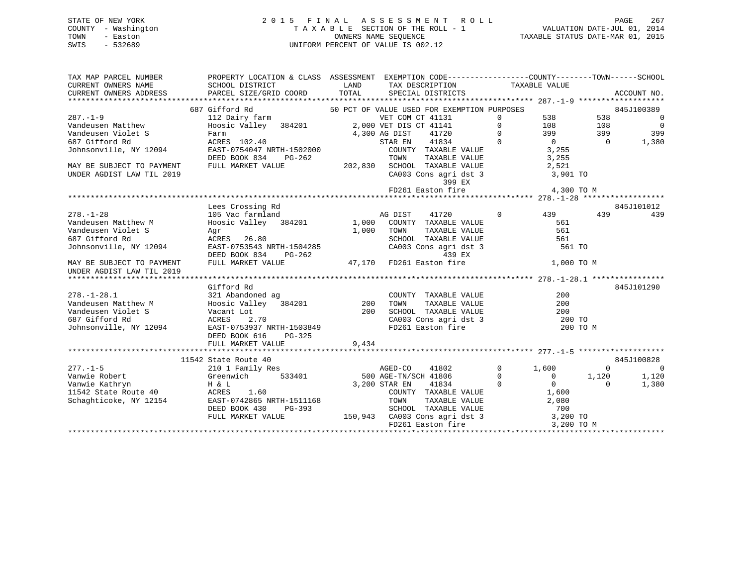#### STATE OF NEW YORK 2 0 1 5 F I N A L A S S E S S M E N T R O L L PAGE 267COUNTY - Washington T A X A B L E SECTION OF THE ROLL - 1 TOWN - Easton **CONNERS NAME SEQUENCE** TAXABLE STATUS DATE-MAR 01, 2015 SWIS - 532689 UNIFORM PERCENT OF VALUE IS 002.12

VALUATION DATE-JUL 01, 2014

| TOTAL<br>CURRENT OWNERS ADDRESS<br>PARCEL SIZE/GRID COORD<br>SPECIAL DISTRICTS<br>687 Gifford Rd<br>50 PCT OF VALUE USED FOR EXEMPTION PURPOSES<br>845J100389<br>$287. - 1 - 9$<br>VET COM CT 41131<br>538<br>538<br>112 Dairy farm<br>$\mathbf 0$<br>Hoosic Valley 384201 2,000 VET DIS CT 41141<br>$\Omega$<br>108<br>Vandeusen Matthew<br>108<br>399<br>399<br>Vandeusen Violet S<br>4,300 AG DIST<br>41720<br>$\Omega$<br>Farm<br>$\overline{0}$<br>1,380<br>687 Gifford Rd<br>ACRES 102.40<br>41834<br>$\Omega$<br>$\overline{0}$<br>STAR EN<br>Johnsonville, NY 12094<br>EAST-0754047 NRTH-1502000<br>COUNTY TAXABLE VALUE<br>3,255<br>DEED BOOK 834<br>PG-262<br>TOWN<br>TAXABLE VALUE<br>3,255<br>202,830<br>SCHOOL TAXABLE VALUE<br>2,521<br>MAY BE SUBJECT TO PAYMENT<br>FULL MARKET VALUE<br>UNDER AGDIST LAW TIL 2019<br>CA003 Cons agri dst 3<br>3,901 TO<br>399 EX<br>FD261 Easton fire<br>4,300 TO M<br>Lees Crossing Rd<br>845J101012<br>$278. - 1 - 28$<br>$\mathbf{0}$<br>439<br>105 Vac farmland<br>AG DIST<br>41720<br>439 | PROPERTY LOCATION & CLASS ASSESSMENT EXEMPTION CODE---------------COUNTY-------TOWN------SCHOOL<br>ACCOUNT NO. |
|------------------------------------------------------------------------------------------------------------------------------------------------------------------------------------------------------------------------------------------------------------------------------------------------------------------------------------------------------------------------------------------------------------------------------------------------------------------------------------------------------------------------------------------------------------------------------------------------------------------------------------------------------------------------------------------------------------------------------------------------------------------------------------------------------------------------------------------------------------------------------------------------------------------------------------------------------------------------------------------------------------------------------------------------|----------------------------------------------------------------------------------------------------------------|
|                                                                                                                                                                                                                                                                                                                                                                                                                                                                                                                                                                                                                                                                                                                                                                                                                                                                                                                                                                                                                                                |                                                                                                                |
|                                                                                                                                                                                                                                                                                                                                                                                                                                                                                                                                                                                                                                                                                                                                                                                                                                                                                                                                                                                                                                                |                                                                                                                |
|                                                                                                                                                                                                                                                                                                                                                                                                                                                                                                                                                                                                                                                                                                                                                                                                                                                                                                                                                                                                                                                | $\overline{0}$                                                                                                 |
|                                                                                                                                                                                                                                                                                                                                                                                                                                                                                                                                                                                                                                                                                                                                                                                                                                                                                                                                                                                                                                                | $\overline{0}$                                                                                                 |
|                                                                                                                                                                                                                                                                                                                                                                                                                                                                                                                                                                                                                                                                                                                                                                                                                                                                                                                                                                                                                                                | 399                                                                                                            |
|                                                                                                                                                                                                                                                                                                                                                                                                                                                                                                                                                                                                                                                                                                                                                                                                                                                                                                                                                                                                                                                |                                                                                                                |
|                                                                                                                                                                                                                                                                                                                                                                                                                                                                                                                                                                                                                                                                                                                                                                                                                                                                                                                                                                                                                                                |                                                                                                                |
|                                                                                                                                                                                                                                                                                                                                                                                                                                                                                                                                                                                                                                                                                                                                                                                                                                                                                                                                                                                                                                                |                                                                                                                |
|                                                                                                                                                                                                                                                                                                                                                                                                                                                                                                                                                                                                                                                                                                                                                                                                                                                                                                                                                                                                                                                |                                                                                                                |
|                                                                                                                                                                                                                                                                                                                                                                                                                                                                                                                                                                                                                                                                                                                                                                                                                                                                                                                                                                                                                                                |                                                                                                                |
|                                                                                                                                                                                                                                                                                                                                                                                                                                                                                                                                                                                                                                                                                                                                                                                                                                                                                                                                                                                                                                                |                                                                                                                |
|                                                                                                                                                                                                                                                                                                                                                                                                                                                                                                                                                                                                                                                                                                                                                                                                                                                                                                                                                                                                                                                |                                                                                                                |
|                                                                                                                                                                                                                                                                                                                                                                                                                                                                                                                                                                                                                                                                                                                                                                                                                                                                                                                                                                                                                                                |                                                                                                                |
|                                                                                                                                                                                                                                                                                                                                                                                                                                                                                                                                                                                                                                                                                                                                                                                                                                                                                                                                                                                                                                                | 439                                                                                                            |
| Hoosic Valley 384201 1,000<br>Vandeusen Matthew M<br>COUNTY TAXABLE VALUE<br>561                                                                                                                                                                                                                                                                                                                                                                                                                                                                                                                                                                                                                                                                                                                                                                                                                                                                                                                                                               |                                                                                                                |
| 561<br>Vandeusen Violet S<br>1,000<br>TAXABLE VALUE<br>TOWN<br>Aqr                                                                                                                                                                                                                                                                                                                                                                                                                                                                                                                                                                                                                                                                                                                                                                                                                                                                                                                                                                             |                                                                                                                |
| 687 Gifford Rd<br>ACRES 26.80<br>SCHOOL TAXABLE VALUE<br>561                                                                                                                                                                                                                                                                                                                                                                                                                                                                                                                                                                                                                                                                                                                                                                                                                                                                                                                                                                                   |                                                                                                                |
| Johnsonville, NY 12094<br>CA003 Cons agri dst 3<br>EAST-0753543 NRTH-1504285<br>561 TO                                                                                                                                                                                                                                                                                                                                                                                                                                                                                                                                                                                                                                                                                                                                                                                                                                                                                                                                                         |                                                                                                                |
| DEED BOOK 834<br>439 EX<br>PG-262                                                                                                                                                                                                                                                                                                                                                                                                                                                                                                                                                                                                                                                                                                                                                                                                                                                                                                                                                                                                              |                                                                                                                |
| 47,170 FD261 Easton fire<br>FULL MARKET VALUE<br>1,000 TO M<br>MAY BE SUBJECT TO PAYMENT<br>UNDER AGDIST LAW TIL 2019                                                                                                                                                                                                                                                                                                                                                                                                                                                                                                                                                                                                                                                                                                                                                                                                                                                                                                                          |                                                                                                                |
|                                                                                                                                                                                                                                                                                                                                                                                                                                                                                                                                                                                                                                                                                                                                                                                                                                                                                                                                                                                                                                                |                                                                                                                |
| 845J101290<br>Gifford Rd                                                                                                                                                                                                                                                                                                                                                                                                                                                                                                                                                                                                                                                                                                                                                                                                                                                                                                                                                                                                                       |                                                                                                                |
| $278. - 1 - 28.1$<br>COUNTY TAXABLE VALUE<br>200<br>321 Abandoned ag                                                                                                                                                                                                                                                                                                                                                                                                                                                                                                                                                                                                                                                                                                                                                                                                                                                                                                                                                                           |                                                                                                                |
| Hoosic Valley 384201<br>Vacant Lot<br>Vandeusen Matthew M<br>200<br>TOWN<br>TAXABLE VALUE<br>200                                                                                                                                                                                                                                                                                                                                                                                                                                                                                                                                                                                                                                                                                                                                                                                                                                                                                                                                               |                                                                                                                |
| 200<br>Vandeusen Violet S<br>SCHOOL TAXABLE VALUE<br>200                                                                                                                                                                                                                                                                                                                                                                                                                                                                                                                                                                                                                                                                                                                                                                                                                                                                                                                                                                                       |                                                                                                                |
| CA003 Cons agri dst 3 200 TO<br>687 Gifford Rd<br>2.70<br>ACRES                                                                                                                                                                                                                                                                                                                                                                                                                                                                                                                                                                                                                                                                                                                                                                                                                                                                                                                                                                                |                                                                                                                |
| FD261 Easton fire<br>Johnsonville, NY 12094<br>EAST-0753937 NRTH-1503849<br>200 TO M                                                                                                                                                                                                                                                                                                                                                                                                                                                                                                                                                                                                                                                                                                                                                                                                                                                                                                                                                           |                                                                                                                |
| DEED BOOK 616<br>PG-325                                                                                                                                                                                                                                                                                                                                                                                                                                                                                                                                                                                                                                                                                                                                                                                                                                                                                                                                                                                                                        |                                                                                                                |
| 9,434<br>FULL MARKET VALUE                                                                                                                                                                                                                                                                                                                                                                                                                                                                                                                                                                                                                                                                                                                                                                                                                                                                                                                                                                                                                     |                                                                                                                |
|                                                                                                                                                                                                                                                                                                                                                                                                                                                                                                                                                                                                                                                                                                                                                                                                                                                                                                                                                                                                                                                |                                                                                                                |
| 11542 State Route 40<br>845J100828                                                                                                                                                                                                                                                                                                                                                                                                                                                                                                                                                                                                                                                                                                                                                                                                                                                                                                                                                                                                             |                                                                                                                |
| $\mathbf{0}$<br>$277. - 1 - 5$<br>AGED-CO<br>41802<br>1,600<br>0<br>210 1 Family Res                                                                                                                                                                                                                                                                                                                                                                                                                                                                                                                                                                                                                                                                                                                                                                                                                                                                                                                                                           | 0                                                                                                              |
| Vanwie Robert<br>Greenwich<br>533401<br>500 AGE-TN/SCH 41806<br>$\mathbf 0$<br>$\mathbf 0$<br>1,120<br>1,120                                                                                                                                                                                                                                                                                                                                                                                                                                                                                                                                                                                                                                                                                                                                                                                                                                                                                                                                   |                                                                                                                |
| $\overline{0}$<br>Vanwie Kathryn<br>H & L<br>3,200 STAR EN<br>41834<br>$\Omega$<br>1,380<br>$\Omega$                                                                                                                                                                                                                                                                                                                                                                                                                                                                                                                                                                                                                                                                                                                                                                                                                                                                                                                                           |                                                                                                                |
| ACRES 1.60<br>54 EAST-0742865 NRTH-1511168<br>11542 State Route 40<br>COUNTY TAXABLE VALUE<br>1,600                                                                                                                                                                                                                                                                                                                                                                                                                                                                                                                                                                                                                                                                                                                                                                                                                                                                                                                                            |                                                                                                                |
| Schaghticoke, NY 12154<br>TOWN<br>TAXABLE VALUE<br>2,080                                                                                                                                                                                                                                                                                                                                                                                                                                                                                                                                                                                                                                                                                                                                                                                                                                                                                                                                                                                       |                                                                                                                |
| DEED BOOK 430<br>PG-393<br>SCHOOL TAXABLE VALUE<br>700                                                                                                                                                                                                                                                                                                                                                                                                                                                                                                                                                                                                                                                                                                                                                                                                                                                                                                                                                                                         |                                                                                                                |
| 150,943 CA003 Cons agri dst 3<br>FULL MARKET VALUE<br>3,200 TO                                                                                                                                                                                                                                                                                                                                                                                                                                                                                                                                                                                                                                                                                                                                                                                                                                                                                                                                                                                 |                                                                                                                |
| FD261 Easton fire<br>3,200 TO M                                                                                                                                                                                                                                                                                                                                                                                                                                                                                                                                                                                                                                                                                                                                                                                                                                                                                                                                                                                                                |                                                                                                                |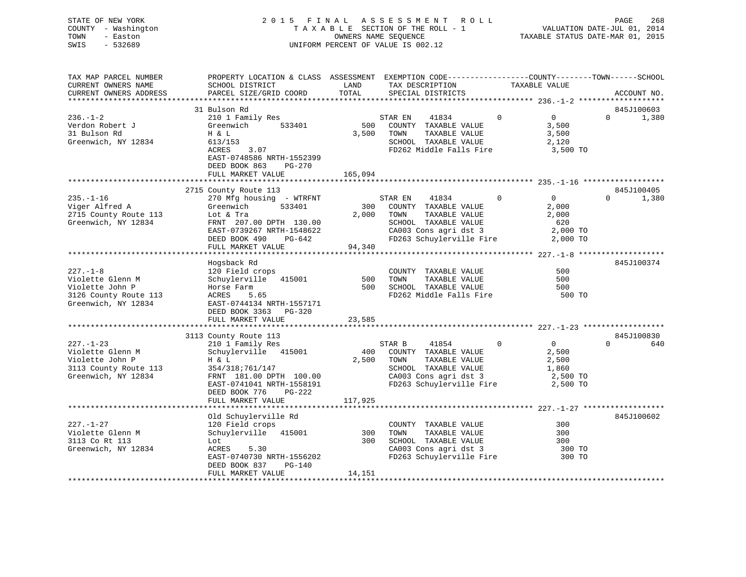STATE OF NEW YORK 2 0 1 5 F I N A L A S S E S S M E N T R O L L PAGE 268 COUNTY - Washington T A X A B L E SECTION OF THE ROLL - 1 VALUATION DATE-JUL 01, 2014 TOWN - Easton OWNERS NAME SEQUENCE TAXABLE STATUS DATE-MAR 01, 2015 SWIS - 532689 UNIFORM PERCENT OF VALUE IS 002.12

| TAX MAP PARCEL NUMBER<br>CURRENT OWNERS NAME | PROPERTY LOCATION & CLASS ASSESSMENT EXEMPTION CODE----------------COUNTY-------TOWN-----SCHOOL<br>SCHOOL DISTRICT | LAND    | TAX DESCRIPTION |                                                 |                | TAXABLE VALUE  |          |             |
|----------------------------------------------|--------------------------------------------------------------------------------------------------------------------|---------|-----------------|-------------------------------------------------|----------------|----------------|----------|-------------|
| CURRENT OWNERS ADDRESS                       | PARCEL SIZE/GRID COORD                                                                                             | TOTAL   |                 | SPECIAL DISTRICTS                               |                |                |          | ACCOUNT NO. |
|                                              |                                                                                                                    |         |                 |                                                 |                |                |          |             |
|                                              | 31 Bulson Rd                                                                                                       |         |                 |                                                 |                |                |          | 845J100603  |
| $236. - 1 - 2$                               | 210 1 Family Res                                                                                                   |         | STAR EN         | 41834                                           | $\overline{0}$ | $\overline{0}$ | $\Omega$ | 1,380       |
| Verdon Robert J                              | 533401<br>Greenwich                                                                                                | 500     |                 | COUNTY TAXABLE VALUE                            |                | 3,500          |          |             |
| 31 Bulson Rd                                 | H & L                                                                                                              | 3,500   | TOWN            | TAXABLE VALUE                                   |                | 3,500          |          |             |
| Greenwich, NY 12834                          | 613/153                                                                                                            |         |                 | SCHOOL TAXABLE VALUE                            |                | 2,120          |          |             |
|                                              | ACRES<br>3.07                                                                                                      |         |                 | FD262 Middle Falls Fire                         |                | 3,500 TO       |          |             |
|                                              | EAST-0748586 NRTH-1552399                                                                                          |         |                 |                                                 |                |                |          |             |
|                                              | DEED BOOK 863<br>PG-270                                                                                            |         |                 |                                                 |                |                |          |             |
|                                              | FULL MARKET VALUE                                                                                                  | 165,094 |                 |                                                 |                |                |          |             |
|                                              |                                                                                                                    |         |                 |                                                 |                |                |          |             |
|                                              | 2715 County Route 113                                                                                              |         |                 |                                                 |                |                |          | 845J100405  |
| $235. - 1 - 16$                              | 270 Mfg housing - WTRFNT                                                                                           |         | STAR EN         | 41834                                           | $\circ$        | $\overline{0}$ | $\Omega$ | 1,380       |
| Viger Alfred A                               | Greenwich<br>533401                                                                                                |         |                 | 300 COUNTY TAXABLE VALUE                        |                | 2,000          |          |             |
| 2715 County Route 113                        | Lot & Tra                                                                                                          |         | 2,000 TOWN      | TAXABLE VALUE                                   |                | 2,000          |          |             |
| Greenwich, NY 12834                          | FRNT 207.00 DPTH 130.00                                                                                            |         |                 | SCHOOL TAXABLE VALUE                            |                | 620            |          |             |
|                                              | EAST-0739267 NRTH-1548622                                                                                          |         |                 | CA003 Cons agri dst 3                           |                | 2,000 TO       |          |             |
|                                              | DEED BOOK 490<br>PG-642                                                                                            |         |                 | FD263 Schuylerville Fire 2,000 TO               |                |                |          |             |
|                                              | FULL MARKET VALUE                                                                                                  | 94,340  |                 |                                                 |                |                |          |             |
|                                              |                                                                                                                    |         |                 |                                                 |                |                |          |             |
|                                              | Hogsback Rd                                                                                                        |         |                 |                                                 |                |                |          | 845J100374  |
| $227. - 1 - 8$                               | 120 Field crops                                                                                                    |         |                 | COUNTY TAXABLE VALUE                            |                | 500            |          |             |
| Violette Glenn M                             | Schuylerville 415001                                                                                               | 500     | TOWN            | TAXABLE VALUE                                   |                | 500            |          |             |
| Violette John P                              | Horse Farm                                                                                                         | 500     |                 | SCHOOL TAXABLE VALUE                            |                | 500            |          |             |
| 3126 County Route 113                        | ACRES<br>5.65                                                                                                      |         |                 | SCHOOL TAXABLE VALUE<br>FD262 Middle Falls Fire |                | 500 TO         |          |             |
| Greenwich, NY 12834                          | EAST-0744134 NRTH-1557171                                                                                          |         |                 |                                                 |                |                |          |             |
|                                              | DEED BOOK 3363 PG-320                                                                                              |         |                 |                                                 |                |                |          |             |
|                                              | FULL MARKET VALUE                                                                                                  | 23,585  |                 |                                                 |                |                |          |             |
|                                              |                                                                                                                    |         |                 |                                                 |                |                |          |             |
|                                              | 3113 County Route 113                                                                                              |         |                 |                                                 |                |                |          | 845J100830  |
| $227. - 1 - 23$                              | 210 1 Family Res                                                                                                   |         | STAR B          | 41854                                           | $\Omega$       | $\overline{0}$ | $\Omega$ | 640         |
| Violette Glenn M                             | Schuylerville 415001                                                                                               | 400     |                 | COUNTY TAXABLE VALUE                            |                | 2,500          |          |             |
| Violette John P                              | H & L                                                                                                              | 2,500   | TOWN            | TAXABLE VALUE                                   |                | 2,500          |          |             |
| 3113 County Route 113                        | 354/318;761/147                                                                                                    |         |                 | SCHOOL TAXABLE VALUE                            |                | 1,860          |          |             |
| Greenwich, NY 12834                          | FRNT 181.00 DPTH 100.00                                                                                            |         |                 | CA003 Cons agri dst 3                           |                | 2,500 TO       |          |             |
|                                              | EAST-0741041 NRTH-1558191                                                                                          |         |                 | FD263 Schuylerville Fire                        |                | 2,500 TO       |          |             |
|                                              | DEED BOOK 776<br>PG-222                                                                                            |         |                 |                                                 |                |                |          |             |
|                                              | FULL MARKET VALUE                                                                                                  | 117,925 |                 |                                                 |                |                |          |             |
|                                              |                                                                                                                    |         |                 |                                                 |                |                |          |             |
|                                              | Old Schuylerville Rd                                                                                               |         |                 |                                                 |                |                |          | 845J100602  |
| $227. - 1 - 27$                              | 120 Field crops                                                                                                    |         |                 | COUNTY TAXABLE VALUE                            |                | 300            |          |             |
| Violette Glenn M                             | Schuylerville 415001                                                                                               | 300     | TOWN            | TAXABLE VALUE                                   |                | 300            |          |             |
| 3113 Co Rt 113                               | Lot                                                                                                                | 300     |                 | SCHOOL TAXABLE VALUE<br>CA003 Cons agri dst 3   |                | 300            |          |             |
| Greenwich, NY 12834                          | ACRES<br>5.30                                                                                                      |         |                 |                                                 |                | 300 TO         |          |             |
|                                              | EAST-0740730 NRTH-1556202                                                                                          |         |                 | FD263 Schuylerville Fire                        |                | 300 TO         |          |             |
|                                              | DEED BOOK 837<br>$PG-140$                                                                                          |         |                 |                                                 |                |                |          |             |
|                                              | FULL MARKET VALUE                                                                                                  | 14,151  |                 |                                                 |                |                |          |             |
|                                              |                                                                                                                    |         |                 |                                                 |                |                |          |             |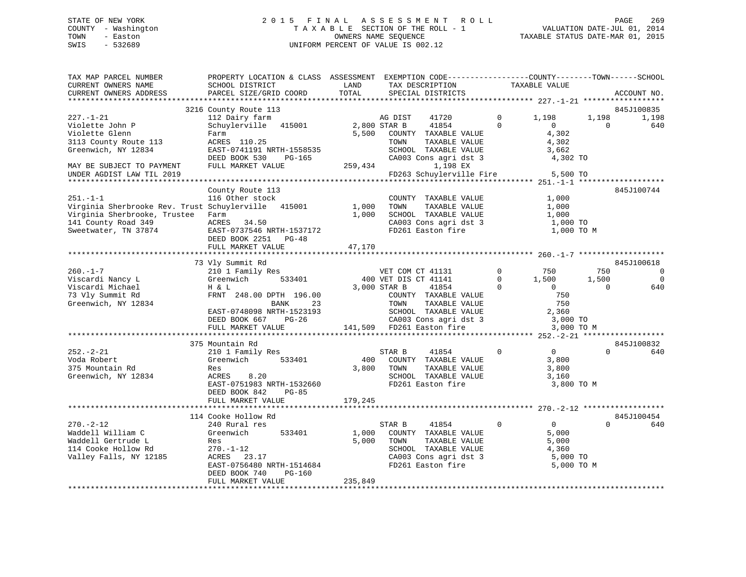## STATE OF NEW YORK 2 0 1 5 F I N A L A S S E S S M E N T R O L L PAGE 269 COUNTY - Washington T A X A B L E SECTION OF THE ROLL - 1 VALUATION DATE-JUL 01, 2014 TOWN - Easton OWNERS NAME SEQUENCE TAXABLE STATUS DATE-MAR 01, 2015 SWIS - 532689 UNIFORM PERCENT OF VALUE IS 002.12

| TAX MAP PARCEL NUMBER<br>CURRENT OWNERS NAME<br>CURRENT OWNERS ADDRESS                                                                                                      | PROPERTY LOCATION & CLASS ASSESSMENT EXEMPTION CODE---------------COUNTY-------TOWN-----SCHOOL<br>SCHOOL DISTRICT<br>PARCEL SIZE/GRID COORD                                                                                                                                                                                                                     | LAND<br>TOTAL             | TAX DESCRIPTION<br>SPECIAL DISTRICTS                                                                                                                                                                                                       |                                                           | TAXABLE VALUE                                                                                                                              |                                      | ACCOUNT NO.                                                                |
|-----------------------------------------------------------------------------------------------------------------------------------------------------------------------------|-----------------------------------------------------------------------------------------------------------------------------------------------------------------------------------------------------------------------------------------------------------------------------------------------------------------------------------------------------------------|---------------------------|--------------------------------------------------------------------------------------------------------------------------------------------------------------------------------------------------------------------------------------------|-----------------------------------------------------------|--------------------------------------------------------------------------------------------------------------------------------------------|--------------------------------------|----------------------------------------------------------------------------|
|                                                                                                                                                                             |                                                                                                                                                                                                                                                                                                                                                                 |                           |                                                                                                                                                                                                                                            |                                                           |                                                                                                                                            |                                      |                                                                            |
| 227.-1-21<br>Violette John P<br>Violette Glenn<br>3113 County Route 113<br>Greenwich, NY 12834                                                                              | 3216 County Route 113<br>112 Dairy farm<br>Schuylerville 415001<br>Farm<br>ACRES 110.25<br>EAST-0741191 NRTH-1558535<br>DEED BOOK 530<br>PG-165                                                                                                                                                                                                                 | 2,800 STAR B<br>5,500     | AG DIST<br>41720<br>41854<br>COUNTY TAXABLE VALUE<br>TOWN<br>TAXABLE VALUE<br>SCHOOL TAXABLE VALUE<br>CA003 Cons agri dst 3                                                                                                                | $\mathbf 0$<br>$\Omega$                                   | 1,198<br>$\overline{0}$<br>4,302<br>4,302<br>3,662<br>4,302 TO                                                                             | 1,198<br>$\Omega$                    | 845J100835<br>1,198<br>640                                                 |
| MAY BE SUBJECT TO PAYMENT<br>UNDER AGDIST LAW TIL 2019                                                                                                                      | FULL MARKET VALUE                                                                                                                                                                                                                                                                                                                                               | 259,434                   | 1,198 EX<br>FD263 Schuylerville Fire                                                                                                                                                                                                       |                                                           | 5,500 TO                                                                                                                                   |                                      |                                                                            |
| $251. -1 -1$<br>Virginia Sherbrooke Rev. Trust Schuylerville 415001<br>Virginia Sherbrooke, Trustee Farm<br>141 County Road 349<br>Sweetwater, TN 37874                     | County Route 113<br>116 Other stock<br>ACRES 34.50<br>EAST-0737546 NRTH-1537172<br>DEED BOOK 2251 PG-48<br>FULL MARKET VALUE                                                                                                                                                                                                                                    | 1,000<br>1,000            | COUNTY TAXABLE VALUE<br>TOWN<br>TAXABLE VALUE<br>SCHOOL TAXABLE VALUE<br>CA003 Cons agri dst 3<br>FD261 Easton fire                                                                                                                        |                                                           | 1,000<br>1,000<br>1,000<br>1,000 TO<br>1,000 TO M                                                                                          |                                      | 845J100744                                                                 |
|                                                                                                                                                                             |                                                                                                                                                                                                                                                                                                                                                                 | 47,170                    |                                                                                                                                                                                                                                            |                                                           |                                                                                                                                            |                                      |                                                                            |
| $260. -1 - 7$<br>Viscardi Nancy L<br>Viscardi Michael<br>73 Vly Summit Rd<br>Greenwich, NY 12834<br>$252 - 2 - 21$<br>Voda Robert<br>375 Mountain Rd<br>Greenwich, NY 12834 | 73 Vly Summit Rd<br>210 1 Family Res<br>533401<br>Greenwich<br>H & L<br>FRNT 248.00 DPTH 196.00<br>23<br>BANK<br>EAST-0748098 NRTH-1523193<br>DEED BOOK 667 PG-26<br>FULL MARKET VALUE<br>375 Mountain Rd<br>210 1 Family Res<br>Greenwich<br>533401<br>Res<br>8.20<br>ACRES<br>EAST-0751983 NRTH-1532660<br>DEED BOOK 842<br><b>PG-85</b><br>FULL MARKET VALUE | 400<br>3,800<br>179,245   | VET COM CT 41131<br>400 VET DIS CT 41141<br>3,000 STAR B<br>41854<br>---- -<br>COUNTY TAXABLE VALUE<br>TOWN TAXABLE VALUE<br>41854<br>STAR B<br>COUNTY TAXABLE VALUE<br>TAXABLE VALUE<br>TOWN<br>SCHOOL TAXABLE VALUE<br>FD261 Easton fire | $\mathbf{0}$<br>$\overline{0}$<br>$\Omega$<br>$\mathbf 0$ | 750<br>1,500<br>$\overline{0}$<br>750<br>750<br>2,360<br>3,000 TO<br>3,000 TO M<br>$\overline{0}$<br>3,800<br>3,800<br>3,160<br>3,800 TO M | 750<br>1,500<br>$\Omega$<br>$\Omega$ | 845J100618<br>$\overline{0}$<br>$\overline{0}$<br>640<br>845J100832<br>640 |
| $270. - 2 - 12$<br>Waddell William C<br>Waddell Gertrude L<br>114 Cooke Hollow Rd<br>Valley Falls, NY 12185                                                                 | 114 Cooke Hollow Rd<br>240 Rural res<br>Greenwich<br>533401<br>Res<br>$270. - 1 - 12$<br>ACRES 23.17<br>EAST-0756480 NRTH-1514684<br>DEED BOOK 740<br>PG-160<br>FULL MARKET VALUE                                                                                                                                                                               | 1,000<br>5,000<br>235,849 | STAR B<br>41854<br>COUNTY TAXABLE VALUE<br>TOWN<br>TAXABLE VALUE<br>SCHOOL TAXABLE VALUE<br>CA003 Cons agri dst 3<br>FD261 Easton fire                                                                                                     | $\mathbf 0$                                               | $\overline{0}$<br>5,000<br>5,000<br>4,360<br>5,000 TO<br>5,000 TO M                                                                        | $\Omega$                             | 845J100454<br>640                                                          |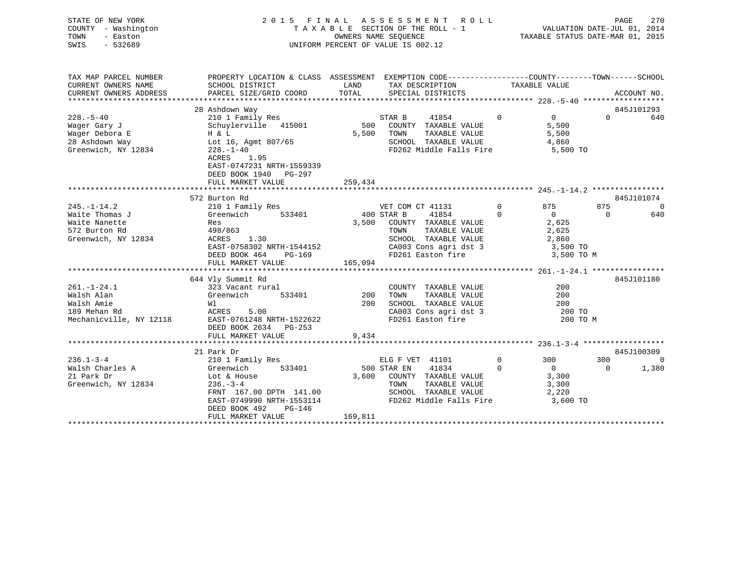| STATE OF NEW YORK<br>COUNTY - Washington<br>TOWN<br>- Easton<br>SWIS<br>$-532689$          | 2015 FINAL                                                                                                                                                            |                       | ASSESSMENT<br>ROLL<br>TAXABLE SECTION OF THE ROLL - 1<br>OWNERS NAME SEQUENCE<br>UNIFORM PERCENT OF VALUE IS 002.12                |                                                                           | PAGE<br>VALUATION DATE-JUL 01, 2014<br>TAXABLE STATUS DATE-MAR 01, 2015 | 270            |
|--------------------------------------------------------------------------------------------|-----------------------------------------------------------------------------------------------------------------------------------------------------------------------|-----------------------|------------------------------------------------------------------------------------------------------------------------------------|---------------------------------------------------------------------------|-------------------------------------------------------------------------|----------------|
| TAX MAP PARCEL NUMBER<br>CURRENT OWNERS NAME                                               | PROPERTY LOCATION & CLASS ASSESSMENT EXEMPTION CODE----------------COUNTY-------TOWN-----SCHOOL<br>SCHOOL DISTRICT                                                    | LAND                  |                                                                                                                                    | TAXABLE VALUE                                                             |                                                                         |                |
| CURRENT OWNERS ADDRESS                                                                     | PARCEL SIZE/GRID COORD                                                                                                                                                | TOTAL                 | TAX DESCRIPTION<br>SPECIAL DISTRICTS                                                                                               |                                                                           | ACCOUNT NO.                                                             |                |
|                                                                                            | 28 Ashdown Way                                                                                                                                                        |                       |                                                                                                                                    |                                                                           | 845J101293                                                              |                |
| $228. - 5 - 40$<br>Wager Gary J<br>Wager Debora E<br>28 Ashdown Way<br>Greenwich, NY 12834 | 210 1 Family Res<br>Schuylerville 415001<br>H & L<br>Lot 16, Agmt 807/65<br>$228. - 1 - 40$<br>ACRES<br>1.95<br>EAST-0747231 NRTH-1559339<br>DEED BOOK 1940<br>PG-297 | 500<br>5,500          | STAR B<br>41854<br>COUNTY TAXABLE VALUE<br>TOWN<br>TAXABLE VALUE<br>SCHOOL TAXABLE VALUE<br>FD262 Middle Falls Fire                | $\Omega$<br>$\mathbf{0}$<br>5,500<br>5,500<br>4,860<br>5,500 TO           | $\Omega$                                                                | 640            |
|                                                                                            | FULL MARKET VALUE                                                                                                                                                     | 259,434               |                                                                                                                                    |                                                                           |                                                                         |                |
|                                                                                            | 572 Burton Rd                                                                                                                                                         |                       |                                                                                                                                    |                                                                           | 845J101074                                                              |                |
| $245. - 1 - 14.2$                                                                          | 210 1 Family Res                                                                                                                                                      |                       | VET COM CT 41131                                                                                                                   | $\Omega$<br>875                                                           | 875                                                                     | $\overline{0}$ |
| Waite Thomas J<br>Waite Nanette<br>572 Burton Rd<br>Greenwich, NY 12834                    | Greenwich<br>533401<br>Res<br>498/863<br>1.30<br>ACRES<br>EAST-0758302 NRTH-1544152<br>DEED BOOK 464<br>PG-169<br>FULL MARKET VALUE                                   | 400 STAR B<br>165,094 | 41854<br>3,500 COUNTY TAXABLE VALUE<br>TAXABLE VALUE<br>TOWN<br>SCHOOL TAXABLE VALUE<br>CA003 Cons agri dst 3<br>FD261 Easton fire | $\Omega$<br>$\Omega$<br>2,625<br>2,625<br>2,860<br>3,500 TO<br>3,500 TO M | $\Omega$                                                                | 640            |
|                                                                                            |                                                                                                                                                                       |                       |                                                                                                                                    |                                                                           |                                                                         |                |
| $261. - 1 - 24.1$<br>Walsh Alan<br>Walsh Amie<br>189 Mehan Rd<br>Mechanicville, NY 12118   | 644 Vly Summit Rd<br>323 Vacant rural<br>Greenwich<br>533401<br>Wl<br>ACRES<br>5.00<br>EAST-0761248 NRTH-1522622<br>DEED BOOK 2634 PG-253                             | 200<br>200            | COUNTY TAXABLE VALUE<br>TOWN<br>TAXABLE VALUE<br>SCHOOL TAXABLE VALUE<br>CA003 Cons agri dst 3<br>FD261 Easton fire                | 200<br>200<br>200<br>200 TO<br>200 TO M                                   | 845J101180                                                              |                |
|                                                                                            | FULL MARKET VALUE                                                                                                                                                     | 9,434                 |                                                                                                                                    |                                                                           |                                                                         |                |
|                                                                                            |                                                                                                                                                                       |                       |                                                                                                                                    |                                                                           |                                                                         |                |
|                                                                                            | 21 Park Dr                                                                                                                                                            |                       |                                                                                                                                    |                                                                           | 845J100309                                                              |                |
| $236.1 - 3 - 4$<br>Walsh Charles A<br>21 Park Dr<br>Greenwich, NY 12834                    | 210 1 Family Res<br>Greenwich<br>533401<br>Lot & House<br>$236 - 3 - 4$                                                                                               | 3,600                 | ELG F VET 41101<br>41834<br>500 STAR EN<br>COUNTY TAXABLE VALUE<br>TOWN<br>TAXABLE VALUE                                           | $\mathbf 0$<br>300<br>$\Omega$<br>$\Omega$<br>3,300<br>3,300              | 300<br>1,380<br>$\Omega$                                                | $\Omega$       |
|                                                                                            | FRNT 167.00 DPTH 141.00<br>EAST-0749990 NRTH-1553114                                                                                                                  |                       | SCHOOL TAXABLE VALUE<br>FD262 Middle Falls Fire                                                                                    | 2,220<br>3,600 TO                                                         |                                                                         |                |

\*\*\*\*\*\*\*\*\*\*\*\*\*\*\*\*\*\*\*\*\*\*\*\*\*\*\*\*\*\*\*\*\*\*\*\*\*\*\*\*\*\*\*\*\*\*\*\*\*\*\*\*\*\*\*\*\*\*\*\*\*\*\*\*\*\*\*\*\*\*\*\*\*\*\*\*\*\*\*\*\*\*\*\*\*\*\*\*\*\*\*\*\*\*\*\*\*\*\*\*\*\*\*\*\*\*\*\*\*\*\*\*\*\*\*\*\*\*\*\*\*\*\*\*\*\*\*\*\*\*\*\*

 DEED BOOK 492 PG-146FULL MARKET VALUE 169,811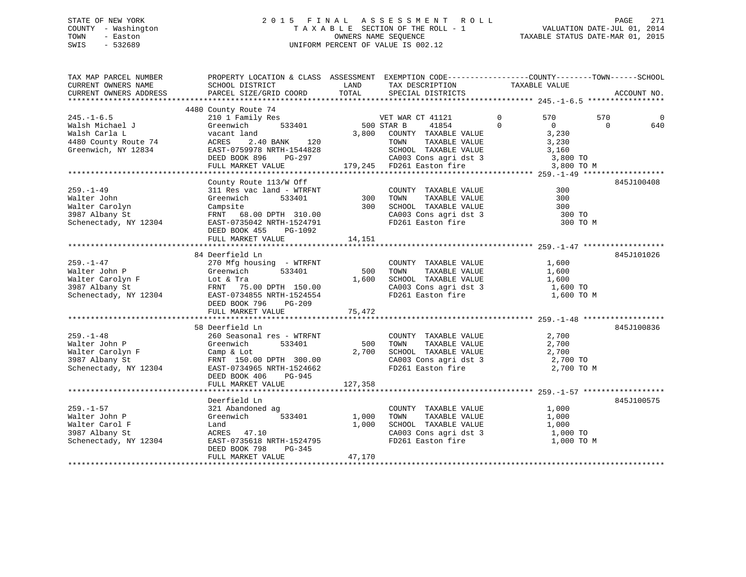## STATE OF NEW YORK 2 0 1 5 F I N A L A S S E S S M E N T R O L L PAGE 271 COUNTY - Washington T A X A B L E SECTION OF THE ROLL - 1 VALUATION DATE-JUL 01, 2014 TOWN - Easton OWNERS NAME SEQUENCE TAXABLE STATUS DATE-MAR 01, 2015 SWIS - 532689 UNIFORM PERCENT OF VALUE IS 002.12

| TAX MAP PARCEL NUMBER<br>CURRENT OWNERS NAME<br>CURRENT OWNERS ADDRESS                           | PROPERTY LOCATION & CLASS ASSESSMENT EXEMPTION CODE----------------COUNTY-------TOWN------SCHOOL<br>SCHOOL DISTRICT<br>PARCEL SIZE/GRID COORD                                                                                                                                                                     | LAND<br>TOTAL            | TAX DESCRIPTION TAXABLE VALUE SPECIAL DISTRICTS                                                                                                                             |                                                                         | ACCOUNT NO.                 |
|--------------------------------------------------------------------------------------------------|-------------------------------------------------------------------------------------------------------------------------------------------------------------------------------------------------------------------------------------------------------------------------------------------------------------------|--------------------------|-----------------------------------------------------------------------------------------------------------------------------------------------------------------------------|-------------------------------------------------------------------------|-----------------------------|
|                                                                                                  |                                                                                                                                                                                                                                                                                                                   |                          |                                                                                                                                                                             |                                                                         |                             |
| $245. -1 - 6.5$<br>Valsh Michael<br>Walsh Carla L<br>4480 County Route 74<br>And County Route 74 | 4480 County Route 74<br>Greenwich<br>vacant land<br>ACRES<br>2.40 BANK 120<br>EAST-0759978 NRTH-1544828<br>PG-297<br>DEED BOOK 896<br>FULL MARKET VALUE                                                                                                                                                           | 533401 500 STAR B        | 41854 0<br>3,800 COUNTY TAXABLE VALUE<br>TOWN TAXABLE VALUE<br>14828 SCHOOL TAXABLE VALUE 3,160<br>297 CA003 Cons agri dst 3 3,800 TO<br>179,245 FD261 Easton fire 3,800 TO | $\overline{0}$<br>570<br>$\overline{0}$<br>3,230<br>3,230<br>3,800 TO M | 570<br>0<br>$\Omega$<br>640 |
|                                                                                                  |                                                                                                                                                                                                                                                                                                                   |                          |                                                                                                                                                                             |                                                                         |                             |
| $259. - 1 - 49$<br>Walter John                                                                   | County Route 113/W Off<br>311 Res vac land - WTRFNT COUNTY TAXABLE VALUE<br>Greenwich 533401 300 TOWN TAXABLE VALUE<br>Campsite 300 SCHOOL TAXABLE VALUE<br>walter John March (1998)<br>Malter Carolyn (2009)<br>Schenectady, NY 12304 EAST-0735042 NRTH-1524791<br>DEED BOOK 455<br>PG-1092<br>FULL MARKET VALUE | 14,151                   | COUNTY TAXABLE VALUE<br>CA003 Cons agri dst 3<br>FD261 Easton fire                                                                                                          | 300<br>300<br>300<br>300 TO<br>300 TO M                                 | 845J100408                  |
|                                                                                                  |                                                                                                                                                                                                                                                                                                                   |                          |                                                                                                                                                                             |                                                                         |                             |
| 259.-1-47<br>Walter John P                                                                       | 84 Deerfield Ln<br>270 Mfg housing - WTRFNT<br>Greenwich<br>533401<br>Walter Carolyn F<br>3987 Albany St<br>Schenectady, NY 12304<br>FRNT 75.00 DPTH 150.00<br>EAST-0734855 NRTH-1524554<br>EAST-0734855 NRTH-1524554<br>DEED BOOK 796<br>PG-209<br>FULL MARKET VALUE                                             | 500<br>75,472            | COUNTY TAXABLE VALUE<br>TOWN TAXABLE VALUE<br>1,600 SCHOOL TAXABLE VALUE 1,600<br>CA003 Cons agri dst 3 1,600 TO<br>FD261 Easton fire 1,600 TO                              | 1,600<br>1,600<br>1,600 TO M                                            | 845J101026                  |
|                                                                                                  |                                                                                                                                                                                                                                                                                                                   |                          |                                                                                                                                                                             |                                                                         |                             |
| $259. - 1 - 48$<br>Walter John P<br>Schenectady, NY 12304                                        | 58 Deerfield Ln<br>260 Seasonal res - WTRFNT<br>Greenwich<br>533401<br>EAST-0734965 NRTH-1524662<br>DEED BOOK 406 PG-945                                                                                                                                                                                          | 500<br>2,700             | COUNTY TAXABLE VALUE<br>TAXABLE VALUE<br>TOWN<br>SCHOOL TAXABLE VALUE<br>SCHOOL TAXABLE VALUE 2,700<br>CA003 Cons agri dst 3 2,700 TO<br>FD261 Easton fire                  | 2,700<br>2,700<br>2,700<br>2,700 TO M                                   | 845J100836                  |
|                                                                                                  | FULL MARKET VALUE                                                                                                                                                                                                                                                                                                 | 127,358                  |                                                                                                                                                                             |                                                                         |                             |
| $259. - 1 - 57$<br>Walter John P<br>Walter Carol F<br>3987 Albany St<br>Schenectady, NY 12304    | Deerfield Ln<br>321 Abandoned ag<br>533401<br>Greenwich<br>Land<br>ACRES 47.10<br>EAST-0735618 NRTH-1524795<br>PG-345<br>DEED BOOK 798<br>FULL MARKET VALUE                                                                                                                                                       | 1,000<br>1,000<br>47,170 | COUNTY TAXABLE VALUE<br>TAXABLE VALUE<br>TOWN<br>TOWN      TAXABLE  VALUE<br>SCHOOL   TAXABLE  VALUE<br>CA003 Cons agri dst 3<br>FD261 Easton fire                          | 1,000<br>1,000<br>1,000<br>1,000 TO<br>1,000 TO M                       | 845J100575                  |
|                                                                                                  |                                                                                                                                                                                                                                                                                                                   |                          |                                                                                                                                                                             |                                                                         |                             |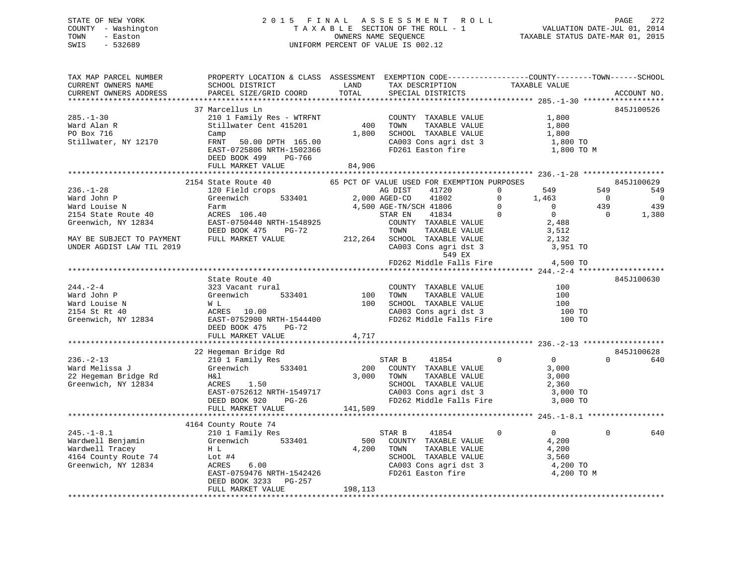## STATE OF NEW YORK 2 0 1 5 F I N A L A S S E S S M E N T R O L L PAGE 272 COUNTY - Washington T A X A B L E SECTION OF THE ROLL - 1 VALUATION DATE-JUL 01, 2014 TOWN - Easton OWNERS NAME SEQUENCE TAXABLE STATUS DATE-MAR 01, 2015 SWIS - 532689 UNIFORM PERCENT OF VALUE IS 002.12

| TAX MAP PARCEL NUMBER<br>CURRENT OWNERS NAME<br>CURRENT OWNERS ADDRESS                                                                                  | PROPERTY LOCATION & CLASS ASSESSMENT<br>SCHOOL DISTRICT<br>PARCEL SIZE/GRID COORD                                                                                                     | LAND<br>TOTAL          | EXEMPTION CODE-----------------COUNTY-------TOWN------SCHOOL<br>TAX DESCRIPTION<br>SPECIAL DISTRICTS                                                                                                                                       | TAXABLE VALUE                                                                                                                                        | ACCOUNT NO.                                            |                                                 |
|---------------------------------------------------------------------------------------------------------------------------------------------------------|---------------------------------------------------------------------------------------------------------------------------------------------------------------------------------------|------------------------|--------------------------------------------------------------------------------------------------------------------------------------------------------------------------------------------------------------------------------------------|------------------------------------------------------------------------------------------------------------------------------------------------------|--------------------------------------------------------|-------------------------------------------------|
| **********************                                                                                                                                  |                                                                                                                                                                                       |                        |                                                                                                                                                                                                                                            |                                                                                                                                                      |                                                        |                                                 |
| $285. - 1 - 30$<br>Ward Alan R<br>PO Box 716<br>Stillwater, NY 12170                                                                                    | 37 Marcellus Ln<br>210 1 Family Res - WTRFNT<br>Stillwater Cent 415201<br>Camp<br>FRNT 50.00 DPTH 165.00<br>EAST-0725806 NRTH-1502366<br>DEED BOOK 499<br>PG-766<br>FULL MARKET VALUE | 400<br>1,800<br>84,906 | COUNTY TAXABLE VALUE<br>TOWN<br>TAXABLE VALUE<br>SCHOOL TAXABLE VALUE<br>CA003 Cons agri dst 3<br>FD261 Easton fire                                                                                                                        | 1,800<br>1,800<br>1,800<br>1,800 TO<br>1,800 TO M                                                                                                    | 845J100526                                             |                                                 |
|                                                                                                                                                         |                                                                                                                                                                                       |                        |                                                                                                                                                                                                                                            |                                                                                                                                                      |                                                        |                                                 |
| $236. - 1 - 28$<br>Ward John P<br>Ward Louise N<br>2154 State Route 40<br>Greenwich, NY 12834<br>MAY BE SUBJECT TO PAYMENT<br>UNDER AGDIST LAW TIL 2019 | 2154 State Route 40<br>120 Field crops<br>533401<br>Greenwich<br>Farm<br>raim<br>ACRES 106.40<br>EAST-0750440 NRTH-1548925<br>DEED BOOK 475 PG-72<br>FULL MARKET VALUE                | 2,000 AGED-CO          | 65 PCT OF VALUE USED FOR EXEMPTION PURPOSES<br>AG DIST<br>41720<br>41802<br>4,500 AGE-TN/SCH 41806<br>41834<br>STAR EN<br>COUNTY TAXABLE VALUE<br>TOWN<br>TAXABLE VALUE<br>212,264 SCHOOL TAXABLE VALUE<br>CA003 Cons agri dst 3<br>549 EX | $\mathbf{0}$<br>549<br>$\mathbf 0$<br>1,463<br>$\Omega$<br>$\overline{0}$<br>$\overline{0}$<br>$\overline{0}$<br>2,488<br>3,512<br>2,132<br>3,951 TO | 845J100629<br>549<br>$\overline{0}$<br>439<br>$\Omega$ | 549<br>$\overline{\phantom{0}}$<br>439<br>1,380 |
|                                                                                                                                                         |                                                                                                                                                                                       |                        | FD262 Middle Falls Fire                                                                                                                                                                                                                    | 4,500 TO                                                                                                                                             |                                                        |                                                 |
|                                                                                                                                                         |                                                                                                                                                                                       |                        |                                                                                                                                                                                                                                            |                                                                                                                                                      |                                                        |                                                 |
| 244.-2-4<br>Ward John P<br>Ward Louise N<br>2154 St Rt 40<br>Greenwich, NY 12834                                                                        | State Route 40<br>323 Vacant rural<br>533401<br>Greenwich<br>W L<br>ACRES 10.00<br>EAST-0752900 NRTH-1544400<br>DEED BOOK 475<br>PG-72<br>FULL MARKET VALUE                           | 100<br>100<br>4,717    | COUNTY TAXABLE VALUE<br>TOWN TAXABLE VALUE<br>SCHOOL TAXABLE VALUE<br>CA003 Cons agri dst 3<br>FD262 Middle Falls Fire                                                                                                                     | 100<br>100<br>100<br>100 TO<br>100 TO                                                                                                                | 845J100630                                             |                                                 |
|                                                                                                                                                         |                                                                                                                                                                                       |                        |                                                                                                                                                                                                                                            |                                                                                                                                                      |                                                        |                                                 |
| $236. -2 - 13$<br>Ward Melissa J<br>22 Hegeman Bridge Rd<br>Greenwich, NY 12834                                                                         | 22 Hegeman Bridge Rd<br>210 1 Family Res<br>Greenwich 533401<br>H&l<br>ACRES 1.50<br>EACH=0752612 NRTH-1549717<br>EAST-0752612 NRTH-1549717<br>DEED BOOK 920 PG-26                    | 200<br>3,000           | STAR B<br>41854<br>COUNTY TAXABLE VALUE<br>TAXABLE VALUE<br>TOWN<br>SCHOOL TAXABLE VALUE<br>CA003 Cons agri dst 3 3,000 TO<br>FD262 Middle Falls Fire 3,000 TO                                                                             | $\overline{0}$<br>$\mathbf{0}$<br>3,000<br>3,000<br>2,360                                                                                            | 845J100628<br>$\Omega$                                 | 640                                             |
|                                                                                                                                                         | FULL MARKET VALUE                                                                                                                                                                     | 141,509                |                                                                                                                                                                                                                                            |                                                                                                                                                      |                                                        |                                                 |
| $245. - 1 - 8.1$<br>Wardwell Benjamin<br>Wardwell Tracey<br>4164 County Route 74 Lot #4<br>Greenwich, NY 12834                                          | 4164 County Route 74<br>210 1 Family Res<br>Greenwich<br>533401<br>H L<br>6.00<br>ACRES<br>EAST-0759476 NRTH-1542426<br>DEED BOOK 3233<br>PG-257                                      | 500<br>4,200           | STAR B<br>41854<br>COUNTY TAXABLE VALUE<br>TOWN<br>TAXABLE VALUE<br>SCHOOL TAXABLE VALUE<br>CA003 Cons agri dst 3<br>FD261 Easton fire                                                                                                     | $\mathbf 0$<br>$0 \qquad \qquad$<br>4,200<br>4,200<br>3,560<br>4,200 TO<br>4,200 TO M                                                                | $\Omega$                                               | 640                                             |
|                                                                                                                                                         | FULL MARKET VALUE                                                                                                                                                                     | 198,113                |                                                                                                                                                                                                                                            | ************************************                                                                                                                 |                                                        |                                                 |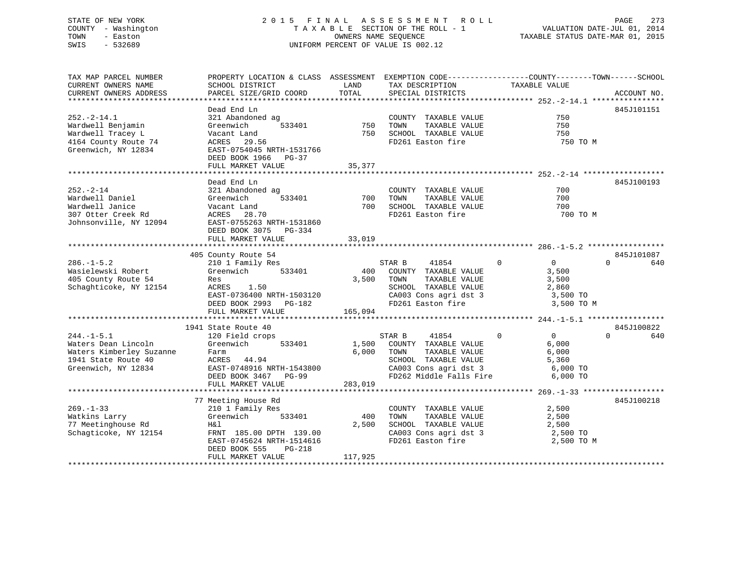## STATE OF NEW YORK 2 0 1 5 F I N A L A S S E S S M E N T R O L L PAGE 273 COUNTY - Washington T A X A B L E SECTION OF THE ROLL - 1 VALUATION DATE-JUL 01, 2014 TOWN - Easton OWNERS NAME SEQUENCE TAXABLE STATUS DATE-MAR 01, 2015 SWIS - 532689 UNIFORM PERCENT OF VALUE IS 002.12

| TAX MAP PARCEL NUMBER    | PROPERTY LOCATION & CLASS ASSESSMENT EXEMPTION CODE----------------COUNTY-------TOWN------SCHOOL |            |                                                                                                |                                  |                 |
|--------------------------|--------------------------------------------------------------------------------------------------|------------|------------------------------------------------------------------------------------------------|----------------------------------|-----------------|
| CURRENT OWNERS NAME      | SCHOOL DISTRICT                                                                                  | LAND       | TAX DESCRIPTION                                                                                | TAXABLE VALUE                    |                 |
| CURRENT OWNERS ADDRESS   | PARCEL SIZE/GRID COORD                                                                           | TOTAL      | SPECIAL DISTRICTS                                                                              |                                  | ACCOUNT NO.     |
|                          |                                                                                                  |            |                                                                                                |                                  |                 |
|                          | Dead End Ln                                                                                      |            |                                                                                                |                                  | 845J101151      |
|                          |                                                                                                  |            |                                                                                                |                                  |                 |
| $252. - 2 - 14.1$        | 321 Abandoned ag                                                                                 |            | COUNTY TAXABLE VALUE                                                                           | 750                              |                 |
| Wardwell Benjamin        | Greenwich                                                                                        | 533401 750 | TAXABLE VALUE<br>TOWN                                                                          | 750                              |                 |
| Wardwell Tracey L        | Vacant Land                                                                                      | 750        | SCHOOL TAXABLE VALUE                                                                           | 750                              |                 |
| 4164 County Route 74     | ACRES 29.56                                                                                      |            | FD261 Easton fire                                                                              | 750 TO M                         |                 |
| Greenwich, NY 12834      | EAST-0754045 NRTH-1531766                                                                        |            |                                                                                                |                                  |                 |
|                          | DEED BOOK 1966 PG-37                                                                             |            |                                                                                                |                                  |                 |
|                          | FULL MARKET VALUE                                                                                | 35,377     |                                                                                                |                                  |                 |
|                          |                                                                                                  |            |                                                                                                |                                  |                 |
|                          |                                                                                                  |            |                                                                                                |                                  |                 |
|                          | Dead End Ln                                                                                      |            |                                                                                                |                                  | 845J100193      |
| $252 - 2 - 14$           | 321 Abandoned ag                                                                                 |            | COUNTY TAXABLE VALUE                                                                           | 700                              |                 |
| Wardwell Daniel          | 533401<br>Greenwich                                                                              | 700        | TOWN<br>TAXABLE VALUE                                                                          | 700                              |                 |
| Wardwell Janice          | Vacant Land                                                                                      | 700        | SCHOOL TAXABLE VALUE                                                                           | 700                              |                 |
| 307 Otter Creek Rd       | ACRES 28.70                                                                                      |            | FD261 Easton fire                                                                              | 700 TO M                         |                 |
| Johnsonville, NY 12094   | EAST-0755263 NRTH-1531860                                                                        |            |                                                                                                |                                  |                 |
|                          | DEED BOOK 3075 PG-334                                                                            |            |                                                                                                |                                  |                 |
|                          |                                                                                                  |            |                                                                                                |                                  |                 |
|                          | FULL MARKET VALUE                                                                                | 33,019     |                                                                                                |                                  |                 |
|                          |                                                                                                  |            |                                                                                                |                                  |                 |
|                          | 405 County Route 54                                                                              |            |                                                                                                |                                  | 845J101087      |
| $286. - 1 - 5.2$         | 210 1 Family Res                                                                                 |            | 41854<br>STAR B                                                                                | $\overline{0}$<br>$\overline{0}$ | 640<br>$\cap$   |
| Wasielewski Robert       | 533401<br>Greenwich                                                                              | 400        | COUNTY TAXABLE VALUE                                                                           | 3,500                            |                 |
| 405 County Route 54      | Res                                                                                              | 3,500      | TOWN<br>TAXABLE VALUE                                                                          | 3,500                            |                 |
| Schaghticoke, NY 12154   | ACRES 1.50                                                                                       |            |                                                                                                |                                  |                 |
|                          | EAST-0736400 NRTH-1503120                                                                        |            | SCHOOL TAXABLE VALUE $2,860$<br>CA003 Cons agri dst 3 3,500 TO<br>FD261 Easton fire 3,500 TO M |                                  |                 |
|                          |                                                                                                  |            |                                                                                                |                                  |                 |
|                          | DEED BOOK 2993 PG-182                                                                            |            |                                                                                                |                                  |                 |
|                          | FULL MARKET VALUE                                                                                | 165,094    |                                                                                                |                                  |                 |
|                          |                                                                                                  |            |                                                                                                |                                  |                 |
|                          | 1941 State Route 40                                                                              |            |                                                                                                |                                  | 845J100822      |
| $244. -1 - 5.1$          | 120 Field crops                                                                                  |            | STAR B<br>41854                                                                                | $\Omega$<br>$\overline{0}$       | $\Omega$<br>640 |
| Waters Dean Lincoln      | Greenwich<br>533401                                                                              |            | 1,500 COUNTY TAXABLE VALUE                                                                     | 6,000                            |                 |
| Waters Kimberley Suzanne | Farm                                                                                             |            | 6,000 TOWN<br>TAXABLE VALUE                                                                    | 6,000                            |                 |
| 1941 State Route 40      | ACRES 44.94                                                                                      |            |                                                                                                |                                  |                 |
| Greenwich, NY 12834      |                                                                                                  |            | SCHOOL TAXABLE VALUE 5,360<br>CA003 Cons agri dst 3 6,000 TO                                   |                                  |                 |
|                          | EAST-0748916 NRTH-1543800                                                                        |            |                                                                                                |                                  |                 |
|                          | DEED BOOK 3467 PG-99                                                                             |            | FD262 Middle Falls Fire                                                                        | 6,000 TO                         |                 |
|                          | FULL MARKET VALUE                                                                                | 283,019    |                                                                                                |                                  |                 |
|                          |                                                                                                  |            |                                                                                                |                                  |                 |
|                          | 77 Meeting House Rd                                                                              |            |                                                                                                |                                  | 845J100218      |
| $269. - 1 - 33$          | 210 1 Family Res                                                                                 |            | COUNTY TAXABLE VALUE                                                                           | 2,500                            |                 |
| Watkins Larry            | 533401<br>Greenwich                                                                              | 400        | TAXABLE VALUE<br>TOWN                                                                          | 2,500                            |                 |
| 77 Meetinghouse Rd       | H&l                                                                                              | 2,500      | SCHOOL TAXABLE VALUE                                                                           | 2,500                            |                 |
|                          |                                                                                                  |            |                                                                                                |                                  |                 |
| Schagticoke, NY 12154    | FRNT 185.00 DPTH 139.00                                                                          |            | CA003 Cons agri dst 3<br>FD261 Easton fire                                                     | 2,500 TO                         |                 |
|                          | EAST-0745624 NRTH-1514616                                                                        |            |                                                                                                | 2,500 TO M                       |                 |
|                          | DEED BOOK 555<br>$PG-218$                                                                        |            |                                                                                                |                                  |                 |
|                          | FULL MARKET VALUE                                                                                | 117,925    |                                                                                                |                                  |                 |
|                          |                                                                                                  |            |                                                                                                |                                  |                 |
|                          |                                                                                                  |            |                                                                                                |                                  |                 |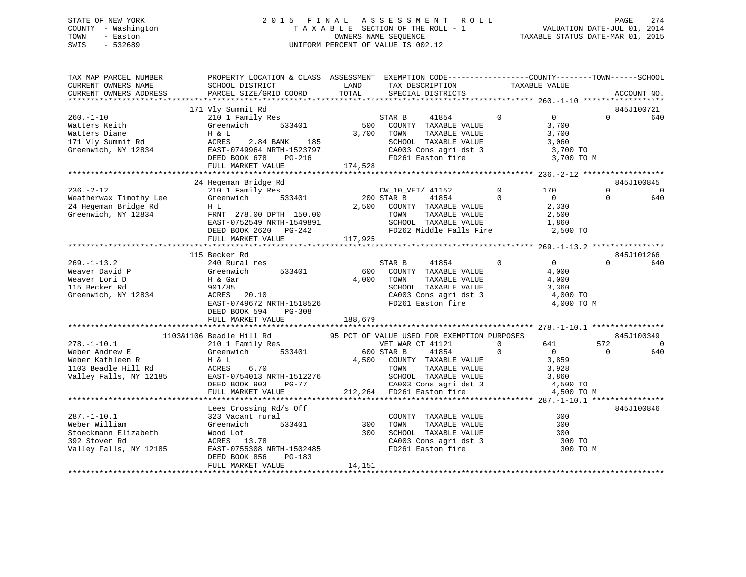## STATE OF NEW YORK 2 0 1 5 F I N A L A S S E S S M E N T R O L L PAGE 274 COUNTY - Washington T A X A B L E SECTION OF THE ROLL - 1 VALUATION DATE-JUL 01, 2014 TOWN - Easton OWNERS NAME SEQUENCE TAXABLE STATUS DATE-MAR 01, 2015 SWIS - 532689 UNIFORM PERCENT OF VALUE IS 002.12

| TAX MAP PARCEL NUMBER<br>CURRENT OWNERS NAME | PROPERTY LOCATION & CLASS ASSESSMENT EXEMPTION CODE-----------------COUNTY--------TOWN------SCHOOL<br>SCHOOL DISTRICT      |          | LAND TAX DESCRIPTION                                                      | TAXABLE VALUE  |                |          |                   |
|----------------------------------------------|----------------------------------------------------------------------------------------------------------------------------|----------|---------------------------------------------------------------------------|----------------|----------------|----------|-------------------|
| CURRENT OWNERS ADDRESS                       | PARCEL SIZE/GRID COORD                                                                                                     | TOTAL    | SPECIAL DISTRICTS                                                         |                |                |          | ACCOUNT NO.       |
|                                              |                                                                                                                            |          |                                                                           |                |                |          |                   |
| $260. - 1 - 10$                              | 171 Vly Summit Rd<br>210 1 Family Res                                                                                      |          | STAR B<br>41854                                                           | $\Omega$       | $\overline{0}$ | $\Omega$ | 845J100721<br>640 |
| Watters Keith                                | Greenwich 533401                                                                                                           |          | 500 COUNTY TAXABLE VALUE                                                  |                | 3,700          |          |                   |
| Watters Diane                                | H & L                                                                                                                      |          | 3,700 TOWN<br>TAXABLE VALUE                                               |                | 3,700          |          |                   |
| 171 Vly Summit Rd                            | ACRES<br>2.84 BANK 185                                                                                                     |          |                                                                           |                |                |          |                   |
|                                              | Greenwich, NY 12834 EAST-0749964 NRTH-1523797                                                                              |          | SCHOOL TAXABLE VALUE 3,060<br>CA003 Cons agri dst 3 3,700 TO              |                |                |          |                   |
|                                              | DEED BOOK 678<br>PG-216                                                                                                    |          | FD261 Easton fire                                                         |                | 3,700 TO M     |          |                   |
|                                              | FULL MARKET VALUE                                                                                                          | 174,528  |                                                                           |                |                |          |                   |
|                                              |                                                                                                                            |          |                                                                           |                |                |          |                   |
|                                              | 24 Hegeman Bridge Rd                                                                                                       |          |                                                                           |                |                |          | 845J100845        |
| $236. - 2 - 12$                              | 210 1 Family Res<br>Greenwich 533401                                                                                       |          | CW_10_VE<br>200 STAR B<br>CW_10_VET/ 41152                                | $\overline{0}$ | 170            | $\Omega$ | $\overline{0}$    |
| Weatherwax Timothy Lee                       | Greenwich                                                                                                                  |          | 41854<br>$\overline{0}$                                                   |                | $\overline{0}$ | $\Omega$ | 640               |
| 24 Hegeman Bridge Rd                         | H L                                                                                                                        |          | 2,500 COUNTY TAXABLE VALUE                                                |                | 2,330          |          |                   |
| Greenwich, NY 12834                          | FRNT 278.00 DPTH 150.00                                                                                                    |          | TAXABLE VALUE<br>TOWN                                                     |                | 2,500          |          |                   |
|                                              |                                                                                                                            |          |                                                                           |                |                |          |                   |
|                                              |                                                                                                                            |          |                                                                           |                |                |          |                   |
|                                              | FINIT 2003.00 DEED BOOK 2620 PG-242<br>DEED BOOK 2620 PG-242 FD262 Middle Falls Fire 2,500 TO<br>FULL MARKET VALUE 117,925 |          |                                                                           |                |                |          |                   |
|                                              |                                                                                                                            |          |                                                                           |                |                |          |                   |
|                                              | 115 Becker Rd                                                                                                              |          |                                                                           |                |                |          | 845J101266        |
| $269. - 1 - 13.2$                            | 240 Rural res                                                                                                              |          | 41854<br>STAR B                                                           | $\Omega$       | $\overline{0}$ | $\cap$   | 640               |
| Weaver David P                               | 533401<br>Greenwich                                                                                                        |          | 600 COUNTY TAXABLE VALUE                                                  |                | 4,000          |          |                   |
| Weaver Lori D                                | H & Gar                                                                                                                    | 4,000    | TOWN<br>TAXABLE VALUE                                                     |                | 4,000          |          |                   |
| 115 Becker Rd                                | 901/85                                                                                                                     |          |                                                                           |                |                |          |                   |
| Greenwich, NY 12834                          | ACRES 20.10                                                                                                                |          | SCHOOL TAXABLE VALUE 3,360<br>CA003 Cons agri dst 3 4,000 TO              |                |                |          |                   |
|                                              | EAST-0749672 NRTH-1518526                                                                                                  |          | FD261 Easton fire                                                         |                | 4,000 TO M     |          |                   |
|                                              | DEED BOOK 594<br>PG-308                                                                                                    |          |                                                                           |                |                |          |                   |
|                                              | FULL MARKET VALUE                                                                                                          | 188,679  |                                                                           |                |                |          |                   |
|                                              |                                                                                                                            |          |                                                                           |                |                |          |                   |
|                                              | 1103&1106 Beadle Hill Rd 95 PCT OF VALUE USED FOR EXEMPTION PURPOSES<br>210 1 Family Res VET WAR CT 41121 0                |          |                                                                           |                |                |          | 845J100349        |
|                                              |                                                                                                                            |          |                                                                           |                |                | 572      | 0                 |
|                                              |                                                                                                                            |          |                                                                           |                |                | $\Omega$ | 640               |
|                                              |                                                                                                                            |          |                                                                           |                |                |          |                   |
|                                              |                                                                                                                            |          |                                                                           |                |                |          |                   |
|                                              |                                                                                                                            |          |                                                                           |                |                |          |                   |
|                                              |                                                                                                                            |          |                                                                           |                | 4,500 TO       |          |                   |
|                                              |                                                                                                                            |          |                                                                           |                | 4,500 TO M     |          |                   |
|                                              |                                                                                                                            |          |                                                                           |                |                |          |                   |
|                                              | Lees Crossing Rd/s Off                                                                                                     |          |                                                                           |                |                |          | 845J100846        |
| $287. - 1 - 10.1$                            | 323 Vacant rural                                                                                                           |          | COUNTY TAXABLE VALUE<br>TOWN      TAXABLE VALUE                           |                | 300            |          |                   |
| Weber William                                | 533401<br>Greenwich                                                                                                        | 300 TOWN |                                                                           |                | 300            |          |                   |
| Stoeckmann Elizabeth                         | Wood Lot<br>ACRES 13.78                                                                                                    |          | 300 SCHOOL TAXABLE VALUE<br>SCHOOL TAXABLE VALUE<br>CA003 Cons agri dst 3 |                | 300            |          |                   |
| 392 Stover Rd                                |                                                                                                                            |          |                                                                           |                | 300 TO         |          |                   |
| Valley Falls, NY 12185                       | EAST-0755308 NRTH-1502485                                                                                                  |          | FD261 Easton fire                                                         |                | 300 TO M       |          |                   |
|                                              | DEED BOOK 856<br>PG-183                                                                                                    |          |                                                                           |                |                |          |                   |
|                                              | FULL MARKET VALUE                                                                                                          | 14,151   |                                                                           |                |                |          |                   |
|                                              |                                                                                                                            |          |                                                                           |                |                |          |                   |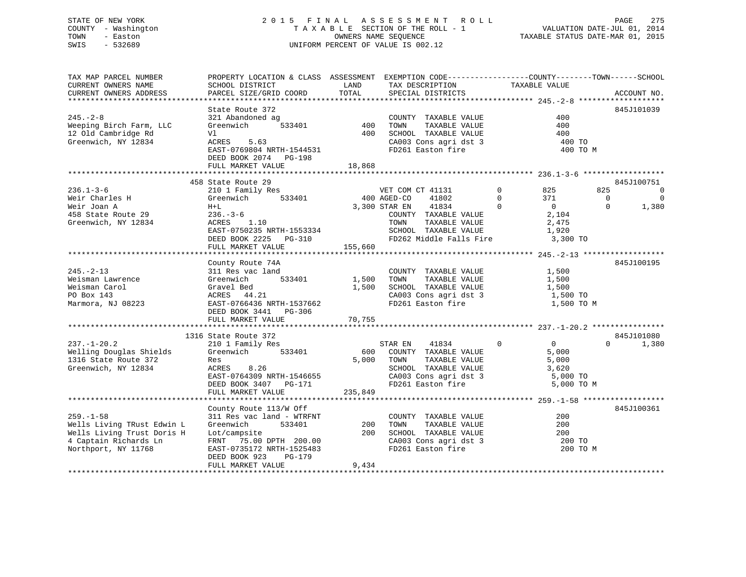## STATE OF NEW YORK 2 0 1 5 F I N A L A S S E S S M E N T R O L L PAGE 275 COUNTY - Washington T A X A B L E SECTION OF THE ROLL - 1 VALUATION DATE-JUL 01, 2014 TOWN - Easton OWNERS NAME SEQUENCE TAXABLE STATUS DATE-MAR 01, 2015 SWIS - 532689 UNIFORM PERCENT OF VALUE IS 002.12

| TAX MAP PARCEL NUMBER                           | PROPERTY LOCATION & CLASS ASSESSMENT EXEMPTION CODE----------------COUNTY-------TOWN------SCHOOL |         |                                                              |                   |                   |                |                |
|-------------------------------------------------|--------------------------------------------------------------------------------------------------|---------|--------------------------------------------------------------|-------------------|-------------------|----------------|----------------|
| CURRENT OWNERS NAME                             | SCHOOL DISTRICT                                                                                  | LAND    | TAX DESCRIPTION                                              | TAXABLE VALUE     |                   |                |                |
| CURRENT OWNERS ADDRESS                          | PARCEL SIZE/GRID COORD                                                                           | TOTAL   | SPECIAL DISTRICTS                                            |                   |                   |                | ACCOUNT NO.    |
|                                                 |                                                                                                  |         |                                                              |                   |                   |                |                |
|                                                 | State Route 372                                                                                  |         |                                                              |                   |                   |                | 845J101039     |
| $245. - 2 - 8$                                  | 321 Abandoned ag                                                                                 |         | COUNTY TAXABLE VALUE                                         |                   | 400               |                |                |
| Weeping Birch Farm, LLC                         | Greenwich                                                                                        |         | TAXABLE VALUE<br>TOWN                                        |                   | 400               |                |                |
| 12 Old Cambridge Rd                             | Vl                                                                                               |         |                                                              |                   |                   |                |                |
|                                                 |                                                                                                  |         | SCHOOL TAXABLE VALUE 400<br>CA003 Cons agri dst 3 400 TO     |                   |                   |                |                |
| Greenwich, NY 12834                             | ACRES<br>5.63                                                                                    |         |                                                              |                   |                   |                |                |
|                                                 |                                                                                                  |         | FD261 Easton fire                                            |                   | 400 TO M          |                |                |
|                                                 | DEED BOOK 2074 PG-198                                                                            |         |                                                              |                   |                   |                |                |
|                                                 | FULL MARKET VALUE 18,868                                                                         |         |                                                              |                   |                   |                |                |
|                                                 |                                                                                                  |         |                                                              |                   |                   |                |                |
|                                                 | 458 State Route 29                                                                               |         |                                                              |                   |                   |                | 845J100751     |
| $236.1 - 3 - 6$                                 | 210 1 Family Res                                                                                 |         | VET COM CT 41131                                             | $0 \qquad \qquad$ | 825               | 825            | $\overline{0}$ |
| $236.1 - 3 - 6$<br>Weir Charles H               | Greenwich 533401                                                                                 |         | 400 AGED-CO<br>41802                                         | $\overline{0}$    | 371               | $\overline{0}$ | $\overline{0}$ |
|                                                 | $H+L$                                                                                            |         | 3,300 STAR EN 41834                                          | $\Omega$          | $\overline{0}$    | $\Omega$       | 1,380          |
| Well body<br>458 State Route 29                 | $236. - 3 - 6$                                                                                   |         |                                                              |                   | 2,104             |                |                |
|                                                 | ACRES 1.10                                                                                       |         | COUNTY TAXABLE VALUE<br>TOWN<br>TAXABLE VALUE                |                   |                   |                |                |
| Greenwich, NY 12834                             |                                                                                                  |         |                                                              |                   | 2,475             |                |                |
|                                                 | EAST-0750235 NRTH-1553334                                                                        |         | SCHOOL TAXABLE VALUE                                         |                   | 1,920             |                |                |
|                                                 |                                                                                                  |         |                                                              |                   | 3,300 TO          |                |                |
|                                                 | FULL MARKET VALUE                                                                                | 155,660 |                                                              |                   |                   |                |                |
|                                                 |                                                                                                  |         |                                                              |                   |                   |                |                |
|                                                 | County Route 74A                                                                                 |         |                                                              |                   |                   |                | 845J100195     |
| $245. - 2 - 13$                                 | 311 Res vac land                                                                                 |         | COUNTY TAXABLE VALUE                                         |                   | 1,500             |                |                |
| Weisman Lawrence                                | Greenwich 533401                                                                                 | 1,500   | TAXABLE VALUE<br>TOWN                                        |                   | 1,500             |                |                |
| Weisman Carol                                   | Gravel Bed                                                                                       |         | 1,500 SCHOOL TAXABLE VALUE                                   |                   | 1,500             |                |                |
| PO Box 143                                      | ACRES 44.21                                                                                      |         | CA003 Cons agri dst 3 1,500 TO                               |                   |                   |                |                |
| Marmora, NJ 08223                               | EAST-0766436 NRTH-1537662                                                                        |         | FD261 Easton fire                                            |                   | 1,500 TO M        |                |                |
|                                                 | DEED BOOK 3441 PG-306                                                                            |         |                                                              |                   |                   |                |                |
|                                                 | FULL MARKET VALUE                                                                                | 70,755  |                                                              |                   |                   |                |                |
|                                                 |                                                                                                  |         |                                                              |                   |                   |                |                |
|                                                 |                                                                                                  |         |                                                              |                   |                   |                |                |
|                                                 | 1316 State Route 372                                                                             |         |                                                              |                   |                   |                | 845J101080     |
| $237. - 1 - 20.2$                               | 210 1 Family Res                                                                                 |         | 41834 0<br>STAR EN                                           |                   | $\overline{0}$    | $\Omega$       | 1,380          |
| Welling Douglas Shields<br>1316 State Route 372 | Greenwich 533401                                                                                 |         | 600 COUNTY TAXABLE VALUE                                     |                   | 5,000             |                |                |
|                                                 | Res                                                                                              |         | TAXABLE VALUE<br>5,000 TOWN                                  |                   | 5,000             |                |                |
| Greenwich, NY 12834                             | ACRES 8.26                                                                                       |         | SCHOOL TAXABLE VALUE 3,620<br>CA003 Cons agri dst 3 5,000 TO |                   |                   |                |                |
|                                                 | EAST-0764309 NRTH-1546655                                                                        |         |                                                              |                   |                   |                |                |
|                                                 | DEED BOOK 3407 PG-171                                                                            |         | FD261 Easton fire                                            |                   | 5,000 TO M        |                |                |
|                                                 | FULL MARKET VALUE                                                                                | 235,849 |                                                              |                   |                   |                |                |
|                                                 |                                                                                                  |         |                                                              |                   |                   |                |                |
|                                                 | County Route 113/W Off                                                                           |         |                                                              |                   |                   |                | 845J100361     |
| $259. - 1 - 58$                                 | 311 Res vac land - WTRFNT                                                                        |         | COUNTY TAXABLE VALUE                                         |                   | 200               |                |                |
| Wells Living TRust Edwin L                      | 533401<br>Greenwich                                                                              | 200     | TOWN<br>TAXABLE VALUE                                        |                   | 200               |                |                |
|                                                 |                                                                                                  |         |                                                              |                   |                   |                |                |
| Wells Living Trust Doris H                      | Lot/campsite                                                                                     | 200     | SCHOOL TAXABLE VALUE<br>CA003 Cons agri dst 3                |                   | $200$<br>$200$ TO |                |                |
| 4 Captain Richards Ln                           | FRNT 75.00 DPTH 200.00                                                                           |         |                                                              |                   |                   |                |                |
| Northport, NY 11768                             | EAST-0735172 NRTH-1525483                                                                        |         | FD261 Easton fire                                            |                   |                   | 200 TO M       |                |
|                                                 | DEED BOOK 923<br>PG-179                                                                          |         |                                                              |                   |                   |                |                |
|                                                 | FULL MARKET VALUE                                                                                | 9,434   |                                                              |                   |                   |                |                |
|                                                 |                                                                                                  |         |                                                              |                   |                   |                |                |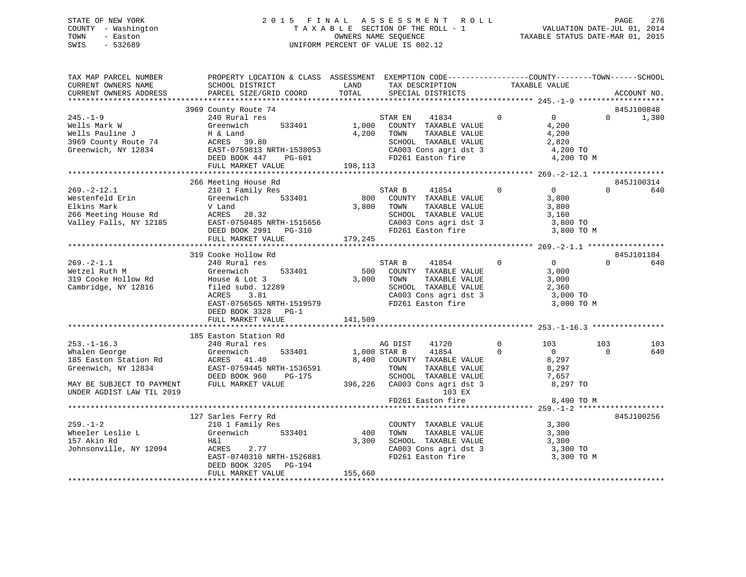## STATE OF NEW YORK 2 0 1 5 F I N A L A S S E S S M E N T R O L L PAGE 276 COUNTY - Washington T A X A B L E SECTION OF THE ROLL - 1 VALUATION DATE-JUL 01, 2014 TOWN - Easton OWNERS NAME SEQUENCE TAXABLE STATUS DATE-MAR 01, 2015 SWIS - 532689 UNIFORM PERCENT OF VALUE IS 002.12

| TAX MAP PARCEL NUMBER<br>CURRENT OWNERS NAME<br>CURRENT OWNERS ADDRESS      | PROPERTY LOCATION & CLASS ASSESSMENT EXEMPTION CODE---------------COUNTY-------TOWN------SCHOOL<br>SCHOOL DISTRICT LAND<br>PARCEL SIZE/GRID COORD                                                                                                                                                                                                             | TOTAL   | TAX DESCRIPTION TAXABLE VALUE SPECIAL DISTRICTS                                                                                                    |                                                   |                 | ACCOUNT NO.                |
|-----------------------------------------------------------------------------|---------------------------------------------------------------------------------------------------------------------------------------------------------------------------------------------------------------------------------------------------------------------------------------------------------------------------------------------------------------|---------|----------------------------------------------------------------------------------------------------------------------------------------------------|---------------------------------------------------|-----------------|----------------------------|
|                                                                             |                                                                                                                                                                                                                                                                                                                                                               |         |                                                                                                                                                    |                                                   |                 |                            |
| $245. - 1 - 9$                                                              | 3969 County Route 74<br>240 Rural res                                                                                                                                                                                                                                                                                                                         |         | STAR EN 41834 0                                                                                                                                    | $\overline{0}$<br>4,200 TO M                      |                 | 845J100848<br>$0 \t 1,380$ |
|                                                                             |                                                                                                                                                                                                                                                                                                                                                               |         |                                                                                                                                                    |                                                   |                 |                            |
|                                                                             | 266 Meeting House Rd<br>210 1 Family Res<br>Greenwich 533401 800 COUNTY TAXABLE VALUE<br>2000 TOWNT TAXABLE VALUE<br>269.-2-12.1<br>Westenfeld Erin Greenwich 533401<br>Elkins Mark V Land 3,800 TOWN TAXABLE VALUE 3,000<br>266 Meeting House Rd ACRES 28.32<br>28.32 EAST-0750485 NRTH-1515656 CA003 Cons agri dst 3 3,800 TOWN<br>DEED BOOK 2991 PG-310 FD |         |                                                                                                                                                    | $\overline{0}$                                    | $\Omega$        | 845J100314<br>640          |
|                                                                             |                                                                                                                                                                                                                                                                                                                                                               |         |                                                                                                                                                    |                                                   |                 | 845J101184                 |
|                                                                             | EAST-0756565 NRTH-1519579<br>DEED BOOK 3328 PG-1<br>FULL MARKET VALUE                                                                                                                                                                                                                                                                                         | 141,509 | STAR B 41854 0<br>500 COUNTY TAXABLE VALUE<br>TOWN TAXABLE VALUE 3,000<br>SCHOOL TAXABLE VALUE 2,360<br>CA003 Cons agri dst 3<br>FD261 Easton fire | $\overline{0}$<br>3,000<br>3,000 TO<br>3,000 TO M | $\Omega$        | 640                        |
|                                                                             |                                                                                                                                                                                                                                                                                                                                                               |         |                                                                                                                                                    |                                                   |                 |                            |
|                                                                             | 185 Easton Station Rd<br>253.-1-16.3<br>Whalen George 240 Rural res<br>185 Easton Station Rd<br>Greenwich, NY 12834<br>Premis Control Control Control Control Control Control Control Control Control Control Control Control Control Control Control Control C                                                                                               |         | AG DIST 41720<br>1,000 STAR B 41854<br>$\overline{0}$<br>8,400 COUNTY TAXABLE VALUE                                                                | $\overline{0}$<br>103<br>$\overline{0}$<br>8,297  | 103<br>$\Omega$ | 103<br>640                 |
| MAY BE SUBJECT TO PAYMENT<br>UNDER AGDIST LAW TIL 2019                      | EAST-0759445 NRTH-1536591 TOWN TAXABLE VALUE 8,297<br>DEED BOOK 960 PG-175 SCHOOL TAXABLE VALUE 7,657<br>FULL MARKET VALUE 396,226 CA003 Cons agri dst 3 8,297 TO<br>TOWN TAXABLE VALUE 7,657<br>SCHOOL TAXABLE VALUE 7,657<br>103 EX<br>F                                                                                                                    |         |                                                                                                                                                    | 8,400 TO M                                        |                 |                            |
|                                                                             |                                                                                                                                                                                                                                                                                                                                                               |         |                                                                                                                                                    |                                                   |                 |                            |
| $259. - 1 - 2$<br>Wheeler Leslie L<br>157 Akin Rd<br>Johnsonville, NY 12094 | 127 Sarles Ferry Rd<br>210 1 Family Res<br>Greenwich 533401 400 TOWN TAXABLE VALUE<br>Greenwich 533401 400 TOWN TAXABLE VALUE<br>Greenwich 533401<br>H&l<br>ACRES 2.77<br>ACRES 2.77<br>EAST-0740310 NRTH-1526881<br>DEED BOOK 3205 PG-194<br>FULL MARKET VALUE                                                                                               | 155,660 | COUNTY TAXABLE VALUE 3,300<br>$3,300$ SCHOOL TAXABLE VALUE $3,300$<br>CA003 Cons agri dst 3 3,300 TO<br>FD261 Easton fire 3,300 TO M               | 3,300                                             |                 | 845J100256                 |
|                                                                             |                                                                                                                                                                                                                                                                                                                                                               |         |                                                                                                                                                    |                                                   |                 |                            |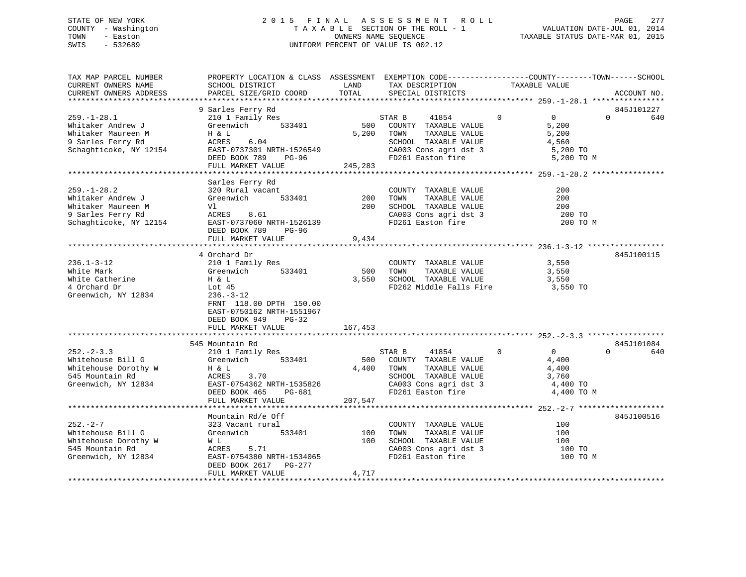## STATE OF NEW YORK 2 0 1 5 F I N A L A S S E S S M E N T R O L L PAGE 277 COUNTY - Washington T A X A B L E SECTION OF THE ROLL - 1 VALUATION DATE-JUL 01, 2014 TOWN - Easton OWNERS NAME SEQUENCE TAXABLE STATUS DATE-MAR 01, 2015 SWIS - 532689 UNIFORM PERCENT OF VALUE IS 002.12

| SCHOOL DISTRICT<br>PARCEL SIZE/GRID COORD                                                                                                                         | LAND<br>TOTAL                                                                                                                                                                             | TAX DESCRIPTION<br>SPECIAL DISTRICTS                                                                | TAXABLE VALUE                                                                                                                               | ACCOUNT NO.                                                                                                                                                                                                                                                                                                                              |                                                                                                                                                                                                                                                    |
|-------------------------------------------------------------------------------------------------------------------------------------------------------------------|-------------------------------------------------------------------------------------------------------------------------------------------------------------------------------------------|-----------------------------------------------------------------------------------------------------|---------------------------------------------------------------------------------------------------------------------------------------------|------------------------------------------------------------------------------------------------------------------------------------------------------------------------------------------------------------------------------------------------------------------------------------------------------------------------------------------|----------------------------------------------------------------------------------------------------------------------------------------------------------------------------------------------------------------------------------------------------|
|                                                                                                                                                                   |                                                                                                                                                                                           |                                                                                                     |                                                                                                                                             |                                                                                                                                                                                                                                                                                                                                          |                                                                                                                                                                                                                                                    |
| 210 1 Family Res<br>Greenwich 533401<br>EAST-0737301 NRTH-1526549<br>DEED BOOK 789 PG-96                                                                          |                                                                                                                                                                                           | 41854<br>COUNTY TAXABLE VALUE<br>TOWN<br>TAXABLE VALUE<br>SCHOOL TAXABLE VALUE<br>FD261 Easton fire | $\overline{0}$<br>$\Omega$<br>5,200<br>5,200<br>4,560                                                                                       | 845J101227<br>$\Omega$                                                                                                                                                                                                                                                                                                                   | 640                                                                                                                                                                                                                                                |
|                                                                                                                                                                   |                                                                                                                                                                                           |                                                                                                     |                                                                                                                                             |                                                                                                                                                                                                                                                                                                                                          |                                                                                                                                                                                                                                                    |
| 320 Rural vacant<br>Greenwich<br>Vl<br>ACRES 8.61<br>EAST-0737060 NRTH-1526139<br>DEED BOOK 789<br>PG-96                                                          | 200<br>200                                                                                                                                                                                | COUNTY TAXABLE VALUE<br>TOWN                                                                        | 200<br>200<br>200                                                                                                                           |                                                                                                                                                                                                                                                                                                                                          |                                                                                                                                                                                                                                                    |
| FULL MARKET VALUE                                                                                                                                                 | 9,434                                                                                                                                                                                     |                                                                                                     |                                                                                                                                             |                                                                                                                                                                                                                                                                                                                                          |                                                                                                                                                                                                                                                    |
| 210 1 Family Res<br>533401<br>Greenwich<br>H & L<br>Lot 45<br>$236. - 3 - 12$<br>FRNT 118.00 DPTH 150.00<br>EAST-0750162 NRTH-1551967<br>DEED BOOK 949<br>$PG-32$ |                                                                                                                                                                                           | TOWN                                                                                                | 3,550<br>3,550<br>3,550                                                                                                                     | 845J100115                                                                                                                                                                                                                                                                                                                               |                                                                                                                                                                                                                                                    |
|                                                                                                                                                                   |                                                                                                                                                                                           |                                                                                                     |                                                                                                                                             |                                                                                                                                                                                                                                                                                                                                          |                                                                                                                                                                                                                                                    |
|                                                                                                                                                                   |                                                                                                                                                                                           |                                                                                                     |                                                                                                                                             |                                                                                                                                                                                                                                                                                                                                          |                                                                                                                                                                                                                                                    |
| 533401<br>Greenwich<br>H & L<br>ACRES<br>3.70<br>EAST-0754362 NRTH-1535826<br>DEED BOOK 465<br>PG-681                                                             |                                                                                                                                                                                           | 41854<br>FD261 Easton fire                                                                          | $\overline{0}$<br>$\Omega$<br>4,400<br>4,400<br>3,760                                                                                       | $\Omega$                                                                                                                                                                                                                                                                                                                                 | 640                                                                                                                                                                                                                                                |
|                                                                                                                                                                   |                                                                                                                                                                                           |                                                                                                     |                                                                                                                                             |                                                                                                                                                                                                                                                                                                                                          |                                                                                                                                                                                                                                                    |
| Mountain Rd/e Off<br>323 Vacant rural<br>Greenwich<br>533401<br>W L<br>ACRES<br>5.71<br>DEED BOOK 2617 PG-277<br>FULL MARKET VALUE                                | 100<br>4,717                                                                                                                                                                              | TOWN<br>SCHOOL TAXABLE VALUE<br>FD261 Easton fire                                                   | 100<br>100<br>100                                                                                                                           | 845J100516                                                                                                                                                                                                                                                                                                                               |                                                                                                                                                                                                                                                    |
|                                                                                                                                                                   | 9 Sarles Ferry Rd<br>$H \& L$<br>ACRES 6.04<br>Schaghticoke, NY 12154<br>Sarles Ferry Rd<br>4 Orchard Dr<br>FULL MARKET VALUE<br>545 Mountain Rd<br>210 1 Family Res<br>FULL MARKET VALUE | 533401<br>EAST-0754380 NRTH-1534065                                                                 | 500<br>STAR B<br>5,200<br>FULL MARKET VALUE 245,283<br>500<br>167,453<br>STAR B<br>500 COUNTY TAXABLE VALUE<br>4,400 TOWN<br>207,547<br>100 | CA003 Cons agri dst 3<br>TAXABLE VALUE<br>TAXABLE VALUE<br>SCHOOL TAXABLE VALUE<br>CA003 Cons agri dst 3<br>FD261 Easton fire<br>COUNTY TAXABLE VALUE<br>TAXABLE VALUE<br>3,550 SCHOOL TAXABLE VALUE<br>TAXABLE VALUE<br>SCHOOL TAXABLE VALUE<br>CA003 Cons agri dst 3<br>COUNTY TAXABLE VALUE<br>TAXABLE VALUE<br>CA003 Cons agri dst 3 | PROPERTY LOCATION & CLASS ASSESSMENT EXEMPTION CODE----------------COUNTY-------TOWN------SCHOOL<br>5,200 TO<br>5,200 TO M<br>200 TO<br>200 TO M<br>FD262 Middle Falls Fire 3,550 TO<br>845J101084<br>4,400 TO<br>4,400 TO M<br>100 TO<br>100 TO M |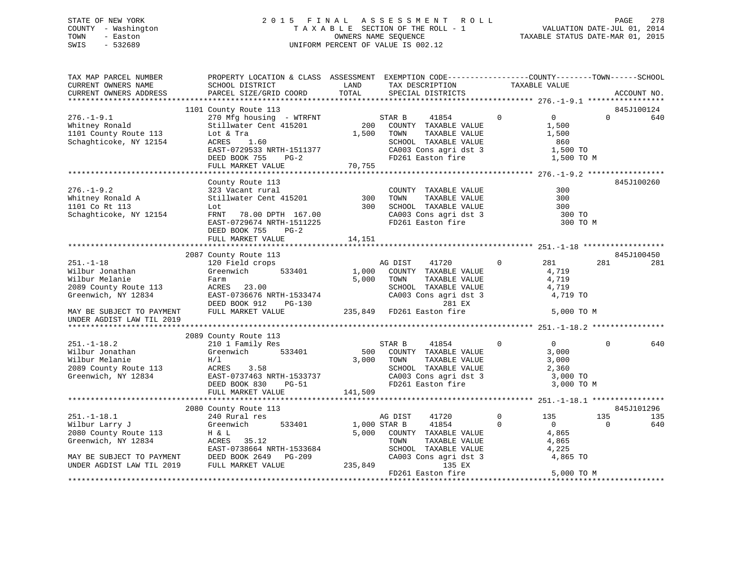## STATE OF NEW YORK 2 0 1 5 F I N A L A S S E S S M E N T R O L L PAGE 278 COUNTY - Washington T A X A B L E SECTION OF THE ROLL - 1 VALUATION DATE-JUL 01, 2014 TOWN - Easton **CONNERS NAME SEQUENCE** TAXABLE STATUS DATE-MAR 01, 2015 SWIS - 532689 UNIFORM PERCENT OF VALUE IS 002.12

| TAX MAP PARCEL NUMBER<br>CURRENT OWNERS NAME<br>CURRENT OWNERS ADDRESS                                                            | PROPERTY LOCATION & CLASS ASSESSMENT EXEMPTION CODE----------------COUNTY-------TOWN------SCHOOL<br>SCHOOL DISTRICT<br>PARCEL SIZE/GRID COORD             | LAND<br>TOTAL  | TAX DESCRIPTION<br>SPECIAL DISTRICTS                                                                                                                | TAXABLE VALUE           |                                                                   | ACCOUNT NO.       |
|-----------------------------------------------------------------------------------------------------------------------------------|-----------------------------------------------------------------------------------------------------------------------------------------------------------|----------------|-----------------------------------------------------------------------------------------------------------------------------------------------------|-------------------------|-------------------------------------------------------------------|-------------------|
|                                                                                                                                   |                                                                                                                                                           |                |                                                                                                                                                     |                         |                                                                   |                   |
| $276. - 1 - 9.1$<br>Whitney Ronald<br>1101 County Route 113<br>Schaghticoke, NY 12154                                             | 1101 County Route 113<br>270 Mfg housing - WTRFNT<br>Stillwater Cent 415201<br>Lot & Tra<br>ACRES 1.60<br>EAST-0729533 NRTH-1511377<br>DEED BOOK 755 PG-2 | 1,500          | STAR B<br>41854<br>200 COUNTY TAXABLE VALUE<br>TAXABLE VALUE<br>TOWN<br>SCHOOL TAXABLE VALUE<br>CA003 Cons agri dst 3 1,500 TO<br>FD261 Easton fire | $\Omega$                | $\overline{0}$<br>$\Omega$<br>1,500<br>1,500<br>860<br>1,500 TO M | 845J100124<br>640 |
|                                                                                                                                   | FULL MARKET VALUE                                                                                                                                         | 70,755         |                                                                                                                                                     |                         |                                                                   |                   |
| $276. - 1 - 9.2$<br>Whitney Ronald A<br>1101 Co Rt 113<br>Schaghticoke, NY 12154                                                  | County Route 113<br>323 Vacant rural<br>Stillwater Cent 415201<br>Lot<br>FRNT 78.00 DPTH 167.00<br>EAST-0729674 NRTH-1511225<br>DEED BOOK 755<br>$PG-2$   | 300<br>300     | COUNTY TAXABLE VALUE<br>TAXABLE VALUE<br>TOWN<br>SCHOOL TAXABLE VALUE<br>CA003 Cons agri dst 3<br>FD261 Easton fire                                 |                         | 300<br>300<br>300<br>300 TO<br>300 TO M                           | 845J100260        |
|                                                                                                                                   | FULL MARKET VALUE                                                                                                                                         | 14,151         |                                                                                                                                                     |                         |                                                                   |                   |
|                                                                                                                                   |                                                                                                                                                           |                |                                                                                                                                                     |                         |                                                                   |                   |
| $251. - 1 - 18$<br>Wilbur Jonathan<br>Wilbur Melanie<br>2089 County Route 113<br>Greenwich, NY 12834<br>MAY BE SUBJECT TO PAYMENT | 2087 County Route 113<br>120 Field crops<br>533401<br>Greenwich<br>Farm<br>ACRES 23.00<br>EAST-0736676 NRTH-1533474<br>DEED BOOK 912<br>FULL MARKET VALUE | 1,000<br>5,000 | AG DIST<br>41720<br>COUNTY TAXABLE VALUE<br>TAXABLE VALUE<br>TOWN<br>SCHOOL TAXABLE VALUE<br>CA003 Cons agri dst 3<br>281 EX                        | $\mathbf{0}$            | 281<br>281<br>4,719<br>4,719<br>4,719<br>4,719 TO<br>5,000 TO M   | 845J100450<br>281 |
| UNDER AGDIST LAW TIL 2019                                                                                                         |                                                                                                                                                           |                |                                                                                                                                                     |                         |                                                                   |                   |
| $251. - 1 - 18.2$<br>Wilbur Jonathan<br>Wilbur Melanie<br>2089 County Route 113                                                   | 2089 County Route 113<br>210 1 Family Res<br>Greenwich<br>533401<br>H/1<br>ACRES 3.58                                                                     | 500<br>3,000   | STAR B<br>41854<br>COUNTY TAXABLE VALUE<br>TAXABLE VALUE<br>TOWN<br>SCHOOL TAXABLE VALUE<br>SCHOOL TAXABLE VALUE<br>CA003 Cons agri dst 3           | $\Omega$                | $\Omega$<br>$\Omega$<br>3,000<br>3,000<br>2,360                   | 640               |
| Greenwich, NY 12834                                                                                                               | EAST-0737463 NRTH-1533737<br>DEED BOOK 830<br><b>PG-51</b><br>FULL MARKET VALUE                                                                           | 141,509        | FD261 Easton fire                                                                                                                                   |                         | 3,000 TO<br>3,000 TO M                                            |                   |
|                                                                                                                                   | 2080 County Route 113                                                                                                                                     |                |                                                                                                                                                     |                         |                                                                   | 845J101296        |
| $251. - 1 - 18.1$<br>Wilbur Larry J<br>2080 County Route 113<br>Greenwich, NY 12834                                               | 240 Rural res<br>533401<br>Greenwich<br>H & L<br>ACRES 35.12<br>EAST-0738664 NRTH-1533684                                                                 | 5,000          | 41720<br>AG DIST<br>1,000 STAR B<br>41854<br>COUNTY TAXABLE VALUE<br>TAXABLE VALUE<br>TOWN<br>SCHOOL TAXABLE VALUE                                  | $\mathbf 0$<br>$\Omega$ | 135<br>135<br>$\Omega$<br>$\Omega$<br>4,865<br>4,865<br>4,225     | 135<br>640        |
| MAY BE SUBJECT TO PAYMENT<br>UNDER AGDIST LAW TIL 2019                                                                            | DEED BOOK 2649 PG-209<br>FULL MARKET VALUE                                                                                                                | 235,849        | CA003 Cons agri dst 3<br>135 EX<br>FD261 Easton fire                                                                                                |                         | 4,865 TO<br>5,000 TO M                                            |                   |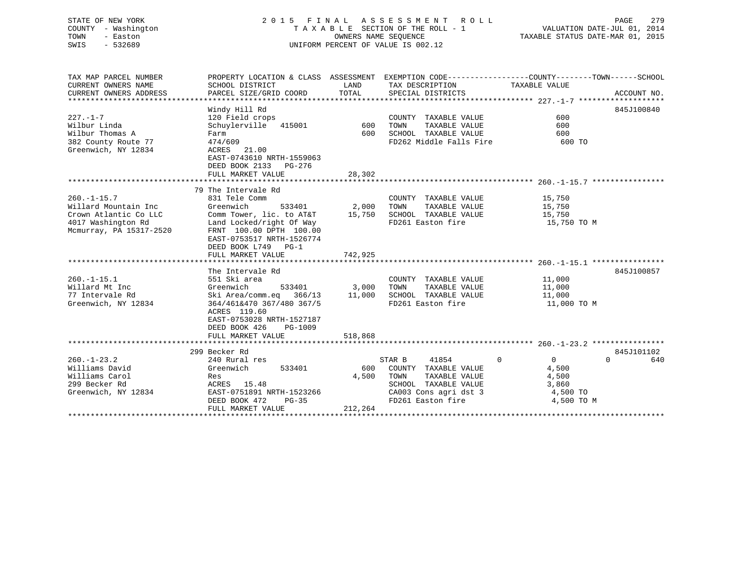## STATE OF NEW YORK 2 0 1 5 F I N A L A S S E S S M E N T R O L L PAGE 279 COUNTY - Washington T A X A B L E SECTION OF THE ROLL - 1 VALUATION DATE-JUL 01, 2014 TOWN - Easton OWNERS NAME SEQUENCE TAXABLE STATUS DATE-MAR 01, 2015 SWIS - 532689 UNIFORM PERCENT OF VALUE IS 002.12

| TAX MAP PARCEL NUMBER<br>CURRENT OWNERS NAME<br>CURRENT OWNERS ADDRESS                                             | PROPERTY LOCATION & CLASS ASSESSMENT EXEMPTION CODE----------------COUNTY-------TOWN------SCHOOL<br>SCHOOL DISTRICT<br>PARCEL SIZE/GRID COORD                                                             | LAND<br>TOTAL    | TAX DESCRIPTION<br>SPECIAL DISTRICTS                                                                                                          | TAXABLE VALUE                                                                      | ACCOUNT NO.     |
|--------------------------------------------------------------------------------------------------------------------|-----------------------------------------------------------------------------------------------------------------------------------------------------------------------------------------------------------|------------------|-----------------------------------------------------------------------------------------------------------------------------------------------|------------------------------------------------------------------------------------|-----------------|
| $227. - 1 - 7$<br>Wilbur Linda<br>Wilbur Thomas A<br>382 County Route 77<br>Greenwich, NY 12834                    | Windy Hill Rd<br>120 Field crops<br>Schuylerville 415001 600<br>Farm<br>474/609<br>ACRES 21.00<br>EAST-0743610 NRTH-1559063<br>DEED BOOK 2133 PG-276<br>FULL MARKET VALUE                                 | 600<br>28,302    | COUNTY TAXABLE VALUE<br>TAXABLE VALUE<br>TOWN<br>SCHOOL TAXABLE VALUE<br>FD262 Middle Falls Fire                                              | 600<br>600<br>600<br>600 TO                                                        | 845J100840      |
|                                                                                                                    |                                                                                                                                                                                                           |                  |                                                                                                                                               |                                                                                    |                 |
| $260. -1 - 15.7$<br>Willard Mountain Inc<br>Crown Atlantic Co LLC<br>4017 Washington Rd<br>Mcmurray, PA 15317-2520 | 79 The Intervale Rd<br>831 Tele Comm<br>Greenwich<br>533401<br>Comm Tower, lic. to AT&T 15,750<br>Land Locked/right Of Way<br>FRNT 100.00 DPTH 100.00<br>EAST-0753517 NRTH-1526774<br>DEED BOOK L749 PG-1 | 2,000            | COUNTY TAXABLE VALUE<br>TAXABLE VALUE<br>TOWN<br>SCHOOL TAXABLE VALUE<br>FD261 Easton fire                                                    | 15,750<br>15,750<br>15,750<br>15,750 TO M                                          |                 |
|                                                                                                                    | FULL MARKET VALUE                                                                                                                                                                                         | 742,925          |                                                                                                                                               |                                                                                    |                 |
| $260. -1 - 15.1$<br>Willard Mt Inc<br>77 Intervale Rd                                                              | The Intervale Rd<br>551 Ski area<br>Greenwich<br>Ski Area/comm.eq 366/13 11,000                                                                                                                           | 533401 3,000     | COUNTY TAXABLE VALUE 11,000<br>TOWN<br>TAXABLE VALUE<br>SCHOOL TAXABLE VALUE                                                                  | 11,000<br>11,000                                                                   | 845J100857      |
| Greenwich, NY 12834                                                                                                | 364/461&470 367/480 367/5<br>ACRES 119.60<br>EAST-0753028 NRTH-1527187<br>DEED BOOK 426<br>PG-1009<br>FULL MARKET VALUE                                                                                   | 518,868          | FD261 Easton fire                                                                                                                             | 11,000 TO M                                                                        |                 |
|                                                                                                                    | 299 Becker Rd                                                                                                                                                                                             |                  |                                                                                                                                               |                                                                                    | 845J101102      |
| $260. -1 - 23.2$<br>Williams David<br>Williams Carol<br>299 Becker Rd<br>Greenwich, NY 12834                       | 240 Rural res<br>533401<br>Greenwich<br>Res<br>ACRES 15.48<br>EAST-0751891 NRTH-1523266<br>DEED BOOK 472<br>$PG-35$<br>FULL MARKET VALUE                                                                  | 4,500<br>212,264 | 41854<br>STAR B<br>600 COUNTY TAXABLE VALUE<br>4,500 TOWN TAXABLE VALUE<br>SCHOOL TAXABLE VALUE<br>CA003 Cons agri dst 3<br>FD261 Easton fire | $\mathbf 0$<br>$\overline{0}$<br>4,500<br>4,500<br>3,860<br>4,500 TO<br>4,500 TO M | $\Omega$<br>640 |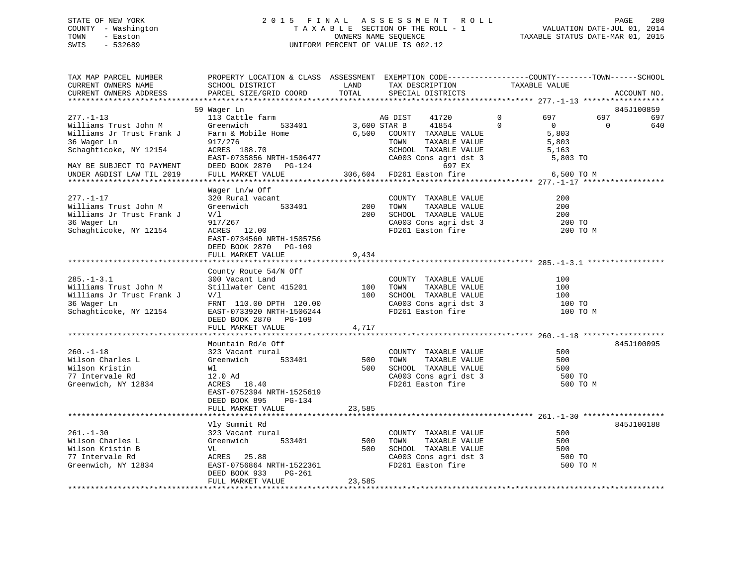## STATE OF NEW YORK 2 0 1 5 F I N A L A S S E S S M E N T R O L L PAGE 280 COUNTY - Washington T A X A B L E SECTION OF THE ROLL - 1 VALUATION DATE-JUL 01, 2014 TOWN - Easton OWNERS NAME SEQUENCE TAXABLE STATUS DATE-MAR 01, 2015 SWIS - 532689 UNIFORM PERCENT OF VALUE IS 002.12

| TAX MAP PARCEL NUMBER<br>CURRENT OWNERS NAME<br>CURRENT OWNERS ADDRESS                                                                                                   | PROPERTY LOCATION & CLASS ASSESSMENT EXEMPTION CODE----------------COUNTY-------TOWN-----SCHOOL<br>SCHOOL DISTRICT<br>PARCEL SIZE/GRID COORD                                      | LAND<br>TOTAL        | TAX DESCRIPTION<br>SPECIAL DISTRICTS                                                                                                             | TAXABLE VALUE                                                                                         |                 | ACCOUNT NO.              |
|--------------------------------------------------------------------------------------------------------------------------------------------------------------------------|-----------------------------------------------------------------------------------------------------------------------------------------------------------------------------------|----------------------|--------------------------------------------------------------------------------------------------------------------------------------------------|-------------------------------------------------------------------------------------------------------|-----------------|--------------------------|
|                                                                                                                                                                          |                                                                                                                                                                                   |                      |                                                                                                                                                  |                                                                                                       |                 |                          |
| $277. - 1 - 13$<br>Williams Trust John M<br>Williams Jr Trust Frank J<br>36 Wager Ln<br>Schaghticoke, NY 12154<br>MAY BE SUBJECT TO PAYMENT<br>UNDER AGDIST LAW TIL 2019 | 59 Wager Ln<br>113 Cattle farm<br>Greenwich<br>533401<br>Farm & Mobile Home<br>917/276<br>ACRES 188.70<br>EAST-0735856 NRTH-1506477<br>DEED BOOK 2870 PG-124<br>FULL MARKET VALUE | 3,600 STAR B         | AG DIST<br>41720<br>41854<br>6,500 COUNTY TAXABLE VALUE<br>TOWN<br>TAXABLE VALUE<br>CA003 Cons agri dst 3<br>697 EX<br>306,604 FD261 Easton fire | $\mathbf 0$<br>697<br>$\Omega$<br>$\overline{0}$<br>5,803<br>5,803<br>5,163<br>5,803 TO<br>6,500 TO M | 697<br>$\Omega$ | 845J100859<br>697<br>640 |
| $277. - 1 - 17$<br>Williams Trust John M<br>Williams Jr Trust Frank J<br>36 Waqer Ln<br>Schaghticoke, NY 12154                                                           | Wager Ln/w Off<br>320 Rural vacant<br>533401<br>Greenwich<br>V/1<br>917/267<br>ACRES 12.00<br>EAST-0734560 NRTH-1505756<br>DEED BOOK 2870 PG-109<br>FULL MARKET VALUE             | 200<br>200<br>9,434  | COUNTY TAXABLE VALUE<br>TOWN      TAXABLE  VALUE<br>SCHOOL   TAXABLE  VALUE<br>CA003 Cons agri dst 3<br>FD261 Easton fire                        | 200<br>200<br>200<br>200 TO<br>200 TO M                                                               |                 |                          |
|                                                                                                                                                                          | County Route 54/N Off                                                                                                                                                             |                      |                                                                                                                                                  |                                                                                                       |                 |                          |
| $285. - 1 - 3.1$<br>Williams Trust John M<br>Williams Jr Trust Frank J<br>36 Wager Ln<br>Schaghticoke, NY 12154                                                          | 300 Vacant Land<br>Stillwater Cent 415201<br>V/l<br>FRNT 110.00 DPTH 120.00<br>EAST-0733920 NRTH-1506244<br>DEED BOOK 2870 PG-109                                                 | 100<br>100           | COUNTY TAXABLE VALUE<br>TAXABLE VALUE<br>TOWN<br>SCHOOL TAXABLE VALUE<br>CA003 Cons agri dst 3<br>FD261 Easton fire                              | 100<br>100<br>100<br>100 TO<br>100 TO M                                                               |                 |                          |
|                                                                                                                                                                          | FULL MARKET VALUE                                                                                                                                                                 | 4,717                |                                                                                                                                                  |                                                                                                       |                 |                          |
| $260. -1 - 18$<br>Wilson Charles L<br>Wilson Kristin<br>77 Intervale Rd<br>Greenwich, NY 12834                                                                           | Mountain Rd/e Off<br>323 Vacant rural<br>533401<br>Greenwich<br>Wl<br>12.0 Ad<br>ACRES 18.40<br>EAST-0752394 NRTH-1525619<br>DEED BOOK 895<br>PG-134                              | 500<br>500           | COUNTY TAXABLE VALUE<br>TAXABLE VALUE<br>TOWN<br>SCHOOL TAXABLE VALUE<br>CA003 Cons agri dst 3<br>FD261 Easton fire                              | 500<br>500<br>500<br>500 TO<br>500 TO M                                                               |                 | 845J100095               |
|                                                                                                                                                                          | FULL MARKET VALUE                                                                                                                                                                 | 23,585               |                                                                                                                                                  |                                                                                                       |                 |                          |
|                                                                                                                                                                          |                                                                                                                                                                                   |                      |                                                                                                                                                  |                                                                                                       |                 | 845J100188               |
| $261. - 1 - 30$<br>Wilson Charles L<br>Wilson Kristin B<br>77 Intervale Rd<br>Greenwich, NY 12834                                                                        | Vly Summit Rd<br>323 Vacant rural<br>Greenwich<br>533401<br>VL<br>ACRES 25.88<br>EAST-0756864 NRTH-1522361<br>DEED BOOK 933<br>PG-261<br>FULL MARKET VALUE                        | 500<br>500<br>23,585 | COUNTY TAXABLE VALUE<br>TOWN<br>TAXABLE VALUE<br>SCHOOL TAXABLE VALUE<br>CA003 Cons agri dst 3<br>FD261 Easton fire                              | 500<br>500<br>500<br>500 TO<br>500 TO M                                                               |                 |                          |
|                                                                                                                                                                          |                                                                                                                                                                                   |                      |                                                                                                                                                  |                                                                                                       |                 |                          |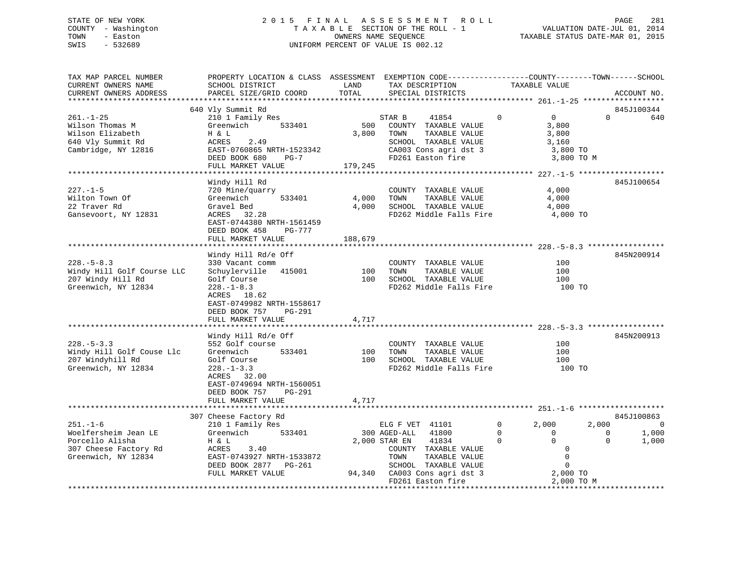# STATE OF NEW YORK 2 0 1 5 F I N A L A S S E S S M E N T R O L L PAGE 281COUNTY - Washington  $T A X A B L E$  SECTION OF THE ROLL - 1<br>TOWN - Easton DATE-JUL 2011 COUNTERS NAME SEQUENCE SWIS - 532689 UNIFORM PERCENT OF VALUE IS 002.12

TAXABLE STATUS DATE-MAR 01, 2015

| TAX MAP PARCEL NUMBER                        |                               |         | PROPERTY LOCATION & CLASS ASSESSMENT EXEMPTION CODE---------------COUNTY-------TOWN------SCHOOL |                                     |                              |
|----------------------------------------------|-------------------------------|---------|-------------------------------------------------------------------------------------------------|-------------------------------------|------------------------------|
| CURRENT OWNERS NAME                          | SCHOOL DISTRICT               | LAND    | TAX DESCRIPTION                                                                                 | TAXABLE VALUE                       |                              |
| CURRENT OWNERS ADDRESS                       | PARCEL SIZE/GRID COORD        | TOTAL   | SPECIAL DISTRICTS                                                                               |                                     | ACCOUNT NO.                  |
|                                              |                               |         |                                                                                                 |                                     |                              |
|                                              | 640 Vly Summit Rd             |         |                                                                                                 |                                     | 845J100344                   |
| $261. - 1 - 25$                              | 210 1 Family Res              |         | STAR B<br>41854                                                                                 | $0 \qquad \qquad$<br>$\overline{0}$ | $\Omega$ and $\Omega$<br>640 |
| Wilson Thomas M                              | 533401<br>Greenwich           | 500     | COUNTY TAXABLE VALUE                                                                            | 3,800                               |                              |
| Wilson Elizabeth                             | H & L                         | 3,800   | TOWN<br>TAXABLE VALUE                                                                           | 3,800                               |                              |
| 640 Vly Summit Rd                            | 2.49<br>ACRES                 |         | SCHOOL TAXABLE VALUE                                                                            | 3,160                               |                              |
| Cambridge, NY 12816                          | EAST-0760865 NRTH-1523342     |         | CA003 Cons agri dst 3                                                                           | 3,800 TO                            |                              |
|                                              | DEED BOOK 680 PG-7            |         | FD261 Easton fire                                                                               | 3,800 TO M                          |                              |
|                                              | FULL MARKET VALUE             | 179,245 |                                                                                                 |                                     |                              |
|                                              |                               |         |                                                                                                 |                                     |                              |
|                                              | Windy Hill Rd                 |         |                                                                                                 |                                     | 845J100654                   |
| $227. - 1 - 5$                               | 720 Mine/quarry               |         | COUNTY TAXABLE VALUE                                                                            | 4,000                               |                              |
| Wilton Town Of                               | 533401<br>Greenwich           | 4,000   | TOWN<br>TAXABLE VALUE                                                                           | 4,000                               |                              |
| 22 Traver Rd                                 | Gravel Bed                    |         | 4,000 SCHOOL TAXABLE VALUE                                                                      | 4,000                               |                              |
|                                              |                               |         | FD262 Middle Falls Fire 4,000 TO                                                                |                                     |                              |
| Gansevoort, NY 12831                         | ACRES 32.28                   |         |                                                                                                 |                                     |                              |
|                                              | EAST-0744380 NRTH-1561459     |         |                                                                                                 |                                     |                              |
|                                              | DEED BOOK 458<br>PG-777       |         |                                                                                                 |                                     |                              |
|                                              | FULL MARKET VALUE             | 188,679 |                                                                                                 |                                     |                              |
|                                              |                               |         |                                                                                                 |                                     |                              |
|                                              | Windy Hill Rd/e Off           |         |                                                                                                 |                                     | 845N200914                   |
| $228. - 5 - 8.3$                             | 330 Vacant comm               |         | COUNTY TAXABLE VALUE                                                                            | 100                                 |                              |
| Windy Hill Golf Course LLC                   | Schuylerville 415001 100 TOWN |         | TAXABLE VALUE                                                                                   | 100                                 |                              |
| 207 Windy Hill Rd                            | Golf Course                   |         | 100 SCHOOL TAXABLE VALUE                                                                        | 100                                 |                              |
| Greenwich, NY 12834                          | $228. - 1 - 8.3$              |         | FD262 Middle Falls Fire 100 TO                                                                  |                                     |                              |
|                                              | ACRES 18.62                   |         |                                                                                                 |                                     |                              |
|                                              | EAST-0749982 NRTH-1558617     |         |                                                                                                 |                                     |                              |
|                                              | DEED BOOK 757 PG-291          |         |                                                                                                 |                                     |                              |
|                                              | FULL MARKET VALUE             | 4,717   |                                                                                                 |                                     |                              |
|                                              |                               |         |                                                                                                 |                                     |                              |
|                                              | Windy Hill Rd/e Off           |         |                                                                                                 |                                     | 845N200913                   |
| $228. - 5 - 3.3$                             | 552 Golf course               |         | COUNTY TAXABLE VALUE                                                                            | 100                                 |                              |
| Windy Hill Golf Couse Llc                    | Greenwich<br>533401           |         |                                                                                                 | 100                                 |                              |
| 207 Windyhill Rd                             | Golf Course                   |         | 100    TOWN       TAXABLE  VALUE<br>100     SCHOOL    TAXABLE  VALUE                            | 100                                 |                              |
|                                              |                               |         |                                                                                                 |                                     |                              |
| Greenwich, NY 12834                          | $228. - 1 - 3.3$              |         | FD262 Middle Falls Fire                                                                         | 100 TO                              |                              |
|                                              | ACRES 32.00                   |         |                                                                                                 |                                     |                              |
|                                              | EAST-0749694 NRTH-1560051     |         |                                                                                                 |                                     |                              |
|                                              | DEED BOOK 757 PG-291          |         |                                                                                                 |                                     |                              |
|                                              | FULL MARKET VALUE             | 4,717   |                                                                                                 |                                     |                              |
|                                              |                               |         |                                                                                                 |                                     |                              |
|                                              | 307 Cheese Factory Rd         |         |                                                                                                 |                                     | 845J100863                   |
| $251 - 1 - 6$                                | 210 1 Family Res              |         | ELG F VET 41101                                                                                 | $0 \qquad \qquad$<br>2,000          | 2,000<br>$\Omega$            |
| Woelfersheim Jean LE                         | Greenwich 533401              |         | 300 AGED-ALL<br>41800                                                                           |                                     | $\overline{0}$<br>1,000      |
| Porcello Alisha                              | H & L                         |         | 2,000 STAR EN<br>41834                                                                          | $\overline{0}$                      | 1,000<br>$\Omega$            |
|                                              | ACRES 3.40                    |         | COUNTY TAXABLE VALUE                                                                            | $\overline{0}$<br>$\overline{0}$    |                              |
| 307 Cheese Factory Rd<br>Greenwich, NY 12834 | EAST-0743927 NRTH-1533872     |         | TOWN<br>TAXABLE VALUE                                                                           | $\overline{0}$                      |                              |
|                                              | DEED BOOK 2877 PG-261         |         | SCHOOL TAXABLE VALUE                                                                            | $\overline{0}$                      |                              |
|                                              | FULL MARKET VALUE             |         |                                                                                                 | 2,000 TO                            |                              |
|                                              |                               |         | 94,340 CA003 Cons agri dst 3<br>FD261 Easton fire<br>FD261 Easton fire                          | 2,000 TO M                          |                              |
|                                              |                               |         |                                                                                                 |                                     |                              |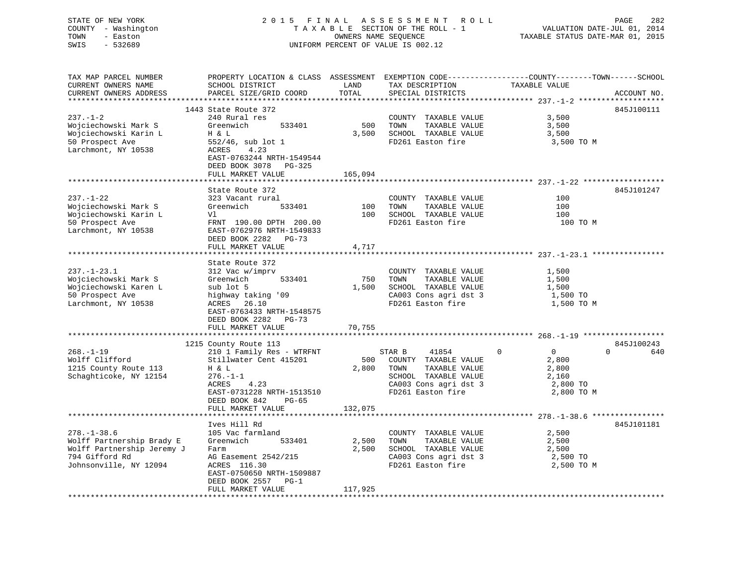## STATE OF NEW YORK 2 0 1 5 F I N A L A S S E S S M E N T R O L L PAGE 282 COUNTY - Washington T A X A B L E SECTION OF THE ROLL - 1 VALUATION DATE-JUL 01, 2014 TOWN - Easton OWNERS NAME SEQUENCE TAXABLE STATUS DATE-MAR 01, 2015 SWIS - 532689 UNIFORM PERCENT OF VALUE IS 002.12

| TAX MAP PARCEL NUMBER      | PROPERTY LOCATION & CLASS ASSESSMENT EXEMPTION CODE----------------COUNTY-------TOWN------SCHOOL |         |                             |                                |                 |
|----------------------------|--------------------------------------------------------------------------------------------------|---------|-----------------------------|--------------------------------|-----------------|
| CURRENT OWNERS NAME        | SCHOOL DISTRICT                                                                                  | LAND    | TAX DESCRIPTION             | TAXABLE VALUE                  |                 |
| CURRENT OWNERS ADDRESS     | PARCEL SIZE/GRID COORD                                                                           | TOTAL   | SPECIAL DISTRICTS           |                                | ACCOUNT NO.     |
|                            |                                                                                                  |         |                             |                                |                 |
|                            | 1443 State Route 372                                                                             |         |                             |                                | 845J100111      |
| $237 - 1 - 2$              | 240 Rural res                                                                                    |         | COUNTY TAXABLE VALUE        | 3,500                          |                 |
| Wojciechowski Mark S       | Greenwich<br>533401                                                                              | 500     | TAXABLE VALUE<br>TOWN       | 3,500                          |                 |
| Wojciechowski Karin L      | H & L                                                                                            | 3,500   | SCHOOL TAXABLE VALUE        |                                |                 |
|                            |                                                                                                  |         |                             | 3,500                          |                 |
| 50 Prospect Ave            | $552/46$ , sub lot 1                                                                             |         | FD261 Easton fire           | 3,500 TO M                     |                 |
| Larchmont, NY 10538        | ACRES<br>4.23                                                                                    |         |                             |                                |                 |
|                            | EAST-0763244 NRTH-1549544                                                                        |         |                             |                                |                 |
|                            | DEED BOOK 3078 PG-325                                                                            |         |                             |                                |                 |
|                            | FULL MARKET VALUE                                                                                | 165,094 |                             |                                |                 |
|                            |                                                                                                  |         |                             |                                |                 |
|                            | State Route 372                                                                                  |         |                             |                                | 845J101247      |
| $237. - 1 - 22$            | 323 Vacant rural                                                                                 |         | COUNTY TAXABLE VALUE        | 100                            |                 |
| Wojciechowski Mark S       | Greenwich<br>533401                                                                              | 100     | TOWN<br>TAXABLE VALUE       | 100                            |                 |
| Wojciechowski Karin L      | Vl                                                                                               | 100     | SCHOOL TAXABLE VALUE        | 100                            |                 |
| 50 Prospect Ave            | FRNT 190.00 DPTH 200.00                                                                          |         | FD261 Easton fire           | 100 TO M                       |                 |
|                            |                                                                                                  |         |                             |                                |                 |
| Larchmont, NY 10538        | EAST-0762976 NRTH-1549833                                                                        |         |                             |                                |                 |
|                            | DEED BOOK 2282 PG-73                                                                             |         |                             |                                |                 |
|                            | FULL MARKET VALUE                                                                                | 4,717   |                             |                                |                 |
|                            |                                                                                                  |         |                             |                                |                 |
|                            | State Route 372                                                                                  |         |                             |                                |                 |
| $237. - 1 - 23.1$          | 312 Vac w/imprv                                                                                  |         | COUNTY TAXABLE VALUE        | 1,500                          |                 |
| Wojciechowski Mark S       | Greenwich<br>533401                                                                              | 750     | TOWN<br>TAXABLE VALUE       | 1,500                          |                 |
| Wojciechowski Karen L      | sub lot 5                                                                                        |         | 1,500 SCHOOL TAXABLE VALUE  | 1,500                          |                 |
| 50 Prospect Ave            | highway taking '09                                                                               |         | CA003 Cons agri dst 3       | 1,500 TO                       |                 |
| Larchmont, NY 10538        | ACRES 26.10                                                                                      |         | FD261 Easton fire           | 1,500 TO M                     |                 |
|                            | EAST-0763433 NRTH-1548575                                                                        |         |                             |                                |                 |
|                            | DEED BOOK 2282 PG-73                                                                             |         |                             |                                |                 |
|                            |                                                                                                  |         |                             |                                |                 |
|                            | FULL MARKET VALUE                                                                                | 70,755  |                             |                                |                 |
|                            |                                                                                                  |         |                             |                                |                 |
|                            | 1215 County Route 113                                                                            |         |                             |                                | 845J100243      |
| $268. - 1 - 19$            | 210 1 Family Res - WTRFNT                                                                        |         | STAR B<br>41854             | $\mathbf{0}$<br>$\overline{0}$ | $\Omega$<br>640 |
| Wolff Clifford             | Stillwater Cent 415201                                                                           |         | 500 COUNTY TAXABLE VALUE    | 2,800                          |                 |
| 1215 County Route 113      | H & L                                                                                            |         | 2,800 TOWN<br>TAXABLE VALUE | 2,800                          |                 |
| Schaghticoke, NY 12154     | $276. - 1 - 1$                                                                                   |         | SCHOOL TAXABLE VALUE        | 2,160                          |                 |
|                            | ACRES<br>4.23                                                                                    |         | CA003 Cons agri dst 3       | 2,800 TO                       |                 |
|                            | EAST-0731228 NRTH-1513510                                                                        |         | FD261 Easton fire           | 2,800 TO M                     |                 |
|                            | DEED BOOK 842<br>PG-65                                                                           |         |                             |                                |                 |
|                            | FULL MARKET VALUE                                                                                | 132,075 |                             |                                |                 |
|                            |                                                                                                  |         |                             |                                |                 |
|                            |                                                                                                  |         |                             |                                |                 |
|                            | Ives Hill Rd                                                                                     |         |                             |                                | 845J101181      |
| $278. - 1 - 38.6$          | 105 Vac farmland                                                                                 |         | COUNTY TAXABLE VALUE        | 2,500                          |                 |
| Wolff Partnership Brady E  | Greenwich<br>533401                                                                              | 2,500   | TOWN<br>TAXABLE VALUE       | 2,500                          |                 |
| Wolff Partnership Jeremy J | Farm                                                                                             | 2,500   | SCHOOL TAXABLE VALUE        | 2,500                          |                 |
| 794 Gifford Rd             | AG Easement 2542/215                                                                             |         | CA003 Cons agri dst 3       | 2,500 TO                       |                 |
| Johnsonville, NY 12094     | ACRES 116.30                                                                                     |         | FD261 Easton fire           | 2,500 TO M                     |                 |
|                            | EAST-0750650 NRTH-1509887                                                                        |         |                             |                                |                 |
|                            | DEED BOOK 2557 PG-1                                                                              |         |                             |                                |                 |
|                            | FULL MARKET VALUE                                                                                | 117,925 |                             |                                |                 |
|                            |                                                                                                  |         |                             |                                |                 |
|                            |                                                                                                  |         |                             |                                |                 |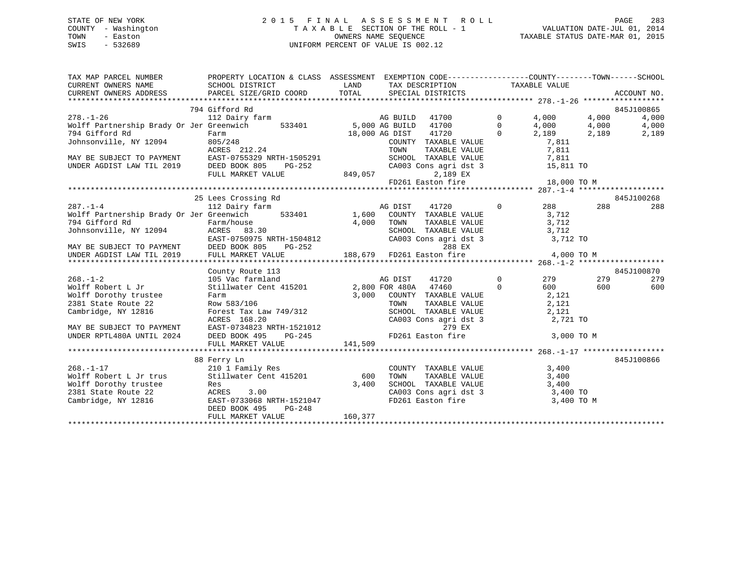## STATE OF NEW YORK 2 0 1 5 F I N A L A S S E S S M E N T R O L L PAGE 283 COUNTY - Washington T A X A B L E SECTION OF THE ROLL - 1 VALUATION DATE-JUL 01, 2014 TOWN - Easton OWNERS NAME SEQUENCE TAXABLE STATUS DATE-MAR 01, 2015 SWIS - 532689 UNIFORM PERCENT OF VALUE IS 002.12

| 794 Gifford Rd<br>845J100865<br>4,000<br>112 Dairy farm <b>being a set of the COV</b> AG BUILD 41700 0<br>$278. - 1 - 26$<br>4,000<br>533401 5,000 AG BUILD 41700 0 4,000 4,000<br>18,000 AG DIST 41720 0 2,189 2,189<br>COUNTY TAXABLE VALUE 7,811<br>24 TOWN TAXABLE VALUE 7,811<br>Wolff Partnership Brady Or Jer Greenwich<br>Wolff Partnership Brady Or Jer Greenwich<br>794 Gifford Rd Farm 18,000 AG DIST 41720 0 2,189<br>Johnsonville, NY 12094 805/248 COUNTY TAXABLE VALUE 7,811<br>MAY BE SUBJECT TO PAYMENT EAST-0755329 NRTH-1505291 TOWN TAXABLE VALUE<br>15,811 TO | TAX MAP PARCEL NUMBER THE PROPERTY LOCATION & CLASS ASSESSMENT EXEMPTION CODE---------------COUNTY-------TOWN------SCHOOL<br>CURRENT OWNERS NAME SCHOOL DISTRICT LAND TAX DESCRIPTION TAXABLE VALUE |  |  |  |            |
|------------------------------------------------------------------------------------------------------------------------------------------------------------------------------------------------------------------------------------------------------------------------------------------------------------------------------------------------------------------------------------------------------------------------------------------------------------------------------------------------------------------------------------------------------------------------------------|-----------------------------------------------------------------------------------------------------------------------------------------------------------------------------------------------------|--|--|--|------------|
|                                                                                                                                                                                                                                                                                                                                                                                                                                                                                                                                                                                    |                                                                                                                                                                                                     |  |  |  |            |
|                                                                                                                                                                                                                                                                                                                                                                                                                                                                                                                                                                                    |                                                                                                                                                                                                     |  |  |  |            |
|                                                                                                                                                                                                                                                                                                                                                                                                                                                                                                                                                                                    |                                                                                                                                                                                                     |  |  |  | 4,000      |
|                                                                                                                                                                                                                                                                                                                                                                                                                                                                                                                                                                                    |                                                                                                                                                                                                     |  |  |  | 4,000      |
|                                                                                                                                                                                                                                                                                                                                                                                                                                                                                                                                                                                    |                                                                                                                                                                                                     |  |  |  | 2,189      |
|                                                                                                                                                                                                                                                                                                                                                                                                                                                                                                                                                                                    |                                                                                                                                                                                                     |  |  |  |            |
|                                                                                                                                                                                                                                                                                                                                                                                                                                                                                                                                                                                    |                                                                                                                                                                                                     |  |  |  |            |
|                                                                                                                                                                                                                                                                                                                                                                                                                                                                                                                                                                                    |                                                                                                                                                                                                     |  |  |  |            |
|                                                                                                                                                                                                                                                                                                                                                                                                                                                                                                                                                                                    |                                                                                                                                                                                                     |  |  |  |            |
|                                                                                                                                                                                                                                                                                                                                                                                                                                                                                                                                                                                    |                                                                                                                                                                                                     |  |  |  |            |
| FD261 Easton fire 18,000 TO M                                                                                                                                                                                                                                                                                                                                                                                                                                                                                                                                                      |                                                                                                                                                                                                     |  |  |  |            |
|                                                                                                                                                                                                                                                                                                                                                                                                                                                                                                                                                                                    |                                                                                                                                                                                                     |  |  |  |            |
| 25 Lees Crossing Rd                                                                                                                                                                                                                                                                                                                                                                                                                                                                                                                                                                |                                                                                                                                                                                                     |  |  |  | 845J100268 |
| $\begin{array}{ccccccccc} & & & & & & 25 \text{ Lees \textit{Crossing} \textit{ra} & & & & & \\ & & & & 112 \text{ Dairy farm} & & & & & & & & \\ \text{Wolff \textit{Partnership} \textit{Brady Or Jer \textit{Greenwich}} & & & & 533401 & & & 1,600 & \text{COUNTY} & \text{TAXABLE VALUE} & & & 3,712 \\ & & & & & & & 794 \text{ Gifford }\textit{Rd} & & & & & & 4,000 & \text{TOWN} & \text{TAXABLE VALUE} & & & 3,712 \\ \text{Johnsonville, NY 12094} &$<br>288                                                                                                           |                                                                                                                                                                                                     |  |  |  | 288        |
|                                                                                                                                                                                                                                                                                                                                                                                                                                                                                                                                                                                    |                                                                                                                                                                                                     |  |  |  |            |
|                                                                                                                                                                                                                                                                                                                                                                                                                                                                                                                                                                                    |                                                                                                                                                                                                     |  |  |  |            |
|                                                                                                                                                                                                                                                                                                                                                                                                                                                                                                                                                                                    |                                                                                                                                                                                                     |  |  |  |            |
|                                                                                                                                                                                                                                                                                                                                                                                                                                                                                                                                                                                    |                                                                                                                                                                                                     |  |  |  |            |
|                                                                                                                                                                                                                                                                                                                                                                                                                                                                                                                                                                                    |                                                                                                                                                                                                     |  |  |  |            |
|                                                                                                                                                                                                                                                                                                                                                                                                                                                                                                                                                                                    |                                                                                                                                                                                                     |  |  |  |            |
|                                                                                                                                                                                                                                                                                                                                                                                                                                                                                                                                                                                    |                                                                                                                                                                                                     |  |  |  |            |
| County Route 113                                                                                                                                                                                                                                                                                                                                                                                                                                                                                                                                                                   |                                                                                                                                                                                                     |  |  |  | 845J100870 |
| 105 Vac farmland<br>105 Vac farmland<br>Stillwater Cent 415201 2,800 FOR 480A 47460<br>279 279<br>41720 0<br>268.-1-2<br>Wolff Robert L Jr<br>105 Vac farmland                                                                                                                                                                                                                                                                                                                                                                                                                     |                                                                                                                                                                                                     |  |  |  | 279        |
| $0 \t\t 600 \t\t 600$                                                                                                                                                                                                                                                                                                                                                                                                                                                                                                                                                              |                                                                                                                                                                                                     |  |  |  | 600        |
|                                                                                                                                                                                                                                                                                                                                                                                                                                                                                                                                                                                    |                                                                                                                                                                                                     |  |  |  |            |
|                                                                                                                                                                                                                                                                                                                                                                                                                                                                                                                                                                                    |                                                                                                                                                                                                     |  |  |  |            |
|                                                                                                                                                                                                                                                                                                                                                                                                                                                                                                                                                                                    |                                                                                                                                                                                                     |  |  |  |            |
| CA003 Cons agri dst 3 2,721 TO                                                                                                                                                                                                                                                                                                                                                                                                                                                                                                                                                     |                                                                                                                                                                                                     |  |  |  |            |
|                                                                                                                                                                                                                                                                                                                                                                                                                                                                                                                                                                                    |                                                                                                                                                                                                     |  |  |  |            |
| $FD261$ Easton fire 3,000 TO M                                                                                                                                                                                                                                                                                                                                                                                                                                                                                                                                                     |                                                                                                                                                                                                     |  |  |  |            |
| Wolff Dorothy trustee<br>2381 State Route 22<br>2381 State Route 22<br>Cambridge, NY 12816<br>Cambridge, NY 12816<br>2,121<br>ACRES 168.20<br>MAY BE SUBJECT TO PAYMENT<br>EAST-0734823 NRTH-1521012<br>UNDER RPTL480A UNTIL 2024<br>DEED BOOK 495                                                                                                                                                                                                                                                                                                                                 |                                                                                                                                                                                                     |  |  |  |            |
|                                                                                                                                                                                                                                                                                                                                                                                                                                                                                                                                                                                    |                                                                                                                                                                                                     |  |  |  |            |
| 88 Ferry Ln                                                                                                                                                                                                                                                                                                                                                                                                                                                                                                                                                                        |                                                                                                                                                                                                     |  |  |  | 845J100866 |
| 210 1 Family Res<br>COUNTY TAXABLE VALUE 3,400<br>$268. - 1 - 17$                                                                                                                                                                                                                                                                                                                                                                                                                                                                                                                  |                                                                                                                                                                                                     |  |  |  |            |
|                                                                                                                                                                                                                                                                                                                                                                                                                                                                                                                                                                                    |                                                                                                                                                                                                     |  |  |  |            |
|                                                                                                                                                                                                                                                                                                                                                                                                                                                                                                                                                                                    |                                                                                                                                                                                                     |  |  |  |            |
|                                                                                                                                                                                                                                                                                                                                                                                                                                                                                                                                                                                    |                                                                                                                                                                                                     |  |  |  |            |
| Wolff Robert L Jr trus and Stillwater Cent 415201 600 TOWN TAXABLE VALUE (ALUE 3,400<br>Wolff Dorothy trustee Res 3.00<br>2381 State Route 22 ACRES 3.00 CA003 Cons agri dst 3 3,400 TOWN Cambridge, NY 12816 ESST-0733068 NRTH-15<br>DEED BOOK 495<br>$PG-248$                                                                                                                                                                                                                                                                                                                    |                                                                                                                                                                                                     |  |  |  |            |
| 160,377<br>FULL MARKET VALUE                                                                                                                                                                                                                                                                                                                                                                                                                                                                                                                                                       |                                                                                                                                                                                                     |  |  |  |            |
|                                                                                                                                                                                                                                                                                                                                                                                                                                                                                                                                                                                    |                                                                                                                                                                                                     |  |  |  |            |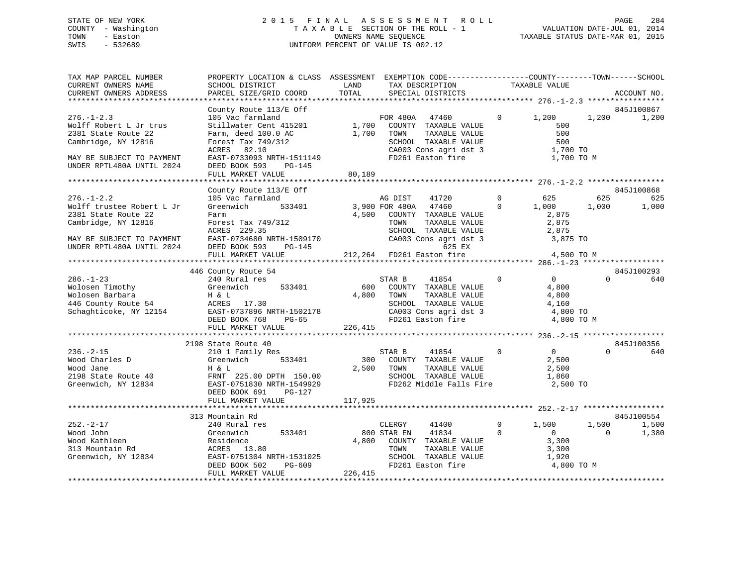## STATE OF NEW YORK 2 0 1 5 F I N A L A S S E S S M E N T R O L L PAGE 284 COUNTY - Washington T A X A B L E SECTION OF THE ROLL - 1 VALUATION DATE-JUL 01, 2014 TOWN - Easton OWNERS NAME SEQUENCE TAXABLE STATUS DATE-MAR 01, 2015 SWIS - 532689 UNIFORM PERCENT OF VALUE IS 002.12

| TAX MAP PARCEL NUMBER<br>CURRENT OWNERS NAME<br>CURRENT OWNERS ADDRESS                                                                                                   | PROPERTY LOCATION & CLASS ASSESSMENT EXEMPTION CODE---------------COUNTY-------TOWN-----SCHOOL<br>SCHOOL DISTRICT<br>PARCEL SIZE/GRID COORD                                                                             | LAND<br>TOTAL                                      |                               | TAX DESCRIPTION<br>SPECIAL DISTRICTS                                                                                                                    |                            | TAXABLE VALUE                                                                                                                                 |                          | ACCOUNT NO.                                     |
|--------------------------------------------------------------------------------------------------------------------------------------------------------------------------|-------------------------------------------------------------------------------------------------------------------------------------------------------------------------------------------------------------------------|----------------------------------------------------|-------------------------------|---------------------------------------------------------------------------------------------------------------------------------------------------------|----------------------------|-----------------------------------------------------------------------------------------------------------------------------------------------|--------------------------|-------------------------------------------------|
|                                                                                                                                                                          |                                                                                                                                                                                                                         |                                                    |                               |                                                                                                                                                         |                            |                                                                                                                                               |                          |                                                 |
| $276. - 1 - 2.3$<br>Wolff Robert L Jr trus<br>2381 State Route 22<br>Cambridge, NY 12816<br>MAY BE SUBJECT TO PAYMENT<br>UNDER RPTL480A UNTIL 2024                       | County Route 113/E Off<br>105 Vac farmland<br>Stillwater Cent 415201 1,700 COUNTY TAXABLE VALUE<br>Farm, deed 100.0 AC<br>Forest Tax 749/312<br>ACRES 82.10<br>EAST-0733093 NRTH-1511149<br>DEED BOOK 593<br>PG-145     | 1,700                                              | TOWN                          | 47460<br>TAXABLE VALUE<br>SCHOOL TAXABLE VALUE<br>CA003 Cons agri dst 3 $1,700$ TO<br>FD261 Easton fire                                                 | $\overline{0}$             | 1,200 1,200<br>500<br>500<br>500<br>1,700 TO M                                                                                                |                          | 845J100867<br>1,200                             |
|                                                                                                                                                                          | FULL MARKET VALUE                                                                                                                                                                                                       | 80,189                                             |                               |                                                                                                                                                         |                            |                                                                                                                                               |                          |                                                 |
|                                                                                                                                                                          |                                                                                                                                                                                                                         |                                                    |                               |                                                                                                                                                         |                            |                                                                                                                                               |                          |                                                 |
| $276. - 1 - 2.2$<br>Wolff trustee Robert L Jr<br>2381 State Route 22<br>Cambridge, NY 12816<br>MAY BE SUBJECT TO PAYMENT<br>UNDER RPTL480A UNTIL 2024<br>$286. - 1 - 23$ | County Route 113/E Off<br>105 Vac farmland<br>Greenwich<br>Farm<br>Forest Tax 749/312<br>ACRES 229.35<br>EAST-0734680 NRTH-1509170<br>DEED BOOK 593 PG-145<br>FULL MARKET VALUE<br>446 County Route 54<br>240 Rural res | 533401 3,900 FOR 480A<br>212,264 FD261 Easton fire | AG DIST<br>STAR B             | 41720<br>47460<br>4,500 COUNTY TAXABLE VALUE<br>4,500 COUNTY TAXABLE VALUE<br>SCHOOL TAXABLE VALUE<br>CA003 Cons agri dst 3 3,875 TO<br>625 EX<br>41854 | $\overline{0}$             | $\begin{array}{ccc} 0 & \phantom{00} & 625 \\ 0 & \phantom{0} & 1,000 \end{array}$<br>2,875<br>2,875<br>2,875<br>4,500 TO M<br>$\overline{0}$ | 625<br>1,000<br>$\Omega$ | 845J100868<br>625<br>1,000<br>845J100293<br>640 |
| Wolosen Timothy Greenwich 533401<br>Wolosen Barbara H & L<br>446 County Route 54 ACRES 17.30<br>Schaghticoke, NY 12154 EAST-0737896 NRTH-1502178                         | DEED BOOK 768<br>$PG-65$<br>FULL MARKET VALUE                                                                                                                                                                           | 600<br>4,800<br>226, 415                           | TOWN                          | COUNTY TAXABLE VALUE<br>TAXABLE VALUE<br>SCHOOL TAXABLE VALUE<br>SCHOOL TAXABLE VALUE<br>CA003 Cons agri dst 3<br>FD261 Easton fire                     |                            | 4,800<br>4,800<br>4,160<br>4,800 TO<br>4,800 TO M                                                                                             |                          |                                                 |
|                                                                                                                                                                          | 2198 State Route 40                                                                                                                                                                                                     |                                                    |                               |                                                                                                                                                         |                            |                                                                                                                                               |                          | 845J100356                                      |
| $236. - 2 - 15$<br>Wood Charles D<br>Wood Jane<br>2198 State Route 40<br>Greenwich, NY 12834                                                                             | 210 1 Family Res<br>Greenwich<br>533401<br>H & L<br>FRNT 225.00 DPTH 150.00<br>EAST-0751830 NRTH-1549929<br>DEED BOOK 691<br>PG-127<br>FULL MARKET VALUE                                                                | 117,925                                            | STAR B<br>2,500 TOWN          | 41854<br>300 COUNTY TAXABLE VALUE<br>TAXABLE VALUE<br>SCHOOL TAXABLE VALUE<br>FD262 Middle Falls Fire                                                   | $\Omega$                   | $\overline{0}$<br>2,500<br>2,500<br>1,860<br>2,500 TO                                                                                         | $\Omega$                 | 640                                             |
|                                                                                                                                                                          |                                                                                                                                                                                                                         |                                                    |                               |                                                                                                                                                         |                            |                                                                                                                                               |                          |                                                 |
| $252 - 2 - 17$<br>Wood John<br>Wood Kathleen<br>313 Mountain Rd<br>Greenwich, NY 12834                                                                                   | 313 Mountain Rd<br>240 Rural res<br>533401<br>Greenwich<br>Residence<br>ACRES 13.80<br>EAST-0751304 NRTH-1531025<br>DEED BOOK 502 PG-609<br>FULL MARKET VALUE                                                           | 226,415                                            | CLERGY<br>800 STAR EN<br>TOWN | 41400<br>41834<br>4,800 COUNTY TAXABLE VALUE<br>TAXABLE VALUE<br>SCHOOL TAXABLE VALUE<br>FD261 Easton fire                                              | $\overline{0}$<br>$\Omega$ | 1,500<br>$\overline{0}$<br>3,300<br>3,300<br>1,920<br>4,800 TO M                                                                              | 1,500<br>$\Omega$        | 845J100554<br>1,500<br>1,380                    |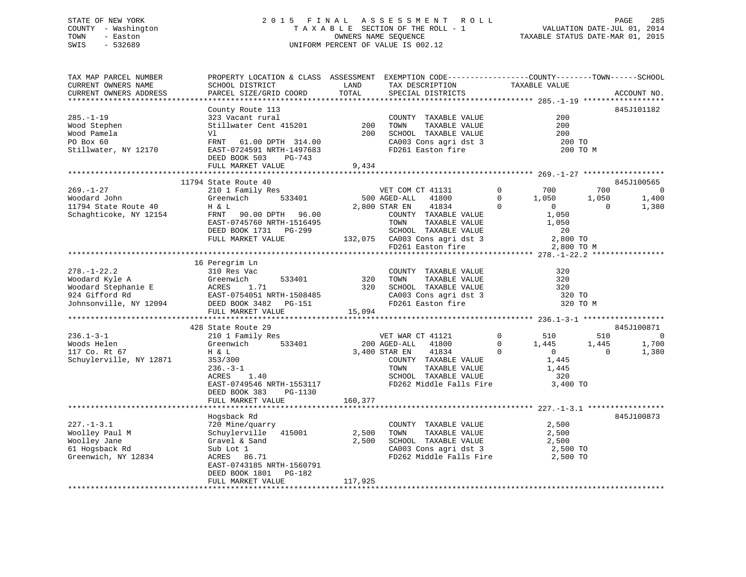## STATE OF NEW YORK 2 0 1 5 F I N A L A S S E S S M E N T R O L L PAGE 285 COUNTY - Washington T A X A B L E SECTION OF THE ROLL - 1 VALUATION DATE-JUL 01, 2014 TOWN - Easton OWNERS NAME SEQUENCE TAXABLE STATUS DATE-MAR 01, 2015 SWIS - 532689 UNIFORM PERCENT OF VALUE IS 002.12

| TAX MAP PARCEL NUMBER<br>CURRENT OWNERS NAME | PROPERTY LOCATION & CLASS ASSESSMENT EXEMPTION CODE---------------COUNTY-------TOWN-----SCHOOL<br>SCHOOL DISTRICT                                                                                                       | LAND         | TAX DESCRIPTION                                                                                                                | TAXABLE VALUE                                                         |                         |
|----------------------------------------------|-------------------------------------------------------------------------------------------------------------------------------------------------------------------------------------------------------------------------|--------------|--------------------------------------------------------------------------------------------------------------------------------|-----------------------------------------------------------------------|-------------------------|
| CURRENT OWNERS ADDRESS                       | PARCEL SIZE/GRID COORD                                                                                                                                                                                                  | TOTAL        | SPECIAL DISTRICTS                                                                                                              |                                                                       | ACCOUNT NO.             |
| $285. - 1 - 19$                              | County Route 113                                                                                                                                                                                                        |              |                                                                                                                                | 200                                                                   | 845J101182              |
| Wood Stephen                                 | 323 Vacant rural<br>Stillwater Cent 415201 200                                                                                                                                                                          |              | COUNTY TAXABLE VALUE<br>TAXABLE VALUE<br>TOWN                                                                                  | 200                                                                   |                         |
| Wood Pamela                                  | Vl                                                                                                                                                                                                                      | 200          | SCHOOL TAXABLE VALUE<br>CA003 Cons agri dst 3                                                                                  | 200                                                                   |                         |
| PO Box 60                                    | FRNT 61.00 DPTH 314.00                                                                                                                                                                                                  |              |                                                                                                                                | 200 TO                                                                |                         |
| Stillwater, NY 12170                         | EAST-0724591 NRTH-1497683                                                                                                                                                                                               |              | FD261 Easton fire                                                                                                              | 200 TO M                                                              |                         |
|                                              | DEED BOOK 503<br>PG-743                                                                                                                                                                                                 |              |                                                                                                                                |                                                                       |                         |
|                                              | FULL MARKET VALUE                                                                                                                                                                                                       | 9,434        |                                                                                                                                |                                                                       |                         |
|                                              |                                                                                                                                                                                                                         |              |                                                                                                                                |                                                                       |                         |
|                                              | 11794 State Route 40                                                                                                                                                                                                    |              |                                                                                                                                |                                                                       | 845J100565              |
| $269. - 1 - 27$                              | State Route 40<br>210 1 Family Res<br>Greenwich 533401                                                                                                                                                                  |              | VET COM CT 41131 0 700<br>00 AGED-ALL 41800 0 1,050                                                                            |                                                                       | 700<br>$\overline{0}$   |
| Woodard John                                 | Greenwich                                                                                                                                                                                                               |              | 500 AGED-ALL 41800                                                                                                             |                                                                       | 1,050<br>1,400          |
| 11794 State Route 40                         | H & L                                                                                                                                                                                                                   |              | 2,800 STAR EN<br>41834                                                                                                         | $\overline{0}$<br>$\overline{0}$                                      | 1,380<br>$\overline{0}$ |
| Schaghticoke, NY 12154                       | FRNT 90.00 DPTH 96.00                                                                                                                                                                                                   |              | COUNTY TAXABLE VALUE                                                                                                           | 1,050                                                                 |                         |
|                                              | EAST-0745760 NRTH-1516495                                                                                                                                                                                               |              |                                                                                                                                |                                                                       |                         |
|                                              | DEED BOOK 1731 PG-299                                                                                                                                                                                                   |              |                                                                                                                                |                                                                       |                         |
|                                              | FULL MARKET VALUE                                                                                                                                                                                                       |              |                                                                                                                                |                                                                       |                         |
|                                              |                                                                                                                                                                                                                         |              | TOWN TAXABLE VALUE 1,050<br>SCHOOL TAXABLE VALUE 1,050<br>132,075 CA003 Cons agri dst 3 2,800 TO<br>FD261 Easton fire 2,800 TO | 2,800 TO M                                                            |                         |
|                                              |                                                                                                                                                                                                                         |              |                                                                                                                                |                                                                       |                         |
|                                              | 16 Peregrim Ln                                                                                                                                                                                                          |              |                                                                                                                                |                                                                       |                         |
| $278. - 1 - 22.2$                            | 310 Res Vac                                                                                                                                                                                                             |              | COUNTY TAXABLE VALUE                                                                                                           | 320                                                                   |                         |
|                                              |                                                                                                                                                                                                                         |              | 320 TOWN TAXABLE VALUE<br>320 SCHOOL TAXABLE VALUE                                                                             | 320                                                                   |                         |
|                                              |                                                                                                                                                                                                                         |              |                                                                                                                                | 320                                                                   |                         |
|                                              |                                                                                                                                                                                                                         |              | CA003 Cons agri dst 3<br>FD261 Easton fire                                                                                     | 320 TO                                                                |                         |
|                                              |                                                                                                                                                                                                                         |              |                                                                                                                                | 320 TO M                                                              |                         |
|                                              | 278.-1-22.2<br>Woodard Kyle A Greenwich 533401 320<br>Woodard Stephanie E ACRES 1.71 320<br>924 Gifford Rd EAST-0754051 NRTH-1508485<br>Johnsonville, NY 12094 DEED BOOK 3482 PG-151 15,094<br>FULL MARKET VALUE 15,094 |              |                                                                                                                                |                                                                       |                         |
|                                              |                                                                                                                                                                                                                         |              |                                                                                                                                |                                                                       |                         |
| $236.1 - 3 - 1$                              | 428 State Route 29<br>210 1 Family Res                                                                                                                                                                                  |              |                                                                                                                                |                                                                       | 845J100871<br>510<br>0  |
| Woods Helen                                  | 533401                                                                                                                                                                                                                  | 200 AGED-ALL | VET WAR CT 41121<br>41800                                                                                                      | $\begin{array}{ccc} 0 & \quad & 510 \\ 0 & \quad & 1,445 \end{array}$ | 1,445<br>1,700          |
| 117 Co. Rt 67                                | Greenwich<br>H & L                                                                                                                                                                                                      |              | 3,400 STAR EN<br>41834                                                                                                         | $\overline{0}$<br>$\overline{0}$                                      | $\Omega$<br>1,380       |
| Schuylerville, NY 12871                      | 353/300                                                                                                                                                                                                                 |              |                                                                                                                                | 1,445                                                                 |                         |
|                                              |                                                                                                                                                                                                                         |              | COUNTY TAXABLE VALUE                                                                                                           | 1,445                                                                 |                         |
|                                              | $236. -3 - 1$<br>ACRES 1.40                                                                                                                                                                                             |              | TOWN TAXABLE VALUE<br>SCHOOL TAXABLE VALUE                                                                                     | 320                                                                   |                         |
|                                              | EAST-0749546 NRTH-1553117 FD262 Middle Falls Fire                                                                                                                                                                       |              |                                                                                                                                | 3,400 TO                                                              |                         |
|                                              | DEED BOOK 383<br>PG-1130                                                                                                                                                                                                |              |                                                                                                                                |                                                                       |                         |
|                                              | FULL MARKET VALUE                                                                                                                                                                                                       | 160,377      |                                                                                                                                |                                                                       |                         |
|                                              |                                                                                                                                                                                                                         |              |                                                                                                                                |                                                                       |                         |
|                                              | Hogsback Rd                                                                                                                                                                                                             |              |                                                                                                                                |                                                                       | 845J100873              |
| $227. - 1 - 3.1$                             | 720 Mine/quarry                                                                                                                                                                                                         |              | COUNTY TAXABLE VALUE                                                                                                           | 2,500                                                                 |                         |
| Woolley Paul M                               | Schuylerville 415001                                                                                                                                                                                                    | 2,500        | TAXABLE VALUE<br>TOWN                                                                                                          | 2,500                                                                 |                         |
| Woolley Jane                                 |                                                                                                                                                                                                                         | 2,500        | SCHOOL TAXABLE VALUE                                                                                                           | 2,500                                                                 |                         |
| 61 Hogsback Rd                               |                                                                                                                                                                                                                         |              |                                                                                                                                |                                                                       |                         |
| Greenwich, NY 12834                          | Gravel & Sand<br>Sub Lot 1<br>ACRES 86.71                                                                                                                                                                               |              | CA003 Cons agri dst 3 2,500<br>FD262 Middle Falls Fire 2,500 TO                                                                |                                                                       |                         |
|                                              | EAST-0743185 NRTH-1560791                                                                                                                                                                                               |              |                                                                                                                                |                                                                       |                         |
|                                              | DEED BOOK 1801    PG-182                                                                                                                                                                                                |              |                                                                                                                                |                                                                       |                         |
|                                              | FULL MARKET VALUE                                                                                                                                                                                                       | 117,925      |                                                                                                                                |                                                                       |                         |
|                                              |                                                                                                                                                                                                                         |              |                                                                                                                                |                                                                       |                         |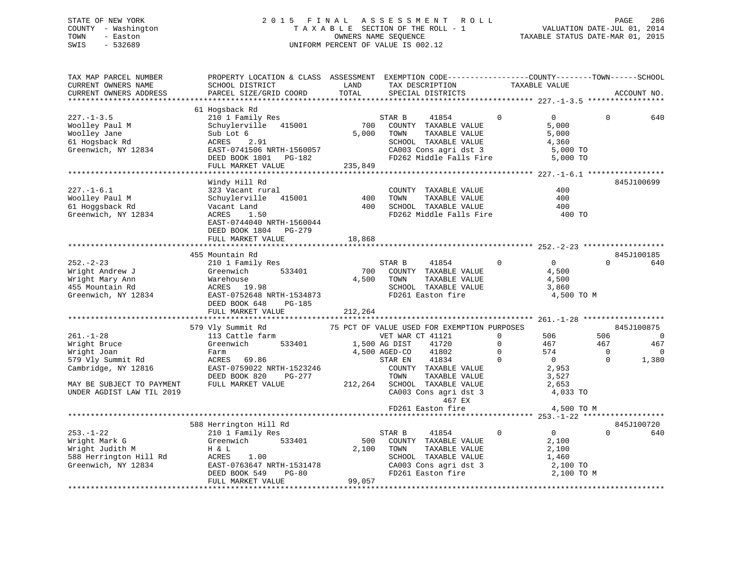## STATE OF NEW YORK 2 0 1 5 F I N A L A S S E S S M E N T R O L L PAGE 286 COUNTY - Washington T A X A B L E SECTION OF THE ROLL - 1 VALUATION DATE-JUL 01, 2014 TOWN - Easton OWNERS NAME SEQUENCE TAXABLE STATUS DATE-MAR 01, 2015 SWIS - 532689 UNIFORM PERCENT OF VALUE IS 002.12

| TAX MAP PARCEL NUMBER<br>CURRENT OWNERS NAME<br>CURRENT OWNERS ADDRESS                               | PROPERTY LOCATION & CLASS ASSESSMENT EXEMPTION CODE----------------COUNTY-------TOWN------SCHOOL<br>SCHOOL DISTRICT<br>PARCEL SIZE/GRID COORD                       | LAND<br>TOTAL           | TAX DESCRIPTION<br>SPECIAL DISTRICTS                                                                                                                                                     | TAXABLE VALUE                                          |                                                                                                 | ACCOUNT NO.                                              |
|------------------------------------------------------------------------------------------------------|---------------------------------------------------------------------------------------------------------------------------------------------------------------------|-------------------------|------------------------------------------------------------------------------------------------------------------------------------------------------------------------------------------|--------------------------------------------------------|-------------------------------------------------------------------------------------------------|----------------------------------------------------------|
|                                                                                                      |                                                                                                                                                                     |                         |                                                                                                                                                                                          |                                                        |                                                                                                 |                                                          |
| $227. - 1 - 3.5$<br>Woolley Paul M<br>Woolley Jane<br>61 Hogsback Rd<br>Greenwich, NY 12834          | 61 Hogsback Rd<br>210 1 Family Res<br>Schuylerville 415001<br>Sub Lot 6<br>2.91<br>ACRES<br>EAST-0741506 NRTH-1560057<br>DEED BOOK 1801 PG-182<br>FULL MARKET VALUE | 700<br>5,000<br>235,849 | STAR B<br>41854<br>COUNTY TAXABLE VALUE<br>TOWN<br>TAXABLE VALUE<br>SCHOOL TAXABLE VALUE<br>CA003 Cons agri dst 3<br>FD262 Middle Falls Fire                                             | $\Omega$                                               | $\overline{0}$<br>$\Omega$<br>5,000<br>5,000<br>4,360<br>5,000 TO<br>5,000 TO                   | 640                                                      |
|                                                                                                      |                                                                                                                                                                     |                         |                                                                                                                                                                                          |                                                        |                                                                                                 |                                                          |
| $227. - 1 - 6.1$<br>Woolley Paul M<br>61 Hoggsback Rd<br>Greenwich, NY 12834                         | Windy Hill Rd<br>323 Vacant rural<br>Schuylerville 415001<br>Vacant Land<br>ACRES<br>1.50<br>EAST-0744040 NRTH-1560044<br>DEED BOOK 1804<br>PG-279                  | 400<br>400              | COUNTY TAXABLE VALUE<br>TOWN<br>TAXABLE VALUE<br>SCHOOL TAXABLE VALUE<br>FD262 Middle Falls Fire                                                                                         |                                                        | 400<br>400<br>400<br>400 TO                                                                     | 845J100699                                               |
|                                                                                                      | FULL MARKET VALUE                                                                                                                                                   | 18,868                  |                                                                                                                                                                                          |                                                        |                                                                                                 |                                                          |
|                                                                                                      |                                                                                                                                                                     |                         |                                                                                                                                                                                          |                                                        |                                                                                                 |                                                          |
| $252 - 2 - 23$<br>Wright Andrew J<br>Wright Mary Ann<br>455 Mountain Rd<br>Greenwich, NY 12834       | 455 Mountain Rd<br>210 1 Family Res<br>Greenwich<br>533401<br>Warehouse<br>ACRES 19.98<br>EAST-0752648 NRTH-1534873<br>DEED BOOK 648<br>PG-185<br>FULL MARKET VALUE | 700<br>4,500<br>212,264 | STAR B<br>41854<br>COUNTY TAXABLE VALUE<br>TAXABLE VALUE<br>TOWN<br>SCHOOL TAXABLE VALUE<br>FD261 Easton fire                                                                            | $\overline{0}$                                         | $\overline{0}$<br>$\Omega$<br>4,500<br>4,500<br>3,860<br>4,500 TO M                             | 845J100185<br>640                                        |
|                                                                                                      |                                                                                                                                                                     |                         |                                                                                                                                                                                          |                                                        |                                                                                                 |                                                          |
| $261. - 1 - 28$<br>Wright Bruce<br>Wright Joan<br>579 Vly Summit Rd<br>Cambridge, NY 12816           | 579 Vly Summit Rd<br>113 Cattle farm<br>533401<br>Greenwich<br>Farm<br>ACRES 69.86<br>EAST-0759022 NRTH-1523246<br>DEED BOOK 820<br>PG-277                          |                         | 75 PCT OF VALUE USED FOR EXEMPTION PURPOSES<br>VET WAR CT 41121<br>41720<br>1,500 AG DIST<br>41802<br>4,500 AGED-CO<br>41834<br>STAR EN<br>COUNTY TAXABLE VALUE<br>TOWN<br>TAXABLE VALUE | $\mathbf{0}$<br>$\mathbf 0$<br>$\mathbf 0$<br>$\Omega$ | 506<br>506<br>467<br>467<br>574<br>$\mathbf{0}$<br>$\overline{0}$<br>$\Omega$<br>2,953<br>3,527 | 845J100875<br>$\overline{0}$<br>467<br>$\Omega$<br>1,380 |
| MAY BE SUBJECT TO PAYMENT<br>UNDER AGDIST LAW TIL 2019                                               | FULL MARKET VALUE                                                                                                                                                   |                         | 212,264 SCHOOL TAXABLE VALUE<br>CA003 Cons agri dst 3<br>467 EX                                                                                                                          |                                                        | 2,653<br>4,033 TO                                                                               |                                                          |
|                                                                                                      |                                                                                                                                                                     |                         | FD261 Easton fire                                                                                                                                                                        |                                                        | 4,500 TO M                                                                                      |                                                          |
|                                                                                                      | 588 Herrington Hill Rd                                                                                                                                              |                         |                                                                                                                                                                                          |                                                        |                                                                                                 | 845J100720                                               |
| $253. - 1 - 22$<br>Wright Mark G<br>Wright Judith M<br>588 Herrington Hill Rd<br>Greenwich, NY 12834 | 210 1 Family Res<br>Greenwich 533401<br>H & L<br>ACRES<br>1.00<br>ACRES 1.00<br>EAST-0763647 NRTH-1531478<br>DEED BOOK 549<br><b>PG-80</b><br>FULL MARKET VALUE     | 500<br>2,100<br>99,057  | 41854<br>STAR B<br>COUNTY TAXABLE VALUE<br>TOWN<br>TAXABLE VALUE<br>SCHOOL TAXABLE VALUE<br>CA003 Cons agri dst 3<br>FD261 Faston fire<br>FD261 Easton fire                              | $\overline{0}$                                         | $\overline{0}$<br>$\Omega$<br>2,100<br>2,100<br>1,460<br>2,100 TO<br>2,100 TO M                 | 640                                                      |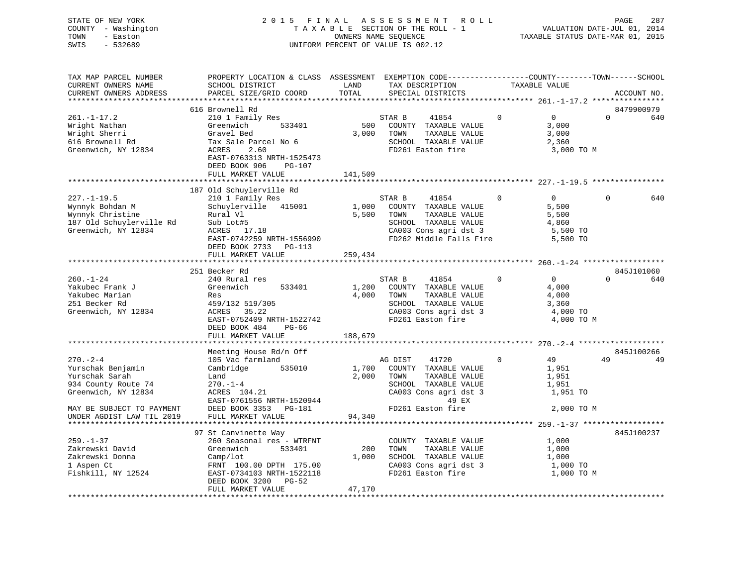| STATE OF NEW YORK<br>COUNTY - Washington<br>- Easton<br>TOWN<br>$-532689$<br>SWIS                              |                                                                                                                                                                                                                      |                  | 2015 FINAL ASSESSMENT ROLL<br>T A X A B L E SECTION OF THE ROLL - 1<br>OWNERS NAME SEOUENCE<br>UNIFORM PERCENT OF VALUE IS 002.12                              |                | rase 207<br>VALUATION DATE-JUL 01, 2014<br>TAXABLE STATUS DATE-MAR 01, 2015 | PAGE     | 287               |
|----------------------------------------------------------------------------------------------------------------|----------------------------------------------------------------------------------------------------------------------------------------------------------------------------------------------------------------------|------------------|----------------------------------------------------------------------------------------------------------------------------------------------------------------|----------------|-----------------------------------------------------------------------------|----------|-------------------|
| TAX MAP PARCEL NUMBER<br>CURRENT OWNERS NAME<br>CURRENT OWNERS ADDRESS                                         | PROPERTY LOCATION & CLASS ASSESSMENT EXEMPTION CODE----------------COUNTY-------TOWN------SCHOOL<br>SCHOOL DISTRICT<br>PARCEL SIZE/GRID COORD                                                                        | LAND<br>TOTAL    | TAX DESCRIPTION TAXABLE VALUE<br>SPECIAL DISTRICTS<br>SPECIAL DISTRICTS                                                                                        |                |                                                                             |          | ACCOUNT NO.       |
| $261. - 1 - 17.2$<br>Wright Nathan<br>Wright Sherri<br>616 Brownell Rd<br>Greenwich, NY 12834                  | 616 Brownell Rd<br>210 1 Family Res<br>Greenwich<br>533401<br>Gravel Bed<br>Tax Sale Parcel No 6<br>ACRES<br>2.60<br>EAST-0763313 NRTH-1525473<br>DEED BOOK 906<br>PG-107<br>FULL MARKET VALUE                       | 500<br>141,509   | 41854<br>STAR B<br>COUNTY TAXABLE VALUE<br>3,000 TOWN<br>TAXABLE VALUE<br>SCHOOL TAXABLE VALUE<br>FD261 Easton fire                                            | $\overline{0}$ | 0<br>3,000<br>3,000<br>2,360<br>3,000 TO M                                  | $\Omega$ | 8479900979<br>640 |
|                                                                                                                |                                                                                                                                                                                                                      |                  |                                                                                                                                                                |                |                                                                             |          |                   |
| $227. - 1 - 19.5$<br>Wynnyk Bohdan M<br>Wynnyk Christine<br>187 Old Schuylerville Rd<br>Greenwich, NY 12834    | 187 Old Schuylerville Rd<br>210 1 Family Res<br>Schuylerville 415001 1,000 COUNTY TAXABLE VALUE<br>Rural Vl<br>Sub Lot#5<br>$ACRES$ 17.18<br>EAST-0742259 NRTH-1556990<br>DEED BOOK 2733 PG-113<br>FULL MARKET VALUE | 5,500<br>259,434 | STAR B<br>41854<br>TOWN<br>TAXABLE VALUE<br>SCHOOL TAXABLE VALUE<br>CA003 Cons agri dst 3<br>FD262 Middle Falls Fire 5,500 TO                                  | $\Omega$       | $\Omega$<br>5,500<br>5,500<br>4,860<br>5,500 TO                             | $\Omega$ | 640               |
|                                                                                                                | 251 Becker Rd                                                                                                                                                                                                        |                  |                                                                                                                                                                |                |                                                                             |          | 845J101060        |
| $260. - 1 - 24$<br>Yakubec Frank J<br>Yakubec Marian<br>251 Becker Rd<br>Greenwich, NY 12834                   | 240 Rural res<br>Greenwich<br>533401<br>Res<br>459/132 519/305<br>ACRES 35.22<br>EAST-0752409 NRTH-1522742<br>DEED BOOK 484<br>PG-66                                                                                 | 1,200            | $\overline{0}$<br>STAR B<br>41854<br>COUNTY TAXABLE VALUE<br>4,000 TOWN<br>TAXABLE VALUE<br>SCHOOL TAXABLE VALUE<br>CA003 Cons agri dst 3<br>FD261 Easton fire |                | $\Omega$<br>4,000<br>4,000<br>3,360<br>4,000 TO<br>4,000 TO M               | $\Omega$ | 640               |
|                                                                                                                | FULL MARKET VALUE                                                                                                                                                                                                    | 188,679          |                                                                                                                                                                |                |                                                                             |          |                   |
| $270. - 2 - 4$                                                                                                 | Meeting House Rd/n Off<br>105 Vac farmland                                                                                                                                                                           |                  | AG DIST<br>41720                                                                                                                                               | $\Omega$       | 49                                                                          | 49       | 845J100266<br>49  |
| Yurschak Benjamin<br>Yurschak Sarah<br>934 County Route 74<br>Greenwich, NY 12834<br>MAY BE SUBJECT TO PAYMENT | Cambridge 535010<br>Land<br>$270. - 1 - 4$<br>ACRES 104.21<br>EAST-0761556 NRTH-1520944<br>DEED BOOK 3353 PG-181                                                                                                     | 1,700<br>2,000   | COUNTY TAXABLE VALUE<br>TAXABLE VALUE<br>TOWN<br>SCHOOL TAXABLE VALUE<br>CA003 Cons agri dst 3<br>49 EX<br>FD261 Easton fire                                   |                | 1,951<br>1,951<br>1,951<br>1,951 TO<br>2,000 TO M                           |          |                   |
| UNDER AGDIST LAW TIL 2019                                                                                      | FULL MARKET VALUE                                                                                                                                                                                                    | 94,340           |                                                                                                                                                                |                |                                                                             |          |                   |

|                    | 97 St Canvinette Way      |        |                         | 845J100237 |  |
|--------------------|---------------------------|--------|-------------------------|------------|--|
| $259. - 1 - 37$    | 260 Seasonal res - WTRFNT |        | TAXABLE VALUE<br>COUNTY | 1,000      |  |
| Zakrewski David    | Greenwich<br>533401       | 200    | TAXABLE VALUE<br>TOWN   | 1,000      |  |
| Zakrewski Donna    | Camp/lot                  | 1,000  | TAXABLE VALUE<br>SCHOOL | 1,000      |  |
| 1 Aspen Ct         | FRNT 100.00 DPTH 175.00   |        | CA003 Cons agri dst 3   | 1,000 TO   |  |
| Fishkill, NY 12524 | EAST-0734103 NRTH-1522118 |        | FD261 Easton fire       | 1,000 TO M |  |
|                    | DEED BOOK 3200 PG-52      |        |                         |            |  |
|                    | FULL MARKET VALUE         | 47,170 |                         |            |  |
|                    |                           |        |                         |            |  |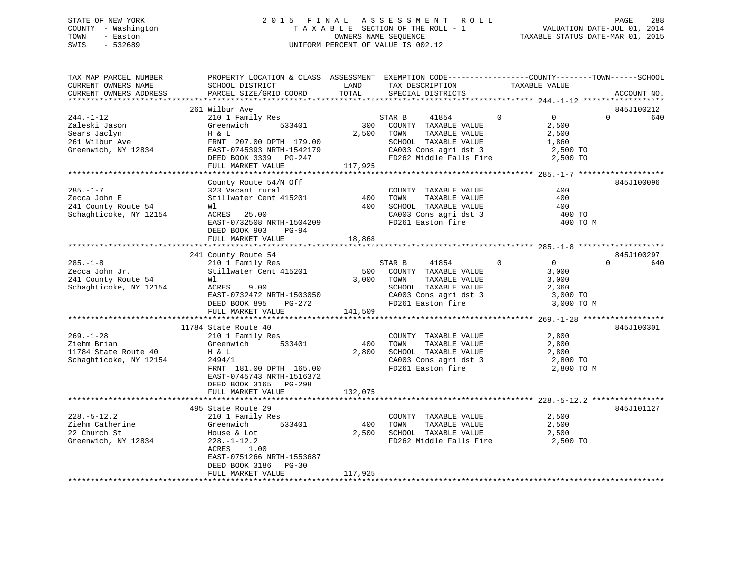## STATE OF NEW YORK 2 0 1 5 F I N A L A S S E S S M E N T R O L L PAGE 288 COUNTY - Washington T A X A B L E SECTION OF THE ROLL - 1 VALUATION DATE-JUL 01, 2014 TOWN - Easton OWNERS NAME SEQUENCE TAXABLE STATUS DATE-MAR 01, 2015 SWIS - 532689 UNIFORM PERCENT OF VALUE IS 002.12

| TAX MAP PARCEL NUMBER<br>CURRENT OWNERS NAME<br>CURRENT OWNERS ADDRESS                    | PROPERTY LOCATION & CLASS ASSESSMENT EXEMPTION CODE---------------COUNTY-------TOWN-----SCHOOL<br>SCHOOL DISTRICT<br>PARCEL SIZE/GRID COORD                                                       | LAND<br>TOTAL        | TAX DESCRIPTION<br>SPECIAL DISTRICTS                                                                                                                        | TAXABLE VALUE                                                                         | ACCOUNT NO.                   |  |  |  |  |
|-------------------------------------------------------------------------------------------|---------------------------------------------------------------------------------------------------------------------------------------------------------------------------------------------------|----------------------|-------------------------------------------------------------------------------------------------------------------------------------------------------------|---------------------------------------------------------------------------------------|-------------------------------|--|--|--|--|
|                                                                                           |                                                                                                                                                                                                   |                      |                                                                                                                                                             |                                                                                       |                               |  |  |  |  |
| $244. - 1 - 12$<br>Zaleski Jason<br>Sears Jaclyn<br>261 Wilbur Ave<br>Greenwich, NY 12834 | 261 Wilbur Ave<br>210 1 Family Res<br>Greenwich<br>533401<br>H & L<br>FRNT 207.00 DPTH 179.00<br>EAST-0745393 NRTH-1542179<br>DEED BOOK 3339 PG-247<br>FULL MARKET VALUE                          | 300<br>117,925       | 41854<br>STAR B<br>COUNTY TAXABLE VALUE<br>TAXABLE VALUE<br>2,500 TOWN<br>SCHOOL TAXABLE VALUE<br>CA003 Cons agri dst 3 2,500 TO<br>FD262 Middle Falls Fire | $0 \qquad \qquad$<br>$\overline{0}$<br>2,500<br>2,500<br>1,860<br>2,500 TO            | 845J100212<br>$\Omega$<br>640 |  |  |  |  |
|                                                                                           |                                                                                                                                                                                                   |                      |                                                                                                                                                             |                                                                                       |                               |  |  |  |  |
| $285. - 1 - 7$<br>Zecca John E<br>241 County Route 54<br>Schaghticoke, NY 12154           | County Route 54/N Off<br>323 Vacant rural<br>Stillwater Cent 415201<br>Wl<br>ACRES 25.00<br>EAST-0732508 NRTH-1504209<br>DEED BOOK 903<br>PG-94<br>FULL MARKET VALUE                              | 400<br>400<br>18,868 | COUNTY TAXABLE VALUE<br>TOWN<br>TAXABLE VALUE<br>TAXABLE VALUE<br>SCHOOL TAXABLE VALUE<br>CA003 Cons agri dst 3<br>FD261 Easton fire                        | 400<br>400<br>400<br>400 TO<br>400 TO M                                               | 845J100096                    |  |  |  |  |
|                                                                                           | 241 County Route 54                                                                                                                                                                               |                      |                                                                                                                                                             |                                                                                       | 845J100297                    |  |  |  |  |
| $285. - 1 - 8$<br>Zecca John Jr.<br>241 County Route 54<br>Schaghticoke, NY 12154         | common noute 54<br>210 1 Family Res<br>Stillwater Cent 415201<br>Wl<br>ACRES<br>9.00<br>EAST-0732472 NRTH-1503050<br>PG-272<br>DEED BOOK 895<br>FULL MARKET VALUE                                 | 141,509              | STAR B<br>41854<br>500 COUNTY TAXABLE VALUE<br>3,000 TOWN<br>TAXABLE VALUE<br>SCHOOL TAXABLE VALUE<br>CA003 Cons agri dst 3<br>FD261 Easton fire            | $\overline{0}$<br>$\overline{0}$<br>3,000<br>3,000<br>2,360<br>3,000 TO<br>3,000 TO M | $\Omega$<br>640               |  |  |  |  |
|                                                                                           | 11784 State Route 40                                                                                                                                                                              |                      |                                                                                                                                                             |                                                                                       | 845J100301                    |  |  |  |  |
| $269. - 1 - 28$<br>Ziehm Brian<br>11784 State Route 40<br>Schaghticoke, NY 12154          | 210 1 Family Res<br>Greenwich 533401<br>H & L<br>2494/1<br>FRNT 181.00 DPTH 165.00<br>EAST-0745743 NRTH-1516372<br>DEED BOOK 3165 PG-298                                                          | 400<br>2,800         | COUNTY TAXABLE VALUE<br>TOWN      TAXABLE VALUE<br>SCHOOL TAXABLE VALUE<br>$CAO03$ Cons agri dst 3 2,800 TO<br>FD261 Easton fire                            | 2,800<br>2,800<br>2,800<br>2,800 TO M                                                 |                               |  |  |  |  |
|                                                                                           | FULL MARKET VALUE                                                                                                                                                                                 | 132,075              |                                                                                                                                                             |                                                                                       |                               |  |  |  |  |
| $228. - 5 - 12.2$<br>Ziehm Catherine<br>22 Church St<br>Greenwich, NY 12834               | 495 State Route 29<br>210 1 Family Res<br>533401<br>Greenwich<br>House & Lot<br>$228. - 1 - 12.2$<br>ACRES<br>1.00<br>EAST-0751266 NRTH-1553687<br>DEED BOOK 3186<br>$PG-30$<br>FULL MARKET VALUE | 117,925              | COUNTY TAXABLE VALUE<br>400 TOWN TAXABLE VALUE<br>2,500 SCHOOL TAXABLE VALUE<br>FD262 Middle Falls Fire 2,500 TO                                            | 2,500<br>2,500<br>2,500                                                               | 845J101127                    |  |  |  |  |
|                                                                                           |                                                                                                                                                                                                   |                      |                                                                                                                                                             |                                                                                       |                               |  |  |  |  |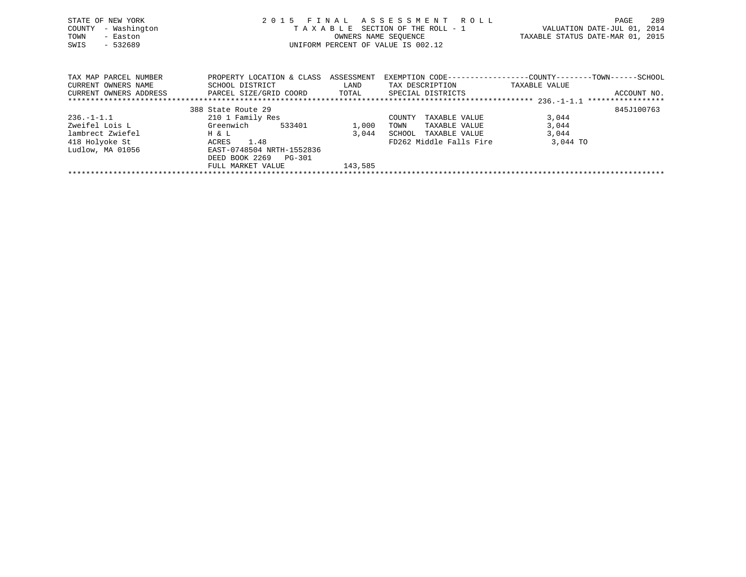| STATE OF NEW YORK<br>- Washington<br>COUNTY<br>TOWN<br>- Easton<br>SWIS<br>$-532689$ |                                              |                    | 2015 FINAL ASSESSMENT ROLL<br>TAXABLE SECTION OF THE ROLL - 1<br>OWNERS NAME SEOUENCE<br>UNIFORM PERCENT OF VALUE IS 002.12 | TAXABLE STATUS DATE-MAR 01, 2015 | PAGE<br>VALUATION DATE-JUL 01, 2014 | 289         |
|--------------------------------------------------------------------------------------|----------------------------------------------|--------------------|-----------------------------------------------------------------------------------------------------------------------------|----------------------------------|-------------------------------------|-------------|
| TAX MAP PARCEL NUMBER<br>CURRENT OWNERS NAME                                         | PROPERTY LOCATION & CLASS<br>SCHOOL DISTRICT | ASSESSMENT<br>LAND | EXEMPTION CODE-----------------COUNTY--------TOWN------SCHOOL<br>TAX DESCRIPTION                                            | TAXABLE VALUE                    |                                     |             |
| CURRENT OWNERS ADDRESS                                                               | PARCEL SIZE/GRID COORD                       | TOTAL              | SPECIAL DISTRICTS                                                                                                           |                                  |                                     | ACCOUNT NO. |

|                  | 388 State Route 29        |                                  | 845J100763 |
|------------------|---------------------------|----------------------------------|------------|
| $236. - 1 - 1.1$ | 210 1 Family Res          | TAXABLE VALUE<br>COUNTY          | 3,044      |
| Zweifel Lois L   | Greenwich<br>533401       | 1,000<br>TAXABLE VALUE<br>TOWN   | 3,044      |
| lambrect Zwiefel | H & L                     | 3,044<br>TAXABLE VALUE<br>SCHOOL | 3,044      |
| 418 Holyoke St   | 1.48<br>ACRES             | FD262 Middle Falls Fire          | 3,044 TO   |
| Ludlow, MA 01056 | EAST-0748504 NRTH-1552836 |                                  |            |
|                  | DEED BOOK 2269 PG-301     |                                  |            |
|                  | FULL MARKET VALUE         | 143,585                          |            |
|                  |                           |                                  |            |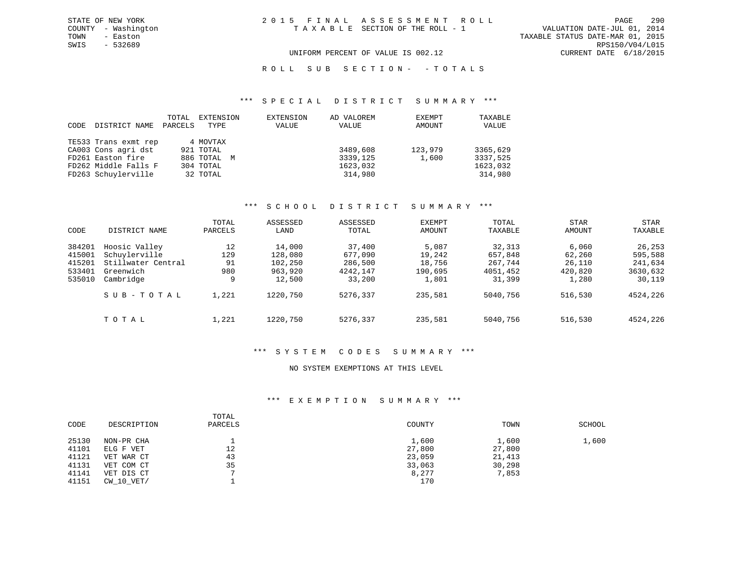VALUATION DATE-JUL 01, 2014 TOWN - Easton TAXABLE STATUS DATE-MAR 01, 2015 SWIS - 532689 RPS150/V04/L015 UNIFORM PERCENT OF VALUE IS 002.12 CURRENT DATE 6/18/2015

## R O L L S U B S E C T I O N - - T O T A L S

#### \*\*\* S P E C I A L D I S T R I C T S U M M A R Y \*\*\*

| CODE | DISTRICT NAME        | TOTAL<br>PARCELS | EXTENSION<br>TYPE | EXTENSION<br>VALUE | AD VALOREM<br>VALUE | EXEMPT<br>AMOUNT | TAXABLE<br>VALUE |
|------|----------------------|------------------|-------------------|--------------------|---------------------|------------------|------------------|
|      | TE533 Trans exmt rep |                  | 4 MOVTAX          |                    |                     |                  |                  |
|      | CA003 Cons agri dst  |                  | 921 TOTAL         |                    | 3489,608            | 123,979          | 3365,629         |
|      | FD261 Easton fire    |                  | 886 TOTAL M       |                    | 3339,125            | 1,600            | 3337,525         |
|      | FD262 Middle Falls F |                  | 304 TOTAL         |                    | 1623,032            |                  | 1623,032         |
|      | FD263 Schuylerville  |                  | 32 TOTAL          |                    | 314,980             |                  | 314,980          |

#### \*\*\* S C H O O L D I S T R I C T S U M M A R Y \*\*\*

|        |                    | TOTAL   | ASSESSED | ASSESSED | <b>EXEMPT</b> | TOTAL    | <b>STAR</b> | STAR     |
|--------|--------------------|---------|----------|----------|---------------|----------|-------------|----------|
| CODE   | DISTRICT NAME      | PARCELS | LAND     | TOTAL    | AMOUNT        | TAXABLE  | AMOUNT      | TAXABLE  |
| 384201 | Hoosic Valley      | 12      | 14,000   | 37,400   | 5,087         | 32,313   | 6,060       | 26,253   |
| 415001 | Schuylerville      | 129     | 128,080  | 677,090  | 19,242        | 657,848  | 62,260      | 595,588  |
| 415201 | Stillwater Central | 91      | 102,250  | 286,500  | 18,756        | 267,744  | 26,110      | 241,634  |
| 533401 | Greenwich          | 980     | 963,920  | 4242,147 | 190,695       | 4051,452 | 420,820     | 3630,632 |
| 535010 | Cambridge          | 9       | 12,500   | 33,200   | 1,801         | 31,399   | 1,280       | 30,119   |
|        | SUB-TOTAL          | 1,221   | 1220,750 | 5276,337 | 235,581       | 5040,756 | 516,530     | 4524,226 |
|        | TOTAL              | 1,221   | 1220,750 | 5276,337 | 235,581       | 5040,756 | 516,530     | 4524,226 |

#### \*\*\* S Y S T E M C O D E S S U M M A R Y \*\*\*

## NO SYSTEM EXEMPTIONS AT THIS LEVEL

# \*\*\* E X E M P T I O N S U M M A R Y \*\*\*

| CODE  | DESCRIPTION    | TOTAL<br>PARCELS | COUNTY | TOWN   | SCHOOL |
|-------|----------------|------------------|--------|--------|--------|
| 25130 | NON-PR CHA     |                  | 1,600  | 1,600  | 1,600  |
| 41101 | ELG F VET      | 12               | 27,800 | 27,800 |        |
| 41121 | VET WAR CT     | 43               | 23,059 | 21,413 |        |
| 41131 | VET COM CT     | 35               | 33,063 | 30,298 |        |
| 41141 | VET DIS CT     |                  | 8,277  | 7,853  |        |
| 41151 | $CW$ 10 $VET/$ |                  | 170    |        |        |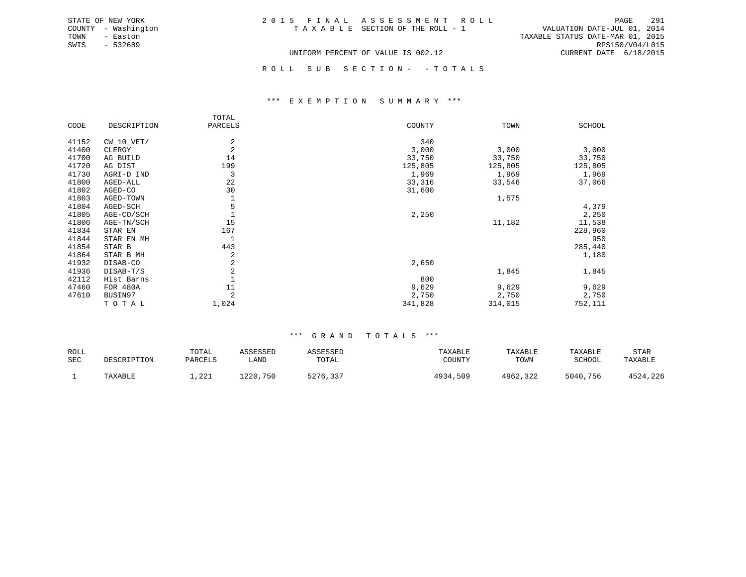|  | 2015 FINAL ASSESSMENT ROLL            | -291<br>PAGE                     |
|--|---------------------------------------|----------------------------------|
|  | T A X A B L E SECTION OF THE ROLL - 1 | VALUATION DATE-JUL 01, 2014      |
|  |                                       | TAXABLE STATUS DATE-MAR 01, 2015 |
|  |                                       | RPS150/V04/L015                  |
|  | UNIFORM PERCENT OF VALUE IS 002.12    | CURRENT DATE 6/18/2015           |

ROLL SUB SECTION - - TOTALS

#### \*\*\* E X E M P T I O N S U M M A R Y \*\*\*

|       |              | TOTAL          |         |         |         |
|-------|--------------|----------------|---------|---------|---------|
| CODE  | DESCRIPTION  | PARCELS        | COUNTY  | TOWN    | SCHOOL  |
| 41152 | $CW_10_VET/$ | $\overline{a}$ | 340     |         |         |
| 41400 | CLERGY       | 2              | 3,000   | 3,000   | 3,000   |
| 41700 | AG BUILD     | 14             | 33,750  | 33,750  | 33,750  |
| 41720 | AG DIST      | 199            | 125,805 | 125,805 | 125,805 |
| 41730 | AGRI-D IND   | 3              | 1,969   | 1,969   | 1,969   |
| 41800 | AGED-ALL     | 22             | 33,316  | 33,546  | 37,066  |
| 41802 | AGED-CO      | 30             | 31,600  |         |         |
| 41803 | AGED-TOWN    |                |         | 1,575   |         |
| 41804 | AGED-SCH     |                |         |         | 4,379   |
| 41805 | AGE-CO/SCH   |                | 2,250   |         | 2,250   |
| 41806 | AGE-TN/SCH   | 15             |         | 11,182  | 11,538  |
| 41834 | STAR EN      | 167            |         |         | 228,960 |
| 41844 | STAR EN MH   |                |         |         | 950     |
| 41854 | STAR B       | 443            |         |         | 285,440 |
| 41864 | STAR B MH    | 2              |         |         | 1,180   |
| 41932 | DISAB-CO     | 2              | 2,650   |         |         |
| 41936 | DISAB-T/S    | 2              |         | 1,845   | 1,845   |
| 42112 | Hist Barns   |                | 800     |         |         |
| 47460 | FOR 480A     | 11             | 9,629   | 9,629   | 9,629   |
| 47610 | BUSIN97      | 2              | 2,750   | 2,750   | 2,750   |
|       | TOTAL        | 1,024          | 341,828 | 314,015 | 752,111 |

STATE OF NEW YORK COUNTY - Washington TOWN - Easton SWIS - 532689

| ROLL       |             | TOTAL   | ASSESSED | ASSESSED | TAXABLE  | TAXABLE  | TAXABLE  | STAR     |
|------------|-------------|---------|----------|----------|----------|----------|----------|----------|
| <b>SEC</b> | DESCRIPTION | PARCELS | LAND     | TOTAL    | COUNTY   | TOWN     | SCHOOL   | TAXABLE  |
|            | TAXABLE     | 1,221   | 1220,750 | 5276,337 | 4934,509 | 4962,322 | 5040,756 | 4524,226 |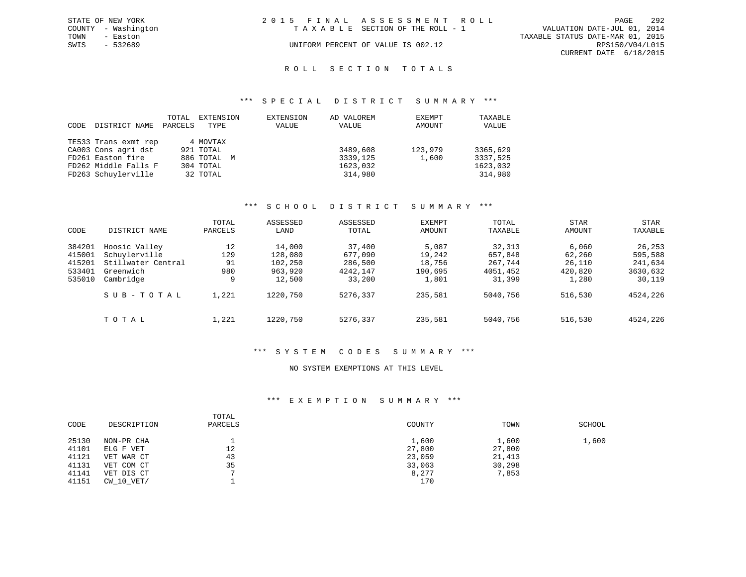|      | STATE OF NEW YORK   | 2015 FINAL ASSESSMENT ROLL |                                    |                                  | PAGE                   | 292 |
|------|---------------------|----------------------------|------------------------------------|----------------------------------|------------------------|-----|
|      | COUNTY - Washington |                            | TAXABLE SECTION OF THE ROLL - 1    | VALUATION DATE-JUL 01, 2014      |                        |     |
| TOWN | - Easton            |                            |                                    | TAXABLE STATUS DATE-MAR 01, 2015 |                        |     |
| SWIS | - 532689            |                            | UNIFORM PERCENT OF VALUE IS 002.12 |                                  | RPS150/V04/L015        |     |
|      |                     |                            |                                    |                                  | CURRENT DATE 6/18/2015 |     |
|      |                     |                            |                                    |                                  |                        |     |

# ROLL SECTION TOTALS

#### \*\*\* S P E C I A L D I S T R I C T S U M M A R Y \*\*\*

| CODE | DISTRICT NAME        | <b>TOTAL</b><br>PARCELS | EXTENSION<br>TYPE | EXTENSION<br>VALUE | AD VALOREM<br>VALUE | EXEMPT<br>AMOUNT | TAXABLE<br>VALUE |
|------|----------------------|-------------------------|-------------------|--------------------|---------------------|------------------|------------------|
|      | TE533 Trans exmt rep |                         | 4 MOVTAX          |                    |                     |                  |                  |
|      | CA003 Cons agri dst  |                         | 921 TOTAL         |                    | 3489,608            | 123,979          | 3365,629         |
|      | FD261 Easton fire    |                         | 886 TOTAL M       |                    | 3339,125            | 1,600            | 3337,525         |
|      | FD262 Middle Falls F |                         | 304 TOTAL         |                    | 1623,032            |                  | 1623,032         |
|      | FD263 Schuylerville  |                         | 32 TOTAL          |                    | 314,980             |                  | 314,980          |

#### \*\*\* S C H O O L D I S T R I C T S U M M A R Y \*\*\*

|        |                    | TOTAL   | ASSESSED | ASSESSED | <b>EXEMPT</b> | TOTAL    | <b>STAR</b> | <b>STAR</b> |
|--------|--------------------|---------|----------|----------|---------------|----------|-------------|-------------|
| CODE   | DISTRICT NAME      | PARCELS | LAND     | TOTAL    | AMOUNT        | TAXABLE  | AMOUNT      | TAXABLE     |
| 384201 | Hoosic Valley      | 12      | 14,000   | 37,400   | 5,087         | 32,313   | 6,060       | 26,253      |
| 415001 | Schuylerville      | 129     | 128,080  | 677,090  | 19,242        | 657,848  | 62,260      | 595,588     |
| 415201 | Stillwater Central | 91      | 102,250  | 286,500  | 18,756        | 267,744  | 26,110      | 241,634     |
| 533401 | Greenwich          | 980     | 963,920  | 4242,147 | 190,695       | 4051,452 | 420,820     | 3630,632    |
| 535010 | Cambridge          | 9       | 12,500   | 33,200   | 1,801         | 31,399   | 1,280       | 30,119      |
|        | SUB-TOTAL          | 1,221   | 1220,750 | 5276,337 | 235,581       | 5040,756 | 516,530     | 4524,226    |
|        | TOTAL              | 1,221   | 1220,750 | 5276,337 | 235,581       | 5040,756 | 516,530     | 4524,226    |

#### \*\*\* S Y S T E M C O D E S S U M M A R Y \*\*\*

#### NO SYSTEM EXEMPTIONS AT THIS LEVEL

#### \*\*\* E X E M P T I O N S U M M A R Y \*\*\*

| CODE           | DESCRIPTION             | TOTAL<br>PARCELS | COUNTY          | TOWN            | SCHOOL |
|----------------|-------------------------|------------------|-----------------|-----------------|--------|
| 25130<br>41101 | NON-PR CHA<br>ELG F VET | 12               | 1,600<br>27,800 | 1,600<br>27,800 | 1,600  |
| 41121          | VET WAR CT              | 43               | 23,059          | 21,413          |        |
| 41131          | VET COM CT              | 35               | 33,063          | 30,298          |        |
| 41141          | VET DIS CT              |                  | 8,277           | 7,853           |        |
| 41151          | CW 10 VET/              |                  | 170             |                 |        |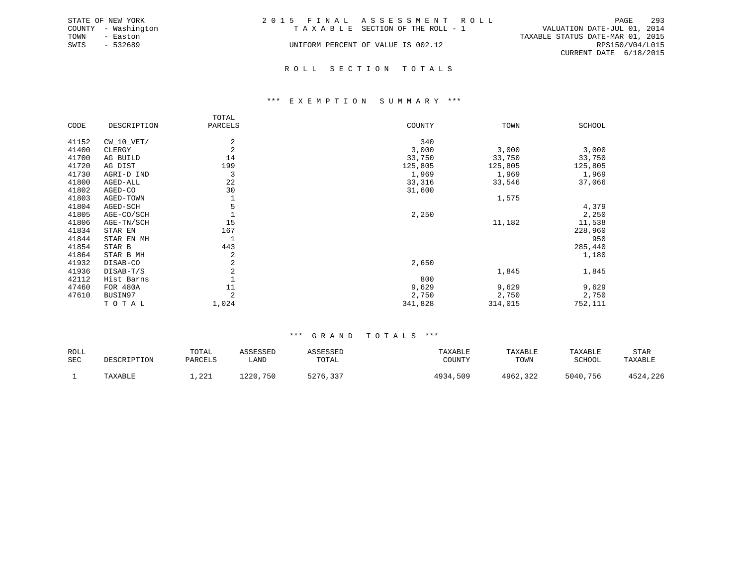|      | STATE OF NEW YORK   | 2015 FINAL ASSESSMENT ROLL |                                    |                                  |                        | PAGE | 293 |
|------|---------------------|----------------------------|------------------------------------|----------------------------------|------------------------|------|-----|
|      | COUNTY - Washington |                            | TAXABLE SECTION OF THE ROLL - 1    | VALUATION DATE-JUL 01, 2014      |                        |      |     |
| TOWN | - Easton            |                            |                                    | TAXABLE STATUS DATE-MAR 01, 2015 |                        |      |     |
| SWIS | - 532689            |                            | UNIFORM PERCENT OF VALUE IS 002.12 |                                  | RPS150/V04/L015        |      |     |
|      |                     |                            |                                    |                                  | CURRENT DATE 6/18/2015 |      |     |
|      |                     |                            |                                    |                                  |                        |      |     |

## R O L L S E C T I O N T O T A L S

#### \*\*\* E X E M P T I O N S U M M A R Y \*\*\*

|       |              | TOTAL          |         |         |               |
|-------|--------------|----------------|---------|---------|---------------|
| CODE  | DESCRIPTION  | PARCELS        | COUNTY  | TOWN    | <b>SCHOOL</b> |
| 41152 | $CW_10_VET/$ | 2              | 340     |         |               |
|       |              |                |         |         |               |
| 41400 | CLERGY       | 2              | 3,000   | 3,000   | 3,000         |
| 41700 | AG BUILD     | 14             | 33,750  | 33,750  | 33,750        |
| 41720 | AG DIST      | 199            | 125,805 | 125,805 | 125,805       |
| 41730 | AGRI-D IND   | 3              | 1,969   | 1,969   | 1,969         |
| 41800 | AGED-ALL     | 22             | 33,316  | 33,546  | 37,066        |
| 41802 | AGED-CO      | 30             | 31,600  |         |               |
| 41803 | AGED-TOWN    |                |         | 1,575   |               |
| 41804 | AGED-SCH     | 5              |         |         | 4,379         |
| 41805 | AGE-CO/SCH   |                | 2,250   |         | 2,250         |
| 41806 | AGE-TN/SCH   | 15             |         | 11,182  | 11,538        |
| 41834 | STAR EN      | 167            |         |         | 228,960       |
| 41844 | STAR EN MH   | 1              |         |         | 950           |
| 41854 | STAR B       | 443            |         |         | 285,440       |
| 41864 | STAR B MH    | 2              |         |         | 1,180         |
| 41932 | DISAB-CO     | 2              | 2,650   |         |               |
| 41936 | DISAB-T/S    | $\overline{2}$ |         | 1,845   | 1,845         |
| 42112 | Hist Barns   |                | 800     |         |               |
| 47460 | FOR 480A     | 11             | 9,629   | 9,629   | 9,629         |
| 47610 | BUSIN97      | 2              | 2,750   | 2,750   | 2,750         |
|       | TOTAL        | 1,024          | 341,828 | 314,015 | 752,111       |

| <b>ROLL</b> |                    | TOTAL                  | ASSESSED | <b><i>ASSESSED</i></b>        | TAXABLE      | TAXABLE  | TAXABLE  | STAR     |
|-------------|--------------------|------------------------|----------|-------------------------------|--------------|----------|----------|----------|
| SEC         | <b>DESCRIPTION</b> | PARCELS                | LAND     | TOTAL                         | COUNTY       | TOWN     | SCHOOL   | TAXABLE  |
|             | TAXABLE            | າາ.<br>1 <i>, 44</i> 1 | 1220,750 | <b>5776</b><br><u>5410,55</u> | 4934<br>,509 | 4962,322 | 5040,756 | 4524,226 |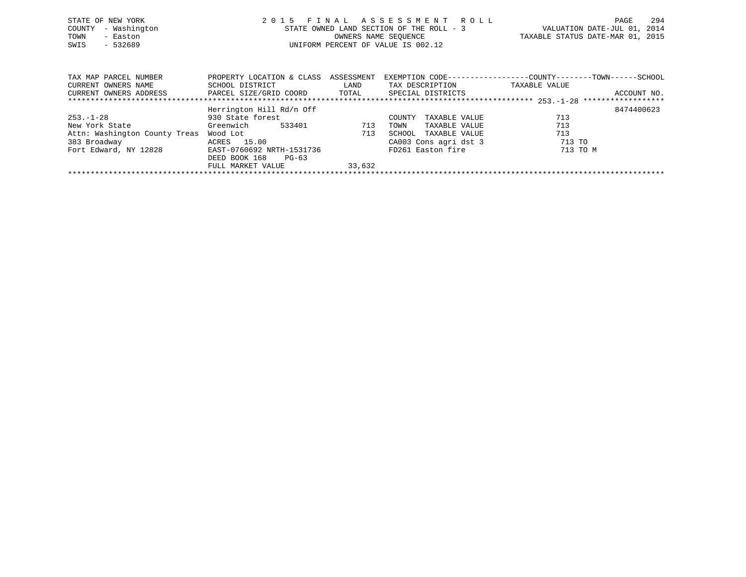| STATE OF NEW YORK<br>- Washington<br>COUNTY<br>- Easton<br>TOWN<br>SWIS<br>$-532689$ |                           |            | 2015 FINAL ASSESSMENT ROLL<br>STATE OWNED LAND SECTION OF THE ROLL - 3<br>OWNERS NAME SEQUENCE<br>UNIFORM PERCENT OF VALUE IS 002.12 | TAXABLE STATUS DATE-MAR 01, 2015 | PAGE<br>VALUATION DATE-JUL 01, 2014 | 294         |
|--------------------------------------------------------------------------------------|---------------------------|------------|--------------------------------------------------------------------------------------------------------------------------------------|----------------------------------|-------------------------------------|-------------|
|                                                                                      |                           |            |                                                                                                                                      |                                  |                                     |             |
| TAX MAP PARCEL NUMBER                                                                | PROPERTY LOCATION & CLASS | ASSESSMENT | EXEMPTION CODE-----------------COUNTY-------TOWN-----                                                                                |                                  |                                     | - SCHOOL    |
| CURRENT OWNERS NAME                                                                  | SCHOOL DISTRICT           | LAND       | TAX DESCRIPTION                                                                                                                      | TAXABLE VALUE                    |                                     |             |
| CURRENT OWNERS ADDRESS                                                               | PARCEL SIZE/GRID COORD    | TOTAL      | SPECIAL DISTRICTS                                                                                                                    |                                  |                                     | ACCOUNT NO. |

|                               | Herrington Hill Rd/n Off  |        |                         | 8474400623 |
|-------------------------------|---------------------------|--------|-------------------------|------------|
| $253. - 1 - 28$               | 930 State forest          |        | TAXABLE VALUE<br>COUNTY | 713        |
| New York State                | Greenwich<br>533401       | 713    | TAXABLE VALUE<br>TOWN   | 713        |
| Attn: Washington County Treas | Wood Lot                  | 713    | TAXABLE VALUE<br>SCHOOL | 713        |
| 383 Broadway                  | ACRES 15.00               |        | CA003 Cons agri dst 3   | 713 TO     |
| Fort Edward, NY 12828         | EAST-0760692 NRTH-1531736 |        | FD261 Easton fire       | 713 TO M   |
|                               | DEED BOOK 168<br>$PG-63$  |        |                         |            |
|                               | FULL MARKET VALUE         | 33,632 |                         |            |
|                               |                           |        |                         |            |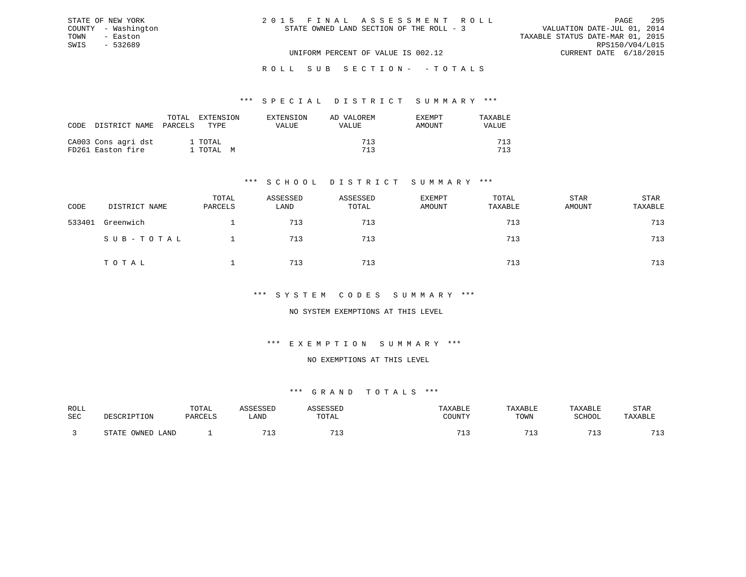| 2015 FINAL ASSESSMENT ROLL               |  |                                  |                             | PAGE | 295             |
|------------------------------------------|--|----------------------------------|-----------------------------|------|-----------------|
| STATE OWNED LAND SECTION OF THE ROLL - 3 |  |                                  | VALUATION DATE-JUL 01, 2014 |      |                 |
|                                          |  | TAXABLE STATUS DATE-MAR 01, 2015 |                             |      |                 |
|                                          |  |                                  |                             |      | RPS150/V04/L015 |
| UNIFORM PERCENT OF VALUE IS 002.12       |  |                                  | CURRENT DATE 6/18/2015      |      |                 |

ROLL SUB SECTION - - TOTALS

#### \*\*\* S P E C I A L D I S T R I C T S U M M A R Y \*\*\*

| CODE | DISTRICT NAME                            | TOTAL<br>PARCELS | <b>EXTENSION</b><br>TYPE. | EXTENSION<br>VALUE | AD VALOREM<br>VALUE | EXEMPT<br>AMOUNT | TAXARLE<br>VALUE |
|------|------------------------------------------|------------------|---------------------------|--------------------|---------------------|------------------|------------------|
|      | CA003 Cons agri dst<br>FD261 Easton fire |                  | 1 TOTAL<br>1 TOTAL M      |                    | 713<br>713          |                  | 712<br>712       |

STATE OF NEW YORK COUNTY - Washington TOWN - Easton SWIS - 532689

# \*\*\* S C H O O L D I S T R I C T S U M M A R Y \*\*\*

| CODE   | DISTRICT NAME | TOTAL<br>PARCELS | ASSESSED<br>LAND | ASSESSED<br>TOTAL | EXEMPT<br>AMOUNT | TOTAL<br>TAXABLE | STAR<br>AMOUNT | STAR<br>TAXABLE |
|--------|---------------|------------------|------------------|-------------------|------------------|------------------|----------------|-----------------|
| 533401 | Greenwich     |                  | 713              | 713               |                  | 713              |                | 713             |
|        | SUB-TOTAL     |                  | 713              | 713               |                  | 713              |                | 713             |
|        | TOTAL         |                  | 713              | 713               |                  | 713              |                | 713             |

## \*\*\* S Y S T E M C O D E S S U M M A R Y \*\*\*

## NO SYSTEM EXEMPTIONS AT THIS LEVEL

#### \*\*\* E X E M P T I O N S U M M A R Y \*\*\*

#### NO EXEMPTIONS AT THIS LEVEL

| ROLL       |                        | TOTAL   | <b>ACCTCCTT</b>       | <b>ACCECCET</b>       | TAXABLE | TAXABLE | TAXABLE    | STAR               |
|------------|------------------------|---------|-----------------------|-----------------------|---------|---------|------------|--------------------|
|            |                        |         |                       |                       |         |         |            |                    |
| <b>SEC</b> | DESCRIPTION            | PARCELS | LAND                  | TOTAL                 | COUNTY  | TOWN    | SCHOOL     | TAXABLE            |
|            |                        |         |                       |                       |         |         |            |                    |
|            |                        |         |                       |                       |         |         |            |                    |
|            | OWNED<br>STATE<br>LAND |         | <b>m</b> <sup>1</sup> | <b>m</b> <sup>1</sup> | 71.     |         | $-1$<br>-- | 712<br><u>ے بل</u> |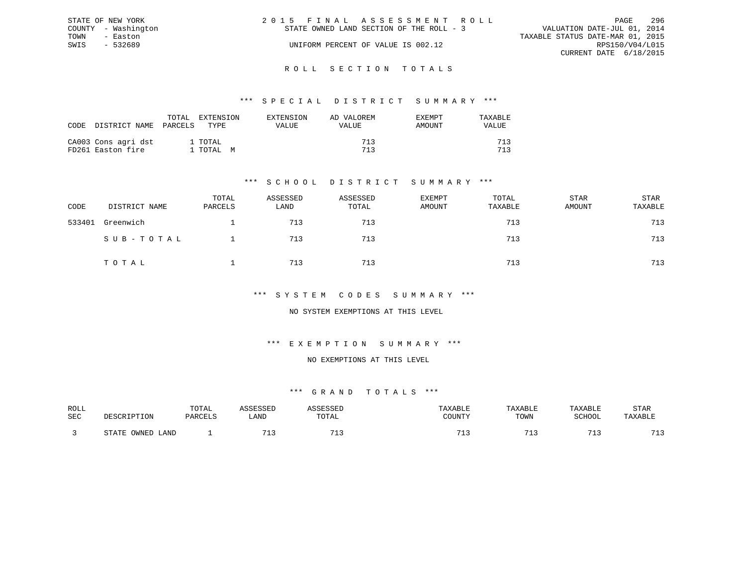|      | STATE OF NEW YORK   | 2015 FINAL ASSESSMENT ROLL                                              | PAGE            | -296 |
|------|---------------------|-------------------------------------------------------------------------|-----------------|------|
|      | COUNTY - Washington | VALUATION DATE-JUL 01, 2014<br>STATE OWNED LAND SECTION OF THE ROLL - 3 |                 |      |
| TOWN | - Easton            | TAXABLE STATUS DATE-MAR 01, 2015                                        |                 |      |
| SWIS | - 532689            | UNIFORM PERCENT OF VALUE IS 002.12                                      | RPS150/V04/L015 |      |
|      |                     | CURRENT DATE 6/18/2015                                                  |                 |      |
|      |                     |                                                                         |                 |      |

#### R O L L S E C T I O N T O T A L S

#### \*\*\* S P E C I A L D I S T R I C T S U M M A R Y \*\*\*

| CODE | DISTRICT NAME                            | TOTAL<br>PARCELS | EXTENSION<br>TYPE.   | EXTENSION<br>VALUE | AD VALOREM<br>VALUE | EXEMPT<br>AMOUNT | TAXABLE<br><b>VALUE</b> |
|------|------------------------------------------|------------------|----------------------|--------------------|---------------------|------------------|-------------------------|
|      | CA003 Cons agri dst<br>FD261 Easton fire |                  | 1 TOTAL<br>1 ТОТАL М |                    | 713<br>713          |                  | 712<br>712              |

# \*\*\* S C H O O L D I S T R I C T S U M M A R Y \*\*\*

| CODE   | DISTRICT NAME | TOTAL<br>PARCELS | ASSESSED<br>LAND | ASSESSED<br>TOTAL | <b>EXEMPT</b><br>AMOUNT | TOTAL<br>TAXABLE | STAR<br>AMOUNT | STAR<br>TAXABLE |
|--------|---------------|------------------|------------------|-------------------|-------------------------|------------------|----------------|-----------------|
| 533401 | Greenwich     |                  | 713              | 713               |                         | 713              |                | 713             |
|        | SUB-TOTAL     |                  | 713              | 713               |                         | 713              |                | 713             |
|        | TOTAL         |                  | 713              | 713               |                         | 713              |                | 713             |

### \*\*\* S Y S T E M C O D E S S U M M A R Y \*\*\*

## NO SYSTEM EXEMPTIONS AT THIS LEVEL

# \*\*\* E X E M P T I O N S U M M A R Y \*\*\*

#### NO EXEMPTIONS AT THIS LEVEL

| ROLL       |                        | TOTAL   | <b>ACCTCCTT</b>       | <b>ACCECCET</b>       | TAXABLE | TAXABLE | TAXABLE    | STAR               |
|------------|------------------------|---------|-----------------------|-----------------------|---------|---------|------------|--------------------|
|            |                        |         |                       |                       |         |         |            |                    |
| <b>SEC</b> | DESCRIPTION            | PARCELS | LAND                  | TOTAL                 | COUNTY  | TOWN    | SCHOOL     | TAXABLE            |
|            |                        |         |                       |                       |         |         |            |                    |
|            |                        |         |                       |                       |         |         |            |                    |
|            | OWNED<br>STATE<br>LAND |         | <b>m</b> <sup>1</sup> | <b>m</b> <sup>1</sup> | 71.     |         | $-1$<br>-- | 712<br><u>ے بل</u> |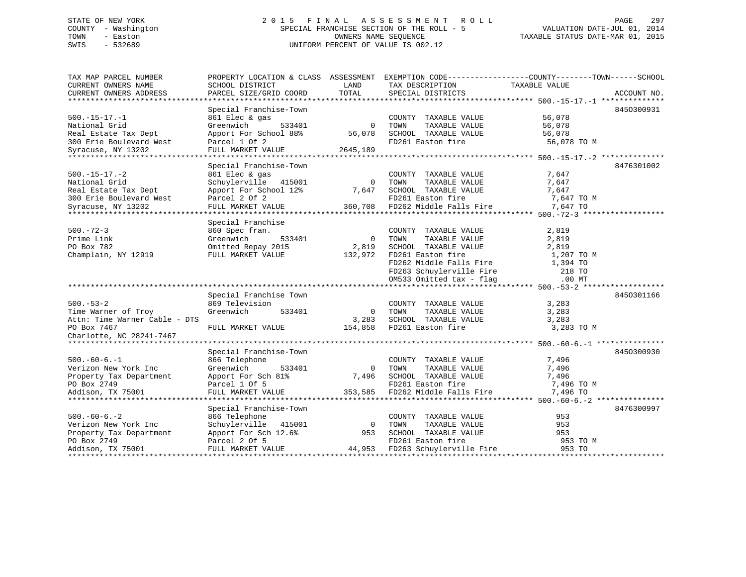# STATE OF NEW YORK 2 0 1 5 F I N A L A S S E S S M E N T R O L L PAGE 297 COUNTY - Washington SPECIAL FRANCHISE SECTION OF THE ROLL - 5 VALUATION DATE-JUL 01, 2014 TOWN - Easton OWNERS NAME SEQUENCE TAXABLE STATUS DATE-MAR 01, 2015 SWIS - 532689 UNIFORM PERCENT OF VALUE IS 002.12

| TAX MAP PARCEL NUMBER         |                            |                | PROPERTY LOCATION & CLASS ASSESSMENT EXEMPTION CODE----------------COUNTY-------TOWN------SCHOOL |                  |             |
|-------------------------------|----------------------------|----------------|--------------------------------------------------------------------------------------------------|------------------|-------------|
| CURRENT OWNERS NAME           | SCHOOL DISTRICT            | LAND           | TAX DESCRIPTION                                                                                  | TAXABLE VALUE    |             |
| CURRENT OWNERS ADDRESS        | PARCEL SIZE/GRID COORD     | TOTAL          | SPECIAL DISTRICTS                                                                                |                  | ACCOUNT NO. |
|                               |                            |                |                                                                                                  |                  |             |
|                               | Special Franchise-Town     |                |                                                                                                  |                  | 8450300931  |
| $500.-15-17.-1$               | 861 Elec & gas             |                | COUNTY TAXABLE VALUE                                                                             | 56,078           |             |
| National Grid                 | 533401<br>Greenwich        | $\overline{0}$ | TAXABLE VALUE<br>TOWN                                                                            | 56,078           |             |
| Real Estate Tax Dept          | Apport For School 88%      | 56,078         | SCHOOL TAXABLE VALUE<br>FD261 Easton fire                                                        | 56,078           |             |
| 300 Erie Boulevard West       | Parcel 1 Of 2              |                |                                                                                                  | 56,078 TO M      |             |
| Syracuse, NY 13202            | FULL MARKET VALUE 2645,189 |                |                                                                                                  |                  |             |
|                               |                            |                |                                                                                                  |                  |             |
|                               | Special Franchise-Town     |                |                                                                                                  |                  | 8476301002  |
| $500. -15 - 17. -2$           | 861 Elec & gas             |                | COUNTY TAXABLE VALUE                                                                             | 7,647            |             |
| National Grid                 | Schuylerville 415001       | $\Omega$       | TAXABLE VALUE<br>TOWN                                                                            | 7,647            |             |
| Real Estate Tax Dept          | Apport For School 12%      | 7,647          | SCHOOL TAXABLE VALUE                                                                             | 7,647            |             |
| 300 Erie Boulevard West       | Parcel 2 Of 2              |                | FD261 Easton fire                                                                                | 7,647 TO M       |             |
| Syracuse, NY 13202            | FULL MARKET VALUE          |                | 360,708 FD262 Middle Falls Fire                                                                  | 7,647 TO         |             |
|                               |                            |                |                                                                                                  |                  |             |
|                               | Special Franchise          |                |                                                                                                  |                  |             |
| $500. - 72 - 3$               | 860 Spec fran.             |                | COUNTY TAXABLE VALUE                                                                             | 2,819            |             |
| Prime Link                    | Greenwich<br>533401        | $\overline{0}$ | TAXABLE VALUE<br>TOWN                                                                            | 2,819            |             |
| PO Box 782                    | Omitted Repay 2015         | 2,819          | SCHOOL TAXABLE VALUE                                                                             | 2,819            |             |
| Champlain, NY 12919           | FULL MARKET VALUE          | 132,972        | FD261 Easton fire                                                                                | 1,207 TO M       |             |
|                               |                            |                | FD262 Middle Falls Fire                                                                          | 1,394 TO         |             |
|                               |                            |                | FD263 Schuylerville Fire<br>OM532 Omiti :                                                        | $^{\sim}$ 218 TO |             |
|                               |                            |                | OM533 Omitted tax - flag                                                                         | $.00$ MT         |             |
|                               |                            |                |                                                                                                  |                  |             |
|                               | Special Franchise Town     |                |                                                                                                  |                  | 8450301166  |
| $500. - 53 - 2$               | 869 Television             |                | COUNTY TAXABLE VALUE                                                                             | 3,283            |             |
| Time Warner of Troy           | Greenwich<br>533401        | $\Omega$       | TOWN<br>TAXABLE VALUE                                                                            | 3,283            |             |
| Attn: Time Warner Cable - DTS |                            | 3,283          | SCHOOL TAXABLE VALUE                                                                             | 3,283            |             |
| PO Box 7467                   | FULL MARKET VALUE          |                | 154,858 FD261 Easton fire                                                                        | 3,283 TO M       |             |
| Charlotte, NC 28241-7467      |                            |                |                                                                                                  |                  |             |
|                               |                            |                |                                                                                                  |                  |             |
|                               | Special Franchise-Town     |                |                                                                                                  |                  | 8450300930  |
| $500. -60 - 6. -1$            | 866 Telephone              |                | COUNTY TAXABLE VALUE                                                                             | 7,496            |             |
| Verizon New York Inc          | Greenwich<br>533401        | $\overline{0}$ | TOWN<br>TAXABLE VALUE                                                                            | 7,496            |             |
| Property Tax Department       | Apport For Sch 81%         | 7,496          | SCHOOL TAXABLE VALUE                                                                             | 7,496            |             |
| PO Box 2749                   | Parcel 1 Of 5              |                | FD261 Easton fire                                                                                | 7,496 TO M       |             |
| Addison, TX 75001             | FULL MARKET VALUE          | 353,585        | FD262 Middle Falls Fire                                                                          | 7,496 TO         |             |
|                               |                            |                |                                                                                                  |                  |             |
|                               | Special Franchise-Town     |                |                                                                                                  |                  | 8476300997  |
| $500. -60 - 6. - 2$           | 866 Telephone              |                | COUNTY TAXABLE VALUE                                                                             | 953              |             |
| Verizon New York Inc          | Schuylerville<br>415001    | $\overline{0}$ | TAXABLE VALUE<br>TOWN                                                                            | 953              |             |
| Property Tax Department       | Apport For Sch 12.6%       | 953            | SCHOOL TAXABLE VALUE                                                                             | 953              |             |
| PO Box 2749                   | Parcel 2 Of 5              |                | FD261 Easton fire                                                                                | 953 TO M         |             |
| Addison, TX 75001             | FULL MARKET VALUE          |                | 44,953 FD263 Schuylerville Fire                                                                  | 953 TO           |             |
|                               |                            |                |                                                                                                  |                  |             |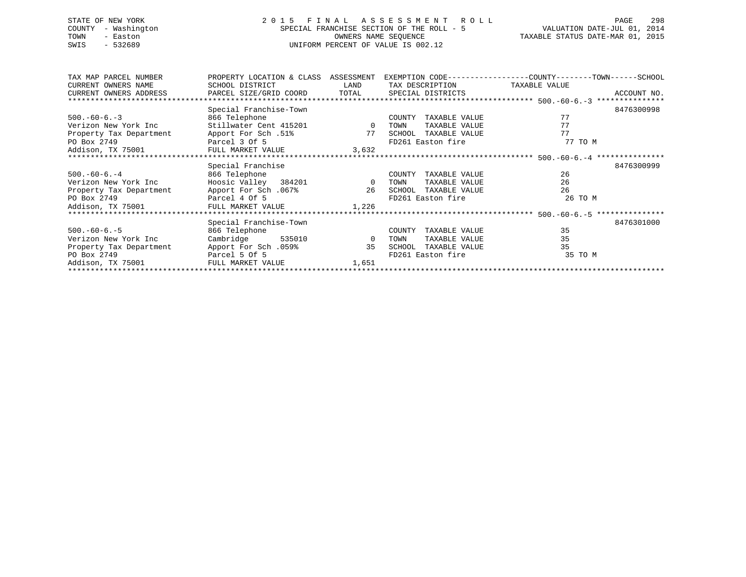# STATE OF NEW YORK 2 0 1 5 F I N A L A S S E S S M E N T R O L L PAGE 298 COUNTY - Washington SPECIAL FRANCHISE SECTION OF THE ROLL - 5 VALUATION DATE-JUL 01, 2014 TOWN - Easton OWNERS NAME SEQUENCE TAXABLE STATUS DATE-MAR 01, 2015 SWIS - 532689 UNIFORM PERCENT OF VALUE IS 002.12

| TAX MAP PARCEL NUMBER   | PROPERTY LOCATION & CLASS | ASSESSMENT     |                         | EXEMPTION CODE-----------------COUNTY-------TOWN------SCHOOL |  |  |  |  |  |  |
|-------------------------|---------------------------|----------------|-------------------------|--------------------------------------------------------------|--|--|--|--|--|--|
| CURRENT OWNERS NAME     | SCHOOL DISTRICT           | LAND           | TAX DESCRIPTION         | TAXABLE VALUE                                                |  |  |  |  |  |  |
| CURRENT OWNERS ADDRESS  | PARCEL SIZE/GRID COORD    | TOTAL          | SPECIAL DISTRICTS       | ACCOUNT NO.                                                  |  |  |  |  |  |  |
|                         |                           |                |                         |                                                              |  |  |  |  |  |  |
|                         | Special Franchise-Town    |                |                         | 8476300998                                                   |  |  |  |  |  |  |
| $500. -60 - 6. -3$      | 866 Telephone             |                | TAXABLE VALUE<br>COUNTY | 77                                                           |  |  |  |  |  |  |
| Verizon New York Inc    | Stillwater Cent 415201    | $\overline{0}$ | TAXABLE VALUE<br>TOWN   | 77                                                           |  |  |  |  |  |  |
| Property Tax Department | Apport For Sch.51%        | 77             | SCHOOL<br>TAXABLE VALUE | 77                                                           |  |  |  |  |  |  |
| PO Box 2749             | Parcel 3 Of 5             |                | FD261 Easton fire       | 77 TO M                                                      |  |  |  |  |  |  |
| Addison, TX 75001       | FULL MARKET VALUE         | 3,632          |                         |                                                              |  |  |  |  |  |  |
|                         |                           |                |                         |                                                              |  |  |  |  |  |  |
|                         | Special Franchise         |                |                         | 8476300999                                                   |  |  |  |  |  |  |
| $500. -60 - 6. - 4$     | 866 Telephone             |                | TAXABLE VALUE<br>COUNTY | 26                                                           |  |  |  |  |  |  |
| Verizon New York Inc    | Hoosic Valley 384201      | $\overline{0}$ | TAXABLE VALUE<br>TOWN   | 26                                                           |  |  |  |  |  |  |
| Property Tax Department | 167%. Apport For Sch      | 26             | TAXABLE VALUE<br>SCHOOL | 26                                                           |  |  |  |  |  |  |
| PO Box 2749             | Parcel 4 Of 5             |                | FD261 Easton fire       | 26 TO M                                                      |  |  |  |  |  |  |
| Addison, TX 75001       | FULL MARKET VALUE         | 1,226          |                         |                                                              |  |  |  |  |  |  |
|                         |                           |                |                         |                                                              |  |  |  |  |  |  |
|                         | Special Franchise-Town    |                |                         | 8476301000                                                   |  |  |  |  |  |  |
| $500. -60 - 6. -5$      | 866 Telephone             |                | TAXABLE VALUE<br>COUNTY | 35                                                           |  |  |  |  |  |  |
| Verizon New York Inc    | Cambridge<br>535010       | $\overline{0}$ | TAXABLE VALUE<br>TOWN   | 35                                                           |  |  |  |  |  |  |
| Property Tax Department | 159%. Apport For Sch      | 35             | SCHOOL<br>TAXABLE VALUE | 35                                                           |  |  |  |  |  |  |
| PO Box 2749             | Parcel 5 Of 5             |                | FD261 Easton fire       | 35 TO M                                                      |  |  |  |  |  |  |
| Addison, TX 75001       | FULL MARKET VALUE         | 1,651          |                         |                                                              |  |  |  |  |  |  |
|                         |                           |                |                         |                                                              |  |  |  |  |  |  |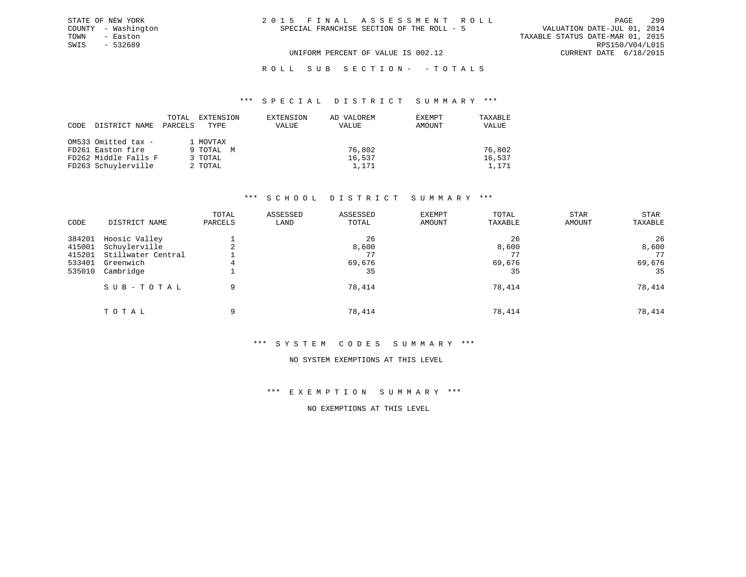| 2015 FINAL ASSESSMENT ROLL                |  |                                  | <b>PAGE</b>            | 299 |
|-------------------------------------------|--|----------------------------------|------------------------|-----|
| SPECIAL FRANCHISE SECTION OF THE ROLL - 5 |  | VALUATION DATE-JUL 01, 2014      |                        |     |
|                                           |  | TAXABLE STATUS DATE-MAR 01, 2015 |                        |     |
|                                           |  |                                  | RPS150/V04/L015        |     |
| UNIFORM PERCENT OF VALUE IS 002.12        |  |                                  | CURRENT DATE 6/18/2015 |     |

ROLL SUB SECTION - - TOTALS

#### \*\*\* S P E C I A L D I S T R I C T S U M M A R Y \*\*\*

| CODE | DISTRICT NAME        | TOTAL<br>PARCELS | EXTENSION<br>TYPE | EXTENSION<br>VALUE | AD VALOREM<br>VALUE | EXEMPT<br>AMOUNT | TAXABLE<br>VALUE |
|------|----------------------|------------------|-------------------|--------------------|---------------------|------------------|------------------|
|      | OM533 Omitted tax -  |                  | 1 MOVTAX          |                    |                     |                  |                  |
|      | FD261 Easton fire    |                  | 9 TOTAL M         |                    | 76,802              |                  | 76,802           |
|      | FD262 Middle Falls F |                  | 3 TOTAL           |                    | 16,537              |                  | 16,537           |
|      | FD263 Schuylerville  |                  | 2 TOTAL           |                    | 1,171               |                  | 1,171            |

STATE OF NEW YORK COUNTY - Washington TOWN - Easton SWIS - 532689

## \*\*\* S C H O O L D I S T R I C T S U M M A R Y \*\*\*

| CODE                                           | DISTRICT NAME                                                                  | TOTAL<br>PARCELS | ASSESSED<br>LAND | ASSESSED<br>TOTAL                 | EXEMPT<br>AMOUNT | TOTAL<br>TAXABLE            | <b>STAR</b><br>AMOUNT | STAR<br>TAXABLE                   |
|------------------------------------------------|--------------------------------------------------------------------------------|------------------|------------------|-----------------------------------|------------------|-----------------------------|-----------------------|-----------------------------------|
| 384201<br>415001<br>415201<br>533401<br>535010 | Hoosic Valley<br>Schuylerville<br>Stillwater Central<br>Greenwich<br>Cambridge | 4                |                  | 26<br>8,600<br>77<br>69,676<br>35 |                  | 26<br>8,600<br>69,676<br>35 |                       | 26<br>8,600<br>77<br>69,676<br>35 |
|                                                | SUB-TOTAL                                                                      | 9                |                  | 78,414                            |                  | 78,414                      |                       | 78,414                            |
|                                                | TOTAL                                                                          | 9                |                  | 78,414                            |                  | 78,414                      |                       | 78,414                            |

# \*\*\* S Y S T E M C O D E S S U M M A R Y \*\*\*

#### NO SYSTEM EXEMPTIONS AT THIS LEVEL

\*\*\* E X E M P T I O N S U M M A R Y \*\*\*

NO EXEMPTIONS AT THIS LEVEL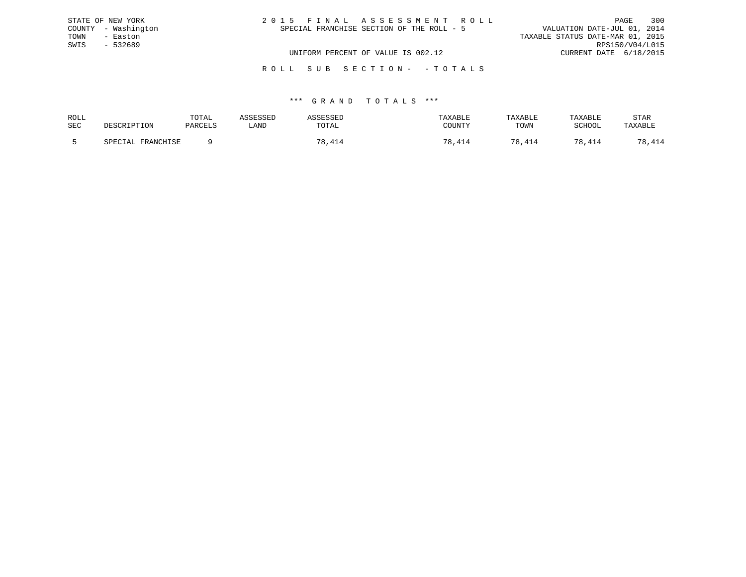|      | STATE OF NEW YORK   | 2015 FINAL ASSESSMENT ROLL                | PAGE                             | 300 |
|------|---------------------|-------------------------------------------|----------------------------------|-----|
|      | COUNTY - Washington | SPECIAL FRANCHISE SECTION OF THE ROLL - 5 | VALUATION DATE-JUL 01, 2014      |     |
| TOWN | - Easton            |                                           | TAXABLE STATUS DATE-MAR 01, 2015 |     |
| SWIS | - 532689            |                                           | RPS150/V04/L015                  |     |
|      |                     | UNIFORM PERCENT OF VALUE IS 002.12        | CURRENT DATE 6/18/2015           |     |
|      |                     |                                           |                                  |     |

#### R O L L S U B S E C T I O N - - T O T A L S

| ROLL       |                     | TOTAL   |      |       | TAXABLE | TAXABLE   | TAXABLE  | <b>STAR</b> |
|------------|---------------------|---------|------|-------|---------|-----------|----------|-------------|
| <b>SEC</b> | DESCRIPTION<br>TION | PARCELS | LAND | TOTAL | COUNTY  | TOWN      | SCHOOL   | דם ∧זי איד. |
|            | חים דזזמנות מהד     |         |      | 70    |         | 70 D<br>. | 70<br>ᇃᆠ | .           |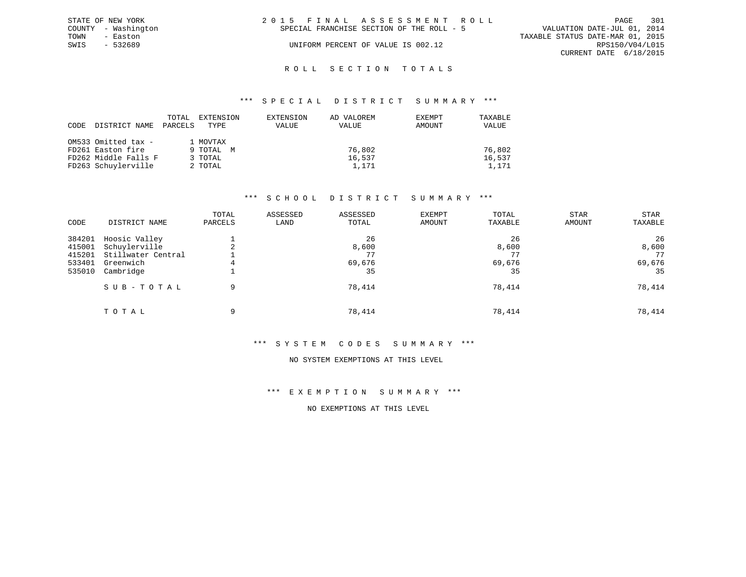|      | STATE OF NEW YORK   | 2015 FINAL ASSESSMENT ROLL                                               | PAGE            | 301 |
|------|---------------------|--------------------------------------------------------------------------|-----------------|-----|
|      | COUNTY - Washington | VALUATION DATE-JUL 01, 2014<br>SPECIAL FRANCHISE SECTION OF THE ROLL - 5 |                 |     |
| TOWN | - Easton            | TAXABLE STATUS DATE-MAR 01, 2015                                         |                 |     |
| SWIS | - 532689            | UNIFORM PERCENT OF VALUE IS 002.12                                       | RPS150/V04/L015 |     |
|      |                     | CURRENT DATE 6/18/2015                                                   |                 |     |
|      |                     |                                                                          |                 |     |

# ROLL SECTION TOTALS

#### \*\*\* S P E C I A L D I S T R I C T S U M M A R Y \*\*\*

| CODE | DISTRICT NAME        | TOTAL<br>PARCELS | EXTENSION<br>TYPE | EXTENSION<br>VALUE | AD VALOREM<br>VALUE | EXEMPT<br>AMOUNT | TAXABLE<br>VALUE |
|------|----------------------|------------------|-------------------|--------------------|---------------------|------------------|------------------|
|      | OM533 Omitted tax -  |                  | 1 MOVTAX          |                    |                     |                  |                  |
|      | FD261 Easton fire    |                  | 9 TOTAL M         |                    | 76,802              |                  | 76,802           |
|      | FD262 Middle Falls F |                  | 3 TOTAL           |                    | 16,537              |                  | 16,537           |
|      | FD263 Schuylerville  |                  | 2 TOTAL           |                    | 1,171               |                  | 1,171            |

# \*\*\* S C H O O L D I S T R I C T S U M M A R Y \*\*\*

| CODE                                           | DISTRICT NAME                                                                  | TOTAL<br>PARCELS | ASSESSED<br>LAND | ASSESSED<br>TOTAL                 | EXEMPT<br><b>AMOUNT</b> | TOTAL<br>TAXABLE            | STAR<br>AMOUNT | STAR<br>TAXABLE                   |
|------------------------------------------------|--------------------------------------------------------------------------------|------------------|------------------|-----------------------------------|-------------------------|-----------------------------|----------------|-----------------------------------|
| 384201<br>415001<br>415201<br>533401<br>535010 | Hoosic Valley<br>Schuylerville<br>Stillwater Central<br>Greenwich<br>Cambridge | 4                |                  | 26<br>8,600<br>77<br>69,676<br>35 |                         | 26<br>8,600<br>69,676<br>35 |                | 26<br>8,600<br>77<br>69,676<br>35 |
|                                                | SUB-TOTAL                                                                      | 9                |                  | 78,414                            |                         | 78,414                      |                | 78,414                            |
|                                                | TOTAL                                                                          | 9                |                  | 78,414                            |                         | 78,414                      |                | 78,414                            |

# \*\*\* S Y S T E M C O D E S S U M M A R Y \*\*\*

#### NO SYSTEM EXEMPTIONS AT THIS LEVEL

\*\*\* E X E M P T I O N S U M M A R Y \*\*\*

NO EXEMPTIONS AT THIS LEVEL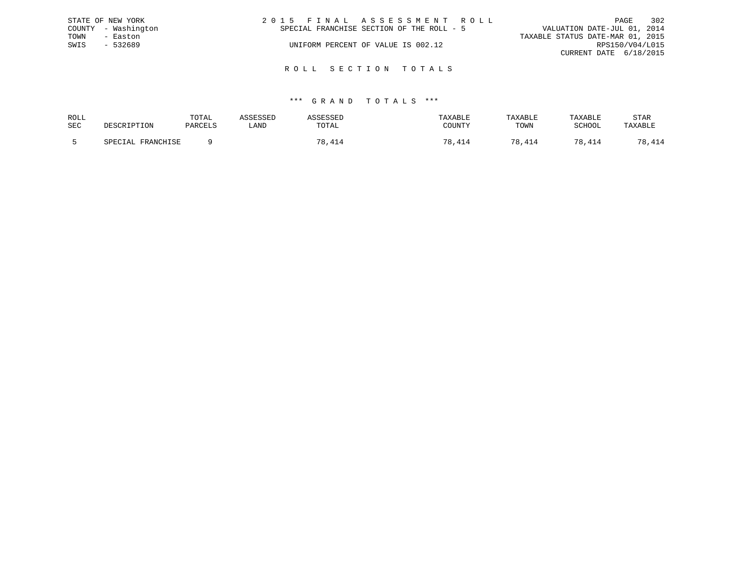|      | STATE OF NEW YORK   | 2015 FINAL ASSESSMENT ROLL                |                             | PAGE            | 302 |
|------|---------------------|-------------------------------------------|-----------------------------|-----------------|-----|
|      | COUNTY - Washington | SPECIAL FRANCHISE SECTION OF THE ROLL - 5 | VALUATION DATE-JUL 01, 2014 |                 |     |
| TOWN | - Easton            | TAXABLE STATUS DATE-MAR 01, 2015          |                             |                 |     |
| SWIS | $-532689$           | UNIFORM PERCENT OF VALUE IS 002.12        |                             | RPS150/V04/L015 |     |
|      |                     |                                           | CURRENT DATE 6/18/2015      |                 |     |
|      |                     |                                           |                             |                 |     |

R O L L S E C T I O N T O T A L S

| ROLL       |                         | TOTAL   |      |         | TAXABLE  | TAXABLE          | TAXABLE | STAR    |
|------------|-------------------------|---------|------|---------|----------|------------------|---------|---------|
| <b>SEC</b> |                         | PARCELS | LAND | TOTAL   | COUNTY   | TOWN             | SCHOOL  | TAXABLE |
|            | . FRANCHISF<br>SDFCTAL. |         |      | 70<br>4 | 70<br>41 | 70 D<br>$\Delta$ | 78,414  | 70<br>. |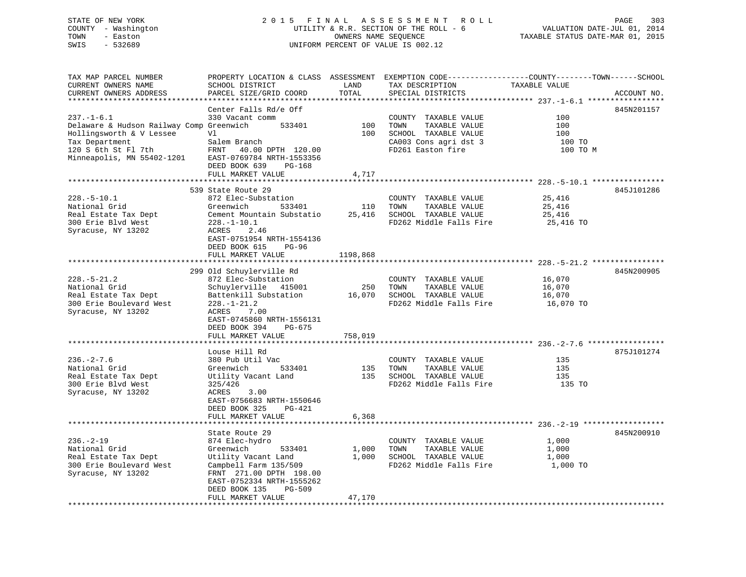# STATE OF NEW YORK 2 0 1 5 F I N A L A S S E S S M E N T R O L L PAGE 303 COUNTY - Washington UTILITY & R.R. SECTION OF THE ROLL - 6 VALUATION DATE-JUL 01, 2014 TOWN - Easton OWNERS NAME SEQUENCE TAXABLE STATUS DATE-MAR 01, 2015 SWIS - 532689 UNIFORM PERCENT OF VALUE IS 002.12

TAX MAP PARCEL NUMBER PROPERTY LOCATION & CLASS ASSESSMENT EXEMPTION CODE------------------COUNTY--------TOWN------SCHOOL CURRENT OWNERS NAME SCHOOL DISTRICT LAND TAX DESCRIPTION TAXABLE VALUECURRENT OWNERS ADDRESS PARCEL SIZE/GRID COORD TOTAL SPECIAL DISTRICTS ACCOUNT NO. \*\*\*\*\*\*\*\*\*\*\*\*\*\*\*\*\*\*\*\*\*\*\*\*\*\*\*\*\*\*\*\*\*\*\*\*\*\*\*\*\*\*\*\*\*\*\*\*\*\*\*\*\*\*\*\*\*\*\*\*\*\*\*\*\*\*\*\*\*\*\*\*\*\*\*\*\*\*\*\*\*\*\*\*\*\*\*\*\*\*\*\*\*\*\*\*\*\*\*\*\*\*\* 237.-1-6.1 \*\*\*\*\*\*\*\*\*\*\*\*\*\*\*\*\* Center Falls Rd/e Off 845N201157 237.-1-6.1 330 Vacant comm COUNTY TAXABLE VALUE 100Delaware & Hudson Railway Comp Greenwich 533401 100 TOWN TAXABLE VALUE 100<br>
Hollingsworth & V Lessee V1 100 SCHOOL TAXABLE VALUE 100<br>
Tax Department Salem Branch CA003 Cons agri dst 3 Hollingsworth & V Lessee 100<br>
Tax Department 100 Salem Branch 100 CA003 Cons agridst 3 100 TO<br>
Tax Department 100 TO Tax Department Salem Branch CA003 Cons agri dst 3 100 TO 120 S 6th St Fl 7th FRNT 40.00 DPTH 120.00 FD261 Easton fire 100 TO MMinneapolis, MN 55402-1201 EAST-0769784 NRTH-1553356 DEED BOOK 639 PG-168 FULL MARKET VALUE 4,717 \*\*\*\*\*\*\*\*\*\*\*\*\*\*\*\*\*\*\*\*\*\*\*\*\*\*\*\*\*\*\*\*\*\*\*\*\*\*\*\*\*\*\*\*\*\*\*\*\*\*\*\*\*\*\*\*\*\*\*\*\*\*\*\*\*\*\*\*\*\*\*\*\*\*\*\*\*\*\*\*\*\*\*\*\*\*\*\*\*\*\*\*\*\*\*\*\*\*\*\*\*\*\* 228.-5-10.1 \*\*\*\*\*\*\*\*\*\*\*\*\*\*\*\* 539 State Route 29 845J101286228.-5-10.1 872 Elec-Substation COUNTY TAXABLE VALUE 25,416 National Grid Greenwich 533401 110 TOWN TAXABLE VALUE 25,416 Real Estate Tax Dept Cement Mountain Substatio 25,416 SCHOOL TAXABLE VALUE 25,416 300 Erie Blvd West 228.-1-10.1 FD262 Middle Falls Fire 25,416 TO Syracuse, NY 13202 ACRES 2.46 EAST-0751954 NRTH-1554136 DEED BOOK 615 PG-96FULL MARKET VALUE 1198,868 \*\*\*\*\*\*\*\*\*\*\*\*\*\*\*\*\*\*\*\*\*\*\*\*\*\*\*\*\*\*\*\*\*\*\*\*\*\*\*\*\*\*\*\*\*\*\*\*\*\*\*\*\*\*\*\*\*\*\*\*\*\*\*\*\*\*\*\*\*\*\*\*\*\*\*\*\*\*\*\*\*\*\*\*\*\*\*\*\*\*\*\*\*\*\*\*\*\*\*\*\*\*\* 228.-5-21.2 \*\*\*\*\*\*\*\*\*\*\*\*\*\*\*\* 299 Old Schuylerville Rd 845N200905 228.-5-21.2 872 Elec-Substation COUNTY TAXABLE VALUE 16,070 National Grid Schuylerville 415001 250 TOWN TAXABLE VALUE 16,070 Real Estate Tax Dept Battenkill Substation 16,070 SCHOOL TAXABLE VALUE 16,070 300 Erie Boulevard West 228.-1-21.2 FD262 Middle Falls Fire 16,070 TO Syracuse, NY 13202 ACRES 7.00 EAST-0745860 NRTH-1556131 DEED BOOK 394 PG-675FULL MARKET VALUE 758,019 \*\*\*\*\*\*\*\*\*\*\*\*\*\*\*\*\*\*\*\*\*\*\*\*\*\*\*\*\*\*\*\*\*\*\*\*\*\*\*\*\*\*\*\*\*\*\*\*\*\*\*\*\*\*\*\*\*\*\*\*\*\*\*\*\*\*\*\*\*\*\*\*\*\*\*\*\*\*\*\*\*\*\*\*\*\*\*\*\*\*\*\*\*\*\*\*\*\*\*\*\*\*\* 236.-2-7.6 \*\*\*\*\*\*\*\*\*\*\*\*\*\*\*\*\* Louse Hill Rd 875J101274236.-2-7.6 380 Pub Util Vac COUNTY TAXABLE VALUE 135 $135$ National Grid Greenwich 533401 135 TOWN TAXABLE VALUE<br>Real Estate Tax Dept 11 Utility Vacant Land 135 SCHOOL TAXABLE VALUE Real Estate Tax Dept Utility Vacant Land 135 SCHOOL TAXABLE VALUE 135 300 Erie Blvd West 325/426 FD262 Middle Falls Fire 135 TO Syracuse, NY 13202 ACRES 3.00 EAST-0756683 NRTH-1550646 DEED BOOK 325 PG-421FULL MARKET VALUE 6,368 \*\*\*\*\*\*\*\*\*\*\*\*\*\*\*\*\*\*\*\*\*\*\*\*\*\*\*\*\*\*\*\*\*\*\*\*\*\*\*\*\*\*\*\*\*\*\*\*\*\*\*\*\*\*\*\*\*\*\*\*\*\*\*\*\*\*\*\*\*\*\*\*\*\*\*\*\*\*\*\*\*\*\*\*\*\*\*\*\*\*\*\*\*\*\*\*\*\*\*\*\*\*\* 236.-2-19 \*\*\*\*\*\*\*\*\*\*\*\*\*\*\*\*\*\*State Route 29 845N200910 236.-2-19 874 Elec-hydro COUNTY TAXABLE VALUE 1,000 National Grid Greenwich 533401 1,000 TOWN TAXABLE VALUE 1,000 Real Estate Tax Dept Utility Vacant Land 1,000 SCHOOL TAXABLE VALUE 1,000 300 Erie Boulevard West Campbell Farm 135/509 FD262 Middle Falls Fire 1,000 TO Syracuse, NY 13202 FRNT 271.00 DPTH 198.00 EAST-0752334 NRTH-1555262DEED BOOK 135 PG-509

\*\*\*\*\*\*\*\*\*\*\*\*\*\*\*\*\*\*\*\*\*\*\*\*\*\*\*\*\*\*\*\*\*\*\*\*\*\*\*\*\*\*\*\*\*\*\*\*\*\*\*\*\*\*\*\*\*\*\*\*\*\*\*\*\*\*\*\*\*\*\*\*\*\*\*\*\*\*\*\*\*\*\*\*\*\*\*\*\*\*\*\*\*\*\*\*\*\*\*\*\*\*\*\*\*\*\*\*\*\*\*\*\*\*\*\*\*\*\*\*\*\*\*\*\*\*\*\*\*\*\*\*

FULL MARKET VALUE 47,170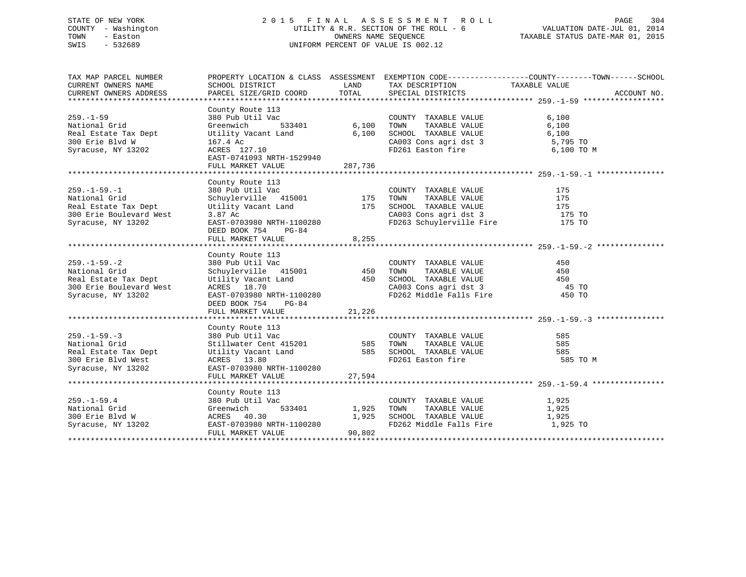# STATE OF NEW YORK 2 0 1 5 F I N A L A S S E S S M E N T R O L L PAGE 304 COUNTY - Washington UTILITY & R.R. SECTION OF THE ROLL - 6 VALUATION DATE-JUL 01, 2014 TOWN - Easton OWNERS NAME SEQUENCE TAXABLE STATUS DATE-MAR 01, 2015 SWIS - 532689 UNIFORM PERCENT OF VALUE IS 002.12

| TAX MAP PARCEL NUMBER   |                                                                                                                                                                                                                                    |                                   |                                                                | PROPERTY LOCATION & CLASS ASSESSMENT EXEMPTION CODE----------------COUNTY-------TOWN-----SCHOOL |  |
|-------------------------|------------------------------------------------------------------------------------------------------------------------------------------------------------------------------------------------------------------------------------|-----------------------------------|----------------------------------------------------------------|-------------------------------------------------------------------------------------------------|--|
| CURRENT OWNERS NAME     | SCHOOL DISTRICT                                                                                                                                                                                                                    | LAND                              | TAX DESCRIPTION TAXABLE VALUE                                  |                                                                                                 |  |
| CURRENT OWNERS ADDRESS  | PARCEL SIZE/GRID COORD                                                                                                                                                                                                             | TOTAL                             | SPECIAL DISTRICTS                                              | ACCOUNT NO.                                                                                     |  |
|                         |                                                                                                                                                                                                                                    |                                   |                                                                |                                                                                                 |  |
| $259. - 1 - 59$         | County Route 113<br>380 Pub Util Vac                                                                                                                                                                                               | 。<br><u>-</u><br>533401     6,100 | COUNTY TAXABLE VALUE                                           | 6,100                                                                                           |  |
| National Grid           | Greenwich                                                                                                                                                                                                                          |                                   | TOWN<br>TAXABLE VALUE                                          | 6,100                                                                                           |  |
|                         | Real Estate Tax Dept <b>Utility Vacant Land</b> 6,100                                                                                                                                                                              |                                   | SCHOOL TAXABLE VALUE                                           | 6,100                                                                                           |  |
| 300 Erie Blvd W         |                                                                                                                                                                                                                                    |                                   |                                                                |                                                                                                 |  |
| Syracuse, NY 13202      | 167.4 Ac<br>ACRES 127.10                                                                                                                                                                                                           |                                   | CA003 Cons agri dst 3 5,795 TO<br>FD261 Easton fire 6,100 TO M |                                                                                                 |  |
|                         | EAST-0741093 NRTH-1529940                                                                                                                                                                                                          |                                   |                                                                |                                                                                                 |  |
|                         | FULL MARKET VALUE 287,736                                                                                                                                                                                                          |                                   |                                                                |                                                                                                 |  |
|                         |                                                                                                                                                                                                                                    |                                   |                                                                |                                                                                                 |  |
|                         | County Route 113                                                                                                                                                                                                                   |                                   |                                                                |                                                                                                 |  |
| $259. - 1 - 59. - 1$    |                                                                                                                                                                                                                                    |                                   | COUNTY TAXABLE VALUE                                           | 175                                                                                             |  |
| National Grid           | 380 Pub Util Vac<br>Schuylerville 415001 175                                                                                                                                                                                       |                                   | TAXABLE VALUE<br>TOWN                                          | 175                                                                                             |  |
| Real Estate Tax Dept    |                                                                                                                                                                                                                                    |                                   |                                                                |                                                                                                 |  |
| 300 Erie Boulevard West | Utility Vacant Land 175 SCHOOL TAXABLE VALUE 175 175<br>3.87 Ac 62003 CA003 Consagri dst 3 175 TO                                                                                                                                  |                                   |                                                                |                                                                                                 |  |
| Syracuse, NY 13202      | EAST-0703980 NRTH-1100280                                                                                                                                                                                                          |                                   | FD263 Schuylerville Fire 175 TO                                |                                                                                                 |  |
|                         | DEED BOOK 754 PG-84                                                                                                                                                                                                                |                                   |                                                                |                                                                                                 |  |
|                         | FULL MARKET VALUE                                                                                                                                                                                                                  | 8,255                             |                                                                |                                                                                                 |  |
|                         |                                                                                                                                                                                                                                    |                                   |                                                                |                                                                                                 |  |
|                         |                                                                                                                                                                                                                                    |                                   |                                                                |                                                                                                 |  |
| $259. - 1 - 59. - 2$    |                                                                                                                                                                                                                                    |                                   |                                                                |                                                                                                 |  |
| National Grid           |                                                                                                                                                                                                                                    |                                   |                                                                |                                                                                                 |  |
| Real Estate Tax Dept    |                                                                                                                                                                                                                                    |                                   |                                                                |                                                                                                 |  |
| 300 Erie Boulevard West |                                                                                                                                                                                                                                    |                                   |                                                                |                                                                                                 |  |
| Syracuse, NY 13202      |                                                                                                                                                                                                                                    |                                   |                                                                |                                                                                                 |  |
|                         |                                                                                                                                                                                                                                    |                                   |                                                                |                                                                                                 |  |
|                         |                                                                                                                                                                                                                                    |                                   |                                                                |                                                                                                 |  |
|                         |                                                                                                                                                                                                                                    |                                   |                                                                |                                                                                                 |  |
|                         | County Route 113                                                                                                                                                                                                                   |                                   |                                                                |                                                                                                 |  |
| $259. - 1 - 59. - 3$    | 380 Pub Util Vac<br>Stillwater Cent 415201<br>Utility Vacant Land<br>Markey Stillwater Cent 415201<br>Stillwater Cent Land<br>Stillwater Still State SCHOOL TAXABLE VALUE<br>ACRES 13.80<br>TO261 Easton fire<br>TO261 Easton fire |                                   | COUNTY TAXABLE VALUE                                           | 585                                                                                             |  |
| National Grid           |                                                                                                                                                                                                                                    |                                   |                                                                | 585                                                                                             |  |
| Real Estate Tax Dept    |                                                                                                                                                                                                                                    |                                   |                                                                | 585                                                                                             |  |
| 300 Erie Blvd West      |                                                                                                                                                                                                                                    |                                   | FD261 Easton fire                                              | 585 TO M                                                                                        |  |
| Syracuse, NY 13202      | EAST-0703980 NRTH-1100280                                                                                                                                                                                                          |                                   |                                                                |                                                                                                 |  |
|                         | FULL MARKET VALUE                                                                                                                                                                                                                  | 27,594                            |                                                                |                                                                                                 |  |
|                         |                                                                                                                                                                                                                                    |                                   |                                                                |                                                                                                 |  |
|                         | County Route 113                                                                                                                                                                                                                   |                                   |                                                                |                                                                                                 |  |
| $259. - 1 - 59.4$       | 380 Pub Util Vac                                                                                                                                                                                                                   |                                   | COUNTY TAXABLE VALUE 1,925                                     |                                                                                                 |  |
| National Grid           |                                                                                                                                                                                                                                    | 533401 1,925 TOWN                 | TAXABLE VALUE 1,925                                            |                                                                                                 |  |
| 300 Erie Blvd W         |                                                                                                                                                                                                                                    |                                   | 1,925 SCHOOL TAXABLE VALUE                                     | 1,925                                                                                           |  |
|                         | Greenwich<br>ACRES 40.30<br>-----0703980 !<br>Syracuse, NY 13202 EAST-0703980 NRTH-1100280                                                                                                                                         |                                   | FD262 Middle Falls Fire 1,925 TO                               |                                                                                                 |  |
|                         | FULL MARKET VALUE                                                                                                                                                                                                                  | 90,802                            |                                                                |                                                                                                 |  |
|                         |                                                                                                                                                                                                                                    |                                   |                                                                |                                                                                                 |  |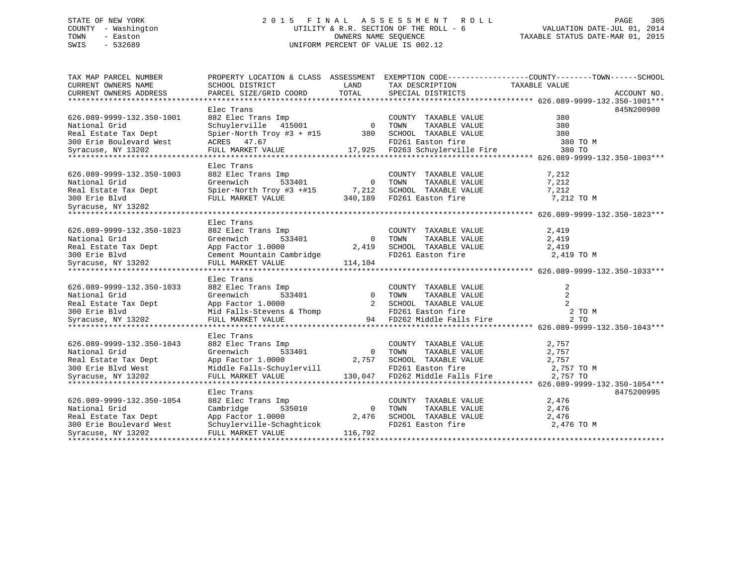# STATE OF NEW YORK 2 0 1 5 F I N A L A S S E S S M E N T R O L L PAGE 305 COUNTY - Washington UTILITY & R.R. SECTION OF THE ROLL - 6 VALUATION DATE-JUL 01, 2014 TOWN - Easton OWNERS NAME SEQUENCE TAXABLE STATUS DATE-MAR 01, 2015 SWIS - 532689 UNIFORM PERCENT OF VALUE IS 002.12

| TAX MAP PARCEL NUMBER                                                                                                                                                                           |                                                                                       |                | PROPERTY LOCATION & CLASS ASSESSMENT EXEMPTION CODE--------------COUNTY-------TOWN-----SCHOOL                    |                |            |
|-------------------------------------------------------------------------------------------------------------------------------------------------------------------------------------------------|---------------------------------------------------------------------------------------|----------------|------------------------------------------------------------------------------------------------------------------|----------------|------------|
| CURRENT OWNERS NAME                                                                                                                                                                             | SCHOOL DISTRICT                                                                       | LAND           | TAX DESCRIPTION                                                                                                  | TAXABLE VALUE  |            |
| CURRENT OWNERS ADDRESS PARCEL SIZE/GRID COORD TOTAL SPECIAL DISTRICTS (26.089-9999-132.350-1001*** PARCEL SIZE/GRID COORD TOTAL SPECIAL DISTRICTS                                               |                                                                                       |                |                                                                                                                  |                |            |
|                                                                                                                                                                                                 | Elec Trans                                                                            |                |                                                                                                                  |                | 845N200900 |
| 626.089-9999-132.350-1001                                                                                                                                                                       |                                                                                       |                | COUNTY TAXABLE VALUE                                                                                             | 380            |            |
| National Grid                                                                                                                                                                                   | 882 Elec Trans Imp<br>Schuylerville 415001 0<br>Crier North T                         |                | TAXABLE VALUE                                                                                                    | 380            |            |
|                                                                                                                                                                                                 |                                                                                       |                |                                                                                                                  |                |            |
|                                                                                                                                                                                                 |                                                                                       |                | Schuylerville 415001 0 10mm 11mm 11mm<br>Spier-North Troy #3 + #15 380 SCHOOL TAXABLE VALUE<br>FD261 Easton fire |                |            |
|                                                                                                                                                                                                 |                                                                                       |                |                                                                                                                  |                |            |
|                                                                                                                                                                                                 |                                                                                       |                |                                                                                                                  |                |            |
|                                                                                                                                                                                                 | Elec Trans                                                                            |                |                                                                                                                  |                |            |
| 626.089-9999-132.350-1003                                                                                                                                                                       | 882 Elec Trans Imp                                                                    |                | COUNTY TAXABLE VALUE                                                                                             | 7,212          |            |
| National Grid                                                                                                                                                                                   | $\begin{array}{ccc}\n\text{Imp} & & \\ \text{533401} & & \\ \end{array}$<br>Greenwich | 0 TOWN         | TAXABLE VALUE                                                                                                    | 7,212          |            |
|                                                                                                                                                                                                 |                                                                                       |                |                                                                                                                  |                |            |
|                                                                                                                                                                                                 |                                                                                       |                |                                                                                                                  |                |            |
|                                                                                                                                                                                                 |                                                                                       |                |                                                                                                                  |                |            |
|                                                                                                                                                                                                 |                                                                                       |                |                                                                                                                  |                |            |
|                                                                                                                                                                                                 | Elec Trans                                                                            |                |                                                                                                                  |                |            |
| 626.089-9999-132.350-1023                                                                                                                                                                       | 882 Elec Trans Imp                                                                    |                | COUNTY TAXABLE VALUE                                                                                             | 2,419          |            |
| National Grid                                                                                                                                                                                   | 533401<br>Greenwich                                                                   | $\overline{0}$ | TAXABLE VALUE<br>TOWN                                                                                            | 2,419          |            |
|                                                                                                                                                                                                 | App Factor 1.0000                                                                     | 2,419          | SCHOOL TAXABLE VALUE                                                                                             | 2,419          |            |
|                                                                                                                                                                                                 | Cement Mountain Cambridge                                                             |                | FD261 Easton fire                                                                                                | 2,419 TO M     |            |
|                                                                                                                                                                                                 | FULL MARKET VALUE                                                                     | 114,104        |                                                                                                                  |                |            |
|                                                                                                                                                                                                 |                                                                                       |                |                                                                                                                  |                |            |
|                                                                                                                                                                                                 | Elec Trans                                                                            |                |                                                                                                                  |                |            |
| 626.089-9999-132.350-1033                                                                                                                                                                       | 882 Elec Trans Imp                                                                    |                | COUNTY TAXABLE VALUE                                                                                             | 2              |            |
|                                                                                                                                                                                                 | 533401<br>0000                                                                        |                | TAXABLE VALUE<br>$\begin{matrix} 0 & TOWN \\ 0 & SNIOR \end{matrix}$                                             | $\overline{2}$ |            |
|                                                                                                                                                                                                 |                                                                                       |                | 2 SCHOOL TAXABLE VALUE                                                                                           | 2              |            |
|                                                                                                                                                                                                 |                                                                                       |                | FD261 Easton fire                                                                                                | 2 TO M         |            |
| And Estate Tax Dept and the Summer of the State Tax Dept and App Factor 1.0000 cm and the State of the Strategy<br>300 Erie Blvd and Falls-Stevens & Thomp syracuse, NY 13202 FULL MARKET VALUE |                                                                                       |                | 94 FD262 Middle Falls Fire                                                                                       | 2 TO           |            |
|                                                                                                                                                                                                 |                                                                                       |                |                                                                                                                  |                |            |
|                                                                                                                                                                                                 | Elec Trans                                                                            |                |                                                                                                                  |                |            |
| 626.089-9999-132.350-1043                                                                                                                                                                       | 882 Elec Trans Imp                                                                    |                | COUNTY TAXABLE VALUE                                                                                             | 2,757          |            |
| National Grid                                                                                                                                                                                   | 533401<br>Greenwich                                                                   |                | TAXABLE VALUE<br>0 TOWN                                                                                          | 2,757          |            |
| Real Estate Tax Dept                                                                                                                                                                            | App Factor 1.0000                                                                     |                | 2,757 SCHOOL TAXABLE VALUE 2,757                                                                                 |                |            |
| Real Bourner<br>300 Erie Blyd West                                                                                                                                                              | Middle Falls-Schuylervill                                                             |                | FD261 Easton fire                                                                                                | 2,757 TO M     |            |
| Syracuse, NY 13202                                                                                                                                                                              | FULL MARKET VALUE                                                                     |                | 130,047 FD262 Middle Falls Fire $2,757$ TO                                                                       |                |            |
|                                                                                                                                                                                                 |                                                                                       |                |                                                                                                                  |                |            |
|                                                                                                                                                                                                 | Elec Trans                                                                            |                |                                                                                                                  |                | 8475200995 |
| 626.089-9999-132.350-1054                                                                                                                                                                       | 882 Elec Trans Imp                                                                    |                | COUNTY TAXABLE VALUE                                                                                             | 2,476          |            |
| National Grid                                                                                                                                                                                   | 535010<br>Cambridge                                                                   | $\overline{0}$ | TOWN<br>TAXABLE VALUE                                                                                            | 2,476          |            |
| Real Estate Tax Dept                                                                                                                                                                            | App Factor 1.0000                                                                     | 2,476          | SCHOOL TAXABLE VALUE<br>FD261 Easton fire                                                                        | 2,476          |            |
| 300 Erie Boulevard West                                                                                                                                                                         | Schuylerville-Schaghticok                                                             |                |                                                                                                                  | 2,476 TO M     |            |
| Syracuse, NY 13202                                                                                                                                                                              | FULL MARKET VALUE                                                                     | 116,792        |                                                                                                                  |                |            |
|                                                                                                                                                                                                 |                                                                                       |                |                                                                                                                  |                |            |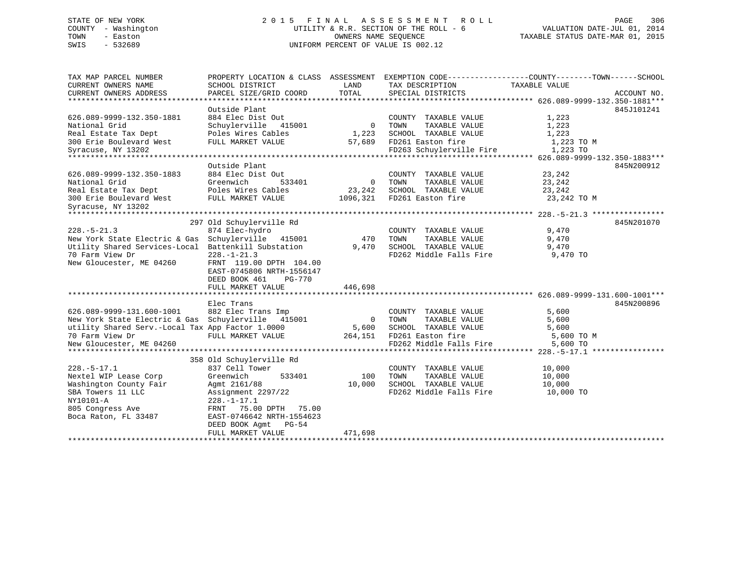# STATE OF NEW YORK 2 0 1 5 F I N A L A S S E S S M E N T R O L L PAGE 306 COUNTY - Washington UTILITY & R.R. SECTION OF THE ROLL - 6 VALUATION DATE-JUL 01, 2014 TOWN - Easton OWNERS NAME SEQUENCE TAXABLE STATUS DATE-MAR 01, 2015 SWIS - 532689 UNIFORM PERCENT OF VALUE IS 002.12

| TAX MAP PARCEL NUMBER<br>CURRENT OWNERS NAME        | PROPERTY LOCATION & CLASS ASSESSMENT EXEMPTION CODE----------------COUNTY-------TOWN------SCHOOL<br>SCHOOL DISTRICT | LAND           | TAX DESCRIPTION          | TAXABLE VALUE |             |
|-----------------------------------------------------|---------------------------------------------------------------------------------------------------------------------|----------------|--------------------------|---------------|-------------|
| CURRENT OWNERS ADDRESS                              | PARCEL SIZE/GRID COORD                                                                                              | TOTAL          | SPECIAL DISTRICTS        |               | ACCOUNT NO. |
|                                                     |                                                                                                                     |                |                          |               |             |
|                                                     | Outside Plant                                                                                                       |                |                          |               | 845J101241  |
| 626.089-9999-132.350-1881                           | 884 Elec Dist Out                                                                                                   |                | COUNTY TAXABLE VALUE     | 1,223         |             |
| National Grid                                       | Schuylerville 415001                                                                                                | $\overline{0}$ | TAXABLE VALUE<br>TOWN    | 1,223         |             |
| Real Estate Tax Dept                                | Poles Wires Cables                                                                                                  | 1,223          | SCHOOL TAXABLE VALUE     | 1,223         |             |
| 300 Erie Boulevard West                             | FULL MARKET VALUE                                                                                                   | 57,689         | FD261 Easton fire        | 1,223 TO M    |             |
| Syracuse, NY 13202                                  |                                                                                                                     |                | FD263 Schuylerville Fire | 1,223 TO      |             |
|                                                     |                                                                                                                     |                |                          |               |             |
|                                                     | Outside Plant                                                                                                       |                |                          |               | 845N200912  |
| 626.089-9999-132.350-1883                           | 884 Elec Dist Out                                                                                                   |                | COUNTY TAXABLE VALUE     | 23,242        |             |
| National Grid                                       | Greenwich<br>533401                                                                                                 | $\overline{0}$ | TOWN<br>TAXABLE VALUE    | 23,242        |             |
| Real Estate Tax Dept                                | Poles Wires Cables                                                                                                  | 23,242         | SCHOOL TAXABLE VALUE     | 23,242        |             |
| 300 Erie Boulevard West                             | FULL MARKET VALUE                                                                                                   | 1096,321       | FD261 Easton fire        | 23,242 TO M   |             |
| Syracuse, NY 13202                                  |                                                                                                                     |                |                          |               |             |
|                                                     |                                                                                                                     |                |                          |               |             |
|                                                     | 297 Old Schuylerville Rd                                                                                            |                |                          |               | 845N201070  |
| $228. - 5 - 21.3$                                   | 874 Elec-hydro                                                                                                      |                | COUNTY TAXABLE VALUE     | 9,470         |             |
| New York State Electric & Gas Schuylerville 415001  |                                                                                                                     | 470            | TAXABLE VALUE<br>TOWN    | 9,470         |             |
| Utility Shared Services-Local Battenkill Substation |                                                                                                                     | 9,470          | SCHOOL TAXABLE VALUE     | 9,470         |             |
| 70 Farm View Dr                                     | $228. - 1 - 21.3$                                                                                                   |                | FD262 Middle Falls Fire  | 9,470 TO      |             |
| New Gloucester, ME 04260                            | FRNT 119.00 DPTH 104.00                                                                                             |                |                          |               |             |
|                                                     | EAST-0745806 NRTH-1556147                                                                                           |                |                          |               |             |
|                                                     | <b>PG-770</b><br>DEED BOOK 461                                                                                      |                |                          |               |             |
|                                                     | FULL MARKET VALUE                                                                                                   | 446,698        |                          |               |             |
|                                                     |                                                                                                                     |                |                          |               |             |
|                                                     | Elec Trans                                                                                                          |                |                          |               | 845N200896  |
| 626.089-9999-131.600-1001                           | 882 Elec Trans Imp                                                                                                  |                | COUNTY TAXABLE VALUE     | 5,600         |             |
| New York State Electric & Gas Schuylerville 415001  |                                                                                                                     | $\overline{0}$ | TOWN<br>TAXABLE VALUE    | 5,600         |             |
| utility Shared Serv.-Local Tax App Factor 1.0000    |                                                                                                                     | 5,600          | SCHOOL TAXABLE VALUE     | 5,600         |             |
| 70 Farm View Dr                                     | FULL MARKET VALUE                                                                                                   | 264,151        | FD261 Easton fire        | 5,600 TO M    |             |
| New Gloucester, ME 04260                            |                                                                                                                     |                | FD262 Middle Falls Fire  | 5,600 TO      |             |
|                                                     |                                                                                                                     |                |                          |               |             |
|                                                     | 358 Old Schuylerville Rd                                                                                            |                |                          |               |             |
| $228. - 5 - 17.1$                                   | 837 Cell Tower                                                                                                      |                | COUNTY TAXABLE VALUE     | 10,000        |             |
| Nextel WIP Lease Corp                               | Greenwich<br>533401                                                                                                 | 100            | TOWN<br>TAXABLE VALUE    | 10,000        |             |
| Washington County Fair                              | Agmt 2161/88                                                                                                        | 10,000         | SCHOOL TAXABLE VALUE     | 10,000        |             |
| SBA Towers 11 LLC                                   | Assignment 2297/22                                                                                                  |                | FD262 Middle Falls Fire  | 10,000 TO     |             |
| NY10101-A                                           | $228. - 1 - 17.1$                                                                                                   |                |                          |               |             |
| 805 Congress Ave                                    | FRNT 75.00 DPTH<br>75.00                                                                                            |                |                          |               |             |
| Boca Raton, FL 33487                                | EAST-0746642 NRTH-1554623                                                                                           |                |                          |               |             |
|                                                     | DEED BOOK Agmt<br>PG-54                                                                                             |                |                          |               |             |
|                                                     | FULL MARKET VALUE                                                                                                   | 471,698        |                          |               |             |
|                                                     |                                                                                                                     |                |                          |               |             |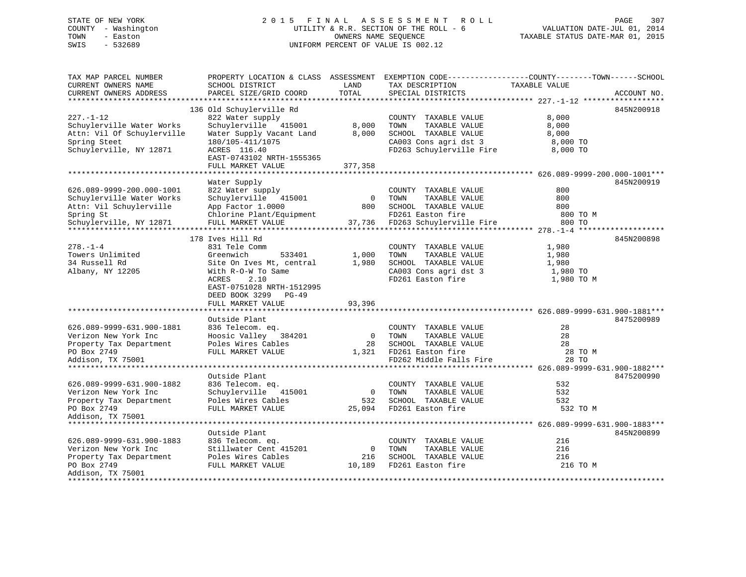# STATE OF NEW YORK 2 0 1 5 F I N A L A S S E S S M E N T R O L L PAGE 307 COUNTY - Washington UTILITY & R.R. SECTION OF THE ROLL - 6 VALUATION DATE-JUL 01, 2014 TOWN - Easton OWNERS NAME SEQUENCE TAXABLE STATUS DATE-MAR 01, 2015 SWIS - 532689 UNIFORM PERCENT OF VALUE IS 002.12

| TAXABLE VALUE<br>CURRENT OWNERS NAME<br>SCHOOL DISTRICT<br>LAND<br>TAX DESCRIPTION<br>PARCEL SIZE/GRID COORD<br>TOTAL<br>CURRENT OWNERS ADDRESS<br>SPECIAL DISTRICTS<br>ACCOUNT NO.<br>*************************<br>136 Old Schuylerville Rd<br>845N200918<br>$227. - 1 - 12$<br>822 Water supply<br>COUNTY TAXABLE VALUE<br>8,000<br>Schuylerville Water Works<br>Schuylerville 415001<br>8,000<br>TOWN<br>TAXABLE VALUE<br>8,000<br>Attn: Vil Of Schuylerville<br>Water Supply Vacant Land<br>8,000<br>SCHOOL TAXABLE VALUE<br>8,000<br>CA003 Cons agri dst 3<br>Spring Steet<br>180/105-411/1075<br>8,000 TO<br>FD263 Schuylerville Fire<br>Schuylerville, NY 12871<br>8,000 TO<br>ACRES 116.40<br>EAST-0743102 NRTH-1555365<br>FULL MARKET VALUE<br>377,358<br>Water Supply<br>845N200919<br>626.089-9999-200.000-1001<br>822 Water supply<br>800<br>COUNTY TAXABLE VALUE<br>800<br>Schuylerville Water Works<br>Schuylerville 415001<br>$\overline{0}$<br>TOWN<br>TAXABLE VALUE<br>800<br>SCHOOL TAXABLE VALUE<br>Attn: Vil Schuylerville<br>App Factor 1.0000<br>800<br>Chlorine Plant/Equipment<br>FD261 Easton fire<br>Spring St<br>800 TO M<br>Schuylerville, NY 12871<br>FULL MARKET VALUE<br>37,736<br>FD263 Schuylerville Fire<br>800 TO<br>178 Ives Hill Rd<br>845N200898<br>$278. - 1 - 4$<br>831 Tele Comm<br>1,980<br>COUNTY TAXABLE VALUE<br>Towers Unlimited<br>Greenwich<br>1,000<br>TAXABLE VALUE<br>533401<br>TOWN<br>1,980<br>34 Russell Rd<br>Site On Ives Mt, central<br>1,980<br>SCHOOL TAXABLE VALUE<br>1,980<br>CA003 Cons agri dst 3<br>1,980 TO<br>Albany, NY 12205<br>With R-O-W To Same<br>FD261 Easton fire<br>ACRES<br>2.10<br>1,980 TO M<br>EAST-0751028 NRTH-1512995<br>DEED BOOK 3299<br>$PG-49$<br>FULL MARKET VALUE<br>93,396<br>Outside Plant<br>8475200989<br>28<br>626.089-9999-631.900-1881<br>836 Telecom. eq.<br>COUNTY TAXABLE VALUE<br>28<br>Verizon New York Inc<br>Hoosic Valley 384201<br>$\overline{0}$<br>TOWN<br>TAXABLE VALUE<br>Poles Wires Cables<br>28<br>SCHOOL TAXABLE VALUE<br>28<br>Property Tax Department<br>FD261 Easton fire<br>28 TO M<br>PO Box 2749<br>FULL MARKET VALUE<br>1,321<br>FD262 Middle Falls Fire<br>Addison, TX 75001<br>28 TO<br>Outside Plant<br>8475200990<br>532<br>626.089-9999-631.900-1882<br>836 Telecom. eq.<br>COUNTY TAXABLE VALUE<br>Schuylerville 415001<br>TOWN<br>TAXABLE VALUE<br>532<br>Verizon New York Inc<br>$\overline{0}$<br>Poles Wires Cables<br>532<br>SCHOOL TAXABLE VALUE<br>532<br>Property Tax Department<br>FD261 Easton fire<br>PO Box 2749<br>FULL MARKET VALUE<br>25,094<br>532 TO M<br>Addison, TX 75001<br>*****************************<br>Outside Plant<br>845N200899<br>626.089-9999-631.900-1883<br>836 Telecom. eq.<br>COUNTY TAXABLE VALUE<br>216<br>Stillwater Cent 415201<br>$\overline{0}$<br>TOWN<br>TAXABLE VALUE<br>216<br>Verizon New York Inc<br>216<br>Property Tax Department<br>Poles Wires Cables<br>216<br>SCHOOL TAXABLE VALUE<br>FULL MARKET VALUE 10,189<br>PO Box 2749<br>FD261 Easton fire<br>216 TO M<br>Addison, TX 75001 | TAX MAP PARCEL NUMBER |  | PROPERTY LOCATION & CLASS ASSESSMENT EXEMPTION CODE----------------COUNTY-------TOWN------SCHOOL |  |
|-----------------------------------------------------------------------------------------------------------------------------------------------------------------------------------------------------------------------------------------------------------------------------------------------------------------------------------------------------------------------------------------------------------------------------------------------------------------------------------------------------------------------------------------------------------------------------------------------------------------------------------------------------------------------------------------------------------------------------------------------------------------------------------------------------------------------------------------------------------------------------------------------------------------------------------------------------------------------------------------------------------------------------------------------------------------------------------------------------------------------------------------------------------------------------------------------------------------------------------------------------------------------------------------------------------------------------------------------------------------------------------------------------------------------------------------------------------------------------------------------------------------------------------------------------------------------------------------------------------------------------------------------------------------------------------------------------------------------------------------------------------------------------------------------------------------------------------------------------------------------------------------------------------------------------------------------------------------------------------------------------------------------------------------------------------------------------------------------------------------------------------------------------------------------------------------------------------------------------------------------------------------------------------------------------------------------------------------------------------------------------------------------------------------------------------------------------------------------------------------------------------------------------------------------------------------------------------------------------------------------------------------------------------------------------------------------------------------------------------------------------------------------------------------------------------------------------------------------------------------------------------------------------------------------------------------------------------------------------------------------------------------------------------------------------------------------|-----------------------|--|--------------------------------------------------------------------------------------------------|--|
|                                                                                                                                                                                                                                                                                                                                                                                                                                                                                                                                                                                                                                                                                                                                                                                                                                                                                                                                                                                                                                                                                                                                                                                                                                                                                                                                                                                                                                                                                                                                                                                                                                                                                                                                                                                                                                                                                                                                                                                                                                                                                                                                                                                                                                                                                                                                                                                                                                                                                                                                                                                                                                                                                                                                                                                                                                                                                                                                                                                                                                                                       |                       |  |                                                                                                  |  |
|                                                                                                                                                                                                                                                                                                                                                                                                                                                                                                                                                                                                                                                                                                                                                                                                                                                                                                                                                                                                                                                                                                                                                                                                                                                                                                                                                                                                                                                                                                                                                                                                                                                                                                                                                                                                                                                                                                                                                                                                                                                                                                                                                                                                                                                                                                                                                                                                                                                                                                                                                                                                                                                                                                                                                                                                                                                                                                                                                                                                                                                                       |                       |  |                                                                                                  |  |
|                                                                                                                                                                                                                                                                                                                                                                                                                                                                                                                                                                                                                                                                                                                                                                                                                                                                                                                                                                                                                                                                                                                                                                                                                                                                                                                                                                                                                                                                                                                                                                                                                                                                                                                                                                                                                                                                                                                                                                                                                                                                                                                                                                                                                                                                                                                                                                                                                                                                                                                                                                                                                                                                                                                                                                                                                                                                                                                                                                                                                                                                       |                       |  |                                                                                                  |  |
|                                                                                                                                                                                                                                                                                                                                                                                                                                                                                                                                                                                                                                                                                                                                                                                                                                                                                                                                                                                                                                                                                                                                                                                                                                                                                                                                                                                                                                                                                                                                                                                                                                                                                                                                                                                                                                                                                                                                                                                                                                                                                                                                                                                                                                                                                                                                                                                                                                                                                                                                                                                                                                                                                                                                                                                                                                                                                                                                                                                                                                                                       |                       |  |                                                                                                  |  |
|                                                                                                                                                                                                                                                                                                                                                                                                                                                                                                                                                                                                                                                                                                                                                                                                                                                                                                                                                                                                                                                                                                                                                                                                                                                                                                                                                                                                                                                                                                                                                                                                                                                                                                                                                                                                                                                                                                                                                                                                                                                                                                                                                                                                                                                                                                                                                                                                                                                                                                                                                                                                                                                                                                                                                                                                                                                                                                                                                                                                                                                                       |                       |  |                                                                                                  |  |
|                                                                                                                                                                                                                                                                                                                                                                                                                                                                                                                                                                                                                                                                                                                                                                                                                                                                                                                                                                                                                                                                                                                                                                                                                                                                                                                                                                                                                                                                                                                                                                                                                                                                                                                                                                                                                                                                                                                                                                                                                                                                                                                                                                                                                                                                                                                                                                                                                                                                                                                                                                                                                                                                                                                                                                                                                                                                                                                                                                                                                                                                       |                       |  |                                                                                                  |  |
|                                                                                                                                                                                                                                                                                                                                                                                                                                                                                                                                                                                                                                                                                                                                                                                                                                                                                                                                                                                                                                                                                                                                                                                                                                                                                                                                                                                                                                                                                                                                                                                                                                                                                                                                                                                                                                                                                                                                                                                                                                                                                                                                                                                                                                                                                                                                                                                                                                                                                                                                                                                                                                                                                                                                                                                                                                                                                                                                                                                                                                                                       |                       |  |                                                                                                  |  |
|                                                                                                                                                                                                                                                                                                                                                                                                                                                                                                                                                                                                                                                                                                                                                                                                                                                                                                                                                                                                                                                                                                                                                                                                                                                                                                                                                                                                                                                                                                                                                                                                                                                                                                                                                                                                                                                                                                                                                                                                                                                                                                                                                                                                                                                                                                                                                                                                                                                                                                                                                                                                                                                                                                                                                                                                                                                                                                                                                                                                                                                                       |                       |  |                                                                                                  |  |
|                                                                                                                                                                                                                                                                                                                                                                                                                                                                                                                                                                                                                                                                                                                                                                                                                                                                                                                                                                                                                                                                                                                                                                                                                                                                                                                                                                                                                                                                                                                                                                                                                                                                                                                                                                                                                                                                                                                                                                                                                                                                                                                                                                                                                                                                                                                                                                                                                                                                                                                                                                                                                                                                                                                                                                                                                                                                                                                                                                                                                                                                       |                       |  |                                                                                                  |  |
|                                                                                                                                                                                                                                                                                                                                                                                                                                                                                                                                                                                                                                                                                                                                                                                                                                                                                                                                                                                                                                                                                                                                                                                                                                                                                                                                                                                                                                                                                                                                                                                                                                                                                                                                                                                                                                                                                                                                                                                                                                                                                                                                                                                                                                                                                                                                                                                                                                                                                                                                                                                                                                                                                                                                                                                                                                                                                                                                                                                                                                                                       |                       |  |                                                                                                  |  |
|                                                                                                                                                                                                                                                                                                                                                                                                                                                                                                                                                                                                                                                                                                                                                                                                                                                                                                                                                                                                                                                                                                                                                                                                                                                                                                                                                                                                                                                                                                                                                                                                                                                                                                                                                                                                                                                                                                                                                                                                                                                                                                                                                                                                                                                                                                                                                                                                                                                                                                                                                                                                                                                                                                                                                                                                                                                                                                                                                                                                                                                                       |                       |  |                                                                                                  |  |
|                                                                                                                                                                                                                                                                                                                                                                                                                                                                                                                                                                                                                                                                                                                                                                                                                                                                                                                                                                                                                                                                                                                                                                                                                                                                                                                                                                                                                                                                                                                                                                                                                                                                                                                                                                                                                                                                                                                                                                                                                                                                                                                                                                                                                                                                                                                                                                                                                                                                                                                                                                                                                                                                                                                                                                                                                                                                                                                                                                                                                                                                       |                       |  |                                                                                                  |  |
|                                                                                                                                                                                                                                                                                                                                                                                                                                                                                                                                                                                                                                                                                                                                                                                                                                                                                                                                                                                                                                                                                                                                                                                                                                                                                                                                                                                                                                                                                                                                                                                                                                                                                                                                                                                                                                                                                                                                                                                                                                                                                                                                                                                                                                                                                                                                                                                                                                                                                                                                                                                                                                                                                                                                                                                                                                                                                                                                                                                                                                                                       |                       |  |                                                                                                  |  |
|                                                                                                                                                                                                                                                                                                                                                                                                                                                                                                                                                                                                                                                                                                                                                                                                                                                                                                                                                                                                                                                                                                                                                                                                                                                                                                                                                                                                                                                                                                                                                                                                                                                                                                                                                                                                                                                                                                                                                                                                                                                                                                                                                                                                                                                                                                                                                                                                                                                                                                                                                                                                                                                                                                                                                                                                                                                                                                                                                                                                                                                                       |                       |  |                                                                                                  |  |
|                                                                                                                                                                                                                                                                                                                                                                                                                                                                                                                                                                                                                                                                                                                                                                                                                                                                                                                                                                                                                                                                                                                                                                                                                                                                                                                                                                                                                                                                                                                                                                                                                                                                                                                                                                                                                                                                                                                                                                                                                                                                                                                                                                                                                                                                                                                                                                                                                                                                                                                                                                                                                                                                                                                                                                                                                                                                                                                                                                                                                                                                       |                       |  |                                                                                                  |  |
|                                                                                                                                                                                                                                                                                                                                                                                                                                                                                                                                                                                                                                                                                                                                                                                                                                                                                                                                                                                                                                                                                                                                                                                                                                                                                                                                                                                                                                                                                                                                                                                                                                                                                                                                                                                                                                                                                                                                                                                                                                                                                                                                                                                                                                                                                                                                                                                                                                                                                                                                                                                                                                                                                                                                                                                                                                                                                                                                                                                                                                                                       |                       |  |                                                                                                  |  |
|                                                                                                                                                                                                                                                                                                                                                                                                                                                                                                                                                                                                                                                                                                                                                                                                                                                                                                                                                                                                                                                                                                                                                                                                                                                                                                                                                                                                                                                                                                                                                                                                                                                                                                                                                                                                                                                                                                                                                                                                                                                                                                                                                                                                                                                                                                                                                                                                                                                                                                                                                                                                                                                                                                                                                                                                                                                                                                                                                                                                                                                                       |                       |  |                                                                                                  |  |
|                                                                                                                                                                                                                                                                                                                                                                                                                                                                                                                                                                                                                                                                                                                                                                                                                                                                                                                                                                                                                                                                                                                                                                                                                                                                                                                                                                                                                                                                                                                                                                                                                                                                                                                                                                                                                                                                                                                                                                                                                                                                                                                                                                                                                                                                                                                                                                                                                                                                                                                                                                                                                                                                                                                                                                                                                                                                                                                                                                                                                                                                       |                       |  |                                                                                                  |  |
|                                                                                                                                                                                                                                                                                                                                                                                                                                                                                                                                                                                                                                                                                                                                                                                                                                                                                                                                                                                                                                                                                                                                                                                                                                                                                                                                                                                                                                                                                                                                                                                                                                                                                                                                                                                                                                                                                                                                                                                                                                                                                                                                                                                                                                                                                                                                                                                                                                                                                                                                                                                                                                                                                                                                                                                                                                                                                                                                                                                                                                                                       |                       |  |                                                                                                  |  |
|                                                                                                                                                                                                                                                                                                                                                                                                                                                                                                                                                                                                                                                                                                                                                                                                                                                                                                                                                                                                                                                                                                                                                                                                                                                                                                                                                                                                                                                                                                                                                                                                                                                                                                                                                                                                                                                                                                                                                                                                                                                                                                                                                                                                                                                                                                                                                                                                                                                                                                                                                                                                                                                                                                                                                                                                                                                                                                                                                                                                                                                                       |                       |  |                                                                                                  |  |
|                                                                                                                                                                                                                                                                                                                                                                                                                                                                                                                                                                                                                                                                                                                                                                                                                                                                                                                                                                                                                                                                                                                                                                                                                                                                                                                                                                                                                                                                                                                                                                                                                                                                                                                                                                                                                                                                                                                                                                                                                                                                                                                                                                                                                                                                                                                                                                                                                                                                                                                                                                                                                                                                                                                                                                                                                                                                                                                                                                                                                                                                       |                       |  |                                                                                                  |  |
|                                                                                                                                                                                                                                                                                                                                                                                                                                                                                                                                                                                                                                                                                                                                                                                                                                                                                                                                                                                                                                                                                                                                                                                                                                                                                                                                                                                                                                                                                                                                                                                                                                                                                                                                                                                                                                                                                                                                                                                                                                                                                                                                                                                                                                                                                                                                                                                                                                                                                                                                                                                                                                                                                                                                                                                                                                                                                                                                                                                                                                                                       |                       |  |                                                                                                  |  |
|                                                                                                                                                                                                                                                                                                                                                                                                                                                                                                                                                                                                                                                                                                                                                                                                                                                                                                                                                                                                                                                                                                                                                                                                                                                                                                                                                                                                                                                                                                                                                                                                                                                                                                                                                                                                                                                                                                                                                                                                                                                                                                                                                                                                                                                                                                                                                                                                                                                                                                                                                                                                                                                                                                                                                                                                                                                                                                                                                                                                                                                                       |                       |  |                                                                                                  |  |
|                                                                                                                                                                                                                                                                                                                                                                                                                                                                                                                                                                                                                                                                                                                                                                                                                                                                                                                                                                                                                                                                                                                                                                                                                                                                                                                                                                                                                                                                                                                                                                                                                                                                                                                                                                                                                                                                                                                                                                                                                                                                                                                                                                                                                                                                                                                                                                                                                                                                                                                                                                                                                                                                                                                                                                                                                                                                                                                                                                                                                                                                       |                       |  |                                                                                                  |  |
|                                                                                                                                                                                                                                                                                                                                                                                                                                                                                                                                                                                                                                                                                                                                                                                                                                                                                                                                                                                                                                                                                                                                                                                                                                                                                                                                                                                                                                                                                                                                                                                                                                                                                                                                                                                                                                                                                                                                                                                                                                                                                                                                                                                                                                                                                                                                                                                                                                                                                                                                                                                                                                                                                                                                                                                                                                                                                                                                                                                                                                                                       |                       |  |                                                                                                  |  |
|                                                                                                                                                                                                                                                                                                                                                                                                                                                                                                                                                                                                                                                                                                                                                                                                                                                                                                                                                                                                                                                                                                                                                                                                                                                                                                                                                                                                                                                                                                                                                                                                                                                                                                                                                                                                                                                                                                                                                                                                                                                                                                                                                                                                                                                                                                                                                                                                                                                                                                                                                                                                                                                                                                                                                                                                                                                                                                                                                                                                                                                                       |                       |  |                                                                                                  |  |
|                                                                                                                                                                                                                                                                                                                                                                                                                                                                                                                                                                                                                                                                                                                                                                                                                                                                                                                                                                                                                                                                                                                                                                                                                                                                                                                                                                                                                                                                                                                                                                                                                                                                                                                                                                                                                                                                                                                                                                                                                                                                                                                                                                                                                                                                                                                                                                                                                                                                                                                                                                                                                                                                                                                                                                                                                                                                                                                                                                                                                                                                       |                       |  |                                                                                                  |  |
|                                                                                                                                                                                                                                                                                                                                                                                                                                                                                                                                                                                                                                                                                                                                                                                                                                                                                                                                                                                                                                                                                                                                                                                                                                                                                                                                                                                                                                                                                                                                                                                                                                                                                                                                                                                                                                                                                                                                                                                                                                                                                                                                                                                                                                                                                                                                                                                                                                                                                                                                                                                                                                                                                                                                                                                                                                                                                                                                                                                                                                                                       |                       |  |                                                                                                  |  |
|                                                                                                                                                                                                                                                                                                                                                                                                                                                                                                                                                                                                                                                                                                                                                                                                                                                                                                                                                                                                                                                                                                                                                                                                                                                                                                                                                                                                                                                                                                                                                                                                                                                                                                                                                                                                                                                                                                                                                                                                                                                                                                                                                                                                                                                                                                                                                                                                                                                                                                                                                                                                                                                                                                                                                                                                                                                                                                                                                                                                                                                                       |                       |  |                                                                                                  |  |
|                                                                                                                                                                                                                                                                                                                                                                                                                                                                                                                                                                                                                                                                                                                                                                                                                                                                                                                                                                                                                                                                                                                                                                                                                                                                                                                                                                                                                                                                                                                                                                                                                                                                                                                                                                                                                                                                                                                                                                                                                                                                                                                                                                                                                                                                                                                                                                                                                                                                                                                                                                                                                                                                                                                                                                                                                                                                                                                                                                                                                                                                       |                       |  |                                                                                                  |  |
|                                                                                                                                                                                                                                                                                                                                                                                                                                                                                                                                                                                                                                                                                                                                                                                                                                                                                                                                                                                                                                                                                                                                                                                                                                                                                                                                                                                                                                                                                                                                                                                                                                                                                                                                                                                                                                                                                                                                                                                                                                                                                                                                                                                                                                                                                                                                                                                                                                                                                                                                                                                                                                                                                                                                                                                                                                                                                                                                                                                                                                                                       |                       |  |                                                                                                  |  |
|                                                                                                                                                                                                                                                                                                                                                                                                                                                                                                                                                                                                                                                                                                                                                                                                                                                                                                                                                                                                                                                                                                                                                                                                                                                                                                                                                                                                                                                                                                                                                                                                                                                                                                                                                                                                                                                                                                                                                                                                                                                                                                                                                                                                                                                                                                                                                                                                                                                                                                                                                                                                                                                                                                                                                                                                                                                                                                                                                                                                                                                                       |                       |  |                                                                                                  |  |
|                                                                                                                                                                                                                                                                                                                                                                                                                                                                                                                                                                                                                                                                                                                                                                                                                                                                                                                                                                                                                                                                                                                                                                                                                                                                                                                                                                                                                                                                                                                                                                                                                                                                                                                                                                                                                                                                                                                                                                                                                                                                                                                                                                                                                                                                                                                                                                                                                                                                                                                                                                                                                                                                                                                                                                                                                                                                                                                                                                                                                                                                       |                       |  |                                                                                                  |  |
|                                                                                                                                                                                                                                                                                                                                                                                                                                                                                                                                                                                                                                                                                                                                                                                                                                                                                                                                                                                                                                                                                                                                                                                                                                                                                                                                                                                                                                                                                                                                                                                                                                                                                                                                                                                                                                                                                                                                                                                                                                                                                                                                                                                                                                                                                                                                                                                                                                                                                                                                                                                                                                                                                                                                                                                                                                                                                                                                                                                                                                                                       |                       |  |                                                                                                  |  |
|                                                                                                                                                                                                                                                                                                                                                                                                                                                                                                                                                                                                                                                                                                                                                                                                                                                                                                                                                                                                                                                                                                                                                                                                                                                                                                                                                                                                                                                                                                                                                                                                                                                                                                                                                                                                                                                                                                                                                                                                                                                                                                                                                                                                                                                                                                                                                                                                                                                                                                                                                                                                                                                                                                                                                                                                                                                                                                                                                                                                                                                                       |                       |  |                                                                                                  |  |
|                                                                                                                                                                                                                                                                                                                                                                                                                                                                                                                                                                                                                                                                                                                                                                                                                                                                                                                                                                                                                                                                                                                                                                                                                                                                                                                                                                                                                                                                                                                                                                                                                                                                                                                                                                                                                                                                                                                                                                                                                                                                                                                                                                                                                                                                                                                                                                                                                                                                                                                                                                                                                                                                                                                                                                                                                                                                                                                                                                                                                                                                       |                       |  |                                                                                                  |  |
|                                                                                                                                                                                                                                                                                                                                                                                                                                                                                                                                                                                                                                                                                                                                                                                                                                                                                                                                                                                                                                                                                                                                                                                                                                                                                                                                                                                                                                                                                                                                                                                                                                                                                                                                                                                                                                                                                                                                                                                                                                                                                                                                                                                                                                                                                                                                                                                                                                                                                                                                                                                                                                                                                                                                                                                                                                                                                                                                                                                                                                                                       |                       |  |                                                                                                  |  |
|                                                                                                                                                                                                                                                                                                                                                                                                                                                                                                                                                                                                                                                                                                                                                                                                                                                                                                                                                                                                                                                                                                                                                                                                                                                                                                                                                                                                                                                                                                                                                                                                                                                                                                                                                                                                                                                                                                                                                                                                                                                                                                                                                                                                                                                                                                                                                                                                                                                                                                                                                                                                                                                                                                                                                                                                                                                                                                                                                                                                                                                                       |                       |  |                                                                                                  |  |
|                                                                                                                                                                                                                                                                                                                                                                                                                                                                                                                                                                                                                                                                                                                                                                                                                                                                                                                                                                                                                                                                                                                                                                                                                                                                                                                                                                                                                                                                                                                                                                                                                                                                                                                                                                                                                                                                                                                                                                                                                                                                                                                                                                                                                                                                                                                                                                                                                                                                                                                                                                                                                                                                                                                                                                                                                                                                                                                                                                                                                                                                       |                       |  |                                                                                                  |  |
|                                                                                                                                                                                                                                                                                                                                                                                                                                                                                                                                                                                                                                                                                                                                                                                                                                                                                                                                                                                                                                                                                                                                                                                                                                                                                                                                                                                                                                                                                                                                                                                                                                                                                                                                                                                                                                                                                                                                                                                                                                                                                                                                                                                                                                                                                                                                                                                                                                                                                                                                                                                                                                                                                                                                                                                                                                                                                                                                                                                                                                                                       |                       |  |                                                                                                  |  |
|                                                                                                                                                                                                                                                                                                                                                                                                                                                                                                                                                                                                                                                                                                                                                                                                                                                                                                                                                                                                                                                                                                                                                                                                                                                                                                                                                                                                                                                                                                                                                                                                                                                                                                                                                                                                                                                                                                                                                                                                                                                                                                                                                                                                                                                                                                                                                                                                                                                                                                                                                                                                                                                                                                                                                                                                                                                                                                                                                                                                                                                                       |                       |  |                                                                                                  |  |
|                                                                                                                                                                                                                                                                                                                                                                                                                                                                                                                                                                                                                                                                                                                                                                                                                                                                                                                                                                                                                                                                                                                                                                                                                                                                                                                                                                                                                                                                                                                                                                                                                                                                                                                                                                                                                                                                                                                                                                                                                                                                                                                                                                                                                                                                                                                                                                                                                                                                                                                                                                                                                                                                                                                                                                                                                                                                                                                                                                                                                                                                       |                       |  |                                                                                                  |  |
|                                                                                                                                                                                                                                                                                                                                                                                                                                                                                                                                                                                                                                                                                                                                                                                                                                                                                                                                                                                                                                                                                                                                                                                                                                                                                                                                                                                                                                                                                                                                                                                                                                                                                                                                                                                                                                                                                                                                                                                                                                                                                                                                                                                                                                                                                                                                                                                                                                                                                                                                                                                                                                                                                                                                                                                                                                                                                                                                                                                                                                                                       |                       |  |                                                                                                  |  |
|                                                                                                                                                                                                                                                                                                                                                                                                                                                                                                                                                                                                                                                                                                                                                                                                                                                                                                                                                                                                                                                                                                                                                                                                                                                                                                                                                                                                                                                                                                                                                                                                                                                                                                                                                                                                                                                                                                                                                                                                                                                                                                                                                                                                                                                                                                                                                                                                                                                                                                                                                                                                                                                                                                                                                                                                                                                                                                                                                                                                                                                                       |                       |  |                                                                                                  |  |
|                                                                                                                                                                                                                                                                                                                                                                                                                                                                                                                                                                                                                                                                                                                                                                                                                                                                                                                                                                                                                                                                                                                                                                                                                                                                                                                                                                                                                                                                                                                                                                                                                                                                                                                                                                                                                                                                                                                                                                                                                                                                                                                                                                                                                                                                                                                                                                                                                                                                                                                                                                                                                                                                                                                                                                                                                                                                                                                                                                                                                                                                       |                       |  |                                                                                                  |  |
|                                                                                                                                                                                                                                                                                                                                                                                                                                                                                                                                                                                                                                                                                                                                                                                                                                                                                                                                                                                                                                                                                                                                                                                                                                                                                                                                                                                                                                                                                                                                                                                                                                                                                                                                                                                                                                                                                                                                                                                                                                                                                                                                                                                                                                                                                                                                                                                                                                                                                                                                                                                                                                                                                                                                                                                                                                                                                                                                                                                                                                                                       |                       |  |                                                                                                  |  |
|                                                                                                                                                                                                                                                                                                                                                                                                                                                                                                                                                                                                                                                                                                                                                                                                                                                                                                                                                                                                                                                                                                                                                                                                                                                                                                                                                                                                                                                                                                                                                                                                                                                                                                                                                                                                                                                                                                                                                                                                                                                                                                                                                                                                                                                                                                                                                                                                                                                                                                                                                                                                                                                                                                                                                                                                                                                                                                                                                                                                                                                                       |                       |  |                                                                                                  |  |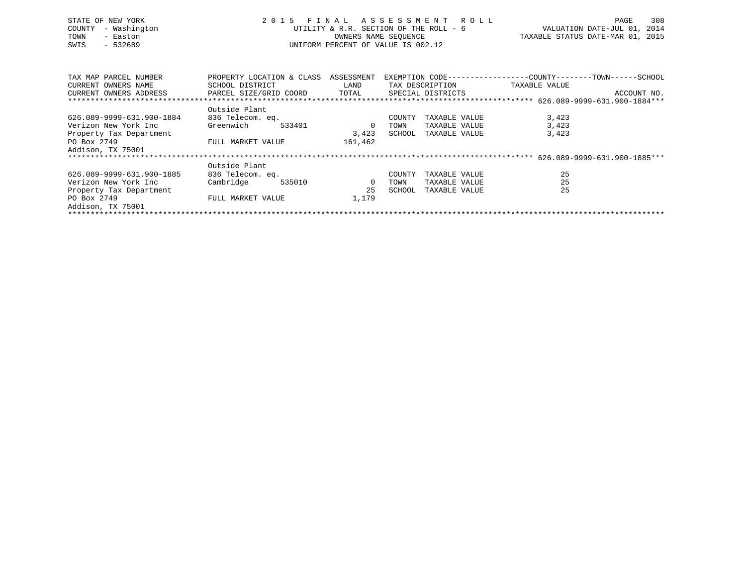| STATE OF NEW YORK<br>- Washington<br>COUNTY<br>TOWN<br>- Easton<br>$-532689$<br>SWIS | 2 0 1 5                              | FINAL ASSESSMENT ROLL<br>UTILITY & R.R. SECTION OF THE ROLL - 6<br>OWNERS NAME SEQUENCE<br>UNIFORM PERCENT OF VALUE IS 002.12 | 308<br>PAGE<br>VALUATION DATE-JUL 01, 2014<br>TAXABLE STATUS DATE-MAR 01, 2015 |                      |                                                               |  |  |  |  |  |
|--------------------------------------------------------------------------------------|--------------------------------------|-------------------------------------------------------------------------------------------------------------------------------|--------------------------------------------------------------------------------|----------------------|---------------------------------------------------------------|--|--|--|--|--|
| TAX MAP PARCEL NUMBER                                                                | PROPERTY LOCATION & CLASS ASSESSMENT |                                                                                                                               |                                                                                |                      | EXEMPTION CODE-----------------COUNTY--------TOWN------SCHOOL |  |  |  |  |  |
| CURRENT OWNERS NAME                                                                  | SCHOOL DISTRICT                      | LAND                                                                                                                          |                                                                                | TAX DESCRIPTION      | TAXABLE VALUE                                                 |  |  |  |  |  |
| CURRENT OWNERS ADDRESS                                                               | PARCEL SIZE/GRID COORD               | TOTAL                                                                                                                         |                                                                                | SPECIAL DISTRICTS    | ACCOUNT NO.                                                   |  |  |  |  |  |
|                                                                                      |                                      |                                                                                                                               |                                                                                |                      |                                                               |  |  |  |  |  |
|                                                                                      | Outside Plant                        |                                                                                                                               |                                                                                |                      |                                                               |  |  |  |  |  |
| 626.089-9999-631.900-1884                                                            | 836 Telecom. eq.                     |                                                                                                                               | COUNTY                                                                         | TAXABLE VALUE        | 3,423                                                         |  |  |  |  |  |
| Verizon New York Inc                                                                 | Greenwich<br>533401                  | $\overline{\phantom{0}}$                                                                                                      | TOWN                                                                           | TAXABLE VALUE        | 3,423                                                         |  |  |  |  |  |
| Property Tax Department                                                              |                                      | 3,423                                                                                                                         |                                                                                | SCHOOL TAXABLE VALUE | 3,423                                                         |  |  |  |  |  |
| PO Box 2749                                                                          | FULL MARKET VALUE                    | 161,462                                                                                                                       |                                                                                |                      |                                                               |  |  |  |  |  |
| Addison, TX 75001                                                                    |                                      |                                                                                                                               |                                                                                |                      |                                                               |  |  |  |  |  |
|                                                                                      |                                      |                                                                                                                               |                                                                                |                      |                                                               |  |  |  |  |  |
|                                                                                      | Outside Plant                        |                                                                                                                               |                                                                                |                      |                                                               |  |  |  |  |  |
| 626.089-9999-631.900-1885                                                            | 836 Telecom. eq.                     |                                                                                                                               | COUNTY                                                                         | TAXABLE VALUE        | 25                                                            |  |  |  |  |  |
| Verizon New York Inc                                                                 | 535010<br>Cambridge                  | $\overline{0}$                                                                                                                | TOWN                                                                           | TAXABLE VALUE        | 25                                                            |  |  |  |  |  |
| Property Tax Department                                                              |                                      | 25                                                                                                                            | SCHOOL                                                                         | TAXABLE VALUE        | 25                                                            |  |  |  |  |  |
| PO Box 2749                                                                          | FULL MARKET VALUE                    | 1,179                                                                                                                         |                                                                                |                      |                                                               |  |  |  |  |  |
| Addison, TX 75001                                                                    |                                      |                                                                                                                               |                                                                                |                      |                                                               |  |  |  |  |  |
|                                                                                      |                                      |                                                                                                                               |                                                                                |                      |                                                               |  |  |  |  |  |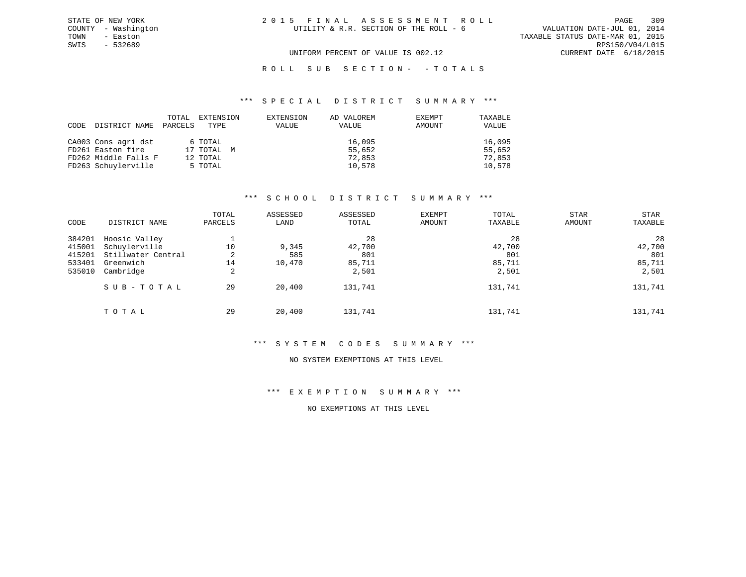TOWN - Easton TAXABLE STATUS DATE-MAR 01, 2015 SWIS - 532689 RPS150/V04/L015 UNIFORM PERCENT OF VALUE IS 002.12 CURRENT DATE 6/18/2015

## ROLL SUB SECTION - - TOTALS

#### \*\*\* S P E C I A L D I S T R I C T S U M M A R Y \*\*\*

| CODE | DISTRICT NAME        | TOTAL<br>PARCELS | EXTENSION<br>TYPE | EXTENSION<br>VALUE | AD VALOREM<br>VALUE | EXEMPT<br>AMOUNT | TAXABLE<br>VALUE |
|------|----------------------|------------------|-------------------|--------------------|---------------------|------------------|------------------|
|      | CA003 Cons agri dst  |                  | 6 TOTAL           |                    | 16,095              |                  | 16,095           |
|      | FD261 Easton fire    |                  | 17 TOTAL M        |                    | 55,652              |                  | 55,652           |
|      | FD262 Middle Falls F |                  | 12 TOTAL          |                    | 72,853              |                  | 72,853           |
|      | FD263 Schuylerville  |                  | 5 TOTAL           |                    | 10,578              |                  | 10,578           |

### \*\*\* S C H O O L D I S T R I C T S U M M A R Y \*\*\*

| CODE                                           | DISTRICT NAME                                                                  | TOTAL<br>PARCELS   | ASSESSED<br>LAND       | ASSESSED<br>TOTAL                      | EXEMPT<br>AMOUNT | TOTAL<br>TAXABLE                       | STAR<br>AMOUNT | STAR<br>TAXABLE                        |
|------------------------------------------------|--------------------------------------------------------------------------------|--------------------|------------------------|----------------------------------------|------------------|----------------------------------------|----------------|----------------------------------------|
| 384201<br>415001<br>415201<br>533401<br>535010 | Hoosic Valley<br>Schuylerville<br>Stillwater Central<br>Greenwich<br>Cambridge | 10<br>2<br>14<br>2 | 9,345<br>585<br>10,470 | 28<br>42,700<br>801<br>85,711<br>2,501 |                  | 28<br>42,700<br>801<br>85,711<br>2,501 |                | 28<br>42,700<br>801<br>85,711<br>2,501 |
|                                                | SUB-TOTAL                                                                      | 29                 | 20,400                 | 131,741                                |                  | 131,741                                |                | 131,741                                |
|                                                | TOTAL                                                                          | 29                 | 20,400                 | 131,741                                |                  | 131,741                                |                | 131,741                                |

## \*\*\* S Y S T E M C O D E S S U M M A R Y \*\*\*

#### NO SYSTEM EXEMPTIONS AT THIS LEVEL

\*\*\* E X E M P T I O N S U M M A R Y \*\*\*

NO EXEMPTIONS AT THIS LEVEL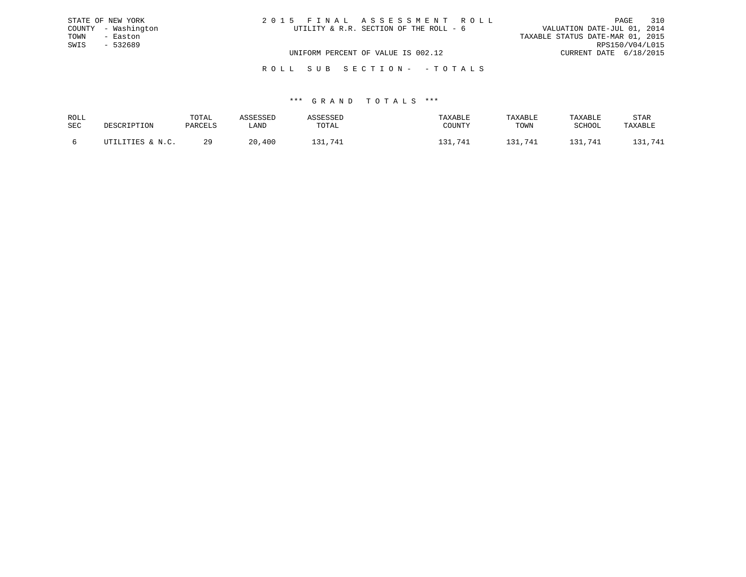|      | STATE OF NEW YORK   | 2015 FINAL ASSESSMENT ROLL                                            | PAGE            | 310 |
|------|---------------------|-----------------------------------------------------------------------|-----------------|-----|
|      | COUNTY - Washington | VALUATION DATE-JUL 01, 2014<br>UTILITY & R.R. SECTION OF THE ROLL - 6 |                 |     |
| TOWN | - Easton            | TAXABLE STATUS DATE-MAR 01, 2015                                      |                 |     |
| SWIS | - 532689            |                                                                       | RPS150/V04/L015 |     |
|      |                     | UNIFORM PERCENT OF VALUE IS 002.12<br>CURRENT DATE 6/18/2015          |                 |     |
|      |                     |                                                                       |                 |     |

# \*\*\* G R A N D T O T A L S \*\*\*

R O L L S U B S E C T I O N - - T O T A L S

| ROLL       | DESCRIPTION      | TOTAL   | ASSESSED | ASSESSED | TAXABLE | TAXABLE | TAXABLE | <b>STAR</b>  |
|------------|------------------|---------|----------|----------|---------|---------|---------|--------------|
| <b>SEC</b> |                  | PARCELS | LAND     | TOTAL    | COUNTY  | TOWN    | SCHOOL  | TAXABLE      |
|            | UTILITIES & N.C. | 29      | 20,400   | 131,741  | 131,741 | 131.741 | 131,741 | .,741<br>-31 |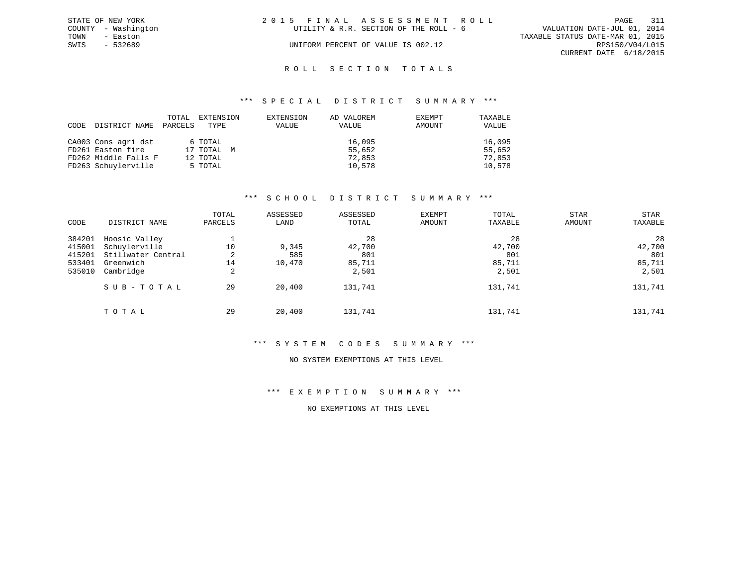|      | STATE OF NEW YORK   | 2015 FINAL ASSESSMENT ROLL             | 311<br>PAGE                      |
|------|---------------------|----------------------------------------|----------------------------------|
|      | COUNTY - Washington | UTILITY & R.R. SECTION OF THE ROLL - 6 | VALUATION DATE-JUL 01, 2014      |
| TOWN | - Easton            |                                        | TAXABLE STATUS DATE-MAR 01, 2015 |
| SWIS | - 532689            | UNIFORM PERCENT OF VALUE IS 002.12     | RPS150/V04/L015                  |
|      |                     |                                        | CURRENT DATE 6/18/2015           |
|      |                     |                                        |                                  |

# ROLL SECTION TOTALS

#### \*\*\* S P E C I A L D I S T R I C T S U M M A R Y \*\*\*

| CODE | DISTRICT NAME        | <b>TOTAL</b><br>PARCELS | EXTENSION<br>TYPE | EXTENSION<br><b>VALUE</b> | AD VALOREM<br>VALUE | EXEMPT<br>AMOUNT | TAXABLE<br>VALUE |
|------|----------------------|-------------------------|-------------------|---------------------------|---------------------|------------------|------------------|
|      | CA003 Cons agri dst  |                         | 6 TOTAL           |                           | 16,095              |                  | 16,095           |
|      | FD261 Easton fire    |                         | 17 TOTAL M        |                           | 55,652              |                  | 55,652           |
|      | FD262 Middle Falls F |                         | 12 TOTAL          |                           | 72,853              |                  | 72,853           |
|      | FD263 Schuylerville  |                         | 5 TOTAL           |                           | 10,578              |                  | 10,578           |

# \*\*\* S C H O O L D I S T R I C T S U M M A R Y \*\*\*

| CODE                                           | DISTRICT NAME                                                                  | TOTAL<br>PARCELS   | ASSESSED<br>LAND       | ASSESSED<br>TOTAL                      | EXEMPT<br>AMOUNT | TOTAL<br>TAXABLE                       | STAR<br><b>AMOUNT</b> | STAR<br>TAXABLE                        |
|------------------------------------------------|--------------------------------------------------------------------------------|--------------------|------------------------|----------------------------------------|------------------|----------------------------------------|-----------------------|----------------------------------------|
| 384201<br>415001<br>415201<br>533401<br>535010 | Hoosic Valley<br>Schuylerville<br>Stillwater Central<br>Greenwich<br>Cambridge | 10<br>2<br>14<br>2 | 9,345<br>585<br>10,470 | 28<br>42,700<br>801<br>85,711<br>2,501 |                  | 28<br>42,700<br>801<br>85,711<br>2,501 |                       | 28<br>42,700<br>801<br>85,711<br>2,501 |
|                                                | SUB-TOTAL                                                                      | 29                 | 20,400                 | 131,741                                |                  | 131,741                                |                       | 131,741                                |
|                                                | TOTAL                                                                          | 29                 | 20,400                 | 131,741                                |                  | 131,741                                |                       | 131,741                                |

# \*\*\* S Y S T E M C O D E S S U M M A R Y \*\*\*

#### NO SYSTEM EXEMPTIONS AT THIS LEVEL

\*\*\* E X E M P T I O N S U M M A R Y \*\*\*

NO EXEMPTIONS AT THIS LEVEL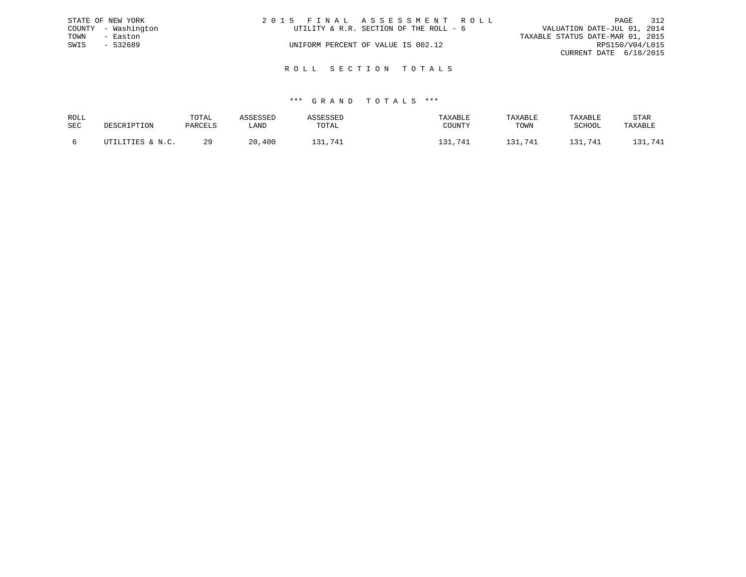|      | STATE OF NEW YORK   | 2015 FINAL ASSESSMENT ROLL |                                        |                                  | PAGE            | 312 |
|------|---------------------|----------------------------|----------------------------------------|----------------------------------|-----------------|-----|
|      | COUNTY - Washington |                            | UTILITY & R.R. SECTION OF THE ROLL - 6 | VALUATION DATE-JUL 01, 2014      |                 |     |
| TOWN | - Easton            |                            |                                        | TAXABLE STATUS DATE-MAR 01, 2015 |                 |     |
| SWIS | - 532689            |                            | UNIFORM PERCENT OF VALUE IS 002.12     |                                  | RPS150/V04/L015 |     |
|      |                     |                            |                                        | CURRENT DATE 6/18/2015           |                 |     |
|      |                     |                            |                                        |                                  |                 |     |

R O L L S E C T I O N T O T A L S

| ROLL |                  | TOTAL   | 1 C C F C C F D |            | TAXABLE | TAXABLE | TAXABLE | STAR    |
|------|------------------|---------|-----------------|------------|---------|---------|---------|---------|
| SEC  | DESCRIPTION      | PARCELS | LAND            | TOTAL      | COUNTY  | TOWN    | SCHOOL  | TAXABLE |
|      | UTILITIES & N.C. | 29      | ,400<br>20      | 21<br>.741 | 741     | ,741    | 131,741 | 741     |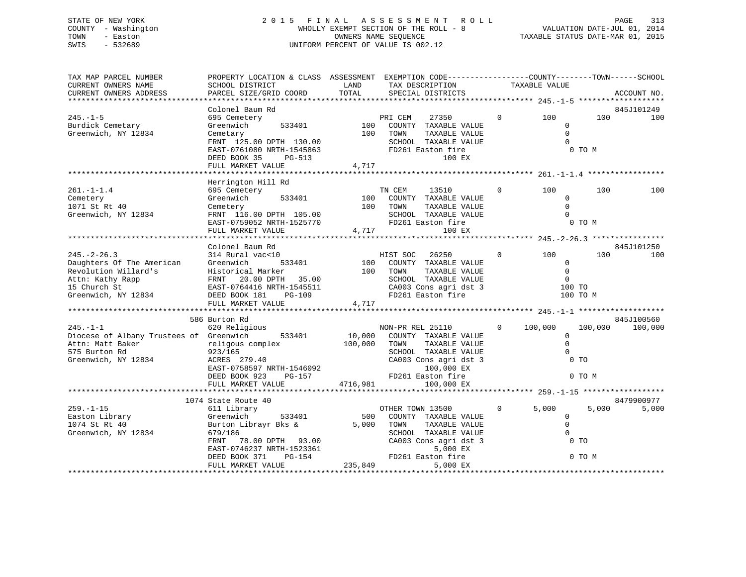# STATE OF NEW YORK 2 0 1 5 F I N A L A S S E S S M E N T R O L L PAGE 313 COUNTY - Washington WHOLLY EXEMPT SECTION OF THE ROLL - 8 VALUATION DATE-JUL 01, 2014 TOWN - Easton CONNERS NAME SEQUENCE TAXABLE STATUS DATE-MAR 01, 2015<br>SWIS - 532689 SWIS - 532689 UNIFORM PERCENT OF VALUE IS 002.12

| TAX MAP PARCEL NUMBER<br>CURRENT OWNERS NAME<br>CURRENT OWNERS ADDRESS                                                            | PROPERTY LOCATION & CLASS ASSESSMENT EXEMPTION CODE----------------COUNTY-------TOWN------SCHOOL<br>SCHOOL DISTRICT<br>PARCEL SIZE/GRID COORD                                    | LAND<br>TOTAL           | TAX DESCRIPTION<br>SPECIAL DISTRICTS                                                                                                                            |              | TAXABLE VALUE                                     |                                     | ACCOUNT NO.           |
|-----------------------------------------------------------------------------------------------------------------------------------|----------------------------------------------------------------------------------------------------------------------------------------------------------------------------------|-------------------------|-----------------------------------------------------------------------------------------------------------------------------------------------------------------|--------------|---------------------------------------------------|-------------------------------------|-----------------------|
|                                                                                                                                   |                                                                                                                                                                                  |                         |                                                                                                                                                                 |              |                                                   |                                     |                       |
| $245. - 1 - 5$<br>Burdick Cemetary<br>Greenwich, NY 12834                                                                         | Colonel Baum Rd<br>695 Cemetery<br>Greenwich<br>533401<br>Cemetary<br>FRNT 125.00 DPTH 130.00<br>EAST-0761080 NRTH-1545863<br>DEED BOOK 35<br>PG-513<br>FULL MARKET VALUE        | 100<br>100<br>4,717     | PRI CEM<br>27350<br>COUNTY TAXABLE VALUE<br>TOWN<br>TAXABLE VALUE<br>SCHOOL TAXABLE VALUE<br>FD261 Easton fire<br>100 EX                                        | $\Omega$     | 100<br>$\mathbf 0$<br>$\Omega$<br>$\Omega$        | 100<br>0 TO M                       | 845J101249<br>100     |
|                                                                                                                                   | Herrington Hill Rd                                                                                                                                                               |                         |                                                                                                                                                                 |              |                                                   |                                     |                       |
| $261. - 1 - 1.4$<br>Cemetery<br>1071 St Rt 40<br>Greenwich, NY 12834                                                              | 695 Cemetery<br>Greenwich<br>533401<br>Cemetery<br>FRNT 116.00 DPTH 105.00<br>EAST-0759052 NRTH-1525770<br>FULL MARKET VALUE                                                     | 100<br>100<br>4,717     | TN CEM<br>13510<br>COUNTY TAXABLE VALUE<br>TOWN<br>TAXABLE VALUE<br>SCHOOL TAXABLE VALUE<br>FD261 Easton fire<br>100 EX                                         | $\mathbf{0}$ | 100<br>$\Omega$<br>$\Omega$<br>$\Omega$           | 100<br>0 TO M                       | 100                   |
|                                                                                                                                   | Colonel Baum Rd                                                                                                                                                                  |                         |                                                                                                                                                                 |              |                                                   |                                     | 845J101250            |
| $245. - 2 - 26.3$<br>Daughters Of The American<br>Revolution Willard's<br>Attn: Kathy Rapp<br>15 Church St<br>Greenwich, NY 12834 | 314 Rural vac<10<br>Greenwich<br>533401<br>Historical Marker<br>20.00 DPTH<br>35.00<br>FRNT<br>EAST-0764416 NRTH-1545511<br>DEED BOOK 181<br>$PG-109$<br>FULL MARKET VALUE       | 100<br>100<br>4,717     | HIST SOC<br>26250<br>COUNTY TAXABLE VALUE<br>TOWN<br>TAXABLE VALUE<br>SCHOOL TAXABLE VALUE<br>CA003 Cons agri dst 3<br>FD261 Easton fire                        | $\mathbf{0}$ | 100<br>$\Omega$<br>$\Omega$<br>$\Omega$<br>100 TO | 100<br>100 TO M                     | 100                   |
|                                                                                                                                   |                                                                                                                                                                                  |                         |                                                                                                                                                                 |              |                                                   |                                     |                       |
| $245. -1 - 1$<br>Diocese of Albany Trustees of Greenwich<br>Attn: Matt Baker<br>575 Burton Rd<br>Greenwich, NY 12834              | 586 Burton Rd<br>620 Religious<br>533401<br>religous complex<br>923/165<br>ACRES 279.40<br>EAST-0758597 NRTH-1546092<br>DEED BOOK 923<br><b>PG-157</b>                           | 10,000<br>100,000       | NON-PR REL 25110<br>COUNTY TAXABLE VALUE<br>TOWN<br>TAXABLE VALUE<br>SCHOOL TAXABLE VALUE<br>CA003 Cons agri dst 3<br>100,000 EX<br>FD261 Easton fire           | $\Omega$     | 100,000<br>$\mathbf 0$<br>$\Omega$<br>$\Omega$    | 100,000<br>0 <sub>T</sub><br>0 TO M | 845J100560<br>100,000 |
|                                                                                                                                   | FULL MARKET VALUE                                                                                                                                                                | 4716,981                | 100,000 EX                                                                                                                                                      |              |                                                   |                                     |                       |
|                                                                                                                                   | 1074 State Route 40                                                                                                                                                              |                         |                                                                                                                                                                 |              |                                                   |                                     | 8479900977            |
| $259. - 1 - 15$<br>Easton Library<br>1074 St Rt 40<br>Greenwich, NY 12834                                                         | 611 Library<br>Greenwich<br>533401<br>Burton Librayr Bks &<br>679/186<br>78.00 DPTH 93.00<br>FRNT<br>EAST-0746237 NRTH-1523361<br>$PG-154$<br>DEED BOOK 371<br>FULL MARKET VALUE | 500<br>5,000<br>235,849 | OTHER TOWN 13500<br>COUNTY TAXABLE VALUE<br>TOWN<br>TAXABLE VALUE<br>SCHOOL TAXABLE VALUE<br>CA003 Cons agri dst 3<br>5,000 EX<br>FD261 Easton fire<br>5,000 EX | $\Omega$     | 5,000<br>$\mathbf{0}$<br>$\Omega$<br>$\Omega$     | 5,000<br>0 <sub>T</sub><br>0 TO M   | 5,000                 |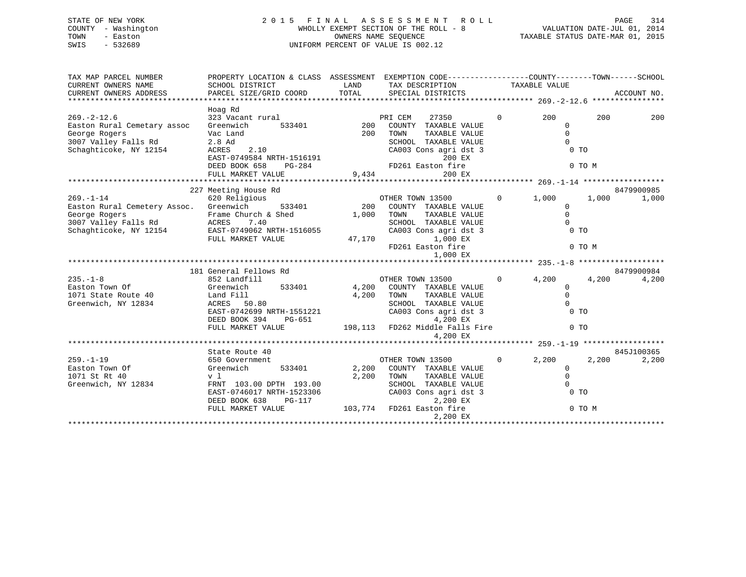# STATE OF NEW YORK 2 0 1 5 F I N A L A S S E S S M E N T R O L L PAGE 314 COUNTY - Washington WHOLLY EXEMPT SECTION OF THE ROLL - 8 VALUATION DATE-JUL 01, 2014 TOWN - Easton OWNERS NAME SEQUENCE TAXABLE STATUS DATE-MAR 01, 2015 SWIS - 532689 UNIFORM PERCENT OF VALUE IS 002.12

| TAX MAP PARCEL NUMBER                                                                                                                               | PROPERTY LOCATION & CLASS ASSESSMENT EXEMPTION CODE-----------------COUNTY-------TOWN------SCHOOL                                                                      |              |                                                                                |                |                                                                    |        |            |
|-----------------------------------------------------------------------------------------------------------------------------------------------------|------------------------------------------------------------------------------------------------------------------------------------------------------------------------|--------------|--------------------------------------------------------------------------------|----------------|--------------------------------------------------------------------|--------|------------|
|                                                                                                                                                     |                                                                                                                                                                        |              |                                                                                |                |                                                                    |        |            |
|                                                                                                                                                     | Hoag Rd                                                                                                                                                                |              |                                                                                |                |                                                                    |        |            |
| $269. - 2 - 12.6$                                                                                                                                   | 323 Vacant rural                                                                                                                                                       |              | PRI CEM<br>27350                                                               | $\overline{0}$ | 200                                                                | 200    | 200        |
| Easton Rural Cemetary assoc Greenwich                                                                                                               |                                                                                                                                                                        |              | 533401 200 COUNTY TAXABLE VALUE                                                |                | $\Omega$<br>$\overline{0}$                                         |        |            |
|                                                                                                                                                     |                                                                                                                                                                        | 200 TOWN     | TAXABLE VALUE<br>SCHOOL TAXABLE VALUE                                          |                | $\overline{0}$                                                     |        |            |
| Schaghticoke, NY 12154                                                                                                                              |                                                                                                                                                                        |              | CA003 Cons agri dst 3                                                          |                | 0 TO                                                               |        |            |
|                                                                                                                                                     |                                                                                                                                                                        |              |                                                                                |                |                                                                    |        |            |
|                                                                                                                                                     |                                                                                                                                                                        |              |                                                                                |                |                                                                    | 0 TO M |            |
|                                                                                                                                                     | Vac Land<br>2.8 Ad<br>ACRES 2.10 CA003 Cons agri usu<br>EAST-0749584 NRTH-1516191 200 EX<br>DEED BOOK 658 PG-284 PD261 Easton fire<br>9,434 200 EX<br>200 EX<br>200 EX |              |                                                                                |                |                                                                    |        |            |
|                                                                                                                                                     |                                                                                                                                                                        |              |                                                                                |                |                                                                    |        |            |
|                                                                                                                                                     | 227 Meeting House Rd                                                                                                                                                   |              |                                                                                |                |                                                                    |        | 8479900985 |
|                                                                                                                                                     | 620 Religious                                                                                                                                                          |              |                                                                                |                | $0 \t 1,000 \t 1,000$                                              |        | 1,000      |
|                                                                                                                                                     |                                                                                                                                                                        |              |                                                                                |                | $\Omega$                                                           |        |            |
|                                                                                                                                                     |                                                                                                                                                                        |              |                                                                                |                |                                                                    |        |            |
| George Rogers Trame Church & Shed 1,000 TOWN<br>3007 Valley Falls Rd ACRES 7.40 2CHOOL<br>Schaghticoke, NY 12154 EAST-0749062 NRTH-1516055 CA003 Cc |                                                                                                                                                                        |              | TOWN TAXABLE VALUE 0<br>SCHOOL TAXABLE VALUE 0<br>CA003 Cons agri dst 3 0 0 TO |                |                                                                    |        |            |
|                                                                                                                                                     |                                                                                                                                                                        |              |                                                                                |                |                                                                    |        |            |
|                                                                                                                                                     | FULL MARKET VALUE                                                                                                                                                      | 47,170       |                                                                                |                |                                                                    | 0 TO M |            |
|                                                                                                                                                     |                                                                                                                                                                        |              |                                                                                |                |                                                                    |        |            |
|                                                                                                                                                     |                                                                                                                                                                        |              | 1,000 EX<br>FD261 Easton fire<br>1,000 EX<br>**************                    |                |                                                                    |        |            |
|                                                                                                                                                     | 181 General Fellows Rd                                                                                                                                                 |              |                                                                                |                |                                                                    |        | 8479900984 |
| $235. - 1 - 8$                                                                                                                                      | 852 Landfill                                                                                                                                                           |              | OTHER TOWN 13500                                                               | $\overline{0}$ | 4,200                                                              | 4,200  | 4,200      |
| Easton Town Of Greenwich                                                                                                                            |                                                                                                                                                                        |              | 533401 4,200 COUNTY TAXABLE VALUE                                              |                |                                                                    |        |            |
| 1071 State Route 40 Land Fill<br>Greenwich, NY 12834 ACRES 50                                                                                       |                                                                                                                                                                        | $4,200$ TOWN | TAXABLE VALUE                                                                  |                |                                                                    |        |            |
|                                                                                                                                                     | ACRES 50.80                                                                                                                                                            |              | SCHOOL TAXABLE VALUE                                                           |                | $\begin{matrix} 0 \\ 0 \\ 0 \\ 0 \\ 0\quad \text{TO} \end{matrix}$ |        |            |
|                                                                                                                                                     | EAST-0742699 NRTH-1551221                                                                                                                                              |              | CA003 Cons agri dst 3                                                          |                |                                                                    |        |            |
|                                                                                                                                                     | DEED BOOK 394<br>PG-651                                                                                                                                                |              | 4,200 EX                                                                       |                |                                                                    |        |            |
|                                                                                                                                                     | FULL MARKET VALUE 198,113 FD262 Middle Falls Fire 0 TO                                                                                                                 |              | 4,200 EX                                                                       |                |                                                                    |        |            |
|                                                                                                                                                     |                                                                                                                                                                        |              |                                                                                |                |                                                                    |        |            |
|                                                                                                                                                     | State Route 40                                                                                                                                                         |              |                                                                                |                |                                                                    |        | 845J100365 |
| $259. - 1 - 19$                                                                                                                                     | 650 Government                                                                                                                                                         |              | OTHER TOWN 13500                                                               |                | $0 \t 2, 200$                                                      | 2,200  | 2,200      |
| Greenwich<br>Easton Town Of                                                                                                                         |                                                                                                                                                                        |              | 533401 2,200 COUNTY TAXABLE VALUE                                              |                | $\mathbf{0}$                                                       |        |            |
| 1071 St Rt 40                                                                                                                                       | v l                                                                                                                                                                    |              | 2,200 TOWN<br>TAXABLE VALUE                                                    |                | $\overline{0}$                                                     |        |            |
| Greenwich, NY 12834                                                                                                                                 | FRNT 103.00 DPTH 193.00                                                                                                                                                |              | SCHOOL TAXABLE VALUE                                                           |                | $\bigcirc$<br>$\overline{0}$ TO                                    |        |            |
|                                                                                                                                                     | EAST-0746017 NRTH-1523306<br>DEED BOOK 638<br><b>PG-117</b>                                                                                                            |              | CA003 Cons agri dst 3<br>2,200 EX                                              |                |                                                                    |        |            |
|                                                                                                                                                     | FULL MARKET VALUE                                                                                                                                                      |              | 103,774 FD261 Easton fire                                                      |                |                                                                    | 0 TO M |            |
|                                                                                                                                                     |                                                                                                                                                                        |              | 2,200 EX                                                                       |                |                                                                    |        |            |
|                                                                                                                                                     |                                                                                                                                                                        |              |                                                                                |                |                                                                    |        |            |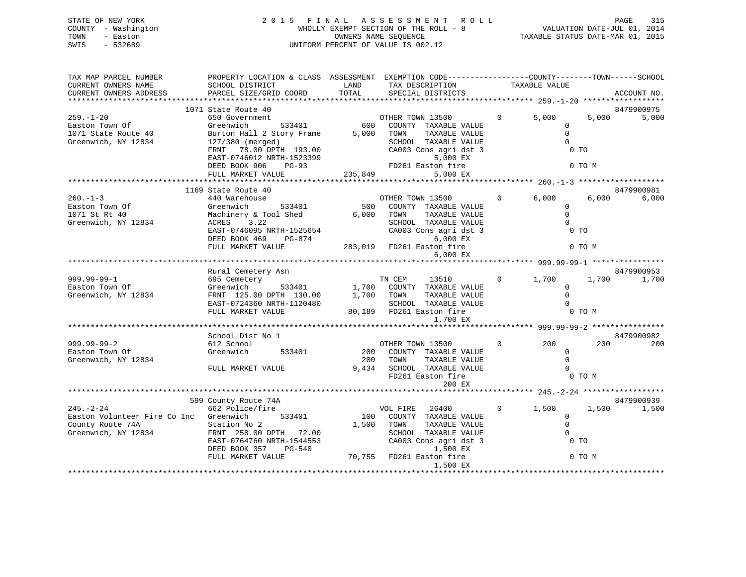| STATE OF NEW YORK   | 2015 FINAL ASSESSMENT ROLL            | 315<br>PAGE                      |
|---------------------|---------------------------------------|----------------------------------|
| COUNTY - Washington | WHOLLY EXEMPT SECTION OF THE ROLL - 8 | VALUATION DATE-JUL 01, 2014      |
| TOWN<br>- Easton    | OWNERS NAME SEOUENCE                  | TAXABLE STATUS DATE-MAR 01, 2015 |
| SWIS<br>$-532689$   | UNIFORM PERCENT OF VALUE IS 002.12    |                                  |
|                     |                                       |                                  |

| TAX MAP PARCEL NUMBER<br>CURRENT OWNERS NAME<br>CURRENT OWNERS ADDRESS | PROPERTY LOCATION & CLASS ASSESSMENT EXEMPTION CODE----------------COUNTY-------TOWN-----SCHOOL<br>SCHOOL DISTRICT<br>PARCEL SIZE/GRID COORD      | <b>LAND</b><br>TOTAL | TAX DESCRIPTION TAXABLE VALUE<br>SPECIAL DISTRICTS<br>SPECIAL DISTRICTS               |                   |                         |                  | ACCOUNT NO.         |
|------------------------------------------------------------------------|---------------------------------------------------------------------------------------------------------------------------------------------------|----------------------|---------------------------------------------------------------------------------------|-------------------|-------------------------|------------------|---------------------|
|                                                                        |                                                                                                                                                   |                      |                                                                                       |                   |                         |                  |                     |
| $259. - 1 - 20$<br>Easton Town Of                                      | 1071 State Route 40<br>650 Government<br>533401<br>Greenwich                                                                                      | $rac{01}{600}$       | OTHER TOWN 13500<br>COUNTY TAXABLE VALUE                                              | $\Omega$          | 5,000<br>$\Omega$       | 5,000            | 8479900975<br>5,000 |
| 1071 State Route 40<br>Greenwich, NY 12834                             | Burton Hall 2 Story Frame 5,000 TOWN<br>127/380 (merged)                                                                                          |                      | TAXABLE VALUE<br>SCHOOL TAXABLE VALUE                                                 |                   | $\mathbf 0$<br>$\Omega$ |                  |                     |
|                                                                        | FRNT 78.00 DPTH 193.00<br>EAST-0746012 NRTH-1523399<br>DEED BOOK 906<br>$PG-93$                                                                   | $PDA1 =$<br>$PDA1 =$ | CA003 Cons agri dst 3<br>5,000 EX<br>FD261 Easton fire                                |                   |                         | $0$ TO<br>0 TO M |                     |
|                                                                        | FULL MARKET VALUE                                                                                                                                 | 235,849              | 5,000 EX                                                                              |                   |                         |                  |                     |
|                                                                        |                                                                                                                                                   |                      |                                                                                       |                   |                         |                  |                     |
|                                                                        | 1169 State Route 40                                                                                                                               |                      |                                                                                       |                   |                         |                  | 8479900981          |
| $260. -1 - 3$                                                          | 440 Warehouse                                                                                                                                     |                      | OTHER TOWN 13500                                                                      | $\overline{0}$    | 6,000                   | 6,000            | 6,000               |
| Easton Town Of                                                         | 533401<br>Greenwich                                                                                                                               | 500                  | COUNTY TAXABLE VALUE                                                                  |                   | $\Omega$                |                  |                     |
| 1071 St Rt 40                                                          | Machinery & Tool Shed                                                                                                                             | 6,000                | TAXABLE VALUE<br>TOWN                                                                 |                   | $\Omega$                |                  |                     |
| Greenwich, NY 12834                                                    | ACRES 3.22                                                                                                                                        |                      | SCHOOL TAXABLE VALUE                                                                  |                   | $\Omega$                |                  |                     |
|                                                                        | EAST-0746095 NRTH-1525654<br>DEED BOOK 469 PG-874                                                                                                 |                      | CA003 Cons agri dst 3<br>$6,000$ EX                                                   |                   | $0$ TO                  |                  |                     |
|                                                                        | FULL MARKET VALUE                                                                                                                                 |                      | 283,019 FD261 Easton fire                                                             |                   |                         | 0 TO M           |                     |
|                                                                        |                                                                                                                                                   |                      | 6,000 EX                                                                              |                   |                         |                  |                     |
|                                                                        |                                                                                                                                                   |                      |                                                                                       |                   |                         |                  |                     |
|                                                                        | Rural Cemetery Asn                                                                                                                                |                      |                                                                                       |                   |                         |                  | 8479900953          |
| 999.99-99-1                                                            | 695 Cemetery                                                                                                                                      |                      | TN CEM 13510 0 1,700                                                                  |                   |                         | 1,700            | 1,700               |
| Easton Town Of                                                         |                                                                                                                                                   |                      |                                                                                       |                   | $\Omega$                |                  |                     |
| Greenwich, NY 12834                                                    | Greenwich 533401 1,700 COUNTY TAXABLE VALUE<br>FRNT 125.00 DPTH 130.00 1,700 TOWN TAXABLE VALUE<br>EAST-0724360 NRTH-1120480 SCHOOL TAXABLE VALUE |                      |                                                                                       |                   | $\Omega$                |                  |                     |
|                                                                        | EAST-0724360 NRTH-1120480                                                                                                                         |                      | SCHOOL TAXABLE VALUE                                                                  |                   | $\Omega$                |                  |                     |
|                                                                        | FULL MARKET VALUE                                                                                                                                 |                      | 80,189 FD261 Easton fire<br>1,700 EX                                                  |                   |                         | $0$ TO M         |                     |
|                                                                        |                                                                                                                                                   |                      |                                                                                       |                   |                         |                  |                     |
|                                                                        | School Dist No 1                                                                                                                                  |                      |                                                                                       |                   |                         |                  | 8479900982          |
| 999.99-99-2                                                            | 612 School                                                                                                                                        |                      | OTHER TOWN 13500                                                                      | $0 \qquad \qquad$ | 200                     | 200              | 200                 |
| Easton Town Of                                                         | Greenwich<br>533401                                                                                                                               | 200                  | 200 COUNTY TAXABLE VALUE<br>TOWN TAXABLE VALUE                                        |                   | $\mathbf 0$<br>$\Omega$ |                  |                     |
| Greenwich, NY 12834                                                    | FULL MARKET VALUE                                                                                                                                 |                      | 9,434 SCHOOL TAXABLE VALUE                                                            |                   | $\Omega$                |                  |                     |
|                                                                        |                                                                                                                                                   |                      | FD261 Easton fire                                                                     |                   |                         | 0 TO M           |                     |
|                                                                        |                                                                                                                                                   |                      | 200 EX                                                                                |                   |                         |                  |                     |
|                                                                        |                                                                                                                                                   |                      |                                                                                       |                   |                         |                  |                     |
|                                                                        | 599 County Route 74A                                                                                                                              |                      |                                                                                       |                   |                         |                  | 8479900939          |
| $245. - 2 - 24$                                                        | 662 Police/fire                                                                                                                                   |                      | VOL FIRE 26400                                                                        | $0 \qquad \qquad$ | 1,500                   | 1,500            | 1,500               |
| Easton Volunteer Fire Co Inc Greenwich                                 | 533401                                                                                                                                            |                      | 100 COUNTY TAXABLE VALUE                                                              |                   | $\overline{0}$          |                  |                     |
| County Route 74A                                                       | Station No 2                                                                                                                                      |                      | 1,500 TOWN<br>TAXABLE VALUE                                                           |                   | $\overline{0}$          |                  |                     |
| Greenwich, NY 12834                                                    | FRNT 258.00 DPTH 72.00                                                                                                                            |                      | SCHOOL TAXABLE VALUE                                                                  |                   | $\Omega$                |                  |                     |
|                                                                        | EAST-0764760 NRTH-1544553                                                                                                                         |                      | CA003 Cons agri dst 3                                                                 |                   |                         | $0$ TO           |                     |
|                                                                        | DEED BOOK 357 PG-540                                                                                                                              |                      | 1544553 CA003 Cons agri dst<br>3-540 1,500 EX<br>70,755 FD261 Easton fire<br>1,500 EX |                   |                         |                  |                     |
|                                                                        | FULL MARKET VALUE                                                                                                                                 |                      |                                                                                       |                   | 0 TO M                  |                  |                     |
|                                                                        |                                                                                                                                                   |                      | 1,500 EX                                                                              |                   |                         |                  |                     |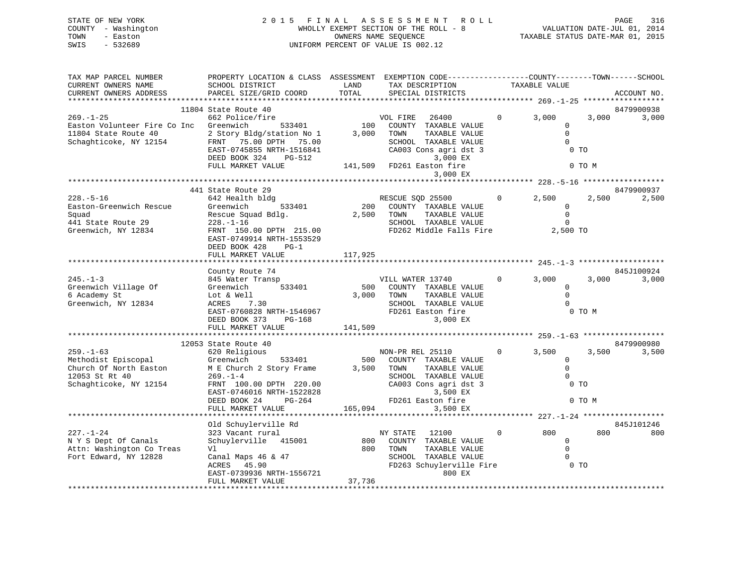| STATE OF NEW YORK   | 2015 FINAL ASSESSMENT ROLL            | PAGE                             | 316 |
|---------------------|---------------------------------------|----------------------------------|-----|
| COUNTY - Washington | WHOLLY EXEMPT SECTION OF THE ROLL - 8 | VALUATION DATE-JUL 01, 2014      |     |
| TOWN<br>- Easton    | OWNERS NAME SEOUENCE                  | TAXABLE STATUS DATE-MAR 01, 2015 |     |
| - 532689<br>SWIS    | UNIFORM PERCENT OF VALUE IS 002.12    |                                  |     |
|                     |                                       |                                  |     |

| TAX MAP PARCEL NUMBER                                                                                              | PROPERTY LOCATION & CLASS ASSESSMENT EXEMPTION CODE---------------COUNTY-------TOWN-----SCHOOL |         |                                                      |                |        |             |
|--------------------------------------------------------------------------------------------------------------------|------------------------------------------------------------------------------------------------|---------|------------------------------------------------------|----------------|--------|-------------|
| CURRENT OWNERS NAME                                                                                                | SCHOOL DISTRICT                                                                                | LAND    | TAX DESCRIPTION                                      | TAXABLE VALUE  |        |             |
| CURRENT OWNERS ADDRESS                                                                                             | PARCEL SIZE/GRID COORD                                                                         | TOTAL   | SPECIAL DISTRICTS                                    |                |        | ACCOUNT NO. |
|                                                                                                                    |                                                                                                |         |                                                      |                |        |             |
|                                                                                                                    | 11804 State Route 40                                                                           |         |                                                      |                |        | 8479900938  |
|                                                                                                                    |                                                                                                |         |                                                      | $0 \t 3,000$   | 3,000  | 3,000       |
|                                                                                                                    |                                                                                                |         |                                                      | $\mathbf{0}$   |        |             |
|                                                                                                                    |                                                                                                |         |                                                      | $\Omega$       |        |             |
|                                                                                                                    |                                                                                                |         |                                                      | $\Omega$       |        |             |
|                                                                                                                    |                                                                                                |         |                                                      | 0 <sub>T</sub> |        |             |
|                                                                                                                    |                                                                                                |         |                                                      |                |        |             |
|                                                                                                                    | FULL MARKET VALUE                                                                              |         | 141,509 FD261 Easton fire                            |                | 0 TO M |             |
|                                                                                                                    |                                                                                                |         | 3,000 EX                                             |                |        |             |
|                                                                                                                    |                                                                                                |         |                                                      |                |        |             |
|                                                                                                                    | 441 State Route 29                                                                             |         |                                                      |                |        | 8479900937  |
| $228. - 5 - 16$                                                                                                    | 642 Health bldg                                                                                |         |                                                      | $0 \t 2,500$   | 2,500  | 2,500       |
|                                                                                                                    | bldg<br>533401                                                                                 |         | RESCUE SQD 25500<br>200 COUNTY TAXABLE VALUE         | $\overline{0}$ |        |             |
| Easton-Greenwich Rescue                                                                                            | Greenwich                                                                                      |         |                                                      |                |        |             |
| Squad                                                                                                              | Rescue Squad Bdlg. 2,500 TOWN                                                                  |         | TAXABLE VALUE                                        | $\overline{0}$ |        |             |
| 441 State Route 29                                                                                                 | $228. - 1 - 16$                                                                                |         | SCHOOL TAXABLE VALUE                                 | $\overline{0}$ |        |             |
| Greenwich, NY 12834                                                                                                | FRNT 150.00 DPTH 215.00                                                                        |         | FD262 Middle Falls Fire 2,500 TO                     |                |        |             |
|                                                                                                                    | EAST-0749914 NRTH-1553529                                                                      |         |                                                      |                |        |             |
|                                                                                                                    | DEED BOOK 428 PG-1                                                                             |         |                                                      |                |        |             |
|                                                                                                                    | FULL MARKET VALUE                                                                              | 117,925 |                                                      |                |        |             |
|                                                                                                                    |                                                                                                |         |                                                      |                |        |             |
|                                                                                                                    | County Route 74                                                                                |         |                                                      |                |        | 845J100924  |
| $245. - 1 - 3$                                                                                                     | 845 Water Transp                                                                               |         | VILL WATER 13740                                     | $0 \t 3,000$   | 3,000  | 3,000       |
| Greenwich Village Of                                                                                               | Greenwich 533401                                                                               |         | 500 COUNTY TAXABLE VALUE<br>3,000 TOWN TAXABLE VALUE | $\overline{0}$ |        |             |
| 6 Academy St                                                                                                       | Lot & Well                                                                                     |         |                                                      | $\bigcirc$     |        |             |
| Greenwich, NY 12834                                                                                                | Lot & Well<br>ACRES      7.30                                                                  |         | SCHOOL TAXABLE VALUE                                 | $\bigcirc$     |        |             |
|                                                                                                                    |                                                                                                |         |                                                      | 0 TO M         |        |             |
|                                                                                                                    | EAST-0760828 NRTH-1546967<br>DEED BOOK 373 PG-168 POSSES RESOURCES                             |         | 3,000 EX                                             |                |        |             |
|                                                                                                                    | FULL MARKET VALUE                                                                              | 141,509 |                                                      |                |        |             |
|                                                                                                                    |                                                                                                |         |                                                      |                |        |             |
|                                                                                                                    | 12053 State Route 40                                                                           |         |                                                      |                |        | 8479900980  |
| $259. - 1 - 63$                                                                                                    | 620 Religious                                                                                  |         | NON-PR REL 25110                                     | $0 \t3,500$    | 3,500  | 3,500       |
|                                                                                                                    |                                                                                                |         |                                                      | $\mathbf 0$    |        |             |
|                                                                                                                    |                                                                                                |         | 500 COUNTY TAXABLE VALUE<br>3,500 TOWN TAXABLE VALUE | $\overline{0}$ |        |             |
| Methodist Episcopal Greenwich 533401<br>Church Of North Easton M E Church 2 Story Frame<br>12053 St Rt 40 269.-1-4 |                                                                                                |         | SCHOOL TAXABLE VALUE                                 | $\overline{0}$ |        |             |
| Schaghticoke, NY 12154 FRNT 100.00 DPTH 220.00 CA003 Cons agri dst 3                                               |                                                                                                |         |                                                      | 0 <sub>T</sub> |        |             |
|                                                                                                                    | EAST-0746016 NRTH-1522828                                                                      |         | 3,500 EX                                             |                |        |             |
|                                                                                                                    | DEED BOOK 24<br>PG-264                                                                         |         | FD261 Easton fire                                    |                | 0 TO M |             |
|                                                                                                                    | FULL MARKET VALUE                                                                              | 165,094 | 3,500 EX                                             |                |        |             |
|                                                                                                                    |                                                                                                |         |                                                      |                |        |             |
|                                                                                                                    | Old Schuylerville Rd                                                                           |         |                                                      |                |        | 845J101246  |
| $227. - 1 - 24$                                                                                                    | 323 Vacant rural                                                                               |         |                                                      | $0$ 800        | 800    | 800         |
| N Y S Dept Of Canals                                                                                               | Schuylerville 415001                                                                           |         | NY STATE 12100<br>800 COUNTY TAXABLE VALUE           | $\Omega$       |        |             |
| Attn: Washington Co Treas                                                                                          | Vl                                                                                             |         | 800 TOWN<br>TAXABLE VALUE                            |                |        |             |
|                                                                                                                    |                                                                                                |         |                                                      | $\overline{0}$ |        |             |
| Fort Edward, NY 12828                                                                                              | Canal Maps 46 & 47                                                                             |         | SCHOOL TAXABLE VALUE                                 | $\overline{0}$ |        |             |
|                                                                                                                    | ACRES 45.90                                                                                    |         | FD263 Schuylerville Fire 0 TO                        |                |        |             |
|                                                                                                                    | EAST-0739936 NRTH-1556721                                                                      |         | 800 EX                                               |                |        |             |
|                                                                                                                    | FULL MARKET VALUE                                                                              | 37,736  |                                                      |                |        |             |
|                                                                                                                    |                                                                                                |         |                                                      |                |        |             |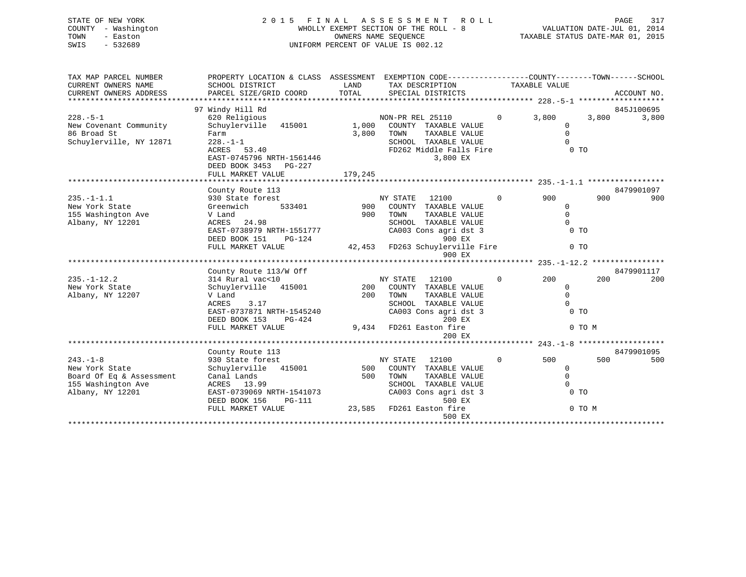# STATE OF NEW YORK 2 0 1 5 F I N A L A S S E S S M E N T R O L L PAGE 317 COUNTY - Washington WHOLLY EXEMPT SECTION OF THE ROLL - 8 VALUATION DATE-JUL 01, 2014 TOWN - Easton CONNERS NAME SEQUENCE TAXABLE STATUS DATE-MAR 01, 2015<br>SWIS - 532689 SWIS - 532689 UNIFORM PERCENT OF VALUE IS 002.12

| TAX MAP PARCEL NUMBER<br>CURRENT OWNERS NAME<br>CURRENT OWNERS ADDRESS | PROPERTY LOCATION & CLASS ASSESSMENT EXEMPTION CODE---------------COUNTY-------TOWN-----SCHOOL<br>SCHOOL DISTRICT<br>PARCEL SIZE/GRID COORD | LAND<br>TOTAL | TAX DESCRIPTION<br>SPECIAL DISTRICTS |              | TAXABLE VALUE  |        | ACCOUNT NO. |
|------------------------------------------------------------------------|---------------------------------------------------------------------------------------------------------------------------------------------|---------------|--------------------------------------|--------------|----------------|--------|-------------|
|                                                                        |                                                                                                                                             |               |                                      |              |                |        |             |
|                                                                        | 97 Windy Hill Rd                                                                                                                            |               |                                      |              |                |        | 845J100695  |
| $228. - 5 - 1$                                                         | 620 Religious                                                                                                                               |               | NON-PR REL 25110                     | $\Omega$     | 3,800          | 3,800  | 3,800       |
| New Covenant Community                                                 | Schuylerville 415001 1,000                                                                                                                  |               | COUNTY TAXABLE VALUE                 |              | $\Omega$       |        |             |
| 86 Broad St                                                            | Farm                                                                                                                                        | 3.800         | TOWN<br>TAXABLE VALUE                |              | $\mathbf 0$    |        |             |
| Schuylerville, NY 12871                                                | $228. - 1 - 1$                                                                                                                              |               | SCHOOL TAXABLE VALUE                 |              | $\Omega$       |        |             |
|                                                                        | ACRES 53.40<br>EAST-0745796 NRTH-1561446<br>DEED BOOK 3453 PG-227                                                                           |               | FD262 Middle Falls Fire<br>3,800 EX  |              | $0$ TO         |        |             |
|                                                                        | FULL MARKET VALUE                                                                                                                           | 179,245       |                                      |              |                |        |             |
|                                                                        |                                                                                                                                             |               |                                      |              |                |        |             |
|                                                                        | County Route 113                                                                                                                            |               |                                      |              |                |        | 8479901097  |
| $235. -1 - 1.1$                                                        | 930 State forest                                                                                                                            |               | NY STATE 12100                       | $\Omega$     | 900            | 900    | 900         |
| New York State                                                         | 533401<br>Greenwich                                                                                                                         |               | 900 COUNTY TAXABLE VALUE             |              | $\mathbf{0}$   |        |             |
| 155 Washington Ave                                                     | V Land                                                                                                                                      | 900           | TOWN<br>TAXABLE VALUE                |              | $\mathbf 0$    |        |             |
| Albany, NY 12201                                                       | ACRES 24.98                                                                                                                                 |               | SCHOOL TAXABLE VALUE                 |              | $\Omega$       |        |             |
|                                                                        | EAST-0738979 NRTH-1551777<br>DEED BOOK 151<br>$PG-124$                                                                                      |               | CA003 Cons agri dst 3<br>900 EX      |              | $0$ TO         |        |             |
|                                                                        | FULL MARKET VALUE                                                                                                                           |               | 42,453 FD263 Schuylerville Fire      |              | 0 <sub>T</sub> |        |             |
|                                                                        |                                                                                                                                             |               | 900 EX                               |              |                |        |             |
|                                                                        |                                                                                                                                             |               |                                      |              |                |        |             |
|                                                                        | County Route 113/W Off                                                                                                                      |               |                                      |              |                |        | 8479901117  |
| $235. -1 - 12.2$                                                       | 314 Rural vac<10                                                                                                                            |               | NY STATE 12100                       | $\mathbf{0}$ | 200            | 200    | 200         |
| New York State                                                         | Schuylerville 415001                                                                                                                        |               | 200 COUNTY TAXABLE VALUE             |              | $\mathbf{0}$   |        |             |
| Albany, NY 12207                                                       | V Land                                                                                                                                      | 200           | TOWN<br>TAXABLE VALUE                |              | $\Omega$       |        |             |
|                                                                        | 3.17<br>ACRES                                                                                                                               |               | SCHOOL TAXABLE VALUE                 |              | $\Omega$       |        |             |
|                                                                        | EAST-0737871 NRTH-1545240                                                                                                                   |               | CA003 Cons agri dst 3                |              | 0 <sub>T</sub> |        |             |
|                                                                        | DEED BOOK 153<br>PG-424                                                                                                                     |               | 200 EX                               |              |                |        |             |
|                                                                        | FULL MARKET VALUE                                                                                                                           |               | 9,434 FD261 Easton fire              |              |                | 0 TO M |             |
|                                                                        |                                                                                                                                             |               | 200 EX                               |              |                |        |             |
|                                                                        | County Route 113                                                                                                                            |               |                                      |              |                |        | 8479901095  |
| $243. -1 - 8$                                                          | 930 State forest                                                                                                                            |               | NY STATE<br>12100                    | $\mathbf{0}$ | 500            | 500    | 500         |
| New York State                                                         | Schuylerville 415001                                                                                                                        | 500           | COUNTY TAXABLE VALUE                 |              | $\circ$        |        |             |
| Board Of Eq & Assessment                                               | Canal Lands                                                                                                                                 | 500           | TOWN<br>TAXABLE VALUE                |              | $\mathbf 0$    |        |             |
| 155 Washington Ave                                                     | ACRES 13.99                                                                                                                                 |               | SCHOOL TAXABLE VALUE                 |              | $\Omega$       |        |             |
| Albany, NY 12201                                                       | EAST-0739069 NRTH-1541073                                                                                                                   |               | CA003 Cons agri dst 3                |              | $0$ TO         |        |             |
|                                                                        | DEED BOOK 156<br>PG-111                                                                                                                     |               | 500 EX                               |              |                |        |             |
|                                                                        | FULL MARKET VALUE                                                                                                                           |               | 23,585 FD261 Easton fire             |              |                | 0 TO M |             |
|                                                                        |                                                                                                                                             |               | 500 EX                               |              |                |        |             |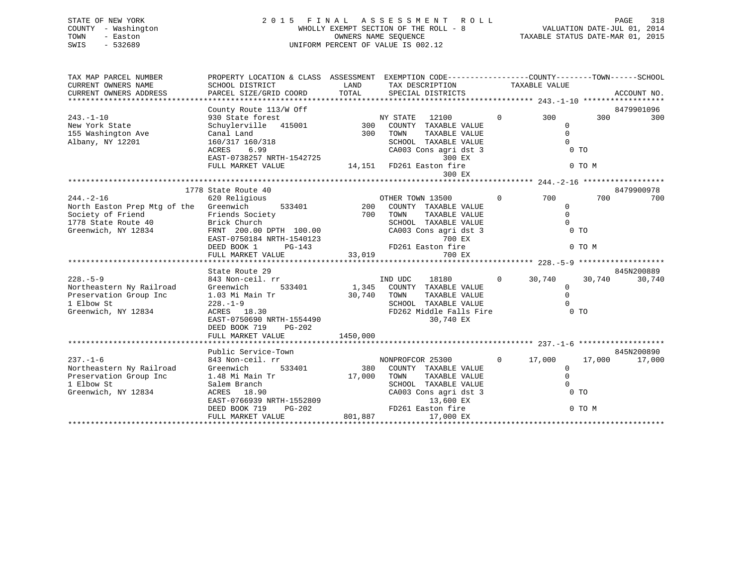| STATE OF NEW YORK   | 2015 FINAL ASSESSMENT ROLL            | 318<br>PAGE                      |
|---------------------|---------------------------------------|----------------------------------|
| COUNTY - Washington | WHOLLY EXEMPT SECTION OF THE ROLL - 8 | VALUATION DATE-JUL 01, 2014      |
| TOWN<br>- Easton    | OWNERS NAME SEOUENCE                  | TAXABLE STATUS DATE-MAR 01, 2015 |
| SWIS<br>- 532689    | UNIFORM PERCENT OF VALUE IS 002.12    |                                  |
|                     |                                       |                                  |

| TAX MAP PARCEL NUMBER                                                                           | PROPERTY LOCATION & CLASS ASSESSMENT EXEMPTION CODE---------------COUNTY-------TOWN------SCHOOL                                              |             |                                                                                                |                                        |        |             |
|-------------------------------------------------------------------------------------------------|----------------------------------------------------------------------------------------------------------------------------------------------|-------------|------------------------------------------------------------------------------------------------|----------------------------------------|--------|-------------|
| CURRENT OWNERS NAME                                                                             | SCHOOL DISTRICT                                                                                                                              | LAND        | TAX DESCRIPTION                                                                                | TAXABLE VALUE                          |        |             |
| CURRENT OWNERS ADDRESS                                                                          | PARCEL SIZE/GRID COORD                                                                                                                       | TOTAL       | SPECIAL DISTRICTS                                                                              |                                        |        | ACCOUNT NO. |
|                                                                                                 |                                                                                                                                              |             |                                                                                                |                                        |        |             |
|                                                                                                 | County Route 113/W Off                                                                                                                       |             |                                                                                                |                                        |        | 8479901096  |
| $243. - 1 - 10$                                                                                 |                                                                                                                                              |             |                                                                                                | 0 300 300                              |        | 300         |
| New York State                                                                                  |                                                                                                                                              |             |                                                                                                | $\overline{0}$                         |        |             |
| 155 Washington Ave                                                                              |                                                                                                                                              |             | TAXABLE VALUE                                                                                  | $\Omega$                               |        |             |
| Albany, NY 12201                                                                                | 160/317 160/318                                                                                                                              |             | SCHOOL TAXABLE VALUE                                                                           | $\Omega$                               |        |             |
|                                                                                                 | 6.99<br>ACRES<br>ACRES 6.99 CA003 Cons agri ds<br>EAST-0738257 NRTH-1542725 200 EX<br>FULL MARKET VALUE 14,151 FD261 Easton fire             |             | CA003 Cons agri dst 3                                                                          | 0 <sub>T</sub>                         |        |             |
|                                                                                                 |                                                                                                                                              |             | 300 EX                                                                                         |                                        |        |             |
|                                                                                                 |                                                                                                                                              |             |                                                                                                |                                        | 0 TO M |             |
|                                                                                                 |                                                                                                                                              |             | 300 EX                                                                                         |                                        |        |             |
|                                                                                                 | 1778 State Route 40                                                                                                                          |             |                                                                                                |                                        |        | 8479900978  |
| $244. - 2 - 16$                                                                                 | 620 Religious                                                                                                                                |             |                                                                                                | 0 700                                  | 700    | 700         |
| North Easton Prep Mtg of the Greenwich                                                          | 533401                                                                                                                                       |             | OTHER TOWN 13500<br>200 COUNTY TAXABLE VALUE<br>700 TOWN TAXABLE VALUE<br>SCHOOL TAXABLE VALUE | $\overline{0}$                         |        |             |
|                                                                                                 | Friends Society                                                                                                                              |             | TAXABLE VALUE                                                                                  | $\overline{0}$                         |        |             |
| Society of Friend<br>1778 State Route 40                                                        | Brick Church                                                                                                                                 |             |                                                                                                | $\Omega$                               |        |             |
| Greenwich, NY 12834                                                                             | FRNT 200.00 DPTH 100.00                                                                                                                      |             | CA003 Cons agri dst 3                                                                          | <b>CONTROL</b> CONTROL CONTROL CONTROL |        |             |
|                                                                                                 |                                                                                                                                              |             |                                                                                                |                                        |        |             |
|                                                                                                 | EAST-0750184 NRTH-1540123 700 EX<br>DEED BOOK 1 PG-143 FD261 Easton fire                                                                     |             |                                                                                                | 0 TO M                                 |        |             |
|                                                                                                 |                                                                                                                                              |             |                                                                                                |                                        |        |             |
|                                                                                                 |                                                                                                                                              |             |                                                                                                |                                        |        |             |
|                                                                                                 | State Route 29                                                                                                                               |             |                                                                                                |                                        |        | 845N200889  |
| $228. - 5 - 9$                                                                                  | 843 Non-ceil. rr                                                                                                                             |             | IND UDC<br>18180                                                                               | $0 \t 30,740$                          | 30,740 | 30,740      |
| X20.-5-3<br>Northeastern Ny Railroad Greenwich 533401<br>Preservation Group Inc 1.03 Mi Main Tr |                                                                                                                                              |             | 533401 1,345 COUNTY TAXABLE VALUE                                                              | $\overline{0}$                         |        |             |
|                                                                                                 |                                                                                                                                              | 30,740 TOWN | TAXABLE VALUE                                                                                  | $\mathbf 0$                            |        |             |
| 1 Elbow St                                                                                      | $228. - 1 - 9$                                                                                                                               |             | SCHOOL TAXABLE VALUE                                                                           | $\Omega$                               |        |             |
| Greenwich, NY 12834                                                                             | ACRES 18.30                                                                                                                                  |             | FD262 Middle Falls Fire 0 TO                                                                   |                                        |        |             |
|                                                                                                 | EAST-0750690 NRTH-1554490                                                                                                                    |             | 30,740 EX                                                                                      |                                        |        |             |
|                                                                                                 | DEED BOOK 719 PG-202                                                                                                                         |             |                                                                                                |                                        |        |             |
|                                                                                                 | FULL MARKET VALUE                                                                                                                            | 1450,000    |                                                                                                |                                        |        |             |
|                                                                                                 | Public Service-Town                                                                                                                          |             |                                                                                                |                                        |        | 845N200890  |
| $237. - 1 - 6$                                                                                  | 843 Non-ceil. rr                                                                                                                             |             | NONPROFCOR 25300                                                                               | $0 \t 17,000$                          | 17,000 | 17,000      |
| Northeastern Ny Railroad                                                                        | Greenwich<br>533401                                                                                                                          |             | 380 COUNTY TAXABLE VALUE                                                                       | $\overline{0}$                         |        |             |
| Preservation Group Inc                                                                          |                                                                                                                                              |             | TAXABLE VALUE                                                                                  | $\overline{0}$                         |        |             |
| 1 Elbow St                                                                                      | Salem Branch                                                                                                                                 |             | SCHOOL TAXABLE VALUE                                                                           | $\Omega$                               |        |             |
| Greenwich, NY 12834                                                                             | ACRES 18.90                                                                                                                                  |             | CA003 Cons agri dst 3                                                                          | 0 <sub>T</sub>                         |        |             |
|                                                                                                 |                                                                                                                                              |             |                                                                                                |                                        |        |             |
|                                                                                                 |                                                                                                                                              |             |                                                                                                |                                        | 0 TO M |             |
|                                                                                                 | EAST-0766939 NRTH-1552809<br>DEED BOOK 719 PG-202 POLA PD261 Easton fire<br>FULL MARKET VALUE 801,887 17,000 EX<br>FULL MARKET VALUE 801,887 |             |                                                                                                |                                        |        |             |
|                                                                                                 |                                                                                                                                              |             |                                                                                                |                                        |        |             |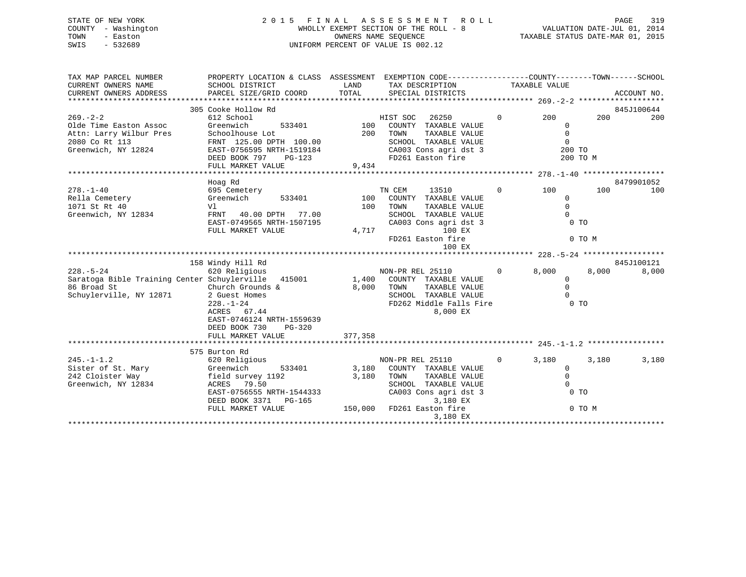# STATE OF NEW YORK 2 0 1 5 F I N A L A S S E S S M E N T R O L L PAGE 319 COUNTY - Washington WHOLLY EXEMPT SECTION OF THE ROLL - 8 VALUATION DATE-JUL 01, 2014 TOWN - Easton COMPUTERS NAME SEQUENCE TAXABLE STATUS DATE-MAR 01, 2015<br>SWIS - 532689 SWIS - 532689 UNIFORM PERCENT OF VALUE IS 002.12

| TAX MAP PARCEL NUMBER<br>CURRENT OWNERS NAME<br>CURRENT OWNERS ADDRESS                                           | PROPERTY LOCATION & CLASS ASSESSMENT EXEMPTION CODE----------------COUNTY-------TOWN------SCHOOL<br>SCHOOL DISTRICT<br>PARCEL SIZE/GRID COORD                     | LAND<br>TOTAL | TAX DESCRIPTION<br>SPECIAL DISTRICTS                                                                                                                              |                | TAXABLE VALUE                                                |                 | ACCOUNT NO.         |
|------------------------------------------------------------------------------------------------------------------|-------------------------------------------------------------------------------------------------------------------------------------------------------------------|---------------|-------------------------------------------------------------------------------------------------------------------------------------------------------------------|----------------|--------------------------------------------------------------|-----------------|---------------------|
|                                                                                                                  | 305 Cooke Hollow Rd                                                                                                                                               |               |                                                                                                                                                                   |                |                                                              |                 | 845J100644          |
| $269. - 2 - 2$<br>Olde Time Easton Assoc                                                                         | 612 School<br>Greenwich<br>533401                                                                                                                                 | 100           | 26250<br>HIST SOC<br>COUNTY TAXABLE VALUE                                                                                                                         | $\mathbf{0}$   | 200<br>$\Omega$                                              | 200             | 200                 |
| Attn: Larry Wilbur Pres<br>2080 Co Rt 113<br>Greenwich, NY 12824                                                 | Schoolhouse Lot<br>FRNT 125.00 DPTH 100.00<br>EAST-0756595 NRTH-1519184                                                                                           | 200           | TOWN<br>TAXABLE VALUE<br>SCHOOL TAXABLE VALUE<br>CA003 Cons agri dst 3                                                                                            |                | $\Omega$<br>$\mathbf 0$<br>200 TO                            |                 |                     |
|                                                                                                                  | DEED BOOK 797<br>PG-123<br>FULL MARKET VALUE                                                                                                                      | 9,434         | FD261 Easton fire                                                                                                                                                 |                | 200 TO M                                                     |                 |                     |
|                                                                                                                  |                                                                                                                                                                   |               |                                                                                                                                                                   |                |                                                              |                 |                     |
| $278. - 1 - 40$<br>Rella Cemetery                                                                                | Hoag Rd<br>695 Cemetery<br>Greenwich<br>533401                                                                                                                    | 100           | TN CEM<br>13510<br>COUNTY TAXABLE VALUE                                                                                                                           | $\overline{0}$ | 100<br>$\mathbf{0}$<br>$\Omega$                              | 100             | 8479901052<br>100   |
| 1071 St Rt 40<br>Greenwich, NY 12834                                                                             | Vl<br>FRNT 40.00 DPTH 77.00<br>EAST-0749565 NRTH-1507195                                                                                                          | 100           | TAXABLE VALUE<br>TOWN<br>SCHOOL TAXABLE VALUE<br>CA003 Cons agri dst 3                                                                                            |                | $\Omega$<br>0 <sub>T</sub>                                   |                 |                     |
|                                                                                                                  | FULL MARKET VALUE                                                                                                                                                 | 4,717         | 100 EX<br>FD261 Easton fire<br>100 EX                                                                                                                             |                |                                                              | 0 TO M          |                     |
|                                                                                                                  |                                                                                                                                                                   |               |                                                                                                                                                                   |                |                                                              |                 |                     |
| $228. - 5 - 24$<br>Saratoga Bible Training Center Schuylerville 415001<br>86 Broad St<br>Schuylerville, NY 12871 | 158 Windy Hill Rd<br>620 Religious<br>Church Grounds &<br>2 Guest Homes<br>$228. - 1 - 24$<br>ACRES 67.44<br>EAST-0746124 NRTH-1559639<br>DEED BOOK 730<br>PG-320 |               | NON-PR REL 25110<br>1,400 COUNTY TAXABLE VALUE<br>8,000 TOWN<br>TAXABLE VALUE<br>SCHOOL TAXABLE VALUE<br>FD262 Middle Falls Fire<br>8,000 EX                      | $\Omega$       | 8,000<br>$\mathbf 0$<br>$\Omega$<br>$\cap$<br>0 <sub>T</sub> | 8,000           | 845J100121<br>8,000 |
|                                                                                                                  | FULL MARKET VALUE                                                                                                                                                 | 377,358       |                                                                                                                                                                   |                |                                                              |                 |                     |
|                                                                                                                  | 575 Burton Rd                                                                                                                                                     |               |                                                                                                                                                                   |                |                                                              |                 |                     |
| $245. - 1 - 1.2$<br>Sister of St. Mary<br>242 Cloister Way<br>Greenwich, NY 12834                                | 620 Religious<br>Greenwich<br>533401<br>field survey 1192<br>ACRES 79.50<br>EAST-0756555 NRTH-1544333<br>DEED BOOK 3371 PG-165<br>FULL MARKET VALUE               | 3,180         | NON-PR REL 25110<br>3,180 COUNTY TAXABLE VALUE<br>TOWN<br>TAXABLE VALUE<br>SCHOOL TAXABLE VALUE<br>CA003 Cons agri dst 3<br>3,180 EX<br>150,000 FD261 Easton fire | $\circ$        | 3,180<br>$\Omega$<br>$\mathbf{0}$<br>$\Omega$<br>$0$ TO      | 3,180<br>0 TO M | 3,180               |
|                                                                                                                  |                                                                                                                                                                   |               | 3,180 EX                                                                                                                                                          |                |                                                              |                 |                     |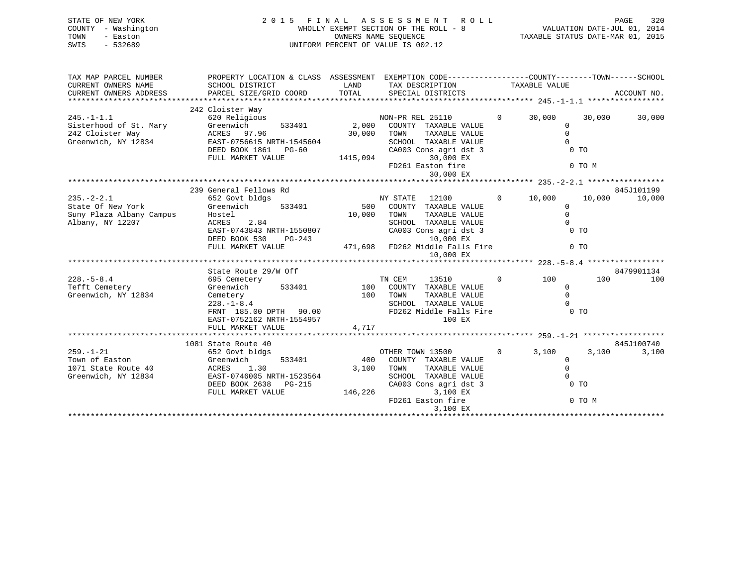| STATE OF NEW YORK<br>COUNTY - Washington<br>- Easton<br>TOWN<br>$-532689$<br>SWIS     | 2015 FINAL ASSESSMENT<br><b>ROLL</b><br>WHOLLY EXEMPT SECTION OF THE ROLL - 8<br>OWNERS NAME SEQUENCE<br>UNIFORM PERCENT OF VALUE IS 002.12        |                             |                                                                                                                                                                                  |                          |                                                                           | PAGE<br>320<br>VALUATION DATE-JUL 01, 2014<br>TAXABLE STATUS DATE-MAR 01, 2015 |
|---------------------------------------------------------------------------------------|----------------------------------------------------------------------------------------------------------------------------------------------------|-----------------------------|----------------------------------------------------------------------------------------------------------------------------------------------------------------------------------|--------------------------|---------------------------------------------------------------------------|--------------------------------------------------------------------------------|
| TAX MAP PARCEL NUMBER                                                                 | PROPERTY LOCATION & CLASS ASSESSMENT EXEMPTION CODE----------------COUNTY-------TOWN------SCHOOL                                                   |                             |                                                                                                                                                                                  |                          |                                                                           |                                                                                |
| CURRENT OWNERS NAME<br>CURRENT OWNERS ADDRESS                                         | SCHOOL DISTRICT<br>PARCEL SIZE/GRID COORD                                                                                                          | LAND<br>TOTAL               | TAX DESCRIPTION<br>SPECIAL DISTRICTS                                                                                                                                             | TAXABLE VALUE            |                                                                           | ACCOUNT NO.                                                                    |
|                                                                                       | 242 Cloister Way                                                                                                                                   |                             |                                                                                                                                                                                  |                          |                                                                           |                                                                                |
| $245. - 1 - 1.1$<br>Sisterhood of St. Mary<br>242 Cloister Way<br>Greenwich, NY 12834 | 620 Religious<br>Greenwich<br>533401<br>ACRES 97.96<br>EAST-0756615 NRTH-1545604<br>DEED BOOK 1861 PG-60<br>FULL MARKET VALUE                      | 2,000<br>30,000<br>1415,094 | NON-PR REL 25110<br>COUNTY TAXABLE VALUE<br>TAXABLE VALUE<br>TOWN<br>SCHOOL TAXABLE VALUE<br>CA003 Cons agri dst 3<br>30,000 EX                                                  | $\overline{0}$<br>30,000 | 30,000<br>$\mathbf 0$<br>$\mathbf 0$<br>$\Omega$<br>$0$ TO                | 30,000                                                                         |
|                                                                                       |                                                                                                                                                    |                             | FD261 Easton fire<br>30,000 EX                                                                                                                                                   |                          | 0 TO M                                                                    |                                                                                |
|                                                                                       | 239 General Fellows Rd                                                                                                                             |                             |                                                                                                                                                                                  |                          |                                                                           | 845J101199                                                                     |
| $235. - 2 - 2.1$<br>State Of New York<br>Suny Plaza Albany Campus<br>Albany, NY 12207 | 652 Govt bldgs<br>Greenwich<br>533401<br>Hostel<br>ACRES<br>2.84<br>EAST-0743843 NRTH-1550807<br>DEED BOOK 530<br>PG-243<br>FULL MARKET VALUE      | 500<br>10,000               | NY STATE<br>12100<br>COUNTY TAXABLE VALUE<br>TAXABLE VALUE<br>TOWN<br>SCHOOL TAXABLE VALUE<br>CA003 Cons agri dst 3<br>10,000 EX<br>471,698 FD262 Middle Falls Fire<br>10,000 EX | $\mathbf{0}$<br>10,000   | 10,000<br>$\mathbf 0$<br>$\Omega$<br>$\Omega$<br>$0$ TO<br>0 <sub>T</sub> | 10,000                                                                         |
|                                                                                       |                                                                                                                                                    |                             |                                                                                                                                                                                  |                          |                                                                           |                                                                                |
| $228. - 5 - 8.4$<br>Tefft Cemetery<br>Greenwich, NY 12834                             | State Route 29/W Off<br>695 Cemetery<br>Greenwich<br>533401<br>Cemetery<br>$228. - 1 - 8.4$<br>FRNT 185.00 DPTH 90.00<br>EAST-0752162 NRTH-1554957 | 100<br>100<br>4,717         | 13510<br>TN CEM<br>COUNTY TAXABLE VALUE<br>TOWN<br>TAXABLE VALUE<br>SCHOOL TAXABLE VALUE<br>FD262 Middle Falls Fire<br>100 EX                                                    | $\Omega$<br>100          | 100<br>$\Omega$<br>$\Omega$<br>0 <sub>T</sub>                             | 8479901134<br>100                                                              |
|                                                                                       | FULL MARKET VALUE                                                                                                                                  |                             |                                                                                                                                                                                  |                          |                                                                           |                                                                                |
|                                                                                       | 1081 State Route 40                                                                                                                                |                             |                                                                                                                                                                                  |                          |                                                                           | 845J100740                                                                     |
| $259. - 1 - 21$<br>Town of Easton<br>1071 State Route 40<br>Greenwich, NY 12834       | 652 Govt bldgs<br>533401<br>Greenwich<br>ACRES<br>1.30<br>EAST-0746005 NRTH-1523564<br>DEED BOOK 2638<br>PG-215<br>FULL MARKET VALUE               | 400<br>3,100<br>146,226     | OTHER TOWN 13500<br>COUNTY TAXABLE VALUE<br>TOWN<br>TAXABLE VALUE<br>SCHOOL TAXABLE VALUE<br>CA003 Cons agri dst 3<br>3,100 EX                                                   | $\Omega$<br>3,100        | 3,100<br>$\Omega$<br>$\Omega$<br>0 <sub>T</sub>                           | 3,100                                                                          |
|                                                                                       |                                                                                                                                                    |                             | FD261 Easton fire                                                                                                                                                                |                          | 0 TO M                                                                    |                                                                                |

3,100 EX \*\*\*\*\*\*\*\*\*\*\*\*\*\*\*\*\*\*\*\*\*\*\*\*\*\*\*\*\*\*\*\*\*\*\*\*\*\*\*\*\*\*\*\*\*\*\*\*\*\*\*\*\*\*\*\*\*\*\*\*\*\*\*\*\*\*\*\*\*\*\*\*\*\*\*\*\*\*\*\*\*\*\*\*\*\*\*\*\*\*\*\*\*\*\*\*\*\*\*\*\*\*\*\*\*\*\*\*\*\*\*\*\*\*\*\*\*\*\*\*\*\*\*\*\*\*\*\*\*\*\*\*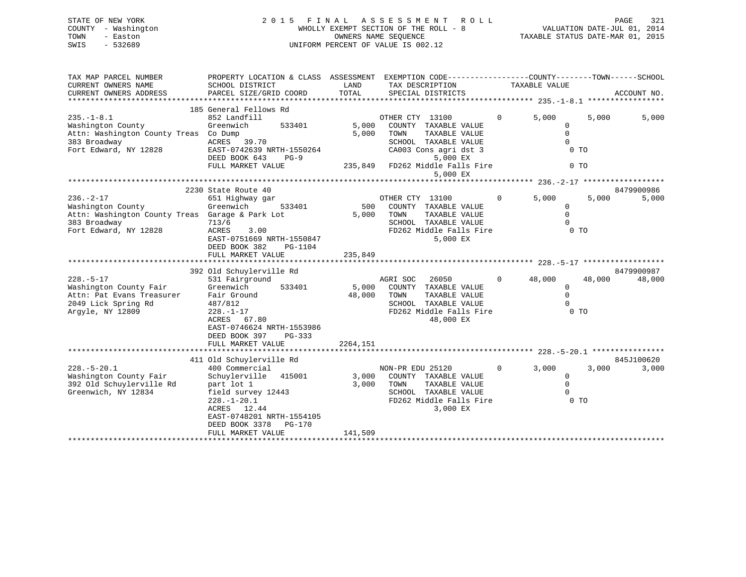# STATE OF NEW YORK 2 0 1 5 F I N A L A S S E S S M E N T R O L L PAGE 321 COUNTY - Washington WHOLLY EXEMPT SECTION OF THE ROLL - 8 VALUATION DATE-JUL 01, 2014 TOWN - Easton CONNERS NAME SEQUENCE TAXABLE STATUS DATE-MAR 01, 2015<br>SWIS - 532689 SWIS - 532689 UNIFORM PERCENT OF VALUE IS 002.12

| TAX MAP PARCEL NUMBER                                                   | PROPERTY LOCATION & CLASS ASSESSMENT EXEMPTION CODE---------------COUNTY-------TOWN------SCHOOL |          |                                               |               |                              |                |             |
|-------------------------------------------------------------------------|-------------------------------------------------------------------------------------------------|----------|-----------------------------------------------|---------------|------------------------------|----------------|-------------|
| CURRENT OWNERS NAME                                                     | SCHOOL DISTRICT                                                                                 | LAND     | TAX DESCRIPTION<br>TOTAL<br>SPECIAL DISTRICTS |               | TAXABLE VALUE                |                |             |
| CURRENT OWNERS ADDRESS                                                  | PARCEL SIZE/GRID COORD                                                                          |          |                                               |               |                              |                | ACCOUNT NO. |
|                                                                         | 185 General Fellows Rd                                                                          |          |                                               |               |                              |                |             |
| $235. -1 - 8.1$                                                         | 852 Landfill                                                                                    |          | OTHER CTY 13100                               | $\mathbf{0}$  | 5.000                        | 5.000          | 5,000       |
| Washington County                                                       | Greenwich<br>533401                                                                             | 5,000    | COUNTY TAXABLE VALUE                          |               | $\mathbf{0}$                 |                |             |
| Attn: Washington County Treas Co Dump                                   |                                                                                                 | 5,000    | TOWN                                          | TAXABLE VALUE | $\Omega$                     |                |             |
| 383 Broadway                                                            | ACRES 39.70                                                                                     |          | SCHOOL TAXABLE VALUE                          |               | $\mathbf 0$                  |                |             |
| Fort Edward, NY 12828                                                   | EAST-0742639 NRTH-1550264                                                                       |          | CA003 Cons agri dst 3                         |               | 0 <sub>T</sub>               |                |             |
|                                                                         | DEED BOOK 643<br>$PG-9$                                                                         |          |                                               | 5,000 EX      |                              |                |             |
|                                                                         | FULL MARKET VALUE                                                                               |          | 235,849 FD262 Middle Falls Fire               |               |                              | 0 <sub>T</sub> |             |
|                                                                         |                                                                                                 |          |                                               | 5,000 EX      |                              |                |             |
|                                                                         |                                                                                                 |          |                                               |               |                              |                |             |
|                                                                         | 2230 State Route 40                                                                             |          |                                               |               |                              |                | 8479900986  |
| $236. - 2 - 17$                                                         | 651 Highway gar                                                                                 |          | OTHER CTY 13100                               | $\mathbf{0}$  | 5,000                        | 5,000          | 5,000       |
| Washington County                                                       | Greenwich<br>533401                                                                             | 500      | COUNTY TAXABLE VALUE                          |               | $\mathbf{0}$                 |                |             |
| Attn: Washington County Treas Garage & Park Lot                         |                                                                                                 | 5,000    | TOWN                                          | TAXABLE VALUE | $\Omega$                     |                |             |
| 383 Broadway                                                            | 713/6                                                                                           |          | SCHOOL TAXABLE VALUE                          |               | $\Omega$                     |                |             |
| Fort Edward, NY 12828                                                   | ACRES<br>3.00                                                                                   |          | FD262 Middle Falls Fire                       |               |                              | $0$ TO         |             |
|                                                                         | EAST-0751669 NRTH-1550847                                                                       |          |                                               | 5,000 EX      |                              |                |             |
|                                                                         | DEED BOOK 382<br>PG-1104                                                                        |          |                                               |               |                              |                |             |
|                                                                         | FULL MARKET VALUE                                                                               | 235,849  |                                               |               |                              |                |             |
|                                                                         | 392 Old Schuylerville Rd                                                                        |          |                                               |               |                              |                | 8479900987  |
| $228. - 5 - 17$                                                         | 531 Fairground                                                                                  |          | AGRI SOC<br>26050                             |               | $\overline{0}$<br>48,000     | 48,000         | 48,000      |
| Washington County Fair                                                  | Greenwich<br>533401                                                                             | 5,000    | COUNTY TAXABLE VALUE                          |               | $\mathbf{0}$                 |                |             |
|                                                                         | Fair Ground                                                                                     | 48,000   | TOWN                                          | TAXABLE VALUE | $\mathbf 0$                  |                |             |
| Attn: Pat Evans Treasurer<br>2049 Lick Spring Rd<br>2049 Lick Spring Rd | 487/812                                                                                         |          | SCHOOL TAXABLE VALUE                          |               | $\bigcirc$                   |                |             |
| Argyle, NY 12809                                                        | $228. - 1 - 17$                                                                                 |          |                                               |               | FD262 Middle Falls Fire 0 TO |                |             |
|                                                                         | ACRES 67.80                                                                                     |          |                                               | 48,000 EX     |                              |                |             |
|                                                                         | EAST-0746624 NRTH-1553986                                                                       |          |                                               |               |                              |                |             |
|                                                                         | DEED BOOK 397<br>PG-333                                                                         |          |                                               |               |                              |                |             |
|                                                                         | FULL MARKET VALUE                                                                               | 2264,151 |                                               |               |                              |                |             |
|                                                                         |                                                                                                 |          |                                               |               |                              |                |             |
|                                                                         | 411 Old Schuylerville Rd                                                                        |          |                                               |               |                              |                | 845J100620  |
| $228. - 5 - 20.1$                                                       | 400 Commercial                                                                                  |          | NON-PR EDU 25120                              |               | $0 \qquad \qquad$<br>3,000   | 3,000          | 3,000       |
| Washington County Fair                                                  | Schuylerville 415001 3,000                                                                      |          | COUNTY TAXABLE VALUE                          |               | $\mathbf{0}$                 |                |             |
| 392 Old Schuylerville Rd                                                | part lot 1                                                                                      | 3,000    | TOWN                                          | TAXABLE VALUE | $\mathbf 0$                  |                |             |
| Greenwich, NY 12834                                                     | field survey 12443                                                                              |          | SCHOOL TAXABLE VALUE                          |               | $\mathbf 0$                  |                |             |
|                                                                         | $228. - 1 - 20.1$                                                                               |          | FD262 Middle Falls Fire                       |               | 0 <sub>T</sub>               |                |             |
|                                                                         | ACRES 12.44                                                                                     |          |                                               | 3,000 EX      |                              |                |             |
|                                                                         | EAST-0748201 NRTH-1554105                                                                       |          |                                               |               |                              |                |             |
|                                                                         | DEED BOOK 3378 PG-170                                                                           |          |                                               |               |                              |                |             |
|                                                                         | FULL MARKET VALUE                                                                               | 141,509  |                                               |               |                              |                |             |
|                                                                         |                                                                                                 |          |                                               |               |                              |                |             |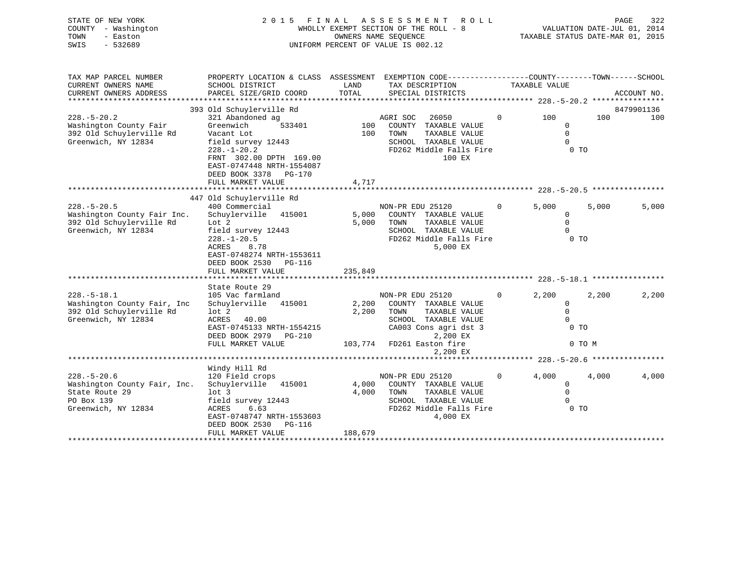| STATE OF NEW YORK<br>COUNTY - Washington<br>TOWN<br>- Easton<br>$-532689$<br>SWIS | 2 0 1 5                                                                                         | FINAL         | A S S E S S M E N T<br><b>ROLL</b><br>WHOLLY EXEMPT SECTION OF THE ROLL - 8<br>OWNERS NAME SEQUENCE<br>UNIFORM PERCENT OF VALUE IS 002.12 |          | TAXABLE STATUS DATE-MAR 01, 2015 |        | PAGE<br>322<br>VALUATION DATE-JUL 01, 2014 |
|-----------------------------------------------------------------------------------|-------------------------------------------------------------------------------------------------|---------------|-------------------------------------------------------------------------------------------------------------------------------------------|----------|----------------------------------|--------|--------------------------------------------|
| TAX MAP PARCEL NUMBER                                                             | PROPERTY LOCATION & CLASS ASSESSMENT EXEMPTION CODE---------------COUNTY-------TOWN------SCHOOL |               |                                                                                                                                           |          |                                  |        |                                            |
| CURRENT OWNERS NAME<br>CURRENT OWNERS ADDRESS                                     | SCHOOL DISTRICT<br>PARCEL SIZE/GRID COORD                                                       | LAND<br>TOTAL | TAX DESCRIPTION<br>SPECIAL DISTRICTS                                                                                                      |          | TAXABLE VALUE                    |        | ACCOUNT NO.                                |
|                                                                                   |                                                                                                 |               |                                                                                                                                           |          |                                  |        |                                            |
|                                                                                   | 393 Old Schuylerville Rd                                                                        |               |                                                                                                                                           |          |                                  |        | 8479901136                                 |
| $228. - 5 - 20.2$                                                                 | 321 Abandoned ag                                                                                |               | AGRI SOC<br>26050                                                                                                                         | $\Omega$ | 100                              | 100    | 100                                        |
| Washington County Fair                                                            | Greenwich<br>533401                                                                             | 100           | COUNTY TAXABLE VALUE                                                                                                                      |          | 0                                |        |                                            |
| 392 Old Schuylerville Rd<br>Greenwich, NY 12834                                   | Vacant Lot<br>field survey 12443                                                                | 100           | TOWN<br>TAXABLE VALUE<br>SCHOOL TAXABLE VALUE                                                                                             |          | $\Omega$<br>$\Omega$             |        |                                            |
|                                                                                   | $228. - 1 - 20.2$                                                                               |               | FD262 Middle Falls Fire                                                                                                                   |          | 0 <sub>T</sub>                   |        |                                            |
|                                                                                   | FRNT 302.00 DPTH 169.00                                                                         |               | 100 EX                                                                                                                                    |          |                                  |        |                                            |
|                                                                                   | EAST-0747448 NRTH-1554087                                                                       |               |                                                                                                                                           |          |                                  |        |                                            |
|                                                                                   | DEED BOOK 3378 PG-170                                                                           |               |                                                                                                                                           |          |                                  |        |                                            |
|                                                                                   | FULL MARKET VALUE                                                                               | 4,717         |                                                                                                                                           |          |                                  |        |                                            |
|                                                                                   | 447 Old Schuylerville Rd                                                                        |               |                                                                                                                                           |          |                                  |        |                                            |
| $228. - 5 - 20.5$                                                                 | 400 Commercial                                                                                  |               | NON-PR EDU 25120                                                                                                                          | $\Omega$ | 5,000                            | 5.000  | 5,000                                      |
| Washington County Fair Inc.                                                       | Schuylerville 415001                                                                            | 5,000         | COUNTY TAXABLE VALUE                                                                                                                      |          | $\mathbf{0}$                     |        |                                            |
| 392 Old Schuylerville Rd                                                          | Lot $2$                                                                                         | 5,000         | TOWN<br>TAXABLE VALUE                                                                                                                     |          | $\Omega$                         |        |                                            |
| Greenwich, NY 12834                                                               | field survey 12443                                                                              |               | SCHOOL TAXABLE VALUE                                                                                                                      |          | $\Omega$                         |        |                                            |
|                                                                                   | $228. - 1 - 20.5$<br><b>ACRES</b><br>8.78                                                       |               | FD262 Middle Falls Fire<br>5,000 EX                                                                                                       |          | 0 <sub>T</sub>                   |        |                                            |
|                                                                                   | EAST-0748274 NRTH-1553611                                                                       |               |                                                                                                                                           |          |                                  |        |                                            |
|                                                                                   | DEED BOOK 2530 PG-116                                                                           |               |                                                                                                                                           |          |                                  |        |                                            |
|                                                                                   | FULL MARKET VALUE                                                                               | 235,849       |                                                                                                                                           |          |                                  |        |                                            |
|                                                                                   |                                                                                                 |               |                                                                                                                                           |          |                                  |        |                                            |
| $228. - 5 - 18.1$                                                                 | State Route 29                                                                                  |               |                                                                                                                                           | 0        |                                  |        |                                            |
| Washington County Fair, Inc                                                       | 105 Vac farmland<br>Schuylerville 415001                                                        | 2,200         | NON-PR EDU 25120<br>COUNTY TAXABLE VALUE                                                                                                  |          | 2,200<br>$\mathbf 0$             | 2,200  | 2,200                                      |
| 392 Old Schuylerville Rd                                                          | $1$ ot $2$                                                                                      | 2,200         | TOWN<br>TAXABLE VALUE                                                                                                                     |          | $\mathbf 0$                      |        |                                            |
| Greenwich, NY 12834                                                               | <b>ACRES</b><br>40.00                                                                           |               | SCHOOL TAXABLE VALUE                                                                                                                      |          | $\Omega$                         |        |                                            |
|                                                                                   | EAST-0745133 NRTH-1554215                                                                       |               | CA003 Cons agri dst 3                                                                                                                     |          | 0 <sub>T</sub>                   |        |                                            |
|                                                                                   | DEED BOOK 2979 PG-210                                                                           |               | 2,200 EX                                                                                                                                  |          |                                  |        |                                            |
|                                                                                   | FULL MARKET VALUE                                                                               | 103,774       | FD261 Easton fire<br>2,200 EX                                                                                                             |          |                                  | 0 TO M |                                            |
|                                                                                   |                                                                                                 |               |                                                                                                                                           |          |                                  |        |                                            |
|                                                                                   | Windy Hill Rd                                                                                   |               |                                                                                                                                           |          |                                  |        |                                            |
| $228. - 5 - 20.6$                                                                 | 120 Field crops                                                                                 |               | NON-PR EDU 25120                                                                                                                          | $\Omega$ | 4,000                            | 4,000  | 4,000                                      |
| Washington County Fair, Inc.                                                      | Schuylerville 415001                                                                            | 4,000         | COUNTY TAXABLE VALUE                                                                                                                      |          | 0                                |        |                                            |
| State Route 29<br>PO Box 139                                                      | lot <sub>3</sub><br>field survey 12443                                                          | 4,000         | TOWN<br>TAXABLE VALUE<br>SCHOOL TAXABLE VALUE                                                                                             |          | $\Omega$<br>$\Omega$             |        |                                            |
| Greenwich, NY 12834                                                               | <b>ACRES</b><br>6.63                                                                            |               | FD262 Middle Falls Fire                                                                                                                   |          | 0 <sub>T</sub>                   |        |                                            |
|                                                                                   | EAST-0748747 NRTH-1553603                                                                       |               | 4,000 EX                                                                                                                                  |          |                                  |        |                                            |
|                                                                                   | DEED BOOK 2530<br>PG-116                                                                        |               |                                                                                                                                           |          |                                  |        |                                            |

\*\*\*\*\*\*\*\*\*\*\*\*\*\*\*\*\*\*\*\*\*\*\*\*\*\*\*\*\*\*\*\*\*\*\*\*\*\*\*\*\*\*\*\*\*\*\*\*\*\*\*\*\*\*\*\*\*\*\*\*\*\*\*\*\*\*\*\*\*\*\*\*\*\*\*\*\*\*\*\*\*\*\*\*\*\*\*\*\*\*\*\*\*\*\*\*\*\*\*\*\*\*\*\*\*\*\*\*\*\*\*\*\*\*\*\*\*\*\*\*\*\*\*\*\*\*\*\*\*\*\*\*

FULL MARKET VALUE 188,679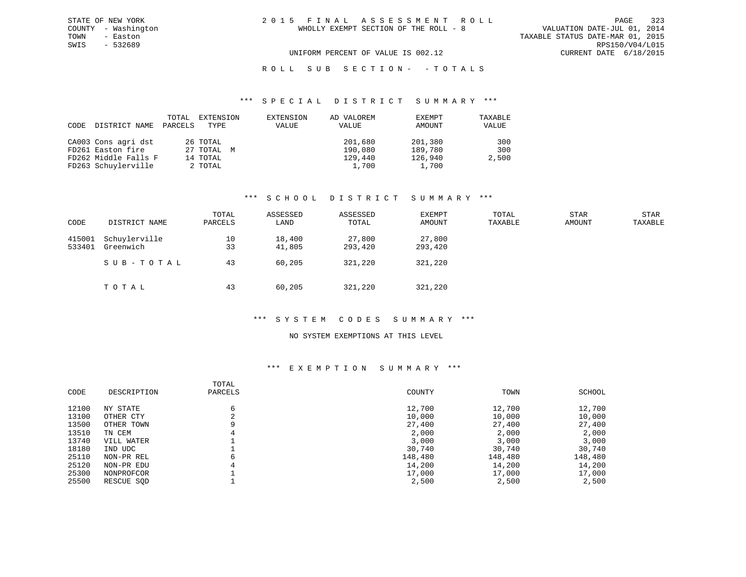# R O L L S U B S E C T I O N - - T O T A L S

#### \*\*\* S P E C I A L D I S T R I C T S U M M A R Y \*\*\*

| CODE | DISTRICT NAME        | TOTAL<br>PARCELS | EXTENSION<br>TYPE | EXTENSION<br>VALUE | AD VALOREM<br>VALUE | EXEMPT<br>AMOUNT | TAXABLE<br>VALUE |
|------|----------------------|------------------|-------------------|--------------------|---------------------|------------------|------------------|
|      | CA003 Cons agri dst  |                  | 26 TOTAL          |                    | 201,680             | 201,380          | 300              |
|      | FD261 Easton fire    |                  | 27 TOTAL M        |                    | 190,080             | 189,780          | 300              |
|      | FD262 Middle Falls F |                  | 14 TOTAL          |                    | 129,440             | 126,940          | 2,500            |
|      | FD263 Schuylerville  |                  | 2 TOTAL           |                    | 1,700               | 1,700            |                  |

## \*\*\* S C H O O L D I S T R I C T S U M M A R Y \*\*\*

| CODE             | DISTRICT NAME              | TOTAL<br>PARCELS | ASSESSED<br>LAND | ASSESSED<br>TOTAL | EXEMPT<br>AMOUNT  | TOTAL<br>TAXABLE | STAR<br>AMOUNT | STAR<br>TAXABLE |
|------------------|----------------------------|------------------|------------------|-------------------|-------------------|------------------|----------------|-----------------|
| 415001<br>533401 | Schuylerville<br>Greenwich | 10<br>33         | 18,400<br>41,805 | 27,800<br>293,420 | 27,800<br>293,420 |                  |                |                 |
|                  | SUB-TOTAL                  | 43               | 60,205           | 321,220           | 321,220           |                  |                |                 |
|                  | TOTAL                      | 43               | 60,205           | 321,220           | 321,220           |                  |                |                 |

## \*\*\* S Y S T E M C O D E S S U M M A R Y \*\*\*

#### NO SYSTEM EXEMPTIONS AT THIS LEVEL

## \*\*\* E X E M P T I O N S U M M A R Y \*\*\*

| CODE  | DESCRIPTION | TOTAL<br>PARCELS | COUNTY  | TOWN    | SCHOOL  |
|-------|-------------|------------------|---------|---------|---------|
| 12100 | NY STATE    | 6                | 12,700  | 12,700  | 12,700  |
| 13100 | OTHER CTY   |                  | 10,000  | 10,000  | 10,000  |
| 13500 | OTHER TOWN  |                  | 27,400  | 27,400  | 27,400  |
| 13510 | TN CEM      |                  | 2,000   | 2,000   | 2,000   |
| 13740 | VILL WATER  |                  | 3,000   | 3,000   | 3,000   |
| 18180 | IND UDC     |                  | 30,740  | 30,740  | 30,740  |
| 25110 | NON-PR REL  | 6                | 148,480 | 148,480 | 148,480 |
| 25120 | NON-PR EDU  |                  | 14,200  | 14,200  | 14,200  |
| 25300 | NONPROFCOR  |                  | 17,000  | 17,000  | 17,000  |
| 25500 | RESCUE SOD  |                  | 2,500   | 2,500   | 2,500   |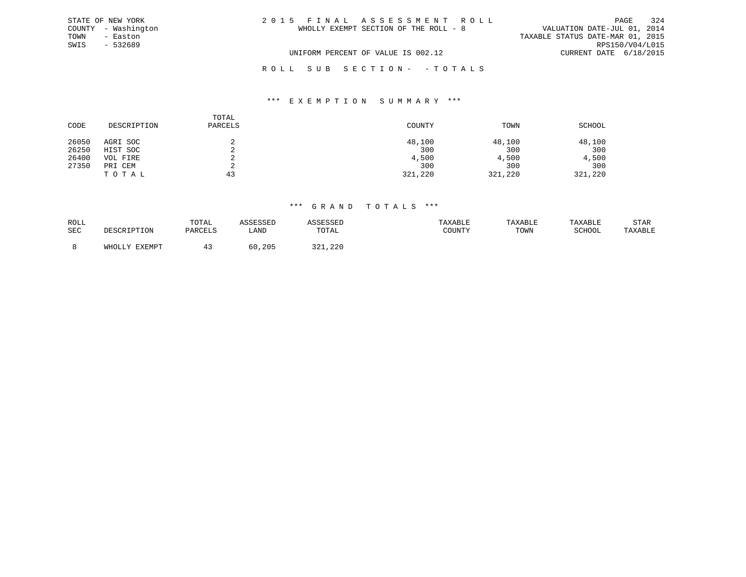| STATE OF NEW YORK   | 2015 FINAL ASSESSMENT ROLL            | 324<br>PAGE                      |
|---------------------|---------------------------------------|----------------------------------|
| COUNTY - Washington | WHOLLY EXEMPT SECTION OF THE ROLL - 8 | VALUATION DATE-JUL 01, 2014      |
| TOWN<br>- Easton    |                                       | TAXABLE STATUS DATE-MAR 01, 2015 |
| SWIS<br>$-532689$   |                                       | RPS150/V04/L015                  |
|                     | UNIFORM PERCENT OF VALUE IS 002.12    | CURRENT DATE 6/18/2015           |
|                     | ROLL SUB SECTION- -TOTALS             |                                  |

#### \*\*\* E X E M P T I O N S U M M A R Y \*\*\*

| CODE  | DESCRIPTION | TOTAL<br>PARCELS | COUNTY  | TOWN    | SCHOOL  |
|-------|-------------|------------------|---------|---------|---------|
| 26050 | AGRI SOC    |                  | 48,100  | 48,100  | 48,100  |
| 26250 | HIST SOC    | ∠                | 300     | 300     | 300     |
| 26400 | VOL FIRE    | ∠                | 4,500   | 4,500   | 4,500   |
| 27350 | PRI CEM     |                  | 300     | 300     | 300     |
|       | TOTAL       | 43               | 321,220 | 321,220 | 321,220 |

| ROLL |                 | TOTAL   | <b>CCTCCT</b> |                 | TAXABLE | TAXABLE | <b>TAXABLE</b> | STAR    |
|------|-----------------|---------|---------------|-----------------|---------|---------|----------------|---------|
| SEC  | ים הח           | PARCELS | ∟AND          | TOTAL           | COUNTY  | TOWN    | SCHOOL         | TAXABLE |
|      | EXEMPT<br>WHOLL |         | , 205         | ור ה<br>321,220 |         |         |                |         |
|      |                 |         |               |                 |         |         |                |         |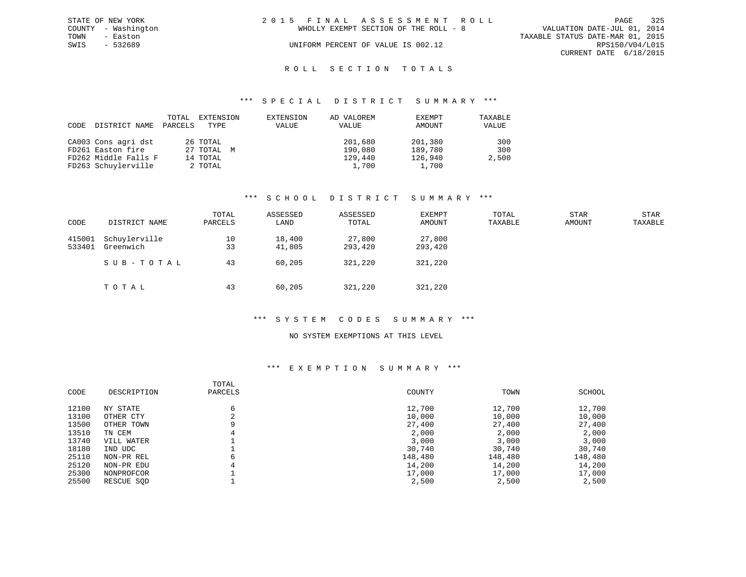|      | STATE OF NEW YORK   | 2015 FINAL ASSESSMENT ROLL            | 325<br>PAGE                      |
|------|---------------------|---------------------------------------|----------------------------------|
|      | COUNTY - Washington | WHOLLY EXEMPT SECTION OF THE ROLL - 8 | VALUATION DATE-JUL 01, 2014      |
| TOWN | - Easton            |                                       | TAXABLE STATUS DATE-MAR 01, 2015 |
| SWIS | - 532689            | UNIFORM PERCENT OF VALUE IS 002.12    | RPS150/V04/L015                  |
|      |                     |                                       | CURRENT DATE 6/18/2015           |
|      |                     |                                       |                                  |

# ROLL SECTION TOTALS

#### \*\*\* S P E C I A L D I S T R I C T S U M M A R Y \*\*\*

| CODE | DISTRICT NAME        | TOTAL<br>PARCELS | EXTENSION<br>TYPE | EXTENSION<br>VALUE | AD VALOREM<br>VALUE | EXEMPT<br>AMOUNT | TAXABLE<br>VALUE |
|------|----------------------|------------------|-------------------|--------------------|---------------------|------------------|------------------|
|      | CA003 Cons agri dst  |                  | 26 TOTAL          |                    | 201,680             | 201,380          | 300              |
|      | FD261 Easton fire    |                  | 27 TOTAL M        |                    | 190,080             | 189,780          | 300              |
|      | FD262 Middle Falls F |                  | 14 TOTAL          |                    | 129,440             | 126,940          | 2,500            |
|      | FD263 Schuylerville  |                  | 2 TOTAL           |                    | 1,700               | 1,700            |                  |

## \*\*\* S C H O O L D I S T R I C T S U M M A R Y \*\*\*

| CODE             | DISTRICT NAME              | TOTAL<br>PARCELS | ASSESSED<br>LAND | ASSESSED<br>TOTAL | EXEMPT<br>AMOUNT  | TOTAL<br>TAXABLE | <b>STAR</b><br><b>AMOUNT</b> | <b>STAR</b><br>TAXABLE |
|------------------|----------------------------|------------------|------------------|-------------------|-------------------|------------------|------------------------------|------------------------|
| 415001<br>533401 | Schuylerville<br>Greenwich | 10<br>33         | 18,400<br>41,805 | 27,800<br>293,420 | 27,800<br>293,420 |                  |                              |                        |
|                  | SUB-TOTAL                  | 43               | 60,205           | 321,220           | 321,220           |                  |                              |                        |
|                  | TOTAL                      | 43               | 60,205           | 321,220           | 321,220           |                  |                              |                        |

#### \*\*\* S Y S T E M C O D E S S U M M A R Y \*\*\*

#### NO SYSTEM EXEMPTIONS AT THIS LEVEL

|       |             | TOTAL       |         |         |         |
|-------|-------------|-------------|---------|---------|---------|
| CODE  | DESCRIPTION | PARCELS     | COUNTY  | TOWN    | SCHOOL  |
| 12100 | NY STATE    | 6           | 12,700  | 12,700  | 12,700  |
| 13100 | OTHER CTY   | $\sim$<br>∠ | 10,000  | 10,000  | 10,000  |
| 13500 | OTHER TOWN  | 9           | 27,400  | 27,400  | 27,400  |
| 13510 | TN CEM      | 4           | 2,000   | 2,000   | 2,000   |
| 13740 | VILL WATER  |             | 3,000   | 3,000   | 3,000   |
| 18180 | IND UDC     |             | 30,740  | 30,740  | 30,740  |
| 25110 | NON-PR REL  | 6           | 148,480 | 148,480 | 148,480 |
| 25120 | NON-PR EDU  | 4           | 14,200  | 14,200  | 14,200  |
| 25300 | NONPROFCOR  |             | 17,000  | 17,000  | 17,000  |
| 25500 | RESCUE SOD  |             | 2,500   | 2,500   | 2,500   |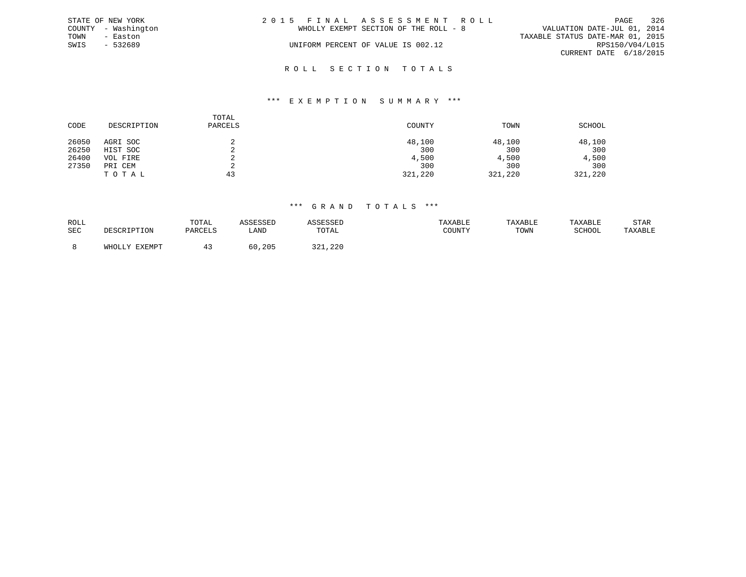|      | STATE OF NEW YORK   | 2015 FINAL ASSESSMENT ROLL            | 326<br>PAGE                      |
|------|---------------------|---------------------------------------|----------------------------------|
|      | COUNTY - Washington | WHOLLY EXEMPT SECTION OF THE ROLL - 8 | VALUATION DATE-JUL 01, 2014      |
| TOWN | - Easton            |                                       | TAXABLE STATUS DATE-MAR 01, 2015 |
| SWIS | $-532689$           | UNIFORM PERCENT OF VALUE IS 002.12    | RPS150/V04/L015                  |
|      |                     |                                       | CURRENT DATE 6/18/2015           |
|      |                     |                                       |                                  |

# R O L L S E C T I O N T O T A L S

#### \*\*\* E X E M P T I O N S U M M A R Y \*\*\*

| CODE  | DESCRIPTION | TOTAL<br>PARCELS | COUNTY  | TOWN    | SCHOOL  |
|-------|-------------|------------------|---------|---------|---------|
| 26050 | AGRI SOC    |                  | 48,100  | 48,100  | 48,100  |
| 26250 | HIST SOC    |                  | 300     | 300     | 300     |
| 26400 | VOL FIRE    |                  | 4,500   | 4,500   | 4,500   |
| 27350 | PRI CEM     |                  | 300     | 300     | 300     |
|       | TOTAL       | 43               | 321,220 | 321,220 | 321,220 |

#### \*\*\* G R A N D T O T A L S \*\*\*

| ROLL       | TOTAL   |              |                       | TAXABLE | <b>TAXABL.</b> |        | STAR    |
|------------|---------|--------------|-----------------------|---------|----------------|--------|---------|
| <b>SEC</b> | PARCELS | LANI         | TOTAL                 | : בוטע  | TOWN           | SCHOOL | TAXABLE |
|            |         |              |                       |         |                |        |         |
|            |         | , 205<br>6 G | 221.<br>J 4 1 7 4 4 U |         |                |        |         |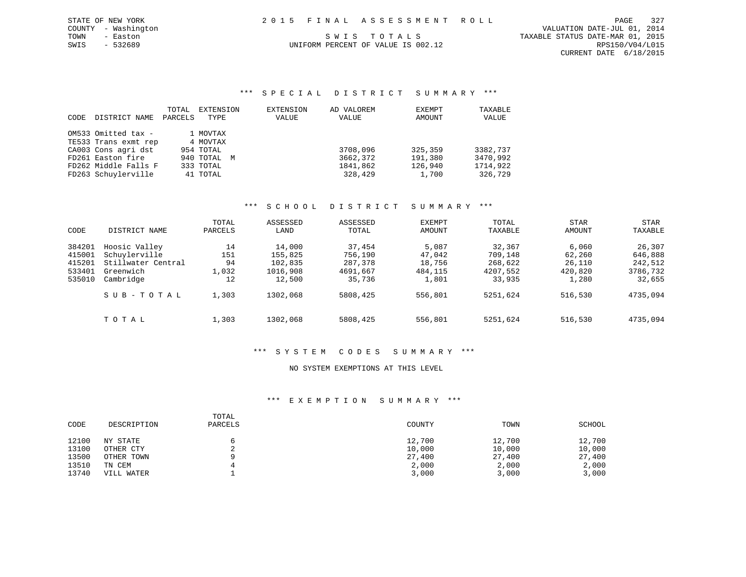|  |  |  |  |  | 2015 FINAL ASSESSMENT ROLL |  |  |  |  |  |  |  |  |  |  |
|--|--|--|--|--|----------------------------|--|--|--|--|--|--|--|--|--|--|
|  |  |  |  |  |                            |  |  |  |  |  |  |  |  |  |  |

PAGE 327 CURRENT DATE 6/18/2015

# COUNTY - Washington VALUATION DATE-JUL 01, 2014 TOWN - Easton SWIS TO TALS TO THE STATUS DATE-MAR 01, 2015

# SWIS - 532689 UNIFORM PERCENT OF VALUE IS 002.12 RPS150/V04/L015

STATE OF NEW YORK

# \*\*\* S P E C I A L D I S T R I C T S U M M A R Y \*\*\*

|      |                      | TOTAL   | EXTENSION   | EXTENSION | AD VALOREM | EXEMPT  | TAXABLE  |
|------|----------------------|---------|-------------|-----------|------------|---------|----------|
| CODE | DISTRICT NAME        | PARCELS | TYPE        | VALUE     | VALUE      | AMOUNT  | VALUE    |
|      | OM533 Omitted tax -  |         |             |           |            |         |          |
|      |                      |         | 1 MOVTAX    |           |            |         |          |
|      | TE533 Trans exmt rep |         | 4 MOVTAX    |           |            |         |          |
|      | CA003 Cons agri dst  |         | 954 TOTAL   |           | 3708,096   | 325,359 | 3382,737 |
|      | FD261 Easton fire    |         | 940 TOTAL M |           | 3662,372   | 191,380 | 3470,992 |
|      | FD262 Middle Falls F |         | 333 TOTAL   |           | 1841,862   | 126,940 | 1714,922 |
|      | FD263 Schuylerville  |         | 41 TOTAL    |           | 328,429    | 1,700   | 326,729  |

# \*\*\* S C H O O L D I S T R I C T S U M M A R Y \*\*\*

|        |                    | TOTAL   | ASSESSED | ASSESSED | <b>EXEMPT</b> | TOTAL    | STAR    | STAR     |
|--------|--------------------|---------|----------|----------|---------------|----------|---------|----------|
| CODE   | DISTRICT NAME      | PARCELS | LAND     | TOTAL    | AMOUNT        | TAXABLE  | AMOUNT  | TAXABLE  |
| 384201 | Hoosic Valley      | 14      | 14,000   | 37,454   | 5,087         | 32,367   | 6,060   | 26,307   |
| 415001 | Schuylerville      | 151     | 155,825  | 756,190  | 47,042        | 709,148  | 62,260  | 646,888  |
| 415201 | Stillwater Central | 94      | 102,835  | 287,378  | 18,756        | 268,622  | 26,110  | 242,512  |
| 533401 | Greenwich          | 1,032   | 1016,908 | 4691,667 | 484,115       | 4207,552 | 420,820 | 3786,732 |
| 535010 | Cambridge          | 12      | 12,500   | 35,736   | 1,801         | 33,935   | 1,280   | 32,655   |
|        | SUB-TOTAL          | 1,303   | 1302,068 | 5808,425 | 556,801       | 5251,624 | 516,530 | 4735,094 |
|        | TOTAL              | 1,303   | 1302,068 | 5808,425 | 556,801       | 5251,624 | 516,530 | 4735,094 |

# \*\*\* S Y S T E M C O D E S S U M M A R Y \*\*\*

# NO SYSTEM EXEMPTIONS AT THIS LEVEL

| CODE  | DESCRIPTION | TOTAL<br>PARCELS | COUNTY | TOWN   | SCHOOL |
|-------|-------------|------------------|--------|--------|--------|
| 12100 | NY STATE    |                  | 12,700 | 12,700 | 12,700 |
| 13100 | OTHER CTY   |                  | 10,000 | 10,000 | 10,000 |
| 13500 | OTHER TOWN  |                  | 27,400 | 27,400 | 27,400 |
| 13510 | TN CEM      |                  | 2,000  | 2,000  | 2,000  |
| 13740 | VILL WATER  |                  | 3,000  | 3,000  | 3,000  |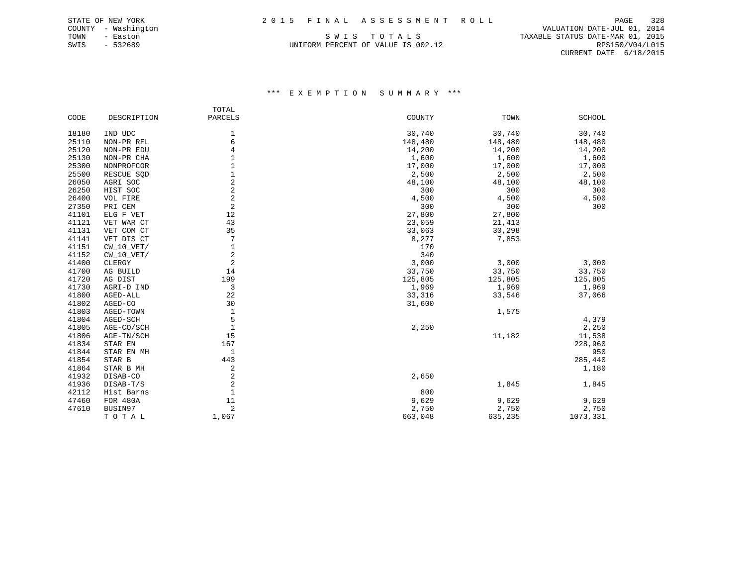TOWN - Easton SWIS TO TALS TO THE STATUS DATE-MAR 01, 2015<br>SWIS - 532689 SWIS - 532689 UNIFORM PERCENT OF VALUE IS 002.12 RPS150/V04/L015

 COUNTY - Washington VALUATION DATE-JUL 01, 2014 CURRENT DATE 6/18/2015

|       |              | TOTAL                   |         |         |               |
|-------|--------------|-------------------------|---------|---------|---------------|
| CODE  | DESCRIPTION  | PARCELS                 | COUNTY  | TOWN    | <b>SCHOOL</b> |
| 18180 | IND UDC      | 1                       | 30,740  | 30,740  | 30,740        |
| 25110 | NON-PR REL   | 6                       | 148,480 | 148,480 | 148,480       |
| 25120 | NON-PR EDU   | 4                       | 14,200  | 14,200  | 14,200        |
| 25130 | NON-PR CHA   |                         | 1,600   | 1,600   | 1,600         |
| 25300 | NONPROFCOR   |                         | 17,000  | 17,000  | 17,000        |
| 25500 | RESCUE SQD   | 1                       | 2,500   | 2,500   | 2,500         |
| 26050 | AGRI SOC     | 2                       | 48,100  | 48,100  | 48,100        |
| 26250 | HIST SOC     | $\overline{2}$          | 300     | 300     | 300           |
| 26400 | VOL FIRE     | $\overline{2}$          | 4,500   | 4,500   | 4,500         |
| 27350 | PRI CEM      | $\overline{\mathbf{c}}$ | 300     | 300     | 300           |
| 41101 | ELG F VET    | 12                      | 27,800  | 27,800  |               |
| 41121 | VET WAR CT   | 43                      | 23,059  | 21,413  |               |
| 41131 | VET COM CT   | 35                      | 33,063  | 30,298  |               |
| 41141 | VET DIS CT   | 7                       | 8,277   | 7,853   |               |
| 41151 | $CW_10_VET/$ | 1                       | 170     |         |               |
| 41152 | $CW_10_VET/$ | 2                       | 340     |         |               |
| 41400 | CLERGY       | 2                       | 3,000   | 3,000   | 3,000         |
| 41700 | AG BUILD     | 14                      | 33,750  | 33,750  | 33,750        |
| 41720 | AG DIST      | 199                     | 125,805 | 125,805 | 125,805       |
| 41730 | AGRI-D IND   | 3                       | 1,969   | 1,969   | 1,969         |
| 41800 | AGED-ALL     | 22                      | 33,316  | 33,546  | 37,066        |
| 41802 | AGED-CO      | 30                      | 31,600  |         |               |
| 41803 | AGED-TOWN    | $\mathbf{1}$            |         | 1,575   |               |
| 41804 | AGED-SCH     | 5                       |         |         | 4,379         |
| 41805 | AGE-CO/SCH   | $\mathbf{1}$            | 2,250   |         | 2,250         |
| 41806 | AGE-TN/SCH   | 15                      |         | 11,182  | 11,538        |
| 41834 | STAR EN      | 167                     |         |         | 228,960       |
| 41844 | STAR EN MH   | 1                       |         |         | 950           |
| 41854 | STAR B       | 443                     |         |         | 285,440       |
| 41864 | STAR B MH    | 2                       |         |         | 1,180         |
| 41932 | DISAB-CO     | 2                       | 2,650   |         |               |
| 41936 | DISAB-T/S    | 2                       |         | 1,845   | 1,845         |
| 42112 | Hist Barns   | $\mathbf{1}$            | 800     |         |               |
| 47460 | FOR 480A     | 11                      | 9,629   | 9,629   | 9,629         |
| 47610 | BUSIN97      | $\overline{2}$          | 2,750   | 2,750   | 2,750         |
|       | TOTAL        | 1,067                   | 663,048 | 635,235 | 1073,331      |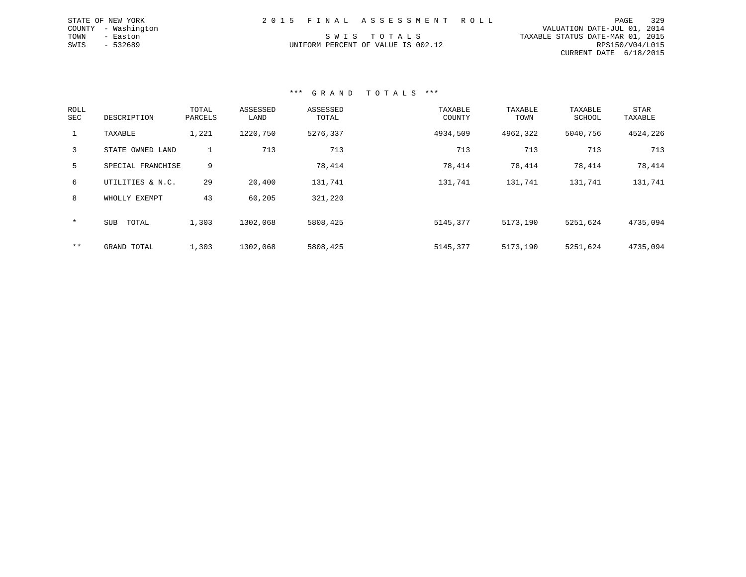|      | STATE OF NEW YORK   |  | 2015 FINAL ASSESSMENT ROLL         |                                  | PAGE            | 329 |
|------|---------------------|--|------------------------------------|----------------------------------|-----------------|-----|
|      | COUNTY - Washington |  |                                    | VALUATION DATE-JUL 01, 2014      |                 |     |
| TOWN | - Easton            |  | SWIS TOTALS                        | TAXABLE STATUS DATE-MAR 01, 2015 |                 |     |
| SWIS | $-532689$           |  | UNIFORM PERCENT OF VALUE IS 002.12 |                                  | RPS150/V04/L015 |     |
|      |                     |  |                                    | CURRENT DATE 6/18/2015           |                 |     |

## \*\*\* G R A N D T O T A L S \*\*\*

| ROLL<br>SEC | DESCRIPTION         | TOTAL<br>PARCELS | ASSESSED<br>LAND | ASSESSED<br>TOTAL | TAXABLE<br>COUNTY | TAXABLE<br>TOWN | TAXABLE<br>SCHOOL | <b>STAR</b><br>TAXABLE |
|-------------|---------------------|------------------|------------------|-------------------|-------------------|-----------------|-------------------|------------------------|
|             | TAXABLE             | 1,221            | 1220,750         | 5276,337          | 4934,509          | 4962,322        | 5040,756          | 4524,226               |
| 3           | STATE OWNED LAND    |                  | 713              | 713               | 713               | 713             | 713               | 713                    |
| 5           | SPECIAL FRANCHISE   | 9                |                  | 78,414            | 78,414            | 78,414          | 78,414            | 78,414                 |
| 6           | UTILITIES & N.C.    | 29               | 20,400           | 131,741           | 131,741           | 131,741         | 131,741           | 131,741                |
| 8           | WHOLLY EXEMPT       | 43               | 60,205           | 321,220           |                   |                 |                   |                        |
| $\star$     | <b>SUB</b><br>TOTAL | 1,303            | 1302,068         | 5808,425          | 5145,377          | 5173,190        | 5251,624          | 4735,094               |
| $***$       | GRAND TOTAL         | 1,303            | 1302,068         | 5808,425          | 5145,377          | 5173,190        | 5251,624          | 4735,094               |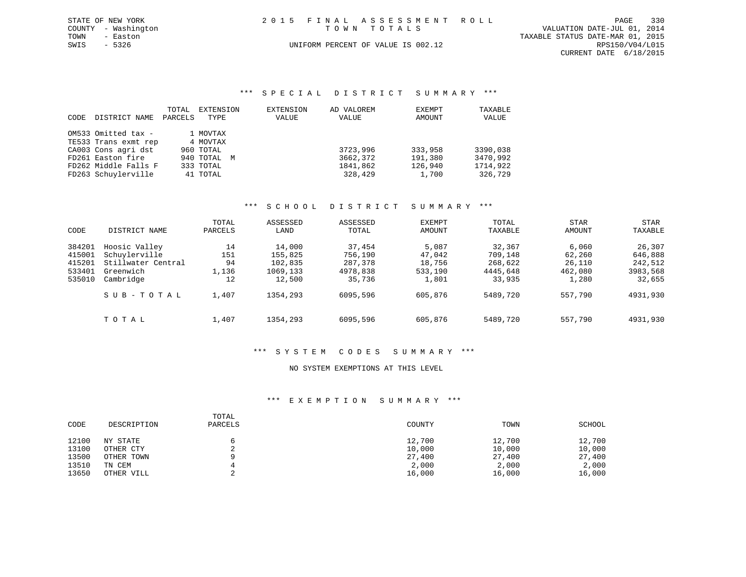|             | STATE OF NEW YORK   | 2015 FINAL ASSESSMENT ROLL         | PAGE                             | 330             |
|-------------|---------------------|------------------------------------|----------------------------------|-----------------|
|             | COUNTY - Washington | TOWN TOTALS                        | VALUATION DATE-JUL 01, 2014      |                 |
| TOWN        | - Easton            |                                    | TAXABLE STATUS DATE-MAR 01, 2015 |                 |
| SWIS - 5326 |                     | UNIFORM PERCENT OF VALUE IS 002.12 |                                  | RPS150/V04/L015 |
|             |                     |                                    | CURRENT DATE 6/18/2015           |                 |

\*\*\* S P E C I A L D I S T R I C T S U M M A R Y \*\*\*

| CODE | DISTRICT NAME        | TOTAL<br>PARCELS | EXTENSION<br>TYPE | EXTENSION<br>VALUE | AD VALOREM<br>VALUE | EXEMPT<br>AMOUNT | TAXABLE<br>VALUE |
|------|----------------------|------------------|-------------------|--------------------|---------------------|------------------|------------------|
|      |                      |                  |                   |                    |                     |                  |                  |
|      | OM533 Omitted tax -  |                  | 1 MOVTAX          |                    |                     |                  |                  |
|      | TE533 Trans exmt rep |                  | 4 MOVTAX          |                    |                     |                  |                  |
|      | CA003 Cons agri dst  |                  | 960 TOTAL         |                    | 3723,996            | 333,958          | 3390,038         |
|      | FD261 Easton fire    |                  | 940 TOTAL M       |                    | 3662,372            | 191,380          | 3470,992         |
|      | FD262 Middle Falls F |                  | 333 TOTAL         |                    | 1841,862            | 126,940          | 1714,922         |
|      | FD263 Schuylerville  |                  | 41 TOTAL          |                    | 328,429             | 1,700            | 326,729          |

### \*\*\* S C H O O L D I S T R I C T S U M M A R Y \*\*\*

|        |                    | TOTAL   | ASSESSED | ASSESSED | <b>EXEMPT</b> | TOTAL    | <b>STAR</b> | <b>STAR</b> |
|--------|--------------------|---------|----------|----------|---------------|----------|-------------|-------------|
| CODE   | DISTRICT NAME      | PARCELS | LAND     | TOTAL    | AMOUNT        | TAXABLE  | AMOUNT      | TAXABLE     |
| 384201 | Hoosic Valley      | 14      | 14,000   | 37,454   | 5,087         | 32,367   | 6,060       | 26,307      |
| 415001 | Schuylerville      | 151     | 155,825  | 756,190  | 47,042        | 709,148  | 62,260      | 646,888     |
| 415201 | Stillwater Central | 94      | 102,835  | 287,378  | 18,756        | 268,622  | 26,110      | 242,512     |
| 533401 | Greenwich          | 1,136   | 1069,133 | 4978,838 | 533,190       | 4445,648 | 462,080     | 3983,568    |
| 535010 | Cambridge          | 12      | 12,500   | 35,736   | 1,801         | 33,935   | 1,280       | 32,655      |
|        | SUB-TOTAL          | 1,407   | 1354,293 | 6095,596 | 605,876       | 5489,720 | 557,790     | 4931,930    |
|        | TOTAL              | 1,407   | 1354,293 | 6095,596 | 605,876       | 5489,720 | 557,790     | 4931,930    |

#### \*\*\* S Y S T E M C O D E S S U M M A R Y \*\*\*

## NO SYSTEM EXEMPTIONS AT THIS LEVEL

| CODE  | DESCRIPTION | TOTAL<br>PARCELS | COUNTY | TOWN   | SCHOOL |
|-------|-------------|------------------|--------|--------|--------|
| 12100 | NY STATE    |                  | 12,700 | 12,700 | 12,700 |
| 13100 | OTHER CTY   |                  | 10,000 | 10,000 | 10,000 |
| 13500 | OTHER TOWN  | a                | 27,400 | 27,400 | 27,400 |
| 13510 | TN CEM      |                  | 2,000  | 2,000  | 2,000  |
| 13650 | OTHER VILL  | $\sim$           | 16,000 | 16,000 | 16,000 |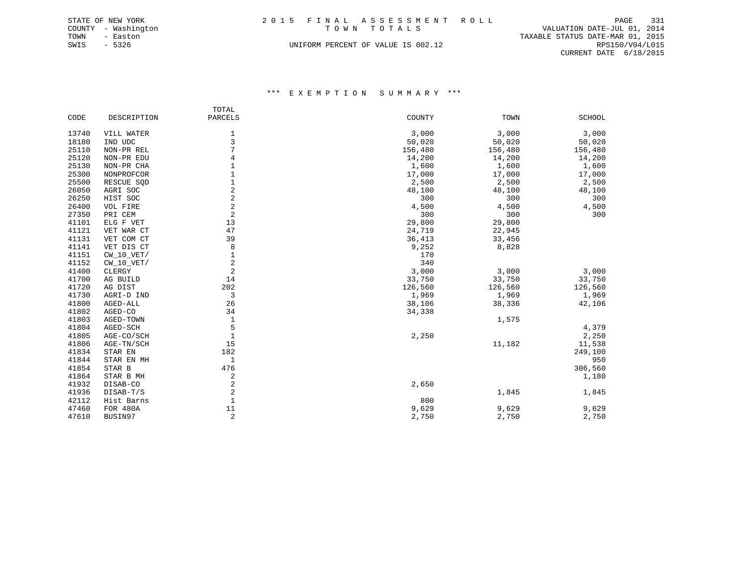|             | STATE OF NEW YORK   |  | 2015 FINAL ASSESSMENT ROLL         | PAGE                             | 331 |
|-------------|---------------------|--|------------------------------------|----------------------------------|-----|
|             | COUNTY - Washington |  | TOWN TOTALS                        | VALUATION DATE-JUL 01, 2014      |     |
| TOWN        | - Easton            |  |                                    | TAXABLE STATUS DATE-MAR 01, 2015 |     |
| SWIS - 5326 |                     |  | UNIFORM PERCENT OF VALUE IS 002.12 | RPS150/V04/L015                  |     |

CURRENT DATE 6/18/2015

|       |                | TOTAL          |         |         |               |
|-------|----------------|----------------|---------|---------|---------------|
| CODE  | DESCRIPTION    | <b>PARCELS</b> | COUNTY  | TOWN    | <b>SCHOOL</b> |
|       |                |                |         |         |               |
| 13740 | VILL WATER     | $1\,$          | 3,000   | 3,000   | 3,000         |
| 18180 | IND UDC        | 3              | 50,020  | 50,020  | 50,020        |
| 25110 | NON-PR REL     | 7              | 156,480 | 156,480 | 156,480       |
| 25120 | NON-PR EDU     | 4              | 14,200  | 14,200  | 14,200        |
| 25130 | NON-PR CHA     |                | 1,600   | 1,600   | 1,600         |
| 25300 | NONPROFCOR     | $\mathbf{1}$   | 17,000  | 17,000  | 17,000        |
| 25500 | RESCUE SQD     | $\mathbf{1}$   | 2,500   | 2,500   | 2,500         |
| 26050 | AGRI SOC       | $\overline{c}$ | 48,100  | 48,100  | 48,100        |
| 26250 | HIST SOC       | $\overline{a}$ | 300     | 300     | 300           |
| 26400 | VOL FIRE       | $\overline{a}$ | 4,500   | 4,500   | 4,500         |
| 27350 | PRI CEM        | $\overline{2}$ | 300     | 300     | 300           |
| 41101 | ELG F VET      | 13             | 29,800  | 29,800  |               |
| 41121 | VET WAR CT     | 47             | 24,719  | 22,945  |               |
| 41131 | VET COM CT     | 39             | 36,413  | 33,456  |               |
| 41141 | VET DIS CT     | 8              | 9,252   | 8,828   |               |
| 41151 | $CW$ 10 $VET/$ | 1              | 170     |         |               |
| 41152 | $CW_10_VET/$   | $\overline{2}$ | 340     |         |               |
| 41400 | CLERGY         | $\sqrt{2}$     | 3,000   | 3,000   | 3,000         |
| 41700 | AG BUILD       | 14             | 33,750  | 33,750  | 33,750        |
| 41720 | AG DIST        | 202            | 126,560 | 126,560 | 126,560       |
| 41730 | AGRI-D IND     | 3              | 1,969   | 1,969   | 1,969         |
| 41800 | AGED-ALL       | 26             | 38,106  | 38,336  | 42,106        |
| 41802 | AGED-CO        | 34             | 34,338  |         |               |
| 41803 | AGED-TOWN      | $\mathbf 1$    |         | 1,575   |               |
| 41804 | AGED-SCH       | 5              |         |         | 4,379         |
| 41805 | AGE-CO/SCH     | $1\,$          | 2,250   |         | 2,250         |
| 41806 | AGE-TN/SCH     | 15             |         | 11,182  | 11,538        |
| 41834 | STAR EN        | 182            |         |         | 249,100       |
| 41844 | STAR EN MH     | 1              |         |         | 950           |
| 41854 | STAR B         | 476            |         |         | 306,560       |
| 41864 | STAR B MH      | 2              |         |         | 1,180         |
| 41932 | DISAB-CO       | $\sqrt{2}$     | 2,650   |         |               |
| 41936 | DISAB-T/S      | $\overline{2}$ |         | 1,845   | 1,845         |
| 42112 | Hist Barns     | $\mathbf{1}$   | 800     |         |               |
| 47460 | FOR 480A       | 11             | 9,629   | 9,629   | 9,629         |
| 47610 | BUSIN97        | $\overline{2}$ | 2,750   | 2,750   | 2,750         |
|       |                |                |         |         |               |